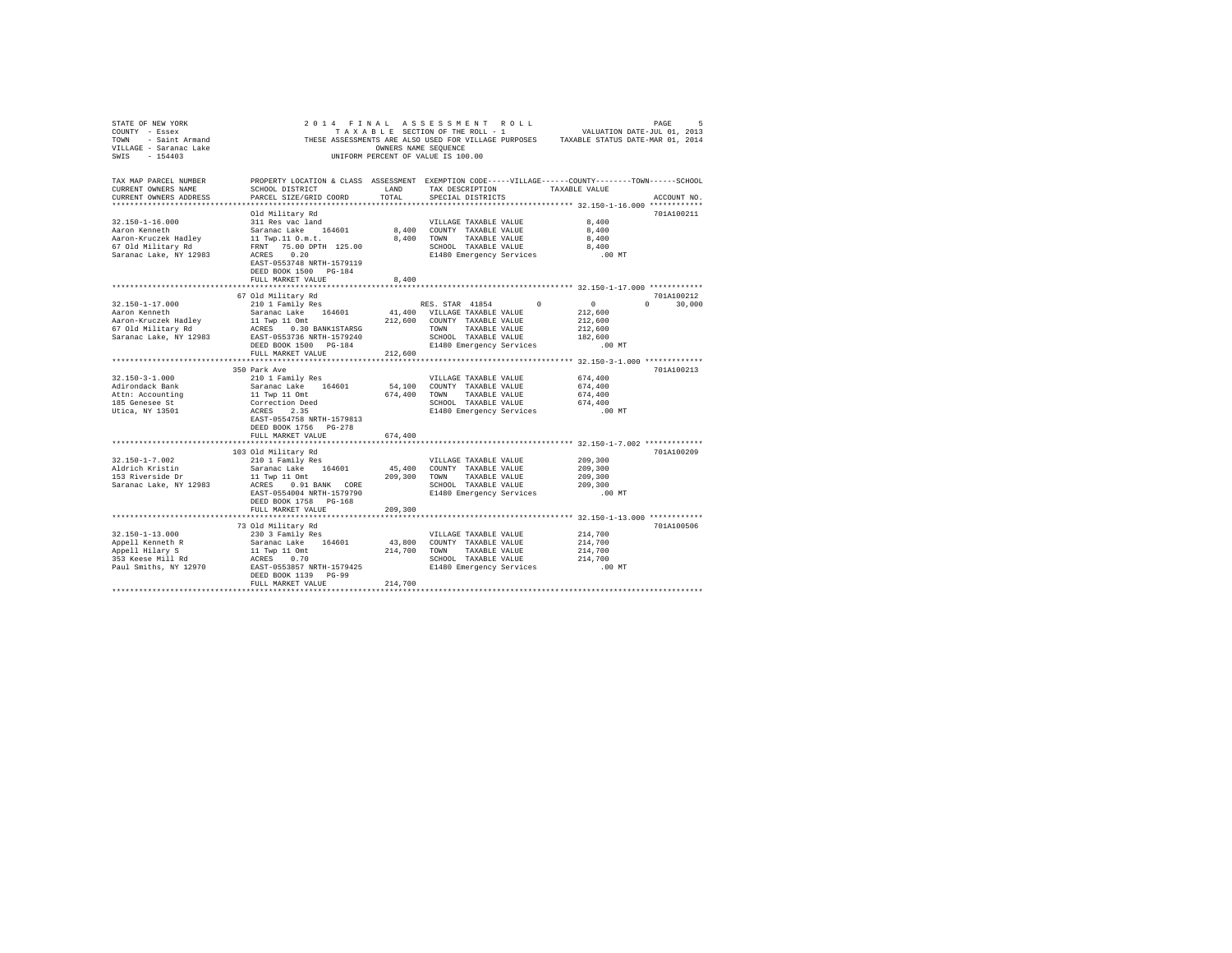| STATE OF NEW YORK<br>COUNTY - Essex (1, 2013)<br>THESE ASSESSMENT PROMOUL TO SAME A SECTION OF THE ROLL - 1<br>THESE ASSESSMENT NONNERS NAME SEQUENCE PURPOSES TAXABLE STATUS DATE-MAR 01, 2014<br>TILLAGE - Saranac Lake<br>SWIS - 154403                                                                                                                                                                                |                                                                                                                                                                                                                         |         | 2014 FINAL ASSESSMENT ROLL<br>UNIFORM PERCENT OF VALUE IS 100.00 | VALUATION DATE-JUL 01, 2013 | PAGE<br>5     |
|---------------------------------------------------------------------------------------------------------------------------------------------------------------------------------------------------------------------------------------------------------------------------------------------------------------------------------------------------------------------------------------------------------------------------|-------------------------------------------------------------------------------------------------------------------------------------------------------------------------------------------------------------------------|---------|------------------------------------------------------------------|-----------------------------|---------------|
| TAX MAP PARCEL NUMBER<br>CURRENT OWNERS NAME<br>CURRENT OWNERS ADDRESS<br>***************************                                                                                                                                                                                                                                                                                                                     | PROPERTY LOCATION & CLASS ASSESSMENT EXEMPTION CODE-----VILLAGE-----COUNTY-------TOWN------SCHOOL<br>SCHOOL DISTRICT LAND<br>PARCEL SIZE/GRID COORD                                                                     | TOTAL   | TAX DESCRIPTION TAXABLE VALUE<br>SPECIAL DISTRICTS               |                             | ACCOUNT NO.   |
|                                                                                                                                                                                                                                                                                                                                                                                                                           | Old Military Rd                                                                                                                                                                                                         |         |                                                                  |                             | 701A100211    |
| $32.150 - 1 - 16.000$                                                                                                                                                                                                                                                                                                                                                                                                     |                                                                                                                                                                                                                         |         | VILLAGE TAXABLE VALUE                                            | 8,400                       |               |
| Aaron Kenneth                                                                                                                                                                                                                                                                                                                                                                                                             |                                                                                                                                                                                                                         |         | 8,400 COUNTY TAXABLE VALUE                                       | 8,400                       |               |
| Aaron-Kruczek Hadley<br>67 Old Military Rd                                                                                                                                                                                                                                                                                                                                                                                |                                                                                                                                                                                                                         |         | 8,400 TOWN TAXABLE VALUE                                         | 8,400                       |               |
|                                                                                                                                                                                                                                                                                                                                                                                                                           |                                                                                                                                                                                                                         |         | SCHOOL TAXABLE VALUE<br>E1480 Emergency Services                 | 8,400                       |               |
| Saranac Lake, NY 12983                                                                                                                                                                                                                                                                                                                                                                                                    | vin military kao Maria (h. 1818)<br>311 Res vac land<br>11 Twp.11 0.m.t.<br>FRNT 75.00 DFTH 125.00<br>ACRES 0.20<br>ACRES 0.20<br>ACRES 0.20<br>EAST-0553748 NRTH-1579119<br>DEED BOOK 1500 PG-184<br>FULL MARKET VALUE | 8,400   |                                                                  | .00 MT                      |               |
|                                                                                                                                                                                                                                                                                                                                                                                                                           |                                                                                                                                                                                                                         |         |                                                                  |                             |               |
|                                                                                                                                                                                                                                                                                                                                                                                                                           | 67 Old Military Rd                                                                                                                                                                                                      |         |                                                                  |                             | 701A100212    |
| 32.150-1-17.000                                                                                                                                                                                                                                                                                                                                                                                                           | 210 1 Family Res                                                                                                                                                                                                        |         | RES. STAR 41854 0                                                | $\sim$ 0                    | $0 \t 30,000$ |
| ARION EMERICAN CONTRACT AND SATISFALL AND MANUSIAL SATISFALL AND SATISFALL AND MANUSIAL MANUSIAL MANUSIAL MANUSIAL MANUSIAL MANUSIAL MANUSIAL MANUSIAL MANUSIAL MANUSIAL MANUSIAL MANUSIAL MANUSIAL MANUSIAL MANUSIAL MANUSIAL                                                                                                                                                                                            |                                                                                                                                                                                                                         |         |                                                                  | 212,600                     |               |
|                                                                                                                                                                                                                                                                                                                                                                                                                           |                                                                                                                                                                                                                         |         |                                                                  | 212,600                     |               |
|                                                                                                                                                                                                                                                                                                                                                                                                                           |                                                                                                                                                                                                                         |         |                                                                  | 212,600                     |               |
|                                                                                                                                                                                                                                                                                                                                                                                                                           |                                                                                                                                                                                                                         |         |                                                                  | 182,600                     |               |
|                                                                                                                                                                                                                                                                                                                                                                                                                           | FULL MARKET VALUE 212,600                                                                                                                                                                                               |         |                                                                  | .00 MT                      |               |
|                                                                                                                                                                                                                                                                                                                                                                                                                           | 350 Park Ave                                                                                                                                                                                                            |         |                                                                  |                             | 701A100213    |
| $32.150 - 3 - 1.000$                                                                                                                                                                                                                                                                                                                                                                                                      | 210 1 Family Res                                                                                                                                                                                                        |         | VILLAGE TAXABLE VALUE                                            | 674,400                     |               |
| Adirondack Bank                                                                                                                                                                                                                                                                                                                                                                                                           | Saranac Lake 164601                                                                                                                                                                                                     |         | 54,100 COUNTY TAXABLE VALUE                                      | 674,400                     |               |
|                                                                                                                                                                                                                                                                                                                                                                                                                           |                                                                                                                                                                                                                         |         | 674,400 TOWN TAXABLE VALUE                                       | 674,400                     |               |
| Attn: Accounting<br>185 Genesee St                                                                                                                                                                                                                                                                                                                                                                                        |                                                                                                                                                                                                                         |         | SCHOOL TAXABLE VALUE                                             | 674,400                     |               |
| Utica, NY 13501                                                                                                                                                                                                                                                                                                                                                                                                           | Satainac and<br>11 Twp 11 Omt<br>Correction Deed<br>ACRES 2.35                                                                                                                                                          |         | E1480 Emergency Services                                         | $.00$ MT                    |               |
|                                                                                                                                                                                                                                                                                                                                                                                                                           | EAST-0554758 NRTH-1579813                                                                                                                                                                                               |         |                                                                  |                             |               |
|                                                                                                                                                                                                                                                                                                                                                                                                                           | DEED BOOK 1756 PG-278                                                                                                                                                                                                   |         |                                                                  |                             |               |
|                                                                                                                                                                                                                                                                                                                                                                                                                           | FULL MARKET VALUE                                                                                                                                                                                                       | 674,400 |                                                                  |                             |               |
|                                                                                                                                                                                                                                                                                                                                                                                                                           | 103 Old Military Rd                                                                                                                                                                                                     |         |                                                                  |                             | 701A100209    |
| $32.150 - 1 - 7.002$                                                                                                                                                                                                                                                                                                                                                                                                      | 210 1 Family Res                                                                                                                                                                                                        |         | VILLAGE TAXABLE VALUE                                            | 209,300                     |               |
| Aldrich Kristin                                                                                                                                                                                                                                                                                                                                                                                                           | Saranac Lake 164601                                                                                                                                                                                                     |         | 45,400 COUNTY TAXABLE VALUE                                      | 209,300                     |               |
| 153 Riverside Dr                                                                                                                                                                                                                                                                                                                                                                                                          | 11 Twp 11 Omt 209,300 TOWN TAXABLE VALUE                                                                                                                                                                                |         |                                                                  | 209,300                     |               |
| Saranac Lake, NY 12983                                                                                                                                                                                                                                                                                                                                                                                                    | ACRES 0.91 BANK CORE                                                                                                                                                                                                    |         | SCHOOL TAXABLE VALUE<br>E1480 Emergency Services                 | 209,300                     |               |
|                                                                                                                                                                                                                                                                                                                                                                                                                           | EAST-0554004 NRTH-1579790                                                                                                                                                                                               |         |                                                                  | .00 MT                      |               |
|                                                                                                                                                                                                                                                                                                                                                                                                                           | DEED BOOK 1758 PG-168                                                                                                                                                                                                   |         |                                                                  |                             |               |
|                                                                                                                                                                                                                                                                                                                                                                                                                           | FULL MARKET VALUE                                                                                                                                                                                                       | 209,300 |                                                                  |                             |               |
|                                                                                                                                                                                                                                                                                                                                                                                                                           |                                                                                                                                                                                                                         |         |                                                                  |                             |               |
|                                                                                                                                                                                                                                                                                                                                                                                                                           | 73 Old Military Rd                                                                                                                                                                                                      |         |                                                                  |                             | 701A100506    |
|                                                                                                                                                                                                                                                                                                                                                                                                                           |                                                                                                                                                                                                                         |         |                                                                  | 214,700                     |               |
| $\begin{tabular}{l c c c c c} \multicolumn{1}{c}{\textbf{32.150--1-13.000}} & \multicolumn{1}{c}{\textbf{230 3} Fami1y Res} & \multicolumn{1}{c}{\textbf{WILLAGE TAXABLE VALUE}} \\ \multicolumn{1}{c}{\textbf{Appell Hahnnet}} & \multicolumn{1}{c}{\textbf{53.12} m} & \multicolumn{1}{c}{\textbf{54.601}} & \multicolumn{1}{c}{\textbf{54.601}} & \multicolumn{1}{c}{\textbf{54.601}} & \multicolumn{1}{c}{\textbf{54$ |                                                                                                                                                                                                                         |         |                                                                  | 214,700                     |               |
|                                                                                                                                                                                                                                                                                                                                                                                                                           |                                                                                                                                                                                                                         |         |                                                                  | 214,700<br>214,700          |               |
|                                                                                                                                                                                                                                                                                                                                                                                                                           |                                                                                                                                                                                                                         |         | SCHOOL TAXABLE VALUE<br>E1480 Emergency Services                 | .00 MT                      |               |
|                                                                                                                                                                                                                                                                                                                                                                                                                           | DEED BOOK 1139 PG-99                                                                                                                                                                                                    |         |                                                                  |                             |               |
|                                                                                                                                                                                                                                                                                                                                                                                                                           | FULL MARKET VALUE                                                                                                                                                                                                       | 214,700 |                                                                  |                             |               |
|                                                                                                                                                                                                                                                                                                                                                                                                                           |                                                                                                                                                                                                                         |         |                                                                  |                             |               |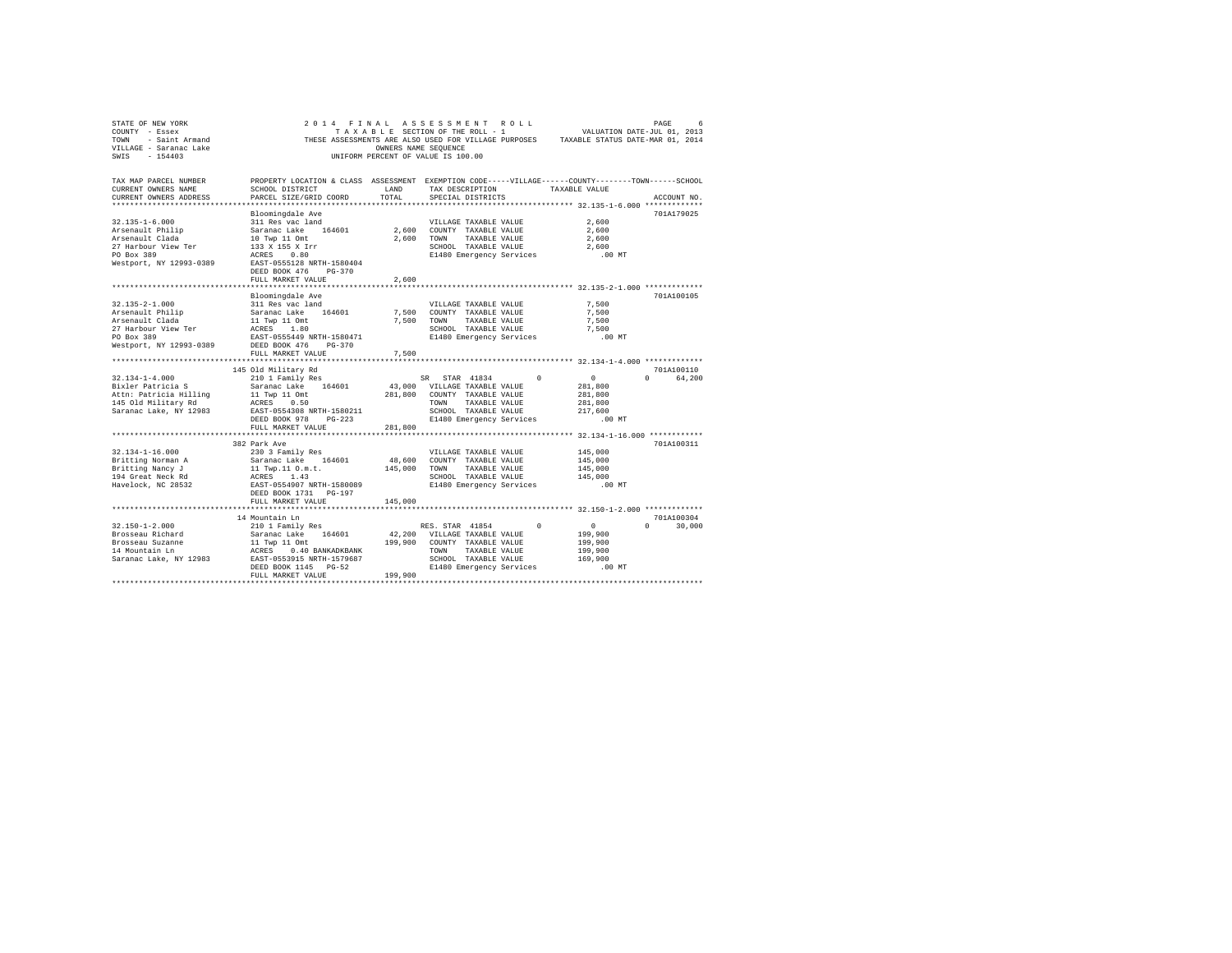| STATE OF NEW YORK<br>COUNTY - Essex<br>TOWN - Saint Armand<br>VILLAGE - Saranac Lake<br>SWIS - 154403 |                                                                                                                                                                                                                         | OWNERS NAME SEQUENCE | 2014 FINAL ASSESSMENT ROLL<br>TAXABLE SECTION OF THE ROLL - 1<br>UNIFORM PERCENT OF VALUE IS 100.00 |               | VALUATION DATE-JUL 01, 2013<br>THESE ASSESSMENTS ARE ALSO USED FOR VILLAGE PURPOSES TAXABLE STATUS DATE-MAR 01, 2014 | PAGE<br>6          |
|-------------------------------------------------------------------------------------------------------|-------------------------------------------------------------------------------------------------------------------------------------------------------------------------------------------------------------------------|----------------------|-----------------------------------------------------------------------------------------------------|---------------|----------------------------------------------------------------------------------------------------------------------|--------------------|
| TAX MAP PARCEL NUMBER<br>CURRENT OWNERS NAME<br>CURRENT OWNERS ADDRESS                                | PROPERTY LOCATION & CLASS ASSESSMENT EXEMPTION CODE-----VILLAGE-----COUNTY-------TOWN------SCHOOL<br>SCHOOL DISTRICT<br>PARCEL SIZE/GRID COORD                                                                          | LAND<br>TOTAL        | TAX DESCRIPTION TAXABLE VALUE<br>SPECIAL DISTRICTS                                                  |               |                                                                                                                      | ACCOUNT NO.        |
|                                                                                                       | Bloomingdale Ave                                                                                                                                                                                                        |                      |                                                                                                     |               |                                                                                                                      | 701A179025         |
| $32.135 - 1 - 6.000$                                                                                  | 311 Res vac land                                                                                                                                                                                                        |                      | VILLAGE TAXABLE VALUE                                                                               |               | 2,600                                                                                                                |                    |
| Arsenault Philip                                                                                      | Saranac Lake 164601<br>10 Twp 11 Omt<br>133 X 155 X Irr<br>-333 X 155 X 100                                                                                                                                             |                      | 2,600 COUNTY TAXABLE VALUE                                                                          |               | 2,600                                                                                                                |                    |
| Arsenault Clada                                                                                       |                                                                                                                                                                                                                         |                      | 2.600 TOWN<br>TAXABLE VALUE                                                                         |               | 2,600                                                                                                                |                    |
| 27 Harbour View Ter                                                                                   |                                                                                                                                                                                                                         |                      | SCHOOL TAXABLE VALUE                                                                                |               | 2,600                                                                                                                |                    |
| PO Box 389                                                                                            | ACRES 0.80                                                                                                                                                                                                              |                      | E1480 Emergency Services                                                                            |               | $.00$ MT                                                                                                             |                    |
| Westport, NY 12993-0389                                                                               | EAST-0555128 NRTH-1580404<br>DEED BOOK 476 PG-370                                                                                                                                                                       |                      |                                                                                                     |               |                                                                                                                      |                    |
|                                                                                                       | FULL MARKET VALUE                                                                                                                                                                                                       | 2,600                |                                                                                                     |               |                                                                                                                      |                    |
|                                                                                                       |                                                                                                                                                                                                                         |                      |                                                                                                     |               |                                                                                                                      |                    |
|                                                                                                       | Bloomingdale Ave                                                                                                                                                                                                        |                      |                                                                                                     |               |                                                                                                                      | 701A100105         |
| $32.135 - 2 - 1.000$                                                                                  | 311 Res vac land                                                                                                                                                                                                        |                      | VILLAGE TAXABLE VALUE                                                                               |               | 7.500                                                                                                                |                    |
| Arsenault Philip                                                                                      | Saranac Lake 164601                                                                                                                                                                                                     |                      | 7,500 COUNTY TAXABLE VALUE                                                                          |               | 7,500                                                                                                                |                    |
| Arsenault Clada                                                                                       | 11 Twp 11 Omt<br>ACRES 1.80<br>EAST-0555449 NRTH-1580471                                                                                                                                                                | 7,500                | TOWN                                                                                                | TAXABLE VALUE | 7.500                                                                                                                |                    |
| 27 Harbour View Ter                                                                                   |                                                                                                                                                                                                                         |                      | SCHOOL TAXABLE VALUE                                                                                |               | 7,500                                                                                                                |                    |
| PO Box 389                                                                                            |                                                                                                                                                                                                                         |                      | E1480 Emergency Services                                                                            |               | $.00$ MT                                                                                                             |                    |
| Westport, NY 12993-0389                                                                               | DEED BOOK 476 PG-370<br>FULL MARKET VALUE                                                                                                                                                                               | 7,500                |                                                                                                     |               |                                                                                                                      |                    |
|                                                                                                       |                                                                                                                                                                                                                         |                      |                                                                                                     |               |                                                                                                                      |                    |
|                                                                                                       | 145 Old Military Rd                                                                                                                                                                                                     |                      |                                                                                                     |               |                                                                                                                      | 701A100110         |
| $32.134 - 1 - 4.000$                                                                                  | 210 1 Family Res                                                                                                                                                                                                        |                      | SR STAR 41834                                                                                       | $\Omega$      | $\sim$ 0                                                                                                             | 64,200<br>$\Omega$ |
| Bixler Patricia S                                                                                     | Saranac Lake 164601                                                                                                                                                                                                     |                      | 43,000 VILLAGE TAXABLE VALUE                                                                        |               | 281,800                                                                                                              |                    |
| Attn: Patricia Hilling                                                                                | 11 Twp 11 Omt                                                                                                                                                                                                           | 281,800              | COUNTY TAXABLE VALUE                                                                                |               | 281,800                                                                                                              |                    |
| 145 Old Military Rd                                                                                   | ACRES 0.50                                                                                                                                                                                                              |                      | <b>TOWN</b>                                                                                         | TAXABLE VALUE | 281,800                                                                                                              |                    |
| Saranac Lake, NY 12983                                                                                | EAST-0554308 NRTH-1580211                                                                                                                                                                                               |                      | SCHOOL TAXABLE VALUE                                                                                |               | 217,600                                                                                                              |                    |
|                                                                                                       | DEED BOOK 978 PG-223                                                                                                                                                                                                    |                      | E1480 Emergency Services                                                                            |               | $.00$ MT                                                                                                             |                    |
|                                                                                                       | FULL MARKET VALUE                                                                                                                                                                                                       | 281,800              |                                                                                                     |               |                                                                                                                      |                    |
|                                                                                                       |                                                                                                                                                                                                                         |                      |                                                                                                     |               |                                                                                                                      |                    |
|                                                                                                       | 382 Park Ave                                                                                                                                                                                                            |                      |                                                                                                     |               |                                                                                                                      | 701A100311         |
| $32.134 - 1 - 16.000$                                                                                 | 230 3 Family Res                                                                                                                                                                                                        |                      | VILLAGE TAXABLE VALUE                                                                               |               | 145,000                                                                                                              |                    |
| Britting Norman A                                                                                     | Saranac Lake 164601                                                                                                                                                                                                     | 48,600               | COUNTY TAXABLE VALUE                                                                                |               | 145,000                                                                                                              |                    |
| Britting Nancy J                                                                                      | 11 Twp.11 0.m.t.                                                                                                                                                                                                        | 145,000              | TOWN TAXABLE VALUE                                                                                  |               | 145,000                                                                                                              |                    |
| 194 Great Neck Rd<br>Havelock, NC 28532                                                               | ACRES 1.43<br>EAST-0554907 NRTH-1580089                                                                                                                                                                                 |                      | SCHOOL TAXABLE VALUE                                                                                |               | 145,000                                                                                                              |                    |
|                                                                                                       |                                                                                                                                                                                                                         |                      | E1480 Emergency Services                                                                            |               | $.00$ MT                                                                                                             |                    |
|                                                                                                       | DEED BOOK 1731 PG-197<br>FULL MARKET VALUE                                                                                                                                                                              | 145,000              |                                                                                                     |               |                                                                                                                      |                    |
|                                                                                                       |                                                                                                                                                                                                                         |                      |                                                                                                     |               |                                                                                                                      |                    |
|                                                                                                       | 14 Mountain Ln                                                                                                                                                                                                          |                      |                                                                                                     |               |                                                                                                                      | 701A100304         |
| $32.150 - 1 - 2.000$                                                                                  | 210 1 Family Res                                                                                                                                                                                                        |                      | RES. STAR 41854                                                                                     | $\Omega$      | $\sim$ 0                                                                                                             | $0 \t 30,000$      |
| Brosseau Richard                                                                                      |                                                                                                                                                                                                                         |                      |                                                                                                     |               | 199,900                                                                                                              |                    |
| Brosseau Suzanne                                                                                      | Saranac Lake 164601 42,200 VILLAGE TAXABLE VALUE 11 TWD 11 ORL 11 TAVABLE VALUE 1 TWD 10 COUNTY TAXABLE VALUE<br>ACRES 0.40 BANKADKBANK 199,900 COUNTY TAXABLE VALUE ACRES 0.40 BANKADKBANK 199,900 CONTY TAXABLE VALUE |                      |                                                                                                     |               | 199,900                                                                                                              |                    |
| 14 Mountain Ln                                                                                        |                                                                                                                                                                                                                         |                      |                                                                                                     |               | 199,900                                                                                                              |                    |
| Saranac Lake, NY 12983                                                                                |                                                                                                                                                                                                                         |                      | SCHOOL TAXABLE VALUE                                                                                |               | 169,900                                                                                                              |                    |
|                                                                                                       | DEED BOOK 1145 PG-52                                                                                                                                                                                                    |                      | E1480 Emergency Services                                                                            |               | $.00$ MT                                                                                                             |                    |
|                                                                                                       | FULL MARKET VALUE                                                                                                                                                                                                       | 199,900              |                                                                                                     |               |                                                                                                                      |                    |
|                                                                                                       |                                                                                                                                                                                                                         |                      |                                                                                                     |               |                                                                                                                      |                    |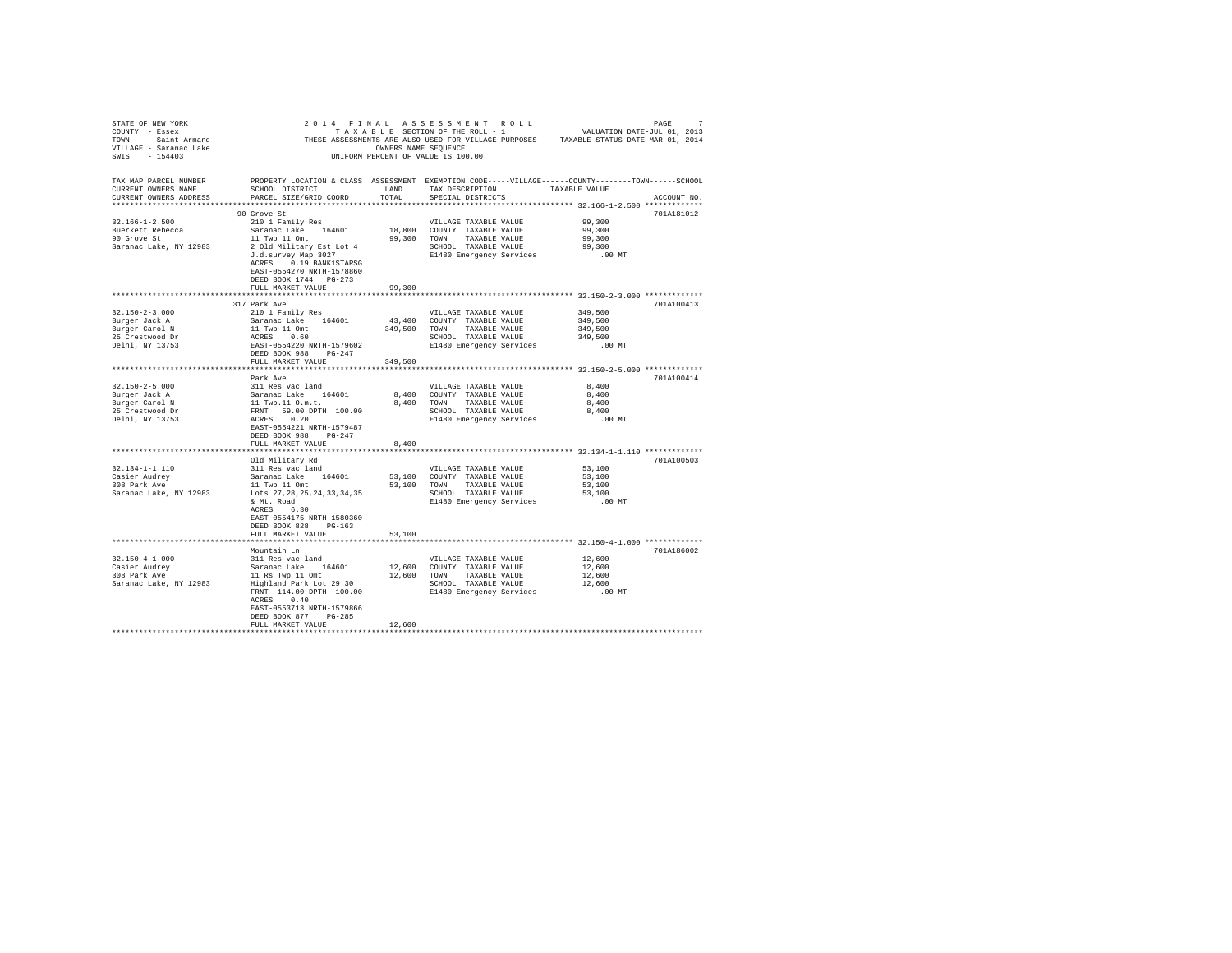| STATE OF ENF YORK WORK WORK AND A RESULTED TO A RESULT ON THE SECTION OF THE SECTION OF THE SECTION OF THE SECTION OF THE ROLL - 1 WALUATION DATE-JUL 01, 2013<br>TONN - Saint Armand - THESE ASSESSMENTS ARE ALSO USED FOR VIL      |                                                                                                  |         |                       |                  |             |
|--------------------------------------------------------------------------------------------------------------------------------------------------------------------------------------------------------------------------------------|--------------------------------------------------------------------------------------------------|---------|-----------------------|------------------|-------------|
|                                                                                                                                                                                                                                      |                                                                                                  |         |                       |                  |             |
|                                                                                                                                                                                                                                      |                                                                                                  |         |                       |                  |             |
|                                                                                                                                                                                                                                      |                                                                                                  |         |                       |                  |             |
|                                                                                                                                                                                                                                      |                                                                                                  |         |                       |                  |             |
|                                                                                                                                                                                                                                      |                                                                                                  |         |                       |                  |             |
|                                                                                                                                                                                                                                      |                                                                                                  |         |                       |                  |             |
|                                                                                                                                                                                                                                      | PROPERTY LOCATION & CLASS ASSESSMENT EXEMPTION CODE-----VILLAGE-----COUNTY-------TOWN-----SCHOOL |         |                       |                  |             |
| TAX MAP PARCEL NUMBER<br>CUPPENT OWNERS NAME<br>CURRENT OWNERS NAME                                                                                                                                                                  | SCHOOL DISTRICT         LAND     TAX DESCRIPTION       TAXABLE VALUE                             |         |                       |                  |             |
| CURRENT OWNERS ADDRESS PARCEL SIZE/GRID COORD TOTAL                                                                                                                                                                                  |                                                                                                  |         | SPECIAL DISTRICTS     |                  | ACCOUNT NO. |
|                                                                                                                                                                                                                                      |                                                                                                  |         |                       |                  |             |
|                                                                                                                                                                                                                                      | 90 Grove St                                                                                      |         |                       |                  | 701A181012  |
| 32.166-1-2.500                                                                                                                                                                                                                       | 210 1 Family Res                                                                                 |         | VILLAGE TAXABLE VALUE |                  |             |
|                                                                                                                                                                                                                                      | Saranac Lake 164601 18,800 COUNTY TAXABLE VALUE                                                  |         |                       | 99,300<br>99,300 |             |
| Buerkett Rebecca<br>90 Grove St                                                                                                                                                                                                      |                                                                                                  |         |                       |                  |             |
| Black extracts respect to the control of the control of the particle of the particle of the particle of the particle of the particle of the particle of the particle of the particle of the particle of the state of the state       |                                                                                                  |         |                       |                  |             |
|                                                                                                                                                                                                                                      |                                                                                                  |         |                       |                  |             |
|                                                                                                                                                                                                                                      |                                                                                                  |         |                       |                  |             |
|                                                                                                                                                                                                                                      | ACRES 0.19 BANK1STARSG                                                                           |         |                       |                  |             |
|                                                                                                                                                                                                                                      | EAST-0554270 NRTH-1578860                                                                        |         |                       |                  |             |
|                                                                                                                                                                                                                                      | DEED BOOK 1744 PG-273                                                                            |         |                       |                  |             |
|                                                                                                                                                                                                                                      | FULL MARKET VALUE                                                                                | 99,300  |                       |                  |             |
|                                                                                                                                                                                                                                      |                                                                                                  |         |                       |                  |             |
|                                                                                                                                                                                                                                      | 317 Park Ave                                                                                     |         |                       |                  | 701A100413  |
| $32.150 - 2 - 3.000$                                                                                                                                                                                                                 | 210 1 Family Res                                                                                 |         |                       | 349,500          |             |
| Burger Jack A                                                                                                                                                                                                                        |                                                                                                  |         |                       |                  |             |
| Burger Carol N<br>25 Crestwood Dr<br>Delhi, NY 13753                                                                                                                                                                                 |                                                                                                  |         |                       |                  |             |
|                                                                                                                                                                                                                                      |                                                                                                  |         |                       |                  |             |
|                                                                                                                                                                                                                                      |                                                                                                  |         |                       | .00 MT           |             |
|                                                                                                                                                                                                                                      |                                                                                                  |         |                       |                  |             |
|                                                                                                                                                                                                                                      | FULL MARKET VALUE                                                                                | 349,500 |                       |                  |             |
|                                                                                                                                                                                                                                      |                                                                                                  |         |                       |                  |             |
|                                                                                                                                                                                                                                      | Park Ave                                                                                         |         |                       |                  | 701A100414  |
| 32.150-2-5.000<br>311 Res vac land<br>Burger Jack A Saranac Lake 164601<br>Burger Carol N 11 Twp.110.00<br>Burger Carol N 11 Twp.110.00<br>25 Crestwood Dr FRNT 59.00 DPTH 100.00<br>26 Cress 0.20<br>26 Cress 0.20<br>26 Cress 0.20 |                                                                                                  |         |                       |                  |             |
|                                                                                                                                                                                                                                      |                                                                                                  |         |                       |                  |             |
|                                                                                                                                                                                                                                      |                                                                                                  |         |                       |                  |             |
|                                                                                                                                                                                                                                      |                                                                                                  |         |                       |                  |             |
|                                                                                                                                                                                                                                      |                                                                                                  |         |                       |                  |             |
|                                                                                                                                                                                                                                      |                                                                                                  |         |                       |                  |             |
|                                                                                                                                                                                                                                      |                                                                                                  |         |                       |                  |             |
|                                                                                                                                                                                                                                      |                                                                                                  |         |                       |                  |             |
|                                                                                                                                                                                                                                      | FULL MARKET VALUE                                                                                | 8,400   |                       |                  |             |
|                                                                                                                                                                                                                                      |                                                                                                  |         |                       |                  |             |
|                                                                                                                                                                                                                                      |                                                                                                  |         |                       |                  | 701A100503  |
|                                                                                                                                                                                                                                      |                                                                                                  |         |                       |                  |             |
|                                                                                                                                                                                                                                      |                                                                                                  |         |                       |                  |             |
| 32.134-1-1.110<br>Casier Audrey<br>308 Park Ave                                                                                                                                                                                      |                                                                                                  |         |                       |                  |             |
| Saranac Lake, NY 12983                                                                                                                                                                                                               |                                                                                                  |         |                       |                  |             |
|                                                                                                                                                                                                                                      |                                                                                                  |         |                       |                  |             |
|                                                                                                                                                                                                                                      |                                                                                                  |         |                       |                  |             |
|                                                                                                                                                                                                                                      | EAST-0554175 NRTH-1580360                                                                        |         |                       |                  |             |
|                                                                                                                                                                                                                                      | DEED BOOK 828 PG-163                                                                             |         |                       |                  |             |
|                                                                                                                                                                                                                                      | FULL MARKET VALUE                                                                                | 53,100  |                       |                  |             |
|                                                                                                                                                                                                                                      |                                                                                                  |         |                       |                  |             |
|                                                                                                                                                                                                                                      | Mountain Ln                                                                                      |         |                       |                  | 701A186002  |
| $32.150 - 4 - 1.000$                                                                                                                                                                                                                 | 311 Res vac land                                                                                 |         | VILLAGE TAXABLE VALUE | 12,600           |             |
|                                                                                                                                                                                                                                      |                                                                                                  |         |                       |                  |             |
|                                                                                                                                                                                                                                      |                                                                                                  |         |                       |                  |             |
|                                                                                                                                                                                                                                      |                                                                                                  |         |                       |                  |             |
|                                                                                                                                                                                                                                      |                                                                                                  |         |                       |                  |             |
|                                                                                                                                                                                                                                      |                                                                                                  |         |                       |                  |             |
|                                                                                                                                                                                                                                      | ACRES 0.40                                                                                       |         |                       |                  |             |
|                                                                                                                                                                                                                                      | EAST-0553713 NRTH-1579866                                                                        |         |                       |                  |             |
|                                                                                                                                                                                                                                      | DEED BOOK 877 PG-285                                                                             |         |                       |                  |             |
|                                                                                                                                                                                                                                      | FULL MARKET VALUE                                                                                | 12,600  |                       |                  |             |
|                                                                                                                                                                                                                                      |                                                                                                  |         |                       |                  |             |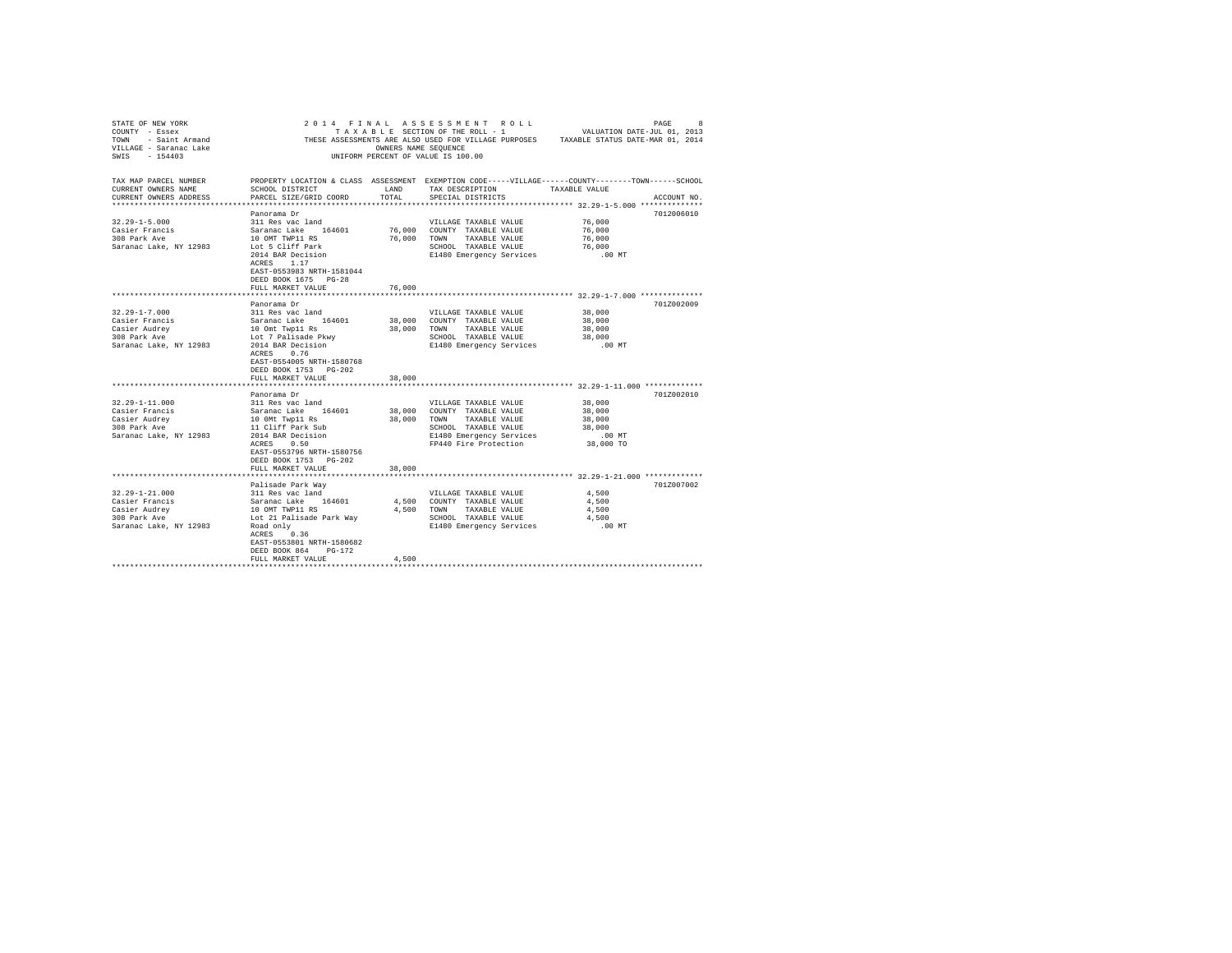| STATE OF NEW YORK                            |                                                                                                                                                 |        | 2014 FINAL ASSESSMENT ROLL                          | PAGE<br>8<br>COUNTY - Essex<br>TRESE ASSESSMENT A TRESE ASSESSMENT OUTLING PURPOSES<br>TOWN - Saint Armand THESE ASSESSMENTS ARE ALSO USED FOR VILLAGE PURPOSES<br>TILLAGE - SATABLE JAR 01, 2014<br>TRESE ASSESSMENT OF VALUE IS 100.00<br>TRIFORM P |
|----------------------------------------------|-------------------------------------------------------------------------------------------------------------------------------------------------|--------|-----------------------------------------------------|-------------------------------------------------------------------------------------------------------------------------------------------------------------------------------------------------------------------------------------------------------|
| TAX MAP PARCEL NUMBER<br>CURRENT OWNERS NAME | SCHOOL DISTRICT                                                                                                                                 | LAND   | TAX DESCRIPTION TAXABLE VALUE                       | PROPERTY LOCATION & CLASS ASSESSMENT EXEMPTION CODE-----VILLAGE-----COUNTY-------TOWN------SCHOOL                                                                                                                                                     |
| CURRENT OWNERS ADDRESS                       | PARCEL SIZE/GRID COORD                                                                                                                          | TOTAL  | SPECIAL DISTRICTS                                   | ACCOUNT NO.                                                                                                                                                                                                                                           |
|                                              |                                                                                                                                                 |        |                                                     |                                                                                                                                                                                                                                                       |
|                                              | Panorama Dr                                                                                                                                     |        |                                                     | 7012006010                                                                                                                                                                                                                                            |
| $32.29 - 1 - 5.000$                          | 311 Res vac land                                                                                                                                |        | VILLAGE TAXABLE VALUE                               | 76,000                                                                                                                                                                                                                                                |
| Casier Francis<br>308 Park Ave               | Saranac Lake 164601 76,000 COUNTY TAXABLE VALUE<br>10 OMT TWP11 RS 76,000 TOWN TAXABLE VALUE                                                    |        |                                                     | 76,000                                                                                                                                                                                                                                                |
|                                              |                                                                                                                                                 |        |                                                     | 76,000                                                                                                                                                                                                                                                |
| Saranac Lake, NY 12983                       | Lot 5 Cliff Park                                                                                                                                |        | SCHOOL TAXABLE VALUE                                | 76,000                                                                                                                                                                                                                                                |
|                                              | 2014 BAR Decision                                                                                                                               |        | E1480 Emergency Services                            | $.00$ MT                                                                                                                                                                                                                                              |
|                                              | ACRES 1.17<br>EAST-0553983 NRTH-1581044                                                                                                         |        |                                                     |                                                                                                                                                                                                                                                       |
|                                              | DEED BOOK 1675 PG-28                                                                                                                            |        |                                                     |                                                                                                                                                                                                                                                       |
|                                              | FULL MARKET VALUE                                                                                                                               | 76,000 |                                                     |                                                                                                                                                                                                                                                       |
|                                              |                                                                                                                                                 |        |                                                     |                                                                                                                                                                                                                                                       |
|                                              | Panorama Dr                                                                                                                                     |        |                                                     | 701Z002009                                                                                                                                                                                                                                            |
| $32.29 - 1 - 7.000$                          |                                                                                                                                                 |        | VILLAGE TAXABLE VALUE                               | 38,000                                                                                                                                                                                                                                                |
| Casier Francis                               |                                                                                                                                                 |        | 38,000 COUNTY TAXABLE VALUE                         | 38,000                                                                                                                                                                                                                                                |
| Casier Audrey                                |                                                                                                                                                 |        | 38,000 TOWN TAXABLE VALUE                           | 38,000                                                                                                                                                                                                                                                |
| 308 Park Ave                                 |                                                                                                                                                 |        | SCHOOL TAXABLE VALUE                                | 38,000                                                                                                                                                                                                                                                |
| Saranac Lake, NY 12983                       | x and Saranac Land<br>311 Res vac land<br>10 Omt Twp1l Rs<br>Lot 7 Palisade Pkwy<br>2014 BaR Decision<br>2014 BaR Decision<br>2014 BaR Decision |        | E1480 Emergency Services                            | $.00$ MT                                                                                                                                                                                                                                              |
|                                              | ACRES 0.76                                                                                                                                      |        |                                                     |                                                                                                                                                                                                                                                       |
|                                              | EAST-0554005 NRTH-1580768                                                                                                                       |        |                                                     |                                                                                                                                                                                                                                                       |
|                                              | DEED BOOK 1753 PG-202                                                                                                                           |        |                                                     |                                                                                                                                                                                                                                                       |
|                                              | FULL MARKET VALUE                                                                                                                               | 38,000 |                                                     |                                                                                                                                                                                                                                                       |
|                                              | Panorama Dr                                                                                                                                     |        |                                                     | 701Z002010                                                                                                                                                                                                                                            |
| $32.29 - 1 - 11.000$                         | 311 Res vac land                                                                                                                                |        | VILLAGE TAXABLE VALUE                               | 38,000                                                                                                                                                                                                                                                |
| Casier Francis                               |                                                                                                                                                 |        | 38,000 COUNTY TAXABLE VALUE                         | 38,000                                                                                                                                                                                                                                                |
| Casier Audrey                                |                                                                                                                                                 |        | 38,000 TOWN TAXABLE VALUE                           | 38,000                                                                                                                                                                                                                                                |
| 308 Park Ave                                 |                                                                                                                                                 |        | SCHOOL TAXABLE VALUE                                | 38,000                                                                                                                                                                                                                                                |
| Saranac Lake, NY 12983                       |                                                                                                                                                 |        | SCHOOD TAAABDB vADOOD<br>E1480 Emergency Services   | .00 MT                                                                                                                                                                                                                                                |
|                                              | Sir aws van Lamma<br>Saramac Lake 164601<br>10 OMt Twp11 Rs<br>11 Cliff Park Sub<br>2014 BAR Decision<br>ACRES 10.50                            |        | FP440 Fire Protection                               | 38,000 TO                                                                                                                                                                                                                                             |
|                                              | EAST-0553796 NRTH-1580756                                                                                                                       |        |                                                     |                                                                                                                                                                                                                                                       |
|                                              | DEED BOOK 1753 PG-202                                                                                                                           |        |                                                     |                                                                                                                                                                                                                                                       |
|                                              | FULL MARKET VALUE                                                                                                                               | 38,000 |                                                     |                                                                                                                                                                                                                                                       |
|                                              |                                                                                                                                                 |        |                                                     |                                                                                                                                                                                                                                                       |
|                                              | Palisade Park Way                                                                                                                               |        |                                                     | 701Z007002                                                                                                                                                                                                                                            |
| $32.29 - 1 - 21.000$<br>Casier Francis       | 311 Res vac land                                                                                                                                |        | VILLAGE TAXABLE VALUE<br>4,500 COUNTY TAXABLE VALUE | 4,500<br>4,500                                                                                                                                                                                                                                        |
| Casier Audrey                                | Saranac Lake 164601<br>10 OMT TWP11 RS<br>Lot 21 Palisade Park Way                                                                              |        | 4.500 TOWN TAXABLE VALUE                            | 4,500                                                                                                                                                                                                                                                 |
| casier Audrey<br>308 Park Ave                |                                                                                                                                                 |        |                                                     | 4,500                                                                                                                                                                                                                                                 |
| Saranac Lake, NY 12983                       | Road only                                                                                                                                       |        | SCHOOL TAXABLE VOUGLES                              | $.00$ MT                                                                                                                                                                                                                                              |
|                                              | ACRES 0.36                                                                                                                                      |        |                                                     |                                                                                                                                                                                                                                                       |
|                                              | EAST-0553801 NRTH-1580682                                                                                                                       |        |                                                     |                                                                                                                                                                                                                                                       |
|                                              | DEED BOOK 864 PG-172                                                                                                                            |        |                                                     |                                                                                                                                                                                                                                                       |
|                                              | FULL MARKET VALUE                                                                                                                               | 4,500  |                                                     |                                                                                                                                                                                                                                                       |
|                                              |                                                                                                                                                 |        |                                                     |                                                                                                                                                                                                                                                       |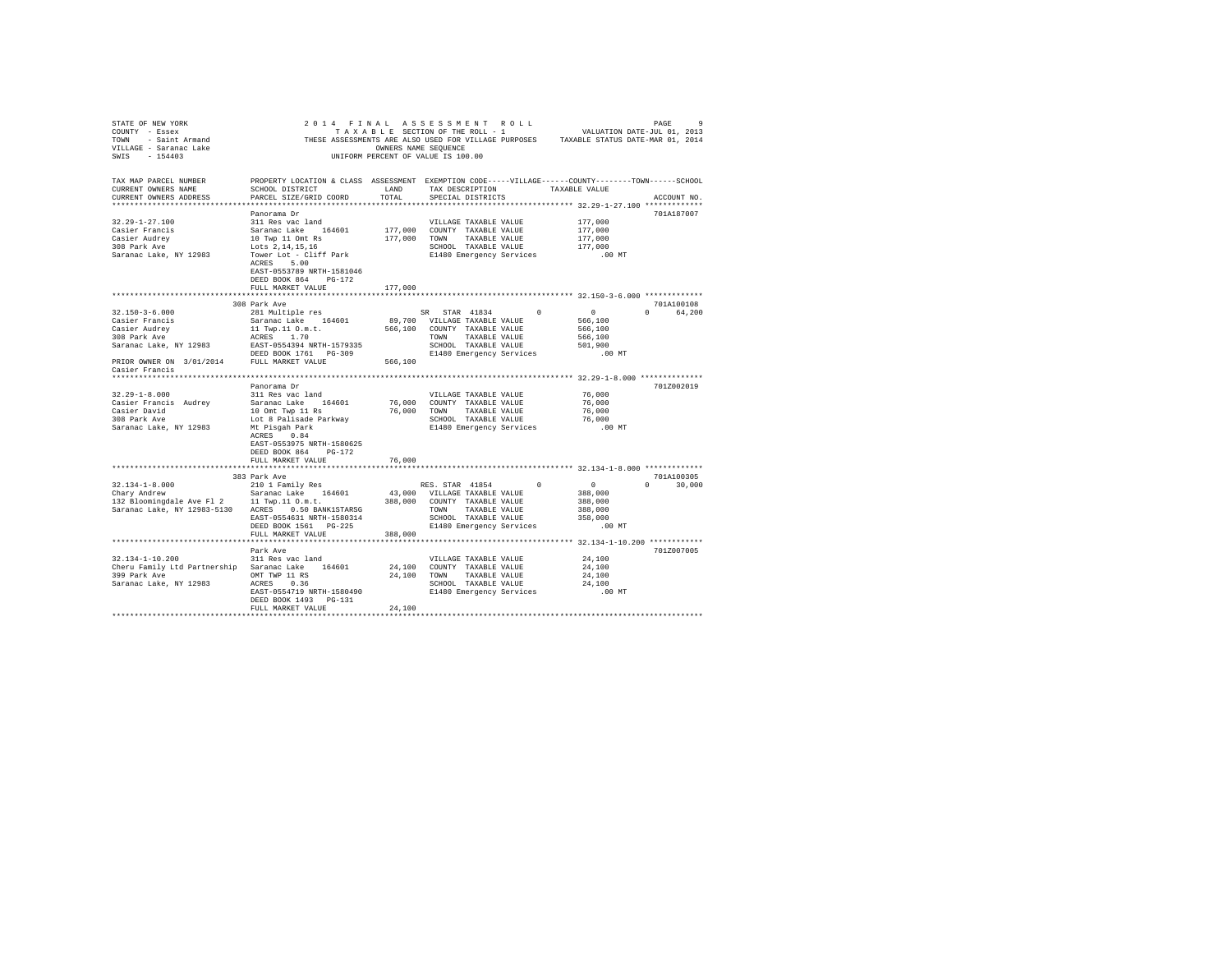| STATE OF NEW YORK                                  |                                                                                                  |                      | 2014 FINAL ASSESSMENT ROLL                       |        |                                                                                       |               |  |
|----------------------------------------------------|--------------------------------------------------------------------------------------------------|----------------------|--------------------------------------------------|--------|---------------------------------------------------------------------------------------|---------------|--|
|                                                    |                                                                                                  |                      |                                                  |        |                                                                                       |               |  |
|                                                    |                                                                                                  |                      |                                                  |        | THESE ASSESSMENTS ARE ALSO USED FOR VILLAGE PURPOSES TAXABLE STATUS DATE-MAR 01, 2014 |               |  |
|                                                    |                                                                                                  | OWNERS NAME SEOUENCE |                                                  |        |                                                                                       |               |  |
|                                                    |                                                                                                  |                      | UNIFORM PERCENT OF VALUE IS 100.00               |        |                                                                                       |               |  |
|                                                    |                                                                                                  |                      |                                                  |        |                                                                                       |               |  |
|                                                    |                                                                                                  |                      |                                                  |        |                                                                                       |               |  |
| TAX MAP PARCEL NUMBER                              | PROPERTY LOCATION & CLASS ASSESSMENT EXEMPTION CODE-----VILLAGE-----COUNTY-------TOWN-----SCHOOL |                      |                                                  |        |                                                                                       |               |  |
| CURRENT OWNERS NAME                                | SCHOOL DISTRICT                                                                                  | LAND                 | TAX DESCRIPTION                                  |        | TAXABLE VALUE                                                                         |               |  |
| CURRENT OWNERS ADDRESS                             | PARCEL SIZE/GRID COORD                                                                           | TOTAL                | SPECIAL DISTRICTS                                |        |                                                                                       | ACCOUNT NO.   |  |
|                                                    |                                                                                                  |                      |                                                  |        |                                                                                       |               |  |
|                                                    | Panorama Dr                                                                                      |                      |                                                  |        |                                                                                       | 701A187007    |  |
| $32.29 - 1 - 27.100$                               | 311 Res vac land                                                                                 |                      | VILLAGE TAXABLE VALUE                            |        | 177,000                                                                               |               |  |
| Casier Francis                                     |                                                                                                  |                      | 177,000 COUNTY TAXABLE VALUE                     |        | 177,000                                                                               |               |  |
| Casier Audrey                                      | Saranac Lake 164601<br>10 Twp 11 Omt Rs<br>Lots 2,14,15,16                                       |                      | 177,000 TOWN TAXABLE VALUE                       |        | 177,000                                                                               |               |  |
| 308 Park Ave                                       |                                                                                                  |                      | SCHOOL TAXABLE VALUE                             |        | 177,000                                                                               |               |  |
| Saranac Lake, NY 12983                             | Tower Lot - Cliff Park                                                                           |                      | E1480 Emergency Services                         |        | $.00$ MT                                                                              |               |  |
|                                                    | ACRES 5.00                                                                                       |                      |                                                  |        |                                                                                       |               |  |
|                                                    | EAST-0553789 NRTH-1581046                                                                        |                      |                                                  |        |                                                                                       |               |  |
|                                                    | DEED BOOK 864 PG-172                                                                             |                      |                                                  |        |                                                                                       |               |  |
|                                                    | FULL MARKET VALUE                                                                                | 177,000              |                                                  |        |                                                                                       |               |  |
|                                                    | ***************************                                                                      |                      |                                                  |        | *********************** 32.150-3-6.000 *************                                  |               |  |
|                                                    | 308 Park Ave                                                                                     |                      |                                                  |        |                                                                                       | 701A100108    |  |
| $32.150 - 3 - 6.000$                               | 281 Multiple res                                                                                 |                      | SR STAR 41834                                    | $\sim$ | $\sim$ 0                                                                              | 0 64.200      |  |
| Casier Francis                                     | Saranac Lake 164601                                                                              |                      | 89,700 VILLAGE TAXABLE VALUE                     |        | 566,100                                                                               |               |  |
|                                                    |                                                                                                  |                      | 566,100 COUNTY TAXABLE VALUE                     |        | 566,100                                                                               |               |  |
| Casier Audrey<br>308 Park Ave                      | 11 Twp.11 O.m.t.<br>ACRES 1.70                                                                   |                      | TOWN TAXABLE VALUE                               |        | 566,100                                                                               |               |  |
|                                                    | ACRES 1.70<br>EAST-0554394 NRTH-1579335<br>DEED BOOK 1761 PG-309                                 |                      | SCHOOL TAXABLE VALUE                             |        | 501,900                                                                               |               |  |
| Saranac Lake, NY 12983                             |                                                                                                  |                      |                                                  |        |                                                                                       |               |  |
|                                                    |                                                                                                  |                      | E1480 Emergency Services                         |        | .00 MT                                                                                |               |  |
| PRIOR OWNER ON 3/01/2014 FULL MARKET VALUE         |                                                                                                  | 566,100              |                                                  |        |                                                                                       |               |  |
| Casier Francis                                     |                                                                                                  |                      |                                                  |        |                                                                                       |               |  |
|                                                    |                                                                                                  |                      |                                                  |        |                                                                                       |               |  |
|                                                    | Panorama Dr                                                                                      |                      |                                                  |        |                                                                                       | 701Z002019    |  |
| $32.29 - 1 - 8.000$                                | 311 Res vac land                                                                                 |                      | VILLAGE TAXABLE VALUE                            |        | 76,000                                                                                |               |  |
| Casier Francis Audrey                              | Saranac Lake 164601                                                                              |                      | 76,000 COUNTY TAXABLE VALUE                      |        | 76,000                                                                                |               |  |
| Casier David<br>308 Park Ave                       | 10 Omt Twp 11 Rs                                                                                 |                      | 76,000 TOWN TAXABLE VALUE                        |        | 76,000                                                                                |               |  |
| 308 Park Ave                                       | Lot 8 Palisade Parkway                                                                           |                      | SCHOOL TAXABLE VALUE<br>E1480 Emergency Services |        | 76,000                                                                                |               |  |
| Saranac Lake, NY 12983                             | Mt Pisgah Park                                                                                   |                      |                                                  |        | .00MT                                                                                 |               |  |
|                                                    | ACRES 0.84                                                                                       |                      |                                                  |        |                                                                                       |               |  |
|                                                    | EAST-0553975 NRTH-1580625                                                                        |                      |                                                  |        |                                                                                       |               |  |
|                                                    | DEED BOOK 864 PG-172                                                                             |                      |                                                  |        |                                                                                       |               |  |
|                                                    | FULL MARKET VALUE                                                                                | 76,000               |                                                  |        |                                                                                       |               |  |
|                                                    |                                                                                                  |                      |                                                  |        |                                                                                       |               |  |
|                                                    | 383 Park Ave                                                                                     |                      |                                                  |        |                                                                                       | 701A100305    |  |
| $32.134 - 1 - 8.000$                               | 210 1 Family Res                                                                                 |                      | RES. STAR 41854                                  |        | $\overline{0}$<br>$\mathbf{0}$                                                        | $0 \t 30.000$ |  |
| Chary Andrew                                       | Saranac Lake 164601                                                                              |                      | 43,000 VILLAGE TAXABLE VALUE                     |        | 388,000                                                                               |               |  |
| 132 Bloomingdale Ave Fl 2 11 Twp.11 0.m.t.         |                                                                                                  |                      | 388,000 COUNTY TAXABLE VALUE                     |        | 388,000                                                                               |               |  |
| Saranac Lake, NY 12983-5130 ACRES 0.50 BANK1STARSG |                                                                                                  |                      | TOWN TAXABLE VALUE                               |        | 388,000                                                                               |               |  |
|                                                    | EAST-0554631 NRTH-1580314                                                                        |                      | SCHOOL TAXABLE VALUE                             |        | 358,000                                                                               |               |  |
|                                                    | DEED BOOK 1561 PG-225                                                                            |                      | E1480 Emergency Services                         |        | $.00$ MT                                                                              |               |  |
|                                                    | FULL MARKET VALUE                                                                                | 388,000              |                                                  |        |                                                                                       |               |  |
|                                                    | *******************                                                                              |                      |                                                  |        |                                                                                       |               |  |
|                                                    | Park Ave                                                                                         |                      |                                                  |        |                                                                                       | 701Z007005    |  |
| 32.134-1-10.200                                    | 311 Res vac land                                                                                 |                      | VILLAGE TAXABLE VALUE                            |        | 24,100                                                                                |               |  |
| Cheru Family Ltd Partnership Saranac Lake 164601   |                                                                                                  |                      | 24,100 COUNTY TAXABLE VALUE                      |        | 24,100                                                                                |               |  |
| 399 Park Ave                                       |                                                                                                  |                      |                                                  |        | 24,100                                                                                |               |  |
| Saranac Lake, NY 12983                             | OMT TWP 11 RS $24,100$ TOWN TAXABLE VALUE<br>ACRES 0.36                                          |                      | SCHOOL TAXABLE VALUE                             |        | 24,100                                                                                |               |  |
|                                                    | EAST-0554719 NRTH-1580490                                                                        |                      | E1480 Emergency Services                         |        | $.00$ MT                                                                              |               |  |
|                                                    | DEED BOOK 1493 PG-131                                                                            |                      |                                                  |        |                                                                                       |               |  |
|                                                    | FULL MARKET VALUE                                                                                |                      |                                                  |        |                                                                                       |               |  |
|                                                    |                                                                                                  | 24,100               |                                                  |        |                                                                                       |               |  |
|                                                    |                                                                                                  |                      |                                                  |        |                                                                                       |               |  |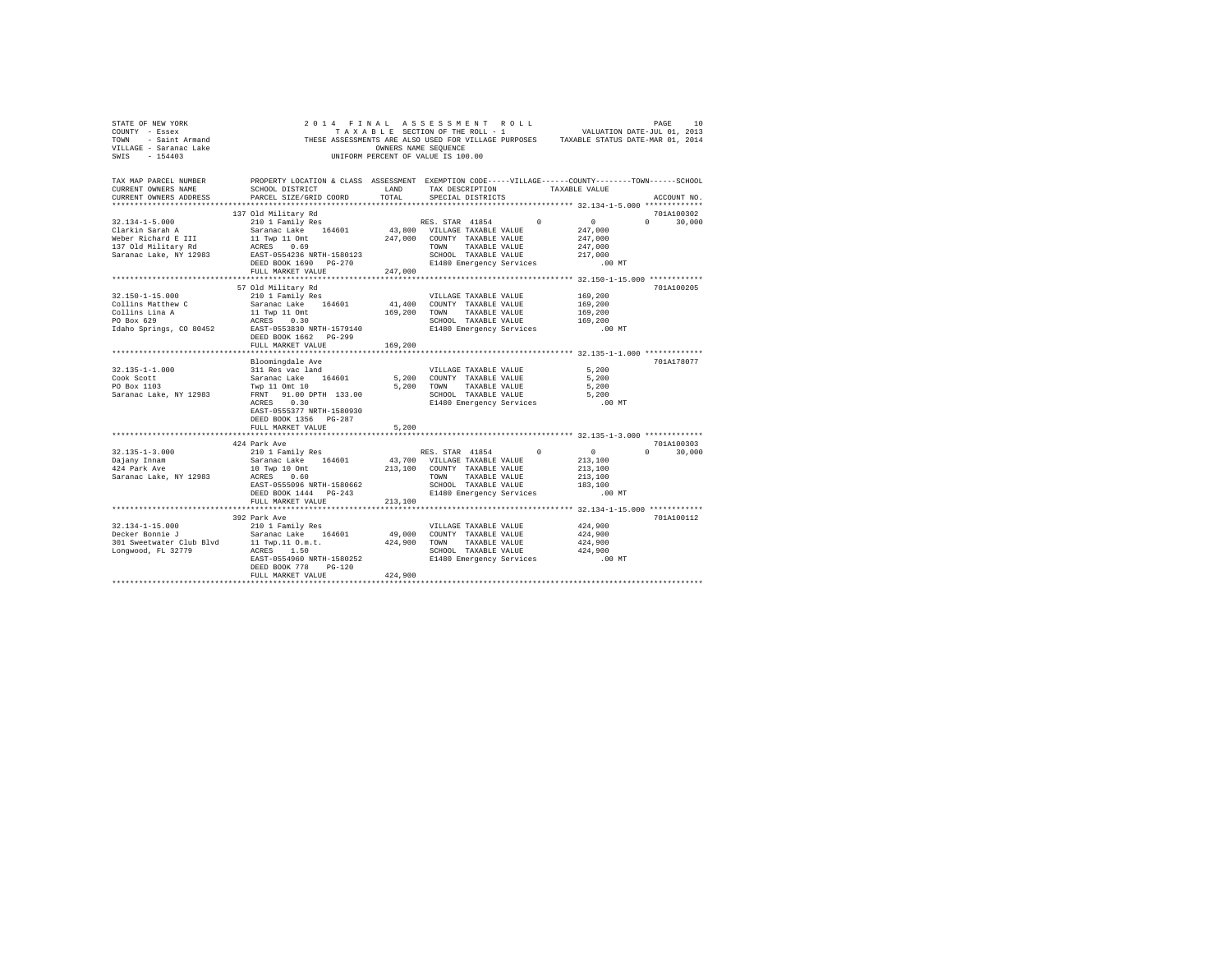| STATE OF NEW YORK<br>COUNTY - Essex                                    |                                                                                                                                                | OWNERS NAME SEQUENCE | 2014 FINAL ASSESSMENT ROLL<br>UNIFORM PERCENT OF VALUE IS 100.00 |               | THESE ASSESSMENTS ARE ALSO USED FOR VILLAGE PURPOSES TAXABLE STATUS DATE-MAR 01, 2014 |                                  |  |
|------------------------------------------------------------------------|------------------------------------------------------------------------------------------------------------------------------------------------|----------------------|------------------------------------------------------------------|---------------|---------------------------------------------------------------------------------------|----------------------------------|--|
| TAX MAP PARCEL NUMBER<br>CURRENT OWNERS NAME<br>CURRENT OWNERS ADDRESS | PROPERTY LOCATION & CLASS ASSESSMENT EXEMPTION CODE-----VILLAGE-----COUNTY-------TOWN------SCHOOL<br>SCHOOL DISTRICT<br>PARCEL SIZE/GRID COORD | LAND<br>TOTAL        | TAX DESCRIPTION TAXABLE VALUE<br>SPECIAL DISTRICTS               |               |                                                                                       | ACCOUNT NO.                      |  |
|                                                                        |                                                                                                                                                |                      |                                                                  |               |                                                                                       |                                  |  |
| $32.134 - 1 - 5.000$                                                   | 137 Old Military Rd<br>210 1 Family Res                                                                                                        |                      |                                                                  | $\Omega$      | $\sim$ 0                                                                              | 701A100302<br>$\Omega$<br>30,000 |  |
| Clarkin Sarah A                                                        | Saranac Lake 164601                                                                                                                            |                      | RES. STAR 41854<br>43,800 VILLAGE TAXABLE VALUE                  |               | 247,000                                                                               |                                  |  |
| Weber Richard E III                                                    |                                                                                                                                                |                      | 247,000 COUNTY TAXABLE VALUE                                     |               | 247,000                                                                               |                                  |  |
| 137 Old Military Rd                                                    | 11 Twp 11 Omt<br>ACRES 0.69                                                                                                                    |                      | TOWN TAXABLE VALUE                                               |               | 247,000                                                                               |                                  |  |
| Saranac Lake, NY 12983                                                 | EAST-0554236 NRTH-1580123                                                                                                                      |                      | SCHOOL TAXABLE VALUE                                             |               | 217,000                                                                               |                                  |  |
|                                                                        | DEED BOOK 1690 PG-270                                                                                                                          |                      | E1480 Emergency Services                                         |               | $.00$ MT                                                                              |                                  |  |
|                                                                        | FULL MARKET VALUE                                                                                                                              | 247,000              |                                                                  |               |                                                                                       |                                  |  |
|                                                                        |                                                                                                                                                |                      |                                                                  |               |                                                                                       |                                  |  |
|                                                                        | 57 Old Military Rd                                                                                                                             |                      |                                                                  |               |                                                                                       | 701A100205                       |  |
| $32.150 - 1 - 15.000$                                                  | 210 1 Family Res                                                                                                                               |                      | VILLAGE TAXABLE VALUE                                            |               | 169,200                                                                               |                                  |  |
| Collins Matthew C                                                      | Saranac Lake 164601                                                                                                                            |                      | 41,400 COUNTY TAXABLE VALUE                                      |               | 169,200                                                                               |                                  |  |
| Collins Lina A<br>PO Box 629                                           | 11 Twp 11 Omt<br>ACRES 0.30                                                                                                                    | 169,200              | TOWN TAXABLE VALUE<br>SCHOOL TAXABLE VALUE                       |               | 169,200<br>169,200                                                                    |                                  |  |
| Idaho Springs, CO 80452                                                | EAST-0553830 NRTH-1579140                                                                                                                      |                      | E1480 Emergency Services                                         |               | .00 MT                                                                                |                                  |  |
|                                                                        | DEED BOOK 1662 PG-299                                                                                                                          |                      |                                                                  |               |                                                                                       |                                  |  |
|                                                                        | FULL MARKET VALUE                                                                                                                              | 169,200              |                                                                  |               |                                                                                       |                                  |  |
|                                                                        |                                                                                                                                                |                      |                                                                  |               |                                                                                       |                                  |  |
|                                                                        | Bloomingdale Ave                                                                                                                               |                      |                                                                  |               |                                                                                       | 701A178077                       |  |
| 32.135-1-1.000                                                         | 311 Res vac land                                                                                                                               |                      | VILLAGE TAXABLE VALUE                                            |               | 5,200                                                                                 |                                  |  |
| Cook Scott                                                             | Saranac Lake 164601                                                                                                                            |                      | 5,200 COUNTY TAXABLE VALUE                                       |               | 5,200                                                                                 |                                  |  |
| PO Box 1103                                                            | Twp 11 Omt 10                                                                                                                                  |                      | 5,200 TOWN TAXABLE VALUE                                         |               | 5,200                                                                                 |                                  |  |
| Saranac Lake, NY 12983                                                 | FRNT 91.00 DPTH 133.00<br>ACRES 0.30                                                                                                           |                      | SCHOOL TAXABLE VALUE<br>E1480 Emergency Services                 |               | 5,200<br>.00 MT                                                                       |                                  |  |
|                                                                        | EAST-0555377 NRTH-1580930                                                                                                                      |                      |                                                                  |               |                                                                                       |                                  |  |
|                                                                        | DEED BOOK 1356 PG-287                                                                                                                          |                      |                                                                  |               |                                                                                       |                                  |  |
|                                                                        | FULL MARKET VALUE                                                                                                                              | 5,200                |                                                                  |               |                                                                                       |                                  |  |
|                                                                        |                                                                                                                                                |                      |                                                                  |               |                                                                                       |                                  |  |
|                                                                        | 424 Park Ave                                                                                                                                   |                      |                                                                  |               |                                                                                       | 701A100303                       |  |
| $32.135 - 1 - 3.000$                                                   | 210 1 Family Res                                                                                                                               |                      | RES. STAR 41854                                                  | $\Omega$      | $\sim$ 0                                                                              | 30,000<br>$\Omega$               |  |
| Dajany Innam                                                           | Saranac Lake 164601                                                                                                                            |                      | 43,700 VILLAGE TAXABLE VALUE                                     |               | 213,100                                                                               |                                  |  |
| 424 Park Ave                                                           | 10 Twp 10 Omt                                                                                                                                  |                      | 213,100 COUNTY TAXABLE VALUE                                     |               | 213,100                                                                               |                                  |  |
| Saranac Lake, NY 12983                                                 | ACRES 0.60                                                                                                                                     |                      | TOWN                                                             | TAXABLE VALUE | 213,100                                                                               |                                  |  |
|                                                                        | EAST-0555096 NRTH-1580662                                                                                                                      |                      | SCHOOL TAXABLE VALUE                                             |               | 183,100                                                                               |                                  |  |
|                                                                        | DEED BOOK 1444 PG-243<br>FULL MARKET VALUE                                                                                                     | 213,100              | E1480 Emergency Services                                         |               | $.00$ MT                                                                              |                                  |  |
|                                                                        |                                                                                                                                                |                      |                                                                  |               |                                                                                       |                                  |  |
|                                                                        | 392 Park Ave                                                                                                                                   |                      |                                                                  |               |                                                                                       | 701A100112                       |  |
|                                                                        | 210 1 Family Res                                                                                                                               |                      | VILLAGE TAXABLE VALUE                                            |               | 424,900                                                                               |                                  |  |
| 32.134-1-15.000<br>Decker Bonnie J                                     | Saranac Lake 164601                                                                                                                            | 49,000               | COUNTY TAXABLE VALUE                                             |               | 424,900                                                                               |                                  |  |
| 301 Sweetwater Club Blvd                                               | 11 Twp.11 O.m.t.                                                                                                                               | 424,900              | TOWN TAXABLE VALUE                                               |               | 424,900                                                                               |                                  |  |
| Longwood, FL 32779                                                     | ACRES 1.50                                                                                                                                     |                      | SCHOOL TAXABLE VALUE                                             |               | 424,900                                                                               |                                  |  |
|                                                                        | EAST-0554960 NRTH-1580252                                                                                                                      |                      | E1480 Emergency Services                                         |               | .00MT                                                                                 |                                  |  |
|                                                                        | DEED BOOK 778 PG-120                                                                                                                           |                      |                                                                  |               |                                                                                       |                                  |  |
|                                                                        | FULL MARKET VALUE                                                                                                                              | 424,900              |                                                                  |               |                                                                                       |                                  |  |
|                                                                        |                                                                                                                                                |                      |                                                                  |               |                                                                                       |                                  |  |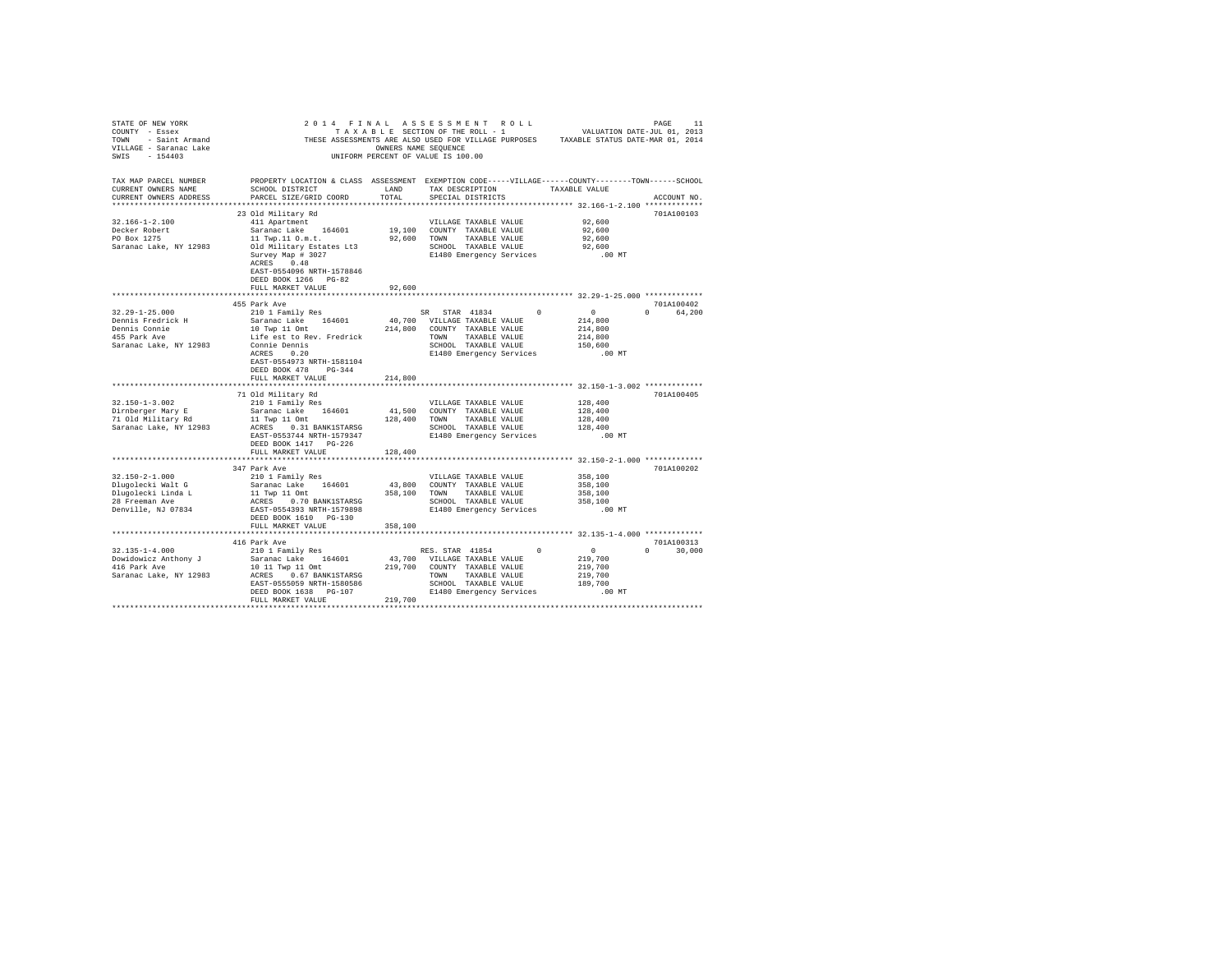| STATE OF NEW YORK                                                                                                                                                                                                                    |                                                                                                   |                             |                       |                       |                               |                                                                |               |  |
|--------------------------------------------------------------------------------------------------------------------------------------------------------------------------------------------------------------------------------------|---------------------------------------------------------------------------------------------------|-----------------------------|-----------------------|-----------------------|-------------------------------|----------------------------------------------------------------|---------------|--|
| COUNTY - Essex                                                                                                                                                                                                                       |                                                                                                   |                             |                       |                       |                               |                                                                |               |  |
|                                                                                                                                                                                                                                      |                                                                                                   |                             |                       |                       |                               |                                                                |               |  |
|                                                                                                                                                                                                                                      |                                                                                                   |                             |                       |                       |                               |                                                                |               |  |
| NET THESE ASSESSMENTS ARE ALSO USED FOR VILLAGE PURPOSES TAXABLE STATUS DATE-MAR 01, 2014<br>1990 - Saina Carlo Carlo Carlo Carlo Carlo Carlo Carlo Carlo Carlo Carlo Carlo Carlo Carlo Carlo Carlo Carlo C<br>1991 - Sain Carlo Car |                                                                                                   |                             |                       |                       |                               |                                                                |               |  |
|                                                                                                                                                                                                                                      |                                                                                                   |                             |                       |                       |                               |                                                                |               |  |
|                                                                                                                                                                                                                                      |                                                                                                   |                             |                       |                       |                               |                                                                |               |  |
| TAX MAP PARCEL NUMBER                                                                                                                                                                                                                | PROPERTY LOCATION & CLASS ASSESSMENT EXEMPTION CODE-----VILLAGE-----COUNTY-------TOWN------SCHOOL |                             |                       |                       |                               |                                                                |               |  |
| CURRENT OWNERS NAME                                                                                                                                                                                                                  | SCHOOL DISTRICT                                                                                   | LAND                        |                       |                       | TAX DESCRIPTION TAXABLE VALUE |                                                                |               |  |
| CURRENT OWNERS ADDRESS                                                                                                                                                                                                               | PARCEL SIZE/GRID COORD                                                                            | TOTAL                       |                       | SPECIAL DISTRICTS     |                               |                                                                | ACCOUNT NO.   |  |
|                                                                                                                                                                                                                                      |                                                                                                   |                             |                       |                       |                               |                                                                |               |  |
|                                                                                                                                                                                                                                      | 23 Old Military Rd                                                                                |                             |                       |                       |                               |                                                                | 701A100103    |  |
| $32.166 - 1 - 2.100$                                                                                                                                                                                                                 | 411 Apartment                                                                                     |                             | VILLAGE TAXABLE VALUE |                       |                               | 92,600                                                         |               |  |
| Decker Robert                                                                                                                                                                                                                        | Saranac Lake 164601                                                                               | 19,100 COUNTY TAXABLE VALUE |                       |                       |                               | 92,600                                                         |               |  |
| PO Box 1275                                                                                                                                                                                                                          | 11 Twp.11 0.m.t.                                                                                  | 92,600 TOWN TAXABLE VALUE   |                       |                       |                               | 92,600                                                         |               |  |
| Saranac Lake, NY 12983 Old Military Estates Lt3                                                                                                                                                                                      |                                                                                                   |                             |                       |                       |                               |                                                                |               |  |
|                                                                                                                                                                                                                                      | Survey Map # 3027                                                                                 |                             |                       |                       |                               | SCHOOL TAXABLE VALUE 92,600<br>E1480 Emergency Services .00 MT |               |  |
|                                                                                                                                                                                                                                      | ACRES 0.48                                                                                        |                             |                       |                       |                               |                                                                |               |  |
|                                                                                                                                                                                                                                      | EAST-0554096 NRTH-1578846                                                                         |                             |                       |                       |                               |                                                                |               |  |
|                                                                                                                                                                                                                                      |                                                                                                   |                             |                       |                       |                               |                                                                |               |  |
|                                                                                                                                                                                                                                      | DEED BOOK 1266 PG-82                                                                              |                             |                       |                       |                               |                                                                |               |  |
|                                                                                                                                                                                                                                      | FULL MARKET VALUE                                                                                 | 92,600                      |                       |                       |                               |                                                                |               |  |
|                                                                                                                                                                                                                                      |                                                                                                   |                             |                       |                       |                               |                                                                |               |  |
|                                                                                                                                                                                                                                      | 455 Park Ave                                                                                      |                             |                       |                       |                               |                                                                | 701A100402    |  |
| $32.29 - 1 - 25.000$                                                                                                                                                                                                                 |                                                                                                   |                             |                       |                       |                               | $\sim$ 0 $\sim$ 0                                              | 0 64,200      |  |
| Dennis Fredrick H                                                                                                                                                                                                                    |                                                                                                   |                             |                       |                       |                               | 214,800                                                        |               |  |
|                                                                                                                                                                                                                                      |                                                                                                   |                             |                       |                       |                               | 214,800                                                        |               |  |
| Dennis Connie<br>455 Park Ave                                                                                                                                                                                                        |                                                                                                   |                             |                       |                       |                               | 214,800                                                        |               |  |
| Saranac Lake, NY 12983                                                                                                                                                                                                               |                                                                                                   |                             |                       |                       |                               | 150,600                                                        |               |  |
|                                                                                                                                                                                                                                      |                                                                                                   |                             |                       |                       |                               | .00 MT                                                         |               |  |
|                                                                                                                                                                                                                                      |                                                                                                   |                             |                       |                       |                               |                                                                |               |  |
|                                                                                                                                                                                                                                      | DEED BOOK 478 PG-344                                                                              |                             |                       |                       |                               |                                                                |               |  |
|                                                                                                                                                                                                                                      | FULL MARKET VALUE 214,800                                                                         |                             |                       |                       |                               |                                                                |               |  |
|                                                                                                                                                                                                                                      |                                                                                                   |                             |                       |                       |                               |                                                                |               |  |
|                                                                                                                                                                                                                                      | 71 Old Military Rd                                                                                |                             |                       |                       |                               |                                                                | 701A100405    |  |
| $32.150 - 1 - 3.002$                                                                                                                                                                                                                 | 210 1 Family Res                                                                                  |                             | VILLAGE TAXABLE VALUE |                       |                               | 128,400                                                        |               |  |
|                                                                                                                                                                                                                                      |                                                                                                   |                             |                       |                       |                               | 128,400                                                        |               |  |
|                                                                                                                                                                                                                                      |                                                                                                   |                             |                       |                       |                               |                                                                |               |  |
|                                                                                                                                                                                                                                      |                                                                                                   |                             |                       |                       |                               | 128,400                                                        |               |  |
|                                                                                                                                                                                                                                      |                                                                                                   |                             |                       |                       |                               | 128,400                                                        |               |  |
|                                                                                                                                                                                                                                      |                                                                                                   |                             |                       |                       |                               | $.00$ MT                                                       |               |  |
|                                                                                                                                                                                                                                      | DEED BOOK 1417 PG-226                                                                             |                             |                       |                       |                               |                                                                |               |  |
|                                                                                                                                                                                                                                      | FULL MARKET VALUE                                                                                 | 128,400                     |                       |                       |                               |                                                                |               |  |
|                                                                                                                                                                                                                                      |                                                                                                   |                             |                       |                       |                               |                                                                |               |  |
|                                                                                                                                                                                                                                      | 347 Park Ave                                                                                      |                             |                       |                       |                               |                                                                | 701A100202    |  |
| $32.150 - 2 - 1.000$                                                                                                                                                                                                                 | 210 1 Family Res                                                                                  |                             |                       | VILLAGE TAXABLE VALUE |                               | 358,100                                                        |               |  |
|                                                                                                                                                                                                                                      |                                                                                                   |                             |                       |                       |                               |                                                                |               |  |
|                                                                                                                                                                                                                                      |                                                                                                   |                             |                       |                       |                               |                                                                |               |  |
|                                                                                                                                                                                                                                      |                                                                                                   |                             |                       |                       |                               |                                                                |               |  |
|                                                                                                                                                                                                                                      |                                                                                                   |                             |                       |                       |                               |                                                                |               |  |
|                                                                                                                                                                                                                                      |                                                                                                   |                             |                       |                       |                               |                                                                |               |  |
|                                                                                                                                                                                                                                      |                                                                                                   |                             |                       |                       |                               |                                                                |               |  |
|                                                                                                                                                                                                                                      |                                                                                                   |                             |                       |                       |                               |                                                                |               |  |
|                                                                                                                                                                                                                                      |                                                                                                   |                             |                       |                       |                               |                                                                |               |  |
|                                                                                                                                                                                                                                      | 416 Park Ave                                                                                      |                             |                       |                       |                               |                                                                | 701A100313    |  |
| $32.135 - 1 - 4.000$                                                                                                                                                                                                                 | 210 1 Family Res                                                                                  | RES. STAR 41854 0 0         |                       |                       |                               |                                                                | $0 \t 30,000$ |  |
|                                                                                                                                                                                                                                      |                                                                                                   |                             |                       |                       |                               |                                                                |               |  |
|                                                                                                                                                                                                                                      |                                                                                                   |                             |                       |                       |                               |                                                                |               |  |
|                                                                                                                                                                                                                                      |                                                                                                   |                             |                       |                       |                               |                                                                |               |  |
|                                                                                                                                                                                                                                      |                                                                                                   |                             |                       |                       |                               |                                                                |               |  |
|                                                                                                                                                                                                                                      |                                                                                                   |                             |                       |                       |                               | .00 MT                                                         |               |  |
|                                                                                                                                                                                                                                      | FULL MARKET VALUE                                                                                 | 219,700                     |                       |                       |                               |                                                                |               |  |
|                                                                                                                                                                                                                                      |                                                                                                   |                             |                       |                       |                               |                                                                |               |  |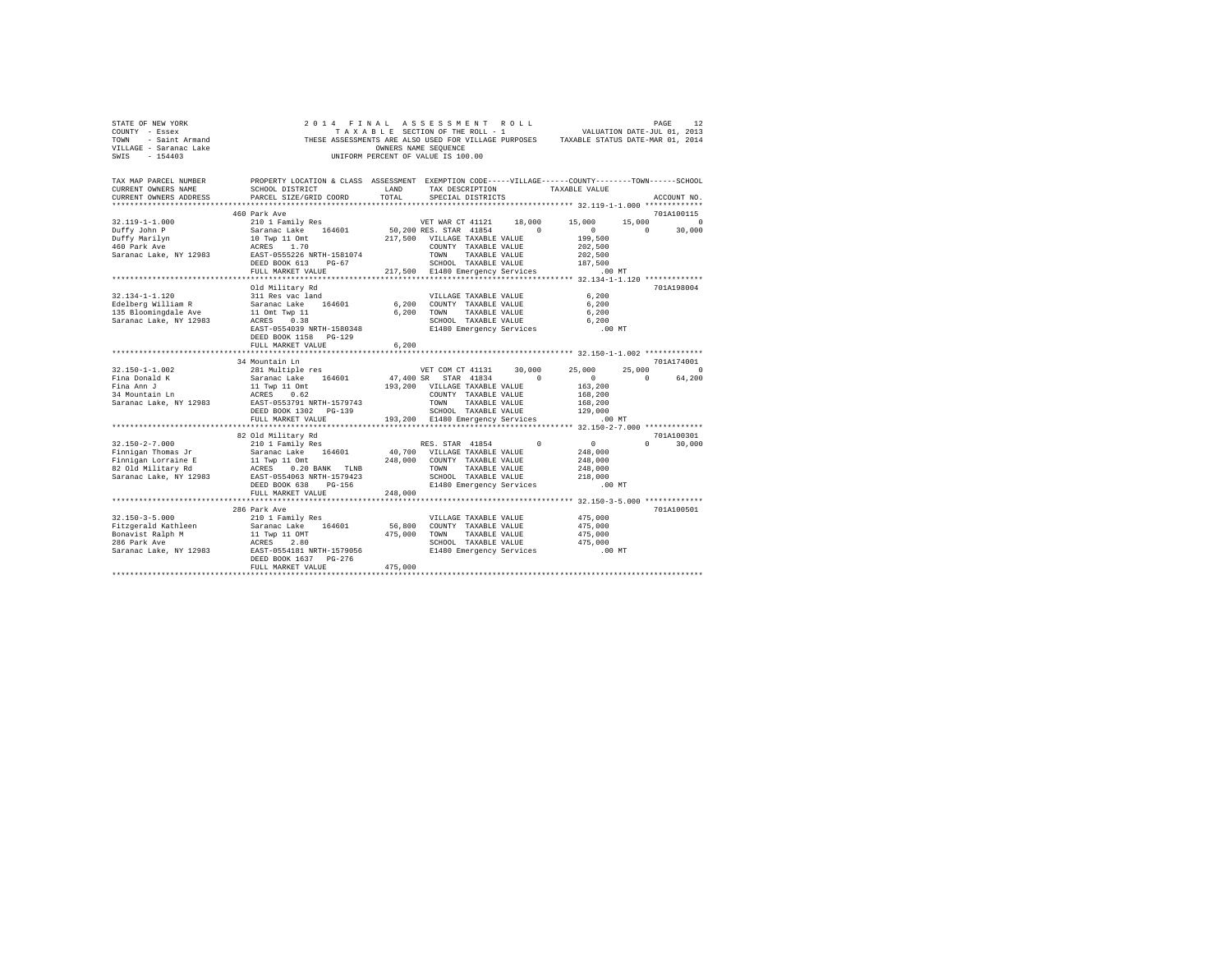| STATE OF NEW YORK<br>COUNTY - Essex<br>TOWN<br>- Saint Armand<br>VILLAGE - Saranac Lake<br>SWTS<br>$-154403$ | 2014 FINAL ASSESSMENT ROLL                                                                                           | OWNERS NAME SEQUENCE | TAXABLE SECTION OF THE ROLL - 1<br>UNIFORM PERCENT OF VALUE IS 100.00 |               | VALUATION DATE-JUL 01, 2013<br>THESE ASSESSMENTS ARE ALSO USED FOR VILLAGE PURPOSES TAXABLE STATUS DATE-MAR 01, 2014 |          | PAGE<br>12           |
|--------------------------------------------------------------------------------------------------------------|----------------------------------------------------------------------------------------------------------------------|----------------------|-----------------------------------------------------------------------|---------------|----------------------------------------------------------------------------------------------------------------------|----------|----------------------|
| TAX MAP PARCEL NUMBER<br>CURRENT OWNERS NAME                                                                 | PROPERTY LOCATION & CLASS ASSESSMENT EXEMPTION CODE-----VILLAGE-----COUNTY-------TOWN------SCHOOL<br>SCHOOL DISTRICT | LAND                 | TAX DESCRIPTION                                                       |               | TAXABLE VALUE                                                                                                        |          |                      |
| CURRENT OWNERS ADDRESS                                                                                       | PARCEL SIZE/GRID COORD                                                                                               | TOTAL                | SPECIAL DISTRICTS                                                     |               |                                                                                                                      |          | ACCOUNT NO.          |
|                                                                                                              | 460 Park Ave                                                                                                         |                      |                                                                       |               |                                                                                                                      |          | 701A100115           |
| $32.119 - 1 - 1.000$                                                                                         | 210 1 Family Res                                                                                                     |                      | VET WAR CT 41121                                                      | 18,000        | 15,000                                                                                                               | 15,000   | $\Omega$             |
| Duffy John P                                                                                                 | Saranac Lake 164601                                                                                                  |                      | 50,200 RES. STAR 41854                                                | $\sim$ 0      | $\Omega$                                                                                                             | $\Omega$ | 30,000               |
| Duffy Marilyn                                                                                                | 10 Twp 11 Omt                                                                                                        |                      | 217,500 VILLAGE TAXABLE VALUE                                         |               | 199,500                                                                                                              |          |                      |
| 460 Park Ave                                                                                                 | ACRES 1.70                                                                                                           |                      | COUNTY TAXABLE VALUE                                                  |               | 202,500                                                                                                              |          |                      |
| Saranac Lake, NY 12983                                                                                       | EAST-0555226 NRTH-1581074                                                                                            |                      | TOWN                                                                  | TAXABLE VALUE | 202,500                                                                                                              |          |                      |
|                                                                                                              | DEED BOOK 613 PG-67<br>FULL MARKET VALUE                                                                             |                      | SCHOOL TAXABLE VALUE<br>217,500 E1480 Emergency Services              |               | 187,500<br>.00 MT                                                                                                    |          |                      |
|                                                                                                              |                                                                                                                      |                      |                                                                       |               |                                                                                                                      |          |                      |
|                                                                                                              | Old Military Rd                                                                                                      |                      |                                                                       |               |                                                                                                                      |          | 701A198004           |
| $32.134 - 1 - 1.120$                                                                                         | 311 Res vac land                                                                                                     |                      | VILLAGE TAXABLE VALUE                                                 |               | 6.200                                                                                                                |          |                      |
| Edelberg William R                                                                                           | Saranac Lake 164601                                                                                                  |                      | 6,200 COUNTY TAXABLE VALUE                                            |               | 6,200                                                                                                                |          |                      |
| 135 Bloomingdale Ave                                                                                         | 11 Omt Twp 11                                                                                                        |                      | 6.200 TOWN                                                            | TAXABLE VALUE | 6.200                                                                                                                |          |                      |
| Saranac Lake, NY 12983                                                                                       | ACRES 0.38                                                                                                           |                      | SCHOOL TAXABLE VALUE                                                  |               | 6.200                                                                                                                |          |                      |
|                                                                                                              | EAST-0554039 NRTH-1580348                                                                                            |                      | E1480 Emergency Services                                              |               | $.00$ MT                                                                                                             |          |                      |
|                                                                                                              | DEED BOOK 1158 PG-129                                                                                                |                      |                                                                       |               |                                                                                                                      |          |                      |
|                                                                                                              | FULL MARKET VALUE<br>**************************                                                                      | 6,200                |                                                                       |               |                                                                                                                      |          |                      |
|                                                                                                              | 34 Mountain Ln                                                                                                       |                      |                                                                       |               |                                                                                                                      |          | 701A174001           |
| 32.150-1-1.002                                                                                               | 281 Multiple res                                                                                                     |                      | VET COM CT 41131                                                      | 30,000        | 25,000                                                                                                               | 25,000   | $\Omega$             |
| Fina Donald K                                                                                                | Saranac Lake 164601                                                                                                  |                      | 47,400 SR STAR 41834                                                  | $\Omega$      | $\Omega$                                                                                                             | $\cap$   | 64,200               |
| Fina Ann J                                                                                                   | 11 Twp 11 Omt                                                                                                        |                      | 193.200 VILLAGE TAXABLE VALUE                                         |               | 163,200                                                                                                              |          |                      |
| 34 Mountain Ln                                                                                               | ACRES 0.62                                                                                                           |                      | COUNTY TAXABLE VALUE                                                  |               | 168,200                                                                                                              |          |                      |
| Saranac Lake, NY 12983                                                                                       | EAST-0553791 NRTH-1579743                                                                                            |                      | TOWN                                                                  | TAXABLE VALUE | 168,200                                                                                                              |          |                      |
|                                                                                                              | DEED BOOK 1302 PG-139                                                                                                |                      | SCHOOL TAXABLE VALUE                                                  |               | 129,000                                                                                                              |          |                      |
|                                                                                                              | FULL MARKET VALUE                                                                                                    |                      | 193,200 E1480 Emergency Services                                      |               | .00 MT                                                                                                               |          |                      |
|                                                                                                              |                                                                                                                      |                      |                                                                       |               | ********** 32.150-2-7.000 *************                                                                              |          |                      |
| $32.150 - 2 - 7.000$                                                                                         | 82 Old Military Rd<br>210 1 Family Res                                                                               |                      | RES. STAR 41854                                                       | $\Omega$      | $\sim$ 0                                                                                                             | $\cap$   | 701A100301<br>30,000 |
| Finnigan Thomas Jr                                                                                           | Saranac Lake 164601                                                                                                  |                      | 40.700 VILLAGE TAXABLE VALUE                                          |               | 248,000                                                                                                              |          |                      |
| Finnigan Lorraine E                                                                                          | 11 Twp 11 Omt                                                                                                        |                      | 248,000 COUNTY TAXABLE VALUE                                          |               | 248,000                                                                                                              |          |                      |
| 82 Old Military Rd                                                                                           | ACRES 0.20 BANK TLNB                                                                                                 |                      | TOWN                                                                  | TAXABLE VALUE | 248,000                                                                                                              |          |                      |
| Saranac Lake, NY 12983                                                                                       | EAST-0554063 NRTH-1579423                                                                                            |                      | SCHOOL TAXABLE VALUE                                                  |               | 218,000                                                                                                              |          |                      |
|                                                                                                              | DEED BOOK 638 PG-156                                                                                                 |                      | E1480 Emergency Services                                              |               | .00 MT                                                                                                               |          |                      |
|                                                                                                              | FULL MARKET VALUE                                                                                                    | 248,000              |                                                                       |               |                                                                                                                      |          |                      |
|                                                                                                              | ************************                                                                                             |                      |                                                                       |               | *********************************** 32.150-3-5.000 *************                                                     |          |                      |
|                                                                                                              | 286 Park Ave                                                                                                         |                      |                                                                       |               |                                                                                                                      |          | 701A100501           |
| $32.150 - 3 - 5.000$<br>Fitzgerald Kathleen                                                                  | 210 1 Family Res<br>Saranac Lake 164601                                                                              |                      | VILLAGE TAXABLE VALUE<br>56,800 COUNTY TAXABLE VALUE                  |               | 475,000<br>475,000                                                                                                   |          |                      |
| Bonavist Ralph M                                                                                             | 11 Twp 11 OMT                                                                                                        | 475,000 TOWN         |                                                                       | TAXABLE VALUE | 475,000                                                                                                              |          |                      |
| 286 Park Ave                                                                                                 | ACRES 2.80                                                                                                           |                      | SCHOOL TAXABLE VALUE                                                  |               | 475,000                                                                                                              |          |                      |
| Saranac Lake, NY 12983                                                                                       | EAST-0554181 NRTH-1579056                                                                                            |                      | E1480 Emergency Services                                              |               | $.00$ MT                                                                                                             |          |                      |
|                                                                                                              | DEED BOOK 1637 PG-276                                                                                                |                      |                                                                       |               |                                                                                                                      |          |                      |
|                                                                                                              | FULL MARKET VALUE                                                                                                    | 475,000              |                                                                       |               |                                                                                                                      |          |                      |
|                                                                                                              |                                                                                                                      |                      |                                                                       |               |                                                                                                                      |          |                      |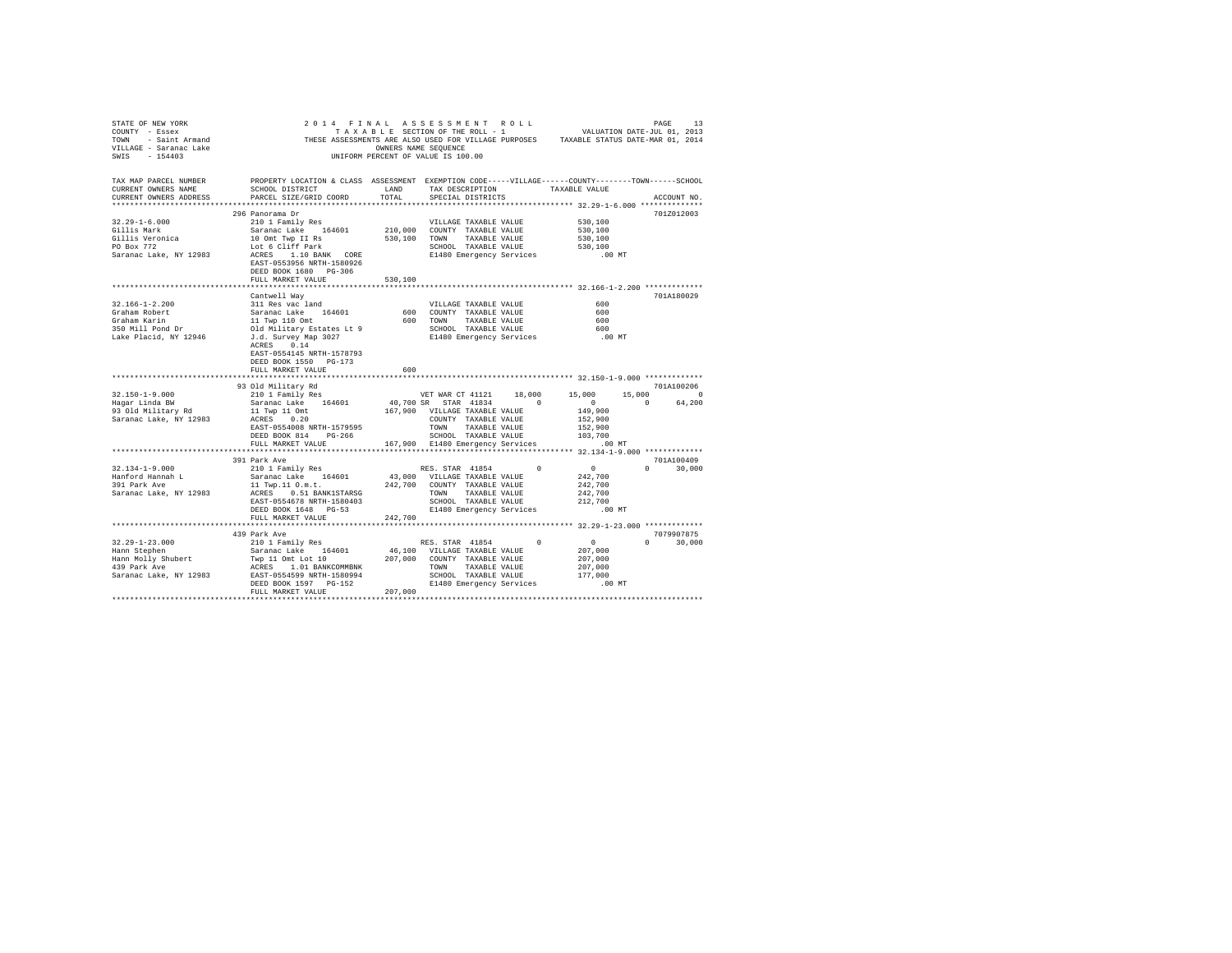|                                  | STATE OF ENF YORK WORK WORK AND A RESULTED TO A RESULT ON THE SECTION OF THE SECTION OF THE SECTION OF THE ROLL TOWN - SAIN T-JULIOL (2013)<br>TOWN - Saint Armand - THESE ASSESSMENTS ARE ALSO USED FOR VILLAGE PURPOSES TAXAB                                                                                                                                                                                                         |         |                               |                      |               |               |
|----------------------------------|-----------------------------------------------------------------------------------------------------------------------------------------------------------------------------------------------------------------------------------------------------------------------------------------------------------------------------------------------------------------------------------------------------------------------------------------|---------|-------------------------------|----------------------|---------------|---------------|
|                                  | TAX MAP PARCEL NUMBER PROPERTY LOCATION & CLASS ASSESSMENT EXEMPTION CODE-----VILLAGE-----COUNTY-------TOWN------SCHOOL<br>CURRENT OWNERS NAME SCHOOL DISTRICT LAND TAX DESCRIPTION TAXABLE VALUE                                                                                                                                                                                                                                       |         | TAX DESCRIPTION TAXABLE VALUE |                      |               |               |
|                                  | CURRENT OWNERS ADDRESS PARCEL SIZE/GRID COORD                                                                                                                                                                                                                                                                                                                                                                                           | TOTAL   | SPECIAL DISTRICTS             |                      |               | ACCOUNT NO.   |
|                                  |                                                                                                                                                                                                                                                                                                                                                                                                                                         |         |                               |                      |               |               |
|                                  | 296 Panorama Dr                                                                                                                                                                                                                                                                                                                                                                                                                         |         |                               |                      |               | 701Z012003    |
|                                  |                                                                                                                                                                                                                                                                                                                                                                                                                                         |         |                               | 530,100              |               |               |
|                                  |                                                                                                                                                                                                                                                                                                                                                                                                                                         |         |                               | 530,100              |               |               |
|                                  |                                                                                                                                                                                                                                                                                                                                                                                                                                         |         |                               | $530,100$<br>530,100 |               |               |
|                                  |                                                                                                                                                                                                                                                                                                                                                                                                                                         |         |                               |                      |               |               |
|                                  | DEED BOOK 1680 PG-306                                                                                                                                                                                                                                                                                                                                                                                                                   |         |                               | .00 MT               |               |               |
|                                  | FULL MARKET VALUE                                                                                                                                                                                                                                                                                                                                                                                                                       | 530,100 |                               |                      |               |               |
|                                  |                                                                                                                                                                                                                                                                                                                                                                                                                                         |         |                               |                      |               | 701A180029    |
|                                  |                                                                                                                                                                                                                                                                                                                                                                                                                                         |         |                               |                      |               |               |
|                                  |                                                                                                                                                                                                                                                                                                                                                                                                                                         |         |                               |                      |               |               |
|                                  |                                                                                                                                                                                                                                                                                                                                                                                                                                         |         |                               |                      |               |               |
|                                  |                                                                                                                                                                                                                                                                                                                                                                                                                                         |         |                               |                      |               |               |
|                                  |                                                                                                                                                                                                                                                                                                                                                                                                                                         |         |                               |                      |               |               |
|                                  | EAST-0554145 NRTH-1578793<br>DEED BOOK 1550 PG-173                                                                                                                                                                                                                                                                                                                                                                                      |         |                               |                      |               |               |
|                                  | FULL MARKET VALUE                                                                                                                                                                                                                                                                                                                                                                                                                       | 600     |                               |                      |               |               |
|                                  | $\begin{tabular}{l cccc} \textbf{33} & \textbf{34} & \textbf{35} & \textbf{36} & \textbf{37} & \textbf{38} & \textbf{39} & \textbf{39} & \textbf{39} & \textbf{39} & \textbf{39} & \textbf{39} & \textbf{39} & \textbf{39} & \textbf{39} & \textbf{39} & \textbf{39} & \textbf{39} & \textbf{39} & \textbf{39} & \textbf{39} & \textbf{39} & \textbf{39} & \textbf{39} & \textbf{39} & \textbf{39} & \text$                             |         |                               |                      |               |               |
|                                  |                                                                                                                                                                                                                                                                                                                                                                                                                                         |         |                               |                      |               |               |
|                                  |                                                                                                                                                                                                                                                                                                                                                                                                                                         |         |                               |                      |               |               |
|                                  |                                                                                                                                                                                                                                                                                                                                                                                                                                         |         |                               |                      |               |               |
|                                  |                                                                                                                                                                                                                                                                                                                                                                                                                                         |         |                               |                      |               |               |
|                                  |                                                                                                                                                                                                                                                                                                                                                                                                                                         |         |                               |                      |               |               |
|                                  |                                                                                                                                                                                                                                                                                                                                                                                                                                         |         |                               |                      |               |               |
|                                  |                                                                                                                                                                                                                                                                                                                                                                                                                                         |         |                               |                      |               |               |
|                                  |                                                                                                                                                                                                                                                                                                                                                                                                                                         |         |                               |                      |               |               |
|                                  | 391 Park Ave                                                                                                                                                                                                                                                                                                                                                                                                                            |         |                               |                      |               | 701A100409    |
| 32.134-1-9.000                   |                                                                                                                                                                                                                                                                                                                                                                                                                                         |         |                               |                      | $0 \t 30,000$ |               |
| Hanford Hannah L<br>391 Park Ave |                                                                                                                                                                                                                                                                                                                                                                                                                                         |         |                               |                      |               |               |
| Saranac Lake, NY 12983           |                                                                                                                                                                                                                                                                                                                                                                                                                                         |         |                               |                      |               |               |
|                                  |                                                                                                                                                                                                                                                                                                                                                                                                                                         |         |                               |                      |               |               |
|                                  |                                                                                                                                                                                                                                                                                                                                                                                                                                         |         |                               |                      |               |               |
|                                  |                                                                                                                                                                                                                                                                                                                                                                                                                                         |         |                               |                      |               |               |
|                                  |                                                                                                                                                                                                                                                                                                                                                                                                                                         |         |                               |                      |               |               |
|                                  | 439 Park Ave                                                                                                                                                                                                                                                                                                                                                                                                                            |         |                               |                      | 7079907875    |               |
|                                  |                                                                                                                                                                                                                                                                                                                                                                                                                                         |         |                               |                      |               | $0 \t 30.000$ |
|                                  |                                                                                                                                                                                                                                                                                                                                                                                                                                         |         |                               |                      |               |               |
|                                  |                                                                                                                                                                                                                                                                                                                                                                                                                                         |         |                               |                      |               |               |
|                                  |                                                                                                                                                                                                                                                                                                                                                                                                                                         |         |                               |                      |               |               |
|                                  |                                                                                                                                                                                                                                                                                                                                                                                                                                         |         |                               |                      |               |               |
|                                  | $\begin{tabular}{l c c c c c} \multicolumn{1}{c}{32.29-1-23.000} & \multicolumn{1}{c}{459} $\begin{tabular}{0.9cm} \multicolumn{1}{c}{459} $\begin{tabular}{0.9cm} \multicolumn{1}{c}{459} $\begin{tabular}{0.9cm} \multicolumn{1}{c}{459} $\begin{tabular}{0.9cm} \multicolumn{1}{c}{459} $\begin{tabular}{0.9cm} \multicolumn{1}{c}{459} $\begin{tabular}{0.9cm} \multicolumn{1}{c}{459} $\begin{tabular}{0.9cm} \multicolumn{1}{c}{$ |         |                               |                      |               |               |
|                                  |                                                                                                                                                                                                                                                                                                                                                                                                                                         |         |                               |                      |               |               |
|                                  |                                                                                                                                                                                                                                                                                                                                                                                                                                         |         |                               |                      |               |               |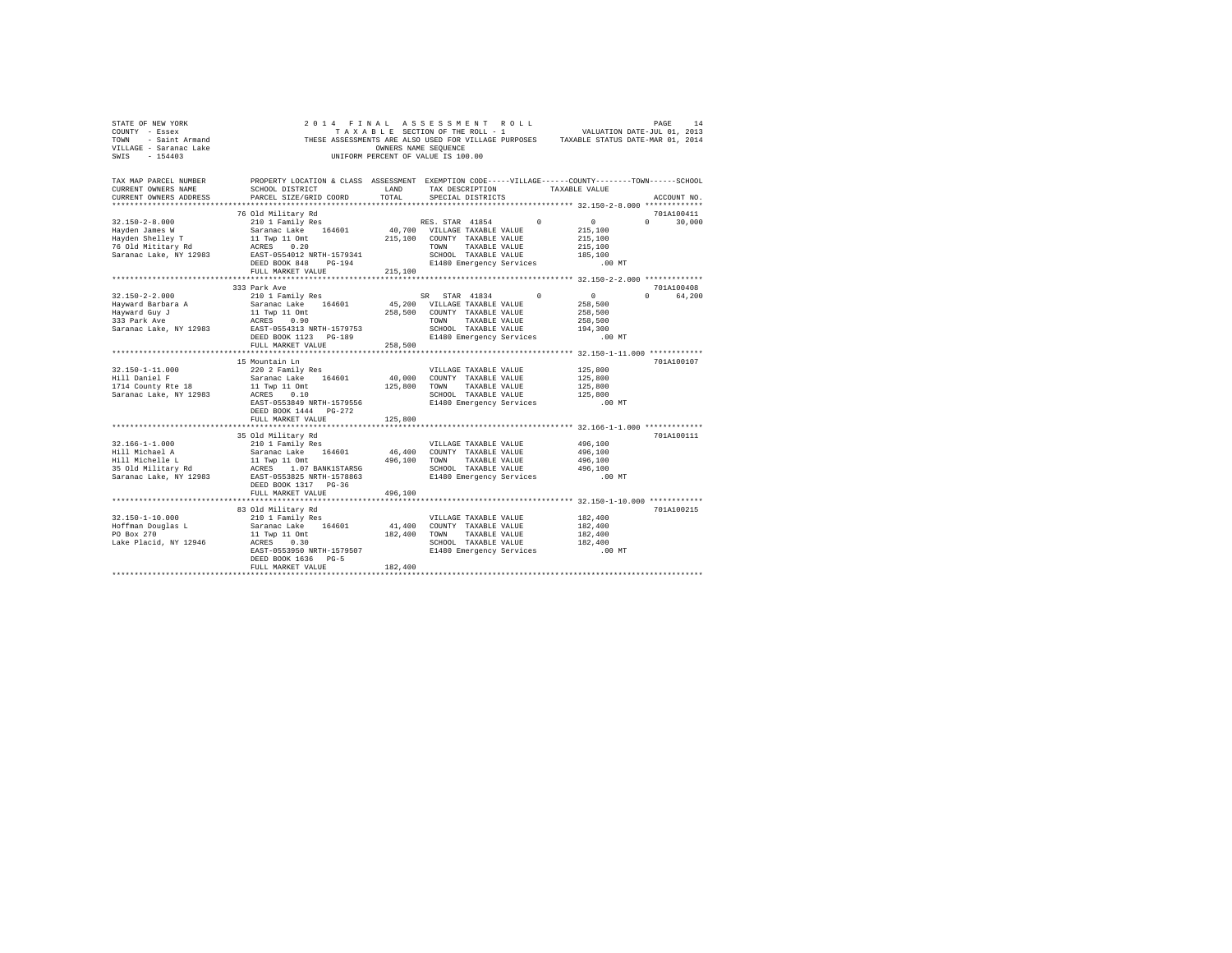| STATE OF NEW YORK<br>COUNTY - Essex<br>TOWN - Saint Armand<br>VILLAGE - Saranac Lake<br>SWIS - 154403 | 2014 FINAL ASSESSMENT ROLL<br>THESE ASSESSMENTS ARE ALSO USED FOR VILLAGE PURPOSES TAXABLE STATUS DATE-MAR 01, 2014                            | OWNERS NAME SEQUENCE<br>UNIFORM PERCENT OF VALUE IS 100.00 |                                      |                                 | TAXABLE SECTION OF THE ROLL - 1 WALUATION DATE-JUL 01, 2013 | PAGE                   | 14     |
|-------------------------------------------------------------------------------------------------------|------------------------------------------------------------------------------------------------------------------------------------------------|------------------------------------------------------------|--------------------------------------|---------------------------------|-------------------------------------------------------------|------------------------|--------|
| TAX MAP PARCEL NUMBER<br>CURRENT OWNERS NAME<br>CURRENT OWNERS ADDRESS                                | PROPERTY LOCATION & CLASS ASSESSMENT EXEMPTION CODE-----VILLAGE------COUNTY-------TOWN-----SCHOOL<br>SCHOOL DISTRICT<br>PARCEL SIZE/GRID COORD | LAND<br>TOTAL                                              | TAX DESCRIPTION<br>SPECIAL DISTRICTS | TAXABLE VALUE                   |                                                             | ACCOUNT NO.            |        |
|                                                                                                       |                                                                                                                                                |                                                            |                                      |                                 |                                                             |                        |        |
|                                                                                                       | 76 Old Military Rd                                                                                                                             |                                                            |                                      |                                 |                                                             | 701A100411             |        |
| $32.150 - 2 - 8.000$                                                                                  | 210 1 Family Res                                                                                                                               |                                                            | RES. STAR 41854 0                    |                                 | $\mathbf{0}$                                                | $\Omega$               | 30,000 |
| Hayden James W                                                                                        | Saranac Lake 164601                                                                                                                            |                                                            | 40,700 VILLAGE TAXABLE VALUE         |                                 | 215,100                                                     |                        |        |
| Hayden Shelley T                                                                                      | 11 Twp 11 Omt                                                                                                                                  | 215,100 COUNTY TAXABLE VALUE                               |                                      |                                 | 215,100                                                     |                        |        |
| 76 Old Mititary Rd                                                                                    | ACRES 0.20                                                                                                                                     |                                                            | TOWN TAXABLE VALUE                   |                                 | 215,100                                                     |                        |        |
| Saranac Lake, NY 12983                                                                                | EAST-0554012 NRTH-1579341                                                                                                                      |                                                            | SCHOOL TAXABLE VALUE                 |                                 | 185,100                                                     |                        |        |
|                                                                                                       | DEED BOOK 848 PG-194                                                                                                                           |                                                            |                                      | E1480 Emergency Services .00 MT |                                                             |                        |        |
|                                                                                                       | FULL MARKET VALUE                                                                                                                              | 215,100                                                    |                                      |                                 |                                                             |                        |        |
|                                                                                                       |                                                                                                                                                |                                                            |                                      |                                 |                                                             |                        |        |
| $32.150 - 2 - 2.000$                                                                                  | 333 Park Ave<br>210 1 Family Res                                                                                                               |                                                            | SR STAR 41834 0                      |                                 | $\sim$ 0                                                    | 701A100408<br>0 64.200 |        |
| Hayward Barbara A                                                                                     | Saranac Lake 164601                                                                                                                            |                                                            | 45,200 VILLAGE TAXABLE VALUE         |                                 | 258,500                                                     |                        |        |
| Hayward Guy J                                                                                         | 11 Twp 11 Omt                                                                                                                                  |                                                            | 258,500 COUNTY TAXABLE VALUE         |                                 | 258,500                                                     |                        |        |
| 333 Park Ave                                                                                          | ACRES 0.90                                                                                                                                     |                                                            | TOWN TAXABLE VALUE                   |                                 | 258,500                                                     |                        |        |
| Saranac Lake, NY 12983                                                                                | EAST-0554313 NRTH-1579753                                                                                                                      |                                                            | SCHOOL TAXABLE VALUE                 |                                 | 194,300                                                     |                        |        |
|                                                                                                       | DEED BOOK 1123 PG-189                                                                                                                          |                                                            |                                      | E1480 Emergency Services        | $.00$ MT                                                    |                        |        |
|                                                                                                       | FULL MARKET VALUE                                                                                                                              | 258,500                                                    |                                      |                                 |                                                             |                        |        |
|                                                                                                       |                                                                                                                                                |                                                            |                                      |                                 |                                                             |                        |        |
|                                                                                                       | 15 Mountain Ln                                                                                                                                 |                                                            |                                      |                                 |                                                             | 701A100107             |        |
| $32.150 - 1 - 11.000$                                                                                 | 220 2 Family Res                                                                                                                               |                                                            | VILLAGE TAXABLE VALUE                |                                 | 125,800                                                     |                        |        |
| Hill Daniel F                                                                                         | Saranac Lake 164601                                                                                                                            |                                                            | 40,000 COUNTY TAXABLE VALUE          |                                 | 125,800                                                     |                        |        |
| 1714 County Rte 18                                                                                    | 11 Twp 11 Omt                                                                                                                                  | 125,800                                                    | TOWN TAXABLE VALUE                   |                                 | 125,800                                                     |                        |        |
| Saranac Lake, NY 12983                                                                                | ACRES 0.10                                                                                                                                     |                                                            | SCHOOL TAXABLE VALUE                 |                                 | 125,800                                                     |                        |        |
|                                                                                                       | EAST-0553849 NRTH-1579556                                                                                                                      |                                                            | E1480 Emergency Services             |                                 | .00 MT                                                      |                        |        |
|                                                                                                       | DEED BOOK 1444    PG-272                                                                                                                       |                                                            |                                      |                                 |                                                             |                        |        |
|                                                                                                       | FULL MARKET VALUE                                                                                                                              | 125,800                                                    |                                      |                                 |                                                             |                        |        |
|                                                                                                       |                                                                                                                                                |                                                            |                                      |                                 |                                                             |                        |        |
|                                                                                                       | 35 Old Military Rd                                                                                                                             |                                                            |                                      |                                 |                                                             | 701A100111             |        |
| $32.166 - 1 - 1.000$                                                                                  | 210 1 Family Res                                                                                                                               |                                                            | VILLAGE TAXABLE VALUE                |                                 | 496,100                                                     |                        |        |
| Hill Michael A                                                                                        | Saranac Lake 164601 46,400 COUNTY TAXABLE VALUE                                                                                                |                                                            |                                      |                                 | 496,100                                                     |                        |        |
| Hill Michelle L                                                                                       | 11 Twp 11 Omt                                                                                                                                  | 496,100 TOWN TAXABLE VALUE                                 |                                      |                                 | 496,100                                                     |                        |        |
| 35 Old Military Rd                                                                                    | ACRES 1.07 BANK1STARSG                                                                                                                         |                                                            | SCHOOL TAXABLE VALUE                 |                                 | 496,100                                                     |                        |        |
| Saranac Lake, NY 12983                                                                                | EAST-0553825 NRTH-1578863                                                                                                                      |                                                            | E1480 Emergency Services             |                                 | .00 MT                                                      |                        |        |
|                                                                                                       | DEED BOOK 1317 PG-36                                                                                                                           |                                                            |                                      |                                 |                                                             |                        |        |
|                                                                                                       | FULL MARKET VALUE                                                                                                                              | 496,100                                                    |                                      |                                 |                                                             |                        |        |
|                                                                                                       | 83 Old Military Rd                                                                                                                             |                                                            |                                      |                                 |                                                             | 701A100215             |        |
| $32.150 - 1 - 10.000$                                                                                 | 210 1 Family Res                                                                                                                               |                                                            | VILLAGE TAXABLE VALUE                |                                 | 182,400                                                     |                        |        |
| Hoffman Douglas L                                                                                     | Saranac Lake 164601                                                                                                                            |                                                            | 41,400 COUNTY TAXABLE VALUE          |                                 | 182,400                                                     |                        |        |
| PO Box 270                                                                                            | 11 Twp 11 Omt                                                                                                                                  | 182,400                                                    | TOWN TAXABLE VALUE                   |                                 | 182,400                                                     |                        |        |
| Lake Placid, NY 12946                                                                                 | ACRES 0.30                                                                                                                                     |                                                            | SCHOOL TAXABLE VALUE                 |                                 | 182,400                                                     |                        |        |
|                                                                                                       | EAST-0553950 NRTH-1579507                                                                                                                      |                                                            | E1480 Emergency Services             |                                 | .00MT                                                       |                        |        |
|                                                                                                       | DEED BOOK 1636 PG-5                                                                                                                            |                                                            |                                      |                                 |                                                             |                        |        |
|                                                                                                       | FULL MARKET VALUE                                                                                                                              | 182,400                                                    |                                      |                                 |                                                             |                        |        |
| ********************                                                                                  |                                                                                                                                                |                                                            |                                      |                                 |                                                             |                        |        |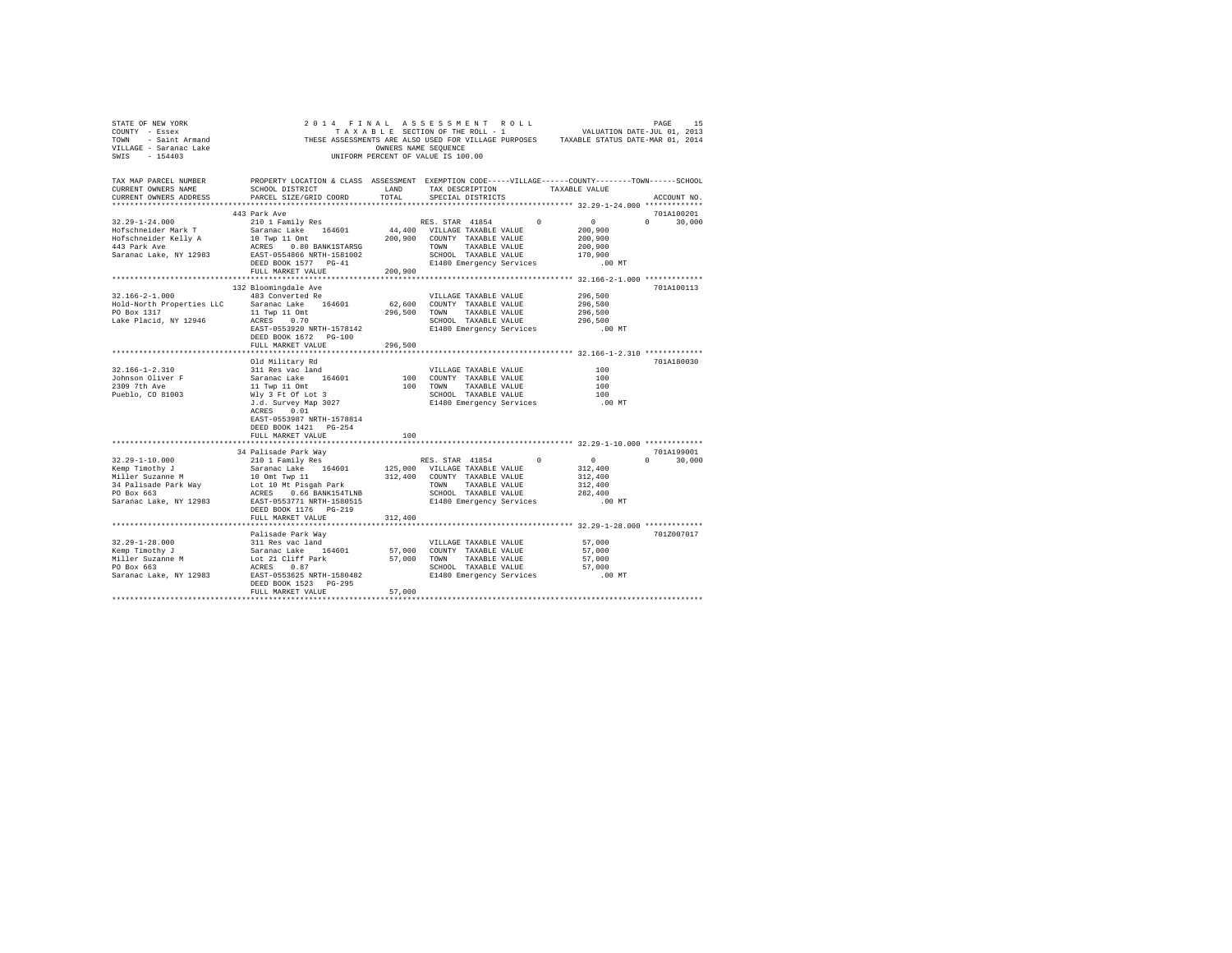| CURRENT OWNERS NAME<br>CURRENT OWNERS ADDRESS                                                                                                                                                                                                                                                                                                                                                                                     |                                               |         | TAX MAP PARCEL NUMBER THE PROPERTY LOCATION & CLASS ASSESSMENT EXEMPTION CODE-----VILLAGE------COUNTY-------TOWN------SCHOOL<br>ACCOUNT NO. |
|-----------------------------------------------------------------------------------------------------------------------------------------------------------------------------------------------------------------------------------------------------------------------------------------------------------------------------------------------------------------------------------------------------------------------------------|-----------------------------------------------|---------|---------------------------------------------------------------------------------------------------------------------------------------------|
|                                                                                                                                                                                                                                                                                                                                                                                                                                   | 443 Park Ave                                  |         | 701A100201                                                                                                                                  |
|                                                                                                                                                                                                                                                                                                                                                                                                                                   |                                               |         | $0 \t 30.000$                                                                                                                               |
|                                                                                                                                                                                                                                                                                                                                                                                                                                   |                                               |         |                                                                                                                                             |
|                                                                                                                                                                                                                                                                                                                                                                                                                                   | 132 Bloomingdale Ave<br>DEED BOOK 1672 PG-100 |         | 701A100113                                                                                                                                  |
|                                                                                                                                                                                                                                                                                                                                                                                                                                   | FULL MARKET VALUE 296,500                     |         |                                                                                                                                             |
|                                                                                                                                                                                                                                                                                                                                                                                                                                   | EAST-0553987 NRTH-1578814                     |         | 701A180030                                                                                                                                  |
|                                                                                                                                                                                                                                                                                                                                                                                                                                   | DEED BOOK 1421 PG-254                         |         |                                                                                                                                             |
|                                                                                                                                                                                                                                                                                                                                                                                                                                   | FULL MARKET VALUE                             | 100     |                                                                                                                                             |
|                                                                                                                                                                                                                                                                                                                                                                                                                                   |                                               |         |                                                                                                                                             |
| 34 Palisade Park Way<br>2010 1 Family Res 164601 205,000 VILLAGE TAXBLE VALUE 312,400<br>210 1 Family Res S. STAR 41854 212,400<br>210 Miller Suzanne M 10 Ont Twp 11 312,400<br>210 Miller Suzanne M 10 Ont Twp 11 312,400<br>212,400 C                                                                                                                                                                                          | DEED BOOK 1176 PG-219                         |         | 701A199001<br>$0 \t30,000$                                                                                                                  |
|                                                                                                                                                                                                                                                                                                                                                                                                                                   | FULL MARKET VALUE                             | 312,400 |                                                                                                                                             |
|                                                                                                                                                                                                                                                                                                                                                                                                                                   | Palisade Park Way                             |         | 701Z007017                                                                                                                                  |
| $\begin{array}{lcccc} \texttt{32.29--1-28.000} & \texttt{Paliisade Park Way} & \texttt{57,000} \\ & \texttt{58.22--1-28.000} & \texttt{59.000} & \texttt{50.000} \\ \texttt{Kemp Timothy J} & \texttt{Sarnac Lake} & \texttt{164601} & \texttt{57,000} & \texttt{COUNTY TAKABLE VALUE} & \texttt{57,000} \\ \texttt{Miller Suzanne M} & \texttt{Lock 21 cilff Park} & \texttt{57,000} & \texttt{COUNITY TAKABLE VALUE} & \texttt$ | DEED BOOK 1523 PG-295<br>FULL MARKET VALUE    | 57,000  |                                                                                                                                             |
|                                                                                                                                                                                                                                                                                                                                                                                                                                   |                                               |         |                                                                                                                                             |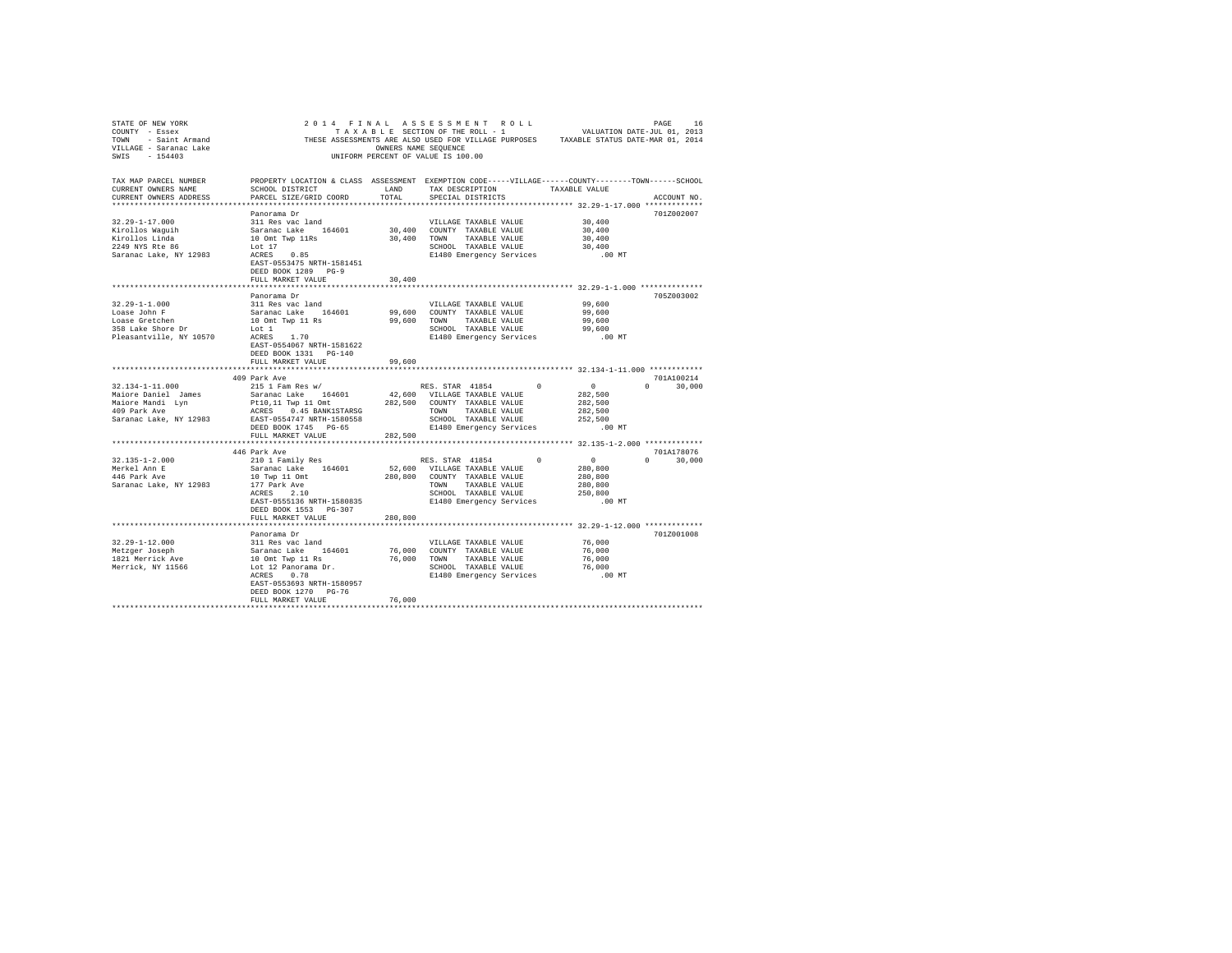| PROPERTY LOCATION & CLASS ASSESSMENT EXEMPTION CODE-----VILLAGE-----COUNTY-------TOWN-----SCHOOL<br>TAX MAP PARCEL NUMBER<br>SCHOOL DISTRICT<br>TAXABLE VALUE<br>CURRENT OWNERS NAME<br>LAND<br>TAX DESCRIPTION<br>TOTAL<br>CURRENT OWNERS ADDRESS<br>PARCEL SIZE/GRID COORD<br>SPECIAL DISTRICTS<br>ACCOUNT NO.<br>Panorama Dr<br>701Z002007<br>$32.29 - 1 - 17.000$<br>30,400<br>311 Res vac land<br>VILLAGE TAXABLE VALUE<br>Saranac Lake 164601<br>30,400 COUNTY TAXABLE VALUE<br>30,400<br>Kirollos Waquih<br>10 Omt Twp 11Rs<br>30,400<br>30,400<br>Kirollos Linda<br>TOWN<br>TAXABLE VALUE<br>2249 NYS Rte 86<br>SCHOOL TAXABLE VALUE<br>30,400<br>Lot 17<br>0.85<br>Saranac Lake, NY 12983<br>ACRES<br>E1480 Emergency Services<br>$.00$ MT<br>EAST-0553475 NRTH-1581451<br>DEED BOOK 1289 PG-9<br>30,400<br>FULL MARKET VALUE<br>705Z003002<br>Panorama Dr<br>$32.29 - 1 - 1.000$<br>99,600<br>311 Res vac land<br>VILLAGE TAXABLE VALUE<br>Loase John F<br>Loase Gretchen<br>Saranac Lake 164601<br>99,600<br>99,600<br>COUNTY TAXABLE VALUE<br>10 Omt Twp 11 Rs<br>99,600<br>99,600<br>TOWN<br>TAXABLE VALUE<br>358 Lake Shore Dr<br>99,600<br>Lot 1<br>SCHOOL TAXABLE VALUE<br>Pleasantville, NY 10570<br>ACRES 1.70<br>$.00$ MT<br>E1480 Emergency Services<br>EAST-0554067 NRTH-1581622<br>DEED BOOK 1331 PG-140<br>FULL MARKET VALUE<br>99,600<br>701A100214<br>409 Park Ave<br>215 1 Fam Res w/<br>RES. STAR 41854<br>32.134-1-11.000<br>$\Omega$<br>$\sim$ 0<br>$\Omega$<br>30,000<br>42,600 VILLAGE TAXABLE VALUE<br>Maiore Daniel James<br>Saranac Lake 164601<br>282.500<br>Pt10,11 Twp 11 Omt<br>282.500 COUNTY TAXABLE VALUE<br>Maiore Mandi Lyn<br>282,500<br>409 Park Ave<br>ACRES 0.45 BANK1STARSG<br>TOWN TAXABLE VALUE<br>282,500<br>Saranac Lake, NY 12983<br>EAST-0554747 NRTH-1580558<br>SCHOOL TAXABLE VALUE<br>252,500<br>DEED BOOK 1745 PG-65<br>E1480 Emergency Services<br>$.00$ MT<br>282,500<br>FULL MARKET VALUE<br>446 Park Ave<br>701A178076<br>$32.135 - 1 - 2.000$<br>$\sim$ 0<br>210 1 Family Res<br>RES. STAR 41854<br>$\Omega$<br>$\Omega$<br>30,000<br>Saranac Lake 164601<br>52,600 VILLAGE TAXABLE VALUE<br>Merkel Ann E<br>280,800<br>446 Park Ave<br>10 Twp 11 Omt<br>280,800<br>COUNTY TAXABLE VALUE<br>280,800<br>Saranac Lake, NY 12983<br>177 Park Ave<br>TOWN<br>TAXABLE VALUE<br>280,800<br>ACRES 2.10<br>SCHOOL TAXABLE VALUE<br>250,800<br>EAST-0555136 NRTH-1580835<br>E1480 Emergency Services<br>$.00$ MT<br>DEED BOOK 1553 PG-307<br>280,800<br>FULL MARKET VALUE<br>701Z001008<br>Panorama Dr<br>$32.29 - 1 - 12.000$<br>76,000<br>311 Res vac land<br>VILLAGE TAXABLE VALUE<br>Metzger Joseph<br>Saranac Lake 164601<br>10 Omt Twp 11 Rs<br>76,000<br>76,000<br>COUNTY TAXABLE VALUE<br>76,000<br>76,000<br>1821 Merrick Ave<br>TAXABLE VALUE<br>TOWN<br>Lot 12 Panorama Dr.<br>76,000<br>Merrick, NY 11566<br>SCHOOL TAXABLE VALUE<br>0.78<br>ACRES<br>E1480 Emergency Services<br>$.00$ MT<br>EAST-0553693 NRTH-1580957<br>DEED BOOK 1270 PG-76<br>76,000<br>FULL MARKET VALUE | STATE OF NEW YORK<br>COUNTY - Essex<br>TOWN - Saint Armand<br>VILLAGE - Saranac Lake<br>SWIS - 154403 | OWNERS NAME SEQUENCE | 2014 FINAL ASSESSMENT ROLL<br>TAXABLE SECTION OF THE ROLL - 1<br>THESE ASSESSMENTS ARE ALSO USED FOR VILLAGE PURPOSES TAXABLE STATUS DATE-MAR 01, 2014<br>UNIFORM PERCENT OF VALUE IS 100.00 | VALUATION DATE-JUL 01, 2013 | PAGE<br>16 |
|--------------------------------------------------------------------------------------------------------------------------------------------------------------------------------------------------------------------------------------------------------------------------------------------------------------------------------------------------------------------------------------------------------------------------------------------------------------------------------------------------------------------------------------------------------------------------------------------------------------------------------------------------------------------------------------------------------------------------------------------------------------------------------------------------------------------------------------------------------------------------------------------------------------------------------------------------------------------------------------------------------------------------------------------------------------------------------------------------------------------------------------------------------------------------------------------------------------------------------------------------------------------------------------------------------------------------------------------------------------------------------------------------------------------------------------------------------------------------------------------------------------------------------------------------------------------------------------------------------------------------------------------------------------------------------------------------------------------------------------------------------------------------------------------------------------------------------------------------------------------------------------------------------------------------------------------------------------------------------------------------------------------------------------------------------------------------------------------------------------------------------------------------------------------------------------------------------------------------------------------------------------------------------------------------------------------------------------------------------------------------------------------------------------------------------------------------------------------------------------------------------------------------------------------------------------------------------------------------------------------------------------------------------------------------------------------------------------------------------------------------------------------------------------------------------------------------------------------------------------------------------------------------------------------------------------------------------------------------------------------------------------------------------------------------|-------------------------------------------------------------------------------------------------------|----------------------|----------------------------------------------------------------------------------------------------------------------------------------------------------------------------------------------|-----------------------------|------------|
|                                                                                                                                                                                                                                                                                                                                                                                                                                                                                                                                                                                                                                                                                                                                                                                                                                                                                                                                                                                                                                                                                                                                                                                                                                                                                                                                                                                                                                                                                                                                                                                                                                                                                                                                                                                                                                                                                                                                                                                                                                                                                                                                                                                                                                                                                                                                                                                                                                                                                                                                                                                                                                                                                                                                                                                                                                                                                                                                                                                                                                                  |                                                                                                       |                      |                                                                                                                                                                                              |                             |            |
|                                                                                                                                                                                                                                                                                                                                                                                                                                                                                                                                                                                                                                                                                                                                                                                                                                                                                                                                                                                                                                                                                                                                                                                                                                                                                                                                                                                                                                                                                                                                                                                                                                                                                                                                                                                                                                                                                                                                                                                                                                                                                                                                                                                                                                                                                                                                                                                                                                                                                                                                                                                                                                                                                                                                                                                                                                                                                                                                                                                                                                                  |                                                                                                       |                      |                                                                                                                                                                                              |                             |            |
|                                                                                                                                                                                                                                                                                                                                                                                                                                                                                                                                                                                                                                                                                                                                                                                                                                                                                                                                                                                                                                                                                                                                                                                                                                                                                                                                                                                                                                                                                                                                                                                                                                                                                                                                                                                                                                                                                                                                                                                                                                                                                                                                                                                                                                                                                                                                                                                                                                                                                                                                                                                                                                                                                                                                                                                                                                                                                                                                                                                                                                                  |                                                                                                       |                      |                                                                                                                                                                                              |                             |            |
|                                                                                                                                                                                                                                                                                                                                                                                                                                                                                                                                                                                                                                                                                                                                                                                                                                                                                                                                                                                                                                                                                                                                                                                                                                                                                                                                                                                                                                                                                                                                                                                                                                                                                                                                                                                                                                                                                                                                                                                                                                                                                                                                                                                                                                                                                                                                                                                                                                                                                                                                                                                                                                                                                                                                                                                                                                                                                                                                                                                                                                                  |                                                                                                       |                      |                                                                                                                                                                                              |                             |            |
|                                                                                                                                                                                                                                                                                                                                                                                                                                                                                                                                                                                                                                                                                                                                                                                                                                                                                                                                                                                                                                                                                                                                                                                                                                                                                                                                                                                                                                                                                                                                                                                                                                                                                                                                                                                                                                                                                                                                                                                                                                                                                                                                                                                                                                                                                                                                                                                                                                                                                                                                                                                                                                                                                                                                                                                                                                                                                                                                                                                                                                                  |                                                                                                       |                      |                                                                                                                                                                                              |                             |            |
|                                                                                                                                                                                                                                                                                                                                                                                                                                                                                                                                                                                                                                                                                                                                                                                                                                                                                                                                                                                                                                                                                                                                                                                                                                                                                                                                                                                                                                                                                                                                                                                                                                                                                                                                                                                                                                                                                                                                                                                                                                                                                                                                                                                                                                                                                                                                                                                                                                                                                                                                                                                                                                                                                                                                                                                                                                                                                                                                                                                                                                                  |                                                                                                       |                      |                                                                                                                                                                                              |                             |            |
|                                                                                                                                                                                                                                                                                                                                                                                                                                                                                                                                                                                                                                                                                                                                                                                                                                                                                                                                                                                                                                                                                                                                                                                                                                                                                                                                                                                                                                                                                                                                                                                                                                                                                                                                                                                                                                                                                                                                                                                                                                                                                                                                                                                                                                                                                                                                                                                                                                                                                                                                                                                                                                                                                                                                                                                                                                                                                                                                                                                                                                                  |                                                                                                       |                      |                                                                                                                                                                                              |                             |            |
|                                                                                                                                                                                                                                                                                                                                                                                                                                                                                                                                                                                                                                                                                                                                                                                                                                                                                                                                                                                                                                                                                                                                                                                                                                                                                                                                                                                                                                                                                                                                                                                                                                                                                                                                                                                                                                                                                                                                                                                                                                                                                                                                                                                                                                                                                                                                                                                                                                                                                                                                                                                                                                                                                                                                                                                                                                                                                                                                                                                                                                                  |                                                                                                       |                      |                                                                                                                                                                                              |                             |            |
|                                                                                                                                                                                                                                                                                                                                                                                                                                                                                                                                                                                                                                                                                                                                                                                                                                                                                                                                                                                                                                                                                                                                                                                                                                                                                                                                                                                                                                                                                                                                                                                                                                                                                                                                                                                                                                                                                                                                                                                                                                                                                                                                                                                                                                                                                                                                                                                                                                                                                                                                                                                                                                                                                                                                                                                                                                                                                                                                                                                                                                                  |                                                                                                       |                      |                                                                                                                                                                                              |                             |            |
|                                                                                                                                                                                                                                                                                                                                                                                                                                                                                                                                                                                                                                                                                                                                                                                                                                                                                                                                                                                                                                                                                                                                                                                                                                                                                                                                                                                                                                                                                                                                                                                                                                                                                                                                                                                                                                                                                                                                                                                                                                                                                                                                                                                                                                                                                                                                                                                                                                                                                                                                                                                                                                                                                                                                                                                                                                                                                                                                                                                                                                                  |                                                                                                       |                      |                                                                                                                                                                                              |                             |            |
|                                                                                                                                                                                                                                                                                                                                                                                                                                                                                                                                                                                                                                                                                                                                                                                                                                                                                                                                                                                                                                                                                                                                                                                                                                                                                                                                                                                                                                                                                                                                                                                                                                                                                                                                                                                                                                                                                                                                                                                                                                                                                                                                                                                                                                                                                                                                                                                                                                                                                                                                                                                                                                                                                                                                                                                                                                                                                                                                                                                                                                                  |                                                                                                       |                      |                                                                                                                                                                                              |                             |            |
|                                                                                                                                                                                                                                                                                                                                                                                                                                                                                                                                                                                                                                                                                                                                                                                                                                                                                                                                                                                                                                                                                                                                                                                                                                                                                                                                                                                                                                                                                                                                                                                                                                                                                                                                                                                                                                                                                                                                                                                                                                                                                                                                                                                                                                                                                                                                                                                                                                                                                                                                                                                                                                                                                                                                                                                                                                                                                                                                                                                                                                                  |                                                                                                       |                      |                                                                                                                                                                                              |                             |            |
|                                                                                                                                                                                                                                                                                                                                                                                                                                                                                                                                                                                                                                                                                                                                                                                                                                                                                                                                                                                                                                                                                                                                                                                                                                                                                                                                                                                                                                                                                                                                                                                                                                                                                                                                                                                                                                                                                                                                                                                                                                                                                                                                                                                                                                                                                                                                                                                                                                                                                                                                                                                                                                                                                                                                                                                                                                                                                                                                                                                                                                                  |                                                                                                       |                      |                                                                                                                                                                                              |                             |            |
|                                                                                                                                                                                                                                                                                                                                                                                                                                                                                                                                                                                                                                                                                                                                                                                                                                                                                                                                                                                                                                                                                                                                                                                                                                                                                                                                                                                                                                                                                                                                                                                                                                                                                                                                                                                                                                                                                                                                                                                                                                                                                                                                                                                                                                                                                                                                                                                                                                                                                                                                                                                                                                                                                                                                                                                                                                                                                                                                                                                                                                                  |                                                                                                       |                      |                                                                                                                                                                                              |                             |            |
|                                                                                                                                                                                                                                                                                                                                                                                                                                                                                                                                                                                                                                                                                                                                                                                                                                                                                                                                                                                                                                                                                                                                                                                                                                                                                                                                                                                                                                                                                                                                                                                                                                                                                                                                                                                                                                                                                                                                                                                                                                                                                                                                                                                                                                                                                                                                                                                                                                                                                                                                                                                                                                                                                                                                                                                                                                                                                                                                                                                                                                                  |                                                                                                       |                      |                                                                                                                                                                                              |                             |            |
|                                                                                                                                                                                                                                                                                                                                                                                                                                                                                                                                                                                                                                                                                                                                                                                                                                                                                                                                                                                                                                                                                                                                                                                                                                                                                                                                                                                                                                                                                                                                                                                                                                                                                                                                                                                                                                                                                                                                                                                                                                                                                                                                                                                                                                                                                                                                                                                                                                                                                                                                                                                                                                                                                                                                                                                                                                                                                                                                                                                                                                                  |                                                                                                       |                      |                                                                                                                                                                                              |                             |            |
|                                                                                                                                                                                                                                                                                                                                                                                                                                                                                                                                                                                                                                                                                                                                                                                                                                                                                                                                                                                                                                                                                                                                                                                                                                                                                                                                                                                                                                                                                                                                                                                                                                                                                                                                                                                                                                                                                                                                                                                                                                                                                                                                                                                                                                                                                                                                                                                                                                                                                                                                                                                                                                                                                                                                                                                                                                                                                                                                                                                                                                                  |                                                                                                       |                      |                                                                                                                                                                                              |                             |            |
|                                                                                                                                                                                                                                                                                                                                                                                                                                                                                                                                                                                                                                                                                                                                                                                                                                                                                                                                                                                                                                                                                                                                                                                                                                                                                                                                                                                                                                                                                                                                                                                                                                                                                                                                                                                                                                                                                                                                                                                                                                                                                                                                                                                                                                                                                                                                                                                                                                                                                                                                                                                                                                                                                                                                                                                                                                                                                                                                                                                                                                                  |                                                                                                       |                      |                                                                                                                                                                                              |                             |            |
|                                                                                                                                                                                                                                                                                                                                                                                                                                                                                                                                                                                                                                                                                                                                                                                                                                                                                                                                                                                                                                                                                                                                                                                                                                                                                                                                                                                                                                                                                                                                                                                                                                                                                                                                                                                                                                                                                                                                                                                                                                                                                                                                                                                                                                                                                                                                                                                                                                                                                                                                                                                                                                                                                                                                                                                                                                                                                                                                                                                                                                                  |                                                                                                       |                      |                                                                                                                                                                                              |                             |            |
|                                                                                                                                                                                                                                                                                                                                                                                                                                                                                                                                                                                                                                                                                                                                                                                                                                                                                                                                                                                                                                                                                                                                                                                                                                                                                                                                                                                                                                                                                                                                                                                                                                                                                                                                                                                                                                                                                                                                                                                                                                                                                                                                                                                                                                                                                                                                                                                                                                                                                                                                                                                                                                                                                                                                                                                                                                                                                                                                                                                                                                                  |                                                                                                       |                      |                                                                                                                                                                                              |                             |            |
|                                                                                                                                                                                                                                                                                                                                                                                                                                                                                                                                                                                                                                                                                                                                                                                                                                                                                                                                                                                                                                                                                                                                                                                                                                                                                                                                                                                                                                                                                                                                                                                                                                                                                                                                                                                                                                                                                                                                                                                                                                                                                                                                                                                                                                                                                                                                                                                                                                                                                                                                                                                                                                                                                                                                                                                                                                                                                                                                                                                                                                                  |                                                                                                       |                      |                                                                                                                                                                                              |                             |            |
|                                                                                                                                                                                                                                                                                                                                                                                                                                                                                                                                                                                                                                                                                                                                                                                                                                                                                                                                                                                                                                                                                                                                                                                                                                                                                                                                                                                                                                                                                                                                                                                                                                                                                                                                                                                                                                                                                                                                                                                                                                                                                                                                                                                                                                                                                                                                                                                                                                                                                                                                                                                                                                                                                                                                                                                                                                                                                                                                                                                                                                                  |                                                                                                       |                      |                                                                                                                                                                                              |                             |            |
|                                                                                                                                                                                                                                                                                                                                                                                                                                                                                                                                                                                                                                                                                                                                                                                                                                                                                                                                                                                                                                                                                                                                                                                                                                                                                                                                                                                                                                                                                                                                                                                                                                                                                                                                                                                                                                                                                                                                                                                                                                                                                                                                                                                                                                                                                                                                                                                                                                                                                                                                                                                                                                                                                                                                                                                                                                                                                                                                                                                                                                                  |                                                                                                       |                      |                                                                                                                                                                                              |                             |            |
|                                                                                                                                                                                                                                                                                                                                                                                                                                                                                                                                                                                                                                                                                                                                                                                                                                                                                                                                                                                                                                                                                                                                                                                                                                                                                                                                                                                                                                                                                                                                                                                                                                                                                                                                                                                                                                                                                                                                                                                                                                                                                                                                                                                                                                                                                                                                                                                                                                                                                                                                                                                                                                                                                                                                                                                                                                                                                                                                                                                                                                                  |                                                                                                       |                      |                                                                                                                                                                                              |                             |            |
|                                                                                                                                                                                                                                                                                                                                                                                                                                                                                                                                                                                                                                                                                                                                                                                                                                                                                                                                                                                                                                                                                                                                                                                                                                                                                                                                                                                                                                                                                                                                                                                                                                                                                                                                                                                                                                                                                                                                                                                                                                                                                                                                                                                                                                                                                                                                                                                                                                                                                                                                                                                                                                                                                                                                                                                                                                                                                                                                                                                                                                                  |                                                                                                       |                      |                                                                                                                                                                                              |                             |            |
|                                                                                                                                                                                                                                                                                                                                                                                                                                                                                                                                                                                                                                                                                                                                                                                                                                                                                                                                                                                                                                                                                                                                                                                                                                                                                                                                                                                                                                                                                                                                                                                                                                                                                                                                                                                                                                                                                                                                                                                                                                                                                                                                                                                                                                                                                                                                                                                                                                                                                                                                                                                                                                                                                                                                                                                                                                                                                                                                                                                                                                                  |                                                                                                       |                      |                                                                                                                                                                                              |                             |            |
|                                                                                                                                                                                                                                                                                                                                                                                                                                                                                                                                                                                                                                                                                                                                                                                                                                                                                                                                                                                                                                                                                                                                                                                                                                                                                                                                                                                                                                                                                                                                                                                                                                                                                                                                                                                                                                                                                                                                                                                                                                                                                                                                                                                                                                                                                                                                                                                                                                                                                                                                                                                                                                                                                                                                                                                                                                                                                                                                                                                                                                                  |                                                                                                       |                      |                                                                                                                                                                                              |                             |            |
|                                                                                                                                                                                                                                                                                                                                                                                                                                                                                                                                                                                                                                                                                                                                                                                                                                                                                                                                                                                                                                                                                                                                                                                                                                                                                                                                                                                                                                                                                                                                                                                                                                                                                                                                                                                                                                                                                                                                                                                                                                                                                                                                                                                                                                                                                                                                                                                                                                                                                                                                                                                                                                                                                                                                                                                                                                                                                                                                                                                                                                                  |                                                                                                       |                      |                                                                                                                                                                                              |                             |            |
|                                                                                                                                                                                                                                                                                                                                                                                                                                                                                                                                                                                                                                                                                                                                                                                                                                                                                                                                                                                                                                                                                                                                                                                                                                                                                                                                                                                                                                                                                                                                                                                                                                                                                                                                                                                                                                                                                                                                                                                                                                                                                                                                                                                                                                                                                                                                                                                                                                                                                                                                                                                                                                                                                                                                                                                                                                                                                                                                                                                                                                                  |                                                                                                       |                      |                                                                                                                                                                                              |                             |            |
|                                                                                                                                                                                                                                                                                                                                                                                                                                                                                                                                                                                                                                                                                                                                                                                                                                                                                                                                                                                                                                                                                                                                                                                                                                                                                                                                                                                                                                                                                                                                                                                                                                                                                                                                                                                                                                                                                                                                                                                                                                                                                                                                                                                                                                                                                                                                                                                                                                                                                                                                                                                                                                                                                                                                                                                                                                                                                                                                                                                                                                                  |                                                                                                       |                      |                                                                                                                                                                                              |                             |            |
|                                                                                                                                                                                                                                                                                                                                                                                                                                                                                                                                                                                                                                                                                                                                                                                                                                                                                                                                                                                                                                                                                                                                                                                                                                                                                                                                                                                                                                                                                                                                                                                                                                                                                                                                                                                                                                                                                                                                                                                                                                                                                                                                                                                                                                                                                                                                                                                                                                                                                                                                                                                                                                                                                                                                                                                                                                                                                                                                                                                                                                                  |                                                                                                       |                      |                                                                                                                                                                                              |                             |            |
|                                                                                                                                                                                                                                                                                                                                                                                                                                                                                                                                                                                                                                                                                                                                                                                                                                                                                                                                                                                                                                                                                                                                                                                                                                                                                                                                                                                                                                                                                                                                                                                                                                                                                                                                                                                                                                                                                                                                                                                                                                                                                                                                                                                                                                                                                                                                                                                                                                                                                                                                                                                                                                                                                                                                                                                                                                                                                                                                                                                                                                                  |                                                                                                       |                      |                                                                                                                                                                                              |                             |            |
|                                                                                                                                                                                                                                                                                                                                                                                                                                                                                                                                                                                                                                                                                                                                                                                                                                                                                                                                                                                                                                                                                                                                                                                                                                                                                                                                                                                                                                                                                                                                                                                                                                                                                                                                                                                                                                                                                                                                                                                                                                                                                                                                                                                                                                                                                                                                                                                                                                                                                                                                                                                                                                                                                                                                                                                                                                                                                                                                                                                                                                                  |                                                                                                       |                      |                                                                                                                                                                                              |                             |            |
|                                                                                                                                                                                                                                                                                                                                                                                                                                                                                                                                                                                                                                                                                                                                                                                                                                                                                                                                                                                                                                                                                                                                                                                                                                                                                                                                                                                                                                                                                                                                                                                                                                                                                                                                                                                                                                                                                                                                                                                                                                                                                                                                                                                                                                                                                                                                                                                                                                                                                                                                                                                                                                                                                                                                                                                                                                                                                                                                                                                                                                                  |                                                                                                       |                      |                                                                                                                                                                                              |                             |            |
|                                                                                                                                                                                                                                                                                                                                                                                                                                                                                                                                                                                                                                                                                                                                                                                                                                                                                                                                                                                                                                                                                                                                                                                                                                                                                                                                                                                                                                                                                                                                                                                                                                                                                                                                                                                                                                                                                                                                                                                                                                                                                                                                                                                                                                                                                                                                                                                                                                                                                                                                                                                                                                                                                                                                                                                                                                                                                                                                                                                                                                                  |                                                                                                       |                      |                                                                                                                                                                                              |                             |            |
|                                                                                                                                                                                                                                                                                                                                                                                                                                                                                                                                                                                                                                                                                                                                                                                                                                                                                                                                                                                                                                                                                                                                                                                                                                                                                                                                                                                                                                                                                                                                                                                                                                                                                                                                                                                                                                                                                                                                                                                                                                                                                                                                                                                                                                                                                                                                                                                                                                                                                                                                                                                                                                                                                                                                                                                                                                                                                                                                                                                                                                                  |                                                                                                       |                      |                                                                                                                                                                                              |                             |            |
|                                                                                                                                                                                                                                                                                                                                                                                                                                                                                                                                                                                                                                                                                                                                                                                                                                                                                                                                                                                                                                                                                                                                                                                                                                                                                                                                                                                                                                                                                                                                                                                                                                                                                                                                                                                                                                                                                                                                                                                                                                                                                                                                                                                                                                                                                                                                                                                                                                                                                                                                                                                                                                                                                                                                                                                                                                                                                                                                                                                                                                                  |                                                                                                       |                      |                                                                                                                                                                                              |                             |            |
|                                                                                                                                                                                                                                                                                                                                                                                                                                                                                                                                                                                                                                                                                                                                                                                                                                                                                                                                                                                                                                                                                                                                                                                                                                                                                                                                                                                                                                                                                                                                                                                                                                                                                                                                                                                                                                                                                                                                                                                                                                                                                                                                                                                                                                                                                                                                                                                                                                                                                                                                                                                                                                                                                                                                                                                                                                                                                                                                                                                                                                                  |                                                                                                       |                      |                                                                                                                                                                                              |                             |            |
|                                                                                                                                                                                                                                                                                                                                                                                                                                                                                                                                                                                                                                                                                                                                                                                                                                                                                                                                                                                                                                                                                                                                                                                                                                                                                                                                                                                                                                                                                                                                                                                                                                                                                                                                                                                                                                                                                                                                                                                                                                                                                                                                                                                                                                                                                                                                                                                                                                                                                                                                                                                                                                                                                                                                                                                                                                                                                                                                                                                                                                                  |                                                                                                       |                      |                                                                                                                                                                                              |                             |            |
|                                                                                                                                                                                                                                                                                                                                                                                                                                                                                                                                                                                                                                                                                                                                                                                                                                                                                                                                                                                                                                                                                                                                                                                                                                                                                                                                                                                                                                                                                                                                                                                                                                                                                                                                                                                                                                                                                                                                                                                                                                                                                                                                                                                                                                                                                                                                                                                                                                                                                                                                                                                                                                                                                                                                                                                                                                                                                                                                                                                                                                                  |                                                                                                       |                      |                                                                                                                                                                                              |                             |            |
|                                                                                                                                                                                                                                                                                                                                                                                                                                                                                                                                                                                                                                                                                                                                                                                                                                                                                                                                                                                                                                                                                                                                                                                                                                                                                                                                                                                                                                                                                                                                                                                                                                                                                                                                                                                                                                                                                                                                                                                                                                                                                                                                                                                                                                                                                                                                                                                                                                                                                                                                                                                                                                                                                                                                                                                                                                                                                                                                                                                                                                                  |                                                                                                       |                      |                                                                                                                                                                                              |                             |            |
|                                                                                                                                                                                                                                                                                                                                                                                                                                                                                                                                                                                                                                                                                                                                                                                                                                                                                                                                                                                                                                                                                                                                                                                                                                                                                                                                                                                                                                                                                                                                                                                                                                                                                                                                                                                                                                                                                                                                                                                                                                                                                                                                                                                                                                                                                                                                                                                                                                                                                                                                                                                                                                                                                                                                                                                                                                                                                                                                                                                                                                                  |                                                                                                       |                      |                                                                                                                                                                                              |                             |            |
|                                                                                                                                                                                                                                                                                                                                                                                                                                                                                                                                                                                                                                                                                                                                                                                                                                                                                                                                                                                                                                                                                                                                                                                                                                                                                                                                                                                                                                                                                                                                                                                                                                                                                                                                                                                                                                                                                                                                                                                                                                                                                                                                                                                                                                                                                                                                                                                                                                                                                                                                                                                                                                                                                                                                                                                                                                                                                                                                                                                                                                                  |                                                                                                       |                      |                                                                                                                                                                                              |                             |            |
|                                                                                                                                                                                                                                                                                                                                                                                                                                                                                                                                                                                                                                                                                                                                                                                                                                                                                                                                                                                                                                                                                                                                                                                                                                                                                                                                                                                                                                                                                                                                                                                                                                                                                                                                                                                                                                                                                                                                                                                                                                                                                                                                                                                                                                                                                                                                                                                                                                                                                                                                                                                                                                                                                                                                                                                                                                                                                                                                                                                                                                                  |                                                                                                       |                      |                                                                                                                                                                                              |                             |            |
|                                                                                                                                                                                                                                                                                                                                                                                                                                                                                                                                                                                                                                                                                                                                                                                                                                                                                                                                                                                                                                                                                                                                                                                                                                                                                                                                                                                                                                                                                                                                                                                                                                                                                                                                                                                                                                                                                                                                                                                                                                                                                                                                                                                                                                                                                                                                                                                                                                                                                                                                                                                                                                                                                                                                                                                                                                                                                                                                                                                                                                                  |                                                                                                       |                      |                                                                                                                                                                                              |                             |            |
|                                                                                                                                                                                                                                                                                                                                                                                                                                                                                                                                                                                                                                                                                                                                                                                                                                                                                                                                                                                                                                                                                                                                                                                                                                                                                                                                                                                                                                                                                                                                                                                                                                                                                                                                                                                                                                                                                                                                                                                                                                                                                                                                                                                                                                                                                                                                                                                                                                                                                                                                                                                                                                                                                                                                                                                                                                                                                                                                                                                                                                                  |                                                                                                       |                      |                                                                                                                                                                                              |                             |            |
|                                                                                                                                                                                                                                                                                                                                                                                                                                                                                                                                                                                                                                                                                                                                                                                                                                                                                                                                                                                                                                                                                                                                                                                                                                                                                                                                                                                                                                                                                                                                                                                                                                                                                                                                                                                                                                                                                                                                                                                                                                                                                                                                                                                                                                                                                                                                                                                                                                                                                                                                                                                                                                                                                                                                                                                                                                                                                                                                                                                                                                                  |                                                                                                       |                      |                                                                                                                                                                                              |                             |            |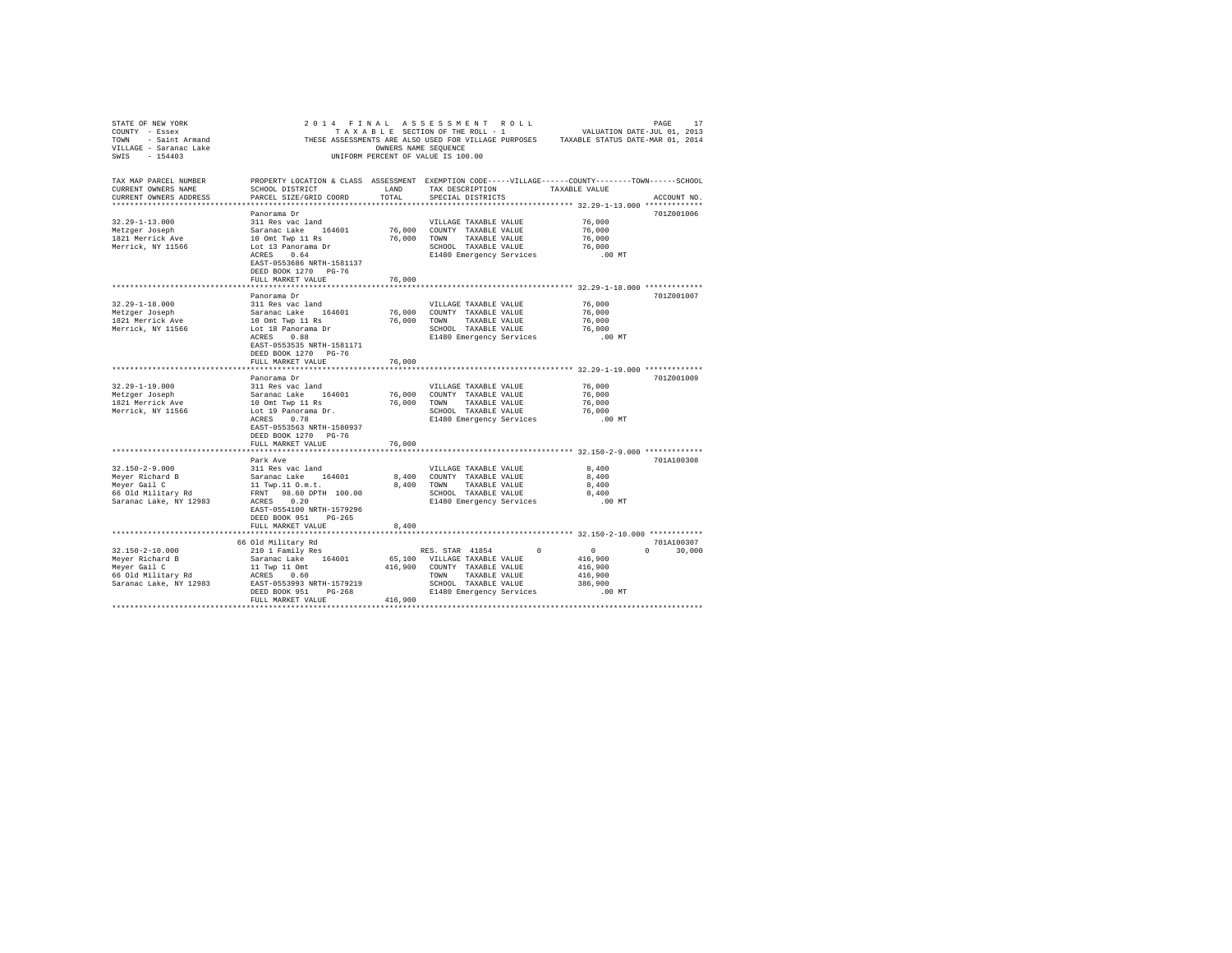| STATE OF NEW YORK               | 2014 FINAL ASSESSMENT ROLL                                                                        |                                    |                             |                       |                          |                                                                                       | PAGE        | 17     |
|---------------------------------|---------------------------------------------------------------------------------------------------|------------------------------------|-----------------------------|-----------------------|--------------------------|---------------------------------------------------------------------------------------|-------------|--------|
| COUNTY - Essex                  |                                                                                                   | TAXABLE SECTION OF THE ROLL - 1    |                             |                       |                          | VALUATION DATE-JUL 01, 2013                                                           |             |        |
| TOWN - Saint Armand             |                                                                                                   |                                    |                             |                       |                          | THESE ASSESSMENTS ARE ALSO USED FOR VILLAGE PURPOSES TAXABLE STATUS DATE-MAR 01, 2014 |             |        |
| VILLAGE - Saranac Lake          |                                                                                                   | OWNERS NAME SEQUENCE               |                             |                       |                          |                                                                                       |             |        |
| SWIS - 154403                   |                                                                                                   | UNIFORM PERCENT OF VALUE IS 100.00 |                             |                       |                          |                                                                                       |             |        |
|                                 |                                                                                                   |                                    |                             |                       |                          |                                                                                       |             |        |
|                                 |                                                                                                   |                                    |                             |                       |                          |                                                                                       |             |        |
| TAX MAP PARCEL NUMBER           | PROPERTY LOCATION & CLASS ASSESSMENT EXEMPTION CODE-----VILLAGE-----COUNTY-------TOWN------SCHOOL |                                    |                             |                       |                          |                                                                                       |             |        |
| CURRENT OWNERS NAME             | SCHOOL DISTRICT                                                                                   | LAND                               |                             | TAX DESCRIPTION       |                          | TAXABLE VALUE                                                                         |             |        |
| CURRENT OWNERS ADDRESS          | PARCEL SIZE/GRID COORD                                                                            | TOTAL                              |                             | SPECIAL DISTRICTS     |                          |                                                                                       | ACCOUNT NO. |        |
|                                 |                                                                                                   |                                    |                             |                       |                          |                                                                                       |             |        |
|                                 | Panorama Dr                                                                                       |                                    |                             |                       |                          |                                                                                       | 701Z001006  |        |
| $32.29 - 1 - 13.000$            | 311 Res vac land                                                                                  |                                    |                             | VILLAGE TAXABLE VALUE |                          | 76,000                                                                                |             |        |
| Metzger Joseph                  | Saranac Lake 164601                                                                               |                                    | 76,000 COUNTY TAXABLE VALUE |                       |                          | 76,000                                                                                |             |        |
| 1821 Merrick Ave                | 10 Omt Twp 11 Rs                                                                                  |                                    | 76,000 TOWN                 | TAXABLE VALUE         |                          | 76,000                                                                                |             |        |
| Merrick, NY 11566               | Lot 13 Panorama Dr                                                                                |                                    |                             | SCHOOL TAXABLE VALUE  |                          | 76,000                                                                                |             |        |
|                                 | ACRES                                                                                             |                                    |                             |                       |                          |                                                                                       |             |        |
|                                 | 0.64                                                                                              |                                    |                             |                       | E1480 Emergency Services | $.00$ MT                                                                              |             |        |
|                                 | EAST-0553686 NRTH-1581137                                                                         |                                    |                             |                       |                          |                                                                                       |             |        |
|                                 | DEED BOOK 1270 PG-76                                                                              |                                    |                             |                       |                          |                                                                                       |             |        |
|                                 | FULL MARKET VALUE                                                                                 | 76,000                             |                             |                       |                          |                                                                                       |             |        |
| **************************      | **************************                                                                        |                                    |                             |                       |                          |                                                                                       |             |        |
|                                 | Panorama Dr                                                                                       |                                    |                             |                       |                          |                                                                                       | 701Z001007  |        |
| $32.29 - 1 - 18.000$            | 311 Res vac land                                                                                  |                                    |                             | VILLAGE TAXABLE VALUE |                          | 76,000                                                                                |             |        |
| Metzger Joseph                  | Saranac Lake 164601                                                                               | 76,000                             |                             | COUNTY TAXABLE VALUE  |                          | 76,000                                                                                |             |        |
| 1821 Merrick Ave                | 10 Omt Twp 11 Rs                                                                                  | 76,000                             |                             | TOWN TAXABLE VALUE    |                          | 76,000                                                                                |             |        |
| Merrick, NY 11566               | Lot 18 Panorama Dr                                                                                |                                    |                             | SCHOOL TAXABLE VALUE  |                          | 76,000                                                                                |             |        |
|                                 | ACRES 0.88                                                                                        |                                    |                             |                       | E1480 Emergency Services | $.00$ MT                                                                              |             |        |
|                                 |                                                                                                   |                                    |                             |                       |                          |                                                                                       |             |        |
|                                 | EAST-0553535 NRTH-1581171                                                                         |                                    |                             |                       |                          |                                                                                       |             |        |
|                                 | DEED BOOK 1270 PG-76                                                                              |                                    |                             |                       |                          |                                                                                       |             |        |
|                                 | FULL MARKET VALUE                                                                                 | 76,000                             |                             |                       |                          |                                                                                       |             |        |
|                                 |                                                                                                   |                                    |                             |                       |                          |                                                                                       |             |        |
|                                 | Panorama Dr                                                                                       |                                    |                             |                       |                          |                                                                                       | 701Z001009  |        |
| $32.29 - 1 - 19.000$            | 311 Res vac land                                                                                  |                                    |                             | VILLAGE TAXABLE VALUE |                          | 76,000                                                                                |             |        |
| Metzger Joseph                  | Saranac Lake 164601<br>10 Omt Twp 11 Rs                                                           | 76,000 COUNTY TAXABLE VALUE        |                             |                       |                          | 76,000                                                                                |             |        |
| 1821 Merrick Ave                |                                                                                                   |                                    | 76,000 TOWN TAXABLE VALUE   |                       |                          | 76,000                                                                                |             |        |
| Merrick, NY 11566               | Lot 19 Panorama Dr.                                                                               |                                    |                             |                       | SCHOOL TAXABLE VALUE     | 76,000                                                                                |             |        |
|                                 | ACRES 0.78                                                                                        |                                    |                             |                       | E1480 Emergency Services | $.00$ MT                                                                              |             |        |
|                                 | EAST-0553563 NRTH-1580937                                                                         |                                    |                             |                       |                          |                                                                                       |             |        |
|                                 | DEED BOOK 1270 PG-76                                                                              |                                    |                             |                       |                          |                                                                                       |             |        |
|                                 |                                                                                                   | 76,000                             |                             |                       |                          |                                                                                       |             |        |
|                                 | FULL MARKET VALUE                                                                                 |                                    |                             |                       |                          |                                                                                       |             |        |
|                                 |                                                                                                   |                                    |                             |                       |                          |                                                                                       |             |        |
|                                 | Park Ave                                                                                          |                                    |                             |                       |                          |                                                                                       | 701A100308  |        |
| $32.150 - 2 - 9.000$            | 311 Res vac land                                                                                  |                                    |                             | VILLAGE TAXABLE VALUE |                          | 8,400                                                                                 |             |        |
| Meyer Richard B<br>Meyer Gail C | Saranac Lake 164601                                                                               | 8,400                              |                             | COUNTY TAXABLE VALUE  |                          | 8,400                                                                                 |             |        |
|                                 | 11 Twp.11 0.m.t.                                                                                  | 8,400                              |                             | TOWN TAXABLE VALUE    |                          | 8,400                                                                                 |             |        |
| 66 Old Military Rd              | FRNT 98.60 DPTH 100.00                                                                            |                                    |                             | SCHOOL TAXABLE VALUE  |                          | 8,400                                                                                 |             |        |
| Saranac Lake, NY 12983          | ACRES 0.20                                                                                        |                                    |                             |                       | E1480 Emergency Services | $.00$ MT                                                                              |             |        |
|                                 | EAST-0554100 NRTH-1579296                                                                         |                                    |                             |                       |                          |                                                                                       |             |        |
|                                 | DEED BOOK 951 PG-265                                                                              |                                    |                             |                       |                          |                                                                                       |             |        |
|                                 | FULL MARKET VALUE                                                                                 | 8,400                              |                             |                       |                          |                                                                                       |             |        |
|                                 |                                                                                                   |                                    |                             |                       |                          |                                                                                       |             |        |
|                                 |                                                                                                   |                                    |                             |                       |                          |                                                                                       | 701A100307  |        |
| $32.150 - 2 - 10.000$           | 66 Old Military Rd                                                                                |                                    |                             |                       | $\Omega$                 |                                                                                       |             |        |
|                                 | 210 1 Family Res                                                                                  |                                    | RES. STAR 41854             |                       |                          | $\sim$ 0                                                                              | $\Omega$    | 30,000 |
| Meyer Richard B                 | Saranac Lake 164601                                                                               | 65,100 VILLAGE TAXABLE VALUE       |                             |                       |                          | 416,900                                                                               |             |        |
| Meyer Gail C                    | 11 Twp 11 Omt                                                                                     | 416,900                            |                             | COUNTY TAXABLE VALUE  |                          | 416,900                                                                               |             |        |
| 66 Old Military Rd              | ACRES 0.60                                                                                        |                                    | TOWN                        | TAXABLE VALUE         |                          | 416,900                                                                               |             |        |
| Saranac Lake, NY 12983          | EAST-0553993 NRTH-1579219                                                                         |                                    |                             | SCHOOL TAXABLE VALUE  |                          | 386,900                                                                               |             |        |
|                                 | DEED BOOK 951 PG-268                                                                              |                                    |                             |                       | E1480 Emergency Services | $.00$ MT                                                                              |             |        |
|                                 | FULL MARKET VALUE                                                                                 | 416,900                            |                             |                       |                          |                                                                                       |             |        |
|                                 |                                                                                                   |                                    |                             |                       |                          |                                                                                       |             |        |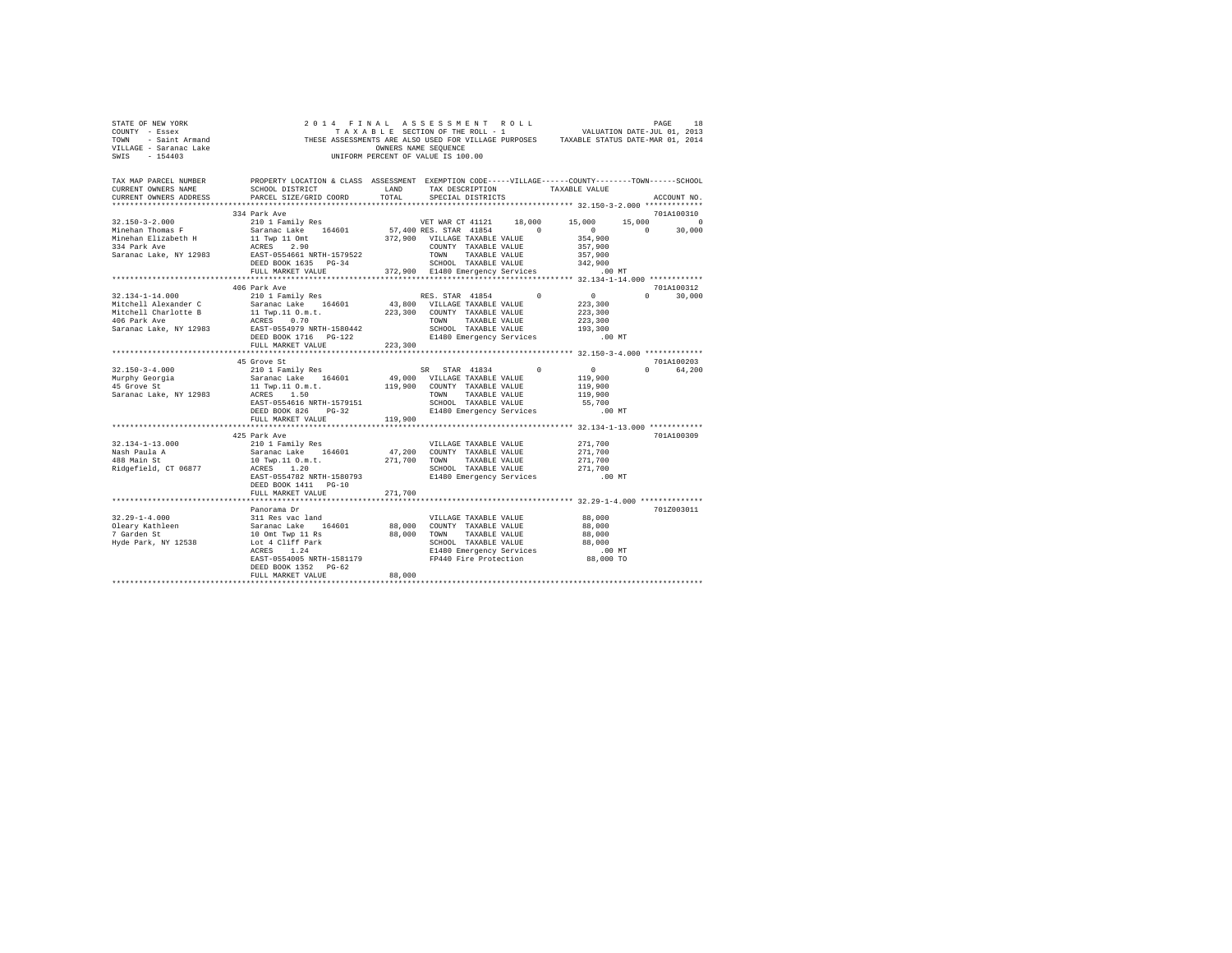| CURRENT OWNERS NAME<br>CURRENT OWNERS ADDRESS                                | TAX MAP PARCEL NUMBER PROPERTY LOCATION & CLASS ASSESSMENT EXEMPTION CODE-----VILLAGE------COUNTY-------TOWN------SCHOOL<br>SCHOOL DISTRICT                     LAND        TAX DESCRIPTION                  TAXABLE VALUE<br>PARCEL SIZE/GRID COORD<br>334 Park Ave                                                                                                                                                                             | TOTAL   | SPECIAL DISTRICTS                                                                                                                                                        |                                               | ACCOUNT NO.<br>701A100310   |
|------------------------------------------------------------------------------|--------------------------------------------------------------------------------------------------------------------------------------------------------------------------------------------------------------------------------------------------------------------------------------------------------------------------------------------------------------------------------------------------------------------------------------------------|---------|--------------------------------------------------------------------------------------------------------------------------------------------------------------------------|-----------------------------------------------|-----------------------------|
|                                                                              | $\begin{tabular}{l cccc} 32.150-3-2.000 & 334~\text{Park AVP} & 101~\text{Family Res} \\ \text{Minehan Thomas F} & \text{Sarana c Lake} & 164601 & 57,400~\text{RES} & \text{ST} & 18,000 & 15,000 & 15,000 & 15,000 \\ \text{Minehan Flizabeth H} & 11~\text{Nup I Dom} & 372,900~\text{VILLAGE TAKABLE VALUE} & 354,900 & 0 & 30,000 \\ \text{Minehan Flizabeth H} & 11$                                                                       |         |                                                                                                                                                                          |                                               |                             |
|                                                                              |                                                                                                                                                                                                                                                                                                                                                                                                                                                  |         |                                                                                                                                                                          |                                               |                             |
|                                                                              | 406 Park Ave                                                                                                                                                                                                                                                                                                                                                                                                                                     |         |                                                                                                                                                                          |                                               | 701A100312<br>$0 \t 30.000$ |
|                                                                              |                                                                                                                                                                                                                                                                                                                                                                                                                                                  |         |                                                                                                                                                                          |                                               |                             |
|                                                                              | 45 Grove St<br>$\begin{tabular}{lcccccc} 32.150-3-4.000 & & & 201013 & & & 010100 & & & 0101000 & & & 0101000 & & & 01010000 & & & 01010000 & & & 01010000 & & & 01010000 & & & 01010000 & & & 01010000 & & & 01010000 & & & 01010000 & & & 01010000 & & & 01010000 & & & 01010000 & & & 01010000 & & & 01010$<br>ACRES 1.50<br>EAST-0554616 NRTH-1579151<br>DEED BOOK 826 PG-32                                                                 |         | TOWN      TAXABLE VALUE<br>SCHOOL   TAXABLE VALUE                                                                                                                        | 55,700                                        | 701A100203<br>0 64.200      |
|                                                                              | DEED BOOK 826 PG-32                                                                                                                                                                                                                                                                                                                                                                                                                              |         | E1480 Emergency Services                                                                                                                                                 | $.00$ MT                                      |                             |
|                                                                              | FULL MARKET VALUE 119,900                                                                                                                                                                                                                                                                                                                                                                                                                        |         |                                                                                                                                                                          |                                               |                             |
| 32.134-1-13.000<br>Nash Paula A<br>488 Main St<br>Ridgefield, CT 06877       | 425 Park Ave<br>$\begin{tabular}{c c c c c c c c c} \multicolumn{1}{c }{\textbf{210} & \textbf{10} & \textbf{10} & \textbf{10} & \textbf{10} & \textbf{10} & \textbf{10} & \textbf{10} & \textbf{10} & \textbf{10} & \textbf{10} & \textbf{10} & \textbf{10} & \textbf{10} & \textbf{10} & \textbf{10} & \textbf{10} & \textbf{10} & \textbf{10} & \textbf{10} & \textbf{10} & \textbf{10} & \textbf{10} & \textbf{10} & \$<br>FULL MARKET VALUE | 271,700 |                                                                                                                                                                          |                                               | 701A100309                  |
|                                                                              | ********************                                                                                                                                                                                                                                                                                                                                                                                                                             |         |                                                                                                                                                                          | **************** 32.29-1-4.000 ************** |                             |
| $32.29 - 1 - 4.000$<br>Oleary Kathleen<br>7 Garden St<br>Hyde Park, NY 12538 | Panorama Dr<br>311 Res vac land<br>Saranac Lake 164601 88,000 COUNTY TAXABLE VALUE<br>10 Omt Twp 11 Rs 88,000 TOWN TAXABLE VALUE<br>10 Omt 4 TO11F Park<br>168,000 TOWN TAXABLE VALUE<br>168 SCROOL TAXABLE VALUE<br>21480 Emergency Services<br>DEED BOOK 1352 PG-62<br>FULL MARKET VALUE                                                                                                                                                       | 88,000  | DOC 4 CLIFI Park Mary SCHOOL TAXABLE VALUE 88,000 88,000 ELACRES 1.24 ACRES<br>ACRES 1.24 Elaio 100 MT Elaio 100 MT PEAGE 1.24 ACRES 1.00 MT PEAGE 2.00 MT PEAGE 2.00 MT | 88,000<br>88,000<br>88,000<br>88,000          | 701Z003011                  |
|                                                                              |                                                                                                                                                                                                                                                                                                                                                                                                                                                  |         |                                                                                                                                                                          |                                               |                             |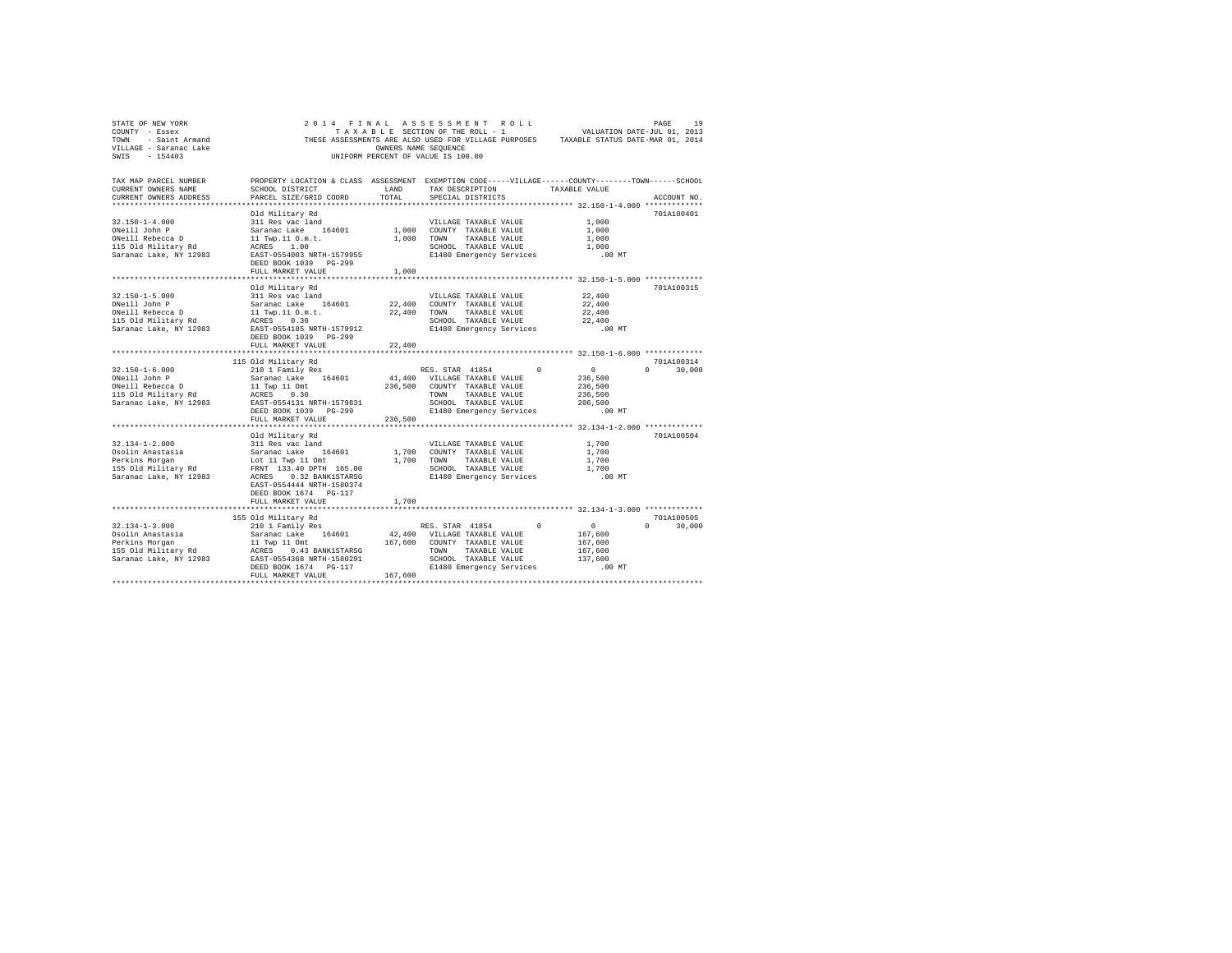| STATE OF NEW YORK<br>COUNTY - Essex<br>TOWN - Saint Armand<br>VILLAGE - Saranac Lake<br>SWIS - 154403 |                                                                                                                                                                                                 | OWNERS NAME SEQUENCE | 2014 FINAL ASSESSMENT ROLL<br>TAXABLE SECTION OF THE ROLL - 1<br>UNIFORM PERCENT OF VALUE IS 100.00 |               | VALUATION DATE-JUL 01, 2013<br>THESE ASSESSMENTS ARE ALSO USED FOR VILLAGE PURPOSES TAXABLE STATUS DATE-MAR 01, 2014 | PAGE<br>19         |
|-------------------------------------------------------------------------------------------------------|-------------------------------------------------------------------------------------------------------------------------------------------------------------------------------------------------|----------------------|-----------------------------------------------------------------------------------------------------|---------------|----------------------------------------------------------------------------------------------------------------------|--------------------|
| TAX MAP PARCEL NUMBER<br>CURRENT OWNERS NAME<br>CURRENT OWNERS ADDRESS                                | PROPERTY LOCATION & CLASS ASSESSMENT EXEMPTION CODE-----VILLAGE-----COUNTY-------TOWN------SCHOOL<br>SCHOOL DISTRICT<br>PARCEL SIZE/GRID COORD                                                  | LAND<br>TOTAL        | SPECIAL DISTRICTS                                                                                   |               | TAX DESCRIPTION TAXABLE VALUE                                                                                        | ACCOUNT NO.        |
|                                                                                                       | Old Military Rd                                                                                                                                                                                 |                      |                                                                                                     |               |                                                                                                                      | 701A100401         |
| $32.150 - 1 - 4.000$                                                                                  | 311 Res vac land                                                                                                                                                                                |                      | VILLAGE TAXABLE VALUE                                                                               |               | 1,000                                                                                                                |                    |
| ONeill John P                                                                                         | Saranac Lake 164601                                                                                                                                                                             | 1,000                | COUNTY TAXABLE VALUE                                                                                |               | 1,000                                                                                                                |                    |
| ONeill Rebecca D                                                                                      | 11 Twp.11 0.m.t.<br>ACRES 1.00                                                                                                                                                                  | 1,000                | TOWN                                                                                                | TAXABLE VALUE | 1,000                                                                                                                |                    |
| 115 Old Military Rd                                                                                   |                                                                                                                                                                                                 |                      | SCHOOL TAXABLE VALUE                                                                                |               | 1,000                                                                                                                |                    |
| Saranac Lake, NY 12983                                                                                | EAST-0554003 NRTH-1579955                                                                                                                                                                       |                      | E1480 Emergency Services                                                                            |               | $.00$ MT                                                                                                             |                    |
|                                                                                                       | DEED BOOK 1039 PG-299<br>FULL MARKET VALUE                                                                                                                                                      | 1,000                |                                                                                                     |               |                                                                                                                      |                    |
|                                                                                                       | *****************************                                                                                                                                                                   |                      |                                                                                                     |               |                                                                                                                      |                    |
|                                                                                                       | Old Military Rd                                                                                                                                                                                 |                      |                                                                                                     |               |                                                                                                                      | 701A100315         |
| $32.150 - 1 - 5.000$                                                                                  | 311 Res vac land                                                                                                                                                                                |                      | VILLAGE TAXABLE VALUE                                                                               |               | 22,400                                                                                                               |                    |
| ONeill John P                                                                                         | Saranac Lake 164601                                                                                                                                                                             | 22,400               | COUNTY TAXABLE VALUE                                                                                |               | 22,400                                                                                                               |                    |
| ONeill Rebecca D                                                                                      | Saranac Lake 164601<br>11 Twp.11 O.m.t.<br>ACRES 0.30                                                                                                                                           | 22,400               | TOWN                                                                                                | TAXABLE VALUE | 22,400                                                                                                               |                    |
| 115 Old Military Rd                                                                                   |                                                                                                                                                                                                 |                      | SCHOOL TAXABLE VALUE                                                                                |               | 22,400                                                                                                               |                    |
| Saranac Lake, NY 12983                                                                                | EAST-0554185 NRTH-1579912                                                                                                                                                                       |                      | E1480 Emergency Services                                                                            |               | $.00$ MT                                                                                                             |                    |
|                                                                                                       | DEED BOOK 1039 PG-299                                                                                                                                                                           |                      |                                                                                                     |               |                                                                                                                      |                    |
|                                                                                                       | FULL MARKET VALUE                                                                                                                                                                               | 22,400               |                                                                                                     |               |                                                                                                                      |                    |
|                                                                                                       |                                                                                                                                                                                                 |                      |                                                                                                     |               |                                                                                                                      | 701A100314         |
| $32.150 - 1 - 6.000$                                                                                  | 115 Old Military Rd<br>210 1 Family Res                                                                                                                                                         |                      | RES. STAR 41854                                                                                     | $\Omega$      | $\sim$ 0                                                                                                             | $\Omega$<br>30,000 |
| ONeill John P                                                                                         |                                                                                                                                                                                                 |                      | 41,400 VILLAGE TAXABLE VALUE                                                                        |               | 236,500                                                                                                              |                    |
| ONeill Rebecca D                                                                                      | Saranac Lake 164601<br>11 Twp 11 Omt                                                                                                                                                            | 236,500              | COUNTY TAXABLE VALUE                                                                                |               | 236,500                                                                                                              |                    |
| 115 Old Military Rd                                                                                   | ACRES 0.30                                                                                                                                                                                      |                      | TOWN                                                                                                | TAXABLE VALUE | 236,500                                                                                                              |                    |
| Saranac Lake, NY 12983                                                                                | EAST-0554131 NRTH-1579831                                                                                                                                                                       |                      | SCHOOL TAXABLE VALUE                                                                                |               | 206,500                                                                                                              |                    |
|                                                                                                       | DEED BOOK 1039 PG-299                                                                                                                                                                           |                      | E1480 Emergency Services                                                                            |               | $.00$ MT                                                                                                             |                    |
|                                                                                                       | FULL MARKET VALUE                                                                                                                                                                               | 236,500              |                                                                                                     |               |                                                                                                                      |                    |
|                                                                                                       | *************************                                                                                                                                                                       |                      |                                                                                                     |               |                                                                                                                      |                    |
|                                                                                                       | Old Military Rd                                                                                                                                                                                 |                      |                                                                                                     |               |                                                                                                                      | 701A100504         |
| $32.134 - 1 - 2.000$                                                                                  | 311 Res vac land                                                                                                                                                                                |                      | VILLAGE TAXABLE VALUE                                                                               |               | 1,700                                                                                                                |                    |
| Osolin Anastasia<br>Perkins Morgan                                                                    |                                                                                                                                                                                                 | 1,700                | COUNTY TAXABLE VALUE<br>1,700 TOWN                                                                  | TAXABLE VALUE | 1,700<br>1,700                                                                                                       |                    |
| 155 Old Military Rd                                                                                   |                                                                                                                                                                                                 |                      | SCHOOL TAXABLE VALUE                                                                                |               | 1,700                                                                                                                |                    |
| Saranac Lake, NY 12983                                                                                | Saranac Lake 164601<br>Lot 11 Twp 11 Omt<br>FRNT 133.40 DPTH 165.00<br>ACRES 0.32 BANK1STARSG                                                                                                   |                      | E1480 Emergency Services                                                                            |               | $.00$ MT                                                                                                             |                    |
|                                                                                                       | EAST-0554444 NRTH-1580374                                                                                                                                                                       |                      |                                                                                                     |               |                                                                                                                      |                    |
|                                                                                                       | DEED BOOK 1674 PG-117                                                                                                                                                                           |                      |                                                                                                     |               |                                                                                                                      |                    |
|                                                                                                       | FULL MARKET VALUE                                                                                                                                                                               | 1,700                |                                                                                                     |               |                                                                                                                      |                    |
|                                                                                                       |                                                                                                                                                                                                 |                      |                                                                                                     |               |                                                                                                                      |                    |
|                                                                                                       | 155 Old Military Rd                                                                                                                                                                             |                      |                                                                                                     |               |                                                                                                                      | 701A100505         |
| $32.134 - 1 - 3.000$                                                                                  | 210 1 Family Res                                                                                                                                                                                |                      | RES. STAR 41854                                                                                     | $\Omega$      | $\sim$ 0                                                                                                             | $\cap$<br>30,000   |
| Osolin Anastasia                                                                                      | Saranac Lake 164601 42,400 VILLAGE TAXABLE VALUE<br>11 Twp 11 Omt 167,600 COUNTY TAXABLE VALUE<br>ACRES 0.43 BANK1STARSG COUNTY TAXABLE VALUE<br>EAST-0554368 NRTH-1580291 SCHOOL TAXABLE VALUE |                      |                                                                                                     |               | 167,600                                                                                                              |                    |
| Perkins Morgan<br>155 Old Military Rd                                                                 |                                                                                                                                                                                                 |                      |                                                                                                     |               | 167,600<br>167,600                                                                                                   |                    |
| Saranac Lake, NY 12983                                                                                |                                                                                                                                                                                                 |                      | SCHOOL TAXABLE VALUE                                                                                |               | 137,600                                                                                                              |                    |
|                                                                                                       | DEED BOOK 1674 PG-117                                                                                                                                                                           |                      | E1480 Emergency Services                                                                            |               | .00MT                                                                                                                |                    |
|                                                                                                       | FULL MARKET VALUE                                                                                                                                                                               | 167,600              |                                                                                                     |               |                                                                                                                      |                    |
|                                                                                                       |                                                                                                                                                                                                 |                      |                                                                                                     |               |                                                                                                                      |                    |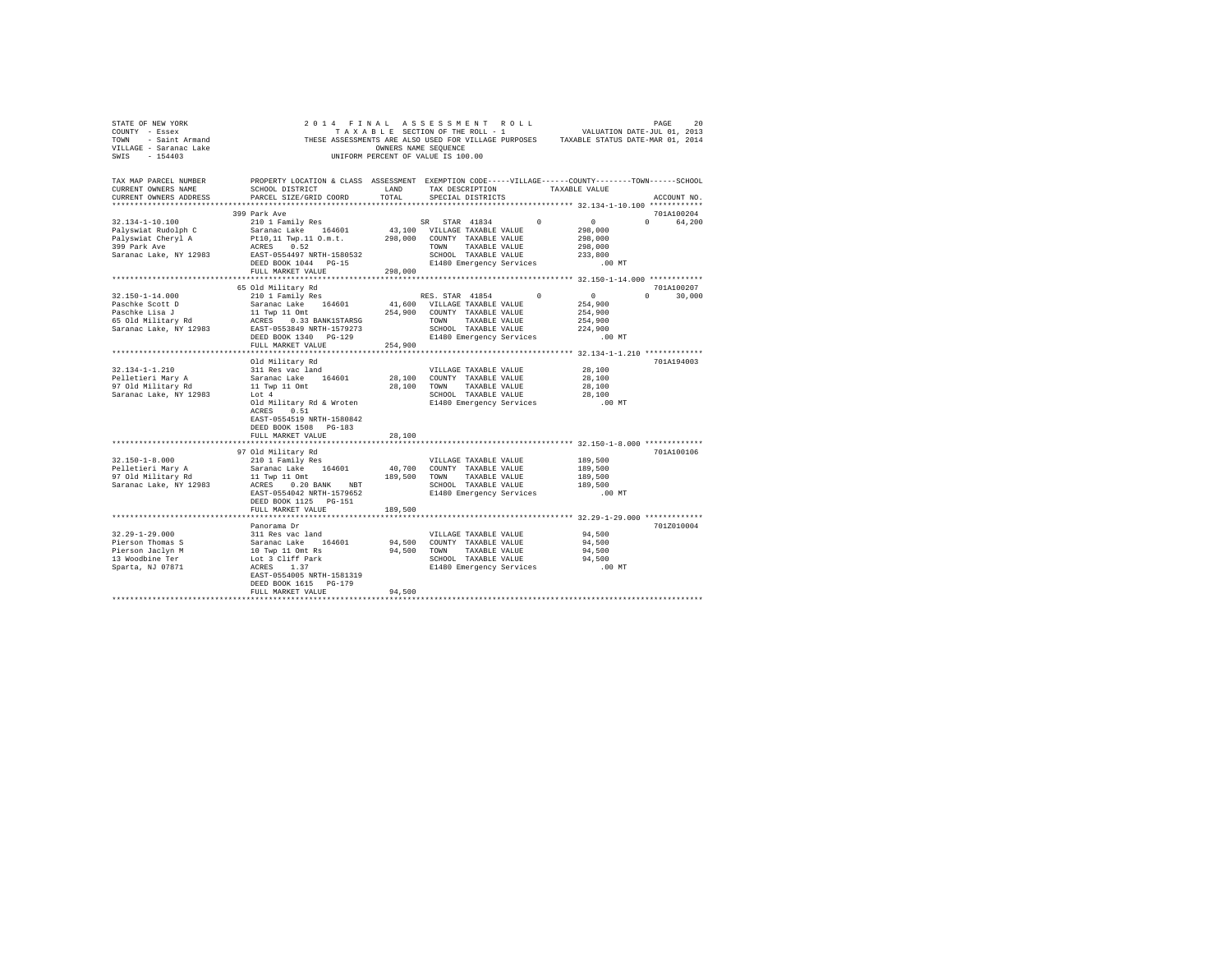| STATE OF NEW YORK                                                                                                                                                                                                                                                                                                                                                                                                                                                                         |                                                                                                   |         | 2014 FINAL ASSESSMENT ROLL |                                                                 | PAGE<br>20                  |  |  |  |  |
|-------------------------------------------------------------------------------------------------------------------------------------------------------------------------------------------------------------------------------------------------------------------------------------------------------------------------------------------------------------------------------------------------------------------------------------------------------------------------------------------|---------------------------------------------------------------------------------------------------|---------|----------------------------|-----------------------------------------------------------------|-----------------------------|--|--|--|--|
| TAX MAP PARCEL NUMBER<br>CURRENT OWNERS NAME<br>CURRENT OWNERS ADDRESS                                                                                                                                                                                                                                                                                                                                                                                                                    | PROPERTY LOCATION & CLASS ASSESSMENT EXEMPTION CODE-----VILLAGE-----COUNTY-------TOWN------SCHOOL |         |                            |                                                                 | ACCOUNT NO.                 |  |  |  |  |
|                                                                                                                                                                                                                                                                                                                                                                                                                                                                                           | 399 Park Ave                                                                                      |         |                            |                                                                 | 701A100204                  |  |  |  |  |
| $[100] \begin{tabular}{lcccc} 32.134-1-10.100 & 399~{\rm {park~Ave}} \\ \hline \texttt{Palyswiat Rudolph C} & 210~1~\texttt{Family Res} & \texttt{SR} & 57 \texttt{AR} & 41834 & 0 & 0 \\ \texttt{Palyswiat Rudolph C} & 210~1.1~\texttt{Ywol.11} & 0.58 & 57 \texttt{AR} & 43,100 & \texttt{VILLAGE TAXABLE VALUE} & 298,000 \\ \texttt{Palyswiat Cheryl A} & 210,1.1~\texttt$                                                                                                           |                                                                                                   |         |                            | .00 MT                                                          | 0 64,200                    |  |  |  |  |
|                                                                                                                                                                                                                                                                                                                                                                                                                                                                                           |                                                                                                   |         |                            |                                                                 |                             |  |  |  |  |
|                                                                                                                                                                                                                                                                                                                                                                                                                                                                                           |                                                                                                   |         |                            |                                                                 |                             |  |  |  |  |
| 32.150-1-14.000<br>$\begin{tabular}{l c c c c c} \multicolumn{1}{c}{\textbf{Pasechke Scoct D}} & \multicolumn{1}{c}{\textbf{Sacine Scoct D}} & \multicolumn{1}{c}{\textbf{Sacine Scoct D}} & \multicolumn{1}{c}{\textbf{Sacine Scoct D}} & \multicolumn{1}{c}{\textbf{Sacine Scoct D}} & \multicolumn{1}{c}{\textbf{Sacine Scoct D}} & \multicolumn{1}{c}{\textbf{Sacine Scoct D}} & \multicolumn{1}{c}{\textbf{Sacine Scoct D}} & \multicolumn{1}{c}{\textbf{Sacine Scoct D}} & \multic$ | 65 Old Military Rd<br>210 1 Family Res                                                            |         | RES. STAR 41854            | $0$<br>0 $0$<br>254,900<br>254,900<br>254,900<br>224,900        | 701A100207<br>$0 \t 30,000$ |  |  |  |  |
|                                                                                                                                                                                                                                                                                                                                                                                                                                                                                           |                                                                                                   |         |                            |                                                                 |                             |  |  |  |  |
|                                                                                                                                                                                                                                                                                                                                                                                                                                                                                           |                                                                                                   |         |                            |                                                                 |                             |  |  |  |  |
|                                                                                                                                                                                                                                                                                                                                                                                                                                                                                           |                                                                                                   |         |                            |                                                                 |                             |  |  |  |  |
|                                                                                                                                                                                                                                                                                                                                                                                                                                                                                           | Old Military Rd<br>ACRES 0.51<br>EAST-0554519 NRTH-1580842                                        |         |                            |                                                                 | 701A194003                  |  |  |  |  |
|                                                                                                                                                                                                                                                                                                                                                                                                                                                                                           | DEED BOOK 1508 PG-183                                                                             |         |                            |                                                                 |                             |  |  |  |  |
|                                                                                                                                                                                                                                                                                                                                                                                                                                                                                           | FULL MARKET VALUE                                                                                 | 28,100  |                            |                                                                 |                             |  |  |  |  |
|                                                                                                                                                                                                                                                                                                                                                                                                                                                                                           | 97 Old Military Rd                                                                                |         |                            |                                                                 | 701A100106                  |  |  |  |  |
|                                                                                                                                                                                                                                                                                                                                                                                                                                                                                           | 210 1 Family Res<br>DEED BOOK 1125 PG-151<br>FULL MARKET VALUE                                    | 189,500 |                            | 189,500<br>189,500<br>189,500<br>189,500<br>189,500<br>$.00$ MT |                             |  |  |  |  |
|                                                                                                                                                                                                                                                                                                                                                                                                                                                                                           |                                                                                                   |         |                            |                                                                 |                             |  |  |  |  |
|                                                                                                                                                                                                                                                                                                                                                                                                                                                                                           | Panorama Dr<br>EAST-0554005 NRTH-1581319<br>DEED BOOK 1615 PG-179                                 |         |                            |                                                                 | 701Z010004                  |  |  |  |  |
|                                                                                                                                                                                                                                                                                                                                                                                                                                                                                           | FULL MARKET VALUE                                                                                 | 94,500  |                            |                                                                 |                             |  |  |  |  |
|                                                                                                                                                                                                                                                                                                                                                                                                                                                                                           |                                                                                                   |         |                            |                                                                 |                             |  |  |  |  |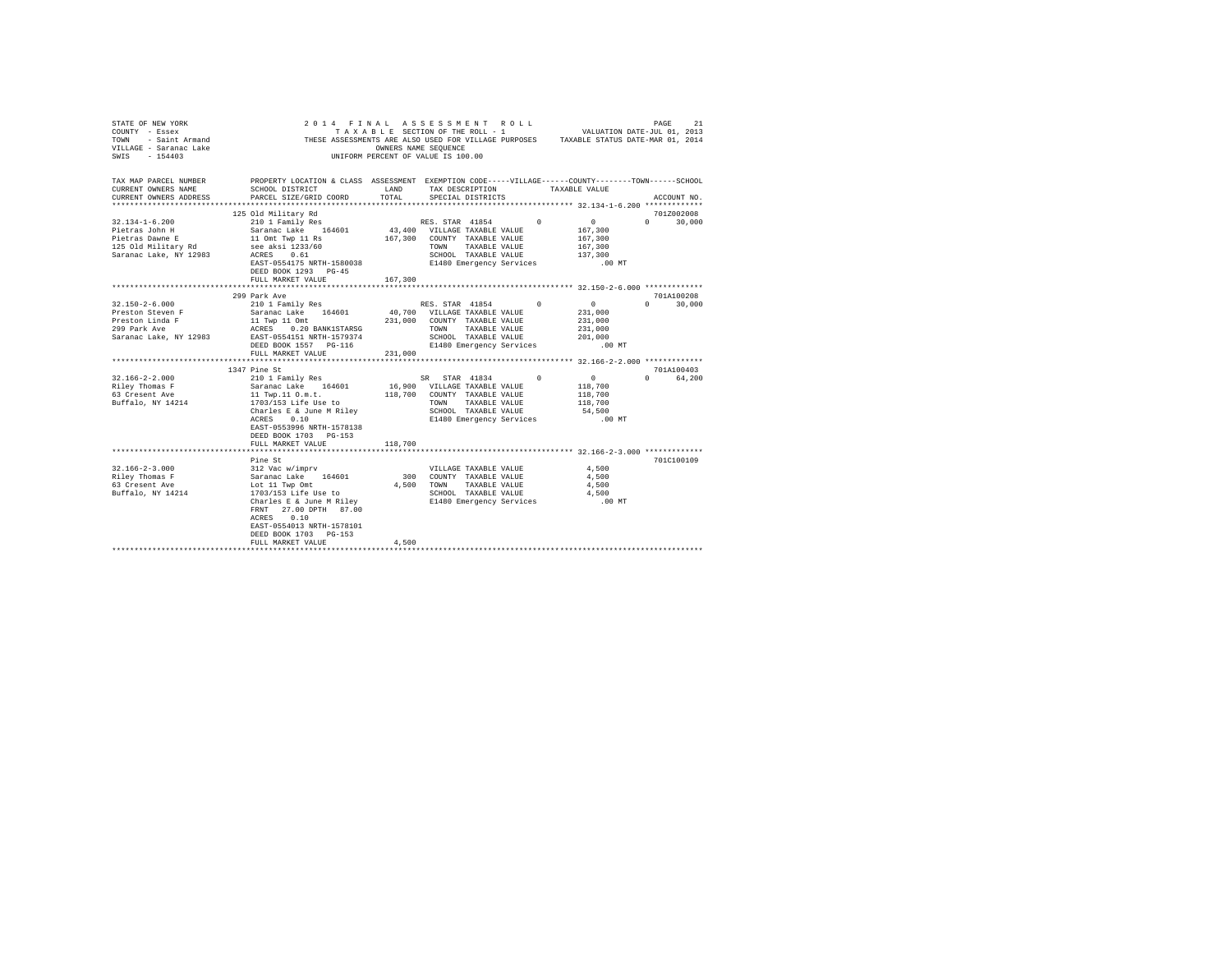| $\begin{array}{cccccccccccccccc} \texttt{STNR} & \texttt{OREN} & \texttt{NOR} & \texttt{PAGE} & \texttt{SUS} & \texttt{SUS} & \texttt{SUS} & \texttt{SUS} & \texttt{SUS} & \texttt{SUS} & \texttt{SUS} & \texttt{SUS} & \texttt{SUS} & \texttt{SUS} & \texttt{SUS} & \texttt{SUS} & \texttt{SUS} & \texttt{SUS} & \texttt{SUS} & \texttt{SUS} & \texttt{SUS} & \texttt{SUS} & \texttt{SUS} & \texttt{SUS} & \texttt{SUS} & \texttt{SUS} & \text$<br>VILLAGE - Saranac Lake<br>SWIS - 154403<br>SWIS - 154403 | OWNERS NAME SEQUENCE<br>INIFORM PERCENT OF VALUE IS 100                                                                                                                        |         | UNIFORM PERCENT OF VALUE IS 100.00                                   |                                                                 |                             |  |
|--------------------------------------------------------------------------------------------------------------------------------------------------------------------------------------------------------------------------------------------------------------------------------------------------------------------------------------------------------------------------------------------------------------------------------------------------------------------------------------------------------------|--------------------------------------------------------------------------------------------------------------------------------------------------------------------------------|---------|----------------------------------------------------------------------|-----------------------------------------------------------------|-----------------------------|--|
| TAX MAP PARCEL NUMBER PROPERTY LOCATION & CLASS ASSESSMENT EXEMPTION CODE-----VILLAGE-----COUNTY-------TOWN-----SCHOOL<br>CURRENT OWNERS NAME                                                                                                                                                                                                                                                                                                                                                                | SCHOOL DISTRICT                                                                                                                                                                | LAND    | TAX DESCRIPTION                                                      | TAXABLE VALUE                                                   |                             |  |
| CURRENT OWNERS ADDRESS                                                                                                                                                                                                                                                                                                                                                                                                                                                                                       | PARCEL SIZE/GRID COORD                                                                                                                                                         | TOTAL   | SPECIAL DISTRICTS                                                    |                                                                 | ACCOUNT NO.                 |  |
|                                                                                                                                                                                                                                                                                                                                                                                                                                                                                                              |                                                                                                                                                                                |         |                                                                      |                                                                 | 701Z002008                  |  |
| $32.134 - 1 - 6.200$                                                                                                                                                                                                                                                                                                                                                                                                                                                                                         | 125 Old Military Rd<br>210 1 Family Res                                                                                                                                        |         | RES. STAR 41854 0 0                                                  |                                                                 | $0 \t 30.000$               |  |
|                                                                                                                                                                                                                                                                                                                                                                                                                                                                                                              |                                                                                                                                                                                |         | 43,400 VILLAGE TAXABLE VALUE                                         | 167,300                                                         |                             |  |
|                                                                                                                                                                                                                                                                                                                                                                                                                                                                                                              |                                                                                                                                                                                |         | 167,300 COUNTY TAXABLE VALUE                                         | 167,300                                                         |                             |  |
| Pietras John H Maranac Lake 164601<br>Pietras John H 10m Twp 11 Rs 164601<br>125 Old Military Rd 10m Twp 11 Rs 1233/60<br>Saranac Lake, NY 12983<br>ACRES 0.61                                                                                                                                                                                                                                                                                                                                               |                                                                                                                                                                                |         | TAXABLE VALUE<br>TOWN                                                | 167,300                                                         |                             |  |
|                                                                                                                                                                                                                                                                                                                                                                                                                                                                                                              |                                                                                                                                                                                |         | SCHOOL TAXABLE VALUE 137,300<br>137,300 E1480 Emergency Services     |                                                                 |                             |  |
|                                                                                                                                                                                                                                                                                                                                                                                                                                                                                                              | EAST-0554175 NRTH-1580038                                                                                                                                                      |         |                                                                      | .00 MT                                                          |                             |  |
|                                                                                                                                                                                                                                                                                                                                                                                                                                                                                                              | DEED BOOK 1293 PG-45                                                                                                                                                           |         |                                                                      |                                                                 |                             |  |
|                                                                                                                                                                                                                                                                                                                                                                                                                                                                                                              | FULL MARKET VALUE                                                                                                                                                              | 167,300 |                                                                      |                                                                 |                             |  |
|                                                                                                                                                                                                                                                                                                                                                                                                                                                                                                              |                                                                                                                                                                                |         |                                                                      |                                                                 |                             |  |
| $32.150 - 2 - 6.000$                                                                                                                                                                                                                                                                                                                                                                                                                                                                                         | 299 Park Ave                                                                                                                                                                   |         | RES. STAR 41854 0                                                    | $\sim$ 0                                                        | 701A100208<br>$0 \t 30.000$ |  |
| Preston Steven F                                                                                                                                                                                                                                                                                                                                                                                                                                                                                             | 210 1 Family Res                                                                                                                                                               |         |                                                                      |                                                                 |                             |  |
| Preston Linda F                                                                                                                                                                                                                                                                                                                                                                                                                                                                                              |                                                                                                                                                                                |         | 40,700 VILLAGE TAXABLE VALUE 231,000<br>231,000 COUNTY TAXABLE VALUE | 231,000                                                         |                             |  |
| 299 Park Ave                                                                                                                                                                                                                                                                                                                                                                                                                                                                                                 |                                                                                                                                                                                |         |                                                                      | 231,000                                                         |                             |  |
| Saranac Lake, NY 12983                                                                                                                                                                                                                                                                                                                                                                                                                                                                                       |                                                                                                                                                                                |         | TOWN TAXABLE VALUE<br>SCHOOL TAXABLE VALUE<br>COLLECTION Services    | 201,000                                                         |                             |  |
|                                                                                                                                                                                                                                                                                                                                                                                                                                                                                                              | DEED BOOK 1557 PG-116                                                                                                                                                          |         | E1480 Emergency Services                                             | $.00$ MT                                                        |                             |  |
|                                                                                                                                                                                                                                                                                                                                                                                                                                                                                                              | FULL MARKET VALUE                                                                                                                                                              | 231,000 |                                                                      |                                                                 |                             |  |
|                                                                                                                                                                                                                                                                                                                                                                                                                                                                                                              |                                                                                                                                                                                |         |                                                                      |                                                                 |                             |  |
|                                                                                                                                                                                                                                                                                                                                                                                                                                                                                                              | 1347 Pine St                                                                                                                                                                   |         |                                                                      |                                                                 | 701A100403                  |  |
| $32.166 - 2 - 2.000$                                                                                                                                                                                                                                                                                                                                                                                                                                                                                         |                                                                                                                                                                                |         | SR STAR 41834 0                                                      | $\sim$ 0                                                        | 0 64.200                    |  |
| Riley Thomas F<br>Riley Indower P<br>63 Cresent Ave                                                                                                                                                                                                                                                                                                                                                                                                                                                          |                                                                                                                                                                                |         |                                                                      | 118,700<br>118,700                                              |                             |  |
| Buffalo, NY 14214                                                                                                                                                                                                                                                                                                                                                                                                                                                                                            | 211 1 Family Res SR STAR 41834<br>Saranac Lake 164601 16,900 VILLAGE TAXABLE VALUE<br>11 Twp.11 0.m.t. 118,700 COUNTY TAXABLE VALUE<br>1703/153 Life Use to TOWN TAXABLE VALUE |         |                                                                      | 118,700                                                         |                             |  |
|                                                                                                                                                                                                                                                                                                                                                                                                                                                                                                              | Charles E & June M Riley                                                                                                                                                       |         | SCHOOL TAXABLE VALUE                                                 | 54,500                                                          |                             |  |
|                                                                                                                                                                                                                                                                                                                                                                                                                                                                                                              | ACRES 0.10                                                                                                                                                                     |         | E1480 Emergency Services                                             | .00 MT                                                          |                             |  |
|                                                                                                                                                                                                                                                                                                                                                                                                                                                                                                              | EAST-0553996 NRTH-1578138                                                                                                                                                      |         |                                                                      |                                                                 |                             |  |
|                                                                                                                                                                                                                                                                                                                                                                                                                                                                                                              | DEED BOOK 1703 PG-153                                                                                                                                                          |         |                                                                      |                                                                 |                             |  |
|                                                                                                                                                                                                                                                                                                                                                                                                                                                                                                              | FULL MARKET VALUE                                                                                                                                                              | 118,700 |                                                                      |                                                                 |                             |  |
|                                                                                                                                                                                                                                                                                                                                                                                                                                                                                                              | **********************                                                                                                                                                         |         |                                                                      | ********************************* 32.166-2-3.000 ************** |                             |  |
|                                                                                                                                                                                                                                                                                                                                                                                                                                                                                                              | Pine St                                                                                                                                                                        |         |                                                                      |                                                                 | 701C100109                  |  |
| $32.166 - 2 - 3.000$                                                                                                                                                                                                                                                                                                                                                                                                                                                                                         |                                                                                                                                                                                |         | VILLAGE TAXABLE VALUE                                                | 4.500<br>4.500                                                  |                             |  |
| Riley Thomas F<br>63 Cresent Ave                                                                                                                                                                                                                                                                                                                                                                                                                                                                             |                                                                                                                                                                                |         | 300 COUNTY TAXABLE VALUE<br>4.500 TOWN TAXABLE VALUE                 | 4.500                                                           |                             |  |
| Buffalo, NY 14214                                                                                                                                                                                                                                                                                                                                                                                                                                                                                            | 312 Vac w/imprv<br>Saranac Lake 164601<br>Lot 11 Twp Omt<br>1703/153 Life Use to                                                                                               |         | SCHOOL TAXABLE VALUE                                                 | 4,500                                                           |                             |  |
|                                                                                                                                                                                                                                                                                                                                                                                                                                                                                                              | 1703/153 Life Use to<br>Charles E & June M Riley                                                                                                                               |         | E1480 Emergency Services                                             | $.00$ MT                                                        |                             |  |
|                                                                                                                                                                                                                                                                                                                                                                                                                                                                                                              | FRNT 27.00 DPTH 87.00                                                                                                                                                          |         |                                                                      |                                                                 |                             |  |
|                                                                                                                                                                                                                                                                                                                                                                                                                                                                                                              | ACRES 0.10                                                                                                                                                                     |         |                                                                      |                                                                 |                             |  |
|                                                                                                                                                                                                                                                                                                                                                                                                                                                                                                              | EAST-0554013 NRTH-1578101                                                                                                                                                      |         |                                                                      |                                                                 |                             |  |
|                                                                                                                                                                                                                                                                                                                                                                                                                                                                                                              | DEED BOOK 1703 PG-153                                                                                                                                                          |         |                                                                      |                                                                 |                             |  |
|                                                                                                                                                                                                                                                                                                                                                                                                                                                                                                              | FULL MARKET VALUE                                                                                                                                                              | 4.500   |                                                                      |                                                                 |                             |  |
|                                                                                                                                                                                                                                                                                                                                                                                                                                                                                                              |                                                                                                                                                                                |         |                                                                      |                                                                 |                             |  |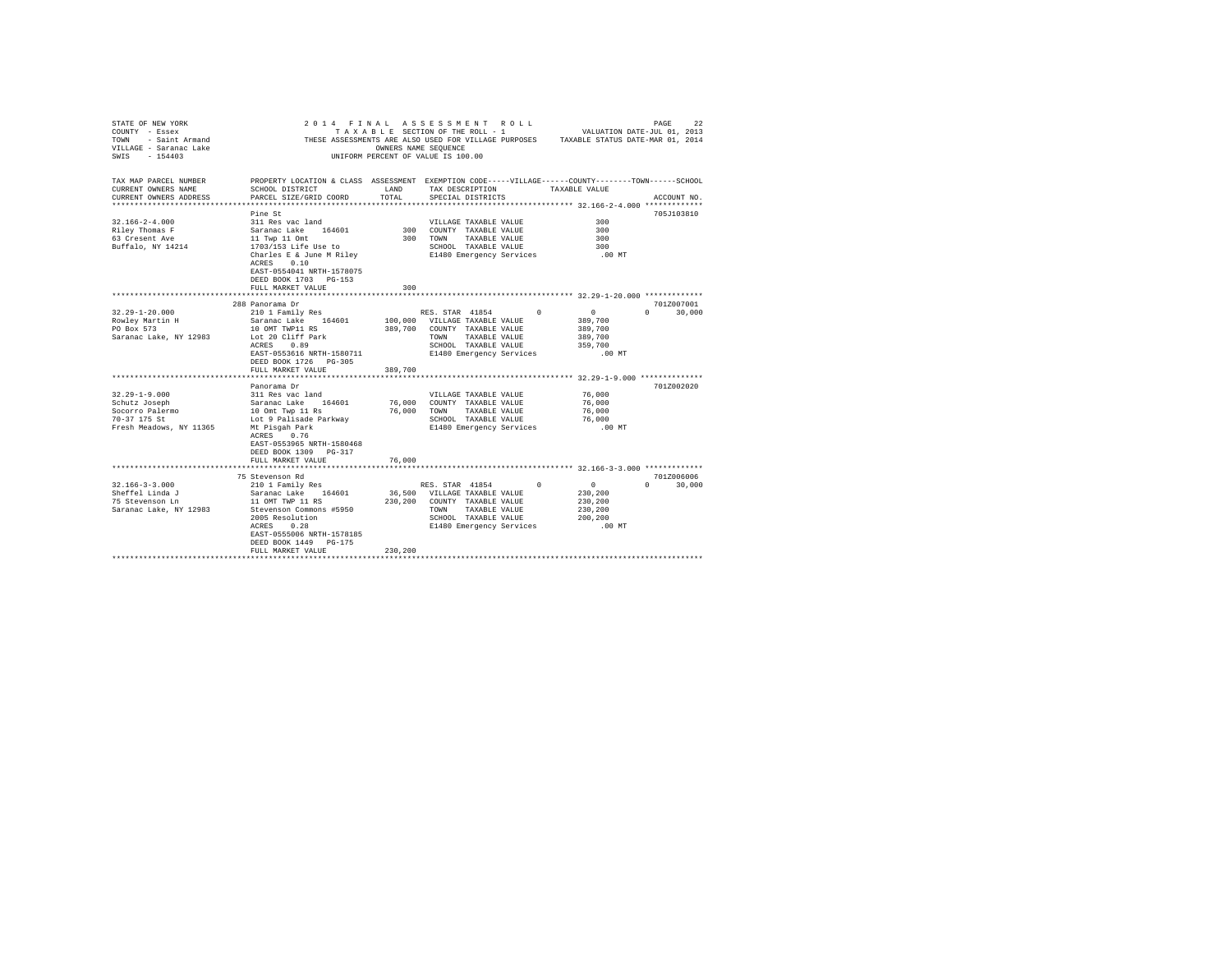| STATE OF NEW YORK<br>COUNTY - Essex<br>TOWN - Saint Armand<br>VILLAGE - Saranac Lake<br>SWIS - 154403                                                                                                                 | OWNERS NAME SEQUENCE<br>100 UNIFORM PECENT OF VALUE IS                                                                                                                                                                                                                                                                                                                                                         |                             | 2014 FINAL ASSESSMENT ROLL<br>TAXABLE SECTION OF THE ROLL - 1<br>THESE ASSESSMENTS ARE ALSO USED FOR VILLAGE PURPOSES TAXABLE STATUS DATE-MAR 01, 2014<br>UNIFORM PERCENT OF VALUE IS 100.00                                                                                                   | VALUATION DATE-JUL 01, 2013                                                                                          | PAGE<br>22                                     |
|-----------------------------------------------------------------------------------------------------------------------------------------------------------------------------------------------------------------------|----------------------------------------------------------------------------------------------------------------------------------------------------------------------------------------------------------------------------------------------------------------------------------------------------------------------------------------------------------------------------------------------------------------|-----------------------------|------------------------------------------------------------------------------------------------------------------------------------------------------------------------------------------------------------------------------------------------------------------------------------------------|----------------------------------------------------------------------------------------------------------------------|------------------------------------------------|
| TAX MAP PARCEL NUMBER<br>CURRENT OWNERS NAME<br>CURRENT OWNERS ADDRESS                                                                                                                                                | PROPERTY LOCATION & CLASS ASSESSMENT EXEMPTION CODE-----VILLAGE-----COUNTY-------TOWN------SCHOOL<br>SCHOOL DISTRICT<br>PARCEL SIZE/GRID COORD                                                                                                                                                                                                                                                                 | LAND<br>TOTAL               | TAX DESCRIPTION TAXABLE VALUE<br>SPECIAL DISTRICTS                                                                                                                                                                                                                                             |                                                                                                                      | ACCOUNT NO.                                    |
| $32.166 - 2 - 4.000$<br>Riley Thomas F<br>63 Cresent Ave<br>Buffalo, NY 14214                                                                                                                                         | Pine St<br>311 Res vac land<br>Saranac Lake 164601<br>11 Twp 11 Omt<br>1703/153 Life Use to<br>Charles E & June M Riley<br>ACRES 0.10<br>EAST-0554041 NRTH-1578075<br>DEED BOOK 1703 PG-153<br>FULL MARKET VALUE                                                                                                                                                                                               | 300                         | VILLAGE TAXABLE VALUE<br>300 COUNTY TAXABLE VALUE<br>300 TOWN TAXABLE VALUE<br>SCHOOL TAXABLE VALUE<br>E1480 Emergency Services                                                                                                                                                                | 300<br>300<br>300<br>300<br>$.00$ MT                                                                                 | 705J103810                                     |
|                                                                                                                                                                                                                       |                                                                                                                                                                                                                                                                                                                                                                                                                |                             |                                                                                                                                                                                                                                                                                                |                                                                                                                      |                                                |
| $32.29 - 1 - 20.000$<br>Rowley Martin H<br>PO Box 573<br>PO Box 573<br>Saranac Lake, NY 12983<br>$32.29 - 1 - 9.000$<br>Schutz Joseph<br>Sonner Controller Socorro Palermo<br>70-37 175 St<br>Fresh Meadows, NY 11365 | 288 Panorama Dr<br>210 1 Family Res<br>Saranac Lake 164601<br>10 OMT TWP11 RS<br>Lot 20 Cliff Park<br>ACRES 0.89<br>EAST-0553616 NRTH-1580711<br>DEED BOOK 1726 PG-305<br>FULL MARKET VALUE<br>Panorama Dr<br>311 Res vac land<br>Saranac Lake 164601<br>10 Omt Twp 11 Rs<br>Lot 9 Palisade Parkway<br>Mt Pisgah Park<br>ACRES 0.76<br>EAST-0553965 NRTH-1580468<br>DEED BOOK 1309 PG-317<br>FULL MARKET VALUE | 389,700<br>76,000<br>76,000 | RES. STAR 41854 0<br>100,000 VILLAGE TAXABLE VALUE<br>389,700 COUNTY TAXABLE VALUE<br>TOWN TAXABLE VALUE<br>SCHOOL TAXABLE VALUE<br>E1480 Emergency Services<br>VILLAGE TAXABLE VALUE<br>76,000 COUNTY TAXABLE VALUE<br>TOWN TAXABLE VALUE<br>SCHOOL TAXABLE VALUE<br>E1480 Emergency Services | $\sim$ 0<br>389,700<br>389,700<br>389,700<br>359,700<br>$.00$ MT<br>76,000<br>76,000<br>76,000<br>76,000<br>$.00$ MT | 701Z007001<br>$\Omega$<br>30,000<br>701Z002020 |
|                                                                                                                                                                                                                       | 75 Stevenson Rd                                                                                                                                                                                                                                                                                                                                                                                                |                             |                                                                                                                                                                                                                                                                                                |                                                                                                                      | 701Z006006                                     |
| $32.166 - 3 - 3.000$<br>Sheffel Linda J<br>75 Stevenson Ln<br>Saranac Lake, NY 12983                                                                                                                                  | 210 1 Family Res<br>Saranac Lake 164601<br>11 OMT TWP 11 RS<br>Stevenson Commons #5950<br>2005 Resolution<br>ACRES<br>0.28<br>EAST-0555006 NRTH-1578185<br>DEED BOOK 1449 PG-175<br>FULL MARKET VALUE                                                                                                                                                                                                          | 230,200                     | RES. STAR 41854 0<br>36,500 VILLAGE TAXABLE VALUE<br>230, 200 COUNTY TAXABLE VALUE<br>TOWN TAXABLE VALUE<br>SCHOOL TAXABLE VALUE<br>E1480 Emergency Services                                                                                                                                   | $\overline{0}$<br>230,200<br>230,200<br>230,200<br>200,200<br>$.00$ MT                                               | $\Omega$<br>30,000                             |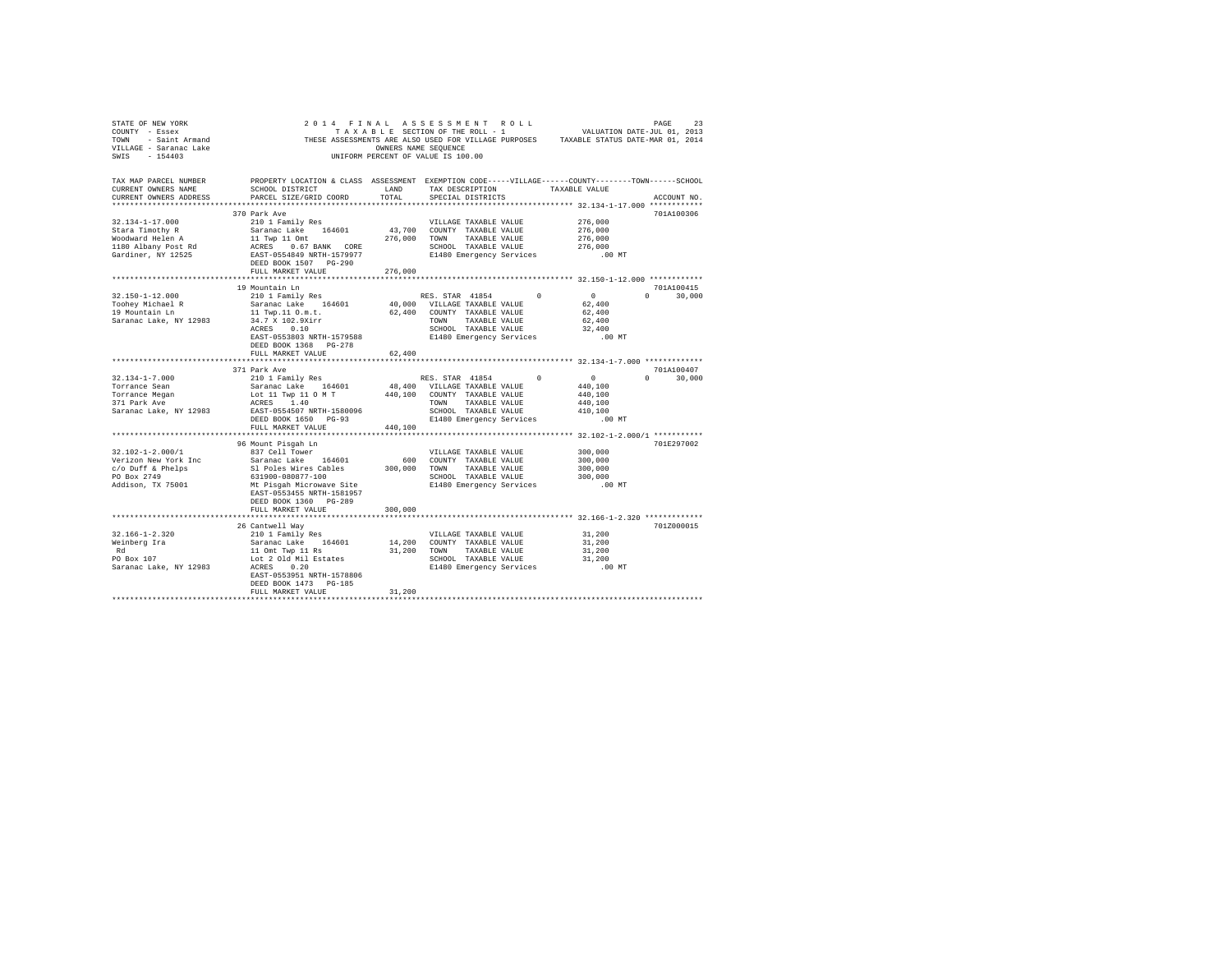| STATE OF NEW YORK<br>COUNTY - Essex<br>COUNTY - Essex<br>TOWN - Saint Armand<br>VILLAGE - Saranac Lake<br>All Armand Lake |                                                                                                                       | OWNERS NAME SEQUENCE | THESE ASSESSMENTS ARE ALSO USED FOR VILLAGE PURPOSES TAXABLE STATUS DATE-MAR 01, 2014<br>UNIFORM PERCENT OF VALUE IS 100.00 |                     |                             |
|---------------------------------------------------------------------------------------------------------------------------|-----------------------------------------------------------------------------------------------------------------------|----------------------|-----------------------------------------------------------------------------------------------------------------------------|---------------------|-----------------------------|
| TAX MAP PARCEL NUMBER<br>CURRENT OWNERS NAME                                                                              | PROPERTY LOCATION & CLASS ASSESSMENT EXEMPTION CODE-----VILLAGE------COUNTY-------TOWN------SCHOOL<br>SCHOOL DISTRICT | LAND                 | TAX DESCRIPTION TAXABLE VALUE                                                                                               |                     |                             |
| CURRENT OWNERS ADDRESS                                                                                                    | PARCEL SIZE/GRID COORD                                                                                                | TOTAL                | SPECIAL DISTRICTS                                                                                                           |                     | ACCOUNT NO.                 |
|                                                                                                                           | 370 Park Ave                                                                                                          |                      |                                                                                                                             |                     | 701A100306                  |
| $32.134 - 1 - 17.000$                                                                                                     | 210 1 Family Res                                                                                                      |                      | VILLAGE TAXABLE VALUE                                                                                                       | 276,000             |                             |
| Stara Timothy R                                                                                                           | Saranac Lake 164601                                                                                                   |                      | 43,700 COUNTY TAXABLE VALUE                                                                                                 | 276,000             |                             |
| Woodward Helen A                                                                                                          |                                                                                                                       |                      | 276.000 TOWN TAXABLE VALUE                                                                                                  | 276,000             |                             |
| 1180 Albany Post Rd                                                                                                       | 11 Twp 11 Omt<br>ACRES 0.67 BANK CORE                                                                                 |                      | SCHOOL TAXABLE VALUE                                                                                                        | 276,000             |                             |
| Gardiner, NY 12525                                                                                                        | EAST-0554849 NRTH-1579977<br>DEED BOOK 1507 PG-290                                                                    |                      | E1480 Emergency Services                                                                                                    | .00 MT              |                             |
|                                                                                                                           | FULL MARKET VALUE                                                                                                     | 276,000              |                                                                                                                             |                     |                             |
|                                                                                                                           |                                                                                                                       |                      |                                                                                                                             |                     |                             |
| $32.150 - 1 - 12.000$                                                                                                     | 19 Mountain Ln<br>210 1 Family Res                                                                                    |                      | RES. STAR 41854<br>$^{\circ}$                                                                                               | $\sim$ 0            | 701A100415<br>$0 \t 30,000$ |
|                                                                                                                           | Saranac Lake 164601                                                                                                   |                      | 40,000 VILLAGE TAXABLE VALUE                                                                                                | 62,400              |                             |
| Toohey Michael R<br>19 Mountain Ln                                                                                        | 11 Twp.11 O.m.t.                                                                                                      |                      | 62,400 COUNTY TAXABLE VALUE                                                                                                 | 62,400              |                             |
| Saranac Lake, NY 12983                                                                                                    |                                                                                                                       |                      | TOWN TAXABLE VALUE                                                                                                          | 62,400              |                             |
|                                                                                                                           | 34.7 X 102.9Xirr<br>ACRES 0.10                                                                                        |                      | SCHOOL TAXABLE VALUE                                                                                                        | 32,400              |                             |
|                                                                                                                           | EAST-0553803 NRTH-1579588<br>DEED BOOK 1368 PG-278                                                                    |                      | E1480 Emergency Services                                                                                                    | $.00$ MT            |                             |
|                                                                                                                           | FULL MARKET VALUE                                                                                                     | 62,400               |                                                                                                                             |                     |                             |
|                                                                                                                           |                                                                                                                       |                      |                                                                                                                             |                     |                             |
|                                                                                                                           | 371 Park Ave                                                                                                          |                      |                                                                                                                             |                     | 701A100407                  |
| $32.134 - 1 - 7.000$<br>Torrance Sean                                                                                     | 210 1 Family Res                                                                                                      |                      | RES. STAR 41854<br>$\Omega$                                                                                                 | $\sim$ 0<br>440,100 | $0 \t 30,000$               |
|                                                                                                                           | Saranac Lake 164601 48,400 VILLAGE TAXABLE VALUE<br>Lot 11 Twp 11 0 M T 440,100 COUNTY TAXABLE VALUE<br>arpeg 1 40    |                      |                                                                                                                             | 440,100             |                             |
| Torrance Megan<br>371 Park Ave                                                                                            | ACRES 1.40                                                                                                            |                      | TOWN TAXABLE VALUE                                                                                                          | 440,100             |                             |
| Saranac Lake, NY 12983                                                                                                    | EAST-0554507 NRTH-1580096                                                                                             |                      | SCHOOL TAXABLE VALUE                                                                                                        | 410,100             |                             |
|                                                                                                                           | DEED BOOK 1650 PG-93                                                                                                  |                      | E1480 Emergency Services                                                                                                    | $.00$ MT            |                             |
|                                                                                                                           | FULL MARKET VALUE                                                                                                     | 440,100              |                                                                                                                             |                     |                             |
|                                                                                                                           |                                                                                                                       |                      |                                                                                                                             |                     |                             |
|                                                                                                                           | 96 Mount Pisqah Ln                                                                                                    |                      |                                                                                                                             |                     | 701E297002                  |
| $32.102 - 1 - 2.000/1$<br>Verizon New York Inc                                                                            | 837 Cell Tower<br>Saranac Lake 164601                                                                                 |                      | VILLAGE TAXABLE VALUE<br>600 COUNTY TAXABLE VALUE                                                                           | 300,000<br>300,000  |                             |
| c/o Duff & Phelps                                                                                                         | Sl Poles Wires Cables                                                                                                 |                      | 300,000 TOWN TAXABLE VALUE                                                                                                  | 300,000             |                             |
| PO Box 2749                                                                                                               | 631900-080877-100                                                                                                     |                      |                                                                                                                             | 300,000             |                             |
| Addison, TX 75001                                                                                                         | Mt Pisgah Microwave Site                                                                                              |                      | SCHOOL TAXABLE VALUE<br>E1480 Emergency Services                                                                            | $.00$ MT            |                             |
|                                                                                                                           | EAST-0553455 NRTH-1581957                                                                                             |                      |                                                                                                                             |                     |                             |
|                                                                                                                           | DEED BOOK 1360 PG-289                                                                                                 |                      |                                                                                                                             |                     |                             |
|                                                                                                                           | FULL MARKET VALUE                                                                                                     | 300,000              |                                                                                                                             |                     |                             |
|                                                                                                                           |                                                                                                                       |                      |                                                                                                                             |                     |                             |
|                                                                                                                           | 26 Cantwell Way                                                                                                       |                      |                                                                                                                             |                     | 701Z000015                  |
| 32.166-1-2.320<br>Weinberg Ira                                                                                            | 210 1 Family Res<br>Saranac Lake 164601                                                                               |                      | VILLAGE TAXABLE VALUE<br>14,200 COUNTY TAXABLE VALUE                                                                        | 31,200<br>31,200    |                             |
| Rd                                                                                                                        | 11 Omt Twp 11 Rs                                                                                                      |                      | 31,200 TOWN TAXABLE VALUE                                                                                                   | 31,200              |                             |
| PO Box 107                                                                                                                | Lot 2 Old Mil Estates                                                                                                 |                      | SCHOOL TAXABLE VALUE                                                                                                        | 31,200              |                             |
| Saranac Lake, NY 12983                                                                                                    | ACRES 0.20                                                                                                            |                      | E1480 Emergency Services .00 MT                                                                                             |                     |                             |
|                                                                                                                           | EAST-0553951 NRTH-1578806                                                                                             |                      |                                                                                                                             |                     |                             |
|                                                                                                                           | DEED BOOK 1473 PG-185                                                                                                 |                      |                                                                                                                             |                     |                             |
|                                                                                                                           | FULL MARKET VALUE                                                                                                     | 31,200               |                                                                                                                             |                     |                             |
|                                                                                                                           |                                                                                                                       |                      |                                                                                                                             |                     |                             |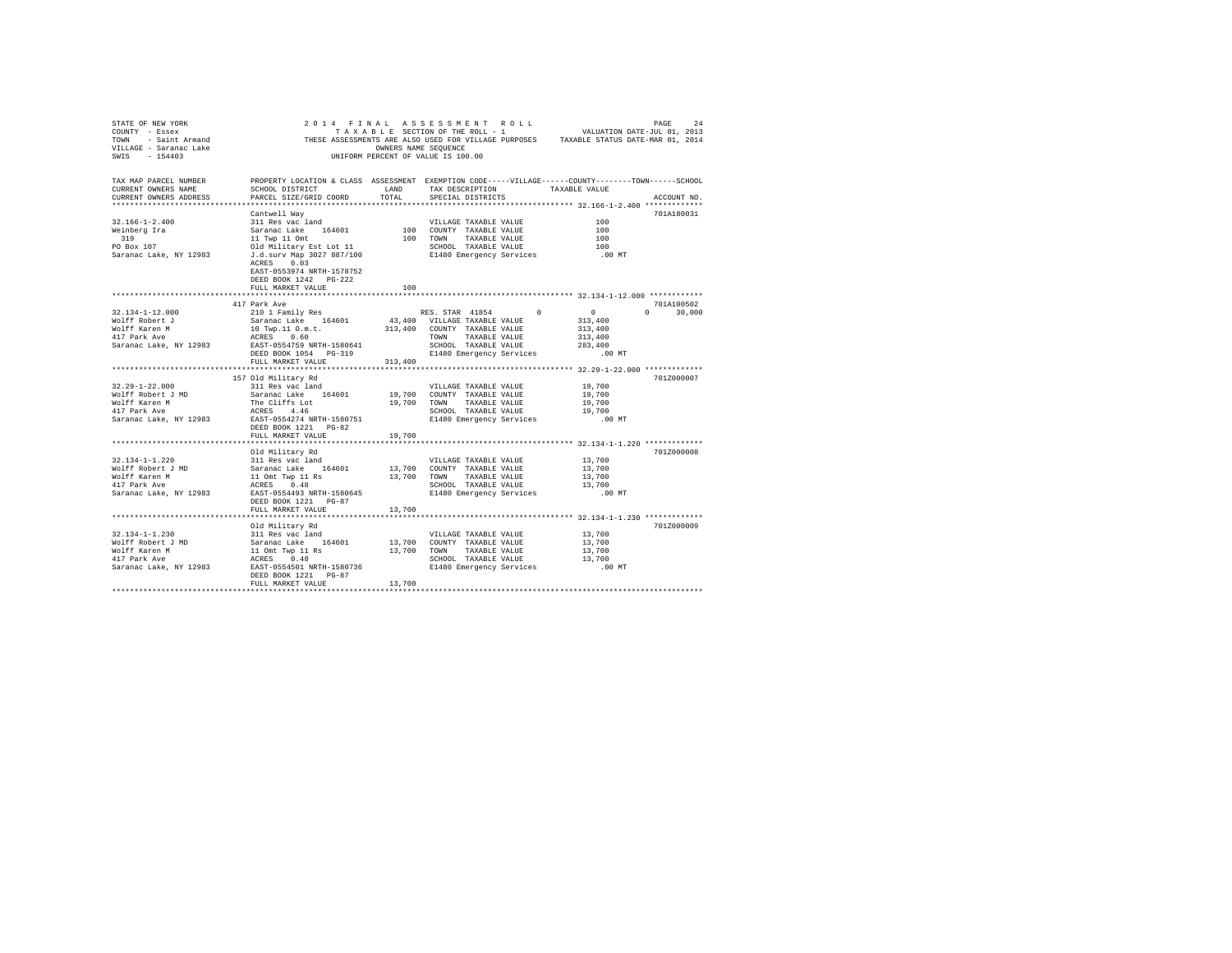| TAX MAP PARCEL NUMBER<br>CURRENT OWNERS NAME<br>CURRENT OWNERS ADDRESS                                                                                                                                                                                                                                                                                                                                           | PROPERTY LOCATION & CLASS ASSESSMENT EXEMPTION CODE-----VILLAGE------COUNTY--------TOWN------SCHOOL<br>SCHOOL DISTRICT LAND<br>PARCEL SIZE/GRID COORD TOTAL |        | TAX DESCRIPTION TAXABLE VALUE<br>SPECIAL DISTRICTS |          | ACCOUNT NO. |
|------------------------------------------------------------------------------------------------------------------------------------------------------------------------------------------------------------------------------------------------------------------------------------------------------------------------------------------------------------------------------------------------------------------|-------------------------------------------------------------------------------------------------------------------------------------------------------------|--------|----------------------------------------------------|----------|-------------|
|                                                                                                                                                                                                                                                                                                                                                                                                                  | Cantwell Way                                                                                                                                                |        |                                                    |          | 701A180031  |
|                                                                                                                                                                                                                                                                                                                                                                                                                  |                                                                                                                                                             |        |                                                    |          |             |
|                                                                                                                                                                                                                                                                                                                                                                                                                  |                                                                                                                                                             |        |                                                    |          |             |
|                                                                                                                                                                                                                                                                                                                                                                                                                  |                                                                                                                                                             |        |                                                    |          |             |
|                                                                                                                                                                                                                                                                                                                                                                                                                  |                                                                                                                                                             |        |                                                    |          |             |
|                                                                                                                                                                                                                                                                                                                                                                                                                  | ACRES 0.03<br>EAST-0553974 NRTH-1578752<br>DEED BOOK 1242 PG-222<br>FULL MARKET VALUE                                                                       | 100    |                                                    |          |             |
|                                                                                                                                                                                                                                                                                                                                                                                                                  |                                                                                                                                                             |        |                                                    |          |             |
|                                                                                                                                                                                                                                                                                                                                                                                                                  | 417 Park Ave                                                                                                                                                |        |                                                    |          | 701A100502  |
|                                                                                                                                                                                                                                                                                                                                                                                                                  |                                                                                                                                                             |        |                                                    |          |             |
|                                                                                                                                                                                                                                                                                                                                                                                                                  |                                                                                                                                                             |        |                                                    |          |             |
|                                                                                                                                                                                                                                                                                                                                                                                                                  |                                                                                                                                                             |        |                                                    |          |             |
|                                                                                                                                                                                                                                                                                                                                                                                                                  |                                                                                                                                                             |        |                                                    |          |             |
|                                                                                                                                                                                                                                                                                                                                                                                                                  |                                                                                                                                                             |        |                                                    |          |             |
| $\begin{tabular}{l cccc} 32.134-1-12.000 & 417 \text{ park} \text{Ave} \\ \text{Noiff Robert } J & \text{Saranac Lake} & 164601 & 43,400 \\\text{Noiff Factor } M & \text{Saranac Lake} & 164601 & 43,400 \\\text{Noiff Factor } M & \text{Saranac Lake} & 164601 & 43,400 \\\text{Noiff Karen M} & \text{ACES} & 0.60 & 30,000 \\\text{417 Park Ave} & \text{ACES} & 0.60 & 313,400 \\\text{417 Park} & \text{$ | FULL MARKET VALUE 313,400                                                                                                                                   |        |                                                    |          |             |
|                                                                                                                                                                                                                                                                                                                                                                                                                  |                                                                                                                                                             |        |                                                    |          |             |
|                                                                                                                                                                                                                                                                                                                                                                                                                  | 157 Old Military Rd                                                                                                                                         |        |                                                    |          | 701Z000007  |
|                                                                                                                                                                                                                                                                                                                                                                                                                  |                                                                                                                                                             |        |                                                    |          |             |
|                                                                                                                                                                                                                                                                                                                                                                                                                  |                                                                                                                                                             |        |                                                    |          |             |
|                                                                                                                                                                                                                                                                                                                                                                                                                  |                                                                                                                                                             |        |                                                    |          |             |
|                                                                                                                                                                                                                                                                                                                                                                                                                  |                                                                                                                                                             |        |                                                    |          |             |
|                                                                                                                                                                                                                                                                                                                                                                                                                  |                                                                                                                                                             |        |                                                    |          |             |
|                                                                                                                                                                                                                                                                                                                                                                                                                  | FULL MARKET VALUE                                                                                                                                           | 19,700 |                                                    |          |             |
|                                                                                                                                                                                                                                                                                                                                                                                                                  |                                                                                                                                                             |        |                                                    |          |             |
|                                                                                                                                                                                                                                                                                                                                                                                                                  | Old Military Rd                                                                                                                                             |        |                                                    |          | 701Z000008  |
|                                                                                                                                                                                                                                                                                                                                                                                                                  |                                                                                                                                                             |        |                                                    |          |             |
|                                                                                                                                                                                                                                                                                                                                                                                                                  |                                                                                                                                                             |        |                                                    |          |             |
|                                                                                                                                                                                                                                                                                                                                                                                                                  |                                                                                                                                                             |        |                                                    |          |             |
|                                                                                                                                                                                                                                                                                                                                                                                                                  |                                                                                                                                                             |        |                                                    |          |             |
|                                                                                                                                                                                                                                                                                                                                                                                                                  | DEED BOOK 1221 PG-87                                                                                                                                        |        |                                                    | $.00$ MT |             |
|                                                                                                                                                                                                                                                                                                                                                                                                                  | FULL MARKET VALUE 13,700                                                                                                                                    |        |                                                    |          |             |
|                                                                                                                                                                                                                                                                                                                                                                                                                  |                                                                                                                                                             |        |                                                    |          |             |
|                                                                                                                                                                                                                                                                                                                                                                                                                  | Old Military Rd                                                                                                                                             |        |                                                    |          | 701Z000009  |
|                                                                                                                                                                                                                                                                                                                                                                                                                  |                                                                                                                                                             |        |                                                    |          |             |
|                                                                                                                                                                                                                                                                                                                                                                                                                  |                                                                                                                                                             |        |                                                    |          |             |
|                                                                                                                                                                                                                                                                                                                                                                                                                  |                                                                                                                                                             |        |                                                    |          |             |
|                                                                                                                                                                                                                                                                                                                                                                                                                  |                                                                                                                                                             |        |                                                    |          |             |
|                                                                                                                                                                                                                                                                                                                                                                                                                  |                                                                                                                                                             |        |                                                    |          |             |
|                                                                                                                                                                                                                                                                                                                                                                                                                  | FULL MARKET VALUE 13,700                                                                                                                                    |        |                                                    |          |             |
|                                                                                                                                                                                                                                                                                                                                                                                                                  |                                                                                                                                                             |        |                                                    |          |             |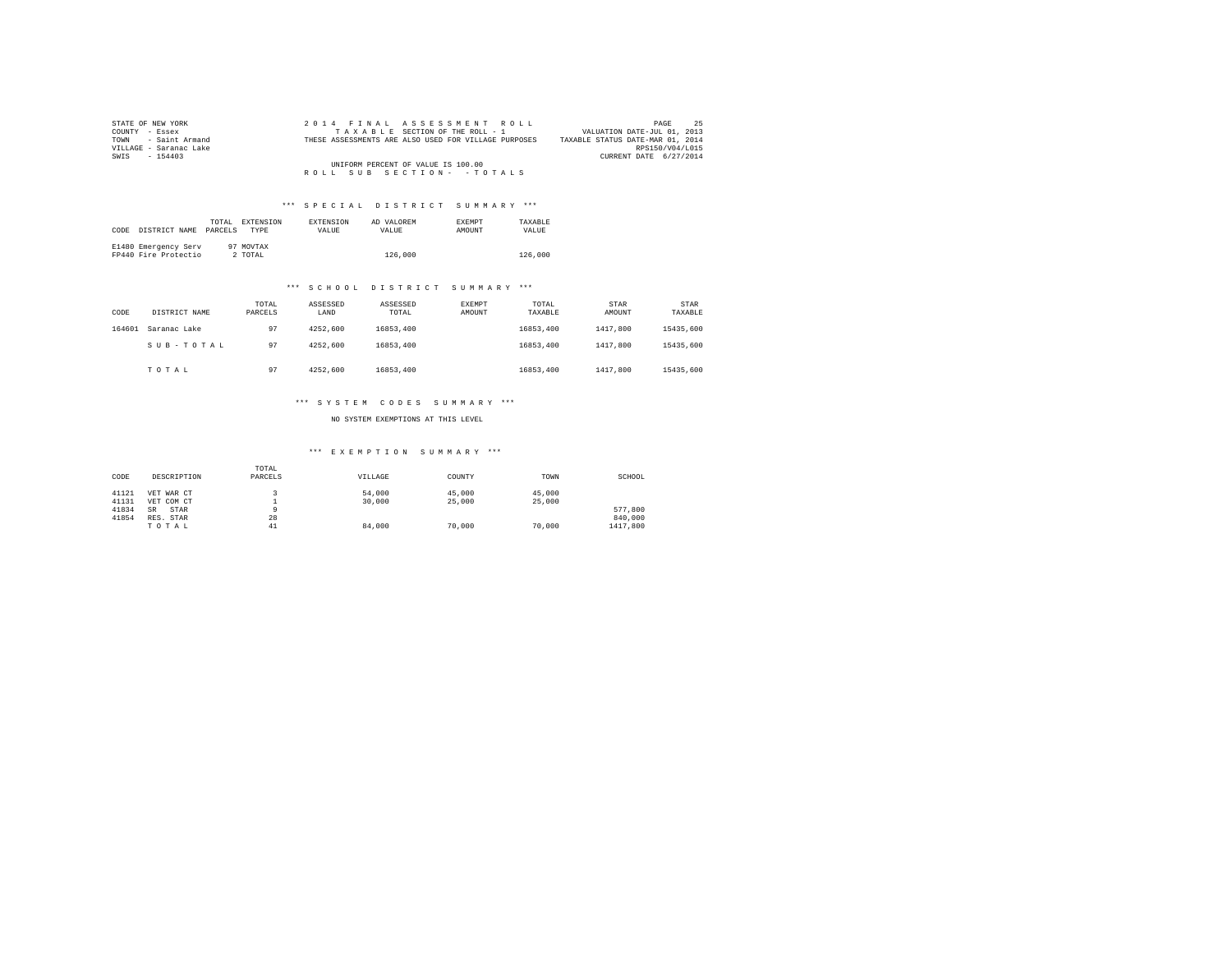| STATE OF NEW YORK      |  | 2014 FINAL ASSESSMENT ROLL                           | PAGE                             | 25 |
|------------------------|--|------------------------------------------------------|----------------------------------|----|
| COUNTY - Essex         |  | TAXABLE SECTION OF THE ROLL - 1                      | VALUATION DATE-JUL 01, 2013      |    |
| TOWN - Saint Armand    |  | THESE ASSESSMENTS ARE ALSO USED FOR VILLAGE PURPOSES | TAXABLE STATUS DATE-MAR 01, 2014 |    |
| VILLAGE - Saranac Lake |  |                                                      | RPS150/V04/L015                  |    |
| SWIS - 154403          |  |                                                      | CURRENT DATE 6/27/2014           |    |
|                        |  | UNIFORM PERCENT OF VALUE IS 100.00                   |                                  |    |
|                        |  | ROLL SUB SECTION- - TOTALS                           |                                  |    |

#### \*\*\* SPECIAL DISTRICT SUMMARY \*\*\*

| CODE | DISTRICT NAME                                | TOTAL.<br>PARCELS | EXTENSION<br><b>TYPE</b> | <b>EXTENSION</b><br><b>VALUE</b> | AD VALOREM<br>VALUE. | <b>EXEMPT</b><br>AMOUNT | TAXARLE<br>VALUE |
|------|----------------------------------------------|-------------------|--------------------------|----------------------------------|----------------------|-------------------------|------------------|
|      | E1480 Emergency Serv<br>FP440 Fire Protectio |                   | 97 MOVTAX<br>2 TOTAL     |                                  | 126,000              |                         | 126,000          |

### \*\*\* S C H O O L D I S T R I C T S U M M A R Y \*\*\*

| CODE   | DISTRICT NAME | TOTAL<br>PARCELS | ASSESSED<br>LAND | ASSESSED<br>TOTAL | EXEMPT<br>AMOUNT | TOTAL<br>TAXABLE | STAR<br>AMOUNT | STAR<br>TAXABLE |
|--------|---------------|------------------|------------------|-------------------|------------------|------------------|----------------|-----------------|
| 164601 | Saranac Lake  | 97               | 4252.600         | 16853,400         |                  | 16853.400        | 1417,800       | 15435,600       |
|        | SUB-TOTAL     | 97               | 4252.600         | 16853,400         |                  | 16853.400        | 1417,800       | 15435,600       |
|        | TOTAL         | 97               | 4252.600         | 16853,400         |                  | 16853.400        | 1417,800       | 15435,600       |

### \*\*\* S Y S T E M C O D E S S U M M A R Y \*\*\*

NO SYSTEM EXEMPTIONS AT THIS LEVEL

| CODE  | DESCRIPTION       | TOTAL<br>PARCELS | VILLAGE | COUNTY | TOWN   | SCHOOL   |
|-------|-------------------|------------------|---------|--------|--------|----------|
| 41121 | VET WAR CT        |                  | 54,000  | 45,000 | 45,000 |          |
| 41131 | VET COM CT        |                  | 30,000  | 25,000 | 25,000 |          |
| 41834 | STAR<br><b>SR</b> |                  |         |        |        | 577.800  |
| 41854 | RES. STAR         | 28               |         |        |        | 840,000  |
|       | TOTAL             | 41               | 84,000  | 70,000 | 70,000 | 1417,800 |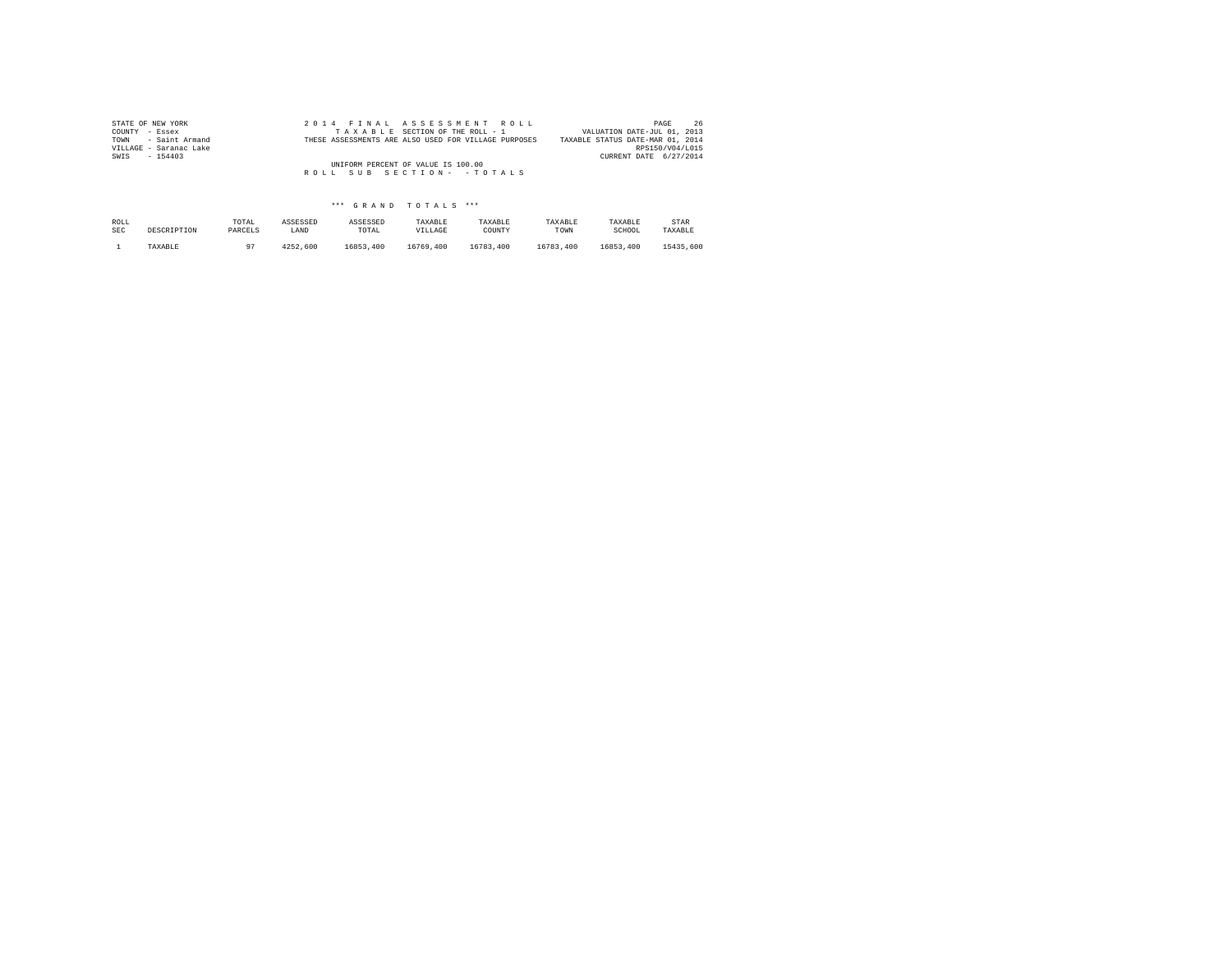| STATE OF NEW YORK      |  | 2014 FINAL ASSESSMENT ROLL                           | 26<br>PAGE                       |
|------------------------|--|------------------------------------------------------|----------------------------------|
| COUNTY - Essex         |  | TAXABLE SECTION OF THE ROLL - 1                      | VALUATION DATE-JUL 01, 2013      |
| TOWN - Saint Armand    |  | THESE ASSESSMENTS ARE ALSO USED FOR VILLAGE PURPOSES | TAXABLE STATUS DATE-MAR 01, 2014 |
| VILLAGE - Saranac Lake |  |                                                      | RPS150/V04/L015                  |
| SWIS<br>$-154403$      |  |                                                      | CURRENT DATE 6/27/2014           |
|                        |  | UNIFORM PERCENT OF VALUE IS 100.00                   |                                  |
|                        |  | ROLL SUB SECTION- - TOTALS                           |                                  |
|                        |  |                                                      |                                  |

| ROLL       | DESCRIPTION | TOTAL   | ASSESSED | ASSESSED  | TAXABLE   | TAXABLE   | TAXABLE   | TAXABLE   | STAR      |
|------------|-------------|---------|----------|-----------|-----------|-----------|-----------|-----------|-----------|
| <b>SEC</b> |             | PARCELS | LAND     | TOTAL     | VILLAGE   | COUNTY    | TOWN      | SCHOOL    | TAXABLE   |
|            | TAXABLE     |         | 4252.600 | 16853,400 | 16769.400 | 16783,400 | 16783.400 | 16853.400 | 15435,600 |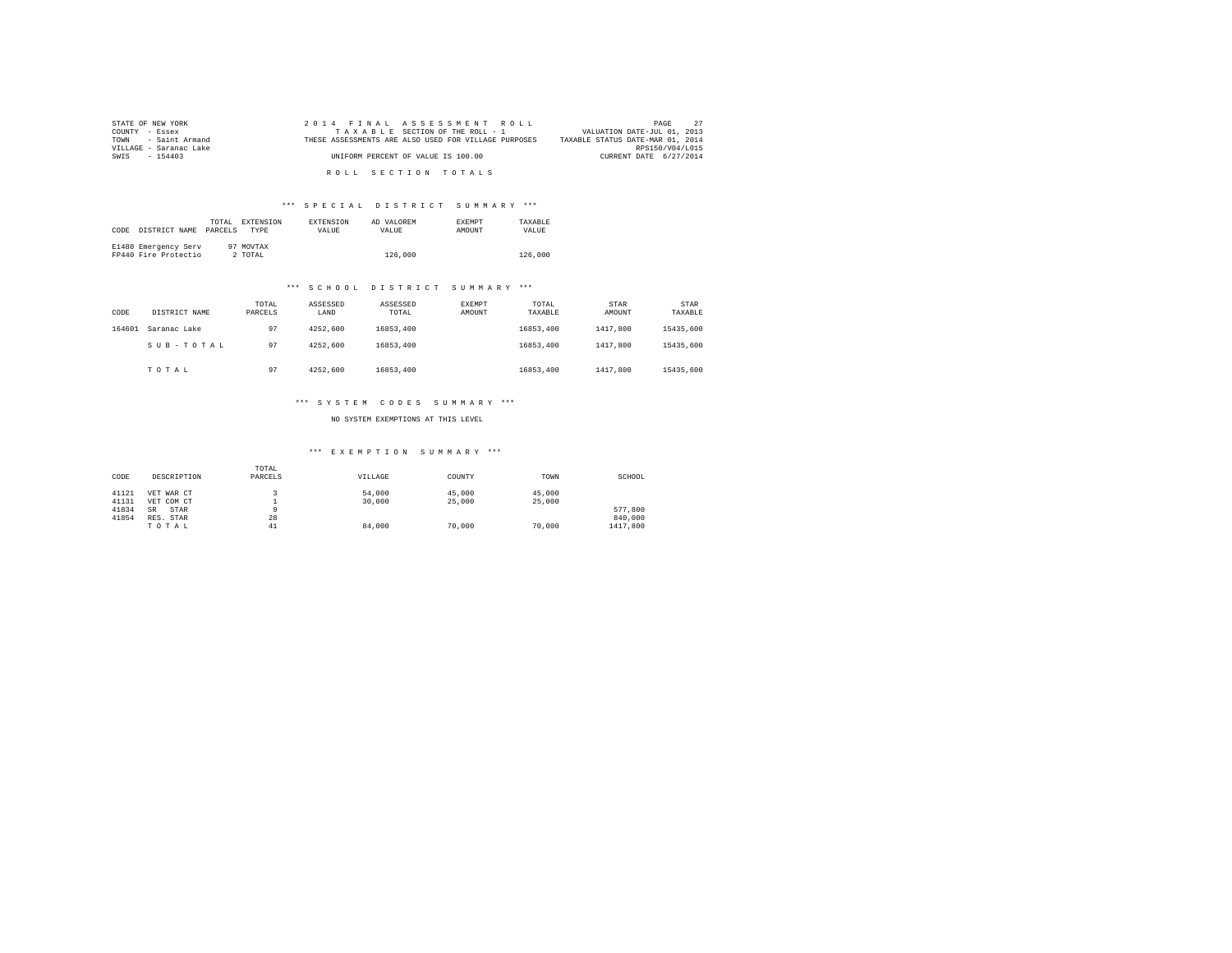| STATE OF NEW YORK      | 2014 FINAL ASSESSMENT ROLL                           | 27<br>PAGE                       |
|------------------------|------------------------------------------------------|----------------------------------|
| COUNTY - Essex         | TAXABLE SECTION OF THE ROLL - 1                      | VALUATION DATE-JUL 01, 2013      |
| TOWN - Saint Armand    | THESE ASSESSMENTS ARE ALSO USED FOR VILLAGE PURPOSES | TAXABLE STATUS DATE-MAR 01, 2014 |
| VILLAGE - Saranac Lake |                                                      | RPS150/V04/L015                  |
| SWIS - 154403          | UNIFORM PERCENT OF VALUE IS 100.00                   | CURRENT DATE 6/27/2014           |
|                        |                                                      |                                  |
|                        | ROLL SECTION TOTALS                                  |                                  |

| CODE | DISTRICT NAME                                | TOTAL.<br>PARCELS | <b>EXTENSION</b><br><b>TYPE</b> | <b>EXTENSION</b><br><b>VALUE</b> | AD VALOREM<br>VALUE. | <b>EXEMPT</b><br>AMOUNT | TAXARLE<br>VALUE |
|------|----------------------------------------------|-------------------|---------------------------------|----------------------------------|----------------------|-------------------------|------------------|
|      | E1480 Emergency Serv<br>FP440 Fire Protectio |                   | 97 MOVTAX<br>2 TOTAL            |                                  | 126,000              |                         | 126,000          |

### \*\*\* S C H O O L D I S T R I C T S U M M A R Y \*\*\*

| CODE   | DISTRICT NAME | TOTAL<br>PARCELS | ASSESSED<br>LAND | ASSESSED<br>TOTAL | EXEMPT<br>AMOUNT | TOTAL<br>TAXABLE | STAR<br>AMOUNT | STAR<br>TAXABLE |
|--------|---------------|------------------|------------------|-------------------|------------------|------------------|----------------|-----------------|
| 164601 | Saranac Lake  | 97               | 4252,600         | 16853,400         |                  | 16853.400        | 1417,800       | 15435,600       |
|        | SUB-TOTAL     | 97               | 4252,600         | 16853,400         |                  | 16853.400        | 1417,800       | 15435,600       |
|        | TOTAL         | 97               | 4252.600         | 16853,400         |                  | 16853.400        | 1417,800       | 15435,600       |

### \*\*\* S Y S T E M C O D E S S U M M A R Y \*\*\*

NO SYSTEM EXEMPTIONS AT THIS LEVEL

| CODE  | DESCRIPTION       | TOTAL<br>PARCELS | VILLAGE | COUNTY | TOWN   | SCHOOL   |
|-------|-------------------|------------------|---------|--------|--------|----------|
| 41121 | VET WAR CT        |                  | 54,000  | 45,000 | 45,000 |          |
| 41131 | VET COM CT        |                  | 30,000  | 25,000 | 25,000 |          |
| 41834 | STAR<br><b>SR</b> |                  |         |        |        | 577.800  |
| 41854 | RES. STAR         | 28               |         |        |        | 840,000  |
|       | TOTAL             | 41               | 84,000  | 70,000 | 70,000 | 1417,800 |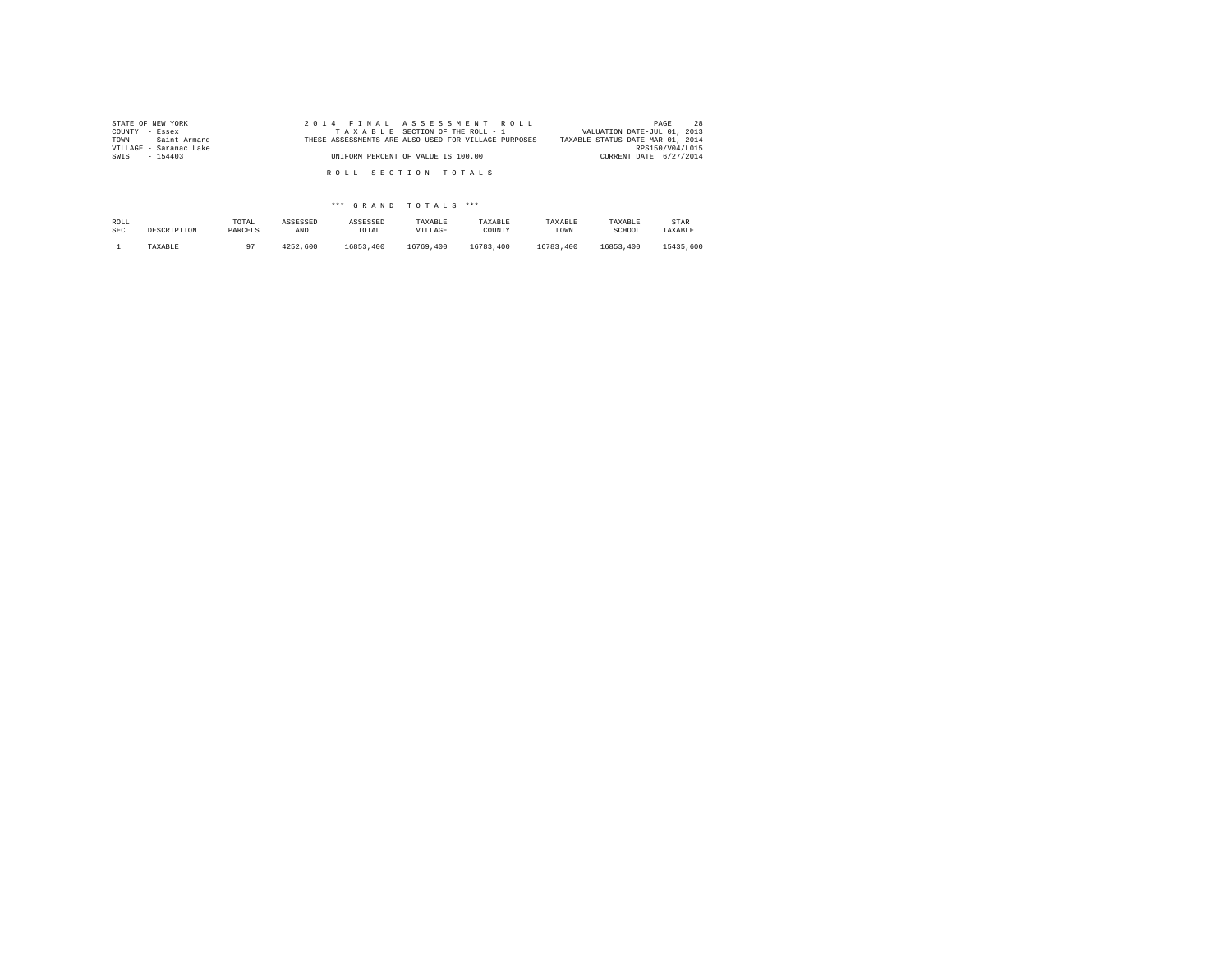| STATE OF NEW YORK      | 2014 FINAL ASSESSMENT ROLL                           | 28<br>PAGE                       |
|------------------------|------------------------------------------------------|----------------------------------|
| COUNTY - Essex         | TAXABLE SECTION OF THE ROLL - 1                      | VALUATION DATE-JUL 01, 2013      |
| TOWN - Saint Armand    | THESE ASSESSMENTS ARE ALSO USED FOR VILLAGE PURPOSES | TAXABLE STATUS DATE-MAR 01, 2014 |
| VILLAGE - Saranac Lake |                                                      | RPS150/V04/L015                  |
| SWIS<br>$-154403$      | UNIFORM PERCENT OF VALUE IS 100.00                   | CURRENT DATE 6/27/2014           |
|                        |                                                      |                                  |
|                        | ROLL SECTION TOTALS                                  |                                  |
|                        |                                                      |                                  |

| ROLL       | DESCRIPTION | TOTAL      | ASSESSED | ASSESSED  | TAXABLE   | TAXABLE   | TAXABLE   | TAXABLE   | STAR      |
|------------|-------------|------------|----------|-----------|-----------|-----------|-----------|-----------|-----------|
| <b>SEC</b> |             | PARCELS    | LAND     | TOTAL     | VILLAGE   | COUNTY    | TOWN      | SCHOOL    | TAXABLE   |
|            | TAXABLE     | $^{\circ}$ | 4252.600 | 16853,400 | 16769,400 | 16783,400 | 16783,400 | 16853.400 | 15435,600 |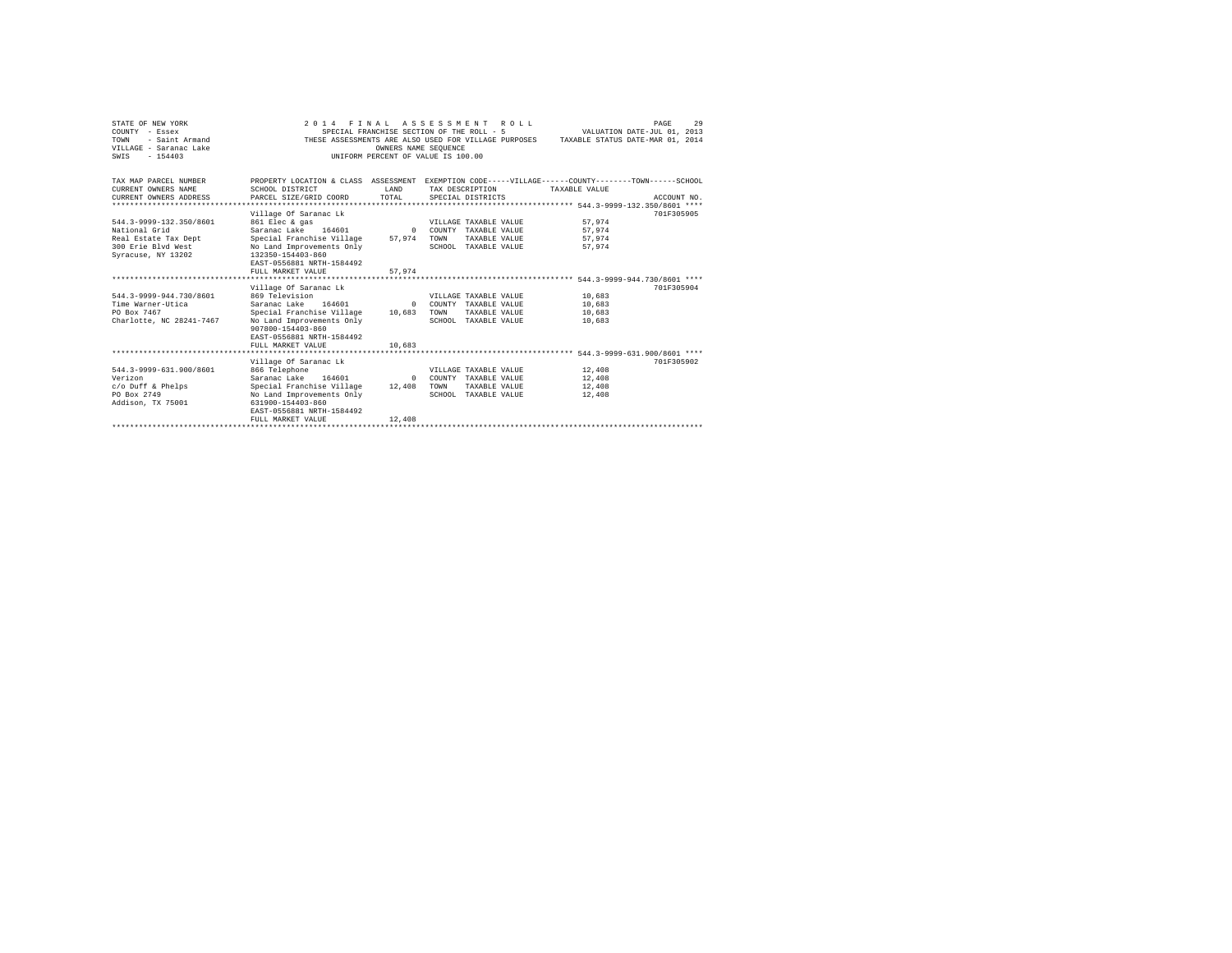| STATE OF NEW YORK<br>COUNTY - Essex<br>- Saint Armand<br>TOWN<br>VILLAGE - Saranac Lake<br>$-154403$<br>SWTS | 2014 FINAL ASSESSMENT ROLL<br>SPECIAL FRANCHISE SECTION OF THE ROLL - 5<br>THESE ASSESSMENTS ARE ALSO USED FOR VILLAGE PURPOSES<br>INIFORM PERCENT OF VALUE IS 100.00                                     | OWNERS NAME SEOUENCE         |      |                                                                                        | TAXABLE STATUS DATE-MAR 01, 2014     | PAGE<br>VALUATION DATE-JUL 01, 2013 | 29 |
|--------------------------------------------------------------------------------------------------------------|-----------------------------------------------------------------------------------------------------------------------------------------------------------------------------------------------------------|------------------------------|------|----------------------------------------------------------------------------------------|--------------------------------------|-------------------------------------|----|
| TAX MAP PARCEL NUMBER<br>CURRENT OWNERS NAME<br>CURRENT OWNERS ADDRESS                                       | PROPERTY LOCATION & CLASS ASSESSMENT EXEMPTION CODE-----VILLAGE-----COUNTY-------TOWN------SCHOOL<br>SCHOOL DISTRICT<br>PARCEL SIZE/GRID COORD                                                            | <b>T.AND</b><br>TOTAL        |      | TAX DESCRIPTION<br>SPECIAL DISTRICTS                                                   | TAXABLE VALUE                        | ACCOUNT NO.                         |    |
| 544.3-9999-132.350/8601<br>National Grid<br>Real Estate Tax Dept<br>300 Erie Blvd West<br>Syracuse, NY 13202 | Village Of Saranac Lk<br>861 Elec & gas<br>Saranac Lake 164601<br>Special Franchise Village<br>No Land Improvements Only<br>132350-154403-860<br>EAST-0556881 NRTH-1584492<br>FULL MARKET VALUE           | $\Omega$<br>57.974<br>57.974 | TOWN | VILLAGE TAXABLE VALUE<br>COUNTY TAXABLE VALUE<br>TAXABLE VALUE<br>SCHOOL TAXABLE VALUE | 57.974<br>57.974<br>57.974<br>57.974 | 701F305905                          |    |
| 544.3-9999-944.730/8601<br>Time Warner-Utica<br>PO Box 7467<br>Charlotte, NC 28241-7467                      | Village Of Saranac Lk<br>869 Television<br>Saranac Lake<br>164601<br>Special Franchise Village 10,683<br>No Land Improvements Only<br>907800-154403-860<br>EAST-0556881 NRTH-1584492<br>FULL MARKET VALUE | $\Omega$<br>10,683           | TOWN | VILLAGE TAXABLE VALUE<br>COUNTY TAXABLE VALUE<br>TAXABLE VALUE<br>SCHOOL TAXABLE VALUE | 10,683<br>10,683<br>10,683<br>10,683 | 701F305904                          |    |
|                                                                                                              | Village Of Saranac Lk                                                                                                                                                                                     |                              |      |                                                                                        |                                      | 701F305902                          |    |
| 544.3-9999-631.900/8601<br>Verizon<br>c/o Duff & Phelps<br>PO Box 2749<br>Addison, TX 75001                  | 866 Telephone<br>Saranac Lake 164601<br>Special Franchise Village<br>No Land Improvements Only<br>631900-154403-860<br>EAST-0556881 NRTH-1584492<br>FULL MARKET VALUE                                     | $\Omega$<br>12,408<br>12,408 | TOWN | VILLAGE TAXABLE VALUE<br>COUNTY TAXABLE VALUE<br>TAXABLE VALUE<br>SCHOOL TAXABLE VALUE | 12,408<br>12,408<br>12,408<br>12,408 |                                     |    |
|                                                                                                              |                                                                                                                                                                                                           |                              |      |                                                                                        |                                      |                                     |    |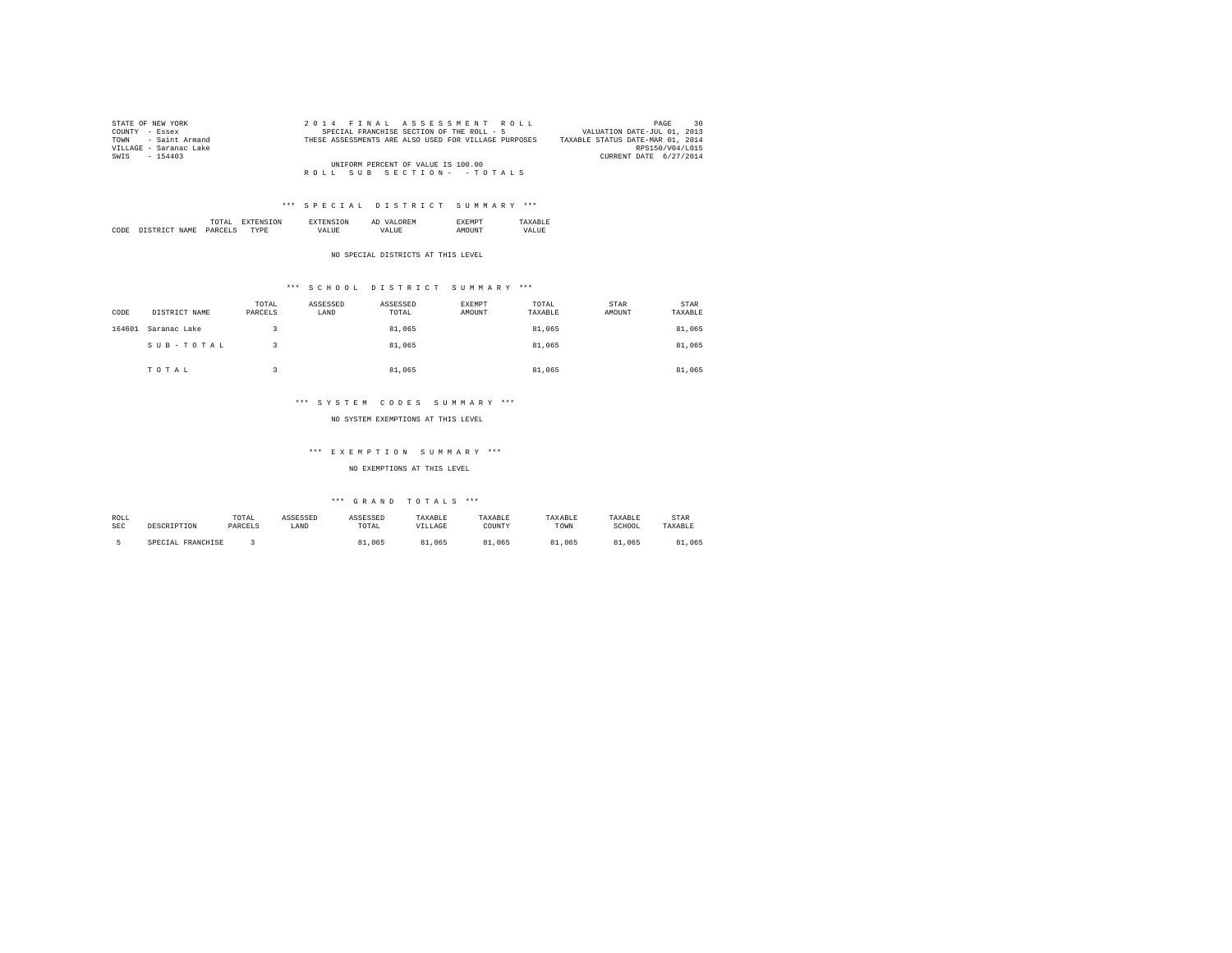| STATE OF NEW YORK      | 2014 FINAL ASSESSMENT ROLL                           | 30<br>PAGE                       |
|------------------------|------------------------------------------------------|----------------------------------|
| COUNTY - Essex         | SPECIAL FRANCHISE SECTION OF THE ROLL - 5            | VALUATION DATE-JUL 01, 2013      |
| TOWN - Saint Armand    | THESE ASSESSMENTS ARE ALSO USED FOR VILLAGE PURPOSES | TAXABLE STATUS DATE-MAR 01, 2014 |
| VILLAGE - Saranac Lake |                                                      | RPS150/V04/L015                  |
| SWIS - 154403          |                                                      | CURRENT DATE 6/27/2014           |
|                        | UNIFORM PERCENT OF VALUE IS 100.00                   |                                  |
|                        | ROLL SUB SECTION- - TOTALS                           |                                  |

|     |      | the contract of the contract of the contract of |  | АL |  |
|-----|------|-------------------------------------------------|--|----|--|
| COD | NAME | DΔ                                              |  |    |  |

NO SPECIAL DISTRICTS AT THIS LEVEL

### \*\*\* S C H O O L D I S T R I C T S U M M A R Y \*\*\*

| CODE   | DISTRICT NAME | TOTAL<br>PARCELS | ASSESSED<br>LAND | ASSESSED<br>TOTAL | EXEMPT<br>AMOUNT | TOTAL<br>TAXABLE | STAR<br>AMOUNT | <b>STAR</b><br>TAXABLE |
|--------|---------------|------------------|------------------|-------------------|------------------|------------------|----------------|------------------------|
| 164601 | Saranac Lake  |                  |                  | 81.065            |                  | 81,065           |                | 81,065                 |
|        | SUB-TOTAL     |                  |                  | 81.065            |                  | 81,065           |                | 81,065                 |
|        | TOTAL         |                  |                  | 81,065            |                  | 81,065           |                | 81.065                 |

### \*\*\* S Y S T E M C O D E S S U M M A R Y \*\*\*

NO SYSTEM EXEMPTIONS AT THIS LEVEL

#### \*\*\* E X E M P T I O N S U M M A R Y \*\*\*

NO EXEMPTIONS AT THIS LEVEL

| ROLL       | DESCRIPTION       | TOTAL   | ASSESSED | ASSESSED | TAXABLE | TAXABLE | TAXABLE | TAXABLE | STAR    |
|------------|-------------------|---------|----------|----------|---------|---------|---------|---------|---------|
| <b>SEC</b> |                   | PARCELS | LAND     | TOTAL    | VILLAGE | COUNTY  | TOWN    | SCHOOL  | TAXABLE |
|            | SPECIAL FRANCHISE |         |          | 81,065   | 81,065  | 81,065  | 81,065  | 81,065  | 81,065  |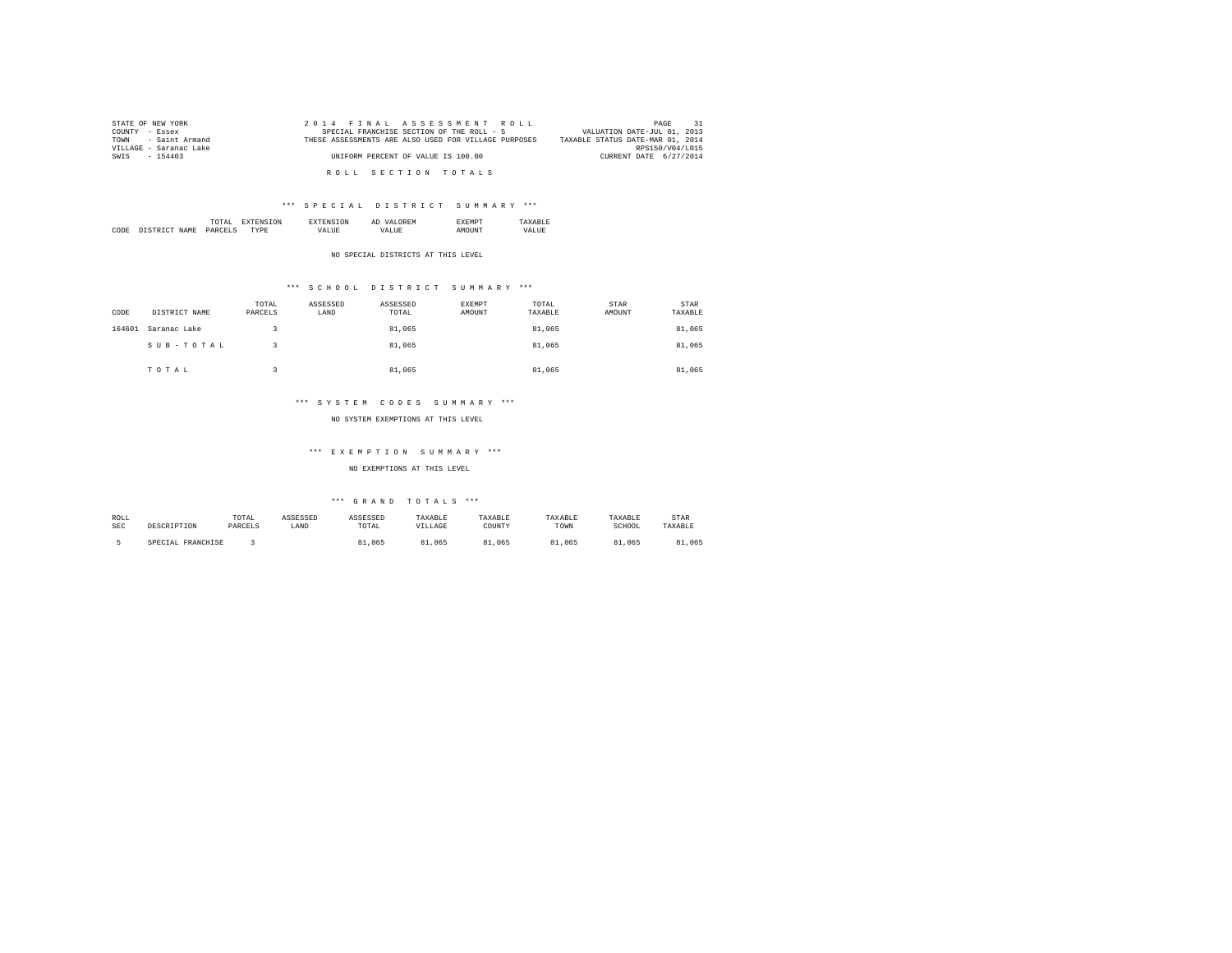| STATE OF NEW YORK      | 2014 FINAL ASSESSMENT ROLL                           | 31<br>PAGE                       |
|------------------------|------------------------------------------------------|----------------------------------|
| COUNTY - Essex         | SPECIAL FRANCHISE SECTION OF THE ROLL - 5            | VALUATION DATE-JUL 01, 2013      |
| TOWN - Saint Armand    | THESE ASSESSMENTS ARE ALSO USED FOR VILLAGE PURPOSES | TAXABLE STATUS DATE-MAR 01, 2014 |
| VILLAGE - Saranac Lake |                                                      | RPS150/V04/L015                  |
| SWIS - 154403          | UNIFORM PERCENT OF VALUE IS 100.00                   | CURRENT DATE 6/27/2014           |
|                        |                                                      |                                  |
|                        | ROLL SECTION TOTALS                                  |                                  |

|      |                       | the contract of the contract of the contract of | <b>ON</b> |        | 'N | m |      |
|------|-----------------------|-------------------------------------------------|-----------|--------|----|---|------|
| CODE | NAME<br>' CTD'<br>T/T | DARC<br>. בדו<br>______                         |           | $\sim$ |    |   | 37 A |

NO SPECIAL DISTRICTS AT THIS LEVEL

### \*\*\* S C H O O L D I S T R I C T S U M M A R Y \*\*\*

| CODE   | DISTRICT NAME | TOTAL<br>PARCELS | ASSESSED<br>LAND | ASSESSED<br>TOTAL | EXEMPT<br>AMOUNT | TOTAL<br>TAXABLE | STAR<br>AMOUNT | <b>STAR</b><br>TAXABLE |
|--------|---------------|------------------|------------------|-------------------|------------------|------------------|----------------|------------------------|
| 164601 | Saranac Lake  |                  |                  | 81,065            |                  | 81,065           |                | 81,065                 |
|        | SUB-TOTAL     |                  |                  | 81,065            |                  | 81,065           |                | 81,065                 |
|        | TOTAL         |                  |                  | 81,065            |                  | 81,065           |                | 81.065                 |

### \*\*\* S Y S T E M C O D E S S U M M A R Y \*\*\*

NO SYSTEM EXEMPTIONS AT THIS LEVEL

### \*\*\* E X E M P T I O N S U M M A R Y \*\*\*

NO EXEMPTIONS AT THIS LEVEL

| ROLL | DESCRIPTION       | TOTAL   | ASSESSED | ASSESSED | TAXABLE    | TAXABLE | TAXABLE    | TAXABLE    | STAR    |
|------|-------------------|---------|----------|----------|------------|---------|------------|------------|---------|
| SEC  |                   | PARCELS | LAND     | TOTAL    | VILLAGE    | COUNTY  | TOWN       | SCHOOL     | TAXABLE |
|      | SPECIAL FRANCHISE |         |          | 81.065   | 81<br>.065 | .065    | 81<br>.065 | .065<br>81 | .065    |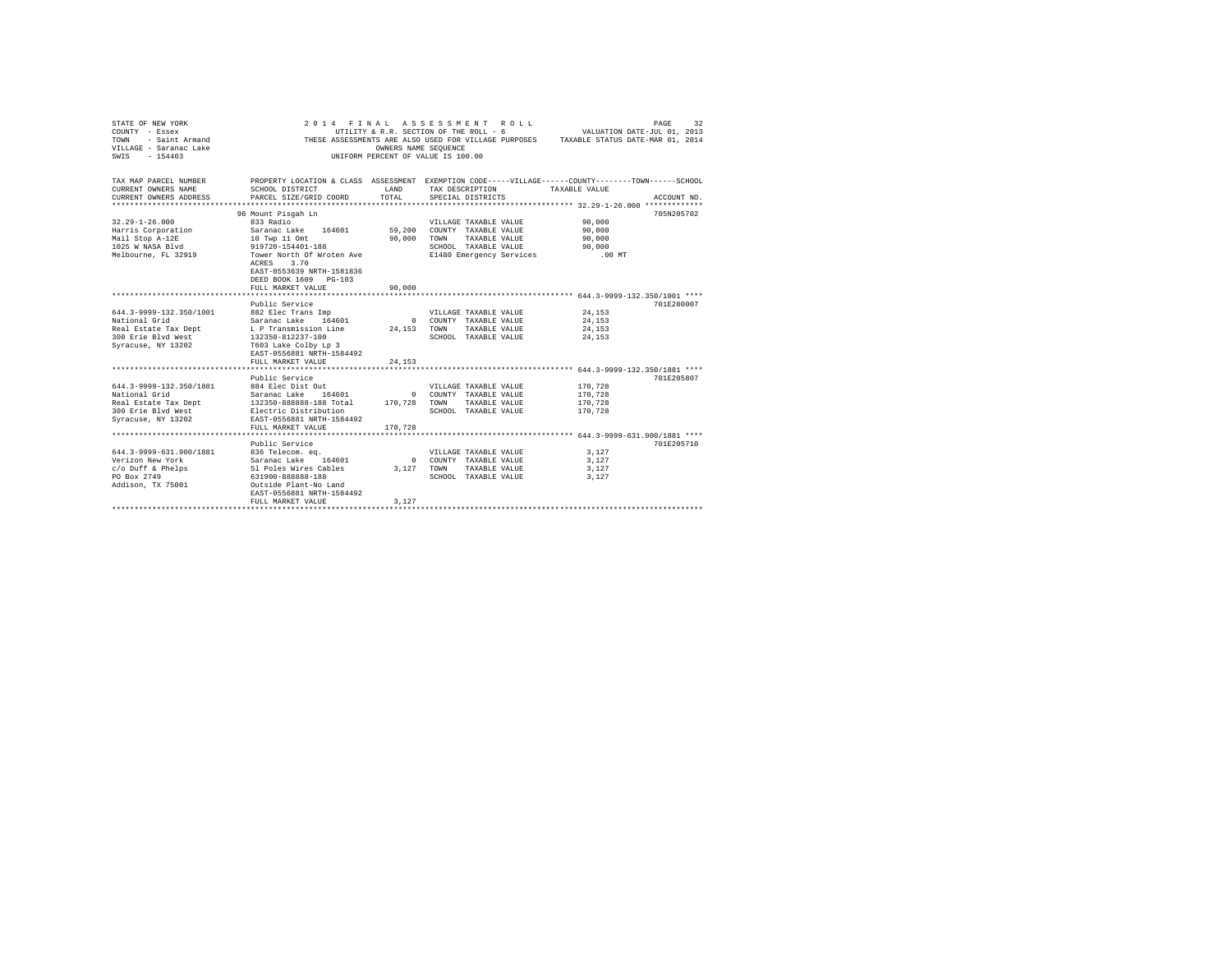| STATE OF NEW YORK       |                           |                      | 2014 FINAL ASSESSMENT ROLL             | PAGE<br>32                                                                                        |
|-------------------------|---------------------------|----------------------|----------------------------------------|---------------------------------------------------------------------------------------------------|
| COUNTY - Essex          |                           |                      | UTILITY & R.R. SECTION OF THE ROLL - 6 | VALUATION DATE-JUL 01, 2013                                                                       |
| - Saint Armand<br>TOWN  |                           |                      |                                        | THESE ASSESSMENTS ARE ALSO USED FOR VILLAGE PURPOSES TAXABLE STATUS DATE-MAR 01, 2014             |
| VILLAGE - Saranac Lake  |                           | OWNERS NAME SEQUENCE |                                        |                                                                                                   |
| $-154403$<br>SWTS       |                           |                      | UNIFORM PERCENT OF VALUE IS 100.00     |                                                                                                   |
|                         |                           |                      |                                        |                                                                                                   |
|                         |                           |                      |                                        |                                                                                                   |
| TAX MAP PARCEL NUMBER   |                           |                      |                                        | PROPERTY LOCATION & CLASS ASSESSMENT EXEMPTION CODE-----VILLAGE-----COUNTY-------TOWN------SCHOOL |
| CURRENT OWNERS NAME     | SCHOOL DISTRICT           | <b>T.AND</b>         | TAX DESCRIPTION                        | TAXABLE VALUE                                                                                     |
| CURRENT OWNERS ADDRESS  | PARCEL SIZE/GRID COORD    | TOTAL                | SPECIAL DISTRICTS                      | ACCOUNT NO.                                                                                       |
| *********************** |                           |                      |                                        |                                                                                                   |
|                         | 96 Mount Pisgah Ln        |                      |                                        | 705N205702                                                                                        |
| $32.29 - 1 - 26.000$    | 833 Radio                 |                      | VILLAGE TAXABLE VALUE                  | 90,000                                                                                            |
| Harris Corporation      | Saranac Lake 164601       | 59,200               | COUNTY TAXABLE VALUE                   | 90,000                                                                                            |
| Mail Stop A-12E         | 10 Twp 11 Omt             | 90,000               | TAXABLE VALUE<br>TOWN                  | 90,000                                                                                            |
| 1025 W NASA Blvd        | 919720-154401-188         |                      | SCHOOL TAXABLE VALUE                   | 90,000                                                                                            |
| Melbourne, FL 32919     | Tower North Of Wroten Ave |                      | E1480 Emergency Services               | $.00$ MT                                                                                          |
|                         | ACRES<br>3.70             |                      |                                        |                                                                                                   |
|                         | EAST-0553639 NRTH-1581836 |                      |                                        |                                                                                                   |
|                         | DEED BOOK 1609 PG-103     |                      |                                        |                                                                                                   |
|                         | FULL MARKET VALUE         | 90,000               |                                        |                                                                                                   |
|                         |                           |                      |                                        | ****************************** 644.3-9999-132.350/1001 ****                                       |
|                         | Public Service            |                      |                                        | 701E280007                                                                                        |
| 644.3-9999-132.350/1001 | 882 Elec Trans Imp        |                      | VILLAGE TAXABLE VALUE                  | 24,153                                                                                            |
| National Grid           | Saranac Lake 164601       | $\sim$ 0             | COUNTY TAXABLE VALUE                   | 24,153                                                                                            |
| Real Estate Tax Dept    | L P Transmission Line     | 24,153               | TOWN<br>TAXABLE VALUE                  | 24,153                                                                                            |
| 300 Erie Blvd West      | 132350-812237-100         |                      | SCHOOL TAXABLE VALUE                   | 24,153                                                                                            |
| Syracuse, NY 13202      | T603 Lake Colby Lp 3      |                      |                                        |                                                                                                   |
|                         | EAST-0556881 NRTH-1584492 |                      |                                        |                                                                                                   |
|                         | FULL MARKET VALUE         | 24,153               |                                        |                                                                                                   |
|                         |                           |                      |                                        |                                                                                                   |
|                         | Public Service            |                      |                                        | 701E205807                                                                                        |
| 644.3-9999-132.350/1881 | 884 Elec Dist Out         |                      | VILLAGE TAXABLE VALUE                  | 170.728                                                                                           |
| National Grid           | Saranac Lake 164601       | $\Omega$             | COUNTY TAXABLE VALUE                   | 170.728                                                                                           |
| Real Estate Tax Dept    | 132350-888888-188 Total   | 170.728              | TOWN<br>TAXABLE VALUE                  | 170.728                                                                                           |
| 300 Erie Blyd West      | Electric Distribution     |                      | SCHOOL TAXABLE VALUE                   | 170,728                                                                                           |
| Syracuse, NY 13202      | EAST-0556881 NRTH-1584492 |                      |                                        |                                                                                                   |
|                         | FULL MARKET VALUE         | 170.728              |                                        |                                                                                                   |
|                         |                           |                      |                                        |                                                                                                   |
|                         | Public Service            |                      |                                        | 701E205710                                                                                        |
| 644.3-9999-631.900/1881 | 836 Telecom. eq.          |                      | VILLAGE TAXABLE VALUE                  | 3.127                                                                                             |
| Verizon New York        | Saranac Lake 164601       |                      | 0 COUNTY TAXABLE VALUE                 | 3.127                                                                                             |
| c/o Duff & Phelps       | Sl Poles Wires Cables     | 3.127                | TOWN<br>TAXABLE VALUE                  | 3,127                                                                                             |
| PO Box 2749             | 631900-888888-188         |                      | SCHOOL TAXABLE VALUE                   | 3,127                                                                                             |
| Addison, TX 75001       | Outside Plant-No Land     |                      |                                        |                                                                                                   |
|                         | EAST-0556881 NRTH-1584492 |                      |                                        |                                                                                                   |
|                         | FULL MARKET VALUE         | 3.127                |                                        |                                                                                                   |
|                         |                           |                      |                                        |                                                                                                   |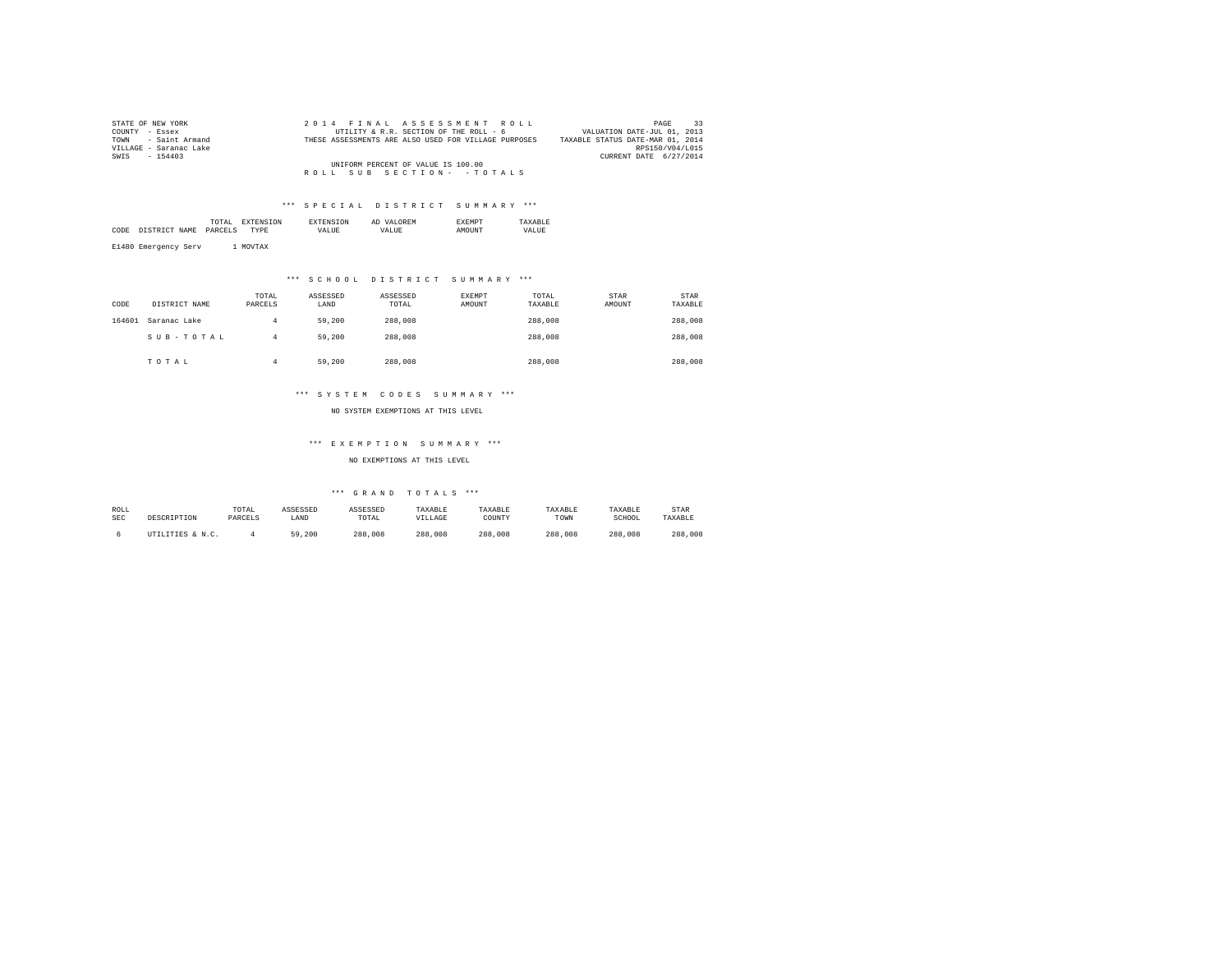| STATE OF NEW YORK      | 2014 FINAL ASSESSMENT ROLL                           | 33<br>PAGE                       |
|------------------------|------------------------------------------------------|----------------------------------|
| COUNTY - Essex         | UTILITY & R.R. SECTION OF THE ROLL - 6               | VALUATION DATE-JUL 01, 2013      |
| TOWN - Saint Armand    | THESE ASSESSMENTS ARE ALSO USED FOR VILLAGE PURPOSES | TAXABLE STATUS DATE-MAR 01, 2014 |
| VILLAGE - Saranac Lake |                                                      | RPS150/V04/L015                  |
| SWIS - 154403          |                                                      | CURRENT DATE 6/27/2014           |
|                        | UNIFORM PERCENT OF VALUE IS 100.00                   |                                  |
|                        | ROLL SUB SECTION- - TOTALS                           |                                  |

|      |                                 | the contract of the contract of the contract of | יי∩״ |       | AЕ  |                |      |
|------|---------------------------------|-------------------------------------------------|------|-------|-----|----------------|------|
| CODE | NAME<br>TCTD.<br>n <del>m</del> | DARCEL                                          | 'PE  | VALUE | 77. | <b>ALLIVAT</b> | ALUK |
|      |                                 |                                                 |      |       |     |                |      |

E1480 Emergency Serv 1 MOVTAX

### \*\*\* S C H O O L D I S T R I C T S U M M A R Y \*\*\*

| CODE   | DISTRICT NAME | TOTAL<br>PARCELS | ASSESSED<br>LAND | ASSESSED<br>TOTAL | EXEMPT<br>AMOUNT | TOTAL<br>TAXABLE | STAR<br>AMOUNT | <b>STAR</b><br>TAXABLE |
|--------|---------------|------------------|------------------|-------------------|------------------|------------------|----------------|------------------------|
| 164601 | Saranac Lake  | 4                | 59,200           | 288,008           |                  | 288,008          |                | 288,008                |
|        | SUB-TOTAL     | 4                | 59,200           | 288,008           |                  | 288,008          |                | 288,008                |
|        | TOTAL         |                  | 59,200           | 288,008           |                  | 288,008          |                | 288,008                |

### \*\*\* S Y S T E M C O D E S S U M M A R Y \*\*\*

NO SYSTEM EXEMPTIONS AT THIS LEVEL

### \*\*\* E X E M P T I O N S U M M A R Y \*\*\*

NO EXEMPTIONS AT THIS LEVEL

| ROLL       |                  | TOTAL   | ASSESSED | ASSESSED | TAXABLE | TAXABLE | TAXABLE | TAXABLE | <b>STAR</b> |
|------------|------------------|---------|----------|----------|---------|---------|---------|---------|-------------|
| <b>SEC</b> | DESCRIPTION      | PARCELS | LAND     | TOTAL    | VILLAGE | COUNT)  | TOWN    | SCHOOL  | TAXABLE     |
|            | UTILITIES & N.C. |         | 59,200   | 288,008  | 288,008 | 288,008 | 288,008 | 288,008 | 288,008     |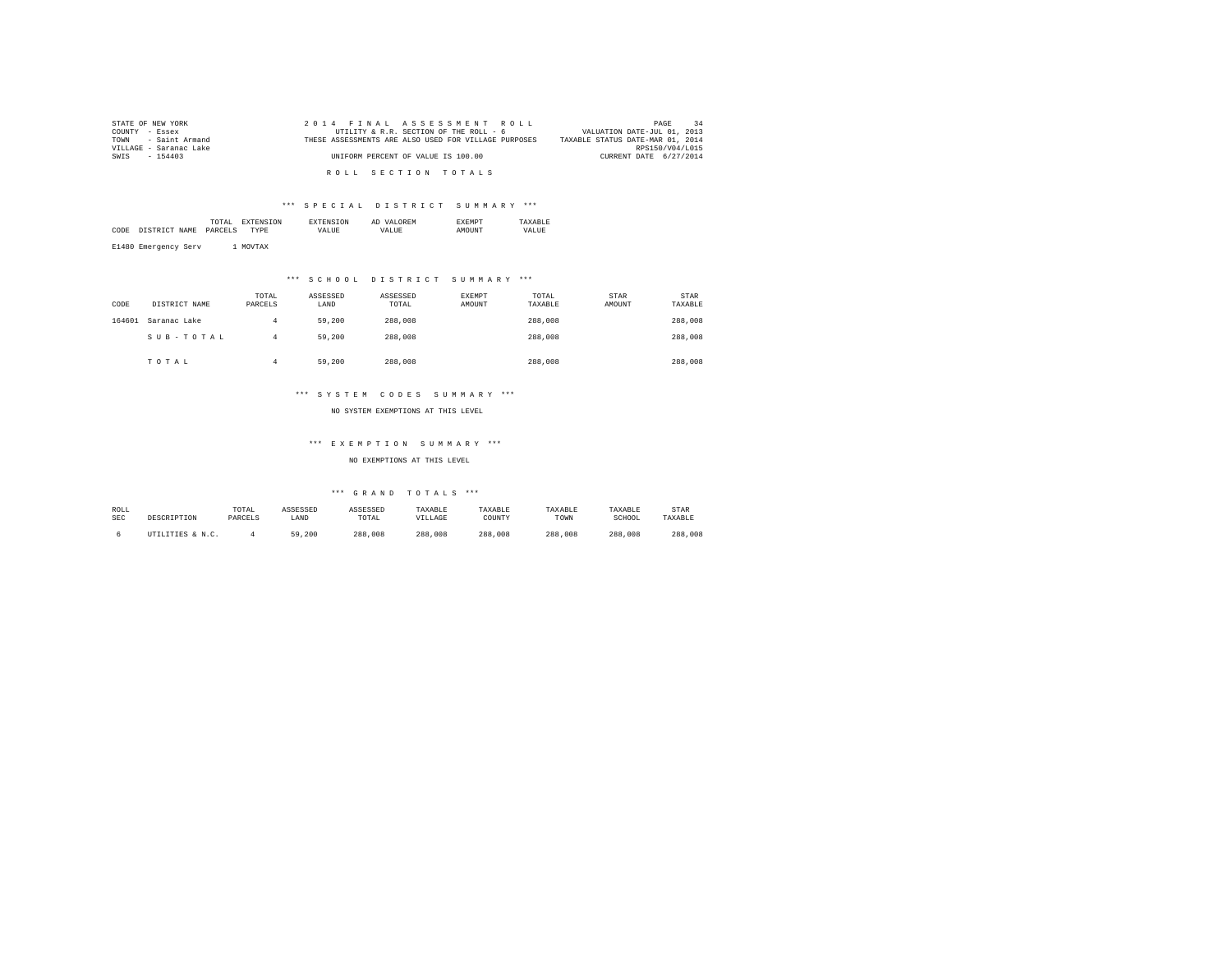| STATE OF NEW YORK      | 2014 FINAL ASSESSMENT ROLL                           | PAGE                             |
|------------------------|------------------------------------------------------|----------------------------------|
| COUNTY - Essex         | UTILITY & R.R. SECTION OF THE ROLL - 6               | VALUATION DATE-JUL 01, 2013      |
| TOWN - Saint Armand    | THESE ASSESSMENTS ARE ALSO USED FOR VILLAGE PURPOSES | TAXABLE STATUS DATE-MAR 01, 2014 |
| VILLAGE - Saranac Lake |                                                      | RPS150/V04/L015                  |
| SWIS - 154403          | UNIFORM PERCENT OF VALUE IS 100.00                   | CURRENT DATE 6/27/2014           |
|                        | ROLL SECTION TOTALS                                  |                                  |
|                        |                                                      |                                  |

|      |                                 | the contract of the contract of the contract of | יי∩״ |       | AЕ  |                |      |
|------|---------------------------------|-------------------------------------------------|------|-------|-----|----------------|------|
| CODE | NAME<br>TCTD.<br>n <del>m</del> | DARCEL                                          | 'PE  | VALUE | 77. | <b>ALLIVAT</b> | ALUK |
|      |                                 |                                                 |      |       |     |                |      |

E1480 Emergency Serv 1 MOVTAX

### \*\*\* S C H O O L D I S T R I C T S U M M A R Y \*\*\*

| CODE   | DISTRICT NAME | TOTAL<br>PARCELS | ASSESSED<br>LAND | ASSESSED<br>TOTAL | EXEMPT<br>AMOUNT | TOTAL<br>TAXABLE | STAR<br>AMOUNT | <b>STAR</b><br>TAXABLE |
|--------|---------------|------------------|------------------|-------------------|------------------|------------------|----------------|------------------------|
| 164601 | Saranac Lake  | 4                | 59,200           | 288,008           |                  | 288,008          |                | 288,008                |
|        | SUB-TOTAL     | 4                | 59,200           | 288,008           |                  | 288,008          |                | 288,008                |
|        | TOTAL         |                  | 59,200           | 288,008           |                  | 288,008          |                | 288,008                |

### \*\*\* S Y S T E M C O D E S S U M M A R Y \*\*\*

NO SYSTEM EXEMPTIONS AT THIS LEVEL

### \*\*\* E X E M P T I O N S U M M A R Y \*\*\*

NO EXEMPTIONS AT THIS LEVEL

| ROLL       |                  | TOTAL   | ASSESSED | ASSESSED | TAXABLE | TAXABLE | TAXABLE | TAXABLE | <b>STAR</b> |
|------------|------------------|---------|----------|----------|---------|---------|---------|---------|-------------|
| <b>SEC</b> | DESCRIPTION      | PARCELS | LAND     | TOTAL    | VILLAGE | COUNT)  | TOWN    | SCHOOL  | TAXABLE     |
|            | UTILITIES & N.C. |         | 59,200   | 288,008  | 288,008 | 288,008 | 288,008 | 288,008 | 288,008     |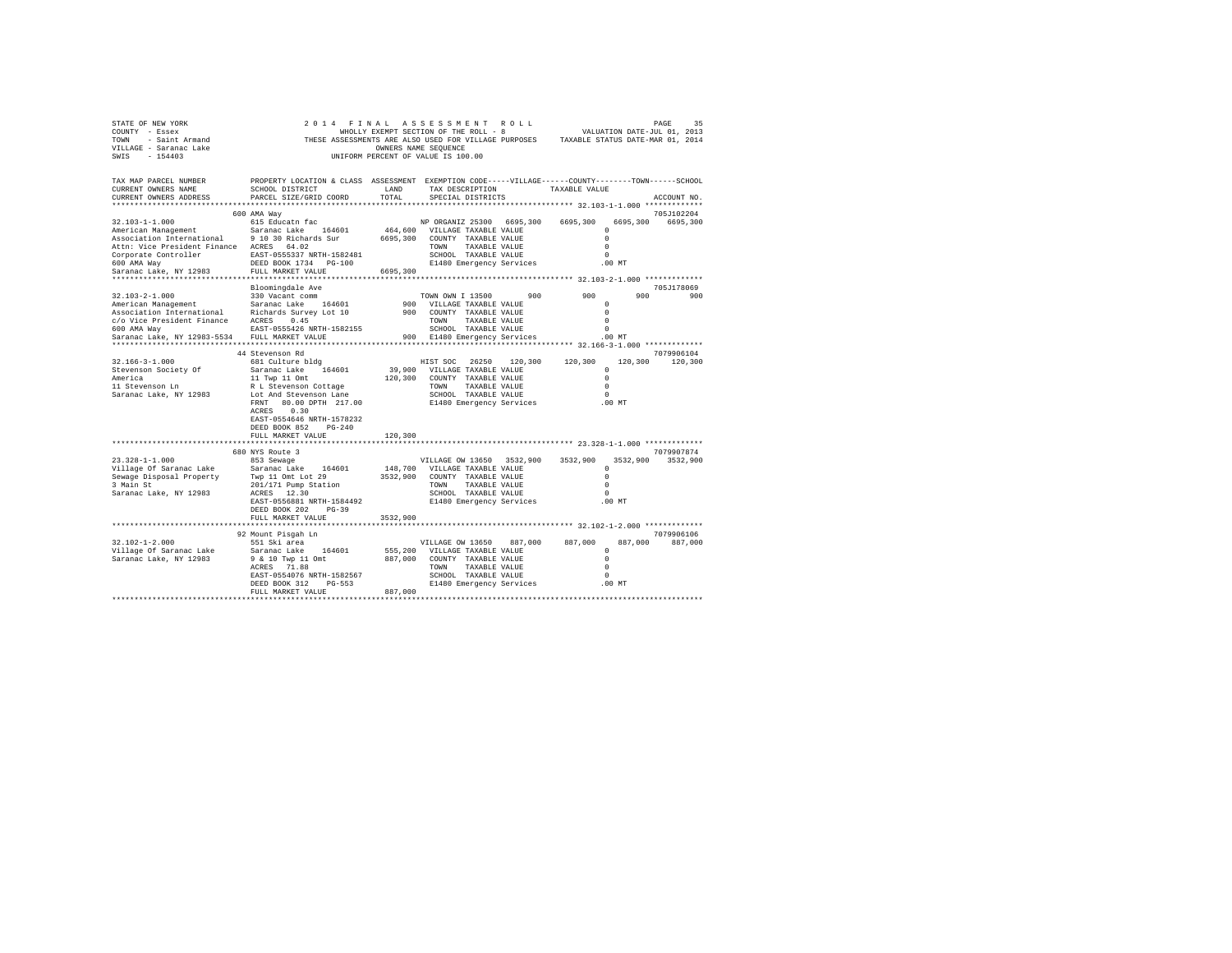| STATE OF NEW YORK<br>COUNTY - Essex<br>TOWN - Saint Armand<br>VILLAGE - Saranac Lake<br>SWIS - 154403 | WHOLLY EXEMPT SECTION OF THE ROLL - 8<br>THESE ASSESSMENTS ARE ALSO USED FOR VILLAGE PURPOSES TAXABLE STATUS DATE-MAR 01, 2014                 | OWNERS NAME SEQUENCE | 2014 FINAL ASSESSMENT ROLL<br>WHOLLY EXEMPT SECTION OF THE ROLL - 8<br>UNIFORM PERCENT OF VALUE IS 100.00 |               |          |                    | 35<br>PAGE<br>VALUATION DATE-JUL 01, 2013 |
|-------------------------------------------------------------------------------------------------------|------------------------------------------------------------------------------------------------------------------------------------------------|----------------------|-----------------------------------------------------------------------------------------------------------|---------------|----------|--------------------|-------------------------------------------|
| TAX MAP PARCEL NUMBER<br>CURRENT OWNERS NAME<br>CURRENT OWNERS ADDRESS                                | PROPERTY LOCATION & CLASS ASSESSMENT EXEMPTION CODE-----VILLAGE-----COUNTY-------TOWN------SCHOOL<br>SCHOOL DISTRICT<br>PARCEL SIZE/GRID COORD | LAND<br>TOTAL        | TAX DESCRIPTION TAXABLE VALUE<br>SPECIAL DISTRICTS                                                        |               |          |                    | ACCOUNT NO.                               |
|                                                                                                       |                                                                                                                                                |                      |                                                                                                           |               |          |                    | 705J102204                                |
| 32.103-1-1.000                                                                                        | 600 AMA Way<br>615 Educatn fac                                                                                                                 |                      | NP ORGANIZ 25300 6695,300                                                                                 |               | 6695,300 | 6695,300           | 6695,300                                  |
| American Management                                                                                   | Saranac Lake 164601                                                                                                                            |                      | 464,600 VILLAGE TAXABLE VALUE                                                                             |               |          | $^{\circ}$         |                                           |
| Association International 9 10 30 Richards Sur                                                        |                                                                                                                                                |                      | 6695,300 COUNTY TAXABLE VALUE                                                                             |               |          | $\Omega$           |                                           |
| Attn: Vice President Finance ACRES 64.02                                                              |                                                                                                                                                |                      | TOWN TAXABLE VALUE                                                                                        |               |          | $\Omega$           |                                           |
| Corporate Controller EAST-0555337 NRTH-1582481                                                        |                                                                                                                                                |                      | SCHOOL TAXABLE VALUE                                                                                      |               |          | $\Omega$           |                                           |
| 600 AMA Way                                                                                           | DEED BOOK 1734 PG-100                                                                                                                          |                      | E1480 Emergency Services                                                                                  |               |          | $.00$ MT           |                                           |
| Saranac Lake, NY 12983<br>*******************************                                             | FULL MARKET VALUE<br>********************                                                                                                      | 6695,300             |                                                                                                           |               |          |                    |                                           |
|                                                                                                       | Bloomingdale Ave                                                                                                                               |                      |                                                                                                           |               |          |                    | 705J178069                                |
| 32.103-2-1.000                                                                                        | 330 Vacant comm                                                                                                                                |                      | TOWN OWN I 13500                                                                                          | 900           | 900      | 900                | 900                                       |
| American Management                                                                                   | Saranac Lake 164601                                                                                                                            |                      | 900 VILLAGE TAXABLE VALUE                                                                                 |               |          | $^{\circ}$         |                                           |
| Association International Richards Survey Lot 10                                                      |                                                                                                                                                |                      | 900 COUNTY TAXABLE VALUE                                                                                  |               |          | $\Omega$           |                                           |
| c/o Vice President Finance ACRES 0.45                                                                 |                                                                                                                                                |                      | TOWN TAXABLE VALUE                                                                                        |               |          | $\Omega$           |                                           |
| 600 AMA Way                                                                                           | EAST-0555426 NRTH-1582155                                                                                                                      |                      | SCHOOL TAXABLE VALUE                                                                                      |               |          | $\Omega$           |                                           |
| Saranac Lake, NY 12983-5534 FULL MARKET VALUE                                                         |                                                                                                                                                |                      | 900 E1480 Emergency Services                                                                              |               |          | .00 MT             |                                           |
|                                                                                                       |                                                                                                                                                |                      |                                                                                                           |               |          |                    |                                           |
|                                                                                                       | 44 Stevenson Rd                                                                                                                                |                      |                                                                                                           |               |          |                    | 7079906104<br>120,300 120,300             |
| 32.166-3-1.000<br>Stevenson Society Of                                                                | 681 Culture bldg<br>Saranac Lake 164601                                                                                                        |                      | HIST SOC 26250 120,300 120,300<br>39,900 VILLAGE TAXABLE VALUE                                            |               |          | $\Omega$           |                                           |
|                                                                                                       | 11 Twp 11 Omt                                                                                                                                  |                      | 120,300 COUNTY TAXABLE VALUE                                                                              |               |          | $\Omega$           |                                           |
| America<br>11 Stevenson Ln                                                                            | R L Stevenson Cottage                                                                                                                          |                      | TOWN TAXABLE VALUE                                                                                        |               |          | $\Omega$           |                                           |
| Saranac Lake, NY 12983                                                                                | Lot And Stevenson Lane                                                                                                                         |                      | SCHOOL TAXABLE VALUE                                                                                      |               |          | $\Omega$           |                                           |
|                                                                                                       | FRNT 80.00 DPTH 217.00                                                                                                                         |                      | E1480 Emergency Services                                                                                  |               | $.00$ MT |                    |                                           |
|                                                                                                       | ACRES 0.30                                                                                                                                     |                      |                                                                                                           |               |          |                    |                                           |
|                                                                                                       | EAST-0554646 NRTH-1578232                                                                                                                      |                      |                                                                                                           |               |          |                    |                                           |
|                                                                                                       | DEED BOOK 852 PG-240<br>FULL MARKET VALUE                                                                                                      | 120,300              |                                                                                                           |               |          |                    |                                           |
|                                                                                                       |                                                                                                                                                |                      |                                                                                                           |               |          |                    |                                           |
|                                                                                                       | 680 NYS Route 3                                                                                                                                |                      |                                                                                                           |               |          |                    | 7079907874                                |
| $23.328 - 1 - 1.000$                                                                                  | 853 Sewage                                                                                                                                     |                      | VILLAGE OW 13650 3532,900                                                                                 |               | 3532,900 |                    | 3532,900 3532,900                         |
| Village Of Saranac Lake Saranac Lake 164601<br>Sewaqe Disposal Property Twp 11 Omt Lot 29             |                                                                                                                                                |                      | 148,700 VILLAGE TAXABLE VALUE                                                                             |               |          | $\Omega$           |                                           |
|                                                                                                       |                                                                                                                                                |                      | 3532.900 COUNTY TAXABLE VALUE                                                                             |               |          | $\Omega$           |                                           |
| 3 Main St                                                                                             | 201/171 Pump Station                                                                                                                           |                      | TOWN TAXABLE VALUE                                                                                        |               |          | $\Omega$           |                                           |
| Saranac Lake, NY 12983                                                                                | ACRES 12.30<br>EAST-0556881 NRTH-1584492                                                                                                       |                      | SCHOOL TAXABLE VALUE                                                                                      |               |          | $\Omega$<br>.00MT  |                                           |
|                                                                                                       | DEED BOOK 202 PG-39                                                                                                                            |                      | E1480 Emergency Services                                                                                  |               |          |                    |                                           |
|                                                                                                       | FULL MARKET VALUE                                                                                                                              | 3532,900             |                                                                                                           |               |          |                    |                                           |
|                                                                                                       |                                                                                                                                                |                      |                                                                                                           |               |          |                    |                                           |
|                                                                                                       | 92 Mount Pisgah Ln                                                                                                                             |                      |                                                                                                           |               |          |                    | 7079906106                                |
| $32.102 - 1 - 2.000$                                                                                  | 551 Ski area                                                                                                                                   |                      | VILLAGE OW 13650                                                                                          | 887,000       | 887,000  | 887,000            | 887,000                                   |
| Village Of Saranac Lake                                                                               | Saranac Lake 164601                                                                                                                            |                      | 555,200 VILLAGE TAXABLE VALUE                                                                             |               |          | $^{\circ}$         |                                           |
| Saranac Lake, NY 12983                                                                                | 9 & 10 Twp 11 Omt                                                                                                                              |                      | 887,000 COUNTY TAXABLE VALUE                                                                              |               |          | $\Omega$           |                                           |
|                                                                                                       | ACRES 71.88                                                                                                                                    |                      | TOWN                                                                                                      | TAXABLE VALUE |          | $\Omega$           |                                           |
|                                                                                                       | EAST-0554076 NRTH-1582567<br>DEED BOOK 312 PG-553                                                                                              |                      | SCHOOL TAXABLE VALUE<br>E1480 Emergency Services                                                          |               |          | $\Omega$<br>.00 MT |                                           |
|                                                                                                       | FULL MARKET VALUE                                                                                                                              | 887,000              |                                                                                                           |               |          |                    |                                           |
|                                                                                                       |                                                                                                                                                |                      |                                                                                                           |               |          |                    |                                           |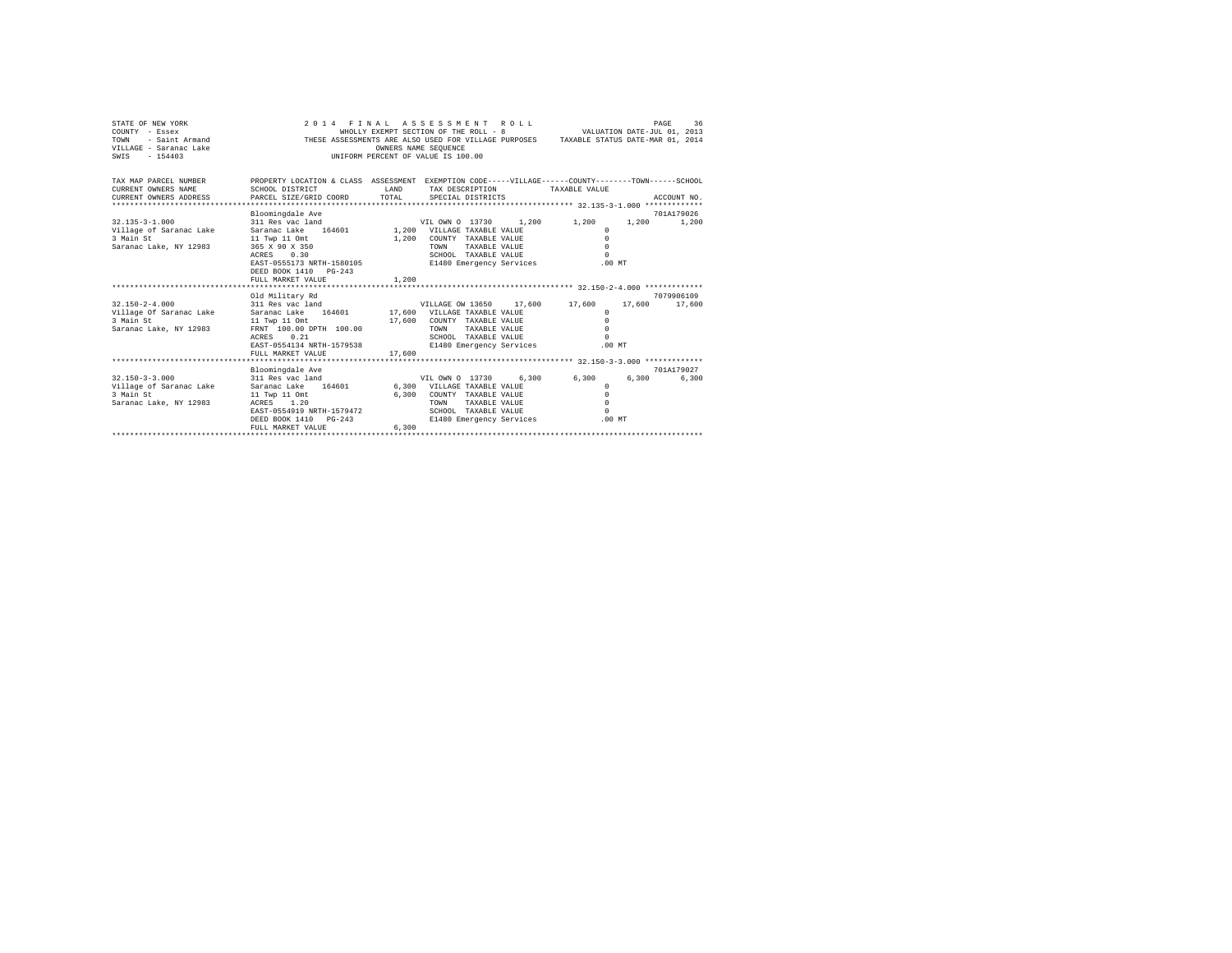| STATE OF NEW YORK<br>COUNTY - Essex<br>TOWN<br>- Saint Armand<br>VILLAGE - Saranac Lake<br>$-154403$<br>SWIS |                                                                                                                      |        | 2014 FINAL ASSESSMENT ROLL<br>WHOLLY EXEMPT SECTION OF THE ROLL - 8<br>THESE ASSESSMENTS ARE ALSO USED FOR VILLAGE PURPOSES TAXABLE STATUS DATE-MAR 01, 2014<br>OWNERS NAME SEQUENCE<br>UNIFORM PERCENT OF VALUE IS 100.00 |       | VALUATION DATE-JUL 01, 2013 |        | PAGE        | 36    |
|--------------------------------------------------------------------------------------------------------------|----------------------------------------------------------------------------------------------------------------------|--------|----------------------------------------------------------------------------------------------------------------------------------------------------------------------------------------------------------------------------|-------|-----------------------------|--------|-------------|-------|
| TAX MAP PARCEL NUMBER<br>CURRENT OWNERS NAME                                                                 | PROPERTY LOCATION & CLASS ASSESSMENT EXEMPTION CODE-----VILLAGE-----COUNTY-------TOWN------SCHOOL<br>SCHOOL DISTRICT | T.AND  | TAX DESCRIPTION                                                                                                                                                                                                            |       | TAXABLE VALUE               |        |             |       |
| CURRENT OWNERS ADDRESS                                                                                       | PARCEL SIZE/GRID COORD                                                                                               | TOTAL  | SPECIAL DISTRICTS                                                                                                                                                                                                          |       |                             |        | ACCOUNT NO. |       |
|                                                                                                              |                                                                                                                      |        |                                                                                                                                                                                                                            |       |                             |        |             |       |
| $32.135 - 3 - 1.000$                                                                                         | Bloomingdale Ave<br>311 Res vac land                                                                                 |        | VIL OWN 0 13730                                                                                                                                                                                                            | 1,200 | 1,200                       | 1,200  | 701A179026  | 1,200 |
| Village of Saranac Lake                                                                                      | Saranac Lake 164601                                                                                                  |        | 1,200 VILLAGE TAXABLE VALUE                                                                                                                                                                                                |       | $^{\circ}$                  |        |             |       |
| 3 Main St                                                                                                    | 11 Twp 11 Omt                                                                                                        | 1,200  | COUNTY TAXABLE VALUE                                                                                                                                                                                                       |       | $\Omega$                    |        |             |       |
| Saranac Lake, NY 12983                                                                                       | 365 X 90 X 350                                                                                                       |        | TAXABLE VALUE<br>TOWN                                                                                                                                                                                                      |       | $\Omega$                    |        |             |       |
|                                                                                                              | 0.30<br>ACRES                                                                                                        |        | SCHOOL TAXABLE VALUE                                                                                                                                                                                                       |       | $\Omega$                    |        |             |       |
|                                                                                                              | EAST-0555173 NRTH-1580105                                                                                            |        | E1480 Emergency Services                                                                                                                                                                                                   |       | .00MT                       |        |             |       |
|                                                                                                              | DEED BOOK 1410 PG-243                                                                                                |        |                                                                                                                                                                                                                            |       |                             |        |             |       |
|                                                                                                              | FULL MARKET VALUE                                                                                                    | 1,200  |                                                                                                                                                                                                                            |       |                             |        |             |       |
|                                                                                                              |                                                                                                                      |        |                                                                                                                                                                                                                            |       |                             |        |             |       |
|                                                                                                              | Old Military Rd                                                                                                      |        |                                                                                                                                                                                                                            |       |                             |        | 7079906109  |       |
| $32.150 - 2 - 4.000$                                                                                         | 311 Res vac land                                                                                                     |        | VILLAGE OW 13650                                                                                                                                                                                                           |       | 17,600 17,600               | 17,600 | 17,600      |       |
| Village Of Saranac Lake                                                                                      | Saranac Lake 164601 17,600 VILLAGE TAXABLE VALUE                                                                     |        |                                                                                                                                                                                                                            |       | $\Omega$                    |        |             |       |
| 3 Main St                                                                                                    | 11 Twp 11 Omt                                                                                                        | 17,600 | COUNTY TAXABLE VALUE                                                                                                                                                                                                       |       | $\Omega$                    |        |             |       |
| Saranac Lake, NY 12983                                                                                       | FRNT 100.00 DPTH 100.00<br>0.21                                                                                      |        | <b>TOWN</b><br>TAXARLE VALUE                                                                                                                                                                                               |       | $\Omega$<br>$\Omega$        |        |             |       |
|                                                                                                              | ACRES<br>EAST-0554134 NRTH-1579538                                                                                   |        | SCHOOL TAXABLE VALUE<br>E1480 Emergency Services                                                                                                                                                                           |       | $.00$ MT                    |        |             |       |
|                                                                                                              | FULL MARKET VALUE                                                                                                    | 17,600 |                                                                                                                                                                                                                            |       |                             |        |             |       |
|                                                                                                              |                                                                                                                      |        |                                                                                                                                                                                                                            |       |                             |        |             |       |
|                                                                                                              | Bloomingdale Ave                                                                                                     |        |                                                                                                                                                                                                                            |       |                             |        | 701A179027  |       |
| $32.150 - 3 - 3.000$                                                                                         | 311 Res vac land                                                                                                     |        | VIL OWN 0 13730                                                                                                                                                                                                            | 6.300 | 6,300                       | 6,300  |             | 6,300 |
| Village of Saranac Lake                                                                                      | Saranac Lake 164601                                                                                                  |        | 6,300 VILLAGE TAXABLE VALUE                                                                                                                                                                                                |       | $\Omega$                    |        |             |       |
| 3 Main St                                                                                                    | 11 Twp 11 Omt                                                                                                        | 6,300  | COUNTY TAXABLE VALUE                                                                                                                                                                                                       |       | $\Omega$                    |        |             |       |
| Saranac Lake, NY 12983                                                                                       | ACRES 1.20                                                                                                           |        | <b>TOWN</b><br>TAXABLE VALUE                                                                                                                                                                                               |       | $\Omega$                    |        |             |       |
|                                                                                                              | EAST-0554919 NRTH-1579472                                                                                            |        | SCHOOL TAXABLE VALUE                                                                                                                                                                                                       |       | $\Omega$                    |        |             |       |
|                                                                                                              | DEED BOOK 1410<br>$PG-243$                                                                                           |        | E1480 Emergency Services                                                                                                                                                                                                   |       | $.00$ MT                    |        |             |       |
|                                                                                                              | FULL MARKET VALUE                                                                                                    | 6,300  |                                                                                                                                                                                                                            |       |                             |        |             |       |
|                                                                                                              |                                                                                                                      |        |                                                                                                                                                                                                                            |       |                             |        |             |       |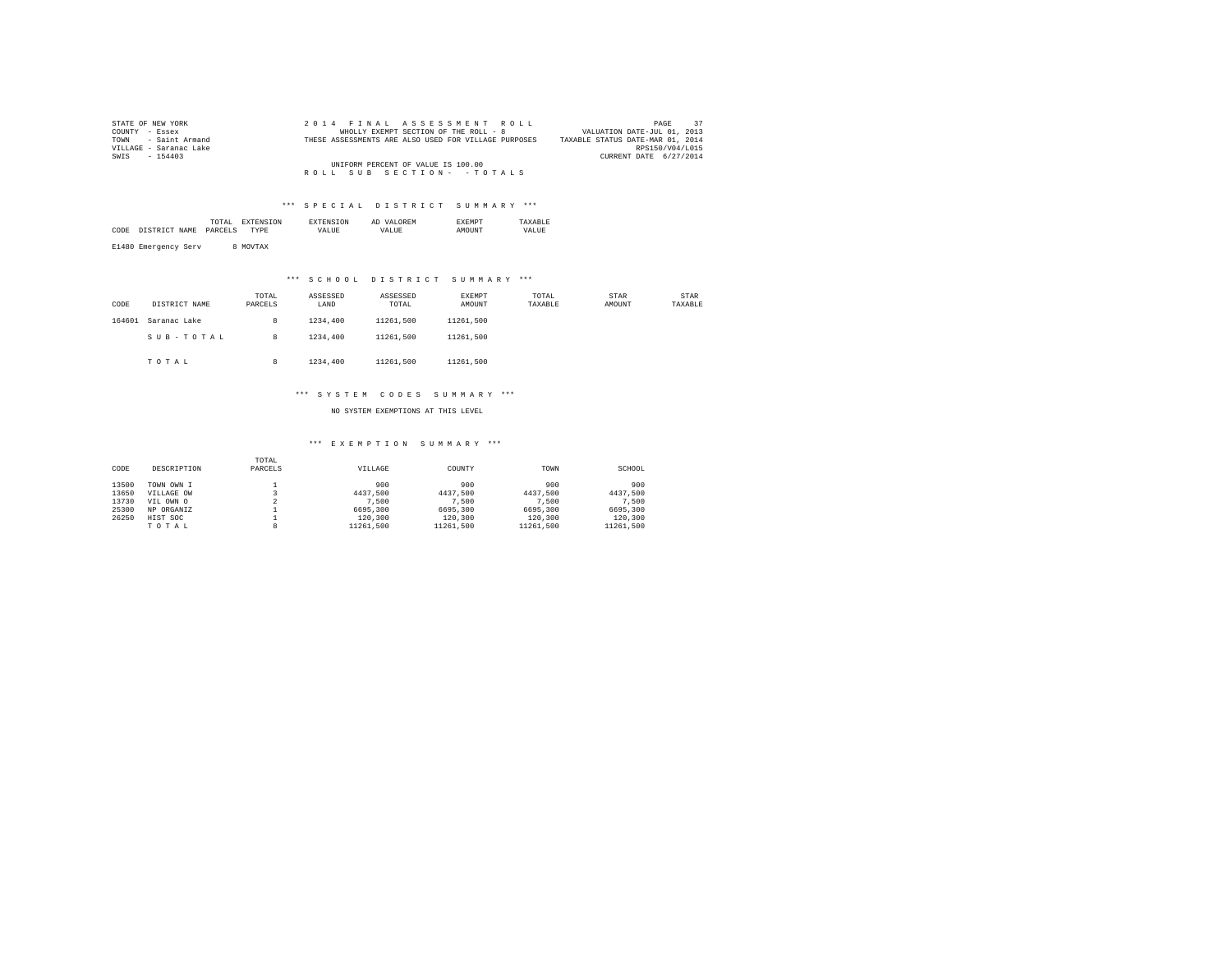| STATE OF NEW YORK      |  | 2014 FINAL ASSESSMENT ROLL                           |                                  | 37<br>PAGE      |  |
|------------------------|--|------------------------------------------------------|----------------------------------|-----------------|--|
| COUNTY - Essex         |  | WHOLLY EXEMPT SECTION OF THE ROLL - 8                | VALUATION DATE-JUL 01, 2013      |                 |  |
| TOWN - Saint Armand    |  | THESE ASSESSMENTS ARE ALSO USED FOR VILLAGE PURPOSES | TAXABLE STATUS DATE-MAR 01, 2014 |                 |  |
| VILLAGE - Saranac Lake |  |                                                      |                                  | RPS150/V04/L015 |  |
| SWIS - 154403          |  |                                                      | CURRENT DATE 6/27/2014           |                 |  |
|                        |  | UNIFORM PERCENT OF VALUE IS 100.00                   |                                  |                 |  |
|                        |  | ROLL SUB SECTION- - TOTALS                           |                                  |                 |  |

|      | the contract of the contract of the contract of |   | m     | $\cdots$<br>Al<br>. км | : M L  |       |
|------|-------------------------------------------------|---|-------|------------------------|--------|-------|
| CODI |                                                 | . | /ALUE | ALUF<br><i>ι</i> Δ.    | ידאדדר | VALUE |
|      |                                                 |   |       |                        |        |       |

E1480 Emergency Serv 8 MOVTAX

### \*\*\* S C H O O L D I S T R I C T S U M M A R Y \*\*\*

| CODE   | DISTRICT NAME | TOTAL<br>PARCELS | ASSESSED<br>LAND | ASSESSED<br>TOTAL | EXEMPT<br>AMOUNT | TOTAL<br>TAXABLE | <b>STAR</b><br>AMOUNT | STAR<br>TAXABLE |
|--------|---------------|------------------|------------------|-------------------|------------------|------------------|-----------------------|-----------------|
| 164601 | Saranac Lake  | 8                | 1234,400         | 11261.500         | 11261.500        |                  |                       |                 |
|        | SUB-TOTAL     | 8                | 1234,400         | 11261.500         | 11261.500        |                  |                       |                 |
|        | TOTAL         | 8                | 1234,400         | 11261.500         | 11261.500        |                  |                       |                 |

### \*\*\* S Y S T E M C O D E S S U M M A R Y \*\*\*

NO SYSTEM EXEMPTIONS AT THIS LEVEL

| CODE  | DESCRIPTION | TOTAL<br>PARCELS | VILLAGE   | COUNTY    | TOWN      | SCHOOL    |
|-------|-------------|------------------|-----------|-----------|-----------|-----------|
| 13500 | TOWN OWN I  |                  | 900       | 900       | 900       | 900       |
| 13650 | VILLAGE OW  |                  | 4437.500  | 4437.500  | 4437.500  | 4437.500  |
| 13730 | VIL OWN O   |                  | 7.500     | 7.500     | 7.500     | 7.500     |
| 25300 | NP ORGANIZ  |                  | 6695,300  | 6695,300  | 6695,300  | 6695.300  |
| 26250 | HIST SOC    |                  | 120,300   | 120,300   | 120,300   | 120,300   |
|       | TOTAL       | 8                | 11261.500 | 11261.500 | 11261.500 | 11261.500 |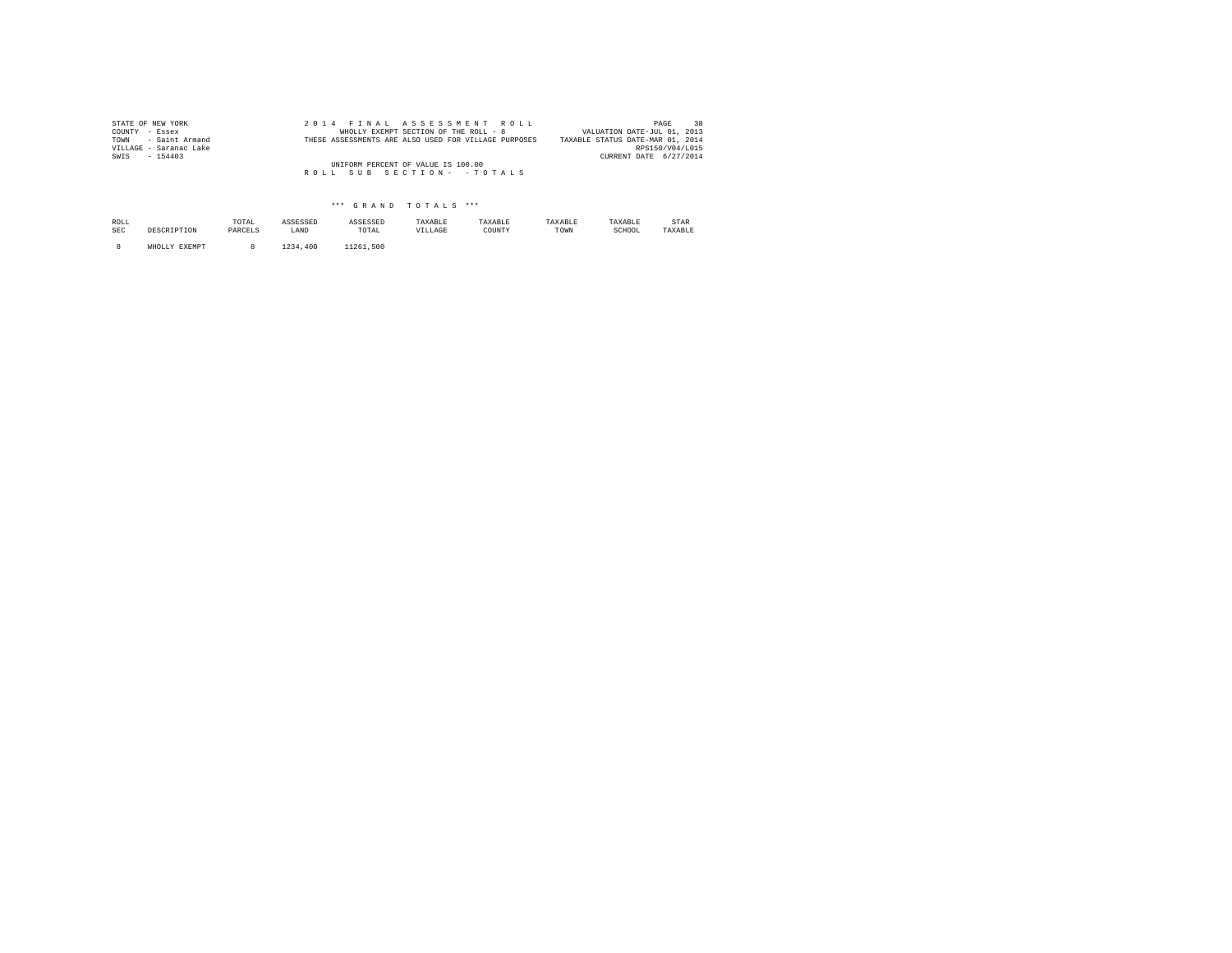| STATE OF NEW YORK      |  | 2014 FINAL ASSESSMENT ROLL                           | PAGE                             | 38 |
|------------------------|--|------------------------------------------------------|----------------------------------|----|
| COUNTY - Essex         |  | WHOLLY EXEMPT SECTION OF THE ROLL - 8                | VALUATION DATE-JUL 01, 2013      |    |
| TOWN - Saint Armand    |  | THESE ASSESSMENTS ARE ALSO USED FOR VILLAGE PURPOSES | TAXABLE STATUS DATE-MAR 01, 2014 |    |
| VILLAGE - Saranac Lake |  |                                                      | RPS150/V04/L015                  |    |
| SWIS<br>$-154403$      |  |                                                      | CURRENT DATE 6/27/2014           |    |
|                        |  | UNIFORM PERCENT OF VALUE IS 100.00                   |                                  |    |
|                        |  | ROLL SUB SECTION- - TOTALS                           |                                  |    |
|                        |  |                                                      |                                  |    |

| ROLL<br><b>SEC</b> | DESCRIPTION   | TOTAL<br>PARCELS | ASSESSED<br>LAND | ASSESSED<br>TOTAL | TAXABLE<br>VILLAGE | TAXABLE<br>COUNTY | TAXABLE<br>TOWN | TAXABLE<br>SCHOOL | STAR<br>TAXABLE |
|--------------------|---------------|------------------|------------------|-------------------|--------------------|-------------------|-----------------|-------------------|-----------------|
|                    | WHOLLY EXEMPT |                  | 400<br>234       | 11261<br>.500     |                    |                   |                 |                   |                 |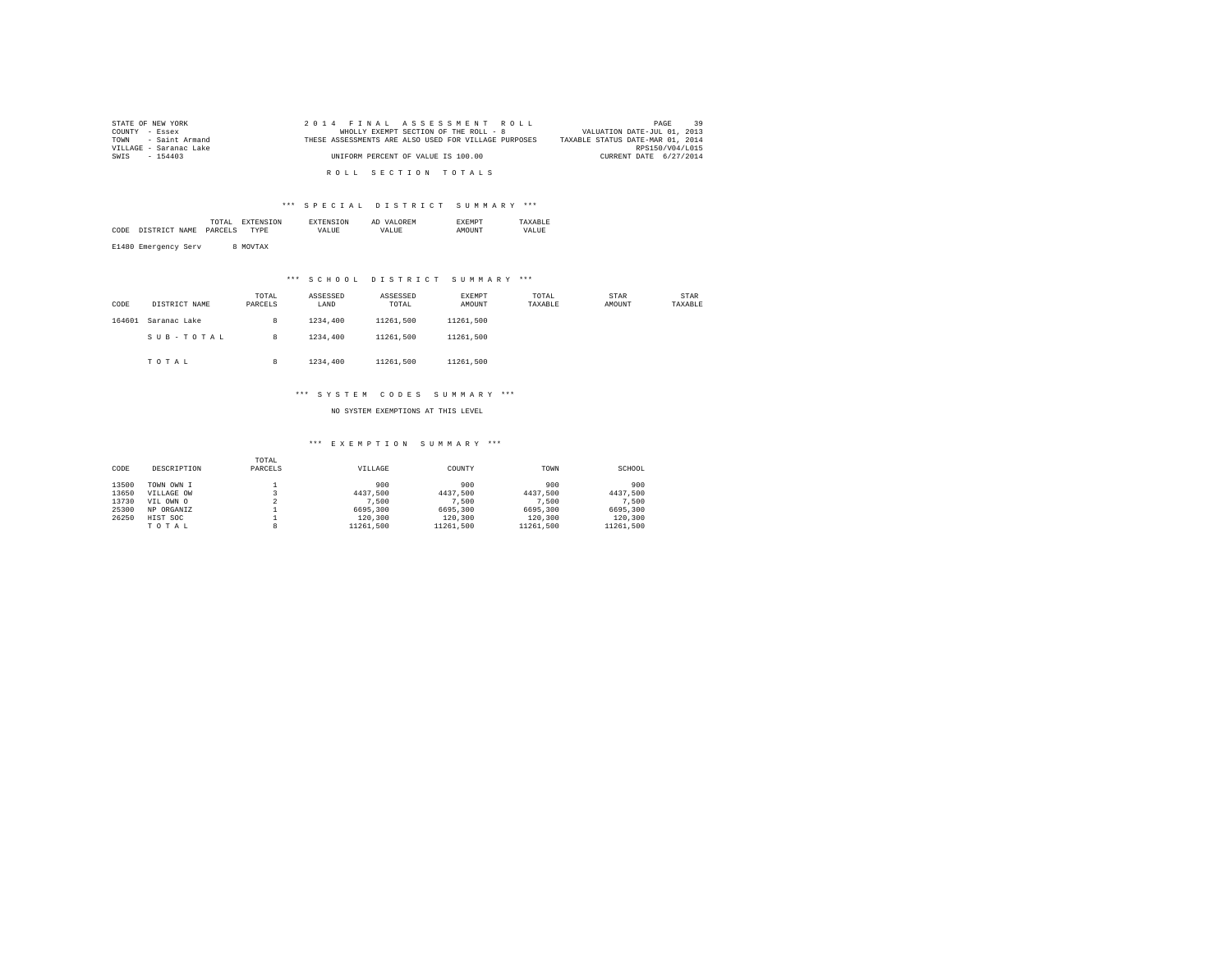| STATE OF NEW YORK      | 2014 FINAL ASSESSMENT ROLL                           | 39<br>PAGE                       |
|------------------------|------------------------------------------------------|----------------------------------|
| COUNTY - Essex         | WHOLLY EXEMPT SECTION OF THE ROLL - 8                | VALUATION DATE-JUL 01, 2013      |
| TOWN - Saint Armand    | THESE ASSESSMENTS ARE ALSO USED FOR VILLAGE PURPOSES | TAXABLE STATUS DATE-MAR 01, 2014 |
| VILLAGE - Saranac Lake |                                                      | RPS150/V04/L015                  |
| SWIS - 154403          | UNIFORM PERCENT OF VALUE IS 100.00                   | CURRENT DATE 6/27/2014           |
|                        |                                                      |                                  |
|                        | ROLL SECTION TOTALS                                  |                                  |

|      | the contract of the contract of the contract of | ON |       | <b>OREM</b><br>Al |       |
|------|-------------------------------------------------|----|-------|-------------------|-------|
| CODI |                                                 |    | VALUE | 577               | VALUE |
|      |                                                 |    |       |                   |       |

E1480 Emergency Serv 8 MOVTAX

### \*\*\* S C H O O L D I S T R I C T S U M M A R Y \*\*\*

| CODE   | DISTRICT NAME | TOTAL<br>PARCELS | ASSESSED<br>LAND | ASSESSED<br>TOTAL | EXEMPT<br>AMOUNT | TOTAL<br>TAXABLE | STAR<br>AMOUNT | STAR<br>TAXABLE |
|--------|---------------|------------------|------------------|-------------------|------------------|------------------|----------------|-----------------|
| 164601 | Saranac Lake  | 8                | 1234,400         | 11261.500         | 11261.500        |                  |                |                 |
|        | SUB-TOTAL     | 8                | 1234,400         | 11261.500         | 11261.500        |                  |                |                 |
|        | TOTAL         | 8                | 1234,400         | 11261.500         | 11261.500        |                  |                |                 |

### \*\*\* S Y S T E M C O D E S S U M M A R Y \*\*\*

NO SYSTEM EXEMPTIONS AT THIS LEVEL

| CODE  | DESCRIPTION | TOTAL<br>PARCELS | VILLAGE   | COUNTY    | TOWN      | SCHOOL    |
|-------|-------------|------------------|-----------|-----------|-----------|-----------|
| 13500 | TOWN OWN I  |                  | 900       | 900       | 900       | 900       |
| 13650 | VILLAGE OW  |                  | 4437.500  | 4437.500  | 4437.500  | 4437.500  |
| 13730 | VIL OWN O   |                  | 7.500     | 7.500     | 7.500     | 7.500     |
| 25300 | NP ORGANIZ  |                  | 6695,300  | 6695,300  | 6695,300  | 6695,300  |
| 26250 | HIST SOC    |                  | 120,300   | 120,300   | 120,300   | 120,300   |
|       | TOTAL       | 8                | 11261.500 | 11261.500 | 11261.500 | 11261.500 |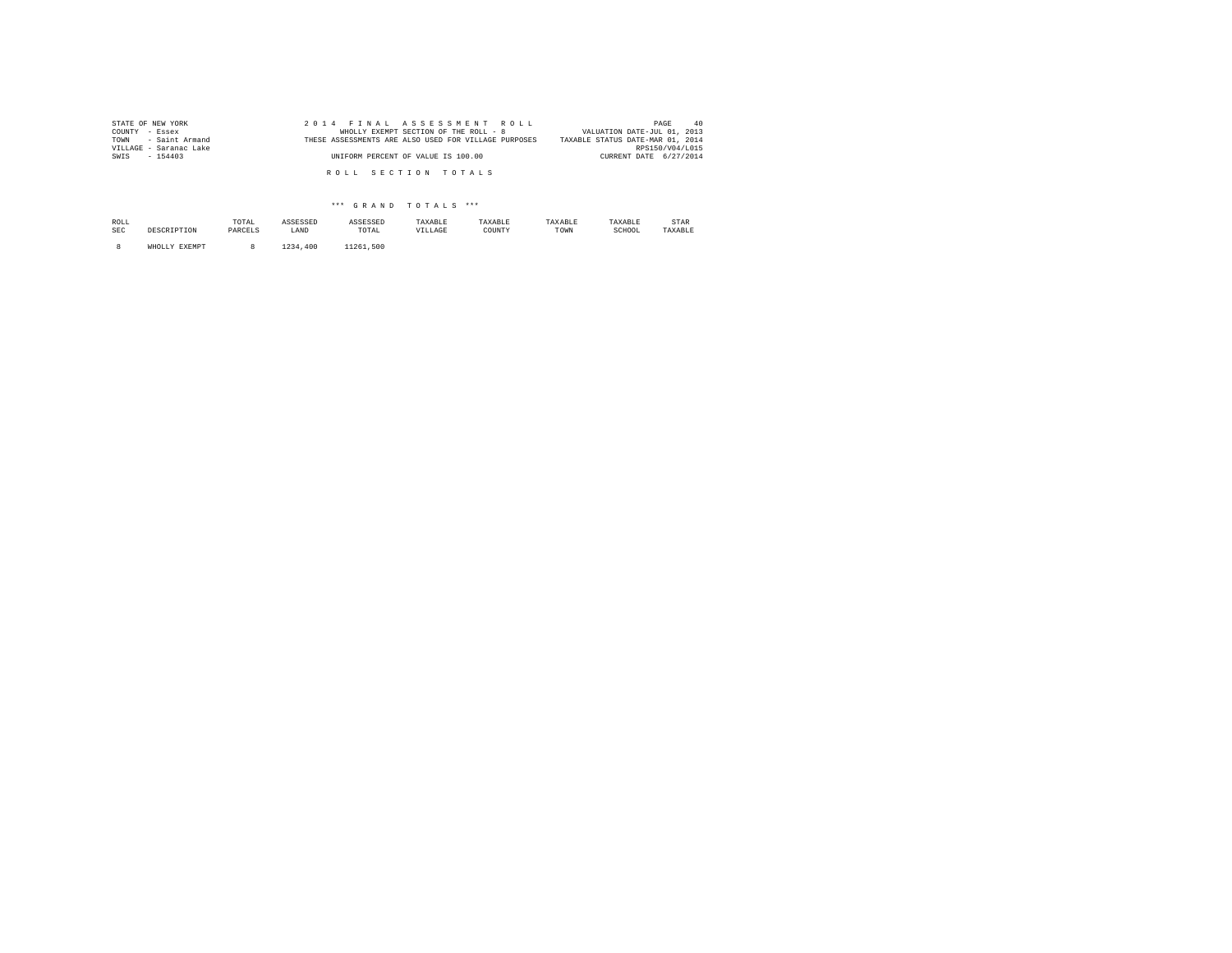| STATE OF NEW YORK      | 2014 FINAL ASSESSMENT ROLL                           | 40<br>PAGE                       |
|------------------------|------------------------------------------------------|----------------------------------|
| COUNTY - Essex         | WHOLLY EXEMPT SECTION OF THE ROLL - 8                | VALUATION DATE-JUL 01, 2013      |
| TOWN - Saint Armand    | THESE ASSESSMENTS ARE ALSO USED FOR VILLAGE PURPOSES | TAXABLE STATUS DATE-MAR 01, 2014 |
| VILLAGE - Saranac Lake |                                                      | RPS150/V04/L015                  |
| SWIS - 154403          | UNIFORM PERCENT OF VALUE IS 100.00                   | CURRENT DATE 6/27/2014           |
|                        |                                                      |                                  |
|                        | ROLL SECTION TOTALS                                  |                                  |
|                        |                                                      |                                  |

| ROLL<br>SEC | nperp            | TOTAL<br>PARCELS | ASSESSED<br>LAND | ASSESSED<br>TOTAL | TAXABLE<br>VILLAGE | TAXABLE<br>COUNTY | TAXABLE<br>TOWN | TAXABLE<br>SCHOOL | STAR<br>TAXABLE |
|-------------|------------------|------------------|------------------|-------------------|--------------------|-------------------|-----------------|-------------------|-----------------|
|             | EXEMPT<br>WHOLLY |                  | 1234<br>.400     | 11261.500         |                    |                   |                 |                   |                 |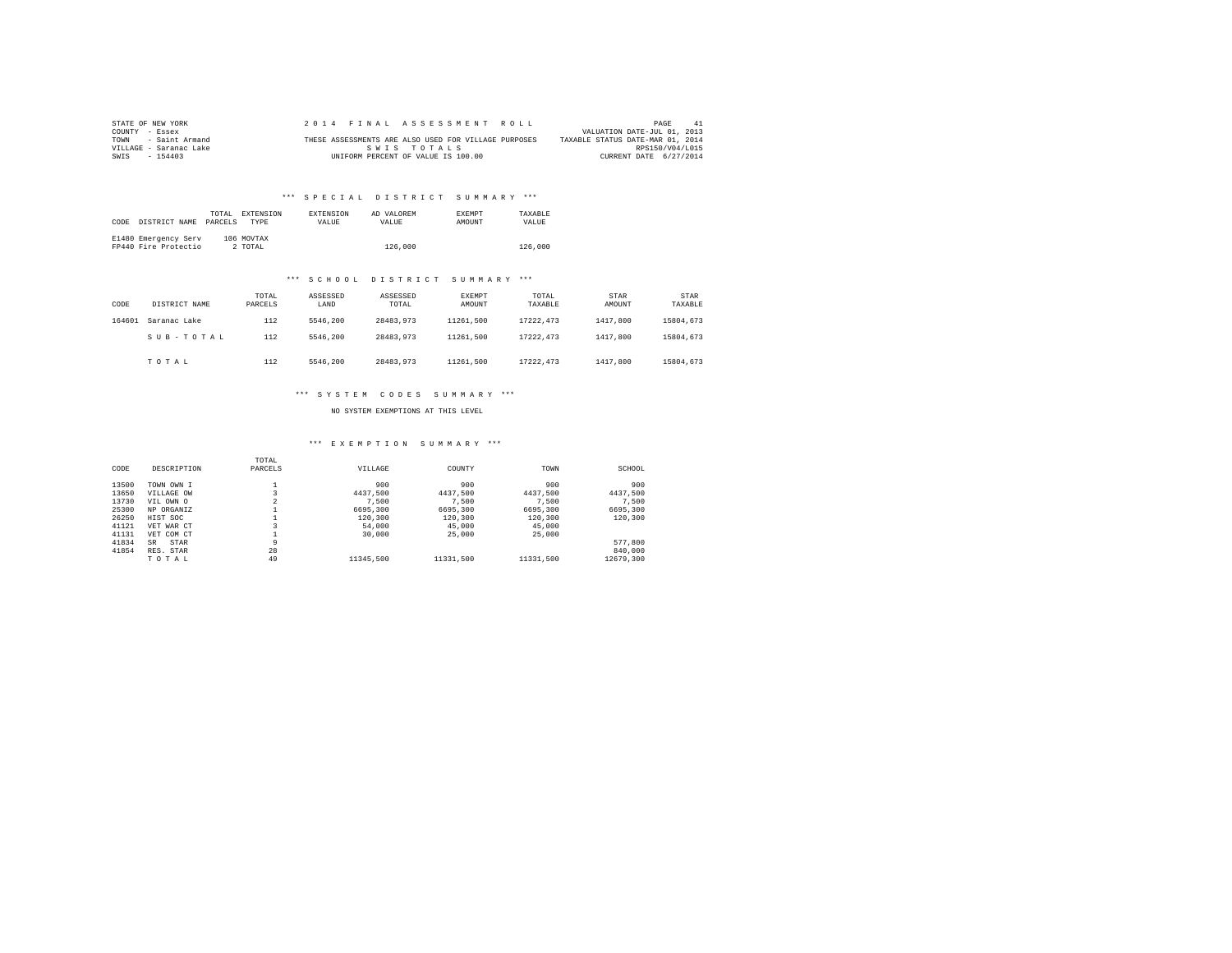| STATE OF NEW YORK      |  | 2014 FINAL ASSESSMENT ROLL                           |                                  | PAGE                        | -41 |
|------------------------|--|------------------------------------------------------|----------------------------------|-----------------------------|-----|
| COUNTY - Essex         |  |                                                      |                                  | VALUATION DATE-JUL 01, 2013 |     |
| TOWN - Saint Armand    |  | THESE ASSESSMENTS ARE ALSO USED FOR VILLAGE PURPOSES | TAXABLE STATUS DATE-MAR 01, 2014 |                             |     |
| VILLAGE - Saranac Lake |  | SWIS TOTALS                                          |                                  | RPS150/V04/L015             |     |
| SWIS - 154403          |  | UNIFORM PERCENT OF VALUE IS 100.00                   |                                  | CURRENT DATE 6/27/2014      |     |

## \*\*\* S P E C I A L D I S T R I C T S U M M A R Y \*\*\*

| CODE | DISTRICT NAME                                | TOTAL.<br>PARCELS | <b>EXTENSION</b><br><b>TYPE</b> | <b>EXTENSION</b><br><b>VALUE</b> | AD VALOREM<br>VALUE. | <b>EXEMPT</b><br>AMOUNT | TAXARLE<br>VALUE |  |
|------|----------------------------------------------|-------------------|---------------------------------|----------------------------------|----------------------|-------------------------|------------------|--|
|      | E1480 Emergency Serv<br>FP440 Fire Protectio |                   | 106 MOVTAX<br>2 TOTAL           |                                  | 126,000              |                         | 126,000          |  |

### \*\*\* S C H O O L D I S T R I C T S U M M A R Y \*\*\*

| CODE   | DISTRICT NAME | TOTAL<br>PARCELS | ASSESSED<br>LAND | ASSESSED<br>TOTAL | EXEMPT<br>AMOUNT | TOTAL<br>TAXABLE | STAR<br>AMOUNT | STAR<br>TAXABLE |
|--------|---------------|------------------|------------------|-------------------|------------------|------------------|----------------|-----------------|
| 164601 | Saranac Lake  | 112              | 5546.200         | 28483.973         | 11261.500        | 17222.473        | 1417,800       | 15804.673       |
|        | SUB-TOTAL     | 112              | 5546.200         | 28483.973         | 11261.500        | 17222.473        | 1417,800       | 15804.673       |
|        | TOTAL         | 112              | 5546.200         | 28483.973         | 11261.500        | 17222.473        | 1417,800       | 15804.673       |

### \*\*\* S Y S T E M C O D E S S U M M A R Y \*\*\*

NO SYSTEM EXEMPTIONS AT THIS LEVEL

### \*\*\* E X E M P T I O N S U M M A R Y \*\*\*

| CODE  | DESCRIPTION | TOTAL<br>PARCELS | VILLAGE   | COUNTY    | TOWN      | SCHOOL    |
|-------|-------------|------------------|-----------|-----------|-----------|-----------|
| 13500 | TOWN OWN I  |                  | 900       | 900       | 900       | 900       |
| 13650 | VILLAGE OW  |                  | 4437.500  | 4437.500  | 4437.500  | 4437.500  |
| 13730 | VIL OWN O   | $\overline{a}$   | 7.500     | 7.500     | 7.500     | 7.500     |
| 25300 | NP ORGANIZ  |                  | 6695,300  | 6695,300  | 6695,300  | 6695,300  |
| 26250 | HIST SOC    |                  | 120,300   | 120,300   | 120,300   | 120,300   |
| 41121 | VET WAR CT  |                  | 54,000    | 45,000    | 45,000    |           |
| 41131 | VET COM CT  |                  | 30,000    | 25,000    | 25,000    |           |
| 41834 | STAR<br>SR  | 9                |           |           |           | 577,800   |
| 41854 | RES. STAR   | 28               |           |           |           | 840,000   |
|       | TOTAL       | 49               | 11345,500 | 11331.500 | 11331,500 | 12679.300 |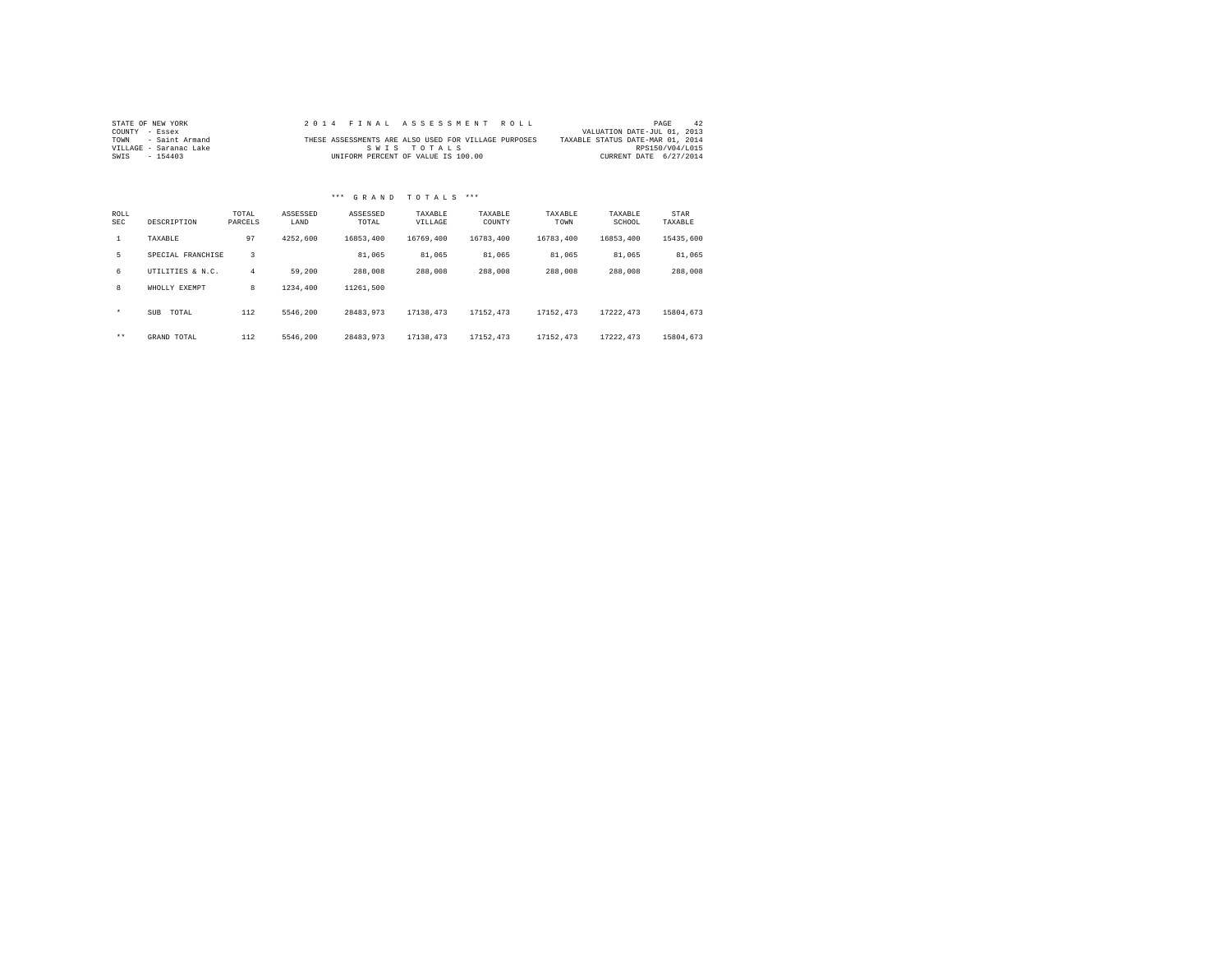| STATE OF NEW YORK      |  | 2014 FINAL ASSESSMENT ROLL                           |                                  | PAGE                        | 42 |
|------------------------|--|------------------------------------------------------|----------------------------------|-----------------------------|----|
| COUNTY - Essex         |  |                                                      |                                  | VALUATION DATE-JUL 01, 2013 |    |
| TOWN - Saint Armand    |  | THESE ASSESSMENTS ARE ALSO USED FOR VILLAGE PURPOSES | TAXABLE STATUS DATE-MAR 01, 2014 |                             |    |
| VILLAGE - Saranac Lake |  | SWIS TOTALS                                          |                                  | RPS150/V04/L015             |    |
| SWIS - 154403          |  | UNIFORM PERCENT OF VALUE IS 100.00                   |                                  | CURRENT DATE 6/27/2014      |    |

# \*\*\* G R A N D T O T A L S \*\*\*

| ROLL<br><b>SEC</b> | DESCRIPTION       | TOTAL<br>PARCELS | ASSESSED<br>LAND | ASSESSED<br>TOTAL | TAXABLE<br>VILLAGE | TAXABLE<br>COUNTY | TAXABLE<br>TOWN | TAXABLE<br>SCHOOL | STAR<br>TAXABLE |
|--------------------|-------------------|------------------|------------------|-------------------|--------------------|-------------------|-----------------|-------------------|-----------------|
| $\mathbf{1}$       | TAXABLE           | 97               | 4252.600         | 16853.400         | 16769,400          | 16783,400         | 16783.400       | 16853.400         | 15435,600       |
| 5.                 | SPECIAL FRANCHISE | 3                |                  | 81,065            | 81,065             | 81,065            | 81.065          | 81,065            | 81,065          |
| 6                  | UTILITIES & N.C.  | 4                | 59,200           | 288,008           | 288,008            | 288,008           | 288,008         | 288,008           | 288,008         |
| 8                  | WHOLLY EXEMPT     | 8                | 1234,400         | 11261.500         |                    |                   |                 |                   |                 |
| $\star$            | TOTAL<br>SUB      | 112              | 5546.200         | 28483.973         | 17138.473          | 17152.473         | 17152.473       | 17222.473         | 15804.673       |
| $***$              | GRAND TOTAL       | 112              | 5546.200         | 28483.973         | 17138.473          | 17152.473         | 17152.473       | 17222.473         | 15804,673       |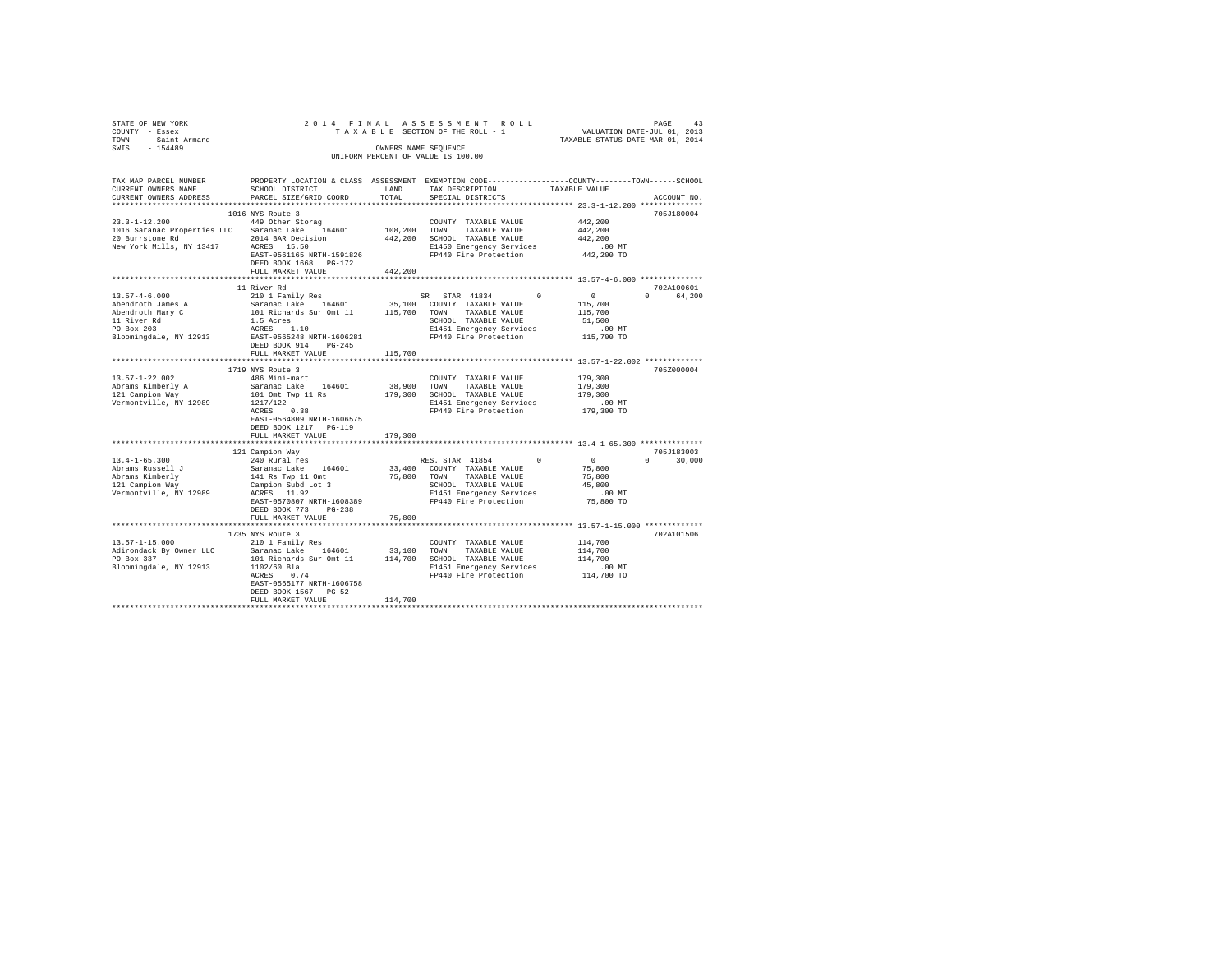| STATE OF NEW YORK<br>COUNTY - Essex                                                                                                                                                                                               |                                                                                                 |                          | PAGE 43 PAGE 43 PAGE 42 PAGE 42 PAGE 42 PAGE 42 PAGE 45 PAGE 42 PAGE 42 PAGE 42 PAGE 42 PAGE 42 PAGE 42 PAGE 42 PAGE 42 PAGE 42 PAGE 42 PAGE 42 PAGE 42 PAGE 42 PAGE 42 PAGE 42 PAGE 42 PAGE 42 PAGE 42 PAGE 42 PAGE 42 PAGE 4 |                                        |               |
|-----------------------------------------------------------------------------------------------------------------------------------------------------------------------------------------------------------------------------------|-------------------------------------------------------------------------------------------------|--------------------------|--------------------------------------------------------------------------------------------------------------------------------------------------------------------------------------------------------------------------------|----------------------------------------|---------------|
| TOWN - Saint Armand                                                                                                                                                                                                               |                                                                                                 |                          |                                                                                                                                                                                                                                |                                        |               |
| SWIS - 154489                                                                                                                                                                                                                     |                                                                                                 |                          | OWNERS NAME SEOUENCE                                                                                                                                                                                                           |                                        |               |
|                                                                                                                                                                                                                                   |                                                                                                 |                          | UNIFORM PERCENT OF VALUE IS 100.00                                                                                                                                                                                             |                                        |               |
| TAX MAP PARCEL NUMBER                                                                                                                                                                                                             | PROPERTY LOCATION & CLASS ASSESSMENT EXEMPTION CODE---------------COUNTY-------TOWN------SCHOOL |                          |                                                                                                                                                                                                                                |                                        |               |
| CURRENT OWNERS NAME                                                                                                                                                                                                               | SCHOOL DISTRICT                                                                                 | LAND                     | TAX DESCRIPTION                                                                                                                                                                                                                | TAXABLE VALUE                          |               |
| CURRENT OWNERS ADDRESS                                                                                                                                                                                                            | PARCEL SIZE/GRID COORD                                                                          | TOTAL                    | SPECIAL DISTRICTS                                                                                                                                                                                                              |                                        | ACCOUNT NO.   |
|                                                                                                                                                                                                                                   |                                                                                                 |                          |                                                                                                                                                                                                                                |                                        |               |
| 23.3-1-12.200 449 Other Storag                                                                                                                                                                                                    | 1016 NYS Route 3                                                                                |                          |                                                                                                                                                                                                                                |                                        | 705J180004    |
|                                                                                                                                                                                                                                   |                                                                                                 |                          | COUNTY TAXABLE VALUE                                                                                                                                                                                                           | 442,200<br>442,200                     |               |
| 23.3-1-12.200<br>1016 Saranac Properties LLC Saranac Lake 164601 108,200 TOWN TAXABLE VALUE<br>20 Burrstone Rd  2014 BAR Decision 442,200 SCHOOL TAXABLE VALUE<br>20 Burrstone Rd  2014 BAR Decision 1442,200 SCHOOL Reargency Se |                                                                                                 |                          |                                                                                                                                                                                                                                | 442.200                                |               |
| New York Mills, NY 13417 ACRES 15.50                                                                                                                                                                                              |                                                                                                 |                          | E1450 Emergency Services                                                                                                                                                                                                       |                                        |               |
|                                                                                                                                                                                                                                   | EAST-0561165 NRTH-1591826 FP440 Fire Protection                                                 |                          |                                                                                                                                                                                                                                | 00 MT.<br>442,200 TO                   |               |
|                                                                                                                                                                                                                                   | DEED BOOK 1668 PG-172                                                                           |                          |                                                                                                                                                                                                                                |                                        |               |
|                                                                                                                                                                                                                                   | FULL MARKET VALUE                                                                               | 442,200                  |                                                                                                                                                                                                                                |                                        |               |
|                                                                                                                                                                                                                                   |                                                                                                 |                          | ******************************* 13.57-4-6.000 **************                                                                                                                                                                   |                                        |               |
|                                                                                                                                                                                                                                   | 11 River Rd                                                                                     |                          |                                                                                                                                                                                                                                |                                        | 702A100601    |
| $13.57 - 4 - 6.000$                                                                                                                                                                                                               | 210 1 Family Res                                                                                |                          | SR STAR 41834 0                                                                                                                                                                                                                | $\sim$ 0                               | 0 64.200      |
| Abendroth James A                                                                                                                                                                                                                 |                                                                                                 |                          | 35,100 COUNTY TAXABLE VALUE 115,700                                                                                                                                                                                            |                                        |               |
|                                                                                                                                                                                                                                   |                                                                                                 |                          |                                                                                                                                                                                                                                |                                        |               |
| Abendroth Mary C<br>11 River Rd<br>PO Box 203                                                                                                                                                                                     |                                                                                                 |                          |                                                                                                                                                                                                                                |                                        |               |
|                                                                                                                                                                                                                                   |                                                                                                 |                          | E1451 Emergency Services .00 MT<br>FP440 Fire Protection 115,700 TO                                                                                                                                                            |                                        |               |
| Bloomingdale, NY 12913 EAST-0565248 NRTH-1606281                                                                                                                                                                                  | DEED BOOK 914 PG-245                                                                            |                          |                                                                                                                                                                                                                                |                                        |               |
|                                                                                                                                                                                                                                   | FULL MARKET VALUE                                                                               | 115,700                  |                                                                                                                                                                                                                                |                                        |               |
|                                                                                                                                                                                                                                   | ***************************                                                                     |                          | ******************************** 13.57-1-22.002 **************                                                                                                                                                                 |                                        |               |
|                                                                                                                                                                                                                                   | 1719 NYS Route 3                                                                                |                          |                                                                                                                                                                                                                                |                                        | 705Z000004    |
| $13.57 - 1 - 22.002$                                                                                                                                                                                                              | 486 Mini-mart                                                                                   |                          | COUNTY TAXABLE VALUE                                                                                                                                                                                                           | 179,300                                |               |
|                                                                                                                                                                                                                                   | Saranac Lake 164601                                                                             |                          | 38,900 TOWN TAXABLE VALUE                                                                                                                                                                                                      | 179,300                                |               |
| Abrams Kimberly A<br>121 Campion Way<br>Warmantiil                                                                                                                                                                                | 101 Omt Twp 11 Rs                                                                               |                          | 179,300 SCHOOL TAXABLE VALUE                                                                                                                                                                                                   | 179,300                                |               |
| Vermontville, NY 12989                                                                                                                                                                                                            | 1217/122<br>ACRES 0.38                                                                          |                          | E1451 Emergency Services .00 MT<br>FP440 Fire Protection  179,300 TO<br>E1451 Emergency Services<br>FP440 Fire Protection                                                                                                      |                                        |               |
|                                                                                                                                                                                                                                   |                                                                                                 |                          |                                                                                                                                                                                                                                |                                        |               |
|                                                                                                                                                                                                                                   | EAST-0564809 NRTH-1606575                                                                       |                          |                                                                                                                                                                                                                                |                                        |               |
|                                                                                                                                                                                                                                   | DEED BOOK 1217 PG-119                                                                           |                          |                                                                                                                                                                                                                                |                                        |               |
|                                                                                                                                                                                                                                   | FULL MARKET VALUE<br>************************                                                   | 179,300<br>************* | ************************************ 13.4-1-65.300 **************                                                                                                                                                              |                                        |               |
|                                                                                                                                                                                                                                   | 121 Campion Way                                                                                 |                          |                                                                                                                                                                                                                                |                                        | 705J183003    |
| $13.4 - 1 - 65.300$                                                                                                                                                                                                               | 240 Rural res                                                                                   |                          | RES. STAR 41854                                                                                                                                                                                                                | 0                                      | $0 \t 30.000$ |
|                                                                                                                                                                                                                                   |                                                                                                 |                          |                                                                                                                                                                                                                                | $\begin{array}{c}0\\75,800\end{array}$ |               |
|                                                                                                                                                                                                                                   |                                                                                                 |                          |                                                                                                                                                                                                                                | 75,800                                 |               |
| Abrams Russell J<br>Abrams Kimberly<br>121 Campion Way                                                                                                                                                                            |                                                                                                 |                          |                                                                                                                                                                                                                                | 45,800                                 |               |
| Vermontville, NY 12989                                                                                                                                                                                                            |                                                                                                 |                          | E1451 Emergency Services<br>FP440 Fire Protection                                                                                                                                                                              | $.00$ MT                               |               |
|                                                                                                                                                                                                                                   | EAST-0570807 NRTH-1608389                                                                       |                          |                                                                                                                                                                                                                                | 75,800 TO                              |               |
|                                                                                                                                                                                                                                   | DEED BOOK 773 PG-238                                                                            |                          |                                                                                                                                                                                                                                |                                        |               |
|                                                                                                                                                                                                                                   | FULL MARKET VALUE                                                                               | 75,800                   |                                                                                                                                                                                                                                |                                        |               |
|                                                                                                                                                                                                                                   |                                                                                                 |                          | ********************************** 13.57-1-15.000 **************                                                                                                                                                               |                                        |               |
|                                                                                                                                                                                                                                   |                                                                                                 |                          |                                                                                                                                                                                                                                |                                        | 702A101506    |
|                                                                                                                                                                                                                                   |                                                                                                 |                          | $\begin{tabular}{lllllll} \textbf{COUNTY} & \textbf{TAXABLE} & \textbf{VALUE} & & & 114 \, , \textbf{700} \\ \end{tabular}$                                                                                                    | 114,700                                |               |
|                                                                                                                                                                                                                                   |                                                                                                 |                          |                                                                                                                                                                                                                                | 114,700                                |               |
| Bloomingdale, NY 12913 1102/60 Bla                                                                                                                                                                                                |                                                                                                 |                          |                                                                                                                                                                                                                                |                                        |               |
|                                                                                                                                                                                                                                   | ACRES 0.74                                                                                      |                          |                                                                                                                                                                                                                                |                                        |               |
|                                                                                                                                                                                                                                   | EAST-0565177 NRTH-1606758                                                                       |                          |                                                                                                                                                                                                                                |                                        |               |
|                                                                                                                                                                                                                                   | DEED BOOK 1567 PG-52                                                                            |                          |                                                                                                                                                                                                                                |                                        |               |
|                                                                                                                                                                                                                                   | FULL MARKET VALUE                                                                               | 114,700                  |                                                                                                                                                                                                                                |                                        |               |
|                                                                                                                                                                                                                                   |                                                                                                 |                          |                                                                                                                                                                                                                                |                                        |               |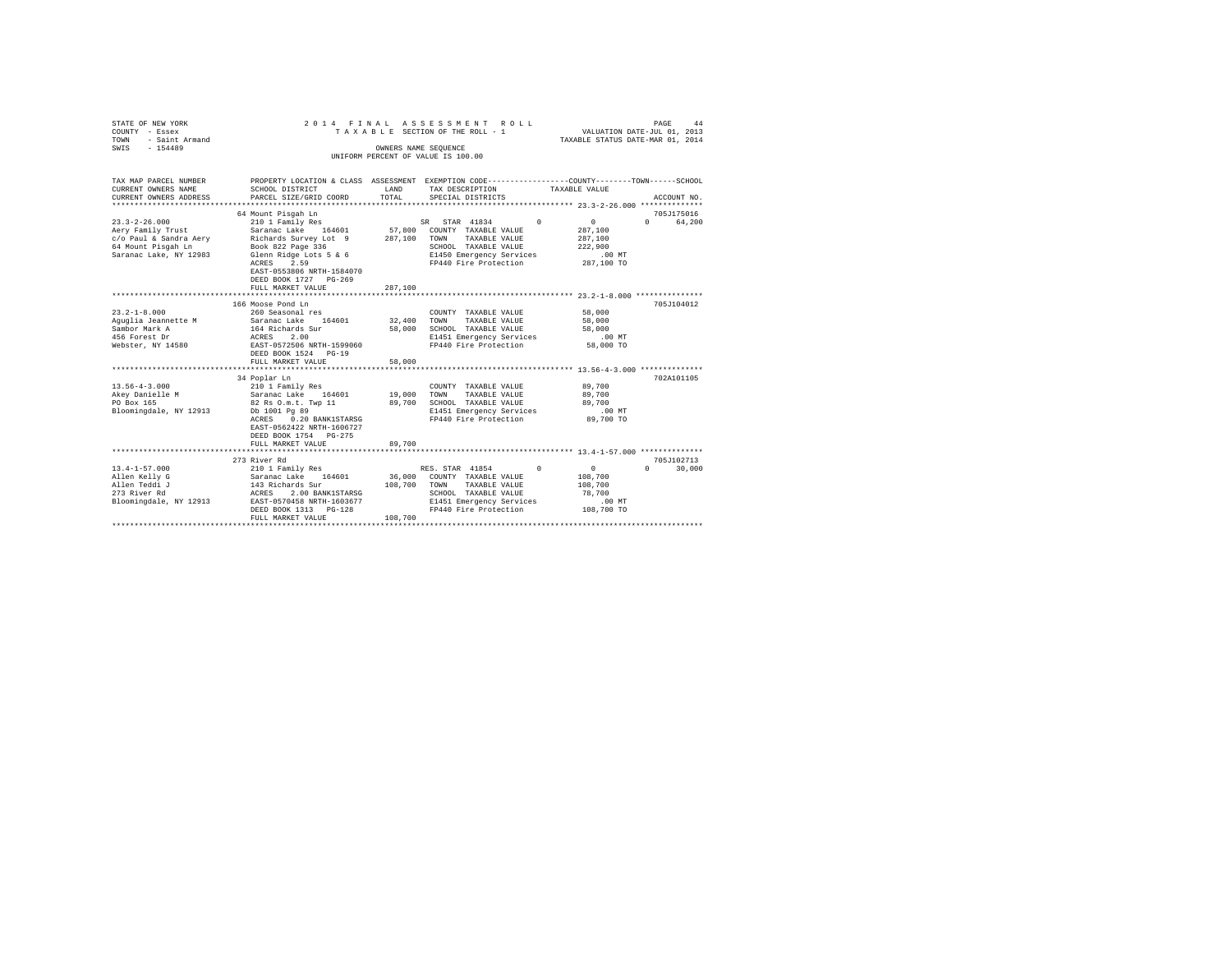| STATE OF NEW YORK<br>COUNTY - Essex<br>- Saint Armand<br>TOWN<br>$-154489$<br>SWIS                                 | 2014 FINAL                                                                                                                                                                                                  | OWNERS NAME SEOUENCE         | ASSESSMENT ROLL<br>TAXABLE SECTION OF THE ROLL - 1<br>UNIFORM PERCENT OF VALUE IS 100.00                                                           |            | VALUATION DATE-JUL 01, 2013<br>TAXABLE STATUS DATE-MAR 01, 2014           | PAGE<br>44                           |
|--------------------------------------------------------------------------------------------------------------------|-------------------------------------------------------------------------------------------------------------------------------------------------------------------------------------------------------------|------------------------------|----------------------------------------------------------------------------------------------------------------------------------------------------|------------|---------------------------------------------------------------------------|--------------------------------------|
|                                                                                                                    |                                                                                                                                                                                                             |                              |                                                                                                                                                    |            |                                                                           |                                      |
| TAX MAP PARCEL NUMBER<br>CURRENT OWNERS NAME<br>CURRENT OWNERS ADDRESS                                             | PROPERTY LOCATION & CLASS ASSESSMENT EXEMPTION CODE---------------COUNTY-------TOWN------SCHOOL<br>SCHOOL DISTRICT<br>PARCEL SIZE/GRID COORD                                                                | LAND<br>TOTAL                | TAX DESCRIPTION<br>SPECIAL DISTRICTS                                                                                                               |            | TAXABLE VALUE                                                             | ACCOUNT NO.                          |
|                                                                                                                    | 64 Mount Pisqah Ln                                                                                                                                                                                          |                              |                                                                                                                                                    |            |                                                                           | 705J175016                           |
| $23.3 - 2 - 26.000$<br>Aery Family Trust<br>c/o Paul & Sandra Aery<br>64 Mount Pisgah Ln<br>Saranac Lake, NY 12983 | 210 1 Family Res<br>Saranac Lake 164601<br>Richards Survey Lot 9<br>Book 822 Page 336<br>Glenn Ridge Lots 5 & 6<br>2.59<br>ACRES<br>EAST-0553806 NRTH-1584070<br>DEED BOOK 1727 PG-269<br>FULL MARKET VALUE | 287,100<br>287,100           | SR STAR 41834<br>57,800 COUNTY TAXABLE VALUE<br>TAXABLE VALUE<br>TOWN<br>SCHOOL TAXABLE VALUE<br>E1450 Emergency Services<br>FP440 Fire Protection | $^{\circ}$ | $\overline{0}$<br>287,100<br>287,100<br>222,900<br>$.00$ MT<br>287,100 TO | 64,200<br>$\Omega$                   |
|                                                                                                                    | 166 Moose Pond Ln                                                                                                                                                                                           |                              |                                                                                                                                                    |            |                                                                           | 705J104012                           |
| $23.2 - 1 - 8.000$<br>Aquqlia Jeannette M<br>Sambor Mark A<br>456 Forest Dr<br>Webster, NY 14580                   | 260 Seasonal res<br>Saranac Lake 164601<br>164 Richards Sur<br>2.00<br>ACRES<br>EAST-0572506 NRTH-1599060<br>DEED BOOK 1524 PG-19<br>FULL MARKET VALUE                                                      | 32,400<br>58,000<br>58,000   | COUNTY TAXABLE VALUE<br>TOWN<br>TAXABLE VALUE<br>SCHOOL TAXABLE VALUE<br>E1451 Emergency Services<br>FP440 Fire Protection                         |            | 58,000<br>58,000<br>58,000<br>$.00$ MT<br>58,000 TO                       |                                      |
|                                                                                                                    | 34 Poplar Ln                                                                                                                                                                                                |                              |                                                                                                                                                    |            |                                                                           | 702A101105                           |
| $13.56 - 4 - 3.000$<br>Akey Danielle M<br>PO Box 165<br>Bloomingdale, NY 12913                                     | 210 1 Family Res<br>Saranac Lake 164601<br>82 Rs O.m.t. Twp 11<br>Db 1001 Pg 89<br>ACRES<br>0.20 BANK1STARSG<br>EAST-0562422 NRTH-1606727<br>DEED BOOK 1754 PG-275                                          | 19,000<br>89,700             | COUNTY TAXABLE VALUE<br>TOWN<br>TAXABLE VALUE<br>SCHOOL TAXABLE VALUE<br>E1451 Emergency Services<br>FP440 Fire Protection                         |            | 89,700<br>89,700<br>89,700<br>.00 MT<br>89,700 TO                         |                                      |
|                                                                                                                    | FULL MARKET VALUE                                                                                                                                                                                           | 89,700                       |                                                                                                                                                    |            |                                                                           |                                      |
| $13.4 - 1 - 57.000$<br>Allen Kelly G<br>Allen Teddi J<br>273 River Rd<br>Bloomingdale, NY 12913                    | 273 River Rd<br>210 1 Family Res<br>Saranac Lake 164601<br>143 Richards Sur<br>ACRES<br>2.00 BANK1STARSG<br>EAST-0570458 NRTH-1603677<br>DEED BOOK 1313 PG-128<br>FULL MARKET VALUE<br>                     | 36,000<br>108,700<br>108,700 | RES. STAR 41854<br>COUNTY TAXABLE VALUE<br>TOWN<br>TAXABLE VALUE<br>SCHOOL TAXABLE VALUE<br>E1451 Emergency Services<br>FP440 Fire Protection      | $\Omega$   | $\circ$<br>108,700<br>108,700<br>78,700<br>$.00$ MT<br>108,700 TO         | 705J102713<br>30,000<br>$\mathbf{r}$ |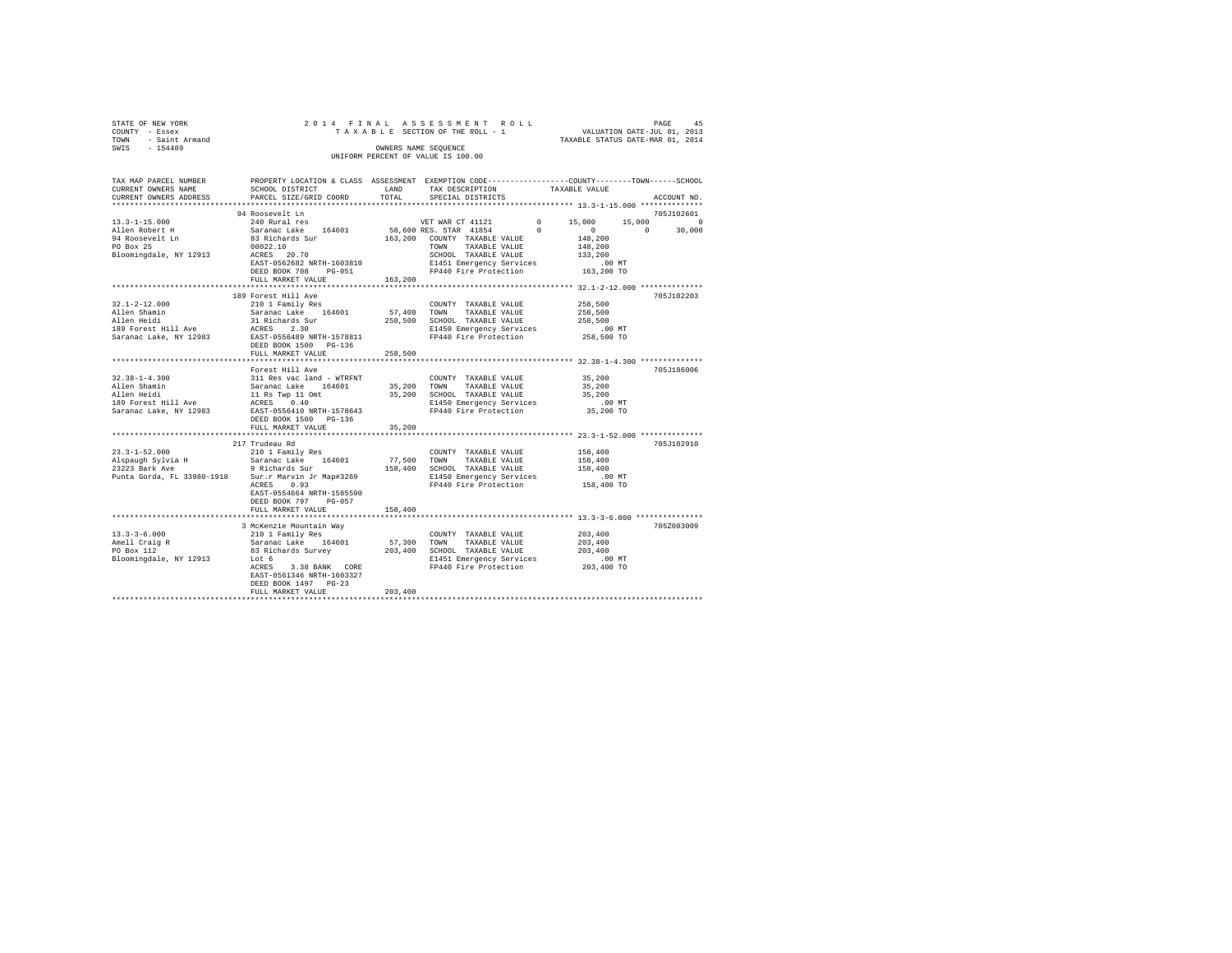| STATE OF NEW YORK   |  |  | 2014 FINAL ASSESSMENT ROLL         |  |  |                                  | PAGE | 45 |
|---------------------|--|--|------------------------------------|--|--|----------------------------------|------|----|
| COUNTY - Essex      |  |  | TAXABLE SECTION OF THE ROLL - 1    |  |  | VALUATION DATE-JUL 01, 2013      |      |    |
| TOWN - Saint Armand |  |  |                                    |  |  | TAXABLE STATUS DATE-MAR 01, 2014 |      |    |
| SWTS<br>$-154489$   |  |  | OWNERS NAME SEOUENCE               |  |  |                                  |      |    |
|                     |  |  | UNIFORM PERCENT OF VALUE IS 100.00 |  |  |                                  |      |    |
|                     |  |  |                                    |  |  |                                  |      |    |

| TAX MAP PARCEL NUMBER                         | PROPERTY LOCATION & CLASS ASSESSMENT EXEMPTION CODE---------------COUNTY-------TOWN------SCHOOL |         |                                                                                                                                                                                       |                                                  |             |
|-----------------------------------------------|-------------------------------------------------------------------------------------------------|---------|---------------------------------------------------------------------------------------------------------------------------------------------------------------------------------------|--------------------------------------------------|-------------|
| CURRENT OWNERS NAME                           | SCHOOL DISTRICT                                                                                 | LAND    | TAX DESCRIPTION                                                                                                                                                                       | TAXABLE VALUE                                    |             |
| CURRENT OWNERS ADDRESS PARCEL SIZE/GRID COORD |                                                                                                 | TOTAL   | SPECIAL DISTRICTS                                                                                                                                                                     |                                                  | ACCOUNT NO. |
|                                               |                                                                                                 |         |                                                                                                                                                                                       | ******************* 13.3-1-15.000 ************** |             |
|                                               | 94 Roosevelt Ln                                                                                 |         |                                                                                                                                                                                       |                                                  | 705J102601  |
|                                               |                                                                                                 |         |                                                                                                                                                                                       |                                                  |             |
|                                               |                                                                                                 |         |                                                                                                                                                                                       |                                                  |             |
|                                               |                                                                                                 |         |                                                                                                                                                                                       |                                                  |             |
|                                               |                                                                                                 |         |                                                                                                                                                                                       |                                                  |             |
|                                               |                                                                                                 |         |                                                                                                                                                                                       |                                                  |             |
|                                               |                                                                                                 |         |                                                                                                                                                                                       |                                                  |             |
|                                               |                                                                                                 |         |                                                                                                                                                                                       |                                                  |             |
|                                               |                                                                                                 |         |                                                                                                                                                                                       |                                                  |             |
|                                               | **************************                                                                      |         |                                                                                                                                                                                       |                                                  |             |
|                                               | 189 Forest Hill Ave                                                                             |         |                                                                                                                                                                                       |                                                  | 705J102203  |
|                                               |                                                                                                 |         |                                                                                                                                                                                       |                                                  |             |
|                                               |                                                                                                 |         |                                                                                                                                                                                       | 258,500                                          |             |
|                                               |                                                                                                 |         |                                                                                                                                                                                       |                                                  |             |
|                                               |                                                                                                 |         |                                                                                                                                                                                       |                                                  |             |
|                                               |                                                                                                 |         |                                                                                                                                                                                       |                                                  |             |
|                                               |                                                                                                 |         |                                                                                                                                                                                       |                                                  |             |
|                                               |                                                                                                 |         |                                                                                                                                                                                       |                                                  |             |
|                                               |                                                                                                 |         |                                                                                                                                                                                       |                                                  |             |
|                                               |                                                                                                 |         | **************************** 32.38-1-4.300 ***************                                                                                                                            |                                                  |             |
|                                               | Forest Hill Ave                                                                                 |         |                                                                                                                                                                                       |                                                  | 705J186006  |
|                                               |                                                                                                 |         |                                                                                                                                                                                       |                                                  |             |
|                                               |                                                                                                 |         |                                                                                                                                                                                       |                                                  |             |
|                                               |                                                                                                 |         | COUNTY TAXABLE VALUE 55, 200<br>35, 200 TOWN TAXABLE VALUE 35, 200<br>35, 200 SCHOOL TAXABLE VALUE 31, 200<br>21450 Energency Services 35, 200 TP<br>PP440 Fire Protection 35, 200 TO |                                                  |             |
|                                               |                                                                                                 |         |                                                                                                                                                                                       |                                                  |             |
|                                               |                                                                                                 |         |                                                                                                                                                                                       |                                                  |             |
|                                               |                                                                                                 |         |                                                                                                                                                                                       |                                                  |             |
|                                               | FULL MARKET VALUE                                                                               | 35,200  |                                                                                                                                                                                       |                                                  |             |
|                                               | ********************************                                                                |         |                                                                                                                                                                                       |                                                  |             |
|                                               | 217 Trudeau Rd                                                                                  |         |                                                                                                                                                                                       |                                                  | 705J102910  |
|                                               |                                                                                                 |         |                                                                                                                                                                                       |                                                  |             |
|                                               |                                                                                                 |         |                                                                                                                                                                                       |                                                  |             |
|                                               |                                                                                                 |         |                                                                                                                                                                                       |                                                  |             |
|                                               |                                                                                                 |         |                                                                                                                                                                                       |                                                  |             |
|                                               |                                                                                                 |         |                                                                                                                                                                                       |                                                  |             |
|                                               | EAST-0554664 NRTH-1585590                                                                       |         |                                                                                                                                                                                       |                                                  |             |
|                                               | DEED BOOK 797 PG-057                                                                            |         |                                                                                                                                                                                       |                                                  |             |
|                                               |                                                                                                 |         |                                                                                                                                                                                       |                                                  |             |
|                                               | FULL MARKET VALUE                                                                               | 158,400 |                                                                                                                                                                                       |                                                  |             |
|                                               |                                                                                                 |         |                                                                                                                                                                                       |                                                  |             |
|                                               | 3 McKenzie Mountain Way                                                                         |         |                                                                                                                                                                                       |                                                  | 705Z003009  |
|                                               |                                                                                                 |         |                                                                                                                                                                                       |                                                  |             |
|                                               |                                                                                                 |         |                                                                                                                                                                                       |                                                  |             |
|                                               |                                                                                                 |         |                                                                                                                                                                                       |                                                  |             |
|                                               |                                                                                                 |         |                                                                                                                                                                                       |                                                  |             |
|                                               |                                                                                                 |         |                                                                                                                                                                                       |                                                  |             |
|                                               | EAST-0561346 NRTH-1603327                                                                       |         |                                                                                                                                                                                       |                                                  |             |
|                                               | DEED BOOK 1497 PG-23                                                                            |         |                                                                                                                                                                                       |                                                  |             |
|                                               | FULL MARKET VALUE                                                                               | 203,400 |                                                                                                                                                                                       |                                                  |             |
|                                               |                                                                                                 |         |                                                                                                                                                                                       |                                                  |             |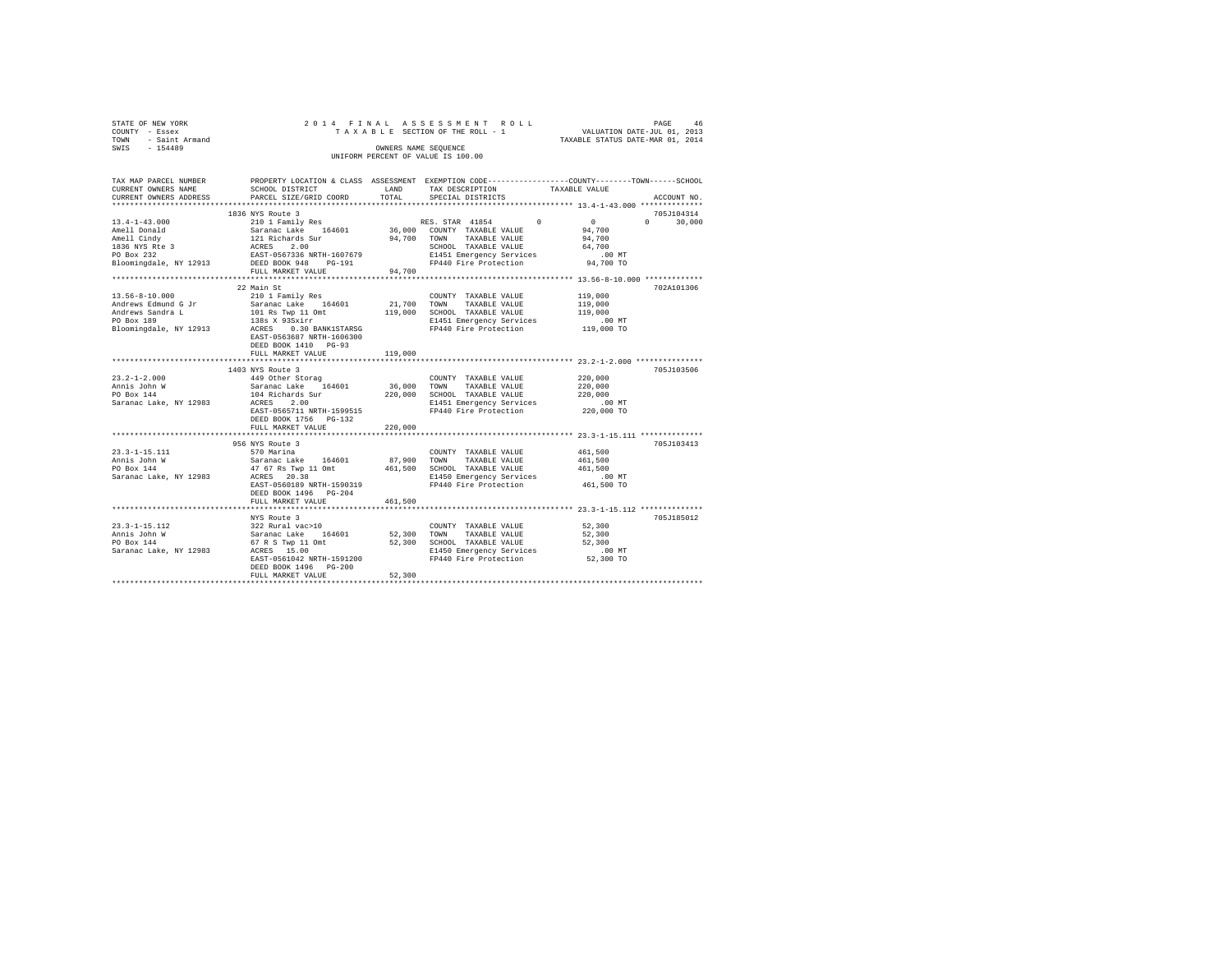| STATE OF NEW YORK   | 2014 FINAL ASSESSMENT ROLL         | 46<br>PAGE                       |
|---------------------|------------------------------------|----------------------------------|
| COUNTY - Essex      | TAXABLE SECTION OF THE ROLL - 1    | VALUATION DATE-JUL 01, 2013      |
| TOWN - Saint Armand |                                    | TAXABLE STATUS DATE-MAR 01, 2014 |
| SWIS<br>$-154489$   | OWNERS NAME SEOUENCE               |                                  |
|                     | UNIFORM PERCENT OF VALUE IS 100.00 |                                  |
|                     |                                    |                                  |

| TAX MAP PARCEL NUMBER              |                                                                                                                                                                                                                                                  |         |                                                                     | PROPERTY LOCATION & CLASS ASSESSMENT EXEMPTION CODE-----------------COUNTY-------TOWN-----SCHOOL |
|------------------------------------|--------------------------------------------------------------------------------------------------------------------------------------------------------------------------------------------------------------------------------------------------|---------|---------------------------------------------------------------------|--------------------------------------------------------------------------------------------------|
| CURRENT OWNERS NAME                | SCHOOL DISTRICT                                                                                                                                                                                                                                  | LAND    | TAX DESCRIPTION                                                     | TAXABLE VALUE                                                                                    |
|                                    | CURRENT OWNERS ADDRESS PARCEL SIZE/GRID COORD                                                                                                                                                                                                    | TOTAL   | SPECIAL DISTRICTS                                                   | ACCOUNT NO.                                                                                      |
|                                    |                                                                                                                                                                                                                                                  |         |                                                                     |                                                                                                  |
|                                    | 1836 NYS Route 3                                                                                                                                                                                                                                 |         |                                                                     | 705J104314                                                                                       |
|                                    |                                                                                                                                                                                                                                                  |         |                                                                     | $\sim$ 0<br>$\Omega$<br>30,000                                                                   |
|                                    |                                                                                                                                                                                                                                                  |         |                                                                     |                                                                                                  |
|                                    |                                                                                                                                                                                                                                                  |         |                                                                     |                                                                                                  |
|                                    |                                                                                                                                                                                                                                                  |         |                                                                     |                                                                                                  |
|                                    |                                                                                                                                                                                                                                                  |         |                                                                     |                                                                                                  |
|                                    |                                                                                                                                                                                                                                                  |         |                                                                     |                                                                                                  |
|                                    | FULL MARKET VALUE                                                                                                                                                                                                                                | 94,700  |                                                                     |                                                                                                  |
|                                    |                                                                                                                                                                                                                                                  |         |                                                                     |                                                                                                  |
|                                    | 22 Main St                                                                                                                                                                                                                                       |         |                                                                     | 702A101306                                                                                       |
| 13.56-8-10.000                     | 210 1 Family Res                                                                                                                                                                                                                                 |         | COUNTY TAXABLE VALUE                                                | 119,000                                                                                          |
|                                    |                                                                                                                                                                                                                                                  |         |                                                                     |                                                                                                  |
|                                    |                                                                                                                                                                                                                                                  |         |                                                                     |                                                                                                  |
|                                    |                                                                                                                                                                                                                                                  |         |                                                                     |                                                                                                  |
|                                    | Andrews Edmund G Jr (1990)<br>Andrews Edmund G Jr (1990)<br>Andrews Edmund G Jr (1990)<br>Andrews Edmund G Jr (1990)<br>PO Box 189 (1990)<br>PO Box 189 (1990)<br>PO Box 189 (1990)<br>PO Box 189 (1990)<br>PO Box 189 (1990)<br>PO Box 189 (199 |         |                                                                     |                                                                                                  |
|                                    |                                                                                                                                                                                                                                                  |         |                                                                     |                                                                                                  |
|                                    |                                                                                                                                                                                                                                                  |         |                                                                     |                                                                                                  |
|                                    | DEED BOOK 1410 PG-93                                                                                                                                                                                                                             |         |                                                                     |                                                                                                  |
|                                    | FULL MARKET VALUE                                                                                                                                                                                                                                | 119,000 |                                                                     |                                                                                                  |
|                                    |                                                                                                                                                                                                                                                  |         |                                                                     |                                                                                                  |
|                                    | 1403 NYS Route 3                                                                                                                                                                                                                                 |         |                                                                     | 705J103506                                                                                       |
| $23.2 - 1 - 2.000$                 | 449 Other Storag                                                                                                                                                                                                                                 |         | COUNTY TAXABLE VALUE 220,000                                        |                                                                                                  |
|                                    | Annis John W. Saranac Lake 164601<br>PO Box 144 104 104 Richards Sur<br>Saranac Lake, NY 12983 ACRES 2.00<br>EAST-0565711 NRTH-1599515                                                                                                           |         | 36,000 TOWN TAXABLE VALUE<br>220,000 SCHOOL TAXABLE VALUE           | 220,000                                                                                          |
|                                    |                                                                                                                                                                                                                                                  |         |                                                                     | 220,000                                                                                          |
|                                    |                                                                                                                                                                                                                                                  |         | E1451 Emergency Services<br>FP440 Fire Protection                   | $.00$ MT                                                                                         |
|                                    |                                                                                                                                                                                                                                                  |         |                                                                     | $220,000$ TO                                                                                     |
|                                    | DEED BOOK 1756 PG-132                                                                                                                                                                                                                            |         |                                                                     |                                                                                                  |
|                                    | FULL MARKET VALUE                                                                                                                                                                                                                                | 220,000 |                                                                     |                                                                                                  |
|                                    |                                                                                                                                                                                                                                                  |         |                                                                     |                                                                                                  |
|                                    | 956 NYS Route 3                                                                                                                                                                                                                                  |         |                                                                     | 705J103413                                                                                       |
|                                    |                                                                                                                                                                                                                                                  |         |                                                                     | 461,500                                                                                          |
|                                    |                                                                                                                                                                                                                                                  |         |                                                                     |                                                                                                  |
|                                    |                                                                                                                                                                                                                                                  |         |                                                                     |                                                                                                  |
|                                    |                                                                                                                                                                                                                                                  |         |                                                                     |                                                                                                  |
|                                    | EAST-0560189 NRTH-1590319                                                                                                                                                                                                                        |         | FP440 Fire Protection 461,500 TO                                    |                                                                                                  |
|                                    | DEED BOOK 1496    PG-204                                                                                                                                                                                                                         |         |                                                                     |                                                                                                  |
|                                    | FULL MARKET VALUE                                                                                                                                                                                                                                | 461,500 |                                                                     |                                                                                                  |
|                                    |                                                                                                                                                                                                                                                  |         |                                                                     |                                                                                                  |
|                                    | NYS Route 3                                                                                                                                                                                                                                      |         |                                                                     | 705J185012                                                                                       |
| $23.3 - 1 - 15.112$                |                                                                                                                                                                                                                                                  |         | COUNTY TAXABLE VALUE                                                | 52,300                                                                                           |
| Annis John W                       | 122 Rural vacu-1<br>232 Rural vacu-10<br>Saranac Lake 164601 52,300 TOWN<br>67 R S Twp 11 Omt 52,300 SCHOC<br>ACRES 15.00 .                                                                                                                      |         | TAXABLE VALUE                                                       | 52,300                                                                                           |
| PO Box 144                         |                                                                                                                                                                                                                                                  |         | 52,300 SCHOOL TAXABLE VALUE                                         | 52,300                                                                                           |
| Saranac Lake, NY 12983 ACRES 15.00 |                                                                                                                                                                                                                                                  |         |                                                                     |                                                                                                  |
|                                    | ACRES 15.00<br>EAST-0561042 NRTH-1591200                                                                                                                                                                                                         |         | E1450 Emergency Services 6.00 MT<br>FP440 Fire Protection 52,300 TO |                                                                                                  |
|                                    |                                                                                                                                                                                                                                                  |         |                                                                     |                                                                                                  |
|                                    | DEED BOOK 1496 PG-200                                                                                                                                                                                                                            |         |                                                                     |                                                                                                  |
|                                    |                                                                                                                                                                                                                                                  | 52,300  |                                                                     |                                                                                                  |
|                                    |                                                                                                                                                                                                                                                  |         |                                                                     |                                                                                                  |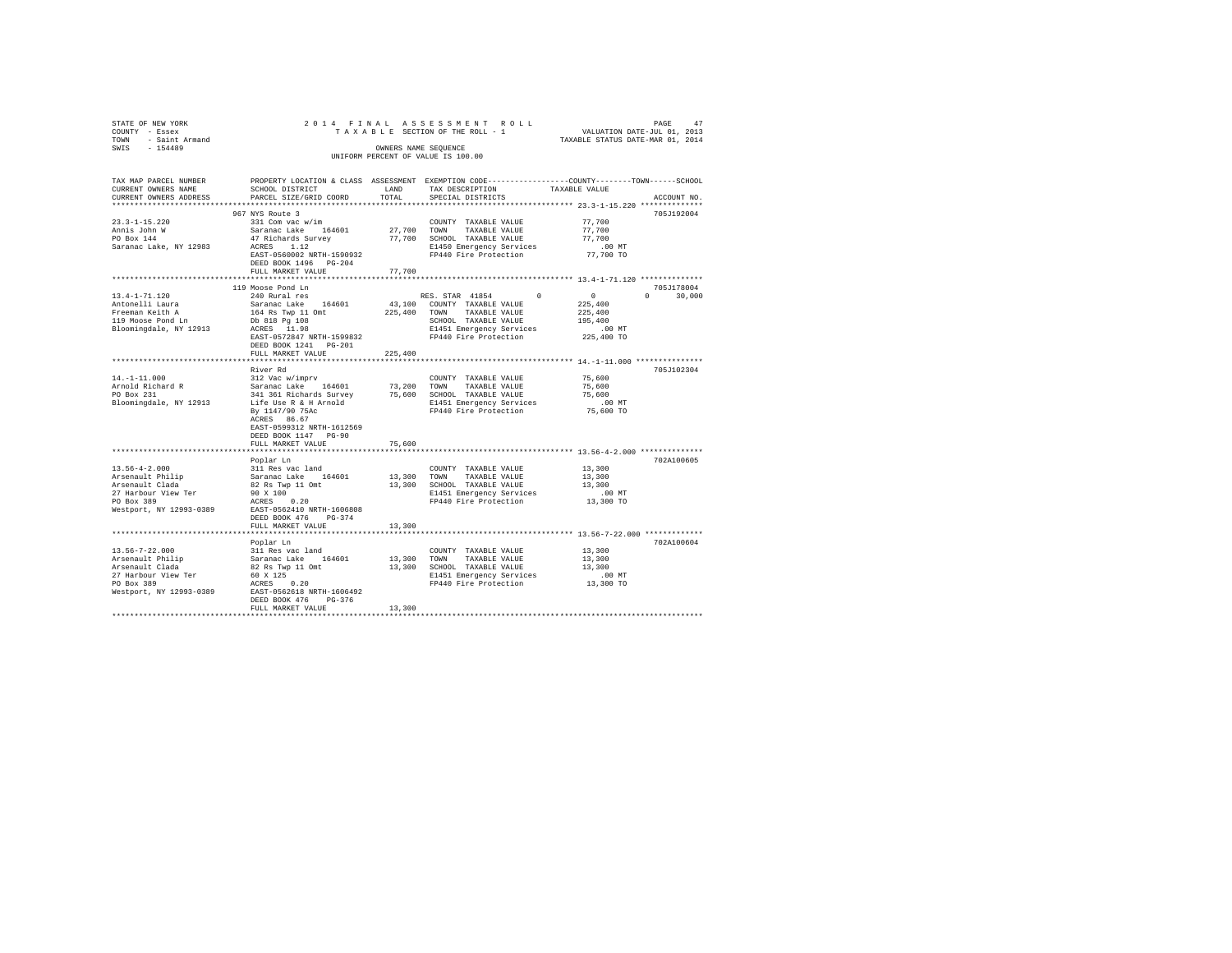| STATE OF NEW YORK<br>COUNTY - Essex               |                                                                                     |             | PAGE 47 PLAN 1 ASSESSMENT ROLL PAGE 47<br>TAXABLE SECTION OF THE ROLL - 1 VALUATION DATE-JUL 01, 2013<br>TAXABLE STATUS DATE-MAR 01, 2014 |                  |                    |
|---------------------------------------------------|-------------------------------------------------------------------------------------|-------------|-------------------------------------------------------------------------------------------------------------------------------------------|------------------|--------------------|
| TOWN - Saint Armand                               |                                                                                     |             |                                                                                                                                           |                  |                    |
| SWIS - 154489                                     |                                                                                     |             | OWNERS NAME SEOUENCE<br>UNIFORM PERCENT OF VALUE IS 100.00                                                                                |                  |                    |
|                                                   |                                                                                     |             |                                                                                                                                           |                  |                    |
| TAX MAP PARCEL NUMBER                             |                                                                                     |             | PROPERTY LOCATION & CLASS ASSESSMENT EXEMPTION CODE---------------COUNTY-------TOWN------SCHOOL                                           |                  |                    |
| CURRENT OWNERS NAME                               | SCHOOL DISTRICT                                                                     | LAND        | TAX DESCRIPTION                                                                                                                           | TAXABLE VALUE    |                    |
| CURRENT OWNERS ADDRESS                            | PARCEL SIZE/GRID COORD                                                              | TOTAL       | SPECIAL DISTRICTS                                                                                                                         |                  | ACCOUNT NO.        |
|                                                   |                                                                                     |             |                                                                                                                                           |                  |                    |
| $23.3 - 1 - 15.220$                               | 967 NYS Route 3<br>331 Com vac w/im                                                 |             | COUNTY TAXABLE VALUE                                                                                                                      | 77.700           | 705J192004         |
|                                                   | Saranac Lake 164601                                                                 |             | 27,700 TOWN TAXABLE VALUE                                                                                                                 | 77.700           |                    |
| Annis John W                                      | 47 Richards Survey                                                                  |             | 77,700 SCHOOL TAXABLE VALUE                                                                                                               | 77,700           |                    |
| Saranac Lake, NY 12983                            | ACRES 1.12                                                                          |             | E1450 Emergency Services                                                                                                                  | $.00$ MT         |                    |
|                                                   | EAST-0560002 NRTH-1590932                                                           |             | FP440 Fire Protection                                                                                                                     | 77,700 TO        |                    |
|                                                   | DEED BOOK 1496 PG-204                                                               |             |                                                                                                                                           |                  |                    |
|                                                   | FULL MARKET VALUE                                                                   | 77,700      |                                                                                                                                           |                  |                    |
|                                                   |                                                                                     |             |                                                                                                                                           |                  |                    |
|                                                   | 119 Moose Pond Ln                                                                   |             |                                                                                                                                           |                  | 705J178004         |
| 13.4-1-71.120                                     | 240 Rural res                                                                       |             | RES. STAR 41854<br>$^{\circ}$                                                                                                             | $\sim$ 0         | $\Omega$<br>30,000 |
| Antonelli Laura                                   | Saranac Lake 164601                                                                 |             | 43,100 COUNTY TAXABLE VALUE                                                                                                               | 225,400          |                    |
| Freeman Keith A                                   | $164$ Rs Twp $11$ Omt                                                               |             | 225,400 TOWN TAXABLE VALUE                                                                                                                | 225,400          |                    |
| 119 Moose Pond Ln                                 |                                                                                     |             | SCHOOL TAXABLE VALUE                                                                                                                      | 195,400          |                    |
| Bloomingdale, NY 12913                            | Db 818 Pg 108<br>ACRES 11.98<br>EAST-0572847 NRTH-1599832<br>$ACRES$ 11.98          |             | E1451 Emergency Services                                                                                                                  | $.00$ MT         |                    |
|                                                   |                                                                                     |             | FP440 Fire Protection                                                                                                                     | 225,400 TO       |                    |
|                                                   | DEED BOOK 1241 PG-201                                                               |             |                                                                                                                                           |                  |                    |
|                                                   | FULL MARKET VALUE                                                                   | 225,400     |                                                                                                                                           |                  |                    |
|                                                   |                                                                                     |             |                                                                                                                                           |                  |                    |
|                                                   | River Rd<br>312 Vac w/imprv                                                         |             |                                                                                                                                           |                  | 705J102304         |
| $14. -1 - 11.000$                                 |                                                                                     |             | COUNTY TAXABLE VALUE                                                                                                                      | 75,600<br>75,600 |                    |
| Arnold Richard R<br>PO Box 231                    | Saranac Lake 164601                                                                 |             | 73,200 TOWN TAXABLE VALUE                                                                                                                 | 75,600           |                    |
| Bloomingdale, NY 12913                            |                                                                                     |             | 341 361 Richards Survey 75,600 SCHOOL TAXABLE VALUE<br>Life Use R & H Arnold B1451 Emergency Services<br>Ry 1147/90 75ac                  | $.00$ MT         |                    |
|                                                   |                                                                                     |             | FP440 Fire Protection                                                                                                                     | 75,600 TO        |                    |
|                                                   | By 1147/90 75Ac<br>ACRES 86.67                                                      |             |                                                                                                                                           |                  |                    |
|                                                   | EAST-0599312 NRTH-1612569                                                           |             |                                                                                                                                           |                  |                    |
|                                                   | DEED BOOK 1147 PG-90                                                                |             |                                                                                                                                           |                  |                    |
|                                                   | FULL MARKET VALUE                                                                   | 75,600      |                                                                                                                                           |                  |                    |
|                                                   | **********************                                                              |             |                                                                                                                                           |                  |                    |
|                                                   | Poplar Ln                                                                           |             |                                                                                                                                           |                  | 702A100605         |
| $13.56 - 4 - 2.000$                               | 311 Res vac land                                                                    |             | COUNTY TAXABLE VALUE                                                                                                                      | 13,300           |                    |
| Arsenault Philip<br>Arsenault Clada               | Saranac Lake 164601                                                                 | 13,300 TOWN | TAXABLE VALUE                                                                                                                             | 13,300           |                    |
|                                                   | 82 Rs Twp 11 Omt                                                                    |             | 13,300 SCHOOL TAXABLE VALUE                                                                                                               | 13,300           |                    |
| 27 Harbour View Ter                               | 90 X 100                                                                            |             | E1451 Emergency Services                                                                                                                  | .00MT            |                    |
| PO Box 389                                        | ACRES 0.20                                                                          |             | FP440 Fire Protection                                                                                                                     | 13,300 TO        |                    |
| Westport, NY 12993-0389 EAST-0562410 NRTH-1606808 |                                                                                     |             |                                                                                                                                           |                  |                    |
|                                                   | DEED BOOK 476 PG-374                                                                |             |                                                                                                                                           |                  |                    |
|                                                   | FULL MARKET VALUE                                                                   | 13,300      |                                                                                                                                           |                  |                    |
|                                                   |                                                                                     |             |                                                                                                                                           |                  |                    |
|                                                   | Poplar Ln                                                                           |             |                                                                                                                                           |                  | 702A100604         |
| $13.56 - 7 - 22.000$                              |                                                                                     |             | COUNTY TAXABLE VALUE<br>13,300 TOWN TAXABLE VALUE                                                                                         | 13,300<br>13,300 |                    |
| Arsenault Philip<br>Arsenault Clada               | ------ m<br>311 Res vac land<br>Saranac Lake 164601<br>82 Rs Twp 11 Omt<br>60 x 125 |             | 13,300 SCHOOL TAXABLE VALUE                                                                                                               | 13,300           |                    |
|                                                   |                                                                                     |             | E1451 Emergency Services                                                                                                                  | $.00$ MT         |                    |
| 27 Harbour View Ter<br>PO Box 389                 | ACRES 0.20                                                                          |             | FP440 Fire Protection                                                                                                                     | 13,300 TO        |                    |
| Westport, NY 12993-0389                           | EAST-0562618 NRTH-1606492                                                           |             |                                                                                                                                           |                  |                    |
|                                                   | DEED BOOK 476 PG-376                                                                |             |                                                                                                                                           |                  |                    |
|                                                   | FULL MARKET VALUE                                                                   | 13,300      |                                                                                                                                           |                  |                    |
|                                                   |                                                                                     |             |                                                                                                                                           |                  |                    |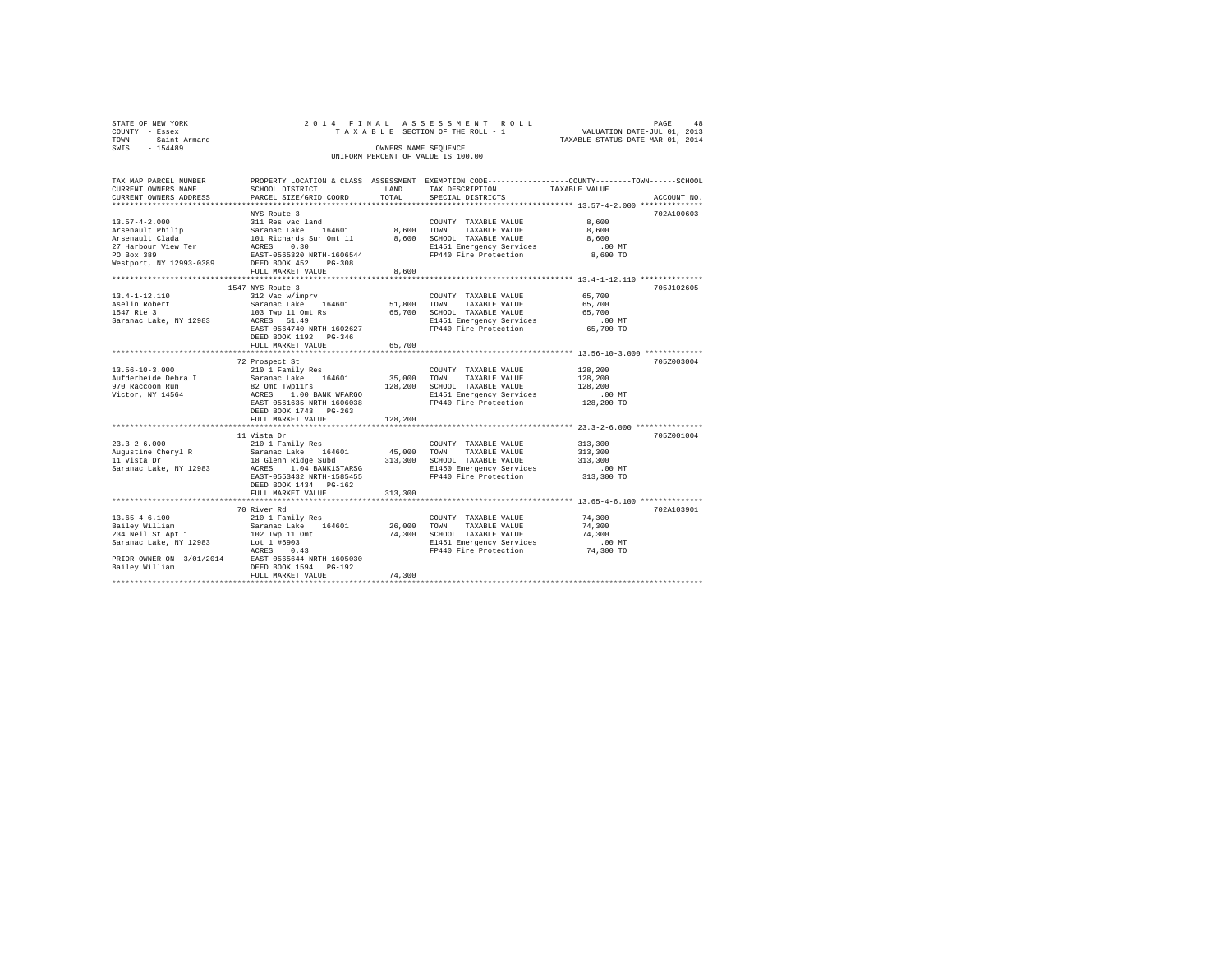| STATE OF NEW YORK<br>COUNTY<br>- Essex<br>TOWN<br>- Saint Armand<br>$-154489$<br>SWIS                                                                                             | UNIFORM PERCENT OF VALUE IS 100.00                                                                                   | 2014 FINAL ASSESSMENT ROLL<br>48<br>PAGE<br>TAXABLE SECTION OF THE ROLL - 1 VALUATION DATE-JUL 01, 2013<br>TAXABLE STATUS DATE-MAR 01, 2014 |                                                                                                                                      |                                                                                                                      |
|-----------------------------------------------------------------------------------------------------------------------------------------------------------------------------------|----------------------------------------------------------------------------------------------------------------------|---------------------------------------------------------------------------------------------------------------------------------------------|--------------------------------------------------------------------------------------------------------------------------------------|----------------------------------------------------------------------------------------------------------------------|
| CURRENT OWNERS NAME                                                                                                                                                               | <b>EAND</b><br>SCHOOL DISTRICT                                                                                       |                                                                                                                                             | TAX DESCRIPTION TAXABLE VALUE                                                                                                        | TAX MAP PARCEL NUMBER PROPERTY LOCATION & CLASS ASSESSMENT EXEMPTION CODE--------------COUNTY--------TOWN-----SCHOOL |
| 13.57-4-2.000 311 Res vac land<br>Arsenault Philip<br>Arsenault Clada 101 Richards Sur Omt 11<br>27 Harbour View Ter ACRES<br>PO Box 389<br>Westport, NY 12993-0389 DEED BOOK 452 | NYS Route 3<br>Saranac Lake 164601 8,600<br>0.30<br>EAST-0565320 NRTH-1606544<br>$PG-308$<br>FULL MARKET VALUE 8,600 | 8,600                                                                                                                                       | COUNTY<br>TAXABLE VALUE<br>TOWN<br>TAXABLE VALUE<br>SCHOOL TAXABLE VALUE<br>E1451 Emergency Services .00 MT<br>FP440 Fire Protection | 702A100603<br>8,600<br>8,600<br>8,600<br>8,600 TO                                                                    |
| $13.4 - 1 - 12.110$                                                                                                                                                               | 1547 NYS Route 3<br>312 Vac w/imprv                                                                                  |                                                                                                                                             | COUNTY<br>TAXABLE VALUE                                                                                                              | 705J102605<br>65,700                                                                                                 |
| Aselin Robert<br>1547 Rte 3                                                                                                                                                       | Saranac Lake 164601 51,800<br>103 Twp 11 Omt Rs                                                                      | 65,700                                                                                                                                      | TOWN<br>TAXABLE VALUE<br>SCHOOL TAXABLE VALUE                                                                                        | 65,700<br>65,700                                                                                                     |

| 1547 Rte 3<br>Saranac Lake, NY 12983 | 103 Twp 11 Omt Rs<br>ACRES 51.49<br>EAST-0564740 NRTH-1602627<br>DEED BOOK 1192 PG-346<br>FULL MARKET VALUE | 65,700<br>65,700 | SCHOOL TAXABLE VALUE<br>E1451 Emergency Services .00 MT<br>FP440 Fire Protection 65,700 TO | 65,700   |            |
|--------------------------------------|-------------------------------------------------------------------------------------------------------------|------------------|--------------------------------------------------------------------------------------------|----------|------------|
|                                      |                                                                                                             |                  |                                                                                            |          |            |
|                                      | 72 Prospect St                                                                                              |                  |                                                                                            |          | 705Z003004 |
| $13.56 - 10 - 3.000$                 | 210 1 Family Res                                                                                            |                  | COUNTY TAXABLE VALUE                                                                       | 128,200  |            |
| Aufderheide Debra I                  | Saranac Lake 164601 35,000<br>82 Omt Twp11rs 128,200                                                        |                  | TOWN TAXABLE VALUE                                                                         | 128,200  |            |
| 970 Raccoon Run                      |                                                                                                             |                  | 128,200 SCHOOL TAXABLE VALUE                                                               | 128,200  |            |
|                                      |                                                                                                             |                  | E1451 Emergency Services                                                                   | .00 MT   |            |
|                                      | EAST-0561635 NRTH-1606038<br>DEED BOOK 1743 PG-263                                                          |                  | FP440 Fire Protection 128,200 TO                                                           |          |            |
|                                      | FULL MARKET VALUE                                                                                           | 128,200          |                                                                                            |          |            |
|                                      | 11 Vista Dr                                                                                                 |                  |                                                                                            |          | 705Z001004 |
| $23.3 - 2 - 6.000$                   | 210 1 Family Res                                                                                            |                  | COUNTY TAXABLE VALUE                                                                       | 313,300  |            |
|                                      |                                                                                                             |                  |                                                                                            | 313,300  |            |
|                                      |                                                                                                             |                  |                                                                                            | 313,300  |            |
| Saranac Lake, NY 12983               | ACRES 1.04 BANK1STARSG                                                                                      |                  | E1450 Emergency Services                                                                   | .00 MT   |            |
|                                      | EAST-0553432 NRTH-1585455<br>DEED BOOK 1434 PG-162                                                          |                  | FP440 Fire Protection 313,300 TO                                                           |          |            |
|                                      | FULL MARKET VALUE                                                                                           | 313,300          |                                                                                            |          |            |
|                                      |                                                                                                             |                  |                                                                                            |          |            |
|                                      | 70 River Rd                                                                                                 |                  |                                                                                            |          | 702A103901 |
| $13.65 - 4 - 6.100$                  | 210 1 Family Res                                                                                            |                  | COUNTY TAXABLE VALUE                                                                       | 74,300   |            |
|                                      | Bailey William Caranac Lake 164601 26.000                                                                   |                  | TOWN<br>TAXABLE VALUE                                                                      | 74,300   |            |
| 234 Neil St Apt 1 102 Twp 11 Omt     |                                                                                                             | 74,300           | SCHOOL TAXABLE VALUE                                                                       | 74,300   |            |
| Saranac Lake, NY 12983 Lot 1 #6903   |                                                                                                             |                  | E1451 Emergency Services                                                                   | $.00$ MT |            |
|                                      | ACRES 0.43                                                                                                  |                  | FP440 Fire Protection 74,300 TO                                                            |          |            |
|                                      | PRIOR OWNER ON 3/01/2014 EAST-0565644 NRTH-1605030                                                          |                  |                                                                                            |          |            |
| Bailey William                       | DEED BOOK 1594 PG-192                                                                                       |                  |                                                                                            |          |            |
|                                      | FULL MARKET VALUE                                                                                           | 74,300           |                                                                                            |          |            |
|                                      |                                                                                                             |                  |                                                                                            |          |            |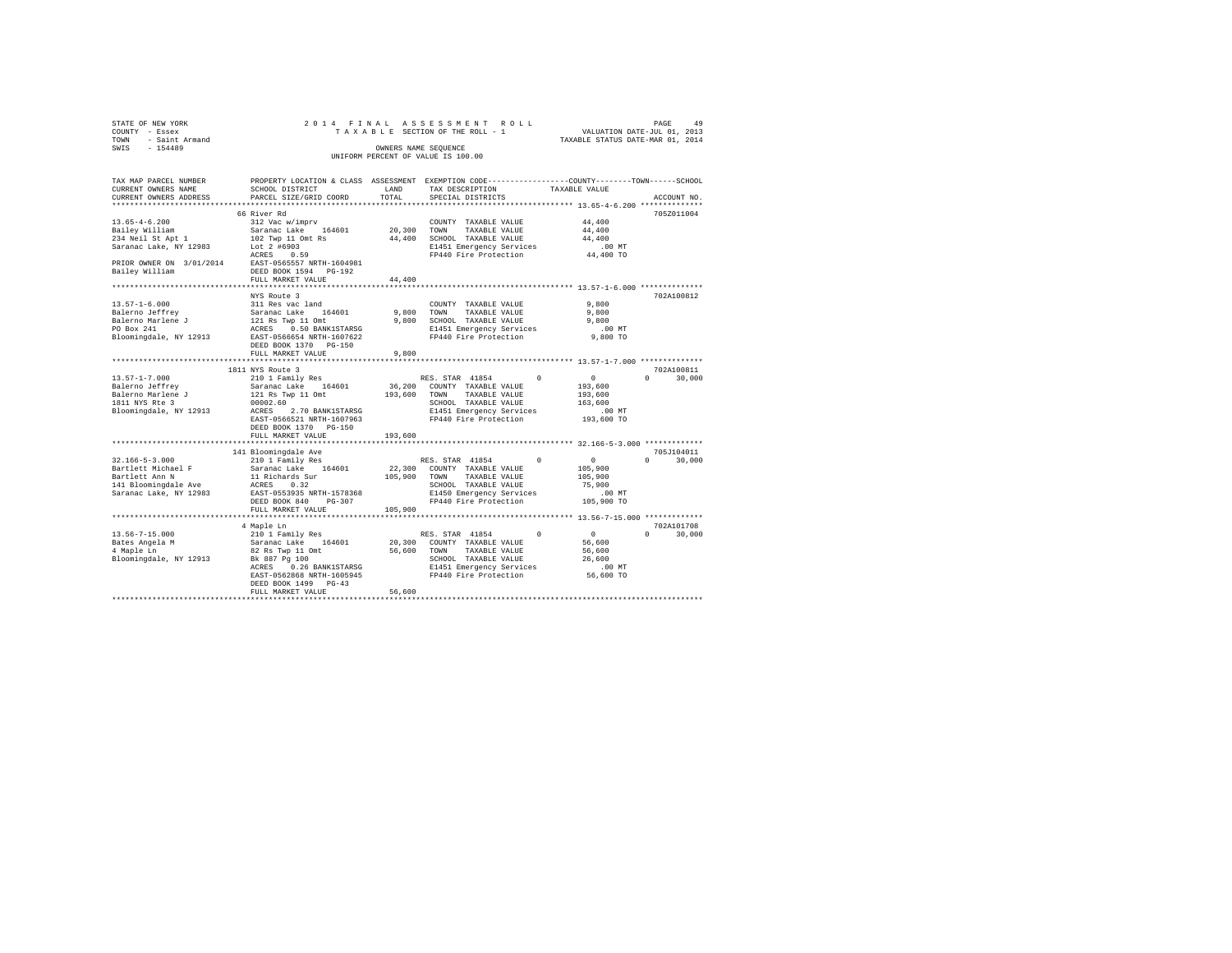| STATE OF NEW YORK<br>COUNTY - Essex                | 2014 FINAL<br>TAXABLE SECTION OF THE ROLL - 1 | PAGE 49<br>VALUATION DATE-JUL 01, 2013 |                                                                                                 |                    |                    |  |
|----------------------------------------------------|-----------------------------------------------|----------------------------------------|-------------------------------------------------------------------------------------------------|--------------------|--------------------|--|
| <b>TOWN</b><br>- Saint Armand                      |                                               | TAXABLE STATUS DATE-MAR 01, 2014       |                                                                                                 |                    |                    |  |
| $-154489$<br>SWIS                                  |                                               |                                        | OWNERS NAME SEQUENCE                                                                            |                    |                    |  |
|                                                    | UNIFORM PERCENT OF VALUE IS 100.00            |                                        |                                                                                                 |                    |                    |  |
|                                                    |                                               |                                        |                                                                                                 |                    |                    |  |
|                                                    |                                               |                                        |                                                                                                 |                    |                    |  |
| TAX MAP PARCEL NUMBER                              |                                               |                                        | PROPERTY LOCATION & CLASS ASSESSMENT EXEMPTION CODE---------------COUNTY-------TOWN------SCHOOL |                    |                    |  |
| CURRENT OWNERS NAME                                | SCHOOL DISTRICT                               | LAND                                   | TAX DESCRIPTION                                                                                 | TAXABLE VALUE      |                    |  |
| CURRENT OWNERS ADDRESS                             | PARCEL SIZE/GRID COORD                        | TOTAL                                  | SPECIAL DISTRICTS                                                                               |                    | ACCOUNT NO.        |  |
|                                                    |                                               |                                        |                                                                                                 |                    |                    |  |
|                                                    | 66 River Rd                                   |                                        |                                                                                                 |                    | 705Z011004         |  |
| $13.65 - 4 - 6.200$                                | 312 Vac w/imprv                               |                                        | COUNTY TAXABLE VALUE                                                                            | 44,400             |                    |  |
| Bailey William<br>234 Neil St Apt 1                | Saranac Lake 164601<br>102 Twp 11 Omt Rs      | 20,300<br>44,400                       | TOWN<br>TAXABLE VALUE<br>SCHOOL TAXABLE VALUE                                                   | 44,400<br>44,400   |                    |  |
| Saranac Lake, NY 12983                             | Lot 2 #6903                                   |                                        | E1451 Emergency Services                                                                        | $.00$ MT           |                    |  |
|                                                    | ACRES 0.59                                    |                                        | FP440 Fire Protection                                                                           | 44,400 TO          |                    |  |
| PRIOR OWNER ON 3/01/2014 EAST-0565557 NRTH-1604981 |                                               |                                        |                                                                                                 |                    |                    |  |
| Bailey William                                     | DEED BOOK 1594 PG-192                         |                                        |                                                                                                 |                    |                    |  |
|                                                    | FULL MARKET VALUE                             | 44,400                                 |                                                                                                 |                    |                    |  |
|                                                    |                                               |                                        |                                                                                                 |                    |                    |  |
|                                                    | NYS Route 3                                   |                                        |                                                                                                 |                    | 702A100812         |  |
| $13.57 - 1 - 6.000$                                | 311 Res vac land                              |                                        | COUNTY TAXABLE VALUE                                                                            | 9,800              |                    |  |
|                                                    |                                               | 9,800                                  | TOWN<br>TAXABLE VALUE                                                                           | 9,800              |                    |  |
|                                                    |                                               |                                        | 9,800 SCHOOL TAXABLE VALUE                                                                      | 9,800              |                    |  |
|                                                    |                                               |                                        | E1451 Emergency Services                                                                        | $.00$ MT           |                    |  |
|                                                    |                                               |                                        | FP440 Fire Protection                                                                           | 9,800 TO           |                    |  |
|                                                    | DEED BOOK 1370 PG-150                         |                                        |                                                                                                 |                    |                    |  |
|                                                    | FULL MARKET VALUE                             | 9,800                                  |                                                                                                 |                    |                    |  |
|                                                    |                                               |                                        |                                                                                                 |                    |                    |  |
|                                                    | 1811 NYS Route 3                              |                                        |                                                                                                 |                    | 702A100811         |  |
| $13.57 - 1 - 7.000$                                | 210 1 Family Res                              |                                        | RES. STAR 41854<br>$\Omega$                                                                     | $\sim$ 0           | $\Omega$<br>30,000 |  |
| Balerno Jeffrey                                    | Saranac Lake 164601                           |                                        | 36,200 COUNTY TAXABLE VALUE                                                                     | 193,600<br>193,600 |                    |  |
| Balerno Marlene J<br>1811 NYS Rte 3                | 121 Rs Twp 11 Omt<br>00002.60                 |                                        | 193,600 TOWN TAXABLE VALUE<br>SCHOOL TAXABLE VALUE                                              | 163,600            |                    |  |
| Bloomingdale, NY 12913                             | ACRES 2.70 BANK1STARSG                        |                                        | E1451 Emergency Services                                                                        | $.00$ MT           |                    |  |
|                                                    | EAST-0566521 NRTH-1607963                     |                                        | FP440 Fire Protection                                                                           | 193,600 TO         |                    |  |
|                                                    | DEED BOOK 1370 PG-150                         |                                        |                                                                                                 |                    |                    |  |
|                                                    | FULL MARKET VALUE                             | 193,600                                |                                                                                                 |                    |                    |  |
|                                                    |                                               |                                        |                                                                                                 |                    |                    |  |
|                                                    |                                               |                                        |                                                                                                 |                    | 705J104011         |  |
| $32.166 - 5 - 3.000$                               | 141 Bloomingdale Ave<br>210 1 Family Res      |                                        | RES. STAR 41854                                                                                 | $\sim$ 0           | 30,000<br>$\Omega$ |  |
| Bartlett Michael F                                 | Saranac Lake 164601                           |                                        | 22,300 COUNTY TAXABLE VALUE                                                                     | 105,900            |                    |  |
| Bartlett Ann N                                     | 11 Richards Sur                               | 105,900                                | TOWN<br>TAXABLE VALUE                                                                           | 105,900            |                    |  |
| 141 Bloomingdale Ave                               | ACRES 0.32                                    |                                        | SCHOOL TAXABLE VALUE                                                                            | 75,900             |                    |  |
| Saranac Lake, NY 12983                             | EAST-0553935 NRTH-1578368                     |                                        | E1450 Emergency Services                                                                        | $.00$ MT           |                    |  |
|                                                    | DEED BOOK 840 PG-307                          |                                        | FP440 Fire Protection                                                                           | 105,900 TO         |                    |  |
|                                                    | FULL MARKET VALUE                             | 105,900                                |                                                                                                 |                    |                    |  |
|                                                    |                                               |                                        |                                                                                                 |                    |                    |  |
|                                                    | 4 Maple Ln                                    |                                        |                                                                                                 |                    | 702A101708         |  |
| $13.56 - 7 - 15.000$                               | 210 1 Family Res                              |                                        | RES. STAR 41854<br>$\Omega$                                                                     | $\sim$ 0           | 30,000<br>$\Omega$ |  |
| Bates Angela M                                     | Saranac Lake 164601                           |                                        | 20,300 COUNTY TAXABLE VALUE                                                                     | 56,600             |                    |  |
| 4 Maple Ln<br>Bloomingdale, NY 12913               | 82 Rs Twp 11 Omt<br>Bk 887 Pg 100             | 56,600 TOWN                            | TAXABLE VALUE<br>SCHOOL TAXABLE VALUE                                                           | 56,600<br>26,600   |                    |  |
|                                                    | ACRES 0.26 BANK1STARSG                        |                                        |                                                                                                 | $.00$ MT           |                    |  |
|                                                    | EAST-0562868 NRTH-1605945                     |                                        | E1451 Emergency Services<br>FP440 Fire Protection                                               | 56,600 TO          |                    |  |
|                                                    | DEED BOOK 1499 PG-43                          |                                        |                                                                                                 |                    |                    |  |
|                                                    | FULL MARKET VALUE                             | 56,600                                 |                                                                                                 |                    |                    |  |
|                                                    |                                               |                                        |                                                                                                 |                    |                    |  |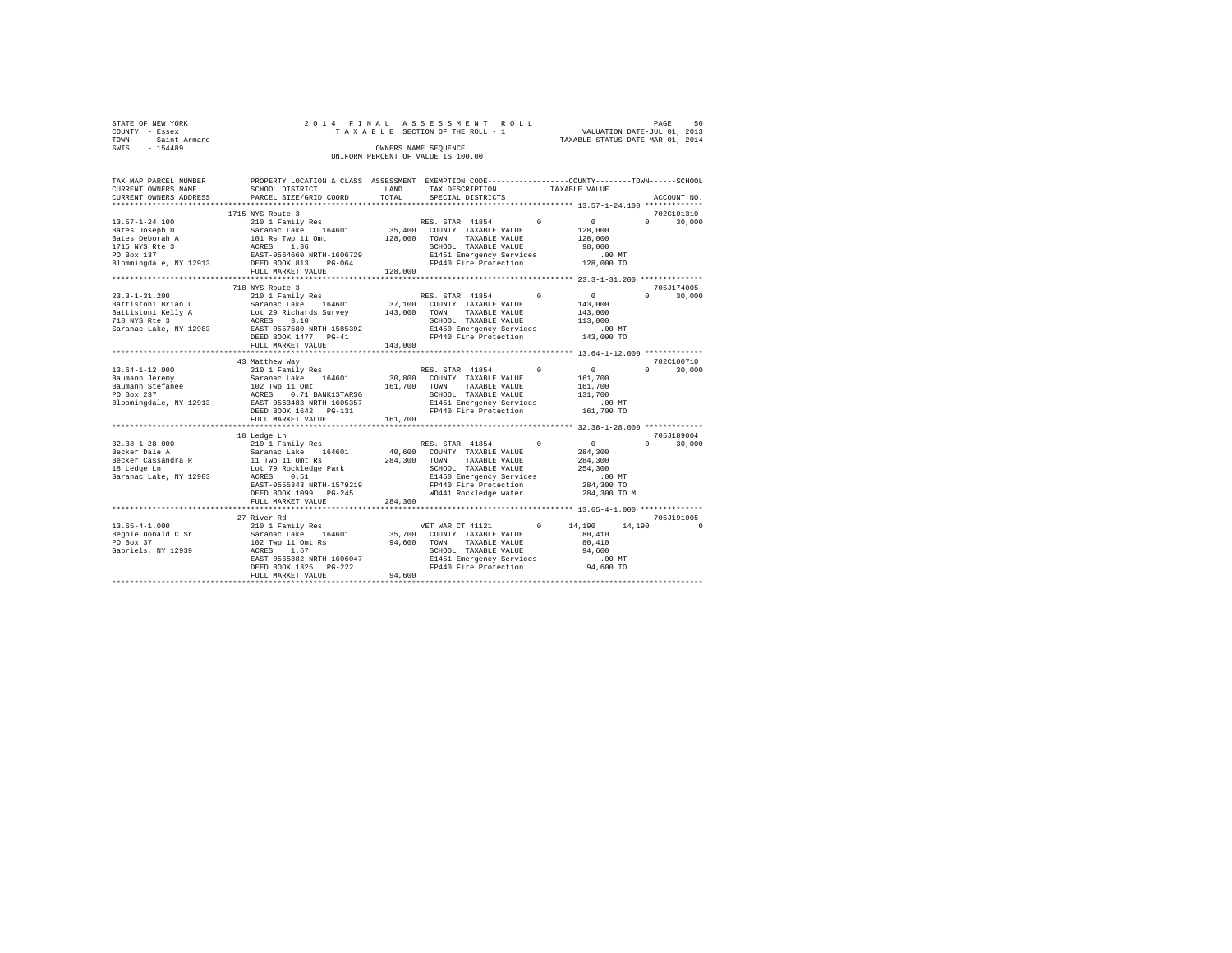|                                    | STATE OF NEW YORK |                      |  |  |  |  |  | 2014 FINAL ASSESSMENT ROLL      |                                  | PAGE                        | 50 |
|------------------------------------|-------------------|----------------------|--|--|--|--|--|---------------------------------|----------------------------------|-----------------------------|----|
|                                    |                   |                      |  |  |  |  |  |                                 |                                  |                             |    |
|                                    | COUNTY - Essex    |                      |  |  |  |  |  | TAXABLE SECTION OF THE ROLL - 1 |                                  | VALUATION DATE-JUL 01, 2013 |    |
| TOWN                               | - Saint Armand    |                      |  |  |  |  |  |                                 | TAXABLE STATUS DATE-MAR 01, 2014 |                             |    |
| SWIS                               | $-154489$         | OWNERS NAME SEOUENCE |  |  |  |  |  |                                 |                                  |                             |    |
| UNIFORM PERCENT OF VALUE IS 100.00 |                   |                      |  |  |  |  |  |                                 |                                  |                             |    |

| TAX MAP PARCEL NUMBER<br>CURRENT OWNERS NAME                                                                                                                                                                                                                                         | PROPERTY LOCATION & CLASS ASSESSMENT EXEMPTION CODE----------------COUNTY-------TOWN-----SCHOOL<br>SCHOOL DISTRICT | LAND    | TAX DESCRIPTION                                                                                  | TAXABLE VALUE |                      |                                           |
|--------------------------------------------------------------------------------------------------------------------------------------------------------------------------------------------------------------------------------------------------------------------------------------|--------------------------------------------------------------------------------------------------------------------|---------|--------------------------------------------------------------------------------------------------|---------------|----------------------|-------------------------------------------|
| CURRENT OWNERS ADDRESS                                                                                                                                                                                                                                                               | PARCEL SIZE/GRID COORD                                                                                             | TOTAL   | SPECIAL DISTRICTS                                                                                |               |                      | ACCOUNT NO.                               |
|                                                                                                                                                                                                                                                                                      |                                                                                                                    |         |                                                                                                  |               |                      |                                           |
|                                                                                                                                                                                                                                                                                      | 1715 NYS Route 3                                                                                                   |         |                                                                                                  |               |                      | 702C101310<br>$0 \qquad \qquad$<br>30,000 |
|                                                                                                                                                                                                                                                                                      |                                                                                                                    |         |                                                                                                  |               |                      |                                           |
|                                                                                                                                                                                                                                                                                      |                                                                                                                    |         | CHOOL TAXABLE VALUE 98,000<br>E1451 Emergency Services 00 MT<br>FP440 Fire Protection 128,000 TO |               |                      |                                           |
|                                                                                                                                                                                                                                                                                      |                                                                                                                    |         |                                                                                                  |               |                      |                                           |
|                                                                                                                                                                                                                                                                                      |                                                                                                                    |         |                                                                                                  |               |                      |                                           |
|                                                                                                                                                                                                                                                                                      | 718 NYS Route 3                                                                                                    |         |                                                                                                  |               |                      | 705J174005                                |
|                                                                                                                                                                                                                                                                                      |                                                                                                                    |         |                                                                                                  |               |                      | $0 \qquad \qquad$<br>30,000               |
|                                                                                                                                                                                                                                                                                      |                                                                                                                    |         |                                                                                                  |               |                      |                                           |
|                                                                                                                                                                                                                                                                                      |                                                                                                                    |         |                                                                                                  |               |                      |                                           |
|                                                                                                                                                                                                                                                                                      |                                                                                                                    |         |                                                                                                  |               |                      |                                           |
|                                                                                                                                                                                                                                                                                      |                                                                                                                    |         |                                                                                                  |               |                      |                                           |
|                                                                                                                                                                                                                                                                                      |                                                                                                                    |         |                                                                                                  |               |                      |                                           |
|                                                                                                                                                                                                                                                                                      |                                                                                                                    |         |                                                                                                  |               |                      |                                           |
|                                                                                                                                                                                                                                                                                      | 43 Matthew Way                                                                                                     |         |                                                                                                  |               |                      | 702C100710                                |
|                                                                                                                                                                                                                                                                                      |                                                                                                                    |         |                                                                                                  |               | $\sim$ 0             | $\Omega$ and $\Omega$<br>30,000           |
|                                                                                                                                                                                                                                                                                      |                                                                                                                    |         |                                                                                                  |               | 161,700              |                                           |
|                                                                                                                                                                                                                                                                                      |                                                                                                                    |         |                                                                                                  |               | 161,700              |                                           |
|                                                                                                                                                                                                                                                                                      |                                                                                                                    |         |                                                                                                  |               | 131,700              |                                           |
|                                                                                                                                                                                                                                                                                      |                                                                                                                    |         |                                                                                                  |               | 00 MT.<br>161,700 TO |                                           |
|                                                                                                                                                                                                                                                                                      |                                                                                                                    |         | FP440 Fire Protection                                                                            |               |                      |                                           |
|                                                                                                                                                                                                                                                                                      | FULL MARKET VALUE                                                                                                  | 161,700 |                                                                                                  |               |                      |                                           |
|                                                                                                                                                                                                                                                                                      |                                                                                                                    |         |                                                                                                  |               |                      |                                           |
|                                                                                                                                                                                                                                                                                      | 18 Ledge Ln                                                                                                        |         |                                                                                                  |               | $\sim$ 0             | 705J189004                                |
|                                                                                                                                                                                                                                                                                      |                                                                                                                    |         |                                                                                                  |               | 284,300              | $0 \t 30,000$                             |
|                                                                                                                                                                                                                                                                                      |                                                                                                                    |         |                                                                                                  |               | 284,300              |                                           |
|                                                                                                                                                                                                                                                                                      |                                                                                                                    |         |                                                                                                  |               | 254,300              |                                           |
|                                                                                                                                                                                                                                                                                      |                                                                                                                    |         |                                                                                                  |               |                      |                                           |
|                                                                                                                                                                                                                                                                                      |                                                                                                                    |         | E1450 Emergency Services .00 MT<br>FP440 Fire Protection 284,300 TO                              |               |                      |                                           |
|                                                                                                                                                                                                                                                                                      | EAST-0555343 NRTH-1579219<br>DEED BOOK 1099 PG-245                                                                 |         | WD441 Rockledge water                                                                            |               | 284,300 TO M         |                                           |
|                                                                                                                                                                                                                                                                                      | FULL MARKET VALUE                                                                                                  | 284,300 |                                                                                                  |               |                      |                                           |
|                                                                                                                                                                                                                                                                                      |                                                                                                                    |         |                                                                                                  |               |                      |                                           |
|                                                                                                                                                                                                                                                                                      | 27 River Rd                                                                                                        |         |                                                                                                  |               |                      | 705J191005                                |
|                                                                                                                                                                                                                                                                                      |                                                                                                                    |         |                                                                                                  |               | 14,190               | $\sim$ 0                                  |
|                                                                                                                                                                                                                                                                                      |                                                                                                                    |         |                                                                                                  |               |                      |                                           |
|                                                                                                                                                                                                                                                                                      |                                                                                                                    |         |                                                                                                  |               |                      |                                           |
|                                                                                                                                                                                                                                                                                      |                                                                                                                    |         |                                                                                                  |               |                      |                                           |
|                                                                                                                                                                                                                                                                                      |                                                                                                                    |         |                                                                                                  |               |                      |                                           |
|                                                                                                                                                                                                                                                                                      |                                                                                                                    |         |                                                                                                  |               |                      |                                           |
| $\begin{tabular}{lcccc} \bf 13.65-4-1.000 & & \bf 27.1201 & Family Res & & \bf 164.190 & 14.190 & 14.190 & 14.190 & 14.190 & 14.190 & 14.190 & 14.190 & 14.190 & 14.190 & 14.190 & 14.190 & 14.190 & 14.190 & 14.190 & 14.190 & 14.190 & 14.190 & 14.190 & 14.190 & 14.190 & 14.190$ |                                                                                                                    |         |                                                                                                  |               |                      |                                           |
|                                                                                                                                                                                                                                                                                      |                                                                                                                    |         |                                                                                                  |               |                      |                                           |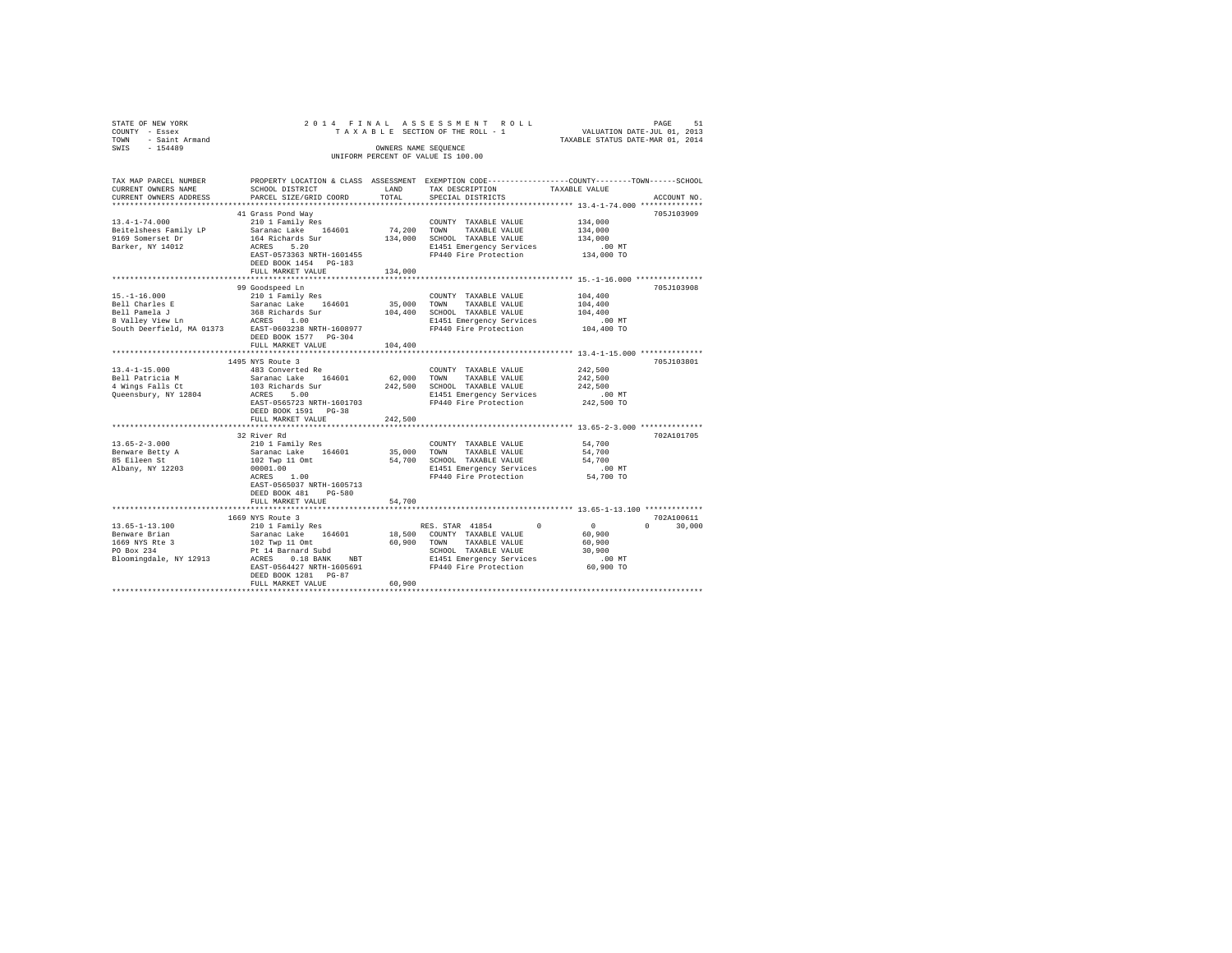| STATE OF NEW YORK<br>COUNTY - Essex<br>TOWN - Saint Armand                                            | 2014 FINAL                                                                                                                                                                                                                                                                                         |               |                                                                                                                                                           | TAXABLE STATUS DATE-MAR 01, 2014                                       |                                  |
|-------------------------------------------------------------------------------------------------------|----------------------------------------------------------------------------------------------------------------------------------------------------------------------------------------------------------------------------------------------------------------------------------------------------|---------------|-----------------------------------------------------------------------------------------------------------------------------------------------------------|------------------------------------------------------------------------|----------------------------------|
| SWIS - 154489                                                                                         |                                                                                                                                                                                                                                                                                                    |               | OWNERS NAME SEOUENCE<br>UNIFORM PERCENT OF VALUE IS 100.00                                                                                                |                                                                        |                                  |
| TAX MAP PARCEL NUMBER<br>CURRENT OWNERS NAME<br>CURRENT OWNERS ADDRESS<br>*************************   | PROPERTY LOCATION & CLASS ASSESSMENT EXEMPTION CODE----------------COUNTY-------TOWN-----SCHOOL<br>SCHOOL DISTRICT<br>PARCEL SIZE/GRID COORD                                                                                                                                                       | LAND<br>TOTAL | TAX DESCRIPTION<br>SPECIAL DISTRICTS                                                                                                                      | TAXABLE VALUE                                                          | ACCOUNT NO.                      |
| $13.4 - 1 - 74.000$<br>Beitelshees Family LP<br>9169 Somerset Dr<br>Barker, NY 14012                  | 41 Grass Pond Way<br>210 1 Family Res<br>Saranac Lake 164601<br>164 Richards Sur<br>ACRES 5.20<br>EAST-0573363 NRTH-1601455<br>DEED BOOK 1454 PG-183<br>FULL MARKET VALUE                                                                                                                          | 134,000       | COUNTY TAXABLE VALUE<br>74,200 TOWN TAXABLE VALUE<br>134,000 SCHOOL TAXABLE VALUE<br>E1451 Emergency Services .00 MT<br>FP440 Fire Protection  134,000 TO | 134,000<br>134,000<br>134,000                                          | 705J103909                       |
|                                                                                                       |                                                                                                                                                                                                                                                                                                    |               |                                                                                                                                                           |                                                                        |                                  |
| $15. - 1 - 16.000$                                                                                    | 99 Goodspeed Ln<br>210 1 Family Res<br>Bell Charles E<br>Saranac Lake 164601<br>Bell Pamela J 368 Richards Sur<br>8 Valley View Ln<br>South Deerfield, MA 01373<br>EAST-0603238 NRTH-1608977<br>South Deerfield, MA 01373<br>DEED BOOK 1577 PG-304                                                 |               | COUNTY TAXABLE VALUE<br>35,000 TOWN TAXABLE VALUE<br>104,400 SCHOOL TAXABLE VALUE<br>E1451 Emergency Services<br>FP440 Fire Protection                    | 104,400<br>104,400<br>104,400<br>.00 MT<br>104,400 TO                  | 705J103908                       |
|                                                                                                       | FULL MARKET VALUE                                                                                                                                                                                                                                                                                  | 104,400       |                                                                                                                                                           |                                                                        |                                  |
|                                                                                                       | **********************                                                                                                                                                                                                                                                                             |               | ********************************* 13.4-1-15.000 ***************                                                                                           |                                                                        | 705J103801                       |
| $13.4 - 1 - 15.000$<br>Bell Patricia M<br>beil Fatricia M<br>4 Wings Falls Ct<br>Queensbury, NY 12804 | 1495 NYS Route 3<br>483 Converted Re<br>Saranac Lake 164601<br>103 Richards Sur<br>ACRES 5.00<br>EAST-0565723 NRTH-1601703<br>DEED BOOK 1591 PG-38<br>FULL MARKET VALUE                                                                                                                            | 242,500       | COUNTY TAXABLE VALUE<br>62,000 TOWN TAXABLE VALUE<br>242,500 SCHOOL TAXABLE VALUE<br>E1451 Emergency Services<br>FP440 Fire Protection                    | 242,500<br>242,500<br>242,500<br>00 MT.<br>242,500 TO                  |                                  |
|                                                                                                       |                                                                                                                                                                                                                                                                                                    |               |                                                                                                                                                           |                                                                        |                                  |
| $13.65 - 2 - 3.000$<br>Benware Betty A<br>85 Eileen St<br>Albany, NY 12203                            | 32 River Rd<br>210 1 Family Res<br>Saranac Lake 164601<br>102 Twp 11 Omt<br>$00001.00$<br>ACRES 1.00<br>EAST-0565037 NRTH-1605713<br>DEED BOOK 481 PG-580<br>FULL MARKET VALUE                                                                                                                     | 54,700        | COUNTY TAXABLE VALUE<br>35,000 TOWN TAXABLE VALUE<br>54,700 SCHOOL TAXABLE VALUE<br>E1451 Emergency Services<br>FP440 Fire Protection                     | 54,700<br>54,700<br>54,700<br>$.00$ MT<br>54,700 TO                    | 702A101705                       |
|                                                                                                       | ***********************                                                                                                                                                                                                                                                                            |               |                                                                                                                                                           | ************************ 13.65-1-13.100 *************                  |                                  |
| $13.65 - 1 - 13.100$                                                                                  | 1669 NYS Route 3<br>210 1 Family Res<br>19.500 (COUNTY TAXABLE VALUE )<br>19.500 (COUNTY TAXABLE VALUE 169.910 FORM TAXABLE VALUE 1669 MYS RES 2011 02 TWD 1000 12<br>19.500 COUNTY TAXABLE VALUE FORM 234 ACRES 0.18 BANK NBT ACRES 0.18 ACRES 0.18 ACRES 10.18 ACRES 10.<br>DEED BOOK 1281 PG-87 |               | $\Omega$<br>RES. STAR 41854<br>18,500 COUNTY TAXABLE VALUE                                                                                                | $\sim$ 0 $\sim$<br>60,900<br>60,900<br>30,900<br>$.00$ MT<br>60,900 TO | 702A100611<br>$\Omega$<br>30,000 |
|                                                                                                       | FULL MARKET VALUE                                                                                                                                                                                                                                                                                  | 60,900        |                                                                                                                                                           |                                                                        |                                  |
|                                                                                                       |                                                                                                                                                                                                                                                                                                    |               |                                                                                                                                                           |                                                                        |                                  |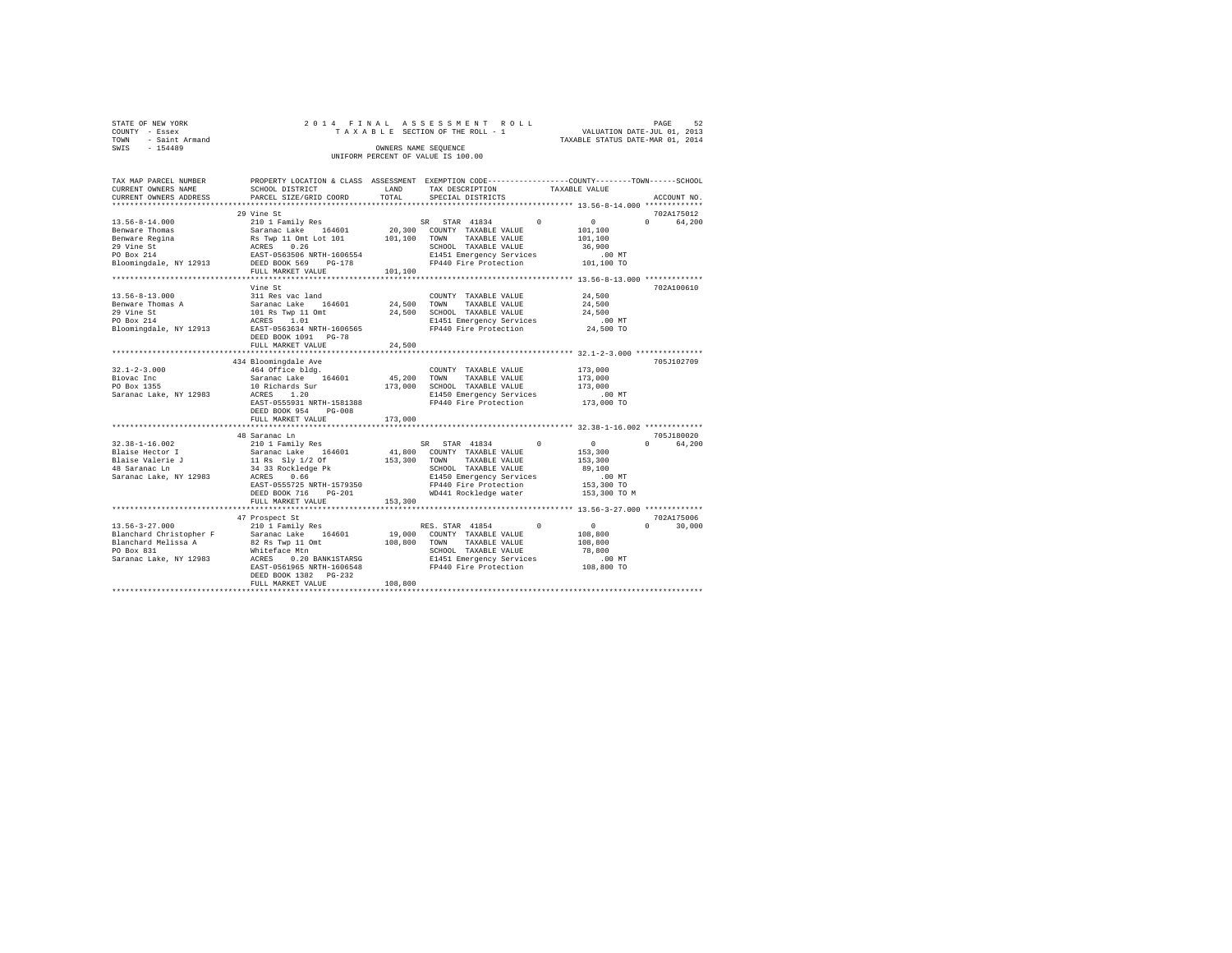| STATE OF NEW YORK   | 2014 FINAL ASSESSMENT ROLL         | 52<br>PAGE                       |
|---------------------|------------------------------------|----------------------------------|
| COUNTY - Essex      | TAXABLE SECTION OF THE ROLL - 1    | VALUATION DATE-JUL 01, 2013      |
| TOWN - Saint Armand |                                    | TAXABLE STATUS DATE-MAR 01, 2014 |
| SWIS<br>$-154489$   | OWNERS NAME SEOUENCE               |                                  |
|                     | UNIFORM PERCENT OF VALUE IS 100.00 |                                  |

| TAX MAP PARCEL NUMBER<br>CURRENT OWNERS NAME     | SCHOOL DISTRICT                                                             | LAND        | TAX DESCRIPTION                                   | PROPERTY LOCATION & CLASS ASSESSMENT EXEMPTION CODE----------------COUNTY-------TOWN-----SCHOOL<br>TAXABLE VALUE |
|--------------------------------------------------|-----------------------------------------------------------------------------|-------------|---------------------------------------------------|------------------------------------------------------------------------------------------------------------------|
| CURRENT OWNERS ADDRESS                           | PARCEL SIZE/GRID COORD                                                      | TOTAL       | SPECIAL DISTRICTS                                 | ACCOUNT NO.                                                                                                      |
|                                                  |                                                                             |             |                                                   |                                                                                                                  |
|                                                  | 29 Vine St                                                                  |             |                                                   | 702A175012<br>$\Omega$                                                                                           |
|                                                  |                                                                             |             | SR STAR 41834<br>$^{\circ}$                       | $\sim$ 0 $\sim$<br>64,200                                                                                        |
|                                                  |                                                                             |             | 20,300 COUNTY TAXABLE VALUE<br>TAXABLE VALUE      | 101,100                                                                                                          |
|                                                  |                                                                             |             | TOWN<br>SCHOOL TAXABLE VALUE                      | 101,100<br>36,900                                                                                                |
|                                                  |                                                                             |             |                                                   | .00 MT                                                                                                           |
|                                                  |                                                                             |             | E1451 Emergency Services<br>FP440 Fire Protection | 101,100 TO                                                                                                       |
|                                                  | FULL MARKET VALUE                                                           | 101,100     |                                                   |                                                                                                                  |
|                                                  |                                                                             |             |                                                   |                                                                                                                  |
|                                                  | Vine St                                                                     |             |                                                   | 702A100610                                                                                                       |
| $13.56 - 8 - 13.000$                             | 311 Res vac land                                                            |             | COUNTY TAXABLE VALUE                              | 24,500                                                                                                           |
| Benware Thomas A                                 |                                                                             | 24,500 TOWN | TAXABLE VALUE                                     | 24,500                                                                                                           |
| 29 Vine St                                       | Saranac Lake 164601<br>101 Rs Twp 11 Omt<br>ACRES 1.01                      | 24,500      | SCHOOL TAXABLE VALUE                              | 24,500                                                                                                           |
| PO Box 214                                       |                                                                             |             |                                                   | $.00$ MT                                                                                                         |
| Bloomingdale, NY 12913 EAST-0563634 NRTH-1606565 |                                                                             |             | E1451 Emergency Services<br>FP440 Fire Protection | 24,500 TO                                                                                                        |
|                                                  | DEED BOOK 1091 PG-78                                                        |             |                                                   |                                                                                                                  |
|                                                  | FULL MARKET VALUE                                                           | 24,500      |                                                   |                                                                                                                  |
|                                                  | ********************************                                            |             |                                                   |                                                                                                                  |
|                                                  | 434 Bloomingdale Ave                                                        |             |                                                   | 705J102709                                                                                                       |
| $32.1 - 2 - 3.000$                               | 464 Office bldg.                                                            |             | COUNTY TAXABLE VALUE                              | 173,000                                                                                                          |
| Biovac Inc                                       | Saranac Lake 164601                                                         |             | 45,200 TOWN<br>TAXABLE VALUE                      | 173,000                                                                                                          |
| PO Box 1355                                      | 10 Richards Sur                                                             |             | 173,000 SCHOOL TAXABLE VALUE                      | 173,000                                                                                                          |
| Saranac Lake, NY 12983                           | ACRES 1.20                                                                  |             | E1450 Emergency Services                          | $.00$ MT                                                                                                         |
|                                                  | EAST-0555931 NRTH-1581388                                                   |             | FP440 Fire Protection                             | 173,000 TO                                                                                                       |
|                                                  | DEED BOOK 954 PG-008                                                        |             |                                                   |                                                                                                                  |
|                                                  | FULL MARKET VALUE                                                           | 173,000     |                                                   |                                                                                                                  |
|                                                  |                                                                             |             |                                                   |                                                                                                                  |
|                                                  | 48 Saranac Ln                                                               |             |                                                   | 705J180020                                                                                                       |
| $32.38 - 1 - 16.002$                             | 210 1 Family Res                                                            |             | SR STAR 41834<br>$^{\circ}$                       | $\sim$ 0<br>$\Omega$ and $\Omega$<br>64,200                                                                      |
| Blaise Hector I                                  | Saranac Lake 164601<br>11 Rs Sly 1/2 Of<br>34 33 Rockledge Pk<br>ACRES 0.66 | 41,800      | COUNTY TAXABLE VALUE                              | 153,300                                                                                                          |
| Blaise Valerie J                                 |                                                                             |             | 153,300 TOWN TAXABLE VALUE                        | 153,300                                                                                                          |
| i Tanzania<br>48 Saranac Ln                      |                                                                             |             | SCHOOL TAXABLE VALUE                              | 89,100                                                                                                           |
| Saranac Lake, NY 12983                           |                                                                             |             | E1450 Emergency Services                          | $.00$ MT                                                                                                         |
|                                                  | EAST-0555725 NRTH-1579350                                                   |             | $FP440$ Fire Protection                           | 153,300 TO                                                                                                       |
|                                                  | DEED BOOK 716<br>$PG-201$                                                   |             | WD441 Rockledge water                             | 153,300 TO M                                                                                                     |
|                                                  | FULL MARKET VALUE                                                           | 153,300     |                                                   |                                                                                                                  |
|                                                  | ***********************                                                     |             |                                                   |                                                                                                                  |
|                                                  | 47 Prospect St                                                              |             |                                                   | 702A175006                                                                                                       |
| $13.56 - 3 - 27.000$                             | 210 1 Family Res                                                            |             | RES. STAR 41854 0                                 | $\sim$ 0<br>$\Omega$<br>30,000                                                                                   |
| Blanchard Christopher F                          | Saranac Lake 164601<br>Saranac Lake 164601<br>82 Rs Twp 11 Omt              |             | 19,000 COUNTY TAXABLE VALUE                       | 108,800                                                                                                          |
| Blanchard Melissa A                              |                                                                             | 108,800     | TOWN<br>TAXABLE VALUE                             | 108,800                                                                                                          |
| PO Box 831                                       | Whiteface Mtn                                                               |             | SCHOOL TAXABLE VALUE                              | 78,800                                                                                                           |
| Saranac Lake, NY 12983                           | ACRES<br>0.20 BANK1STARSG                                                   |             | E1451 Emergency Services                          | $.00$ MT                                                                                                         |
|                                                  | EAST-0561965 NRTH-1606548<br>DEED BOOK 1382    PG-232                       |             | FP440 Fire Protection                             | 108,800 TO                                                                                                       |
|                                                  | FULL MARKET VALUE                                                           | 108,800     |                                                   |                                                                                                                  |
|                                                  |                                                                             |             |                                                   |                                                                                                                  |
|                                                  |                                                                             |             |                                                   |                                                                                                                  |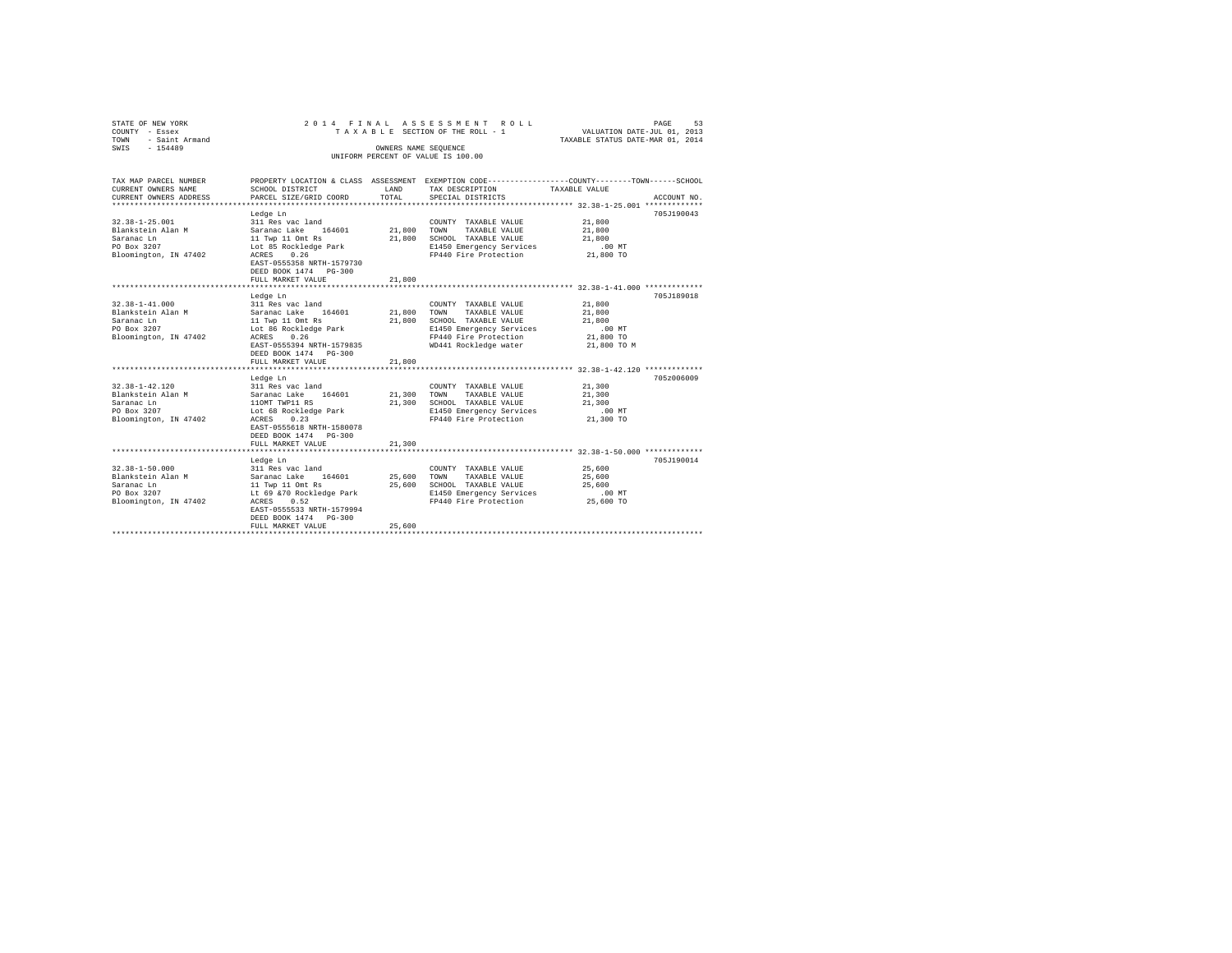| STATE OF NEW YORK<br>COUNTY - Essex<br>TOWN<br>- Saint Armand |                                                    |                                    | 2014 FINAL ASSESSMENT ROLL<br>PAGE<br>53<br>VALUATION DATE-JUL 01, 2013<br>TAXABLE STATUS DATE-MAR 01, 2014<br>TAXABLE SECTION OF THE ROLL - 1 |                  |             |  |  |
|---------------------------------------------------------------|----------------------------------------------------|------------------------------------|------------------------------------------------------------------------------------------------------------------------------------------------|------------------|-------------|--|--|
| $-154489$<br>SWIS                                             |                                                    |                                    |                                                                                                                                                |                  |             |  |  |
|                                                               |                                                    | UNIFORM PERCENT OF VALUE IS 100.00 |                                                                                                                                                |                  |             |  |  |
|                                                               |                                                    |                                    |                                                                                                                                                |                  |             |  |  |
| TAX MAP PARCEL NUMBER                                         |                                                    |                                    | PROPERTY LOCATION & CLASS ASSESSMENT EXEMPTION CODE---------------COUNTY-------TOWN------SCHOOL                                                |                  |             |  |  |
| CURRENT OWNERS NAME<br>CURRENT OWNERS ADDRESS                 | SCHOOL DISTRICT<br>PARCEL SIZE/GRID COORD          | LAND<br>TOTAL                      | TAX DESCRIPTION<br>SPECIAL DISTRICTS                                                                                                           | TAXABLE VALUE    | ACCOUNT NO. |  |  |
| *********************                                         | .                                                  |                                    |                                                                                                                                                |                  |             |  |  |
|                                                               | Ledge Ln                                           |                                    |                                                                                                                                                |                  | 705J190043  |  |  |
| $32.38 - 1 - 25.001$                                          | 311 Res vac land                                   |                                    | COUNTY TAXABLE VALUE                                                                                                                           | 21,800           |             |  |  |
| Blankstein Alan M                                             | Saranac Lake 164601                                |                                    | 21,800 TOWN TAXABLE VALUE                                                                                                                      | 21,800           |             |  |  |
| Saranac Ln                                                    | 11 Twp 11 Omt Rs                                   |                                    | 21,800 SCHOOL TAXABLE VALUE                                                                                                                    | 21,800           |             |  |  |
| PO Box 3207                                                   | Lot 85 Rockledge Park                              |                                    | E1450 Emergency Services                                                                                                                       | $.00$ MT         |             |  |  |
| Bloomington, IN 47402                                         | ACRES 0.26                                         |                                    | FP440 Fire Protection                                                                                                                          | 21,800 TO        |             |  |  |
|                                                               | EAST-0555358 NRTH-1579730<br>DEED BOOK 1474 PG-300 |                                    |                                                                                                                                                |                  |             |  |  |
|                                                               | FULL MARKET VALUE                                  | 21,800                             |                                                                                                                                                |                  |             |  |  |
|                                                               |                                                    |                                    |                                                                                                                                                |                  |             |  |  |
|                                                               | Ledge Ln                                           |                                    |                                                                                                                                                |                  | 705J189018  |  |  |
| $32.38 - 1 - 41.000$                                          | 311 Res vac land                                   |                                    | COUNTY TAXABLE VALUE                                                                                                                           | 21,800           |             |  |  |
| Blankstein Alan M                                             | Saranac Lake 164601                                |                                    | 21,800 TOWN TAXABLE VALUE                                                                                                                      | 21,800           |             |  |  |
| Saranac Ln                                                    | 11 Twp 11 Omt Rs                                   | 21,800                             | SCHOOL TAXABLE VALUE                                                                                                                           | 21,800           |             |  |  |
| PO Box 3207                                                   | Lot 86 Rockledge Park                              |                                    | E1450 Emergency Services                                                                                                                       | $.00$ MT         |             |  |  |
| Bloomington, IN 47402                                         | ACRES 0.26                                         |                                    | FP440 Fire Protection                                                                                                                          | 21,800 TO        |             |  |  |
|                                                               | EAST-0555394 NRTH-1579835                          |                                    | WD441 Rockledge water                                                                                                                          | 21,800 TO M      |             |  |  |
|                                                               | DEED BOOK 1474   PG-300                            |                                    |                                                                                                                                                |                  |             |  |  |
|                                                               | FULL MARKET VALUE<br>**********************        | 21,800                             | ********************************** 32.38-1-42.120 ***************                                                                              |                  |             |  |  |
|                                                               |                                                    |                                    |                                                                                                                                                |                  |             |  |  |
| $32.38 - 1 - 42.120$                                          | Ledge Ln<br>311 Res vac land                       |                                    |                                                                                                                                                | 21,300           | 705z006009  |  |  |
| Blankstein Alan M                                             | Saranac Lake 164601                                | 21,300                             | COUNTY TAXABLE VALUE<br>TOWN<br>TAXABLE VALUE                                                                                                  |                  |             |  |  |
| Saranac Ln                                                    | 110MT TWP11 RS                                     |                                    | 21,300 SCHOOL TAXABLE VALUE                                                                                                                    | 21,300<br>21,300 |             |  |  |
| PO Box 3207                                                   | Lot 68 Rockledge Park                              |                                    | E1450 Emergency Services                                                                                                                       | .00 MT           |             |  |  |
| Bloomington, IN 47402                                         | ACRES 0.23                                         |                                    | FP440 Fire Protection                                                                                                                          | 21,300 TO        |             |  |  |
|                                                               | EAST-0555618 NRTH-1580078                          |                                    |                                                                                                                                                |                  |             |  |  |
|                                                               | DEED BOOK 1474 PG-300                              |                                    |                                                                                                                                                |                  |             |  |  |
|                                                               | FULL MARKET VALUE                                  | 21,300                             |                                                                                                                                                |                  |             |  |  |
|                                                               | *****************************                      |                                    |                                                                                                                                                |                  |             |  |  |
|                                                               | Ledge Ln                                           |                                    |                                                                                                                                                |                  | 705J190014  |  |  |
| $32.38 - 1 - 50.000$                                          | 311 Res vac land                                   |                                    | COUNTY TAXABLE VALUE                                                                                                                           | 25,600           |             |  |  |
| Blankstein Alan M                                             | Saranac Lake 164601                                | 25,600                             | TOWN TAXABLE VALUE                                                                                                                             | 25,600           |             |  |  |
| Saranac Ln                                                    | 11 Twp 11 Omt Rs                                   |                                    | 25,600 SCHOOL TAXABLE VALUE                                                                                                                    | 25,600           |             |  |  |
| PO Box 3207                                                   | Lt 69 & 70 Rockledge Park                          |                                    | E1450 Emergency Services                                                                                                                       | $.00$ MT         |             |  |  |
| Bloomington, IN 47402                                         | ACRES 0.52                                         |                                    | FP440 Fire Protection                                                                                                                          | 25,600 TO        |             |  |  |
|                                                               | EAST-0555533 NRTH-1579994                          |                                    |                                                                                                                                                |                  |             |  |  |
|                                                               | DEED BOOK 1474 PG-300                              |                                    |                                                                                                                                                |                  |             |  |  |
|                                                               | FULL MARKET VALUE                                  | 25,600                             |                                                                                                                                                |                  |             |  |  |
|                                                               |                                                    |                                    |                                                                                                                                                |                  |             |  |  |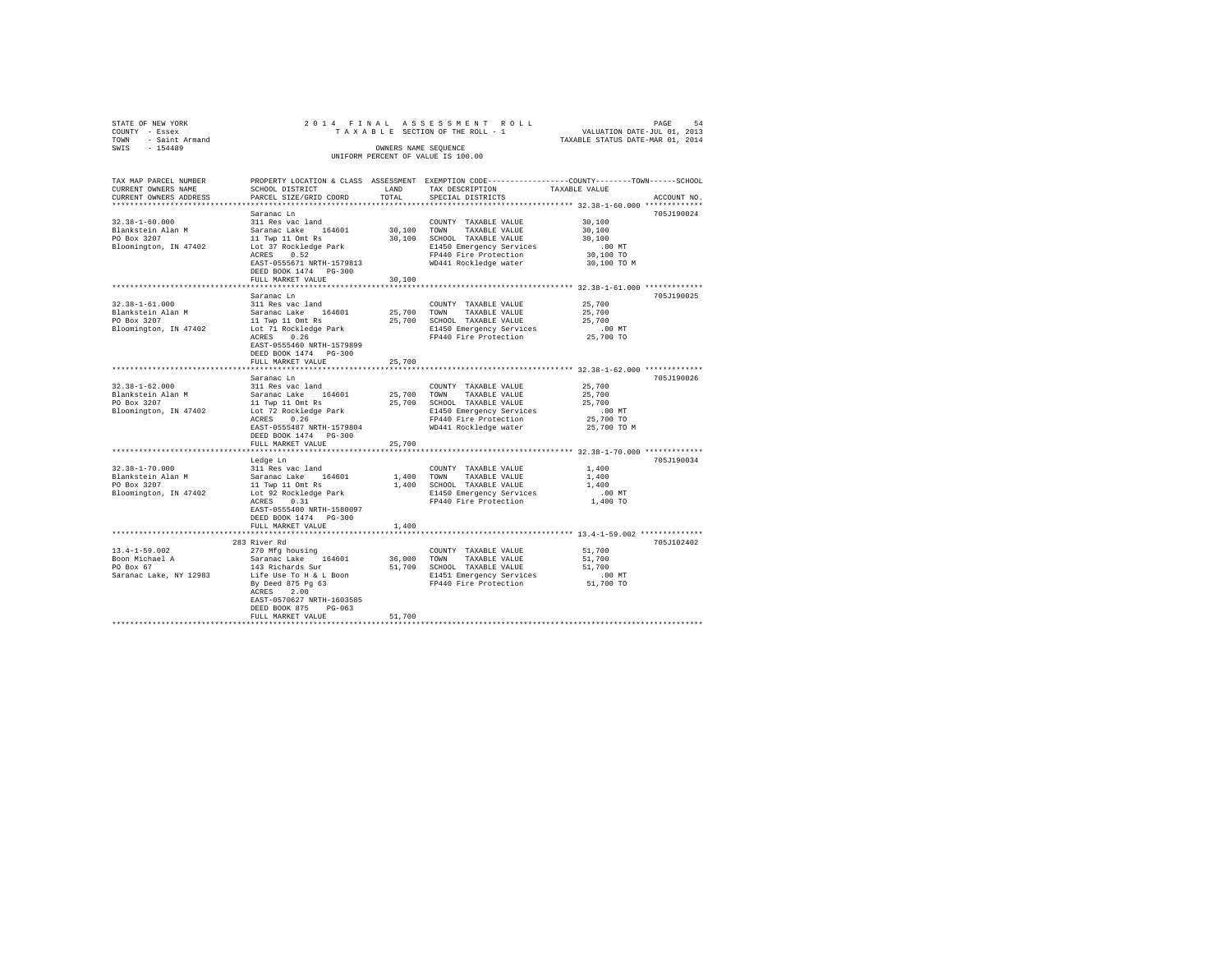| STATE OF NEW YORK<br>COUNTY - Essex<br>TOWN<br>- Saint Armand<br>SWIS - 154489    | 2014 FINAL ASSESSMENT ROLL<br>TAXABLE SECTION OF THE ROLL - 1<br>UNIFORM PERCENT OF VALUE IS 100.00                                                                                            | 54<br>PAGE<br>VALUATION DATE-JUL 01, 2013<br>TAXABLE STATUS DATE-MAR 01, 2014 |                                                                                                                                                     |                                                                                                                                |
|-----------------------------------------------------------------------------------|------------------------------------------------------------------------------------------------------------------------------------------------------------------------------------------------|-------------------------------------------------------------------------------|-----------------------------------------------------------------------------------------------------------------------------------------------------|--------------------------------------------------------------------------------------------------------------------------------|
| TAX MAP PARCEL NUMBER<br>CURRENT OWNERS NAME<br>CURRENT OWNERS ADDRESS            | SCHOOL DISTRICT<br>PARCEL SIZE/GRID COORD                                                                                                                                                      | LAND<br>TOTAL                                                                 | TAX DESCRIPTION<br>SPECIAL DISTRICTS                                                                                                                | PROPERTY LOCATION & CLASS ASSESSMENT EXEMPTION CODE---------------COUNTY-------TOWN-----SCHOOL<br>TAXABLE VALUE<br>ACCOUNT NO. |
| $32.38 - 1 - 60.000$<br>Blankstein Alan M<br>PO Box 3207<br>Bloomington, IN 47402 | Saranac Ln<br>311 Res vac land<br>Saranac Lake<br>164601<br>11 Twp 11 Omt Rs<br>Lot 37 Rockledge Park<br>ACRES 0.52<br>EAST-0555671 NRTH-1579813<br>DEED BOOK 1474 PG-300<br>FULL MARKET VALUE | 30,100<br>30,100<br>30,100                                                    | COUNTY TAXABLE VALUE<br>TOWN<br>TAXABLE VALUE<br>SCHOOL TAXABLE VALUE<br>E1450 Emergency Services<br>FP440 Fire Protection<br>WD441 Rockledge water | 705J190024<br>30,100<br>30,100<br>30,100<br>.00MT<br>30,100 TO<br>30,100 TO M                                                  |
|                                                                                   |                                                                                                                                                                                                |                                                                               |                                                                                                                                                     |                                                                                                                                |
| $32.38 - 1 - 61.000$<br>Blankstein Alan M<br>PO Box 3207<br>Bloomington, IN 47402 | Saranac Ln<br>311 Res vac land<br>Saranac Lake 164601<br>11 Twp 11 Omt Rs<br>Lot 71 Rockledge Park<br>0.26<br>ACRES<br>EAST-0555460 NRTH-1579899<br>DEED BOOK 1474 PG-300<br>FULL MARKET VALUE | 25,700<br>25,700<br>25,700                                                    | COUNTY TAXABLE VALUE<br>TAXABLE VALUE<br>TOWN<br>SCHOOL TAXABLE VALUE<br>E1450 Emergency Services<br>FP440 Fire Protection                          | 705J190025<br>25,700<br>25,700<br>25,700<br>$.00$ MT<br>25,700 TO                                                              |
|                                                                                   |                                                                                                                                                                                                |                                                                               |                                                                                                                                                     |                                                                                                                                |
| $32.38 - 1 - 62.000$<br>Blankstein Alan M<br>PO Box 3207<br>Bloomington, IN 47402 | Saranac Ln<br>311 Res vac land<br>Saranac Lake 164601<br>11 Twp 11 Omt Rs<br>Lot 72 Rockledge Park<br>ACRES 0.26<br>EAST-0555487 NRTH-1579804<br>DEED BOOK 1474   PG-300                       | 25,700<br>25,700                                                              | COUNTY TAXABLE VALUE<br>TOWN<br>TAXABLE VALUE<br>SCHOOL TAXABLE VALUE<br>E1450 Emergency Services<br>FP440 Fire Protection<br>WD441 Rockledge water | 705J190026<br>25,700<br>25,700<br>25,700<br>.00MT<br>25,700 TO<br>25,700 TO M                                                  |
|                                                                                   | FULL MARKET VALUE                                                                                                                                                                              | 25,700                                                                        |                                                                                                                                                     |                                                                                                                                |
| $32.38 - 1 - 70.000$<br>Blankstein Alan M<br>PO Box 3207<br>Bloomington, IN 47402 | Ledge Ln<br>311 Res vac land<br>Saranac Lake 164601<br>11 Twp 11 Omt Rs<br>Lot 92 Rockledge Park<br>ACRES<br>0.31<br>EAST-0555400 NRTH-1580097<br>DEED BOOK 1474 PG-300                        | 1,400<br>1,400                                                                | COUNTY TAXABLE VALUE<br>TOWN<br>TAXABLE VALUE<br>SCHOOL TAXABLE VALUE<br>E1450 Emergency Services<br>FP440 Fire Protection                          | 705J190034<br>1,400<br>1,400<br>1,400<br>$.00$ MT<br>1,400 TO                                                                  |
|                                                                                   | FULL MARKET VALUE<br>***************************                                                                                                                                               | 1,400                                                                         |                                                                                                                                                     |                                                                                                                                |

283 River Rd 705J102402 13.4-1-59.002 270 Mfg housing COUNTY TAXABLE VALUE 51,700 Boon Michael A Saranac Lake 164601 36,000 TOWN TAXABLE VALUE 51,700 PO Box 67 143 Richards Sur 51,700 SCHOOL TAXABLE VALUE 51,700 Saranac Lake, NY 12983 Life Use To H & L Boon E1451 Emergency Services .00 MT By Deed 875 Pg 63 FP440 Fire Protection 51,700 TO ACRES 2.00 EAST-0570627 NRTH-1603585 DEED BOOK 875 PG-063 FULL MARKET VALUE 51,700 \*\*\*\*\*\*\*\*\*\*\*\*\*\*\*\*\*\*\*\*\*\*\*\*\*\*\*\*\*\*\*\*\*\*\*\*\*\*\*\*\*\*\*\*\*\*\*\*\*\*\*\*\*\*\*\*\*\*\*\*\*\*\*\*\*\*\*\*\*\*\*\*\*\*\*\*\*\*\*\*\*\*\*\*\*\*\*\*\*\*\*\*\*\*\*\*\*\*\*\*\*\*\*\*\*\*\*\*\*\*\*\*\*\*\*\*\*\*\*\*\*\*\*\*\*\*\*\*\*\*\*\*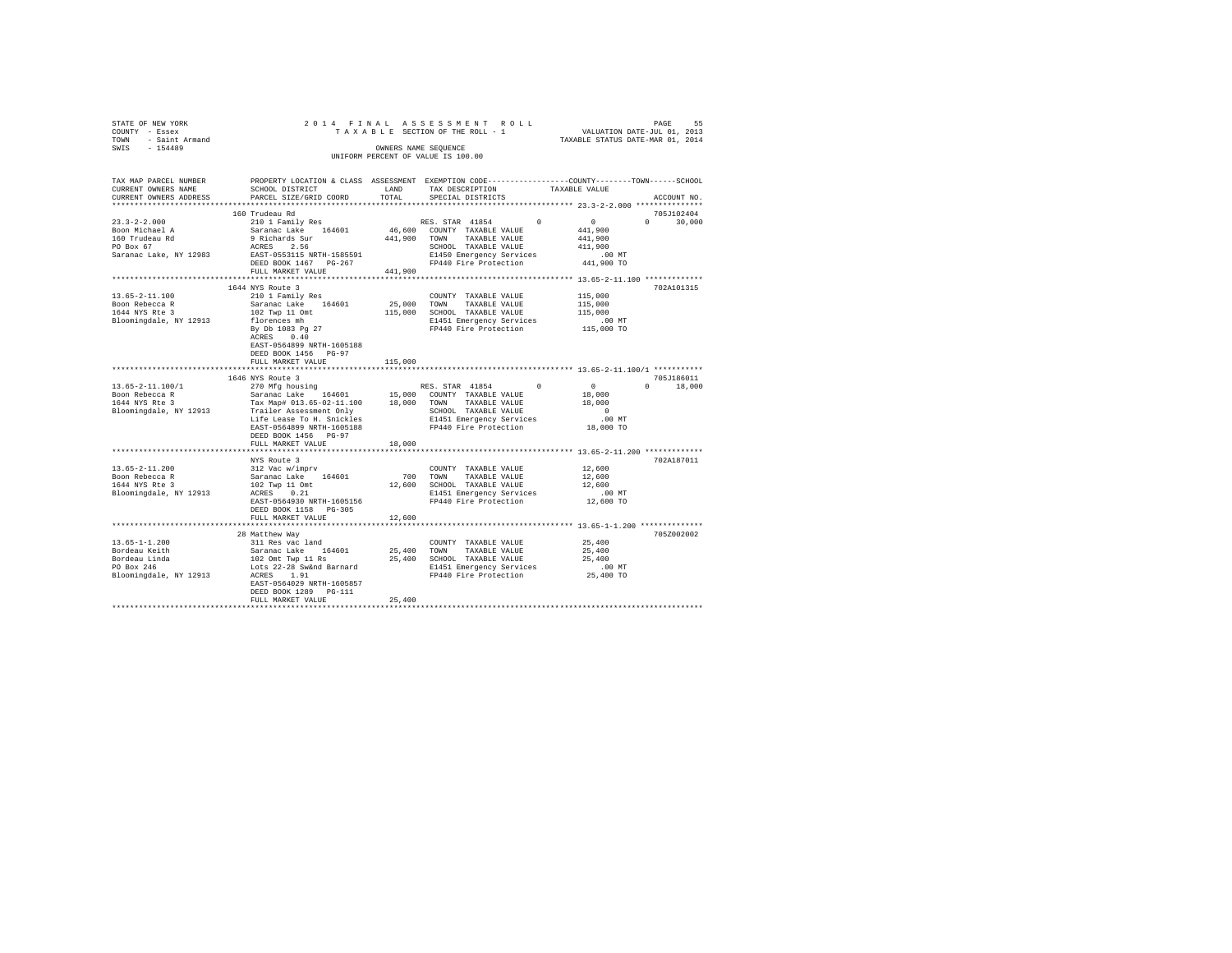|      | STATE OF NEW YORK     |                                                                                                |  | 2014 FINAL ASSESSMENT ROLL                                 |  |                                  | PAGE | 55 |
|------|-----------------------|------------------------------------------------------------------------------------------------|--|------------------------------------------------------------|--|----------------------------------|------|----|
|      | COUNTY - Essex        |                                                                                                |  | TAXABLE SECTION OF THE ROLL - 1                            |  | VALUATION DATE-JUL 01, 2013      |      |    |
|      | TOWN - Saint Armand   |                                                                                                |  |                                                            |  | TAXABLE STATUS DATE-MAR 01, 2014 |      |    |
| SWIS | - 154489              |                                                                                                |  | OWNERS NAME SEOUENCE<br>UNIFORM PERCENT OF VALUE IS 100.00 |  |                                  |      |    |
|      | TAX MAP PARCEL NUMBER | PROPERTY LOCATION & CLASS ASSESSMENT EXEMPTION CODE---------------COUNTY-------TOWN-----SCHOOL |  |                                                            |  |                                  |      |    |

| TAX MAP PARCEL NUMBER  |                                                         |          | PROPERTY LOCATION & CLASS ASSESSMENT EXEMPTION CODE----------------COUNTY-------TOWN-----SCHOOL |                                                   |
|------------------------|---------------------------------------------------------|----------|-------------------------------------------------------------------------------------------------|---------------------------------------------------|
| CURRENT OWNERS NAME    | SCHOOL DISTRICT                                         | LAND     | TAX DESCRIPTION                                                                                 | TAXABLE VALUE                                     |
| CURRENT OWNERS ADDRESS | PARCEL SIZE/GRID COORD                                  | TOTAL    | SPECIAL DISTRICTS                                                                               | ACCOUNT NO.                                       |
|                        |                                                         |          |                                                                                                 |                                                   |
|                        | 160 Trudeau Rd                                          |          |                                                                                                 | 705J102404                                        |
| $23.3 - 2 - 2.000$     | 210 1 Family Res                                        |          | $\sim$ 0<br>RES. STAR 41854                                                                     | $\sim$ 0<br>$\Omega$<br>30,000                    |
| Boon Michael A         | Saranac Lake 164601                                     |          | 46,600 COUNTY TAXABLE VALUE                                                                     | 441,900                                           |
| 160 Trudeau Rd         | 9 Richards Sur                                          |          | 441,900 TOWN TAXABLE VALUE                                                                      | 441,900                                           |
| PO Box 67              | ACRES 2.56                                              |          | SCHOOL TAXABLE VALUE                                                                            | 411,900                                           |
|                        | Saranac Lake, NY 12983 EAST-0553115 NRTH-1585591        |          | E1450 Emergency Services                                                                        | 00 MT.<br>441,900 TO                              |
|                        | DEED BOOK 1467 PG-267                                   |          | FP440 Fire Protection                                                                           |                                                   |
|                        | FULL MARKET VALUE                                       | 441,900  |                                                                                                 |                                                   |
|                        | ***************************                             |          |                                                                                                 |                                                   |
|                        | 1644 NYS Route 3                                        |          |                                                                                                 | 702A101315                                        |
| 13.65-2-11.100         | 210 1 Family Res<br>Saranac Lake 164601                 |          | COUNTY TAXABLE VALUE                                                                            | 115,000                                           |
| Boon Rebecca R         |                                                         |          | 25,000 TOWN TAXABLE VALUE                                                                       | 115,000                                           |
| 1644 NYS Rte 3         | 102 Twp 11 Omt                                          |          | 115,000 SCHOOL TAXABLE VALUE                                                                    | 115,000                                           |
| Bloomingdale, NY 12913 | florences mh                                            |          | E1451 Emergency Services                                                                        | $.00$ MT                                          |
|                        | By Db $1083$ Pg $27$                                    |          | FP440 Fire Protection                                                                           | 115,000 TO                                        |
|                        | ACRES 0.40                                              |          |                                                                                                 |                                                   |
|                        | EAST-0564899 NRTH-1605188                               |          |                                                                                                 |                                                   |
|                        | DEED BOOK 1456 PG-97                                    |          |                                                                                                 |                                                   |
|                        | FULL MARKET VALUE                                       | 115,000  |                                                                                                 |                                                   |
|                        |                                                         |          |                                                                                                 |                                                   |
|                        | 1646 NYS Route 3                                        |          |                                                                                                 | 705J186011                                        |
| 13.65-2-11.100/1       | 270 Mfg housing                                         |          | $\Omega$<br>RES. STAR 41854                                                                     | $\overline{0}$<br>$\Omega$ and $\Omega$<br>18,000 |
| Boon Rebecca R         | Saranac Lake 164601 15,000 COUNTY TAXABLE VALUE         |          |                                                                                                 | 18,000                                            |
| 1644 NYS Rte 3         | Tax Map# 013.65-02-11.100                               |          | 18,000 TOWN TAXABLE VALUE                                                                       | 18,000                                            |
|                        | Bloomingdale, NY 12913 Trailer Assessment Only<br>$I_1$ |          | SCHOOL TAXABLE VALUE                                                                            | $\sim$ 0                                          |
|                        | Life Lease To H. Snickles                               |          | E1451 Emergency Services                                                                        | $.00$ MT                                          |
|                        | EAST-0564899 NRTH-1605188                               |          | FP440 Fire Protection                                                                           | 18,000 TO                                         |
|                        | DEED BOOK 1456 PG-97                                    |          |                                                                                                 |                                                   |
|                        | FULL MARKET VALUE                                       | 18,000   |                                                                                                 |                                                   |
|                        |                                                         |          |                                                                                                 | *********** 13.65-2-11.200 *************          |
|                        | NYS Route 3                                             |          |                                                                                                 | 702A187011                                        |
| $13.65 - 2 - 11.200$   | 312 Vac w/imprv<br>Saranac Lake 164601                  |          | COUNTY TAXABLE VALUE                                                                            | 12,600                                            |
| Boon Rebecca R         |                                                         | 700 TOWN | TAXABLE VALUE                                                                                   | 12,600                                            |
| 1644 NYS Rte 3         | 102 Twp 11 Omt<br>ACRES 0.21                            |          | 12,600 SCHOOL TAXABLE VALUE                                                                     | 12,600                                            |
| Bloomingdale, NY 12913 | ACRES 0.21                                              |          | E1451 Emergency Services                                                                        | .00 MT                                            |
|                        | EAST-0564930 NRTH-1605156                               |          | FP440 Fire Protection                                                                           | 12,600 TO                                         |
|                        | DEED BOOK 1158 PG-305                                   |          |                                                                                                 |                                                   |
|                        | FULL MARKET VALUE                                       | 12,600   |                                                                                                 |                                                   |
|                        |                                                         |          |                                                                                                 |                                                   |
|                        | 28 Matthew Way                                          |          |                                                                                                 | 705Z002002                                        |
| $13.65 - 1 - 1.200$    | 311 Res vac land                                        |          | COUNTY TAXABLE VALUE                                                                            | 25,400                                            |
| Bordeau Keith          | Saranac Lake 164601<br>102 Omt Twp 11 Rs                |          | 25,400 TOWN TAXABLE VALUE                                                                       | 25,400                                            |
| Bordeau Linda          |                                                         |          | 25,400 SCHOOL TAXABLE VALUE                                                                     | 25,400                                            |
| PO Box 246             | Lots 22-28 Sw&nd Barnard                                |          | E1451 Emergency Services                                                                        | $.00$ MT                                          |
| Bloomingdale, NY 12913 | ACRES 1.91                                              |          | FP440 Fire Protection                                                                           | $25,400$ TO                                       |
|                        | EAST-0564029 NRTH-1605857                               |          |                                                                                                 |                                                   |
|                        | DEED BOOK 1289 PG-111                                   |          |                                                                                                 |                                                   |
|                        | FULL MARKET VALUE                                       | 25,400   |                                                                                                 |                                                   |
|                        |                                                         |          |                                                                                                 |                                                   |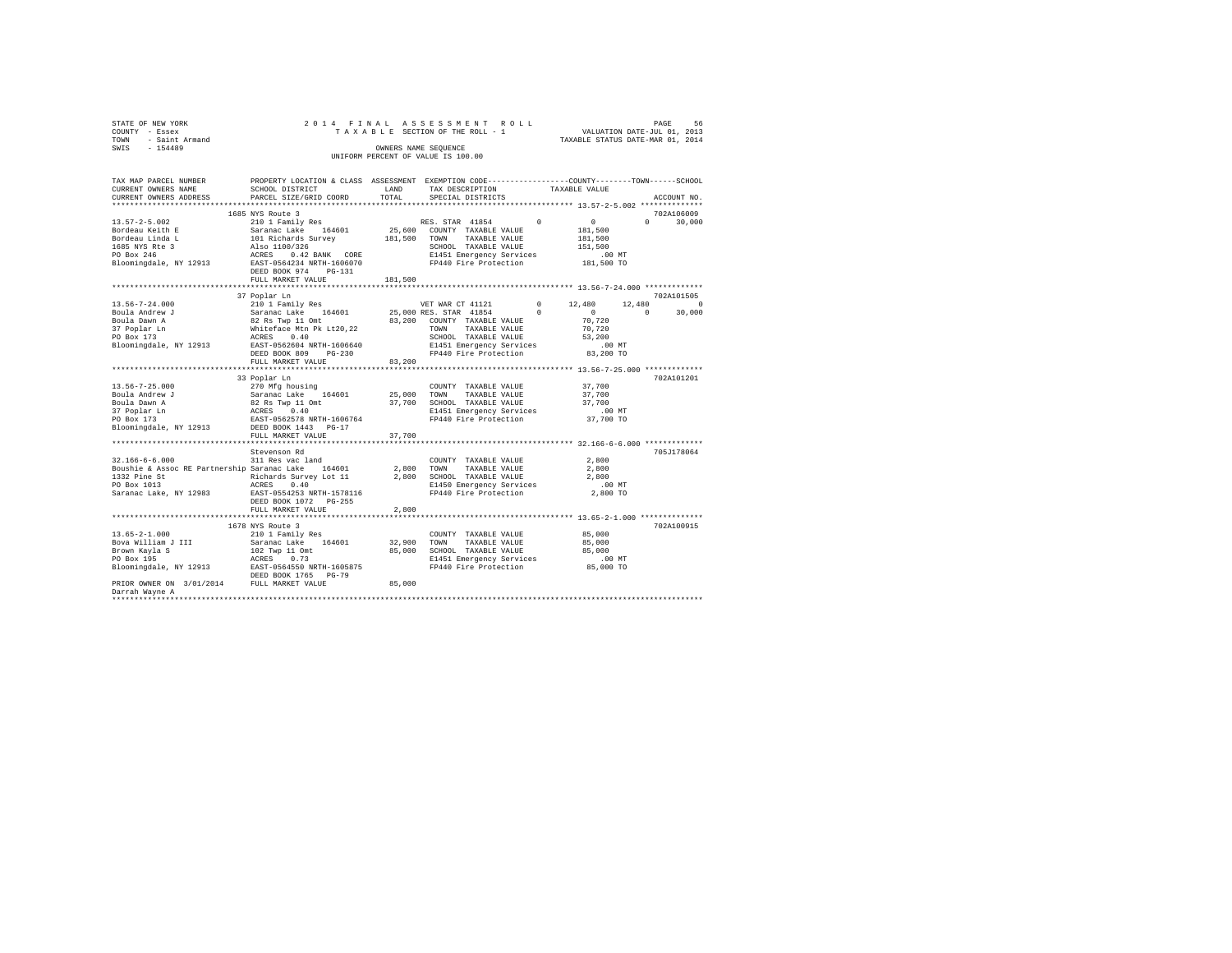| STATE OF NEW YORK                                  |                                                                                                  |              | 2014 FINAL ASSESSMENT ROLL         |          | PAGE 56<br>VALUATION DATE-JUL 01, 2013 |          |             |
|----------------------------------------------------|--------------------------------------------------------------------------------------------------|--------------|------------------------------------|----------|----------------------------------------|----------|-------------|
| COUNTY - Essex                                     |                                                                                                  |              | TAXABLE SECTION OF THE ROLL - 1    |          |                                        |          |             |
| TOWN - Saint Armand                                |                                                                                                  |              |                                    |          | TAXABLE STATUS DATE-MAR 01, 2014       |          |             |
| SWIS - 154489                                      |                                                                                                  |              | OWNERS NAME SEQUENCE               |          |                                        |          |             |
|                                                    |                                                                                                  |              | UNIFORM PERCENT OF VALUE IS 100.00 |          |                                        |          |             |
|                                                    |                                                                                                  |              |                                    |          |                                        |          |             |
|                                                    |                                                                                                  |              |                                    |          |                                        |          |             |
| TAX MAP PARCEL NUMBER                              | PROPERTY LOCATION & CLASS ASSESSMENT EXEMPTION CODE----------------COUNTY-------TOWN------SCHOOL |              |                                    |          |                                        |          |             |
| CURRENT OWNERS NAME                                | SCHOOL DISTRICT                                                                                  | LAND         | TAX DESCRIPTION                    |          | TAXABLE VALUE                          |          |             |
| CURRENT OWNERS ADDRESS                             | PARCEL SIZE/GRID COORD                                                                           | TOTAL        | SPECIAL DISTRICTS                  |          |                                        |          | ACCOUNT NO. |
|                                                    |                                                                                                  |              |                                    |          |                                        |          |             |
|                                                    |                                                                                                  |              |                                    |          |                                        |          |             |
|                                                    | 1685 NYS Route 3                                                                                 |              |                                    |          |                                        |          | 702A106009  |
| $13.57 - 2 - 5.002$                                | 210 1 Family Res                                                                                 |              | RES. STAR 41854                    | $\Omega$ | $\sim$ 0                               | $\Omega$ | 30,000      |
| Bordeau Keith E                                    |                                                                                                  |              | 25,600 COUNTY TAXABLE VALUE        |          | 181,500                                |          |             |
| Bordeau Linda L                                    |                                                                                                  | 181,500 TOWN | TAXABLE VALUE                      |          | 181,500                                |          |             |
| 1685 NYS Rte 3<br>PO Box 246                       |                                                                                                  |              | SCHOOL TAXABLE VALUE               |          | 151,500                                |          |             |
|                                                    | Saranac Lake 164601<br>101 Richards Survey<br>Also 1100/326<br>ACRES 0.42 BANK CORE              |              | E1451 Emergency Services           |          | $.00$ MT                               |          |             |
| Bloomingdale, NY 12913                             | EAST-0564234 NRTH-1606070                                                                        |              | FP440 Fire Protection              |          | 181,500 TO                             |          |             |
|                                                    | DEED BOOK 974 PG-131                                                                             |              |                                    |          |                                        |          |             |
|                                                    | FULL MARKET VALUE                                                                                | 181,500      |                                    |          |                                        |          |             |
|                                                    |                                                                                                  |              |                                    |          |                                        |          |             |
|                                                    | 37 Poplar Ln                                                                                     |              |                                    |          |                                        |          | 702A101505  |
| $13.56 - 7 - 24.000$                               | 210 1 Family Res                                                                                 |              | VET WAR CT 41121 0 12,480          |          |                                        | 12,480   | $\sim$ 0    |
| Boula Andrew J                                     | Saranac Lake 164601                                                                              |              | 25,000 RES. STAR 41854             | $\sim$ 0 | $\sim$ 0                               | $\Omega$ | 30,000      |
| Boula Dawn A                                       | 82 Rs Twp 11 Omt<br>Whiteface Mtn Pk Lt20,22                                                     |              | 83,200 COUNTY TAXABLE VALUE        |          | 70.720                                 |          |             |
| 37 Poplar Ln                                       |                                                                                                  |              | TOWN<br>TAXABLE VALUE              |          | 70.720                                 |          |             |
| PO Box 173                                         | ACRES 0.40                                                                                       |              |                                    |          | 53,200                                 |          |             |
|                                                    |                                                                                                  |              | SCHOOL TAXABLE VALUE               |          |                                        |          |             |
| Bloomingdale, NY 12913                             | EAST-0562604 NRTH-1606640                                                                        |              | E1451 Emergency Services           |          | $.00$ MT                               |          |             |
|                                                    | DEED BOOK 809 PG-230                                                                             |              | FP440 Fire Protection              |          | 83,200 TO                              |          |             |
|                                                    | FULL MARKET VALUE                                                                                | 83,200       |                                    |          |                                        |          |             |
|                                                    |                                                                                                  |              |                                    |          |                                        |          |             |
|                                                    | 33 Poplar Ln                                                                                     |              |                                    |          |                                        |          | 702A101201  |
| $13.56 - 7 - 25.000$                               | 270 Mfg housing                                                                                  |              | COUNTY TAXABLE VALUE               |          | 37,700                                 |          |             |
| Boula Andrew J                                     | Saranac Lake 164601                                                                              | 25,000       | TOWN<br>TAXABLE VALUE              |          | 37,700                                 |          |             |
| Boula Dawn A                                       | 82 Rs Twp 11 Omt<br>ACRES 0.40                                                                   |              | 37,700 SCHOOL TAXABLE VALUE        |          | 37,700                                 |          |             |
| 37 Poplar Ln<br>37 Poplar Ln<br>PO Box 173         |                                                                                                  |              | E1451 Emergency Services           |          | $.00$ MT                               |          |             |
|                                                    | EAST-0562578 NRTH-1606764                                                                        |              | FP440 Fire Protection              |          | 37,700 TO                              |          |             |
| Bloomingdale, NY 12913                             | DEED BOOK 1443 PG-17                                                                             |              |                                    |          |                                        |          |             |
|                                                    | FULL MARKET VALUE                                                                                | 37,700       |                                    |          |                                        |          |             |
|                                                    |                                                                                                  |              |                                    |          |                                        |          |             |
|                                                    | Stevenson Rd                                                                                     |              |                                    |          |                                        |          | 705J178064  |
| $32.166 - 6 - 6.000$                               | 311 Res vac land                                                                                 |              | COUNTY TAXABLE VALUE               |          | 2,800                                  |          |             |
| Boushie & Assoc RE Partnership Saranac Lake 164601 |                                                                                                  | 2,800        | TOWN<br>TAXABLE VALUE              |          | 2,800                                  |          |             |
|                                                    |                                                                                                  |              | 2,800 SCHOOL TAXABLE VALUE         |          | 2,800                                  |          |             |
|                                                    |                                                                                                  |              | E1450 Emergency Services           |          | .00 MT                                 |          |             |
| Saranac Lake, NY 12983                             | EAST-0554253 NRTH-1578116                                                                        |              | FP440 Fire Protection              |          | 2,800 TO                               |          |             |
|                                                    | DEED BOOK 1072 PG-255                                                                            |              |                                    |          |                                        |          |             |
|                                                    | FULL MARKET VALUE                                                                                | 2,800        |                                    |          |                                        |          |             |
|                                                    |                                                                                                  |              |                                    |          |                                        |          |             |
|                                                    |                                                                                                  |              |                                    |          |                                        |          |             |
|                                                    | 1678 NYS Route 3                                                                                 |              |                                    |          |                                        |          | 702A100915  |
| $13.65 - 2 - 1.000$                                | 210 1 Family Res                                                                                 |              | COUNTY TAXABLE VALUE               |          | 85,000                                 |          |             |
| Bova William J III                                 | Saranac Lake 164601                                                                              | 32,900       | TOWN<br>TAXABLE VALUE              |          | 85,000                                 |          |             |
| Brown Kayla S<br>PO Box 195                        | 102 Twp 11 Omt<br>ACRES 0.73                                                                     |              | 85,000 SCHOOL TAXABLE VALUE        |          | 85,000                                 |          |             |
|                                                    |                                                                                                  |              | E1451 Emergency Services           |          | .00MT                                  |          |             |
| Bloomingdale, NY 12913 EAST-0564550 NRTH-1605875   |                                                                                                  |              | FP440 Fire Protection              |          | 85,000 TO                              |          |             |
|                                                    | DEED BOOK 1765 PG-79                                                                             |              |                                    |          |                                        |          |             |
| PRIOR OWNER ON 3/01/2014 FULL MARKET VALUE         |                                                                                                  | 85,000       |                                    |          |                                        |          |             |
| Darrah Wayne A                                     |                                                                                                  |              |                                    |          |                                        |          |             |
|                                                    |                                                                                                  |              |                                    |          |                                        |          |             |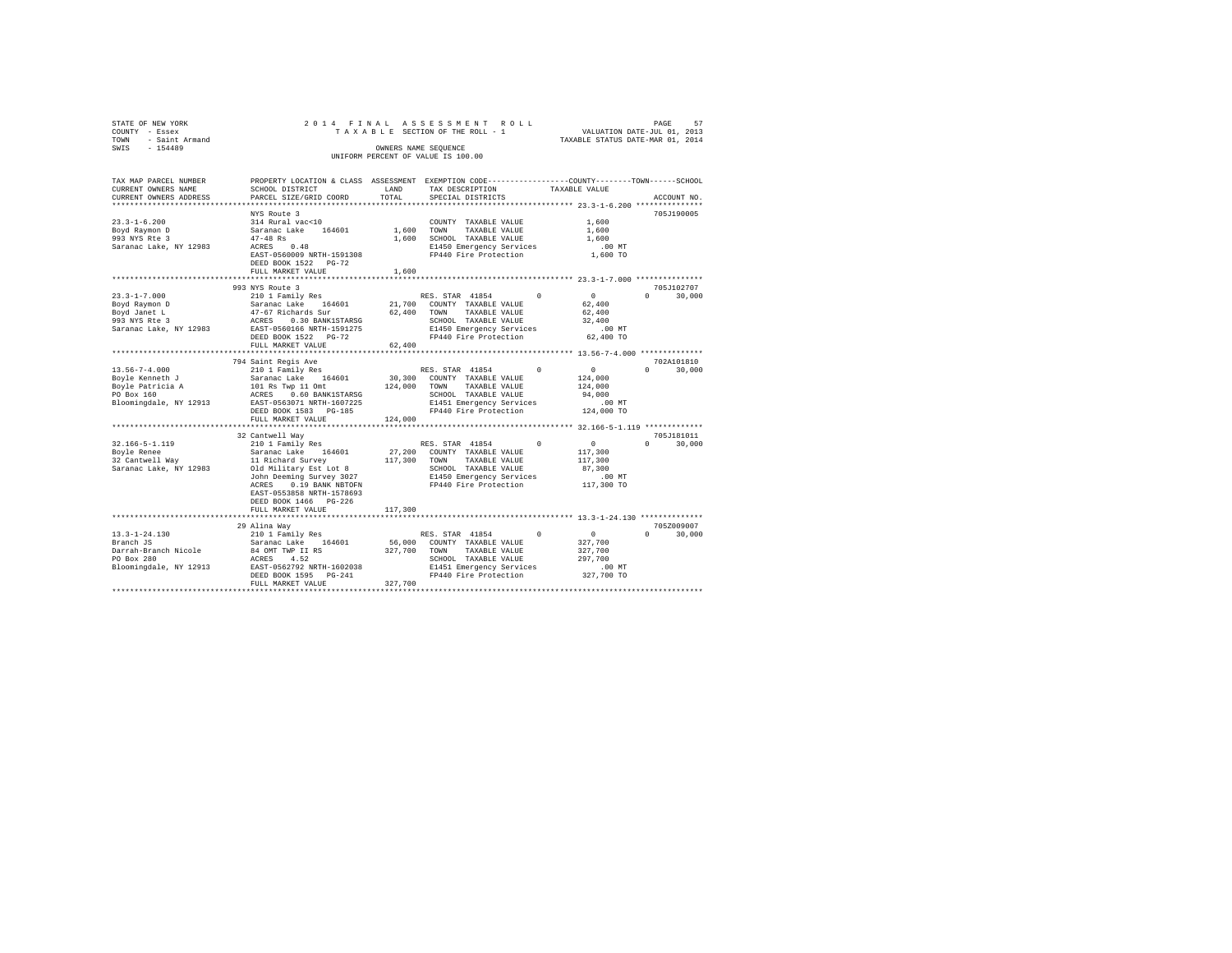| STATE OF NEW YORK<br>COUNTY - Essex<br>- Saint Armand<br>TOWN<br>SWIS - 154489 |                                                                                                                                                 | 2014 FINAL ASSESSMENT ROLL<br>TAXABLE SECTION OF THE ROLL - 1 VALUATION DATE-JUL 01, 2013<br>OWNERS NAME SEQUENCE<br>UNIFORM PERCENT OF VALUE IS 100.00                                                                                                                                                                                                                                                                                                                                                                                                                 | 57<br>PAGE<br>TAXABLE STATUS DATE-MAR 01, 2014                                                                          |
|--------------------------------------------------------------------------------|-------------------------------------------------------------------------------------------------------------------------------------------------|-------------------------------------------------------------------------------------------------------------------------------------------------------------------------------------------------------------------------------------------------------------------------------------------------------------------------------------------------------------------------------------------------------------------------------------------------------------------------------------------------------------------------------------------------------------------------|-------------------------------------------------------------------------------------------------------------------------|
| CURRENT OWNERS NAME SCHOOL DISTRICT                                            |                                                                                                                                                 | TAX MAP PARCEL NUMBER PROPERTY LOCATION & CLASS ASSESSMENT EXEMPTION CODE--------------COUNTY-------TOWN-----SCHOOL<br>LAND TAX DESCRIPTION TAXABLE VALUE<br>$\texttt{CURER} \texttt{RINR} \texttt{SODES} \texttt{DDES} \texttt{DRES} \texttt{DRES} \texttt{SIDE} \texttt{SDER} \texttt{GODE} \texttt{DCE} \texttt{SPECIR} \texttt{DSER} \texttt{SDER} \texttt{SDER} \texttt{DSES} \texttt{DSES} \texttt{DSES} \texttt{DSES} \texttt{DSES} \texttt{DSES} \texttt{DSES} \texttt{DSES} \texttt{DSES} \texttt{DSES} \texttt{DSES} \texttt{DSES} \texttt{DSES} \texttt{DSE$ |                                                                                                                         |
|                                                                                | NYS Route 3<br>$23.3 - 1 - 6.200$ 314 Rural vac<10<br>Boyd Raymon D Saranac Lake 164601 1,600 TOWN<br>DEED BOOK 1522 PG-72<br>FULL MARKET VALUE | COUNTY TAXABLE VALUE 1,600<br>TAXABLE VALUE 1,600<br>E1450 Emergency Services .00 MT<br>EAST-0560009 NRTH-1591308 FP440 Fire Protection 1.600 TO<br>1,600                                                                                                                                                                                                                                                                                                                                                                                                               | 705J190005                                                                                                              |
| $23.3 - 1 - 7.000$<br>Boyd Raymon D                                            | 993 NYS Route 3                                                                                                                                 | Saranac Lake 164601 21,700 COUNTY TAXABLE VALUE                                                                                                                                                                                                                                                                                                                                                                                                                                                                                                                         | 705J102707<br>$\sim$ 0.000 $\sim$ 0.000 $\sim$ 0.000 $\sim$ 0.000 $\sim$ 0.000 $\sim$<br>30,000<br>$^{\circ}$<br>62,400 |

| Bovd Janet L                                                                                                       | 47-67 Richards Sur<br>DEED BOOK 1522 PG-72<br>62,400<br>FULL MARKET VALUE                                                                                                                                                                                                                                     | 62,400 | TOWN TAXABLE VALUE<br>SCHOOL TAXABLE VALUE<br>E1450 Emergency Services<br>FP440 Fire Protection 62.400 TO                                                  | 62,400<br>32,400<br>$.00$ MT                                  |                    |
|--------------------------------------------------------------------------------------------------------------------|---------------------------------------------------------------------------------------------------------------------------------------------------------------------------------------------------------------------------------------------------------------------------------------------------------------|--------|------------------------------------------------------------------------------------------------------------------------------------------------------------|---------------------------------------------------------------|--------------------|
|                                                                                                                    | 794 Saint Regis Ave                                                                                                                                                                                                                                                                                           |        |                                                                                                                                                            |                                                               | 702A101810         |
| $13.56 - 7 - 4.000$<br>Boyle Kenneth J                                                                             | Saranac Lake 164601 30,300 COUNTY TAXABLE VALUE<br>Example Data and the Same of the Community of the Same Particle Association of the Same Community of the Same C<br>Policy of the Same Data of the Same of the Same Community of the Same Particle School of the Same Particle Sam<br>DEED BOOK 1583 PG-185 |        | E1451 Emergency Services                                                                                                                                   | $\sim$ 0.000 $\sim$<br>124,000<br>124,000<br>94,000<br>.00 MT | $\Omega$<br>30,000 |
|                                                                                                                    | FULL MARKET VALUE<br>124,000                                                                                                                                                                                                                                                                                  |        |                                                                                                                                                            |                                                               |                    |
|                                                                                                                    | 32 Cantwell Wav                                                                                                                                                                                                                                                                                               |        |                                                                                                                                                            |                                                               | 705.T181011        |
| $32.166 - 5 - 1.119$<br>Saranac Lake, NY 12983                                                                     | Old Military Est Lot 8<br>John Deeming Survey 3027<br>ACRES 0.19 BANK NBTOFN<br>EAST-0553858 NRTH-1578693<br>DEED BOOK 1466 PG-226                                                                                                                                                                            |        | SCHOOL TAXABLE VALUE<br>E1450 Emergency Services .00 MT<br>FP440 Fire Protection 117,300 TO                                                                | $\sim$ 0 $\sim$<br>117,300<br>117,300<br>87,300               | 30,000<br>$\Omega$ |
|                                                                                                                    | FULL MARKET VALUE 117,300                                                                                                                                                                                                                                                                                     |        |                                                                                                                                                            |                                                               |                    |
|                                                                                                                    | 29 Alina Way                                                                                                                                                                                                                                                                                                  |        |                                                                                                                                                            |                                                               | 705Z009007         |
| $13.3 - 1 - 24.130$<br>Branch JS<br>Darrah-Branch Nicole  84 OMT TWP II RS<br>PO Box 280<br>Bloomingdale, NY 12913 | Saranac Lake 164601 56,000 COUNTY TAXABLE VALUE<br>327,700<br>ACRES 4.52<br>EAST-0562792 NRTH-1602038<br>DEED BOOK 1595 PG-241<br>327,700                                                                                                                                                                     |        | 210 1 Family Res 60 NES. STAR 41854 0<br>TOWN<br>TAXABLE VALUE 327,700<br>SCHOOL TAXABLE VALUE<br>E1451 Emergency Services .00 MT<br>FP440 Fire Protection | $\sim$ 0<br>327,700<br>297,700<br>327,700 TO                  | 30,000<br>$\Omega$ |
|                                                                                                                    | FULL MARKET VALUE                                                                                                                                                                                                                                                                                             |        |                                                                                                                                                            |                                                               |                    |
|                                                                                                                    |                                                                                                                                                                                                                                                                                                               |        |                                                                                                                                                            |                                                               |                    |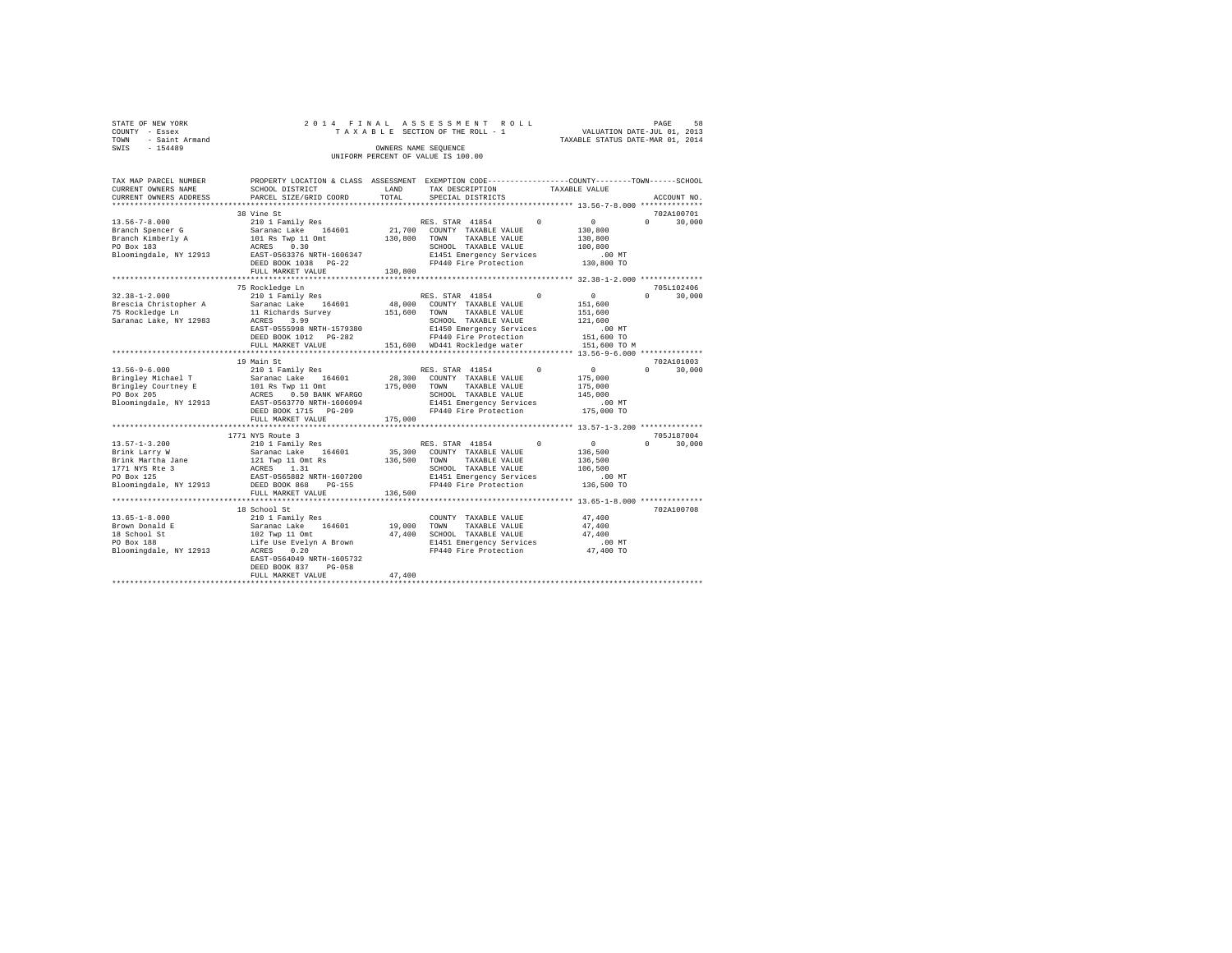| COUNTY - Essex | STATE OF NEW YORK |  |  |  | 2014 FINAL ASSESSMENT ROLL<br>TAXABLE SECTION OF THE ROLL - 1 |                                  | PAGE<br>VALUATION DATE-JUL 01, 2013 | 58 |
|----------------|-------------------|--|--|--|---------------------------------------------------------------|----------------------------------|-------------------------------------|----|
| TOWN           | - Saint Armand    |  |  |  |                                                               | TAXABLE STATUS DATE-MAR 01, 2014 |                                     |    |
| SWIS           | $-154489$         |  |  |  | OWNERS NAME SEOUENCE<br>UNIFORM PERCENT OF VALUE IS 100.00    |                                  |                                     |    |

| TAX MAP PARCEL NUMBER<br>CURRENT OWNERS NAME<br>CURRENT OWNERS ADDRESS                                                            | PROPERTY LOCATION & CLASS ASSESSMENT EXEMPTION CODE----------------COUNTY-------TOWN-----SCHOOL<br>SCHOOL DISTRICT<br>PARCEL SIZE/GRID COORD                                                         | LAND<br>TOTAL                | TAX DESCRIPTION<br>SPECIAL DISTRICTS                                                                                                                                           |            | TAXABLE VALUE                                                                      | ACCOUNT NO.                      |
|-----------------------------------------------------------------------------------------------------------------------------------|------------------------------------------------------------------------------------------------------------------------------------------------------------------------------------------------------|------------------------------|--------------------------------------------------------------------------------------------------------------------------------------------------------------------------------|------------|------------------------------------------------------------------------------------|----------------------------------|
| *************************                                                                                                         |                                                                                                                                                                                                      |                              |                                                                                                                                                                                |            |                                                                                    |                                  |
|                                                                                                                                   | 38 Vine St                                                                                                                                                                                           |                              |                                                                                                                                                                                |            |                                                                                    | 702A100701                       |
| $13.56 - 7 - 8.000$<br>Branch Spencer G<br>Branch Kimberly A<br>PO Box 183<br>Bloomingdale, NY 12913                              | 210 1 Family Res<br>Saranac Lake 164601<br>101 Rs Twp 11 Omt<br>ACRES 0.30<br>EAST-0563376 NRTH-1606347<br>DEED BOOK 1038 PG-22<br>FULL MARKET VALUE                                                 | 130,800 TOWN<br>130,800      | RES. STAR 41854<br>21,700 COUNTY TAXABLE VALUE<br>TAXABLE VALUE<br>SCHOOL TAXABLE VALUE<br>E1451 Emergency Services<br>FP440 Fire Protection                                   | $\sim$     | $\overline{0}$<br>130,800<br>130,800<br>100,800<br>.00 MT<br>130,800 TO            | $\Omega$<br>30,000               |
|                                                                                                                                   |                                                                                                                                                                                                      |                              |                                                                                                                                                                                |            |                                                                                    |                                  |
| $32.38 - 1 - 2.000$<br>Brescia Christopher A<br>75 Rockledge Ln<br>Saranac Lake, NY 12983                                         | 75 Rockledge Ln<br>210 1 Family Res<br>Saranac Lake 164601<br>11 Richards Survey<br>3.99<br>ACRES<br>EAST-0555998 NRTH-1579380<br>DEED BOOK 1012 PG-282<br>FULL MARKET VALUE                         | 48,000<br>151,600            | RES. STAR 41854<br>COUNTY TAXABLE VALUE<br>TOWN<br>TAXABLE VALUE<br>SCHOOL TAXABLE VALUE<br>E1450 Emergency Services<br>FP440 Fire Protection<br>151.600 WD441 Rockledge water | $^{\circ}$ | $\circ$<br>151,600<br>151,600<br>121,600<br>$.00$ MT<br>151,600 TO<br>151,600 TO M | 705L102406<br>$\Omega$<br>30,000 |
|                                                                                                                                   | 19 Main St                                                                                                                                                                                           |                              |                                                                                                                                                                                |            |                                                                                    | 702A101003                       |
| $13.56 - 9 - 6.000$<br>Bringley Michael T<br>Bloomingdale, NY 12913                                                               | 210 1 Family Res<br>Saranac Lake 164601<br>EAST-0563770 NRTH-1606094<br>DEED BOOK 1715 PG-209<br>FULL MARKET VALUE                                                                                   | 28,300<br>175,000<br>175,000 | RES. STAR 41854<br>COUNTY TAXABLE VALUE<br>TOWN<br>TAXABLE VALUE<br>SCHOOL TAXABLE VALUE<br>E1451 Emergency Services<br>FP440 Fire Protection                                  | $\Omega$   | 0<br>175,000<br>175,000<br>145,000<br>$.00$ MT<br>175,000 TO                       | $\Omega$<br>30,000               |
|                                                                                                                                   |                                                                                                                                                                                                      |                              |                                                                                                                                                                                |            |                                                                                    |                                  |
| $13.57 - 1 - 3.200$<br>Brink Larry W<br>Brink Martha Jane<br>1771 NYS Rte 3<br>PO Box 125<br>Bloomingdale, NY 12913 DEED BOOK 868 | 1771 NYS Route 3<br>210 1 Family Res<br>Saranac Lake 164601<br>121 Twp 11 Omt Rs<br>ACRES 1.31<br>EAST-0565882 NRTH-1607200<br>PG-155<br>FULL MARKET VALUE                                           | 35,300<br>136,500<br>136,500 | RES. STAR 41854<br>COUNTY TAXABLE VALUE<br>TOWN<br>TAXABLE VALUE<br>SCHOOL TAXABLE VALUE<br>E1451 Emergency Services<br>FP440 Fire Protection                                  | $\Omega$   | $\sim$ 0<br>136,500<br>136,500<br>106,500<br>$.00$ MT<br>136,500 TO                | 705J187004<br>$\Omega$<br>30,000 |
|                                                                                                                                   |                                                                                                                                                                                                      |                              |                                                                                                                                                                                |            | **************** 13.65-1-8.000 *************                                       |                                  |
| $13.65 - 1 - 8.000$<br>Brown Donald E<br>18 School St<br>PO Box 188<br>Bloomingdale, NY 12913                                     | 18 School St<br>210 1 Family Res<br>Saranac Lake 164601<br>102 Twp 11 Omt<br>Life Use Evelyn A Brown<br>0.20<br>ACRES<br>EAST-0564049 NRTH-1605732<br>DEED BOOK 837<br>$PG-058$<br>FULL MARKET VALUE | 19,000<br>47,400<br>47,400   | COUNTY TAXABLE VALUE<br>TOWN<br>TAXABLE VALUE<br>SCHOOL TAXABLE VALUE<br>E1451 Emergency Services<br>FP440 Fire Protection 47,400 TO                                           |            | 47,400<br>47.400<br>47,400<br>$.00$ MT                                             | 702A100708                       |
|                                                                                                                                   |                                                                                                                                                                                                      |                              |                                                                                                                                                                                |            |                                                                                    |                                  |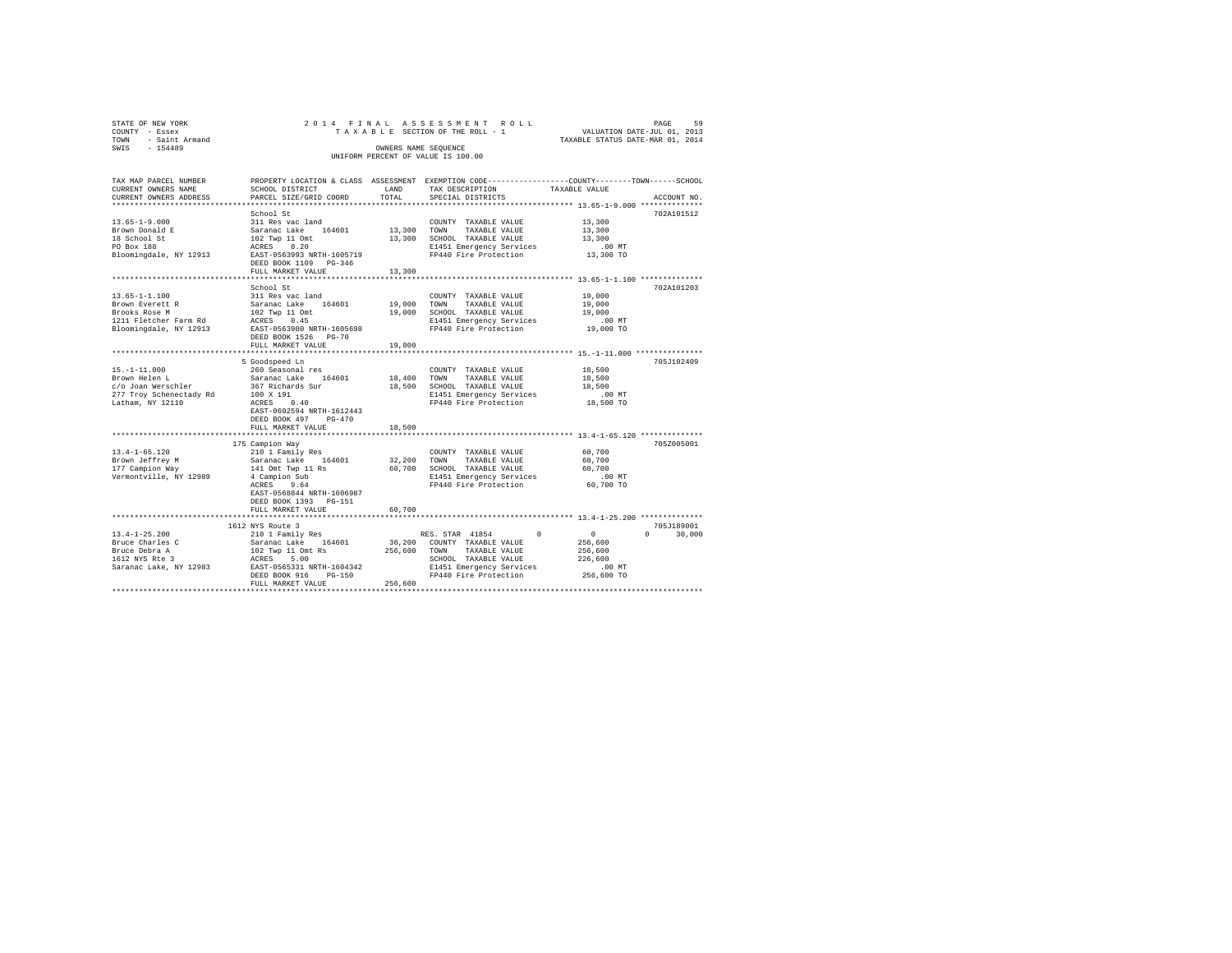| STATE OF NEW YORK                     |                                                                                                                                                                                                                                |        | 2014 FINAL ASSESSMENT ROLL                                                       | PAGE 59<br>VALUATION DATE-JUL 01, 2013 |               |
|---------------------------------------|--------------------------------------------------------------------------------------------------------------------------------------------------------------------------------------------------------------------------------|--------|----------------------------------------------------------------------------------|----------------------------------------|---------------|
| COUNTY - Essex<br>TOWN - Saint Armand |                                                                                                                                                                                                                                |        | TAXABLE SECTION OF THE ROLL - 1                                                  | TAXABLE STATUS DATE-MAR 01, 2014       |               |
| SWIS - 154489                         |                                                                                                                                                                                                                                |        | OWNERS NAME SEOUENCE                                                             |                                        |               |
|                                       |                                                                                                                                                                                                                                |        | UNIFORM PERCENT OF VALUE IS 100.00                                               |                                        |               |
|                                       |                                                                                                                                                                                                                                |        |                                                                                  |                                        |               |
| TAX MAP PARCEL NUMBER                 | PROPERTY LOCATION & CLASS ASSESSMENT EXEMPTION CODE----------------COUNTY-------TOWN-----SCHOOL                                                                                                                                |        |                                                                                  |                                        |               |
| CURRENT OWNERS NAME                   | SCHOOL DISTRICT                                                                                                                                                                                                                | LAND   | TAX DESCRIPTION                                                                  | TAXABLE VALUE                          |               |
| CURRENT OWNERS ADDRESS                | PARCEL SIZE/GRID COORD                                                                                                                                                                                                         | TOTAL  | SPECIAL DISTRICTS                                                                |                                        | ACCOUNT NO.   |
|                                       |                                                                                                                                                                                                                                |        |                                                                                  |                                        |               |
|                                       | School St                                                                                                                                                                                                                      |        |                                                                                  |                                        | 702A101512    |
| $13.65 - 1 - 9.000$                   | 311 Res vac land<br>Saranac Lake 164601 13,300                                                                                                                                                                                 |        | COUNTY TAXABLE VALUE                                                             | 13,300                                 |               |
| Brown Donald E                        |                                                                                                                                                                                                                                |        | TAXABLE VALUE<br>TOWN                                                            | 13,300                                 |               |
| 18 School St                          | 102 Twp 11 Omt<br>ACRES 0.20                                                                                                                                                                                                   |        | 13,300 SCHOOL TAXABLE VALUE                                                      | 13,300                                 |               |
| PO Box 188                            |                                                                                                                                                                                                                                |        | E1451 Emergency Services .00 MT<br>FP440 Fire Protection 13,300 TO               |                                        |               |
|                                       | Bloomingdale, NY 12913 EAST-0563993 NRTH-1605719                                                                                                                                                                               |        |                                                                                  |                                        |               |
|                                       | DEED BOOK 1109 PG-346                                                                                                                                                                                                          |        |                                                                                  |                                        |               |
|                                       | FULL MARKET VALUE                                                                                                                                                                                                              | 13,300 |                                                                                  |                                        |               |
|                                       |                                                                                                                                                                                                                                |        |                                                                                  |                                        |               |
|                                       | School St                                                                                                                                                                                                                      |        |                                                                                  |                                        | 702A101203    |
| $13.65 - 1 - 1.100$                   | 311 Res vac land                                                                                                                                                                                                               |        | COUNTY TAXABLE VALUE                                                             | 19,000                                 |               |
| Brown Everett R<br>Brooks Rose M      | Saranac Lake 164601                                                                                                                                                                                                            |        | 19,000 TOWN TAXABLE VALUE                                                        | 19,000                                 |               |
|                                       | 102 Twp 11 Omt<br>ACRES 0.45 19,000 SCHOOL TAXABLE VALUE<br>E1451 Emergency Services                                                                                                                                           |        |                                                                                  | 19,000                                 |               |
| 1211 Fletcher Farm Rd                 |                                                                                                                                                                                                                                |        |                                                                                  | 00 MT.<br>19,000 TO                    |               |
| Bloomingdale, NY 12913                | EAST-0563900 NRTH-1605698                                                                                                                                                                                                      |        | FP440 Fire Protection                                                            |                                        |               |
|                                       | DEED BOOK 1526    PG-70<br>FULL MARKET VALUE                                                                                                                                                                                   | 19,000 |                                                                                  |                                        |               |
|                                       |                                                                                                                                                                                                                                |        |                                                                                  |                                        |               |
|                                       | 5 Goodspeed Ln                                                                                                                                                                                                                 |        |                                                                                  |                                        | 705J102409    |
|                                       |                                                                                                                                                                                                                                |        | COUNTY TAXABLE VALUE                                                             | 18,500                                 |               |
| 15.-1-11.000<br>Brown Helen L         |                                                                                                                                                                                                                                |        |                                                                                  | 18,500                                 |               |
| c/o Joan Werschler                    | 367 Richards Sur                                                                                                                                                                                                               |        | 18,500 SCHOOL TAXABLE VALUE                                                      | 18,500                                 |               |
|                                       |                                                                                                                                                                                                                                |        | E1451 Emergency Services                                                         | .00MT                                  |               |
|                                       | 277 Troy Schenectady Rd 100 X 191<br>Latham, NY 12110 ACRES 0.40                                                                                                                                                               |        | FP440 Fire Protection 18,500 TO                                                  |                                        |               |
|                                       | EAST-0602594 NRTH-1612443                                                                                                                                                                                                      |        |                                                                                  |                                        |               |
|                                       | DEED BOOK 497 PG-470                                                                                                                                                                                                           |        |                                                                                  |                                        |               |
|                                       | FULL MARKET VALUE                                                                                                                                                                                                              | 18,500 |                                                                                  |                                        |               |
|                                       |                                                                                                                                                                                                                                |        |                                                                                  |                                        |               |
|                                       | 175 Campion Way                                                                                                                                                                                                                |        |                                                                                  |                                        | 7057005001    |
| $13.4 - 1 - 65.120$                   | 210 1 Family Res                                                                                                                                                                                                               |        | COUNTY TAXABLE VALUE                                                             | 60,700                                 |               |
| Brown Jeffrey M                       | Saranac Lake 164601 32,200 TOWN                                                                                                                                                                                                |        | TAXABLE VALUE                                                                    | 60,700                                 |               |
| 177 Campion Way                       | 141 Omt Twp 11 Rs                                                                                                                                                                                                              |        |                                                                                  | 60,700                                 |               |
| Vermontville, NY 12989                | 4 Campion Sub                                                                                                                                                                                                                  |        | 60,700 SCHOOL TAXABLE VALUE<br>E1451 Emergency Services<br>FP440 Fire Protection | $.00$ MT                               |               |
|                                       | ACRES 9.64                                                                                                                                                                                                                     |        |                                                                                  | 60,700 TO                              |               |
|                                       | EAST-0568844 NRTH-1606987                                                                                                                                                                                                      |        |                                                                                  |                                        |               |
|                                       | DEED BOOK 1393 PG-151                                                                                                                                                                                                          |        |                                                                                  |                                        |               |
|                                       | FULL MARKET VALUE                                                                                                                                                                                                              | 60,700 |                                                                                  |                                        |               |
|                                       | 1612 NYS Route 3                                                                                                                                                                                                               |        |                                                                                  |                                        | 705J189001    |
| $13.4 - 1 - 25.200$                   | 210 1 Family Res                                                                                                                                                                                                               |        | RES. STAR 41854                                                                  | $\sim$ 0<br>0 <sup>1</sup>             | $0 \t 30,000$ |
| Bruce Charles C                       | Saranac Lake 164601 36,200 COUNTY TAXABLE VALUE                                                                                                                                                                                |        |                                                                                  | 256,600                                |               |
| Bruce Debra A                         | $102$ Twp 11 Omt Rs                                                                                                                                                                                                            |        |                                                                                  | 256,600                                |               |
| 1612 NYS Rte 3                        | ACRES 5.00                                                                                                                                                                                                                     |        | 256,600 TOWN TAXABLE VALUE<br>SCHOOL TAXABLE VALUE<br>SCHOOL TAXABLE VALUE       | 226,600                                |               |
|                                       |                                                                                                                                                                                                                                |        |                                                                                  | .00 MT                                 |               |
|                                       |                                                                                                                                                                                                                                |        |                                                                                  | 256,600 TO                             |               |
|                                       | 1914 ND ROKES 5331 NRTH-1604342 SAMBLE PRESSION SAMPLE PRESSION SAMPLE PRESSION SAMPLE PRESSION SAMPLE PRESSION SAMPLE PRESSION SAMPLE PRESSION SAMPLE PRESSION SAMPLE PRESSION SAMPLE PRESSION SAMPLE PRESSION SAMPLE PRESSIO |        |                                                                                  |                                        |               |
|                                       |                                                                                                                                                                                                                                |        |                                                                                  |                                        |               |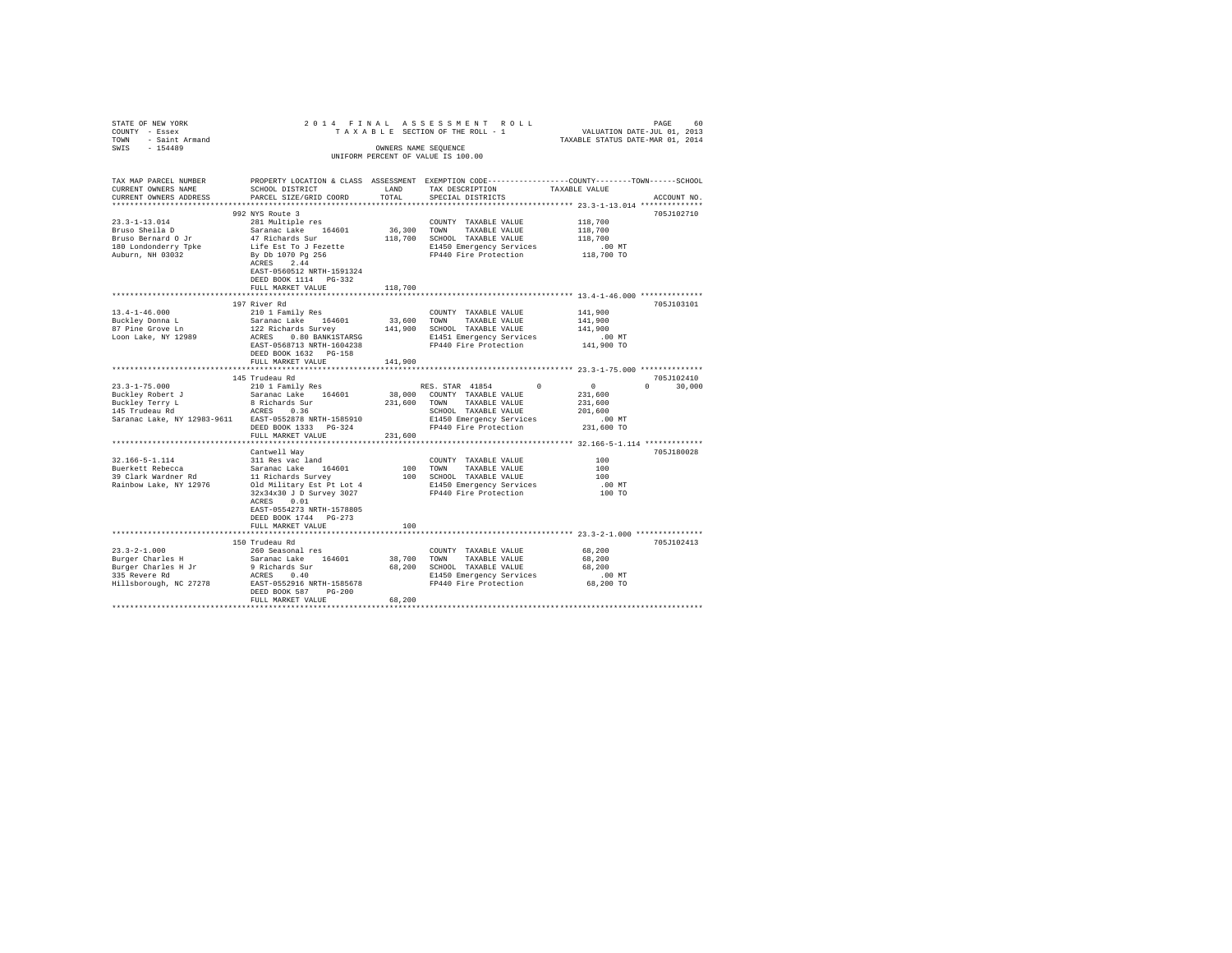|                                                                                   |                                                                                           |         |                                                                                                                                                        | PAGE 60 PAGE 60 PAGE 60 PAGE 60 PAGE 60 PAGE 60 PAGE 60 PAGE 60 PAGE 60 PAGE 60 PAGE 60 PAGE 60 PAGE 60 PAGE 60 PAGE 60 PAGE 60 PAGE 60 PAGE 60 PAGE 60 PAGE 60 PAGE 60 PAGE 60 PAGE 60 PAGE 60 PAGE 60 PAGE 60 PAGE 60 PAGE 6 |  |
|-----------------------------------------------------------------------------------|-------------------------------------------------------------------------------------------|---------|--------------------------------------------------------------------------------------------------------------------------------------------------------|--------------------------------------------------------------------------------------------------------------------------------------------------------------------------------------------------------------------------------|--|
| STATE OF NEW YORK $20$<br>TOWNT - Essex $20$<br>TOWN - Saint Armand SWIS - 154489 |                                                                                           |         | OWNERS NAME SEOUENCE                                                                                                                                   |                                                                                                                                                                                                                                |  |
|                                                                                   |                                                                                           |         | UNIFORM PERCENT OF VALUE IS 100.00                                                                                                                     |                                                                                                                                                                                                                                |  |
|                                                                                   |                                                                                           |         |                                                                                                                                                        |                                                                                                                                                                                                                                |  |
| TAX MAP PARCEL NUMBER                                                             |                                                                                           |         |                                                                                                                                                        | PROPERTY LOCATION & CLASS ASSESSMENT EXEMPTION CODE---------------COUNTY-------TOWN------SCHOOL                                                                                                                                |  |
| CURRENT OWNERS NAME                                                               | SCHOOL DISTRICT                                                                           | LAND    | TAX DESCRIPTION                                                                                                                                        | TAXABLE VALUE                                                                                                                                                                                                                  |  |
| CURRENT OWNERS ADDRESS                                                            | PARCEL SIZE/GRID COORD                                                                    | TOTAL   | SPECIAL DISTRICTS                                                                                                                                      | ACCOUNT NO.                                                                                                                                                                                                                    |  |
|                                                                                   |                                                                                           |         |                                                                                                                                                        |                                                                                                                                                                                                                                |  |
|                                                                                   | 992 NYS Route 3                                                                           |         |                                                                                                                                                        | 705J102710                                                                                                                                                                                                                     |  |
| $23.3 - 1 - 13.014$                                                               | 281 Multiple res                                                                          |         | COUNTY TAXABLE VALUE                                                                                                                                   | 118,700                                                                                                                                                                                                                        |  |
| Bruso Sheila D                                                                    |                                                                                           |         | 36,300 TOWN TAXABLE VALUE                                                                                                                              | 118,700                                                                                                                                                                                                                        |  |
| Bruso Bernard O Jr                                                                | Saranac Lake<br>47 Richards Sur<br>Life Est To J Fezette<br>By Db 1070 Pg 256             |         | 118,700 SCHOOL TAXABLE VALUE                                                                                                                           | 118,700                                                                                                                                                                                                                        |  |
| 180 Londonderry Tpke                                                              |                                                                                           |         |                                                                                                                                                        | $.00$ MT                                                                                                                                                                                                                       |  |
| Auburn, NH 03032                                                                  |                                                                                           |         | E1450 Emergency Services<br>FP440 Fire Protection                                                                                                      | 118,700 TO                                                                                                                                                                                                                     |  |
|                                                                                   | ACRES 2.44                                                                                |         |                                                                                                                                                        |                                                                                                                                                                                                                                |  |
|                                                                                   | EAST-0560512 NRTH-1591324                                                                 |         |                                                                                                                                                        |                                                                                                                                                                                                                                |  |
|                                                                                   | DEED BOOK 1114 PG-332                                                                     |         |                                                                                                                                                        |                                                                                                                                                                                                                                |  |
|                                                                                   | FULL MARKET VALUE                                                                         | 118,700 |                                                                                                                                                        |                                                                                                                                                                                                                                |  |
|                                                                                   |                                                                                           |         |                                                                                                                                                        |                                                                                                                                                                                                                                |  |
|                                                                                   | 197 River Rd                                                                              |         |                                                                                                                                                        | 705J103101                                                                                                                                                                                                                     |  |
| $13.4 - 1 - 46.000$                                                               | 210 1 Family Res                                                                          |         | COUNTY TAXABLE VALUE                                                                                                                                   | 141,900                                                                                                                                                                                                                        |  |
|                                                                                   | Saranac Lake 164601                                                                       |         | 33,600 TOWN TAXABLE VALUE                                                                                                                              | 141,900                                                                                                                                                                                                                        |  |
| Buckley Donna L<br>87 Pine Grove Ln                                               |                                                                                           |         |                                                                                                                                                        |                                                                                                                                                                                                                                |  |
|                                                                                   |                                                                                           |         |                                                                                                                                                        | 141,900                                                                                                                                                                                                                        |  |
| Loon Lake, NY 12989                                                               |                                                                                           |         | 122 Richards Survey 141,900 SCHOOL TAXABLE VALUE<br>ACRES 0.80 BANK1STARSG E1451 Emergency Services<br>EAST-0568713 RRTH-1604238 PF440 Fire Protection | $.00$ MT                                                                                                                                                                                                                       |  |
|                                                                                   |                                                                                           |         |                                                                                                                                                        | 141,900 TO                                                                                                                                                                                                                     |  |
|                                                                                   | DEED BOOK 1632 PG-158                                                                     |         |                                                                                                                                                        |                                                                                                                                                                                                                                |  |
|                                                                                   | FULL MARKET VALUE                                                                         | 141,900 |                                                                                                                                                        |                                                                                                                                                                                                                                |  |
|                                                                                   |                                                                                           |         |                                                                                                                                                        |                                                                                                                                                                                                                                |  |
|                                                                                   | 145 Trudeau Rd<br>210 1 Family Res                                                        |         | RES. STAR 41854 0 0                                                                                                                                    | 705J102410                                                                                                                                                                                                                     |  |
| $23.3 - 1 - 75.000$                                                               |                                                                                           |         |                                                                                                                                                        |                                                                                                                                                                                                                                |  |
|                                                                                   |                                                                                           |         |                                                                                                                                                        | $0 \t 30.000$                                                                                                                                                                                                                  |  |
|                                                                                   |                                                                                           |         | 38,000 COUNTY TAXABLE VALUE                                                                                                                            | 231,600                                                                                                                                                                                                                        |  |
|                                                                                   |                                                                                           |         | 231,600 TOWN TAXABLE VALUE                                                                                                                             | 231,600                                                                                                                                                                                                                        |  |
|                                                                                   |                                                                                           |         | SCHOOL TAXABLE VALUE                                                                                                                                   | 201,600                                                                                                                                                                                                                        |  |
| Saranac Lake, NY 12983-9611 EAST-0552878 NRTH-1585910                             |                                                                                           |         | E1450 Emergency Services                                                                                                                               | .00 MT                                                                                                                                                                                                                         |  |
|                                                                                   | DEED BOOK 1333 PG-324                                                                     |         | FP440 Fire Protection                                                                                                                                  | 231,600 TO                                                                                                                                                                                                                     |  |
|                                                                                   | FULL MARKET VALUE                                                                         | 231,600 |                                                                                                                                                        |                                                                                                                                                                                                                                |  |
|                                                                                   | **********************                                                                    |         |                                                                                                                                                        |                                                                                                                                                                                                                                |  |
|                                                                                   | Cantwell Wav                                                                              |         |                                                                                                                                                        | 705J180028                                                                                                                                                                                                                     |  |
| 32.166-5-1.114                                                                    | 311 Res vac land                                                                          |         | COUNTY TAXABLE VALUE                                                                                                                                   | 100                                                                                                                                                                                                                            |  |
| Buerkett Rebecca                                                                  | Saranac Lake 164601                                                                       |         | 100 TOWN TAXABLE VALUE                                                                                                                                 | 100                                                                                                                                                                                                                            |  |
| 39 Clark Wardner Rd                                                               |                                                                                           |         | 100 SCHOOL TAXABLE VALUE                                                                                                                               | 100                                                                                                                                                                                                                            |  |
| Rainbow Lake, NY 12976                                                            |                                                                                           |         | E1450 Emergency Services                                                                                                                               | .00 MT                                                                                                                                                                                                                         |  |
|                                                                                   |                                                                                           |         | FP440 Fire Protection                                                                                                                                  | 100 TO                                                                                                                                                                                                                         |  |
|                                                                                   | 11 Richards Survey<br>01d Military Est Pt Lot 4<br>32x34x30 J D Survey 3027<br>ACRES 0.01 |         |                                                                                                                                                        |                                                                                                                                                                                                                                |  |
|                                                                                   | EAST-0554273 NRTH-1578805                                                                 |         |                                                                                                                                                        |                                                                                                                                                                                                                                |  |
|                                                                                   | DEED BOOK 1744 PG-273                                                                     |         |                                                                                                                                                        |                                                                                                                                                                                                                                |  |
|                                                                                   | FULL MARKET VALUE                                                                         | 100     |                                                                                                                                                        |                                                                                                                                                                                                                                |  |
|                                                                                   |                                                                                           |         |                                                                                                                                                        |                                                                                                                                                                                                                                |  |
|                                                                                   | 150 Trudeau Rd                                                                            |         |                                                                                                                                                        | 705J102413                                                                                                                                                                                                                     |  |
| $23.3 - 2 - 1.000$                                                                | 260 Seasonal res                                                                          |         | COUNTY TAXABLE VALUE                                                                                                                                   | 68,200                                                                                                                                                                                                                         |  |
|                                                                                   |                                                                                           |         |                                                                                                                                                        | 68,200                                                                                                                                                                                                                         |  |
| Burger Charles H                                                                  | Saranac Lake 164601                                                                       |         | 38,700 TOWN TAXABLE VALUE<br>68,200 SCHOOL TAXABLE VALUE                                                                                               | 68,200                                                                                                                                                                                                                         |  |
|                                                                                   | 9 Richards Sur                                                                            |         |                                                                                                                                                        | $.00$ MT                                                                                                                                                                                                                       |  |
| Burger Charles H Jr<br>335 Revere Rd<br>Hillsborough, NC 27278                    |                                                                                           |         | E1450 Emergency Services<br>FP440 Fire Protection                                                                                                      | 68,200 TO                                                                                                                                                                                                                      |  |
|                                                                                   | ACRES 0.40<br>EAST-0552916 NRTH-1585678<br>DEED BOOK 587 PG-200                           |         |                                                                                                                                                        |                                                                                                                                                                                                                                |  |
|                                                                                   | FULL MARKET VALUE                                                                         | 68,200  |                                                                                                                                                        |                                                                                                                                                                                                                                |  |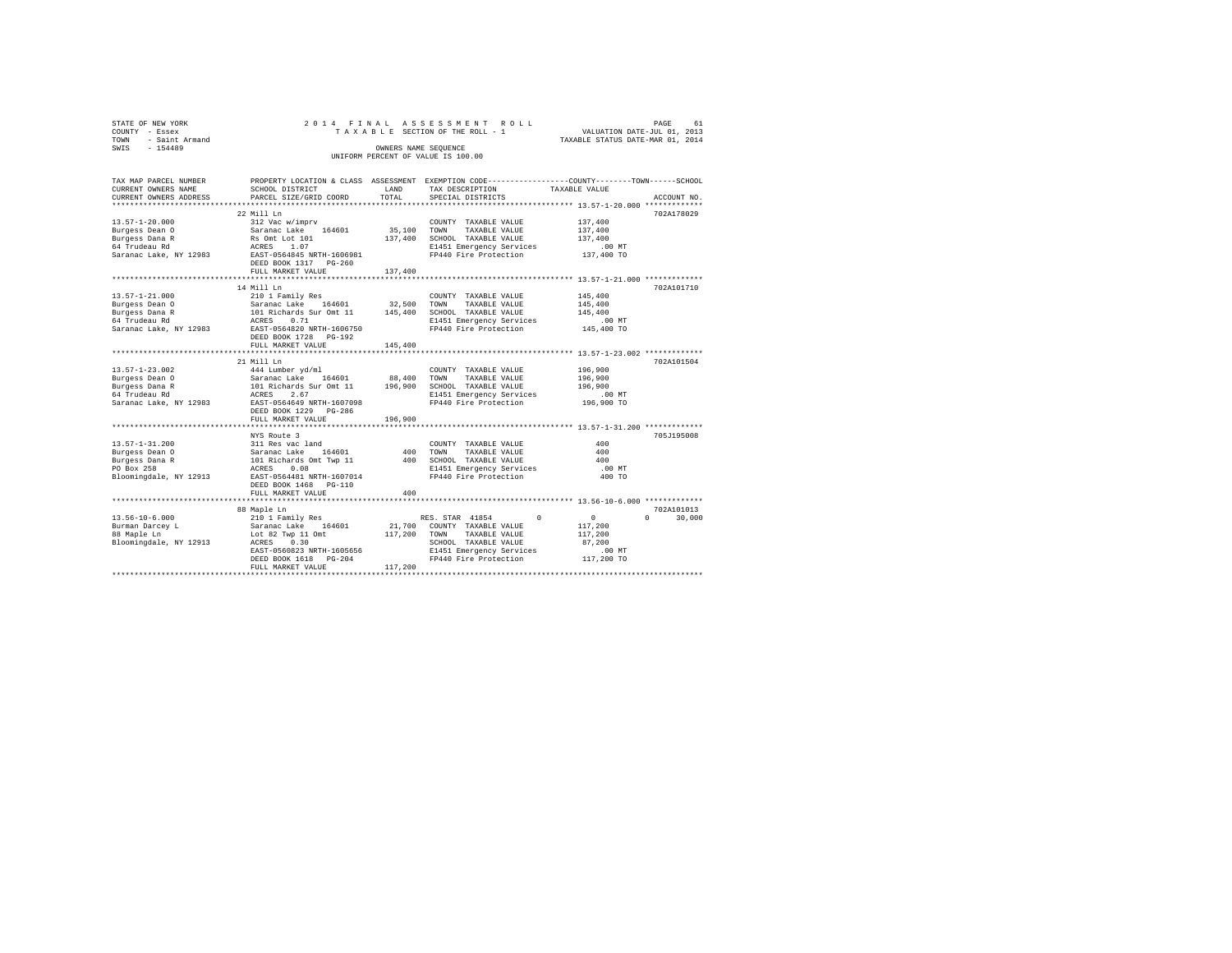|      | STATE OF NEW YORK     |                                      |                      | 2014 FINAL ASSESSMENT ROLL         |                                                              |                                  | 61<br>PAGE |
|------|-----------------------|--------------------------------------|----------------------|------------------------------------|--------------------------------------------------------------|----------------------------------|------------|
|      | COUNTY - Essex        |                                      |                      | TAXABLE SECTION OF THE ROLL - 1    |                                                              | VALUATION DATE-JUL 01, 2013      |            |
| TOWN | - Saint Armand        |                                      |                      |                                    |                                                              | TAXABLE STATUS DATE-MAR 01, 2014 |            |
| SWTS | $-154489$             |                                      | OWNERS NAME SEOUENCE |                                    |                                                              |                                  |            |
|      |                       |                                      |                      | UNIFORM PERCENT OF VALUE IS 100.00 |                                                              |                                  |            |
|      |                       |                                      |                      |                                    |                                                              |                                  |            |
|      |                       |                                      |                      |                                    |                                                              |                                  |            |
|      | TAX MAP PARCEL NUMBER | PROPERTY LOCATION & CLASS ASSESSMENT |                      |                                    | EXEMPTION CODE-----------------COUNTY-------TOWN------SCHOOL |                                  |            |
|      | CURRENT OWNERS NAME   | SCHOOL DISTRICT                      | LAND                 | TAX DESCRIPTION                    | TAXABLE VALUE                                                |                                  |            |

| CURRENT OWNERS NAME    | SCHOOT DISIKICL            | LAND    | TAY DROCKTRITOM                                   | TAAABLE VALUE |                    |
|------------------------|----------------------------|---------|---------------------------------------------------|---------------|--------------------|
| CURRENT OWNERS ADDRESS | PARCEL SIZE/GRID COORD     | TOTAL   | SPECIAL DISTRICTS                                 |               | ACCOUNT NO.        |
| *******************    |                            |         |                                                   |               |                    |
|                        | 22 Mill Ln                 |         |                                                   |               | 702A178029         |
| $13.57 - 1 - 20.000$   | 312 Vac w/imprv            |         | COUNTY TAXABLE VALUE                              | 137,400       |                    |
| Burgess Dean O         | Saranac Lake 164601        | 35,100  | TOWN<br>TAXABLE VALUE                             | 137,400       |                    |
| Burgess Dana R         | Rs Omt Lot 101             | 137,400 | SCHOOL TAXABLE VALUE                              | 137,400       |                    |
| 64 Trudeau Rd          | ACRES<br>1.07              |         | E1451 Emergency Services                          | $.00$ MT      |                    |
| Saranac Lake, NY 12983 | EAST-0564845 NRTH-1606981  |         | FP440 Fire Protection                             | 137,400 TO    |                    |
|                        | DEED BOOK 1317 PG-260      |         |                                                   |               |                    |
|                        | FULL MARKET VALUE          | 137,400 |                                                   |               |                    |
|                        |                            |         |                                                   |               |                    |
|                        | 14 Mill Ln                 |         |                                                   |               | 702A101710         |
| $13.57 - 1 - 21.000$   | 210 1 Family Res           |         | COUNTY TAXABLE VALUE                              | 145,400       |                    |
| Burgess Dean O         | Saranac Lake 164601        | 32,500  | TOWN<br>TAXABLE VALUE                             | 145,400       |                    |
| Burgess Dana R         | 101 Richards Sur Omt 11    | 145,400 | SCHOOL TAXABLE VALUE                              | 145,400       |                    |
| 64 Trudeau Rd          | ACRES<br>0.71              |         | E1451 Emergency Services                          | $.00$ MT      |                    |
| Saranac Lake, NY 12983 | EAST-0564820 NRTH-1606750  |         | FP440 Fire Protection                             | 145,400 TO    |                    |
|                        | DEED BOOK 1728<br>PG-192   |         |                                                   |               |                    |
|                        | FULL MARKET VALUE          | 145,400 |                                                   |               |                    |
|                        |                            |         |                                                   |               |                    |
|                        | 21 Mill Ln                 |         |                                                   |               | 702A101504         |
| $13.57 - 1 - 23.002$   | 444 Lumber yd/ml           |         | COUNTY TAXABLE VALUE                              | 196,900       |                    |
| Burgess Dean O         | Saranac Lake<br>164601     | 88,400  | TOWN<br>TAXABLE VALUE                             | 196,900       |                    |
| Burgess Dana R         | 101 Richards Sur Omt 11    | 196,900 | SCHOOL TAXABLE VALUE                              | 196,900       |                    |
| 64 Trudeau Rd          | 2.67<br>ACRES              |         | E1451 Emergency Services                          | .00MT         |                    |
| Saranac Lake, NY 12983 | EAST-0564649 NRTH-1607098  |         | FP440 Fire Protection                             | 196,900 TO    |                    |
|                        | DEED BOOK 1229<br>$PG-286$ |         |                                                   |               |                    |
|                        | FULL MARKET VALUE          | 196,900 |                                                   |               |                    |
|                        | *************************  |         | ********************* 13.57-1-31.200 ************ |               |                    |
|                        | NYS Route 3                |         |                                                   |               | 705J195008         |
| $13.57 - 1 - 31.200$   | 311 Res vac land           |         | COUNTY TAXABLE VALUE                              | 400           |                    |
| Burgess Dean 0         | Saranac Lake<br>164601     | 400     | TOWN<br>TAXABLE VALUE                             | 400           |                    |
| Burgess Dana R         | 101 Richards Omt Twp 11    | 400     | SCHOOL TAXABLE VALUE                              | 400           |                    |
| PO Box 258             | 0.08<br>ACRES              |         | E1451 Emergency Services                          | $.00$ MT      |                    |
| Bloomingdale, NY 12913 | EAST-0564481 NRTH-1607014  |         | FP440 Fire Protection                             | 400 TO        |                    |
|                        | DEED BOOK 1468 PG-110      |         |                                                   |               |                    |
|                        | FULL MARKET VALUE          | 400     |                                                   |               |                    |
|                        |                            |         |                                                   |               |                    |
|                        | 88 Maple Ln                |         |                                                   |               | 702A101013         |
| $13.56 - 10 - 6.000$   | 210 1 Family Res           |         | RES. STAR 41854<br>$\Omega$                       | $\Omega$      | $\Omega$<br>30,000 |
| Burman Darcey L        | 164601<br>Saranac Lake     | 21,700  | COUNTY TAXABLE VALUE                              | 117,200       |                    |
| 88 Maple Ln            | Lot 82 Twp 11 Omt          | 117,200 | TAXABLE VALUE<br>TOWN                             | 117,200       |                    |
| Bloomingdale, NY 12913 | 0.30<br>ACRES              |         | SCHOOL TAXABLE VALUE                              | 87,200        |                    |
|                        | EAST-0560823 NRTH-1605656  |         | E1451 Emergency Services                          | $.00$ MT      |                    |
|                        | DEED BOOK 1618 PG-204      |         | FP440 Fire Protection                             | 117,200 TO    |                    |
|                        | FULL MARKET VALUE          | 117,200 |                                                   |               |                    |
|                        |                            |         |                                                   |               |                    |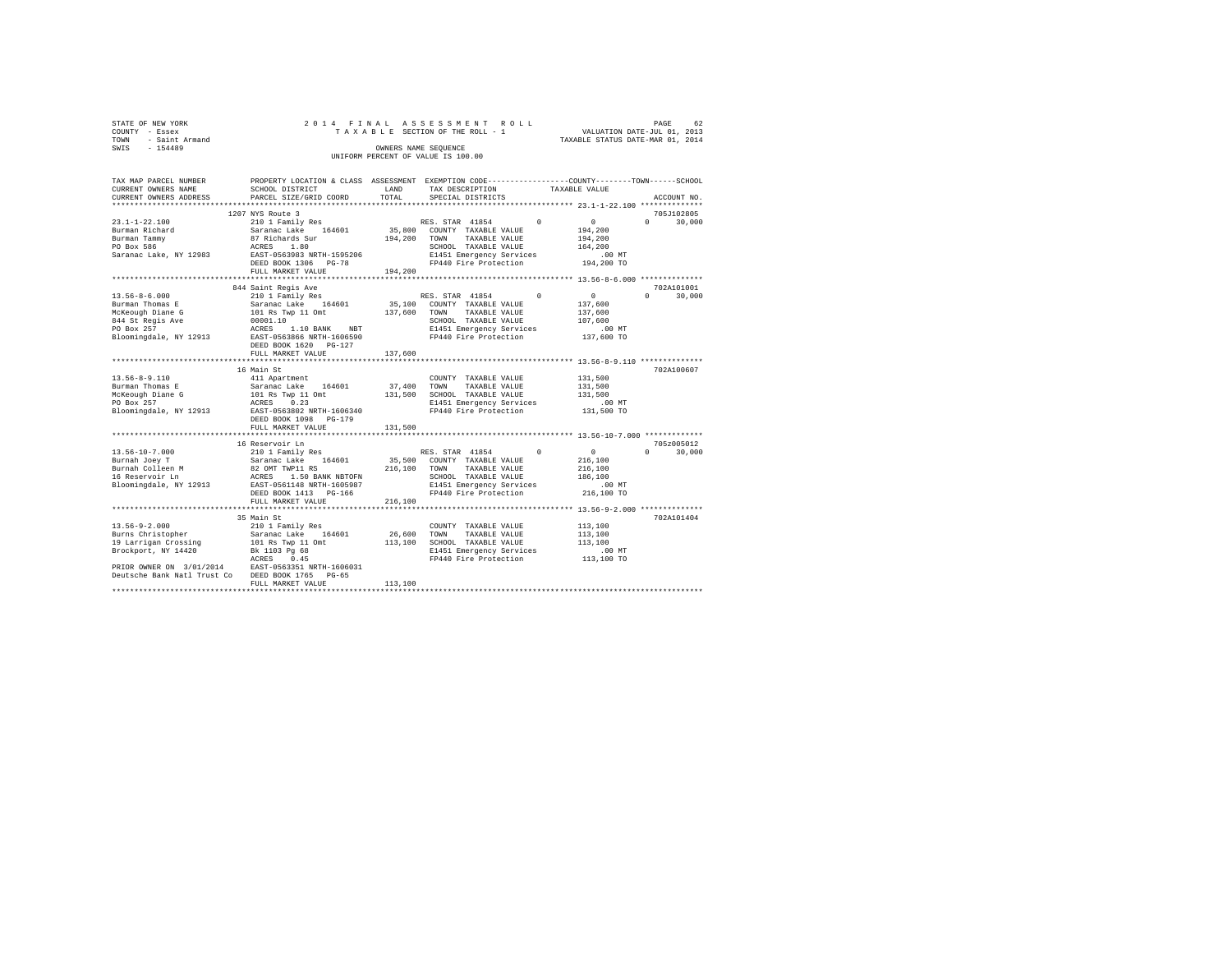|                | STATE OF NEW YORK   |  |  |  |  | 2014 FINAL ASSESSMENT ROLL         |  |  |  |  |                                  |                             | PAGE | 62 |
|----------------|---------------------|--|--|--|--|------------------------------------|--|--|--|--|----------------------------------|-----------------------------|------|----|
| COUNTY - Essex |                     |  |  |  |  | TAXABLE SECTION OF THE ROLL - 1    |  |  |  |  |                                  | VALUATION DATE-JUL 01, 2013 |      |    |
|                | TOWN - Saint Armand |  |  |  |  |                                    |  |  |  |  | TAXABLE STATUS DATE-MAR 01, 2014 |                             |      |    |
| SWIS           | $-154489$           |  |  |  |  | OWNERS NAME SEOUENCE               |  |  |  |  |                                  |                             |      |    |
|                |                     |  |  |  |  | UNIFORM PERCENT OF VALUE IS 100.00 |  |  |  |  |                                  |                             |      |    |

| TAX MAP PARCEL NUMBER | PROPERTY LOCATION & CLASS ASSESSMENT EXEMPTION CODE----------------COUNTY-------TOWN-----SCHOOL |         |                               |                        |               |
|-----------------------|-------------------------------------------------------------------------------------------------|---------|-------------------------------|------------------------|---------------|
| CURRENT OWNERS NAME   | SCHOOL DISTRICT                                                                                 | LAND    | TAX DESCRIPTION TAXABLE VALUE |                        |               |
|                       |                                                                                                 |         | SPECIAL DISTRICTS             |                        | ACCOUNT NO.   |
|                       |                                                                                                 |         |                               |                        |               |
|                       | 1207 NYS Route 3                                                                                |         |                               |                        | 705J102805    |
|                       |                                                                                                 |         |                               |                        |               |
|                       |                                                                                                 |         |                               |                        |               |
|                       |                                                                                                 |         |                               |                        |               |
|                       |                                                                                                 |         |                               |                        |               |
|                       |                                                                                                 |         |                               |                        |               |
|                       |                                                                                                 |         |                               |                        |               |
|                       |                                                                                                 |         |                               |                        |               |
|                       |                                                                                                 |         |                               |                        |               |
|                       | 844 Saint Regis Ave                                                                             |         |                               |                        | 702A101001    |
|                       |                                                                                                 |         |                               |                        | $0 \t 30,000$ |
|                       |                                                                                                 |         |                               |                        |               |
|                       |                                                                                                 |         |                               |                        |               |
|                       |                                                                                                 |         |                               |                        |               |
|                       |                                                                                                 |         |                               |                        |               |
|                       |                                                                                                 |         |                               |                        |               |
|                       |                                                                                                 |         |                               |                        |               |
|                       |                                                                                                 |         |                               |                        |               |
|                       |                                                                                                 |         |                               |                        |               |
|                       |                                                                                                 |         |                               |                        |               |
|                       | 16 Main St                                                                                      |         |                               |                        | 702A100607    |
|                       |                                                                                                 |         |                               |                        |               |
|                       |                                                                                                 |         |                               |                        |               |
|                       |                                                                                                 |         |                               |                        |               |
|                       |                                                                                                 |         |                               |                        |               |
|                       |                                                                                                 |         |                               |                        |               |
|                       |                                                                                                 |         |                               |                        |               |
|                       |                                                                                                 |         |                               |                        |               |
|                       |                                                                                                 |         |                               |                        |               |
|                       | 16 Reservoir Ln                                                                                 |         |                               |                        | 705z005012    |
|                       |                                                                                                 |         |                               |                        | $0 \t 30.000$ |
|                       |                                                                                                 |         |                               |                        |               |
|                       |                                                                                                 |         |                               |                        |               |
|                       |                                                                                                 |         |                               |                        |               |
|                       |                                                                                                 |         |                               |                        |               |
|                       |                                                                                                 |         |                               | .00 MT<br>$216.100$ TO |               |
|                       |                                                                                                 |         |                               |                        |               |
|                       | FULL MARKET VALUE                                                                               | 216,100 |                               |                        |               |
|                       |                                                                                                 |         |                               |                        |               |
|                       | 35 Main St                                                                                      |         |                               |                        | 702A101404    |
|                       |                                                                                                 |         |                               |                        |               |
|                       |                                                                                                 |         |                               |                        |               |
|                       |                                                                                                 |         |                               |                        |               |
|                       |                                                                                                 |         |                               |                        |               |
|                       |                                                                                                 |         |                               |                        |               |
|                       |                                                                                                 |         |                               |                        |               |
|                       |                                                                                                 |         |                               |                        |               |
|                       | FULL MARKET VALUE                                                                               | 113,100 |                               |                        |               |
|                       |                                                                                                 |         |                               |                        |               |
|                       |                                                                                                 |         |                               |                        |               |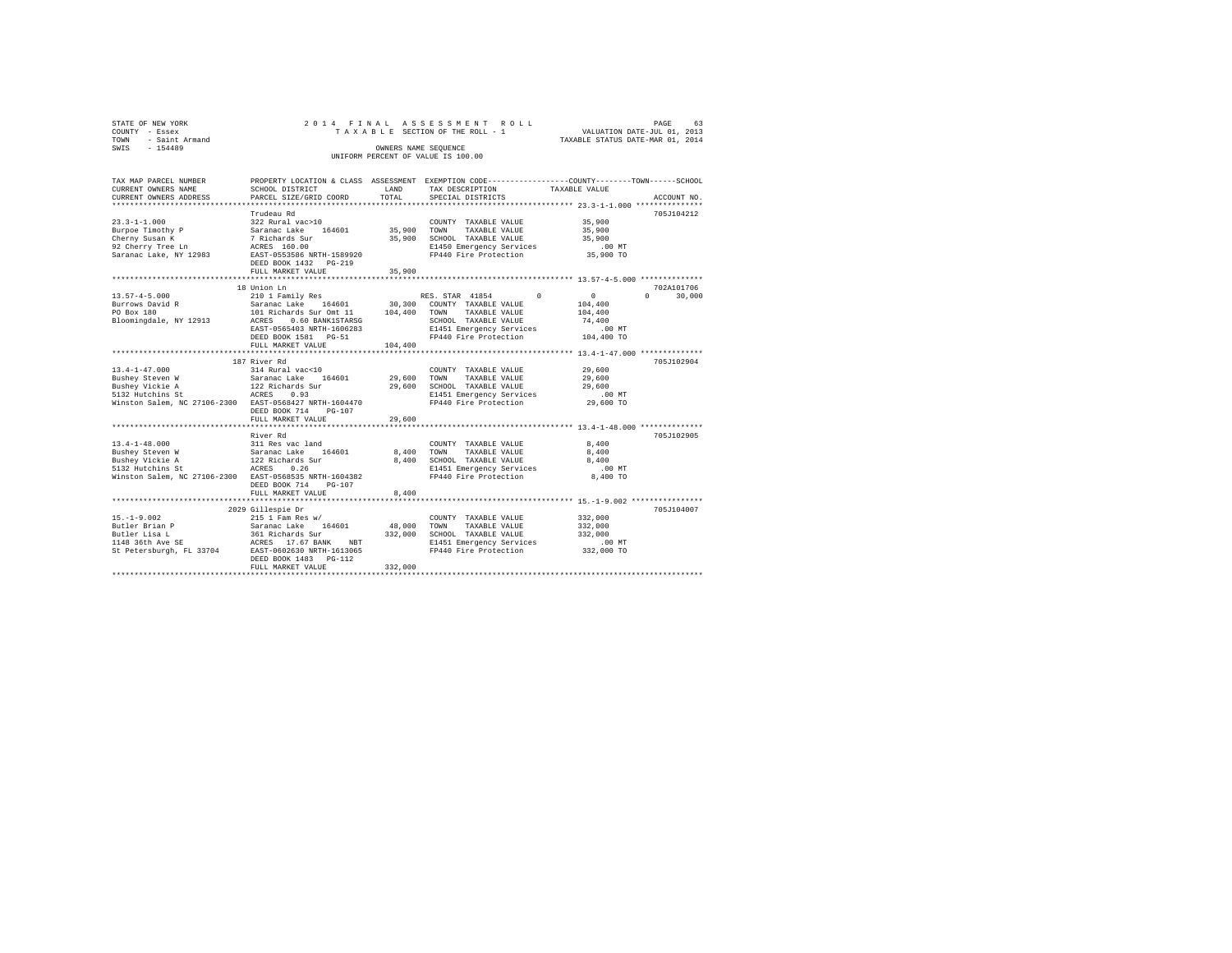|      | STATE OF NEW YORK   |  |  |                      | 2014 FINAL ASSESSMENT ROLL         |  |                                  | PAGE | 63 |
|------|---------------------|--|--|----------------------|------------------------------------|--|----------------------------------|------|----|
|      | COUNTY - Essex      |  |  |                      | TAXABLE SECTION OF THE ROLL - 1    |  | VALUATION DATE-JUL 01, 2013      |      |    |
|      | TOWN - Saint Armand |  |  |                      |                                    |  | TAXABLE STATUS DATE-MAR 01, 2014 |      |    |
| SWIS | - 154489            |  |  | OWNERS NAME SEOUENCE |                                    |  |                                  |      |    |
|      |                     |  |  |                      | UNIFORM PERCENT OF VALUE IS 100.00 |  |                                  |      |    |
|      |                     |  |  |                      |                                    |  |                                  |      |    |

| TAX MAP PARCEL NUMBER                                                                                                                                                |                                                                           |                       | PROPERTY LOCATION & CLASS ASSESSMENT EXEMPTION CODE---------------COUNTY------TOWN-----SCHOOL |                  |                    |
|----------------------------------------------------------------------------------------------------------------------------------------------------------------------|---------------------------------------------------------------------------|-----------------------|-----------------------------------------------------------------------------------------------|------------------|--------------------|
| CURRENT OWNERS NAME                                                                                                                                                  | SCHOOL DISTRICT                                                           | LAND                  | TAX DESCRIPTION                                                                               | TAXABLE VALUE    |                    |
| CURRENT OWNERS ADDRESS                                                                                                                                               | PARCEL SIZE/GRID COORD                                                    | TOTAL                 | SPECIAL DISTRICTS                                                                             |                  | ACCOUNT NO.        |
|                                                                                                                                                                      |                                                                           |                       |                                                                                               |                  |                    |
|                                                                                                                                                                      | Trudeau Rd                                                                |                       |                                                                                               |                  | 705J104212         |
| $23.3 - 1 - 1.000$                                                                                                                                                   |                                                                           |                       | COUNTY TAXABLE VALUE                                                                          |                  |                    |
| Burpoe Timothy P                                                                                                                                                     | 322 Rural vac>10<br>Saranac Lake 164601                                   | COUNTY<br>35,900 TOWN | TAXABLE VALUE                                                                                 | 35,900<br>35,900 |                    |
| Cherny Susan K                                                                                                                                                       |                                                                           |                       |                                                                                               |                  |                    |
| 92 Cherry Tree Ln                                                                                                                                                    | 7 Richards Sur<br>7 Richards Sur<br>ACRES 160.00                          |                       | 35,900 SCHOOL TAXABLE VALUE 35,900<br>E1450 Emergency Services .00 MT                         |                  |                    |
| Saranac Lake, NY 12983 EAST-0553586 NRTH-1589920                                                                                                                     |                                                                           |                       | FP440 Fire Protection 35,900 TO                                                               |                  |                    |
|                                                                                                                                                                      | DEED BOOK 1432    PG-219                                                  |                       |                                                                                               |                  |                    |
|                                                                                                                                                                      | FULL MARKET VALUE                                                         | 35,900                |                                                                                               |                  |                    |
|                                                                                                                                                                      |                                                                           |                       |                                                                                               |                  |                    |
|                                                                                                                                                                      | 18 Union Ln                                                               |                       |                                                                                               |                  | 702A101706         |
| $13.57 - 4 - 5.000$                                                                                                                                                  | 210 1 Family Res                                                          |                       | $\Omega$<br>RES. STAR 41854                                                                   | $\sim$ 0         | $\Omega$<br>30,000 |
| Burrows David R                                                                                                                                                      | Saranac Lake 164601 30,300 COUNTY TAXABLE VALUE                           |                       |                                                                                               | 104,400          |                    |
|                                                                                                                                                                      |                                                                           |                       | TAXABLE VALUE                                                                                 | 104,400          |                    |
|                                                                                                                                                                      |                                                                           |                       | SCHOOL TAXABLE VALUE                                                                          | 74,400           |                    |
|                                                                                                                                                                      | EAST-0565403 NRTH-1606283                                                 |                       |                                                                                               |                  |                    |
|                                                                                                                                                                      | DEED BOOK 1581 PG-51                                                      |                       | E1451 Emergency Services .00 MT<br>FP440 Fire Protection .00 104,400 TO                       |                  |                    |
|                                                                                                                                                                      |                                                                           | 104,400               |                                                                                               |                  |                    |
|                                                                                                                                                                      | FULL MARKET VALUE                                                         |                       |                                                                                               |                  |                    |
|                                                                                                                                                                      | 187 River Rd                                                              |                       |                                                                                               |                  | 705J102904         |
|                                                                                                                                                                      |                                                                           |                       |                                                                                               | 29,600           |                    |
|                                                                                                                                                                      |                                                                           |                       | COUNTY TAXABLE VALUE                                                                          |                  |                    |
| 13.4-1-47.000<br>Bushey Steven W 314 Rural vac<10 (COUNT<br>Bushey Steven W 314 Rural vac<10 199,600 TOWN<br>State 122 Richards Sur 29,600 SCHOO<br>5132 Hutchins St |                                                                           |                       | TAXABLE VALUE                                                                                 | 29,600<br>29,600 |                    |
|                                                                                                                                                                      |                                                                           |                       | 29,600 SCHOOL TAXABLE VALUE<br>E1451 Emergency Services .00 MT                                |                  |                    |
| Winston Salem, NC 27106-2300 EAST-0568427 NRTH-1604470                                                                                                               |                                                                           |                       | FP440 Fire Protection                                                                         | 29,600 TO        |                    |
|                                                                                                                                                                      |                                                                           |                       |                                                                                               |                  |                    |
|                                                                                                                                                                      | DEED BOOK 714<br>PG-107                                                   |                       |                                                                                               |                  |                    |
|                                                                                                                                                                      | FULL MARKET VALUE                                                         | 29,600                |                                                                                               |                  |                    |
|                                                                                                                                                                      |                                                                           |                       |                                                                                               |                  |                    |
|                                                                                                                                                                      | River Rd                                                                  |                       |                                                                                               |                  | 705J102905         |
| $13.4 - 1 - 48.000$                                                                                                                                                  |                                                                           |                       | COUNTY TAXABLE VALUE                                                                          | 8,400            |                    |
| Bushey Steven W                                                                                                                                                      | 311 Res vac land<br>Saranac Lake 164601<br>122 Richards Sur<br>ACRES 0.26 | 8,400 TOWN            | TAXABLE VALUE                                                                                 | 8,400            |                    |
| Bushey Vickie A                                                                                                                                                      |                                                                           |                       | 8,400 SCHOOL TAXABLE VALUE                                                                    | 8,400            |                    |
| 5132 Hutchins St                                                                                                                                                     |                                                                           |                       | E1451 Emergency Services                                                                      | $.00$ MT         |                    |
| Winston Salem, NC 27106-2300 EAST-0568535 NRTH-1604382                                                                                                               |                                                                           |                       | FP440 Fire Protection                                                                         | 8,400 TO         |                    |
|                                                                                                                                                                      | DEED BOOK 714<br>PG-107                                                   |                       |                                                                                               |                  |                    |
|                                                                                                                                                                      | FULL MARKET VALUE                                                         | 8,400                 |                                                                                               |                  |                    |
|                                                                                                                                                                      |                                                                           |                       | ********************************* 15.-1-9.002 *****************                               |                  |                    |
|                                                                                                                                                                      | 2029 Gillespie Dr                                                         |                       |                                                                                               |                  | 705J104007         |
| $15. - 1 - 9.002$                                                                                                                                                    | 215 1 Fam Res w/                                                          |                       | COUNTY TAXABLE VALUE                                                                          | 332,000          |                    |
| Butler Brian P<br>Butler Lisa L                                                                                                                                      |                                                                           | 48,000 TOWN           | TAXABLE VALUE                                                                                 | 332,000          |                    |
|                                                                                                                                                                      |                                                                           |                       | 332,000 SCHOOL TAXABLE VALUE                                                                  | 332,000          |                    |
|                                                                                                                                                                      |                                                                           |                       | E1451 Emergency Services<br>FP440 Fire Protection                                             | $.00$ MT         |                    |
|                                                                                                                                                                      |                                                                           |                       |                                                                                               | $332,000$ TO     |                    |
|                                                                                                                                                                      | DEED BOOK 1483 PG-112                                                     |                       |                                                                                               |                  |                    |
|                                                                                                                                                                      | FULL MARKET VALUE                                                         | 332,000               |                                                                                               |                  |                    |
|                                                                                                                                                                      |                                                                           |                       |                                                                                               |                  |                    |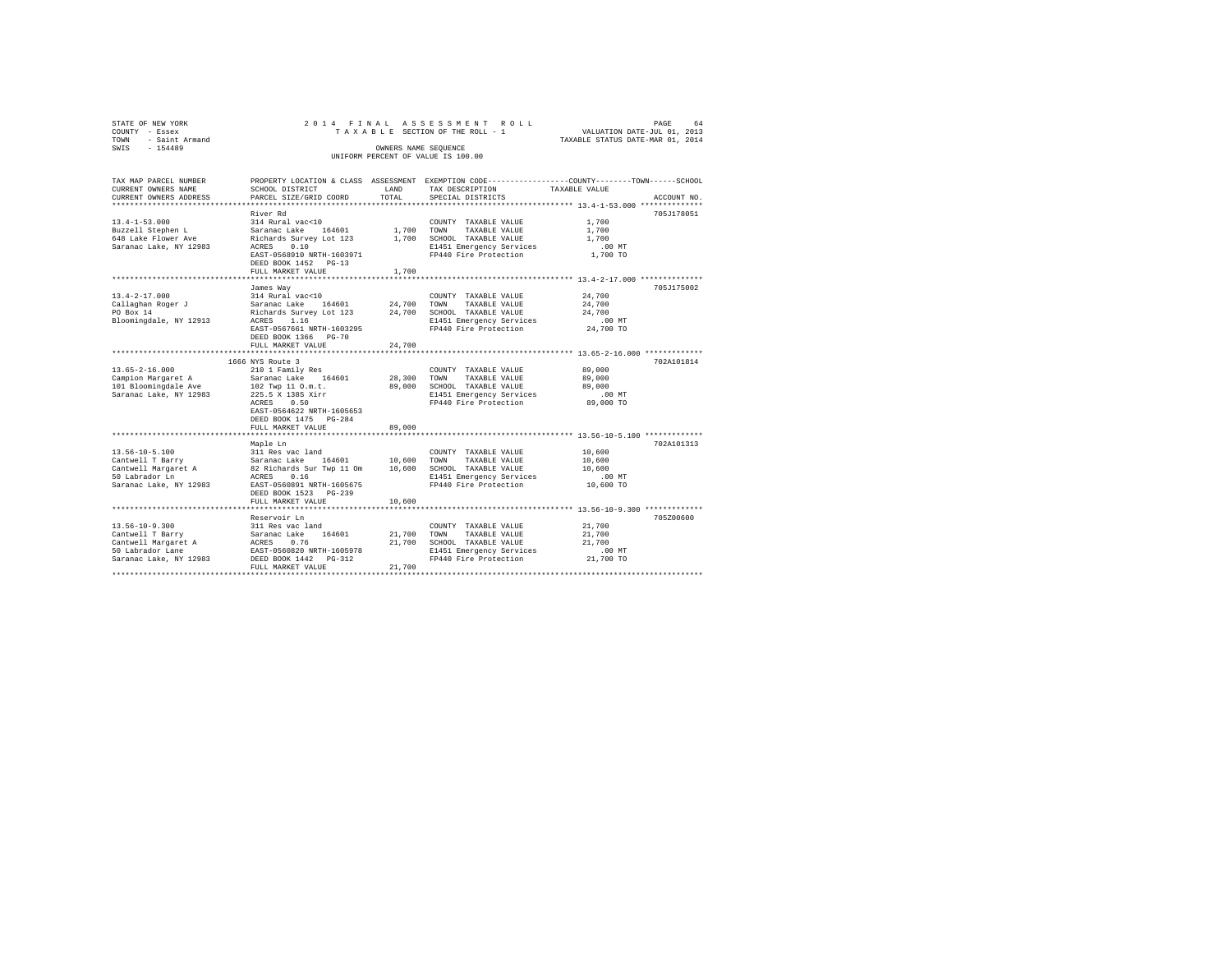| STATE OF NEW YORK<br>COUNTY - Essex     | 2014 FINAL                                 |                      | ASSESSMENT<br>ROLL<br>TAXABLE SECTION OF THE ROLL - 1                                            | PAGE<br>VALUATION DATE-JUL 01, 2013                  | 64          |
|-----------------------------------------|--------------------------------------------|----------------------|--------------------------------------------------------------------------------------------------|------------------------------------------------------|-------------|
| TOWN<br>- Saint Armand                  |                                            |                      |                                                                                                  | TAXABLE STATUS DATE-MAR 01, 2014                     |             |
| $-154489$<br>SWIS                       |                                            | OWNERS NAME SEQUENCE |                                                                                                  |                                                      |             |
|                                         |                                            |                      | UNIFORM PERCENT OF VALUE IS 100.00                                                               |                                                      |             |
|                                         |                                            |                      |                                                                                                  |                                                      |             |
| TAX MAP PARCEL NUMBER                   |                                            |                      | PROPERTY LOCATION & CLASS ASSESSMENT EXEMPTION CODE----------------COUNTY-------TOWN------SCHOOL |                                                      |             |
| CURRENT OWNERS NAME                     | SCHOOL DISTRICT                            | LAND                 | TAX DESCRIPTION                                                                                  | TAXABLE VALUE                                        |             |
| CURRENT OWNERS ADDRESS                  | PARCEL SIZE/GRID COORD                     | TOTAL                | SPECIAL DISTRICTS                                                                                |                                                      | ACCOUNT NO. |
|                                         |                                            |                      |                                                                                                  |                                                      |             |
|                                         | River Rd                                   |                      |                                                                                                  |                                                      | 705J178051  |
| $13.4 - 1 - 53.000$                     | 314 Rural vac<10                           |                      | COUNTY TAXABLE VALUE                                                                             | 1,700                                                |             |
| Buzzell Stephen L                       | Saranac Lake 164601                        | 1,700 TOWN           | TAXABLE VALUE                                                                                    | 1,700                                                |             |
| 648 Lake Flower Ave                     | Richards Survey Lot 123                    |                      | 1,700 SCHOOL TAXABLE VALUE                                                                       | 1,700                                                |             |
| Saranac Lake, NY 12983                  | 0.10<br>ACRES<br>EAST-0568910 NRTH-1603971 |                      | E1451 Emergency Services<br>FP440 Fire Protection                                                | .00 MT<br>1,700 TO                                   |             |
|                                         | DEED BOOK 1452 PG-13                       |                      |                                                                                                  |                                                      |             |
|                                         | FULL MARKET VALUE                          | 1,700                |                                                                                                  |                                                      |             |
|                                         |                                            |                      |                                                                                                  |                                                      |             |
|                                         | James Way                                  |                      |                                                                                                  |                                                      | 705J175002  |
| $13.4 - 2 - 17.000$                     | 314 Rural vac<10                           |                      | COUNTY TAXABLE VALUE                                                                             | 24,700                                               |             |
| Callaghan Roger J                       | Saranac Lake 164601                        | 24,700 TOWN          | TAXABLE VALUE                                                                                    | 24,700                                               |             |
| PO Box 14                               | Richards Survey Lot 123                    | 24,700               | SCHOOL TAXABLE VALUE                                                                             | 24,700                                               |             |
| Bloomingdale, NY 12913                  | ACRES 1.16                                 |                      | E1451 Emergency Services                                                                         | $.00$ MT                                             |             |
|                                         | EAST-0567661 NRTH-1603295                  |                      | FP440 Fire Protection                                                                            | 24,700 TO                                            |             |
|                                         | DEED BOOK 1366 PG-70                       | 24,700               |                                                                                                  |                                                      |             |
|                                         | FULL MARKET VALUE                          |                      |                                                                                                  |                                                      |             |
|                                         | 1666 NYS Route 3                           |                      |                                                                                                  |                                                      | 702A101814  |
| $13.65 - 2 - 16.000$                    | 210 1 Family Res                           |                      | COUNTY TAXABLE VALUE                                                                             | 89,000                                               |             |
| Campion Margaret A                      | Saranac Lake 164601                        | 28,300               | TOWN<br>TAXABLE VALUE                                                                            | 89,000                                               |             |
| 101 Bloomingdale Ave                    | 102 Twp 11 O.m.t.                          | 89,000               | SCHOOL TAXABLE VALUE                                                                             | 89,000                                               |             |
| Saranac Lake, NY 12983                  | 225.5 X 138S Xirr                          |                      | E1451 Emergency Services                                                                         | $.00$ MT                                             |             |
|                                         | ACRES 0.50                                 |                      | FP440 Fire Protection                                                                            | 89,000 TO                                            |             |
|                                         | EAST-0564622 NRTH-1605653                  |                      |                                                                                                  |                                                      |             |
|                                         | DEED BOOK 1475 PG-284                      |                      |                                                                                                  |                                                      |             |
|                                         | FULL MARKET VALUE<br>********************  | 89,000               |                                                                                                  | *********************** 13.56-10-5.100 ************* |             |
|                                         | Maple Ln                                   |                      |                                                                                                  |                                                      | 702A101313  |
| $13.56 - 10 - 5.100$                    | 311 Res vac land                           |                      | COUNTY TAXABLE VALUE                                                                             | 10,600                                               |             |
| Cantwell T Barry                        | Saranac Lake 164601                        | 10,600               | TOWN<br>TAXABLE VALUE                                                                            | 10,600                                               |             |
| Cantwell Margaret A                     | 82 Richards Sur Twp 11 Om                  | 10,600               | SCHOOL TAXABLE VALUE                                                                             | 10,600                                               |             |
| 50 Labrador Ln                          | 0.16<br>ACRES                              |                      | E1451 Emergency Services                                                                         | .00 MT                                               |             |
| Saranac Lake, NY 12983                  | EAST-0560891 NRTH-1605675                  |                      | FP440 Fire Protection                                                                            | 10,600 TO                                            |             |
|                                         | DEED BOOK 1523 PG-239                      |                      |                                                                                                  |                                                      |             |
|                                         | FULL MARKET VALUE                          | 10,600               |                                                                                                  |                                                      |             |
|                                         | ***********************                    |                      |                                                                                                  | ******************* 13.56-10-9.300 *************     |             |
|                                         | Reservoir Ln                               |                      |                                                                                                  |                                                      | 705Z00600   |
| $13.56 - 10 - 9.300$                    | 311 Res vac land                           |                      | COUNTY TAXABLE VALUE                                                                             | 21,700                                               |             |
| Cantwell T Barry<br>Cantwell Margaret A | 164601<br>Saranac Lake<br>ACRES<br>0.76    | 21,700<br>21,700     | TOWN<br>TAXABLE VALUE<br>SCHOOL TAXABLE VALUE                                                    | 21,700<br>21,700                                     |             |
| 50 Labrador Lane                        | EAST-0560820 NRTH-1605978                  |                      | E1451 Emergency Services                                                                         | .00MT                                                |             |
| Saranac Lake, NY 12983                  | DEED BOOK 1442   PG-312                    |                      | FP440 Fire Protection                                                                            | 21,700 TO                                            |             |
|                                         | FULL MARKET VALUE                          | 21,700               |                                                                                                  |                                                      |             |
|                                         |                                            |                      |                                                                                                  |                                                      |             |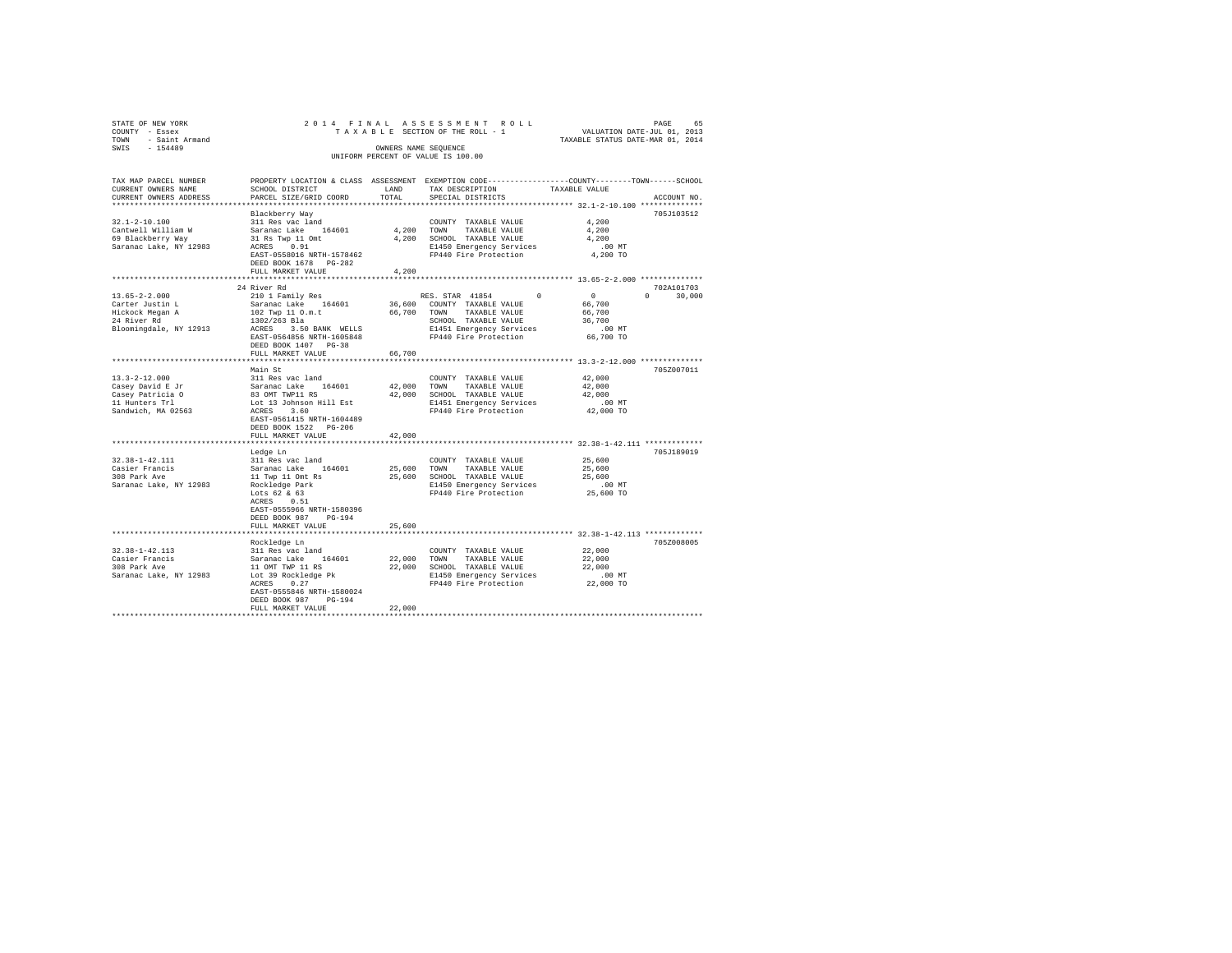| STATE OF NEW YORK                                      |                                                    |              |                                                                                                 |                                  |             |
|--------------------------------------------------------|----------------------------------------------------|--------------|-------------------------------------------------------------------------------------------------|----------------------------------|-------------|
| COUNTY - Essex                                         |                                                    |              |                                                                                                 |                                  |             |
| TOWN - Saint Armand                                    |                                                    |              |                                                                                                 | TAXABLE STATUS DATE-MAR 01, 2014 |             |
| SWIS - 154489                                          |                                                    |              | OWNERS NAME SEOUENCE                                                                            |                                  |             |
|                                                        |                                                    |              | UNIFORM PERCENT OF VALUE IS 100.00                                                              |                                  |             |
|                                                        |                                                    |              |                                                                                                 |                                  |             |
|                                                        |                                                    |              |                                                                                                 |                                  |             |
| TAX MAP PARCEL NUMBER                                  |                                                    |              | PROPERTY LOCATION & CLASS ASSESSMENT EXEMPTION CODE---------------COUNTY-------TOWN------SCHOOL |                                  |             |
| CURRENT OWNERS NAME                                    | SCHOOL DISTRICT                                    | LAND         | TAX DESCRIPTION                                                                                 | TAXABLE VALUE                    |             |
| CURRENT OWNERS ADDRESS                                 | PARCEL SIZE/GRID COORD                             | TOTAL        | SPECIAL DISTRICTS                                                                               |                                  | ACCOUNT NO. |
| **************************                             |                                                    |              |                                                                                                 |                                  |             |
|                                                        | Blackberry Way                                     |              |                                                                                                 |                                  | 705J103512  |
| $32.1 - 2 - 10.100$                                    | 311 Res vac land                                   |              | COUNTY TAXABLE VALUE                                                                            | 4.200                            |             |
|                                                        |                                                    |              |                                                                                                 |                                  |             |
| Cantwell William W                                     | Saranac Lake 164601                                |              | 4,200 TOWN TAXABLE VALUE                                                                        | 4,200                            |             |
| 69 Blackberry Way                                      | 31 Rs Twp 11 Omt                                   |              | 4,200 SCHOOL TAXABLE VALUE                                                                      | 4,200                            |             |
| Saranac Lake, NY 12983                                 | ACRES 0.91                                         |              | E1450 Emergency Services                                                                        | $.00$ MT                         |             |
|                                                        | EAST-0558016 NRTH-1578462                          |              | FP440 Fire Protection                                                                           | 4,200 TO                         |             |
|                                                        | DEED BOOK 1678 PG-282                              |              |                                                                                                 |                                  |             |
|                                                        | FULL MARKET VALUE                                  | 4,200        |                                                                                                 |                                  |             |
|                                                        | *****************************                      |              |                                                                                                 |                                  |             |
|                                                        | 24 River Rd                                        |              |                                                                                                 |                                  | 702A101703  |
| $13.65 - 2 - 2.000$                                    | 210 1 Family Res                                   |              | RES. STAR 41854<br>$\Omega$                                                                     | $\sim$ 0<br>$\cap$               | 30,000      |
| Carter Justin L                                        | Saranac Lake 164601                                |              | 36,600 COUNTY TAXABLE VALUE                                                                     | 66,700                           |             |
| Hickock Megan A                                        |                                                    |              | 66,700 TOWN TAXABLE VALUE                                                                       | 66,700                           |             |
| Hickock Megan A<br>24 River Rd                         | 102 Twp 11 O.m.t<br>1302/263 Bla                   |              |                                                                                                 |                                  |             |
|                                                        |                                                    |              | SCHOOL TAXABLE VALUE                                                                            | 36,700                           |             |
| Bloomingdale, NY 12913                                 | ACRES 3.50 BANK WELLS<br>EAST-0564856 NRTH-1605848 |              | E1451 Emergency Services<br>FP440 Fire Protection                                               | $.00$ MT                         |             |
|                                                        |                                                    |              |                                                                                                 | 66,700 TO                        |             |
|                                                        | DEED BOOK 1407 PG-38                               |              |                                                                                                 |                                  |             |
|                                                        | FULL MARKET VALUE                                  | 66,700       |                                                                                                 |                                  |             |
|                                                        |                                                    |              |                                                                                                 |                                  |             |
|                                                        | Main St                                            |              |                                                                                                 |                                  | 705Z007011  |
| $13.3 - 2 - 12.000$                                    | 311 Res vac land                                   |              | COUNTY TAXABLE VALUE                                                                            | 42,000                           |             |
| Casey David E Jr                                       |                                                    |              | 42,000 TOWN TAXABLE VALUE                                                                       | 42,000                           |             |
| Casey David & Of<br>Casey Patricia O<br>11 Hunters Trl | Saranac Lake 164601<br>83 OMT TWP11 RS             |              | 42.000 SCHOOL TAXABLE VALUE                                                                     | 42,000                           |             |
|                                                        | Lot 13 Johnson Hill Est                            |              | E1451 Emergency Services                                                                        | $.00$ MT                         |             |
|                                                        | ACRES 3.60                                         |              | FP440 Fire Protection                                                                           |                                  |             |
| Sandwich, MA 02563                                     |                                                    |              |                                                                                                 | 42,000 TO                        |             |
|                                                        | EAST-0561415 NRTH-1604489                          |              |                                                                                                 |                                  |             |
|                                                        | DEED BOOK 1522 PG-206                              |              |                                                                                                 |                                  |             |
|                                                        | FULL MARKET VALUE                                  | 42,000       |                                                                                                 |                                  |             |
|                                                        | ***********************                            | ************ |                                                                                                 |                                  |             |
|                                                        | Ledge Ln                                           |              |                                                                                                 |                                  | 705J189019  |
| 32.38-1-42.111                                         | 311 Res vac land                                   |              | COUNTY TAXABLE VALUE                                                                            | 25,600                           |             |
|                                                        | Saranac Lake 164601                                |              | 25,600 TOWN TAXABLE VALUE                                                                       | 25,600                           |             |
| Casier Francis<br>308 Park Ave                         | 11 Twp 11 Omt Rs                                   |              | 25,600 SCHOOL TAXABLE VALUE                                                                     | 25,600                           |             |
| Saranac Lake, NY 12983                                 | Rockledge Park                                     |              | E1450 Emergency Services                                                                        | $.00$ MT                         |             |
|                                                        | Lots 62 & 63                                       |              | FP440 Fire Protection                                                                           | 25,600 TO                        |             |
|                                                        | ACRES 0.51                                         |              |                                                                                                 |                                  |             |
|                                                        |                                                    |              |                                                                                                 |                                  |             |
|                                                        | EAST-0555966 NRTH-1580396                          |              |                                                                                                 |                                  |             |
|                                                        | DEED BOOK 987 PG-194                               |              |                                                                                                 |                                  |             |
|                                                        | FULL MARKET VALUE                                  | 25,600       |                                                                                                 |                                  |             |
|                                                        |                                                    |              |                                                                                                 |                                  |             |
|                                                        | Rockledge Ln                                       |              |                                                                                                 |                                  | 705Z008005  |
| $32.38 - 1 - 42.113$                                   | 311 Res vac land                                   |              | COUNTY TAXABLE VALUE                                                                            | 22,000                           |             |
| Casier Francis                                         |                                                    |              | 22,000 TOWN TAXABLE VALUE                                                                       | 22,000                           |             |
| 308 Park Ave                                           | Saranac Lake 164601<br>11 OMT TWP 11 RS            |              | 22,000 SCHOOL TAXABLE VALUE                                                                     | 22,000                           |             |
| Saranac Lake, NY 12983 Lot 39 Rockledge Pk             |                                                    |              | E1450 Emergency Services                                                                        | $.00$ MT                         |             |
|                                                        | ACRES 0.27                                         |              | FP440 Fire Protection                                                                           | 22,000 TO                        |             |
|                                                        |                                                    |              |                                                                                                 |                                  |             |
|                                                        | EAST-0555846 NRTH-1580024                          |              |                                                                                                 |                                  |             |
|                                                        | DEED BOOK 987 PG-194                               |              |                                                                                                 |                                  |             |
|                                                        | FULL MARKET VALUE                                  | 22,000       |                                                                                                 |                                  |             |
|                                                        |                                                    |              |                                                                                                 |                                  |             |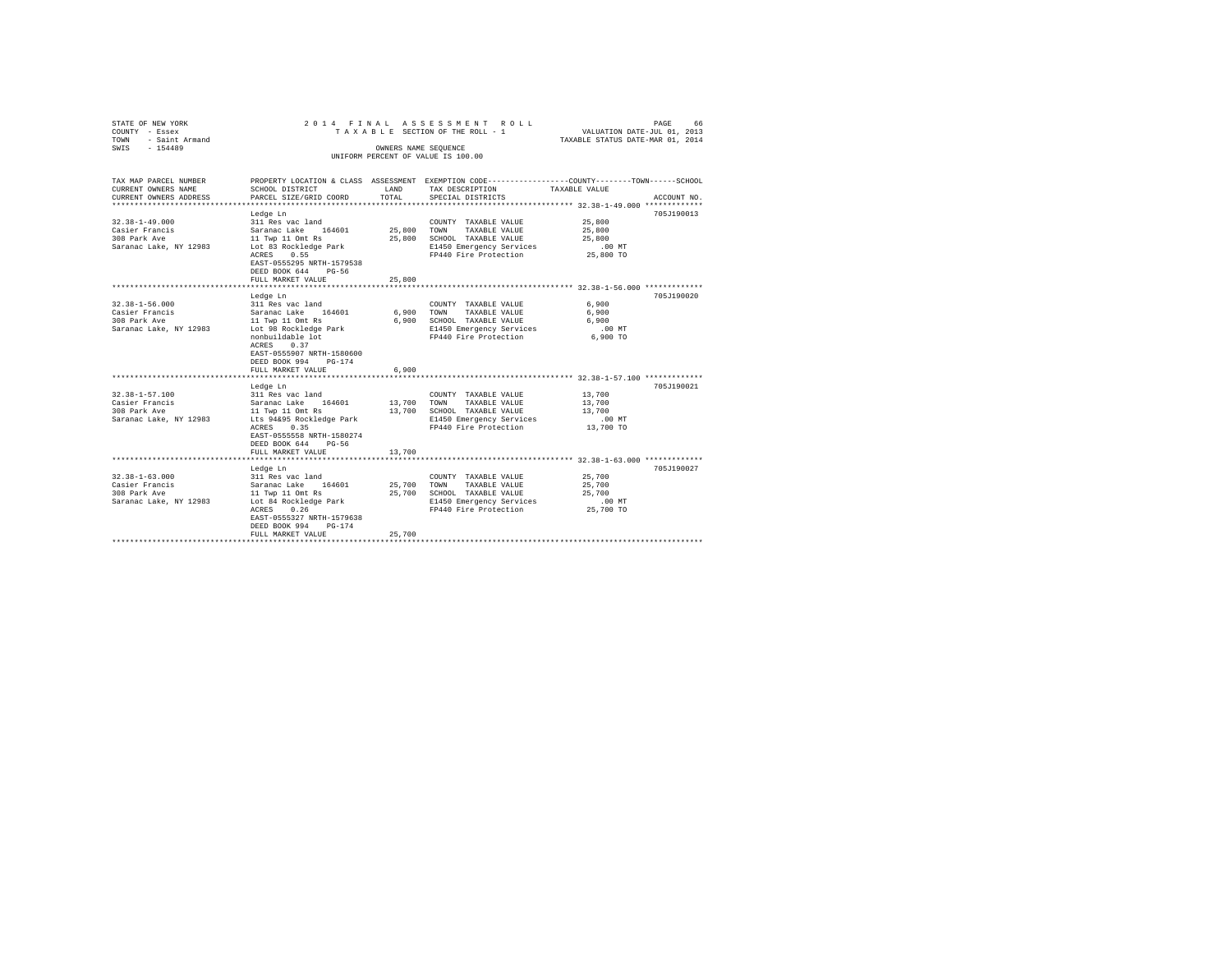| STATE OF NEW YORK<br>COUNTY - Essex<br>TOWN - Saint Armand<br>SWIS - 154489                                                                                    |                                                                                                                                                                                                                                                                                                                                                                                                      | OWNERS NAME SEOUENCE                        | 2014 FINAL ASSESSMENT ROLL<br>TAXABLE SECTION OF THE ROLL - 1<br>UNIFORM PERCENT OF VALUE IS 100.00                                                                                                                                                      | VALUATION DATE-JUL 01, 2013<br>TAXABLE STATUS DATE-MAR 01, 2014                                                                                              | PAGE<br>66               |
|----------------------------------------------------------------------------------------------------------------------------------------------------------------|------------------------------------------------------------------------------------------------------------------------------------------------------------------------------------------------------------------------------------------------------------------------------------------------------------------------------------------------------------------------------------------------------|---------------------------------------------|----------------------------------------------------------------------------------------------------------------------------------------------------------------------------------------------------------------------------------------------------------|--------------------------------------------------------------------------------------------------------------------------------------------------------------|--------------------------|
| TAX MAP PARCEL NUMBER<br>CURRENT OWNERS NAME<br>CURRENT OWNERS ADDRESS                                                                                         | SCHOOL DISTRICT<br>PARCEL SIZE/GRID COORD                                                                                                                                                                                                                                                                                                                                                            | LAND<br>TOTAL                               | PROPERTY LOCATION & CLASS ASSESSMENT EXEMPTION CODE---------------COUNTY-------TOWN------SCHOOL<br>TAX DESCRIPTION<br>SPECIAL DISTRICTS                                                                                                                  | TAXABLE VALUE                                                                                                                                                | ACCOUNT NO.              |
| $32.38 - 1 - 49.000$<br>Casier Francis<br>308 Park Ave<br>Saranac Lake, NY 12983                                                                               | Ledge Ln<br>311 Res vac land<br>Saranac Lake 164601<br>11 Twp 11 Omt Rs<br>Lot 83 Rockledge Park<br>ACRES 0.55<br>EAST-0555295 NRTH-1579538<br>DEED BOOK 644<br>$PG-56$                                                                                                                                                                                                                              | 25,800 TOWN<br>25,800                       | COUNTY TAXABLE VALUE<br>TAXABLE VALUE<br>SCHOOL TAXABLE VALUE<br>E1450 Emergency Services<br>FP440 Fire Protection                                                                                                                                       | 25,800<br>25,800<br>25,800<br>$.00$ MT<br>25,800 TO                                                                                                          | 705J190013               |
|                                                                                                                                                                | FULL MARKET VALUE                                                                                                                                                                                                                                                                                                                                                                                    | 25,800                                      |                                                                                                                                                                                                                                                          |                                                                                                                                                              |                          |
| $32.38 - 1 - 56.000$<br>Casier Francis<br>308 Park Ave<br>Saranac Lake, NY 12983<br>32.38-1-57.100<br>Casier Francis<br>308 Park Ave<br>Saranac Lake, NY 12983 | ************************<br>Ledge Ln<br>311 Res vac land<br>Saranac Lake 164601<br>11 Twp 11 Omt Rs<br>Lot 98 Rockledge Park<br>nonbuildable lot<br>ACRES 0.37<br>EAST-0555907 NRTH-1580600<br>DEED BOOK 994<br>$PG-174$<br>FULL MARKET VALUE<br>******************************<br>Ledge Ln<br>311 Res vac land<br>Saranac Lake 164601<br>11 Twp 11 Omt Rs<br>Lts 94&95 Rockledge Park<br>ACRES 0.35 | 6,900<br>6,900<br>6,900<br>13,700<br>13,700 | COUNTY TAXABLE VALUE<br>TOWN<br>TAXABLE VALUE<br>SCHOOL TAXABLE VALUE<br>E1450 Emergency Services<br>FP440 Fire Protection<br>COUNTY TAXABLE VALUE<br>TOWN<br>TAXABLE VALUE<br>SCHOOL TAXABLE VALUE<br>E1450 Emergency Services<br>FP440 Fire Protection | *********************** 32.38-1-56.000 *************<br>6,900<br>6,900<br>6,900<br>$.00$ MT<br>6,900 TO<br>13,700<br>13,700<br>13,700<br>.00 MT<br>13,700 TO | 705J190020<br>705J190021 |
| $32.38 - 1 - 63.000$<br>Casier Francis                                                                                                                         | EAST-0555558 NRTH-1580274<br>DEED BOOK 644 PG-56<br>FULL MARKET VALUE<br>******************<br>Ledge Ln<br>311 Res vac land<br>Saranac Lake 164601                                                                                                                                                                                                                                                   | 13,700<br>25,700                            | COUNTY TAXABLE VALUE<br>TOWN<br>TAXABLE VALUE                                                                                                                                                                                                            | *************** 32.38-1-63.000 *************<br>25,700<br>25,700                                                                                             | 705J190027               |
| 308 Park Ave<br>Saranac Lake, NY 12983                                                                                                                         | 11 Twp 11 Omt Rs<br>Lot 84 Rockledge Park<br>ACRES<br>0.26<br>EAST-0555327 NRTH-1579638<br>DEED BOOK 994<br>$PG-174$<br>FULL MARKET VALUE                                                                                                                                                                                                                                                            | 25,700<br>25,700                            | SCHOOL TAXABLE VALUE<br>E1450 Emergency Services<br>FP440 Fire Protection                                                                                                                                                                                | 25,700<br>.00 MT<br>25,700 TO                                                                                                                                |                          |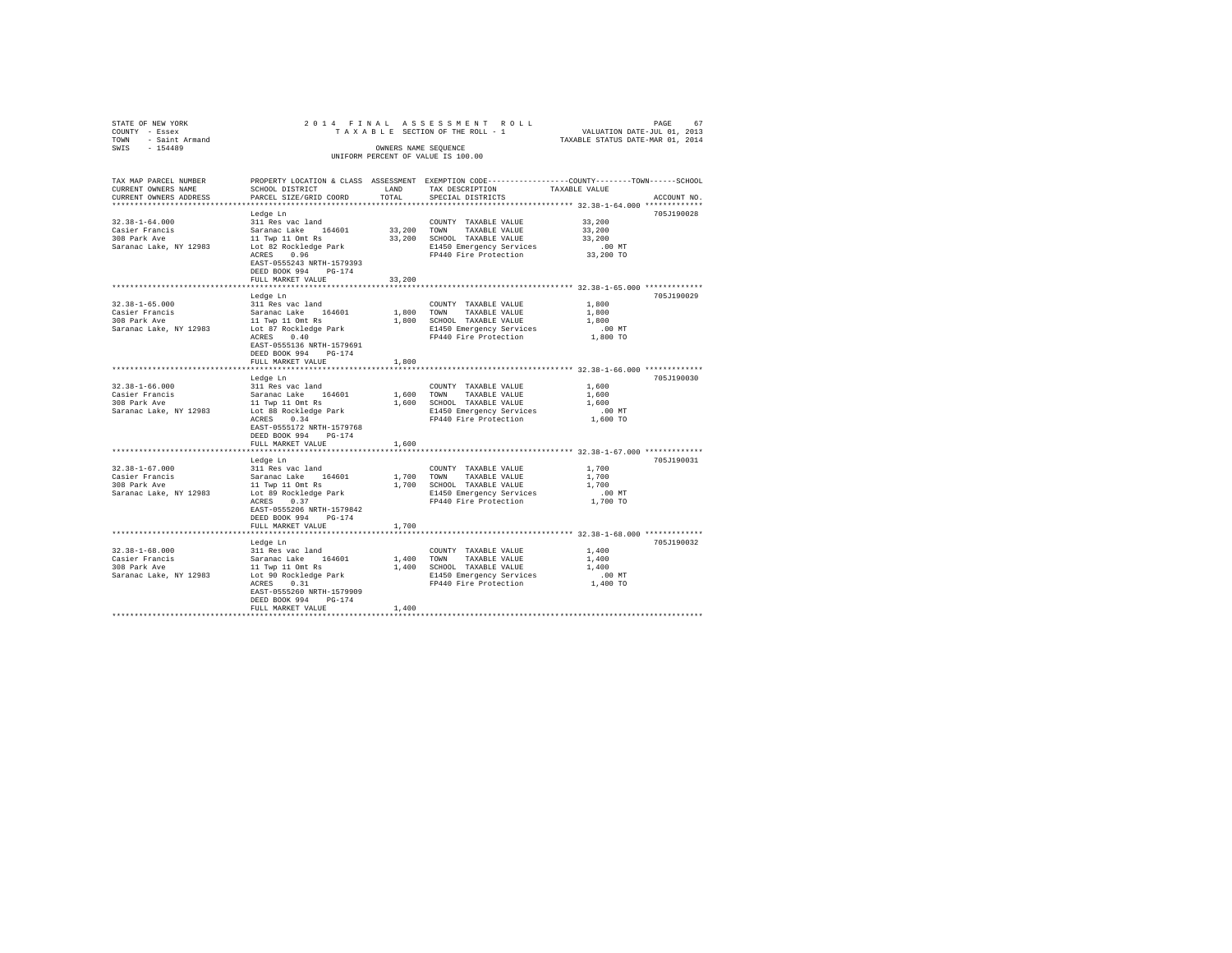| STATE OF NEW YORK<br>COUNTY - Essex |                                                         |            |                                                                                                  |                                  |             |
|-------------------------------------|---------------------------------------------------------|------------|--------------------------------------------------------------------------------------------------|----------------------------------|-------------|
| TOWN - Saint Armand                 |                                                         |            |                                                                                                  | TAXABLE STATUS DATE-MAR 01, 2014 |             |
| SWIS - 154489                       |                                                         |            | OWNERS NAME SEOUENCE                                                                             |                                  |             |
|                                     |                                                         |            | UNIFORM PERCENT OF VALUE IS 100.00                                                               |                                  |             |
|                                     |                                                         |            |                                                                                                  |                                  |             |
| TAX MAP PARCEL NUMBER               |                                                         |            | PROPERTY LOCATION & CLASS ASSESSMENT EXEMPTION CODE----------------COUNTY-------TOWN------SCHOOL |                                  |             |
| CURRENT OWNERS NAME                 | SCHOOL DISTRICT                                         | LAND       | TAX DESCRIPTION                                                                                  | TAXABLE VALUE                    |             |
| CURRENT OWNERS ADDRESS              | PARCEL SIZE/GRID COORD                                  | TOTAL      | SPECIAL DISTRICTS                                                                                |                                  | ACCOUNT NO. |
| ************************            |                                                         |            |                                                                                                  |                                  |             |
|                                     | Ledge Ln                                                |            |                                                                                                  |                                  | 705J190028  |
| $32.38 - 1 - 64.000$                | 311 Res vac land                                        |            | COUNTY TAXABLE VALUE                                                                             | 33,200                           |             |
|                                     | Saranac Lake 164601                                     |            | 33,200 TOWN TAXABLE VALUE                                                                        | 33,200                           |             |
| Casier Francis<br>308 Park Ave      | 11 Twp 11 Omt Rs                                        |            | 33,200 SCHOOL TAXABLE VALUE                                                                      | 33,200                           |             |
| Saranac Lake, NY 12983              | Lot 82 Rockledge Park                                   |            | E1450 Emergency Services                                                                         | $.00$ MT                         |             |
|                                     | ACRES 0.96                                              |            | FP440 Fire Protection 33,200 TO                                                                  |                                  |             |
|                                     | EAST-0555243 NRTH-1579393                               |            |                                                                                                  |                                  |             |
|                                     | DEED BOOK 994 PG-174                                    |            |                                                                                                  |                                  |             |
|                                     | FULL MARKET VALUE                                       | 33,200     |                                                                                                  |                                  |             |
|                                     |                                                         |            |                                                                                                  |                                  |             |
|                                     | Ledge Ln                                                |            |                                                                                                  |                                  | 705J190029  |
| $32.38 - 1 - 65.000$                | 311 Res vac land                                        |            | COUNTY TAXABLE VALUE                                                                             | 1,800                            |             |
| Casier Francis                      | Saranac Lake 164601                                     |            | 1,800 TOWN TAXABLE VALUE                                                                         | 1,800                            |             |
| 308 Park Ave                        | 11 Twp 11 Omt Rs                                        |            | 1,800 SCHOOL TAXABLE VALUE                                                                       | 1,800                            |             |
| Saranac Lake, NY 12983              |                                                         |            | E1450 Emergency Services                                                                         | $.00$ MT                         |             |
|                                     | Lot 87 Rockledge Park<br>ACRES 0.40                     |            | FP440 Fire Protection                                                                            | 1,800 TO                         |             |
|                                     | EAST-0555136 NRTH-1579691                               |            |                                                                                                  |                                  |             |
|                                     | DEED BOOK 994 PG-174                                    |            |                                                                                                  |                                  |             |
|                                     | FULL MARKET VALUE                                       | 1,800      |                                                                                                  |                                  |             |
|                                     |                                                         |            |                                                                                                  |                                  |             |
|                                     | Ledge Ln                                                |            |                                                                                                  |                                  | 705J190030  |
| $32.38 - 1 - 66.000$                | 311 Res vac land                                        |            | COUNTY TAXABLE VALUE                                                                             | 1,600                            |             |
| Casier Francis<br>308 Park Ave      | Saranac Lake 164601                                     |            | 1,600 TOWN TAXABLE VALUE                                                                         | 1,600                            |             |
|                                     |                                                         |            | 1,600 SCHOOL TAXABLE VALUE                                                                       | 1,600                            |             |
| Saranac Lake, NY 12983              | 11 Twp 11 Omt Rs<br>Lot 88 Rockledge Park               |            | E1450 Emergency Services                                                                         | $.00$ MT                         |             |
|                                     | ACRES 0.34                                              |            | FP440 Fire Protection                                                                            | 1,600 TO                         |             |
|                                     | EAST-0555172 NRTH-1579768                               |            |                                                                                                  |                                  |             |
|                                     | DEED BOOK 994 PG-174                                    |            |                                                                                                  |                                  |             |
|                                     | FULL MARKET VALUE                                       | 1,600      |                                                                                                  |                                  |             |
|                                     | ***********************                                 |            | **************************** 32.38-1-67.000 ************                                         |                                  |             |
|                                     | Ledge Ln                                                |            |                                                                                                  |                                  | 705J190031  |
| $32.38 - 1 - 67.000$                | 311 Res vac land                                        |            | COUNTY TAXABLE VALUE                                                                             | 1,700                            |             |
| Casier Francis<br>308 Park Ave      | Saranac Lake 164601                                     | 1,700 TOWN | TAXABLE VALUE                                                                                    | 1,700                            |             |
|                                     |                                                         |            | 1,700 SCHOOL TAXABLE VALUE                                                                       | 1,700                            |             |
| Saranac Lake, NY 12983              | 11 Twp 11 Omt Rs<br>Lot 89 Rockledge Park<br>ACRES 0.37 |            | E1450 Emergency Services                                                                         | $.00$ MT                         |             |
|                                     |                                                         |            | FP440 Fire Protection                                                                            | 1,700 TO                         |             |
|                                     | EAST-0555206 NRTH-1579842                               |            |                                                                                                  |                                  |             |
|                                     | DEED BOOK 994 PG-174                                    |            |                                                                                                  |                                  |             |
|                                     | FULL MARKET VALUE                                       | 1,700      |                                                                                                  |                                  |             |
|                                     |                                                         |            |                                                                                                  |                                  |             |
|                                     | Ledge Ln                                                |            |                                                                                                  |                                  | 705J190032  |
| $32.38 - 1 - 68.000$                | 311 Res vac land                                        |            | COUNTY TAXABLE VALUE                                                                             | 1,400                            |             |
|                                     |                                                         |            | 1,400 TOWN TAXABLE VALUE                                                                         | 1,400                            |             |
|                                     |                                                         |            | 1,400 SCHOOL TAXABLE VALUE                                                                       | 1,400                            |             |
|                                     |                                                         |            | E1450 Emergency Services                                                                         | $.00$ MT                         |             |
|                                     | ACRES 0.31                                              |            | FP440 Fire Protection                                                                            | 1,400 TO                         |             |
|                                     | EAST-0555260 NRTH-1579909                               |            |                                                                                                  |                                  |             |
|                                     | DEED BOOK 994 PG-174<br>FULL MARKET VALUE               | 1,400      |                                                                                                  |                                  |             |
|                                     |                                                         |            |                                                                                                  |                                  |             |
|                                     |                                                         |            |                                                                                                  |                                  |             |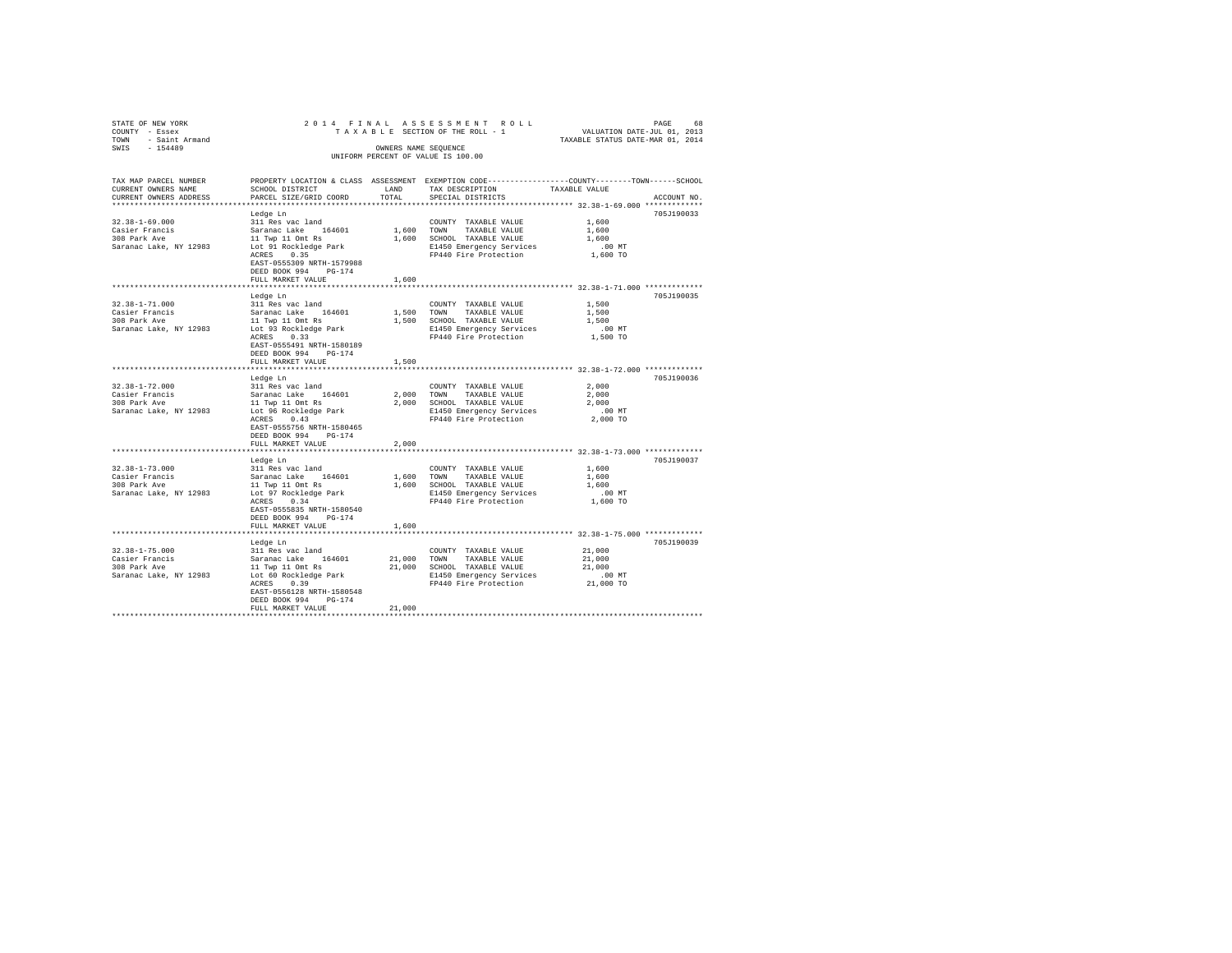| STATE OF NEW YORK                             |                                                                                                 |                |                                                                    |                                  |             |
|-----------------------------------------------|-------------------------------------------------------------------------------------------------|----------------|--------------------------------------------------------------------|----------------------------------|-------------|
| COUNTY - Essex                                |                                                                                                 |                |                                                                    | TAXABLE STATUS DATE-MAR 01, 2014 |             |
| TOWN - Saint Armand<br>SWIS - 154489          |                                                                                                 |                | OWNERS NAME SEOUENCE                                               |                                  |             |
|                                               |                                                                                                 |                | UNIFORM PERCENT OF VALUE IS 100.00                                 |                                  |             |
|                                               |                                                                                                 |                |                                                                    |                                  |             |
|                                               |                                                                                                 |                |                                                                    |                                  |             |
| TAX MAP PARCEL NUMBER                         | PROPERTY LOCATION & CLASS ASSESSMENT EXEMPTION CODE---------------COUNTY-------TOWN------SCHOOL |                |                                                                    |                                  |             |
| CURRENT OWNERS NAME<br>CURRENT OWNERS ADDRESS | SCHOOL DISTRICT                                                                                 | LAND<br>TOTAL  | TAX DESCRIPTION                                                    | TAXABLE VALUE                    |             |
|                                               | PARCEL SIZE/GRID COORD                                                                          |                | SPECIAL DISTRICTS                                                  |                                  | ACCOUNT NO. |
|                                               | Ledge Ln                                                                                        |                |                                                                    |                                  | 705J190033  |
| $32.38 - 1 - 69.000$                          | 311 Res vac land                                                                                |                | COUNTY TAXABLE VALUE                                               | 1,600                            |             |
|                                               | Saranac Lake 164601                                                                             |                | 1,600 TOWN TAXABLE VALUE                                           | 1,600                            |             |
| Casier Francis<br>308 Park Ave                | 11 Twp 11 Omt Rs                                                                                |                | 1,600 SCHOOL TAXABLE VALUE                                         | 1,600                            |             |
| Saranac Lake, NY 12983                        | Lot 91 Rockledge Park                                                                           |                |                                                                    |                                  |             |
|                                               | ACRES 0.35                                                                                      |                | E1450 Emergency Services 6.00 MT<br>FP440 Fire Protection 1,600 TO |                                  |             |
|                                               | EAST-0555309 NRTH-1579988                                                                       |                |                                                                    |                                  |             |
|                                               | DEED BOOK 994 PG-174                                                                            |                |                                                                    |                                  |             |
|                                               | FULL MARKET VALUE                                                                               | 1,600          |                                                                    |                                  |             |
|                                               |                                                                                                 |                |                                                                    |                                  |             |
|                                               | Ledge Ln                                                                                        |                |                                                                    |                                  | 705J190035  |
| $32.38 - 1 - 71.000$                          | 311 Res vac land                                                                                |                | COUNTY TAXABLE VALUE                                               | 1,500                            |             |
| Casier Francis<br>308 Park Ave                | Saranac Lake 164601                                                                             |                | 1,500 TOWN<br>TAXABLE VALUE                                        | 1,500                            |             |
|                                               | 11 Twp 11 Omt Rs                                                                                |                | 1,500 SCHOOL TAXABLE VALUE                                         | 1,500                            |             |
| Saranac Lake, NY 12983                        | Lot 93 Rockledge Park<br>ACRES 0.33                                                             |                | E1450 Emergency Services                                           | $.00$ MT<br>$1,500$ TO           |             |
|                                               | EAST-0555491 NRTH-1580189                                                                       |                | FP440 Fire Protection                                              |                                  |             |
|                                               | DEED BOOK 994 PG-174                                                                            |                |                                                                    |                                  |             |
|                                               | FULL MARKET VALUE                                                                               | 1,500          |                                                                    |                                  |             |
|                                               |                                                                                                 |                |                                                                    |                                  |             |
|                                               | Ledge Ln                                                                                        |                |                                                                    |                                  | 705J190036  |
| $32.38 - 1 - 72.000$                          | 311 Res vac land                                                                                |                | COUNTY TAXABLE VALUE                                               | 2,000                            |             |
| Casier Francis                                | Saranac Lake 164601                                                                             |                |                                                                    | 2,000                            |             |
| 308 Park Ave                                  |                                                                                                 |                | 2,000 TOWN TAXABLE VALUE<br>2,000 SCHOOL TAXABLE VALUE             | 2,000                            |             |
| Saranac Lake, NY 12983                        | 11 Twp 11 Omt Rs<br>Lot 96 Rockledge Park                                                       |                | E1450 Emergency Services                                           | $.00$ MT                         |             |
|                                               | ACRES 0.43                                                                                      |                | FP440 Fire Protection                                              | 2,000 TO                         |             |
|                                               | EAST-0555756 NRTH-1580465                                                                       |                |                                                                    |                                  |             |
|                                               | DEED BOOK 994 PG-174                                                                            |                |                                                                    |                                  |             |
|                                               | FULL MARKET VALUE                                                                               | 2,000          |                                                                    |                                  |             |
|                                               |                                                                                                 | ************** | **************************** 32.38-1-73.000 *************          |                                  |             |
| $32.38 - 1 - 73.000$                          | Ledge Ln                                                                                        |                |                                                                    | 1,600                            | 705J190037  |
|                                               | 311 Res vac land<br>Saranac Lake 164601                                                         | 1,600 TOWN     | COUNTY TAXABLE VALUE<br>TAXABLE VALUE                              | 1,600                            |             |
| ----∈rrancis<br>308 Park Ave                  |                                                                                                 |                | 1,600 SCHOOL TAXABLE VALUE                                         | 1,600                            |             |
| Saranac Lake, NY 12983                        | 11 Twp 11 Omt Rs<br>Lot 97 Rockledge Park                                                       |                | E1450 Emergency Services                                           | $.00$ MT                         |             |
|                                               | ACRES 0.34                                                                                      |                | FP440 Fire Protection                                              | 1,600 TO                         |             |
|                                               | EAST-0555835 NRTH-1580540                                                                       |                |                                                                    |                                  |             |
|                                               | DEED BOOK 994 PG-174                                                                            |                |                                                                    |                                  |             |
|                                               | FULL MARKET VALUE                                                                               | 1,600          |                                                                    |                                  |             |
|                                               |                                                                                                 |                |                                                                    |                                  |             |
|                                               | Ledge Ln                                                                                        |                |                                                                    |                                  | 705J190039  |
| $32.38 - 1 - 75.000$                          | 311 Res vac land                                                                                |                | COUNTY TAXABLE VALUE                                               | 21,000                           |             |
| Casier Francis                                | Saranac Lake 164601                                                                             |                | 21,000 TOWN<br>TAXABLE VALUE                                       | 21,000                           |             |
|                                               |                                                                                                 |                | 21,000 SCHOOL TAXABLE VALUE                                        | 21,000                           |             |
|                                               |                                                                                                 |                | E1450 Emergency Services<br>FP440 Fire Protection                  | $.00$ MT                         |             |
|                                               | ACRES 0.39                                                                                      |                |                                                                    | 21,000 TO                        |             |
|                                               | EAST-0556128 NRTH-1580548                                                                       |                |                                                                    |                                  |             |
|                                               | DEED BOOK 994 PG-174<br>FULL MARKET VALUE                                                       | 21,000         |                                                                    |                                  |             |
|                                               |                                                                                                 |                |                                                                    |                                  |             |
|                                               |                                                                                                 |                |                                                                    |                                  |             |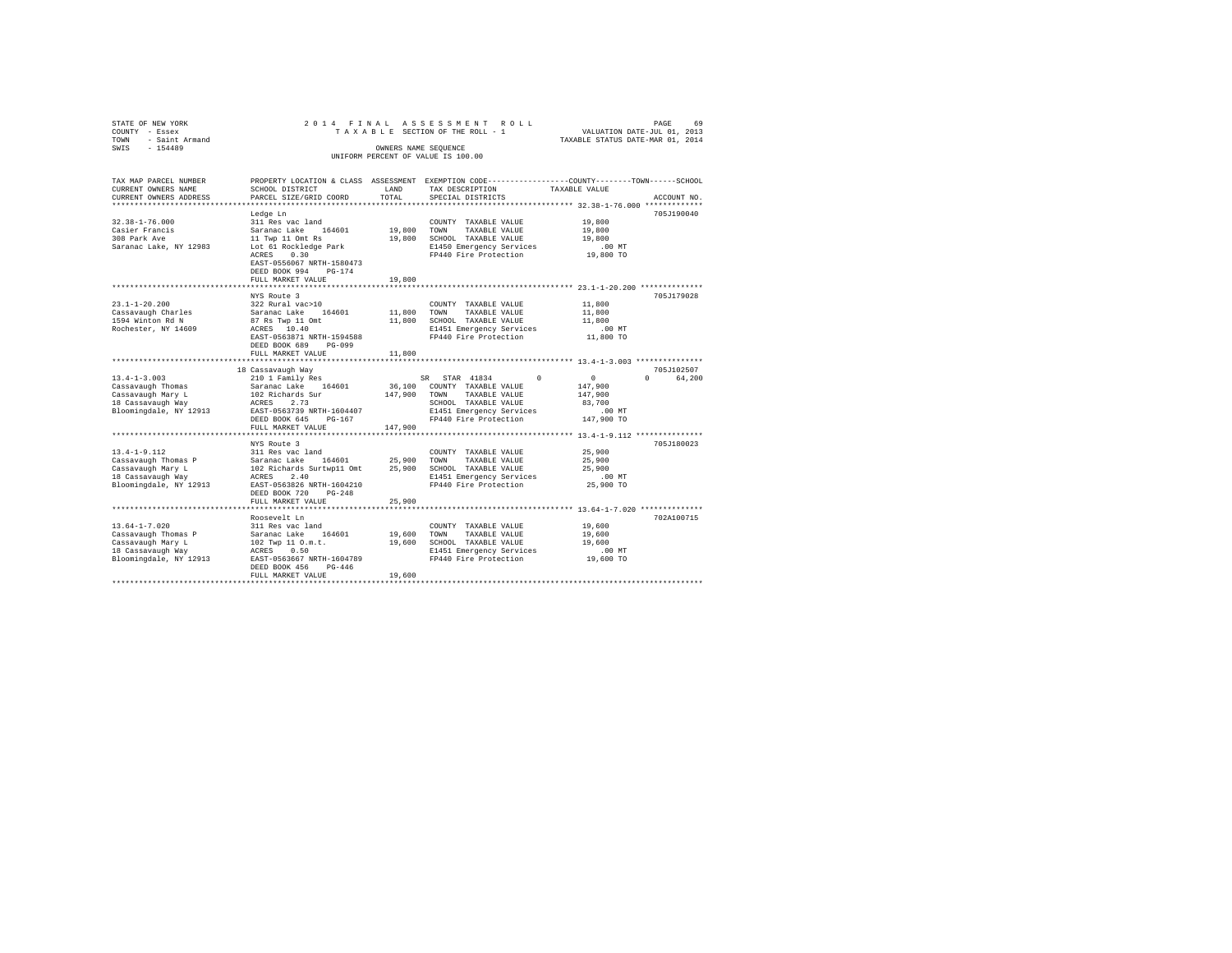| STATE OF NEW YORK<br>COUNTY - Essex         | 2014 FINAL                                     |                      | ASSESSMENT ROLL<br>TAXABLE SECTION OF THE ROLL - 1                                             | VALUATION DATE-JUL 01, 2013      | PAGE<br>69         |
|---------------------------------------------|------------------------------------------------|----------------------|------------------------------------------------------------------------------------------------|----------------------------------|--------------------|
| - Saint Armand<br>TOWN                      |                                                |                      |                                                                                                | TAXABLE STATUS DATE-MAR 01, 2014 |                    |
| $-154489$<br>SWIS                           |                                                | OWNERS NAME SEQUENCE |                                                                                                |                                  |                    |
|                                             |                                                |                      | UNIFORM PERCENT OF VALUE IS 100.00                                                             |                                  |                    |
|                                             |                                                |                      |                                                                                                |                                  |                    |
| TAX MAP PARCEL NUMBER                       |                                                |                      | PROPERTY LOCATION & CLASS ASSESSMENT EXEMPTION CODE---------------COUNTY-------TOWN-----SCHOOL |                                  |                    |
| CURRENT OWNERS NAME                         | SCHOOL DISTRICT                                | LAND                 | TAX DESCRIPTION                                                                                | TAXABLE VALUE                    |                    |
| CURRENT OWNERS ADDRESS                      | PARCEL SIZE/GRID COORD                         | TOTAL                | SPECIAL DISTRICTS                                                                              |                                  | ACCOUNT NO.        |
|                                             |                                                |                      |                                                                                                |                                  |                    |
| $32.38 - 1 - 76.000$                        | Ledge Ln                                       |                      |                                                                                                |                                  | 705J190040         |
| Casier Francis                              | 311 Res vac land<br>Saranac Lake 164601        | 19,800               | COUNTY TAXABLE VALUE<br>TOWN<br>TAXABLE VALUE                                                  | 19,800<br>19,800                 |                    |
| 308 Park Ave                                | 11 Twp 11 Omt Rs                               | 19,800               | SCHOOL TAXABLE VALUE                                                                           | 19,800                           |                    |
| Saranac Lake, NY 12983                      | Lot 61 Rockledge Park                          |                      | E1450 Emergency Services                                                                       | .00MT                            |                    |
|                                             | ACRES 0.30                                     |                      | FP440 Fire Protection                                                                          | 19,800 TO                        |                    |
|                                             | EAST-0556067 NRTH-1580473                      |                      |                                                                                                |                                  |                    |
|                                             | DEED BOOK 994<br>$PG-174$                      |                      |                                                                                                |                                  |                    |
|                                             | FULL MARKET VALUE                              | 19,800               |                                                                                                |                                  |                    |
|                                             |                                                |                      | ************************************ 23.1-1-20.200 ***************                             |                                  |                    |
|                                             | NYS Route 3                                    |                      |                                                                                                |                                  | 705J179028         |
| $23.1 - 1 - 20.200$                         | 322 Rural vac>10                               |                      | COUNTY TAXABLE VALUE                                                                           | 11,800                           |                    |
| Cassavaugh Charles<br>1594 Winton Rd N      | Saranac Lake 164601<br>87 Rs Twp 11 Omt        | 11,800<br>11,800     | TOWN<br>TAXABLE VALUE<br>SCHOOL TAXABLE VALUE                                                  | 11,800<br>11,800                 |                    |
| Rochester, NY 14609                         | ACRES 10.40                                    |                      | E1451 Emergency Services                                                                       | $.00$ MT                         |                    |
|                                             | EAST-0563871 NRTH-1594588                      |                      | FP440 Fire Protection                                                                          | 11,800 TO                        |                    |
|                                             | DEED BOOK 689<br>PG-099                        |                      |                                                                                                |                                  |                    |
|                                             | FULL MARKET VALUE                              | 11,800               |                                                                                                |                                  |                    |
|                                             |                                                |                      |                                                                                                |                                  |                    |
|                                             | 18 Cassavaugh Way                              |                      |                                                                                                |                                  | 705J102507         |
| $13.4 - 1 - 3.003$                          | 210 1 Family Res                               |                      | SR STAR 41834<br>$\Omega$                                                                      | 0                                | 64,200<br>$\Omega$ |
| Cassavaugh Thomas                           | Saranac Lake 164601                            | 36,100               | COUNTY TAXABLE VALUE                                                                           | 147,900                          |                    |
| Cassavaugh Mary L<br>18 Cassavaugh Way      | 102 Richards Sur<br>ACRES 2.73                 | 147,900              | TOWN<br>TAXABLE VALUE<br>SCHOOL TAXABLE VALUE                                                  | 147,900<br>83,700                |                    |
| Bloomingdale, NY 12913                      | EAST-0563739 NRTH-1604407                      |                      | E1451 Emergency Services                                                                       | .00MT                            |                    |
|                                             | DEED BOOK 645 PG-167                           |                      | FP440 Fire Protection                                                                          | 147,900 TO                       |                    |
|                                             | FULL MARKET VALUE                              | 147,900              |                                                                                                |                                  |                    |
|                                             |                                                |                      |                                                                                                |                                  |                    |
|                                             | NYS Route 3                                    |                      |                                                                                                |                                  | 705J180023         |
| $13.4 - 1 - 9.112$                          | 311 Res vac land                               |                      | COUNTY TAXABLE VALUE                                                                           | 25,900                           |                    |
| Cassavaugh Thomas P                         | Saranac Lake<br>164601                         | 25,900               | TOWN<br>TAXABLE VALUE                                                                          | 25,900                           |                    |
| Cassavaugh Mary L                           | 102 Richards Surtwp11 Omt                      | 25,900               | SCHOOL TAXABLE VALUE                                                                           | 25,900                           |                    |
| 18 Cassavaugh Way<br>Bloomingdale, NY 12913 | ACRES 2.40<br>EAST-0563826 NRTH-1604210        |                      | E1451 Emergency Services<br>FP440 Fire Protection                                              | $.00$ MT<br>25,900 TO            |                    |
|                                             | DEED BOOK 720<br>$PG-248$                      |                      |                                                                                                |                                  |                    |
|                                             | FULL MARKET VALUE                              | 25,900               |                                                                                                |                                  |                    |
|                                             |                                                |                      |                                                                                                |                                  |                    |
|                                             | Roosevelt Ln                                   |                      |                                                                                                |                                  | 702A100715         |
| $13.64 - 1 - 7.020$                         | 311 Res vac land                               |                      | COUNTY TAXABLE VALUE                                                                           | 19,600                           |                    |
| Cassavaugh Thomas P                         | Saranac Lake 164601                            | 19,600               | TOWN<br>TAXABLE VALUE                                                                          | 19,600                           |                    |
| Cassavaugh Mary L                           | 102 Twp 11 O.m.t.                              | 19,600               | SCHOOL TAXABLE VALUE                                                                           | 19,600                           |                    |
| 18 Cassavaugh Way                           | ACRES 0.50                                     |                      | E1451 Emergency Services                                                                       | .00MT                            |                    |
| Bloomingdale, NY 12913                      |                                                |                      |                                                                                                |                                  |                    |
|                                             | EAST-0563667 NRTH-1604789                      |                      | FP440 Fire Protection                                                                          | 19,600 TO                        |                    |
|                                             | $PG-446$<br>DEED BOOK 456<br>FULL MARKET VALUE | 19,600               |                                                                                                |                                  |                    |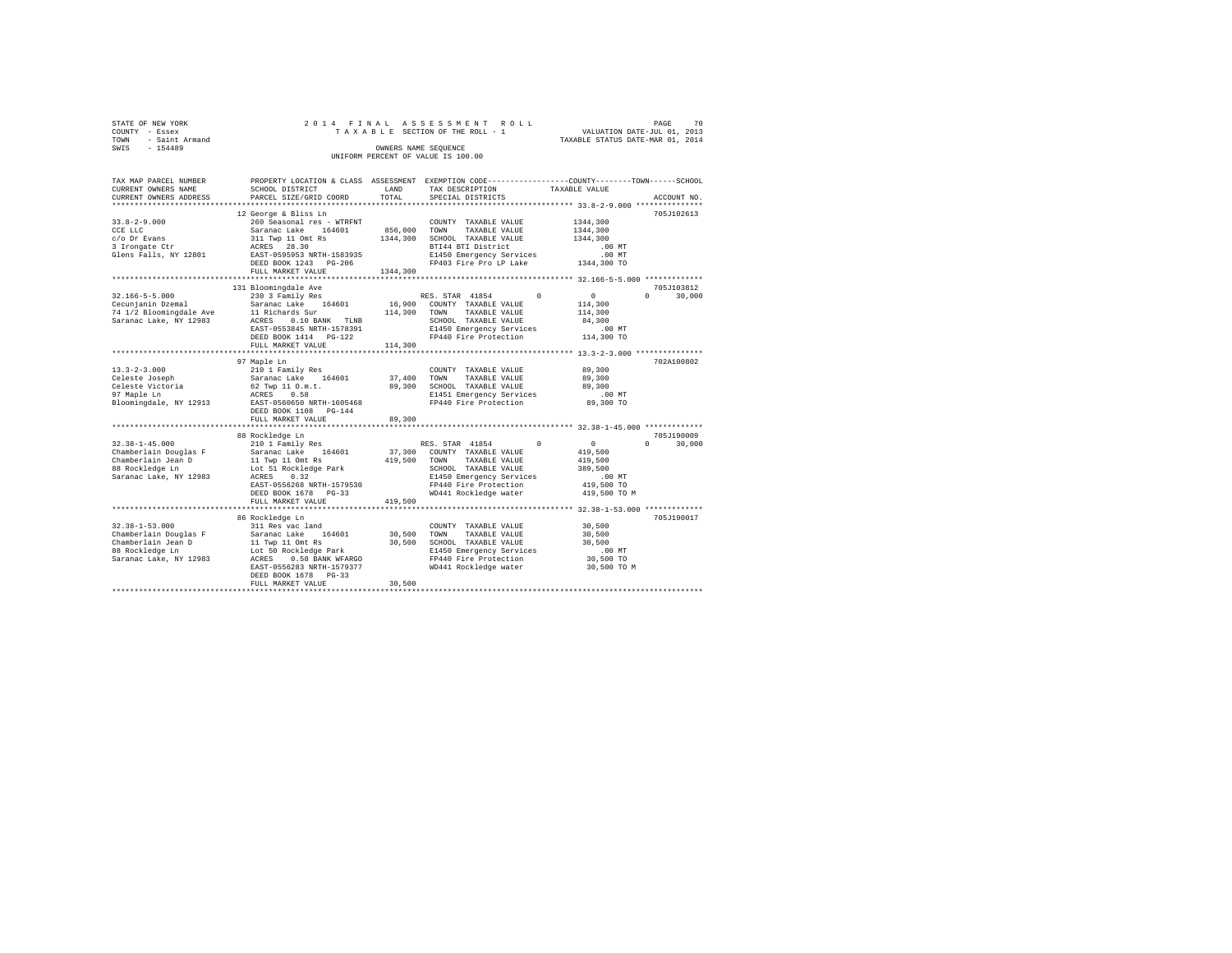| STATE OF NEW YORK   |  |  | 2014 FINAL ASSESSMENT ROLL         |  |  |                                  | PAGE | 70 |
|---------------------|--|--|------------------------------------|--|--|----------------------------------|------|----|
|                     |  |  |                                    |  |  |                                  |      |    |
| COUNTY - Essex      |  |  | TAXABLE SECTION OF THE ROLL - 1    |  |  | VALUATION DATE-JUL 01, 2013      |      |    |
| TOWN - Saint Armand |  |  |                                    |  |  | TAXABLE STATUS DATE-MAR 01, 2014 |      |    |
| SWTS<br>$-154489$   |  |  | OWNERS NAME SEOUENCE               |  |  |                                  |      |    |
|                     |  |  | UNIFORM PERCENT OF VALUE IS 100.00 |  |  |                                  |      |    |
|                     |  |  |                                    |  |  |                                  |      |    |

| TAX MAP PARCEL NUMBER                                             |                                                                                                                                                                          |              | PROPERTY LOCATION & CLASS ASSESSMENT EXEMPTION CODE----------------COUNTY-------TOWN------SCHOOL |                                                                  |             |
|-------------------------------------------------------------------|--------------------------------------------------------------------------------------------------------------------------------------------------------------------------|--------------|--------------------------------------------------------------------------------------------------|------------------------------------------------------------------|-------------|
| CURRENT OWNERS NAME                                               | SCHOOL DISTRICT                                                                                                                                                          | LAND         | TAX DESCRIPTION                                                                                  | TAXABLE VALUE                                                    |             |
| CURRENT OWNERS ADDRESS                                            | PARCEL SIZE/GRID COORD                                                                                                                                                   | TOTAL        | SPECIAL DISTRICTS                                                                                |                                                                  | ACCOUNT NO. |
|                                                                   |                                                                                                                                                                          |              |                                                                                                  |                                                                  |             |
|                                                                   | 12 George & Bliss Ln                                                                                                                                                     |              |                                                                                                  |                                                                  | 705J102613  |
| $33.8 - 2 - 9.000$                                                | 260 Seasonal res - WTRFNT                                                                                                                                                |              | COUNTY TAXABLE VALUE                                                                             | 1344.300                                                         |             |
| CCE LLC                                                           | Saranac Lake 164601                                                                                                                                                      | 856,000 TOWN | TAXABLE VALUE                                                                                    | 1344,300                                                         |             |
| c/o Dr Evans                                                      | 311 Twp 11 Omt Rs<br>ACRES 28.30                                                                                                                                         |              | 1344,300 SCHOOL TAXABLE VALUE                                                                    | 1344,300                                                         |             |
| 3 Irongate Ctr                                                    |                                                                                                                                                                          |              | BTI44 BTI District                                                                               | $.00$ MT                                                         |             |
| Glens Falls, NY 12801                                             | EAST-0595953 NRTH-1583935                                                                                                                                                |              | E1450 Emergency Services                                                                         | $.00$ MT                                                         |             |
|                                                                   | DEED BOOK 1243 PG-206                                                                                                                                                    |              | FP403 Fire Pro LP Lake 1344,300 TO                                                               |                                                                  |             |
|                                                                   | FULL MARKET VALUE                                                                                                                                                        | 1344,300     |                                                                                                  |                                                                  |             |
|                                                                   | 131 Bloomingdale Ave                                                                                                                                                     |              |                                                                                                  |                                                                  | 705J103812  |
| $32.166 - 5 - 5.000$                                              | 230 3 Family Res                                                                                                                                                         |              | RES. STAR 41854<br>$\Omega$                                                                      | $\mathbf{0}$<br>$\Omega$                                         | 30,000      |
| Cecunjanin Dzemal                                                 | Saranac Lake 164601                                                                                                                                                      |              | 16,900 COUNTY TAXABLE VALUE                                                                      | 114,300                                                          |             |
|                                                                   |                                                                                                                                                                          |              | TAXABLE VALUE<br>TOWN                                                                            | 114,300                                                          |             |
| Saranac Lake, NY 12983                                            | 74 1/2 Bloomingdale Ave 11 Richards Sur 114,300<br>0.10 BANK TLNB<br>ACRES                                                                                               |              | SCHOOL TAXABLE VALUE                                                                             | 84,300                                                           |             |
|                                                                   | EAST-0553845 NRTH-1578391                                                                                                                                                |              | E1450 Emergency Services                                                                         | $.00$ MT                                                         |             |
|                                                                   |                                                                                                                                                                          |              | FP440 Fire Protection                                                                            | $114,300$ TO                                                     |             |
|                                                                   | DEED BOOK 1414 PG-122<br>FULL MARKET VALUE                                                                                                                               | 114,300      |                                                                                                  |                                                                  |             |
|                                                                   |                                                                                                                                                                          |              |                                                                                                  |                                                                  |             |
|                                                                   | 97 Maple Ln                                                                                                                                                              |              |                                                                                                  |                                                                  | 702A100802  |
| $13.3 - 2 - 3.000$                                                | 210 1 Family Res                                                                                                                                                         |              | COUNTY TAXABLE VALUE                                                                             | 89,300                                                           |             |
|                                                                   |                                                                                                                                                                          | 37,400 TOWN  | TAXABLE VALUE                                                                                    | 89,300                                                           |             |
| 13.3-2-5.000<br>Celeste Joseph<br>Celeste Victoria<br>In Momle Ln | Saranac Lake 164601<br>62 Twp 11 O.m.t.                                                                                                                                  |              | 89,300 SCHOOL TAXABLE VALUE                                                                      | 89,300                                                           |             |
|                                                                   | ACRES 0.58                                                                                                                                                               |              | E1451 Emergency Services                                                                         | $.00$ MT                                                         |             |
|                                                                   |                                                                                                                                                                          |              | FP440 Fire Protection                                                                            | 89,300 TO                                                        |             |
|                                                                   | DEED BOOK 1108 PG-144                                                                                                                                                    |              |                                                                                                  |                                                                  |             |
|                                                                   | FULL MARKET VALUE                                                                                                                                                        | 89,300       |                                                                                                  |                                                                  |             |
|                                                                   |                                                                                                                                                                          |              |                                                                                                  |                                                                  |             |
|                                                                   | 88 Rockledge Ln                                                                                                                                                          |              |                                                                                                  |                                                                  | 705J190009  |
| $32.38 - 1 - 45.000$                                              | 210 1 Family Res                                                                                                                                                         |              | $\Omega$<br>RES. STAR 41854                                                                      | $\sim$ 0<br>$\Omega$                                             | 30,000      |
| Chamberlain Douglas F                                             | Saranac Lake 164601                                                                                                                                                      |              | 37,300 COUNTY TAXABLE VALUE                                                                      | 419,500                                                          |             |
| Chamberlain Jean D                                                |                                                                                                                                                                          | 419,500 TOWN | TAXABLE VALUE                                                                                    | 419,500                                                          |             |
| 88 Rockledge Ln                                                   | 11 Twp 11 Omt Rs<br>Lot 51 Rockledge Park                                                                                                                                |              | SCHOOL TAXABLE VALUE                                                                             | 389,500                                                          |             |
| Saranac Lake, NY 12983                                            | ACRES<br>0.32                                                                                                                                                            |              | E1450 Emergency Services                                                                         | .00 MT                                                           |             |
|                                                                   | EAST-0556268 NRTH-1579530                                                                                                                                                |              | FP440 Fire Protection                                                                            | 419,500 TO                                                       |             |
|                                                                   | DEED BOOK 1678    PG-33                                                                                                                                                  |              | WD441 Rockledge water                                                                            | 419,500 TO M                                                     |             |
|                                                                   | FULL MARKET VALUE                                                                                                                                                        | 419,500      |                                                                                                  |                                                                  |             |
|                                                                   | ***********************                                                                                                                                                  |              |                                                                                                  | ********************************** 32.38-1-53.000 ************** |             |
|                                                                   | 86 Rockledge Ln                                                                                                                                                          |              |                                                                                                  |                                                                  | 705J190017  |
| $32.38 - 1 - 53.000$                                              | 311 Res vac land                                                                                                                                                         |              | COUNTY TAXABLE VALUE                                                                             | 30,500                                                           |             |
|                                                                   |                                                                                                                                                                          | 30,500       | TOWN<br>TAXABLE VALUE                                                                            | 30,500                                                           |             |
|                                                                   |                                                                                                                                                                          |              | 30,500 SCHOOL TAXABLE VALUE                                                                      | 30,500                                                           |             |
|                                                                   | Chamberlain Douglas Faranac Lake 164601<br>Chamberlain Jean D 11 Twp 11 Omt Rs<br>88 Rockledge En Lot 50 Rockledge Park<br>Saranac Lake, NY 12983 ACRES 0.58 BANK WFARGO |              | E1450 Emergency Services                                                                         | .00 MT                                                           |             |
|                                                                   |                                                                                                                                                                          |              | FP440 Fire Protection                                                                            | 30,500 TO                                                        |             |
|                                                                   | EAST-0556283 NRTH-1579377                                                                                                                                                |              | WD441 Rockledge water                                                                            | 30,500 TO M                                                      |             |
|                                                                   | DEED BOOK 1678 PG-33                                                                                                                                                     |              |                                                                                                  |                                                                  |             |
|                                                                   | FULL MARKET VALUE                                                                                                                                                        | 30,500       |                                                                                                  |                                                                  |             |
|                                                                   |                                                                                                                                                                          |              |                                                                                                  |                                                                  |             |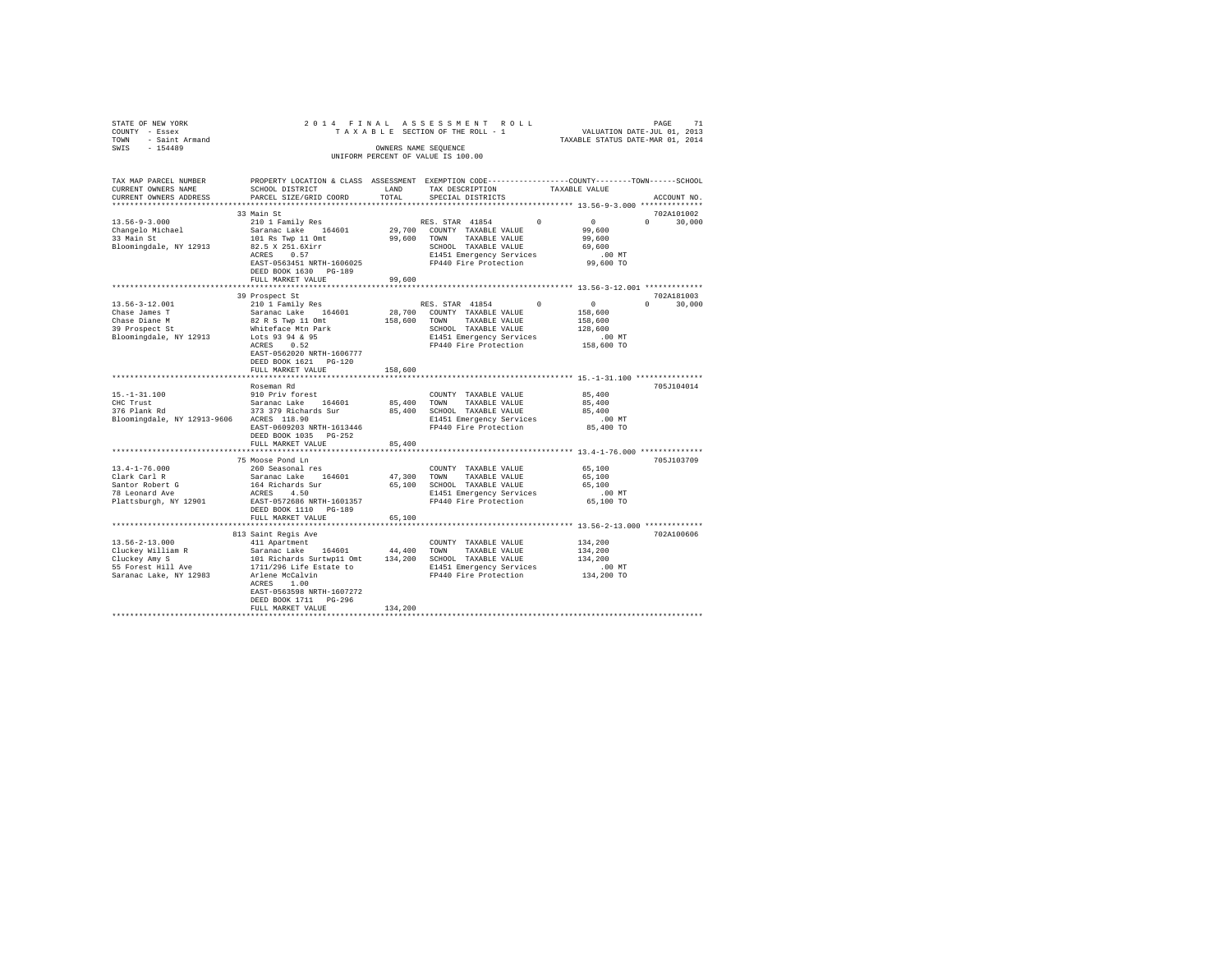| STATE OF NEW YORK STATE OF NEW YORK A SERIES OF NEW YORK A SERIES OF NEW YORK A SERIES OF NEW YORK A SERIES SERIES OF THE ROLL TRANSLES OF THE ROLL TRANSLES STATES ON DATE-JUL 01, 2013<br>TOWN - Saint Armand<br>SWIS - 154489                                                                                                                                                                                                                                                                                                                                                                                                                                             |                                                                                                                    |             |                                                                     |                                                |               |
|------------------------------------------------------------------------------------------------------------------------------------------------------------------------------------------------------------------------------------------------------------------------------------------------------------------------------------------------------------------------------------------------------------------------------------------------------------------------------------------------------------------------------------------------------------------------------------------------------------------------------------------------------------------------------|--------------------------------------------------------------------------------------------------------------------|-------------|---------------------------------------------------------------------|------------------------------------------------|---------------|
|                                                                                                                                                                                                                                                                                                                                                                                                                                                                                                                                                                                                                                                                              |                                                                                                                    |             | UNIFORM PERCENT OF VALUE IS 100.00                                  |                                                |               |
| TAX MAP PARCEL NUMBER<br>CURRENT OWNERS NAME                                                                                                                                                                                                                                                                                                                                                                                                                                                                                                                                                                                                                                 | PROPERTY LOCATION & CLASS ASSESSMENT EXEMPTION CODE---------------COUNTY-------TOWN------SCHOOL<br>SCHOOL DISTRICT | LAND        | TAX DESCRIPTION                                                     | TAXABLE VALUE                                  |               |
| CURRENT OWNERS ADDRESS                                                                                                                                                                                                                                                                                                                                                                                                                                                                                                                                                                                                                                                       | PARCEL SIZE/GRID COORD                                                                                             | TOTAL       | SPECIAL DISTRICTS                                                   |                                                | ACCOUNT NO.   |
|                                                                                                                                                                                                                                                                                                                                                                                                                                                                                                                                                                                                                                                                              | 33 Main St                                                                                                         |             |                                                                     |                                                | 702A101002    |
| $13.56 - 9 - 3.000$                                                                                                                                                                                                                                                                                                                                                                                                                                                                                                                                                                                                                                                          | 210 1 Family Res                                                                                                   |             | RES. STAR 41854                                                     | $\begin{matrix} 0 && 0 \\ 99,600 \end{matrix}$ | $0 \t 30.000$ |
| Changelo Michael<br>33 Main St                                                                                                                                                                                                                                                                                                                                                                                                                                                                                                                                                                                                                                               |                                                                                                                    |             |                                                                     |                                                |               |
|                                                                                                                                                                                                                                                                                                                                                                                                                                                                                                                                                                                                                                                                              | 101 Rs Twp 11 Omt                                                                                                  |             | 99,600 TOWN TAXABLE VALUE                                           | 99,600                                         |               |
| Bloomingdale, NY 12913                                                                                                                                                                                                                                                                                                                                                                                                                                                                                                                                                                                                                                                       | 82.5 X 251.6Xirr<br>ACRES 0.57                                                                                     |             |                                                                     | 69,600                                         |               |
|                                                                                                                                                                                                                                                                                                                                                                                                                                                                                                                                                                                                                                                                              |                                                                                                                    |             |                                                                     | MT.<br>99,600 TO                               |               |
|                                                                                                                                                                                                                                                                                                                                                                                                                                                                                                                                                                                                                                                                              |                                                                                                                    |             |                                                                     |                                                |               |
|                                                                                                                                                                                                                                                                                                                                                                                                                                                                                                                                                                                                                                                                              | DEED BOOK 1630 PG-189<br>FULL MARKET VALUE                                                                         | 99,600      |                                                                     |                                                |               |
|                                                                                                                                                                                                                                                                                                                                                                                                                                                                                                                                                                                                                                                                              |                                                                                                                    |             |                                                                     |                                                |               |
|                                                                                                                                                                                                                                                                                                                                                                                                                                                                                                                                                                                                                                                                              | 39 Prospect St                                                                                                     |             |                                                                     |                                                | 702A181003    |
| 13.56-3-12.001                                                                                                                                                                                                                                                                                                                                                                                                                                                                                                                                                                                                                                                               |                                                                                                                    |             | RES. STAR 41854                                                     | $0 \qquad \qquad 0$                            | $0 \t 30,000$ |
| Chase James T                                                                                                                                                                                                                                                                                                                                                                                                                                                                                                                                                                                                                                                                | 210 1 Family Res<br>Saranac Lake 164601<br>82 R S Twp 11 Omt                                                       |             | 28,700 COUNTY TAXABLE VALUE                                         | 158,600                                        |               |
| Chase James I<br>Chase Diane M<br>39 Prospect St                                                                                                                                                                                                                                                                                                                                                                                                                                                                                                                                                                                                                             |                                                                                                                    |             | 158,600 TOWN TAXABLE VALUE                                          | 158,600                                        |               |
|                                                                                                                                                                                                                                                                                                                                                                                                                                                                                                                                                                                                                                                                              |                                                                                                                    |             |                                                                     | 128,600                                        |               |
| Bloomingdale, NY 12913                                                                                                                                                                                                                                                                                                                                                                                                                                                                                                                                                                                                                                                       | Whiteface Mtn Park<br>Lots 93 94 & 95<br>ACRES 0.52                                                                |             |                                                                     | .00 MT                                         |               |
|                                                                                                                                                                                                                                                                                                                                                                                                                                                                                                                                                                                                                                                                              |                                                                                                                    |             | SCHOOL TRANDLE<br>E1451 Emergency Services<br>FP440 Fire Protection | 158,600 TO                                     |               |
|                                                                                                                                                                                                                                                                                                                                                                                                                                                                                                                                                                                                                                                                              | EAST-0562020 NRTH-1606777<br>DEED BOOK 1621   PG-120                                                               |             |                                                                     |                                                |               |
|                                                                                                                                                                                                                                                                                                                                                                                                                                                                                                                                                                                                                                                                              | FULL MARKET VALUE                                                                                                  | 158,600     |                                                                     |                                                |               |
|                                                                                                                                                                                                                                                                                                                                                                                                                                                                                                                                                                                                                                                                              |                                                                                                                    |             |                                                                     |                                                |               |
|                                                                                                                                                                                                                                                                                                                                                                                                                                                                                                                                                                                                                                                                              | Roseman Rd                                                                                                         |             |                                                                     |                                                | 705J104014    |
|                                                                                                                                                                                                                                                                                                                                                                                                                                                                                                                                                                                                                                                                              |                                                                                                                    |             |                                                                     | 85,400                                         |               |
|                                                                                                                                                                                                                                                                                                                                                                                                                                                                                                                                                                                                                                                                              |                                                                                                                    |             |                                                                     | 85,400                                         |               |
|                                                                                                                                                                                                                                                                                                                                                                                                                                                                                                                                                                                                                                                                              |                                                                                                                    |             |                                                                     | 85,400                                         |               |
|                                                                                                                                                                                                                                                                                                                                                                                                                                                                                                                                                                                                                                                                              | ACRES 118.90 E1451 Emergency Services<br>EAST-0609203 NRTH-1613446 FP440 Fire Protection                           |             |                                                                     | $.00$ MT                                       |               |
|                                                                                                                                                                                                                                                                                                                                                                                                                                                                                                                                                                                                                                                                              |                                                                                                                    |             |                                                                     | 85,400 TO                                      |               |
|                                                                                                                                                                                                                                                                                                                                                                                                                                                                                                                                                                                                                                                                              | DEED BOOK 1035 PG-252<br>FULL MARKET VALUE                                                                         | 85,400      |                                                                     |                                                |               |
|                                                                                                                                                                                                                                                                                                                                                                                                                                                                                                                                                                                                                                                                              |                                                                                                                    |             |                                                                     |                                                |               |
|                                                                                                                                                                                                                                                                                                                                                                                                                                                                                                                                                                                                                                                                              | 75 Moose Pond Ln                                                                                                   |             |                                                                     |                                                | 705J103709    |
| $13.4 - 1 - 76.000$                                                                                                                                                                                                                                                                                                                                                                                                                                                                                                                                                                                                                                                          | 260 Seasonal res                                                                                                   |             | COUNTY TAXABLE VALUE                                                | 65,100                                         |               |
| Clark Carl R                                                                                                                                                                                                                                                                                                                                                                                                                                                                                                                                                                                                                                                                 | Saranac Lake 164601                                                                                                | 47,300 TOWN | TAXABLE VALUE                                                       | 65,100                                         |               |
| Santor Robert G<br>78 Leonard Ave                                                                                                                                                                                                                                                                                                                                                                                                                                                                                                                                                                                                                                            | 164 Richards Sur<br>ACRES 4.50                                                                                     |             | 65,100 SCHOOL TAXABLE VALUE                                         | 65,100                                         |               |
|                                                                                                                                                                                                                                                                                                                                                                                                                                                                                                                                                                                                                                                                              |                                                                                                                    |             | E1451 Emergency Services .00 MT<br>FP440 Fire Protection .05,100 TO |                                                |               |
| Plattsburgh, NY 12901                                                                                                                                                                                                                                                                                                                                                                                                                                                                                                                                                                                                                                                        | EAST-0572686 NRTH-1601357                                                                                          |             |                                                                     |                                                |               |
|                                                                                                                                                                                                                                                                                                                                                                                                                                                                                                                                                                                                                                                                              | DEED BOOK 1110 PG-189                                                                                              |             |                                                                     |                                                |               |
|                                                                                                                                                                                                                                                                                                                                                                                                                                                                                                                                                                                                                                                                              | FULL MARKET VALUE                                                                                                  | 65,100      |                                                                     |                                                |               |
|                                                                                                                                                                                                                                                                                                                                                                                                                                                                                                                                                                                                                                                                              | 813 Saint Regis Ave                                                                                                |             |                                                                     |                                                | 702A100606    |
| 13.56-2-13.000                                                                                                                                                                                                                                                                                                                                                                                                                                                                                                                                                                                                                                                               | 411 Apartment                                                                                                      |             | COUNTY TAXABLE VALUE                                                | 134,200                                        |               |
|                                                                                                                                                                                                                                                                                                                                                                                                                                                                                                                                                                                                                                                                              |                                                                                                                    |             |                                                                     |                                                |               |
|                                                                                                                                                                                                                                                                                                                                                                                                                                                                                                                                                                                                                                                                              |                                                                                                                    |             |                                                                     |                                                |               |
| Cluckey William R<br>Cluckey Amy S<br>55 Forest Hill Ave<br>55 Forest Hill Ave<br>Saranac Islam<br>$\texttt{Cluster } \texttt{Multi} \texttt{Multi} \texttt{Multi} \texttt{Multi} \texttt{Multi} \texttt{Multi} \texttt{Multi} \texttt{Multi} \texttt{Multi} \texttt{Multi} \texttt{Multi} \texttt{Multi} \texttt{Multi} \texttt{Multi} \texttt{Multi} \texttt{Multi} \texttt{Multi} \texttt{Multi} \texttt{Multi} \texttt{Multi} \texttt{Multi} \texttt{Multi} \texttt{Multi} \texttt{Multi} \texttt{Multi} \texttt{Multi} \texttt{Multi} \texttt{Multi} \texttt{Multi} \texttt{Multi} \texttt{Multi} \texttt{Multi} \texttt{Multi} \texttt{Multi} \texttt{Multi} \texttt{$ |                                                                                                                    |             |                                                                     |                                                |               |
|                                                                                                                                                                                                                                                                                                                                                                                                                                                                                                                                                                                                                                                                              |                                                                                                                    |             |                                                                     |                                                |               |
|                                                                                                                                                                                                                                                                                                                                                                                                                                                                                                                                                                                                                                                                              | ACRES 1.00                                                                                                         |             |                                                                     |                                                |               |
|                                                                                                                                                                                                                                                                                                                                                                                                                                                                                                                                                                                                                                                                              | EAST-0563598 NRTH-1607272                                                                                          |             |                                                                     |                                                |               |
|                                                                                                                                                                                                                                                                                                                                                                                                                                                                                                                                                                                                                                                                              | DEED BOOK 1711 PG-296<br>FULL MARKET VALUE                                                                         | 134,200     |                                                                     |                                                |               |
|                                                                                                                                                                                                                                                                                                                                                                                                                                                                                                                                                                                                                                                                              |                                                                                                                    |             |                                                                     |                                                |               |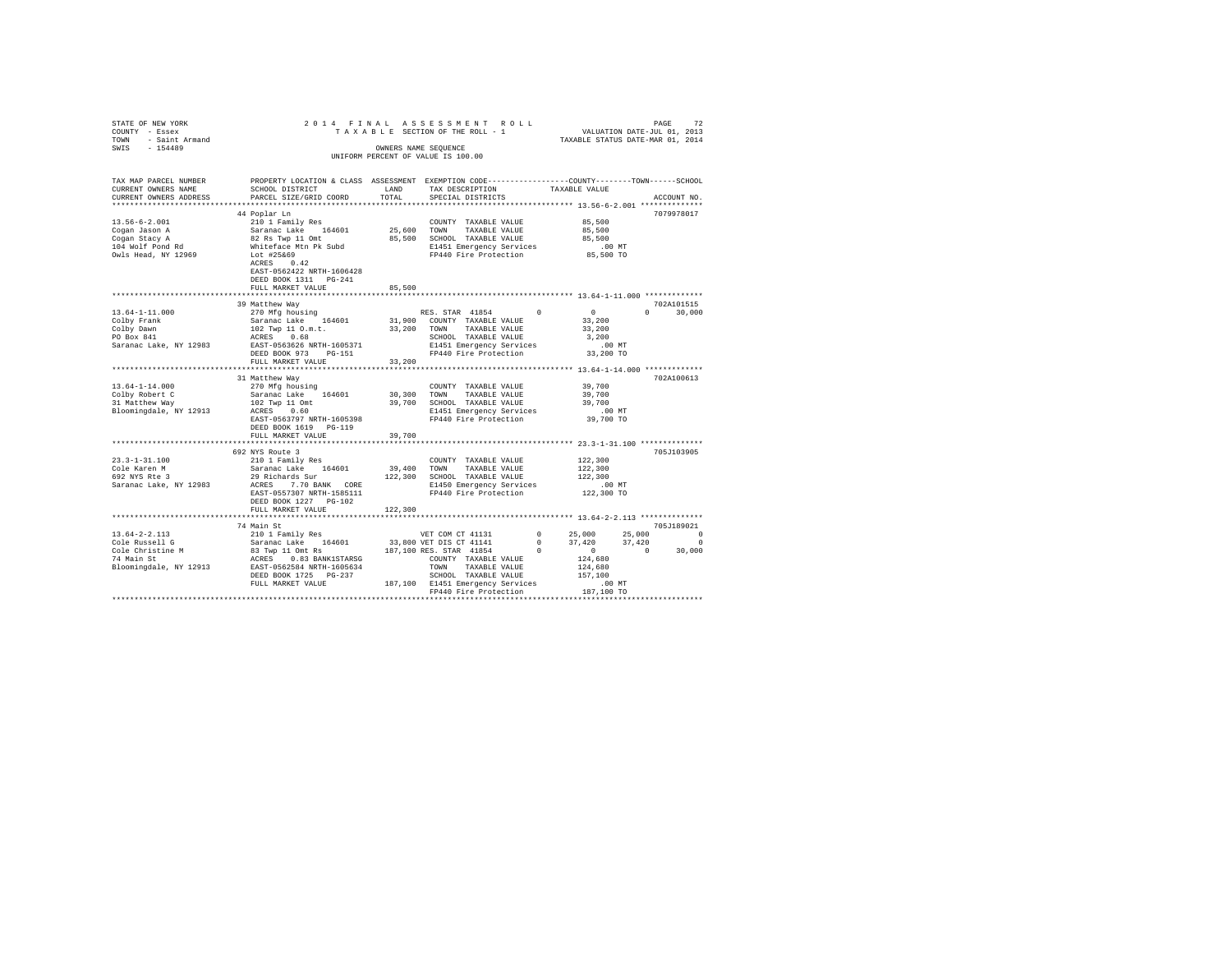| STATE OF NEW YORK                 | 2014 FINAL                                                                                      |             | ASSESSMENT ROLL                    | PAGE 72<br>VALUATION DATE-JUL 01, 2013<br>TAXABLE STATUS DATE-MAR 01, 2014                |                          |
|-----------------------------------|-------------------------------------------------------------------------------------------------|-------------|------------------------------------|-------------------------------------------------------------------------------------------|--------------------------|
| COUNTY - Essex                    |                                                                                                 |             | TAXABLE SECTION OF THE ROLL - 1    |                                                                                           |                          |
| TOWN - Saint Armand               |                                                                                                 |             |                                    |                                                                                           |                          |
| $-154489$<br>SWIS                 |                                                                                                 |             | OWNERS NAME SEQUENCE               |                                                                                           |                          |
|                                   |                                                                                                 |             | UNIFORM PERCENT OF VALUE IS 100.00 |                                                                                           |                          |
|                                   |                                                                                                 |             |                                    |                                                                                           |                          |
|                                   |                                                                                                 |             |                                    |                                                                                           |                          |
| TAX MAP PARCEL NUMBER             | PROPERTY LOCATION & CLASS ASSESSMENT EXEMPTION CODE---------------COUNTY-------TOWN------SCHOOL |             |                                    |                                                                                           |                          |
| CURRENT OWNERS NAME               | SCHOOL DISTRICT                                                                                 | LAND        | TAX DESCRIPTION                    | TAXABLE VALUE                                                                             |                          |
| CURRENT OWNERS ADDRESS            | PARCEL SIZE/GRID COORD                                                                          | TOTAL       | SPECIAL DISTRICTS                  |                                                                                           | ACCOUNT NO.              |
|                                   |                                                                                                 |             |                                    |                                                                                           |                          |
|                                   | 44 Poplar Ln                                                                                    |             |                                    |                                                                                           | 7079978017               |
|                                   | 210 1 Family Res                                                                                |             |                                    |                                                                                           |                          |
| $13.56 - 6 - 2.001$               |                                                                                                 |             | COUNTY TAXABLE VALUE               | 85,500                                                                                    |                          |
| Cogan Jason A                     | Saranac Lake 164601                                                                             | 25,600 TOWN | TAXABLE VALUE                      | 85,500                                                                                    |                          |
| Cogan Stacy A<br>104 Wolf Pond Rd | 82 Rs Twp 11 Omt<br>Whiteface Mtn Pk Subd                                                       |             | 85,500 SCHOOL TAXABLE VALUE        | 85,500                                                                                    |                          |
|                                   |                                                                                                 |             | E1451 Emergency Services           | $.00$ MT                                                                                  |                          |
| Owls Head, NY 12969               | Lot #25&69                                                                                      |             | FP440 Fire Protection              | 85,500 TO                                                                                 |                          |
|                                   | ACRES 0.42                                                                                      |             |                                    |                                                                                           |                          |
|                                   | EAST-0562422 NRTH-1606428                                                                       |             |                                    |                                                                                           |                          |
|                                   | DEED BOOK 1311    PG-241                                                                        |             |                                    |                                                                                           |                          |
|                                   | FULL MARKET VALUE                                                                               | 85,500      |                                    |                                                                                           |                          |
|                                   |                                                                                                 |             |                                    |                                                                                           |                          |
|                                   | 39 Matthew Way                                                                                  |             |                                    |                                                                                           | 702A101515               |
| $13.64 - 1 - 11.000$              | 270 Mfg housing                                                                                 |             | RES. STAR 41854                    | $\overline{0}$<br>$\Omega$                                                                | $\cap$<br>30,000         |
| Colby Frank                       | Saranac Lake 164601                                                                             |             | 31,900 COUNTY TAXABLE VALUE        | 33,200                                                                                    |                          |
| Colby Dawn                        |                                                                                                 | 33,200      | TOWN TAXABLE VALUE                 | 33,200                                                                                    |                          |
| PO Box 841                        | $102$ Twp 11 O.m.t.<br>20EEC 0.69<br>ACRES 0.68                                                 |             | SCHOOL TAXABLE VALUE               | 3,200                                                                                     |                          |
| Saranac Lake, NY 12983            | EAST-0563626 NRTH-1605371                                                                       |             | E1451 Emergency Services           | .00 MT                                                                                    |                          |
|                                   |                                                                                                 |             | FP440 Fire Protection              | 33,200 TO                                                                                 |                          |
|                                   | DEED BOOK 973 PG-151                                                                            |             |                                    |                                                                                           |                          |
|                                   | FULL MARKET VALUE                                                                               | 33,200      |                                    |                                                                                           |                          |
|                                   |                                                                                                 |             |                                    |                                                                                           |                          |
|                                   | 31 Matthew Way                                                                                  |             |                                    |                                                                                           | 702A100613               |
| $13.64 - 1 - 14.000$              | 270 Mfg housing                                                                                 |             | COUNTY TAXABLE VALUE               | 39,700                                                                                    |                          |
|                                   | Saranac Lake 164601                                                                             | 30,300      | TOWN<br>TAXABLE VALUE              | 39,700                                                                                    |                          |
| Colby Robert C<br>31 Matthew Way  | 102 Twp 11 Omt                                                                                  |             | 39,700 SCHOOL TAXABLE VALUE        | 39,700                                                                                    |                          |
| Bloomingdale, NY 12913            | ACRES 0.60                                                                                      |             | E1451 Emergency Services           | .00MT                                                                                     |                          |
|                                   | EAST-0563797 NRTH-1605398                                                                       |             | FP440 Fire Protection              | 39,700 TO                                                                                 |                          |
|                                   | DEED BOOK 1619 PG-119                                                                           |             |                                    |                                                                                           |                          |
|                                   | FULL MARKET VALUE                                                                               | 39,700      |                                    |                                                                                           |                          |
|                                   |                                                                                                 |             |                                    |                                                                                           |                          |
|                                   | 692 NYS Route 3                                                                                 |             |                                    |                                                                                           | 705J103905               |
| $23.3 - 1 - 31.100$               | 210 1 Family Res                                                                                |             | COUNTY TAXABLE VALUE               | 122,300                                                                                   |                          |
| Cole Karen M                      | Saranac Lake 164601                                                                             | 39,400      | TOWN<br>TAXABLE VALUE              | 122,300                                                                                   |                          |
| $692$ NYS Rte 3                   | 29 Richards Sur                                                                                 |             | 122,300 SCHOOL TAXABLE VALUE       | 122,300                                                                                   |                          |
| Saranac Lake, NY 12983            | ACRES 7.70 BANK CORE                                                                            |             | E1450 Emergency Services           |                                                                                           |                          |
|                                   |                                                                                                 |             |                                    | $.00$ MT                                                                                  |                          |
|                                   | EAST-0557307 NRTH-1585111                                                                       |             | FP440 Fire Protection              | 122,300 TO                                                                                |                          |
|                                   | DEED BOOK 1227 PG-102                                                                           |             |                                    |                                                                                           |                          |
|                                   | FULL MARKET VALUE                                                                               | 122,300     |                                    |                                                                                           |                          |
|                                   |                                                                                                 |             |                                    |                                                                                           |                          |
|                                   | 74 Main St                                                                                      |             |                                    |                                                                                           | 705J189021               |
| $13.64 - 2 - 2.113$               | 210 1 Family Res                                                                                |             | VET COM CT 41131                   |                                                                                           | $\sim$ 0<br>25,000       |
| Cole Russell G                    | Saranac Lake 164601                                                                             |             | 33,800 VET DIS CT 41141            | $\begin{array}{ccc} 0 & \quad & 25\,,000 \\ 0 & \quad & 37\,,420 \end{array}$<br>$\sim$ 0 | 37,420<br>$\overline{0}$ |
| Cole Christine M                  |                                                                                                 |             | 187,100 RES. STAR 41854            | $\sim$ 0<br>$\sim$ 0                                                                      | $\Omega$<br>30,000       |
| $74$ Main St                      | 83 Twp 11 Omt Rs<br>ACRES 0.83 BANK1STARSG                                                      |             | COUNTY TAXABLE VALUE               | 124,680                                                                                   |                          |
| Bloomingdale, NY 12913            | EAST-0562584 NRTH-1605634                                                                       |             | TOWN TAXABLE VALUE                 | 124,680                                                                                   |                          |
|                                   | DEED BOOK 1725 PG-237                                                                           |             | SCHOOL TAXABLE VALUE               | 157,100                                                                                   |                          |
|                                   | FULL MARKET VALUE                                                                               |             | 187,100 E1451 Emergency Services   | $.00$ MT                                                                                  |                          |
|                                   |                                                                                                 |             | FP440 Fire Protection              | 187,100 TO                                                                                |                          |
|                                   |                                                                                                 |             |                                    |                                                                                           |                          |
|                                   |                                                                                                 |             |                                    |                                                                                           |                          |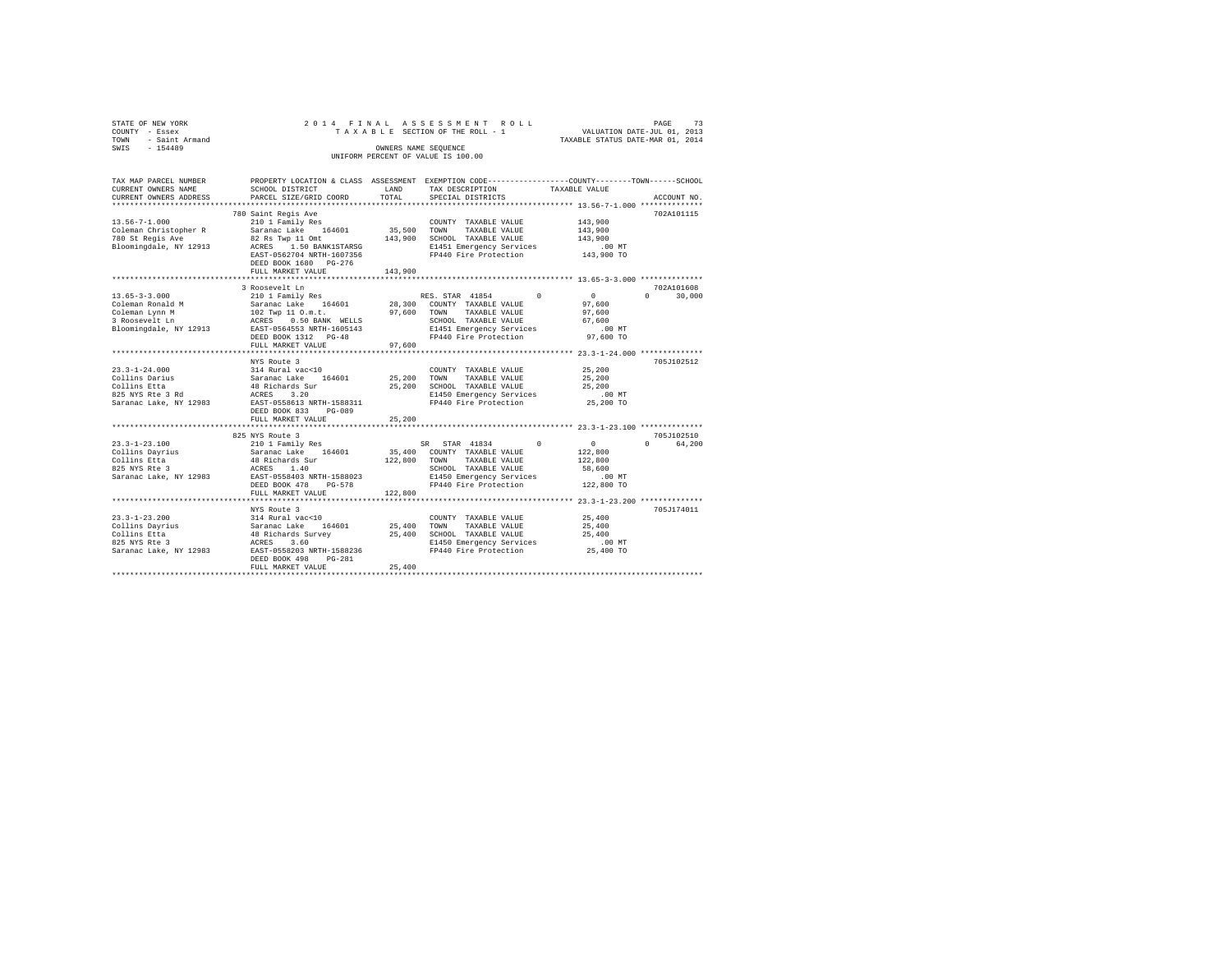| STATE OF NEW YORK                    |                                                                                                                                                                                                                                                                                      |         | 2014 FINAL ASSESSMENT ROLL                                                                      |                 |               |  |  |
|--------------------------------------|--------------------------------------------------------------------------------------------------------------------------------------------------------------------------------------------------------------------------------------------------------------------------------------|---------|-------------------------------------------------------------------------------------------------|-----------------|---------------|--|--|
| COUNTY - Essex                       |                                                                                                                                                                                                                                                                                      |         |                                                                                                 |                 |               |  |  |
| TOWN - Saint Armand<br>SWIS - 154489 | TAXABLE STATUS DATE-MAR 01, 2014<br>OWNERS NAME SEQUENCE                                                                                                                                                                                                                             |         |                                                                                                 |                 |               |  |  |
|                                      |                                                                                                                                                                                                                                                                                      |         | UNIFORM PERCENT OF VALUE IS 100.00                                                              |                 |               |  |  |
|                                      |                                                                                                                                                                                                                                                                                      |         |                                                                                                 |                 |               |  |  |
| TAX MAP PARCEL NUMBER                |                                                                                                                                                                                                                                                                                      |         | PROPERTY LOCATION & CLASS ASSESSMENT EXEMPTION CODE---------------COUNTY-------TOWN------SCHOOL |                 |               |  |  |
| CURRENT OWNERS NAME                  | SCHOOL DISTRICT                                                                                                                                                                                                                                                                      |         | LAND TAX DESCRIPTION TAXABLE VALUE                                                              |                 |               |  |  |
| CURRENT OWNERS ADDRESS               | PARCEL SIZE/GRID COORD                                                                                                                                                                                                                                                               | TOTAL   | SPECIAL DISTRICTS                                                                               |                 | ACCOUNT NO.   |  |  |
|                                      |                                                                                                                                                                                                                                                                                      |         |                                                                                                 |                 |               |  |  |
|                                      | 780 Saint Regis Ave                                                                                                                                                                                                                                                                  |         |                                                                                                 |                 | 702A101115    |  |  |
| $13.56 - 7 - 1.000$                  | oo saint Regis Ave<br>210 1 Family Res                                                                                                                                                                                                                                               |         | COUNTY TAXABLE VALUE 143,900                                                                    |                 |               |  |  |
| Coleman Christopher R                | Saranac Lake 164601 35,500 TOWN                                                                                                                                                                                                                                                      |         | TAXABLE VALUE                                                                                   | 143,900         |               |  |  |
| 780 St Regis Ave                     | 82 Rs Twp 11 Omt 143,900 SCHOOL TAXABLE VALUE                                                                                                                                                                                                                                        |         |                                                                                                 | 143,900         |               |  |  |
| Bloomingdale, NY 12913               | ACRES 1.50 BANK1STARSG 8 81451 Emergency Services<br>EAST-0562704 NRTH-1607356 879440 Fire Protection                                                                                                                                                                                |         |                                                                                                 | .00 MT          |               |  |  |
|                                      |                                                                                                                                                                                                                                                                                      |         |                                                                                                 | 143,900 TO      |               |  |  |
|                                      | DEED BOOK 1680 PG-276                                                                                                                                                                                                                                                                |         |                                                                                                 |                 |               |  |  |
|                                      | FULL MARKET VALUE                                                                                                                                                                                                                                                                    | 143,900 |                                                                                                 |                 |               |  |  |
|                                      |                                                                                                                                                                                                                                                                                      |         |                                                                                                 |                 |               |  |  |
|                                      | 3 Roosevelt Ln                                                                                                                                                                                                                                                                       |         |                                                                                                 |                 | 702A101608    |  |  |
| $13.65 - 3 - 3.000$                  |                                                                                                                                                                                                                                                                                      |         |                                                                                                 |                 | $0 \t 30.000$ |  |  |
|                                      |                                                                                                                                                                                                                                                                                      |         |                                                                                                 |                 |               |  |  |
|                                      |                                                                                                                                                                                                                                                                                      |         |                                                                                                 |                 |               |  |  |
|                                      |                                                                                                                                                                                                                                                                                      |         |                                                                                                 |                 |               |  |  |
|                                      |                                                                                                                                                                                                                                                                                      |         |                                                                                                 |                 |               |  |  |
|                                      | 13.03-23.000<br>Coleman Ronald M 3 Saranac Lake 164601 28,300 Countries American Coleman Lynn M<br>Coleman Lynn M 102 Twp 110.m.n. 97,600 TOWN TAXABLE VALUE 97,600<br>3 Roosevelt Ln 2013 RCRES 0.50 BANK WELLS SCHOOL TAXABLE VALU<br>FULL MARKET VALUE                            | 97,600  |                                                                                                 |                 |               |  |  |
|                                      |                                                                                                                                                                                                                                                                                      |         |                                                                                                 |                 |               |  |  |
|                                      | NYS Route 3                                                                                                                                                                                                                                                                          |         |                                                                                                 |                 | 705J102512    |  |  |
| $23.3 - 1 - 24.000$                  | 314 Rural vac<10                                                                                                                                                                                                                                                                     |         | COUNTY TAXABLE VALUE                                                                            | 25,200          |               |  |  |
|                                      |                                                                                                                                                                                                                                                                                      |         |                                                                                                 |                 |               |  |  |
|                                      |                                                                                                                                                                                                                                                                                      |         |                                                                                                 |                 |               |  |  |
|                                      |                                                                                                                                                                                                                                                                                      |         |                                                                                                 | .00MT           |               |  |  |
|                                      | 25,200<br>25,200<br>26,200<br>26,200<br>26,200<br>26,200<br>26,200<br>26,200<br>26,200<br>27,200<br>27,200<br>27,200<br>27,200<br>27,200<br>27,200<br>27,200<br>27,200<br>27,200<br>27,200<br>27,200<br>27,200<br>27,200<br>27,200<br>27,200<br>27,200<br>27,200<br>27,200<br>27,200 |         |                                                                                                 | 25,200 TO       |               |  |  |
|                                      | DEED BOOK 833 PG-089                                                                                                                                                                                                                                                                 |         |                                                                                                 |                 |               |  |  |
|                                      | FULL MARKET VALUE                                                                                                                                                                                                                                                                    | 25,200  |                                                                                                 |                 |               |  |  |
|                                      |                                                                                                                                                                                                                                                                                      |         |                                                                                                 |                 |               |  |  |
|                                      |                                                                                                                                                                                                                                                                                      |         |                                                                                                 |                 | 705-T102510   |  |  |
|                                      |                                                                                                                                                                                                                                                                                      |         |                                                                                                 | $\sim$ 0 $\sim$ | 0 64,200      |  |  |
|                                      |                                                                                                                                                                                                                                                                                      |         |                                                                                                 | 122,800         |               |  |  |
|                                      | Collins Etta 40 10 11:00 11:00<br>825 NYS Rte 3 10 2002 12:00 12:00 12:00 12:00 12:00 12:00 12:00 12:00 12:00 12:00 12:00 12:00 12:00 12:00 12:<br>Saranac Lake, NY 12983 12:00 12:00 12:00 12:00 12:00 12:00 12:00 12:00 12:00 12:0                                                 |         |                                                                                                 | 122,800         |               |  |  |
|                                      |                                                                                                                                                                                                                                                                                      |         |                                                                                                 | 58,600          |               |  |  |
|                                      |                                                                                                                                                                                                                                                                                      |         |                                                                                                 |                 |               |  |  |
|                                      | DEED BOOK 478 PG-578                                                                                                                                                                                                                                                                 |         |                                                                                                 |                 |               |  |  |
|                                      | FULL MARKET VALUE                                                                                                                                                                                                                                                                    | 122,800 |                                                                                                 |                 |               |  |  |
|                                      | NYS Route 3                                                                                                                                                                                                                                                                          |         |                                                                                                 |                 | 705J174011    |  |  |
| $23.3 - 1 - 23.200$                  | $314$ Rural vac<10                                                                                                                                                                                                                                                                   |         | COUNTY TAXABLE VALUE                                                                            | 25,400          |               |  |  |
|                                      |                                                                                                                                                                                                                                                                                      |         |                                                                                                 | 25,400          |               |  |  |
|                                      | COLLINS Dayrius - Saranac Lake 164601 25,400 TOWN TAXABLE VALUE<br>COLLins Dayrius - 48 Richards Survey - 25,400 TOWN TAXABLE VALUE<br>825 AYS REE 3 48 ACRES 3.60 - RI450 EMERY SERVICES                                                                                            |         |                                                                                                 | 25,400          |               |  |  |
|                                      |                                                                                                                                                                                                                                                                                      |         |                                                                                                 |                 |               |  |  |
|                                      | 825 NYS Rte 3 200 MT ACRES 3.60 E1450 Energency Services 200 MT<br>Saranac Lake, NY 12983 EAST-0558203 NRTH-1588236 FP440 Fire Protection 25,400 TO                                                                                                                                  |         |                                                                                                 |                 |               |  |  |
|                                      | DEED BOOK 498 PG-281                                                                                                                                                                                                                                                                 |         |                                                                                                 |                 |               |  |  |
|                                      | FULL MARKET VALUE                                                                                                                                                                                                                                                                    | 25,400  |                                                                                                 |                 |               |  |  |
|                                      |                                                                                                                                                                                                                                                                                      |         |                                                                                                 |                 |               |  |  |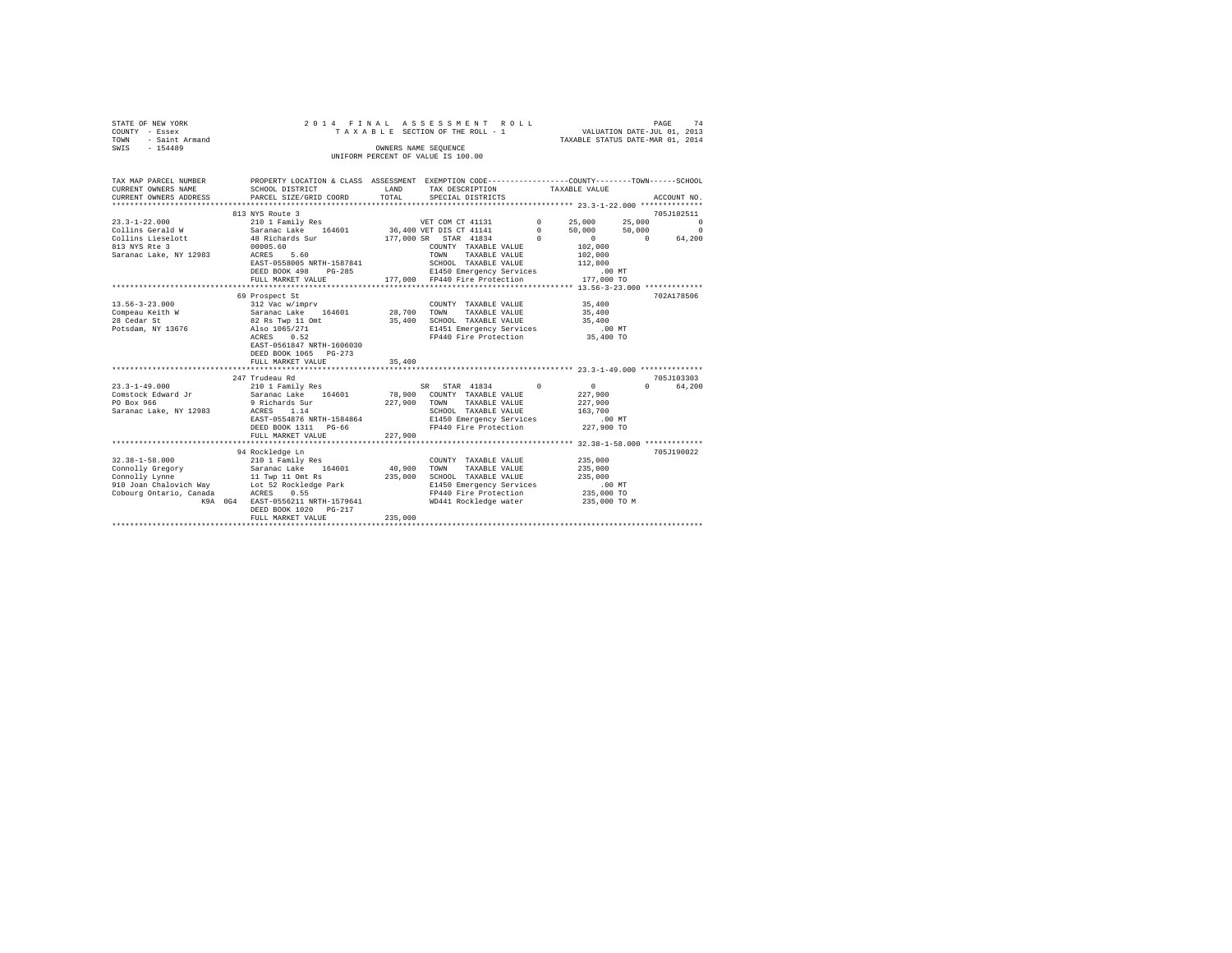| STATE OF NEW YORK   |  |  | 2014 FINAL ASSESSMENT ROLL         |                                  | PAGE                        | 74 |
|---------------------|--|--|------------------------------------|----------------------------------|-----------------------------|----|
| COUNTY - Essex      |  |  | TAXABLE SECTION OF THE ROLL - 1    |                                  | VALUATION DATE-JUL 01, 2013 |    |
| TOWN - Saint Armand |  |  |                                    | TAXABLE STATUS DATE-MAR 01, 2014 |                             |    |
| SWIS<br>$-154489$   |  |  | OWNERS NAME SEOUENCE               |                                  |                             |    |
|                     |  |  | UNIFORM PERCENT OF VALUE IS 100.00 |                                  |                             |    |
|                     |  |  |                                    |                                  |                             |    |

| TAX MAP PARCEL NUMBER               | PROPERTY LOCATION & CLASS ASSESSMENT EXEMPTION CODE-----------------COUNTY-------TOWN-----SCHOOL |         |                                                                             |                       |                             |
|-------------------------------------|--------------------------------------------------------------------------------------------------|---------|-----------------------------------------------------------------------------|-----------------------|-----------------------------|
| CURRENT OWNERS NAME SCHOOL DISTRICT |                                                                                                  | LAND    | TAX DESCRIPTION TAXABLE VALUE                                               |                       |                             |
|                                     | CURRENT OWNERS ADDRESS PARCEL SIZE/GRID COORD                                                    | TOTAL   | SPECIAL DISTRICTS                                                           |                       | ACCOUNT NO.                 |
|                                     |                                                                                                  |         |                                                                             |                       |                             |
|                                     | 813 NYS Route 3                                                                                  |         |                                                                             |                       | 705J102511                  |
| $23.3 - 1 - 22.000$                 | 210 1 Family Res                                                                                 |         | VET COM CT 41131 0 25,000 25,000 0                                          |                       |                             |
|                                     |                                                                                                  |         |                                                                             |                       |                             |
|                                     |                                                                                                  |         |                                                                             |                       |                             |
|                                     |                                                                                                  |         |                                                                             |                       |                             |
| Saranac Lake, NY 12983              | ACRES 5.60                                                                                       |         | TOWN                                                                        | TAXABLE VALUE 102,000 |                             |
|                                     | EAST-0558005 NRTH-1587841                                                                        |         | SCHOOL TAXABLE VALUE                                                        | 112,800               |                             |
|                                     | DEED BOOK 498 PG-285                                                                             |         | E1450 Emergency Services .00 MT<br>177,000 FP440 Fire Protection 177,000 TO |                       |                             |
|                                     | FULL MARKET VALUE                                                                                |         |                                                                             |                       |                             |
|                                     |                                                                                                  |         |                                                                             |                       |                             |
|                                     | 69 Prospect St                                                                                   |         |                                                                             |                       | 702A178506                  |
| $13.56 - 3 - 23.000$                | 312 Vac w/imprv                                                                                  |         | COUNTY TAXABLE VALUE 35,400                                                 |                       |                             |
| Compeau Keith W                     | Saranac Lake 164601 28,700 TOWN TAXABLE VALUE                                                    |         |                                                                             | 35,400                |                             |
| 28 Cedar St                         | 82 Rs Twp 11 Omt                                                                                 | 35,400  | SCHOOL TAXABLE VALUE 35,400                                                 |                       |                             |
| Potsdam, NY 13676                   | Also 1065/271                                                                                    |         | E1451 Emergency Services .00 MT<br>FP440 Fire Protection 35,400 TO          |                       |                             |
|                                     | ACRES 0.52                                                                                       |         |                                                                             |                       |                             |
|                                     | EAST-0561847 NRTH-1606030                                                                        |         |                                                                             |                       |                             |
|                                     | DEED BOOK 1065 PG-273                                                                            |         |                                                                             |                       |                             |
|                                     |                                                                                                  |         |                                                                             |                       |                             |
|                                     |                                                                                                  |         |                                                                             |                       |                             |
|                                     | 247 Trudeau Rd                                                                                   |         |                                                                             |                       | 705.7103303                 |
| $23.3 - 1 - 49.000$                 | 210 1 Family Res                                                                                 |         | SR STAR 41834 0                                                             | $\sim$ 0              | $0 \qquad \qquad$<br>64,200 |
| Comstock Edward Jr<br>PO Box 966    | Saranac Lake 164601<br>9 Richards Sur                                                            |         | 78,900 COUNTY TAXABLE VALUE<br>227,900 TOWN TAXABLE VALUE                   | 227,900<br>227,900    |                             |
|                                     |                                                                                                  |         | SCHOOL TAXABLE VALUE 163,700                                                |                       |                             |
|                                     | Saranac Lake, NY 12983 ACRES 1.14                                                                |         |                                                                             |                       |                             |
|                                     | EAST-0554876 NRTH-1584864                                                                        |         | E1450 Emergency Services                                                    | $.00$ MT              |                             |
|                                     | DEED BOOK 1311 PG-66                                                                             |         | FP440 Fire Protection 227,900 TO                                            |                       |                             |
|                                     | FULL MARKET VALUE                                                                                | 227,900 |                                                                             |                       |                             |
|                                     |                                                                                                  |         |                                                                             |                       |                             |
|                                     | 94 Rockledge Ln                                                                                  |         |                                                                             |                       | 705J190022                  |
| $32.38 - 1 - 58.000$                |                                                                                                  |         | COUNTY TAXABLE VALUE                                                        | 235,000               |                             |
| Connolly Gregory                    |                                                                                                  |         |                                                                             | 235,000               |                             |
|                                     | Connolly Lynne 11 Twp 11 Omt Rs                                                                  | 235,000 | SCHOOL TAXABLE VALUE 235,000                                                |                       |                             |
|                                     | 910 Joan Chalovich Way Lot 52 Rockledge Park                                                     |         | E1450 Emergency Services                                                    | .00 MT<br>235,000 TO  |                             |
| Cobourg Ontario, Canada             | ACRES 0.55                                                                                       |         | FP440 Fire Protection                                                       |                       |                             |
|                                     | K9A 0G4 EAST-0556211 NRTH-1579641                                                                |         | WD441 Rockledge water                                                       | 235,000 TO M          |                             |
|                                     | DEED BOOK 1020 PG-217                                                                            |         |                                                                             |                       |                             |
|                                     | FULL MARKET VALUE                                                                                | 235,000 |                                                                             |                       |                             |
|                                     |                                                                                                  |         |                                                                             |                       |                             |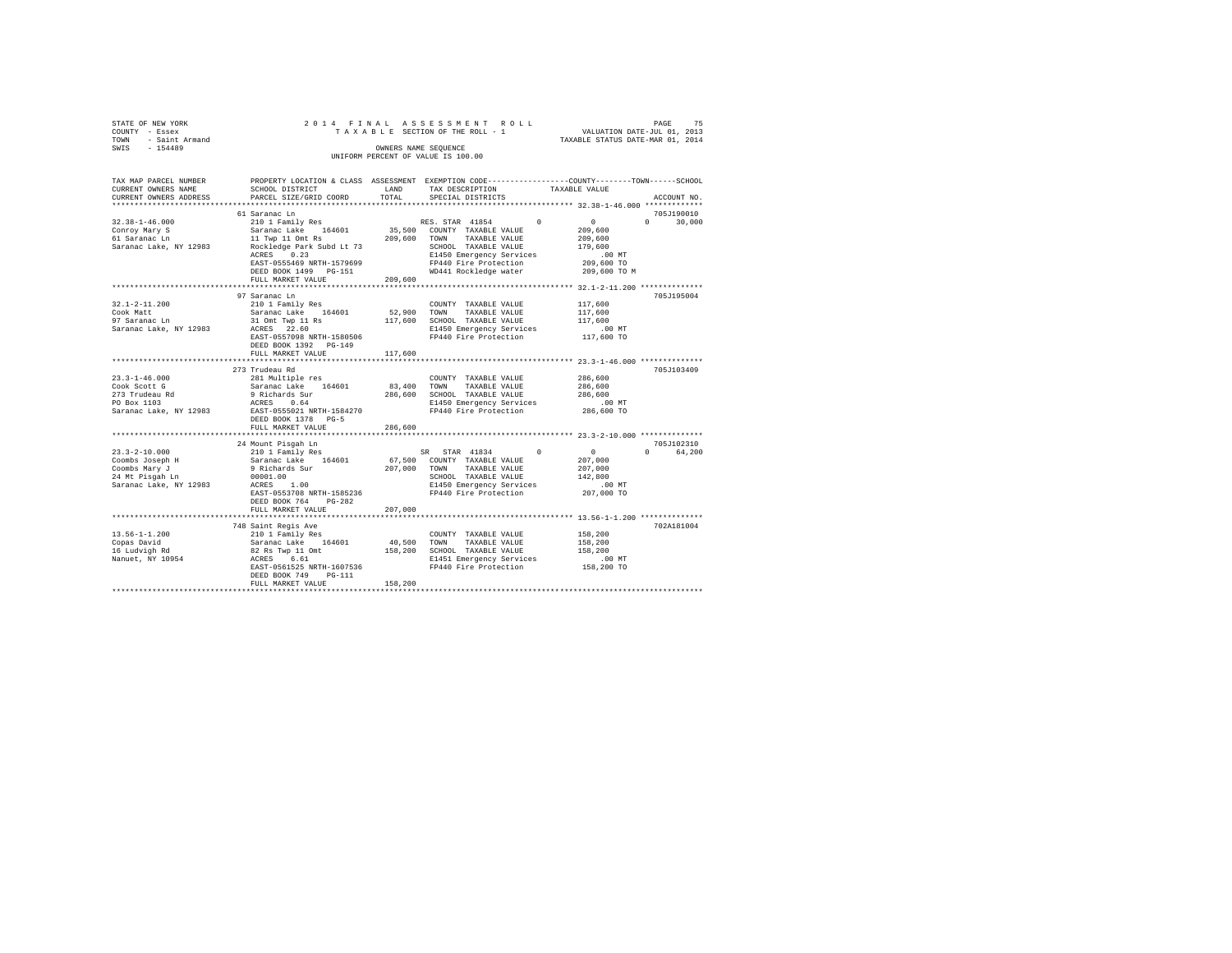| STATE OF NEW YORK<br>COUNTY - Essex<br>- Saint Armand<br>TOWN | 2014 FINAL ASSESSMENT ROLL<br>TAXABLE SECTION OF THE ROLL - 1                                     | PAGE<br>VALUATION DATE-JUL 01, 2013<br>TAXABLE STATUS DATE-MAR 01, 2014 | 75 |
|---------------------------------------------------------------|---------------------------------------------------------------------------------------------------|-------------------------------------------------------------------------|----|
| SWIS<br>$-154489$                                             | OWNERS NAME SEOUENCE<br>UNIFORM PERCENT OF VALUE IS 100.00                                        |                                                                         |    |
| TAY MAD DARCEL NHMRER                                         | PROBRETY LOCATION & CLASS ASSESSMENT EXEMPTION CODE----------------COUNTY--------TOWN------SCHOOL |                                                                         |    |

| TAX MAP PARCEL NUMBER                                                                       |                                                                                                                                      |         | PROPERTY LOCATION & CLASS ASSESSMENT EXEMPTION CODE---------------COUNTY------TOWN-----SCHOOL                                                                                                                                                                                                                                                                                                                                                            |                    |
|---------------------------------------------------------------------------------------------|--------------------------------------------------------------------------------------------------------------------------------------|---------|----------------------------------------------------------------------------------------------------------------------------------------------------------------------------------------------------------------------------------------------------------------------------------------------------------------------------------------------------------------------------------------------------------------------------------------------------------|--------------------|
| CURRENT OWNERS NAME                                                                         | SCHOOL DISTRICT                                                                                                                      | LAND    | TAX DESCRIPTION<br>TAXABLE VALUE                                                                                                                                                                                                                                                                                                                                                                                                                         |                    |
| CURRENT OWNERS ADDRESS                                                                      | PARCEL SIZE/GRID COORD                                                                                                               | TOTAL   | SPECIAL DISTRICTS                                                                                                                                                                                                                                                                                                                                                                                                                                        | ACCOUNT NO.        |
|                                                                                             |                                                                                                                                      |         |                                                                                                                                                                                                                                                                                                                                                                                                                                                          |                    |
|                                                                                             | 61 Saranac Ln                                                                                                                        |         |                                                                                                                                                                                                                                                                                                                                                                                                                                                          | 705J190010         |
| $32.38 - 1 - 46.000$                                                                        |                                                                                                                                      |         | RES. STAR 41854 0 0                                                                                                                                                                                                                                                                                                                                                                                                                                      | $0 \t 30,000$      |
| Conroy Mary S<br>61 Saranac Ln                                                              |                                                                                                                                      |         | 209,600                                                                                                                                                                                                                                                                                                                                                                                                                                                  |                    |
|                                                                                             | 210 1 Family Res (RES. STAR 41854<br>Saranac Lake 164601 35,500 COUNTY TAXABLE VALUE<br>11 Twp 11 Omt Rs (209,600 TOWN TAXABLE VALUE |         | 209,600 TOWN TAXABLE VALUE                                                                                                                                                                                                                                                                                                                                                                                                                               | 209,600            |
| Saranac Lake, NY 12983 Rockledge Park Subd Lt 73                                            |                                                                                                                                      |         | $\begin{tabular}{lllll} \multicolumn{2}{l}{{\bf SCHOOL}} & \multicolumn{2}{l}{\bf TAXABLE} & \multicolumn{2}{l}{\bf VALUE} & \multicolumn{2}{l}{\bf 179,600} \end{tabular}$                                                                                                                                                                                                                                                                              |                    |
|                                                                                             | ACRES 0.23                                                                                                                           |         |                                                                                                                                                                                                                                                                                                                                                                                                                                                          |                    |
|                                                                                             |                                                                                                                                      |         |                                                                                                                                                                                                                                                                                                                                                                                                                                                          |                    |
|                                                                                             |                                                                                                                                      |         |                                                                                                                                                                                                                                                                                                                                                                                                                                                          |                    |
|                                                                                             | FULL MARKET VALUE                                                                                                                    | 209,600 |                                                                                                                                                                                                                                                                                                                                                                                                                                                          |                    |
|                                                                                             |                                                                                                                                      |         |                                                                                                                                                                                                                                                                                                                                                                                                                                                          |                    |
|                                                                                             | 97 Saranac Ln                                                                                                                        |         |                                                                                                                                                                                                                                                                                                                                                                                                                                                          | 705J195004         |
| $32.1 - 2 - 11.200$                                                                         | 210 1 Family Res                                                                                                                     |         | COUNTY TAXABLE VALUE 117,600                                                                                                                                                                                                                                                                                                                                                                                                                             |                    |
| Cook Matt                                                                                   |                                                                                                                                      |         |                                                                                                                                                                                                                                                                                                                                                                                                                                                          |                    |
| Cook Matt<br>97 Saranac Ln                                                                  | Saranac Lake 164601<br>31 Omt Twp 11 Rs                                                                                              |         | 52,900 TOWN TAXABLE VALUE<br>117,600 SCHOOL TAXABLE VALUE                                                                                                                                                                                                                                                                                                                                                                                                | 117,600<br>117,600 |
| Saranac Lake, NY 12983 ACRES 22.60                                                          |                                                                                                                                      |         |                                                                                                                                                                                                                                                                                                                                                                                                                                                          |                    |
|                                                                                             | EAST-0557098 NRTH-1580506                                                                                                            |         | E1450 Emergency Services .00 MT<br>FP440 Fire Protection  117,600 TO                                                                                                                                                                                                                                                                                                                                                                                     |                    |
|                                                                                             | DEED BOOK 1392    PG-149                                                                                                             |         |                                                                                                                                                                                                                                                                                                                                                                                                                                                          |                    |
|                                                                                             | FULL MARKET VALUE                                                                                                                    | 117,600 |                                                                                                                                                                                                                                                                                                                                                                                                                                                          |                    |
|                                                                                             |                                                                                                                                      |         |                                                                                                                                                                                                                                                                                                                                                                                                                                                          |                    |
|                                                                                             | 273 Trudeau Rd                                                                                                                       |         |                                                                                                                                                                                                                                                                                                                                                                                                                                                          | 705J103409         |
| $23.3 - 1 - 46.000$                                                                         |                                                                                                                                      |         |                                                                                                                                                                                                                                                                                                                                                                                                                                                          | 286,600            |
| Cook Scott G                                                                                |                                                                                                                                      |         |                                                                                                                                                                                                                                                                                                                                                                                                                                                          | 286,600            |
|                                                                                             |                                                                                                                                      |         | $\begin{tabular}{lcccc} \multicolumn{4}{c}{281} & Multiple res & & \multicolumn{4}{c}{\textbf{COUNTY} & \textbf{TAXABLE VALUE}} \\ \multicolumn{4}{c}{S31} & Multiple res & 164601 & 83,400 & \textbf{TAXABLE VALUE} \\ \end{tabular} \vspace{0.1cm} \begin{tabular}{c}{\textbf{Saxanic Lake}} & \textbf{164601} & 83,400 & \textbf{TONN} & \textbf{TAXABLE VALUE} \\ \end{tabular} \\ \multicolumn{4}{c}{\textbf{ACERS}} & 0.64 & 82,400 & \textbf{SCE$ | 286,600            |
|                                                                                             |                                                                                                                                      |         |                                                                                                                                                                                                                                                                                                                                                                                                                                                          |                    |
| 273 Trudeau Rd<br>PO Box 1103<br>Saranac Lake, NY 12983                                     |                                                                                                                                      |         | E1450 Emergency Services 1999<br>FP440 Fire Protection 286,600 TO                                                                                                                                                                                                                                                                                                                                                                                        |                    |
|                                                                                             |                                                                                                                                      |         |                                                                                                                                                                                                                                                                                                                                                                                                                                                          |                    |
|                                                                                             | DEED BOOK 1378 PG-5                                                                                                                  |         |                                                                                                                                                                                                                                                                                                                                                                                                                                                          |                    |
|                                                                                             | FULL MARKET VALUE                                                                                                                    | 286,600 | *********************************** 23.3-2-10.000 ***************                                                                                                                                                                                                                                                                                                                                                                                        |                    |
|                                                                                             |                                                                                                                                      |         |                                                                                                                                                                                                                                                                                                                                                                                                                                                          |                    |
|                                                                                             |                                                                                                                                      |         |                                                                                                                                                                                                                                                                                                                                                                                                                                                          | 705J102310         |
| $23.3 - 2 - 10.000$<br>23.3-2-10.000<br>Coombs Joseph H<br>Coombs Mary J<br>24 Mt Pisgah Ln |                                                                                                                                      |         | $\begin{tabular}{lllllllll} \bf SR & \bf STR & 41834 & 0 & 0 \\ \bf COUNTY & TAXABLE VALUE & 207,000 \\ \end{tabular}$                                                                                                                                                                                                                                                                                                                                   | 0 64,200           |
|                                                                                             |                                                                                                                                      |         |                                                                                                                                                                                                                                                                                                                                                                                                                                                          |                    |
|                                                                                             |                                                                                                                                      |         |                                                                                                                                                                                                                                                                                                                                                                                                                                                          | 207,000            |
|                                                                                             |                                                                                                                                      |         |                                                                                                                                                                                                                                                                                                                                                                                                                                                          | 142,800            |
| Saranac Lake, NY 12983                                                                      |                                                                                                                                      |         |                                                                                                                                                                                                                                                                                                                                                                                                                                                          | $207,000$ TO       |
|                                                                                             |                                                                                                                                      |         | EAST-0553708 NRTH-1585236 PP440 Fire Protection                                                                                                                                                                                                                                                                                                                                                                                                          |                    |
|                                                                                             | DEED BOOK 764 PG-282                                                                                                                 |         |                                                                                                                                                                                                                                                                                                                                                                                                                                                          |                    |
|                                                                                             | FULL MARKET VALUE                                                                                                                    | 207,000 |                                                                                                                                                                                                                                                                                                                                                                                                                                                          |                    |
|                                                                                             |                                                                                                                                      |         |                                                                                                                                                                                                                                                                                                                                                                                                                                                          |                    |
|                                                                                             | 748 Saint Regis Ave                                                                                                                  |         |                                                                                                                                                                                                                                                                                                                                                                                                                                                          | 702A181004         |
| $13.56 - 1 - 1.200$                                                                         |                                                                                                                                      |         |                                                                                                                                                                                                                                                                                                                                                                                                                                                          |                    |
| Copas David                                                                                 |                                                                                                                                      |         |                                                                                                                                                                                                                                                                                                                                                                                                                                                          |                    |
|                                                                                             |                                                                                                                                      |         |                                                                                                                                                                                                                                                                                                                                                                                                                                                          |                    |
| 16 Ludvigh Rd<br>Nanuet, NY 10954                                                           |                                                                                                                                      |         |                                                                                                                                                                                                                                                                                                                                                                                                                                                          |                    |
|                                                                                             |                                                                                                                                      |         |                                                                                                                                                                                                                                                                                                                                                                                                                                                          |                    |
|                                                                                             |                                                                                                                                      |         |                                                                                                                                                                                                                                                                                                                                                                                                                                                          |                    |
|                                                                                             | FULL MARKET VALUE                                                                                                                    | 158,200 |                                                                                                                                                                                                                                                                                                                                                                                                                                                          |                    |
|                                                                                             |                                                                                                                                      |         |                                                                                                                                                                                                                                                                                                                                                                                                                                                          |                    |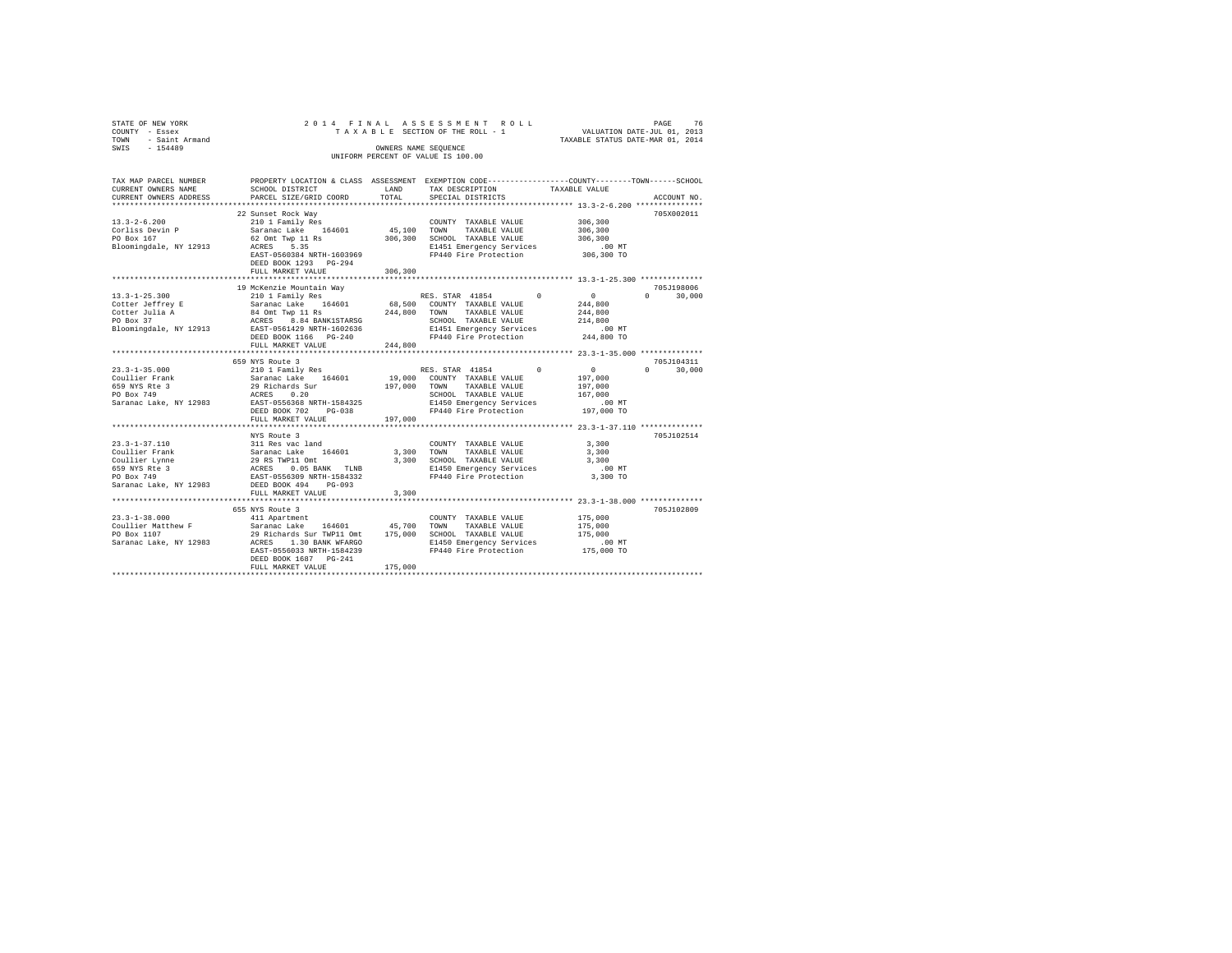| STATE OF NEW YORK<br>COUNTY - Essex<br>- Saint Armand<br>TOWN<br>SWIS - 154489                                                                          |                                                                                                                                                                                                                                                                                                                                                                                                                                                                                               | 2014 FINAL ASSESSMENT ROLL<br>OWNERS NAME SEQUENCE<br>UNIFORM PERCENT OF VALUE IS 100.00 |                                                                                                                                                                             | TAXABLE SECTION OF THE ROLL - 1 VALUATION DATE-JUL 01, 2013<br>TAXABLE STATUS DATE-MAR 01, 2014                                         |
|---------------------------------------------------------------------------------------------------------------------------------------------------------|-----------------------------------------------------------------------------------------------------------------------------------------------------------------------------------------------------------------------------------------------------------------------------------------------------------------------------------------------------------------------------------------------------------------------------------------------------------------------------------------------|------------------------------------------------------------------------------------------|-----------------------------------------------------------------------------------------------------------------------------------------------------------------------------|-----------------------------------------------------------------------------------------------------------------------------------------|
| TAX MAP PARCEL NUMBER<br>CURRENT OWNERS NAME<br>CURRENT OWNERS ADDRESS<br>$13.3 - 2 - 6.200$<br>Corliss Devin P<br>PO Box 167<br>Bloomingdale, NY 12913 | SCHOOL DISTRICT                     LAND       TAX DESCRIPTION                  TAXABLE VALUE<br>PARCEL SIZE/GRID COORD TOTAL<br>22 Sunset Rock Way<br>210 1 Family Res<br>Saranac Lake 164601 45,100 TOWN TAXABLE VALUE<br>$\frac{52}{62}$ Omt Twp 11 Rs $\frac{306}{300}$ , SCHOOL TAXABLE VALUE<br>ACRES 5.35 5.35 E1451 Emergency Services .00 MT<br>EAST-0560384 NRTH-1603969 FP440 Fire Protection 306,300 TO<br>DEED BOOK 1293 PG-294                                                  | SPECIAL DISTRICTS                                                                        | $\begin{array}{lll} \texttt{COUNTY} & \texttt{TAXABLE} & \texttt{VALUE} & & 306,300 \\ \texttt{--}\texttt{--} & \texttt{maxair} & \texttt{VAI.ITE} & & 306,300 \end{array}$ | PROPERTY LOCATION & CLASS ASSESSMENT EXEMPTION CODE---------------COUNTY-------TOWN------SCHOOL<br>ACCOUNT NO.<br>705X002011<br>306,300 |
|                                                                                                                                                         | 19 McKenzie Mountain Way (1985) 13.3-1-25.300 19 McKenzie Mountain Way (1985) 210 1 Family Res (2011 Family Res (1986) 13.3-1-25.300 1 (1987) 13.3-1-25.300 1 (1987) 13.3.4.1858 13.4.4.1854 164601 168,500 COUNTY TAXABLE VAL<br>Cotter Julia A 34 Ont Twp 11 Rs<br>244,800 TOWN TAXABLE VALUE 214,800<br>PO Box 37 ACRES 8.84 BANK1STARSG SCHOOL TAXABLE VALUE 214,800<br>Bloomingdale, NY 12913 EAST-0561429 NRTH-1602636 E1451 E1451 Energency Services<br>DEED BOOK<br>FULL MARKET VALUE | 244,800                                                                                  |                                                                                                                                                                             |                                                                                                                                         |
| $23.3 - 1 - 35.000$                                                                                                                                     | 659 NYS Route 3<br>Coullier Frank 6. Saranac Lake 164601 19,000 COUNTY TAXABLE VALUE 197,000                                                                                                                                                                                                                                                                                                                                                                                                  |                                                                                          |                                                                                                                                                                             | 705J104311                                                                                                                              |
| $23.3 - 1 - 37.110$<br>Coullier Frank<br>Coullier Lynne                                                                                                 | NYS Route 3<br>311 Res vac land<br>Saranac Lake 164601 3,300<br>29 RS TWP11 Omt                                                                                                                                                                                                                                                                                                                                                                                                               | TOWN<br>3,300                                                                            | COUNTY TAXABLE VALUE 3,300<br>TAXABLE VALUE<br>SCHOOL TAXABLE VALUE                                                                                                         | 705J102514<br>3,300<br>3,300                                                                                                            |

PO Box 749 EAST-0556309 NRTH-1584332 FP440 Fire Protection 3,300 TO Saranac Lake, NY 12983 DEED BOOK 494 PG-093 FULL MARKET VALUE 3,300 \*\*\*\*\*\*\*\*\*\*\*\*\*\*\*\*\*\*\*\*\*\*\*\*\*\*\*\*\*\*\*\*\*\*\*\*\*\*\*\*\*\*\*\*\*\*\*\*\*\*\*\*\*\*\*\*\*\*\*\*\*\*\*\*\*\*\*\*\*\*\*\*\*\*\*\*\*\*\*\*\*\*\*\*\*\*\*\*\*\*\*\*\*\*\*\*\*\*\*\*\*\*\* 23.3-1-38.000 \*\*\*\*\*\*\*\*\*\*\*\*\*\*

 $\begin{tabular}{ccccc} \textbf{23.3-1-38.000} & \textbf{655 NYS} & \textbf{ROU} & \textbf{705,102809} \\ \textbf{23.3-1-38.000} & \textbf{655 NYS} & \textbf{ROU} & \textbf{1040} & \textbf{1061} & \textbf{1075,000} & \textbf{705,102809} & \textbf{705,102809} \\ \textbf{Coullier Matthew F} & \textbf{Saranac Lake} & \textbf{164601} & \textbf{45,700} & \textbf{TXXABLE$ 

659 NYS Rte 3 ACRES 0.05 BANK TLNB E1450 Emergency Services .00 MT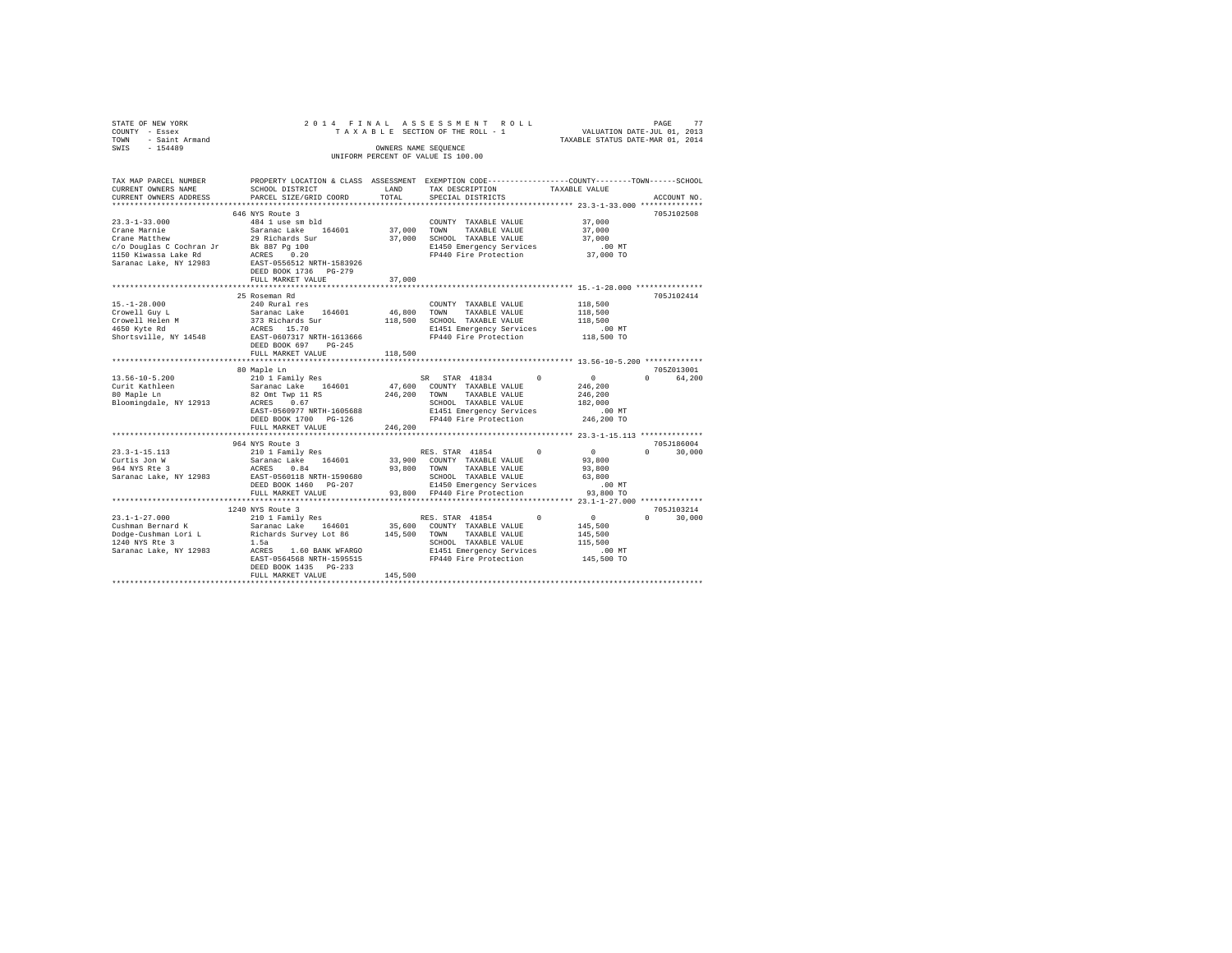| STATE OF NEW YORK                                                                                                                                                                       |                                                             |         | 2014 FINAL ASSESSMENT ROLL                                                                     |                                                  |               |
|-----------------------------------------------------------------------------------------------------------------------------------------------------------------------------------------|-------------------------------------------------------------|---------|------------------------------------------------------------------------------------------------|--------------------------------------------------|---------------|
| COUNTY - Essex                                                                                                                                                                          |                                                             |         |                                                                                                |                                                  |               |
| TOWN - Saint Armand                                                                                                                                                                     |                                                             |         |                                                                                                |                                                  |               |
| SWIS - 154489                                                                                                                                                                           |                                                             |         | OWNERS NAME SEQUENCE                                                                           |                                                  |               |
|                                                                                                                                                                                         |                                                             |         | UNIFORM PERCENT OF VALUE IS 100.00                                                             |                                                  |               |
|                                                                                                                                                                                         |                                                             |         |                                                                                                |                                                  |               |
| TAX MAP PARCEL NUMBER                                                                                                                                                                   |                                                             |         | PROPERTY LOCATION & CLASS ASSESSMENT EXEMPTION CODE---------------COUNTY-------TOWN-----SCHOOL |                                                  |               |
| CURRENT OWNERS NAME                                                                                                                                                                     | SCHOOL DISTRICT LAND                                        |         | TAX DESCRIPTION                                                                                | TAXABLE VALUE                                    |               |
| CURRENT OWNERS ADDRESS                                                                                                                                                                  | PARCEL SIZE/GRID COORD                                      | TOTAL   | SPECIAL DISTRICTS                                                                              |                                                  | ACCOUNT NO.   |
|                                                                                                                                                                                         |                                                             |         |                                                                                                |                                                  |               |
|                                                                                                                                                                                         | 646 NYS Route 3                                             |         |                                                                                                |                                                  | 705J102508    |
| $23.3 - 1 - 33.000$                                                                                                                                                                     | 484 1 use sm bld                                            |         | COUNTY TAXABLE VALUE                                                                           | 37,000                                           |               |
| Crane Marnie<br>Crane Marnie<br>Crane Matthew                                                                                                                                           | Saranac Lake 164601<br>29 Richards Sur                      |         | 37,000 TOWN TAXABLE VALUE                                                                      | 37,000                                           |               |
|                                                                                                                                                                                         |                                                             |         | 37,000 SCHOOL TAXABLE VALUE                                                                    | 37,000                                           |               |
|                                                                                                                                                                                         |                                                             |         | E1450 Emergency Services                                                                       | $.00$ MT                                         |               |
| Crane Matthew $\frac{27}{150}$ $\frac{100}{150}$ C/O Douglas C Cochran Jr Bk 887 Pg 100<br>1150 Kiwassa Lake Rd ACRES 0.20<br>1150 Kiwassa Lake Rd ACRES 0.20<br>Saranac Lake, NY 12983 | EAST-0556512 NRTH-1583926                                   |         | FP440 Fire Protection                                                                          | 37,000 TO                                        |               |
|                                                                                                                                                                                         | DEED BOOK 1736 PG-279                                       |         |                                                                                                |                                                  |               |
|                                                                                                                                                                                         | FULL MARKET VALUE                                           | 37,000  |                                                                                                |                                                  |               |
|                                                                                                                                                                                         |                                                             |         |                                                                                                |                                                  |               |
|                                                                                                                                                                                         | 25 Roseman Rd                                               |         |                                                                                                |                                                  | 705J102414    |
| $15. - 1 - 28.000$                                                                                                                                                                      | 240 Rural res                                               |         | COUNTY TAXABLE VALUE                                                                           | 118,500                                          |               |
|                                                                                                                                                                                         | Saranac Lake 164601                                         |         | 46,800 TOWN TAXABLE VALUE                                                                      | 118,500                                          |               |
|                                                                                                                                                                                         | 373 Richards Sur                                            |         | 118,500 SCHOOL TAXABLE VALUE                                                                   | 118,500                                          |               |
| Crowell Guy L<br>Crowell Helen M<br>4650 Kyte Rd                                                                                                                                        | ACRES 15.70                                                 |         | E1451 Emergency Services                                                                       |                                                  |               |
| Shortsville, NY 14548                                                                                                                                                                   | EAST-0607317 NRTH-1613666                                   |         | FP440 Fire Protection                                                                          | 00 MT.<br>118,500 TO                             |               |
|                                                                                                                                                                                         | DEED BOOK 697 PG-245                                        |         |                                                                                                |                                                  |               |
|                                                                                                                                                                                         | FULL MARKET VALUE                                           | 118,500 |                                                                                                |                                                  |               |
|                                                                                                                                                                                         |                                                             |         |                                                                                                |                                                  |               |
|                                                                                                                                                                                         |                                                             |         | *********************************** 13.56-10-5.200 **************                              |                                                  |               |
|                                                                                                                                                                                         | 80 Maple Ln                                                 |         |                                                                                                |                                                  | 705Z013001    |
| $13.56 - 10 - 5.200$                                                                                                                                                                    |                                                             |         | SR STAR 41834 0                                                                                |                                                  | 0 64.200      |
|                                                                                                                                                                                         |                                                             |         | 47.600 COUNTY TAXABLE VALUE                                                                    | $\begin{array}{c}0\\246,200\end{array}$          |               |
| Curit Kathleen<br>80 Maple Ln                                                                                                                                                           | 210 1 Family Res<br>Saranac Lake 164601<br>82 Omt Twp 11 RS |         | 246,200 TOWN TAXABLE VALUE                                                                     | 246,200                                          |               |
| Bloomingdale, NY 12913 ACRES 0.67                                                                                                                                                       |                                                             |         | SCHOOL TAXABLE VALUE                                                                           | 182,000                                          |               |
|                                                                                                                                                                                         | EAST-0560977 NRTH-1605688                                   |         | E1451 Emergency Services                                                                       | .00 MT                                           |               |
|                                                                                                                                                                                         | DEED BOOK 1700 PG-126                                       |         | FP440 Fire Protection                                                                          | 246,200 TO                                       |               |
|                                                                                                                                                                                         | FULL MARKET VALUE                                           | 246,200 |                                                                                                |                                                  |               |
|                                                                                                                                                                                         |                                                             |         |                                                                                                |                                                  |               |
|                                                                                                                                                                                         | 964 NYS Route 3                                             |         |                                                                                                |                                                  | 705J186004    |
|                                                                                                                                                                                         | 210 1 Family Res<br>Saranac Lake 164601                     |         | RES. STAR 41854 0                                                                              |                                                  | $0 \t 30.000$ |
|                                                                                                                                                                                         | ACRES 0.84                                                  |         | 33,900 COUNTY TAXABLE VALUE                                                                    | $\begin{array}{c}0\\93,800\end{array}$<br>93,800 |               |
| 23.3-1-15.113<br>Curtis Jon W<br>964 NYS Rte 3<br>Saranac Lake, NY 12983                                                                                                                |                                                             |         | 93,800 TOWN TAXABLE VALUE                                                                      | 63,800                                           |               |
|                                                                                                                                                                                         | EAST-0560118 NRTH-1590680<br>DEED BOOK 1460 PG-207          |         |                                                                                                | .00 MT                                           |               |
|                                                                                                                                                                                         | FULL MARKET VALUE                                           |         | SCHOOL TAXABLE VALUE<br>E1450 Emergency Services<br>93,800 FP440 Fire Protection               | 93,800 TO                                        |               |
|                                                                                                                                                                                         |                                                             |         |                                                                                                |                                                  |               |
|                                                                                                                                                                                         | 1240 NYS Route 3                                            |         |                                                                                                |                                                  | 705J103214    |
| $23.1 - 1 - 27.000$                                                                                                                                                                     | 210 1 Family Res                                            |         | $^{\circ}$<br>RES. STAR 41854                                                                  | $\sim$ 0                                         | $0 \t 30.000$ |
|                                                                                                                                                                                         |                                                             |         |                                                                                                | 145,500                                          |               |
| Cushman Bernard K Saranac Lake 164601 35,600 COUNTY TAXABLE VALUE Dodge-Cushman Lori L Richards Survey Lot 86 145,500 TOWN TAXABLE VALUE                                                |                                                             |         |                                                                                                | 145,500                                          |               |
|                                                                                                                                                                                         |                                                             |         | SCHOOL TAXABLE VALUE                                                                           | 115,500                                          |               |
|                                                                                                                                                                                         |                                                             |         | E1451 Emergency Services                                                                       | $.00$ MT                                         |               |
|                                                                                                                                                                                         | EAST-0564568 NRTH-1595515                                   |         | FP440 Fire Protection                                                                          | 145,500 TO                                       |               |
|                                                                                                                                                                                         | DEED BOOK 1435 PG-233<br>FULL MARKET VALUE                  | 145,500 |                                                                                                |                                                  |               |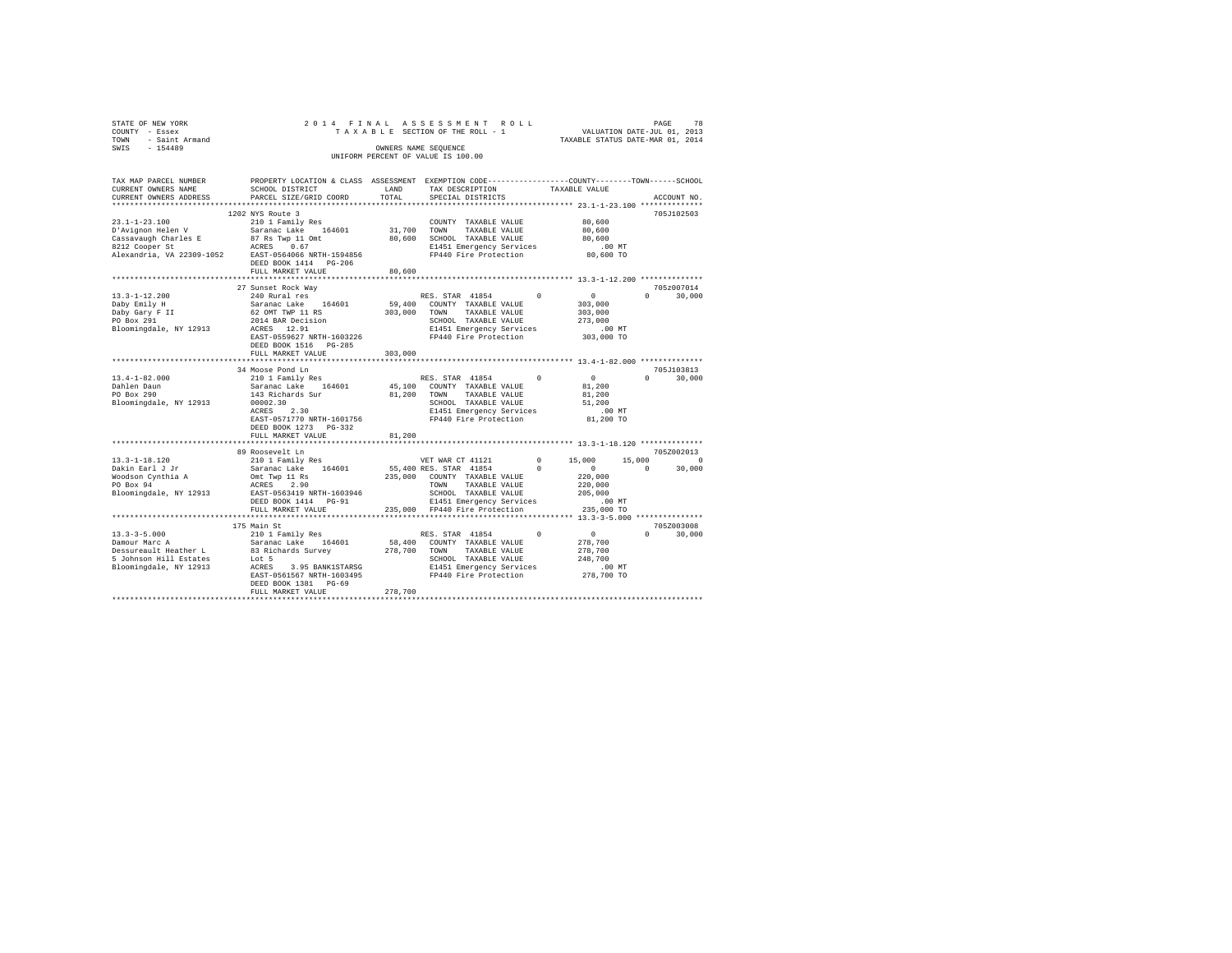| STATE OF NEW YORK<br>COUNTY - Essex<br>TOWN - Saint Armand<br>SWIS - 154489                                                                                                                                                         |                                                                                                                                                                     |         | OWNERS NAME SEQUENCE<br>UNIFORM PERCENT OF VALUE IS 100.00 |           |                    |
|-------------------------------------------------------------------------------------------------------------------------------------------------------------------------------------------------------------------------------------|---------------------------------------------------------------------------------------------------------------------------------------------------------------------|---------|------------------------------------------------------------|-----------|--------------------|
| TAX MAP PARCEL NUMBER<br>CURRENT OWNERS NAME<br>CURRENT OWNERS ADDRESS                                                                                                                                                              | PROPERTY LOCATION & CLASS ASSESSMENT EXEMPTION CODE---------------COUNTY-------TOWN------SCHOOL<br>SCHOOL DISTRICT<br>PARCEL SIZE/GRID COORD                        | TOTAL   | LAND TAX DESCRIPTION TAXABLE VALUE<br>SPECIAL DISTRICTS    |           | ACCOUNT NO.        |
|                                                                                                                                                                                                                                     |                                                                                                                                                                     |         |                                                            |           |                    |
| $23.1 - 1 - 23.100$                                                                                                                                                                                                                 | 1202 NYS Route 3                                                                                                                                                    |         | COUNTY TAXABLE VALUE 80,600                                |           | 705J102503         |
|                                                                                                                                                                                                                                     | 2012 Novel J<br>210 1 Family Res (COUNTY TAXABLE VALUE<br>Saranac Lake 164601 31,700 TOWN TAXABLE VALUE                                                             |         |                                                            |           |                    |
|                                                                                                                                                                                                                                     |                                                                                                                                                                     |         |                                                            |           |                    |
|                                                                                                                                                                                                                                     |                                                                                                                                                                     |         |                                                            |           |                    |
| 2011 - 2012 - 2012 - 2014 104601 21,700 TOWN TAXABLE VALUE 80,600<br>2012 Cooper Straw Home Barry 110mt 20,600 SCHOOL TAXABLE VALUE 2012<br>2012 Cooper Straw 202309-1052 ACRES 0.67 21451 Emergency Services 100 MT<br>2012 Cooper |                                                                                                                                                                     |         |                                                            |           |                    |
|                                                                                                                                                                                                                                     | DEED BOOK 1414 PG-206                                                                                                                                               |         |                                                            |           |                    |
|                                                                                                                                                                                                                                     | FULL MARKET VALUE                                                                                                                                                   | 80,600  |                                                            |           |                    |
|                                                                                                                                                                                                                                     | 27 Sunset Rock Way                                                                                                                                                  |         |                                                            |           | 705z007014         |
| $13.3 - 1 - 12.200$                                                                                                                                                                                                                 | 27 Suisset Routs May 1991<br>240 Rural Pes 164601 RES. STAR 41854 0<br>62 OMT TWP 11 RS 303,000 TONN TAXABLE VALUE<br>62 OMT TWP 11 RS 303,000 COUNTY TAXABLE VALUE |         | RES. STAR 41854 0 0 0                                      |           | $0 \t 30,000$      |
| Daby Emily H                                                                                                                                                                                                                        |                                                                                                                                                                     |         |                                                            | 303,000   |                    |
| Daby Emily H<br>Daby Gary F II<br>PO Box 291                                                                                                                                                                                        |                                                                                                                                                                     |         |                                                            | 303,000   |                    |
|                                                                                                                                                                                                                                     |                                                                                                                                                                     |         |                                                            | 273,000   |                    |
|                                                                                                                                                                                                                                     |                                                                                                                                                                     |         |                                                            |           |                    |
|                                                                                                                                                                                                                                     |                                                                                                                                                                     |         |                                                            |           |                    |
|                                                                                                                                                                                                                                     | DEED BOOK 1516 PG-285                                                                                                                                               |         |                                                            |           |                    |
|                                                                                                                                                                                                                                     | FULL MARKET VALUE                                                                                                                                                   | 303,000 |                                                            |           |                    |
|                                                                                                                                                                                                                                     | 34 Moose Pond Ln                                                                                                                                                    |         |                                                            |           | 705J103813         |
| 13.4-1-82.000                                                                                                                                                                                                                       |                                                                                                                                                                     |         |                                                            |           | $0 \t 30.000$      |
| Dahlen Daun<br>PO Box 290                                                                                                                                                                                                           |                                                                                                                                                                     |         |                                                            |           |                    |
|                                                                                                                                                                                                                                     |                                                                                                                                                                     |         |                                                            |           |                    |
|                                                                                                                                                                                                                                     |                                                                                                                                                                     |         |                                                            |           |                    |
|                                                                                                                                                                                                                                     |                                                                                                                                                                     |         |                                                            |           |                    |
|                                                                                                                                                                                                                                     | EAST-0571770 NRTH-1601756                                                                                                                                           |         | FP440 Fire Protection                                      | 81,200 TO |                    |
|                                                                                                                                                                                                                                     | DEED BOOK 1273 PG-332<br>FULL MARKET VALUE 81,200                                                                                                                   |         |                                                            |           |                    |
|                                                                                                                                                                                                                                     |                                                                                                                                                                     |         |                                                            |           |                    |
|                                                                                                                                                                                                                                     | 89 Roosevelt Ln                                                                                                                                                     |         |                                                            |           | 705Z002013         |
|                                                                                                                                                                                                                                     |                                                                                                                                                                     |         |                                                            |           |                    |
|                                                                                                                                                                                                                                     |                                                                                                                                                                     |         |                                                            |           |                    |
|                                                                                                                                                                                                                                     |                                                                                                                                                                     |         |                                                            |           |                    |
|                                                                                                                                                                                                                                     |                                                                                                                                                                     |         |                                                            |           |                    |
|                                                                                                                                                                                                                                     |                                                                                                                                                                     |         |                                                            |           |                    |
|                                                                                                                                                                                                                                     |                                                                                                                                                                     |         |                                                            |           |                    |
|                                                                                                                                                                                                                                     |                                                                                                                                                                     |         |                                                            |           |                    |
|                                                                                                                                                                                                                                     | 175 Main St                                                                                                                                                         |         |                                                            |           | 705Z003008         |
|                                                                                                                                                                                                                                     |                                                                                                                                                                     |         |                                                            |           | 30,000<br>$\Omega$ |
|                                                                                                                                                                                                                                     |                                                                                                                                                                     |         |                                                            |           |                    |
|                                                                                                                                                                                                                                     |                                                                                                                                                                     |         |                                                            |           |                    |
|                                                                                                                                                                                                                                     |                                                                                                                                                                     |         |                                                            |           |                    |
|                                                                                                                                                                                                                                     |                                                                                                                                                                     |         |                                                            |           |                    |
|                                                                                                                                                                                                                                     | DEED BOOK 1381 PG-69                                                                                                                                                |         |                                                            |           |                    |
|                                                                                                                                                                                                                                     | FULL MARKET VALUE                                                                                                                                                   | 278,700 |                                                            |           |                    |
|                                                                                                                                                                                                                                     |                                                                                                                                                                     |         |                                                            |           |                    |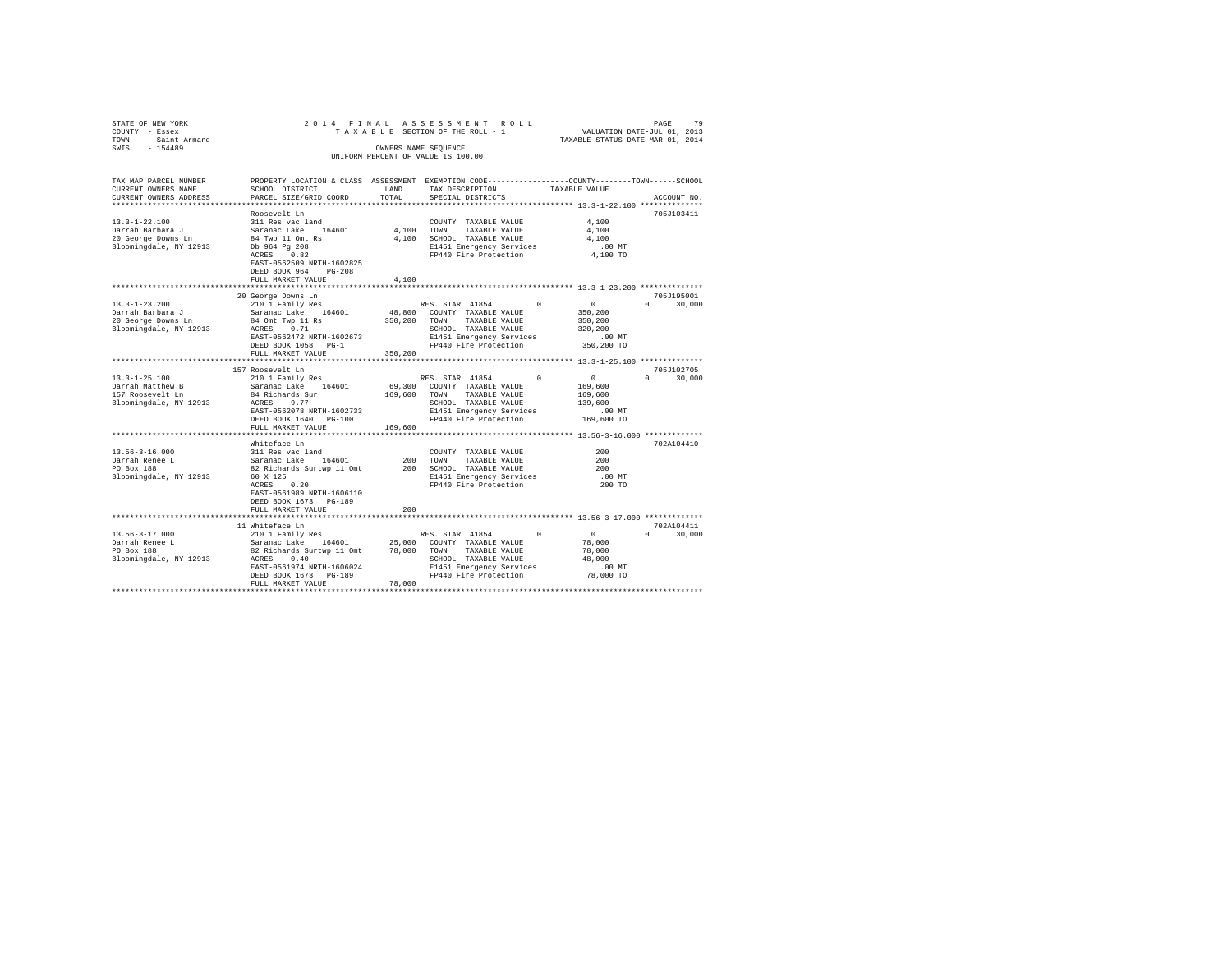| STATE OF NEW YORK<br>COUNTY - Essex<br>TOWN - Saint Armand |                                                     |               | 2014 FINAL ASSESSMENT ROLL<br>TAXABLE SECTION OF THE ROLL - 1                                  | VALUATION DATE-JUL 01, 2013<br>TAXABLE STATUS DATE-MAR 01, 2014 | PAGE<br>79    |
|------------------------------------------------------------|-----------------------------------------------------|---------------|------------------------------------------------------------------------------------------------|-----------------------------------------------------------------|---------------|
| $-154489$<br>SWIS                                          |                                                     |               | OWNERS NAME SEQUENCE<br>UNIFORM PERCENT OF VALUE IS 100.00                                     |                                                                 |               |
|                                                            |                                                     |               |                                                                                                |                                                                 |               |
| TAX MAP PARCEL NUMBER                                      |                                                     |               | PROPERTY LOCATION & CLASS ASSESSMENT EXEMPTION CODE---------------COUNTY-------TOWN-----SCHOOL |                                                                 |               |
| CURRENT OWNERS NAME<br>CURRENT OWNERS ADDRESS              | SCHOOL DISTRICT<br>PARCEL SIZE/GRID COORD           | LAND<br>TOTAL | TAX DESCRIPTION<br>SPECIAL DISTRICTS                                                           | TAXABLE VALUE                                                   | ACCOUNT NO.   |
| ************************                                   |                                                     |               |                                                                                                |                                                                 |               |
|                                                            | Roosevelt Ln                                        |               |                                                                                                |                                                                 | 705J103411    |
| $13.3 - 1 - 22.100$                                        | 311 Res vac land                                    |               | COUNTY TAXABLE VALUE                                                                           | 4,100                                                           |               |
| Darrah Barbara J                                           | Saranac Lake 164601                                 | 4,100 TOWN    | TAXABLE VALUE                                                                                  | 4,100                                                           |               |
| 20 George Downs Ln<br>Bloomingdale, NY 12913               | 84 Twp 11 Omt Rs<br>Db 964 Pg 208                   |               | 4,100 SCHOOL TAXABLE VALUE                                                                     | 4,100<br>$.00$ MT                                               |               |
|                                                            | ACRES 0.82                                          |               | E1451 Emergency Services<br>FP440 Fire Protection                                              | 4,100 TO                                                        |               |
|                                                            | EAST-0562509 NRTH-1602825                           |               |                                                                                                |                                                                 |               |
|                                                            | DEED BOOK 964 PG-208                                |               |                                                                                                |                                                                 |               |
|                                                            | FULL MARKET VALUE                                   | 4,100         |                                                                                                |                                                                 |               |
|                                                            | 20 George Downs Ln                                  |               |                                                                                                |                                                                 | 705J195001    |
| $13.3 - 1 - 23.200$                                        | 210 1 Family Res                                    |               | RES. STAR 41854 0                                                                              | $\sim$ 0                                                        | $0 \t 30,000$ |
| Darrah Barbara J                                           | Saranac Lake 164601                                 |               | 48,800 COUNTY TAXABLE VALUE                                                                    | 350,200                                                         |               |
| 20 George Downs Ln                                         | 84 Omt Twp 11 Rs                                    | 350,200 TOWN  | TAXABLE VALUE                                                                                  | 350,200                                                         |               |
| Bloomingdale, NY 12913                                     | ACRES 0.71                                          |               | SCHOOL TAXABLE VALUE                                                                           | 320,200                                                         |               |
|                                                            | EAST-0562472 NRTH-1602673                           |               | E1451 Emergency Services<br>FP440 Fire Protection                                              | $.00$ MT                                                        |               |
|                                                            | DEED BOOK 1058 PG-1<br>FULL MARKET VALUE            | 350,200       |                                                                                                | 350,200 TO                                                      |               |
|                                                            |                                                     |               |                                                                                                |                                                                 |               |
|                                                            | 157 Roosevelt Ln                                    |               |                                                                                                |                                                                 | 705J102705    |
| $13.3 - 1 - 25.100$                                        | 210 1 Family Res                                    |               | $^{\circ}$<br>RES. STAR 41854                                                                  | $\sim$ 0                                                        | $0 \t 30,000$ |
| Darrah Matthew B<br>parran matthew B<br>157 Roosevelt Ln   | Saranac Lake 164601                                 |               | 69.300 COUNTY TAXABLE VALUE                                                                    | 169,600                                                         |               |
|                                                            | 84 Richards Sur<br>ACRES 9.77                       | 169,600 TOWN  | TAXABLE VALUE                                                                                  | 169,600<br>139,600                                              |               |
| Bloomingdale, NY 12913                                     | EAST-0562078 NRTH-1602733                           |               | SCHOOL TAXABLE VALUE<br>E1451 Emergency Services                                               | $.00$ MT                                                        |               |
|                                                            | DEED BOOK 1640 PG-100                               |               | FP440 Fire Protection 169,600 TO                                                               |                                                                 |               |
|                                                            | FULL MARKET VALUE                                   | 169,600       |                                                                                                |                                                                 |               |
|                                                            |                                                     |               | ***************************** 13.56-3-16.000 *************                                     |                                                                 |               |
|                                                            | Whiteface Ln                                        |               |                                                                                                |                                                                 | 702A104410    |
| $13.56 - 3 - 16.000$<br>Darrah Renee L                     | 311 Res vac land<br>Saranac Lake 164601             |               | COUNTY TAXABLE VALUE<br>200 TOWN<br>TAXABLE VALUE                                              | 200<br>200                                                      |               |
| PO Box 188                                                 | 82 Richards Surtwp 11 Omt                           |               | 200 SCHOOL TAXABLE VALUE                                                                       | 200                                                             |               |
| Bloomingdale, NY 12913                                     | 60 X 125                                            |               |                                                                                                | .00 MT                                                          |               |
|                                                            | ACRES 0.20                                          |               | E1451 Emergency Services<br>FP440 Fire Protection                                              | 200 TO                                                          |               |
|                                                            | EAST-0561989 NRTH-1606110                           |               |                                                                                                |                                                                 |               |
|                                                            | DEED BOOK 1673 PG-189                               | 200           |                                                                                                |                                                                 |               |
|                                                            | FULL MARKET VALUE                                   |               |                                                                                                |                                                                 |               |
|                                                            | 11 Whiteface Ln                                     |               |                                                                                                |                                                                 | 702A104411    |
| $13.56 - 3 - 17.000$                                       | 210 1 Family Res                                    |               | RES. STAR 41854<br>$^{\circ}$                                                                  | $\sim$ 0                                                        | $0 \t 30.000$ |
| $\frac{13.33}{20.284}$ Renee L                             | Saranac Lake 164601 25,000 COUNTY TAXABLE VALUE     |               |                                                                                                | 78,000                                                          |               |
|                                                            | 82 Richards Surtwp 11 Omt 78,000 TOWN TAXABLE VALUE |               |                                                                                                | 78,000                                                          |               |
| Bloomingdale, NY 12913                                     | ACRES 0.40<br>EAST-0561974 NRTH-1606024             |               | SCHOOL TAXABLE VALUE                                                                           | 48,000<br>$.00$ MT                                              |               |
|                                                            | DEED BOOK 1673 PG-189                               |               | E1451 Emergency Services<br>FP440 Fire Protection                                              | 78,000 TO                                                       |               |
|                                                            | FULL MARKET VALUE                                   | 78,000        |                                                                                                |                                                                 |               |
|                                                            |                                                     |               |                                                                                                |                                                                 |               |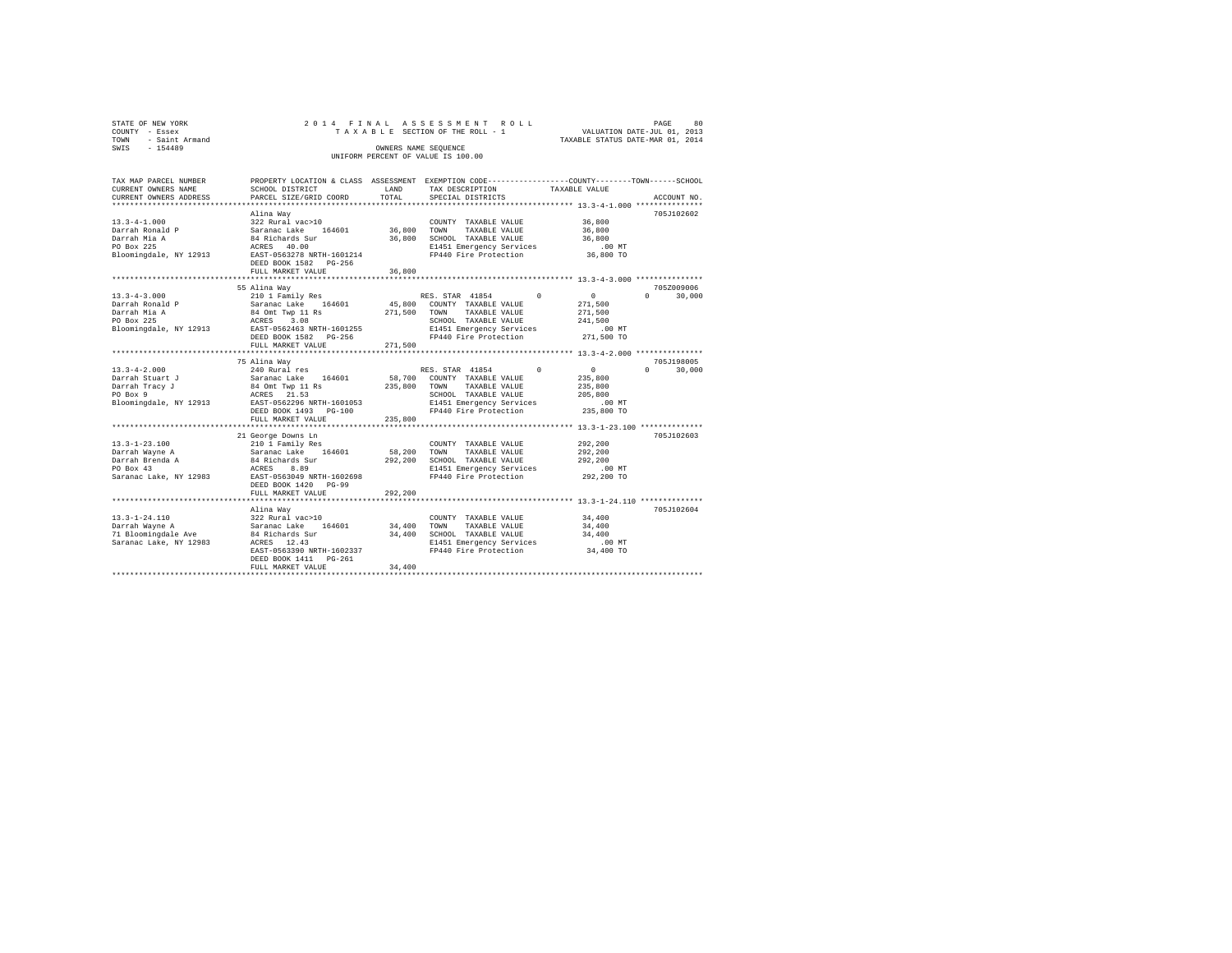| STATE OF NEW YORK   |  |  | 2014 FINAL ASSESSMENT ROLL         |                                  | PAGE | 80 |
|---------------------|--|--|------------------------------------|----------------------------------|------|----|
| COUNTY - Essex      |  |  | TAXABLE SECTION OF THE ROLL - 1    | VALUATION DATE-JUL 01, 2013      |      |    |
| TOWN - Saint Armand |  |  |                                    | TAXABLE STATUS DATE-MAR 01, 2014 |      |    |
| SWIS<br>$-154489$   |  |  | OWNERS NAME SEOUENCE               |                                  |      |    |
|                     |  |  | UNIFORM PERCENT OF VALUE IS 100.00 |                                  |      |    |
|                     |  |  |                                    |                                  |      |    |

| TAX MAP PARCEL NUMBER                                                                                                                                     |                                                                                                                                                                       |             | PROPERTY LOCATION & CLASS ASSESSMENT EXEMPTION CODE---------------COUNTY-------TOWN-----SCHOOL |                      |                    |
|-----------------------------------------------------------------------------------------------------------------------------------------------------------|-----------------------------------------------------------------------------------------------------------------------------------------------------------------------|-------------|------------------------------------------------------------------------------------------------|----------------------|--------------------|
| CURRENT OWNERS NAME                                                                                                                                       | SCHOOL DISTRICT                                                                                                                                                       | LAND        | TAX DESCRIPTION TAXABLE VALUE                                                                  |                      |                    |
| CURRENT OWNERS ADDRESS                                                                                                                                    | PARCEL SIZE/GRID COORD                                                                                                                                                | TOTAL       | SPECIAL DISTRICTS                                                                              |                      | ACCOUNT NO.        |
|                                                                                                                                                           |                                                                                                                                                                       |             |                                                                                                |                      |                    |
|                                                                                                                                                           | Alina Wav                                                                                                                                                             |             |                                                                                                |                      | 705J102602         |
| $13.3 - 4 - 1.000$                                                                                                                                        | 322 Rural vac>10                                                                                                                                                      |             | COUNTY TAXABLE VALUE 36,800                                                                    |                      |                    |
|                                                                                                                                                           |                                                                                                                                                                       |             | 36,800 TOWN TAXABLE VALUE                                                                      | 36,800               |                    |
|                                                                                                                                                           |                                                                                                                                                                       |             | 36,800 SCHOOL TAXABLE VALUE                                                                    | 36,800               |                    |
|                                                                                                                                                           |                                                                                                                                                                       |             | E1451 Emergency Services                                                                       | $.00$ MT             |                    |
| Darrah Ronald Paramac Lake 164601<br>Darrah Mia A 84 Richards Sur<br>PO Box 225<br>PO Box 225 84 2000<br>Bloomingdale, NY 12913 RAST-0563278 NRTH-1601214 |                                                                                                                                                                       |             | FP440 Fire Protection                                                                          | 36,800 TO            |                    |
|                                                                                                                                                           | DEED BOOK 1582 PG-256                                                                                                                                                 |             |                                                                                                |                      |                    |
|                                                                                                                                                           | FULL MARKET VALUE                                                                                                                                                     | 36,800      |                                                                                                |                      |                    |
|                                                                                                                                                           |                                                                                                                                                                       |             |                                                                                                |                      |                    |
|                                                                                                                                                           |                                                                                                                                                                       |             |                                                                                                |                      | 705Z009006         |
|                                                                                                                                                           | 55 Alina Way                                                                                                                                                          |             |                                                                                                | $\sim$ 0             | $\Omega$<br>30,000 |
| $13.3 - 4 - 3.000$                                                                                                                                        | 210 1 Family Res<br>Saranac Lake 164601                                                                                                                               |             | RES. STAR 41854 0<br>45,800 COUNTY TAXABLE VALUE                                               |                      |                    |
| Darrah Ronald P                                                                                                                                           |                                                                                                                                                                       |             |                                                                                                | 271,500              |                    |
| Darrah Mia A                                                                                                                                              |                                                                                                                                                                       |             | TAXABLE VALUE                                                                                  | 271,500              |                    |
| PO Box 225                                                                                                                                                |                                                                                                                                                                       |             | SCHOOL TAXABLE VALUE                                                                           | 241,500              |                    |
| Bloomingdale, NY 12913 EAST-0562463 NRTH-1601255                                                                                                          |                                                                                                                                                                       |             | E1451 Emergency Services                                                                       | .00 MT               |                    |
|                                                                                                                                                           | DEED BOOK 1582    PG-256                                                                                                                                              |             | FP440 Fire Protection                                                                          | 271,500 TO           |                    |
|                                                                                                                                                           | FULL MARKET VALUE                                                                                                                                                     | 271,500     |                                                                                                |                      |                    |
|                                                                                                                                                           |                                                                                                                                                                       |             |                                                                                                |                      |                    |
|                                                                                                                                                           | 75 Alina Way                                                                                                                                                          |             |                                                                                                |                      | 705J198005         |
|                                                                                                                                                           |                                                                                                                                                                       |             | $\Omega$<br>RES. STAR 41854                                                                    | $\sim$ 0             | 30,000<br>$\Omega$ |
|                                                                                                                                                           |                                                                                                                                                                       |             | 58,700 COUNTY TAXABLE VALUE                                                                    | 235,800              |                    |
|                                                                                                                                                           |                                                                                                                                                                       |             | TAXABLE VALUE                                                                                  | 235,800              |                    |
|                                                                                                                                                           |                                                                                                                                                                       |             | SCHOOL TAXABLE VALUE                                                                           | 205,800              |                    |
| Bloomingdale, NY 12913 EAST-0562296 NRTH-1601053                                                                                                          |                                                                                                                                                                       |             | E1451 Emergency Services<br>FP440 Fire Protection                                              |                      |                    |
|                                                                                                                                                           | DEED BOOK 1493 PG-100                                                                                                                                                 |             |                                                                                                | 00 MT.<br>235,800 TO |                    |
|                                                                                                                                                           | FULL MARKET VALUE                                                                                                                                                     | 235,800     |                                                                                                |                      |                    |
|                                                                                                                                                           |                                                                                                                                                                       |             |                                                                                                |                      |                    |
|                                                                                                                                                           | 21 George Downs Ln                                                                                                                                                    |             |                                                                                                |                      | 705J102603         |
|                                                                                                                                                           |                                                                                                                                                                       |             |                                                                                                | 292,200              |                    |
|                                                                                                                                                           |                                                                                                                                                                       |             |                                                                                                | 292,200              |                    |
|                                                                                                                                                           |                                                                                                                                                                       |             |                                                                                                | 292,200              |                    |
|                                                                                                                                                           |                                                                                                                                                                       |             |                                                                                                | .00 MT               |                    |
|                                                                                                                                                           |                                                                                                                                                                       |             |                                                                                                |                      |                    |
|                                                                                                                                                           |                                                                                                                                                                       |             |                                                                                                | 292,200 TO           |                    |
|                                                                                                                                                           |                                                                                                                                                                       |             |                                                                                                |                      |                    |
|                                                                                                                                                           | FULL MARKET VALUE                                                                                                                                                     | 292,200     |                                                                                                |                      |                    |
|                                                                                                                                                           |                                                                                                                                                                       |             |                                                                                                |                      |                    |
|                                                                                                                                                           | Alina Way                                                                                                                                                             |             |                                                                                                |                      | 705J102604         |
| $13.3 - 1 - 24.110$                                                                                                                                       |                                                                                                                                                                       |             | COUNTY TAXABLE VALUE                                                                           | 34,400               |                    |
| Darrah Wayne A                                                                                                                                            |                                                                                                                                                                       | 34,400 TOWN | TAXABLE VALUE                                                                                  | 34,400               |                    |
| 71 Bloomingdale Ave                                                                                                                                       | $322 \text{ Rural vac}>10$<br>$34 \text{ Richard Lake}$ $84 \text{ Richards Sur}$ $84 \text{ Richards Sur}$ $84 \text{ Richards Sur}$ $84 \text{ RCES} = 12.43$       |             | 34,400 SCHOOL TAXABLE VALUE                                                                    | 34,400               |                    |
| Saranac Lake, NY 12983 ACRES 12.43                                                                                                                        |                                                                                                                                                                       |             | E1451 Emergency Services                                                                       | .00 MT               |                    |
|                                                                                                                                                           | $\begin{array}{lll} \text{} & 12.43 \\ \text{EAST-0563390 NRTH-1602337} \\ \text{DEED BOK 1411} & \text{RSPCT} \\ \text{DEED BOK 1411} & \text{RSPCT} \\ \end{array}$ |             | FP440 Fire Protection                                                                          | 34,400 TO            |                    |
|                                                                                                                                                           |                                                                                                                                                                       |             |                                                                                                |                      |                    |
|                                                                                                                                                           | FULL MARKET VALUE                                                                                                                                                     | 34,400      |                                                                                                |                      |                    |
|                                                                                                                                                           |                                                                                                                                                                       |             |                                                                                                |                      |                    |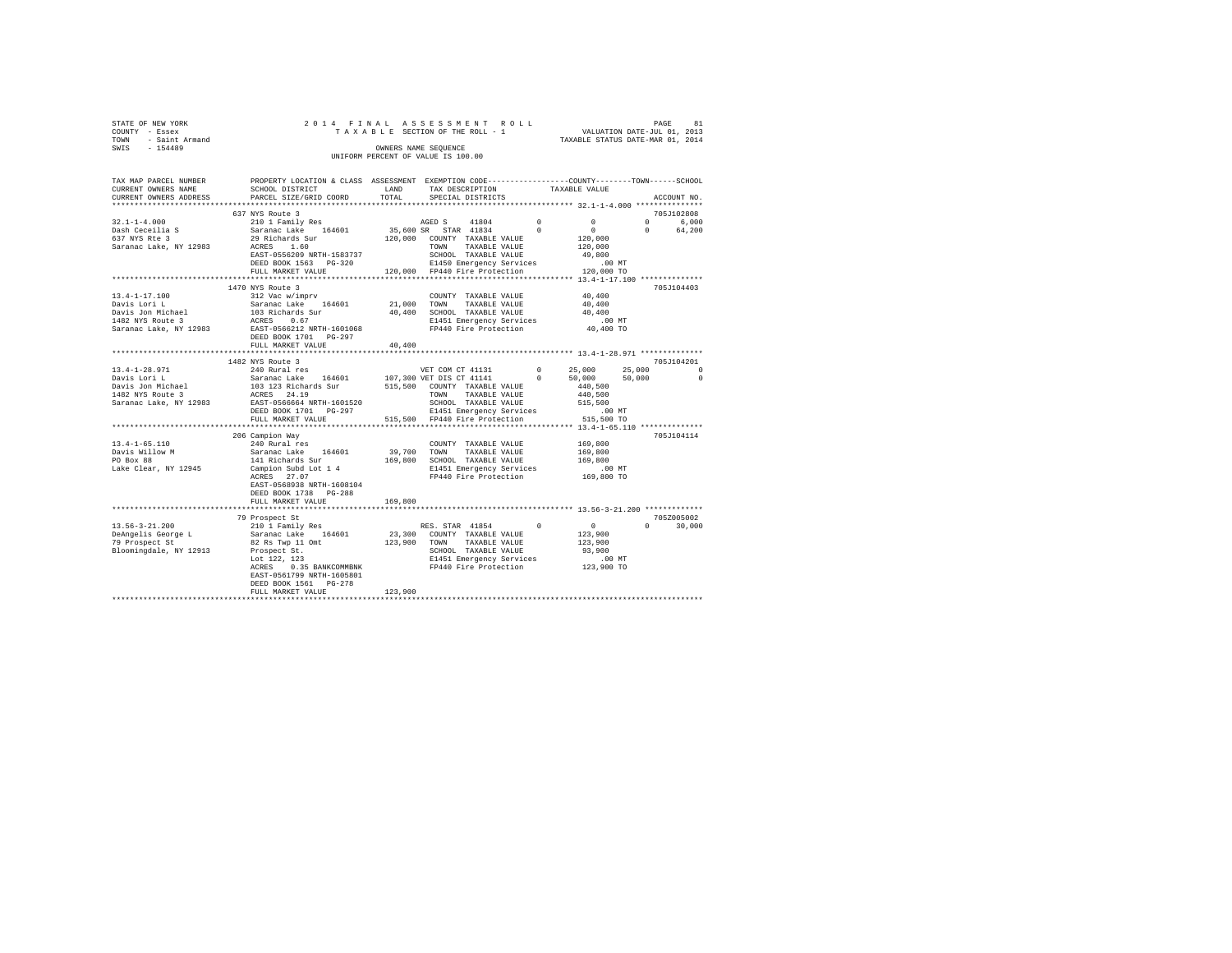| STATE OF NEW YORK<br>COUNTY - Essex 2<br>TOWN - Saint Armand<br>SWIS - 154489 |                                                                                                                                                                                                                                                                                                                                                                                                  |             |                                                                                       |                   |                                                     |          |               |
|-------------------------------------------------------------------------------|--------------------------------------------------------------------------------------------------------------------------------------------------------------------------------------------------------------------------------------------------------------------------------------------------------------------------------------------------------------------------------------------------|-------------|---------------------------------------------------------------------------------------|-------------------|-----------------------------------------------------|----------|---------------|
|                                                                               |                                                                                                                                                                                                                                                                                                                                                                                                  |             | OWNERS NAME SEQUENCE                                                                  |                   | TAXABLE STATUS DATE-MAR 01, 2014                    |          |               |
|                                                                               |                                                                                                                                                                                                                                                                                                                                                                                                  |             | UNIFORM PERCENT OF VALUE IS 100.00                                                    |                   |                                                     |          |               |
| TAX MAP PARCEL NUMBER                                                         | PROPERTY LOCATION & CLASS ASSESSMENT EXEMPTION CODE----------------COUNTY--------TOWN-----SCHOOL                                                                                                                                                                                                                                                                                                 |             |                                                                                       |                   |                                                     |          |               |
| CURRENT OWNERS NAME<br>CURRENT OWNERS ADDRESS                                 | SCHOOL DISTRICT LAND<br>PARCEL SIZE/GRID COORD                                                                                                                                                                                                                                                                                                                                                   | TOTAL       | TAX DESCRIPTION TAXABLE VALUE<br>SPECIAL DISTRICTS                                    |                   |                                                     |          | ACCOUNT NO.   |
|                                                                               |                                                                                                                                                                                                                                                                                                                                                                                                  |             |                                                                                       |                   |                                                     |          |               |
|                                                                               | 637 NYS Route 3                                                                                                                                                                                                                                                                                                                                                                                  |             |                                                                                       |                   |                                                     |          | 705J102808    |
| $32.1 - 1 - 4.000$                                                            | 210 1 Family Res                                                                                                                                                                                                                                                                                                                                                                                 |             |                                                                                       | $\sim$ 0 $\sim$ 0 | $\mathbf{0}$                                        |          | 0 6,000       |
| Dash Ceceilia S<br>637 NYS Rte 3                                              | 1994 - المستحدة 1480 - 1480 - 1480 - 1484 - 1684 - 1684 - 1684 - 1694 - 1694 - 1694 - 1794 - 1894 - 1894 - 18<br>19 Says - 1686 - 1686 - 1697 - 1698 - 1698 - 1698 - 1698 - 1698 - 1698 - 1698 - 1698 - 1699 - 1699 - 1699 - 1<br>1                                                                                                                                                              |             |                                                                                       |                   | $\sim$ 0                                            | $\Omega$ | 64,200        |
|                                                                               |                                                                                                                                                                                                                                                                                                                                                                                                  |             |                                                                                       |                   | 120,000                                             |          |               |
| Saranac Lake, NY 12983                                                        |                                                                                                                                                                                                                                                                                                                                                                                                  |             |                                                                                       |                   | 120,000                                             |          |               |
|                                                                               | EAST-0556209 NRTH-1583737                                                                                                                                                                                                                                                                                                                                                                        |             | SCHOOL TAXABLE VALUE<br>SCHOOL TAXABLE VALUE<br>E1450 Emergency Services              |                   | 49,800                                              |          |               |
|                                                                               | DEED BOOK 1563 PG-320<br>FULL MARKET VALUE 120,000 FP440 Fire Protection 120,000 TO                                                                                                                                                                                                                                                                                                              |             |                                                                                       |                   | $.00$ MT                                            |          |               |
|                                                                               |                                                                                                                                                                                                                                                                                                                                                                                                  |             |                                                                                       |                   |                                                     |          |               |
|                                                                               | 1470 NYS Route 3                                                                                                                                                                                                                                                                                                                                                                                 |             |                                                                                       |                   |                                                     |          | 705J104403    |
| $13.4 - 1 - 17.100$                                                           | 312 Vac w/imprv                                                                                                                                                                                                                                                                                                                                                                                  |             | COUNTY TAXABLE VALUE                                                                  |                   | 40,400                                              |          |               |
|                                                                               | Saranac Lake 164601 21,000 TOWN TAXABLE VALUE                                                                                                                                                                                                                                                                                                                                                    |             |                                                                                       |                   | 40,400                                              |          |               |
|                                                                               |                                                                                                                                                                                                                                                                                                                                                                                                  |             |                                                                                       |                   |                                                     |          |               |
| 13.4-1-17.100<br>Davis Lori L<br>Davis Jon Michael<br>1482 NYS Route 3        |                                                                                                                                                                                                                                                                                                                                                                                                  |             |                                                                                       |                   |                                                     |          |               |
|                                                                               | $103 {\rm\;Richadel}\qquad \qquad 103 {\rm\;Richards Sur}\qquad \qquad 40,400 \qquad \qquad 5{\rm\;CHOOL\quad} {\rm\;TAXABLE\;VALURE}\qquad \qquad 40,400 \qquad \qquad 100 {\rm\;N} {\rm\;N} {\rm\;Rsh} {\rm\;M} {\rm\;Rsh} {\rm\;M} {\rm\;M} {\rm\;M} {\rm\;M} {\rm\;M} {\rm\;M} {\rm\;M} {\rm\;M} {\rm\;M} {\rm\;M} {\rm\;M} {\rm\;M} {\rm\;M} {\rm\;M} {\rm\;M} {\$<br>DEED BOOK 1701 PG-297 |             |                                                                                       |                   |                                                     |          |               |
|                                                                               | FULL MARKET VALUE                                                                                                                                                                                                                                                                                                                                                                                | 40,400      |                                                                                       |                   |                                                     |          |               |
|                                                                               | 1482 NYS Route 3<br>240 Rural res<br>240 Rural res<br>Saranac Lake 164601 107,300 VET DIS CT 41141 0 50,000<br>50,000 Serves 164601 107,300 VET DIS CT 41141 0 50,000<br>515,500 COUNTY TAXABLE VALUE 440,500                                                                                                                                                                                    |             |                                                                                       |                   |                                                     |          | 705-7104201   |
| 13.4-1-28.971                                                                 |                                                                                                                                                                                                                                                                                                                                                                                                  |             |                                                                                       |                   |                                                     |          | 25,000 0      |
| Davis Lori L<br>Davis Jon Michael<br>1482 NYS Route 3                         |                                                                                                                                                                                                                                                                                                                                                                                                  |             |                                                                                       |                   |                                                     | 50,000   | $\sim$ 0      |
|                                                                               | 103 123 Richards Sur 515,500 COUNTY TAXABLE VALUE<br>ACRES 24.19 TOWN TAXABLE VALUE                                                                                                                                                                                                                                                                                                              |             |                                                                                       |                   |                                                     |          |               |
|                                                                               |                                                                                                                                                                                                                                                                                                                                                                                                  |             |                                                                                       |                   | 440,500                                             |          |               |
| Saranac Lake, NY 12983                                                        | 103 123 Richard Str.<br>ACRES 24.19<br>EAST-0566664 NRTH-1601520<br>BBBB BOOK 1701 PG-297                                                                                                                                                                                                                                                                                                        |             | SCHOOL TAXABLE VALUE                                                                  |                   | 515,500                                             |          |               |
|                                                                               | DEED BOOK 1701 PG-297 E1451 Emergency Services .00 MT<br>FULL MARKET VALUE 515,500 FP440 Fire Protection 515,500 TO                                                                                                                                                                                                                                                                              |             |                                                                                       |                   |                                                     |          |               |
|                                                                               |                                                                                                                                                                                                                                                                                                                                                                                                  |             |                                                                                       |                   |                                                     |          |               |
|                                                                               | 206 Campion Way                                                                                                                                                                                                                                                                                                                                                                                  |             |                                                                                       |                   |                                                     |          | 705J104114    |
| $13.4 - 1 - 65.110$                                                           |                                                                                                                                                                                                                                                                                                                                                                                                  |             | COUNTY TAXABLE VALUE                                                                  |                   | 169,800                                             |          |               |
|                                                                               | 240 Rural res<br>Saranac Lake 164601                                                                                                                                                                                                                                                                                                                                                             | 39,700 TOWN | TAXABLE VALUE                                                                         |                   | 169,800                                             |          |               |
| Davis Willow M<br>PO Box 88                                                   | 141 Richards Sur                                                                                                                                                                                                                                                                                                                                                                                 |             | 169,800 SCHOOL TAXABLE VALUE                                                          |                   | 169,800                                             |          |               |
| Lake Clear, NY 12945                                                          |                                                                                                                                                                                                                                                                                                                                                                                                  |             |                                                                                       |                   |                                                     |          |               |
|                                                                               |                                                                                                                                                                                                                                                                                                                                                                                                  |             |                                                                                       |                   |                                                     |          |               |
|                                                                               | EAST-0568938 NRTH-1608104                                                                                                                                                                                                                                                                                                                                                                        |             |                                                                                       |                   |                                                     |          |               |
|                                                                               | DEED BOOK 1738 PG-288                                                                                                                                                                                                                                                                                                                                                                            |             |                                                                                       |                   |                                                     |          |               |
|                                                                               | FULL MARKET VALUE                                                                                                                                                                                                                                                                                                                                                                                | 169,800     |                                                                                       |                   | *********************** 13.56-3-21.200 ************ |          |               |
|                                                                               | 79 Prospect St                                                                                                                                                                                                                                                                                                                                                                                   |             |                                                                                       |                   |                                                     |          | 705Z005002    |
| $13.56 - 3 - 21.200$                                                          | 210 1 Family Res                                                                                                                                                                                                                                                                                                                                                                                 |             |                                                                                       |                   |                                                     |          | $0 \t 30,000$ |
|                                                                               |                                                                                                                                                                                                                                                                                                                                                                                                  |             | RES. STAR 41854 0 0<br>0 COUNTY TAXABLE VALUE 123,900<br>0 TOWN TAXABLE VALUE 123,900 |                   |                                                     |          |               |
|                                                                               | DeAngelis George Land Saranac Lake 164601<br>79 Prospect St 82 Rs Twp 11 Omt<br>82 Rs Twp 11 Omt                                                                                                                                                                                                                                                                                                 |             | 23,300 COUNTY TAXABLE VALUE<br>123,900 TOWN TAXABLE VALUE                             |                   |                                                     |          |               |
| Bloomingdale, NY 12913                                                        |                                                                                                                                                                                                                                                                                                                                                                                                  |             | SCHOOL TAXABLE VALUE                                                                  |                   | 93,900                                              |          |               |
|                                                                               | Prospect St.<br>Lot 122, 123                                                                                                                                                                                                                                                                                                                                                                     |             |                                                                                       |                   |                                                     |          |               |
|                                                                               | ACRES 0.35 BANKCOMMBNK                                                                                                                                                                                                                                                                                                                                                                           |             | E1451 Emergency Services .00 MT<br>FP440 Fire Protection .023,900 TO                  |                   |                                                     |          |               |
|                                                                               | EAST-0561799 NRTH-1605801                                                                                                                                                                                                                                                                                                                                                                        |             |                                                                                       |                   |                                                     |          |               |
|                                                                               | DEED BOOK 1561 PG-278                                                                                                                                                                                                                                                                                                                                                                            |             |                                                                                       |                   |                                                     |          |               |
|                                                                               | FULL MARKET VALUE                                                                                                                                                                                                                                                                                                                                                                                | 123,900     |                                                                                       |                   |                                                     |          |               |
|                                                                               |                                                                                                                                                                                                                                                                                                                                                                                                  |             |                                                                                       |                   |                                                     |          |               |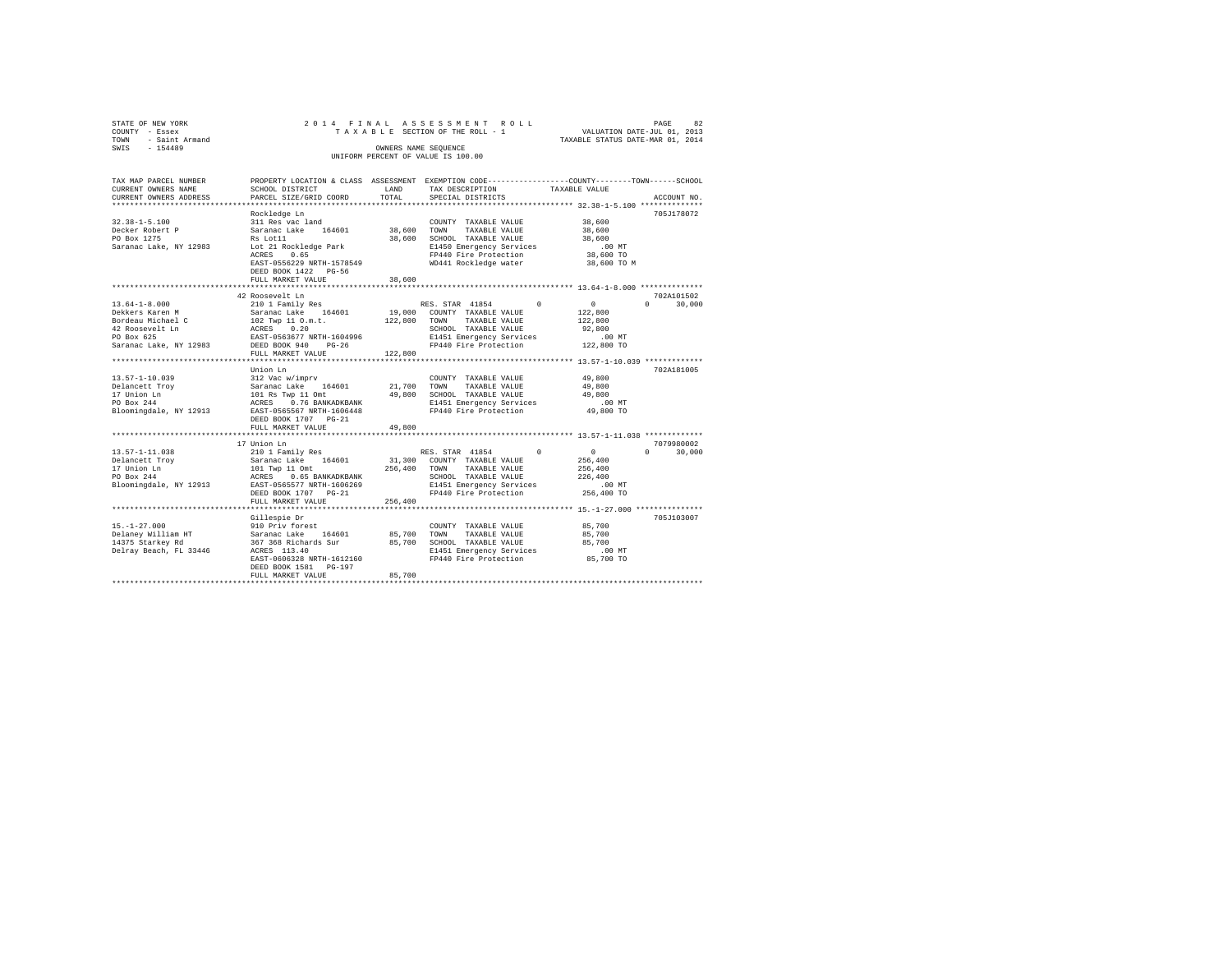| STATE OF NEW YORK<br>COUNTY - Essex<br>TOWN - Saint Armand<br>SWIS - 154489 |                                                                                                                |              | 2014 FINAL ASSESSMENT ROLL<br>TAXABLE SECTION OF THE ROLL - 1<br>OWNERS NAME SEOUENCE<br>UNIFORM PERCENT OF VALUE IS 100.00 | VALUATION DATE-JUL 01, 2013<br>TAXABLE STATUS DATE-MAR 01, 2014 | 82<br>PAGE    |
|-----------------------------------------------------------------------------|----------------------------------------------------------------------------------------------------------------|--------------|-----------------------------------------------------------------------------------------------------------------------------|-----------------------------------------------------------------|---------------|
| TAX MAP PARCEL NUMBER                                                       | PROPERTY LOCATION & CLASS ASSESSMENT EXEMPTION CODE---------------COUNTY-------TOWN------SCHOOL                |              |                                                                                                                             |                                                                 |               |
| CURRENT OWNERS NAME                                                         | SCHOOL DISTRICT                                                                                                | LAND         | TAX DESCRIPTION                                                                                                             | TAXABLE VALUE                                                   |               |
| CURRENT OWNERS ADDRESS                                                      | PARCEL SIZE/GRID COORD                                                                                         | TOTAL        | SPECIAL DISTRICTS                                                                                                           |                                                                 | ACCOUNT NO.   |
|                                                                             | Rockledge Ln                                                                                                   |              |                                                                                                                             |                                                                 | 705J178072    |
| $32.38 - 1 - 5.100$                                                         | 311 Res vac land                                                                                               |              | COUNTY TAXABLE VALUE                                                                                                        | 38,600                                                          |               |
| Decker Robert P                                                             | Saranac Lake 164601                                                                                            | 38,600 TOWN  | TAXABLE VALUE                                                                                                               | 38,600                                                          |               |
| PO Box 1275                                                                 | Rs Lot11 and the Lot of the Lot of the Lot of the Lot of the Lot of the Lot of the Lot of the Lot of the Lot o |              | 38,600 SCHOOL TAXABLE VALUE                                                                                                 | 38,600                                                          |               |
| Saranac Lake, NY 12983                                                      | Lot 21 Rockledge Park                                                                                          |              | E1450 Emergency Services                                                                                                    | $.00$ MT                                                        |               |
|                                                                             | ACRES 0.65                                                                                                     |              | FP440 Fire Protection                                                                                                       | 38,600 TO                                                       |               |
|                                                                             | EAST-0556229 NRTH-1578549                                                                                      |              | WD441 Rockledge water                                                                                                       | 38,600 TO M                                                     |               |
|                                                                             | DEED BOOK 1422 PG-56                                                                                           |              |                                                                                                                             |                                                                 |               |
|                                                                             | FULL MARKET VALUE                                                                                              | 38,600       |                                                                                                                             |                                                                 |               |
|                                                                             |                                                                                                                |              |                                                                                                                             |                                                                 |               |
|                                                                             | 42 Roosevelt Ln                                                                                                |              |                                                                                                                             |                                                                 | 702A101502    |
| $13.64 - 1 - 8.000$                                                         | 210 1 Family Res                                                                                               |              | RES. STAR 41854 0                                                                                                           | $\sim$ 0                                                        | $0 \t 30.000$ |
| Dekkers Karen M                                                             | Saranac Lake 164601 19,000 COUNTY TAXABLE VALUE                                                                |              |                                                                                                                             | 122,800                                                         |               |
| Bordeau Michael C                                                           | 102 Twp 11 O.m.t.<br>ACRES 0.20                                                                                | 122,800 TOWN | TAXABLE VALUE                                                                                                               | 122,800                                                         |               |
| 42 Roosevelt Ln<br>PO Box 625                                               |                                                                                                                |              | SCHOOL TAXABLE VALUE                                                                                                        | 92,800                                                          |               |
|                                                                             | EAST-0563677 NRTH-1604996                                                                                      |              | E1451 Emergency Services                                                                                                    | $.00$ MT                                                        |               |
| Saranac Lake, NY 12983                                                      | DEED BOOK 940 PG-26                                                                                            |              | E1451 Emeryency<br>FP440 Fire Protection                                                                                    | 122,800 TO                                                      |               |
|                                                                             | FULL MARKET VALUE                                                                                              | 122,800      |                                                                                                                             |                                                                 |               |
|                                                                             | Union Ln                                                                                                       |              |                                                                                                                             |                                                                 | 702A181005    |
| $13.57 - 1 - 10.039$                                                        | 312 Vac w/imprv                                                                                                |              | COUNTY TAXABLE VALUE                                                                                                        | 49,800                                                          |               |
| Delancett Trov                                                              | Saranac Lake 164601                                                                                            |              |                                                                                                                             | 49,800                                                          |               |
| $17$ Union Ln<br>$\frac{17-144}{2}$                                         | Saranac Lake 164601 21,700 TOWN TAXABLE VALUE<br>101 Rs Twp 11 Omt 49,800 SCHOOL TAXABLE VALUE                 |              |                                                                                                                             | 49,800                                                          |               |
|                                                                             | ACRES 0.76 BANKADKBANK                                                                                         |              | E1451 Emergency Services                                                                                                    | $.00$ MT                                                        |               |
| Bloomingdale, NY 12913                                                      | EAST-0565567 NRTH-1606448                                                                                      |              | FP440 Fire Protection                                                                                                       | 49,800 TO                                                       |               |
|                                                                             | DEED BOOK 1707 PG-21                                                                                           |              |                                                                                                                             |                                                                 |               |
|                                                                             | FULL MARKET VALUE                                                                                              | 49,800       |                                                                                                                             |                                                                 |               |
|                                                                             |                                                                                                                |              |                                                                                                                             |                                                                 |               |
|                                                                             | 17 Union Ln                                                                                                    |              |                                                                                                                             |                                                                 | 7079980002    |
| $13.57 - 1 - 11.038$                                                        | 210 1 Family Res                                                                                               |              | RES. STAR 41854 0                                                                                                           | $\sim$ 0 $\sim$                                                 | $0 \t 30.000$ |
| Delancett Trov                                                              | Saranac Lake 164601                                                                                            |              | 31,300 COUNTY TAXABLE VALUE                                                                                                 | 256,400                                                         |               |
| 17 Union Ln                                                                 | 101 Twp 11 Omt 256,400 TOWN                                                                                    |              | TAXABLE VALUE                                                                                                               | 256,400                                                         |               |
| PO Box 244                                                                  | ACRES 0.65 BANKADKBANK                                                                                         |              | SCHOOL TAXABLE VALUE                                                                                                        | 226,400                                                         |               |
| Bloomingdale, NY 12913                                                      | EAST-0565577 NRTH-1606269<br>DEED BOOK 1707 PG-21                                                              |              | E1451 Emergency Services<br>FP440 Fire Protection                                                                           | $.00$ MT<br>256,400 TO                                          |               |
|                                                                             | FULL MARKET VALUE                                                                                              | 256,400      |                                                                                                                             |                                                                 |               |
|                                                                             |                                                                                                                |              |                                                                                                                             |                                                                 |               |
|                                                                             | Gillespie Dr                                                                                                   |              |                                                                                                                             |                                                                 | 705J103007    |
| $15. - 1 - 27.000$                                                          | 910 Priv forest                                                                                                |              | COUNTY TAXABLE VALUE                                                                                                        | 85,700                                                          |               |
| Delaney William HT                                                          | Saranac Lake 164601                                                                                            | 85,700 TOWN  | TAXABLE VALUE                                                                                                               | 85,700                                                          |               |
| 14375 Starkey Rd                                                            | 367 368 Richards Sur                                                                                           |              | 85,700 SCHOOL TAXABLE VALUE                                                                                                 | 85,700                                                          |               |
| Delray Beach, FL 33446                                                      | ACRES 113.40                                                                                                   |              | E1451 Emergency Services                                                                                                    | $.00$ MT                                                        |               |
|                                                                             | EAST-0606328 NRTH-1612160                                                                                      |              | FP440 Fire Protection                                                                                                       | 85,700 TO                                                       |               |
|                                                                             | DEED BOOK 1581 PG-197                                                                                          |              |                                                                                                                             |                                                                 |               |
|                                                                             | FULL MARKET VALUE                                                                                              | 85,700       |                                                                                                                             |                                                                 |               |
|                                                                             |                                                                                                                |              |                                                                                                                             |                                                                 |               |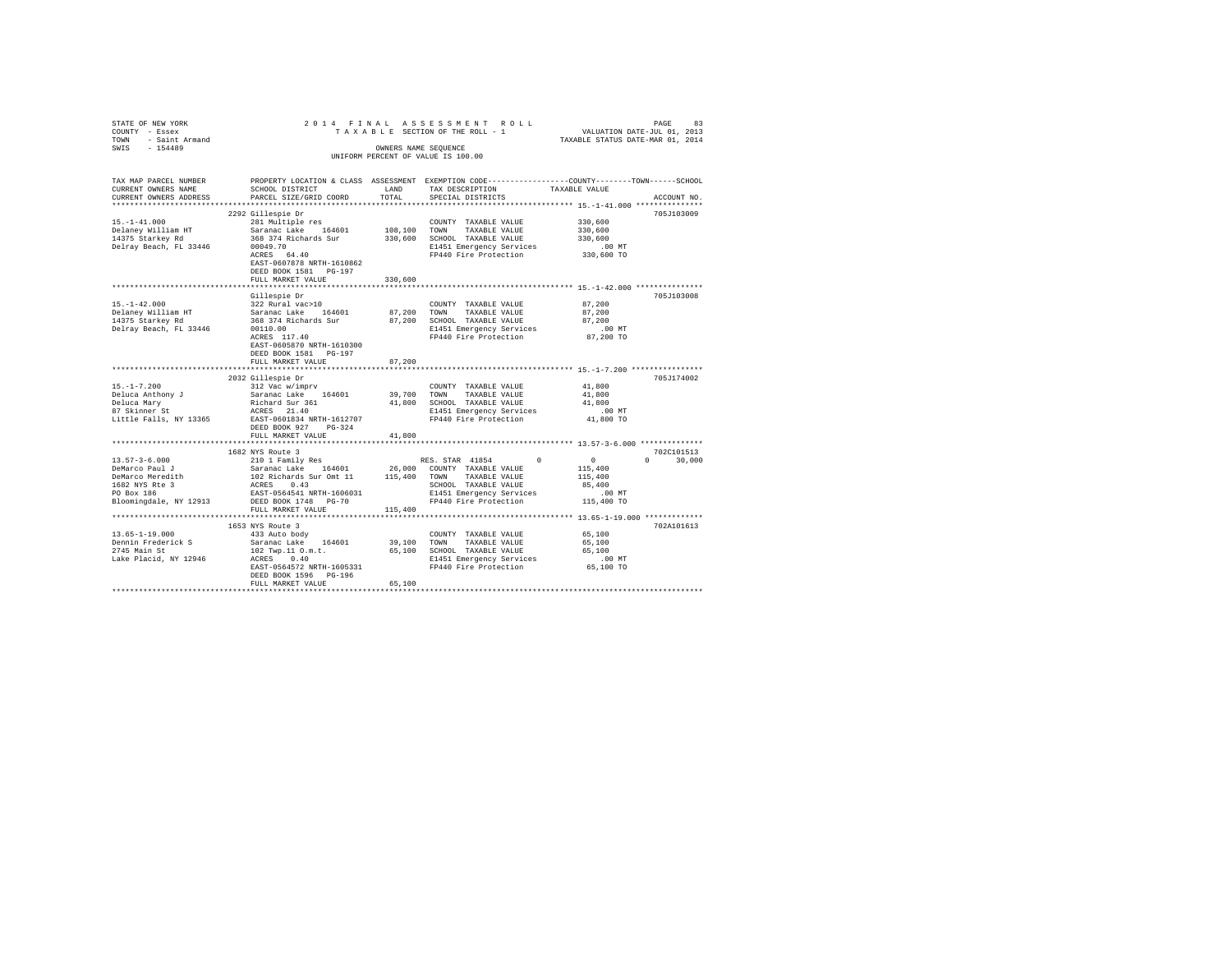| STATE OF NEW YORK $\begin{array}{l} \texttt{STARTE OF NEN} \begin{array}{lllllllllllllllllllll} \end{array} & \begin{array}{lllllllll} \texttt{STARTE OF NEN} \begin{array}{lllllllllllllllllll} \end{array} & \begin{array}{lllllllllllll} \texttt{STARTE OF TEN A L A S S E S S M E N T & R O L L \\ \texttt{COUNTV OF THE ROLL-1} \end{array} \\ \texttt{TANKB SICES OF THE ROLL-1} & \begin{array}{lllllllllllllllllll} \end{array} & \begin{array}{lllllllllllllllllll$ |                                                    |         | PAGE 83 וIA A S S E S S M E N T R O L L PAGE 84 PAGE 83<br>T A X A B L E SECTION OF THE ROLL - 1 TAXABLE STATUS DATE-ULL 0.1, 2014 |                  |               |
|------------------------------------------------------------------------------------------------------------------------------------------------------------------------------------------------------------------------------------------------------------------------------------------------------------------------------------------------------------------------------------------------------------------------------------------------------------------------------|----------------------------------------------------|---------|------------------------------------------------------------------------------------------------------------------------------------|------------------|---------------|
|                                                                                                                                                                                                                                                                                                                                                                                                                                                                              |                                                    |         | UNIFORM PERCENT OF VALUE IS 100.00                                                                                                 |                  |               |
|                                                                                                                                                                                                                                                                                                                                                                                                                                                                              |                                                    |         |                                                                                                                                    |                  |               |
| TAX MAP PARCEL NUMBER                                                                                                                                                                                                                                                                                                                                                                                                                                                        |                                                    |         | PROPERTY LOCATION & CLASS ASSESSMENT EXEMPTION CODE----------------COUNTY-------TOWN------SCHOOL                                   |                  |               |
| CURRENT OWNERS NAME                                                                                                                                                                                                                                                                                                                                                                                                                                                          | SCHOOL DISTRICT LAND                               |         | TAX DESCRIPTION                                                                                                                    | TAXABLE VALUE    |               |
| CURRENT OWNERS ADDRESS<br>*************************                                                                                                                                                                                                                                                                                                                                                                                                                          | PARCEL SIZE/GRID COORD                             | TOTAL   | SPECIAL DISTRICTS                                                                                                                  |                  | ACCOUNT NO.   |
|                                                                                                                                                                                                                                                                                                                                                                                                                                                                              | 2292 Gillespie Dr                                  |         |                                                                                                                                    |                  | 705J103009    |
| $15. - 1 - 41.000$                                                                                                                                                                                                                                                                                                                                                                                                                                                           |                                                    |         |                                                                                                                                    | $330\,, 600$     |               |
| Delaney William HT                                                                                                                                                                                                                                                                                                                                                                                                                                                           |                                                    |         |                                                                                                                                    | 330,600          |               |
| 14375 Starkey Rd                                                                                                                                                                                                                                                                                                                                                                                                                                                             | 368 374 Richards Sur                               |         | 330,600 SCHOOL TAXABLE VALUE                                                                                                       | 330,600          |               |
| Delray Beach, FL 33446                                                                                                                                                                                                                                                                                                                                                                                                                                                       | 00049.70                                           |         | E1451 Emergency Services<br>FP440 Fire Protection                                                                                  | $.00$ MT         |               |
|                                                                                                                                                                                                                                                                                                                                                                                                                                                                              | ACRES 64.40                                        |         |                                                                                                                                    | 330,600 TO       |               |
|                                                                                                                                                                                                                                                                                                                                                                                                                                                                              | EAST-0607878 NRTH-1610862<br>DEED BOOK 1581 PG-197 |         |                                                                                                                                    |                  |               |
|                                                                                                                                                                                                                                                                                                                                                                                                                                                                              | FULL MARKET VALUE                                  | 330,600 |                                                                                                                                    |                  |               |
|                                                                                                                                                                                                                                                                                                                                                                                                                                                                              |                                                    |         |                                                                                                                                    |                  |               |
|                                                                                                                                                                                                                                                                                                                                                                                                                                                                              | Gillespie Dr                                       |         |                                                                                                                                    |                  | 705J103008    |
| $15. - 1 - 42.000$                                                                                                                                                                                                                                                                                                                                                                                                                                                           | 322 Rural vac>10                                   |         | COUNTY TAXABLE VALUE                                                                                                               | 87,200           |               |
| 1997 - 1998 - 1998 - 1999 - 1999 - 1999 - 1999 - 1999 - 1999 - 1999 - 1999 - 1999 - 1999 - 1999 - 1999 - 1999<br>1997 - 1999 - 1999 - 1999 - 1999 - 1999 - 1999 - 1999 - 1999 - 1999 - 1999 - 1999 - 1999 - 1999 - 1999 - 1999<br>19                                                                                                                                                                                                                                         |                                                    |         |                                                                                                                                    | 87,200           |               |
| Delray Beach, FL 33446                                                                                                                                                                                                                                                                                                                                                                                                                                                       |                                                    |         |                                                                                                                                    | 87,200           |               |
|                                                                                                                                                                                                                                                                                                                                                                                                                                                                              | 00110.00<br>ACRES 117.40                           |         |                                                                                                                                    |                  |               |
|                                                                                                                                                                                                                                                                                                                                                                                                                                                                              | EAST-0605870 NRTH-1610300                          |         |                                                                                                                                    |                  |               |
|                                                                                                                                                                                                                                                                                                                                                                                                                                                                              | DEED BOOK 1581 PG-197                              |         |                                                                                                                                    |                  |               |
|                                                                                                                                                                                                                                                                                                                                                                                                                                                                              | FULL MARKET VALUE                                  | 87,200  |                                                                                                                                    |                  |               |
|                                                                                                                                                                                                                                                                                                                                                                                                                                                                              |                                                    |         |                                                                                                                                    |                  |               |
|                                                                                                                                                                                                                                                                                                                                                                                                                                                                              | 2032 Gillespie Dr                                  |         |                                                                                                                                    |                  | 705.1174002   |
| $15. - 1 - 7.200$                                                                                                                                                                                                                                                                                                                                                                                                                                                            | 312 Vac w/imprv                                    |         | COUNTY TAXABLE VALUE                                                                                                               | 41,800<br>41,800 |               |
|                                                                                                                                                                                                                                                                                                                                                                                                                                                                              |                                                    |         | 39,700 TOWN TAXABLE VALUE<br>41,800 SCHOOL TAXABLE VALUE                                                                           | 41,800           |               |
| Deluca Anthony J<br>Saranac Lake 164601<br>Bluca Mary Richard Sur 361<br>87 Skinner St<br>ACRES 21.40                                                                                                                                                                                                                                                                                                                                                                        |                                                    |         |                                                                                                                                    |                  |               |
| Little Falls, NY 13365 EAST-0601834 NRTH-1612707                                                                                                                                                                                                                                                                                                                                                                                                                             |                                                    |         | E1451 Emergency Services .00 MT<br>FP440 Fire Protection .00 TO                                                                    |                  |               |
|                                                                                                                                                                                                                                                                                                                                                                                                                                                                              | DEED BOOK 927 PG-324                               |         |                                                                                                                                    |                  |               |
|                                                                                                                                                                                                                                                                                                                                                                                                                                                                              | FULL MARKET VALUE                                  | 41,800  |                                                                                                                                    |                  |               |
|                                                                                                                                                                                                                                                                                                                                                                                                                                                                              |                                                    |         |                                                                                                                                    |                  |               |
| $13.57 - 3 - 6.000$                                                                                                                                                                                                                                                                                                                                                                                                                                                          | 1682 NYS Route 3                                   |         |                                                                                                                                    |                  | 702C101513    |
|                                                                                                                                                                                                                                                                                                                                                                                                                                                                              | 210 1 Family Res                                   |         | RES. STAR 41854 0 0<br>0 COUNTY TAXABLE VALUE 115,400                                                                              |                  | $0 \t 30,000$ |
|                                                                                                                                                                                                                                                                                                                                                                                                                                                                              |                                                    |         |                                                                                                                                    | 115,400          |               |
|                                                                                                                                                                                                                                                                                                                                                                                                                                                                              |                                                    |         | $\begin{tabular}{lllllll} \bf SCHOOL & \tt TAXABLE & \tt VALUE \\ \bf F1453 = & \end{tabular}$                                     | 85,400           |               |
| 19.37-3-0.000 COUNTY TAXABLE VALUE<br>19.37-3-0.000 COUNTY TAXABLE VALUE<br>19.400 PeMarco Meredith 102 Richards Sur Omt 11 115,400 TOWN TAXABLE VALUE<br>1682 WIS RE 3 ACRES 0.43 OSC 1500 SCHOOL TAXABLE VALUE<br>1692 WIS REST-0564                                                                                                                                                                                                                                       |                                                    |         | E1451 Emergency Services                                                                                                           | $.00$ MT         |               |
| Bloomingdale, NY 12913 DEED BOOK 1748 PG-70                                                                                                                                                                                                                                                                                                                                                                                                                                  |                                                    |         | FP440 Fire Protection 115,400 TO                                                                                                   |                  |               |
|                                                                                                                                                                                                                                                                                                                                                                                                                                                                              | FULL MARKET VALUE                                  | 115,400 |                                                                                                                                    |                  |               |
|                                                                                                                                                                                                                                                                                                                                                                                                                                                                              |                                                    |         |                                                                                                                                    |                  |               |
| $13.65 - 1 - 19.000$                                                                                                                                                                                                                                                                                                                                                                                                                                                         | 1653 NYS Route 3<br>433 Auto body                  |         | COUNTY TAXABLE VALUE                                                                                                               | 65,100           | 702A101613    |
|                                                                                                                                                                                                                                                                                                                                                                                                                                                                              |                                                    |         |                                                                                                                                    | 65,100           |               |
| Dennin Frederick S<br>2745 Main St<br>2745 Main St<br>2745 Main St<br>2745 Main St<br>2745 Main St<br>2745 Main St<br>2745 Main St<br>2745 Main St<br>2745 Main St<br>2745 Main St<br>2745 Main St<br>2745 Main St<br>2745 Main St<br>2745 Main St<br>2745 M                                                                                                                                                                                                                 |                                                    |         |                                                                                                                                    | 65,100           |               |
|                                                                                                                                                                                                                                                                                                                                                                                                                                                                              |                                                    |         |                                                                                                                                    |                  |               |
|                                                                                                                                                                                                                                                                                                                                                                                                                                                                              |                                                    |         |                                                                                                                                    |                  |               |
|                                                                                                                                                                                                                                                                                                                                                                                                                                                                              | DEED BOOK 1596 PG-196                              |         |                                                                                                                                    |                  |               |
|                                                                                                                                                                                                                                                                                                                                                                                                                                                                              | FULL MARKET VALUE                                  | 65,100  |                                                                                                                                    |                  |               |
|                                                                                                                                                                                                                                                                                                                                                                                                                                                                              |                                                    |         |                                                                                                                                    |                  |               |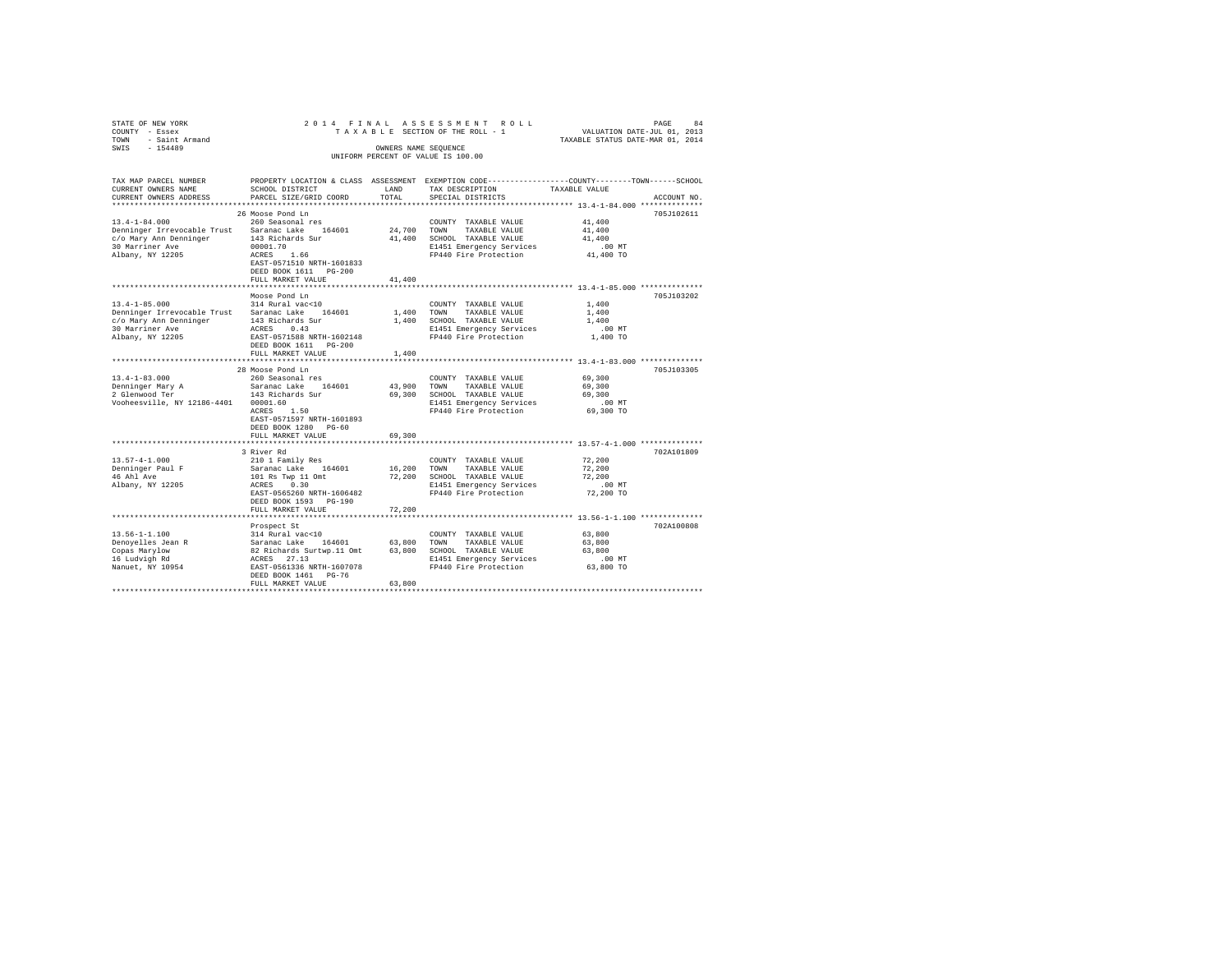| STATE OF NEW YORK<br>COUNTY - Essex<br>TOWN - Saint Armand |                                         |        | 2014 FINAL ASSESSMENT ROLL<br>TAXABLE SECTION OF THE ROLL - 1                                  | VALUATION DATE-JUL 01, 2013<br>TAXABLE STATUS DATE-MAR 01, 2014 | PAGE<br>84  |
|------------------------------------------------------------|-----------------------------------------|--------|------------------------------------------------------------------------------------------------|-----------------------------------------------------------------|-------------|
| $-154489$<br>SWIS                                          |                                         |        | OWNERS NAME SEOUENCE                                                                           |                                                                 |             |
|                                                            |                                         |        | UNIFORM PERCENT OF VALUE IS 100.00                                                             |                                                                 |             |
|                                                            |                                         |        |                                                                                                |                                                                 |             |
| TAX MAP PARCEL NUMBER                                      |                                         |        | PROPERTY LOCATION & CLASS ASSESSMENT EXEMPTION CODE---------------COUNTY-------TOWN-----SCHOOL |                                                                 |             |
| CURRENT OWNERS NAME                                        | SCHOOL DISTRICT                         | LAND   | TAX DESCRIPTION                                                                                | TAXABLE VALUE                                                   |             |
| CURRENT OWNERS ADDRESS                                     | PARCEL SIZE/GRID COORD                  | TOTAL  | SPECIAL DISTRICTS                                                                              |                                                                 | ACCOUNT NO. |
|                                                            | 26 Moose Pond Ln                        |        |                                                                                                |                                                                 | 705J102611  |
| $13.4 - 1 - 84.000$                                        | 260 Seasonal res                        |        | COUNTY TAXABLE VALUE                                                                           | 41,400                                                          |             |
| Denninger Irrevocable Trust Saranac Lake 164601            |                                         | 24,700 | TOWN<br>TAXABLE VALUE                                                                          | 41,400                                                          |             |
| c/o Mary Ann Denninger                                     | 143 Richards Sur                        | 41,400 | SCHOOL TAXABLE VALUE                                                                           | 41,400                                                          |             |
| 30 Marriner Ave                                            | 00001.70                                |        | E1451 Emergency Services                                                                       | $.00$ MT                                                        |             |
| Albany, NY 12205                                           | ACRES 1.66                              |        | FP440 Fire Protection                                                                          | 41,400 TO                                                       |             |
|                                                            | EAST-0571510 NRTH-1601833               |        |                                                                                                |                                                                 |             |
|                                                            | DEED BOOK 1611 PG-200                   |        |                                                                                                |                                                                 |             |
|                                                            | FULL MARKET VALUE                       | 41,400 |                                                                                                |                                                                 |             |
|                                                            |                                         |        | ************************************* 13.4-1-85.000 **************                             |                                                                 | 705J103202  |
| $13.4 - 1 - 85.000$                                        | Moose Pond Ln<br>314 Rural vac<10       |        | COUNTY TAXABLE VALUE                                                                           | 1,400                                                           |             |
| Denninger Irrevocable Trust Saranac Lake 164601            |                                         | 1,400  | TOWN<br>TAXABLE VALUE                                                                          | 1,400                                                           |             |
| c/o Mary Ann Denninger                                     | 143 Richards Sur                        |        | 1,400 SCHOOL TAXABLE VALUE                                                                     | 1,400                                                           |             |
| 30 Marriner Ave                                            | ACRES 0.43                              |        | E1451 Emergency Services                                                                       | $.00$ MT                                                        |             |
| Albany, NY 12205                                           | EAST-0571588 NRTH-1602148               |        | FP440 Fire Protection                                                                          | 1,400 TO                                                        |             |
|                                                            | DEED BOOK 1611 PG-200                   |        |                                                                                                |                                                                 |             |
|                                                            | FULL MARKET VALUE                       | 1,400  |                                                                                                |                                                                 |             |
|                                                            |                                         |        |                                                                                                |                                                                 |             |
|                                                            | 28 Moose Pond Ln                        |        |                                                                                                |                                                                 | 705J103305  |
| $13.4 - 1 - 83.000$                                        | 260 Seasonal res<br>Saranac Lake 164601 | 43,900 | COUNTY TAXABLE VALUE<br>TOWN<br>TAXABLE VALUE                                                  | 69,300<br>69,300                                                |             |
| Denninger Mary A<br>2 Glenwood Ter                         | 143 Richards Sur                        |        | 69,300 SCHOOL TAXABLE VALUE                                                                    | 69,300                                                          |             |
| Vooheesville, NY 12186-4401 00001.60                       |                                         |        | E1451 Emergency Services                                                                       | $.00$ MT                                                        |             |
|                                                            | ACRES 1.50                              |        | FP440 Fire Protection                                                                          | 69,300 TO                                                       |             |
|                                                            | EAST-0571597 NRTH-1601893               |        |                                                                                                |                                                                 |             |
|                                                            | DEED BOOK 1280 PG-60                    |        |                                                                                                |                                                                 |             |
|                                                            | FULL MARKET VALUE                       | 69,300 |                                                                                                |                                                                 |             |
| *************************                                  | **************************              |        |                                                                                                |                                                                 |             |
|                                                            | 3 River Rd                              |        |                                                                                                |                                                                 | 702A101809  |
| $13.57 - 4 - 1.000$<br>Denninger Paul F                    | 210 1 Family Res<br>Saranac Lake 164601 | 16,200 | COUNTY TAXABLE VALUE<br>TOWN<br>TAXABLE VALUE                                                  | 72,200<br>72,200                                                |             |
| 46 Ahl Ave                                                 |                                         | 72,200 | SCHOOL TAXABLE VALUE                                                                           | 72,200                                                          |             |
| Albany, NY 12205                                           | 101 Rs Twp 11 Omt<br>ACRES 0.30         |        | E1451 Emergency Services                                                                       | $.00$ MT                                                        |             |
|                                                            | EAST-0565260 NRTH-1606482               |        | FP440 Fire Protection                                                                          | 72,200 TO                                                       |             |
|                                                            | DEED BOOK 1593 PG-190                   |        |                                                                                                |                                                                 |             |
|                                                            | FULL MARKET VALUE                       | 72,200 |                                                                                                |                                                                 |             |
|                                                            |                                         |        |                                                                                                |                                                                 |             |
|                                                            | Prospect St                             |        |                                                                                                |                                                                 | 702A100808  |
| $13.56 - 1 - 1.100$                                        | 314 Rural vac<10                        |        | COUNTY TAXABLE VALUE                                                                           | 63,800                                                          |             |
| Denoyelles Jean R                                          |                                         |        |                                                                                                | 63,800                                                          |             |
| Copas Marylow<br>16 Ludvigh Rd                             |                                         |        | E1451 Emergency Services                                                                       | 63,800<br>$.00$ MT                                              |             |
| Nanuet, NY 10954                                           |                                         |        | FP440 Fire Protection                                                                          | 63,800 TO                                                       |             |
|                                                            | DEED BOOK 1461 PG-76                    |        |                                                                                                |                                                                 |             |
|                                                            | FULL MARKET VALUE                       | 63,800 |                                                                                                |                                                                 |             |
|                                                            |                                         |        |                                                                                                |                                                                 |             |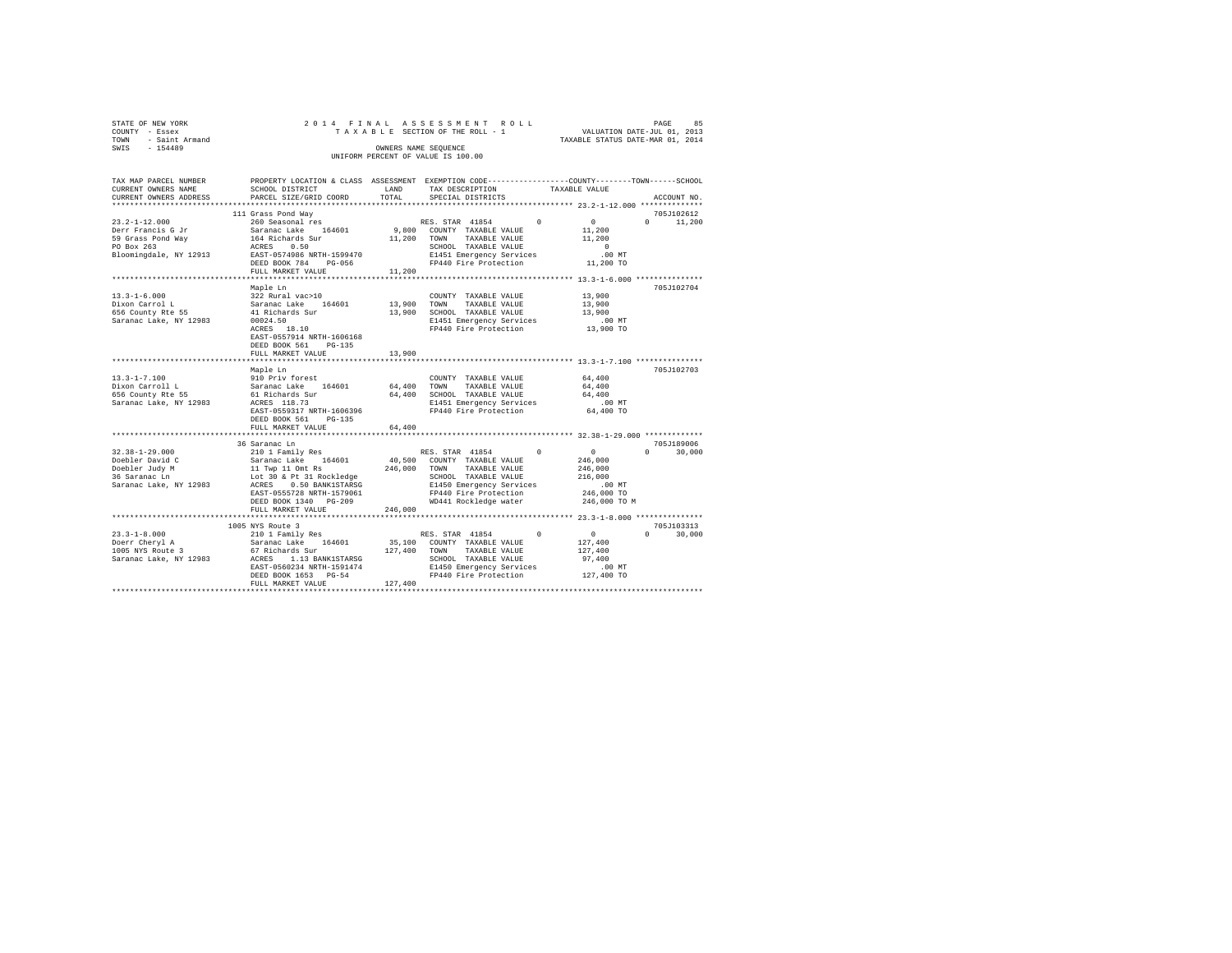| STATE OF NEW YORK   | 2014 FINAL ASSESSMENT ROLL         | 85<br>PAGE                       |
|---------------------|------------------------------------|----------------------------------|
| COUNTY - Essex      | TAXABLE SECTION OF THE ROLL - 1    | VALUATION DATE-JUL 01, 2013      |
| TOWN - Saint Armand |                                    | TAXABLE STATUS DATE-MAR 01, 2014 |
| SWIS<br>$-154489$   | OWNERS NAME SEOUENCE               |                                  |
|                     | UNIFORM PERCENT OF VALUE IS 100.00 |                                  |
|                     |                                    |                                  |
|                     |                                    |                                  |

| TAX MAP PARCEL NUMBER<br>CURRENT OWNERS NAME | <b>LAND</b><br>SCHOOL DISTRICT                             |         | PROPERTY LOCATION & CLASS ASSESSMENT EXEMPTION CODE----------------COUNTY-------TOWN-----SCHOOL                                                                                                                                                                                                                                                   |                      |                             |
|----------------------------------------------|------------------------------------------------------------|---------|---------------------------------------------------------------------------------------------------------------------------------------------------------------------------------------------------------------------------------------------------------------------------------------------------------------------------------------------------|----------------------|-----------------------------|
| CURRENT OWNERS ADDRESS                       | PARCEL SIZE/GRID COORD                                     | TOTAL   | ARE DESCRIPTION TAXABLE VALUE SPECIAL DISTRICTS                                                                                                                                                                                                                                                                                                   |                      | ACCOUNT NO.                 |
|                                              |                                                            |         |                                                                                                                                                                                                                                                                                                                                                   |                      |                             |
| $23.2 - 1 - 12.000$                          | 111 Grass Pond Way<br>1 Grass Fond way<br>260 Seasonal res |         |                                                                                                                                                                                                                                                                                                                                                   |                      | 705J102612<br>$0 \t 11,200$ |
|                                              |                                                            |         |                                                                                                                                                                                                                                                                                                                                                   |                      |                             |
|                                              |                                                            |         | ${\small \begin{tabular}{lcccccc} & & & & & & & \\ & & & & & & & & \\ \hline 9,800 & \multicolumn{3}{c}{\text{COUTY}} & \multicolumn{3}{c}{\text{TARABLE}} & \text{VALUE} & & & 0 & & 0 \\ & & & & & & & 11,200 & \\ 11,200 & \multicolumn{3}{c}{\text{TOWN}} & \multicolumn{3}{c}{\text{TAXABLE}} & \text{VALUE} & & & 11,200 \\ \end{tabular}}$ |                      |                             |
|                                              |                                                            |         |                                                                                                                                                                                                                                                                                                                                                   | $\sim$ 0             |                             |
|                                              |                                                            |         | SCHOOL TAXABLE VALUE<br>E1451 Emergency Services                                                                                                                                                                                                                                                                                                  | $.00$ MT             |                             |
|                                              | DEED BOOK 784 PG-056                                       |         | FP440 Fire Protection                                                                                                                                                                                                                                                                                                                             | 11,200 TO            |                             |
|                                              | FULL MARKET VALUE                                          | 11,200  |                                                                                                                                                                                                                                                                                                                                                   |                      |                             |
|                                              |                                                            |         |                                                                                                                                                                                                                                                                                                                                                   |                      |                             |
|                                              | Maple Ln                                                   |         |                                                                                                                                                                                                                                                                                                                                                   |                      | 705J102704                  |
| $13.3 - 1 - 6.000$                           |                                                            |         |                                                                                                                                                                                                                                                                                                                                                   | 13,900               |                             |
| Dixon Carrol L<br>656 County Rte 55          |                                                            |         |                                                                                                                                                                                                                                                                                                                                                   | 13,900               |                             |
|                                              |                                                            |         |                                                                                                                                                                                                                                                                                                                                                   | 13,900               |                             |
| Saranac Lake, NY 12983                       | 00024.50<br>ACRES 18.10                                    |         | 13,900 SCHOOL TAXABLE VALUE<br>E1451 Emergency Services<br>EP440 Fire Protection<br>E1451 Emergency Services .00 MT<br>FP440 Fire Protection .00 MT                                                                                                                                                                                               |                      |                             |
|                                              |                                                            |         |                                                                                                                                                                                                                                                                                                                                                   |                      |                             |
|                                              | EAST-0557914 NRTH-1606168                                  |         |                                                                                                                                                                                                                                                                                                                                                   |                      |                             |
|                                              | DEED BOOK 561 PG-135                                       |         |                                                                                                                                                                                                                                                                                                                                                   |                      |                             |
|                                              | FULL MARKET VALUE                                          | 13,900  |                                                                                                                                                                                                                                                                                                                                                   |                      |                             |
|                                              |                                                            |         |                                                                                                                                                                                                                                                                                                                                                   |                      |                             |
|                                              | Maple Ln                                                   |         |                                                                                                                                                                                                                                                                                                                                                   |                      | 705.1102703                 |
| $13.3 - 1 - 7.100$                           | 910 Priv forest<br>Saranac Lake 164601                     |         | COUNTY TAXABLE VALUE 64,400                                                                                                                                                                                                                                                                                                                       |                      |                             |
| Dixon Carroll L<br>656 County Rte 55         |                                                            |         | 64,400 TOWN TAXABLE VALUE                                                                                                                                                                                                                                                                                                                         | 64,400               |                             |
|                                              |                                                            |         |                                                                                                                                                                                                                                                                                                                                                   |                      |                             |
| Saranac Lake, NY 12983                       |                                                            |         |                                                                                                                                                                                                                                                                                                                                                   |                      |                             |
|                                              | DEED BOOK 561 PG-135                                       |         |                                                                                                                                                                                                                                                                                                                                                   |                      |                             |
|                                              | FULL MARKET VALUE                                          | 64,400  |                                                                                                                                                                                                                                                                                                                                                   |                      |                             |
|                                              |                                                            |         |                                                                                                                                                                                                                                                                                                                                                   |                      |                             |
|                                              |                                                            |         |                                                                                                                                                                                                                                                                                                                                                   |                      | 705J189006                  |
|                                              |                                                            |         |                                                                                                                                                                                                                                                                                                                                                   | $\sim$ 0             | $0 \qquad \qquad$<br>30,000 |
|                                              |                                                            |         |                                                                                                                                                                                                                                                                                                                                                   | 246,000              |                             |
|                                              |                                                            |         |                                                                                                                                                                                                                                                                                                                                                   |                      |                             |
|                                              |                                                            |         |                                                                                                                                                                                                                                                                                                                                                   | 246,000<br>216,000   |                             |
|                                              |                                                            |         | E1450 Emergency Services<br>FP440 Fire Protection                                                                                                                                                                                                                                                                                                 | 00 MT.<br>246,000 TO |                             |
|                                              | EAST-0555728 NRTH-1579061                                  |         |                                                                                                                                                                                                                                                                                                                                                   |                      |                             |
|                                              | DEED BOOK 1340 PG-209                                      |         | WD441 Rockledge water 246,000 TO M                                                                                                                                                                                                                                                                                                                |                      |                             |
|                                              | FULL MARKET VALUE                                          | 246,000 |                                                                                                                                                                                                                                                                                                                                                   |                      |                             |
|                                              |                                                            |         |                                                                                                                                                                                                                                                                                                                                                   |                      |                             |
|                                              | 1005 NYS Route 3                                           |         |                                                                                                                                                                                                                                                                                                                                                   |                      | 705J103313                  |
|                                              |                                                            |         | RES. STAR 41854 0                                                                                                                                                                                                                                                                                                                                 | $\sim$ 0.000 $\sim$  | $\Omega$<br>30,000          |
|                                              |                                                            |         | 35,100 COUNTY TAXABLE VALUE                                                                                                                                                                                                                                                                                                                       | 127,400              |                             |
|                                              |                                                            |         |                                                                                                                                                                                                                                                                                                                                                   |                      |                             |
|                                              |                                                            |         |                                                                                                                                                                                                                                                                                                                                                   |                      |                             |
|                                              |                                                            |         |                                                                                                                                                                                                                                                                                                                                                   |                      |                             |
|                                              | FULL MARKET VALUE                                          | 127,400 |                                                                                                                                                                                                                                                                                                                                                   |                      |                             |
|                                              |                                                            |         |                                                                                                                                                                                                                                                                                                                                                   |                      |                             |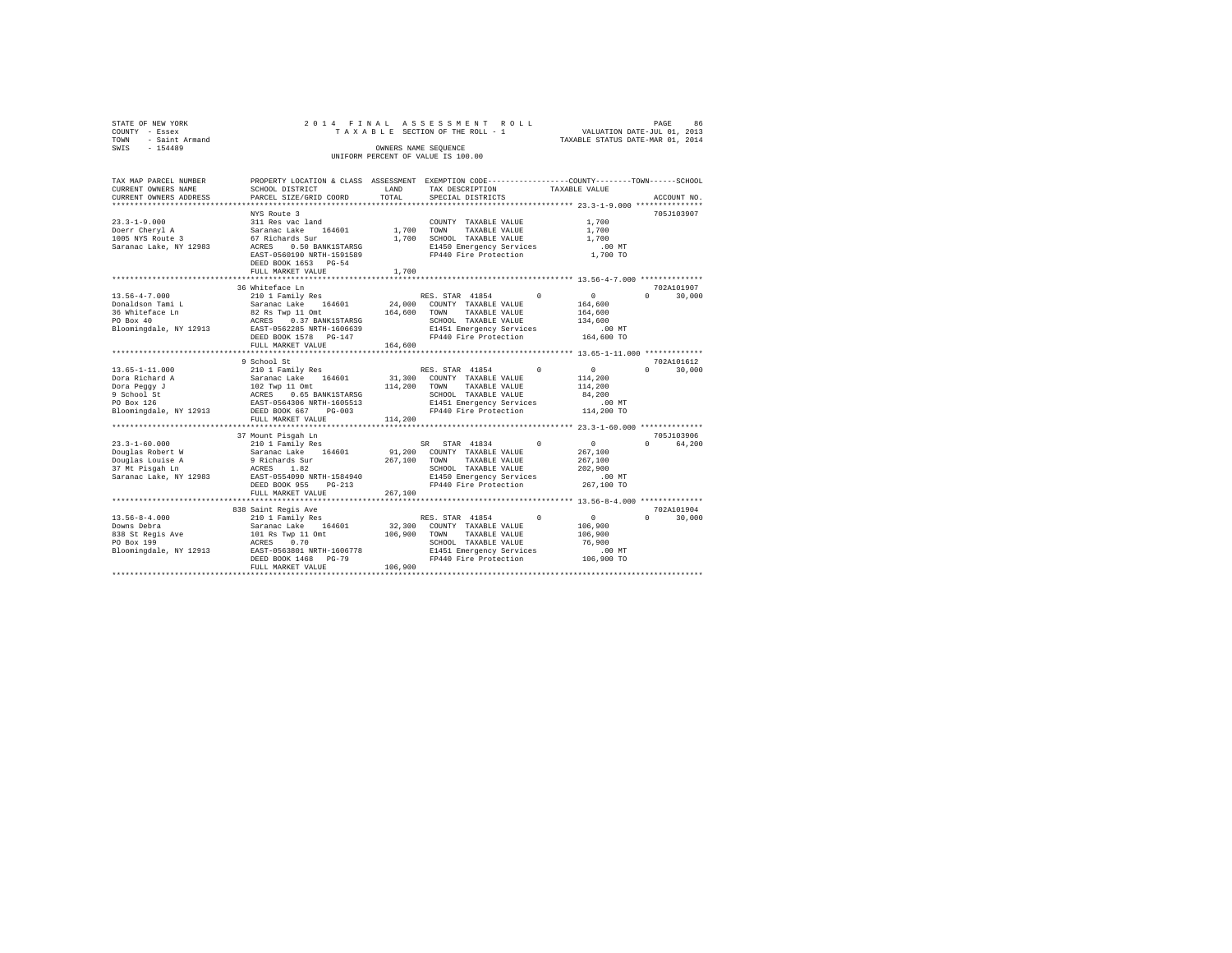| STATE OF NEW YORK<br>COUNTY - Essex | 2014 FINAL                                                                            |            | ASSESSMENT ROLL<br>TAXABLE SECTION OF THE ROLL - 1                                                                                                                                                                                     | VALUATION DATE-JUL 01, 2013      | PAGE<br>86                  |
|-------------------------------------|---------------------------------------------------------------------------------------|------------|----------------------------------------------------------------------------------------------------------------------------------------------------------------------------------------------------------------------------------------|----------------------------------|-----------------------------|
| TOWN - Saint Armand                 |                                                                                       |            |                                                                                                                                                                                                                                        | TAXABLE STATUS DATE-MAR 01, 2014 |                             |
| SWIS<br>$-154489$                   |                                                                                       |            | OWNERS NAME SEQUENCE                                                                                                                                                                                                                   |                                  |                             |
|                                     |                                                                                       |            | UNIFORM PERCENT OF VALUE IS 100.00                                                                                                                                                                                                     |                                  |                             |
|                                     |                                                                                       |            |                                                                                                                                                                                                                                        |                                  |                             |
| TAX MAP PARCEL NUMBER               |                                                                                       |            | PROPERTY LOCATION & CLASS ASSESSMENT EXEMPTION CODE---------------COUNTY-------TOWN------SCHOOL                                                                                                                                        |                                  |                             |
| CURRENT OWNERS NAME                 | SCHOOL DISTRICT                                                                       | LAND       | TAX DESCRIPTION                                                                                                                                                                                                                        | TAXABLE VALUE                    |                             |
| CURRENT OWNERS ADDRESS              | PARCEL SIZE/GRID COORD                                                                | TOTAL      | SPECIAL DISTRICTS                                                                                                                                                                                                                      |                                  | ACCOUNT NO.                 |
|                                     |                                                                                       |            |                                                                                                                                                                                                                                        |                                  |                             |
|                                     | NYS Route 3                                                                           |            |                                                                                                                                                                                                                                        |                                  | 705J103907                  |
| $23.3 - 1 - 9.000$                  | 311 Res vac land                                                                      |            | COUNTY TAXABLE VALUE                                                                                                                                                                                                                   | 1,700                            |                             |
| Doerr Cheryl A                      | Saranac Lake 164601                                                                   | 1,700 TOWN | TAXABLE VALUE                                                                                                                                                                                                                          | 1,700                            |                             |
| 1005 NYS Route 3                    | 67 Richards Sur                                                                       |            | 1,700 SCHOOL TAXABLE VALUE                                                                                                                                                                                                             | 1,700                            |                             |
| Saranac Lake, NY 12983              | ACRES 0.50 BANK1STARSG                                                                |            | E1450 Emergency Services                                                                                                                                                                                                               | $.00$ MT                         |                             |
|                                     | EAST-0560190 NRTH-1591589                                                             |            | FP440 Fire Protection                                                                                                                                                                                                                  | 1,700 TO                         |                             |
|                                     | DEED BOOK 1653 PG-54                                                                  |            |                                                                                                                                                                                                                                        |                                  |                             |
|                                     | FULL MARKET VALUE                                                                     | 1,700      |                                                                                                                                                                                                                                        |                                  |                             |
|                                     |                                                                                       |            |                                                                                                                                                                                                                                        |                                  |                             |
|                                     | 36 Whiteface Ln                                                                       |            |                                                                                                                                                                                                                                        |                                  | 702A101907                  |
| $13.56 - 4 - 7.000$                 | $210$ 1 Family Res                                                                    |            | RES. STAR 41854 0                                                                                                                                                                                                                      | $\sim$ 0                         | $\Omega$<br>30,000          |
| Donaldson Tami L                    | Saranac Lake 164601                                                                   |            | 24,000 COUNTY TAXABLE VALUE                                                                                                                                                                                                            | 164,600                          |                             |
|                                     | سمیسم سمیت سمیت سال 24,000 کاری 164,600<br>PO Box 40 164,600 ACRES 2.37 RANK1,572.043 |            | TAXABLE VALUE<br>TOWN                                                                                                                                                                                                                  | 164,600                          |                             |
|                                     | EAST-0562285 NRTH-1606639                                                             |            | SCHOOL TAXABLE VALUE                                                                                                                                                                                                                   | 134,600                          |                             |
| Bloomingdale, NY 12913              | DEED BOOK 1578 PG-147                                                                 |            | E1451 Emergency Services 6.00 MT<br>FP440 Fire Protection 164,600 TO                                                                                                                                                                   |                                  |                             |
|                                     | FULL MARKET VALUE                                                                     | 164,600    |                                                                                                                                                                                                                                        |                                  |                             |
|                                     |                                                                                       |            |                                                                                                                                                                                                                                        |                                  |                             |
|                                     | 9 School St                                                                           |            |                                                                                                                                                                                                                                        |                                  | 702A101612                  |
| $13.65 - 1 - 11.000$                | 210 1 Family Res                                                                      |            | RES. STAR 41854<br>$\circ$                                                                                                                                                                                                             | $\sim$ 0                         | $\Omega$<br>30,000          |
| Dora Richard A                      |                                                                                       |            |                                                                                                                                                                                                                                        |                                  |                             |
| Dora Peggy J                        |                                                                                       |            |                                                                                                                                                                                                                                        |                                  |                             |
| 9 School St                         |                                                                                       |            | 210 1 Family Res 2010 1 COUNTY TAXABLE VALUE 114,200<br>102 Twp 11 Omt 114,200 70WN TAXABLE VALUE 114,200<br>202 Twp 11 Omt 114,200 70WN TAXABLE VALUE 114,200<br>202 RCRES 0.65 BANK1STARSG 2010 ENGLE PRESS 100 NT<br>2010 EAST-0564 |                                  |                             |
| PO Box 126                          |                                                                                       |            |                                                                                                                                                                                                                                        |                                  |                             |
| Bloomingdale, NY 12913              | DEED BOOK 667 PG-003                                                                  |            |                                                                                                                                                                                                                                        |                                  |                             |
|                                     | FULL MARKET VALUE                                                                     | 114,200    |                                                                                                                                                                                                                                        |                                  |                             |
|                                     |                                                                                       |            |                                                                                                                                                                                                                                        |                                  |                             |
|                                     |                                                                                       |            |                                                                                                                                                                                                                                        |                                  | 705J103906                  |
| $23.3 - 1 - 60.000$                 | 37 Mount Pisgah Ln<br>210 1 Family Res                                                |            | SR STAR 41834<br>$\Omega$                                                                                                                                                                                                              | $\sim$ 0                         | 0 64,200                    |
| Douglas Robert W                    | Saranac Lake 164601                                                                   |            | 91,200 COUNTY TAXABLE VALUE                                                                                                                                                                                                            | 267,100                          |                             |
| Douglas Louise A                    | 9 Richards Sur                                                                        | 267,100    | TOWN<br>TAXABLE VALUE                                                                                                                                                                                                                  | 267,100                          |                             |
| 37 Mt Pisgah Ln                     | ACRES 1.82                                                                            |            | SCHOOL TAXABLE VALUE                                                                                                                                                                                                                   | 202,900                          |                             |
| Saranac Lake, NY 12983              | EAST-0554090 NRTH-1584940                                                             |            | E1450 Emergency Services .00 MT<br>FP440 Fire Protection 267,100 TO                                                                                                                                                                    |                                  |                             |
|                                     | DEED BOOK 955 PG-213                                                                  |            |                                                                                                                                                                                                                                        |                                  |                             |
|                                     | FULL MARKET VALUE                                                                     | 267,100    |                                                                                                                                                                                                                                        |                                  |                             |
|                                     |                                                                                       |            |                                                                                                                                                                                                                                        |                                  |                             |
|                                     | 838 Saint Regis Ave                                                                   |            |                                                                                                                                                                                                                                        |                                  | 702A101904                  |
| $13.56 - 8 - 4.000$                 | 210 1 Family Res                                                                      |            | RES. STAR 41854<br>$\Omega$                                                                                                                                                                                                            | $\sim$ 0                         | $0 \qquad \qquad$<br>30,000 |
| Downs Debra                         | Saranac Lake 164601                                                                   | 32,300     | COUNTY TAXABLE VALUE                                                                                                                                                                                                                   | 106,900                          |                             |
| 838 St Regis Ave                    | 101 Rs Twp 11 Omt                                                                     | 106,900    | TOWN TAXABLE VALUE                                                                                                                                                                                                                     | 106,900                          |                             |
| PO Box 199                          | ACRES 0.70                                                                            |            | SCHOOL TAXABLE VALUE                                                                                                                                                                                                                   | 76,900                           |                             |
| Bloomingdale, NY 12913              | EAST-0563801 NRTH-1606778                                                             |            | E1451 Emergency Services                                                                                                                                                                                                               | $.00$ MT                         |                             |
|                                     | DEED BOOK 1468 PG-79                                                                  |            | FP440 Fire Protection                                                                                                                                                                                                                  | 106,900 TO                       |                             |
|                                     | FULL MARKET VALUE                                                                     | 106,900    |                                                                                                                                                                                                                                        |                                  |                             |
|                                     |                                                                                       |            |                                                                                                                                                                                                                                        |                                  |                             |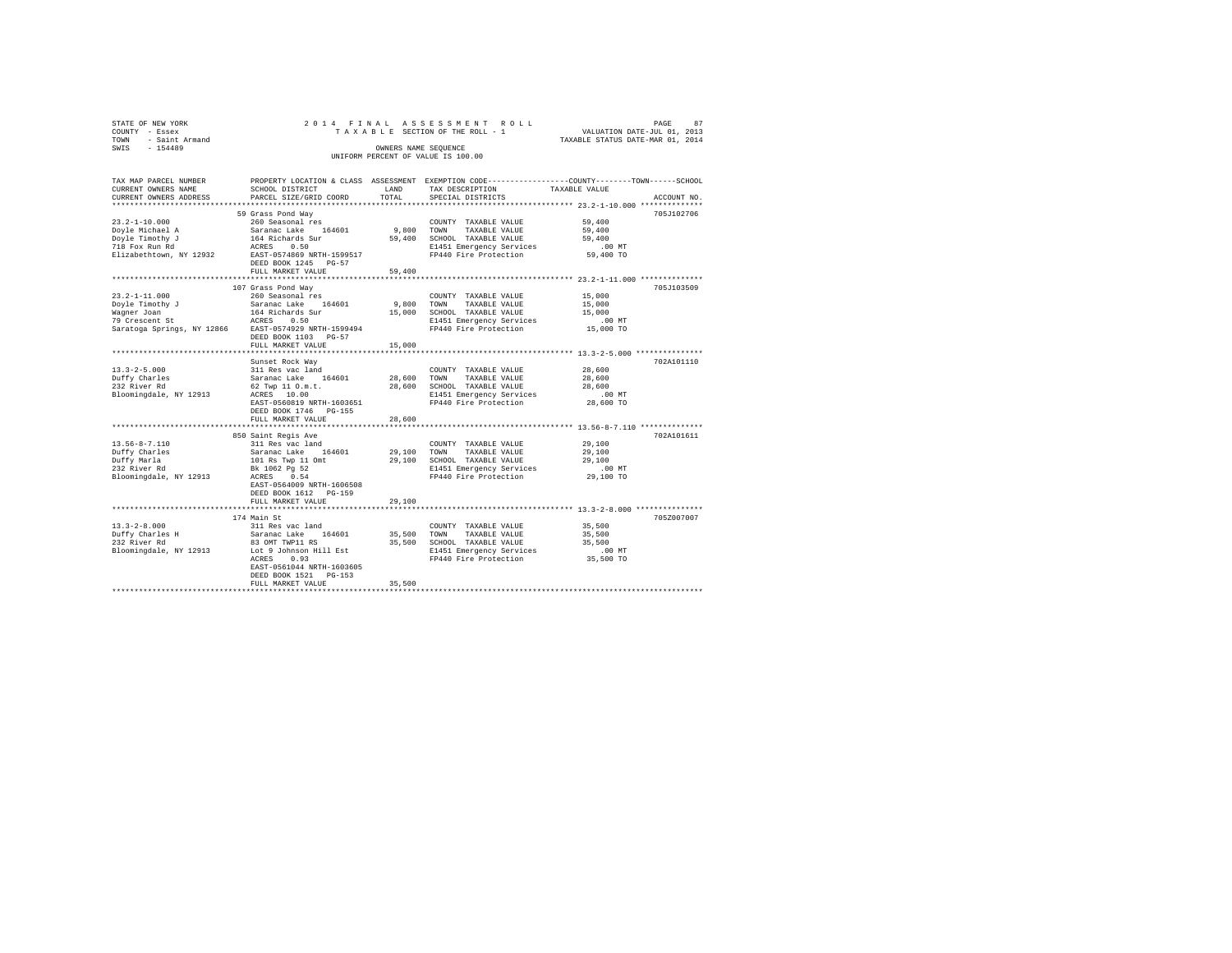| STATE OF NEW YORK   | 2014 FINAL ASSESSMENT ROLL         | 87<br>PAGE                       |
|---------------------|------------------------------------|----------------------------------|
| COUNTY - Essex      | TAXABLE SECTION OF THE ROLL - 1    | VALUATION DATE-JUL 01, 2013      |
| TOWN - Saint Armand |                                    | TAXABLE STATUS DATE-MAR 01, 2014 |
| SWIS<br>$-154489$   | OWNERS NAME SEOUENCE               |                                  |
|                     | UNIFORM PERCENT OF VALUE IS 100.00 |                                  |
|                     |                                    |                                  |
|                     |                                    |                                  |

| TAX MAP PARCEL NUMBER           |                                 |                | PROPERTY LOCATION & CLASS ASSESSMENT EXEMPTION CODE----------------COUNTY-------TOWN-----SCHOOL |                  |             |
|---------------------------------|---------------------------------|----------------|-------------------------------------------------------------------------------------------------|------------------|-------------|
| CURRENT OWNERS NAME             | SCHOOL DISTRICT                 | LAND           | TAX DESCRIPTION                                                                                 | TAXABLE VALUE    |             |
| CURRENT OWNERS ADDRESS          | PARCEL SIZE/GRID COORD          | TOTAL          | SPECIAL DISTRICTS                                                                               |                  | ACCOUNT NO. |
|                                 |                                 |                |                                                                                                 |                  |             |
|                                 | 59 Grass Pond Way               |                |                                                                                                 |                  | 705J102706  |
| $23.2 - 1 - 10.000$             | 260 Seasonal res                |                | COUNTY TAXABLE VALUE                                                                            | 59,400           |             |
| Doyle Michael A                 | Saranac Lake 164601             | 9,800          | TOWN<br>TAXABLE VALUE                                                                           | 59,400           |             |
| Doyle Timothy J                 | 164 Richards Sur                |                | 59,400 SCHOOL TAXABLE VALUE                                                                     | 59,400           |             |
| 718 Fox Run Rd                  | ACRES<br>0.50                   |                | E1451 Emergency Services                                                                        | $.00$ MT         |             |
| Elizabethtown, NY 12932         | EAST-0574869 NRTH-1599517       |                | FP440 Fire Protection                                                                           | 59,400 TO        |             |
|                                 | DEED BOOK 1245 PG-57            |                |                                                                                                 |                  |             |
|                                 | FULL MARKET VALUE               | 59,400         |                                                                                                 |                  |             |
|                                 | *****************************   | ************** | *********************************** 23.2-1-11.000 ***************                               |                  |             |
|                                 | 107 Grass Pond Way              |                |                                                                                                 |                  | 705J103509  |
| $23.2 - 1 - 11.000$             | 260 Seasonal res                |                | COUNTY TAXABLE VALUE                                                                            | 15,000           |             |
| Doyle Timothy J                 | Saranac Lake 164601             | 9,800          | TOWN<br>TAXABLE VALUE                                                                           | 15,000           |             |
|                                 | 164 Richards Sur                | 15,000         | SCHOOL TAXABLE VALUE                                                                            | 15,000           |             |
| Waqner Joan                     |                                 |                |                                                                                                 |                  |             |
| 79 Crescent St                  | 0.50<br>ACRES                   |                | E1451 Emergency Services                                                                        | $.00$ MT         |             |
| Saratoga Springs, NY 12866      | EAST-0574929 NRTH-1599494       |                | FP440 Fire Protection                                                                           | 15,000 TO        |             |
|                                 | DEED BOOK 1103 PG-57            |                |                                                                                                 |                  |             |
|                                 | FULL MARKET VALUE               | 15,000         |                                                                                                 |                  |             |
|                                 |                                 |                |                                                                                                 |                  |             |
|                                 | Sunset Rock Way                 |                |                                                                                                 |                  | 702A101110  |
| $13.3 - 2 - 5.000$              | 311 Res vac land                |                | COUNTY TAXABLE VALUE                                                                            | 28,600           |             |
| Duffy Charles                   | Saranac Lake 164601             | 28,600 TOWN    | TAXABLE VALUE                                                                                   | 28,600           |             |
| 232 River Rd                    | 62 Twp 11 O.m.t.                |                | 28,600 SCHOOL TAXABLE VALUE                                                                     | 28,600           |             |
| Bloomingdale, NY 12913          | ACRES 10.00                     |                | E1451 Emergency Services                                                                        | $.00$ MT         |             |
|                                 | EAST-0560819 NRTH-1603651       |                | FP440 Fire Protection                                                                           | 28,600 TO        |             |
|                                 | DEED BOOK 1746 PG-155           |                |                                                                                                 |                  |             |
|                                 | FULL MARKET VALUE               | 28,600         |                                                                                                 |                  |             |
|                                 |                                 | .              | ***************************** 13.56-8-7.110 ***************                                     |                  |             |
|                                 | 850 Saint Regis Ave             |                |                                                                                                 |                  | 702A101611  |
| $13.56 - 8 - 7.110$             | 311 Res vac land                |                | COUNTY TAXABLE VALUE                                                                            | 29,100           |             |
| Duffy Charles                   | Saranac Lake 164601             | 29,100 TOWN    | TAXABLE VALUE                                                                                   | 29,100           |             |
| Duffy Marla                     | 101 Rs Twp 11 Omt               |                | 29,100 SCHOOL TAXABLE VALUE                                                                     | 29,100           |             |
| 232 River Rd                    | Bk 1062 Pg 52                   |                | E1451 Emergency Services                                                                        | .00MT            |             |
| Bloomingdale, NY 12913          | ACRES 0.54                      |                | FP440 Fire Protection                                                                           | 29,100 TO        |             |
|                                 | EAST-0564009 NRTH-1606508       |                |                                                                                                 |                  |             |
|                                 | DEED BOOK 1612 PG-159           |                |                                                                                                 |                  |             |
|                                 | FULL MARKET VALUE               | 29,100         |                                                                                                 |                  |             |
|                                 |                                 |                |                                                                                                 |                  |             |
|                                 | 174 Main St                     |                |                                                                                                 |                  | 705Z007007  |
| $13.3 - 2 - 8.000$              | 311 Res vac land                |                | COUNTY TAXABLE VALUE                                                                            | 35,500           |             |
|                                 | 164601                          |                |                                                                                                 |                  |             |
| Duffy Charles H<br>232 River Rd | Saranac Lake<br>83 OMT TWP11 RS |                | 35,500 TOWN<br>TAXABLE VALUE<br>35,500 SCHOOL TAXABLE VALUE                                     | 35,500<br>35,500 |             |
|                                 |                                 |                |                                                                                                 |                  |             |
| Bloomingdale, NY 12913          | Lot 9 Johnson Hill Est          |                | E1451 Emergency Services                                                                        | $.00$ MT         |             |
|                                 | ACRES<br>0.93                   |                | FP440 Fire Protection                                                                           | 35,500 TO        |             |
|                                 | EAST-0561044 NRTH-1603605       |                |                                                                                                 |                  |             |
|                                 | DEED BOOK 1521 PG-153           |                |                                                                                                 |                  |             |
|                                 | FULL MARKET VALUE               | 35,500         |                                                                                                 |                  |             |
|                                 |                                 |                |                                                                                                 |                  |             |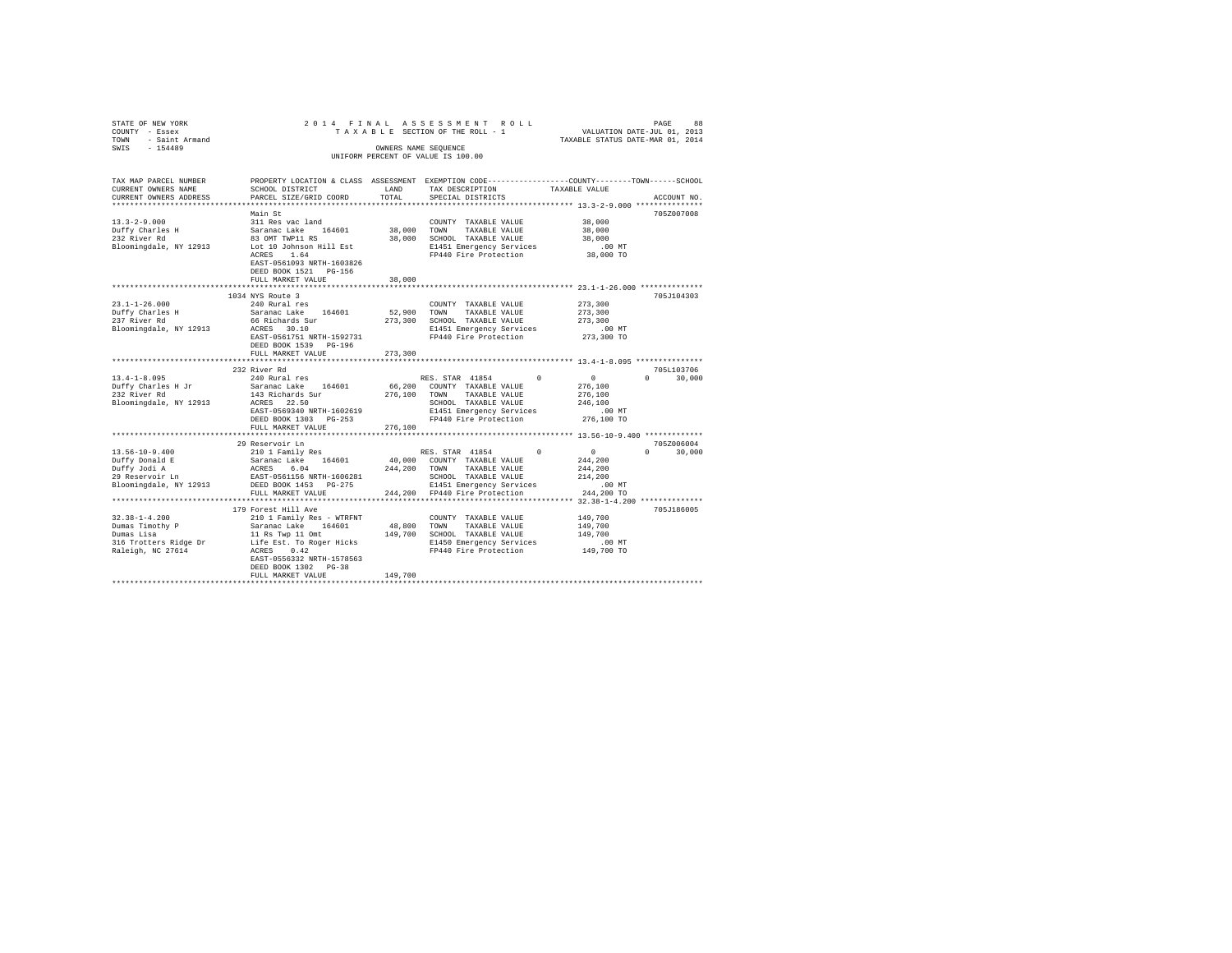| STATE OF NEW YORK                            | 2014 FINAL                                      |                           | ASSESSMENT ROLL                                                                                 |                                  | PAGE<br>88                      |
|----------------------------------------------|-------------------------------------------------|---------------------------|-------------------------------------------------------------------------------------------------|----------------------------------|---------------------------------|
| COUNTY - Essex                               |                                                 |                           | TAXABLE SECTION OF THE ROLL - 1                                                                 | VALUATION DATE-JUL 01, 2013      |                                 |
| - Saint Armand<br>TOWN                       |                                                 |                           |                                                                                                 | TAXABLE STATUS DATE-MAR 01, 2014 |                                 |
| SWIS<br>$-154489$                            |                                                 |                           | OWNERS NAME SEQUENCE                                                                            |                                  |                                 |
|                                              |                                                 |                           | UNIFORM PERCENT OF VALUE IS 100.00                                                              |                                  |                                 |
|                                              |                                                 |                           |                                                                                                 |                                  |                                 |
|                                              |                                                 |                           |                                                                                                 |                                  |                                 |
| TAX MAP PARCEL NUMBER                        |                                                 |                           | PROPERTY LOCATION & CLASS ASSESSMENT EXEMPTION CODE----------------COUNTY-------TOWN-----SCHOOL |                                  |                                 |
| CURRENT OWNERS NAME                          | SCHOOL DISTRICT                                 | LAND                      | TAX DESCRIPTION                                                                                 | TAXABLE VALUE                    |                                 |
| CURRENT OWNERS ADDRESS                       | PARCEL SIZE/GRID COORD                          | TOTAL                     | SPECIAL DISTRICTS                                                                               |                                  | ACCOUNT NO.                     |
|                                              |                                                 |                           |                                                                                                 |                                  |                                 |
|                                              | Main St                                         |                           |                                                                                                 |                                  | 705Z007008                      |
| $13.3 - 2 - 9.000$                           | 311 Res vac land                                |                           | COUNTY TAXABLE VALUE                                                                            | 38,000                           |                                 |
| Duffy Charles H                              | Saranac Lake 164601                             | 38,000 TOWN               | TAXABLE VALUE                                                                                   | 38,000                           |                                 |
| 232 River Rd                                 | 83 OMT TWP11 RS                                 |                           | 38,000 SCHOOL TAXABLE VALUE                                                                     | 38,000                           |                                 |
| Bloomingdale, NY 12913                       | Lot 10 Johnson Hill Est                         |                           | E1451 Emergency Services                                                                        | $.00$ MT                         |                                 |
|                                              | 1.64<br>ACRES                                   |                           | FP440 Fire Protection                                                                           | 38,000 TO                        |                                 |
|                                              | EAST-0561093 NRTH-1603826                       |                           |                                                                                                 |                                  |                                 |
|                                              | DEED BOOK 1521 PG-156                           |                           |                                                                                                 |                                  |                                 |
|                                              |                                                 |                           |                                                                                                 |                                  |                                 |
|                                              | FULL MARKET VALUE<br>************************** | 38,000<br>*************** | *********************************** 23.1-1-26.000 ***************                               |                                  |                                 |
|                                              |                                                 |                           |                                                                                                 |                                  |                                 |
|                                              | 1034 NYS Route 3                                |                           |                                                                                                 |                                  | 705J104303                      |
| $23.1 - 1 - 26.000$                          | 240 Rural res                                   |                           | COUNTY TAXABLE VALUE                                                                            | 273,300                          |                                 |
| Duffy Charles H                              | Saranac Lake 164601                             |                           | 52,900 TOWN TAXABLE VALUE                                                                       | 273,300                          |                                 |
| 237 River Rd                                 | 66 Richards Sur                                 |                           | 273,300 SCHOOL TAXABLE VALUE                                                                    | 273,300                          |                                 |
| Bloomingdale, NY 12913                       | ACRES 30.10                                     |                           | E1451 Emergency Services                                                                        | $.00$ MT                         |                                 |
|                                              | EAST-0561751 NRTH-1592731                       |                           | FP440 Fire Protection                                                                           | 273,300 TO                       |                                 |
|                                              | DEED BOOK 1539 PG-196                           |                           |                                                                                                 |                                  |                                 |
|                                              | FULL MARKET VALUE                               | 273,300                   |                                                                                                 |                                  |                                 |
|                                              |                                                 |                           |                                                                                                 |                                  |                                 |
|                                              | 232 River Rd                                    |                           |                                                                                                 |                                  | 705L103706                      |
| $13.4 - 1 - 8.095$                           | 240 Rural res                                   |                           | RES. STAR 41854<br>$\Omega$                                                                     | $\sim$ 0                         | 30,000<br>$\Omega$ and $\Omega$ |
| Duffy Charles H Jr                           | Saranac Lake 164601                             |                           | 66,200 COUNTY TAXABLE VALUE                                                                     | 276,100                          |                                 |
| 232 River Rd                                 | 143 Richards Sur                                |                           | 276,100 TOWN TAXABLE VALUE                                                                      | 276,100                          |                                 |
| Bloomingdale, NY 12913                       | ACRES 22.50                                     |                           | SCHOOL TAXABLE VALUE                                                                            | 246,100                          |                                 |
|                                              | EAST-0569340 NRTH-1602619                       |                           | E1451 Emergency Services                                                                        | $.00$ MT                         |                                 |
|                                              | DEED BOOK 1303 PG-253                           |                           | FP440 Fire Protection                                                                           | 276,100 TO                       |                                 |
|                                              | FULL MARKET VALUE                               | 276,100                   |                                                                                                 |                                  |                                 |
|                                              |                                                 |                           |                                                                                                 |                                  |                                 |
|                                              | 29 Reservoir Ln                                 |                           |                                                                                                 |                                  | 705Z006004                      |
| $13.56 - 10 - 9.400$                         | 210 1 Family Res                                |                           | RES. STAR 41854<br>$\Omega$                                                                     | $\Omega$                         | $\Omega$ and $\Omega$<br>30,000 |
| Duffy Donald E                               | Saranac Lake 164601                             |                           | 40,000 COUNTY TAXABLE VALUE                                                                     | 244,200                          |                                 |
| Duffy Jodi A                                 | ACRES 6.04                                      |                           | 244,200 TOWN TAXABLE VALUE                                                                      | 244,200                          |                                 |
| 29 Reservoir Ln                              | EAST-0561156 NRTH-1606281                       |                           | SCHOOL TAXABLE VALUE                                                                            | 214,200                          |                                 |
| Bloomingdale, NY 12913 DEED BOOK 1453 PG-275 |                                                 |                           |                                                                                                 |                                  |                                 |
|                                              | FULL MARKET VALUE                               |                           | E1451 Emergency Services                                                                        | $.00$ MT                         |                                 |
|                                              |                                                 |                           | 244,200 FP440 Fire Protection                                                                   | 244,200 TO                       |                                 |
|                                              |                                                 |                           |                                                                                                 |                                  |                                 |
|                                              | 179 Forest Hill Ave                             |                           |                                                                                                 |                                  | 705J186005                      |
| $32.38 - 1 - 4.200$                          | 210 1 Family Res - WTRFNT                       |                           | COUNTY TAXABLE VALUE                                                                            | 149,700                          |                                 |
| Dumas Timothy P<br>Dumas Lisa                | Saranac Lake 164601                             | 48,800 TOWN               | TAXABLE VALUE                                                                                   | 149,700                          |                                 |
|                                              | 11 Rs Twp 11 Omt                                |                           | 149,700 SCHOOL TAXABLE VALUE                                                                    | 149,700                          |                                 |
| 316 Trotters Ridge Dr                        | Life Est. To Roger Hicks                        |                           | E1450 Emergency Services                                                                        | $.00$ MT                         |                                 |
| Raleigh, NC 27614                            | ACRES 0.42                                      |                           | FP440 Fire Protection                                                                           | 149,700 TO                       |                                 |
|                                              | EAST-0556332 NRTH-1578563                       |                           |                                                                                                 |                                  |                                 |
|                                              | DEED BOOK 1302 PG-38                            |                           |                                                                                                 |                                  |                                 |
|                                              | FULL MARKET VALUE                               | 149,700                   |                                                                                                 |                                  |                                 |
|                                              |                                                 |                           |                                                                                                 |                                  |                                 |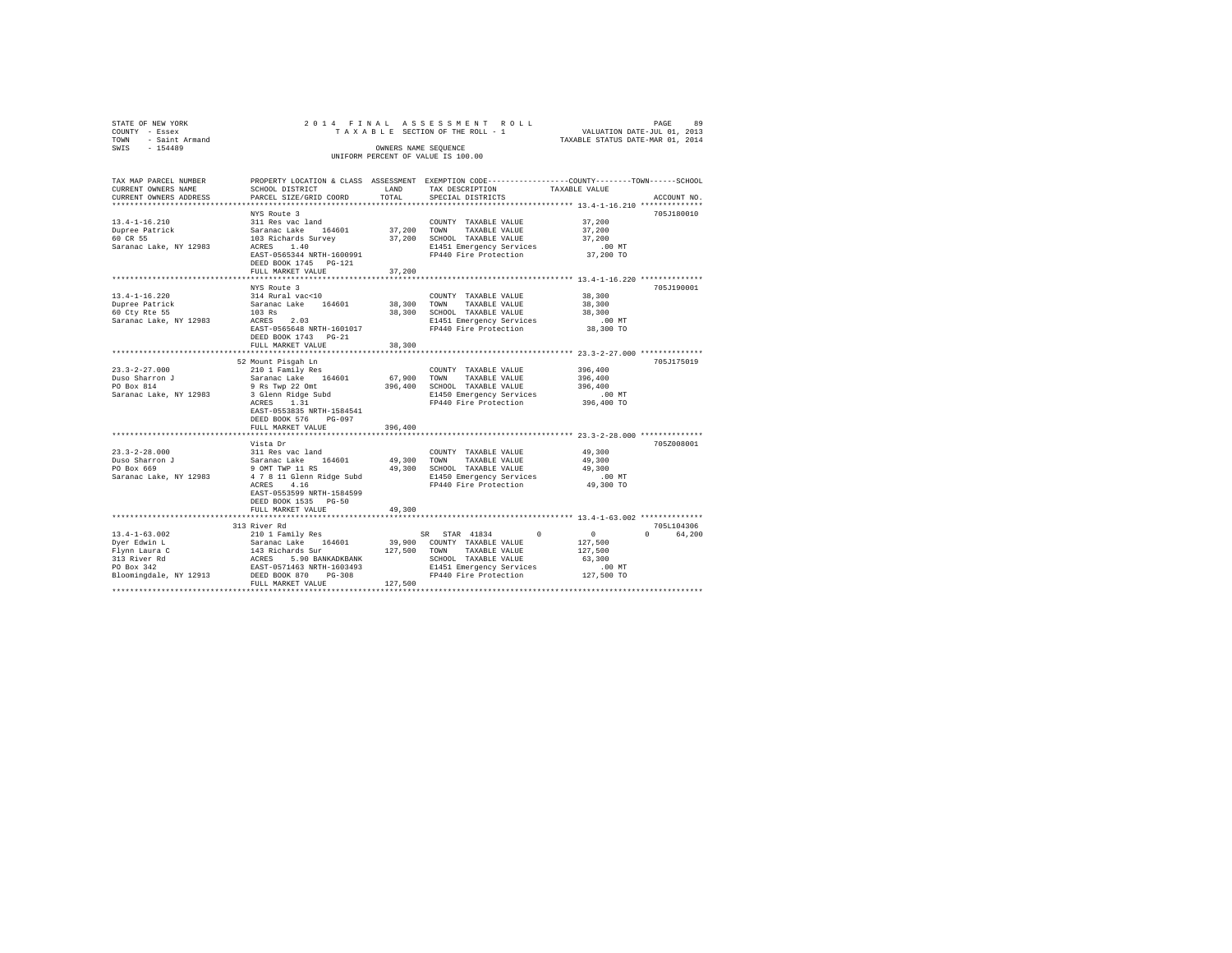| STATE OF NEW YORK<br>COUNTY - Essex<br>TOWN - Saint Armand<br>SWIS - 154489                                                                                                                     |                                                                                                                                                                                                   |               | 2014 FINAL ASSESSMENT ROLL<br>TAXABLE SECTION OF THE ROLL - 1 VALUATION DATE-JUL 01, 2013<br>OWNERS NAME SEQUENCE<br>UNIFORM PERCENT OF VALUE IS 100.00 | TAXABLE STATUS DATE-MAR 01, 2014                      | PAGE<br>89  |
|-------------------------------------------------------------------------------------------------------------------------------------------------------------------------------------------------|---------------------------------------------------------------------------------------------------------------------------------------------------------------------------------------------------|---------------|---------------------------------------------------------------------------------------------------------------------------------------------------------|-------------------------------------------------------|-------------|
| TAX MAP PARCEL NUMBER THE PROPERTY LOCATION & CLASS ASSESSMENT EXEMPTION CODE-------------COUNTY-------TOWN------SCHOOL<br>CURRENT OWNERS NAME<br>CURRENT OWNERS ADDRESS PARCEL SIZE/GRID COORD | SCHOOL DISTRICT                                                                                                                                                                                   | LAND<br>TOTAL | TAX DESCRIPTION<br>SPECIAL DISTRICTS                                                                                                                    | TAXABLE VALUE                                         | ACCOUNT NO. |
|                                                                                                                                                                                                 |                                                                                                                                                                                                   |               | *************************** 13.4-1-16.210 *************                                                                                                 |                                                       |             |
|                                                                                                                                                                                                 | NYS Route 3                                                                                                                                                                                       |               |                                                                                                                                                         |                                                       | 705J180010  |
| 13.4-1-16.210                                                                                                                                                                                   | 311 Res vac land                                                                                                                                                                                  |               | COUNTY TAXABLE VALUE                                                                                                                                    | 37,200                                                |             |
| Dupree Patrick<br>60 CR 55                                                                                                                                                                      | Saranac Lake 164601 37,200 TOWN TAXABLE VALUE                                                                                                                                                     |               |                                                                                                                                                         | 37,200                                                |             |
|                                                                                                                                                                                                 | 103 Richards Survey<br>ACRES 1.40                                                                                                                                                                 |               | 37,200 SCHOOL TAXABLE VALUE                                                                                                                             | 37,200                                                |             |
| Saranac Lake, NY 12983                                                                                                                                                                          |                                                                                                                                                                                                   |               | E1451 Emergency Services<br>FP440 Fire Protection                                                                                                       | $.00$ MT                                              |             |
|                                                                                                                                                                                                 | EAST-0565344 NRTH-1600991                                                                                                                                                                         |               |                                                                                                                                                         | 37,200 TO                                             |             |
|                                                                                                                                                                                                 | DEED BOOK 1745   PG-121<br>FULL MARKET VALUE                                                                                                                                                      | 37,200        |                                                                                                                                                         |                                                       |             |
|                                                                                                                                                                                                 |                                                                                                                                                                                                   |               |                                                                                                                                                         |                                                       |             |
|                                                                                                                                                                                                 | NYS Route 3                                                                                                                                                                                       |               |                                                                                                                                                         |                                                       | 705J190001  |
| $13.4 - 1 - 16.220$                                                                                                                                                                             | 314 Rural vac<10                                                                                                                                                                                  |               | COUNTY TAXABLE VALUE                                                                                                                                    | 38,300                                                |             |
|                                                                                                                                                                                                 | Saranac Lake 164601                                                                                                                                                                               |               | 38,300 TOWN TAXABLE VALUE                                                                                                                               | 38,300                                                |             |
| Dupree Patrick<br>60 Cty Rte 55                                                                                                                                                                 |                                                                                                                                                                                                   |               | 38,300 SCHOOL TAXABLE VALUE                                                                                                                             | 38,300                                                |             |
| Saranac Lake, NY 12983                                                                                                                                                                          | $103$ Rs<br>ACRES 2.03                                                                                                                                                                            |               | E1451 Emergency Services                                                                                                                                | $.00$ MT                                              |             |
|                                                                                                                                                                                                 | EAST-0565648 NRTH-1601017                                                                                                                                                                         |               | FP440 Fire Protection                                                                                                                                   | 38,300 TO                                             |             |
|                                                                                                                                                                                                 | DEED BOOK 1743 PG-21                                                                                                                                                                              |               |                                                                                                                                                         |                                                       |             |
|                                                                                                                                                                                                 | FULL MARKET VALUE                                                                                                                                                                                 | 38,300        |                                                                                                                                                         |                                                       |             |
|                                                                                                                                                                                                 |                                                                                                                                                                                                   |               |                                                                                                                                                         |                                                       |             |
|                                                                                                                                                                                                 | 52 Mount Pisgah Ln                                                                                                                                                                                |               |                                                                                                                                                         |                                                       | 705J175019  |
| $23.3 - 2 - 27.000$<br>Duso Sharron J                                                                                                                                                           | 210 1 Family Res<br>Saranac Lake 164601                                                                                                                                                           |               | COUNTY TAXABLE VALUE                                                                                                                                    | 396,400<br>396,400                                    |             |
| PO Box 814                                                                                                                                                                                      | 9 Rs Twp 22 Omt                                                                                                                                                                                   |               | 67,900 TOWN TAXABLE VALUE<br>396,400 SCHOOL TAXABLE VALUE                                                                                               | 396,400                                               |             |
| Saranac Lake, NY 12983                                                                                                                                                                          |                                                                                                                                                                                                   |               |                                                                                                                                                         | .00MT                                                 |             |
|                                                                                                                                                                                                 | 3 Glenn Ridge Subd<br>ACRES 1.31                                                                                                                                                                  |               | E1450 Emergency Services<br>FP440 Fire Protection                                                                                                       | 396,400 TO                                            |             |
|                                                                                                                                                                                                 | EAST-0553835 NRTH-1584541                                                                                                                                                                         |               |                                                                                                                                                         |                                                       |             |
|                                                                                                                                                                                                 | DEED BOOK 576 PG-097                                                                                                                                                                              |               |                                                                                                                                                         |                                                       |             |
|                                                                                                                                                                                                 | FULL MARKET VALUE                                                                                                                                                                                 | 396,400       |                                                                                                                                                         |                                                       |             |
|                                                                                                                                                                                                 | Vista Dr                                                                                                                                                                                          |               |                                                                                                                                                         |                                                       | 705Z008001  |
| $23.3 - 2 - 28.000$                                                                                                                                                                             | 311 Res vac land                                                                                                                                                                                  |               | COUNTY TAXABLE VALUE                                                                                                                                    | 49,300                                                |             |
|                                                                                                                                                                                                 | Saranac Lake 164601                                                                                                                                                                               |               | 49,300 TOWN TAXABLE VALUE                                                                                                                               | 49,300                                                |             |
| Duso Sharron J<br>PO Box 669                                                                                                                                                                    |                                                                                                                                                                                                   |               |                                                                                                                                                         | 49,300                                                |             |
| Saranac Lake, NY 12983                                                                                                                                                                          | 9 OMT TWP 11 RS<br>4 7 8 11 Glenn Ridge Subd 81450 Emergency Services                                                                                                                             |               |                                                                                                                                                         | $.00$ MT                                              |             |
|                                                                                                                                                                                                 | ACRES 4.16                                                                                                                                                                                        |               | FP440 Fire Protection                                                                                                                                   | 49,300 TO                                             |             |
|                                                                                                                                                                                                 | EAST-0553599 NRTH-1584599                                                                                                                                                                         |               |                                                                                                                                                         |                                                       |             |
|                                                                                                                                                                                                 | DEED BOOK 1535 PG-50                                                                                                                                                                              |               |                                                                                                                                                         |                                                       |             |
|                                                                                                                                                                                                 | FULL MARKET VALUE                                                                                                                                                                                 | 49,300        |                                                                                                                                                         |                                                       |             |
|                                                                                                                                                                                                 |                                                                                                                                                                                                   |               |                                                                                                                                                         |                                                       |             |
|                                                                                                                                                                                                 | 313 River Rd                                                                                                                                                                                      |               |                                                                                                                                                         |                                                       | 705L104306  |
| $13.4 - 1 - 63.002$                                                                                                                                                                             | 210 1 Family Res                                                                                                                                                                                  |               | SR STAR 41834                                                                                                                                           | $\begin{matrix} 0 & \cdots & \cdots & 0 \end{matrix}$ | 0 64.200    |
| Dyer Edwin L                                                                                                                                                                                    | $\begin{array}{cccc}\n&\text{1} & \text{1} & \text{1} & \text{1} & \text{1} \\ &\text{1} & \text{1} & \text{1} & \text{1} & \text{1} & \text{1}\n\end{array}$                                     |               | 39,900 COUNTY TAXABLE VALUE                                                                                                                             | 127,500                                               |             |
|                                                                                                                                                                                                 |                                                                                                                                                                                                   |               |                                                                                                                                                         | 127,500<br>63,300                                     |             |
| Flynn Laura C<br>313 River Rd<br>PO Box 342                                                                                                                                                     |                                                                                                                                                                                                   |               |                                                                                                                                                         | $.00$ MT                                              |             |
| Bloomingdale, NY 12913                                                                                                                                                                          | 31 Richards Survey 127,500 TOWN TAXABLE VALUE<br>RCRES 5.90 BANKADKBANK SCHOOL TAXABLE VALUE<br>RAST-0571463 NRTH-1603493 B1451 EMBT-0671463 NRTH-1603493 B1451 EMBT-060493 P1440 Fire Protection |               |                                                                                                                                                         | 127,500 TO                                            |             |
|                                                                                                                                                                                                 | FULL MARKET VALUE                                                                                                                                                                                 | 127,500       |                                                                                                                                                         |                                                       |             |
|                                                                                                                                                                                                 |                                                                                                                                                                                                   |               |                                                                                                                                                         |                                                       |             |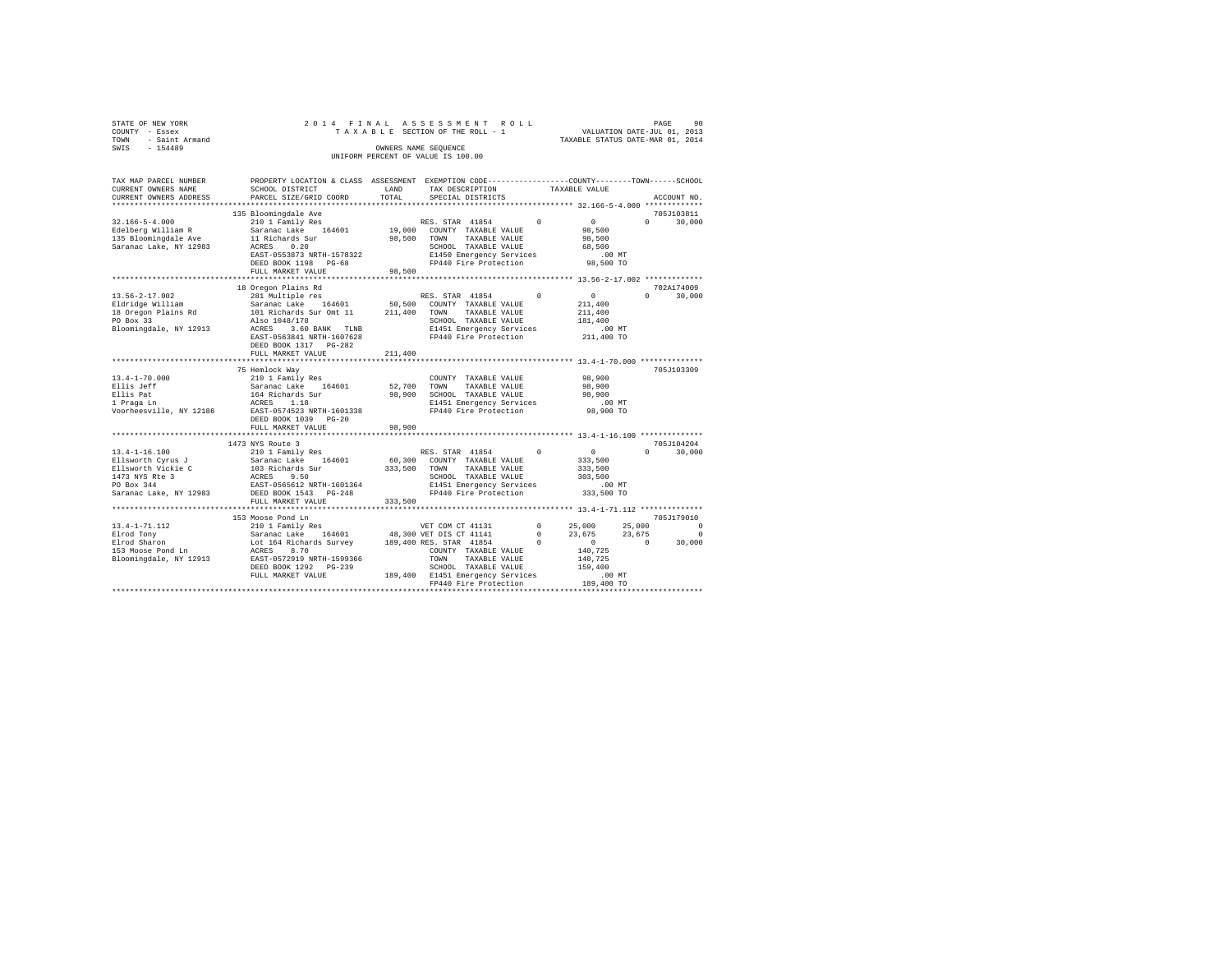| STATE OF NEW YORK      |                           |            | 2014 FINAL ASSESSMENT ROLL                                   |          |                                  | PAGE          | 90     |
|------------------------|---------------------------|------------|--------------------------------------------------------------|----------|----------------------------------|---------------|--------|
| COUNTY - Essex         |                           |            | TAXABLE SECTION OF THE ROLL - 1                              |          | VALUATION DATE-JUL 01, 2013      |               |        |
| - Saint Armand<br>TOWN |                           |            |                                                              |          | TAXABLE STATUS DATE-MAR 01, 2014 |               |        |
| SWIS<br>$-154489$      |                           |            | OWNERS NAME SEOUENCE                                         |          |                                  |               |        |
|                        |                           |            | UNIFORM PERCENT OF VALUE IS 100.00                           |          |                                  |               |        |
|                        |                           |            |                                                              |          |                                  |               |        |
|                        |                           |            |                                                              |          |                                  |               |        |
| TAX MAP PARCEL NUMBER  | PROPERTY LOCATION & CLASS | ASSESSMENT | EXEMPTION CODE-----------------COUNTY-------TOWN------SCHOOL |          |                                  |               |        |
| CURRENT OWNERS NAME    | SCHOOL DISTRICT           | LAND       | TAX DESCRIPTION                                              |          | TAXABLE VALUE                    |               |        |
| CURRENT OWNERS ADDRESS | PARCEL SIZE/GRID COORD    | TOTAL      | SPECIAL DISTRICTS                                            |          |                                  | ACCOUNT NO.   |        |
|                        |                           |            |                                                              |          |                                  | ************* |        |
|                        | 135 Bloomingdale Ave      |            |                                                              |          |                                  | 705J103811    |        |
| $32.166 - 5 - 4.000$   | 210 1 Family Res          |            | RES. STAR 41854                                              | $\Omega$ | $\mathbf{r}$                     | $\Omega$      | 30,000 |
| Edelberg William R     | Saranac Lake 164601       | 19,000     | COUNTY TAXABLE VALUE                                         |          | 98,500                           |               |        |
| 135 Bloomingdale Ave   | 11 Richards Sur           | 98,500     | TOWN<br>TAXABLE VALUE                                        |          | 98,500                           |               |        |
|                        |                           |            |                                                              |          |                                  |               |        |

| Saranac Lake, NY 12983  | 0.20<br>ACRES                                                                                  |              | SCHOOL TAXABLE VALUE                              |              | 68,500                         |          |            |
|-------------------------|------------------------------------------------------------------------------------------------|--------------|---------------------------------------------------|--------------|--------------------------------|----------|------------|
|                         | EAST-0553873 NRTH-1578322                                                                      |              | E1450 Emergency Services                          |              | $.00$ MT                       |          |            |
|                         | DEED BOOK 1198 PG-68                                                                           |              | FP440 Fire Protection                             |              | 98,500 TO                      |          |            |
|                         | FULL MARKET VALUE                                                                              | 98,500       |                                                   |              |                                |          |            |
|                         |                                                                                                |              |                                                   |              |                                |          |            |
|                         | 18 Oregon Plains Rd                                                                            |              |                                                   |              |                                |          | 702A174009 |
| $13.56 - 2 - 17.002$    | 281 Multiple res                                                                               |              | RES. STAR 41854                                   |              | $\sim$ 0                       | $\Omega$ | 30,000     |
| Eldridge William        | Saranac Lake 164601 50,500 COUNTY TAXABLE VALUE                                                |              |                                                   |              | 211,400                        |          |            |
|                         | 18 Oregon Plains Rd 101 Richards Sur Omt 11                                                    | 211,400      | TOWN<br>TAXABLE VALUE                             |              | 211,400                        |          |            |
| PO Box 33               | Also 1048/178                                                                                  |              | SCHOOL TAXABLE VALUE                              |              | 181,400                        |          |            |
| Bloomingdale, NY 12913  | ACRES 3.60 BANK TLNB                                                                           |              | E1451 Emergency Services                          |              | .00 MT                         |          |            |
|                         | EAST-0563841 NRTH-1607628                                                                      |              | FP440 Fire Protection                             |              | 211,400 TO                     |          |            |
|                         | DEED BOOK 1317 PG-282                                                                          |              |                                                   |              |                                |          |            |
|                         | FULL MARKET VALUE                                                                              | 211,400      |                                                   |              |                                |          |            |
|                         |                                                                                                |              |                                                   |              |                                |          |            |
|                         | 75 Hemlock Wav                                                                                 |              |                                                   |              |                                |          | 705J103309 |
| $13.4 - 1 - 70.000$     | 210 1 Family Res                                                                               |              | COUNTY TAXABLE VALUE                              |              | 98,900                         |          |            |
| Ellis Jeff              | Saranac Lake 164601                                                                            | 52,700 TOWN  | TAXABLE VALUE                                     |              | 98,900                         |          |            |
| Ellis Pat               | 164 Richards Sur                                                                               |              | 98,900 SCHOOL TAXABLE VALUE                       |              | 98,900                         |          |            |
| 1 Praga Ln              | ACRES 1.18<br>EAST-0574523 NRTH-1601338                                                        |              | E1451 Emergency Services                          |              | $.00$ MT                       |          |            |
| Voorheesville, NY 12186 |                                                                                                |              | FP440 Fire Protection                             |              | 98,900 TO                      |          |            |
|                         | DEED BOOK 1039 PG-20                                                                           |              |                                                   |              |                                |          |            |
|                         | FULL MARKET VALUE                                                                              | 98,900       |                                                   |              |                                |          |            |
|                         |                                                                                                |              |                                                   |              |                                |          |            |
|                         | 1473 NYS Route 3                                                                               |              |                                                   |              |                                |          | 705J104204 |
| $13.4 - 1 - 16.100$     |                                                                                                |              |                                                   |              | $\sim$ 0                       | $\cap$   | 30,000     |
|                         | Ellsworth Cyrus J Saranac Lake 164601                                                          |              | 60,300 COUNTY TAXABLE VALUE                       |              | 333,500                        |          |            |
|                         |                                                                                                | 333,500 TOWN | TAXABLE VALUE                                     |              | 333,500                        |          |            |
|                         |                                                                                                |              | SCHOOL TAXABLE VALUE                              |              | 303,500                        |          |            |
|                         | Saranac Lake, NY 12983 DEED BOOK 1543 PG-248                                                   |              | E1451 Emergency Services<br>FP440 Fire Protection |              | $.00 \text{ MT}$<br>333,500 TO |          |            |
|                         |                                                                                                |              |                                                   |              |                                |          |            |
|                         | FULL MARKET VALUE 333,500                                                                      |              |                                                   |              |                                |          |            |
|                         | 153 Moose Pond Ln                                                                              |              |                                                   |              |                                |          | 705J179010 |
| $13.4 - 1 - 71.112$     | 210 1 Family Res                                                                               |              | VET COM CT 41131                                  | $^{\circ}$   | 25,000                         | 25,000   | $\Omega$   |
| Elrod Tony              |                                                                                                |              |                                                   | $\mathbf{0}$ | 23,675                         | 23,675   | $^{\circ}$ |
| Elrod Sharon            | Saranac Lake 164601 48,300 VET DIS CT 41141<br>Lot 164 Richards Survey 189,400 RES. STAR 41854 |              |                                                   |              | $\sim$ 0 $\sim$                | $\sim$ 0 | 30,000     |
| 153 Moose Pond Ln       | ACRES<br>8.70                                                                                  |              | COUNTY TAXABLE VALUE                              |              | 140,725                        |          |            |
| Bloomingdale, NY 12913  | EAST-0572919 NRTH-1599366                                                                      |              | TOWN<br>TAXABLE VALUE                             |              | 140,725                        |          |            |
|                         | DEED BOOK 1292 PG-239                                                                          |              | SCHOOL TAXABLE VALUE                              |              | 159,400                        |          |            |
|                         | FULL MARKET VALUE                                                                              |              | 189,400 E1451 Emergency Services                  |              | .00MT                          |          |            |
|                         |                                                                                                |              | FP440 Fire Protection                             |              | 189,400 TO                     |          |            |
|                         |                                                                                                |              |                                                   |              |                                |          |            |
|                         |                                                                                                |              |                                                   |              |                                |          |            |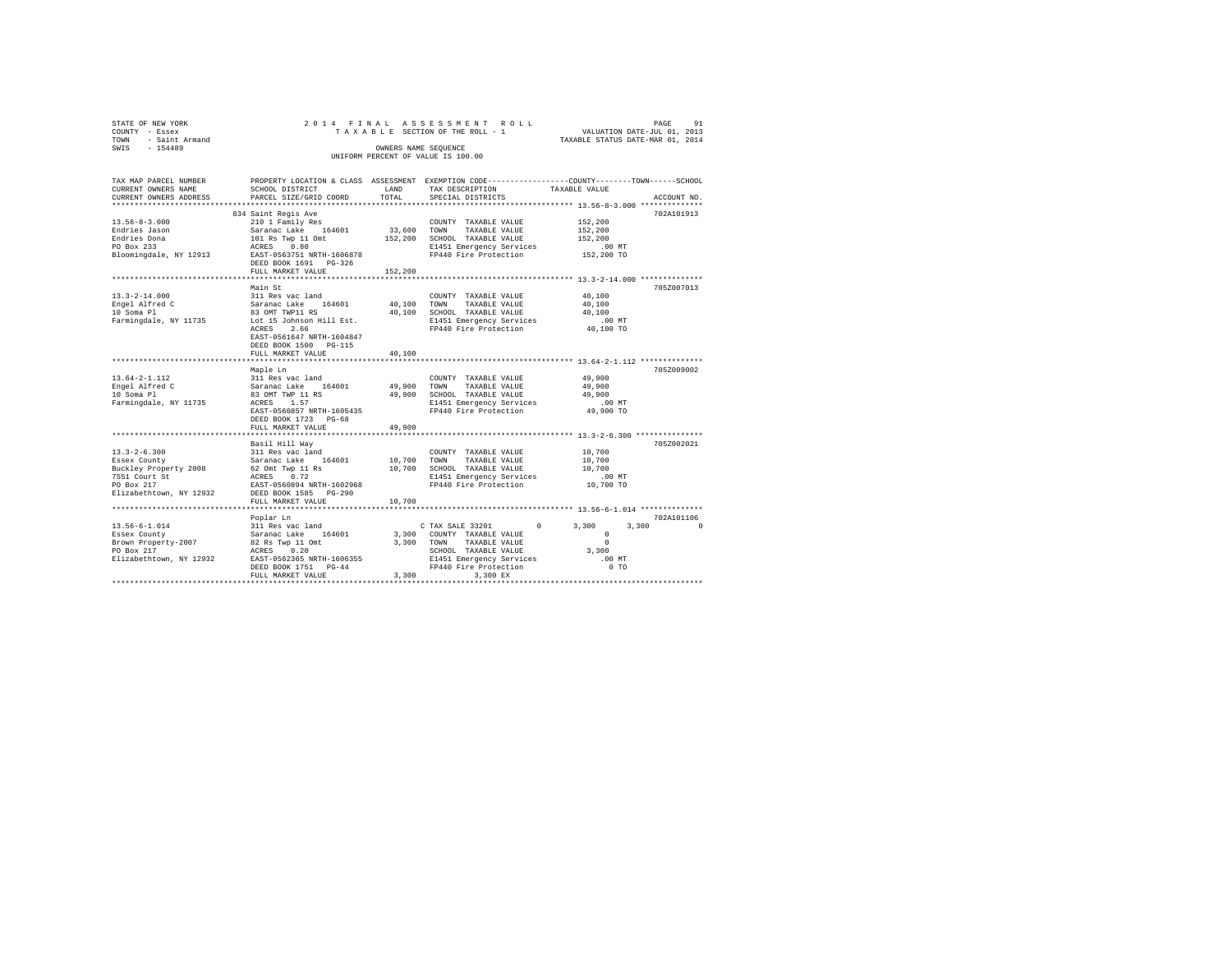| STATE OF NEW YORK<br>COUNTY - Essex<br>- Saint Armand<br>TOWN<br>SWIS - 154489 |                                                                         | OWNERS NAME SEQUENCE | 2014 FINAL ASSESSMENT ROLL<br>UNIFORM PERCENT OF VALUE IS 100.00 | 91<br>PAGE<br>TAXABLE SECTION OF THE ROLL - 1 VALUATION DATE-JUL 01, 2013<br>TAXABLE STATUS DATE-MAR 01, 2014                         |
|--------------------------------------------------------------------------------|-------------------------------------------------------------------------|----------------------|------------------------------------------------------------------|---------------------------------------------------------------------------------------------------------------------------------------|
| CURRENT OWNERS NAME SCHOOL DISTRICT                                            | CURRENT OWNERS ADDRESS 6 PARCEL SIZE/GRID COORD TOTAL SPECIAL DISTRICTS |                      | LAND TAX DESCRIPTION TAXABLE VALUE                               | TAX MAP PARCEL NUMBER THE PROPERTY LOCATION & CLASS ASSESSMENT EXEMPTION CODE-------------COUNTY-------TOWN-----SCHOOL<br>ACCOUNT NO. |
|                                                                                |                                                                         |                      |                                                                  |                                                                                                                                       |
|                                                                                | 834 Saint Regis Ave                                                     |                      |                                                                  | 702A101913                                                                                                                            |
| $13.56 - 8 - 3.000$                                                            | 210 1 Family Res                                                        |                      | COUNTY TAXABLE VALUE                                             | 152,200                                                                                                                               |
| Endries Jason                                                                  | Saranac Lake 164601 33,600                                              |                      | TOWN<br>TAXABLE VALUE                                            | 152,200                                                                                                                               |
|                                                                                | Endries Dona 101 Rs Twp 11 Omt                                          | 152,200              | SCHOOL TAXABLE VALUE                                             | 152,200                                                                                                                               |
| PO Box 233                                                                     | ACRES 0.80                                                              |                      | E1451 Emergency Services .00 MT                                  |                                                                                                                                       |
|                                                                                | Bloomingdale, NY 12913 EAST-0563751 NRTH-1606878                        |                      | FP440 Fire Protection 152,200 TO                                 |                                                                                                                                       |
|                                                                                | DEED BOOK 1691 PG-326                                                   |                      |                                                                  |                                                                                                                                       |
|                                                                                | FULL MARKET VALUE 152.200                                               |                      |                                                                  |                                                                                                                                       |
|                                                                                | Main St                                                                 |                      |                                                                  | 705Z007013                                                                                                                            |
|                                                                                |                                                                         |                      |                                                                  |                                                                                                                                       |

| $13.3 - 2 - 14.000$<br>Engel Alfred C<br>10 Soma Pl<br>Farmingdale, NY 11735 Lot 15 Johnson Hill Est.                                                        | Main St<br>311 Res vac land<br>Saranac Lake 164601<br>83 OMT TWP11 RS<br>2.66<br>ACRES<br>EAST-0561647 NRTH-1604847<br>DEED BOOK 1500 PG-115    | 40,100<br>40,100 | COUNTY TAXABLE VALUE<br>TOWN<br>TAXABLE VALUE<br>SCHOOL TAXABLE VALUE<br>E1451 Emergency Services<br>FP440 Fire Protection                     | 40,100<br>40,100<br>40,100<br>$.00$ MT<br>40,100 TO                       | 705Z007013 |
|--------------------------------------------------------------------------------------------------------------------------------------------------------------|-------------------------------------------------------------------------------------------------------------------------------------------------|------------------|------------------------------------------------------------------------------------------------------------------------------------------------|---------------------------------------------------------------------------|------------|
|                                                                                                                                                              | FULL MARKET VALUE                                                                                                                               | 40,100           |                                                                                                                                                |                                                                           |            |
|                                                                                                                                                              | Maple Ln                                                                                                                                        |                  |                                                                                                                                                |                                                                           | 705Z009002 |
| $13.64 - 2 - 1.112$<br>Engel Alfred C<br>10 Soma Pl<br>Farmingdale, NY 11735                                                                                 | ACRES 1.57<br>EAST-0560857 NRTH-1605435<br>DEED BOOK 1723 PG-68<br>FULL MARKET VALUE                                                            | 49,900           | COUNTY TAXABLE VALUE<br>TOWN<br>TAXABLE VALUE<br>SCHOOL TAXABLE VALUE<br>E1451 Emergency Services<br>FP440 Fire Protection                     | 49,900<br>49,900<br>49,900<br>$.00$ MT<br>49,900 TO                       |            |
|                                                                                                                                                              |                                                                                                                                                 |                  |                                                                                                                                                |                                                                           |            |
| $13.3 - 2 - 6.300$<br>Essex County<br>Buckley Property 2008 62 Omt Twp 11 Rs<br>7551 Court St<br>PO Box 217<br>Elizabethtown, NY 12932 DEED BOOK 1585 PG-290 | Basil Hill Way<br>311 Res vac land<br>Saranac Lake 164601 10,700 TOWN<br>10,700<br>ACRES 0.72<br>EAST-0560894 NRTH-1602968<br>FULL MARKET VALUE | 10,700           | COUNTY TAXABLE VALUE 10,700<br>TAXABLE VALUE 10,700<br>SCHOOL TAXABLE VALUE 10,700<br>E1451 Emergency Services .00 MT<br>FP440 Fire Protection | 10,700 TO                                                                 | 705Z002021 |
|                                                                                                                                                              | Poplar Ln                                                                                                                                       |                  |                                                                                                                                                |                                                                           | 702A101106 |
| $13.56 - 6 - 1.014$<br>Essex County<br>Brown Property-2007 82 Rs Twp 11 Omt<br>PO Box 217<br>ACRES 0.20<br>Elizabethtown, NY 12932 EAST-0562365 NRTH-1606355 | 311 Res vac land<br>Saranac Lake 164601 3,300 COUNTY TAXABLE VALUE<br>DEED BOOK 1751 PG-44<br>FULL MARKET VALUE                                 | 3,300<br>3,300   | C TAX SALE 33201 0<br>TAXABLE VALUE<br>TOWN<br>SCHOOL TAXABLE VALUE<br>E1451 Emergency Services<br>FP440 Fire Protection<br>3,300 EX           | 3,300<br>3,300<br>$\mathbf{r}$<br>$\Omega$<br>3,300<br>$.00$ MT<br>$0$ TO |            |
|                                                                                                                                                              |                                                                                                                                                 |                  |                                                                                                                                                |                                                                           |            |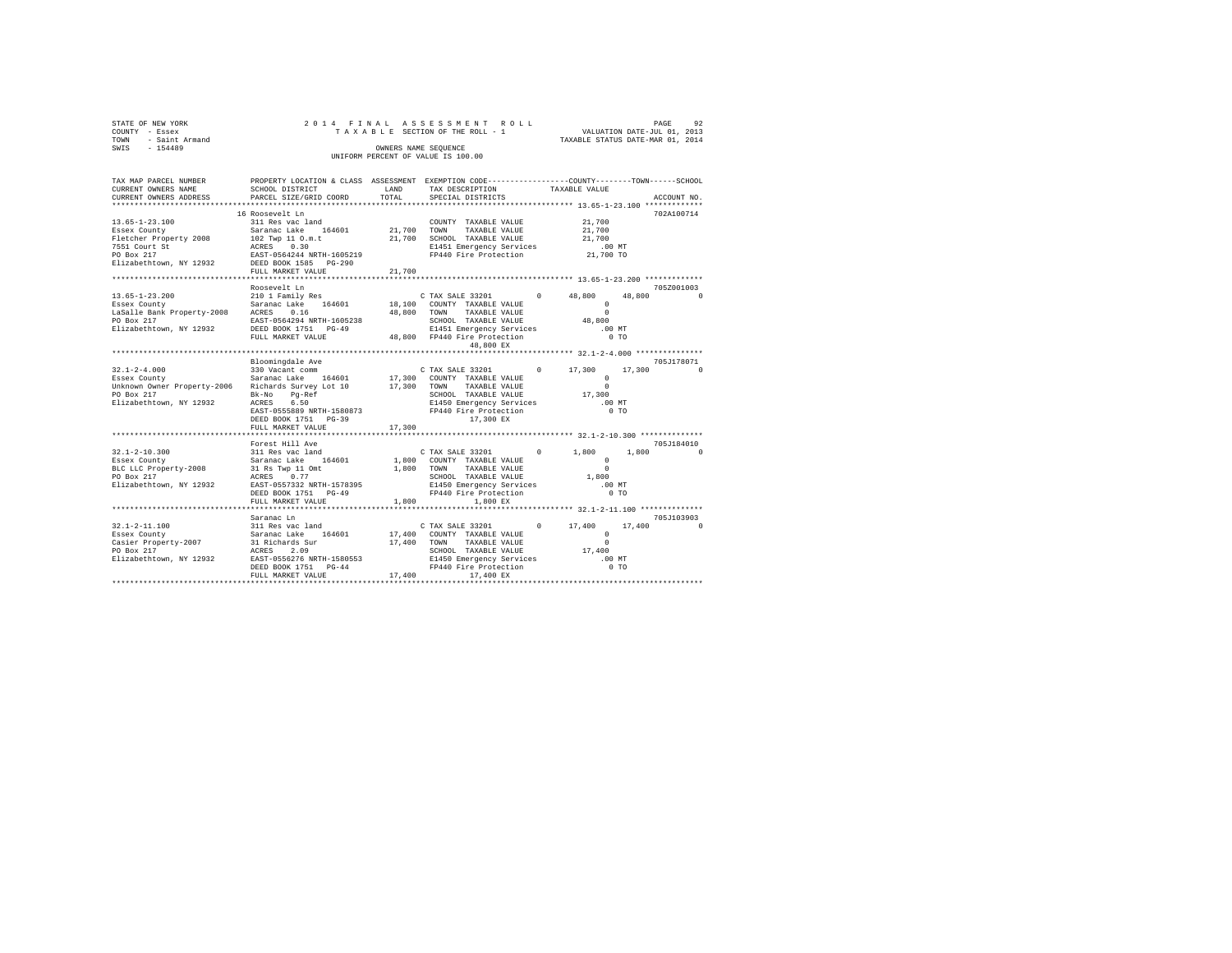| COUNTY - Essex<br>TOWN - Saint Armand<br>SWIS - 154400                                                                                                                                       |                                                                                                                                                                                                                                                                                                        | OWNERS NAME SEQUENCE | 2014 FINAL ASSESSMENT ROLL<br>UNIFORM PERCENT OF VALUE IS 100.00                                     |                                                                  |          | 92<br>PAGE              |
|----------------------------------------------------------------------------------------------------------------------------------------------------------------------------------------------|--------------------------------------------------------------------------------------------------------------------------------------------------------------------------------------------------------------------------------------------------------------------------------------------------------|----------------------|------------------------------------------------------------------------------------------------------|------------------------------------------------------------------|----------|-------------------------|
| TAX MAP PARCEL NUMBER PROPERTY LOCATION & CLASS ASSESSMENT EXEMPTION CODE---------------COUNTY-------TOWN-----SCHOOL<br>CURRENT OWNERS NAME<br>CURRENT OWNERS ADDRESS PARCEL SIZE/GRID COORD | SCHOOL DISTRICT                                                                                                                                                                                                                                                                                        | LAND<br>TOTAL        | TAX DESCRIPTION<br>SPECIAL DISTRICTS                                                                 | TAXABLE VALUE<br>****************** 13.65-1-23.100 ************* |          | ACCOUNT NO.             |
| 13.65-1-23.100<br>Essex County<br>Fletcher Property 2008<br>7551 Court St<br>PO Box 217<br>Elizabethtown, NY 12932                                                                           | 16 Roosevelt Ln<br>311 Res vac land<br>91 November 21,700 NOWI TAXABLE VALUE 21,700<br>102 TWP 11 0.m.t. 21,700 NOWI TAXABLE VALUE 21,700<br>102 TWP 11 0.m.t. 21,700 NORMOND TAXABLE VALUE 21,700<br>21,700 NEEST-054244 NRTH-1605219<br>EAST-0564244 NRTH-1605219 PP440 Fire Pr<br>FULL MARKET VALUE | 21,700               | COUNTY TAXABLE VALUE                                                                                 | 21,700                                                           |          | 702A100714              |
|                                                                                                                                                                                              |                                                                                                                                                                                                                                                                                                        |                      | ******************************* 13.65-1-23.200 *************                                         |                                                                  |          |                         |
|                                                                                                                                                                                              | Roosevelt Ln                                                                                                                                                                                                                                                                                           |                      | 48,800 EX                                                                                            |                                                                  |          | 705Z001003              |
|                                                                                                                                                                                              |                                                                                                                                                                                                                                                                                                        |                      |                                                                                                      |                                                                  |          |                         |
|                                                                                                                                                                                              | Bloomingdale Ave                                                                                                                                                                                                                                                                                       |                      | 17,300 EX                                                                                            |                                                                  |          |                         |
|                                                                                                                                                                                              | FULL MARKET VALUE                                                                                                                                                                                                                                                                                      | 17,300               |                                                                                                      |                                                                  |          |                         |
|                                                                                                                                                                                              |                                                                                                                                                                                                                                                                                                        |                      |                                                                                                      |                                                                  |          |                         |
| $32.1 - 2 - 10.300$<br>Essex County<br>BLC LLC Property-2008<br>PO Box 217<br>Elizabethtown, NY 12932                                                                                        | EAST-0557332 NRTH-1578395<br>DEED BOOK 1751 PG-49<br>FULL MARKET VALUE $1,800$ $1,800$ EX                                                                                                                                                                                                              |                      | 1,800 TOM TAAABLE VALUE<br>SCHOOL TAXABLE VALUE<br>E1450 Emergency Services<br>FP440 Fire Protection | .00 MT<br>$0$ TO                                                 |          | 705J184010<br>$1.800$ 0 |
|                                                                                                                                                                                              |                                                                                                                                                                                                                                                                                                        |                      |                                                                                                      |                                                                  |          |                         |
|                                                                                                                                                                                              | Saranac Ln                                                                                                                                                                                                                                                                                             |                      |                                                                                                      |                                                                  | 17,400 0 | 705J103903              |
|                                                                                                                                                                                              |                                                                                                                                                                                                                                                                                                        |                      |                                                                                                      |                                                                  |          |                         |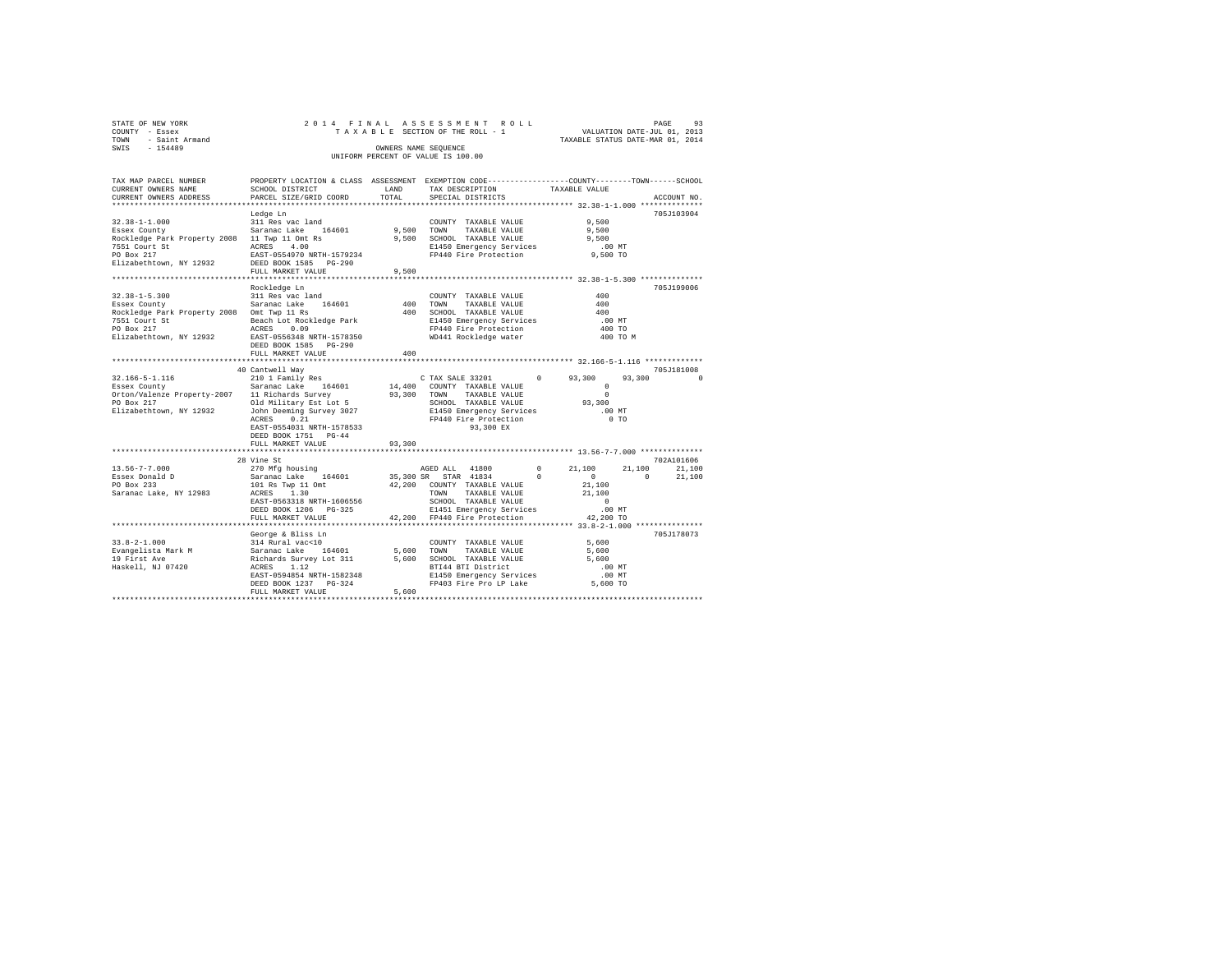| STATE OF NEW YORK   |  |  | 2014 FINAL ASSESSMENT ROLL         |                                  | PAGE | 93 |
|---------------------|--|--|------------------------------------|----------------------------------|------|----|
| COUNTY - Essex      |  |  | TAXABLE SECTION OF THE ROLL - 1    | VALUATION DATE-JUL 01, 2013      |      |    |
| TOWN - Saint Armand |  |  |                                    | TAXABLE STATUS DATE-MAR 01, 2014 |      |    |
| SWIS<br>$-154489$   |  |  | OWNERS NAME SEOUENCE               |                                  |      |    |
|                     |  |  | UNIFORM PERCENT OF VALUE IS 100.00 |                                  |      |    |

| TAX MAP PARCEL NUMBER<br>CURRENT OWNERS NAME                                                                                                                                       | SCHOOL DISTRICT                                                                                                                                                                                       | LAND                | TAX DESCRIPTION                                                                                                                                                           | PROPERTY LOCATION & CLASS ASSESSMENT EXEMPTION CODE---------------COUNTY-------TOWN------SCHOOL<br>TAXABLE VALUE                           |
|------------------------------------------------------------------------------------------------------------------------------------------------------------------------------------|-------------------------------------------------------------------------------------------------------------------------------------------------------------------------------------------------------|---------------------|---------------------------------------------------------------------------------------------------------------------------------------------------------------------------|--------------------------------------------------------------------------------------------------------------------------------------------|
| CURRENT OWNERS ADDRESS                                                                                                                                                             | PARCEL SIZE/GRID COORD                                                                                                                                                                                | TOTAL               | SPECIAL DISTRICTS                                                                                                                                                         | ACCOUNT NO.                                                                                                                                |
| $32.38 - 1 - 1.000$<br>Essex County<br>spockledge Park Property 2008 11 Twp 11 Omt Rs<br>7551 Court St - ACRES 4.00<br>PO Box 217<br>Elizabethtown, NY 12932 DEED BOOK 1585 PG-290 | Ledge Ln<br>311 Res vac land<br>Saranac Lake 164601<br>ACRES 4.00<br>EAST-0554970 NRTH-1579234                                                                                                        | 9,500 TOWN          | COUNTY TAXABLE VALUE<br>TAXABLE VALUE<br>9,500 SCHOOL TAXABLE VALUE<br>E1450 Emergency Services<br>FP440 Fire Protection                                                  | 705J103904<br>9,500<br>9,500<br>9,500<br>$.00$ MT<br>9,500 TO                                                                              |
|                                                                                                                                                                                    | FULL MARKET VALUE                                                                                                                                                                                     | 9,500               |                                                                                                                                                                           |                                                                                                                                            |
| $32.38 - 1 - 5.300$<br>Essex County<br>Rockledge Park Property 2008 Omt Twp 11 Rs<br>7551 Court St<br>PO Box 217<br>Elizabethtown, NY 12932 EAST-0556348 NRTH-1578350              | Rockledge Ln<br>311 Res vac land<br>Saranac Lake 164601<br>Beach Lot Rockledge Park<br>ACRES 0.09<br>DEED BOOK 1585 PG-290<br>FULL MARKET VALUE                                                       | 400<br>400          | COUNTY TAXABLE VALUE<br>TOWN<br>TAXABLE VALUE<br>400 SCHOOL TAXABLE VALUE<br>E1450 Emergency Services<br>FP440 Fire Protection<br>WD441 Rockledge water                   | 705J199006<br>400<br>400<br>400<br>.00MT<br>400 TO<br>400 TO M                                                                             |
|                                                                                                                                                                                    | 40 Cantwell Way                                                                                                                                                                                       |                     |                                                                                                                                                                           | 705J181008                                                                                                                                 |
| 32.166-5-1.116<br>Essex County                                                                                                                                                     | 210 1 Family Res<br>Saranac Lake 164601<br>ACRES<br>0.21<br>EAST-0554031 NRTH-1578533<br>DEED BOOK 1751 PG-44                                                                                         |                     | C TAX SALE 33201<br>14,400 COUNTY TAXABLE VALUE<br>93,300 TOWN<br>TAXABLE VALUE<br>SCHOOL TAXABLE VALUE<br>E1450 Emergency Services<br>FP440 Fire Protection<br>93,300 EX | $^{\circ}$<br>93,300<br>93,300<br>$\Omega$<br>$^{\circ}$<br>$\Omega$<br>93,300<br>.00 MT<br>0 <sub>T</sub>                                 |
|                                                                                                                                                                                    | FULL MARKET VALUE                                                                                                                                                                                     | 93,300              |                                                                                                                                                                           |                                                                                                                                            |
| $13.56 - 7 - 7.000$<br>Essex Donald D<br>PO Box 233<br>Saranac Lake, NY 12983                                                                                                      | 28 Vine St<br>270 Mfg housing<br>Saranac Lake 164601<br>101 Rs Twp 11 Omt<br>ACRES 1.30<br>EAST-0563318 NRTH-1606556<br>DEED BOOK 1206 PG-325                                                         |                     | AGED ALL 41800<br>35,300 SR STAR 41834<br>$\sim$ 0<br>42,200 COUNTY TAXABLE VALUE<br>TOWN TAXABLE VALUE<br>SCHOOL TAXABLE VALUE<br>E1451 Emergency Services               | 702A101606<br>$^{\circ}$<br>21,100<br>21,100<br>21,100<br>$\Omega$<br>$\Omega$<br>21,100<br>21,100<br>21,100<br>$\overline{0}$<br>$.00$ MT |
|                                                                                                                                                                                    | FULL MARKET VALUE<br>**************************                                                                                                                                                       |                     | 42.200 FP440 Fire Protection                                                                                                                                              | 42,200 TO                                                                                                                                  |
| $33.8 - 2 - 1.000$<br>Evangelista Mark M<br>19 First Ave<br>Haskell, NJ 07420                                                                                                      | George & Bliss Ln<br>------> 4 Diss Ln<br>314 Rural vac<10<br>Saranac Lake 164601<br>Richards Survey Lot 311<br>ACRES 1.12<br>EAST-0594854 NRTH-1582348<br>DEED BOOK 1237 PG-324<br>FULL MARKET VALUE | 5,600 TOWN<br>5,600 | COUNTY TAXABLE VALUE<br>TAXABLE VALUE<br>5,600 SCHOOL TAXABLE VALUE<br>BTI44 BTI District<br>E1450 Emergency Services<br>FP403 Fire Pro LP Lake 5,600 TO                  | 705J178073<br>5,600<br>5,600<br>5,600<br>.00 MT<br>.00 MT                                                                                  |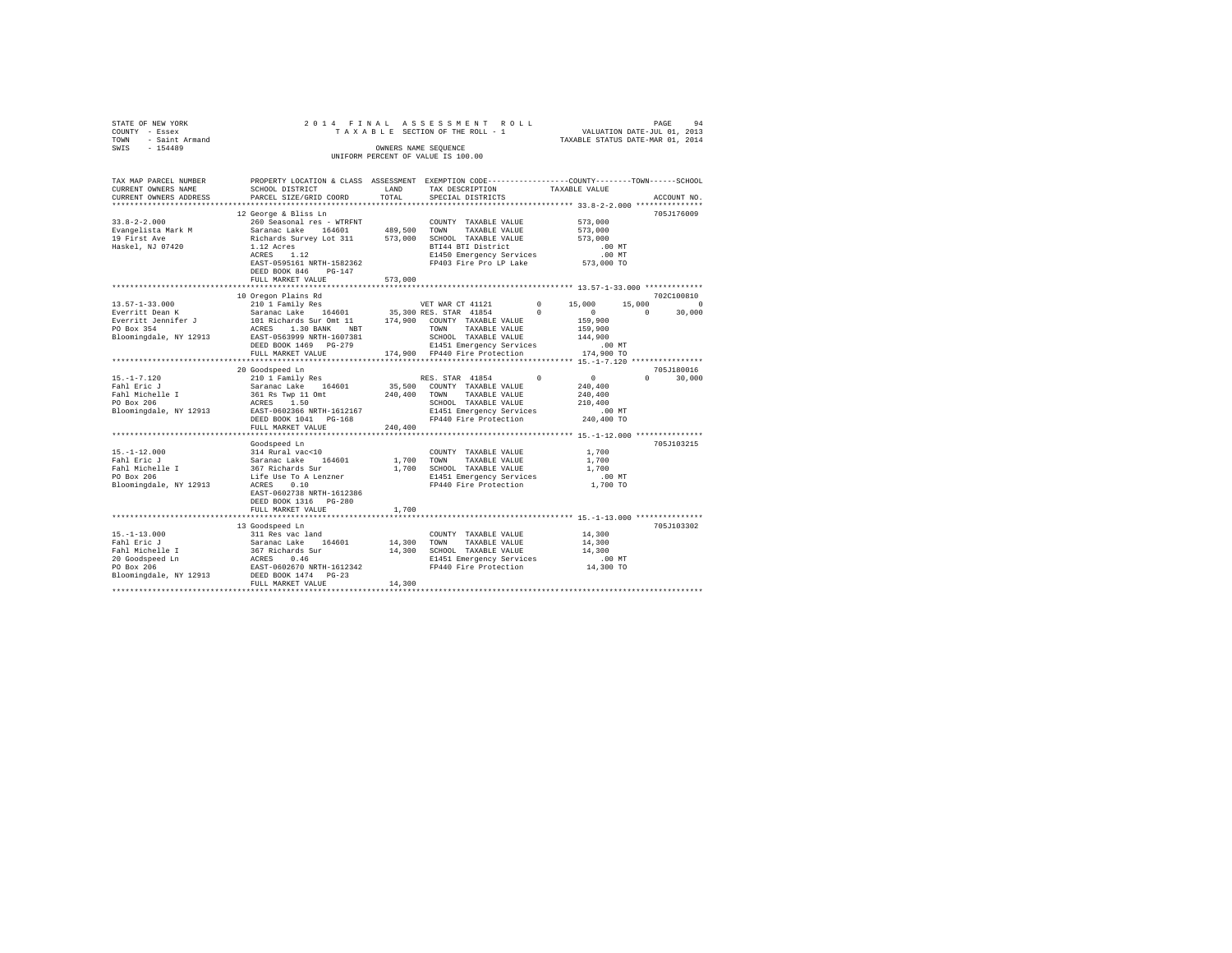| STATE OF NEW YORK<br>COUNTY - Essex<br>TOWN - Saint Armand<br>SWIS - 154489                                                                                                                                                                                                                                                                                                                                                |                                                                                                                                              |               | 2014 FINAL ASSESSMENT ROLL<br>A של השוא בישים של אינו את הספט משנת 1 בישים של TA X A B L E SECTION OF THE ROLL - 1<br>TA X A B L E SECTION OF THE ROLL - 1 TAXABLE STATUS DATE-JUL 01, 2014<br>OWNERS NAME SEQUENCE<br>UNIFORM PERCENT OF VALUE IS 100.00 |                                                          | PAGE<br>94                |
|----------------------------------------------------------------------------------------------------------------------------------------------------------------------------------------------------------------------------------------------------------------------------------------------------------------------------------------------------------------------------------------------------------------------------|----------------------------------------------------------------------------------------------------------------------------------------------|---------------|-----------------------------------------------------------------------------------------------------------------------------------------------------------------------------------------------------------------------------------------------------------|----------------------------------------------------------|---------------------------|
| TAX MAP PARCEL NUMBER<br>CURRENT OWNERS NAME<br>CURRENT OWNERS ADDRESS                                                                                                                                                                                                                                                                                                                                                     | PROPERTY LOCATION & CLASS ASSESSMENT EXEMPTION CODE----------------COUNTY-------TOWN-----SCHOOL<br>SCHOOL DISTRICT<br>PARCEL SIZE/GRID COORD | LAND<br>TOTAL | TAX DESCRIPTION<br>SPECIAL DISTRICTS                                                                                                                                                                                                                      | TAXABLE VALUE                                            | ACCOUNT NO.               |
| $19\textrm{ Finzner} \begin{tabular}{lcccc} 33.8-2-2.000 & & 260\,\textrm{Seasonal res} & \textrm{WTRENT} & \textrm{COMNT} & \textrm{TAXABLE VALUE} \\ \noalign{\vskip 1pt & \textrm{Swang} & \textrm{Sarnac Lake} & \textrm{164601} & \textrm{489,500} & \textrm{TMXABLE VALUE} \\ 19\textrm{ Finz the New & \textrm{Siranac Lake1}} & \textrm{573,000} & \textrm{SCHOOL TAXABLE VALUE} \\ 19\textrm{Haakel, NJ} & 07420$ | 12 George & Bliss Ln<br>EAST-0595161 NRTH-1582362<br>DEED BOOK 846 PG-147<br>FULL MARKET VALUE                                               | 573,000       | E1450 Emergency Services<br>FP403 Fire Pro LP Lake                                                                                                                                                                                                        | 573,000<br>573,000<br>573,000<br>.00MT<br><br>573,000 TO | 705J176009                |
|                                                                                                                                                                                                                                                                                                                                                                                                                            |                                                                                                                                              |               |                                                                                                                                                                                                                                                           |                                                          |                           |
|                                                                                                                                                                                                                                                                                                                                                                                                                            | 10 Oregon Plains Rd                                                                                                                          |               |                                                                                                                                                                                                                                                           |                                                          | 702C100810                |
| NOTE 159,900<br>NORES 1.30 BANK NBT<br>PO Box 354 2000 SLOWING PO POWER 159,900<br>PO BOX 354 2000 DEED BOX 1469 PO-279 2141,900 FORMED SCHUD 2011<br>DEED BOX 1469 PO-279 174,900 PP440 Fire Protection<br>PULL MARKET VALUE 174,900 PP                                                                                                                                                                                   |                                                                                                                                              |               |                                                                                                                                                                                                                                                           |                                                          | 15,000 0<br>$0 \t 30,000$ |
|                                                                                                                                                                                                                                                                                                                                                                                                                            |                                                                                                                                              |               |                                                                                                                                                                                                                                                           | ********************** 15.-1-7.120 ****************      | 705J180016                |
| 15.-1-7.120<br>Fahl Eric J<br>Fahl Michelle I<br>PO Box 206                                                                                                                                                                                                                                                                                                                                                                | 20 Goodspeed Ln                                                                                                                              |               |                                                                                                                                                                                                                                                           | .00 MT<br>240,400 TO                                     |                           |
|                                                                                                                                                                                                                                                                                                                                                                                                                            | FULL MARKET VALUE                                                                                                                            | 240,400       |                                                                                                                                                                                                                                                           |                                                          |                           |
|                                                                                                                                                                                                                                                                                                                                                                                                                            |                                                                                                                                              |               |                                                                                                                                                                                                                                                           |                                                          |                           |
|                                                                                                                                                                                                                                                                                                                                                                                                                            | EAST-0602738 NRTH-1612386                                                                                                                    |               |                                                                                                                                                                                                                                                           | 1,700<br>1,700<br>1,700<br>$.00$ MT<br>1,700 TO          | 705J103215                |
|                                                                                                                                                                                                                                                                                                                                                                                                                            | DEED BOOK 1316    PG-280<br>FULL MARKET VALUE                                                                                                | 1,700         |                                                                                                                                                                                                                                                           |                                                          |                           |
|                                                                                                                                                                                                                                                                                                                                                                                                                            |                                                                                                                                              |               |                                                                                                                                                                                                                                                           |                                                          | 705J103302                |
| Bloomingdale, NY 12913                                                                                                                                                                                                                                                                                                                                                                                                     | EAST-0602670 NRTH-1612342<br>DEED BOOK 1474    PG-23                                                                                         | 14,300 TOWN   | COUNTY TAXABLE VALUE<br>TAXABLE VALUE<br>14,300 SCHOOL TAXABLE VALUE<br>E1451 Emergency Services<br>FP440 Fire Protection                                                                                                                                 | 14,300<br>14,300<br>14,300<br>00 MT.<br>14,300 TO        |                           |
|                                                                                                                                                                                                                                                                                                                                                                                                                            | FULL MARKET VALUE                                                                                                                            | 14,300        |                                                                                                                                                                                                                                                           |                                                          |                           |
|                                                                                                                                                                                                                                                                                                                                                                                                                            |                                                                                                                                              |               |                                                                                                                                                                                                                                                           |                                                          |                           |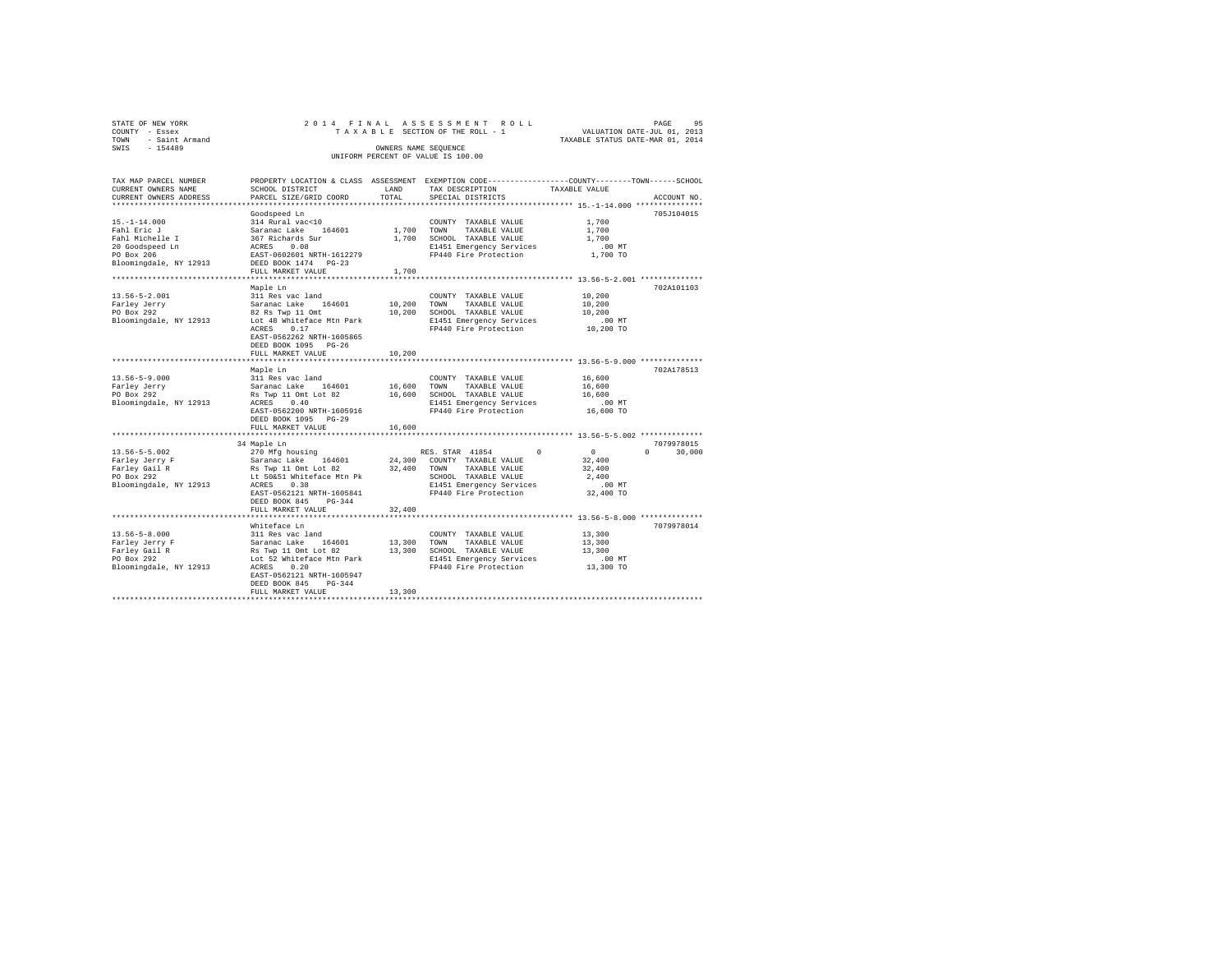| STATE OF NEW YORK   |                      |  |  |  |  | 2014 FINAL ASSESSMENT ROLL         |  |                                  | PAGE | 95 |
|---------------------|----------------------|--|--|--|--|------------------------------------|--|----------------------------------|------|----|
| COUNTY - Essex      |                      |  |  |  |  | TAXABLE SECTION OF THE ROLL - 1    |  | VALUATION DATE-JUL 01, 2013      |      |    |
| TOWN - Saint Armand |                      |  |  |  |  |                                    |  | TAXABLE STATUS DATE-MAR 01, 2014 |      |    |
| SWIS<br>$-154489$   | OWNERS NAME SEOUENCE |  |  |  |  |                                    |  |                                  |      |    |
|                     |                      |  |  |  |  | UNIFORM PERCENT OF VALUE IS 100.00 |  |                                  |      |    |
|                     |                      |  |  |  |  |                                    |  |                                  |      |    |

| TAX MAP PARCEL NUMBER<br>CURRENT OWNERS NAME                                                                    | SCHOOL DISTRICT                                                                                                                                                                                              | LAND                         | PROPERTY LOCATION & CLASS ASSESSMENT EXEMPTION CODE-----------------COUNTY-------TOWN------SCHOOL<br>TAX DESCRIPTION                           | TAXABLE VALUE                                                  |                    |
|-----------------------------------------------------------------------------------------------------------------|--------------------------------------------------------------------------------------------------------------------------------------------------------------------------------------------------------------|------------------------------|------------------------------------------------------------------------------------------------------------------------------------------------|----------------------------------------------------------------|--------------------|
| CURRENT OWNERS ADDRESS                                                                                          | PARCEL SIZE/GRID COORD                                                                                                                                                                                       | TOTAL                        | SPECIAL DISTRICTS                                                                                                                              |                                                                | ACCOUNT NO.        |
| $15. - 1 - 14.000$<br>Fahl Eric J<br>Fahl Michelle I<br>20 Goodspeed Ln<br>PO Box 206<br>Bloomingdale, NY 12913 | Goodspeed Ln<br>314 Rural vac<10<br>Saranac Lake<br>164601<br>367 Richards Sur<br>ACRES<br>0.08<br>EAST-0602601 NRTH-1612279<br>DEED BOOK 1474 PG-23<br>FULL MARKET VALUE                                    | 1,700 TOWN<br>1,700<br>1,700 | COUNTY TAXABLE VALUE<br>TAXABLE VALUE<br>SCHOOL TAXABLE VALUE<br>E1451 Emergency Services<br>FP440 Fire Protection                             | 1,700<br>1,700<br>1,700<br>$.00$ MT<br>1,700 TO                | 705J104015         |
|                                                                                                                 |                                                                                                                                                                                                              |                              |                                                                                                                                                |                                                                |                    |
| $13.56 - 5 - 2.001$<br>Farley Jerry<br>PO Box 292<br>Bloomingdale, NY 12913                                     | Maple Ln<br>311 Res vac land<br>Saranac Lake 164601<br>82 Rs Twp 11 Omt<br>Lot 48 Whiteface Mtn Park<br>ACRES<br>0.17<br>EAST-0562262 NRTH-1605865<br>DEED BOOK 1095 PG-26<br>FULL MARKET VALUE              | 10,200 TOWN<br>10,200        | COUNTY TAXABLE VALUE<br>TAXABLE VALUE<br>10,200 SCHOOL TAXABLE VALUE<br>E1451 Emergency Services<br>FP440 Fire Protection                      | 10,200<br>10,200<br>10,200<br>$.00$ MT<br>10,200 TO            | 702A101103         |
|                                                                                                                 | Maple Ln                                                                                                                                                                                                     |                              |                                                                                                                                                |                                                                | 702A178513         |
| $13.56 - 5 - 9.000$<br>Farley Jerry<br>PO Box 292<br>Bloomingdale, NY 12913                                     | 311 Res vac land<br>Saranac Lake 164601<br>Rs Twp 11 Omt Lot 82<br>ACRES 0.40<br>EAST-0562200 NRTH-1605916<br>DEED BOOK 1095 PG-29<br>FULL MARKET VALUE                                                      | 16,600 TOWN<br>16,600        | COUNTY TAXABLE VALUE<br>TAXABLE VALUE<br>16,600 SCHOOL TAXABLE VALUE<br>E1451 Emergency Services<br>FP440 Fire Protection                      | 16,600<br>16,600<br>16,600<br>$.00$ MT<br>16,600 TO            |                    |
|                                                                                                                 | 34 Maple Ln                                                                                                                                                                                                  |                              |                                                                                                                                                |                                                                | 7079978015         |
| $13.56 - 5 - 5.002$<br>Farley Jerry F<br>Farley Gail R<br>PO Box 292<br>Bloomingdale, NY 12913                  | 270 Mfg housing<br>Saranac Lake 164601<br>Rs Twp 11 Omt Lot 82 32,400 TOWN<br>Lt 50&51 Whiteface Mtn Pk<br>ACRES 0.38<br>EAST-0562121 NRTH-1605841<br>DEED BOOK 845<br>$PG-344$                              |                              | RES. STAR 41854 0<br>24,300 COUNTY TAXABLE VALUE<br>TAXABLE VALUE<br>SCHOOL TAXABLE VALUE<br>E1451 Emergency Services<br>FP440 Fire Protection | $\sim$ 0<br>32,400<br>32,400<br>2,400<br>$.00$ MT<br>32,400 TO | $\Omega$<br>30,000 |
|                                                                                                                 | FULL MARKET VALUE                                                                                                                                                                                            | 32,400                       |                                                                                                                                                |                                                                |                    |
| $13.56 - 5 - 8.000$<br>Farley Jerry F<br>Farley Gail R<br>PO Box 292<br>Bloomingdale, NY 12913                  | Whiteface Ln<br>311 Res vac land<br>Saranac Lake 164601<br>Rs Twp 11 Omt Lot 82<br>Lot 52 Whiteface Mtn Park<br>0.20<br>ACRES<br>EAST-0562121 NRTH-1605947<br>DEED BOOK 845<br>$PG-344$<br>FULL MARKET VALUE | 13,300                       | COUNTY TAXABLE VALUE<br>13,300 TOWN<br>TAXABLE VALUE<br>13,300 SCHOOL TAXABLE VALUE<br>E1451 Emergency Services<br>FP440 Fire Protection       | 13,300<br>13,300<br>13,300<br>$.00$ MT<br>13,300 TO            | 7079978014         |
|                                                                                                                 |                                                                                                                                                                                                              |                              |                                                                                                                                                |                                                                |                    |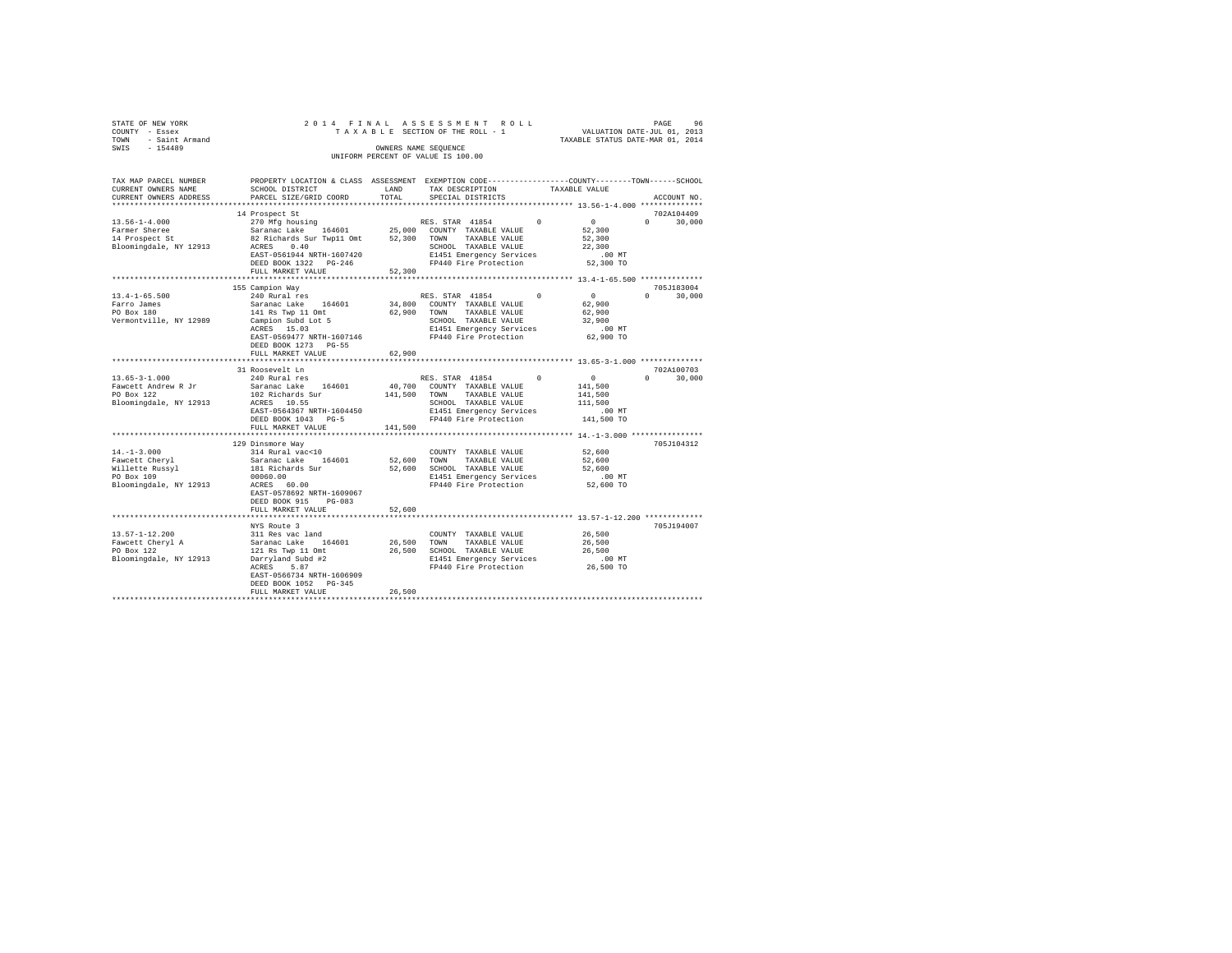| STATE OF NEW YORK                  |                      |  |  |  | 2014 FINAL ASSESSMENT ROLL      |  |                                  | PAGE |  | 96 |
|------------------------------------|----------------------|--|--|--|---------------------------------|--|----------------------------------|------|--|----|
| COUNTY - Essex                     |                      |  |  |  | TAXABLE SECTION OF THE ROLL - 1 |  | VALUATION DATE-JUL 01, 2013      |      |  |    |
| TOWN - Saint Armand                |                      |  |  |  |                                 |  | TAXABLE STATUS DATE-MAR 01, 2014 |      |  |    |
| SWTS<br>$-154489$                  | OWNERS NAME SEOUENCE |  |  |  |                                 |  |                                  |      |  |    |
| UNIFORM PERCENT OF VALUE IS 100.00 |                      |  |  |  |                                 |  |                                  |      |  |    |

| TAX MAP PARCEL NUMBER<br>CURRENT OWNERS NAME<br>CURRENT OWNERS ADDRESS                         | PROPERTY LOCATION & CLASS ASSESSMENT EXEMPTION CODE----------------COUNTY-------TOWN------SCHOOL<br>SCHOOL DISTRICT<br>PARCEL SIZE/GRID COORD                                               | LAND<br>TOTAL                | TAX DESCRIPTION<br>SPECIAL DISTRICTS                                                                                                          |          | TAXABLE VALUE                                                    | ACCOUNT NO.                      |
|------------------------------------------------------------------------------------------------|---------------------------------------------------------------------------------------------------------------------------------------------------------------------------------------------|------------------------------|-----------------------------------------------------------------------------------------------------------------------------------------------|----------|------------------------------------------------------------------|----------------------------------|
|                                                                                                |                                                                                                                                                                                             |                              |                                                                                                                                               |          |                                                                  |                                  |
| $13.56 - 1 - 4.000$<br>Farmer Sheree<br>14 Prospect St<br>Bloomingdale, NY 12913               | 14 Prospect St<br>270 Mfg housing<br>Saranac Lake<br>164601<br>82 Richards Sur Twp11 Omt<br>ACRES<br>0.40<br>EAST-0561944 NRTH-1607420<br>DEED BOOK 1322 PG-246<br>FULL MARKET VALUE        | 25,000<br>52,300<br>52,300   | RES. STAR 41854<br>COUNTY TAXABLE VALUE<br>TOWN<br>TAXABLE VALUE<br>SCHOOL TAXABLE VALUE<br>E1451 Emergency Services<br>FP440 Fire Protection | $\Omega$ | $\mathbf{0}$<br>52,300<br>52,300<br>22,300<br>.00MT<br>52,300 TO | 702A104409<br>$\Omega$<br>30,000 |
|                                                                                                |                                                                                                                                                                                             |                              |                                                                                                                                               |          |                                                                  |                                  |
| $13.4 - 1 - 65.500$<br>Farro James<br>PO Box 180<br>Vermontville, NY 12989                     | 155 Campion Way<br>240 Rural res<br>Saranac Lake 164601<br>141 Rs Twp 11 Omt<br>Campion Subd Lot 5<br>ACRES 15.03<br>EAST-0569477 NRTH-1607146<br>DEED BOOK 1273 PG-55<br>FULL MARKET VALUE | 34,800<br>62,900<br>62,900   | RES. STAR 41854<br>COUNTY TAXABLE VALUE<br>TAXABLE VALUE<br>TOWN<br>SCHOOL TAXABLE VALUE<br>E1451 Emergency Services<br>FP440 Fire Protection | $\Omega$ | $\sim$ 0<br>62,900<br>62,900<br>32,900<br>$.00$ MT<br>62,900 TO  | 705J183004<br>$\Omega$<br>30,000 |
|                                                                                                | 31 Roosevelt Ln                                                                                                                                                                             |                              |                                                                                                                                               |          |                                                                  | 702A100703                       |
| $13.65 - 3 - 1.000$<br>Fawcett Andrew R Jr<br>PO Box 122<br>Bloomingdale, NY 12913             | 240 Rural res<br>Saranac Lake 164601<br>102 Richards Sur<br>ACRES 10.55<br>EAST-0564367 NRTH-1604450<br>DEED BOOK 1043 PG-5<br>FULL MARKET VALUE                                            | 40,700<br>141,500<br>141,500 | RES. STAR 41854<br>COUNTY TAXABLE VALUE<br>TAXABLE VALUE<br>TOWN<br>SCHOOL TAXABLE VALUE<br>E1451 Emergency Services<br>FP440 Fire Protection | $\Omega$ | $\circ$<br>141,500<br>141,500<br>111,500<br>.00 MT<br>141,500 TO | $0 \qquad \qquad$<br>30,000      |
|                                                                                                | **************************                                                                                                                                                                  |                              |                                                                                                                                               |          |                                                                  |                                  |
| $14. - 1 - 3.000$<br>Fawcett Cheryl<br>Willette Russyl<br>PO Box 109<br>Bloomingdale, NY 12913 | 129 Dinsmore Way<br>314 Rural vac<10<br>Saranac Lake 164601<br>181 Richards Sur<br>00060.00<br>ACRES 60.00<br>EAST-0578692 NRTH-1609067<br>DEED BOOK 915<br>$PG-083$                        | 52,600<br>52,600             | COUNTY TAXABLE VALUE<br>TOWN<br>TAXABLE VALUE<br>SCHOOL TAXABLE VALUE<br>E1451 Emergency Services<br>FP440 Fire Protection                    |          | 52,600<br>52,600<br>52,600<br>$.00$ MT<br>52,600 TO              | 705J104312                       |
|                                                                                                | FULL MARKET VALUE                                                                                                                                                                           | 52,600                       |                                                                                                                                               |          |                                                                  |                                  |
| $13.57 - 1 - 12.200$<br>Fawcett Cheryl A<br>PO Box 122<br>Bloomingdale, NY 12913               | NYS Route 3<br>311 Res vac land<br>164601<br>Saranac Lake<br>121 Rs Twp 11 Omt<br>Darryland Subd #2<br>5.87<br>ACRES                                                                        | 26,500<br>26,500             | COUNTY TAXABLE VALUE<br>TOWN<br>TAXABLE VALUE<br>SCHOOL TAXABLE VALUE<br>E1451 Emergency Services<br>FP440 Fire Protection                    |          | 26,500<br>26,500<br>26,500<br>.00 MT<br>26,500 TO                | 705J194007                       |
|                                                                                                | EAST-0566734 NRTH-1606909<br>DEED BOOK 1052 PG-345<br>FULL MARKET VALUE                                                                                                                     | 26,500                       |                                                                                                                                               |          |                                                                  |                                  |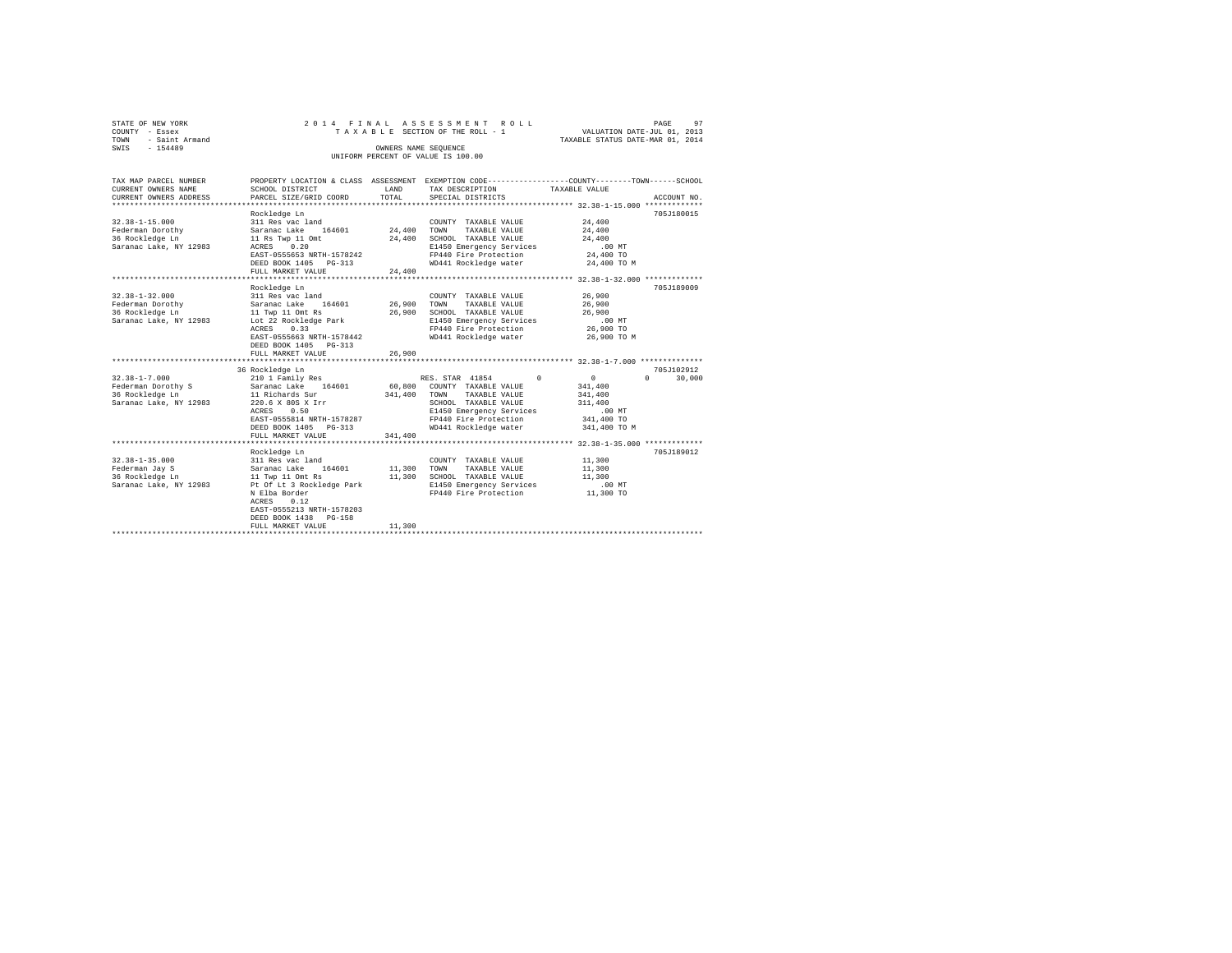| STATE OF NEW YORK                  | 2014 FINAL ASSESSMENT ROLL      |                                  | PAGE | 97 |  |  |  |  |  |
|------------------------------------|---------------------------------|----------------------------------|------|----|--|--|--|--|--|
| COUNTY - Essex                     | TAXABLE SECTION OF THE ROLL - 1 | VALUATION DATE-JUL 01, 2013      |      |    |  |  |  |  |  |
| TOWN - Saint Armand                |                                 | TAXABLE STATUS DATE-MAR 01, 2014 |      |    |  |  |  |  |  |
| SWIS<br>$-154489$                  | OWNERS NAME SEOUENCE            |                                  |      |    |  |  |  |  |  |
| UNIFORM PERCENT OF VALUE IS 100.00 |                                 |                                  |      |    |  |  |  |  |  |
|                                    |                                 |                                  |      |    |  |  |  |  |  |

| TAX MAP PARCEL NUMBER                 |                               |         | PROPERTY LOCATION & CLASS ASSESSMENT EXEMPTION CODE----------------COUNTY-------TOWN-----SCHOOL |                                               |                    |
|---------------------------------------|-------------------------------|---------|-------------------------------------------------------------------------------------------------|-----------------------------------------------|--------------------|
| CURRENT OWNERS NAME                   | SCHOOL DISTRICT               | LAND    | TAX DESCRIPTION                                                                                 | TAXABLE VALUE                                 |                    |
| CURRENT OWNERS ADDRESS                | PARCEL SIZE/GRID COORD        | TOTAL   | SPECIAL DISTRICTS                                                                               |                                               | ACCOUNT NO.        |
|                                       |                               |         |                                                                                                 |                                               |                    |
|                                       | Rockledge Ln                  |         |                                                                                                 |                                               | 705J180015         |
| $32.38 - 1 - 15.000$                  | 311 Res vac land              |         | COUNTY TAXABLE VALUE                                                                            | 24,400                                        |                    |
| Federman Dorothy                      | 164601<br>Saranac Lake        | 24,400  | TOWN<br>TAXABLE VALUE                                                                           | 24,400                                        |                    |
| 36 Rockledge Ln                       | 11 Rs Twp 11 Omt              | 24,400  | SCHOOL TAXABLE VALUE                                                                            | 24,400                                        |                    |
| Saranac Lake, NY 12983                | ACRES 0.20                    |         | E1450 Emergency Services                                                                        | .00 MT                                        |                    |
|                                       | EAST-0555653 NRTH-1578242     |         | FP440 Fire Protection                                                                           | 24,400 TO                                     |                    |
|                                       | DEED BOOK 1405 PG-313         |         | WD441 Rockledge water                                                                           | 24,400 TO M                                   |                    |
|                                       | FULL MARKET VALUE             | 24,400  |                                                                                                 |                                               |                    |
|                                       |                               |         |                                                                                                 | **************** 32.38-1-32.000 ************* |                    |
|                                       | Rockledge Ln                  |         |                                                                                                 |                                               | 705J189009         |
| $32.38 - 1 - 32.000$                  | 311 Res vac land              |         | COUNTY TAXABLE VALUE                                                                            | 26,900                                        |                    |
| Federman Dorothy                      | Saranac Lake 164601           | 26,900  | TOWN<br>TAXABLE VALUE                                                                           | 26,900                                        |                    |
| 36 Rockledge Ln                       | 11 Twp 11 Omt Rs              | 26,900  | SCHOOL TAXABLE VALUE                                                                            | 26,900                                        |                    |
| Saranac Lake, NY 12983                | Lot 22 Rockledge Park         |         | E1450 Emergency Services                                                                        | $.00$ MT                                      |                    |
|                                       | 0.33<br>ACRES                 |         | FP440 Fire Protection                                                                           | 26,900 TO                                     |                    |
|                                       | EAST-0555663 NRTH-1578442     |         | WD441 Rockledge water                                                                           | 26,900 TO M                                   |                    |
|                                       | DEED BOOK 1405 PG-313         |         |                                                                                                 |                                               |                    |
|                                       | FULL MARKET VALUE             | 26,900  |                                                                                                 |                                               |                    |
|                                       |                               |         |                                                                                                 |                                               |                    |
|                                       | 36 Rockledge Ln               |         |                                                                                                 |                                               | 705J102912         |
| $32.38 - 1 - 7.000$                   | 210 1 Family Res              |         | RES. STAR 41854<br>$\Omega$                                                                     | $\mathbf{0}$                                  | $\Omega$<br>30,000 |
|                                       | Saranac Lake 164601           | 60,800  | COUNTY TAXABLE VALUE                                                                            | 341,400                                       |                    |
| Federman Dorothy S<br>36 Rockledge Ln | 11 Richards Sur               | 341,400 | TAXABLE VALUE<br>TOWN                                                                           | 341,400                                       |                    |
|                                       | 220.6 X 80S X Irr             |         |                                                                                                 |                                               |                    |
| Saranac Lake, NY 12983                |                               |         | SCHOOL TAXABLE VALUE                                                                            | 311,400                                       |                    |
|                                       | ACRES<br>0.50                 |         | E1450 Emergency Services                                                                        | $.00$ MT                                      |                    |
|                                       | EAST-0555814 NRTH-1578287     |         | FP440 Fire Protection                                                                           | 341,400 TO                                    |                    |
|                                       | DEED BOOK 1405 PG-313         |         | WD441 Rockledge water                                                                           | 341,400 TO M                                  |                    |
|                                       | FULL MARKET VALUE<br>         | 341,400 | ********************************** 32.38-1-35.000 **************                                |                                               |                    |
|                                       |                               |         |                                                                                                 |                                               |                    |
|                                       | Rockledge Ln                  |         |                                                                                                 |                                               | 705J189012         |
| $32.38 - 1 - 35.000$                  | 311 Res vac land              |         | COUNTY TAXABLE VALUE                                                                            | 11,300                                        |                    |
| Federman Jay S                        | 164601 11,300<br>Saranac Lake |         | TOWN<br>TAXABLE VALUE                                                                           | 11,300                                        |                    |
| 36 Rockledge Ln                       | 11 Twp 11 Omt Rs              | 11,300  | SCHOOL TAXABLE VALUE                                                                            | 11,300                                        |                    |
| Saranac Lake, NY 12983                | Pt Of Lt 3 Rockledge Park     |         | E1450 Emergency Services                                                                        | $.00$ MT                                      |                    |
|                                       | N Elba Border                 |         | FP440 Fire Protection                                                                           | 11,300 TO                                     |                    |
|                                       | ACRES<br>0.12                 |         |                                                                                                 |                                               |                    |
|                                       | EAST-0555213 NRTH-1578203     |         |                                                                                                 |                                               |                    |
|                                       | DEED BOOK 1438<br>$PG-158$    |         |                                                                                                 |                                               |                    |
|                                       | FULL MARKET VALUE             | 11,300  |                                                                                                 |                                               |                    |
|                                       | ***************************** |         |                                                                                                 |                                               |                    |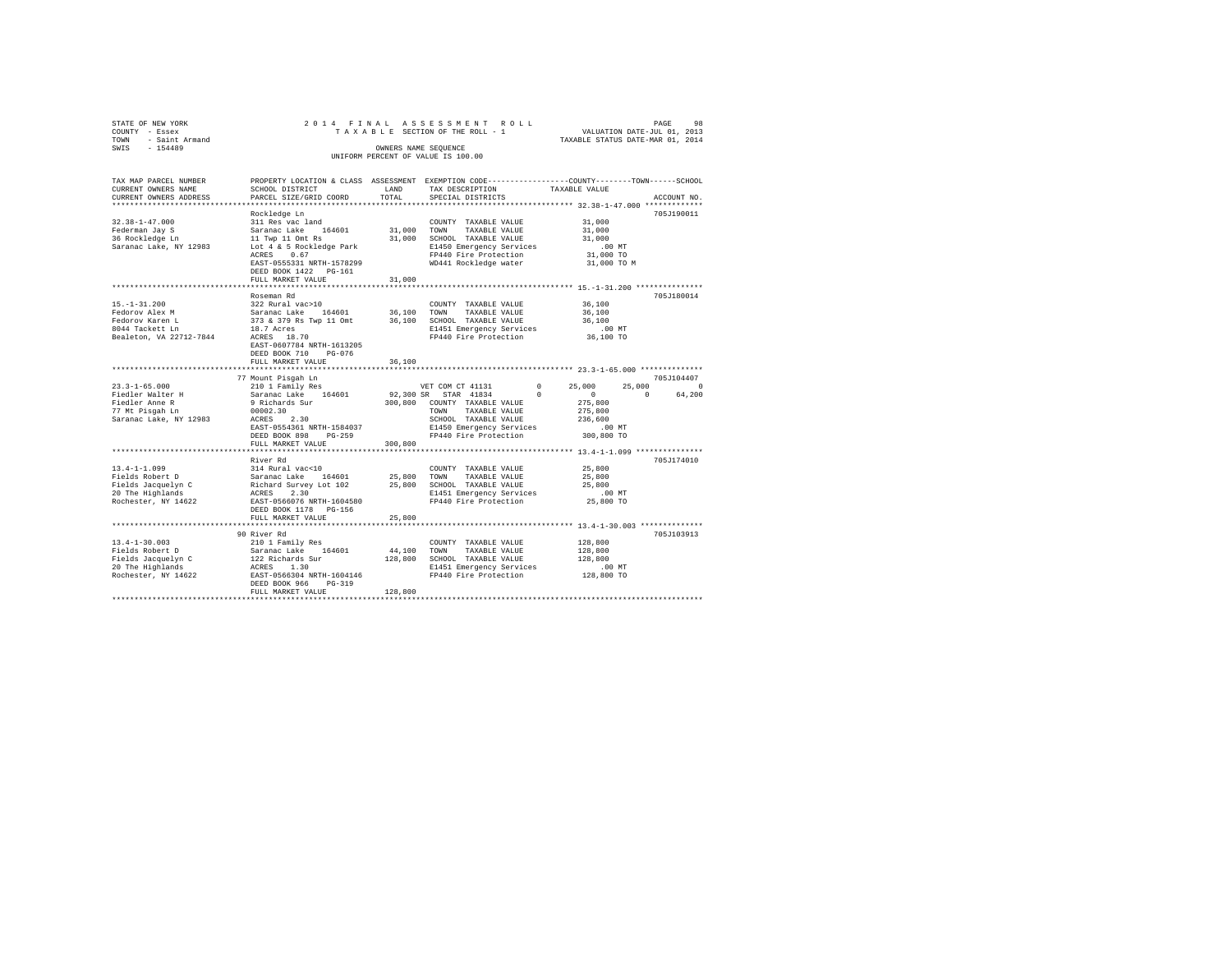| STATE OF NEW YORK<br>COUNTY - Essex<br>TOWN - Saint Armand<br>SWIS - 154489                                                                                                                                                                                                                                                                                                                    |                                                                                                                                              |               | 2014 FINAL ASSESSMENT ROLL                                                                                                                                                                      |                      | PAGE<br>98  |
|------------------------------------------------------------------------------------------------------------------------------------------------------------------------------------------------------------------------------------------------------------------------------------------------------------------------------------------------------------------------------------------------|----------------------------------------------------------------------------------------------------------------------------------------------|---------------|-------------------------------------------------------------------------------------------------------------------------------------------------------------------------------------------------|----------------------|-------------|
| TAX MAP PARCEL NUMBER<br>CURRENT OWNERS NAME<br>CURRENT OWNERS ADDRESS                                                                                                                                                                                                                                                                                                                         | PROPERTY LOCATION & CLASS ASSESSMENT EXEMPTION CODE---------------COUNTY-------TOWN------SCHOOL<br>SCHOOL DISTRICT<br>PARCEL SIZE/GRID COORD | LAND<br>TOTAL | TAX DESCRIPTION<br>SPECIAL DISTRICTS                                                                                                                                                            | TAXABLE VALUE        | ACCOUNT NO. |
|                                                                                                                                                                                                                                                                                                                                                                                                |                                                                                                                                              |               |                                                                                                                                                                                                 |                      |             |
|                                                                                                                                                                                                                                                                                                                                                                                                |                                                                                                                                              |               |                                                                                                                                                                                                 |                      | 705J190011  |
|                                                                                                                                                                                                                                                                                                                                                                                                |                                                                                                                                              |               | COUNTY TAXABLE VALUE                                                                                                                                                                            | 31,000               |             |
|                                                                                                                                                                                                                                                                                                                                                                                                |                                                                                                                                              |               |                                                                                                                                                                                                 | 31,000               |             |
|                                                                                                                                                                                                                                                                                                                                                                                                |                                                                                                                                              |               |                                                                                                                                                                                                 | 31,000<br>$.00$ MT   |             |
|                                                                                                                                                                                                                                                                                                                                                                                                |                                                                                                                                              |               |                                                                                                                                                                                                 | 31,000 TO            |             |
| $\begin{tabular}{l c c c c c c c c} \multicolumn{4}{c c c c} \multicolumn{4}{c c c} \multicolumn{4}{c c c} \multicolumn{4}{c c c} \multicolumn{4}{c c c} \multicolumn{4}{c c c} \multicolumn{4}{c c c} \multicolumn{4}{c c c} \multicolumn{4}{c c c} \multicolumn{4}{c c c} \multicolumn{4}{c c c} \multicolumn{4}{c c c} \multicolumn{4}{c c c} \multicolumn{4}{c c c} \multicolumn{4}{c c c$ |                                                                                                                                              |               |                                                                                                                                                                                                 | 31,000 TO M          |             |
|                                                                                                                                                                                                                                                                                                                                                                                                | FULL MARKET VALUE                                                                                                                            | 31,000        |                                                                                                                                                                                                 |                      |             |
|                                                                                                                                                                                                                                                                                                                                                                                                |                                                                                                                                              |               |                                                                                                                                                                                                 |                      |             |
|                                                                                                                                                                                                                                                                                                                                                                                                | Roseman Rd                                                                                                                                   |               |                                                                                                                                                                                                 |                      | 705J180014  |
| $15. - 1 - 31.200$                                                                                                                                                                                                                                                                                                                                                                             | 322 Rural vac>10                                                                                                                             |               | COUNTY TAXABLE VALUE                                                                                                                                                                            | 36,100               |             |
|                                                                                                                                                                                                                                                                                                                                                                                                |                                                                                                                                              |               |                                                                                                                                                                                                 | 36,100               |             |
|                                                                                                                                                                                                                                                                                                                                                                                                |                                                                                                                                              |               |                                                                                                                                                                                                 | 36,100               |             |
|                                                                                                                                                                                                                                                                                                                                                                                                |                                                                                                                                              |               | E1451 Emergency Services<br>E1451 Energency Services<br>FP440 Fire Protection 36,100 TO                                                                                                         |                      |             |
|                                                                                                                                                                                                                                                                                                                                                                                                | EAST-0607784 NRTH-1613205<br>DEED BOOK 710 PG-076                                                                                            |               |                                                                                                                                                                                                 |                      |             |
|                                                                                                                                                                                                                                                                                                                                                                                                | FULL MARKET VALUE                                                                                                                            | 36,100        |                                                                                                                                                                                                 |                      |             |
|                                                                                                                                                                                                                                                                                                                                                                                                | 77 Mount Pisgah Ln                                                                                                                           |               |                                                                                                                                                                                                 |                      | 705J104407  |
| $23.3 - 1 - 65.000$                                                                                                                                                                                                                                                                                                                                                                            | 210 1 Family Res<br>Saranac Lake 164601<br>9 Richards Sur<br>00001 20                                                                        |               | VET COM CT 41131                                                                                                                                                                                | $0 \t 25,000$        | 25,000 0    |
| Fiedler Walter H                                                                                                                                                                                                                                                                                                                                                                               |                                                                                                                                              |               |                                                                                                                                                                                                 |                      | 0 64.200    |
|                                                                                                                                                                                                                                                                                                                                                                                                |                                                                                                                                              |               | $\begin{array}{cccc} 92,300 \text{ SR} & \text{STAR} & 41834 & 0 & 0 \\ 300,800 & \text{COUNTY} & \text{TAXABLE VALUE} & 275,800 \\ & \text{TOWN} & \text{TAXABLE VALUE} & 275,800 \end{array}$ | 275,800              |             |
| Fiedler Anne R<br>77 Mt Pisgah Ln                                                                                                                                                                                                                                                                                                                                                              | 9 Alchards Sur<br>00002.30<br>ACRES 2.30                                                                                                     |               |                                                                                                                                                                                                 |                      |             |
| Saranac Lake, NY 12983                                                                                                                                                                                                                                                                                                                                                                         |                                                                                                                                              |               |                                                                                                                                                                                                 |                      |             |
|                                                                                                                                                                                                                                                                                                                                                                                                | EAST-0554361 NRTH-1584037                                                                                                                    |               |                                                                                                                                                                                                 |                      |             |
|                                                                                                                                                                                                                                                                                                                                                                                                | DEED BOOK 898 PG-259                                                                                                                         |               |                                                                                                                                                                                                 |                      |             |
|                                                                                                                                                                                                                                                                                                                                                                                                | FULL MARKET VALUE                                                                                                                            | 300,800       |                                                                                                                                                                                                 |                      |             |
|                                                                                                                                                                                                                                                                                                                                                                                                |                                                                                                                                              |               |                                                                                                                                                                                                 |                      |             |
|                                                                                                                                                                                                                                                                                                                                                                                                | River Rd                                                                                                                                     |               |                                                                                                                                                                                                 |                      | 705J174010  |
|                                                                                                                                                                                                                                                                                                                                                                                                |                                                                                                                                              |               |                                                                                                                                                                                                 | 25,800<br>25,800     |             |
|                                                                                                                                                                                                                                                                                                                                                                                                |                                                                                                                                              |               |                                                                                                                                                                                                 | 25,800               |             |
|                                                                                                                                                                                                                                                                                                                                                                                                |                                                                                                                                              |               | 23,800 SCHOL HAABLE VALUE<br>E1451 Emergency Services  00 MT<br>FP440 Fire Protection  25,800 TO                                                                                                |                      |             |
|                                                                                                                                                                                                                                                                                                                                                                                                |                                                                                                                                              |               |                                                                                                                                                                                                 |                      |             |
|                                                                                                                                                                                                                                                                                                                                                                                                |                                                                                                                                              |               |                                                                                                                                                                                                 |                      |             |
|                                                                                                                                                                                                                                                                                                                                                                                                | FULL MARKET VALUE                                                                                                                            | 25,800        |                                                                                                                                                                                                 |                      |             |
|                                                                                                                                                                                                                                                                                                                                                                                                |                                                                                                                                              |               |                                                                                                                                                                                                 |                      |             |
|                                                                                                                                                                                                                                                                                                                                                                                                | 90 River Rd                                                                                                                                  |               |                                                                                                                                                                                                 |                      | 705J103913  |
| $13.4 - 1 - 30.003$                                                                                                                                                                                                                                                                                                                                                                            |                                                                                                                                              |               | COUNTY TAXABLE VALUE                                                                                                                                                                            | 128,800              |             |
| Fields Robert D                                                                                                                                                                                                                                                                                                                                                                                | 210 1 Family Res<br>Saranac Lake 164601                                                                                                      |               | $44\,,100$ $\,$ TOWN $\,$ TAXABLE VALUE                                                                                                                                                         | 128,800              |             |
|                                                                                                                                                                                                                                                                                                                                                                                                |                                                                                                                                              |               | 128,800 SCHOOL TAXABLE VALUE                                                                                                                                                                    | 128,800              |             |
| Fields Jacquelyn C<br>20 The Highlands<br>Rochester, NY 14622                                                                                                                                                                                                                                                                                                                                  | 122 Richards Sur<br>ACRES 1.30<br>EAST-0566304 NRTH-1604146                                                                                  |               | E1451 Emergency Services<br>FP440 Fire Protection                                                                                                                                               | 00 MT.<br>128,800 TO |             |
|                                                                                                                                                                                                                                                                                                                                                                                                | DEED BOOK 966 PG-319                                                                                                                         |               |                                                                                                                                                                                                 |                      |             |
|                                                                                                                                                                                                                                                                                                                                                                                                | FULL MARKET VALUE                                                                                                                            | 128,800       |                                                                                                                                                                                                 |                      |             |
|                                                                                                                                                                                                                                                                                                                                                                                                |                                                                                                                                              |               |                                                                                                                                                                                                 |                      |             |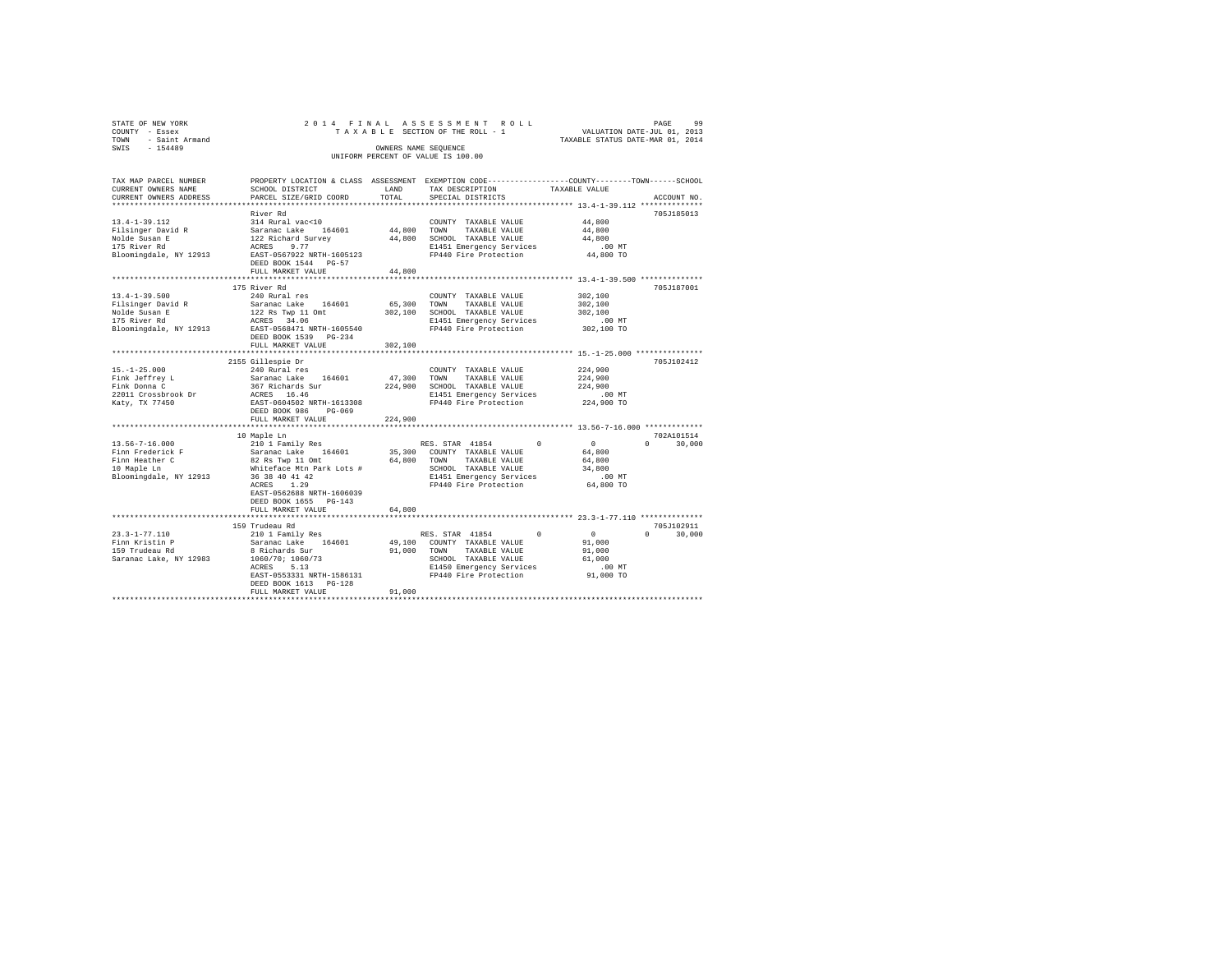| STATE OF NEW YORK<br>COUNTY - Essex<br>TOWN - Saint Armand<br>SWIS - 154489 | T A A A - -<br>OWNERS NAME SEQUENCE<br>UNIFORM PERCENT OF VALUE IS 100.00 |             | 2014 FINAL ASSESSMENT ROLL<br>$\begin{array}{cccccccccccccc} \texttt{TA X A B L B} & \texttt{SECTION OF THE ROLL} & \texttt{1} & \texttt{2} & \texttt{3} & \texttt{5} & \texttt{5} & \texttt{6} & \texttt{7} & \texttt{8} & \texttt{8} & \texttt{8} & \texttt{7} & \texttt{8} & \texttt{8} & \texttt{9} & \texttt{1} & \texttt{1} & \texttt{1} & \texttt{1} & \texttt{1} & \texttt{1} & \texttt{1} & \texttt{1} & \texttt{1} & \texttt{1} & \texttt{1} & \texttt{1} & \texttt$ |                                            | 99<br>PAGE                  |
|-----------------------------------------------------------------------------|---------------------------------------------------------------------------|-------------|--------------------------------------------------------------------------------------------------------------------------------------------------------------------------------------------------------------------------------------------------------------------------------------------------------------------------------------------------------------------------------------------------------------------------------------------------------------------------------|--------------------------------------------|-----------------------------|
| TAX MAP PARCEL NUMBER<br>CURRENT OWNERS NAME<br>CURRENT OWNERS ADDRESS      | SCHOOL DISTRICT<br>PARCEL SIZE/GRID COORD                                 | TOTAL       | PROPERTY LOCATION & CLASS ASSESSMENT EXEMPTION CODE----------------COUNTY--------TOWN------SCHOOL<br>SCHOOL DISTRICT<br>LAND TAX DESCRIPTION<br>SPECIAL DISTRICTS                                                                                                                                                                                                                                                                                                              | TAXABLE VALUE                              | ACCOUNT NO.                 |
|                                                                             | River Rd                                                                  |             |                                                                                                                                                                                                                                                                                                                                                                                                                                                                                |                                            | 705J185013                  |
|                                                                             |                                                                           |             |                                                                                                                                                                                                                                                                                                                                                                                                                                                                                | 44,800                                     |                             |
|                                                                             |                                                                           |             |                                                                                                                                                                                                                                                                                                                                                                                                                                                                                | 44,800                                     |                             |
|                                                                             |                                                                           |             |                                                                                                                                                                                                                                                                                                                                                                                                                                                                                | 44,800                                     |                             |
|                                                                             |                                                                           |             |                                                                                                                                                                                                                                                                                                                                                                                                                                                                                | $.00$ MT                                   |                             |
|                                                                             | DEED BOOK 1544 PG-57                                                      |             |                                                                                                                                                                                                                                                                                                                                                                                                                                                                                | 44,800 TO                                  |                             |
|                                                                             | FULL MARKET VALUE                                                         | 44,800      |                                                                                                                                                                                                                                                                                                                                                                                                                                                                                |                                            |                             |
|                                                                             | 175 River Rd                                                              |             |                                                                                                                                                                                                                                                                                                                                                                                                                                                                                |                                            | 705J187001                  |
| $13.4 - 1 - 39.500$                                                         | 240 Rural res                                                             |             | COUNTY TAXABLE VALUE                                                                                                                                                                                                                                                                                                                                                                                                                                                           | 302,100                                    |                             |
|                                                                             |                                                                           |             | Saranac Lake 164601 65,300 "YOWN" TAXABLE VALUE<br>122 Rs Twp 11 Omt 302,100 SCHOOL TAXABLE VALUE<br>ACRES 34.06 - SARAGE ENGEL 2015 STATE WERE SARAGE 34.06                                                                                                                                                                                                                                                                                                                   | 302,100                                    |                             |
| Filsinger David R<br>Nolde Susan E<br>175 River Rd                          |                                                                           |             |                                                                                                                                                                                                                                                                                                                                                                                                                                                                                | 302,100                                    |                             |
|                                                                             |                                                                           |             |                                                                                                                                                                                                                                                                                                                                                                                                                                                                                | 00 MT.<br>302,100 TO                       |                             |
| Bloomingdale, NY 12913                                                      | EAST-0568471 NRTH-1605540<br>DEED BOOK 1539    PG-234                     |             | FP440 Fire Protection                                                                                                                                                                                                                                                                                                                                                                                                                                                          |                                            |                             |
|                                                                             | FULL MARKET VALUE                                                         | 302,100     |                                                                                                                                                                                                                                                                                                                                                                                                                                                                                |                                            |                             |
|                                                                             |                                                                           |             |                                                                                                                                                                                                                                                                                                                                                                                                                                                                                |                                            | 705J102412                  |
|                                                                             | 2155 Gillespie Dr<br>240 Rural res                                        |             | COUNTY TAXABLE VALUE                                                                                                                                                                                                                                                                                                                                                                                                                                                           | 224,900                                    |                             |
| 15.-1-25.000<br>Fink Jeffrey L<br>Fink Donna C                              | Saranac Lake 164601                                                       | 47,300 TOWN | TAXABLE VALUE                                                                                                                                                                                                                                                                                                                                                                                                                                                                  | 224,900                                    |                             |
|                                                                             | 367 Richards Sur                                                          |             | 224,900 SCHOOL TAXABLE VALUE                                                                                                                                                                                                                                                                                                                                                                                                                                                   | 224,900                                    |                             |
|                                                                             | ACRES 16.46<br>EAST-0604502 NRTH-1613308                                  |             | E1451 Emergency Services                                                                                                                                                                                                                                                                                                                                                                                                                                                       | $.00$ MT                                   |                             |
| 22011 Crossbrook Dr<br>Katy, TX 77450                                       |                                                                           |             | FP440 Fire Protection 224,900 TO                                                                                                                                                                                                                                                                                                                                                                                                                                               |                                            |                             |
|                                                                             | DEED BOOK 986 PG-069                                                      |             |                                                                                                                                                                                                                                                                                                                                                                                                                                                                                |                                            |                             |
|                                                                             | FULL MARKET VALUE                                                         | 224,900     |                                                                                                                                                                                                                                                                                                                                                                                                                                                                                |                                            |                             |
|                                                                             |                                                                           |             |                                                                                                                                                                                                                                                                                                                                                                                                                                                                                |                                            |                             |
|                                                                             |                                                                           |             |                                                                                                                                                                                                                                                                                                                                                                                                                                                                                |                                            | 702A101514<br>$0 \t 30.000$ |
|                                                                             |                                                                           |             |                                                                                                                                                                                                                                                                                                                                                                                                                                                                                |                                            |                             |
|                                                                             |                                                                           |             |                                                                                                                                                                                                                                                                                                                                                                                                                                                                                |                                            |                             |
|                                                                             |                                                                           |             |                                                                                                                                                                                                                                                                                                                                                                                                                                                                                |                                            |                             |
|                                                                             |                                                                           |             |                                                                                                                                                                                                                                                                                                                                                                                                                                                                                | .00MT                                      |                             |
|                                                                             |                                                                           |             |                                                                                                                                                                                                                                                                                                                                                                                                                                                                                | 64,800 TO                                  |                             |
|                                                                             | EAST-0562688 NRTH-1606039                                                 |             |                                                                                                                                                                                                                                                                                                                                                                                                                                                                                |                                            |                             |
|                                                                             | DEED BOOK 1655 PG-143                                                     |             |                                                                                                                                                                                                                                                                                                                                                                                                                                                                                |                                            |                             |
|                                                                             | FULL MARKET VALUE                                                         | 64,800      |                                                                                                                                                                                                                                                                                                                                                                                                                                                                                |                                            |                             |
|                                                                             | 159 Trudeau Rd                                                            |             |                                                                                                                                                                                                                                                                                                                                                                                                                                                                                |                                            | 705J102911                  |
| 23.3-1-77.110                                                               | 210 1 Family Res<br>Saranac Lake 164601                                   |             | RES. STAR 41854                                                                                                                                                                                                                                                                                                                                                                                                                                                                | $\sim$ 0<br>0                              | 30,000<br>$\Omega$          |
|                                                                             |                                                                           |             | 49,100 COUNTY TAXABLE VALUE                                                                                                                                                                                                                                                                                                                                                                                                                                                    | $\begin{array}{c} 0 \\ 91,000 \end{array}$ |                             |
| Finn Kristin P<br>159 Trudeau Rd                                            | 8 Richards Sur<br>1060/70; 1060/73<br>ACRES 5.13                          |             |                                                                                                                                                                                                                                                                                                                                                                                                                                                                                |                                            |                             |
| Saranac Lake, NY 12983                                                      |                                                                           |             |                                                                                                                                                                                                                                                                                                                                                                                                                                                                                |                                            |                             |
|                                                                             |                                                                           |             |                                                                                                                                                                                                                                                                                                                                                                                                                                                                                |                                            |                             |
|                                                                             |                                                                           |             |                                                                                                                                                                                                                                                                                                                                                                                                                                                                                |                                            |                             |
|                                                                             | DEED BOOK 1613 PG-128                                                     |             |                                                                                                                                                                                                                                                                                                                                                                                                                                                                                |                                            |                             |
|                                                                             | FULL MARKET VALUE                                                         | 91,000      |                                                                                                                                                                                                                                                                                                                                                                                                                                                                                |                                            |                             |
|                                                                             |                                                                           |             |                                                                                                                                                                                                                                                                                                                                                                                                                                                                                |                                            |                             |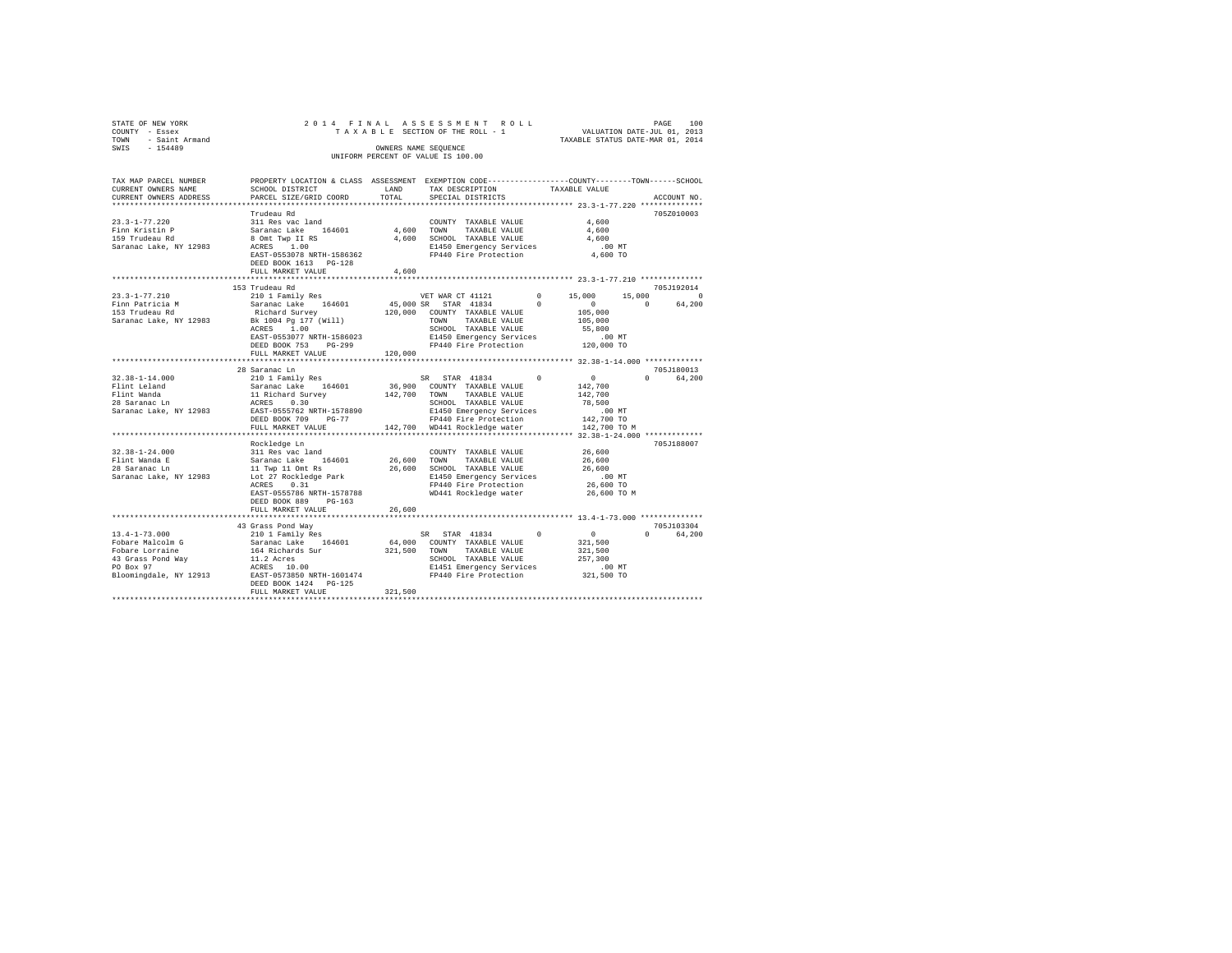| STATE OF NEW YORK                                                           |                           |                      | 2014 FINAL ASSESSMENT ROLL         |                                                              | 100<br>PAGE                      |
|-----------------------------------------------------------------------------|---------------------------|----------------------|------------------------------------|--------------------------------------------------------------|----------------------------------|
| COUNTY - Essex                                                              |                           |                      | TAXABLE SECTION OF THE ROLL - 1    |                                                              | VALUATION DATE-JUL 01, 2013      |
| - Saint Armand<br>TOWN                                                      |                           |                      |                                    |                                                              | TAXABLE STATUS DATE-MAR 01, 2014 |
| SWIS<br>$-154489$                                                           |                           | OWNERS NAME SEOUENCE |                                    |                                                              |                                  |
|                                                                             |                           |                      | UNIFORM PERCENT OF VALUE IS 100.00 |                                                              |                                  |
|                                                                             |                           |                      |                                    |                                                              |                                  |
|                                                                             |                           |                      |                                    |                                                              |                                  |
| TAX MAP PARCEL NUMBER                                                       | PROPERTY LOCATION & CLASS | ASSESSMENT           |                                    | EXEMPTION CODE-----------------COUNTY-------TOWN------SCHOOL |                                  |
| CURRENT OWNERS NAME                                                         | SCHOOL DISTRICT           | LAND                 | TAX DESCRIPTION                    | TAXABLE VALUE                                                |                                  |
| CURRENT OWNERS ADDRESS . PARCEL SIZE/GRID COORD . TOTAL . SPECIAL DISTRICTS |                           |                      |                                    |                                                              | ACCOUNT NO.                      |
|                                                                             |                           |                      |                                    |                                                              |                                  |
|                                                                             | Trudeau Rd                |                      |                                    |                                                              | 705Z010003                       |
| $23.3 - 1 - 77.220$                                                         | 311 Res vac land          |                      | COUNTY<br>TAXABLE VALUE            | 4,600                                                        |                                  |
| Finn Kristin P                                                              | Saranac Lake 164601       | 4,600                | TOWN<br>TAXABLE VALUE              | 4,600                                                        |                                  |
| 159 Trudeau Rd                                                              | 8 Omt Twp II RS           | 4,600                | SCHOOL TAXABLE VALUE               | 4,600                                                        |                                  |
| Saranac Lake, NY 12983                                                      | ACRES 1.00                |                      | E1450 Emergency Services           | .00MT                                                        |                                  |

| Saranac Lake, NY 12983                  | ACRES 1.00<br>EAST-0553078 NRTH-1586362<br>DEED BOOK 1613 PG-128<br>FULL MARKET VALUE | E1450 Emergency Services<br>FP440 Fire Protection<br>4,600           |               | $.00$ MT<br>4,600 TO              |                         |
|-----------------------------------------|---------------------------------------------------------------------------------------|----------------------------------------------------------------------|---------------|-----------------------------------|-------------------------|
|                                         |                                                                                       |                                                                      |               |                                   |                         |
| $23.3 - 1 - 77.210$                     | 153 Trudeau Rd                                                                        | VET WAR CT 41121                                                     | $\Omega$      | 15,000<br>15,000                  | 705.T192014<br>$\Omega$ |
| Finn Patricia M                         | 210 1 Family Res<br>Saranac Lake 164601 45,000 SR STAR 41834                          |                                                                      | $\Omega$      | $\sim$ 0                          | $\Omega$<br>64,200      |
| 153 Trudeau Rd                          | Richard Survey                                                                        | 120,000 COUNTY TAXABLE VALUE                                         |               | 105,000                           |                         |
|                                         | Saranac Lake, NY 12983 Bk 1004 Pg 177 (Will)                                          | TOWN                                                                 | TAXABLE VALUE | 105,000                           |                         |
|                                         | ACRES 1.00                                                                            | SCHOOL TAXABLE VALUE                                                 |               | 55,800                            |                         |
|                                         | EAST-0553077 NRTH-1586023                                                             |                                                                      |               |                                   |                         |
|                                         | DEED BOOK 753 PG-299                                                                  | E1450 Emergency Services 6.00 MT<br>FP440 Fire Protection 120,000 TO |               |                                   |                         |
|                                         |                                                                                       |                                                                      |               |                                   |                         |
|                                         |                                                                                       |                                                                      |               |                                   |                         |
|                                         | 28 Saranac Ln                                                                         |                                                                      |               |                                   | 705.T180013             |
| $32.38 - 1 - 14.000$                    | 210 1 Family Res                                                                      | SR STAR 41834                                                        | $\sim$ 0      | $\sim$ 0                          | $\cap$<br>64,200        |
| Flint Leland                            | Saranac Lake 164601<br>Saranac Lake 164601<br>11 Richard Survey                       | 36,900 COUNTY TAXABLE VALUE                                          |               | 142,700                           |                         |
| Flint Wanda                             | 0.30                                                                                  | 142,700 TOWN                                                         | TAXABLE VALUE | 142,700                           |                         |
| 28 Saranac Ln<br>Saranac Lake, NY 12983 | ACRES<br>EAST-0555762 NRTH-1578890                                                    | SCHOOL TAXABLE VALUE<br>E1450 Emergency Services                     |               | 78,500<br>.00 MT                  |                         |
|                                         | DEED BOOK 709 PG-77                                                                   | FP440 Fire Protection                                                |               | 142,700 TO                        |                         |
|                                         | FULL MARKET VALUE                                                                     | 142,700 WD441 Rockledge water                                        |               | 142,700 TO M                      |                         |
|                                         |                                                                                       |                                                                      |               |                                   |                         |
|                                         | Rockledge Ln                                                                          |                                                                      |               |                                   | 705J188007              |
| $32.38 - 1 - 24.000$                    | 311 Res vac land                                                                      | COUNTY TAXABLE VALUE                                                 |               | 26,600                            |                         |
| Flint Wanda E                           | 164601 26,600<br>Saranac Lake                                                         | TAXABLE VALUE<br>TOWN                                                |               | 26,600                            |                         |
| 28 Saranac Ln                           | 11 Twp 11 Omt Rs                                                                      | 26,600<br>SCHOOL TAXABLE VALUE                                       |               | 26,600                            |                         |
| Saranac Lake, NY 12983                  | Lot 27 Rockledge Park                                                                 | E1450 Emergency Services                                             |               | .00MT                             |                         |
|                                         | ACRES<br>0.31                                                                         |                                                                      |               | FP440 Fire Protection 26,600 TO   |                         |
|                                         | EAST-0555786 NRTH-1578788                                                             | WD441 Rockledge water                                                |               | 26,600 TO M                       |                         |
|                                         | DEED BOOK 889 PG-163<br>FULL MARKET VALUE                                             | 26,600                                                               |               |                                   |                         |
|                                         |                                                                                       |                                                                      |               |                                   |                         |
|                                         | 43 Grass Pond Way                                                                     |                                                                      |               |                                   | 705.T103304             |
| $13.4 - 1 - 73.000$                     | 210 1 Family Res                                                                      | SR STAR 41834                                                        | $\sim$ 0      | $\sim$ 0 $\sim$                   | $\Omega$<br>64,200      |
| Fobare Malcolm G                        | Saranac Lake 164601                                                                   | 64,000 COUNTY TAXABLE VALUE                                          |               | 321,500                           |                         |
| Fobare Lorraine                         | 164 Richards Sur<br>11.2 Acres                                                        | 321,500 TOWN TAXABLE VALUE                                           |               | 321,500                           |                         |
|                                         |                                                                                       | SCHOOL TAXABLE VALUE                                                 |               | 257,300                           |                         |
| PO Box 97                               | ACRES 10.00                                                                           |                                                                      |               | E1451 Emergency Services .00 MT   |                         |
|                                         | Bloomingdale, NY 12913 EAST-0573850 NRTH-1601474                                      | FP440 Fire Protection 321,500 TO                                     |               |                                   |                         |
|                                         | DEED BOOK 1424 PG-125                                                                 |                                                                      |               |                                   |                         |
|                                         | FULL MARKET VALUE                                                                     | 321,500                                                              |               | ********************************* |                         |
|                                         |                                                                                       |                                                                      |               |                                   |                         |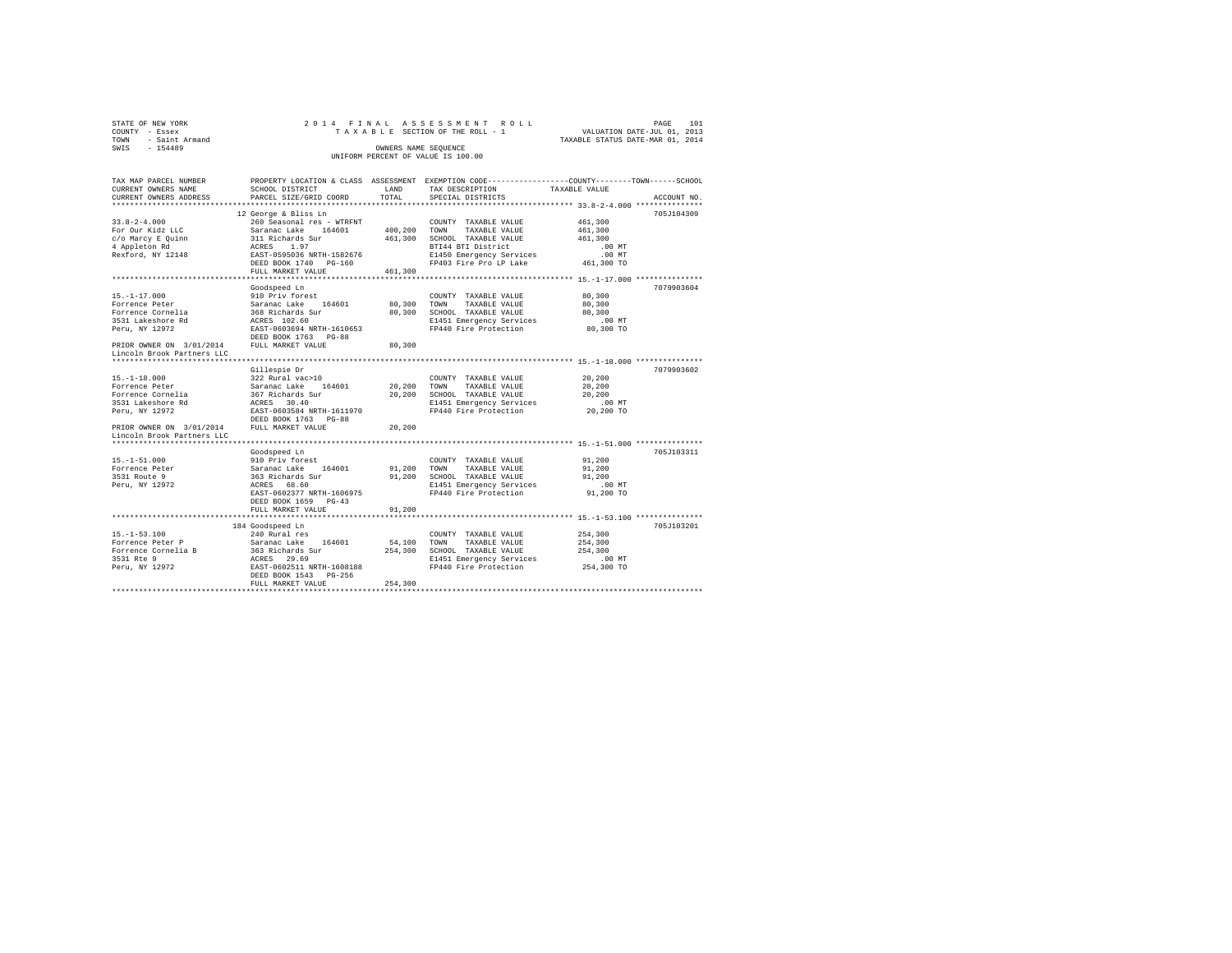| STATE OF NEW YORK                  | 2014 FINAL ASSESSMENT ROLL      | 1.01<br>PAGE                     |  |  |  |  |  |  |  |
|------------------------------------|---------------------------------|----------------------------------|--|--|--|--|--|--|--|
| COUNTY - Essex                     | TAXABLE SECTION OF THE ROLL - 1 | VALUATION DATE-JUL 01, 2013      |  |  |  |  |  |  |  |
| TOWN - Saint Armand                |                                 | TAXABLE STATUS DATE-MAR 01, 2014 |  |  |  |  |  |  |  |
| SWTS<br>$-154489$                  | OWNERS NAME SEOUENCE            |                                  |  |  |  |  |  |  |  |
| UNIFORM PERCENT OF VALUE IS 100.00 |                                 |                                  |  |  |  |  |  |  |  |
|                                    |                                 |                                  |  |  |  |  |  |  |  |

| TAX MAP PARCEL NUMBER                      |                                                                                                                      |              |                                                                       | PROPERTY LOCATION & CLASS ASSESSMENT EXEMPTION CODE----------------COUNTY-------TOWN-----SCHOOL |  |
|--------------------------------------------|----------------------------------------------------------------------------------------------------------------------|--------------|-----------------------------------------------------------------------|-------------------------------------------------------------------------------------------------|--|
| CURRENT OWNERS NAME                        | SCHOOL DISTRICT                                                                                                      | LAND         | TAX DESCRIPTION                                                       | TAXABLE VALUE                                                                                   |  |
| CURRENT OWNERS ADDRESS                     | PARCEL SIZE/GRID COORD                                                                                               | TOTAL        | SPECIAL DISTRICTS                                                     | ACCOUNT NO.                                                                                     |  |
|                                            |                                                                                                                      |              |                                                                       |                                                                                                 |  |
|                                            | 12 George & Bliss Ln                                                                                                 |              |                                                                       | 705J104309                                                                                      |  |
| $33.8 - 2 - 4.000$                         | 260 Seasonal res - WTRFNT                                                                                            |              | COUNTY TAXABLE VALUE                                                  | 461,300                                                                                         |  |
| For Our Kidz LLC                           |                                                                                                                      | 400,200 TOWN | TAXABLE VALUE                                                         | 461,300                                                                                         |  |
| c/o Marcy E Quinn                          |                                                                                                                      |              | 461,300 SCHOOL TAXABLE VALUE                                          | 461,300                                                                                         |  |
| 4 Appleton Rd                              | Saranac Lake - WIKENT<br>Saranac Lake 164601<br>311 Richards Sur<br>ACRES 1.97<br>EAST-0595036 NRTH-1582676          |              | BTI44 BTI District                                                    | .00MT                                                                                           |  |
| Rexford, NY 12148                          |                                                                                                                      |              | E1450 Emergency Services .00 MT<br>FP403 Fire Pro LP Lake  461,300 TO |                                                                                                 |  |
|                                            | DEED BOOK 1740 PG-160                                                                                                |              |                                                                       |                                                                                                 |  |
|                                            | FULL MARKET VALUE                                                                                                    | 461,300      |                                                                       |                                                                                                 |  |
|                                            |                                                                                                                      |              |                                                                       |                                                                                                 |  |
|                                            | Goodspeed Ln                                                                                                         |              |                                                                       | 7079903604                                                                                      |  |
| $15. - 1 - 17.000$                         | 910 Priv forest                                                                                                      |              | COUNTY TAXABLE VALUE                                                  | 80,300                                                                                          |  |
| Forrence Peter                             | Saranac Lake 164601 80,300 TOWN                                                                                      |              | TAXABLE VALUE                                                         | 80,300                                                                                          |  |
| Forrence Cornelia                          |                                                                                                                      |              | 80,300 SCHOOL TAXABLE VALUE                                           | 80,300                                                                                          |  |
| 3531 Lakeshore Rd                          | 368 Richards Sur<br>ACRES 102.60                                                                                     |              | E1451 Emergency Services                                              | $.00$ MT                                                                                        |  |
| Peru, NY 12972                             |                                                                                                                      |              | FP440 Fire Protection 80,300 TO                                       |                                                                                                 |  |
|                                            | EAST-0603694 NRTH-1610653<br>DEED BOOK 1763 PG-88                                                                    |              |                                                                       |                                                                                                 |  |
| PRIOR OWNER ON 3/01/2014 FULL MARKET VALUE |                                                                                                                      | 80,300       |                                                                       |                                                                                                 |  |
| Lincoln Brook Partners LLC                 |                                                                                                                      |              |                                                                       |                                                                                                 |  |
|                                            |                                                                                                                      |              |                                                                       |                                                                                                 |  |
|                                            |                                                                                                                      |              |                                                                       | 7079903602                                                                                      |  |
| $15. - 1 - 18.000$                         | Gillespie Dr                                                                                                         |              | COUNTY TAXABLE VALUE                                                  | 20,200                                                                                          |  |
| Forrence Peter                             | 322 Rural vac>10<br>Saranac Lake 164601<br>367 Richards Sur<br>ACRES 30.40<br>RES 30.40<br>EAST-0603584 NRTH-1611970 | 20,200 TOWN  | TAXABLE VALUE                                                         | 20,200                                                                                          |  |
| Forrence Cornelia                          |                                                                                                                      |              | 20,200 SCHOOL TAXABLE VALUE                                           | 20,200                                                                                          |  |
| 3531 Lakeshore Rd                          |                                                                                                                      |              |                                                                       |                                                                                                 |  |
|                                            |                                                                                                                      |              | E1451 Emergency Services .00 MT<br>FP440 Fire Protection              |                                                                                                 |  |
| Peru, NY 12972                             |                                                                                                                      |              |                                                                       | 20,200 TO                                                                                       |  |
| PRIOR OWNER ON 3/01/2014 FULL MARKET VALUE | DEED BOOK 1763 PG-88                                                                                                 |              |                                                                       |                                                                                                 |  |
|                                            |                                                                                                                      | 20,200       |                                                                       |                                                                                                 |  |
| Lincoln Brook Partners LLC                 |                                                                                                                      |              |                                                                       |                                                                                                 |  |
|                                            |                                                                                                                      |              |                                                                       |                                                                                                 |  |
|                                            | Goodspeed Ln                                                                                                         |              |                                                                       | 705J103311                                                                                      |  |
| $15. - 1 - 51.000$                         | 910 Priv forest                                                                                                      |              | COUNTY TAXABLE VALUE 91.200                                           |                                                                                                 |  |
| Forrence Peter                             |                                                                                                                      |              | 91,200 TOWN TAXABLE VALUE                                             | 91,200                                                                                          |  |
| 3531 Route 9                               | Saranac Lake 164601<br>363 Richards Sur<br>ACRES 68.60                                                               |              | 91,200 SCHOOL TAXABLE VALUE                                           | 91,200                                                                                          |  |
| Peru, NY 12972                             |                                                                                                                      |              | E1451 Emergency Services                                              | $.00$ MT                                                                                        |  |
|                                            | EAST-0602377 NRTH-1606975                                                                                            |              | FP440 Fire Protection                                                 | 91,200 TO                                                                                       |  |
|                                            | DEED BOOK 1659 PG-43                                                                                                 |              |                                                                       |                                                                                                 |  |
|                                            | FULL MARKET VALUE                                                                                                    | 91,200       |                                                                       |                                                                                                 |  |
|                                            |                                                                                                                      |              |                                                                       |                                                                                                 |  |
|                                            | 184 Goodspeed Ln                                                                                                     |              |                                                                       | 705J103201                                                                                      |  |
|                                            |                                                                                                                      |              | COUNTY TAXABLE VALUE                                                  | 254,300                                                                                         |  |
|                                            |                                                                                                                      | 54,100 TOWN  | TAXABLE VALUE                                                         | 254,300                                                                                         |  |
|                                            |                                                                                                                      |              | 254,300 SCHOOL TAXABLE VALUE                                          | 254,300                                                                                         |  |
|                                            |                                                                                                                      |              | E1451 Emergency Services                                              | $.00$ MT                                                                                        |  |
| Peru, NY 12972                             |                                                                                                                      |              | FP440 Fire Protection                                                 | 254,300 TO                                                                                      |  |
|                                            | DEED BOOK 1543 PG-256                                                                                                |              |                                                                       |                                                                                                 |  |
|                                            | FULL MARKET VALUE                                                                                                    | 254,300      |                                                                       |                                                                                                 |  |
|                                            |                                                                                                                      |              |                                                                       |                                                                                                 |  |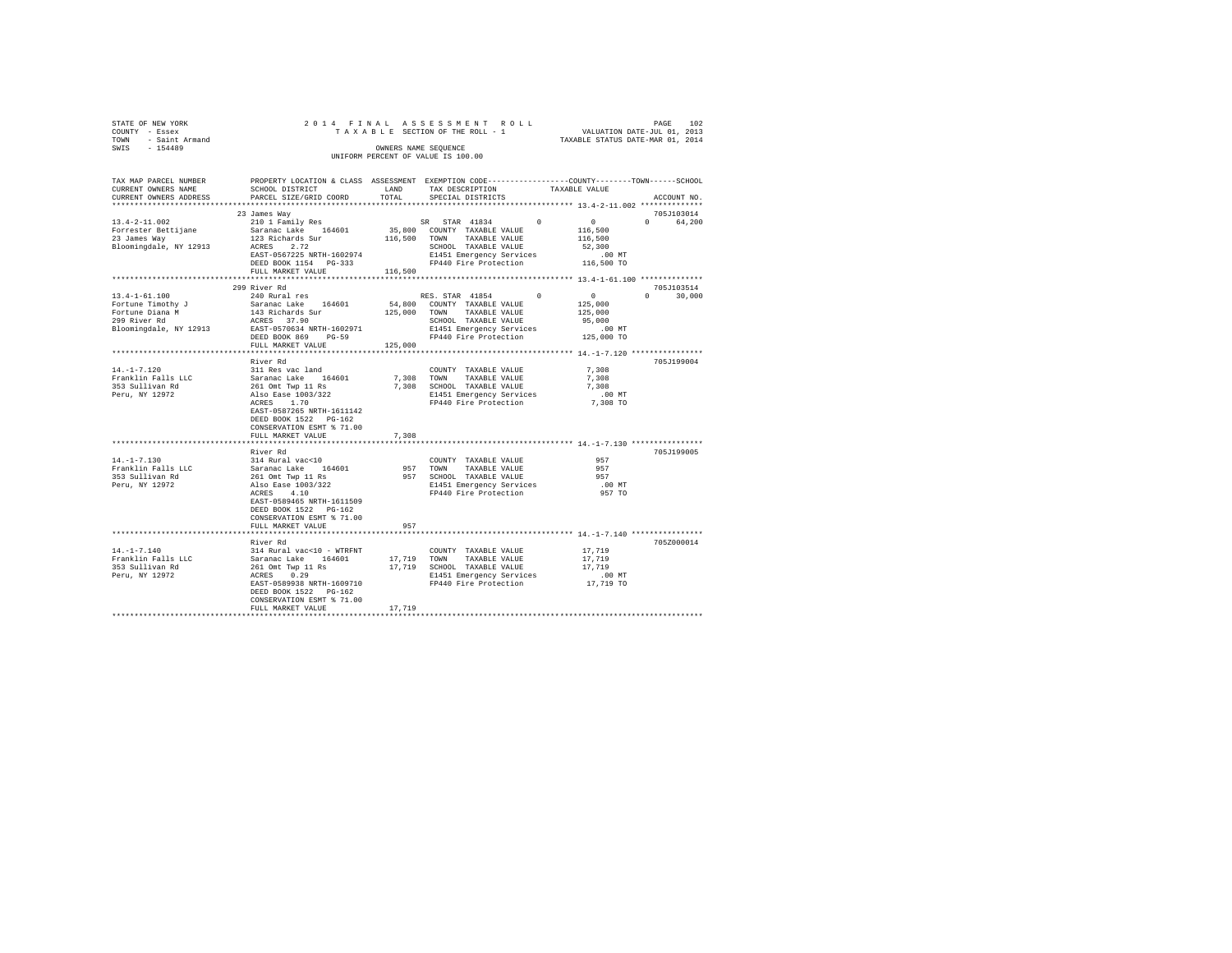| STATE OF NEW YORK                  |  |  | 2014 FINAL ASSESSMENT ROLL      |  |                                  | PAGE | 102 |  |  |
|------------------------------------|--|--|---------------------------------|--|----------------------------------|------|-----|--|--|
| COUNTY - Essex                     |  |  | TAXABLE SECTION OF THE ROLL - 1 |  | VALUATION DATE-JUL 01, 2013      |      |     |  |  |
| TOWN - Saint Armand                |  |  |                                 |  | TAXABLE STATUS DATE-MAR 01, 2014 |      |     |  |  |
| SWIS<br>$-154489$                  |  |  | OWNERS NAME SEOUENCE            |  |                                  |      |     |  |  |
| UNIFORM PERCENT OF VALUE IS 100.00 |  |  |                                 |  |                                  |      |     |  |  |

| TAX MAP PARCEL NUMBER<br>CURRENT OWNERS NAME | PROPERTY LOCATION & CLASS ASSESSMENT EXEMPTION CODE----------------COUNTY-------TOWN------SCHOOL<br>SCHOOL DISTRICT | LAND     | TAX DESCRIPTION               | TAXABLE VALUE                                             |                                 |
|----------------------------------------------|---------------------------------------------------------------------------------------------------------------------|----------|-------------------------------|-----------------------------------------------------------|---------------------------------|
| CURRENT OWNERS ADDRESS                       | PARCEL SIZE/GRID COORD                                                                                              | TOTAL    | SPECIAL DISTRICTS             |                                                           | ACCOUNT NO.                     |
|                                              | 23 James Way                                                                                                        |          |                               |                                                           | 705J103014                      |
| $13.4 - 2 - 11.002$                          | 210 1 Family Res                                                                                                    |          | SR STAR 41834                 | $\Omega$<br>$\mathbf{0}$                                  | $\Omega$ and $\Omega$<br>64,200 |
| Forrester Bettijane                          | Saranac Lake 164601                                                                                                 |          | 35,800 COUNTY TAXABLE VALUE   | 116,500                                                   |                                 |
| 23 James Way                                 | 123 Richards Sur                                                                                                    | 116,500  | TOWN TAXABLE VALUE            | 116,500                                                   |                                 |
| Bloomingdale, NY 12913                       | ACRES 2.72                                                                                                          |          | SCHOOL TAXABLE VALUE          | 52,300                                                    |                                 |
|                                              | EAST-0567225 NRTH-1602974                                                                                           |          | E1451 Emergency Services      | $.00$ MT                                                  |                                 |
|                                              | DEED BOOK 1154 PG-333                                                                                               |          | FP440 Fire Protection         | 116,500 TO                                                |                                 |
|                                              | FULL MARKET VALUE                                                                                                   | 116,500  |                               |                                                           |                                 |
|                                              | *****************************                                                                                       |          |                               |                                                           |                                 |
|                                              | 299 River Rd                                                                                                        |          |                               |                                                           | 705J103514                      |
| $13.4 - 1 - 61.100$                          | 240 Rural res                                                                                                       |          | RES. STAR 41854               | $\Omega$<br>$\circ$                                       | $\Omega$<br>30,000              |
| Fortune Timothy J                            | Saranac Lake 164601                                                                                                 |          | 54,800 COUNTY TAXABLE VALUE   | 125,000                                                   |                                 |
| Fortune Diana M                              | 143 Richards Sur                                                                                                    |          | 125,000 TOWN<br>TAXABLE VALUE | 125,000                                                   |                                 |
| 299 River Rd                                 | ACRES 37.90                                                                                                         |          | SCHOOL TAXABLE VALUE          | 95,000                                                    |                                 |
| Bloomingdale, NY 12913                       | EAST-0570634 NRTH-1602971                                                                                           |          | E1451 Emergency Services      | $.00$ MT                                                  |                                 |
|                                              | DEED BOOK 869 PG-59                                                                                                 |          | FP440 Fire Protection         | 125,000 TO                                                |                                 |
|                                              | FULL MARKET VALUE                                                                                                   | 125,000  |                               |                                                           |                                 |
|                                              |                                                                                                                     |          |                               |                                                           |                                 |
|                                              | River Rd                                                                                                            |          |                               |                                                           | 705J199004                      |
| $14. -1 - 7.120$                             | 311 Res vac land                                                                                                    |          | COUNTY TAXABLE VALUE          | 7,308                                                     |                                 |
| Franklin Falls LLC                           | Saranac Lake 164601                                                                                                 |          | 7.308 TOWN<br>TAXABLE VALUE   | 7.308                                                     |                                 |
| 353 Sullivan Rd                              |                                                                                                                     |          |                               | 7.308                                                     |                                 |
|                                              | 261 Omt Twp 11 Rs                                                                                                   |          | 7,308 SCHOOL TAXABLE VALUE    |                                                           |                                 |
| Peru, NY 12972                               | Also Ease 1003/322                                                                                                  |          | E1451 Emergency Services      | $.00$ MT                                                  |                                 |
|                                              | ACRES 1.70                                                                                                          |          | FP440 Fire Protection         | 7,308 TO                                                  |                                 |
|                                              | EAST-0587265 NRTH-1611142                                                                                           |          |                               |                                                           |                                 |
|                                              | DEED BOOK 1522 PG-162                                                                                               |          |                               |                                                           |                                 |
|                                              | CONSERVATION ESMT % 71.00                                                                                           |          |                               |                                                           |                                 |
|                                              | FULL MARKET VALUE                                                                                                   | 7.308    |                               |                                                           |                                 |
|                                              | *******************                                                                                                 | ******** |                               | **************************** 14.-1-7.130 **************** |                                 |
|                                              | River Rd                                                                                                            |          |                               |                                                           | 705J199005                      |
| $14. - 1 - 7.130$                            | 314 Rural vac<10                                                                                                    |          | COUNTY TAXABLE VALUE          | 957                                                       |                                 |
| Franklin Falls LLC                           | Saranac Lake 164601                                                                                                 |          | 957 TOWN<br>TAXABLE VALUE     | 957                                                       |                                 |
| 353 Sullivan Rd                              | 261 Omt Twp 11 Rs                                                                                                   |          | 957 SCHOOL TAXABLE VALUE      | 957                                                       |                                 |
| Peru, NY 12972                               | Also Ease 1003/322                                                                                                  |          | E1451 Emergency Services      | .00 MT                                                    |                                 |
|                                              | ACRES 4.10                                                                                                          |          | FP440 Fire Protection         | 957 TO                                                    |                                 |
|                                              | EAST-0589465 NRTH-1611509                                                                                           |          |                               |                                                           |                                 |
|                                              | DEED BOOK 1522 PG-162                                                                                               |          |                               |                                                           |                                 |
|                                              | CONSERVATION ESMT % 71.00                                                                                           |          |                               |                                                           |                                 |
|                                              | FULL MARKET VALUE                                                                                                   | 957      |                               |                                                           |                                 |
|                                              |                                                                                                                     |          |                               |                                                           |                                 |
|                                              | River Rd                                                                                                            |          |                               |                                                           | 705Z000014                      |
| $14. - 1 - 7.140$                            | 314 Rural vac<10 - WTRFNT                                                                                           |          | COUNTY TAXABLE VALUE          | 17,719                                                    |                                 |
| Franklin Falls LLC                           | Saranac Lake 164601                                                                                                 |          | 17,719 TOWN<br>TAXABLE VALUE  | 17,719                                                    |                                 |
| 353 Sullivan Rd                              | 261 Omt Twp 11 Rs                                                                                                   |          | 17,719 SCHOOL TAXABLE VALUE   | 17,719                                                    |                                 |
| Peru, NY 12972                               | ACRES<br>0.29                                                                                                       |          | E1451 Emergency Services      | $.00$ MT                                                  |                                 |
|                                              | EAST-0589938 NRTH-1609710                                                                                           |          | FP440 Fire Protection         | 17,719 TO                                                 |                                 |
|                                              |                                                                                                                     |          |                               |                                                           |                                 |
|                                              | DEED BOOK 1522 PG-162                                                                                               |          |                               |                                                           |                                 |
|                                              | CONSERVATION ESMT % 71.00                                                                                           |          |                               |                                                           |                                 |
|                                              | FULL MARKET VALUE                                                                                                   | 17,719   |                               |                                                           |                                 |
|                                              |                                                                                                                     |          |                               |                                                           |                                 |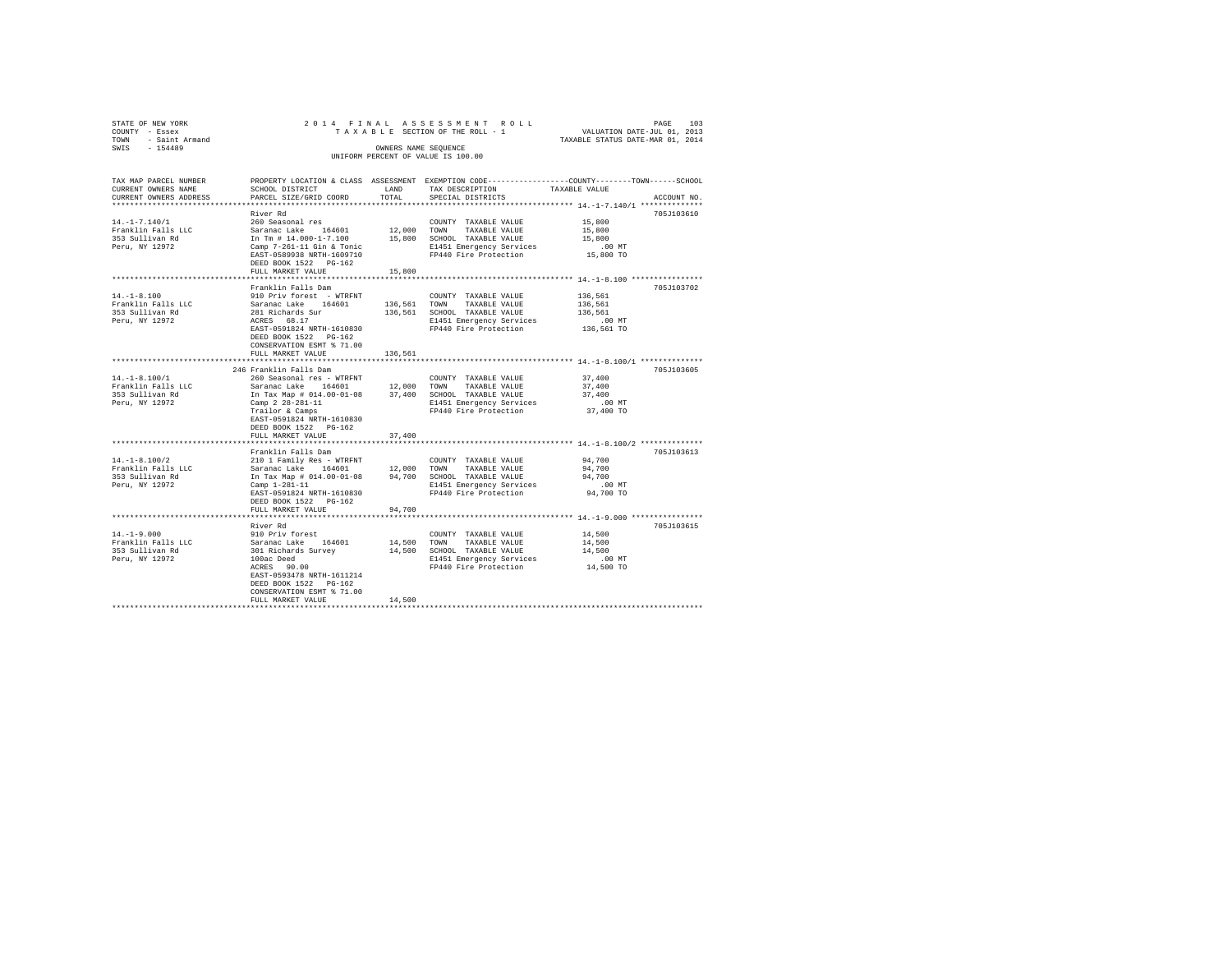| STATE OF NEW YORK |                     |  |  | 2014 FINAL ASSESSMENT ROLL         |  |                                  | PAGE | 103 |
|-------------------|---------------------|--|--|------------------------------------|--|----------------------------------|------|-----|
| COUNTY - Essex    |                     |  |  | TAXABLE SECTION OF THE ROLL - 1    |  | VALUATION DATE-JUL 01, 2013      |      |     |
|                   | TOWN - Saint Armand |  |  |                                    |  | TAXABLE STATUS DATE-MAR 01, 2014 |      |     |
| SWIS              | $-154489$           |  |  | OWNERS NAME SEOUENCE               |  |                                  |      |     |
|                   |                     |  |  | UNIFORM PERCENT OF VALUE IS 100.00 |  |                                  |      |     |
|                   |                     |  |  |                                    |  |                                  |      |     |

| TAX MAP PARCEL NUMBER  |                                                                                                        |                | PROPERTY LOCATION & CLASS ASSESSMENT EXEMPTION CODE---------------COUNTY-------TOWN-----SCHOOL |               |             |
|------------------------|--------------------------------------------------------------------------------------------------------|----------------|------------------------------------------------------------------------------------------------|---------------|-------------|
| CURRENT OWNERS NAME    | SCHOOL DISTRICT                                                                                        | LAND           | TAX DESCRIPTION                                                                                | TAXABLE VALUE |             |
| CURRENT OWNERS ADDRESS | PARCEL SIZE/GRID COORD                                                                                 | TOTAL          | SPECIAL DISTRICTS                                                                              |               | ACCOUNT NO. |
|                        |                                                                                                        |                |                                                                                                |               |             |
|                        | River Rd                                                                                               |                |                                                                                                |               | 705J103610  |
| $14. - 1 - 7.140/1$    | 260 Seasonal res                                                                                       |                | COUNTY TAXABLE VALUE                                                                           | 15,800        |             |
| Franklin Falls LLC     |                                                                                                        |                |                                                                                                | 15,800        |             |
| 353 Sullivan Rd        | Saranac Lake 164601 12,000 TOWN TAXABLE VALUE<br>In Tm # 14.000-1-7.100 15,800 SCHOOL TAXABLE VALUE    |                |                                                                                                | 15,800        |             |
| Peru, NY 12972         | Camp 7-261-11 Gin & Tonic                                                                              |                | E1451 Emergency Services                                                                       | $.00$ MT      |             |
|                        | EAST-0589938 NRTH-1609710                                                                              |                | FP440 Fire Protection 15,800 TO                                                                |               |             |
|                        | DEED BOOK 1522 PG-162                                                                                  |                |                                                                                                |               |             |
|                        | FULL MARKET VALUE                                                                                      | 15,800         |                                                                                                |               |             |
|                        |                                                                                                        | ************** |                                                                                                |               |             |
|                        | Franklin Falls Dam                                                                                     |                |                                                                                                |               | 705J103702  |
| $14. - 1 - 8.100$      | 910 Priv forest - WTRFNT                                                                               |                | COUNTY TAXABLE VALUE                                                                           | 136,561       |             |
| Franklin Falls LLC     | Saranac Lake 164601                                                                                    |                | 136,561 TOWN TAXABLE VALUE                                                                     | 136,561       |             |
| 353 Sullivan Rd        |                                                                                                        |                | 136,561 SCHOOL TAXABLE VALUE                                                                   | 136,561       |             |
| Peru, NY 12972         | 281 Richards Sur<br>ACRES 68.17                                                                        |                | E1451 Emergency Services                                                                       | $.00$ MT      |             |
|                        | EAST-0591824 NRTH-1610830                                                                              |                | FP440 Fire Protection                                                                          | 136,561 TO    |             |
|                        | DEED BOOK 1522 PG-162                                                                                  |                |                                                                                                |               |             |
|                        | CONSERVATION ESMT % 71.00                                                                              |                |                                                                                                |               |             |
|                        | FULL MARKET VALUE                                                                                      | 136.561        |                                                                                                |               |             |
|                        |                                                                                                        |                |                                                                                                |               |             |
|                        |                                                                                                        |                |                                                                                                |               |             |
|                        | 246 Franklin Falls Dam                                                                                 |                |                                                                                                |               | 705J103605  |
| $14. - 1 - 8.100/1$    | 260 Seasonal res - WTRFNT                                                                              |                | COUNTY TAXABLE VALUE                                                                           | 37,400        |             |
| Franklin Falls LLC     | Saranac Lake 164601                                                                                    |                | 12,000 TOWN TAXABLE VALUE                                                                      | 37,400        |             |
| 353 Sullivan Rd        | In Tax Map # 014.00-01-08 37,400 SCHOOL TAXABLE VALUE                                                  |                |                                                                                                | 37,400        |             |
| Peru, NY 12972         | Camp 2 28-281-11                                                                                       |                | E1451 Emergency Services                                                                       | $.00$ MT      |             |
|                        | Trailor & Camps                                                                                        |                | FP440 Fire Protection                                                                          | 37,400 TO     |             |
|                        | EAST-0591824 NRTH-1610830                                                                              |                |                                                                                                |               |             |
|                        | DEED BOOK 1522 PG-162                                                                                  |                |                                                                                                |               |             |
|                        | FULL MARKET VALUE                                                                                      | 37,400         |                                                                                                |               |             |
|                        |                                                                                                        |                |                                                                                                |               |             |
|                        | Franklin Falls Dam                                                                                     |                |                                                                                                |               | 705J103613  |
| $14. -1 - 8.100/2$     | 210 1 Family Res - WTRFNT                                                                              |                | COUNTY TAXABLE VALUE                                                                           | 94,700        |             |
| Franklin Falls LLC     |                                                                                                        |                |                                                                                                | 94,700        |             |
| 353 Sullivan Rd        | Saranac Lake 164601 12,000 TOWN TAXABLE VALUE<br>In Tax Map # 014.00-01-08 94,700 SCHOOL TAXABLE VALUE |                |                                                                                                | 94,700        |             |
| Peru, NY 12972         | Camp 1-281-11                                                                                          |                | E1451 Emergency Services                                                                       | $.00$ MT      |             |
|                        | EAST-0591824 NRTH-1610830                                                                              |                | FP440 Fire Protection                                                                          | 94,700 TO     |             |
|                        | DEED BOOK 1522 PG-162                                                                                  |                |                                                                                                |               |             |
|                        | FULL MARKET VALUE                                                                                      |                |                                                                                                |               |             |
|                        |                                                                                                        | 94,700         |                                                                                                |               |             |
|                        |                                                                                                        |                |                                                                                                |               |             |
|                        | River Rd                                                                                               |                |                                                                                                |               | 705J103615  |
| $14. - 1 - 9.000$      | 910 Priv forest                                                                                        |                | COUNTY TAXABLE VALUE                                                                           | 14,500        |             |
| Franklin Falls LLC     | Saranac Lake 164601<br>301 Richards Survey                                                             | 14,500 TOWN    | TAXABLE VALUE                                                                                  | 14,500        |             |
| 353 Sullivan Rd        |                                                                                                        |                | 14,500 SCHOOL TAXABLE VALUE                                                                    | 14,500        |             |
| Peru, NY 12972         | 100ac Deed                                                                                             |                | E1451 Emergency Services                                                                       | $.00$ MT      |             |
|                        | ACRES 90.00                                                                                            |                | FP440 Fire Protection 14,500 TO                                                                |               |             |
|                        | EAST-0593478 NRTH-1611214                                                                              |                |                                                                                                |               |             |
|                        | DEED BOOK 1522 PG-162                                                                                  |                |                                                                                                |               |             |
|                        | CONSERVATION ESMT % 71.00                                                                              |                |                                                                                                |               |             |
|                        | FULL MARKET VALUE                                                                                      | 14,500         |                                                                                                |               |             |
|                        |                                                                                                        |                |                                                                                                |               |             |
|                        |                                                                                                        |                |                                                                                                |               |             |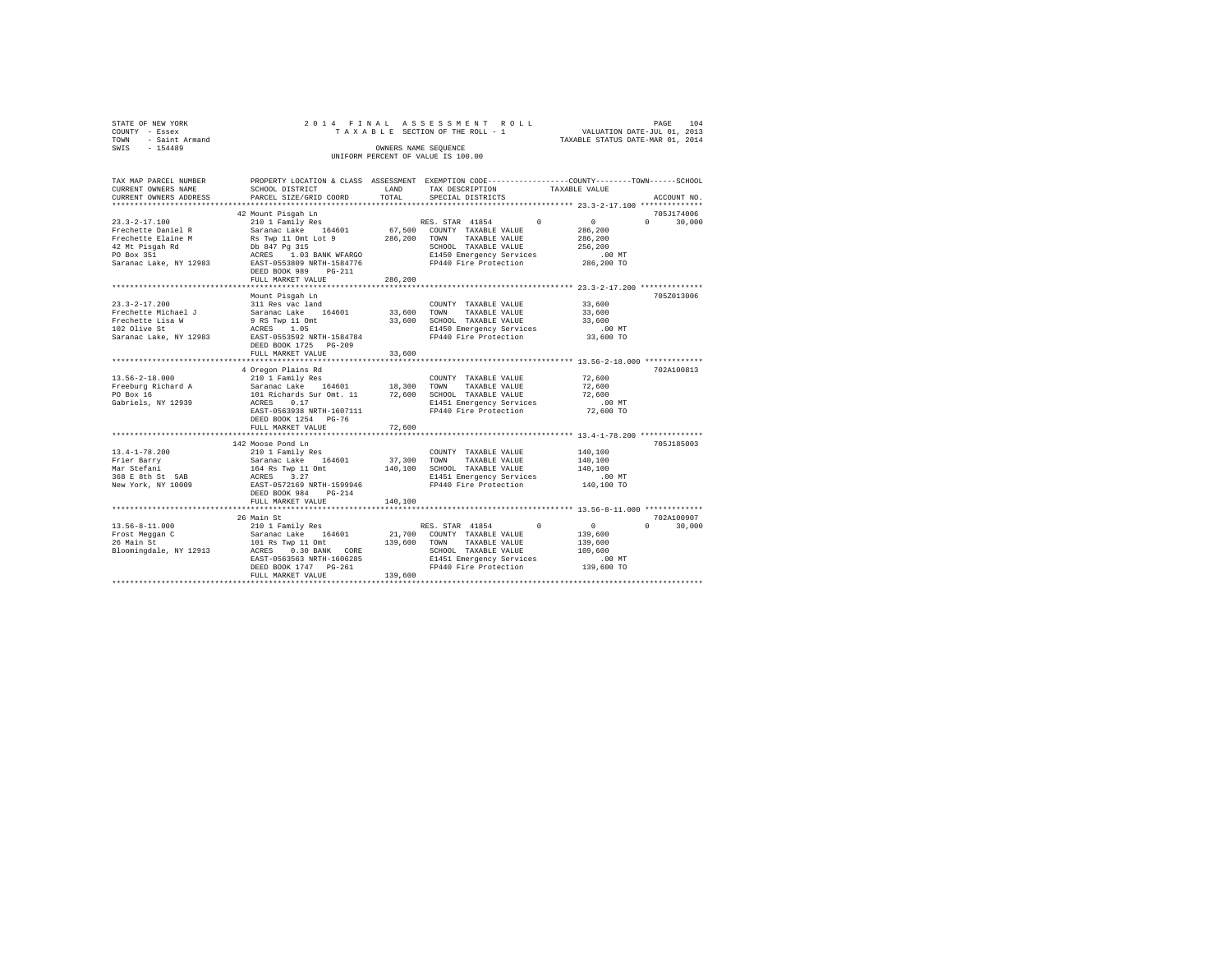| STATE OF NEW YORK<br>COUNTY - Essex<br>- Saint Armand<br>TOWN<br>SWIS - 154489                                             |                                                                                                                                                                                                 |                              | 2014 FINAL ASSESSMENT ROLL<br>TAXABLE SECTION OF THE ROLL - 1<br>TAXABLE SECTION OF THE ROLL - 1<br>TAXABLE STATUS DATE-MAR 01, 2014<br>OWNERS NAME SEQUENCE<br>UNIFORM PERCENT OF VALUE IS 100.00 |                                                                            | PAGE<br>104                       |
|----------------------------------------------------------------------------------------------------------------------------|-------------------------------------------------------------------------------------------------------------------------------------------------------------------------------------------------|------------------------------|----------------------------------------------------------------------------------------------------------------------------------------------------------------------------------------------------|----------------------------------------------------------------------------|-----------------------------------|
| TAX MAP PARCEL NUMBER<br>CURRENT OWNERS NAME<br>CURRENT OWNERS ADDRESS                                                     | SCHOOL DISTRICT<br>PARCEL SIZE/GRID COORD                                                                                                                                                       | LAND<br>TOTAL                | PROPERTY LOCATION & CLASS ASSESSMENT EXEMPTION CODE---------------COUNTY-------TOWN------SCHOOL<br>TAX DESCRIPTION<br>SPECIAL DISTRICTS                                                            | TAXABLE VALUE                                                              | ACCOUNT NO.                       |
| $23.3 - 2 - 17.100$<br>Frechette Daniel R<br>Frechette Elaine M<br>42 Mt Pisgah Rd<br>PO Box 351<br>Saranac Lake, NY 12983 | 42 Mount Pisqah Ln<br>Rs Twp 11 Omt Lot 9 286,200<br>Db 847 Pg 315<br>1.03 BANK WFARGO<br>ACRES<br>EAST-0553809 NRTH-1584776<br>DEED BOOK 989 PG-211                                            |                              | RES. STAR 41854 0<br>TOWN<br>TAXABLE VALUE<br>SCHOOL TAXABLE VALUE<br>E1450 Emergency Services<br>FP440 Fire Protection                                                                            | $\sim$ 0 $\sim$<br>286,200<br>286,200<br>256,200<br>$.00$ MT<br>286,200 TO | 705-1174006<br>$\Omega$<br>30,000 |
|                                                                                                                            | FULL MARKET VALUE                                                                                                                                                                               | 286,200                      |                                                                                                                                                                                                    |                                                                            |                                   |
| $23.3 - 2 - 17.200$<br>Frechette Michael J<br>Frechette Lisa W<br>102 Olive St<br>Saranac Lake, NY 12983                   | Mount Pisgah Ln<br>311 Res vac land<br>Saranac Lake 164601<br>9 RS Twp 11 Omt<br>ACRES 1.05<br>EAST-0553592 NRTH-1584784<br>DEED BOOK 1725 PG-209<br>FULL MARKET VALUE                          | 33,600<br>33,600<br>33,600   | COUNTY TAXABLE VALUE<br>TOWN<br>TAXABLE VALUE<br>SCHOOL TAXABLE VALUE<br>E1450 Emergency Services<br>FP440 Fire Protection                                                                         | 33,600<br>33,600<br>33,600<br>.00 MT<br>33,600 TO                          | 705Z013006                        |
| $13.56 - 2 - 18.000$<br>Freeburg Richard A<br>PO Box 16<br>Gabriels, NY 12939                                              | 4 Oregon Plains Rd<br>210 1 Family Res<br>Saranac Lake 164601 18,300<br>101 Richards Sur Omt. 11 72,600<br>ACRES 0.17<br>EAST-0563938 NRTH-1607111<br>DEED BOOK 1254 PG-76<br>FULL MARKET VALUE | 72,600                       | COUNTY TAXABLE VALUE<br>TAXABLE VALUE<br>TOWN<br>SCHOOL TAXABLE VALUE<br>E1451 Emergency Services<br>FP440 Fire Protection                                                                         | 72,600<br>72,600<br>72,600<br>$.00$ MT<br>72,600 TO                        | 702A100813                        |
| $13.4 - 1 - 78.200$<br>Frier Barry<br>Mar Stefani<br>368 E 8th St 5AB<br>New York, NY 10009                                | 142 Moose Pond Ln<br>210 1 Family Res<br>Saranac Lake 164601<br>164 Rs Twp 11 Omt<br>ACRES 3.27<br>EAST-0572169 NRTH-1599946<br>DEED BOOK 984<br>$PG-214$<br>FULL MARKET VALUE                  | 37,300<br>140,100<br>140,100 | COUNTY TAXABLE VALUE<br>TOWN<br>TAXABLE VALUE<br>SCHOOL TAXABLE VALUE<br>E1451 Emergency Services<br>FP440 Fire Protection                                                                         | 140,100<br>140,100<br>140,100<br>$.00$ MT<br>140,100 TO                    | 705-7185003                       |

 $\begin{tabular}{cccccc} \textbf{13.56-8-11.000} & \textbf{26.7018} & \textbf{28.818} & \textbf{20.818} & \textbf{21.818} & \textbf{22.818} & \textbf{22.818} & \textbf{22.818} \\ \textbf{23.818} & \textbf{23.818} & \textbf{24.818} & \textbf{25.818} & \textbf{26.818} & \textbf{27.818} & \textbf{28.818} & \textbf{29.800} & \textbf{20.800$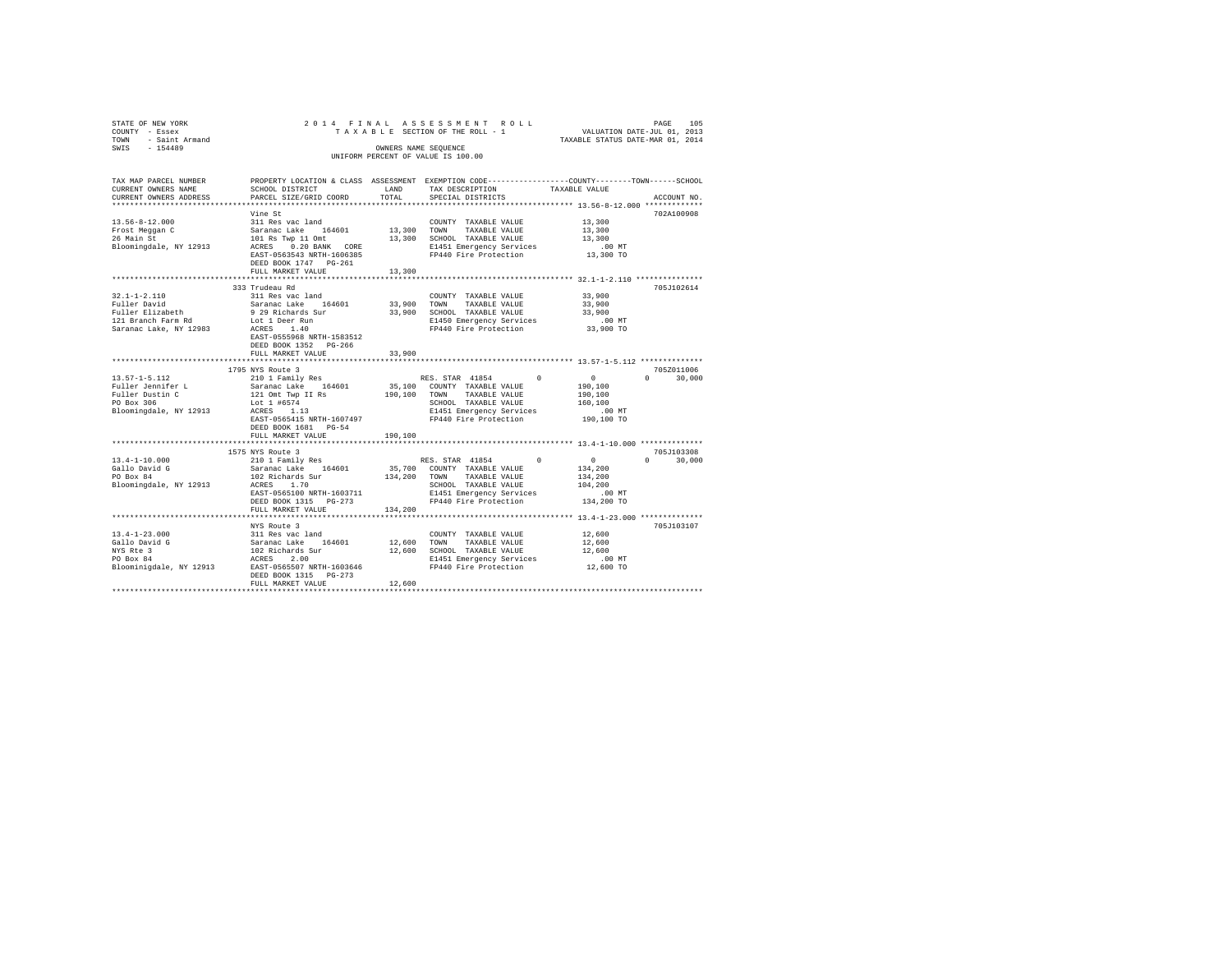| STATE OF NEW YORK<br>COUNTY - Essex<br>TOWN - Saint Armand<br>SWIS - 154489                                                         | 2014 FINAL ASSESSMENT ROLL<br>TAXABLE SECTION OF THE ROLL - 1 VALUATION DATE-JUL 01, 2013<br>TAXABLE STATUS DATE-MAR 01, 2014<br>OWNERS NAME SEQUENCE<br>UNIFORM PERCENT OF VALUE IS 100.00                                                                                                                                                                                                                                     |                |                                                                                                                                                                          |                                                                                                                                 |  |  |  |  |
|-------------------------------------------------------------------------------------------------------------------------------------|---------------------------------------------------------------------------------------------------------------------------------------------------------------------------------------------------------------------------------------------------------------------------------------------------------------------------------------------------------------------------------------------------------------------------------|----------------|--------------------------------------------------------------------------------------------------------------------------------------------------------------------------|---------------------------------------------------------------------------------------------------------------------------------|--|--|--|--|
| TAX MAP PARCEL NUMBER<br>CURRENT OWNERS NAME<br>CURRENT OWNERS ADDRESS                                                              | SCHOOL DISTRICT<br>PARCEL SIZE/GRID COORD                                                                                                                                                                                                                                                                                                                                                                                       | LAND<br>TOTAL. | TAX DESCRIPTION<br>SPECIAL DISTRICTS                                                                                                                                     | PROPERTY LOCATION & CLASS ASSESSMENT EXEMPTION CODE---------------COUNTY-------TOWN------SCHOOL<br>TAXABLE VALUE<br>ACCOUNT NO. |  |  |  |  |
| $13.56 - 8 - 12.000$<br>26 Main St<br>Bloomingdale, NY 12913                                                                        | Vine St<br>311 Res vac land<br>101 Rs Twp 11 Omt<br>ACRES 0.20 BANK CORE E1451 Emergency Services .00 MT<br>EAST-0563543 NRTH-1606385 FP440 Fire Protection 13,300 TO<br>FULL MARKET VALUE                                                                                                                                                                                                                                      | 13,300         | COUNTY TAXABLE VALUE<br>13,300 SCHOOL TAXABLE VALUE                                                                                                                      | 702A100908<br>13,300<br>13,300<br>13,300                                                                                        |  |  |  |  |
| $32.1 - 1 - 2.110$<br>Fuller David<br>Fuller Elizabeth 9 29 Richards Sur<br>121 Branch Farm Rd<br>Saranac Lake, NY 12983 ACRES 1.40 | 333 Trudeau Rd<br>311 Res vac land<br>Saranac Lake 164601 33,900 TOWN TAXABLE VALUE<br>Lot 1 Deer Run<br>EAST-0555968 NRTH-1583512<br>DEED BOOK 1352 PG-266<br>FULL MARKET VALUE                                                                                                                                                                                                                                                | 33,900         | COUNTY TAXABLE VALUE<br>33,900 SCHOOL TAXABLE VALUE<br>E1450 Emergency Services .00 MT<br>FP440 Fire Protection 33,900 TO                                                | 705J102614<br>33,900<br>33,900<br>33,900                                                                                        |  |  |  |  |
| $13.57 - 1 - 5.112$<br>Fuller Jennifer L<br>Fuller Dustin C                                                                         | 1795 NYS Route 3<br>and the contract of the contract of the contract of the contract of the contract of the contract of the contract of the contract of the contract of the contract of the contract of the contract of the contract of the contra<br>Saranac Lake 164601 35,100 COUNTY TAXABLE VALUE<br>121 Omt Twp II Rs 190,100 TOWN TAXABLE VALUE<br>EAST-0565415 NRTH-1607497<br>DEED BOOK 1681 PG-54<br>FULL MARKET VALUE | 190,100        | SCHOOL TAXABLE VALUE<br>E1451 Emergency Services<br>FP440 Fire Protection 190,100 TO                                                                                     | 705Z011006<br>$\sim$ 0 $\sim$ 0<br>$\cap$<br>30,000<br>190,100<br>190,100<br>160,100<br>.00 MT                                  |  |  |  |  |
| $13.4 - 1 - 10.000$<br>PO Box 84<br>Bloomingdale, NY 12913 ACRES 1.70                                                               | 1575 NYS Route 3<br>210 1 Family Res<br>102 Richards Sur 134,<br>ACRES 1.70 128<br>EAST-0565100 NRTH-1603711<br>DEED BOOK 1315 PG-273<br>FULL MARKET VALUE                                                                                                                                                                                                                                                                      | 134,200        | RES. STAR 41854 0 0<br>35,700 COUNTY TAXABLE VALUE<br>134,200 TOWN TAXABLE VALUE<br>SCHOOL TAXABLE VALUE<br>E1451 Emergency Services<br>FP440 Fire Protection 134,200 TO | 705-T103308<br>$0 \t 30.000$<br>134,200<br>134,200<br>104,200<br>.00 MT                                                         |  |  |  |  |

NYS Route 3 705J103107 13.4-1-23.000 311 Res vac land COUNTY TAXABLE VALUE 12,600 Gallo David G Saranac Lake 164601 12,600 TOWN TAXABLE VALUE 12,600 NYS Rte 3 102 Richards Sur 12,600 SCHOOL TAXABLE VALUE 12,600 PO Box 84 ACRES 2.00 E1451 Emergency Services .00 MT Bloominigdale, NY 12913 EAST-0565507 NRTH-1603646 FP440 Fire Protection 12,600 TO DEED BOOK 1315 PG-273 FULL MARKET VALUE 12,600 \*\*\*\*\*\*\*\*\*\*\*\*\*\*\*\*\*\*\*\*\*\*\*\*\*\*\*\*\*\*\*\*\*\*\*\*\*\*\*\*\*\*\*\*\*\*\*\*\*\*\*\*\*\*\*\*\*\*\*\*\*\*\*\*\*\*\*\*\*\*\*\*\*\*\*\*\*\*\*\*\*\*\*\*\*\*\*\*\*\*\*\*\*\*\*\*\*\*\*\*\*\*\*\*\*\*\*\*\*\*\*\*\*\*\*\*\*\*\*\*\*\*\*\*\*\*\*\*\*\*\*\*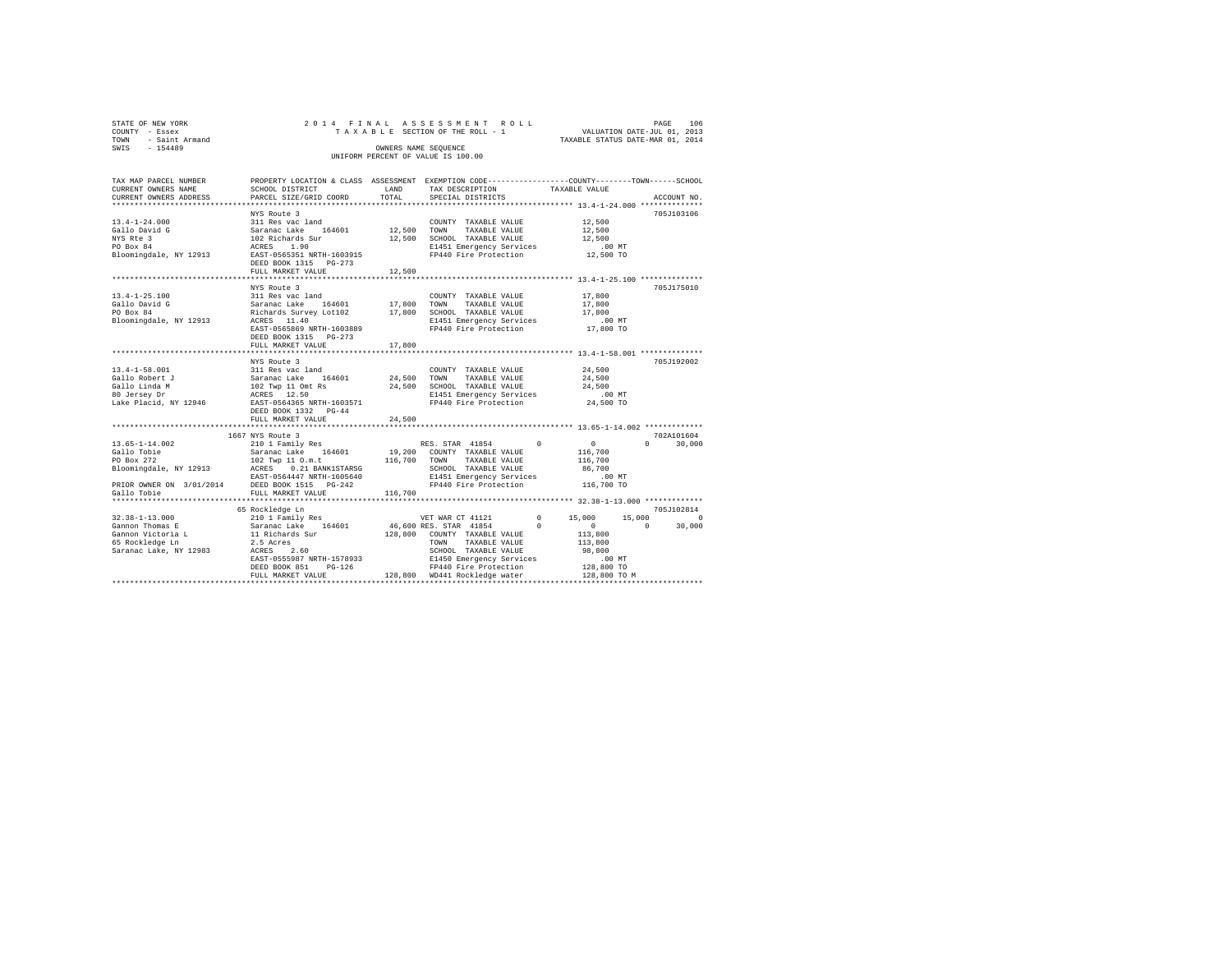| STATE OF NEW YORK   |  |  | 2014 FINAL ASSESSMENT ROLL         |                                  | PAGE                        | 106 |
|---------------------|--|--|------------------------------------|----------------------------------|-----------------------------|-----|
| COUNTY - Essex      |  |  | TAXABLE SECTION OF THE ROLL - 1    |                                  | VALUATION DATE-JUL 01, 2013 |     |
| TOWN - Saint Armand |  |  |                                    | TAXABLE STATUS DATE-MAR 01, 2014 |                             |     |
| SWIS<br>$-154489$   |  |  | OWNERS NAME SEOUENCE               |                                  |                             |     |
|                     |  |  | UNIFORM PERCENT OF VALUE IS 100.00 |                                  |                             |     |
|                     |  |  |                                    |                                  |                             |     |

| TAX MAP PARCEL NUMBER | PROPERTY LOCATION & CLASS ASSESSMENT EXEMPTION CODE----------------COUNTY-------TOWN-----SCHOOL                                                                                                                                                |                                                                                                                                                                                                                                  |                  |             |
|-----------------------|------------------------------------------------------------------------------------------------------------------------------------------------------------------------------------------------------------------------------------------------|----------------------------------------------------------------------------------------------------------------------------------------------------------------------------------------------------------------------------------|------------------|-------------|
|                       |                                                                                                                                                                                                                                                |                                                                                                                                                                                                                                  |                  |             |
|                       |                                                                                                                                                                                                                                                |                                                                                                                                                                                                                                  |                  | ACCOUNT NO. |
|                       |                                                                                                                                                                                                                                                |                                                                                                                                                                                                                                  |                  |             |
|                       | NYS Route 3                                                                                                                                                                                                                                    |                                                                                                                                                                                                                                  |                  | 705J103106  |
|                       |                                                                                                                                                                                                                                                |                                                                                                                                                                                                                                  |                  |             |
|                       |                                                                                                                                                                                                                                                |                                                                                                                                                                                                                                  |                  |             |
|                       |                                                                                                                                                                                                                                                |                                                                                                                                                                                                                                  |                  |             |
|                       |                                                                                                                                                                                                                                                |                                                                                                                                                                                                                                  |                  |             |
|                       |                                                                                                                                                                                                                                                |                                                                                                                                                                                                                                  |                  |             |
|                       |                                                                                                                                                                                                                                                |                                                                                                                                                                                                                                  |                  |             |
|                       |                                                                                                                                                                                                                                                |                                                                                                                                                                                                                                  |                  |             |
|                       |                                                                                                                                                                                                                                                |                                                                                                                                                                                                                                  |                  |             |
|                       | NYS Route 3                                                                                                                                                                                                                                    |                                                                                                                                                                                                                                  |                  | 705J175010  |
|                       | 13.4-1-25.100<br>211 Res vac land<br>311 Res vac land 17,800 TOWN TAXABLE VALUE 17,800<br>211 Res vac land 17,800 TOWN TAXABLE VALUE 17,800<br>20 Box 84 Richards Survey Lot102 17,800 SCHOOL TAXABLE VALUE 17,800<br>20 Box 84 Richar         |                                                                                                                                                                                                                                  |                  |             |
|                       |                                                                                                                                                                                                                                                |                                                                                                                                                                                                                                  |                  |             |
|                       |                                                                                                                                                                                                                                                |                                                                                                                                                                                                                                  |                  |             |
|                       |                                                                                                                                                                                                                                                |                                                                                                                                                                                                                                  |                  |             |
|                       |                                                                                                                                                                                                                                                |                                                                                                                                                                                                                                  |                  |             |
|                       | DEED BOOK 1315 PG-273                                                                                                                                                                                                                          |                                                                                                                                                                                                                                  |                  |             |
|                       |                                                                                                                                                                                                                                                |                                                                                                                                                                                                                                  |                  |             |
|                       |                                                                                                                                                                                                                                                |                                                                                                                                                                                                                                  |                  |             |
|                       | NYS Route 3                                                                                                                                                                                                                                    |                                                                                                                                                                                                                                  |                  | 705J192002  |
|                       |                                                                                                                                                                                                                                                | $\begin{tabular}{llllll} \multicolumn{2}{c}{\textbf{COUNTY}} & \textbf{TAXABLE VALUE} & & \multicolumn{2}{c}{24,500} \\ \multicolumn{2}{c}{\textbf{TOWN}} & \textbf{TAXABLE VALUE} & & \multicolumn{2}{c}{24,500} \end{tabular}$ |                  |             |
|                       |                                                                                                                                                                                                                                                |                                                                                                                                                                                                                                  |                  |             |
|                       |                                                                                                                                                                                                                                                |                                                                                                                                                                                                                                  | 24,500<br>.00 MT |             |
|                       |                                                                                                                                                                                                                                                | E1451 Emergency Services .00 MT<br>FP440 Fire Protection 24,500 TO                                                                                                                                                               |                  |             |
|                       |                                                                                                                                                                                                                                                |                                                                                                                                                                                                                                  |                  |             |
|                       |                                                                                                                                                                                                                                                |                                                                                                                                                                                                                                  |                  |             |
|                       | FULL MARKET VALUE 24,500                                                                                                                                                                                                                       |                                                                                                                                                                                                                                  |                  |             |
|                       | 167 NYS Route 3<br>167 NYS Route 3<br>167 NYS Route 3<br>210 1 Pamily Res (164601 19,200 COUNTY TAXABLE VALUE 16,700 0<br>202 TAVE 3<br>202 TAVE 3<br>202 TAVE 3<br>202 TAXABLE VALUE 116,700 0<br>Bloomingdale, NY 12913 ACRS 0.01 BANKISTARS |                                                                                                                                                                                                                                  |                  |             |
|                       |                                                                                                                                                                                                                                                |                                                                                                                                                                                                                                  |                  |             |
|                       |                                                                                                                                                                                                                                                |                                                                                                                                                                                                                                  |                  |             |
|                       |                                                                                                                                                                                                                                                |                                                                                                                                                                                                                                  |                  |             |
|                       |                                                                                                                                                                                                                                                |                                                                                                                                                                                                                                  |                  |             |
|                       |                                                                                                                                                                                                                                                |                                                                                                                                                                                                                                  |                  |             |
|                       |                                                                                                                                                                                                                                                |                                                                                                                                                                                                                                  |                  |             |
|                       |                                                                                                                                                                                                                                                |                                                                                                                                                                                                                                  |                  |             |
|                       |                                                                                                                                                                                                                                                |                                                                                                                                                                                                                                  |                  |             |
|                       | 65 Rockledge Ln                                                                                                                                                                                                                                |                                                                                                                                                                                                                                  |                  | 705J102814  |
|                       |                                                                                                                                                                                                                                                |                                                                                                                                                                                                                                  |                  |             |
|                       |                                                                                                                                                                                                                                                |                                                                                                                                                                                                                                  |                  |             |
|                       |                                                                                                                                                                                                                                                |                                                                                                                                                                                                                                  |                  |             |
|                       |                                                                                                                                                                                                                                                |                                                                                                                                                                                                                                  |                  |             |
|                       |                                                                                                                                                                                                                                                |                                                                                                                                                                                                                                  |                  |             |
|                       |                                                                                                                                                                                                                                                |                                                                                                                                                                                                                                  |                  |             |
|                       |                                                                                                                                                                                                                                                |                                                                                                                                                                                                                                  |                  |             |
|                       |                                                                                                                                                                                                                                                |                                                                                                                                                                                                                                  |                  |             |
|                       |                                                                                                                                                                                                                                                |                                                                                                                                                                                                                                  |                  |             |
|                       |                                                                                                                                                                                                                                                |                                                                                                                                                                                                                                  |                  |             |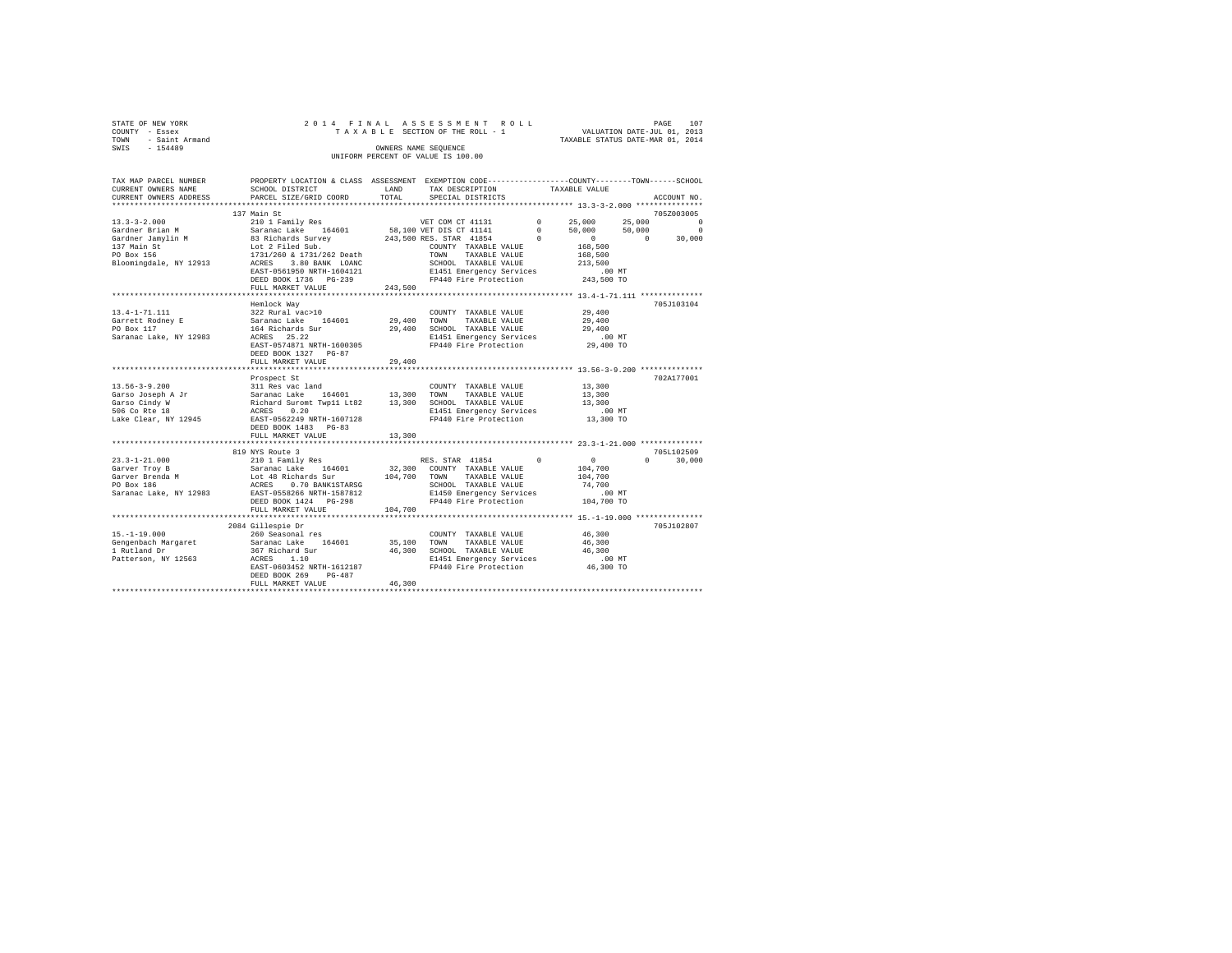|      | STATE OF NEW YORK | 2014 FINAL ASSESSMENT ROLL |  |  |                                    |  |  |  |  |  |  |                                  |                             |  | PAGE | 107 |
|------|-------------------|----------------------------|--|--|------------------------------------|--|--|--|--|--|--|----------------------------------|-----------------------------|--|------|-----|
|      | COUNTY - Essex    |                            |  |  | TAXABLE SECTION OF THE ROLL - 1    |  |  |  |  |  |  |                                  | VALUATION DATE-JUL 01, 2013 |  |      |     |
| TOWN | - Saint Armand    |                            |  |  |                                    |  |  |  |  |  |  | TAXABLE STATUS DATE-MAR 01, 2014 |                             |  |      |     |
| SWIS | $-154489$         |                            |  |  | OWNERS NAME SEOUENCE               |  |  |  |  |  |  |                                  |                             |  |      |     |
|      |                   |                            |  |  | UNIFORM PERCENT OF VALUE IS 100.00 |  |  |  |  |  |  |                                  |                             |  |      |     |

| TAX MAP PARCEL NUMBER<br>CURRENT OWNERS NAME                                                                                                                                                                                                          | PROPERTY LOCATION & CLASS ASSESSMENT EXEMPTION CODE----------------COUNTY-------TOWN------SCHOOL<br>SCHOOL DISTRICT | LAND        | TAX DESCRIPTION                                                                                      | TAXABLE VALUE |               |
|-------------------------------------------------------------------------------------------------------------------------------------------------------------------------------------------------------------------------------------------------------|---------------------------------------------------------------------------------------------------------------------|-------------|------------------------------------------------------------------------------------------------------|---------------|---------------|
| CURRENT OWNERS ADDRESS                                                                                                                                                                                                                                | PARCEL SIZE/GRID COORD                                                                                              | TOTAL       | SPECIAL DISTRICTS                                                                                    |               | ACCOUNT NO.   |
|                                                                                                                                                                                                                                                       |                                                                                                                     |             |                                                                                                      |               |               |
|                                                                                                                                                                                                                                                       |                                                                                                                     |             |                                                                                                      |               |               |
|                                                                                                                                                                                                                                                       |                                                                                                                     |             |                                                                                                      |               |               |
|                                                                                                                                                                                                                                                       |                                                                                                                     |             |                                                                                                      |               |               |
|                                                                                                                                                                                                                                                       |                                                                                                                     |             |                                                                                                      |               |               |
|                                                                                                                                                                                                                                                       |                                                                                                                     |             |                                                                                                      |               |               |
|                                                                                                                                                                                                                                                       |                                                                                                                     |             |                                                                                                      |               |               |
|                                                                                                                                                                                                                                                       |                                                                                                                     |             |                                                                                                      |               |               |
|                                                                                                                                                                                                                                                       | EAST-0561950 NRTH-1604121 E1451 Emergency Services<br>DEED BOOK 1736 PG-239 FP440 Fire Protection                   |             |                                                                                                      | 243,500 TO    |               |
|                                                                                                                                                                                                                                                       | FULL MARKET VALUE                                                                                                   | 243,500     |                                                                                                      |               |               |
|                                                                                                                                                                                                                                                       |                                                                                                                     |             |                                                                                                      |               |               |
|                                                                                                                                                                                                                                                       | Hemlock Way                                                                                                         |             |                                                                                                      |               | 705J103104    |
| 13.4-1-71.111                                                                                                                                                                                                                                         |                                                                                                                     |             | COUNTY TAXABLE VALUE 29,400                                                                          |               |               |
| Garrett Rodney E                                                                                                                                                                                                                                      |                                                                                                                     |             |                                                                                                      | 29,400        |               |
| PO Box 117                                                                                                                                                                                                                                            |                                                                                                                     |             |                                                                                                      | 29,400        |               |
| Saranac Lake, NY 12983                                                                                                                                                                                                                                |                                                                                                                     |             |                                                                                                      | .00MT         |               |
|                                                                                                                                                                                                                                                       | EAST-0574871 NRTH-1600305                                                                                           |             | FP440 Fire Protection 29,400 TO                                                                      |               |               |
|                                                                                                                                                                                                                                                       | DEED BOOK 1327 PG-87                                                                                                |             |                                                                                                      |               |               |
|                                                                                                                                                                                                                                                       | FULL MARKET VALUE                                                                                                   | 29,400      |                                                                                                      |               |               |
|                                                                                                                                                                                                                                                       |                                                                                                                     |             |                                                                                                      |               |               |
|                                                                                                                                                                                                                                                       | Prospect St                                                                                                         |             |                                                                                                      |               | 702A177001    |
| $13.56 - 3 - 9.200$                                                                                                                                                                                                                                   |                                                                                                                     |             | COUNTY TAXABLE VALUE 13,300                                                                          |               |               |
|                                                                                                                                                                                                                                                       |                                                                                                                     |             |                                                                                                      | 13,300        |               |
| Garso Joseph A Jr<br>Garso Cindy W                                                                                                                                                                                                                    |                                                                                                                     |             |                                                                                                      | 13,300        |               |
| 506 Co Rte 18                                                                                                                                                                                                                                         |                                                                                                                     |             |                                                                                                      |               |               |
| Lake Clear, NY 12945 EAST-0562249 NRTH-1607128                                                                                                                                                                                                        |                                                                                                                     |             | E1451 Emergency Services .00 MT<br>FP440 Fire Protection  13,300 TO                                  |               |               |
|                                                                                                                                                                                                                                                       | DEED BOOK 1483 PG-83                                                                                                |             |                                                                                                      |               |               |
|                                                                                                                                                                                                                                                       | FULL MARKET VALUE                                                                                                   | 13,300      |                                                                                                      |               |               |
|                                                                                                                                                                                                                                                       |                                                                                                                     |             |                                                                                                      |               |               |
|                                                                                                                                                                                                                                                       |                                                                                                                     |             |                                                                                                      |               | 705L102509    |
|                                                                                                                                                                                                                                                       |                                                                                                                     |             |                                                                                                      |               | $0 \t 30,000$ |
|                                                                                                                                                                                                                                                       |                                                                                                                     |             |                                                                                                      |               |               |
|                                                                                                                                                                                                                                                       |                                                                                                                     |             |                                                                                                      |               |               |
|                                                                                                                                                                                                                                                       |                                                                                                                     |             | SCHOOL TAXABLE VALUE 74,700<br>E1450 Emergency Services 60 00 MT<br>FP440 Fire Protection 104,700 TO |               |               |
|                                                                                                                                                                                                                                                       |                                                                                                                     |             |                                                                                                      |               |               |
|                                                                                                                                                                                                                                                       | DEED BOOK 1424    PG-298                                                                                            |             |                                                                                                      |               |               |
|                                                                                                                                                                                                                                                       | FULL MARKET VALUE                                                                                                   | 104,700     |                                                                                                      |               |               |
|                                                                                                                                                                                                                                                       |                                                                                                                     |             |                                                                                                      |               |               |
|                                                                                                                                                                                                                                                       | 2084 Gillespie Dr                                                                                                   |             |                                                                                                      |               | 705J102807    |
|                                                                                                                                                                                                                                                       |                                                                                                                     |             | COUNTY TAXABLE VALUE                                                                                 | 46,300        |               |
|                                                                                                                                                                                                                                                       |                                                                                                                     | 35,100 TOWN | TAXABLE VALUE                                                                                        | 46,300        |               |
|                                                                                                                                                                                                                                                       |                                                                                                                     |             | 46,300 SCHOOL TAXABLE VALUE 46,300<br>E1451 Emergency Services .00 MT                                |               |               |
| 19.1-1-19.000<br>19.1-1-19.000<br>Compenhach Margaret Saranac Lake 164601<br>1 Rutland Dr<br>1 Rutland Dr<br>267 Richard Sur<br>267 Richard Sur<br>267 Richard Sur<br>267 Richard Sur<br>267 Richard Sur<br>267 Richard Sur<br>267 Richard Sur<br>267 | ACRES 1.10<br>EAST-0603452 NRTH-1612187                                                                             |             |                                                                                                      |               |               |
|                                                                                                                                                                                                                                                       |                                                                                                                     |             | FP440 Fire Protection                                                                                | 46,300 TO     |               |
|                                                                                                                                                                                                                                                       | DEED BOOK 269<br>PG-487                                                                                             |             |                                                                                                      |               |               |
|                                                                                                                                                                                                                                                       | FULL MARKET VALUE                                                                                                   | 46,300      |                                                                                                      |               |               |
|                                                                                                                                                                                                                                                       |                                                                                                                     |             |                                                                                                      |               |               |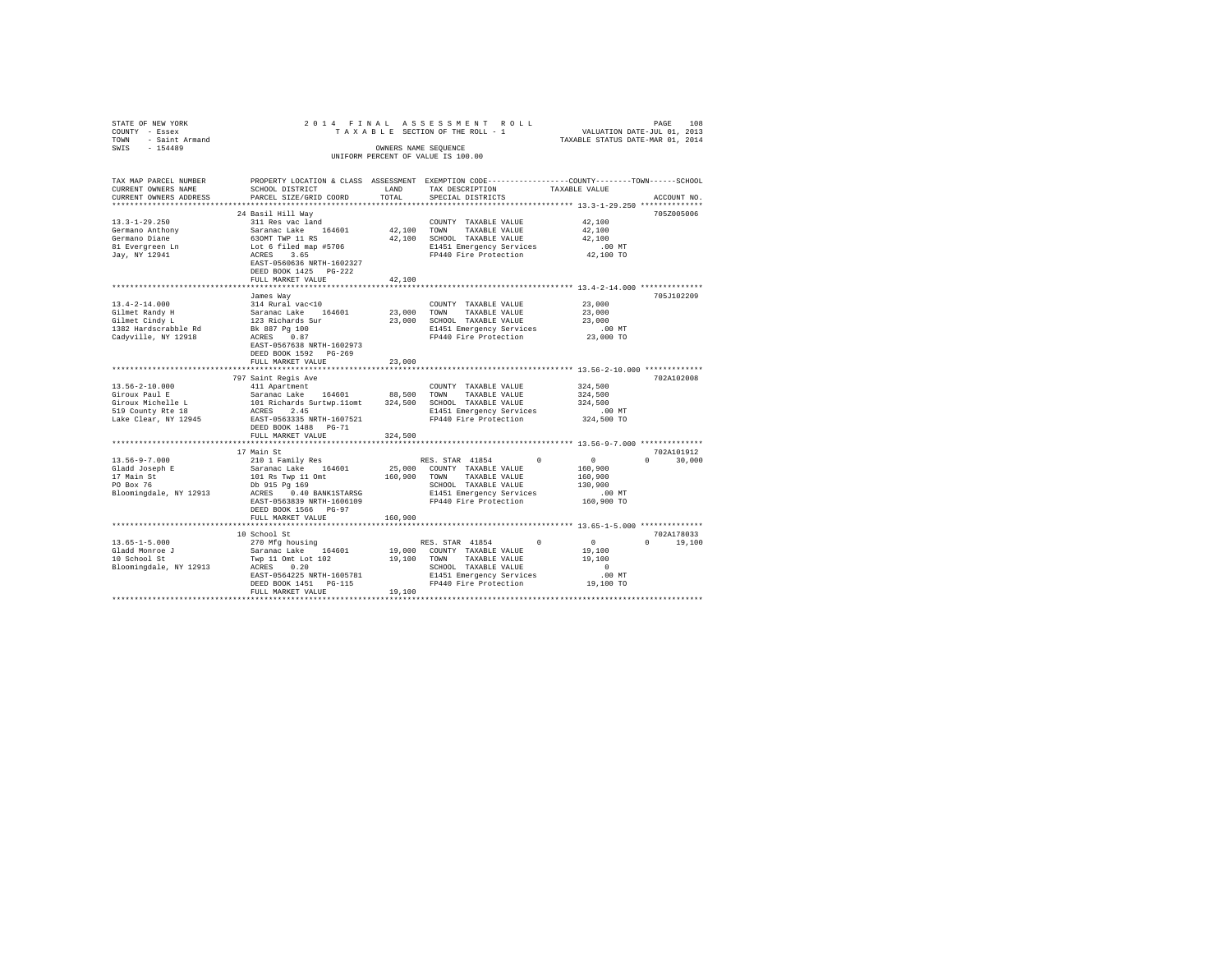| STATE OF NEW YORK                                 |                                                                                               |                      | 2014 FINAL ASSESSMENT ROLL                                                                      |                                         |               |
|---------------------------------------------------|-----------------------------------------------------------------------------------------------|----------------------|-------------------------------------------------------------------------------------------------|-----------------------------------------|---------------|
| COUNTY - Essex                                    |                                                                                               |                      | TAXABLE SECTION OF THE ROLL - 1                                                                 | PAGE 108<br>VALUATION DATE-JUL 01, 2013 |               |
| TOWN - Saint Armand                               |                                                                                               |                      |                                                                                                 | TAXABLE STATUS DATE-MAR 01, 2014        |               |
| SWIS - 154489                                     |                                                                                               | OWNERS NAME SEQUENCE |                                                                                                 |                                         |               |
|                                                   |                                                                                               |                      | UNIFORM PERCENT OF VALUE IS 100.00                                                              |                                         |               |
|                                                   |                                                                                               |                      |                                                                                                 |                                         |               |
|                                                   |                                                                                               |                      |                                                                                                 |                                         |               |
| TAX MAP PARCEL NUMBER                             |                                                                                               |                      | PROPERTY LOCATION & CLASS ASSESSMENT EXEMPTION CODE----------------COUNTY-------TOWN-----SCHOOL |                                         |               |
| CURRENT OWNERS NAME                               | SCHOOL DISTRICT                                                                               | LAND                 | TAX DESCRIPTION                                                                                 | TAXABLE VALUE                           |               |
|                                                   |                                                                                               |                      |                                                                                                 |                                         |               |
| CURRENT OWNERS ADDRESS                            | PARCEL SIZE/GRID COORD                                                                        | TOTAL                | SPECIAL DISTRICTS                                                                               |                                         | ACCOUNT NO.   |
|                                                   |                                                                                               |                      |                                                                                                 |                                         |               |
|                                                   | 24 Basil Hill Way                                                                             |                      |                                                                                                 |                                         | 705Z005006    |
| $13.3 - 1 - 29.250$                               | 311 Res vac land                                                                              |                      | COUNTY TAXABLE VALUE                                                                            | 42,100                                  |               |
| Germano Anthony                                   |                                                                                               | 42,100 TOWN          | TAXABLE VALUE                                                                                   | 42,100                                  |               |
|                                                   |                                                                                               |                      | 42,100 SCHOOL TAXABLE VALUE                                                                     | 42,100                                  |               |
| Germano Diane<br>81 Evergreen Ln                  |                                                                                               |                      | E1451 Emergency Services                                                                        | $.00$ MT                                |               |
| Jay, NY 12941                                     |                                                                                               |                      | FP440 Fire Protection                                                                           | 42,100 TO                               |               |
|                                                   | EAST-0560636 NRTH-1602327                                                                     |                      |                                                                                                 |                                         |               |
|                                                   | DEED BOOK 1425 PG-222                                                                         |                      |                                                                                                 |                                         |               |
|                                                   | FULL MARKET VALUE                                                                             | 42,100               |                                                                                                 |                                         |               |
|                                                   |                                                                                               |                      |                                                                                                 |                                         |               |
|                                                   |                                                                                               |                      |                                                                                                 |                                         |               |
|                                                   | James Way                                                                                     |                      |                                                                                                 |                                         | 705J102209    |
| $13.4 - 2 - 14.000$<br>13.4-4-4<br>Gilmet Randy H | 314 Rural vac<10                                                                              |                      | COUNTY TAXABLE VALUE                                                                            | 23,000                                  |               |
|                                                   | Saranac Lake 164601<br>123 Richards Sur<br>Bk 887 Pg 100<br>ACRES 0.87                        | 23,000 TOWN          | TAXABLE VALUE                                                                                   | 23,000                                  |               |
|                                                   |                                                                                               |                      | 23,000 SCHOOL TAXABLE VALUE                                                                     | 23,000                                  |               |
| 1382 Hardscrabble Rd                              |                                                                                               |                      | E1451 Emergency Services                                                                        | $.00$ MT                                |               |
| Cadyville, NY 12918                               |                                                                                               |                      | FP440 Fire Protection                                                                           | 23,000 TO                               |               |
|                                                   | EAST-0567638 NRTH-1602973                                                                     |                      |                                                                                                 |                                         |               |
|                                                   | DEED BOOK 1592 PG-269                                                                         |                      |                                                                                                 |                                         |               |
|                                                   | FULL MARKET VALUE                                                                             | 23,000               |                                                                                                 |                                         |               |
|                                                   |                                                                                               |                      |                                                                                                 |                                         |               |
|                                                   | 797 Saint Regis Ave                                                                           |                      |                                                                                                 |                                         | 702A102008    |
| $13.56 - 2 - 10.000$                              |                                                                                               |                      |                                                                                                 | 324,500                                 |               |
|                                                   | 411 Apartment                                                                                 |                      | COUNTY TAXABLE VALUE                                                                            |                                         |               |
| Giroux Paul E                                     | Saranac Lake 164601 88,500 TOWN TAXABLE VALUE                                                 |                      |                                                                                                 | 324,500                                 |               |
| Giroux Michelle L                                 | 101 Richards Surtwp.11omt 324,500 SCHOOL TAXABLE VALUE<br>ACRES 2.45 E1451 Emergency Services |                      |                                                                                                 | 324,500                                 |               |
| 519 County Rte 18                                 |                                                                                               |                      | E1451 Emergency Services                                                                        | $.00$ MT                                |               |
| Lake Clear, NY 12945 EAST-0563335 NRTH-1607521    |                                                                                               |                      | FP440 Fire Protection                                                                           | 324,500 TO                              |               |
|                                                   | DEED BOOK 1488 PG-71                                                                          |                      |                                                                                                 |                                         |               |
|                                                   | FULL MARKET VALUE                                                                             | 324,500              |                                                                                                 |                                         |               |
|                                                   |                                                                                               |                      |                                                                                                 |                                         |               |
|                                                   | 17 Main St                                                                                    |                      |                                                                                                 |                                         | 702A101912    |
| $13.56 - 9 - 7.000$                               | 210 1 Family Res                                                                              |                      | RES. STAR 41854                                                                                 | $\sim$ 0                                | $0 \t 30.000$ |
|                                                   | Saranac Lake 164601                                                                           |                      | 25,000 COUNTY TAXABLE VALUE                                                                     | 160,900                                 |               |
| Gladd Joseph E<br>17 Main St<br>PO Box 76         | 101 Rs Twp 11 Omt                                                                             |                      | TAXABLE VALUE                                                                                   | 160,900                                 |               |
|                                                   |                                                                                               | 160,900 TOWN         |                                                                                                 |                                         |               |
|                                                   | Db 915 Pg 169                                                                                 |                      | SCHOOL TAXABLE VALUE                                                                            | 130,900                                 |               |
| Bloomingdale, NY 12913                            | ACRES 0.40 BANK1STARSG                                                                        |                      | E1451 Emergency Services                                                                        | .00 MT                                  |               |
|                                                   | EAST-0563839 NRTH-1606109                                                                     |                      | FP440 Fire Protection                                                                           | 160,900 TO                              |               |
|                                                   | DEED BOOK 1566 PG-97                                                                          |                      |                                                                                                 |                                         |               |
|                                                   | FULL MARKET VALUE                                                                             | 160,900              |                                                                                                 |                                         |               |
|                                                   |                                                                                               |                      |                                                                                                 |                                         |               |
|                                                   | 10 School St                                                                                  |                      |                                                                                                 |                                         | 702A178033    |
| $13.65 - 1 - 5.000$                               | 270 Mfg housing                                                                               |                      | RES. STAR 41854<br>$^{\circ}$                                                                   | $\sim$ 0 $\sim$                         | $0 \t 19.100$ |
| Gladd Monroe J                                    |                                                                                               |                      | 19,000 COUNTY TAXABLE VALUE                                                                     | 19,100                                  |               |
| 10 School St                                      | Saranac Lake 164601<br>Twp 11 Omt Lot 102                                                     | 19,100 TOWN          | TAXABLE VALUE                                                                                   | 19,100                                  |               |
| Bloomingdale, NY 12913                            | ACRES 0.20                                                                                    |                      | SCHOOL TAXABLE VALUE                                                                            | $\sim$ 0                                |               |
|                                                   | EAST-0564225 NRTH-1605781                                                                     |                      | E1451 Emergency Services                                                                        | .00 MT                                  |               |
|                                                   |                                                                                               |                      |                                                                                                 |                                         |               |
|                                                   | DEED BOOK 1451 PG-115                                                                         |                      | FP440 Fire Protection                                                                           | 19,100 TO                               |               |
|                                                   | FULL MARKET VALUE                                                                             | 19,100               |                                                                                                 |                                         |               |
|                                                   |                                                                                               |                      |                                                                                                 |                                         |               |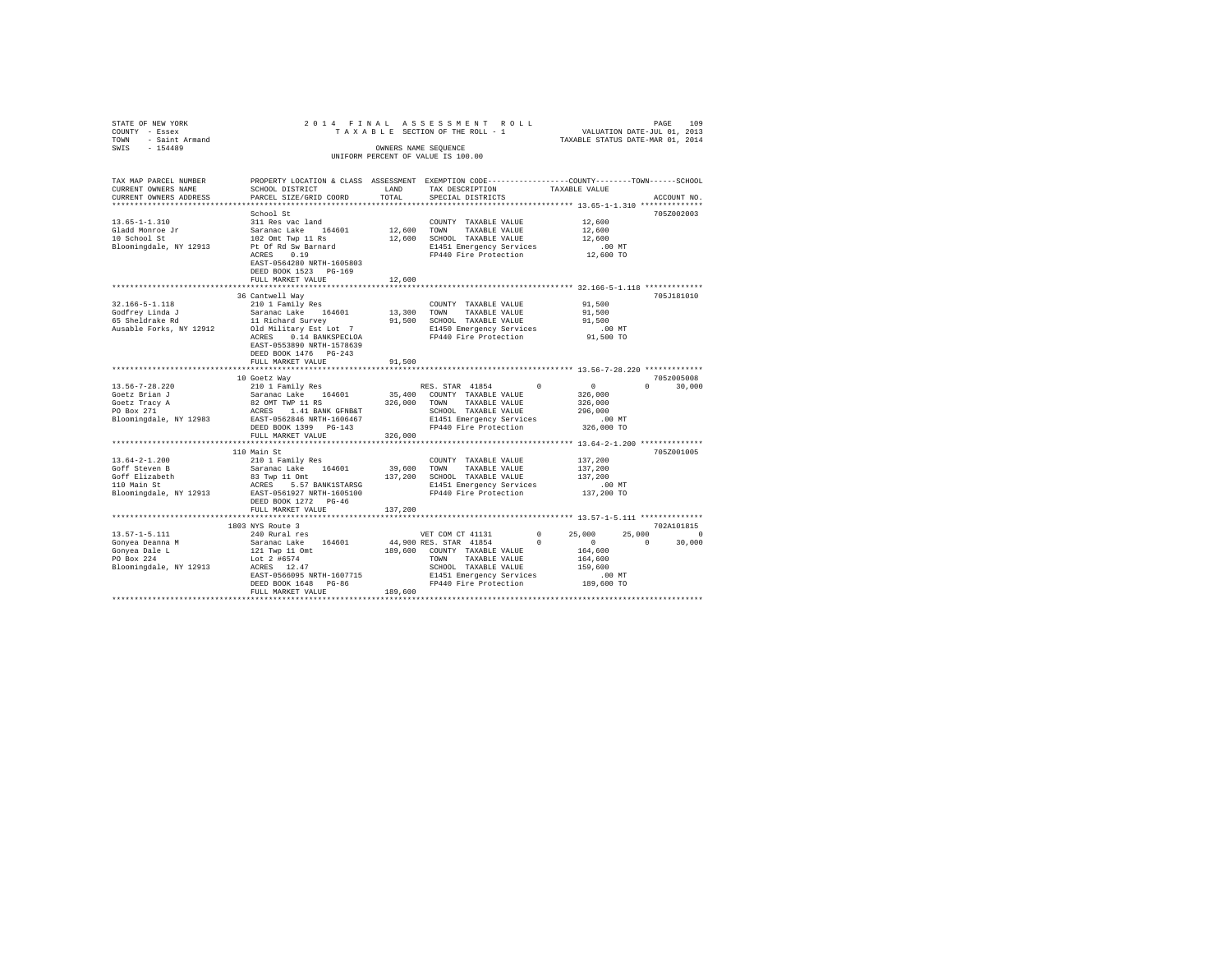| STATE OF NEW YORK<br>COUNTY - Essex | 2014 FINAL                                 |               | A S S E S S M E N T R O L L<br>SECTION OF THE ROLL - 1 VALUATION DATE-JUL 01, 2013<br>TAXABLE STATUS DATE-MAR 01, 2014<br>TAXABLE SECTION OF THE ROLL - 1 |                    |                        |
|-------------------------------------|--------------------------------------------|---------------|-----------------------------------------------------------------------------------------------------------------------------------------------------------|--------------------|------------------------|
| - Saint Armand<br>TOWN              |                                            |               |                                                                                                                                                           |                    |                        |
| $-154489$<br>SWIS                   |                                            |               | OWNERS NAME SEQUENCE<br>UNIFORM PERCENT OF VALUE IS 100.00                                                                                                |                    |                        |
|                                     |                                            |               |                                                                                                                                                           |                    |                        |
| TAX MAP PARCEL NUMBER               |                                            |               | PROPERTY LOCATION & CLASS ASSESSMENT EXEMPTION CODE---------------COUNTY-------TOWN-----SCHOOL                                                            |                    |                        |
| CURRENT OWNERS NAME                 | SCHOOL DISTRICT                            | LAND<br>TOTAL | TAX DESCRIPTION                                                                                                                                           | TAXABLE VALUE      |                        |
| CURRENT OWNERS ADDRESS              | PARCEL SIZE/GRID COORD                     |               | SPECIAL DISTRICTS                                                                                                                                         |                    | ACCOUNT NO.            |
|                                     | School St                                  |               |                                                                                                                                                           |                    | 705Z002003             |
| $13.65 - 1 - 1.310$                 | 311 Res vac land                           |               | COUNTY TAXABLE VALUE                                                                                                                                      | 12,600             |                        |
| Gladd Monroe Jr                     | Saranac Lake 164601                        | 12,600 TOWN   | TAXABLE VALUE                                                                                                                                             | 12,600             |                        |
| 10 School St                        | 102 Omt Twp 11 Rs                          |               | 12,600 SCHOOL TAXABLE VALUE                                                                                                                               | 12,600             |                        |
| Bloomingdale, NY 12913              | Pt Of Rd Sw Barnard                        |               | E1451 Emergency Services                                                                                                                                  | $.00$ MT           |                        |
|                                     | ACRES 0.19                                 |               | FP440 Fire Protection                                                                                                                                     | 12,600 TO          |                        |
|                                     | EAST-0564280 NRTH-1605803                  |               |                                                                                                                                                           |                    |                        |
|                                     | DEED BOOK 1523 PG-169<br>FULL MARKET VALUE | 12,600        |                                                                                                                                                           |                    |                        |
|                                     |                                            |               |                                                                                                                                                           |                    |                        |
|                                     | 36 Cantwell Way                            |               |                                                                                                                                                           |                    | 705J181010             |
| 32.166-5-1.118                      | 210 1 Family Res                           |               | COUNTY TAXABLE VALUE                                                                                                                                      | 91,500             |                        |
| Godfrey Linda J                     | Saranac Lake 164601                        |               | 13,300 TOWN<br>TAXABLE VALUE                                                                                                                              | 91,500             |                        |
| souriey ninua o<br>65 Sheldrake Rd  | 11 Richard Survey                          |               | 91.500 SCHOOL TAXABLE VALUE                                                                                                                               | 91,500             |                        |
| Ausable Forks, NY 12912             | Old Military Est Lot 7                     |               | E1450 Emergency Services                                                                                                                                  | .00 MT             |                        |
|                                     | ACRES 0.14 BANKSPECLOA                     |               | FP440 Fire Protection                                                                                                                                     | 91,500 TO          |                        |
|                                     | EAST-0553890 NRTH-1578639                  |               |                                                                                                                                                           |                    |                        |
|                                     | DEED BOOK 1476 PG-243                      |               |                                                                                                                                                           |                    |                        |
|                                     | FULL MARKET VALUE                          | 91,500        |                                                                                                                                                           |                    |                        |
|                                     | 10 Goetz Way                               |               |                                                                                                                                                           |                    | 705z005008             |
| $13.56 - 7 - 28.220$                | 210 1 Family Res                           |               | RES. STAR 41854<br>$^{\circ}$                                                                                                                             | $\sim$ 0           | $0 \t 30.000$          |
| Goetz Brian J                       | Saranac Lake 164601                        | 35,400        | COUNTY TAXABLE VALUE                                                                                                                                      | 326,000            |                        |
| Goetz Tracy A                       | 82 OMT TWP 11 RS                           | 326,000       | TOWN<br>TAXABLE VALUE                                                                                                                                     | 326,000            |                        |
|                                     | ACRES 1.41 BANK GFNB&T                     |               | SCHOOL TAXABLE VALUE                                                                                                                                      | 296,000            |                        |
| Bloomingdale, NY 12983              | EAST-0562846 NRTH-1606467                  |               | E1451 Emergency Services                                                                                                                                  | $.00$ MT           |                        |
|                                     | DEED BOOK 1399 PG-143                      |               | FP440 Fire Protection                                                                                                                                     | 326,000 TO         |                        |
|                                     | FULL MARKET VALUE                          | 326,000       |                                                                                                                                                           |                    |                        |
|                                     | 110 Main St                                |               |                                                                                                                                                           |                    | 705Z001005             |
| $13.64 - 2 - 1.200$                 | 210 1 Family Res                           |               | COUNTY TAXABLE VALUE                                                                                                                                      | 137,200            |                        |
| Goff Steven B                       | Saranac Lake 164601                        | 39,600        | TOWN<br>TAXABLE VALUE                                                                                                                                     | 137,200            |                        |
|                                     | 83 Twp 11 Omt                              |               | 137,200 SCHOOL TAXABLE VALUE                                                                                                                              | 137,200            |                        |
| Goff Elizabeth<br>110 Main St       | ACRES 5.57 BANK1STARSG                     |               | E1451 Emergency Services                                                                                                                                  | .00 MT             |                        |
| Bloomingdale, NY 12913              | EAST-0561927 NRTH-1605100                  |               | FP440 Fire Protection                                                                                                                                     | 137,200 TO         |                        |
|                                     | DEED BOOK 1272 PG-46                       |               |                                                                                                                                                           |                    |                        |
|                                     | FULL MARKET VALUE                          | 137,200       |                                                                                                                                                           |                    |                        |
|                                     |                                            |               |                                                                                                                                                           |                    |                        |
| $13.57 - 1 - 5.111$                 | 1803 NYS Route 3<br>240 Rural res          |               | $^{\circ}$                                                                                                                                                | 25,000             | 702A101815<br>$\sim$ 0 |
| Gonyea Deanna M                     | Saranac Lake 164601                        |               | VET COM CT 41131<br>44,900 RES. STAR 41854<br>$\Omega$                                                                                                    | 25,000<br>$\sim$ 0 | 30,000<br>$\circ$      |
| Gonyea Dale L                       | 121 Twp 11 Omt                             |               | 189,600 COUNTY TAXABLE VALUE                                                                                                                              | 164,600            |                        |
| PO Box 224                          | Lot 2 #6574                                |               | TOWN<br>TAXABLE VALUE                                                                                                                                     | 164,600            |                        |
| Bloomingdale, NY 12913              | ACRES 12.47                                |               | SCHOOL TAXABLE VALUE                                                                                                                                      | 159,600            |                        |
|                                     | EAST-0566095 NRTH-1607715                  |               | E1451 Emergency Services                                                                                                                                  | $.00$ MT           |                        |
|                                     | DEED BOOK 1648 PG-86                       |               | FP440 Fire Protection                                                                                                                                     | 189,600 TO         |                        |
|                                     | FULL MARKET VALUE                          | 189,600       |                                                                                                                                                           |                    |                        |
|                                     |                                            |               |                                                                                                                                                           |                    |                        |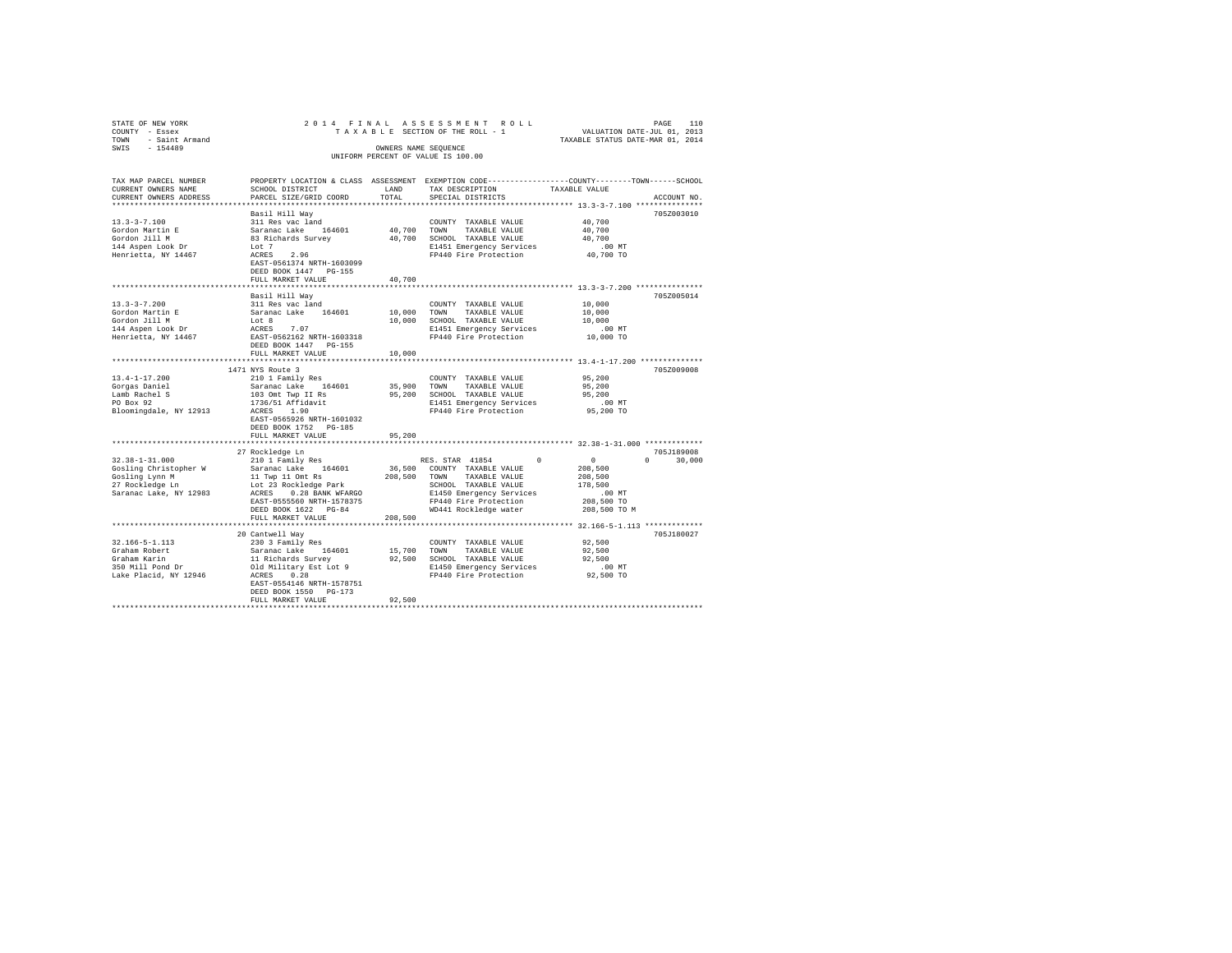| STATE OF NEW YORK                                                            |                                                                                                                                                                              |             | PAGE 110 PAGE 110<br>TAXABLE SECTION OF THE ROLL - 1 VALUATION DATE-JUL 01, 2013<br>TAXABLE STATUS DATE-MAR 01, 2014 |                                                           |               |  |  |  |  |
|------------------------------------------------------------------------------|------------------------------------------------------------------------------------------------------------------------------------------------------------------------------|-------------|----------------------------------------------------------------------------------------------------------------------|-----------------------------------------------------------|---------------|--|--|--|--|
| COUNTY - Essex                                                               |                                                                                                                                                                              |             |                                                                                                                      |                                                           |               |  |  |  |  |
| TOWN - Saint Armand                                                          |                                                                                                                                                                              |             |                                                                                                                      |                                                           |               |  |  |  |  |
| SWIS - 154489                                                                |                                                                                                                                                                              |             | OWNERS NAME SEOUENCE                                                                                                 |                                                           |               |  |  |  |  |
| UNIFORM PERCENT OF VALUE IS 100.00                                           |                                                                                                                                                                              |             |                                                                                                                      |                                                           |               |  |  |  |  |
|                                                                              |                                                                                                                                                                              |             |                                                                                                                      |                                                           |               |  |  |  |  |
|                                                                              |                                                                                                                                                                              |             |                                                                                                                      |                                                           |               |  |  |  |  |
| TAX MAP PARCEL NUMBER                                                        |                                                                                                                                                                              |             | PROPERTY LOCATION & CLASS ASSESSMENT EXEMPTION CODE---------------COUNTY-------TOWN------SCHOOL                      |                                                           |               |  |  |  |  |
| CURRENT OWNERS NAME                                                          | SCHOOL DISTRICT                                                                                                                                                              | LAND        | TAX DESCRIPTION                                                                                                      | TAXABLE VALUE                                             |               |  |  |  |  |
| CURRENT OWNERS ADDRESS                                                       | PARCEL SIZE/GRID COORD                                                                                                                                                       | TOTAL       | SPECIAL DISTRICTS                                                                                                    |                                                           | ACCOUNT NO.   |  |  |  |  |
|                                                                              |                                                                                                                                                                              |             |                                                                                                                      |                                                           |               |  |  |  |  |
|                                                                              | Basil Hill Way                                                                                                                                                               |             |                                                                                                                      |                                                           | 705Z003010    |  |  |  |  |
| $13.3 - 3 - 7.100$                                                           |                                                                                                                                                                              |             |                                                                                                                      | 40,700                                                    |               |  |  |  |  |
|                                                                              |                                                                                                                                                                              |             |                                                                                                                      | 40,700                                                    |               |  |  |  |  |
| Gordon Martin E<br>Gordon Jill M                                             |                                                                                                                                                                              |             |                                                                                                                      | 40,700                                                    |               |  |  |  |  |
| 144 Aspen Look Dr                                                            | Lot 7                                                                                                                                                                        |             |                                                                                                                      |                                                           |               |  |  |  |  |
| Henrietta, NY 14467                                                          | Lot 7<br>ACRES 2.96                                                                                                                                                          |             | E1451 Emergency Services .00 MT<br>FP440 Fire Protection 40,700 TO                                                   |                                                           |               |  |  |  |  |
|                                                                              | EAST-0561374 NRTH-1603099                                                                                                                                                    |             |                                                                                                                      |                                                           |               |  |  |  |  |
|                                                                              | DEED BOOK 1447 PG-155                                                                                                                                                        |             |                                                                                                                      |                                                           |               |  |  |  |  |
|                                                                              | FULL MARKET VALUE                                                                                                                                                            | 40,700      |                                                                                                                      |                                                           |               |  |  |  |  |
|                                                                              |                                                                                                                                                                              |             |                                                                                                                      |                                                           |               |  |  |  |  |
|                                                                              |                                                                                                                                                                              |             |                                                                                                                      |                                                           | 7057005014    |  |  |  |  |
| $13.3 - 3 - 7.200$                                                           | Basil Hill Way                                                                                                                                                               |             |                                                                                                                      |                                                           |               |  |  |  |  |
|                                                                              | 311 Res vac land                                                                                                                                                             |             | COUNTY TAXABLE VALUE                                                                                                 | 10,000                                                    |               |  |  |  |  |
|                                                                              |                                                                                                                                                                              |             |                                                                                                                      | 10,000                                                    |               |  |  |  |  |
|                                                                              |                                                                                                                                                                              |             | 10,000 SCHOOL TAXABLE VALUE                                                                                          | 10,000                                                    |               |  |  |  |  |
| Sordon Martin E<br>Gordon Jill M<br>144 Aspen Look Dr<br>Henrietta, NY 14467 | Saranac Lake 164601 10,000 TOWN TAXABLE VALUE<br>Lot 8 10,000 SCHOOL TAXABLE VALUE<br>ACRES 7.07 E1451 Emergency Services<br>EAST-0562162 NRTH-1603318 E1440 Fire Protection |             | E1451 Emergency Services .00 MT<br>FP440 Fire Protection .000 TO                                                     |                                                           |               |  |  |  |  |
|                                                                              |                                                                                                                                                                              |             |                                                                                                                      |                                                           |               |  |  |  |  |
|                                                                              | DEED BOOK 1447 PG-155                                                                                                                                                        |             |                                                                                                                      |                                                           |               |  |  |  |  |
|                                                                              | FULL MARKET VALUE                                                                                                                                                            | 10,000      |                                                                                                                      |                                                           |               |  |  |  |  |
|                                                                              | *************************                                                                                                                                                    |             | ***************************** 13.4-1-17.200 **************                                                           |                                                           |               |  |  |  |  |
|                                                                              | 1471 NYS Route 3                                                                                                                                                             |             |                                                                                                                      |                                                           | 705Z009008    |  |  |  |  |
| 13.4-1-17.200                                                                | 210 1 Family Res                                                                                                                                                             |             | COUNTY TAXABLE VALUE                                                                                                 | 95,200                                                    |               |  |  |  |  |
|                                                                              |                                                                                                                                                                              |             |                                                                                                                      | 95,200                                                    |               |  |  |  |  |
|                                                                              |                                                                                                                                                                              |             |                                                                                                                      |                                                           |               |  |  |  |  |
|                                                                              |                                                                                                                                                                              |             |                                                                                                                      |                                                           |               |  |  |  |  |
|                                                                              |                                                                                                                                                                              |             | 95,200 SCHOOL TAXABLE VALUE<br>E1451 Energency Services (00 MT<br>FP440 Fire Protection (05,200 TO                   |                                                           |               |  |  |  |  |
|                                                                              | EAST-0565926 NRTH-1601032                                                                                                                                                    |             |                                                                                                                      |                                                           |               |  |  |  |  |
|                                                                              | DEED BOOK 1752 PG-185                                                                                                                                                        |             |                                                                                                                      |                                                           |               |  |  |  |  |
|                                                                              | FULL MARKET VALUE                                                                                                                                                            | 95,200      |                                                                                                                      |                                                           |               |  |  |  |  |
|                                                                              |                                                                                                                                                                              | *********** | ***************************** 32.38-1-31.000 *************                                                           |                                                           |               |  |  |  |  |
|                                                                              |                                                                                                                                                                              |             |                                                                                                                      |                                                           | 705J189008    |  |  |  |  |
|                                                                              |                                                                                                                                                                              |             |                                                                                                                      |                                                           | $0 \t 30.000$ |  |  |  |  |
|                                                                              |                                                                                                                                                                              |             |                                                                                                                      | $\begin{array}{ccc} 0 & & & 0 \\ & & 208,500 \end{array}$ |               |  |  |  |  |
|                                                                              |                                                                                                                                                                              |             |                                                                                                                      |                                                           |               |  |  |  |  |
|                                                                              |                                                                                                                                                                              |             |                                                                                                                      | 208,500                                                   |               |  |  |  |  |
|                                                                              |                                                                                                                                                                              |             |                                                                                                                      | 178,500                                                   |               |  |  |  |  |
|                                                                              |                                                                                                                                                                              |             |                                                                                                                      | $.00$ MT                                                  |               |  |  |  |  |
|                                                                              |                                                                                                                                                                              |             |                                                                                                                      | 208,500 TO                                                |               |  |  |  |  |
|                                                                              |                                                                                                                                                                              |             |                                                                                                                      | 208,500 TO M                                              |               |  |  |  |  |
|                                                                              |                                                                                                                                                                              |             |                                                                                                                      |                                                           |               |  |  |  |  |
|                                                                              |                                                                                                                                                                              |             |                                                                                                                      |                                                           |               |  |  |  |  |
|                                                                              | 20 Cantwell Way                                                                                                                                                              |             |                                                                                                                      |                                                           | 705J180027    |  |  |  |  |
| 32.166-5-1.113                                                               | 230 3 Family Res                                                                                                                                                             |             | COUNTY TAXABLE VALUE                                                                                                 | 92,500                                                    |               |  |  |  |  |
|                                                                              |                                                                                                                                                                              |             |                                                                                                                      |                                                           |               |  |  |  |  |
|                                                                              |                                                                                                                                                                              |             |                                                                                                                      |                                                           |               |  |  |  |  |
|                                                                              |                                                                                                                                                                              |             |                                                                                                                      |                                                           |               |  |  |  |  |
|                                                                              |                                                                                                                                                                              |             |                                                                                                                      |                                                           |               |  |  |  |  |
|                                                                              | EAST-0554146 NRTH-1578751                                                                                                                                                    |             |                                                                                                                      |                                                           |               |  |  |  |  |
|                                                                              | DEED BOOK 1550 PG-173                                                                                                                                                        |             |                                                                                                                      |                                                           |               |  |  |  |  |
|                                                                              | FULL MARKET VALUE                                                                                                                                                            | 92,500      |                                                                                                                      |                                                           |               |  |  |  |  |
|                                                                              |                                                                                                                                                                              |             |                                                                                                                      |                                                           |               |  |  |  |  |
|                                                                              |                                                                                                                                                                              |             |                                                                                                                      |                                                           |               |  |  |  |  |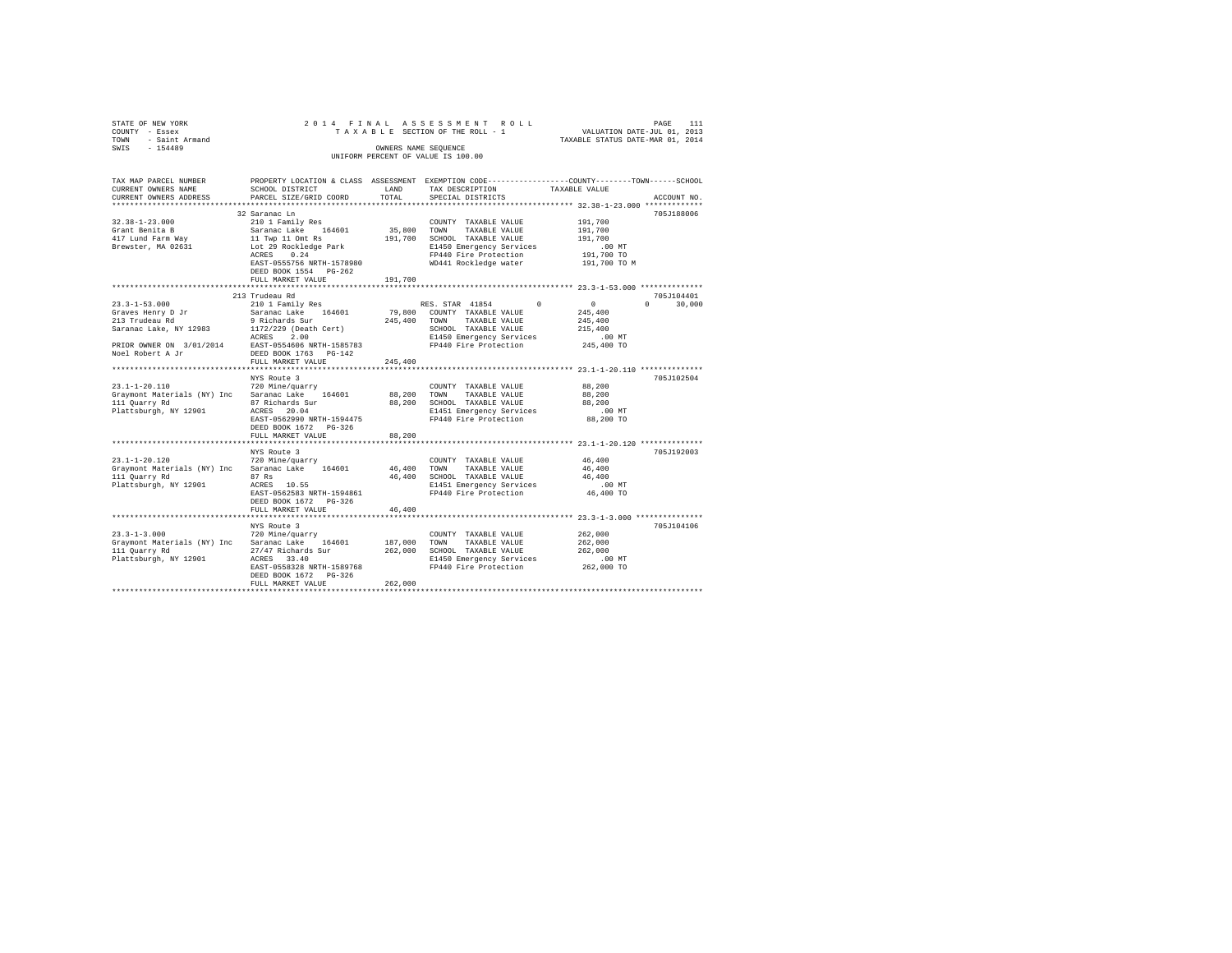| STATE OF NEW YORK                                  | 2014 FINAL                                  |              | ASSESSMENT ROLL                                                                                |                                                                 | PAGE<br>111                     |  |  |  |
|----------------------------------------------------|---------------------------------------------|--------------|------------------------------------------------------------------------------------------------|-----------------------------------------------------------------|---------------------------------|--|--|--|
| COUNTY - Essex<br>- Saint Armand<br>TOWN           |                                             |              | TAXABLE SECTION OF THE ROLL - 1                                                                | VALUATION DATE-JUL 01, 2013<br>TAXABLE STATUS DATE-MAR 01, 2014 |                                 |  |  |  |
| SWIS<br>$-154489$                                  |                                             |              | OWNERS NAME SEOUENCE                                                                           |                                                                 |                                 |  |  |  |
| UNIFORM PERCENT OF VALUE IS 100.00                 |                                             |              |                                                                                                |                                                                 |                                 |  |  |  |
|                                                    |                                             |              |                                                                                                |                                                                 |                                 |  |  |  |
| TAX MAP PARCEL NUMBER                              |                                             |              | PROPERTY LOCATION & CLASS ASSESSMENT EXEMPTION CODE---------------COUNTY-------TOWN-----SCHOOL |                                                                 |                                 |  |  |  |
| CURRENT OWNERS NAME                                | SCHOOL DISTRICT                             | LAND         | TAX DESCRIPTION                                                                                | TAXABLE VALUE                                                   |                                 |  |  |  |
| CURRENT OWNERS ADDRESS                             | PARCEL SIZE/GRID COORD                      | TOTAL        | SPECIAL DISTRICTS                                                                              |                                                                 | ACCOUNT NO.                     |  |  |  |
| ***********************                            |                                             |              |                                                                                                |                                                                 |                                 |  |  |  |
|                                                    | 32 Saranac Ln                               |              |                                                                                                |                                                                 | 705J188006                      |  |  |  |
| $32.38 - 1 - 23.000$                               | 210 1 Family Res                            |              | COUNTY TAXABLE VALUE                                                                           | 191,700                                                         |                                 |  |  |  |
| Grant Benita B                                     | Saranac Lake 164601                         | 35,800       | TOWN<br>TAXABLE VALUE                                                                          | 191,700                                                         |                                 |  |  |  |
| 417 Lund Farm Way                                  | 11 Twp 11 Omt Rs                            |              | 191,700 SCHOOL TAXABLE VALUE                                                                   | 191,700                                                         |                                 |  |  |  |
| Brewster, MA 02631                                 | Lot 29 Rockledge Park                       |              | E1450 Emergency Services                                                                       | $.00$ MT                                                        |                                 |  |  |  |
|                                                    | ACRES 0.24                                  |              | FP440 Fire Protection                                                                          | 191,700 TO                                                      |                                 |  |  |  |
|                                                    | EAST-0555756 NRTH-1578980                   |              | WD441 Rockledge water                                                                          | 191,700 TO M                                                    |                                 |  |  |  |
|                                                    | DEED BOOK 1554 PG-262<br>FULL MARKET VALUE  | 191,700      |                                                                                                |                                                                 |                                 |  |  |  |
|                                                    |                                             |              |                                                                                                |                                                                 |                                 |  |  |  |
|                                                    | 213 Trudeau Rd                              |              |                                                                                                |                                                                 | 705J104401                      |  |  |  |
| $23.3 - 1 - 53.000$                                | 210 1 Family Res                            |              | RES. STAR 41854<br>$^{\circ}$                                                                  | $\sim$ 0                                                        | $\Omega$ and $\Omega$<br>30,000 |  |  |  |
|                                                    | Saranac Lake 164601                         | 79,800       | COUNTY TAXABLE VALUE                                                                           | 245,400                                                         |                                 |  |  |  |
| Graves Henry D Jr<br>213 Trudeau Rd                | 9 Richards Sur                              | 245,400 TOWN | TAXABLE VALUE                                                                                  | 245,400                                                         |                                 |  |  |  |
| Saranac Lake, NY 12983                             | 1172/229 (Death Cert)                       |              | SCHOOL TAXABLE VALUE                                                                           | 215,400                                                         |                                 |  |  |  |
|                                                    | ACRES<br>2.00                               |              | E1450 Emergency Services                                                                       | $.00$ MT                                                        |                                 |  |  |  |
| PRIOR OWNER ON 3/01/2014 EAST-0554606 NRTH-1585783 |                                             |              | FP440 Fire Protection                                                                          | 245,400 TO                                                      |                                 |  |  |  |
| Noel Robert A Jr                                   | DEED BOOK 1763 PG-142                       |              |                                                                                                |                                                                 |                                 |  |  |  |
| ************************                           | FULL MARKET VALUE<br>********************** | 245,400      |                                                                                                | ************************ 23.1-1-20.110 **************           |                                 |  |  |  |
|                                                    | NYS Route 3                                 |              |                                                                                                |                                                                 | 705J102504                      |  |  |  |
| $23.1 - 1 - 20.110$                                | 720 Mine/quarry                             |              | COUNTY TAXABLE VALUE                                                                           | 88,200                                                          |                                 |  |  |  |
| Graymont Materials (NY) Inc Saranac Lake 164601    |                                             | 88,200       | TOWN<br>TAXABLE VALUE                                                                          | 88,200                                                          |                                 |  |  |  |
| 111 Quarry Rd                                      | 87 Richards Sur                             |              | 88,200 SCHOOL TAXABLE VALUE                                                                    | 88,200                                                          |                                 |  |  |  |
| Plattsburgh, NY 12901                              | ACRES 20.04                                 |              | E1451 Emergency Services                                                                       | $.00$ MT                                                        |                                 |  |  |  |
|                                                    | EAST-0562990 NRTH-1594475                   |              | FP440 Fire Protection                                                                          | 88,200 TO                                                       |                                 |  |  |  |
|                                                    | DEED BOOK 1672 PG-326                       |              |                                                                                                |                                                                 |                                 |  |  |  |
|                                                    | FULL MARKET VALUE                           | 88,200       |                                                                                                |                                                                 |                                 |  |  |  |
|                                                    |                                             | ************ |                                                                                                |                                                                 |                                 |  |  |  |
| $23.1 - 1 - 20.120$                                | NYS Route 3<br>720 Mine/quarry              |              |                                                                                                | 46,400                                                          | 705J192003                      |  |  |  |
| Graymont Materials (NY) Inc                        | Saranac Lake 164601                         | 46,400       | COUNTY TAXABLE VALUE<br>TAXABLE VALUE<br>TOWN                                                  | 46,400                                                          |                                 |  |  |  |
| 111 Quarry Rd                                      | 87 Rs                                       |              | 46,400 SCHOOL TAXABLE VALUE                                                                    | 46,400                                                          |                                 |  |  |  |
| Plattsburgh, NY 12901                              | ACRES 10.55                                 |              | E1451 Emergency Services                                                                       | $.00$ MT                                                        |                                 |  |  |  |
|                                                    | EAST-0562583 NRTH-1594861                   |              | FP440 Fire Protection                                                                          | 46,400 TO                                                       |                                 |  |  |  |
|                                                    | DEED BOOK 1672 PG-326                       |              |                                                                                                |                                                                 |                                 |  |  |  |
|                                                    | FULL MARKET VALUE                           | 46,400       |                                                                                                |                                                                 |                                 |  |  |  |
|                                                    |                                             |              |                                                                                                |                                                                 |                                 |  |  |  |
|                                                    | NYS Route 3                                 |              |                                                                                                |                                                                 | 705J104106                      |  |  |  |
| $23.3 - 1 - 3.000$                                 | 720 Mine/quarry                             |              | COUNTY TAXABLE VALUE                                                                           | 262,000                                                         |                                 |  |  |  |
| Graymont Materials (NY) Inc Saranac Lake 164601    |                                             | 187,000      | TOWN<br>TAXABLE VALUE                                                                          | 262,000                                                         |                                 |  |  |  |
| 111 Quarry Rd                                      | 27/47 Richards Sur                          |              | 262,000 SCHOOL TAXABLE VALUE                                                                   | 262,000                                                         |                                 |  |  |  |
| Plattsburgh, NY 12901                              | ACRES 33.40<br>EAST-0558328 NRTH-1589768    |              | E1450 Emergency Services<br>FP440 Fire Protection                                              | $.00$ MT<br>262,000 TO                                          |                                 |  |  |  |
|                                                    | DEED BOOK 1672 PG-326                       |              |                                                                                                |                                                                 |                                 |  |  |  |
|                                                    | FULL MARKET VALUE                           | 262,000      |                                                                                                |                                                                 |                                 |  |  |  |
|                                                    |                                             |              |                                                                                                |                                                                 |                                 |  |  |  |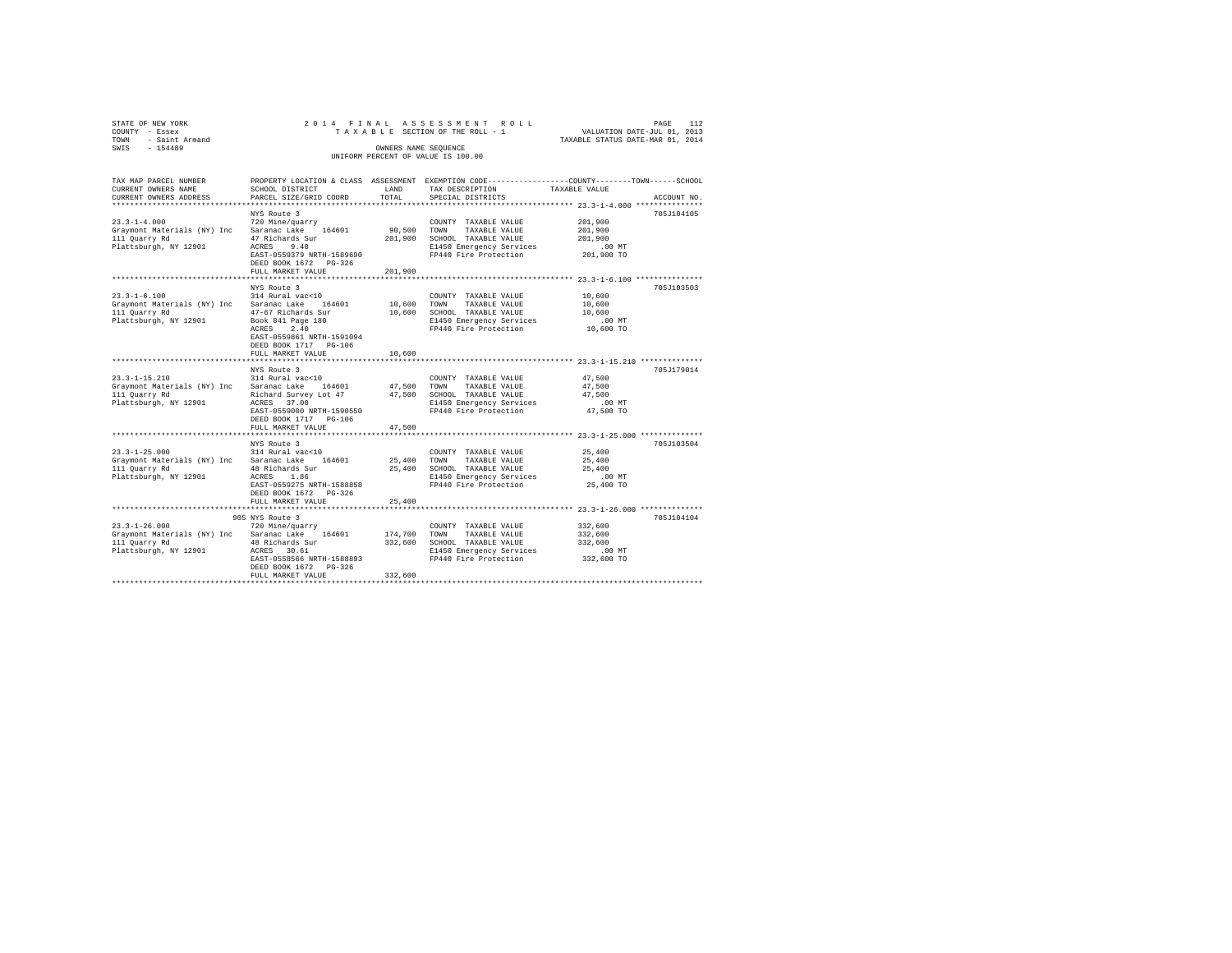| STATE OF NEW YORK   |                      |  |  |  |  | 2014 FINAL ASSESSMENT ROLL         |  |  |                                  | PAGE |  |  |
|---------------------|----------------------|--|--|--|--|------------------------------------|--|--|----------------------------------|------|--|--|
| COUNTY - Essex      |                      |  |  |  |  | TAXABLE SECTION OF THE ROLL - 1    |  |  | VALUATION DATE-JUL 01, 2013      |      |  |  |
| TOWN - Saint Armand |                      |  |  |  |  |                                    |  |  | TAXABLE STATUS DATE-MAR 01, 2014 |      |  |  |
| SWIS<br>$-154489$   | OWNERS NAME SEOUENCE |  |  |  |  |                                    |  |  |                                  |      |  |  |
|                     |                      |  |  |  |  | UNIFORM PERCENT OF VALUE IS 100.00 |  |  |                                  |      |  |  |
|                     |                      |  |  |  |  |                                    |  |  |                                  |      |  |  |

| TAX MAP PARCEL NUMBER                           |                                |             | PROPERTY LOCATION & CLASS ASSESSMENT EXEMPTION CODE---------------COUNTY-------TOWN------SCHOOL |                                               |             |
|-------------------------------------------------|--------------------------------|-------------|-------------------------------------------------------------------------------------------------|-----------------------------------------------|-------------|
| CURRENT OWNERS NAME                             | SCHOOL DISTRICT                | LAND        | TAX DESCRIPTION                                                                                 | TAXABLE VALUE                                 |             |
| CURRENT OWNERS ADDRESS                          | PARCEL SIZE/GRID COORD         | TOTAL       | SPECIAL DISTRICTS                                                                               |                                               | ACCOUNT NO. |
|                                                 |                                |             |                                                                                                 |                                               |             |
|                                                 | NYS Route 3                    |             |                                                                                                 |                                               | 705J104105  |
| $23.3 - 1 - 4.000$                              | 720 Mine/quarry                |             | COUNTY TAXABLE VALUE                                                                            | 201,900                                       |             |
| Graymont Materials (NY) Inc Saranac Lake 164601 |                                | 90,500 TOWN | TAXABLE VALUE                                                                                   | 201,900                                       |             |
| 111 Quarry Rd                                   | 47 Richards Sur                |             | 201,900 SCHOOL TAXABLE VALUE                                                                    | 201,900                                       |             |
| Plattsburgh, NY 12901                           | ACRES 9.40                     |             | E1450 Emergency Services                                                                        | .00 MT                                        |             |
|                                                 | EAST-0559379 NRTH-1589690      |             | FP440 Fire Protection                                                                           | 201,900 TO                                    |             |
|                                                 | DEED BOOK 1672 PG-326          |             |                                                                                                 |                                               |             |
|                                                 | FULL MARKET VALUE              | 201,900     |                                                                                                 |                                               |             |
|                                                 | ***********************        |             |                                                                                                 |                                               |             |
|                                                 | NYS Route 3                    |             |                                                                                                 |                                               | 705J103503  |
| $23.3 - 1 - 6.100$                              | 314 Rural vac<10               |             | COUNTY TAXABLE VALUE                                                                            | 10,600                                        |             |
| Graymont Materials (NY) Inc Saranac Lake 164601 |                                | 10,600      | TOWN<br>TAXABLE VALUE                                                                           | 10,600                                        |             |
| 111 Quarry Rd                                   | 47-67 Richards Sur             | 10,600      | SCHOOL TAXABLE VALUE                                                                            | 10,600                                        |             |
| Plattsburgh, NY 12901                           | Book 841 Page 180              |             | E1450 Emergency Services                                                                        | $.00$ MT                                      |             |
|                                                 | ACRES<br>2.40                  |             | FP440 Fire Protection                                                                           | 10,600 TO                                     |             |
|                                                 | EAST-0559861 NRTH-1591094      |             |                                                                                                 |                                               |             |
|                                                 | DEED BOOK 1717 PG-106          |             |                                                                                                 |                                               |             |
|                                                 | FULL MARKET VALUE              | 10,600      |                                                                                                 |                                               |             |
|                                                 | ************************       |             |                                                                                                 | ***************** 23.3-1-15.210 ************* |             |
|                                                 | NYS Route 3                    |             |                                                                                                 |                                               | 705J179014  |
| $23.3 - 1 - 15.210$                             | 314 Rural vac<10               |             | COUNTY TAXABLE VALUE                                                                            | 47,500                                        |             |
| Graymont Materials (NY) Inc Saranac Lake 164601 |                                |             | 47,500 TOWN TAXABLE VALUE                                                                       | 47,500                                        |             |
| 111 Quarry Rd                                   | Richard Survey Lot 47          |             | 47,500 SCHOOL TAXABLE VALUE                                                                     | 47.500                                        |             |
| Plattsburgh, NY 12901                           | ACRES 37.00                    |             |                                                                                                 |                                               |             |
|                                                 | EAST-0559000 NRTH-1590550      |             | E1450 Emergency Services<br>FP440 Fire Protection                                               |                                               |             |
|                                                 | DEED BOOK 1717 PG-106          |             |                                                                                                 | $47,500$ TO                                   |             |
|                                                 |                                | 47.500      |                                                                                                 |                                               |             |
|                                                 | FULL MARKET VALUE<br>.         |             |                                                                                                 | ********** 23.3-1-25.000 ************         |             |
|                                                 |                                |             |                                                                                                 |                                               |             |
|                                                 | NYS Route 3                    |             |                                                                                                 |                                               | 705J103504  |
| $23.3 - 1 - 25.000$                             | 314 Rural vac<10               |             | COUNTY TAXABLE VALUE                                                                            | 25,400                                        |             |
| Graymont Materials (NY) Inc Saranac Lake 164601 |                                | 25,400 TOWN | TAXABLE VALUE                                                                                   | 25,400                                        |             |
| 111 Quarry Rd                                   | 48 Richards Sur<br>ACRES 1.86  |             | 25,400 SCHOOL TAXABLE VALUE                                                                     | 25,400<br>.00 MT                              |             |
| Plattsburgh, NY 12901                           |                                |             | E1450 Emergency Services                                                                        |                                               |             |
|                                                 | EAST-0559275 NRTH-1588858      |             | FP440 Fire Protection                                                                           | 25,400 TO                                     |             |
|                                                 | DEED BOOK 1672 PG-326          |             |                                                                                                 |                                               |             |
|                                                 | FULL MARKET VALUE              | 25,400      |                                                                                                 |                                               |             |
|                                                 |                                |             |                                                                                                 |                                               |             |
|                                                 | 905 NYS Route 3                |             |                                                                                                 |                                               | 705J104104  |
| $23.3 - 1 - 26.000$                             | 720 Mine/quarry                |             | COUNTY TAXABLE VALUE                                                                            | 332,600                                       |             |
| Graymont Materials (NY) Inc Saranac Lake 164601 |                                | 174,700     | TOWN<br>TAXABLE VALUE                                                                           | 332,600                                       |             |
| 111 Quarry Rd                                   | 48 Richards Sur<br>ACRES 30.61 |             | 332,600 SCHOOL TAXABLE VALUE                                                                    | 332,600                                       |             |
| Plattsburgh, NY 12901 ACRES 30.61               |                                |             | E1450 Emergency Services                                                                        | $.00$ MT                                      |             |
|                                                 | EAST-0558566 NRTH-1588893      |             | FP440 Fire Protection                                                                           | $332,600$ TO                                  |             |
|                                                 | DEED BOOK 1672 PG-326          |             |                                                                                                 |                                               |             |
|                                                 | FULL MARKET VALUE              | 332,600     |                                                                                                 |                                               |             |
|                                                 |                                |             |                                                                                                 |                                               |             |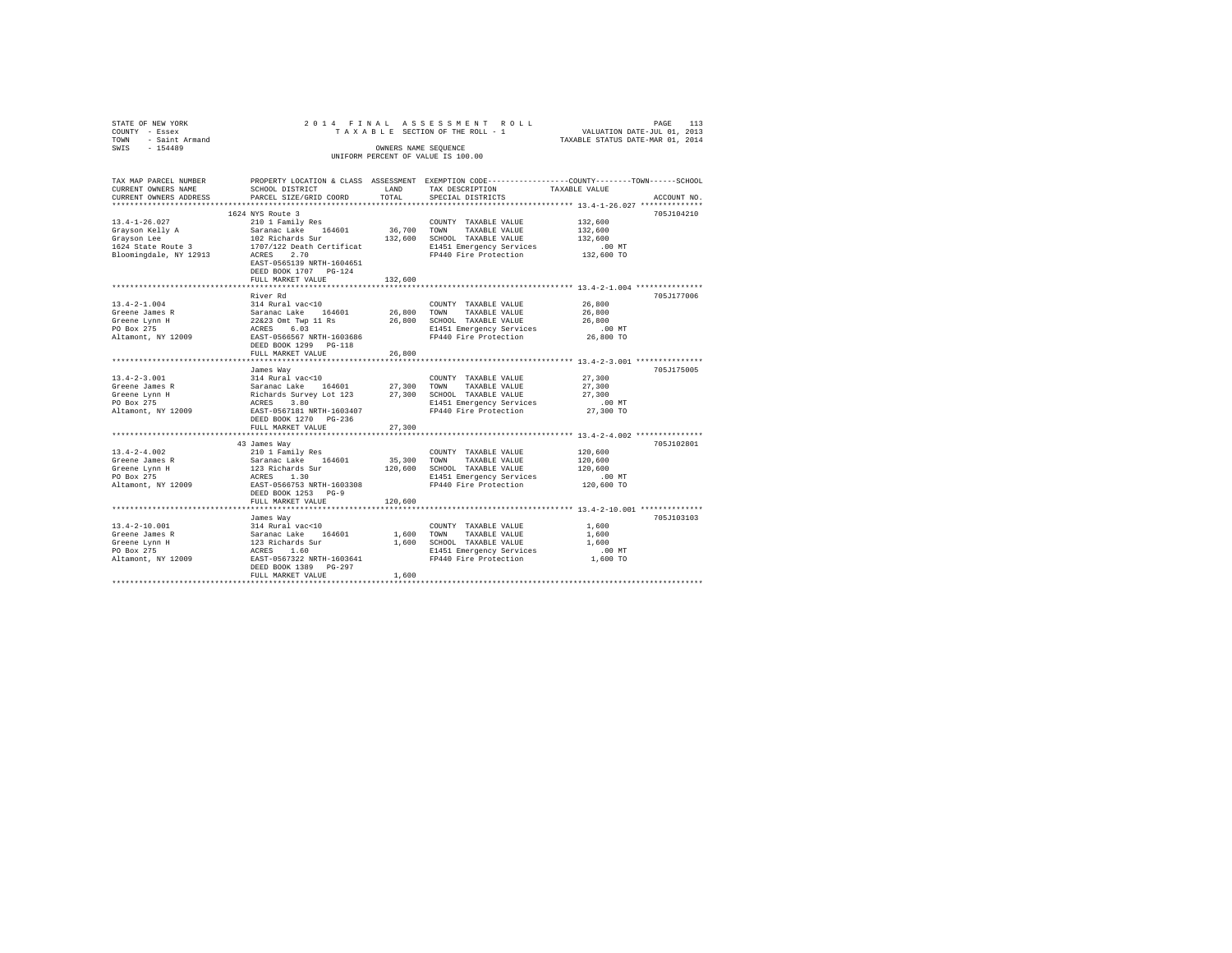| STATE OF NEW YORK<br>COUNTY - Essex<br>- Saint Armand<br>TOWN<br>$-154489$<br>SWIS        |                                                                                                                                                                                                                                                                           | OWNERS NAME SEQUENCE                                                                                                  | 2014 FINAL ASSESSMENT ROLL<br>INIFORM PERCENT OF VALUE IS 100.00                                                                  | 113<br>PAGE<br>TAXABLE SECTION OF THE ROLL - 1 WALUATION DATE-JUL 01, 2013<br>TAXABLE STATUS DATE-MAR 01, 2014 |  |
|-------------------------------------------------------------------------------------------|---------------------------------------------------------------------------------------------------------------------------------------------------------------------------------------------------------------------------------------------------------------------------|-----------------------------------------------------------------------------------------------------------------------|-----------------------------------------------------------------------------------------------------------------------------------|----------------------------------------------------------------------------------------------------------------|--|
| TAX MAP PARCEL NUMBER<br>CURRENT OWNERS NAME<br>CURRENT OWNERS ADDRESS                    | SCHOOL DISTRICT<br>PARCEL SIZE/GRID COORD TOTAL SPECIAL DISTRICTS                                                                                                                                                                                                         | <b>EXAMPLE AND STATE OF A STATE OF A STATE OF A STATE OF A STATE OF A STATE OF A STATE OF A STATE OF A STATE OF A</b> | TAX DESCRIPTION TAXABLE VALUE                                                                                                     | PROPERTY LOCATION & CLASS ASSESSMENT EXEMPTION CODE---------------COUNTY-------TOWN------SCHOOL<br>ACCOUNT NO. |  |
| $13.4 - 1 - 26.027$<br>Gravson Kelly A<br>Gravson Lee<br>Bloomingdale, NY 12913           | 1624 NYS Route 3<br>210 1 Family Res<br>Saranac Lake 164601 36,700 TOWN<br>102 Richards Sur 132,600 SCHOOL TAXABLE VALUE 132,600<br>1624 State Route 3 1707/122 Death Certificat<br>ACRES 2.70<br>EAST-0565139 NRTH-1604651<br>DEED BOOK 1707 PG-124<br>FULL MARKET VALUE | 132,600                                                                                                               | COUNTY TAXABLE VALUE 132,600<br>TAXABLE VALUE 132,600<br>E1451 Emergency Services<br>FP440 Fire Protection 132,600 TO             | 705J104210<br>$.00$ MT                                                                                         |  |
| $13.4 - 2 - 1.004$<br>Greene James R<br>Greene Lynn H<br>PO Box 275<br>Altamont, NY 12009 | River Rd<br>314 Rural vac<10<br>Saranac Lake 164601<br>$22\&23$ Omt Twp 11 Rs<br>ACRES 6.03<br>EAST-0566567 NRTH-1603686<br>DEED BOOK 1299 PG-118<br>FULL MARKET VALUE                                                                                                    | 26,800<br>26,800<br>26,800                                                                                            | COUNTY TAXABLE VALUE<br>TOWN<br>TAXABLE VALUE<br>SCHOOL TAXABLE VALUE<br>E1451 Emergency Services .00 MT<br>FP440 Fire Protection | 705.1177006<br>26,800<br>26,800<br>26,800<br>26,800 TO                                                         |  |
|                                                                                           | James Way                                                                                                                                                                                                                                                                 |                                                                                                                       |                                                                                                                                   | 705J175005                                                                                                     |  |

|                     | James Way                 |         |                          |            | 705J175005 |  |  |  |  |  |  |
|---------------------|---------------------------|---------|--------------------------|------------|------------|--|--|--|--|--|--|
| $13.4 - 2 - 3.001$  | 314 Rural vac<10          |         | COUNTY<br>TAXABLE VALUE  | 27,300     |            |  |  |  |  |  |  |
| Greene James R      | Saranac Lake<br>164601    | 27,300  | TOWN<br>TAXABLE VALUE    | 27,300     |            |  |  |  |  |  |  |
| Greene Lynn H       | Richards Survey Lot 123   | 27,300  | SCHOOL<br>TAXABLE VALUE  | 27,300     |            |  |  |  |  |  |  |
| PO Box 275          | 3.80<br>ACRES             |         | E1451 Emergency Services | $.00$ MT   |            |  |  |  |  |  |  |
| Altamont, NY 12009  | EAST-0567181 NRTH-1603407 |         | FP440 Fire Protection    | 27,300 TO  |            |  |  |  |  |  |  |
|                     | DEED BOOK 1270 PG-236     |         |                          |            |            |  |  |  |  |  |  |
|                     | FULL MARKET VALUE         | 27,300  |                          |            |            |  |  |  |  |  |  |
|                     |                           |         |                          |            |            |  |  |  |  |  |  |
|                     | 43 James Way              |         |                          |            | 705J102801 |  |  |  |  |  |  |
| $13.4 - 2 - 4.002$  | 210 1 Family Res          |         | COUNTY TAXABLE VALUE     | 120,600    |            |  |  |  |  |  |  |
| Greene James R      | Saranac Lake<br>164601    | 35,300  | TOWN<br>TAXABLE VALUE    | 120,600    |            |  |  |  |  |  |  |
| Greene Lynn H       | 123 Richards Sur          | 120,600 | SCHOOL<br>TAXABLE VALUE  | 120,600    |            |  |  |  |  |  |  |
| PO Box 275          | ACRES 1.30                |         | E1451 Emergency Services | $.00$ MT   |            |  |  |  |  |  |  |
| Altamont, NY 12009  | EAST-0566753 NRTH-1603308 |         | FP440 Fire Protection    | 120,600 TO |            |  |  |  |  |  |  |
|                     | DEED BOOK 1253 PG-9       |         |                          |            |            |  |  |  |  |  |  |
|                     | FULL MARKET VALUE         | 120,600 |                          |            |            |  |  |  |  |  |  |
|                     |                           |         |                          |            |            |  |  |  |  |  |  |
|                     | James Way                 |         |                          |            | 705J103103 |  |  |  |  |  |  |
| $13.4 - 2 - 10.001$ | 314 Rural vac<10          |         | COUNTY TAXABLE VALUE     | 1,600      |            |  |  |  |  |  |  |
| Greene James R      | Saranac Lake<br>164601    | 1,600   | TAXABLE VALUE<br>TOWN    | 1,600      |            |  |  |  |  |  |  |
| Greene Lynn H       | 123 Richards Sur          | 1,600   | SCHOOL<br>TAXABLE VALUE  | 1,600      |            |  |  |  |  |  |  |
| PO Box 275          | ACRES 1.60                |         | E1451 Emergency Services | $.00$ MT   |            |  |  |  |  |  |  |
| Altamont, NY 12009  | EAST-0567322 NRTH-1603641 |         | FP440 Fire Protection    | 1,600 TO   |            |  |  |  |  |  |  |
|                     | DEED BOOK 1389 PG-297     |         |                          |            |            |  |  |  |  |  |  |
|                     | FULL MARKET VALUE         | 1,600   |                          |            |            |  |  |  |  |  |  |
|                     |                           |         |                          |            |            |  |  |  |  |  |  |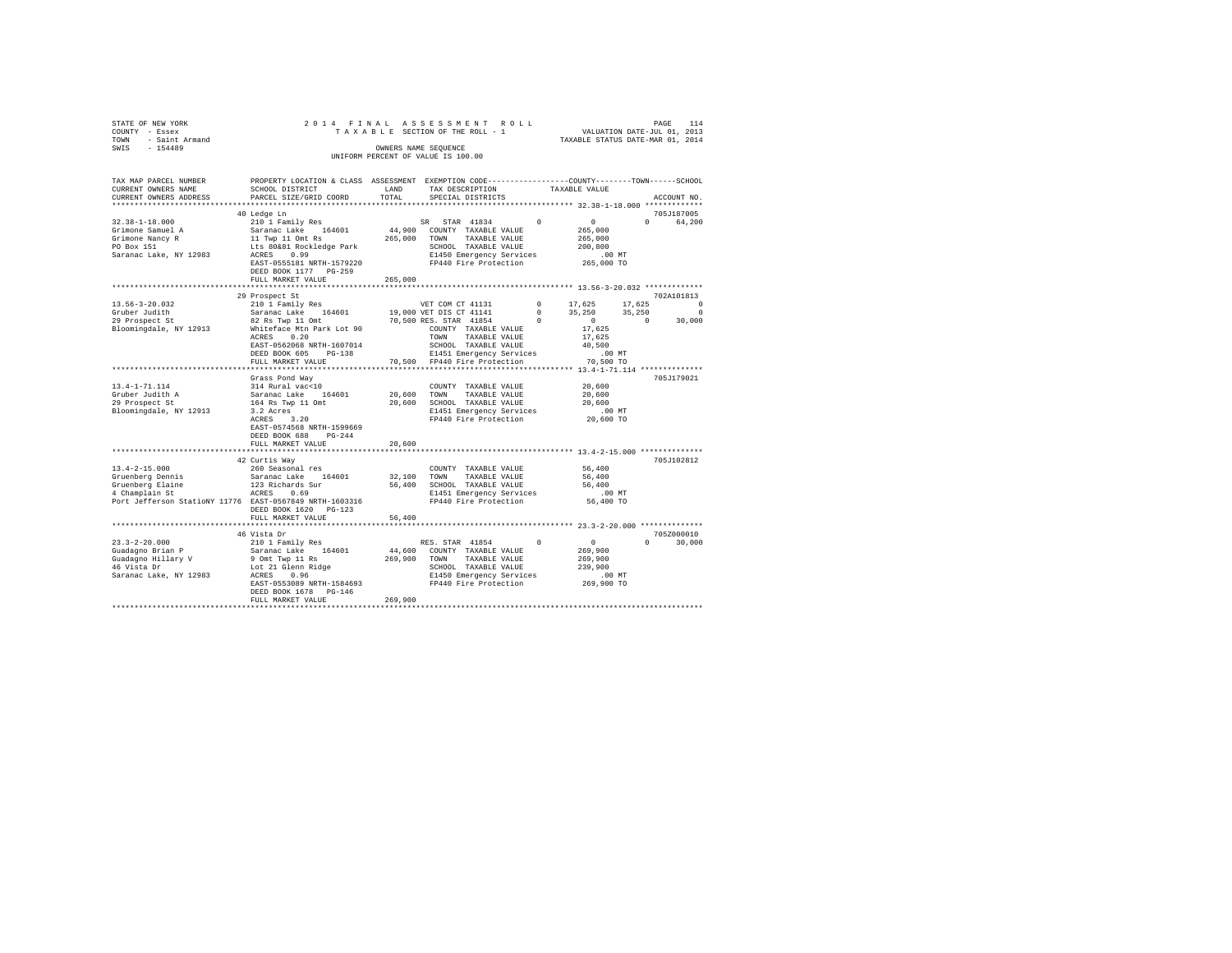| STATE OF NEW YORK<br>COUNTY - Essex<br>TOWN - Saint Armand<br>SWIS - 154489                                                                                                                                                                     |                                                                                                                                                                           |               | 2014 FINAL ASSESSMENT ROLL<br>TAXABLE SECTION OF THE ROLL - 1<br>OWNERS NAME SEQUENCE<br>UNIFORM PERCENT OF VALUE IS 100.00                                                                                                                                                                                                                   | VALUATION DATE-JUL 01, 2013<br>TAXABLE STATUS DATE-MAR 01, 2014 |          | PAGE<br>114   |
|-------------------------------------------------------------------------------------------------------------------------------------------------------------------------------------------------------------------------------------------------|---------------------------------------------------------------------------------------------------------------------------------------------------------------------------|---------------|-----------------------------------------------------------------------------------------------------------------------------------------------------------------------------------------------------------------------------------------------------------------------------------------------------------------------------------------------|-----------------------------------------------------------------|----------|---------------|
| TAX MAP PARCEL NUMBER<br>CURRENT OWNERS NAME<br>CURRENT OWNERS ADDRESS                                                                                                                                                                          | PROPERTY LOCATION & CLASS ASSESSMENT EXEMPTION CODE---------------COUNTY-------TOWN-----SCHOOL<br>SCHOOL DISTRICT<br>PARCEL SIZE/GRID COORD                               | LAND<br>TOTAL | TAX DESCRIPTION<br>SPECIAL DISTRICTS                                                                                                                                                                                                                                                                                                          | TAXABLE VALUE                                                   |          | ACCOUNT NO.   |
|                                                                                                                                                                                                                                                 | 40 Ledge Ln                                                                                                                                                               |               |                                                                                                                                                                                                                                                                                                                                               |                                                                 |          | 705J187005    |
| $32.38 - 1 - 18.000$<br>Grimone Samuel A<br>Grimone Nancy R<br>PO Box 151<br>Saranac Lake, NY 12983                                                                                                                                             | EAST-0555181 NRTH-1579220<br>DEED BOOK 1177 PG-259                                                                                                                        |               | E1450 Emergency Services<br>E1450 Emeryency<br>FP440 Fire Protection                                                                                                                                                                                                                                                                          | 265,000<br>265,000<br>200.800<br>00 MT.<br>265,000 TO           | $\Omega$ | 64,200        |
|                                                                                                                                                                                                                                                 | FULL MARKET VALUE                                                                                                                                                         | 265,000       |                                                                                                                                                                                                                                                                                                                                               |                                                                 |          |               |
| 13.56-3-20.032                                                                                                                                                                                                                                  | 29 Prospect St<br>210 1 Family Res                                                                                                                                        |               | VET COM CT 41131                                                                                                                                                                                                                                                                                                                              | $0 \t 17,625$                                                   | 17,625 0 | 702A101813    |
| Gruber Judith<br>er outer that the series of the series of the series of the series of the series of the series of the series of the series of the series of the series of the series of the series of the series of the series of the series o | Saranac Lake 164601<br>ACRES 0.20<br>EAST-0562068 NRTH-1607014<br>DEED BOOK 605 PG-138                                                                                    |               | $\begin{array}{ccccccccc} 19,000 & \texttt{VET DIS CT} & 41141 & 0 & 35,250 & 35,250 & 0 \\ 70,500 & \texttt{RFS.S TAR} & 41854 & 0 & 35,250 & 35,250 & 30,000 \\ \texttt{70,500} & 0 & 30,000 & 0 & 30,000 & 0 & 30,000 \\ \end{array}$<br>19,000 VET DIS CT 41141<br>TOWN TAXABLE VALUE<br>SCHOOL TAXABLE VALUE<br>E1451 Emergency Services | 17,625<br>40,500<br>$.00$ MT                                    |          |               |
|                                                                                                                                                                                                                                                 | FULL MARKET VALUE                                                                                                                                                         |               | 70,500 FP440 Fire Protection                                                                                                                                                                                                                                                                                                                  | 70,500 TO                                                       |          |               |
| 13.4-1-71.114<br>Gruber Judith A<br>29 Prospect St<br>Bloomingdale, NY 12913                                                                                                                                                                    | Grass Pond Way<br>314 Rural vac<10<br>Saranac Lake 164601<br>164 Rs Twp 11 Omt<br>3.2 Acres<br>ACRES 3.20<br>EAST-0574568 NRTH-1599669<br>DEED BOOK 688 PG-244            | 20,600 TOWN   | COUNTY TAXABLE VALUE<br>TAXABLE VALUE<br>20,600 SCHOOL TAXABLE VALUE<br>E1451 Emergency Services<br>FP440 Fire Protection                                                                                                                                                                                                                     | 20,600<br>20,600<br>20,600<br>.00 MT<br>20,600 TO               |          | 705J179021    |
|                                                                                                                                                                                                                                                 | FULL MARKET VALUE                                                                                                                                                         | 20,600        |                                                                                                                                                                                                                                                                                                                                               |                                                                 |          |               |
| $13.4 - 2 - 15.000$                                                                                                                                                                                                                             | 42 Curtis Way                                                                                                                                                             |               | COUNTY TAXABLE VALUE                                                                                                                                                                                                                                                                                                                          | 56,400                                                          |          | 705J102812    |
| Gruenberg Dennis<br>Gruenberg Elaine<br>4 Champlain St<br>Port Jefferson StatioNY 11776 EAST-0567849 NRTH-1603316                                                                                                                               | 260 Seasonal res<br>Saranac Lake 164601<br>123 Richards Sur<br>ACRES 0.69<br>DEED BOOK 1620 PG-123<br>FULL MARKET VALUE                                                   | 56,400        | 32,100 TOWN TAXABLE VALUE<br>56,400 SCHOOL TAXABLE VALUE<br>E1451 Emergency Services<br>FP440 Fire Protection                                                                                                                                                                                                                                 | 56,400<br>56,400<br>.00MT<br>56,400 TO                          |          |               |
|                                                                                                                                                                                                                                                 |                                                                                                                                                                           |               |                                                                                                                                                                                                                                                                                                                                               |                                                                 |          |               |
|                                                                                                                                                                                                                                                 | 46 Vista Dr                                                                                                                                                               |               |                                                                                                                                                                                                                                                                                                                                               |                                                                 |          | 705Z000010    |
| $23.3 - 2 - 20.000$<br>Guadagno Brian P<br>Guadagno Hillary V<br>46 Vista Dr<br>Saranac Lake, NY 12983                                                                                                                                          | 210 1 Family Res<br>Saranac Lake 164601<br>9 Omt Twp 11 Rs<br>Lot 21 Glenn Ridge<br>ACRES 0.96<br>EAST-0553089 NRTH-1584693<br>DEED BOOK 1678 PG-146<br>FULL MARKET VALUE | 269,900       | RES. STAR 41854 0 0 0<br>44,600 COUNTY TAXABLE VALUE<br>269,900 TOWN TAXABLE VALUE<br>SCHOOL TAXABLE VALUE<br>E1450 Emergency Services<br>E1450 Emergency Services<br>FP440 Fire Protection                                                                                                                                                   | 269,900<br>269,900<br>239,900<br>00 MT.<br>269,900 TO           |          | $0 \t 30,000$ |
|                                                                                                                                                                                                                                                 |                                                                                                                                                                           |               |                                                                                                                                                                                                                                                                                                                                               |                                                                 |          |               |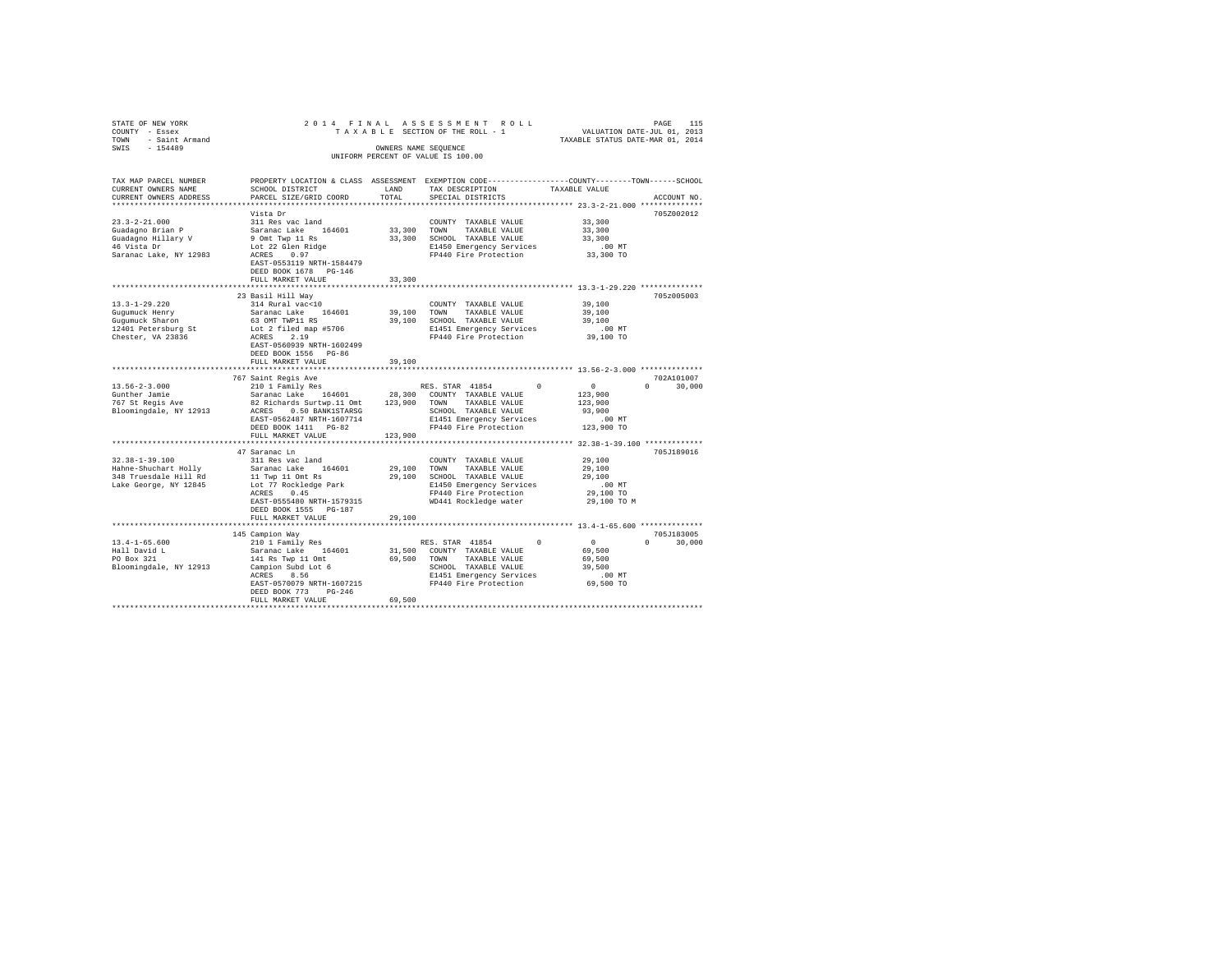| STATE OF NEW YORK             | 2014 FINAL                                |             | ASSESSMENT ROLL                                                                                  |                                                          |                    |
|-------------------------------|-------------------------------------------|-------------|--------------------------------------------------------------------------------------------------|----------------------------------------------------------|--------------------|
| COUNTY - Essex                |                                           |             | TAXABLE SECTION OF THE ROLL - 1                                                                  | PAGE 115<br>VALUATION DATE-JUL 01, 2013                  |                    |
| - Saint Armand<br><b>TOWN</b> |                                           |             |                                                                                                  | TAXABLE STATUS DATE-MAR 01, 2014                         |                    |
| $-154489$<br>SWTS             |                                           |             | OWNERS NAME SEQUENCE                                                                             |                                                          |                    |
|                               |                                           |             | UNIFORM PERCENT OF VALUE IS 100.00                                                               |                                                          |                    |
|                               |                                           |             |                                                                                                  |                                                          |                    |
| TAX MAP PARCEL NUMBER         |                                           |             | PROPERTY LOCATION & CLASS ASSESSMENT EXEMPTION CODE----------------COUNTY-------TOWN------SCHOOL |                                                          |                    |
| CURRENT OWNERS NAME           | SCHOOL DISTRICT                           | LAND        | TAX DESCRIPTION                                                                                  | TAXABLE VALUE                                            |                    |
| CURRENT OWNERS ADDRESS        | PARCEL SIZE/GRID COORD                    | TOTAL       | SPECIAL DISTRICTS                                                                                |                                                          | ACCOUNT NO.        |
|                               |                                           |             |                                                                                                  |                                                          |                    |
|                               | Vista Dr                                  |             |                                                                                                  |                                                          | 705Z002012         |
| $23.3 - 2 - 21.000$           | 311 Res vac land                          |             | COUNTY TAXABLE VALUE                                                                             | 33,300                                                   |                    |
| Guadagno Brian P              | Saranac Lake 164601                       | 33,300 TOWN | TAXABLE VALUE                                                                                    | 33,300                                                   |                    |
| Guadagno Hillary V            | 9 Omt Twp 11 Rs                           |             | 33,300 SCHOOL TAXABLE VALUE                                                                      | 33,300                                                   |                    |
| 46 Vista Dr                   | Lot 22 Glen Ridge                         |             | E1450 Emergency Services                                                                         | $.00$ MT                                                 |                    |
| Saranac Lake, NY 12983        | 0.97<br>ACRES                             |             | FP440 Fire Protection                                                                            | 33,300 TO                                                |                    |
|                               | EAST-0553119 NRTH-1584479                 |             |                                                                                                  |                                                          |                    |
|                               | DEED BOOK 1678 PG-146                     |             |                                                                                                  |                                                          |                    |
|                               | FULL MARKET VALUE                         | 33,300      |                                                                                                  |                                                          |                    |
|                               | ***********************                   | *********** |                                                                                                  | ************************ 13.3-1-29.220 **************    |                    |
|                               | 23 Basil Hill Way                         |             |                                                                                                  |                                                          | 705z005003         |
| $13.3 - 1 - 29.220$           | 314 Rural vac<10                          |             | COUNTY TAXABLE VALUE                                                                             | 39,100                                                   |                    |
| Gugumuck Henry                | Saranac Lake 164601                       | 39,100      | TOWN<br>TAXABLE VALUE                                                                            | 39,100                                                   |                    |
| Gugumuck Sharon               | 63 OMT TWP11 RS                           | 39,100      |                                                                                                  | 39,100                                                   |                    |
|                               |                                           |             | SCHOOL TAXABLE VALUE                                                                             |                                                          |                    |
| 12401 Petersburg St           | Lot 2 filed map #5706                     |             | E1451 Emergency Services                                                                         | $.00$ MT                                                 |                    |
| Chester, VA 23836             | ACRES 2.19<br>EAST-0560939 NRTH-1602499   |             | FP440 Fire Protection                                                                            | 39,100 TO                                                |                    |
|                               |                                           |             |                                                                                                  |                                                          |                    |
|                               | DEED BOOK 1556 PG-86<br>FULL MARKET VALUE | 39,100      |                                                                                                  |                                                          |                    |
|                               | *************************                 |             |                                                                                                  |                                                          |                    |
|                               |                                           |             |                                                                                                  |                                                          | 702A101007         |
|                               | 767 Saint Regis Ave                       |             | RES. STAR 41854<br>$\Omega$                                                                      | $\sim$ 0                                                 | $\Omega$           |
| $13.56 - 2 - 3.000$           | 210 1 Family Res                          |             |                                                                                                  |                                                          | 30,000             |
| Gunther Jamie                 | Saranac Lake 164601                       |             | 28,300 COUNTY TAXABLE VALUE                                                                      | 123,900                                                  |                    |
| 767 St Regis Ave              | 82 Richards Surtwp.11 Omt 123,900 TOWN    |             | TAXABLE VALUE                                                                                    | 123,900                                                  |                    |
| Bloomingdale, NY 12913        | ACRES 0.50 BANK1STARSG                    |             | SCHOOL TAXABLE VALUE                                                                             | 93,900                                                   |                    |
|                               | EAST-0562487 NRTH-1607714                 |             | E1451 Emergency Services                                                                         | $.00$ MT                                                 |                    |
|                               | DEED BOOK 1411 PG-82                      |             | FP440 Fire Protection                                                                            | 123,900 TO                                               |                    |
|                               | FULL MARKET VALUE<br>******************** | 123,900     |                                                                                                  |                                                          |                    |
|                               |                                           |             |                                                                                                  | **************************** 32.38-1-39.100 ************ |                    |
|                               | 47 Saranac Ln                             |             |                                                                                                  |                                                          | 705J189016         |
| $32.38 - 1 - 39.100$          | 311 Res vac land                          |             | COUNTY TAXABLE VALUE                                                                             | 29,100                                                   |                    |
| Hahne-Shuchart Holly          | Saranac Lake 164601                       | 29,100      | TOWN<br>TAXABLE VALUE                                                                            | 29,100                                                   |                    |
| 348 Truesdale Hill Rd         | 11 Twp 11 Omt Rs                          |             | 29,100 SCHOOL TAXABLE VALUE                                                                      | 29,100                                                   |                    |
| Lake George, NY 12845         | Lot 77 Rockledge Park                     |             | E1450 Emergency Services                                                                         | .00 MT                                                   |                    |
|                               | ACRES<br>0.45                             |             | FP440 Fire Protection                                                                            | 29,100 TO                                                |                    |
|                               | EAST-0555480 NRTH-1579315                 |             | WD441 Rockledge water                                                                            | 29,100 TO M                                              |                    |
|                               | DEED BOOK 1555 PG-187                     |             |                                                                                                  |                                                          |                    |
|                               | FULL MARKET VALUE                         | 29,100      |                                                                                                  |                                                          |                    |
|                               |                                           |             |                                                                                                  |                                                          |                    |
|                               | 145 Campion Way                           |             |                                                                                                  |                                                          | 705J183005         |
| $13.4 - 1 - 65.600$           | 210 1 Family Res                          |             | $\Omega$<br>RES. STAR 41854                                                                      | $\mathbf{0}$                                             | 30,000<br>$\Omega$ |
| Hall David L                  | Saranac Lake 164601                       |             | 31,500 COUNTY TAXABLE VALUE                                                                      | 69,500                                                   |                    |
| PO Box 321                    | 141 Rs Twp 11 Omt                         | 69,500      | TAXABLE VALUE<br>TOWN                                                                            | 69,500                                                   |                    |
| Bloomingdale, NY 12913        | Campion Subd Lot 6                        |             | SCHOOL TAXABLE VALUE                                                                             | 39,500                                                   |                    |
|                               | ACRES<br>8.56                             |             | E1451 Emergency Services                                                                         | .00 MT                                                   |                    |
|                               | EAST-0570079 NRTH-1607215                 |             | FP440 Fire Protection                                                                            | 69,500 TO                                                |                    |
|                               | DEED BOOK 773<br>$PG-246$                 |             |                                                                                                  |                                                          |                    |
|                               | FULL MARKET VALUE                         | 69,500      |                                                                                                  |                                                          |                    |
|                               |                                           |             |                                                                                                  |                                                          |                    |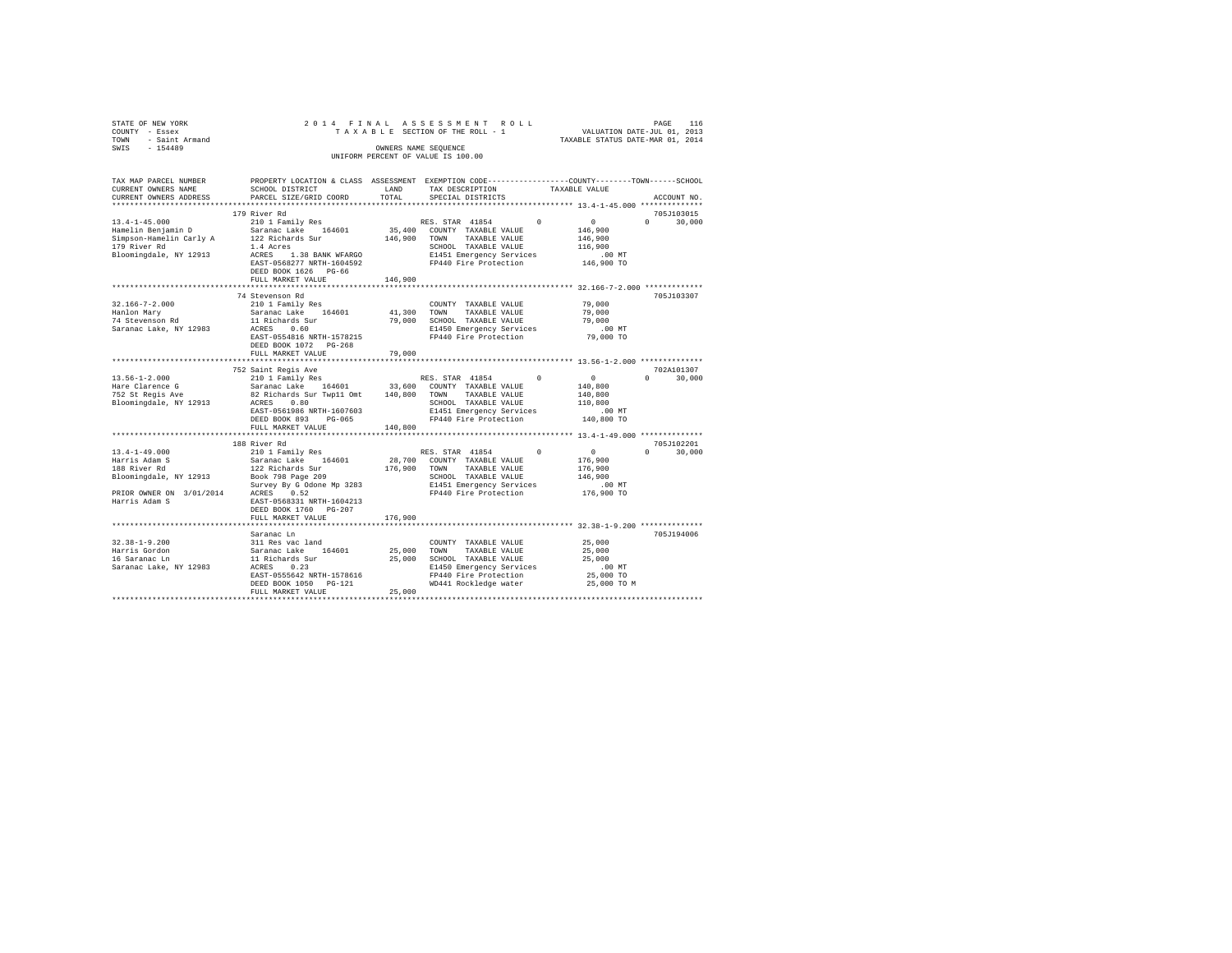| STATE OF NEW YORK<br>COUNTY - Essex           |                                                                                                                                                                                                                                                                                             |              |                                                           | 2014 FINAL ASSESSMENT ROLL PAGE 116<br>TAXABLE SECTION OF THE ROLL - 1 VALUATION DATE-JUL 01, 2013<br>TAXABLE STATUS DATE-MAR 01, 2014 |  |
|-----------------------------------------------|---------------------------------------------------------------------------------------------------------------------------------------------------------------------------------------------------------------------------------------------------------------------------------------------|--------------|-----------------------------------------------------------|----------------------------------------------------------------------------------------------------------------------------------------|--|
| TOWN - Saint Armand                           |                                                                                                                                                                                                                                                                                             |              |                                                           |                                                                                                                                        |  |
| SWIS - 154489                                 |                                                                                                                                                                                                                                                                                             |              | OWNERS NAME SEQUENCE                                      |                                                                                                                                        |  |
|                                               |                                                                                                                                                                                                                                                                                             |              | UNIFORM PERCENT OF VALUE IS 100.00                        |                                                                                                                                        |  |
|                                               |                                                                                                                                                                                                                                                                                             |              |                                                           | TAX MAP PARCEL NUMBER PROPERTY LOCATION & CLASS ASSESSMENT EXEMPTION CODE--------------COUNTY-------TOWN-----SCHOOL                    |  |
| CURRENT OWNERS NAME                           | SCHOOL DISTRICT                                                                                                                                                                                                                                                                             | LAND         | TAX DESCRIPTION                                           | TAXABLE VALUE                                                                                                                          |  |
| CURRENT OWNERS ADDRESS                        | PARCEL SIZE/GRID COORD                                                                                                                                                                                                                                                                      | TOTAL        | SPECIAL DISTRICTS                                         | ACCOUNT NO.                                                                                                                            |  |
|                                               |                                                                                                                                                                                                                                                                                             |              |                                                           |                                                                                                                                        |  |
|                                               | 179 River Rd                                                                                                                                                                                                                                                                                |              |                                                           | 705J103015                                                                                                                             |  |
| $13.4 - 1 - 45.000$                           | 210 1 Family Res                                                                                                                                                                                                                                                                            |              | RES. STAR 41854<br>$^{\circ}$                             | $\sim$ 0<br>$0 \t 30,000$                                                                                                              |  |
| Hamelin Benjamin D<br>Simpson-Hamelin Carly A | Saranac Lake 164601<br>122 Richards Sur                                                                                                                                                                                                                                                     |              | 35,400 COUNTY TAXABLE VALUE<br>146,900 TOWN TAXABLE VALUE | 146,900<br>146,900                                                                                                                     |  |
| 179 River Rd                                  | 1.4 Acres                                                                                                                                                                                                                                                                                   |              | SCHOOL TAXABLE VALUE                                      | 116,900                                                                                                                                |  |
| Bloomingdale, NY 12913                        | ACRES 1.38 BANK WFARGO                                                                                                                                                                                                                                                                      |              | E1451 Emergency Services                                  | $.00$ MT                                                                                                                               |  |
|                                               | EAST-0568277 NRTH-1604592                                                                                                                                                                                                                                                                   |              | FP440 Fire Protection                                     | 146,900 TO                                                                                                                             |  |
|                                               | DEED BOOK 1626 PG-66                                                                                                                                                                                                                                                                        |              |                                                           |                                                                                                                                        |  |
|                                               | FULL MARKET VALUE                                                                                                                                                                                                                                                                           | 146,900      |                                                           |                                                                                                                                        |  |
|                                               |                                                                                                                                                                                                                                                                                             |              |                                                           |                                                                                                                                        |  |
|                                               | 74 Stevenson Rd                                                                                                                                                                                                                                                                             |              |                                                           | 705J103307                                                                                                                             |  |
| $32.166 - 7 - 2.000$                          | 210 1 Family Res                                                                                                                                                                                                                                                                            |              | COUNTY TAXABLE VALUE                                      | 79,000                                                                                                                                 |  |
| Hanlon Mary                                   | Saranac Lake 164601                                                                                                                                                                                                                                                                         |              | 41,300 TOWN TAXABLE VALUE                                 | 79,000                                                                                                                                 |  |
| nanfon nafy<br>74 Stevenson Rd                | 11 Richards Sur<br>ACRES 0.60                                                                                                                                                                                                                                                               |              | 79,000 SCHOOL TAXABLE VALUE                               | 79,000                                                                                                                                 |  |
| Saranac Lake, NY 12983                        |                                                                                                                                                                                                                                                                                             |              | E1450 Emergency Services                                  | $.00$ MT                                                                                                                               |  |
|                                               | EAST-0554816 NRTH-1578215                                                                                                                                                                                                                                                                   |              | FP440 Fire Protection                                     | 79,000 TO                                                                                                                              |  |
|                                               | DEED BOOK 1072 PG-268                                                                                                                                                                                                                                                                       |              |                                                           |                                                                                                                                        |  |
|                                               | FULL MARKET VALUE                                                                                                                                                                                                                                                                           | 79,000       |                                                           |                                                                                                                                        |  |
|                                               | 752 Saint Regis Ave                                                                                                                                                                                                                                                                         |              |                                                           | 702A101307                                                                                                                             |  |
| $13.56 - 1 - 2.000$                           | 210 1 Family Res                                                                                                                                                                                                                                                                            |              | RES. STAR 41854<br>$\Omega$                               | $\sim$ 0<br>$0 \t 30,000$                                                                                                              |  |
|                                               |                                                                                                                                                                                                                                                                                             |              |                                                           | 140,800                                                                                                                                |  |
| Hare Clarence G<br>752 St Regis Ave           | Saranac Lake 164601 33,600 COUNTY TAXABLE VALUE<br>Saranac Lake 164601 33,600 COUNTY TAXABLE VALUE                                                                                                                                                                                          |              |                                                           | 140,800                                                                                                                                |  |
| Bloomingdale, NY 12913                        | ACRES 0.80                                                                                                                                                                                                                                                                                  |              | SCHOOL TAXABLE VALUE                                      | 110,800                                                                                                                                |  |
|                                               | EAST-0561986 NRTH-1607603                                                                                                                                                                                                                                                                   |              | E1451 Emergency Services                                  | $.00$ MT                                                                                                                               |  |
|                                               | DEED BOOK 893 PG-065                                                                                                                                                                                                                                                                        |              | FP440 Fire Protection                                     | 140,800 TO                                                                                                                             |  |
|                                               | FULL MARKET VALUE                                                                                                                                                                                                                                                                           | 140,800      |                                                           |                                                                                                                                        |  |
|                                               |                                                                                                                                                                                                                                                                                             |              |                                                           |                                                                                                                                        |  |
| $13.4 - 1 - 49.000$                           | 188 River Rd<br>210 1 Family Res                                                                                                                                                                                                                                                            |              | RES. STAR 41854<br>$\Omega$                               | 705J102201<br>$\sim$ 0<br>$0 \t 30,000$                                                                                                |  |
|                                               |                                                                                                                                                                                                                                                                                             |              | 28.700 COUNTY TAXABLE VALUE                               | 176,900                                                                                                                                |  |
| Harris Adam S<br>188 River Rd                 | Saranac Lake 164601<br>122 Richards Sur                                                                                                                                                                                                                                                     | 176,900 TOWN | TAXABLE VALUE                                             | 176,900                                                                                                                                |  |
|                                               | Bloomingdale, NY 12913 Book 798 Page 209                                                                                                                                                                                                                                                    |              |                                                           | 146,900                                                                                                                                |  |
|                                               |                                                                                                                                                                                                                                                                                             |              | SCHOOL TAXABLE VALUE<br>E1451 Emergency Services          | .00 MT                                                                                                                                 |  |
|                                               |                                                                                                                                                                                                                                                                                             |              | FP440 Fire Protection                                     | 176,900 TO                                                                                                                             |  |
|                                               |                                                                                                                                                                                                                                                                                             |              |                                                           |                                                                                                                                        |  |
|                                               | $\begin{tabular}{lllllllll} & $\ldots\ldots\ldots\ldots$ & $209$ & \\ \texttt{PRIOR ONNER ON} & 3/01/2014 & \texttt{SUVEY BY G Odone Mp 3283} \\ \texttt{Harris Adam S} & & $\ldots\ldots\ldots\ldots$ & \\ \texttt{Harris Adam S} & & $\ldots\ldots\ldots\ldots\ldots$ & \\ \end{tabular}$ |              |                                                           |                                                                                                                                        |  |
|                                               | FULL MARKET VALUE                                                                                                                                                                                                                                                                           | 176,900      |                                                           |                                                                                                                                        |  |
|                                               |                                                                                                                                                                                                                                                                                             |              |                                                           |                                                                                                                                        |  |
|                                               | Saranac Ln                                                                                                                                                                                                                                                                                  |              |                                                           | 705J194006                                                                                                                             |  |
| $32.38 - 1 - 9.200$                           |                                                                                                                                                                                                                                                                                             |              | COUNTY TAXABLE VALUE                                      | 25,000                                                                                                                                 |  |
| Harris Gordon<br>16 Saranac Ln                |                                                                                                                                                                                                                                                                                             |              | 25,000 TOWN TAXABLE VALUE<br>25,000 SCHOOL TAXABLE VALUE  | 25,000<br>25,000                                                                                                                       |  |
| Saranac Lake, NY 12983                        |                                                                                                                                                                                                                                                                                             |              | E1450 Emergency Services                                  | $.00$ MT                                                                                                                               |  |
|                                               | EAST-0555642 NRTH-1578616                                                                                                                                                                                                                                                                   |              | FP440 Fire Protection                                     | 25,000 TO                                                                                                                              |  |
|                                               | DEED BOOK 1050 PG-121                                                                                                                                                                                                                                                                       |              | WD441 Rockledge water                                     | 25,000 TO M                                                                                                                            |  |
|                                               | FULL MARKET VALUE                                                                                                                                                                                                                                                                           | 25,000       |                                                           |                                                                                                                                        |  |
|                                               |                                                                                                                                                                                                                                                                                             |              |                                                           |                                                                                                                                        |  |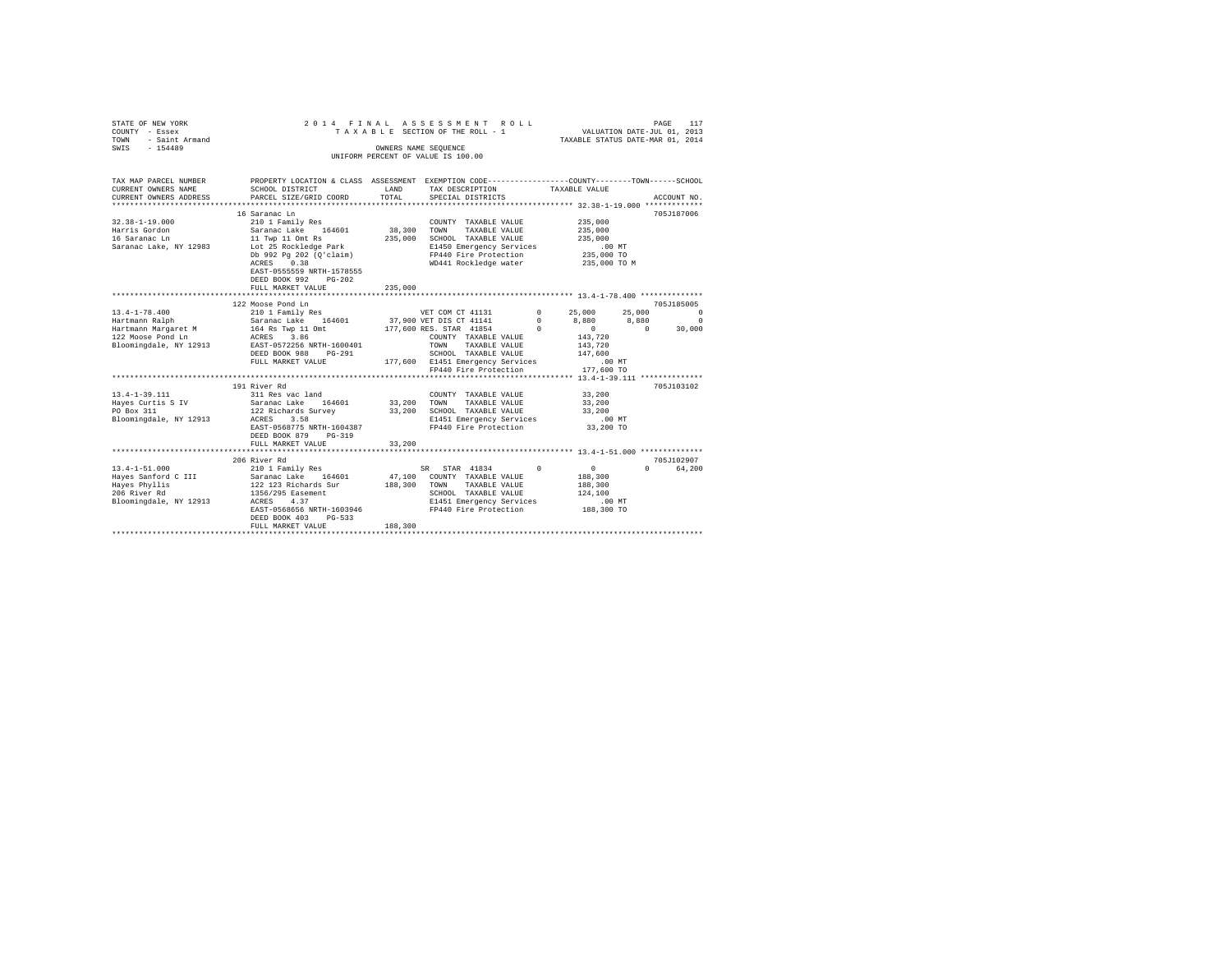| STATE OF NEW YORK<br>COUNTY - Essex<br>TOWN<br>- Saint Armand<br>SWIS - 154489                                                                          |                                                                                                                                                                                                                                                              | OWNERS NAME SEQUENCE | 2014 FINAL ASSESSMENT ROLL<br>TAXABLE SECTION OF THE ROLL - 1<br>UNIFORM PERCENT OF VALUE IS 100.00                                                                                                                                |            | VALUATION DATE-JUL 01, 2013<br>TAXABLE STATUS DATE-MAR 01, 2014                                                                                                          |                             | PAGE<br>117                                                |
|---------------------------------------------------------------------------------------------------------------------------------------------------------|--------------------------------------------------------------------------------------------------------------------------------------------------------------------------------------------------------------------------------------------------------------|----------------------|------------------------------------------------------------------------------------------------------------------------------------------------------------------------------------------------------------------------------------|------------|--------------------------------------------------------------------------------------------------------------------------------------------------------------------------|-----------------------------|------------------------------------------------------------|
| TAX MAP PARCEL NUMBER<br>CURRENT OWNERS NAME<br>CURRENT OWNERS ADDRESS                                                                                  | PROPERTY LOCATION & CLASS ASSESSMENT EXEMPTION CODE----------------COUNTY-------TOWN-----SCHOOL<br>SCHOOL DISTRICT<br>PARCEL SIZE/GRID COORD                                                                                                                 | LAND<br>TOTAL        | TAX DESCRIPTION TAXABLE VALUE<br>SPECIAL DISTRICTS                                                                                                                                                                                 |            |                                                                                                                                                                          |                             | ACCOUNT NO.                                                |
|                                                                                                                                                         |                                                                                                                                                                                                                                                              |                      |                                                                                                                                                                                                                                    |            |                                                                                                                                                                          |                             |                                                            |
| $32.38 - 1 - 19.000$<br>Harris Gordon<br>16 Saranac Ln<br>Saranac Lake, NY 12983                                                                        | 16 Saranac Ln<br>210 1 Family Res<br>Saranac Lake 164601 38,300 TOWN TAXABLE VALUE<br>11 Twp 11 Omt Rs<br>Lot 25 Rockledge Park<br>Db 992 Pg 202 (O'claim)<br>ACRES 0.38<br>EAST-0555559 NRTH-1578555<br>DEED BOOK 992 PG-202<br>FULL MARKET VALUE           | 235,000              | COUNTY TAXABLE VALUE<br>235,000 SCHOOL TAXABLE VALUE<br>E1450 Emergency --<br>FP440 Fire Protection<br>WD441 Rockledge water 235,000 TO M                                                                                          |            | 235,000<br>235,000<br>235,000<br>.00 MT<br>235,000 TO                                                                                                                    |                             | 705J187006                                                 |
|                                                                                                                                                         |                                                                                                                                                                                                                                                              |                      |                                                                                                                                                                                                                                    |            |                                                                                                                                                                          |                             |                                                            |
| $13.4 - 1 - 78.400$<br>Hartmann Ralph<br>Hartmann Margaret M<br>122 Moose Pond Ln<br>Bloomingdale, NY 12913<br>$13.4 - 1 - 39.111$<br>Hayes Curtis S IV | 122 Moose Pond Ln<br>210 1 Family Res<br>Saranac Lake 164601 37,900 VET DIS CT 41141<br>164 Rs Twp 11 Omt<br>ACRES 3.86<br>EAST-0572256 NRTH-1600401<br>DEED BOOK 988 PG-291<br>FULL MARKET VALUE<br>191 River Rd<br>311 Res vac land<br>Saranac Lake 164601 | 33,200 TOWN          | VET COM CT 41131<br>177,600 RES. STAR 41854<br>COUNTY TAXABLE VALUE 143,720<br>TOWN<br>TAXABLE VALUE<br>SCHOOL TAXABLE VALUE<br>177,600 E1451 Emergency Services<br>FP440 Fire Protection<br>COUNTY TAXABLE VALUE<br>TAXABLE VALUE | $^{\circ}$ | $\begin{array}{ccc} 0 & \quad & 25\,,\,0\,0\,0 \\ 0 & \quad & 8\,,\,8\,8\,0 \end{array}$<br>$\sim$ 0<br>143,720<br>147,600<br>$.00$ MT<br>177,600 TO<br>33,200<br>33,200 | 25,000<br>8,880<br>$\sim$ 0 | 705J185005<br>$\Omega$<br>$\Omega$<br>30,000<br>705J103102 |
| PO Box 311<br>Bloomingdale, NY 12913                                                                                                                    | 122 Richards Survey<br>ACRES<br>3.58<br>EAST-0568775 NRTH-1604387<br>DEED BOOK 879 PG-319<br>FULL MARKET VALUE                                                                                                                                               | 33,200               | 33,200 SCHOOL TAXABLE VALUE<br>E1451 Emergency Services<br>FP440 Fire Protection 33,200 TO                                                                                                                                         |            | 33,200<br>$.00$ MT                                                                                                                                                       |                             |                                                            |
|                                                                                                                                                         |                                                                                                                                                                                                                                                              |                      |                                                                                                                                                                                                                                    |            |                                                                                                                                                                          |                             |                                                            |
| $13.4 - 1 - 51.000$<br>Hayes Sanford C III<br>Hayes Phyllis<br>206 River Rd<br>Bloomingdale, NY 12913                                                   | 206 River Rd<br>210 1 Family Res<br>Saranac Lake 164601<br>122 123 Richards Sur<br>1356/295 Easement<br>4.37<br>ACRES<br>EAST-0568656 NRTH-1603946<br>DEED BOOK 403<br>$PG-533$<br>FULL MARKET VALUE                                                         | 188,300              | SR STAR 41834<br>47,100 COUNTY TAXABLE VALUE<br>188,300 TOWN TAXABLE VALUE<br>SCHOOL TAXABLE VALUE<br>E1451 Emergency Services<br>FP440 Fire Protection                                                                            | $^{\circ}$ | $\sim$ 0<br>188,300<br>188,300<br>124,100<br>.00 MT<br>188,300 TO                                                                                                        |                             | 705-7102907<br>0 64,200                                    |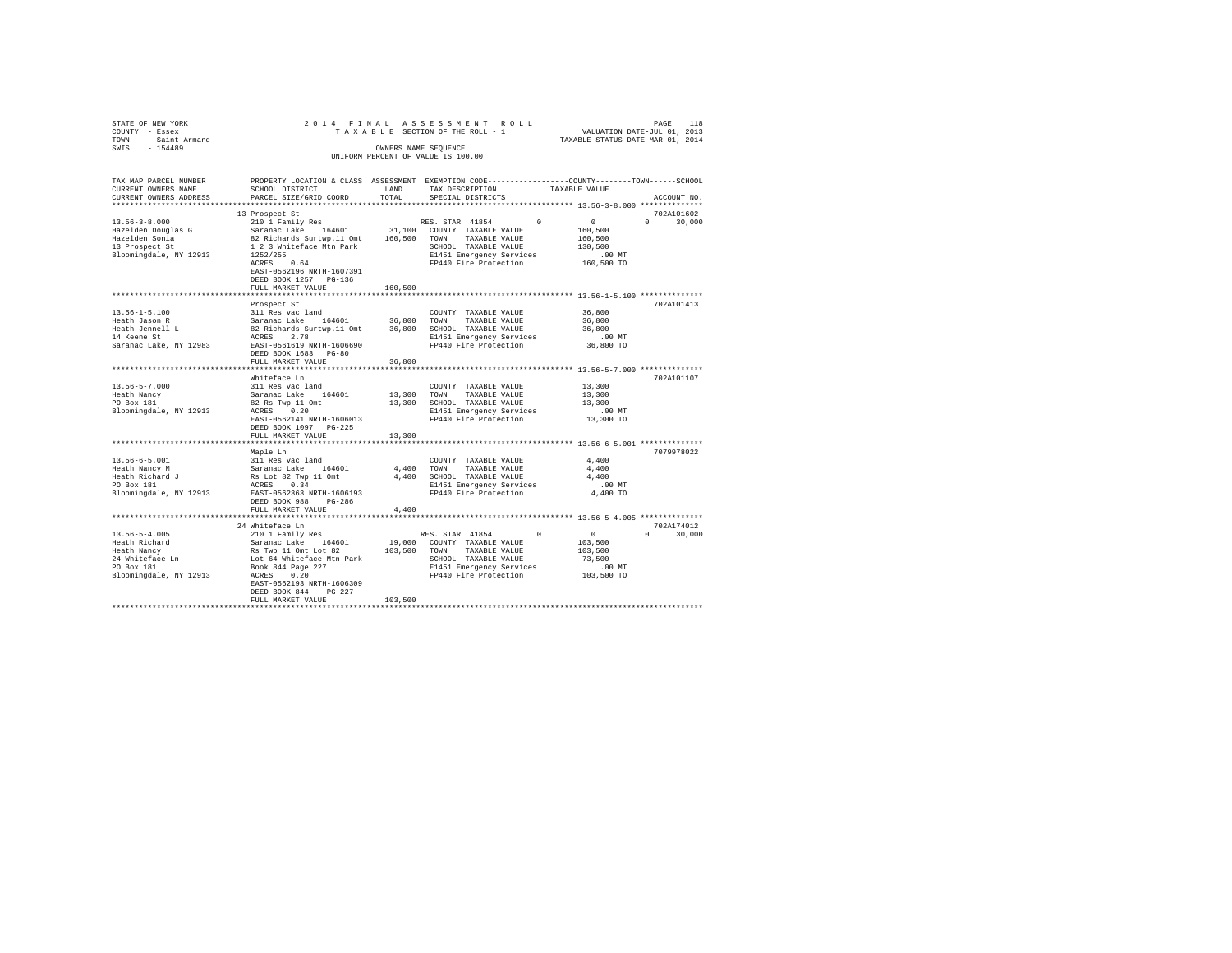| STATE OF NEW YORK                                                                                   |                                                                                              |              | 2014 FINAL ASSESSMENT ROLL                                                                        |                                  |               |
|-----------------------------------------------------------------------------------------------------|----------------------------------------------------------------------------------------------|--------------|---------------------------------------------------------------------------------------------------|----------------------------------|---------------|
| COUNTY - Essex                                                                                      |                                                                                              |              |                                                                                                   |                                  |               |
| TOWN - Saint Armand                                                                                 |                                                                                              |              |                                                                                                   | TAXABLE STATUS DATE-MAR 01, 2014 |               |
| SWIS - 154489                                                                                       |                                                                                              |              | OWNERS NAME SEOUENCE                                                                              |                                  |               |
|                                                                                                     |                                                                                              |              | UNIFORM PERCENT OF VALUE IS 100.00                                                                |                                  |               |
|                                                                                                     |                                                                                              |              |                                                                                                   |                                  |               |
|                                                                                                     |                                                                                              |              |                                                                                                   |                                  |               |
| TAX MAP PARCEL NUMBER                                                                               |                                                                                              |              | PROPERTY LOCATION & CLASS ASSESSMENT EXEMPTION CODE----------------COUNTY-------TOWN------SCHOOL  |                                  |               |
| CURRENT OWNERS NAME                                                                                 | SCHOOL DISTRICT                                                                              | LAND         | TAX DESCRIPTION                                                                                   | TAXABLE VALUE                    |               |
| CURRENT OWNERS ADDRESS                                                                              | PARCEL SIZE/GRID COORD                                                                       | TOTAL        | SPECIAL DISTRICTS                                                                                 |                                  | ACCOUNT NO.   |
|                                                                                                     |                                                                                              |              |                                                                                                   |                                  |               |
|                                                                                                     | 13 Prospect St                                                                               |              |                                                                                                   |                                  | 702A101602    |
| $13.56 - 3 - 8.000$                                                                                 | 210 1 Family Res                                                                             |              | RES. STAR 41854 0                                                                                 | $\sim$ 0                         | $0 \t 30.000$ |
|                                                                                                     | Saranac Lake 164601                                                                          |              | 31,100 COUNTY TAXABLE VALUE                                                                       | 160,500                          |               |
| Hazelden Douglas G<br>Hazelden Sonia                                                                | 82 Richards Surtwp.11 Omt 160,500 TOWN TAXABLE VALUE                                         |              |                                                                                                   | 160,500                          |               |
| 13 Prospect St                                                                                      |                                                                                              |              | SCHOOL TAXABLE VALUE                                                                              | 130,500                          |               |
| Bloomingdale, NY 12913                                                                              | 1 2 3 Whiteface Mtn Park<br>1252/255                                                         |              | E1451 Emergency Services                                                                          | .00 MT                           |               |
|                                                                                                     | $1252/255$<br>ACRES 0.64                                                                     |              | FP440 Fire Protection                                                                             | 160,500 TO                       |               |
|                                                                                                     |                                                                                              |              |                                                                                                   |                                  |               |
|                                                                                                     | EAST-0562196 NRTH-1607391                                                                    |              |                                                                                                   |                                  |               |
|                                                                                                     | DEED BOOK 1257 PG-136                                                                        |              |                                                                                                   |                                  |               |
|                                                                                                     | FULL MARKET VALUE                                                                            | 160,500      |                                                                                                   |                                  |               |
|                                                                                                     |                                                                                              |              |                                                                                                   |                                  |               |
|                                                                                                     | Prospect St                                                                                  |              |                                                                                                   |                                  | 702A101413    |
| $13.56 - 1 - 5.100$                                                                                 | 311 Res vac land                                                                             |              | COUNTY TAXABLE VALUE                                                                              | 36,800                           |               |
| Heath Jason R                                                                                       | Saranac Lake 164601 36,800                                                                   |              | TOWN TAXABLE VALUE                                                                                | 36,800                           |               |
| Heath Jennell L<br>14 Keene St                                                                      |                                                                                              |              |                                                                                                   | 36,800                           |               |
|                                                                                                     | 82 Richards Surtwp.11 Omt 36,800 SCHOOL TAXABLE VALUE<br>ACRES 2.78 E1451 Emergency Services |              | E1451 Emergency Services                                                                          | $.00$ MT                         |               |
| Saranac Lake, NY 12983 EAST-0561619 NRTH-1606690 FP440 Fire Protection                              |                                                                                              |              |                                                                                                   | 36,800 TO                        |               |
|                                                                                                     | DEED BOOK 1683 PG-80                                                                         |              |                                                                                                   |                                  |               |
|                                                                                                     | FULL MARKET VALUE                                                                            | 36,800       |                                                                                                   |                                  |               |
|                                                                                                     |                                                                                              |              |                                                                                                   |                                  |               |
|                                                                                                     | Whiteface Ln                                                                                 |              |                                                                                                   |                                  | 702A101107    |
| $13.56 - 5 - 7.000$                                                                                 | 311 Res vac land                                                                             |              | COUNTY TAXABLE VALUE                                                                              | 13,300                           |               |
|                                                                                                     |                                                                                              | 13,300 TOWN  | TAXABLE VALUE                                                                                     | 13,300                           |               |
|                                                                                                     |                                                                                              |              | 13,300 SCHOOL TAXABLE VALUE                                                                       | 13,300                           |               |
| Eeath Nancy Saranac Lake 164601<br>PO Box 181 82 Rs Twp 11 Omt<br>Bloomingdale, NY 12913 ACRES 0.20 |                                                                                              |              | E1451 Emergency Services                                                                          | $.00$ MT                         |               |
|                                                                                                     | EAST-0562141 NRTH-1606013                                                                    |              | FP440 Fire Protection                                                                             | 13,300 TO                        |               |
|                                                                                                     | DEED BOOK 1097 PG-225                                                                        |              |                                                                                                   |                                  |               |
|                                                                                                     | FULL MARKET VALUE                                                                            | 13,300       |                                                                                                   |                                  |               |
|                                                                                                     |                                                                                              |              |                                                                                                   |                                  |               |
|                                                                                                     | Maple Ln                                                                                     |              |                                                                                                   |                                  | 7079978022    |
| $13.56 - 6 - 5.001$                                                                                 | 311 Res vac land                                                                             |              | COUNTY TAXABLE VALUE                                                                              | 4,400                            |               |
|                                                                                                     | Saranac Lake 164601                                                                          | 4,400 TOWN   |                                                                                                   |                                  |               |
| Heath Nancy M                                                                                       |                                                                                              |              | TAXABLE VALUE                                                                                     | 4,400                            |               |
| Heath Richard J<br>PO Box 181                                                                       |                                                                                              |              | Rs Lot 82 Twp 11 Omt<br>4,400 SCHOOL TAXABLE VALUE<br>E1451 Emergency Services                    | 4,400                            |               |
|                                                                                                     |                                                                                              |              | E1451 Emergency Services                                                                          | $.00$ MT                         |               |
| Bloomingdale, NY 12913                                                                              | EAST-0562363 NRTH-1606193                                                                    |              | FP440 Fire Protection                                                                             | 4,400 TO                         |               |
|                                                                                                     | DEED BOOK 988 PG-286                                                                         |              |                                                                                                   |                                  |               |
|                                                                                                     | FULL MARKET VALUE                                                                            | 4,400        |                                                                                                   |                                  |               |
|                                                                                                     |                                                                                              |              |                                                                                                   |                                  |               |
|                                                                                                     | 24 Whiteface Ln                                                                              |              |                                                                                                   |                                  | 702A174012    |
| $13.56 - 5 - 4.005$                                                                                 | 210 1 Family Res                                                                             |              | RES. STAR 41854<br>$\Omega$                                                                       | $\sim$ 0                         | $0 \t 30,000$ |
| Heath Richard                                                                                       |                                                                                              |              | 19,000 COUNTY TAXABLE VALUE                                                                       | 103,500                          |               |
| Heath Nancy                                                                                         |                                                                                              | 103,500 TOWN | TAXABLE VALUE                                                                                     | 103,500                          |               |
| 24 Whiteface Ln<br>PO Box 181                                                                       | Saranac Lake 164601<br>Rs Twp 11 Omt Lot 82<br>Lot 64 Whiteface Mtn Park                     |              | SCHOOL TAXABLE VALUE 73,500<br>E1451 Emergency Services 00 MT<br>FP440 Fire Protection 103,500 TO |                                  |               |
|                                                                                                     | Book 844 Page 227                                                                            |              |                                                                                                   |                                  |               |
| Bloomingdale, NY 12913                                                                              | ACRES 0.20                                                                                   |              |                                                                                                   |                                  |               |
|                                                                                                     | EAST-0562193 NRTH-1606309                                                                    |              |                                                                                                   |                                  |               |
|                                                                                                     | DEED BOOK 844 PG-227                                                                         |              |                                                                                                   |                                  |               |
|                                                                                                     | FULL MARKET VALUE                                                                            | 103,500      |                                                                                                   |                                  |               |
|                                                                                                     |                                                                                              |              |                                                                                                   |                                  |               |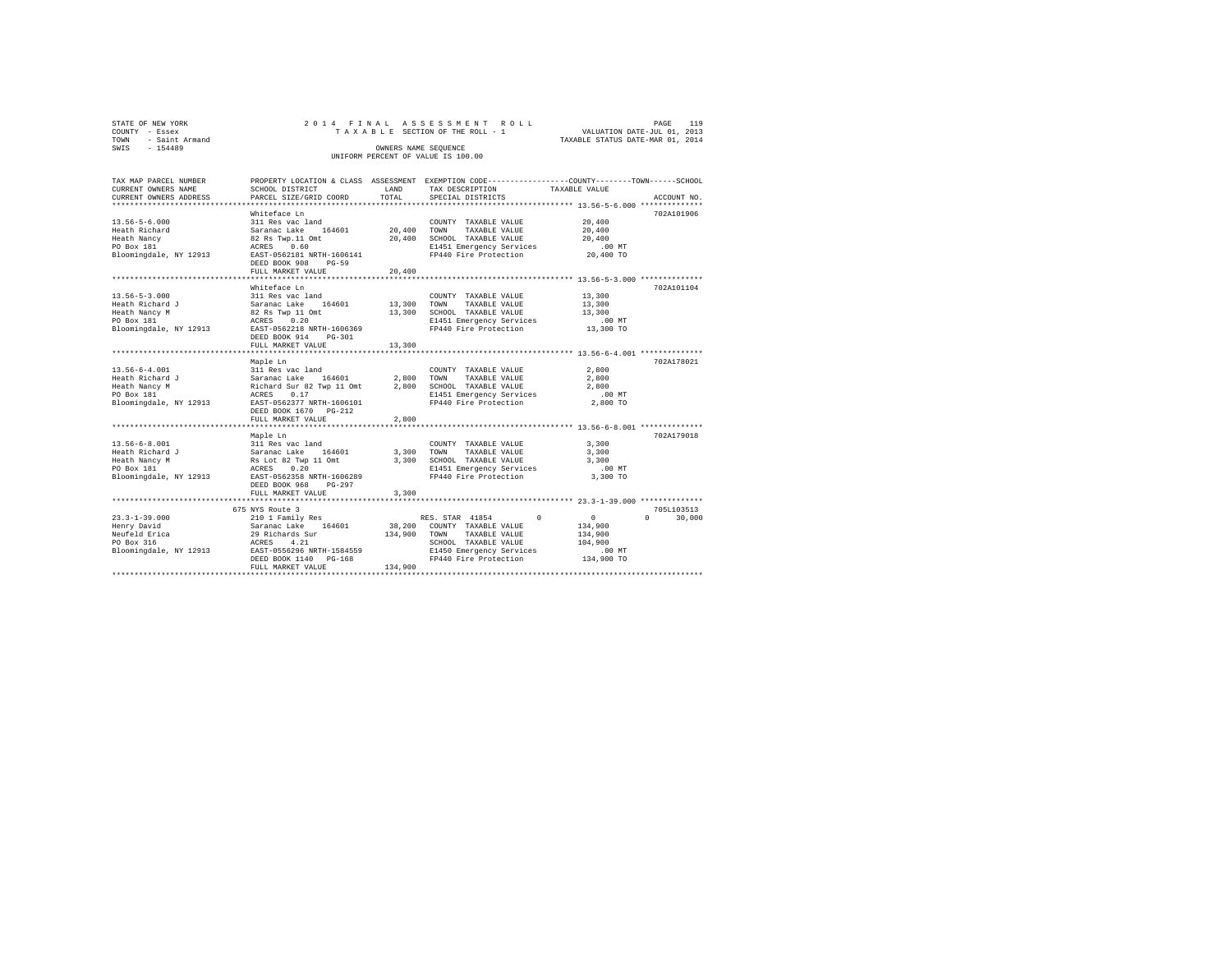| STATE OF NEW YORK   |  |  |  | 2014 FINAL ASSESSMENT ROLL         |  |  |  |                                  | PAGE | 119 |
|---------------------|--|--|--|------------------------------------|--|--|--|----------------------------------|------|-----|
| COUNTY - Essex      |  |  |  | TAXABLE SECTION OF THE ROLL - 1    |  |  |  | VALUATION DATE-JUL 01, 2013      |      |     |
| TOWN - Saint Armand |  |  |  |                                    |  |  |  | TAXABLE STATUS DATE-MAR 01, 2014 |      |     |
| SWIS<br>$-154489$   |  |  |  | OWNERS NAME SEOUENCE               |  |  |  |                                  |      |     |
|                     |  |  |  | UNIFORM PERCENT OF VALUE IS 100.00 |  |  |  |                                  |      |     |

| TAX MAP PARCEL NUMBER                            |                                                                                    |              | PROPERTY LOCATION & CLASS ASSESSMENT EXEMPTION CODE----------------COUNTY-------TOWN-----SCHOOL |                                                |                    |
|--------------------------------------------------|------------------------------------------------------------------------------------|--------------|-------------------------------------------------------------------------------------------------|------------------------------------------------|--------------------|
| CURRENT OWNERS NAME                              | SCHOOL DISTRICT                                                                    | LAND         | TAX DESCRIPTION                                                                                 | TAXABLE VALUE                                  |                    |
| CURRENT OWNERS ADDRESS                           | PARCEL SIZE/GRID COORD                                                             | TOTAL        | SPECIAL DISTRICTS                                                                               |                                                | ACCOUNT NO.        |
|                                                  |                                                                                    |              |                                                                                                 |                                                |                    |
|                                                  | Whiteface Ln                                                                       |              |                                                                                                 |                                                | 702A101906         |
| $13.56 - 5 - 6.000$                              | 311 Res vac land                                                                   |              | COUNTY TAXABLE VALUE                                                                            | 20,400                                         |                    |
| Heath Richard                                    |                                                                                    |              | 20,400 TOWN TAXABLE VALUE                                                                       | 20,400                                         |                    |
| Heath Nancy                                      |                                                                                    |              | 20,400 SCHOOL TAXABLE VALUE                                                                     | 20,400                                         |                    |
| PO Box 181                                       |                                                                                    |              | E1451 Emergency Services                                                                        | $.00$ MT                                       |                    |
| Bloomingdale, NY 12913                           | Saranac Lake 164601<br>82 Rs Twp.11 Omt<br>ACRES 0.60<br>EAST-0562181 NRTH-1606141 |              | FP440 Fire Protection                                                                           | 20,400 TO                                      |                    |
|                                                  | DEED BOOK 908<br>$PG-59$                                                           |              |                                                                                                 |                                                |                    |
|                                                  | FULL MARKET VALUE                                                                  | 20,400       |                                                                                                 |                                                |                    |
|                                                  |                                                                                    | ***********  |                                                                                                 | **************** 13.56-5-3.000 *************** |                    |
|                                                  | Whiteface Ln                                                                       |              |                                                                                                 |                                                | 702A101104         |
| $13.56 - 5 - 3.000$                              |                                                                                    |              | COUNTY TAXABLE VALUE                                                                            | 13,300                                         |                    |
| Heath Richard J                                  | 311 Res vac land<br>Saranac Lake 164601                                            |              | 13,300 TOWN TAXABLE VALUE                                                                       | 13,300                                         |                    |
| Heath Nancy M                                    |                                                                                    |              | 13,300 SCHOOL TAXABLE VALUE                                                                     | 13,300                                         |                    |
| PO Box 181                                       | 82 Rs Twp 11 Omt<br>ACRES 0.20                                                     |              | E1451 Emergency Services                                                                        | $.00$ MT                                       |                    |
| Bloomingdale, NY 12913 EAST-0562218 NRTH-1606369 |                                                                                    |              | FP440 Fire Protection                                                                           | 13,300 TO                                      |                    |
|                                                  | DEED BOOK 914<br>$PG-301$                                                          |              |                                                                                                 |                                                |                    |
|                                                  | FULL MARKET VALUE                                                                  | 13,300       |                                                                                                 |                                                |                    |
|                                                  |                                                                                    |              |                                                                                                 |                                                |                    |
|                                                  | Maple Ln                                                                           |              |                                                                                                 |                                                | 702A178021         |
| $13.56 - 6 - 4.001$                              |                                                                                    |              |                                                                                                 | 2,800                                          |                    |
| Heath Richard J                                  |                                                                                    |              |                                                                                                 | 2,800                                          |                    |
|                                                  |                                                                                    |              |                                                                                                 |                                                |                    |
| Heath Nancy M<br>PO Box 181                      |                                                                                    |              |                                                                                                 | 2,800<br>$.00$ MT                              |                    |
|                                                  |                                                                                    |              |                                                                                                 |                                                |                    |
| Bloomingdale, NY 12913 EAST-0562377 NRTH-1606101 |                                                                                    |              | FP440 Fire Protection                                                                           | 2,800 TO                                       |                    |
|                                                  | DEED BOOK 1670 PG-212                                                              |              |                                                                                                 |                                                |                    |
|                                                  | FULL MARKET VALUE                                                                  | 2,800        |                                                                                                 |                                                |                    |
|                                                  |                                                                                    |              |                                                                                                 |                                                |                    |
|                                                  | Maple Ln                                                                           |              |                                                                                                 |                                                | 702A179018         |
| $13.56 - 6 - 8.001$                              |                                                                                    |              | COUNTY TAXABLE VALUE                                                                            | 3,300                                          |                    |
| Heath Richard J                                  |                                                                                    |              | 3,300 TOWN<br>TAXABLE VALUE                                                                     | 3,300                                          |                    |
| Heath Nancy M                                    |                                                                                    |              | 3,300 SCHOOL TAXABLE VALUE                                                                      | 3,300                                          |                    |
| PO Box 181                                       | 311 Res vac land<br>Saranac Lake 164601<br>Rs Lot 82 Twp 11 Omt<br>ACRES 0.20      |              | E1451 Emergency Services                                                                        | $.00$ MT                                       |                    |
| Bloomingdale, NY 12913                           | EAST-0562358 NRTH-1606289                                                          |              | FP440 Fire Protection                                                                           | 3,300 TO                                       |                    |
|                                                  | DEED BOOK 968 PG-297                                                               |              |                                                                                                 |                                                |                    |
|                                                  | FULL MARKET VALUE                                                                  | 3,300        |                                                                                                 |                                                |                    |
|                                                  |                                                                                    |              |                                                                                                 |                                                |                    |
|                                                  | 675 NYS Route 3                                                                    |              |                                                                                                 |                                                | 705L103513         |
| $23.3 - 1 - 39.000$                              | 210 1 Family Res                                                                   |              | $\Omega$<br>RES. STAR 41854                                                                     | $\sim$ 0                                       | 30,000<br>$\Omega$ |
|                                                  |                                                                                    |              | 38,200 COUNTY TAXABLE VALUE                                                                     | 134,900                                        |                    |
|                                                  |                                                                                    | 134,900 TOWN | TAXABLE VALUE                                                                                   | 134,900                                        |                    |
|                                                  |                                                                                    |              | SCHOOL TAXABLE VALUE                                                                            | 104,900                                        |                    |
|                                                  |                                                                                    |              | E1450 Emergency Services                                                                        | $.00$ MT                                       |                    |
|                                                  |                                                                                    |              | FP440 Fire Protection                                                                           | 134,900 TO                                     |                    |
|                                                  | FULL MARKET VALUE                                                                  | 134,900      |                                                                                                 |                                                |                    |
|                                                  |                                                                                    |              |                                                                                                 |                                                |                    |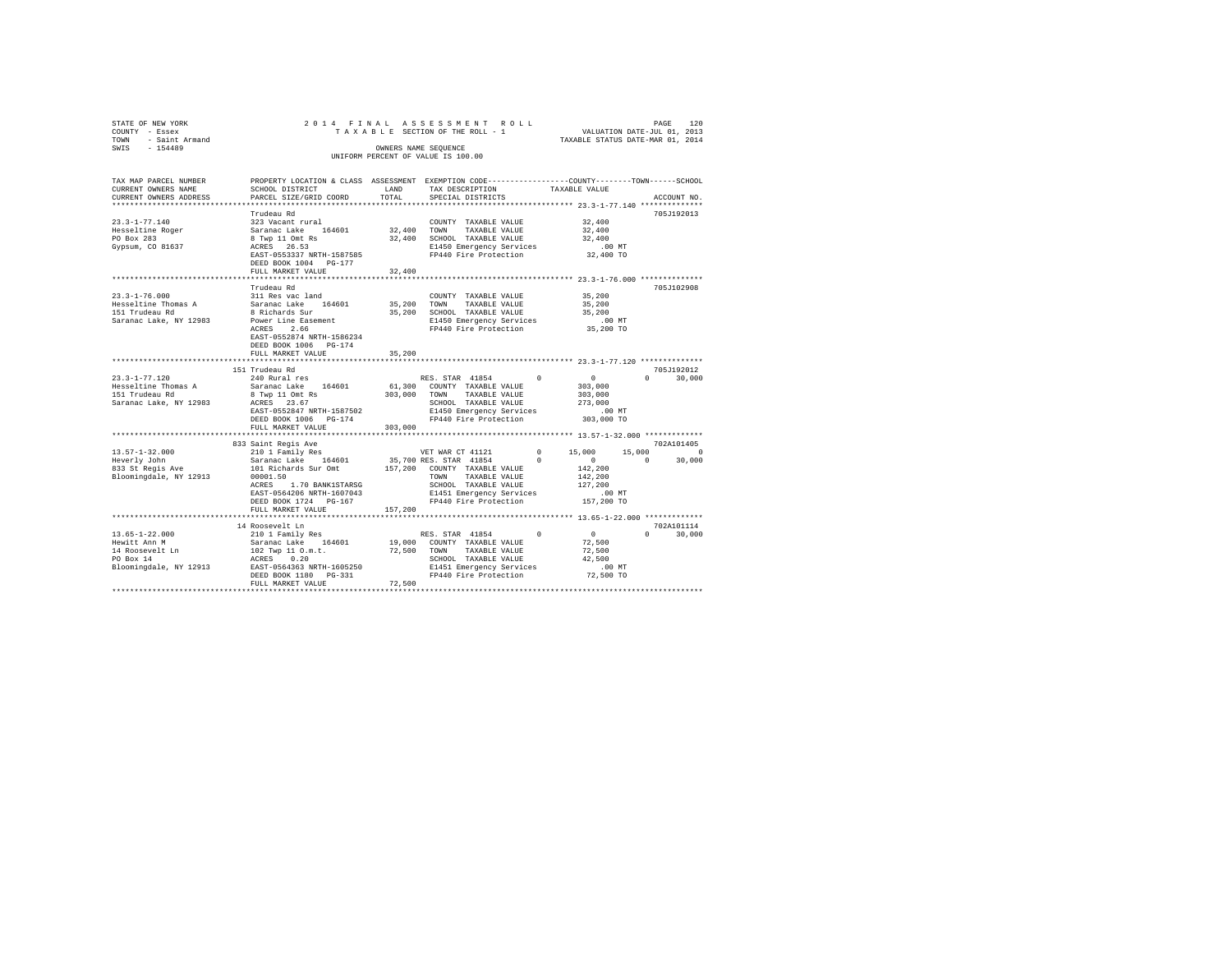| STATE OF NEW YORK<br>COUNTY - Essex<br>TOWN - Saint Armand<br>SWIS - 154489                                                                                               |                                                                                                                                                                                         |               | 2014 FINAL ASSESSMENT ROLL<br>TAXABLE SECTION OF THE ROLL - 1 VALUATION DATE-JUL 01, 2013<br>OWNERS NAME SEQUENCE<br>UNIFORM PERCENT OF VALUE IS 100.00                                  |            |                                                                        | 120<br>PAGE<br>TAXABLE STATUS DATE-MAR 01, 2014 |  |
|---------------------------------------------------------------------------------------------------------------------------------------------------------------------------|-----------------------------------------------------------------------------------------------------------------------------------------------------------------------------------------|---------------|------------------------------------------------------------------------------------------------------------------------------------------------------------------------------------------|------------|------------------------------------------------------------------------|-------------------------------------------------|--|
| TAX MAP PARCEL NUMBER THE PROPERTY LOCATION & CLASS ASSESSMENT EXEMPTION CODE--------------COUNTY-------TOWN------SCHOOL<br>CURRENT OWNERS NAME<br>CURRENT OWNERS ADDRESS | SCHOOL DISTRICT<br>PARCEL SIZE/GRID COORD                                                                                                                                               | LAND<br>TOTAL | TAX DESCRIPTION<br>SPECIAL DISTRICTS                                                                                                                                                     |            | TAXABLE VALUE                                                          | ACCOUNT NO.                                     |  |
|                                                                                                                                                                           |                                                                                                                                                                                         |               |                                                                                                                                                                                          |            |                                                                        |                                                 |  |
| $23.3 - 1 - 77.140$<br>Hesseltine Roger<br>PO Box 283<br>Gypsum, CO 81637                                                                                                 | Trudeau Rd<br>323 Vacant rural<br>Saranac Lake 164601<br>8 Twp 11 Omt Rs<br>ACRES 26.53<br>EAST-0553337 NRTH-1587585<br>DEED BOOK 1004 PG-177                                           |               | COUNTY TAXABLE VALUE<br>32,400 TOWN TAXABLE VALUE<br>32,400 SCHOOL TAXABLE VALUE<br>E1450 Emergency Services<br>FP440 Fire Protection                                                    |            | 32,400<br>32,400<br>32,400<br>$.00$ MT<br>32,400 TO                    | 705J192013                                      |  |
|                                                                                                                                                                           | FULL MARKET VALUE                                                                                                                                                                       | 32,400        |                                                                                                                                                                                          |            |                                                                        |                                                 |  |
| $23.3 - 1 - 76.000$<br>Hesseltine Thomas A<br>151 Trudeau Rd<br>Saranac Lake, NY 12983                                                                                    | Trudeau Rd<br>311 Res vac land<br>Saranac Lake 164601<br>8 Richards Sur<br>Power Line Easement<br>ACRES 2.66<br>EAST-0552874 NRTH-1586234<br>DEED BOOK 1006 PG-174<br>FULL MARKET VALUE | 35,200        | COUNTY TAXABLE VALUE<br>35,200 TOWN TAXABLE VALUE<br>35,200 SCHOOL TAXABLE VALUE<br>E1450 Emergency Services<br>FP440 Fire Protection                                                    |            | 35,200<br>35,200<br>35,200<br>$.00$ MT<br>35,200 TO                    | 705J102908                                      |  |
|                                                                                                                                                                           |                                                                                                                                                                                         |               |                                                                                                                                                                                          |            |                                                                        |                                                 |  |
|                                                                                                                                                                           | 151 Trudeau Rd                                                                                                                                                                          |               |                                                                                                                                                                                          |            |                                                                        | 705J192012                                      |  |
| $23.3 - 1 - 77.120$<br>Hesseltine Thomas A<br>151 Trudeau Rd<br>Saranac Lake, NY 12983                                                                                    | 240 Rural res<br>Saranac Lake 164601 61,300 COUNTY TAXABLE VALUE<br>8 Twp 11 Omt Rs<br>ACRES 23.67<br>EAST-0552847 NRTH-1587502<br>DEED BOOK 1006 PG-174<br>FULL MARKET VALUE           | 303,000       | RES. STAR 41854<br>303,000 TOWN TAXABLE VALUE<br>SCHOOL TAXABLE VALUE<br>E1450 Emergency Services<br>FP440 Fire Protection                                                               |            | $\sim$ 0<br>303,000<br>303,000<br>273,000<br>$.00$ MT<br>303,000 TO    | $0 \t 30,000$                                   |  |
|                                                                                                                                                                           |                                                                                                                                                                                         |               |                                                                                                                                                                                          |            |                                                                        |                                                 |  |
|                                                                                                                                                                           | 833 Saint Regis Ave                                                                                                                                                                     |               |                                                                                                                                                                                          |            |                                                                        | 702A101405                                      |  |
| $13.57 - 1 - 32.000$<br>Heverly John<br>833 St Regis Ave<br>Bloomingdale, NY 12913                                                                                        | 210 1 Family Res<br>Saranac Lake 164601<br>101 Richards Sur Omt<br>00001.50<br>ACRES 1.70 BANK1STARSG<br>EAST-0564206 NRTH-1607043<br>DEED BOOK 1724 PG-167<br>FULL MARKET VALUE        | 157.200       | VET WAR CT 41121<br>35,700 RES. STAR 41854<br>157,200 COUNTY TAXABLE VALUE<br>TOWN TAXABLE VALUE<br>SCHOOL TAXABLE VALUE<br>E1451 Emergency Services<br>FP440 Fire Protection 157,200 TO | $^{\circ}$ | $0 \t 15.000$<br>$\sim$ 0<br>142,200<br>142,200<br>127,200<br>$.00$ MT | 15,000 0<br>$0 \t 30.000$                       |  |
|                                                                                                                                                                           |                                                                                                                                                                                         |               |                                                                                                                                                                                          |            |                                                                        |                                                 |  |
| $13.65 - 1 - 22.000$<br>Hewitt Ann M<br>14 Roosevelt Ln<br>PO Box 14<br>Bloomingdale, NY 12913                                                                            | 14 Roosevelt Ln<br>210 1 Family Res<br>Saranac Lake 164601<br>102 Twp 11 O.m.t.<br>ACRES 0.20<br>EAST-0564363 NRTH-1605250<br>DEED BOOK 1180 PG-331<br>FULL MARKET VALUE                | 72,500        | RES. STAR 41854<br>19,000 COUNTY TAXABLE VALUE<br>72,500 TOWN TAXABLE VALUE<br>SCHOOL TAXABLE VALUE<br>E1451 Emergency Services<br>FP440 Fire Protection                                 | $\Omega$   | $\sim$ 0<br>72,500<br>72,500<br>42.500<br>$.00$ MT<br>72,500 TO        | 702A101114<br>$0 \t 30.000$                     |  |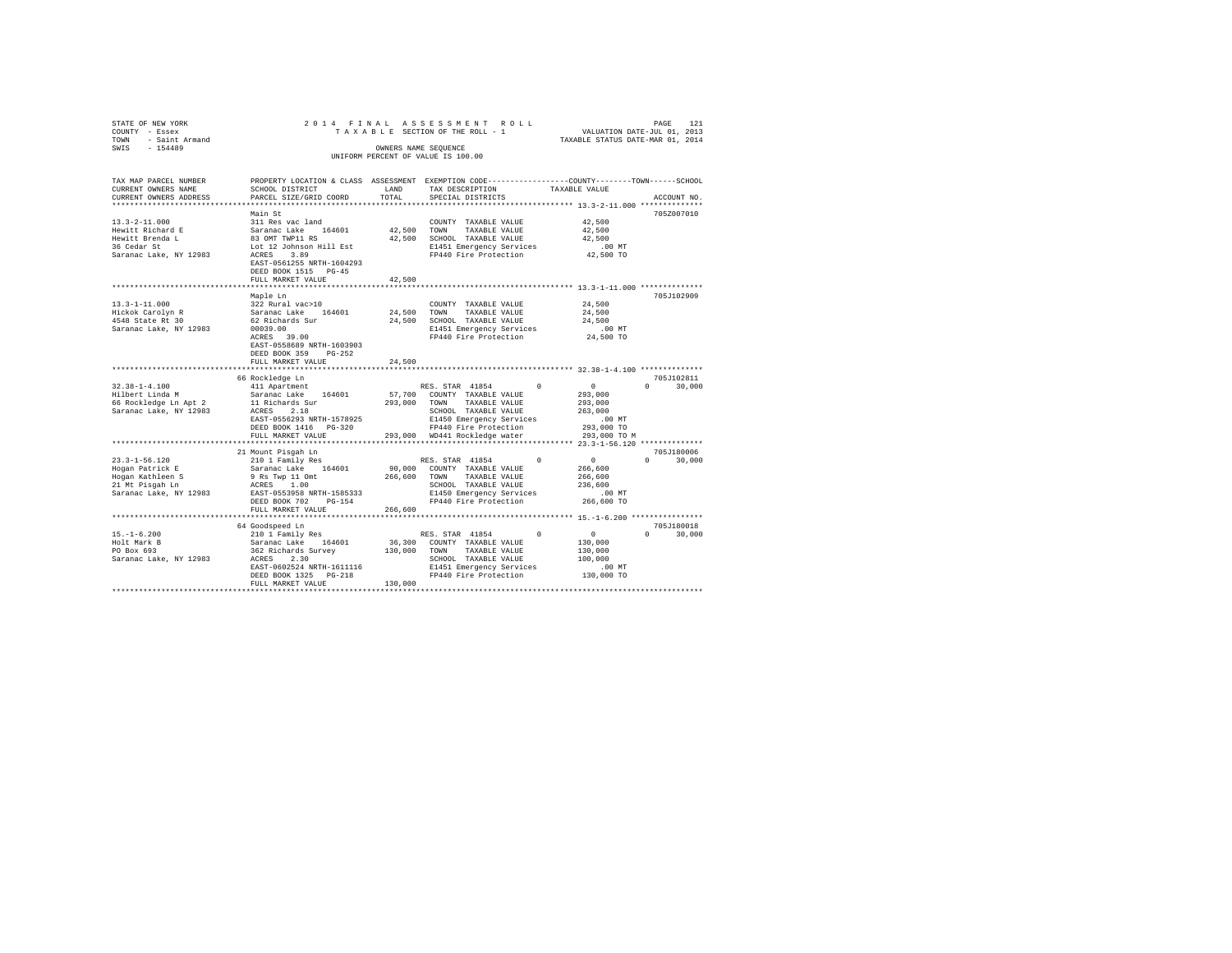| STATE OF NEW YORK<br>COUNTY - Essex<br>TOWN<br>- Saint Armand |                                                                                                                    |           | 2014 FINAL ASSESSMENT ROLL<br>TAXABLE SECTION OF THE ROLL - 1 | VALUATION DATE-JUL 01, 2013<br>TAXABLE STATUS DATE-MAR 01, 2014 | PAGE<br>121            |
|---------------------------------------------------------------|--------------------------------------------------------------------------------------------------------------------|-----------|---------------------------------------------------------------|-----------------------------------------------------------------|------------------------|
| $-154489$<br>SWIS                                             |                                                                                                                    |           | OWNERS NAME SEOUENCE<br>UNIFORM PERCENT OF VALUE IS 100.00    |                                                                 |                        |
|                                                               |                                                                                                                    |           |                                                               |                                                                 |                        |
| TAX MAP PARCEL NUMBER<br>CURRENT OWNERS NAME                  | PROPERTY LOCATION & CLASS ASSESSMENT EXEMPTION CODE---------------COUNTY-------TOWN------SCHOOL<br>SCHOOL DISTRICT | LAND      | TAX DESCRIPTION                                               | TAXABLE VALUE                                                   |                        |
| CURRENT OWNERS ADDRESS                                        | PARCEL SIZE/GRID COORD                                                                                             | TOTAL     | SPECIAL DISTRICTS                                             |                                                                 | ACCOUNT NO.            |
| ************************                                      |                                                                                                                    |           |                                                               |                                                                 |                        |
|                                                               | Main St                                                                                                            |           |                                                               |                                                                 | 705Z007010             |
| $13.3 - 2 - 11.000$                                           | 311 Res vac land                                                                                                   |           | COUNTY TAXABLE VALUE                                          | 42,500                                                          |                        |
| Hewitt Richard E                                              | Saranac Lake 164601                                                                                                | 42,500    | TOWN<br>TAXABLE VALUE                                         | 42,500                                                          |                        |
| Hewitt Brenda L                                               | 83 OMT TWP11 RS                                                                                                    | 42,500    | SCHOOL TAXABLE VALUE                                          | 42,500                                                          |                        |
| 36 Cedar St                                                   | Lot 12 Johnson Hill Est                                                                                            |           | E1451 Emergency Services                                      | $.00$ MT                                                        |                        |
| Saranac Lake, NY 12983                                        | ACRES 3.89                                                                                                         |           | FP440 Fire Protection                                         | 42,500 TO                                                       |                        |
|                                                               | EAST-0561255 NRTH-1604293                                                                                          |           |                                                               |                                                                 |                        |
|                                                               | DEED BOOK 1515 PG-45                                                                                               |           |                                                               |                                                                 |                        |
|                                                               | FULL MARKET VALUE                                                                                                  | 42,500    |                                                               |                                                                 |                        |
|                                                               | Maple Ln                                                                                                           |           |                                                               |                                                                 | 705J102909             |
| $13.3 - 1 - 11.000$                                           | 322 Rural vac>10                                                                                                   |           | COUNTY TAXABLE VALUE                                          | 24,500                                                          |                        |
|                                                               | Saranac Lake 164601                                                                                                | 24,500    | TOWN<br>TAXABLE VALUE                                         | 24,500                                                          |                        |
| Hickok Carolyn R<br>4548 State Rt 30                          | 62 Richards Sur                                                                                                    | 24,500    | SCHOOL TAXABLE VALUE                                          | 24,500                                                          |                        |
| Saranac Lake, NY 12983                                        | 00039.00                                                                                                           |           | E1451 Emergency Services                                      | $.00$ MT                                                        |                        |
|                                                               | ACRES 39.00                                                                                                        |           | FP440 Fire Protection                                         | 24,500 TO                                                       |                        |
|                                                               | EAST-0558689 NRTH-1603903                                                                                          |           |                                                               |                                                                 |                        |
|                                                               | DEED BOOK 359 PG-252                                                                                               |           |                                                               |                                                                 |                        |
|                                                               | FULL MARKET VALUE                                                                                                  | 24,500    |                                                               |                                                                 |                        |
|                                                               |                                                                                                                    | ********* | ***************************** 32.38-1-4.100 *************     |                                                                 |                        |
| $32.38 - 1 - 4.100$                                           | 66 Rockledge Ln                                                                                                    |           |                                                               | $\sim$ 0                                                        | 705J102811<br>$\Omega$ |
| Hilbert Linda M                                               | 411 Apartment<br>Saranac Lake 164601                                                                               |           | RES. STAR 41854<br>57,700 COUNTY TAXABLE VALUE                | $\Omega$<br>293,000                                             | 30,000                 |
| 66 Rockledge Ln Apt 2                                         |                                                                                                                    |           | 293,000 TOWN TAXABLE VALUE                                    | 293,000                                                         |                        |
| Saranac Lake, NY 12983                                        | 11 Richards Sur<br>ACRES 2.18<br>ACRES 2.18                                                                        |           | SCHOOL TAXABLE VALUE                                          | 263,000                                                         |                        |
|                                                               | EAST-0556293 NRTH-1578925                                                                                          |           | E1450 Emergency Services                                      | $.00$ MT                                                        |                        |
|                                                               | DEED BOOK 1416    PG-320                                                                                           |           | FP440 Fire Protection                                         | 293,000 TO                                                      |                        |
|                                                               | FULL MARKET VALUE                                                                                                  |           | 293,000 WD441 Rockledge water                                 | 293,000 TO M                                                    |                        |
| **********************                                        | *****************************                                                                                      |           |                                                               |                                                                 |                        |
|                                                               | 21 Mount Pisqah Ln                                                                                                 |           |                                                               |                                                                 | 705J180006             |
| $23.3 - 1 - 56.120$                                           | 210 1 Family Res                                                                                                   |           | RES. STAR 41854                                               | $\sim$ 0<br>$\Omega$                                            | $\Omega$<br>30,000     |
| Hogan Patrick E                                               | Saranac Lake 164601                                                                                                |           | 90,000 COUNTY TAXABLE VALUE                                   | 266,600                                                         |                        |
|                                                               | 9 Rs Twp 11 Omt                                                                                                    | 266,600   | TOWN<br>TAXABLE VALUE                                         | 266,600                                                         |                        |
| Hogan Kathleen S<br>21 Mt Pisgah Ln                           | ACRES 1.00                                                                                                         |           | SCHOOL TAXABLE VALUE                                          | 236,600                                                         |                        |
| Saranac Lake, NY 12983                                        | EAST-0553958 NRTH-1585333<br>DEED BOOK 702 PG-154                                                                  |           | E1450 Emergency Services<br>FP440 Fire Protection             | $.00$ MT<br>266,600 TO                                          |                        |
|                                                               | FULL MARKET VALUE                                                                                                  | 266,600   |                                                               |                                                                 |                        |
|                                                               |                                                                                                                    |           |                                                               |                                                                 |                        |
|                                                               | 64 Goodspeed Ln                                                                                                    |           |                                                               |                                                                 | 705J180018             |
| $15. - 1 - 6.200$                                             | 210 1 Family Res                                                                                                   |           | RES. STAR 41854                                               | $\sim$ 0<br>$\Omega$                                            | 30,000<br>$\Omega$     |
| 15.-1-6.200<br>Holt Mark B<br>PO Box 693                      | Saranac Lake 164601                                                                                                | 36,300    | COUNTY TAXABLE VALUE                                          | 130,000                                                         |                        |
|                                                               | 362 Richards Survey                                                                                                | 130,000   | TOWN<br>TAXABLE VALUE                                         | 130,000                                                         |                        |
| Saranac Lake, NY 12983                                        | ACRES 2.30                                                                                                         |           | SCHOOL TAXABLE VALUE                                          | 100,000                                                         |                        |
|                                                               | EAST-0602524 NRTH-1611116                                                                                          |           | E1451 Emergency Services                                      | $.00$ MT                                                        |                        |
|                                                               | DEED BOOK 1325 PG-218                                                                                              |           | FP440 Fire Protection                                         | 130,000 TO                                                      |                        |
|                                                               | FULL MARKET VALUE                                                                                                  | 130,000   |                                                               |                                                                 |                        |
|                                                               |                                                                                                                    |           |                                                               |                                                                 |                        |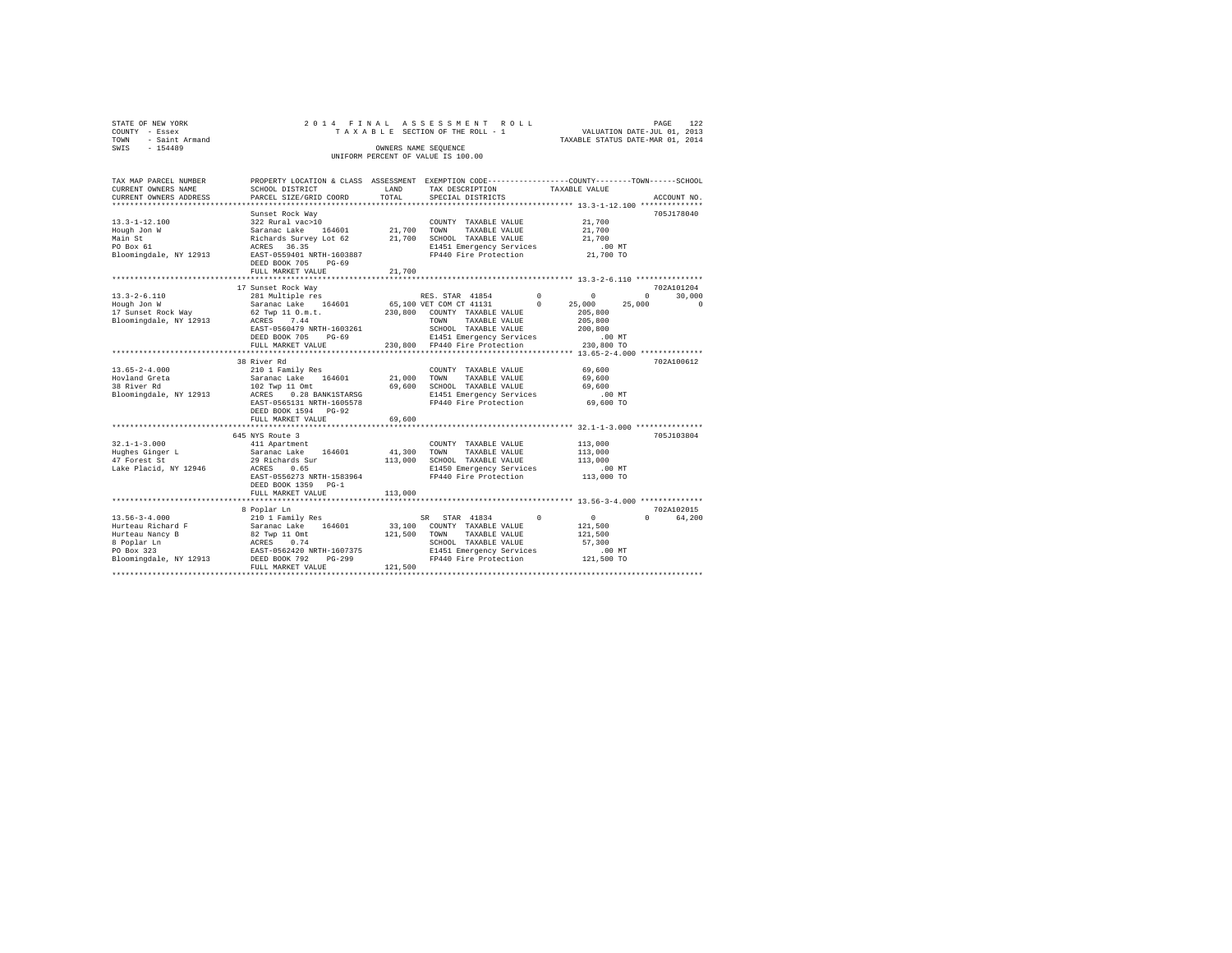| STATE OF NEW YORK     |           |                        |                                      |  |  | 2014 FINAL ASSESSMENT ROLL         |  |  |                   |  |                                                              |  | PAGE | 122         |
|-----------------------|-----------|------------------------|--------------------------------------|--|--|------------------------------------|--|--|-------------------|--|--------------------------------------------------------------|--|------|-------------|
| COUNTY - Essex        |           |                        |                                      |  |  | TAXABLE SECTION OF THE ROLL - 1    |  |  |                   |  | VALUATION DATE-JUL 01, 2013                                  |  |      |             |
| TOWN                  |           | - Saint Armand         |                                      |  |  |                                    |  |  |                   |  | TAXABLE STATUS DATE-MAR 01, 2014                             |  |      |             |
| SWIS                  | $-154489$ |                        |                                      |  |  | OWNERS NAME SEOUENCE               |  |  |                   |  |                                                              |  |      |             |
|                       |           |                        |                                      |  |  | UNIFORM PERCENT OF VALUE IS 100.00 |  |  |                   |  |                                                              |  |      |             |
|                       |           |                        |                                      |  |  |                                    |  |  |                   |  |                                                              |  |      |             |
|                       |           |                        |                                      |  |  |                                    |  |  |                   |  |                                                              |  |      |             |
| TAX MAP PARCEL NUMBER |           |                        | PROPERTY LOCATION & CLASS ASSESSMENT |  |  |                                    |  |  |                   |  | EXEMPTION CODE-----------------COUNTY-------TOWN------SCHOOL |  |      |             |
| CURRENT OWNERS NAME   |           |                        | SCHOOL DISTRICT                      |  |  | LAND                               |  |  | TAX DESCRIPTION   |  | TAXABLE VALUE                                                |  |      |             |
|                       |           | CURRENT OWNERS ADDRESS | PARCEL SIZE/GRID COORD               |  |  | TOTAL                              |  |  | SPECIAL DISTRICTS |  |                                                              |  |      | ACCOUNT NO. |
|                       |           |                        |                                      |  |  |                                    |  |  |                   |  |                                                              |  |      |             |

| 705J178040<br>Sunset Rock Way<br>322 Rural vac>10<br>21,700<br>COUNTY TAXABLE VALUE<br>164601<br>21,700 TOWN<br>Saranac Lake<br>TAXABLE VALUE<br>21,700<br>21,700 SCHOOL TAXABLE VALUE<br>21,700<br>Richards Survey Lot 62<br>$.00$ MT<br>ACRES 36.35<br>E1451 Emergency Services<br>21,700 TO<br>EAST-0559401 NRTH-1603887<br>FP440 Fire Protection<br>DEED BOOK 705<br>$PG-69$<br>21,700<br>FULL MARKET VALUE<br>702A101204<br>17 Sunset Rock Way<br>RES. STAR 41854<br>$\mathbf{0}$<br>$^{\circ}$<br>30,000<br>281 Multiple res<br>$\Omega$<br>164601<br>65,100 VET COM CT 41131<br>25,000<br>$^{\circ}$<br>25,000<br>$\Omega$<br>Saranac Lake<br>62 Twp 11 O.m.t.<br>230,800 COUNTY TAXABLE VALUE<br>205,800<br>7.44<br>205,800<br>ACRES<br>TOWN<br>TAXABLE VALUE<br>EAST-0560479 NRTH-1603261<br>SCHOOL TAXABLE VALUE<br>200,800<br>.00 MT<br>DEED BOOK 705<br>E1451 Emergency Services<br>$PG-69$<br>230,800 FP440 Fire Protection<br>230,800 TO<br>FULL MARKET VALUE<br>38 River Rd<br>702A100612<br>210 1 Family Res<br>69,600<br>COUNTY TAXABLE VALUE<br>21,000 TOWN<br>Saranac Lake 164601<br>TAXABLE VALUE<br>69,600<br>69.600 SCHOOL TAXABLE VALUE<br>102 Twp 11 Omt<br>69,600<br>0.28 BANK1STARSG<br>E1451 Emergency Services<br>.00 MT<br>ACRES<br>FP440 Fire Protection<br>69,600 TO<br>EAST-0565131 NRTH-1605578<br>DEED BOOK 1594 PG-92<br>69,600<br>FULL MARKET VALUE<br>645 NYS Route 3<br>705J103804<br>113,000<br>411 Apartment<br>COUNTY TAXABLE VALUE<br>164601<br>41,300<br>113,000<br>Saranac Lake<br>TOWN<br>TAXABLE VALUE<br>113,000 SCHOOL TAXABLE VALUE<br>29 Richards Sur<br>113,000<br>$.00$ MT<br>0.65<br>E1450 Emergency Services<br>ACRES<br>FP440 Fire Protection<br>113,000 TO<br>EAST-0556273 NRTH-1583964<br>DEED BOOK 1359 PG-1<br>113,000<br>FULL MARKET VALUE<br>702A102015<br>8 Poplar Ln<br>$\overline{0}$<br>210 1 Family Res<br>SR STAR 41834<br>$0 \qquad \qquad$<br>64,200<br>$^{\circ}$<br>164601<br>33,100 COUNTY TAXABLE VALUE<br>Hurteau Richard F<br>Saranac Lake<br>121,500<br>121,500 TOWN<br>TAXABLE VALUE<br>82 Twp 11 Omt<br>121,500<br>ACRES<br>SCHOOL TAXABLE VALUE<br>57,300<br>0.74<br>EAST-0562420 NRTH-1607375<br>E1451 Emergency Services<br>.00 MT<br>DEED BOOK 792<br>$PG-299$<br>FP440 Fire Protection<br>121,500 TO<br>121,500<br>FULL MARKET VALUE |                                                                                      |  |  |  |
|-------------------------------------------------------------------------------------------------------------------------------------------------------------------------------------------------------------------------------------------------------------------------------------------------------------------------------------------------------------------------------------------------------------------------------------------------------------------------------------------------------------------------------------------------------------------------------------------------------------------------------------------------------------------------------------------------------------------------------------------------------------------------------------------------------------------------------------------------------------------------------------------------------------------------------------------------------------------------------------------------------------------------------------------------------------------------------------------------------------------------------------------------------------------------------------------------------------------------------------------------------------------------------------------------------------------------------------------------------------------------------------------------------------------------------------------------------------------------------------------------------------------------------------------------------------------------------------------------------------------------------------------------------------------------------------------------------------------------------------------------------------------------------------------------------------------------------------------------------------------------------------------------------------------------------------------------------------------------------------------------------------------------------------------------------------------------------------------------------------------------------------------------------------------------------------------------------------------------------------------------------------------------------------------------------------------------|--------------------------------------------------------------------------------------|--|--|--|
|                                                                                                                                                                                                                                                                                                                                                                                                                                                                                                                                                                                                                                                                                                                                                                                                                                                                                                                                                                                                                                                                                                                                                                                                                                                                                                                                                                                                                                                                                                                                                                                                                                                                                                                                                                                                                                                                                                                                                                                                                                                                                                                                                                                                                                                                                                                         | $13.3 - 1 - 12.100$<br>Hough Jon W<br>Main St<br>PO Box 61<br>Bloomingdale, NY 12913 |  |  |  |
|                                                                                                                                                                                                                                                                                                                                                                                                                                                                                                                                                                                                                                                                                                                                                                                                                                                                                                                                                                                                                                                                                                                                                                                                                                                                                                                                                                                                                                                                                                                                                                                                                                                                                                                                                                                                                                                                                                                                                                                                                                                                                                                                                                                                                                                                                                                         |                                                                                      |  |  |  |
|                                                                                                                                                                                                                                                                                                                                                                                                                                                                                                                                                                                                                                                                                                                                                                                                                                                                                                                                                                                                                                                                                                                                                                                                                                                                                                                                                                                                                                                                                                                                                                                                                                                                                                                                                                                                                                                                                                                                                                                                                                                                                                                                                                                                                                                                                                                         | $13.3 - 2 - 6.110$<br>Hough Jon W<br>17 Sunset Rock Way<br>Bloomingdale, NY 12913    |  |  |  |
|                                                                                                                                                                                                                                                                                                                                                                                                                                                                                                                                                                                                                                                                                                                                                                                                                                                                                                                                                                                                                                                                                                                                                                                                                                                                                                                                                                                                                                                                                                                                                                                                                                                                                                                                                                                                                                                                                                                                                                                                                                                                                                                                                                                                                                                                                                                         |                                                                                      |  |  |  |
|                                                                                                                                                                                                                                                                                                                                                                                                                                                                                                                                                                                                                                                                                                                                                                                                                                                                                                                                                                                                                                                                                                                                                                                                                                                                                                                                                                                                                                                                                                                                                                                                                                                                                                                                                                                                                                                                                                                                                                                                                                                                                                                                                                                                                                                                                                                         | $13.65 - 2 - 4.000$<br>Hovland Greta<br>38 River Rd<br>Bloomingdale, NY 12913        |  |  |  |
|                                                                                                                                                                                                                                                                                                                                                                                                                                                                                                                                                                                                                                                                                                                                                                                                                                                                                                                                                                                                                                                                                                                                                                                                                                                                                                                                                                                                                                                                                                                                                                                                                                                                                                                                                                                                                                                                                                                                                                                                                                                                                                                                                                                                                                                                                                                         |                                                                                      |  |  |  |
|                                                                                                                                                                                                                                                                                                                                                                                                                                                                                                                                                                                                                                                                                                                                                                                                                                                                                                                                                                                                                                                                                                                                                                                                                                                                                                                                                                                                                                                                                                                                                                                                                                                                                                                                                                                                                                                                                                                                                                                                                                                                                                                                                                                                                                                                                                                         | $32.1 - 1 - 3.000$<br>Hughes Ginger L<br>47 Forest St<br>Lake Placid, NY 12946       |  |  |  |
|                                                                                                                                                                                                                                                                                                                                                                                                                                                                                                                                                                                                                                                                                                                                                                                                                                                                                                                                                                                                                                                                                                                                                                                                                                                                                                                                                                                                                                                                                                                                                                                                                                                                                                                                                                                                                                                                                                                                                                                                                                                                                                                                                                                                                                                                                                                         |                                                                                      |  |  |  |
|                                                                                                                                                                                                                                                                                                                                                                                                                                                                                                                                                                                                                                                                                                                                                                                                                                                                                                                                                                                                                                                                                                                                                                                                                                                                                                                                                                                                                                                                                                                                                                                                                                                                                                                                                                                                                                                                                                                                                                                                                                                                                                                                                                                                                                                                                                                         | $13.56 - 3 - 4.000$                                                                  |  |  |  |
|                                                                                                                                                                                                                                                                                                                                                                                                                                                                                                                                                                                                                                                                                                                                                                                                                                                                                                                                                                                                                                                                                                                                                                                                                                                                                                                                                                                                                                                                                                                                                                                                                                                                                                                                                                                                                                                                                                                                                                                                                                                                                                                                                                                                                                                                                                                         | Hurteau Nancy B<br>8 Poplar Ln<br>PO Box 323<br>Bloomingdale, NY 12913               |  |  |  |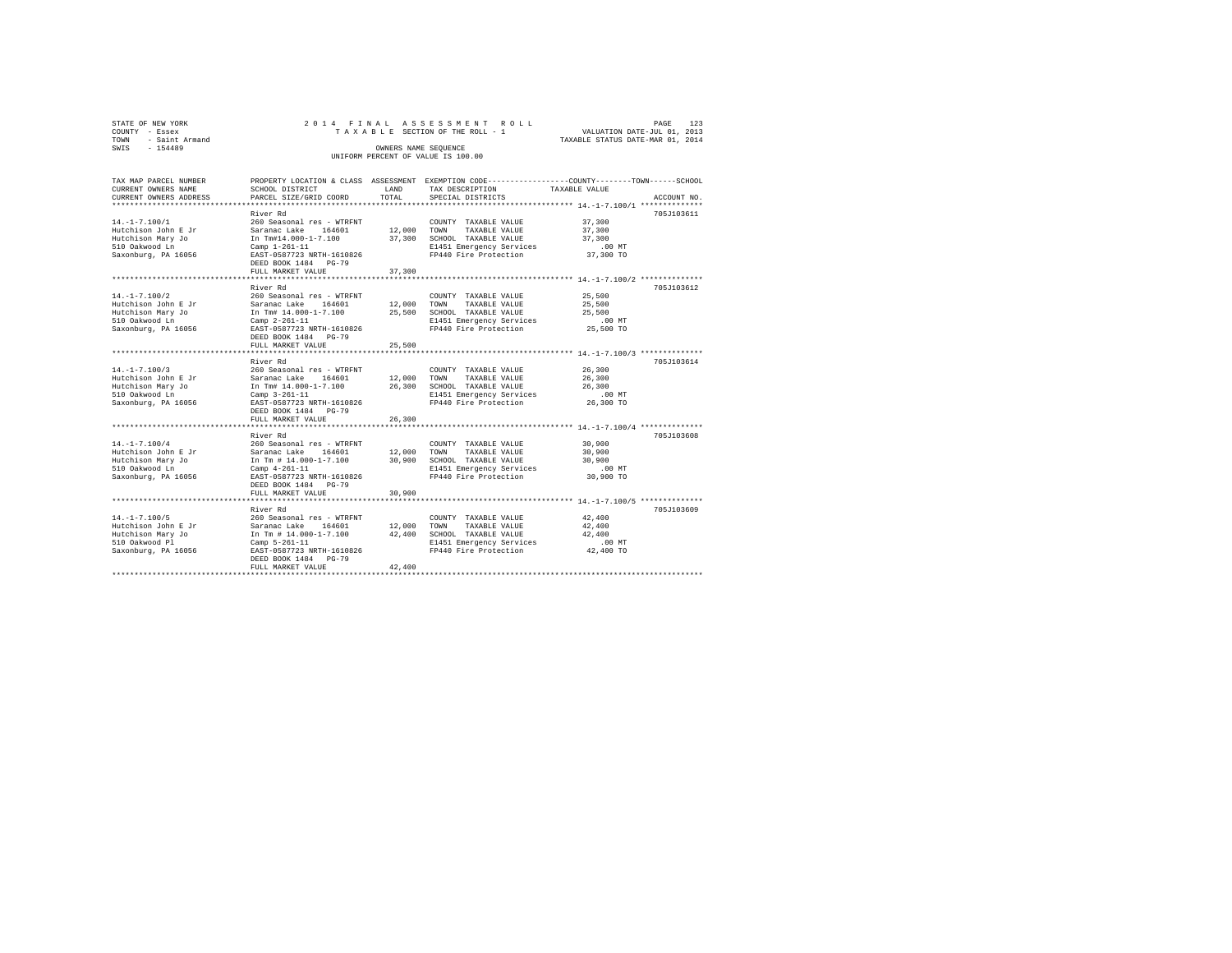| STATE OF NEW YORK   |  |  | 2014 FINAL ASSESSMENT ROLL         |                                  | PAGE | 123 |
|---------------------|--|--|------------------------------------|----------------------------------|------|-----|
| COUNTY - Essex      |  |  | TAXABLE SECTION OF THE ROLL - 1    | VALUATION DATE-JUL 01, 2013      |      |     |
| TOWN - Saint Armand |  |  |                                    | TAXABLE STATUS DATE-MAR 01, 2014 |      |     |
| SWIS<br>$-154489$   |  |  | OWNERS NAME SEOUENCE               |                                  |      |     |
|                     |  |  | UNIFORM PERCENT OF VALUE IS 100.00 |                                  |      |     |

| TAX MAP PARCEL NUMBER  |                                                                                                 |                         | PROPERTY LOCATION & CLASS ASSESSMENT EXEMPTION CODE----------------COUNTY-------TOWN------SCHOOL   |                                                   |             |
|------------------------|-------------------------------------------------------------------------------------------------|-------------------------|----------------------------------------------------------------------------------------------------|---------------------------------------------------|-------------|
| CURRENT OWNERS NAME    | SCHOOL DISTRICT                                                                                 | LAND                    | TAX DESCRIPTION                                                                                    | TAXABLE VALUE                                     |             |
| CURRENT OWNERS ADDRESS | PARCEL SIZE/GRID COORD                                                                          | TOTAL                   | SPECIAL DISTRICTS                                                                                  |                                                   | ACCOUNT NO. |
|                        |                                                                                                 |                         |                                                                                                    |                                                   |             |
|                        | River Rd                                                                                        |                         |                                                                                                    |                                                   | 705J103611  |
| $14. -1 - 7.100/1$     | 260 Seasonal res - WTRFNT                                                                       |                         | COUNTY TAXABLE VALUE 37,300                                                                        |                                                   |             |
| Hutchison John E Jr    | Saranac Lake 164601<br>Saranac Lake 164601<br>In Tm#14.000-1-7.100                              |                         | 12,000 TOWN TAXABLE VALUE                                                                          | 37,300                                            |             |
| Hutchison Mary Jo      |                                                                                                 |                         | 37,300 SCHOOL TAXABLE VALUE                                                                        | 37,300                                            |             |
| 510 Oakwood Ln         | Camp 1-261-11                                                                                   |                         | E1451 Emergency Services<br>FP440 Fire Protection                                                  | $.00$ MT                                          |             |
| Saxonburg, PA 16056    | EAST-0587723 NRTH-1610826                                                                       |                         |                                                                                                    | $37,300$ TO                                       |             |
|                        | DEED BOOK 1484 PG-79                                                                            |                         |                                                                                                    |                                                   |             |
|                        | FULL MARKET VALUE<br>******************************                                             | 37,300<br>************* |                                                                                                    |                                                   |             |
|                        |                                                                                                 |                         |                                                                                                    | ******************* 14.-1-7.100/2 *************** |             |
|                        | River Rd                                                                                        |                         |                                                                                                    |                                                   | 705J103612  |
| $14. -1 - 7.100/2$     |                                                                                                 |                         |                                                                                                    | 25,500                                            |             |
| Hutchison John E Jr    |                                                                                                 |                         |                                                                                                    | 25,500                                            |             |
| Hutchison Mary Jo      | In Tm# 14.000-1-7.100 25,500 SCHOOL TAXABLE VALUE 25,500                                        |                         |                                                                                                    |                                                   |             |
| 510 Oakwood Ln         | $Camp 2-261-11$                                                                                 |                         | E1451 Emergency Services                                                                           | $.00$ MT                                          |             |
| Saxonburg, PA 16056    | EAST-0587723 NRTH-1610826                                                                       |                         | FP440 Fire Protection                                                                              | 25,500 TO                                         |             |
|                        | DEED BOOK 1484 PG-79                                                                            |                         |                                                                                                    |                                                   |             |
|                        | FULL MARKET VALUE                                                                               | 25,500                  |                                                                                                    |                                                   |             |
|                        |                                                                                                 |                         |                                                                                                    |                                                   |             |
|                        | River Rd                                                                                        |                         |                                                                                                    |                                                   | 705J103614  |
| $14. - 1 - 7.100/3$    |                                                                                                 |                         | COUNTY TAXABLE VALUE                                                                               | 26,300<br>26,300                                  |             |
| Hutchison John E Jr    |                                                                                                 |                         |                                                                                                    |                                                   |             |
| Hutchison Mary Jo      | In Tm# 14.000-1-7.100 26,300 SCHOOL TAXABLE VALUE 26,300 Camp 3-261-11 E1451 Emergency Services |                         |                                                                                                    |                                                   |             |
| 510 Oakwood Ln         |                                                                                                 |                         |                                                                                                    |                                                   |             |
| Saxonburg, PA 16056    | EAST-0587723 NRTH-1610826                                                                       |                         | FP440 Fire Protection 26,300 TO                                                                    |                                                   |             |
|                        | DEED BOOK 1484 PG-79                                                                            |                         |                                                                                                    |                                                   |             |
|                        | FULL MARKET VALUE                                                                               | 26,300                  |                                                                                                    |                                                   |             |
|                        |                                                                                                 |                         |                                                                                                    |                                                   |             |
|                        | River Rd                                                                                        |                         |                                                                                                    |                                                   | 705J103608  |
| $14. - 1 - 7.100/4$    | 260 Seasonal res - WTRFNT                                                                       |                         | COUNTY TAXABLE VALUE                                                                               | 30,900                                            |             |
| Hutchison John E Jr    | Saranac Lake 164601 12,000 TOWN TAXABLE VALUE                                                   |                         |                                                                                                    | 30,900                                            |             |
| Hutchison Mary Jo      | In Tm # 14.000-1-7.100 30,900 SCHOOL TAXABLE VALUE<br>Camp 4-261-11 E1451 Emergency Services    |                         |                                                                                                    | 30,900                                            |             |
| 510 Oakwood Ln         |                                                                                                 |                         |                                                                                                    | $.00$ MT                                          |             |
| Saxonburg, PA 16056    | EAST-0587723 NRTH-1610826                                                                       |                         | FP440 Fire Protection                                                                              | 30,900 TO                                         |             |
|                        | DEED BOOK 1484 PG-79                                                                            |                         |                                                                                                    |                                                   |             |
|                        | FULL MARKET VALUE                                                                               | 30,900                  |                                                                                                    |                                                   |             |
|                        |                                                                                                 |                         |                                                                                                    |                                                   |             |
|                        | River Rd                                                                                        |                         |                                                                                                    |                                                   | 705J103609  |
| $14. -1 - 7.100/5$     | 260 Seasonal res - WTRFNT                                                                       |                         | COUNTY TAXABLE VALUE                                                                               | 42,400                                            |             |
|                        |                                                                                                 |                         | TAXABLE VALUE                                                                                      | 42,400                                            |             |
|                        |                                                                                                 |                         | In Tm # $14.000-1-7.100$ $42.400$ SCHOOL TAXABLE VALUE<br>Camp 5-261-11 $E1451$ Emergency Services | 42,400                                            |             |
|                        |                                                                                                 |                         | E1451 Emergency Services .00 MT                                                                    |                                                   |             |
| Saxonburg, PA 16056    | EAST-0587723 NRTH-1610826                                                                       |                         | FP440 Fire Protection                                                                              | 42,400 TO                                         |             |
|                        | DEED BOOK 1484 PG-79                                                                            |                         |                                                                                                    |                                                   |             |
|                        | FULL MARKET VALUE                                                                               | 42,400                  |                                                                                                    |                                                   |             |
|                        |                                                                                                 |                         |                                                                                                    |                                                   |             |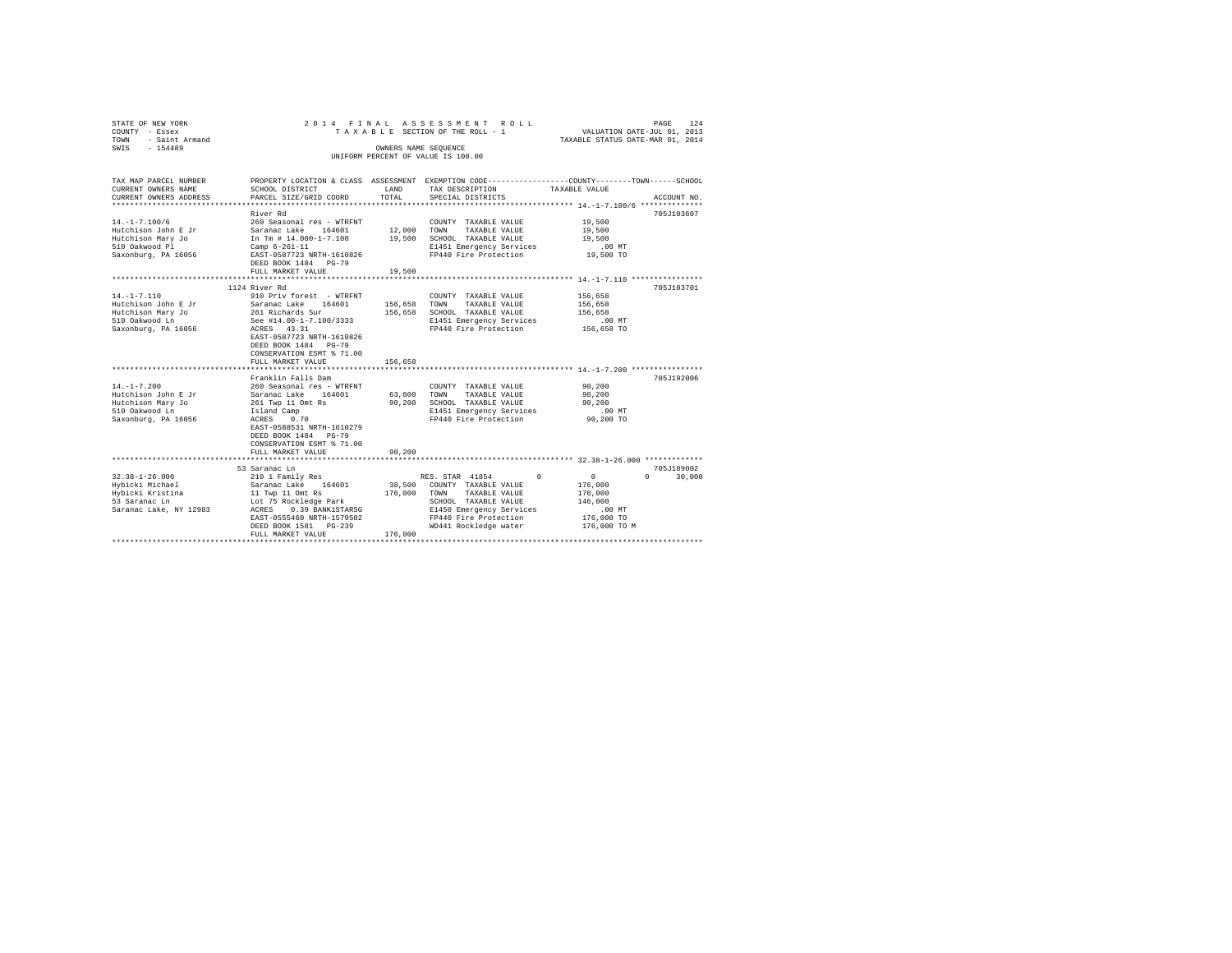| 2014 FINAL<br>ASSESSMENT ROLL<br>VALUATION DATE-JUL 01, 2013<br>TAXABLE SECTION OF THE ROLL - 1<br>TAXABLE STATUS DATE-MAR 01, 2014<br>OWNERS NAME SEQUENCE<br>UNIFORM PERCENT OF VALUE IS 100.00                                                                                                                                                                                                                                                                                                   |                                                 |                                                                                                                                                                                                                                                          |                                                                                                                                                                                                                                 |  |  |
|-----------------------------------------------------------------------------------------------------------------------------------------------------------------------------------------------------------------------------------------------------------------------------------------------------------------------------------------------------------------------------------------------------------------------------------------------------------------------------------------------------|-------------------------------------------------|----------------------------------------------------------------------------------------------------------------------------------------------------------------------------------------------------------------------------------------------------------|---------------------------------------------------------------------------------------------------------------------------------------------------------------------------------------------------------------------------------|--|--|
| SCHOOL DISTRICT<br>PARCEL SIZE/GRID COORD                                                                                                                                                                                                                                                                                                                                                                                                                                                           | LAND<br>TOTAL                                   | TAX DESCRIPTION<br>SPECIAL DISTRICTS                                                                                                                                                                                                                     | TAXABLE VALUE<br>ACCOUNT NO.                                                                                                                                                                                                    |  |  |
| River Rd<br>260 Seasonal res - WTRFNT<br>Saranac Lake<br>164601<br>In Tm # 14.000-1-7.100<br>Camp $6 - 261 - 11$<br>EAST-0587723 NRTH-1610826<br>DEED BOOK 1484 PG-79                                                                                                                                                                                                                                                                                                                               | 12,000<br>19,500                                | COUNTY TAXABLE VALUE<br>TOWN<br>TAXABLE VALUE<br>SCHOOL TAXABLE VALUE<br>E1451 Emergency Services<br>FP440 Fire Protection                                                                                                                               | 705J103607<br>19,500<br>19,500<br>19,500<br>.00 MT<br>19,500 TO                                                                                                                                                                 |  |  |
|                                                                                                                                                                                                                                                                                                                                                                                                                                                                                                     |                                                 |                                                                                                                                                                                                                                                          |                                                                                                                                                                                                                                 |  |  |
| 1124 River Rd<br>910 Priv forest - WTRFNT<br>Saranac Lake<br>164601<br>261 Richards Sur<br>See #14.00-1-7.100/3333<br>ACRES 43.31<br>EAST-0587723 NRTH-1610826<br>DEED BOOK 1484 PG-79<br>CONSERVATION ESMT % 71.00<br>FULL MARKET VALUE<br>Franklin Falls Dam<br>260 Seasonal res - WTRFNT<br>Saranac Lake 164601<br>261 Twp 11 Omt Rs<br>Island Camp<br>0.70<br>ACRES<br>EAST-0588531 NRTH-1610279<br>DEED BOOK 1484 PG-79<br>CONSERVATION ESMT % 71.00<br>FULL MARKET VALUE<br>***************** | 156,658<br>156,658<br>90,200<br>90.200          | COUNTY TAXABLE VALUE<br>TAXABLE VALUE<br>TOWN<br>SCHOOL TAXABLE VALUE<br>E1451 Emergency Services<br>FP440 Fire Protection<br>COUNTY TAXABLE VALUE<br>TOWN<br>TAXABLE VALUE<br>SCHOOL TAXABLE VALUE<br>E1451 Emergency Services<br>FP440 Fire Protection | *********************** 14.-1-7.110 **************<br>705J103701<br>156,658<br>156,658<br>156,658<br>.00MT<br>156,658 TO<br>705J192006<br>90,200<br>90,200<br>90,200<br>.00 MT<br>90,200 TO<br>*** 32.38-1-26.000 ************* |  |  |
| 53 Saranac Ln<br>210 1 Family Res<br>Saranac Lake 164601<br>11 Twp 11 Omt Rs<br>Lot 75 Rockledge Park<br>0.39 BANK1STARSG<br>ACRES<br>EAST-0555460 NRTH-1579502<br>DEED BOOK 1581 PG-239<br>FULL MARKET VALUE                                                                                                                                                                                                                                                                                       | 176,000<br>176,000                              | $^{\circ}$<br>COUNTY TAXABLE VALUE<br>TOWN<br>TAXABLE VALUE<br>SCHOOL TAXABLE VALUE<br>E1450 Emergency Services<br>FP440 Fire Protection<br>WD441 Rockledge water                                                                                        | 705J189002<br>$^{\circ}$<br>$\Omega$<br>30,000<br>176,000<br>176,000<br>146,000<br>.00MT<br>176,000 TO<br>176,000 TO M                                                                                                          |  |  |
|                                                                                                                                                                                                                                                                                                                                                                                                                                                                                                     | FULL MARKET VALUE<br>************************** | 19,500                                                                                                                                                                                                                                                   | PROPERTY LOCATION & CLASS ASSESSMENT EXEMPTION CODE----------------COUNTY-------TOWN-----SCHOOL<br>156,658<br>63,800<br>RES. STAR 41854<br>38,500                                                                               |  |  |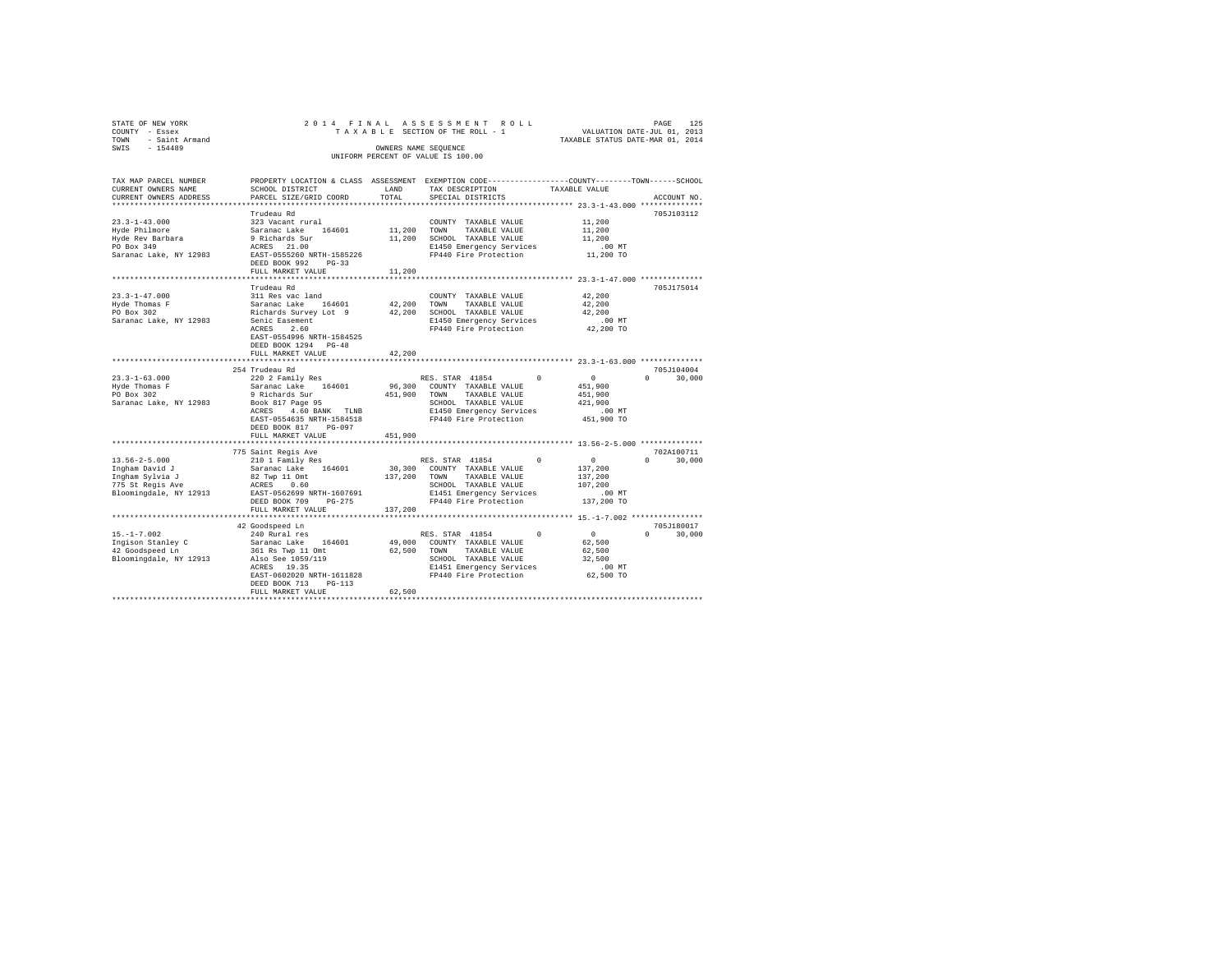| STATE OF NEW YORK<br>COUNTY - Essex  | 2014 FINAL                                        |         | ASSESSMENT ROLL<br>TAXABLE SECTION OF THE ROLL - 1                                              |                                  | PAGE<br>125<br>VALUATION DATE-JUL 01, 2013 |
|--------------------------------------|---------------------------------------------------|---------|-------------------------------------------------------------------------------------------------|----------------------------------|--------------------------------------------|
| TOWN<br>- Saint Armand               |                                                   |         |                                                                                                 | TAXABLE STATUS DATE-MAR 01, 2014 |                                            |
| SWIS<br>$-154489$                    |                                                   |         | OWNERS NAME SEQUENCE                                                                            |                                  |                                            |
|                                      |                                                   |         | UNIFORM PERCENT OF VALUE IS 100.00                                                              |                                  |                                            |
|                                      |                                                   |         |                                                                                                 |                                  |                                            |
| TAX MAP PARCEL NUMBER                |                                                   |         | PROPERTY LOCATION & CLASS ASSESSMENT EXEMPTION CODE---------------COUNTY-------TOWN------SCHOOL |                                  |                                            |
| CURRENT OWNERS NAME                  | SCHOOL DISTRICT                                   | LAND    | TAX DESCRIPTION                                                                                 | TAXABLE VALUE                    |                                            |
| CURRENT OWNERS ADDRESS               | PARCEL SIZE/GRID COORD                            | TOTAL   | SPECIAL DISTRICTS                                                                               |                                  | ACCOUNT NO.                                |
|                                      |                                                   |         |                                                                                                 |                                  |                                            |
|                                      | Trudeau Rd                                        |         |                                                                                                 |                                  | 705J103112                                 |
| $23.3 - 1 - 43.000$                  | 323 Vacant rural                                  |         | COUNTY TAXABLE VALUE                                                                            | 11,200                           |                                            |
| Hyde Philmore                        | Saranac Lake 164601                               | 11,200  | TOWN<br>TAXABLE VALUE                                                                           | 11,200                           |                                            |
| Hyde Rev Barbara                     | 9 Richards Sur                                    | 11,200  | SCHOOL TAXABLE VALUE                                                                            | 11,200                           |                                            |
| PO Box 349<br>Saranac Lake, NY 12983 | ACRES 21.00<br>EAST-0555260 NRTH-1585226          |         | E1450 Emergency Services<br>FP440 Fire Protection                                               | $.00$ MT<br>11,200 TO            |                                            |
|                                      | DEED BOOK 992 PG-33                               |         |                                                                                                 |                                  |                                            |
|                                      | FULL MARKET VALUE                                 | 11,200  |                                                                                                 |                                  |                                            |
|                                      |                                                   |         |                                                                                                 |                                  |                                            |
|                                      | Trudeau Rd                                        |         |                                                                                                 |                                  | 705J175014                                 |
| $23.3 - 1 - 47.000$                  | 311 Res vac land                                  |         | COUNTY TAXABLE VALUE                                                                            | 42,200                           |                                            |
| Hyde Thomas F                        | Saranac Lake 164601                               | 42,200  | TOWN<br>TAXABLE VALUE                                                                           | 42,200                           |                                            |
| PO Box 302                           | Richards Survey Lot 9                             | 42,200  | SCHOOL TAXABLE VALUE                                                                            | 42,200                           |                                            |
| Saranac Lake, NY 12983               | Senic Easement                                    |         | E1450 Emergency Services                                                                        | $.00$ MT                         |                                            |
|                                      | ACRES<br>2.60<br>EAST-0554996 NRTH-1584525        |         | FP440 Fire Protection                                                                           | 42,200 TO                        |                                            |
|                                      | DEED BOOK 1294 PG-48                              |         |                                                                                                 |                                  |                                            |
|                                      | FULL MARKET VALUE                                 | 42.200  |                                                                                                 |                                  |                                            |
|                                      |                                                   |         |                                                                                                 |                                  |                                            |
|                                      | 254 Trudeau Rd                                    |         |                                                                                                 |                                  | 705J104004                                 |
| $23.3 - 1 - 63.000$                  | 220 2 Family Res                                  |         | RES. STAR 41854                                                                                 | $\overline{0}$<br>$\Omega$       | $\Omega$<br>30,000                         |
| Hyde Thomas F                        | Saranac Lake 164601                               |         | 96,300 COUNTY TAXABLE VALUE                                                                     | 451,900                          |                                            |
| PO Box 302                           | 9 Richards Sur                                    | 451,900 | TOWN<br>TAXABLE VALUE                                                                           | 451,900                          |                                            |
| Saranac Lake, NY 12983               | Book 817 Page 95                                  |         | SCHOOL TAXABLE VALUE                                                                            | 421,900                          |                                            |
|                                      | ACRES 4.60 BANK TLNB                              |         | E1450 Emergency Services<br>FP440 Fire Protection                                               | $.00$ MT                         |                                            |
|                                      | EAST-0554635 NRTH-1584518<br>DEED BOOK 817 PG-097 |         |                                                                                                 | 451,900 TO                       |                                            |
|                                      | FULL MARKET VALUE                                 | 451,900 |                                                                                                 |                                  |                                            |
|                                      |                                                   |         |                                                                                                 |                                  |                                            |
|                                      | 775 Saint Regis Ave                               |         |                                                                                                 |                                  | 702A100711                                 |
| $13.56 - 2 - 5.000$                  | 210 1 Family Res                                  |         | RES. STAR 41854                                                                                 | $\sim$ 0                         | $\Omega$<br>30,000                         |
| Ingham David J                       | Saranac Lake 164601                               | 30,300  | COUNTY TAXABLE VALUE                                                                            | 137,200                          |                                            |
| Ingham Sylvia J                      | 82 Twp 11 Omt                                     | 137,200 | TOWN<br>TAXABLE VALUE                                                                           | 137,200                          |                                            |
| 775 St Regis Ave                     | ACRES<br>0.60                                     |         | SCHOOL TAXABLE VALUE                                                                            | 107,200                          |                                            |
| Bloomingdale, NY 12913               | EAST-0562699 NRTH-1607691                         |         | E1451 Emergency Services                                                                        | $.00$ MT                         |                                            |
|                                      | DEED BOOK 709 PG-275                              |         | FP440 Fire Protection                                                                           | 137,200 TO                       |                                            |
|                                      | FULL MARKET VALUE                                 | 137,200 |                                                                                                 |                                  |                                            |
|                                      | 42 Goodspeed Ln                                   |         |                                                                                                 |                                  | 705J180017                                 |
| $15. - 1 - 7.002$                    | 240 Rural res                                     |         | RES. STAR 41854                                                                                 | $\Omega$<br>$^{\circ}$           | $\mathbf{r}$<br>30,000                     |
| Ingison Stanley C                    | Saranac Lake 164601                               | 49,000  | COUNTY TAXABLE VALUE                                                                            | 62,500                           |                                            |
| 42 Goodspeed Ln                      | 361 Rs Twp 11 Omt                                 | 62,500  | TOWN<br>TAXABLE VALUE                                                                           | 62,500                           |                                            |
| Bloomingdale, NY 12913               | Also See 1059/119                                 |         | SCHOOL TAXABLE VALUE                                                                            | 32,500                           |                                            |
|                                      | ACRES 19.35                                       |         | E1451 Emergency Services                                                                        | $.00$ MT                         |                                            |
|                                      | EAST-0602020 NRTH-1611828                         |         | FP440 Fire Protection                                                                           | 62,500 TO                        |                                            |
|                                      | DEED BOOK 713 PG-113                              |         |                                                                                                 |                                  |                                            |
|                                      | FULL MARKET VALUE                                 | 62,500  |                                                                                                 |                                  |                                            |
|                                      |                                                   |         |                                                                                                 |                                  |                                            |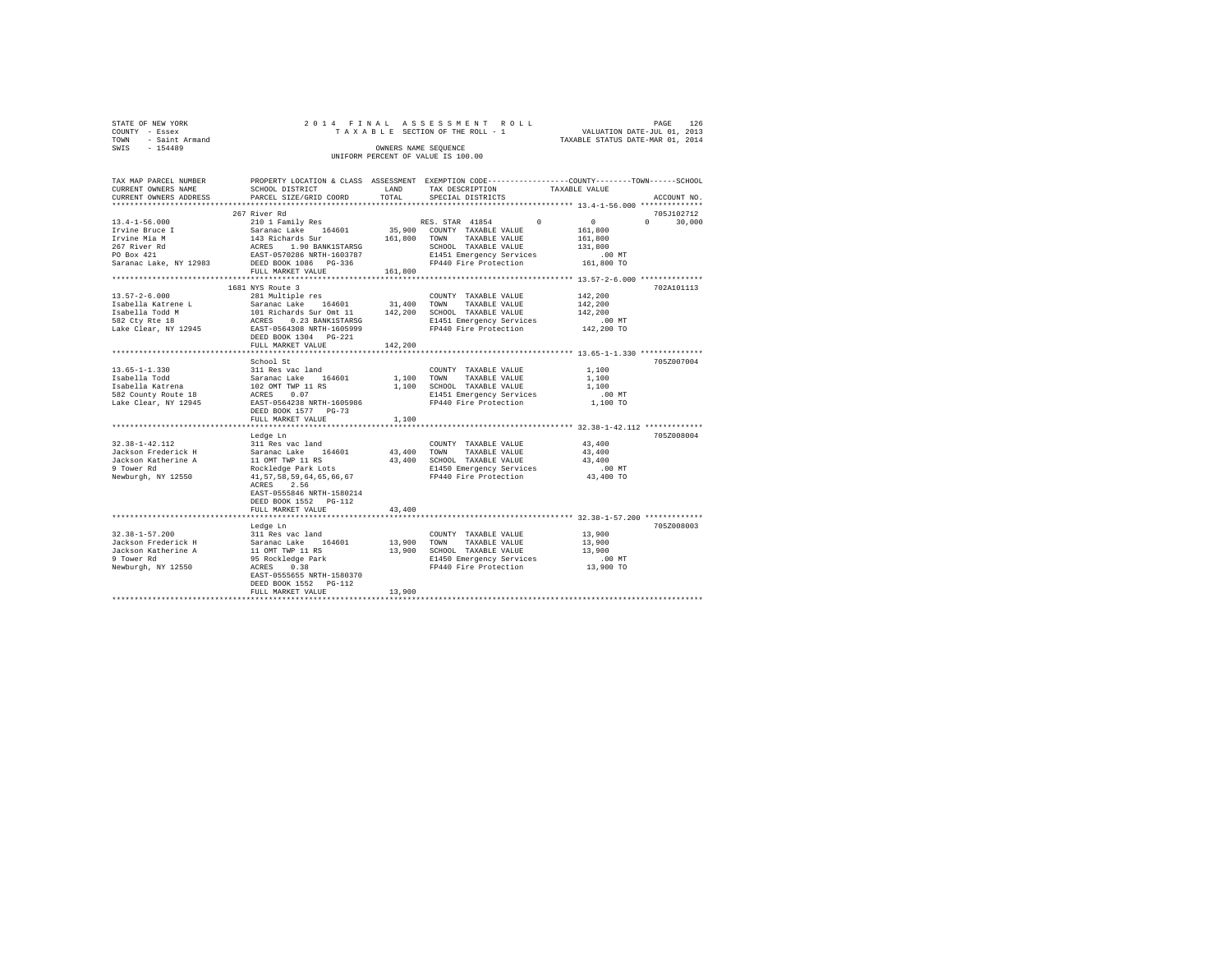| STATE OF NEW YORK   | 2014 FINAL ASSESSMENT ROLL         | PAGE                             | 126 |
|---------------------|------------------------------------|----------------------------------|-----|
| COUNTY - Essex      | TAXABLE SECTION OF THE ROLL - 1    | VALUATION DATE-JUL 01, 2013      |     |
| TOWN - Saint Armand |                                    | TAXABLE STATUS DATE-MAR 01, 2014 |     |
| SWIS<br>$-154489$   | OWNERS NAME SEOUENCE               |                                  |     |
|                     | UNIFORM PERCENT OF VALUE IS 100.00 |                                  |     |

| TAX MAP PARCEL NUMBER<br>CURRENT OWNERS NAME                                                                                                                                                                                                         | SCHOOL DISTRICT                                                                                                                    | LAND    | TAX DESCRIPTION                                                     | PROPERTY LOCATION & CLASS ASSESSMENT EXEMPTION CODE----------------COUNTY-------TOWN-----SCHOOL<br>TAXABLE VALUE |
|------------------------------------------------------------------------------------------------------------------------------------------------------------------------------------------------------------------------------------------------------|------------------------------------------------------------------------------------------------------------------------------------|---------|---------------------------------------------------------------------|------------------------------------------------------------------------------------------------------------------|
| CURRENT OWNERS ADDRESS                                                                                                                                                                                                                               | PARCEL SIZE/GRID COORD                                                                                                             | TOTAL   | SPECIAL DISTRICTS                                                   | ACCOUNT NO.                                                                                                      |
|                                                                                                                                                                                                                                                      | 267 River Rd                                                                                                                       |         |                                                                     | 705J102712                                                                                                       |
| $13.4 - 1 - 56.000$                                                                                                                                                                                                                                  | 210 1 Family Res                                                                                                                   |         | $\mathbf{0}$<br>RES. STAR 41854                                     | $\sim$ 0 $\sim$<br>$\mathbf{a}$<br>30,000                                                                        |
| Irvine Bruce I                                                                                                                                                                                                                                       |                                                                                                                                    |         | 35,900 COUNTY TAXABLE VALUE                                         | 161,800                                                                                                          |
| Irvine Mia M                                                                                                                                                                                                                                         |                                                                                                                                    |         | 161,800 TOWN TAXABLE VALUE                                          | 161,800                                                                                                          |
| 267 River Rd                                                                                                                                                                                                                                         |                                                                                                                                    |         | SCHOOL TAXABLE VALUE                                                | 131,800                                                                                                          |
| PO Box 421                                                                                                                                                                                                                                           | 2010 1 main 1 mes 164601 35,9<br>143 Richards Sur<br>ACRES 1.90 BANK1STAR5G<br>ACRES 1.90 BANK1STAR5G<br>EAST-0570286 NRTH-1603787 |         |                                                                     |                                                                                                                  |
| Saranac Lake, NY 12983 DEED BOOK 1086 PG-336                                                                                                                                                                                                         |                                                                                                                                    |         | E1451 Emergency Services .00 MT<br>FP440 Fire Protection 161,800 TO |                                                                                                                  |
|                                                                                                                                                                                                                                                      | FULL MARKET VALUE                                                                                                                  | 161,800 |                                                                     |                                                                                                                  |
| *************************                                                                                                                                                                                                                            |                                                                                                                                    |         |                                                                     |                                                                                                                  |
|                                                                                                                                                                                                                                                      | 1681 NYS Route 3                                                                                                                   |         |                                                                     | 702A101113                                                                                                       |
| $13.57 - 2 - 6.000$                                                                                                                                                                                                                                  | 281 Multiple res                                                                                                                   |         | COUNTY TAXABLE VALUE                                                | 142,200                                                                                                          |
|                                                                                                                                                                                                                                                      |                                                                                                                                    |         |                                                                     | 142,200                                                                                                          |
| 1990 - 1990 - 2001 - 2003 - 2003 - 2004 - 2004 - 2004 - 2004 - 2004 - 2004 - 2004 - 2004 - 2004 - 2004 - 2004<br>1990 - 2004 - 2004 - 2004 - 2004 - 2004 - 2004 - 2004 - 2004 - 2004 - 2004 - 2004 - 2004 - 2004 - 2004 - 2004<br>19                 |                                                                                                                                    |         |                                                                     | 142,200                                                                                                          |
|                                                                                                                                                                                                                                                      |                                                                                                                                    |         | E1451 Emergency Services<br>FP440 Fire Protection                   | 00 MT.<br>142,200 TO                                                                                             |
|                                                                                                                                                                                                                                                      | DEED BOOK 1304 PG-221                                                                                                              |         |                                                                     |                                                                                                                  |
|                                                                                                                                                                                                                                                      | FULL MARKET VALUE                                                                                                                  | 142,200 |                                                                     |                                                                                                                  |
|                                                                                                                                                                                                                                                      |                                                                                                                                    |         |                                                                     |                                                                                                                  |
|                                                                                                                                                                                                                                                      | School St                                                                                                                          |         |                                                                     | 705Z007004                                                                                                       |
|                                                                                                                                                                                                                                                      |                                                                                                                                    |         | COUNTY TAXABLE VALUE                                                | 1,100                                                                                                            |
|                                                                                                                                                                                                                                                      |                                                                                                                                    |         | 1,100 TOWN TAXABLE VALUE                                            | 1,100                                                                                                            |
|                                                                                                                                                                                                                                                      |                                                                                                                                    |         | 1,100 SCHOOL TAXABLE VALUE                                          | 1,100                                                                                                            |
|                                                                                                                                                                                                                                                      |                                                                                                                                    |         | E1451 Emergency Services                                            | $.00$ MT                                                                                                         |
| 13.65-1-1.330<br>13.11 Res vac land<br>15 Saranac Lake 164601<br>15 Saranac Lake 164601<br>16 Saranac Lake 164601<br>16 Saranac Lake 16451<br>160564288<br>16 Saran-1605986<br>164 Saran-1605986<br>164 Saran-1605986<br>164 Saran-1605986<br>164 Sa |                                                                                                                                    |         | FP440 Fire Protection                                               | 1,100 TO                                                                                                         |
|                                                                                                                                                                                                                                                      | DEED BOOK 1577 PG-73                                                                                                               |         |                                                                     |                                                                                                                  |
|                                                                                                                                                                                                                                                      | FULL MARKET VALUE                                                                                                                  | 1,100   |                                                                     |                                                                                                                  |
|                                                                                                                                                                                                                                                      |                                                                                                                                    |         |                                                                     |                                                                                                                  |
|                                                                                                                                                                                                                                                      | Ledge Ln                                                                                                                           |         |                                                                     | 705Z008004                                                                                                       |
| 32.38-1-42.112                                                                                                                                                                                                                                       | 311 Res vac land<br>311 Res var 1848<br>Saranac Lake 164601<br>11 OMT TWP 11 RS<br>Rockledge Park Lots<br>41,57,58,59,64,65,66,67  |         | COUNTY TAXABLE VALUE                                                | 43,400                                                                                                           |
| Jackson Frederick H                                                                                                                                                                                                                                  |                                                                                                                                    |         | 43,400 TOWN TAXABLE VALUE                                           | 43,400                                                                                                           |
| Jackson Katherine A<br>9 Tower Rd                                                                                                                                                                                                                    |                                                                                                                                    |         | 43,400 SCHOOL TAXABLE VALUE<br>E1450 Emergency Services             | 43,400                                                                                                           |
| Newburgh, NY 12550                                                                                                                                                                                                                                   |                                                                                                                                    |         | FP440 Fire Protection                                               | $.00$ MT                                                                                                         |
|                                                                                                                                                                                                                                                      | ACRES 2.56                                                                                                                         |         |                                                                     | $43,400$ TO                                                                                                      |
|                                                                                                                                                                                                                                                      | EAST-0555846 NRTH-1580214                                                                                                          |         |                                                                     |                                                                                                                  |
|                                                                                                                                                                                                                                                      | DEED BOOK 1552 PG-112                                                                                                              |         |                                                                     |                                                                                                                  |
|                                                                                                                                                                                                                                                      | FULL MARKET VALUE                                                                                                                  | 43,400  |                                                                     |                                                                                                                  |
|                                                                                                                                                                                                                                                      |                                                                                                                                    |         |                                                                     |                                                                                                                  |
|                                                                                                                                                                                                                                                      | Ledge Ln                                                                                                                           |         |                                                                     | 705Z008003                                                                                                       |
| $32.38 - 1 - 57.200$                                                                                                                                                                                                                                 | 311 Res vac land                                                                                                                   |         | COUNTY TAXABLE VALUE                                                | 13,900                                                                                                           |
| Jackson Frederick H                                                                                                                                                                                                                                  |                                                                                                                                    |         | 13,900 TOWN TAXABLE VALUE                                           | 13,900                                                                                                           |
| Jackson Katherine A                                                                                                                                                                                                                                  |                                                                                                                                    |         | 13,900 SCHOOL TAXABLE VALUE                                         | 13,900                                                                                                           |
| 9 Tower Rd                                                                                                                                                                                                                                           | 311 Res vac land<br>Saranac Lake 164601<br>11 OMT TWP 11 RS<br>95 Rockledge Park<br>ACRES 0.38<br>---- ----                        |         | E1450 Emergency Services                                            | .00 MT                                                                                                           |
| Newburgh, NY 12550                                                                                                                                                                                                                                   |                                                                                                                                    |         | FP440 Fire Protection 13.900 TO                                     |                                                                                                                  |
|                                                                                                                                                                                                                                                      | EAST-0555655 NRTH-1580370                                                                                                          |         |                                                                     |                                                                                                                  |
|                                                                                                                                                                                                                                                      | DEED BOOK 1552 PG-112                                                                                                              |         |                                                                     |                                                                                                                  |
|                                                                                                                                                                                                                                                      | FULL MARKET VALUE                                                                                                                  | 13,900  |                                                                     |                                                                                                                  |
|                                                                                                                                                                                                                                                      |                                                                                                                                    |         |                                                                     |                                                                                                                  |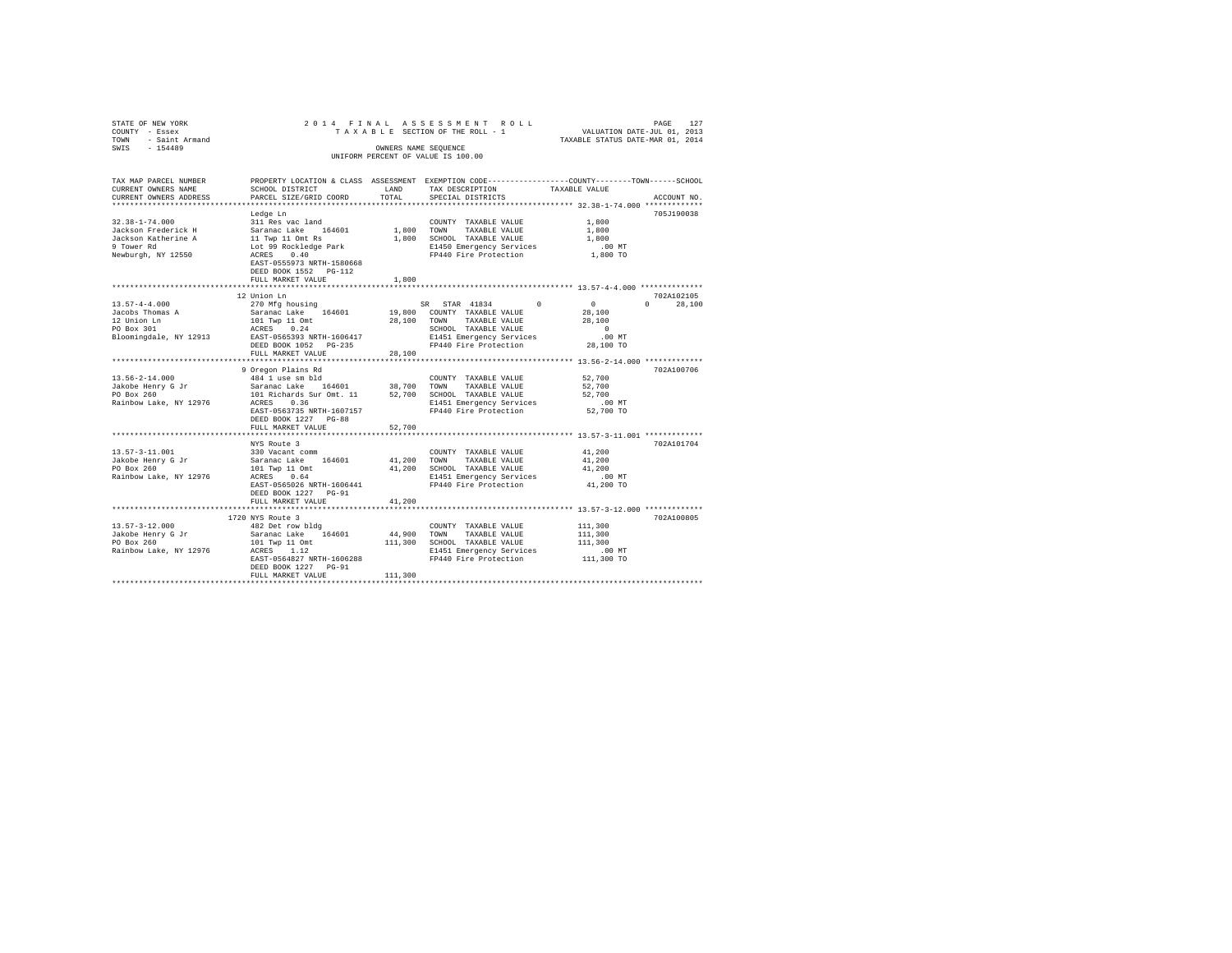| STATE OF NEW YORK      |                           |            | 2014 FINAL ASSESSMENT ROLL                                                                     |                                  | 127<br>PAGE        |
|------------------------|---------------------------|------------|------------------------------------------------------------------------------------------------|----------------------------------|--------------------|
| COUNTY - Essex         |                           |            | TAXABLE SECTION OF THE ROLL - 1                                                                | VALUATION DATE-JUL 01, 2013      |                    |
| TOWN - Saint Armand    |                           |            |                                                                                                | TAXABLE STATUS DATE-MAR 01, 2014 |                    |
| $-154489$<br>SWIS      |                           |            | OWNERS NAME SEOUENCE                                                                           |                                  |                    |
|                        |                           |            | UNIFORM PERCENT OF VALUE IS 100.00                                                             |                                  |                    |
|                        |                           |            |                                                                                                |                                  |                    |
| TAX MAP PARCEL NUMBER  |                           |            | PROPERTY LOCATION & CLASS ASSESSMENT EXEMPTION CODE---------------COUNTY-------TOWN-----SCHOOL |                                  |                    |
| CURRENT OWNERS NAME    | SCHOOL DISTRICT           | LAND       | TAX DESCRIPTION                                                                                | TAXABLE VALUE                    |                    |
| CURRENT OWNERS ADDRESS | PARCEL SIZE/GRID COORD    | TOTAL      | SPECIAL DISTRICTS                                                                              |                                  | ACCOUNT NO.        |
|                        |                           |            |                                                                                                |                                  |                    |
|                        |                           |            |                                                                                                |                                  |                    |
|                        | Ledge Ln                  |            |                                                                                                |                                  | 705J190038         |
| $32.38 - 1 - 74.000$   | 311 Res vac land          |            | COUNTY TAXABLE VALUE                                                                           | 1,800                            |                    |
| Jackson Frederick H    | Saranac Lake 164601       | 1,800 TOWN | TAXABLE VALUE                                                                                  | 1,800                            |                    |
| Jackson Katherine A    | 11 Twp 11 Omt Rs          |            | 1,800 SCHOOL TAXABLE VALUE                                                                     | 1,800                            |                    |
| 9 Tower Rd             | Lot 99 Rockledge Park     |            | E1450 Emergency Services                                                                       | $.00$ MT                         |                    |
| Newburgh, NY 12550     | ACRES 0.40                |            | FP440 Fire Protection                                                                          | 1,800 TO                         |                    |
|                        | EAST-0555973 NRTH-1580668 |            |                                                                                                |                                  |                    |
|                        | DEED BOOK 1552 PG-112     |            |                                                                                                |                                  |                    |
|                        | FULL MARKET VALUE         | 1,800      |                                                                                                |                                  |                    |
|                        | ********************      |            |                                                                                                |                                  |                    |
|                        | 12 Union Ln               |            |                                                                                                |                                  | 702A102105         |
| $13.57 - 4 - 4.000$    | 270 Mfg housing           |            | SR STAR 41834<br>$\Omega$                                                                      | $\sim$ 0                         | 28,100<br>$\Omega$ |
| Jacobs Thomas A        | Saranac Lake 164601       |            | 19,800 COUNTY TAXABLE VALUE                                                                    | 28,100                           |                    |
| 12 Union Ln            | 101 Twp 11 Omt            | 28,100     | TAXABLE VALUE<br>TOWN                                                                          | 28,100                           |                    |
| PO Box 301             | ACRES 0.24                |            | SCHOOL TAXABLE VALUE                                                                           | $\Omega$                         |                    |
| Bloomingdale, NY 12913 | EAST-0565393 NRTH-1606417 |            | E1451 Emergency Services                                                                       | .00MT                            |                    |
|                        | DEED BOOK 1052 PG-235     |            | FP440 Fire Protection                                                                          | 28,100 TO                        |                    |
|                        | FULL MARKET VALUE         | 28,100     |                                                                                                |                                  |                    |
|                        |                           |            |                                                                                                |                                  |                    |
|                        | 9 Oregon Plains Rd        |            |                                                                                                |                                  | 702A100706         |
| $13.56 - 2 - 14.000$   | 484 1 use sm bld          |            | COUNTY TAXABLE VALUE                                                                           | 52,700                           |                    |
| Jakobe Henry G Jr      | Saranac Lake 164601       | 38,700     | TOWN TAXABLE VALUE                                                                             | 52,700                           |                    |
| PO Box 260             | 101 Richards Sur Omt. 11  |            | 52,700 SCHOOL TAXABLE VALUE                                                                    | 52,700                           |                    |
| Rainbow Lake, NY 12976 | ACRES 0.36                |            | E1451 Emergency Services                                                                       | $.00$ MT                         |                    |
|                        | EAST-0563735 NRTH-1607157 |            | FP440 Fire Protection                                                                          | 52,700 TO                        |                    |
|                        | DEED BOOK 1227 PG-88      |            |                                                                                                |                                  |                    |
|                        | FULL MARKET VALUE         | 52,700     |                                                                                                |                                  |                    |
|                        |                           |            |                                                                                                |                                  |                    |
|                        | NYS Route 3               |            |                                                                                                |                                  | 702A101704         |
| $13.57 - 3 - 11.001$   | 330 Vacant comm           |            | COUNTY TAXABLE VALUE                                                                           | 41,200                           |                    |
| Jakobe Henry G Jr      | Saranac Lake 164601       | 41,200     | TOWN TAXABLE VALUE                                                                             | 41,200                           |                    |
| PO Box 260             | 101 Twp 11 Omt            |            | 41,200 SCHOOL TAXABLE VALUE                                                                    | 41,200                           |                    |
| Rainbow Lake, NY 12976 | ACRES 0.64                |            | E1451 Emergency Services                                                                       | $.00$ MT                         |                    |
|                        | EAST-0565026 NRTH-1606441 |            | FP440 Fire Protection                                                                          | 41,200 TO                        |                    |
|                        | DEED BOOK 1227 PG-91      |            |                                                                                                |                                  |                    |
|                        | FULL MARKET VALUE         | 41,200     |                                                                                                |                                  |                    |
|                        |                           |            |                                                                                                |                                  |                    |
|                        | 1720 NYS Route 3          |            |                                                                                                |                                  | 702A100805         |
| $13.57 - 3 - 12.000$   | 482 Det row bldg          |            | COUNTY TAXABLE VALUE                                                                           | 111,300                          |                    |
| Jakobe Henry G Jr      | Saranac Lake 164601       | 44,900     | TOWN<br>TAXABLE VALUE                                                                          | 111,300                          |                    |
| PO Box 260             | 101 Twp 11 Omt            |            | 111,300 SCHOOL TAXABLE VALUE                                                                   | 111,300                          |                    |
| Rainbow Lake, NY 12976 | ACRES 1.12                |            | E1451 Emergency Services                                                                       | .00 MT                           |                    |
|                        | EAST-0564827 NRTH-1606288 |            | FP440 Fire Protection                                                                          | 111,300 TO                       |                    |
|                        | DEED BOOK 1227 PG-91      |            |                                                                                                |                                  |                    |
|                        | FULL MARKET VALUE         | 111,300    |                                                                                                |                                  |                    |
|                        |                           |            |                                                                                                |                                  |                    |
|                        |                           |            |                                                                                                |                                  |                    |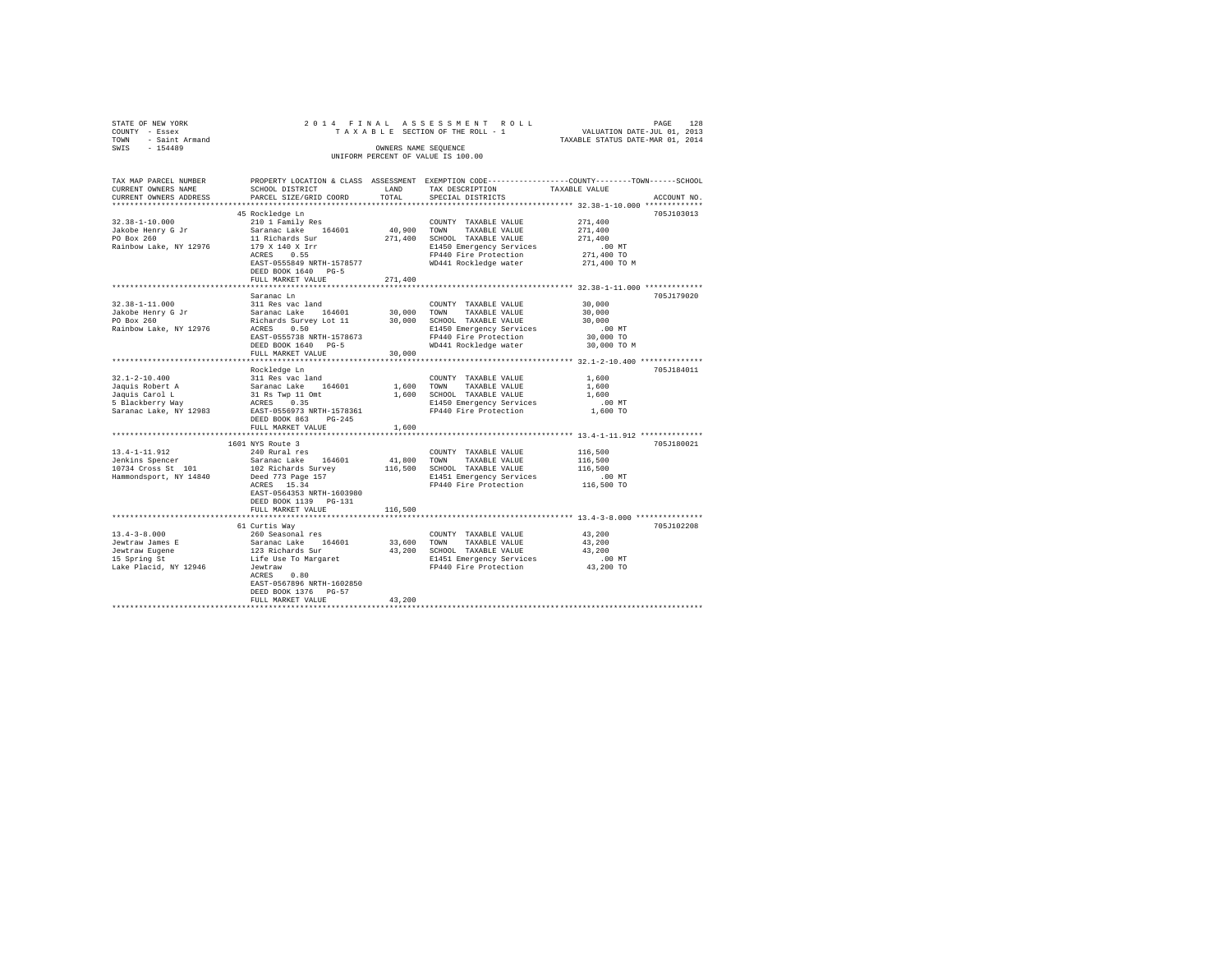| STATE OF NEW YORK                                  |                                                             |             |                                                                                                 |                                  |             |
|----------------------------------------------------|-------------------------------------------------------------|-------------|-------------------------------------------------------------------------------------------------|----------------------------------|-------------|
| COUNTY - Essex<br>TOWN - Saint Armand              |                                                             |             |                                                                                                 | TAXABLE STATUS DATE-MAR 01, 2014 |             |
| SWIS - 154489                                      |                                                             |             | OWNERS NAME SEOUENCE                                                                            |                                  |             |
|                                                    |                                                             |             | UNIFORM PERCENT OF VALUE IS 100.00                                                              |                                  |             |
| TAX MAP PARCEL NUMBER                              |                                                             |             | PROPERTY LOCATION & CLASS ASSESSMENT EXEMPTION CODE---------------COUNTY-------TOWN------SCHOOL |                                  |             |
| CURRENT OWNERS NAME                                | SCHOOL DISTRICT                                             |             | LAND TAX DESCRIPTION                                                                            | TAXABLE VALUE                    |             |
| CURRENT OWNERS ADDRESS                             | PARCEL SIZE/GRID COORD                                      | TOTAL       | SPECIAL DISTRICTS                                                                               |                                  | ACCOUNT NO. |
|                                                    |                                                             |             |                                                                                                 |                                  |             |
|                                                    | 45 Rockledge Ln                                             |             |                                                                                                 |                                  | 705J103013  |
| $32.38 - 1 - 10.000$                               | 210 1 Family Res                                            |             | COUNTY TAXABLE VALUE                                                                            | 271,400                          |             |
|                                                    | Saranac Lake 164601                                         |             | 40,900 TOWN TAXABLE VALUE                                                                       | 271,400                          |             |
| Jakobe Henry G Jr<br>PO Box 260                    | 11 Richards Sur                                             |             | 271,400 SCHOOL TAXABLE VALUE                                                                    | 271,400                          |             |
| Rainbow Lake, NY 12976                             | 179 X 140 X Irr<br>ACRES 0.55                               |             | E1450 Emergency Services                                                                        | $.00$ MT                         |             |
|                                                    |                                                             |             | FP440 Fire Protection                                                                           | 271,400 TO                       |             |
|                                                    | EAST-0555849 NRTH-1578577                                   |             | WD441 Rockledge water                                                                           | 271,400 TO M                     |             |
|                                                    | DEED BOOK 1640 PG-5                                         |             |                                                                                                 |                                  |             |
|                                                    | FULL MARKET VALUE                                           | 271,400     |                                                                                                 |                                  |             |
|                                                    |                                                             |             |                                                                                                 |                                  |             |
|                                                    | Saranac Ln                                                  |             |                                                                                                 |                                  | 705.T179020 |
| $32.38 - 1 - 11.000$                               | 311 Res vac land                                            |             | COUNTY TAXABLE VALUE                                                                            | 30,000                           |             |
| Jakobe Henry G Jr<br>PO Box 260                    | Saranac Lake 164601 30,000<br>Richards Survey Lot 11 30,000 |             | TOWN<br>TAXABLE VALUE                                                                           | 30,000                           |             |
|                                                    |                                                             |             | SCHOOL TAXABLE VALUE                                                                            | 30,000                           |             |
| Rainbow Lake, NY 12976                             | ACRES 0.50                                                  |             | E1450 Emergency Services                                                                        | $.00$ MT                         |             |
|                                                    | EAST-0555738 NRTH-1578673                                   |             | FP440 Fire Protection                                                                           | 30,000 TO                        |             |
|                                                    | DEED BOOK 1640 PG-5                                         |             | WD441 Rockledge water 30,000 TO M                                                               |                                  |             |
|                                                    | FULL MARKET VALUE                                           | 30,000      |                                                                                                 |                                  |             |
|                                                    |                                                             |             |                                                                                                 |                                  | 705J184011  |
| $32.1 - 2 - 10.400$                                | Rockledge Ln<br>311 Res vac land                            |             | COUNTY TAXABLE VALUE                                                                            | 1,600                            |             |
|                                                    | Saranac Lake 164601 1,600 TOWN TAXABLE VALUE                |             |                                                                                                 | 1,600                            |             |
| J2.1-2-10.400<br>Jaquis Robert A<br>Jaquis Carol L | $31$ Rs Twp $11$ Omt                                        |             | 1,600 SCHOOL TAXABLE VALUE                                                                      | 1,600                            |             |
| 5 Blackberry Way                                   | ACRES 0.35                                                  |             | E1450 Emergency Services                                                                        | $.00$ MT                         |             |
|                                                    | Saranac Lake, NY 12983 EAST-0556973 NRTH-1578361            |             | FP440 Fire Protection                                                                           | 1,600 TO                         |             |
|                                                    | DEED BOOK 863 PG-245                                        |             |                                                                                                 |                                  |             |
|                                                    | FULL MARKET VALUE                                           | 1,600       |                                                                                                 |                                  |             |
|                                                    |                                                             |             |                                                                                                 |                                  |             |
|                                                    | 1601 NYS Route 3<br>240 Rural res                           |             |                                                                                                 |                                  | 705J180021  |
| 13.4-1-11.912                                      |                                                             |             | COUNTY TAXABLE VALUE                                                                            | 116,500                          |             |
| Jenkins Spencer                                    | Saranac Lake 164601                                         |             | 41,800 TOWN<br>TAXABLE VALUE                                                                    | 116,500                          |             |
| 10734 Cross St 101                                 | 102 Richards Survey                                         |             | 116,500 SCHOOL TAXABLE VALUE                                                                    | 116,500                          |             |
| Hammondsport, NY 14840                             | Deed 773 Page 157                                           |             | E1451 Emergency Services                                                                        | .00 MT                           |             |
|                                                    | ACRES 15.34                                                 |             | FP440 Fire Protection                                                                           | 116,500 TO                       |             |
|                                                    | EAST-0564353 NRTH-1603980                                   |             |                                                                                                 |                                  |             |
|                                                    | DEED BOOK 1139 PG-131                                       |             |                                                                                                 |                                  |             |
|                                                    | FULL MARKET VALUE                                           | 116,500     |                                                                                                 |                                  |             |
|                                                    |                                                             |             |                                                                                                 |                                  |             |
|                                                    | 61 Curtis Way                                               |             |                                                                                                 |                                  | 705J102208  |
| $13.4 - 3 - 8.000$                                 | 260 Seasonal res                                            |             | COUNTY TAXABLE VALUE                                                                            | 43,200                           |             |
| Jewtraw James E                                    | Saranac Lake 164601                                         | 33,600 TOWN | TAXABLE VALUE                                                                                   | 43,200                           |             |
| Jewtraw Eugene<br>15 Spring St                     | 123 Richards Sur                                            |             | 43,200 SCHOOL TAXABLE VALUE                                                                     | 43,200                           |             |
|                                                    | Life Use To Margaret<br>Jewtraw                             |             | E1451 Emergency Services 6.00 MT<br>FP440 Fire Protection 43,200 TO                             |                                  |             |
| Lake Placid, NY 12946                              |                                                             |             |                                                                                                 |                                  |             |
|                                                    | ACRES 0.80                                                  |             |                                                                                                 |                                  |             |
|                                                    | EAST-0567896 NRTH-1602850                                   |             |                                                                                                 |                                  |             |
|                                                    |                                                             |             |                                                                                                 |                                  |             |
|                                                    | DEED BOOK 1376 PG-57<br>FULL MARKET VALUE                   | 43,200      |                                                                                                 |                                  |             |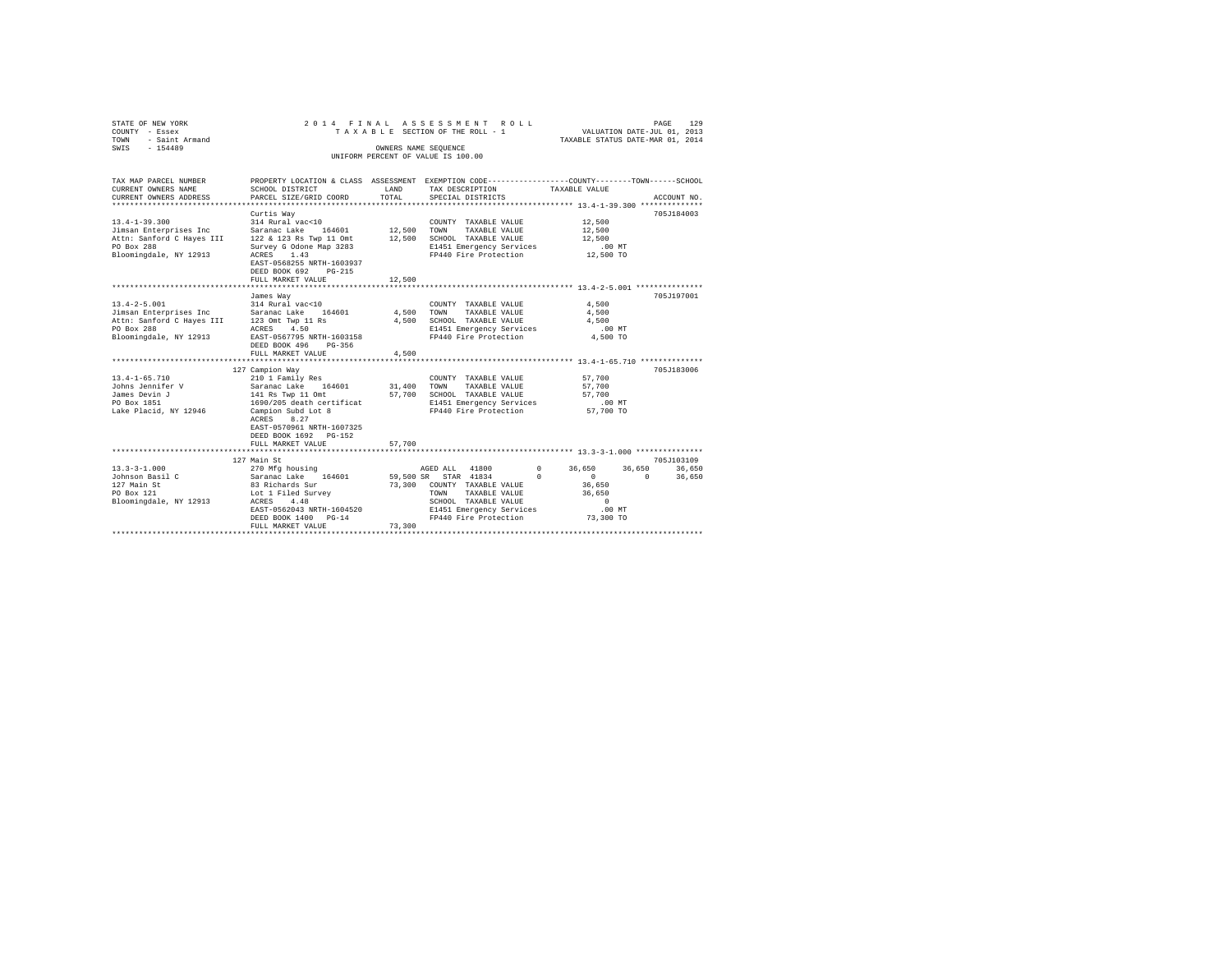| STATE OF NEW YORK<br>COUNTY - Essex<br>TOWN<br>- Saint Armand<br>$-154489$<br>SWIS                                                                                     |                                                                                                                                                                                                             | OWNERS NAME SEOUENCE  | 2014 FINAL ASSESSMENT ROLL<br>TAXABLE SECTION OF THE ROLL - 1<br>UNIFORM PERCENT OF VALUE IS 100.00                                 | PAGE<br>129<br>VALUATION DATE-JUL 01, 2013<br>TAXABLE STATUS DATE-MAR 01, 2014                                                  |
|------------------------------------------------------------------------------------------------------------------------------------------------------------------------|-------------------------------------------------------------------------------------------------------------------------------------------------------------------------------------------------------------|-----------------------|-------------------------------------------------------------------------------------------------------------------------------------|---------------------------------------------------------------------------------------------------------------------------------|
| TAX MAP PARCEL NUMBER<br>CURRENT OWNERS NAME<br>CURRENT OWNERS ADDRESS<br>*********************                                                                        | SCHOOL DISTRICT<br>PARCEL SIZE/GRID COORD<br>****************                                                                                                                                               | LAND<br>TOTAL         | TAX DESCRIPTION<br>SPECIAL DISTRICTS                                                                                                | PROPERTY LOCATION & CLASS ASSESSMENT EXEMPTION CODE---------------COUNTY-------TOWN------SCHOOL<br>TAXABLE VALUE<br>ACCOUNT NO. |
| $13.4 - 1 - 39.300$<br>Jimsan Enterprises Inc<br>Attn: Sanford C Hayes III<br>PO Box 288<br>Bloomingdale, NY 12913                                                     | Curtis Way<br>314 Rural vac<10<br>Saranac Lake 164601<br>122 & 123 Rs Twp 11 Omt<br>Survey G Odone Map 3283<br>ACRES<br>1.43<br>EAST-0568255 NRTH-1603937<br>DEED BOOK 692<br>$PG-215$<br>FULL MARKET VALUE | 12,500 TOWN<br>12,500 | COUNTY TAXABLE VALUE<br>TAXABLE VALUE<br>12,500 SCHOOL TAXABLE VALUE<br>E1451 Emergency Services<br>FP440 Fire Protection 12,500 TO | 705J184003<br>12,500<br>12,500<br>12,500<br>.00 MT                                                                              |
| $13.4 - 2 - 5.001$<br>Jimsan Enterprises Inc Saranac Lake 164601<br>Attn: Sanford C Hayes III 123 Omt Twp 11 Rs<br>PO Box 288 208 ACRES 4.50<br>Bloomingdale, NY 12913 | James Way<br>314 Rural vac<10<br>EAST-0567795 NRTH-1603158<br>DEED BOOK 496<br>$PG-356$<br>FULL MARKET VALUE                                                                                                | 4,500 TOWN<br>4,500   | COUNTY TAXABLE VALUE<br>TAXABLE VALUE<br>4,500 SCHOOL TAXABLE VALUE<br>E1451 Emergency Services<br>FP440 Fire Protection            | 705J197001<br>4.500<br>4,500<br>4,500<br>$.00$ MT<br>4,500 TO                                                                   |
| $13.4 - 1 - 65.710$<br>Johns Jennifer V<br>James Devin J<br>PO Box 1851<br>Lake Placid, NY 12946                                                                       | 127 Campion Way<br>210 1 Family Res<br>Saranac Lake 164601<br>141 Rs Twp 11 Omt<br>1690/205 death certificat<br>Campion Subd Lot 8<br>ACRES 8.27<br>EAST-0570961 NRTH-1607325<br>DEED BOOK 1692 PG-152      | 31,400 TOWN           | COUNTY TAXABLE VALUE<br>TAXABLE VALUE<br>57,700 SCHOOL TAXABLE VALUE<br>E1451 Emergency Services<br>FP440 Fire Protection           | ********* 13.4-1-65.710 **************<br>705J183006<br>57,700<br>57,700<br>57,700<br>.00 MT<br>57,700 TO                       |
| $13.3 - 3 - 1.000$<br>Johnson Basil C<br>127 Main St<br>PO Box 121                                                                                                     | FULL MARKET VALUE<br>****************************<br>127 Main St<br>270 Mfg housing<br>Saranac Lake 164601<br>83 Richards Sur                                                                               | 57.700<br>73,300      | AGED ALL 41800<br>59,500 SR STAR 41834<br>$\Omega$<br>COUNTY TAXABLE VALUE<br>TOWN<br>TAXABLE VALUE                                 | 705J103109<br>$\sim$ 0<br>36,650<br>36,650<br>36,650<br>36,650<br>$\Omega$<br>$\sim$ 0<br>36,650<br>36,650                      |
| Bloomingdale, NY 12913                                                                                                                                                 | Lot 1 Filed Survey<br>EAST-0562043 NRTH-1604520<br>DEED BOOK 1400 PG-14<br>FULL MARKET VALUE                                                                                                                | 73,300                | SCHOOL TAXABLE VALUE<br>E1451 Emergency Services<br>FP440 Fire Protection                                                           | $\Omega$<br>.00 MT<br>73,300 TO                                                                                                 |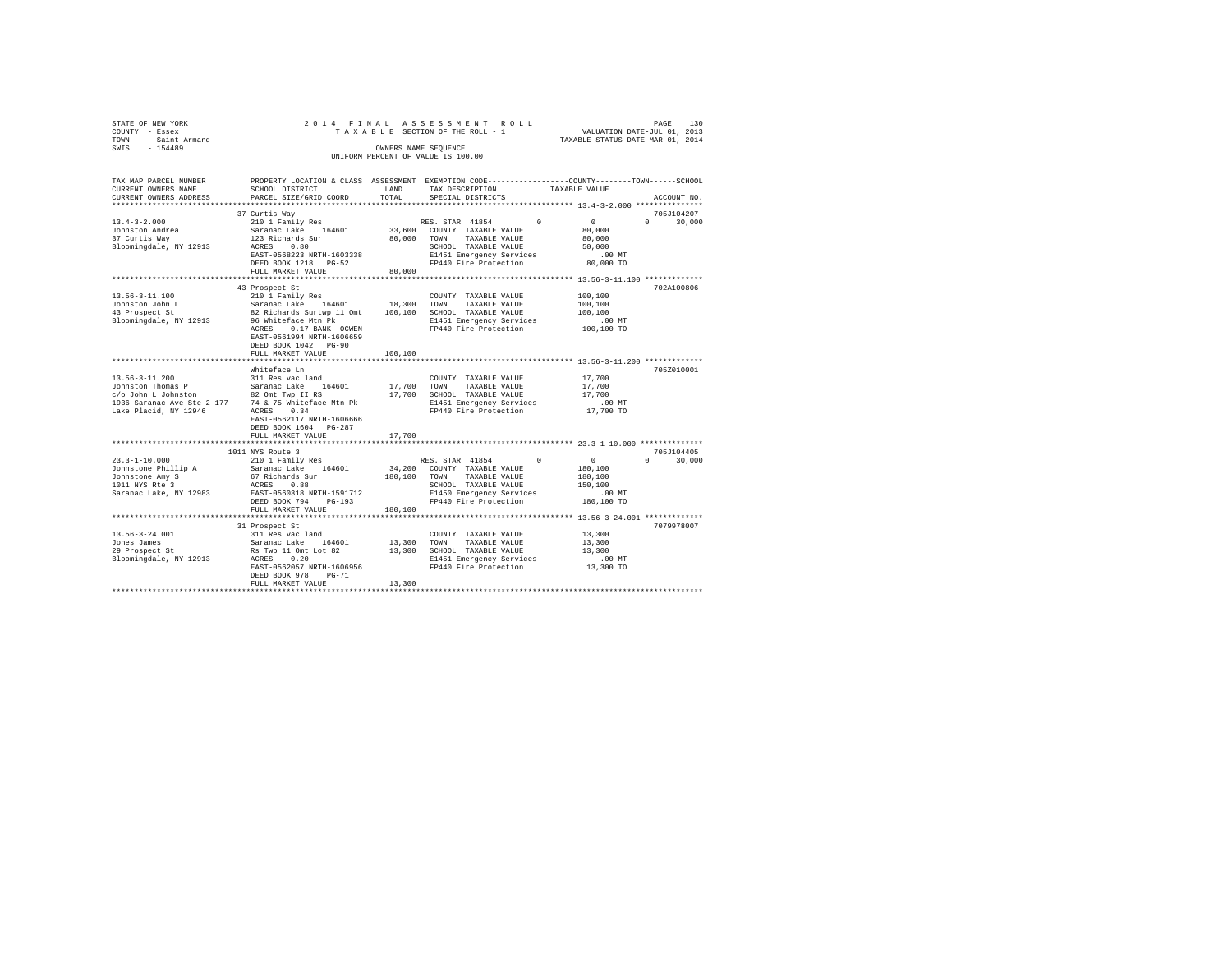| TOWN | STATE OF NEW YORK<br>COUNTY - Essex<br>- Saint Armand |  |  | TAXABLE SECTION OF THE ROLL - 1                            |  | 2014 FINAL ASSESSMENT ROLL | TAXABLE STATUS DATE-MAR 01, 2014                                                               | VALUATION DATE-JUL 01, 2013 | PAGE | 130 |
|------|-------------------------------------------------------|--|--|------------------------------------------------------------|--|----------------------------|------------------------------------------------------------------------------------------------|-----------------------------|------|-----|
| SWIS | $-154489$                                             |  |  | OWNERS NAME SEOUENCE<br>UNIFORM PERCENT OF VALUE IS 100.00 |  |                            |                                                                                                |                             |      |     |
|      | TAX MAP PARCEL NUMBER                                 |  |  |                                                            |  |                            | PROPERTY LOCATION & CLASS ASSESSMENT EXEMPTION CODE---------------COUNTY-------TOWN-----SCHOOL |                             |      |     |

| TAX MAP PARCEL NUMBER                                                                                                                                                                                          |                           |         | PROPERTY LOCATION & CLASS ASSESSMENT EXEMPTION CODE---------------COUNTY-------TOWN-----SCHOOL                                                                                                                                          |               |                                 |
|----------------------------------------------------------------------------------------------------------------------------------------------------------------------------------------------------------------|---------------------------|---------|-----------------------------------------------------------------------------------------------------------------------------------------------------------------------------------------------------------------------------------------|---------------|---------------------------------|
| CURRENT OWNERS NAME                                                                                                                                                                                            | SCHOOL DISTRICT           | LAND    | TAX DESCRIPTION                                                                                                                                                                                                                         | TAXABLE VALUE |                                 |
| CURRENT OWNERS ADDRESS                                                                                                                                                                                         | PARCEL SIZE/GRID COORD    | TOTAL   | SPECIAL DISTRICTS                                                                                                                                                                                                                       |               | ACCOUNT NO.                     |
|                                                                                                                                                                                                                |                           |         |                                                                                                                                                                                                                                         |               |                                 |
|                                                                                                                                                                                                                | 37 Curtis Wav             |         |                                                                                                                                                                                                                                         |               | 705J104207                      |
|                                                                                                                                                                                                                |                           |         | RES. STAR 41854 0                                                                                                                                                                                                                       | $\sim$ 0      | $\Omega$ and $\Omega$<br>30,000 |
|                                                                                                                                                                                                                |                           |         |                                                                                                                                                                                                                                         | 80,000        |                                 |
|                                                                                                                                                                                                                |                           |         | 80,000 TOWN TAXABLE VALUE                                                                                                                                                                                                               | 80,000        |                                 |
|                                                                                                                                                                                                                |                           |         | SCHOOL TAXABLE VALUE                                                                                                                                                                                                                    | 50,000        |                                 |
|                                                                                                                                                                                                                |                           |         | ------<br>E1451 Emergency Services .00 MT<br>FP440 Fire Protection  80,000 TO                                                                                                                                                           |               |                                 |
|                                                                                                                                                                                                                | DEED BOOK 1218 PG-52      |         |                                                                                                                                                                                                                                         |               |                                 |
|                                                                                                                                                                                                                | FULL MARKET VALUE         | 80,000  |                                                                                                                                                                                                                                         |               |                                 |
|                                                                                                                                                                                                                |                           |         |                                                                                                                                                                                                                                         |               |                                 |
|                                                                                                                                                                                                                |                           |         |                                                                                                                                                                                                                                         |               | 702A100806                      |
|                                                                                                                                                                                                                | 43 Prospect St            |         |                                                                                                                                                                                                                                         |               |                                 |
| 13.56-3-11.100                                                                                                                                                                                                 | 210 1 Family Res          |         | COUNTY TAXABLE VALUE                                                                                                                                                                                                                    | 100,100       |                                 |
|                                                                                                                                                                                                                |                           |         |                                                                                                                                                                                                                                         | 100,100       |                                 |
|                                                                                                                                                                                                                |                           |         | 13.30-3-11.1000 1 2.10 1 Family Res 164601 18,300 TOWN TAXABLE VALUE<br>Johnston John L – Saranac Lake 164601 18,300 TOWN TAXABLE VALUE<br>43 Prospect St. 92 Richards Surtwp 11 Omt 100,100 SCHOOL TAXABLE VALUE<br>Bloomingdale, NY 1 | 100, 100      |                                 |
|                                                                                                                                                                                                                |                           |         |                                                                                                                                                                                                                                         | .00 MT        |                                 |
|                                                                                                                                                                                                                | ACRES<br>0.17 BANK OCWEN  |         | FP440 Fire Protection 100,100 TO                                                                                                                                                                                                        |               |                                 |
|                                                                                                                                                                                                                | EAST-0561994 NRTH-1606659 |         |                                                                                                                                                                                                                                         |               |                                 |
|                                                                                                                                                                                                                | DEED BOOK 1042 PG-90      |         |                                                                                                                                                                                                                                         |               |                                 |
|                                                                                                                                                                                                                | FULL MARKET VALUE         | 100,100 |                                                                                                                                                                                                                                         |               |                                 |
|                                                                                                                                                                                                                |                           |         |                                                                                                                                                                                                                                         |               |                                 |
|                                                                                                                                                                                                                | Whiteface Ln              |         |                                                                                                                                                                                                                                         |               | 705Z010001                      |
|                                                                                                                                                                                                                |                           |         |                                                                                                                                                                                                                                         |               |                                 |
|                                                                                                                                                                                                                |                           |         | COUNTY TAXABLE VALUE                                                                                                                                                                                                                    | 17,700        |                                 |
|                                                                                                                                                                                                                |                           |         | TAXABLE VALUE                                                                                                                                                                                                                           | 17,700        |                                 |
|                                                                                                                                                                                                                |                           |         | 17,700 SCHOOL TAXABLE VALUE                                                                                                                                                                                                             | 17,700        |                                 |
| 1936 Saranac Ave Ste 2-177 74 & 75 Whiteface Mtn Pk<br>Lake Placid, NY 12946 ACRES 0.34                                                                                                                        |                           |         | E1451 Emergency Services .00 MT<br>FP440 Fire Protection .07,700 TO                                                                                                                                                                     |               |                                 |
|                                                                                                                                                                                                                |                           |         |                                                                                                                                                                                                                                         |               |                                 |
|                                                                                                                                                                                                                | EAST-0562117 NRTH-1606666 |         |                                                                                                                                                                                                                                         |               |                                 |
|                                                                                                                                                                                                                | DEED BOOK 1604 PG-287     |         |                                                                                                                                                                                                                                         |               |                                 |
|                                                                                                                                                                                                                | FULL MARKET VALUE         | 17,700  |                                                                                                                                                                                                                                         |               |                                 |
|                                                                                                                                                                                                                |                           |         |                                                                                                                                                                                                                                         |               |                                 |
|                                                                                                                                                                                                                | 1011 NYS Route 3          |         |                                                                                                                                                                                                                                         |               | 705J104405                      |
| $23.3 - 1 - 10.000$                                                                                                                                                                                            | 210 1 Family Res          |         | RES. STAR 41854 0 0 0                                                                                                                                                                                                                   |               | $\Omega$<br>30,000              |
|                                                                                                                                                                                                                |                           |         |                                                                                                                                                                                                                                         | 180,100       |                                 |
|                                                                                                                                                                                                                |                           |         | 34,200 COUNTY TAXABLE VALUE<br>180,100 TOWN TAXABLE VALUE                                                                                                                                                                               |               |                                 |
|                                                                                                                                                                                                                |                           |         |                                                                                                                                                                                                                                         | 180,100       |                                 |
|                                                                                                                                                                                                                |                           |         | SCHOOL TAXABLE VALUE<br>E1450 Emergency Services                                                                                                                                                                                        | 150,100       |                                 |
| 2010-1-1-10.000 MM and Saranac Lake 164601<br>2010-101-1010 MM 321-102 MM 521-102<br>1011 NYS Ree 3 67 Nichards Sur-1-1591712<br>1011 NYS Ree 3 8 EAST-0560318<br>2020 MM 521-112<br>2020 DEED BOOK 794 PG-193 |                           |         |                                                                                                                                                                                                                                         | .00 MT        |                                 |
|                                                                                                                                                                                                                |                           |         | FP440 Fire Protection                                                                                                                                                                                                                   | 180,100 TO    |                                 |
|                                                                                                                                                                                                                | FULL MARKET VALUE         | 180,100 |                                                                                                                                                                                                                                         |               |                                 |
|                                                                                                                                                                                                                |                           |         |                                                                                                                                                                                                                                         |               |                                 |
|                                                                                                                                                                                                                | 31 Prospect St            |         |                                                                                                                                                                                                                                         |               | 7079978007                      |
|                                                                                                                                                                                                                |                           |         | COUNTY TAXABLE VALUE                                                                                                                                                                                                                    | 13,300        |                                 |
|                                                                                                                                                                                                                |                           |         | TAXABLE VALUE                                                                                                                                                                                                                           | 13,300        |                                 |
|                                                                                                                                                                                                                |                           |         | 13,300 SCHOOL TAXABLE VALUE                                                                                                                                                                                                             | 13,300        |                                 |
|                                                                                                                                                                                                                |                           |         | E1451 Emergency Services .00 MT                                                                                                                                                                                                         |               |                                 |
|                                                                                                                                                                                                                |                           |         |                                                                                                                                                                                                                                         |               |                                 |
|                                                                                                                                                                                                                | EAST-0562057 NRTH-1606956 |         | FP440 Fire Protection                                                                                                                                                                                                                   | 13,300 TO     |                                 |
|                                                                                                                                                                                                                | DEED BOOK 978<br>$PG-71$  |         |                                                                                                                                                                                                                                         |               |                                 |
|                                                                                                                                                                                                                |                           |         |                                                                                                                                                                                                                                         |               |                                 |
|                                                                                                                                                                                                                |                           |         |                                                                                                                                                                                                                                         |               |                                 |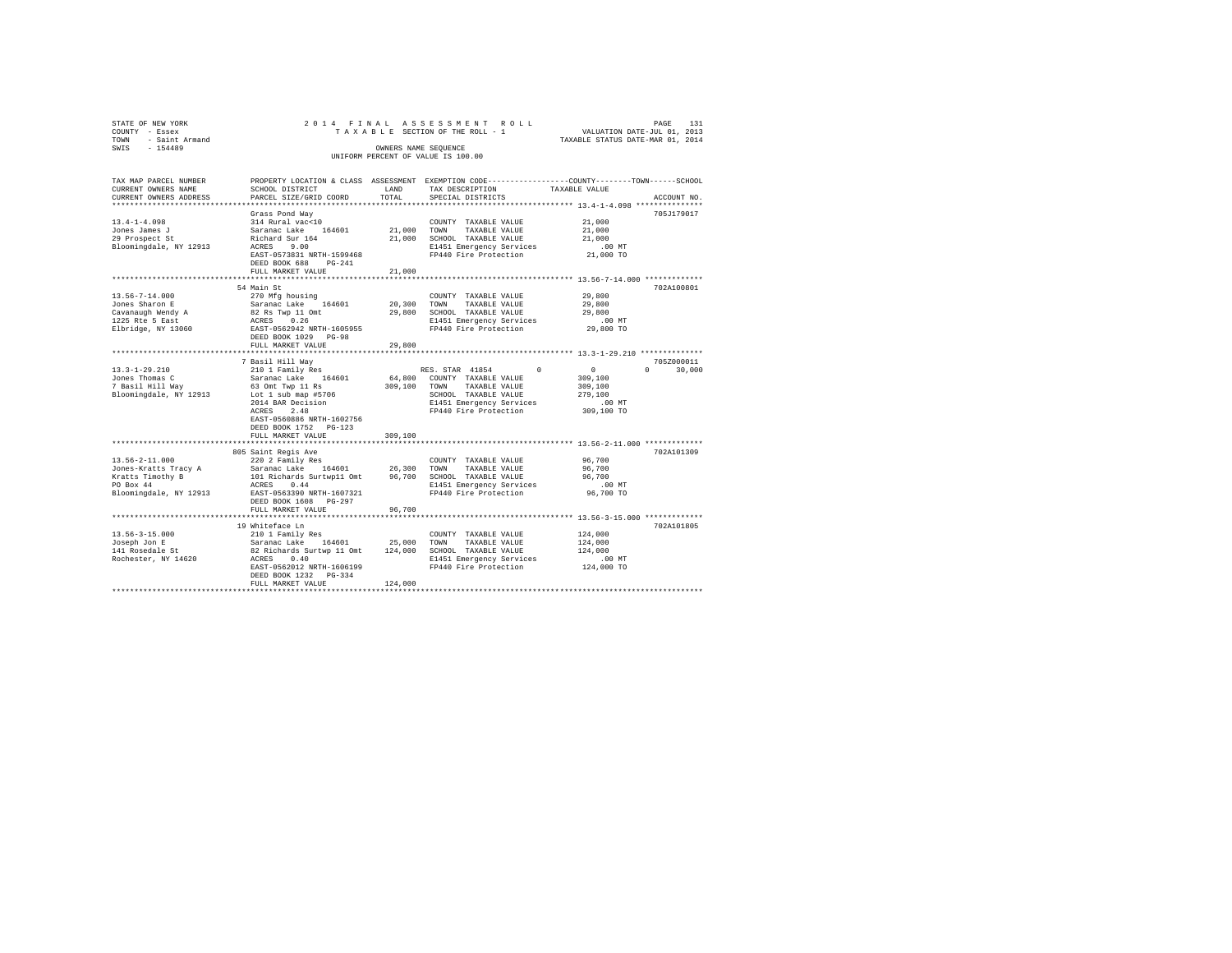| STATE OF NEW YORK                                                   |                                                                                                                                                                                                       |             |                                                                                                                                                    |                                                                |               |
|---------------------------------------------------------------------|-------------------------------------------------------------------------------------------------------------------------------------------------------------------------------------------------------|-------------|----------------------------------------------------------------------------------------------------------------------------------------------------|----------------------------------------------------------------|---------------|
| COUNTY - Essex                                                      |                                                                                                                                                                                                       |             | PAGE 131 PLAN A S S E S S M E N T R O L L<br>T A X A B L E SECTION OF THE ROLL - 1 VALUATION DATE-JUL 01, 2013<br>TAXABLE STATUS DATE-MAR 01, 2014 |                                                                |               |
| TOWN - Saint Armand                                                 |                                                                                                                                                                                                       |             |                                                                                                                                                    |                                                                |               |
| SWIS - 154489                                                       |                                                                                                                                                                                                       |             | OWNERS NAME SEOUENCE                                                                                                                               |                                                                |               |
|                                                                     |                                                                                                                                                                                                       |             | UNIFORM PERCENT OF VALUE IS 100.00                                                                                                                 |                                                                |               |
| TAX MAP PARCEL NUMBER                                               |                                                                                                                                                                                                       |             | PROPERTY LOCATION & CLASS ASSESSMENT EXEMPTION CODE---------------COUNTY-------TOWN-----SCHOOL                                                     |                                                                |               |
| CURRENT OWNERS NAME                                                 | SCHOOL DISTRICT                                                                                                                                                                                       | LAND        | TAX DESCRIPTION                                                                                                                                    | TAXABLE VALUE                                                  |               |
| CURRENT OWNERS ADDRESS                                              | PARCEL SIZE/GRID COORD                                                                                                                                                                                | TOTAL       | SPECIAL DISTRICTS                                                                                                                                  |                                                                | ACCOUNT NO.   |
| *************************                                           |                                                                                                                                                                                                       |             |                                                                                                                                                    |                                                                |               |
|                                                                     | Grass Pond Way                                                                                                                                                                                        |             |                                                                                                                                                    |                                                                | 705J179017    |
| $13.4 - 1 - 4.098$                                                  | 314 Rural vac<10                                                                                                                                                                                      |             | COUNTY TAXABLE VALUE                                                                                                                               | 21,000                                                         |               |
| Jones James J<br>29 Prospect St                                     | Saranac Lake 164601                                                                                                                                                                                   | 21,000 TOWN | TAXABLE VALUE                                                                                                                                      | 21,000                                                         |               |
|                                                                     | Richard Sur 164<br>ACRES 9.00                                                                                                                                                                         |             | 21,000 SCHOOL TAXABLE VALUE                                                                                                                        | 21,000                                                         |               |
| Bloomingdale, NY 12913                                              |                                                                                                                                                                                                       |             | E1451 Emergency Services .00 MT<br>FP440 Fire Protection 21,000 TO                                                                                 |                                                                |               |
|                                                                     | EAST-0573831 NRTH-1599468                                                                                                                                                                             |             |                                                                                                                                                    |                                                                |               |
|                                                                     | DEED BOOK 688 PG-241                                                                                                                                                                                  |             |                                                                                                                                                    |                                                                |               |
|                                                                     | FULL MARKET VALUE                                                                                                                                                                                     | 21,000      |                                                                                                                                                    |                                                                |               |
|                                                                     | 54 Main St                                                                                                                                                                                            |             |                                                                                                                                                    |                                                                | 702A100801    |
| $13.56 - 7 - 14.000$                                                | 270 Mfg housing                                                                                                                                                                                       |             | COUNTY TAXABLE VALUE                                                                                                                               | 29,800                                                         |               |
| Jones Sharon E                                                      | Saranac Lake 164601                                                                                                                                                                                   |             | 20,300 TOWN TAXABLE VALUE                                                                                                                          | 29,800                                                         |               |
|                                                                     |                                                                                                                                                                                                       |             | 29,800 SCHOOL TAXABLE VALUE                                                                                                                        | 29,800                                                         |               |
| Cavanaugh Wendy A<br>1225 Rte 5 East                                |                                                                                                                                                                                                       |             | E1451 Emergency Services                                                                                                                           | $.00$ MT                                                       |               |
| Elbridge, NY 13060                                                  | 82 Rs Twp 11 Omt<br>ACRES 0.26<br>EAST-0562942 NRTH-1605955                                                                                                                                           |             | FP440 Fire Protection                                                                                                                              | 29,800 TO                                                      |               |
|                                                                     | DEED BOOK 1029 PG-98                                                                                                                                                                                  |             |                                                                                                                                                    |                                                                |               |
|                                                                     | FULL MARKET VALUE                                                                                                                                                                                     | 29,800      |                                                                                                                                                    |                                                                |               |
|                                                                     | **********************                                                                                                                                                                                |             |                                                                                                                                                    | ******************************** 13.3-1-29.210 *************** |               |
|                                                                     | 7 Basil Hill Way                                                                                                                                                                                      |             |                                                                                                                                                    |                                                                | 705Z000011    |
| $13.3 - 1 - 29.210$                                                 |                                                                                                                                                                                                       |             | RES. STAR 41854<br>$\Omega$                                                                                                                        | $\begin{array}{c}0\\309,100\end{array}$                        | $0 \t 30,000$ |
| Jones Thomas C                                                      | 210 1 Family Res<br>Saranac Lake 164601<br>63 Omt Twp 11 Rs                                                                                                                                           |             | 64,800 COUNTY TAXABLE VALUE                                                                                                                        |                                                                |               |
|                                                                     |                                                                                                                                                                                                       |             | 309,100 TOWN TAXABLE VALUE                                                                                                                         | 309,100                                                        |               |
|                                                                     | 7 Basil Hill Way<br>Bloomingdale, NY 12913 Lot 1 sub map #5706<br>2014 BAR Decision<br>2014 BAR Decision                                                                                              |             | SCHOOL TAXABLE VALUE                                                                                                                               | 279,100                                                        |               |
|                                                                     |                                                                                                                                                                                                       |             | E1451 Emergency Services                                                                                                                           | .00 MT<br>309,100 TO                                           |               |
|                                                                     | ACRES 2.48<br>EAST-0560886 NRTH-1602756                                                                                                                                                               |             | FP440 Fire Protection                                                                                                                              |                                                                |               |
|                                                                     | DEED BOOK 1752 PG-123                                                                                                                                                                                 |             |                                                                                                                                                    |                                                                |               |
|                                                                     | FULL MARKET VALUE                                                                                                                                                                                     | 309,100     |                                                                                                                                                    |                                                                |               |
| ***********************                                             | *******************************                                                                                                                                                                       |             |                                                                                                                                                    |                                                                |               |
|                                                                     | 805 Saint Regis Ave                                                                                                                                                                                   |             |                                                                                                                                                    |                                                                | 702A101309    |
| $13.56 - 2 - 11.000$                                                | 220 2 Family Res                                                                                                                                                                                      |             | COUNTY TAXABLE VALUE                                                                                                                               | 96,700                                                         |               |
|                                                                     | Jones-Kratts Tracy A<br>Saranac Lake 164601 26,300 TOWN TAXABLE VALUE Kratts Timothy B 101 Richards Surtwp<br>1 Omt 96,700 SCRIOL TAXABLE VALUE PO Box 44 aCRES 0.44 ROUND RESERVIE<br>BREE PO BOX 49 |             |                                                                                                                                                    | 96,700                                                         |               |
|                                                                     |                                                                                                                                                                                                       |             |                                                                                                                                                    | 96,700                                                         |               |
|                                                                     |                                                                                                                                                                                                       |             | E1451 Emergency Services                                                                                                                           | 00 MT.<br>96,700 TO                                            |               |
| Bloomingdale, NY 12913                                              | EAST-0563390 NRTH-1607321                                                                                                                                                                             |             | FP440 Fire Protection                                                                                                                              |                                                                |               |
|                                                                     | DEED BOOK 1608 PG-297                                                                                                                                                                                 |             |                                                                                                                                                    |                                                                |               |
|                                                                     | FULL MARKET VALUE                                                                                                                                                                                     | 96,700      |                                                                                                                                                    |                                                                |               |
|                                                                     |                                                                                                                                                                                                       |             |                                                                                                                                                    |                                                                |               |
|                                                                     |                                                                                                                                                                                                       |             |                                                                                                                                                    |                                                                | 702A101805    |
| 13.56-3-15.000<br>13.56-3-15.000<br>Joseph Jon E<br>141 Rosedale St |                                                                                                                                                                                                       |             |                                                                                                                                                    | 124,000<br>124,000                                             |               |
|                                                                     |                                                                                                                                                                                                       |             |                                                                                                                                                    | 124,000                                                        |               |
| Rochester, NY 14620                                                 |                                                                                                                                                                                                       |             | E1451 Emergency Services                                                                                                                           | $.00$ MT                                                       |               |
|                                                                     | EAST-0562012 NRTH-1606199                                                                                                                                                                             |             | FP440 Fire Protection                                                                                                                              | 124,000 TO                                                     |               |
|                                                                     | DEED BOOK 1232 PG-334                                                                                                                                                                                 |             |                                                                                                                                                    |                                                                |               |
|                                                                     | FULL MARKET VALUE                                                                                                                                                                                     | 124,000     |                                                                                                                                                    |                                                                |               |
|                                                                     |                                                                                                                                                                                                       |             |                                                                                                                                                    |                                                                |               |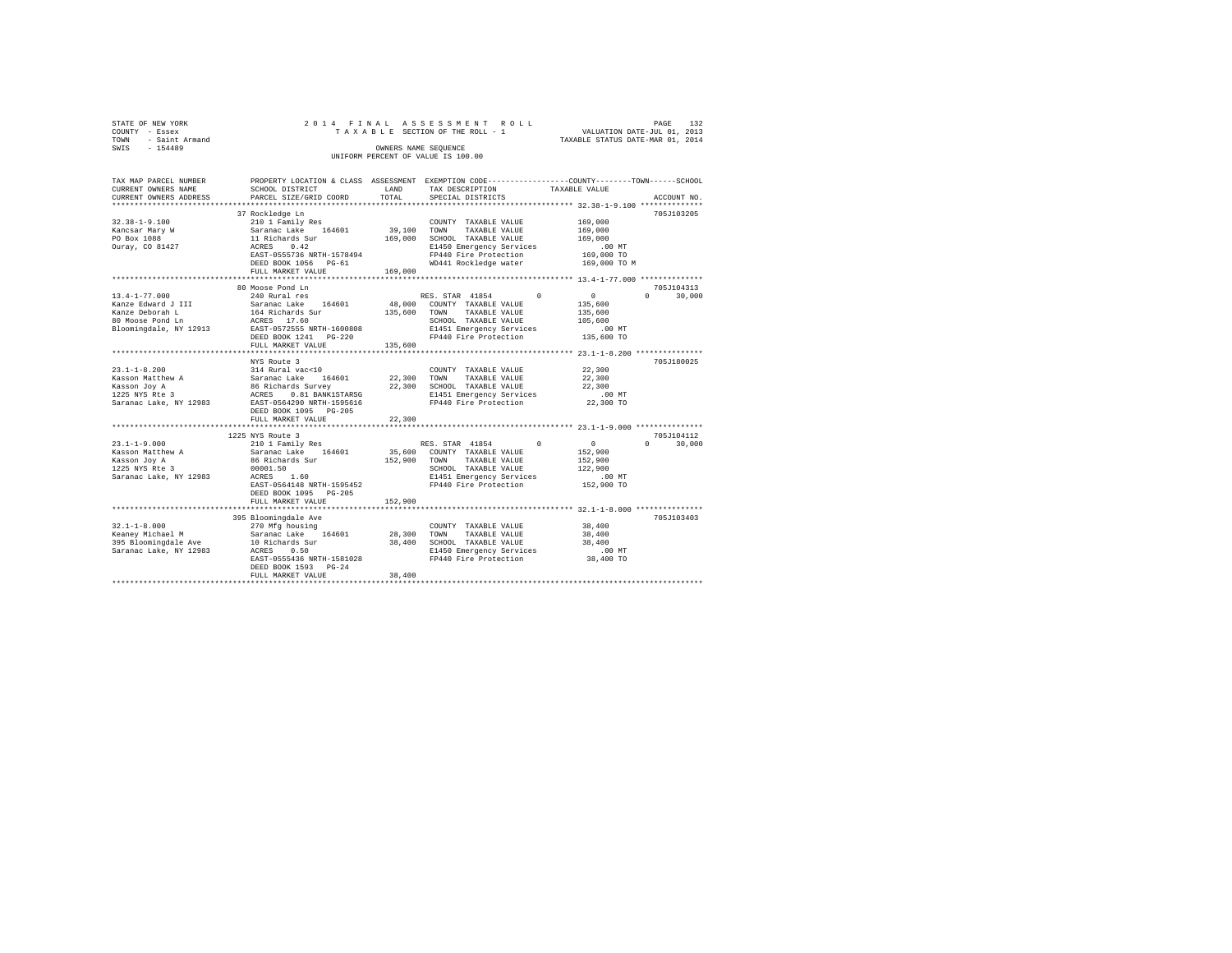|                | STATE OF NEW YORK   |  |  | 2014 FINAL ASSESSMENT ROLL         |  |                                  | PAGE | 132 |
|----------------|---------------------|--|--|------------------------------------|--|----------------------------------|------|-----|
| COUNTY - Essex |                     |  |  | TAXABLE SECTION OF THE ROLL - 1    |  | VALUATION DATE-JUL 01, 2013      |      |     |
|                | TOWN - Saint Armand |  |  |                                    |  | TAXABLE STATUS DATE-MAR 01, 2014 |      |     |
| SWIS           | $-154489$           |  |  | OWNERS NAME SEOUENCE               |  |                                  |      |     |
|                |                     |  |  | UNIFORM PERCENT OF VALUE IS 100.00 |  |                                  |      |     |
|                |                     |  |  |                                    |  |                                  |      |     |

| TAX MAP PARCEL NUMBER<br>CURRENT OWNERS NAME<br>CURRENT OWNERS ADDRESS<br>************************* | SCHOOL DISTRICT<br>PARCEL SIZE/GRID COORD                                                                                                                                                                        | LAND<br>TOTAL                                             | PROPERTY LOCATION & CLASS ASSESSMENT EXEMPTION CODE---------------COUNTY-------TOWN-----SCHOOL<br>TAX DESCRIPTION TAXABLE VALUE<br>SPECIAL DISTRICTS                    |                                                                                                | ACCOUNT NO.                      |
|-----------------------------------------------------------------------------------------------------|------------------------------------------------------------------------------------------------------------------------------------------------------------------------------------------------------------------|-----------------------------------------------------------|-------------------------------------------------------------------------------------------------------------------------------------------------------------------------|------------------------------------------------------------------------------------------------|----------------------------------|
| $32.38 - 1 - 9.100$<br>Kancsar Mary W<br>PO Box 1088<br>Ouray, CO 81427                             | 37 Rockledge Ln<br>210 1 Family Res<br>Saranac Lake 164601<br>11 Richards Sur<br>0.42<br>ACRES<br>EAST-0555736 NRTH-1578494<br>DEED BOOK 1056 PG-61<br>FULL MARKET VALUE                                         | 39,100 TOWN<br>169,000                                    | COUNTY TAXABLE VALUE<br>TAXABLE VALUE<br>169,000 SCHOOL TAXABLE VALUE<br>E1450 Emergency Services<br>FP440 Fire Protection<br>WD441 Rockledge water                     | 169,000<br>169,000<br>169,000<br>$.00$ MT<br>169,000 TO<br>169,000 TO M                        | 705J103205                       |
| $13.4 - 1 - 77.000$<br>Kanze Edward J III<br>Kanze Deborah L<br>80 Moose Pond Ln                    | 80 Moose Pond Ln<br>240 Rural res<br>Saranac Lake 164601<br>164 Richards Sur<br>ACRES 17.60<br>Bloomingdale, NY 12913 EAST-0572555 NRTH-1600808<br>DEED BOOK 1241 PG-220<br>FULL MARKET VALUE                    | 135,600 TOWN<br>135,600                                   | RES. STAR 41854<br>$\Omega$<br>48,000 COUNTY TAXABLE VALUE<br>TAXABLE VALUE<br>SCHOOL TAXABLE VALUE<br>E1451 Emergency Services<br>FP440 Fire Protection                | $\sim$ 0<br>135,600<br>135,600<br>105,600<br>$.00$ MT<br>135,600 TO                            | 705J104313<br>$\Omega$<br>30,000 |
| $23.1 - 1 - 8.200$<br>Kasson Matthew A<br>Kasson Joy A<br>1225 NYS Rte 3<br>Saranac Lake, NY 12983  | ************************<br>NYS Route 3<br>314 Rural vac<10<br>Saranac Lake<br>164601<br>86 Richards Survey<br>ACRES 0.81 BANK1STARSG<br>EAST-0564290 NRTH-1595616<br>DEED BOOK 1095 PG-205<br>FULL MARKET VALUE | ***************************<br>22,300<br>22,300<br>22,300 | COUNTY TAXABLE VALUE<br>TOWN<br>TAXABLE VALUE<br>SCHOOL TAXABLE VALUE<br>E1451 Emergency Services<br>FP440 Fire Protection                                              | ************** 23.1-1-8.200 *************<br>22,300<br>22,300<br>22,300<br>.00 MT<br>22,300 TO | 705J180025                       |
| $23.1 - 1 - 9.000$<br>Kasson Matthew A<br>Kasson Joy A<br>1225 NYS Rte 3<br>Saranac Lake, NY 12983  | 1225 NYS Route 3<br>210 1 Family Res<br>Saranac Lake 164601<br>86 Richards Sur<br>00001.50<br>ACRES<br>1.60<br>EAST-0564148 NRTH-1595452<br>DEED BOOK 1095 PG-205<br>FULL MARKET VALUE                           | 152,900                                                   | RES. STAR 41854<br>$^{\circ}$<br>35,600 COUNTY TAXABLE VALUE<br>152,900 TOWN TAXABLE VALUE<br>SCHOOL TAXABLE VALUE<br>E1451 Emergency Services<br>FP440 Fire Protection | $\sim$<br>152,900<br>152,900<br>122,900<br>.00 MT<br>152,900 TO                                | 705J104112<br>30,000<br>$\cap$   |
| $32.1 - 1 - 8.000$<br>Keaney Michael M<br>395 Bloomingdale Ave<br>Saranac Lake, NY 12983            | 395 Bloomingdale Ave<br>270 Mfg housing<br>Saranac Lake 164601<br>10 Richards Sur<br>ACRES<br>0.50<br>EAST-0555436 NRTH-1581028<br>DEED BOOK 1593 PG-24<br>FULL MARKET VALUE                                     | 28,300<br>38,400<br>38,400                                | COUNTY TAXABLE VALUE<br>TOWN<br>TAXABLE VALUE<br>SCHOOL TAXABLE VALUE<br>E1450 Emergency Services<br>FP440 Fire Protection                                              | 38,400<br>38,400<br>38,400<br>.00MT<br>38,400 TO                                               | 705J103403                       |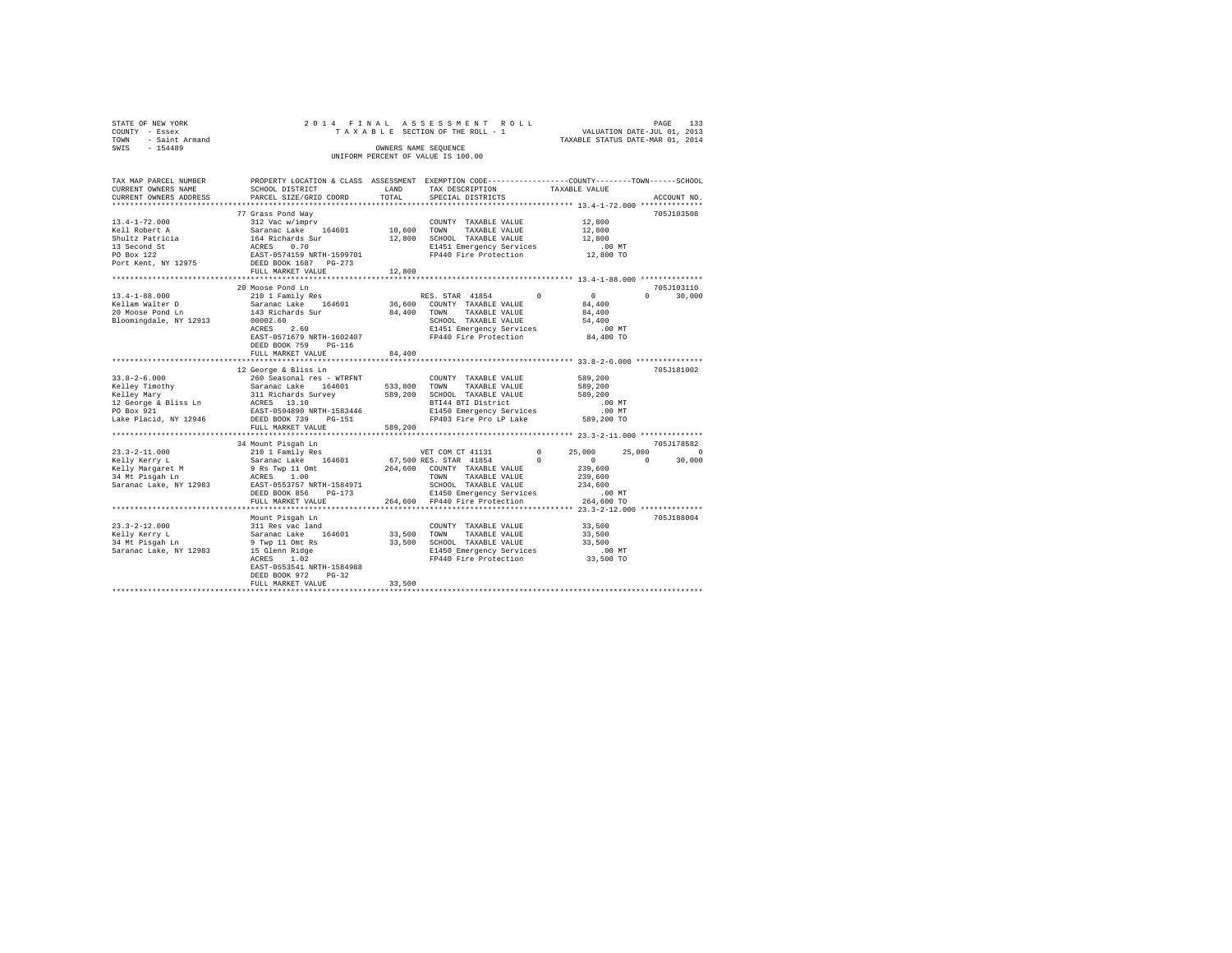| STATE OF NEW YORK      | 2014 FINAL ASSESSMENT ROLL |  |  |                                    |  |  |  |  |                                  |                             | PAGE | 133 |
|------------------------|----------------------------|--|--|------------------------------------|--|--|--|--|----------------------------------|-----------------------------|------|-----|
| COUNTY - Essex         |                            |  |  | TAXABLE SECTION OF THE ROLL - 1    |  |  |  |  |                                  | VALUATION DATE-JUL 01, 2013 |      |     |
| - Saint Armand<br>TOWN |                            |  |  |                                    |  |  |  |  | TAXABLE STATUS DATE-MAR 01, 2014 |                             |      |     |
| SWTS<br>$-154489$      |                            |  |  | OWNERS NAME SEOUENCE               |  |  |  |  |                                  |                             |      |     |
|                        |                            |  |  | UNIFORM PERCENT OF VALUE IS 100.00 |  |  |  |  |                                  |                             |      |     |

| TAX MAP PARCEL NUMBER                                                                                                                                                                                                                                                                                                                                                                        | PROPERTY LOCATION & CLASS ASSESSMENT EXEMPTION CODE----------------COUNTY-------TOWN-----SCHOOL                                                                                                                         |         |                                                                                                                           |                                                        |                                        |                    |
|----------------------------------------------------------------------------------------------------------------------------------------------------------------------------------------------------------------------------------------------------------------------------------------------------------------------------------------------------------------------------------------------|-------------------------------------------------------------------------------------------------------------------------------------------------------------------------------------------------------------------------|---------|---------------------------------------------------------------------------------------------------------------------------|--------------------------------------------------------|----------------------------------------|--------------------|
| CURRENT OWNERS NAME                                                                                                                                                                                                                                                                                                                                                                          | SCHOOL DISTRICT                                                                                                                                                                                                         | LAND    | TAX DESCRIPTION                                                                                                           | TAXABLE VALUE                                          |                                        |                    |
| CURRENT OWNERS ADDRESS                                                                                                                                                                                                                                                                                                                                                                       | PARCEL SIZE/GRID COORD                                                                                                                                                                                                  | TOTAL   | SPECIAL DISTRICTS                                                                                                         |                                                        |                                        | ACCOUNT NO.        |
|                                                                                                                                                                                                                                                                                                                                                                                              |                                                                                                                                                                                                                         |         |                                                                                                                           |                                                        |                                        |                    |
|                                                                                                                                                                                                                                                                                                                                                                                              | 77 Grass Pond Way                                                                                                                                                                                                       |         |                                                                                                                           |                                                        |                                        | 705J103508         |
|                                                                                                                                                                                                                                                                                                                                                                                              |                                                                                                                                                                                                                         |         | COUNTY TAXABLE VALUE                                                                                                      |                                                        | 12,800<br>12,800                       |                    |
|                                                                                                                                                                                                                                                                                                                                                                                              |                                                                                                                                                                                                                         |         | TAXABLE VALUE                                                                                                             |                                                        |                                        |                    |
|                                                                                                                                                                                                                                                                                                                                                                                              |                                                                                                                                                                                                                         |         | 12,800 SCHOOL TAXABLE VALUE                                                                                               |                                                        | 12,800<br>.00 MT                       |                    |
|                                                                                                                                                                                                                                                                                                                                                                                              |                                                                                                                                                                                                                         |         | E1451 Emergency Services                                                                                                  |                                                        |                                        |                    |
|                                                                                                                                                                                                                                                                                                                                                                                              |                                                                                                                                                                                                                         |         | FP440 Fire Protection                                                                                                     |                                                        | 12,800 TO                              |                    |
| $[13.4-1-72.000] \begin{tabular}{lcccc} 13.4-1-72.000 & .00087 & .00087 \\ \mbox{Roll Robert A} & 312 \text{ Vac} \text{ w/imprv} & .0000700 \\ \mbox{Shullz} \text{ Z} \text{R} \text{tricia} & 164 \text{ Richards} \text{ S} \text{ur} & 12,800 \text{ SCHO} \\ \mbox{Shullz} \text{ P} \text{R} \text{tricia} & 164 \text{ Richards} \text{ S} \text{ur} & 12,800 \text{ SCHO} \\ \mbox$ |                                                                                                                                                                                                                         |         |                                                                                                                           |                                                        |                                        |                    |
|                                                                                                                                                                                                                                                                                                                                                                                              | FULL MARKET VALUE                                                                                                                                                                                                       | 12,800  |                                                                                                                           |                                                        |                                        |                    |
|                                                                                                                                                                                                                                                                                                                                                                                              |                                                                                                                                                                                                                         |         |                                                                                                                           |                                                        |                                        |                    |
|                                                                                                                                                                                                                                                                                                                                                                                              | 20 Moose Pond Ln                                                                                                                                                                                                        |         |                                                                                                                           |                                                        |                                        | 705J103110         |
| $13.4 - 1 - 88.000$                                                                                                                                                                                                                                                                                                                                                                          |                                                                                                                                                                                                                         |         | RES. STAR 41854 0                                                                                                         |                                                        | $\begin{array}{c}0\\84,400\end{array}$ | 30,000<br>$\Omega$ |
| Kellam Walter D                                                                                                                                                                                                                                                                                                                                                                              |                                                                                                                                                                                                                         |         |                                                                                                                           |                                                        |                                        |                    |
| 20 Moose Pond Ln                                                                                                                                                                                                                                                                                                                                                                             | $34,400 \quad \textbf{TONN} \quad \textbf{EXAMPLE} \quad \textbf{VALUE} \\ 00002.60 \quad \textbf{SCHOOL} \quad \textbf{TAXABLE} \quad \textbf{VALUE} \\ \textbf{SCHOOL} \quad \textbf{TXABLE} \quad \textbf{VALUE} \\$ |         |                                                                                                                           |                                                        | 84,400                                 |                    |
| Bloomingdale, NY 12913                                                                                                                                                                                                                                                                                                                                                                       |                                                                                                                                                                                                                         |         |                                                                                                                           |                                                        | 54,400                                 |                    |
|                                                                                                                                                                                                                                                                                                                                                                                              | ACRES<br>2.60                                                                                                                                                                                                           |         | E1451 Emergency Services .00 MT<br>FP440 Fire Protection .04,400 TO                                                       |                                                        |                                        |                    |
|                                                                                                                                                                                                                                                                                                                                                                                              | EAST-0571679 NRTH-1602407                                                                                                                                                                                               |         |                                                                                                                           |                                                        |                                        |                    |
|                                                                                                                                                                                                                                                                                                                                                                                              | DEED BOOK 759<br>PG-116                                                                                                                                                                                                 |         |                                                                                                                           |                                                        |                                        |                    |
|                                                                                                                                                                                                                                                                                                                                                                                              | FULL MARKET VALUE                                                                                                                                                                                                       | 84,400  |                                                                                                                           |                                                        |                                        |                    |
|                                                                                                                                                                                                                                                                                                                                                                                              |                                                                                                                                                                                                                         |         |                                                                                                                           |                                                        |                                        |                    |
|                                                                                                                                                                                                                                                                                                                                                                                              | 12 George & Bliss Ln                                                                                                                                                                                                    |         |                                                                                                                           |                                                        |                                        | 705J181002         |
|                                                                                                                                                                                                                                                                                                                                                                                              |                                                                                                                                                                                                                         |         |                                                                                                                           |                                                        | 589,200<br>589,200                     |                    |
|                                                                                                                                                                                                                                                                                                                                                                                              |                                                                                                                                                                                                                         |         |                                                                                                                           |                                                        | 589,200                                |                    |
|                                                                                                                                                                                                                                                                                                                                                                                              |                                                                                                                                                                                                                         |         | SCHOOL THARBLE VALUE<br>BTI44 BTIDistrict 50 00 MT<br>E1450 Emergency Services 00 MT<br>FP403 Fire Pro LP Lake 589,200 TO |                                                        |                                        |                    |
|                                                                                                                                                                                                                                                                                                                                                                                              |                                                                                                                                                                                                                         |         |                                                                                                                           |                                                        |                                        |                    |
| Lake Placid, NY 12946 DEED BOOK 739 PG-151                                                                                                                                                                                                                                                                                                                                                   |                                                                                                                                                                                                                         |         |                                                                                                                           |                                                        |                                        |                    |
|                                                                                                                                                                                                                                                                                                                                                                                              | FULL MARKET VALUE                                                                                                                                                                                                       | 589,200 |                                                                                                                           |                                                        |                                        |                    |
|                                                                                                                                                                                                                                                                                                                                                                                              |                                                                                                                                                                                                                         |         |                                                                                                                           |                                                        |                                        |                    |
|                                                                                                                                                                                                                                                                                                                                                                                              | 34 Mount Pisqah Ln                                                                                                                                                                                                      |         |                                                                                                                           |                                                        |                                        | 705J178582         |
|                                                                                                                                                                                                                                                                                                                                                                                              |                                                                                                                                                                                                                         |         | VET COM CT 41131 0                                                                                                        |                                                        | 25,000<br>25,000                       | $\sim$ 0           |
|                                                                                                                                                                                                                                                                                                                                                                                              |                                                                                                                                                                                                                         |         |                                                                                                                           | $\begin{array}{ccc} & & & 0 & \quad & & 0 \end{array}$ |                                        | $\Omega$<br>30,000 |
|                                                                                                                                                                                                                                                                                                                                                                                              |                                                                                                                                                                                                                         |         |                                                                                                                           |                                                        |                                        |                    |
|                                                                                                                                                                                                                                                                                                                                                                                              |                                                                                                                                                                                                                         |         |                                                                                                                           |                                                        | 239,600<br>239,600                     |                    |
|                                                                                                                                                                                                                                                                                                                                                                                              |                                                                                                                                                                                                                         |         |                                                                                                                           |                                                        |                                        |                    |
|                                                                                                                                                                                                                                                                                                                                                                                              |                                                                                                                                                                                                                         |         |                                                                                                                           |                                                        | 234,600<br>.00 MT                      |                    |
|                                                                                                                                                                                                                                                                                                                                                                                              | FULL MARKET VALUE                                                                                                                                                                                                       |         | 264,600 FP440 Fire Protection                                                                                             |                                                        | 264,600 TO                             |                    |
|                                                                                                                                                                                                                                                                                                                                                                                              |                                                                                                                                                                                                                         |         |                                                                                                                           |                                                        |                                        |                    |
|                                                                                                                                                                                                                                                                                                                                                                                              | Mount Pisgah Ln                                                                                                                                                                                                         |         |                                                                                                                           |                                                        |                                        | 705J188004         |
| $23.3 - 2 - 12.000$                                                                                                                                                                                                                                                                                                                                                                          | $311$ Res vac land                                                                                                                                                                                                      |         | COUNTY TAXABLE VALUE 33,500                                                                                               |                                                        |                                        |                    |
| Kelly Kerry L                                                                                                                                                                                                                                                                                                                                                                                |                                                                                                                                                                                                                         |         | 33.500 TOWN<br>TAXABLE VALUE                                                                                              |                                                        | 33,500                                 |                    |
| 34 Mt Pisgah Ln                                                                                                                                                                                                                                                                                                                                                                              | Saranac Lake 164601<br>9 Twp 11 Omt Rs                                                                                                                                                                                  |         | 33,500 SCHOOL TAXABLE VALUE 33,500                                                                                        |                                                        |                                        |                    |
| Saranac Lake, NY 12983                                                                                                                                                                                                                                                                                                                                                                       | 15 Glenn Ridge<br>Romme 1.02                                                                                                                                                                                            |         | E1450 Emergency Services                                                                                                  |                                                        | $.00$ MT                               |                    |
|                                                                                                                                                                                                                                                                                                                                                                                              |                                                                                                                                                                                                                         |         | FP440 Fire Protection 33,500 TO                                                                                           |                                                        |                                        |                    |
|                                                                                                                                                                                                                                                                                                                                                                                              | EAST-0553541 NRTH-1584988                                                                                                                                                                                               |         |                                                                                                                           |                                                        |                                        |                    |
|                                                                                                                                                                                                                                                                                                                                                                                              | DEED BOOK 972<br>$PG-32$                                                                                                                                                                                                |         |                                                                                                                           |                                                        |                                        |                    |
|                                                                                                                                                                                                                                                                                                                                                                                              | FULL MARKET VALUE                                                                                                                                                                                                       | 33,500  |                                                                                                                           |                                                        |                                        |                    |
|                                                                                                                                                                                                                                                                                                                                                                                              |                                                                                                                                                                                                                         |         |                                                                                                                           |                                                        |                                        |                    |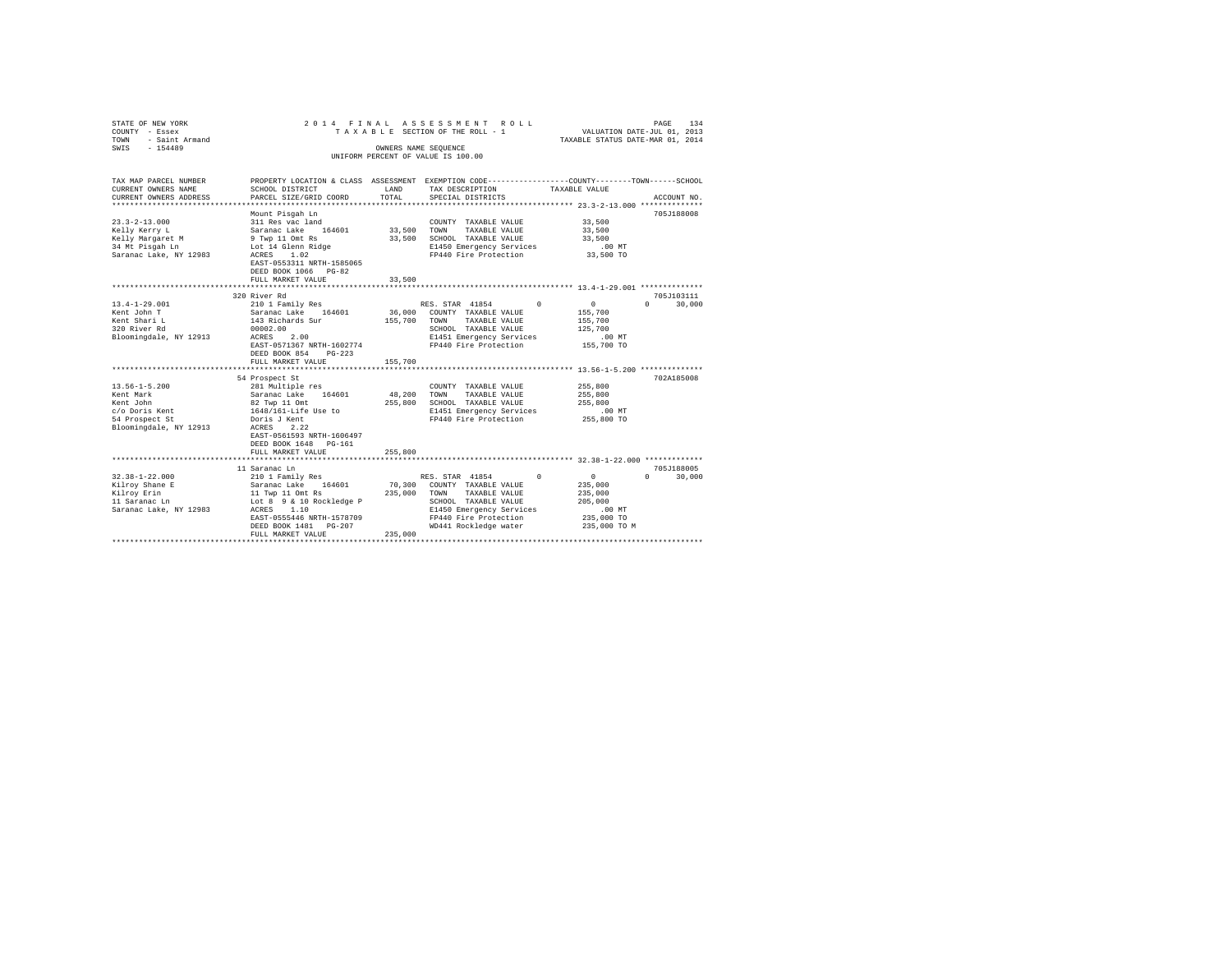|                                                                                                                                                                                                                                                                                                        |                                                                                                                                                                                        |                                                                                                                                                                                                                      | PAGE<br>134<br>VALUATION DATE-JUL 01, 2013<br>TAXABLE STATUS DATE-MAR 01, 2014                                                                                                                                                                                                                                                                                                                                                                   |
|--------------------------------------------------------------------------------------------------------------------------------------------------------------------------------------------------------------------------------------------------------------------------------------------------------|----------------------------------------------------------------------------------------------------------------------------------------------------------------------------------------|----------------------------------------------------------------------------------------------------------------------------------------------------------------------------------------------------------------------|--------------------------------------------------------------------------------------------------------------------------------------------------------------------------------------------------------------------------------------------------------------------------------------------------------------------------------------------------------------------------------------------------------------------------------------------------|
| SCHOOL DISTRICT<br>PARCEL SIZE/GRID COORD                                                                                                                                                                                                                                                              | LAND<br>TOTAL                                                                                                                                                                          | TAX DESCRIPTION<br>SPECIAL DISTRICTS                                                                                                                                                                                 | TAXABLE VALUE<br>ACCOUNT NO.                                                                                                                                                                                                                                                                                                                                                                                                                     |
| Mount Pisgah Ln<br>311 Res vac land<br>Saranac Lake 164601<br>9 Twp 11 Omt Rs<br>Lot 14 Glenn Ridge<br>ACRES 1.02<br>EAST-0553311 NRTH-1585065<br>DEED BOOK 1066 PG-82<br>FULL MARKET VALUE                                                                                                            | 33,500                                                                                                                                                                                 | COUNTY TAXABLE VALUE<br>TAXABLE VALUE<br>E1450 Emergency Services<br>FP440 Fire Protection                                                                                                                           | 705J188008<br>33,500<br>33,500<br>33,500<br>$.00$ MT<br>33,500 TO                                                                                                                                                                                                                                                                                                                                                                                |
|                                                                                                                                                                                                                                                                                                        |                                                                                                                                                                                        |                                                                                                                                                                                                                      |                                                                                                                                                                                                                                                                                                                                                                                                                                                  |
| 210 1 Family Res<br>Saranac Lake 164601<br>143 Richards Sur<br>00002.00<br>ACRES<br>2.00<br>EAST-0571367 NRTH-1602774<br>DEED BOOK 854<br>$PG-223$<br>FULL MARKET VALUE<br>281 Multiple res<br>Saranac Lake 164601<br>Doris J Kent<br>ACRES 2.22<br>EAST-0561593 NRTH-1606497<br>DEED BOOK 1648 PG-161 | 155,700                                                                                                                                                                                | $\Omega$<br>TAXABLE VALUE<br>TOWN<br>SCHOOL TAXABLE VALUE<br>E1451 Emergency Services<br>FP440 Fire Protection<br>COUNTY TAXABLE VALUE<br>TOWN<br>TAXABLE VALUE<br>E1451 Emergency Services<br>FP440 Fire Protection | 705J103111<br>$\sim$ 0<br>$\Omega$<br>30,000<br>155,700<br>155,700<br>125,700<br>.00 MT<br>155,700 TO<br>702A185008<br>255,800<br>255,800<br>255,800<br>.00 MT<br>255,800 TO                                                                                                                                                                                                                                                                     |
| FULL MARKET VALUE                                                                                                                                                                                                                                                                                      | 255,800                                                                                                                                                                                |                                                                                                                                                                                                                      |                                                                                                                                                                                                                                                                                                                                                                                                                                                  |
| Lot 8 9 & 10 Rockledge P<br>1.10<br>ACRES<br>EAST-0555446 NRTH-1578709<br>DEED BOOK 1481 PG-207<br>FULL MARKET VALUE                                                                                                                                                                                   | 235,000                                                                                                                                                                                | $\Omega$<br>TOWN<br>TAXABLE VALUE<br>SCHOOL TAXABLE VALUE<br>E1450 Emergency Services<br>FP440 Fire Protection<br>WD441 Rockledge water                                                                              | 705J188005<br>$\sim$ 0<br>$\Omega$<br>30,000<br>235,000<br>235,000<br>205,000<br>.00MT<br>235,000 TO<br>235,000 TO M                                                                                                                                                                                                                                                                                                                             |
|                                                                                                                                                                                                                                                                                                        | 320 River Rd<br>54 Prospect St<br>82 Twp 11 Omt<br>1648/161-Life Use to<br>***************************<br>11 Saranac Ln<br>210 1 Family Res<br>Saranac Lake 164601<br>11 Twp 11 Omt Rs |                                                                                                                                                                                                                      | 2014 FINAL ASSESSMENT ROLL<br>TAXABLE SECTION OF THE ROLL - 1<br>OWNERS NAME SEQUENCE<br>UNIFORM PERCENT OF VALUE IS 100.00<br>PROPERTY LOCATION & CLASS ASSESSMENT EXEMPTION CODE---------------COUNTY-------TOWN------SCHOOL<br>33,500 TOWN<br>33,500 SCHOOL TAXABLE VALUE<br>RES. STAR 41854<br>36,000 COUNTY TAXABLE VALUE<br>155,700<br>48,200<br>255,800 SCHOOL TAXABLE VALUE<br>RES. STAR 41854<br>70,300 COUNTY TAXABLE VALUE<br>235,000 |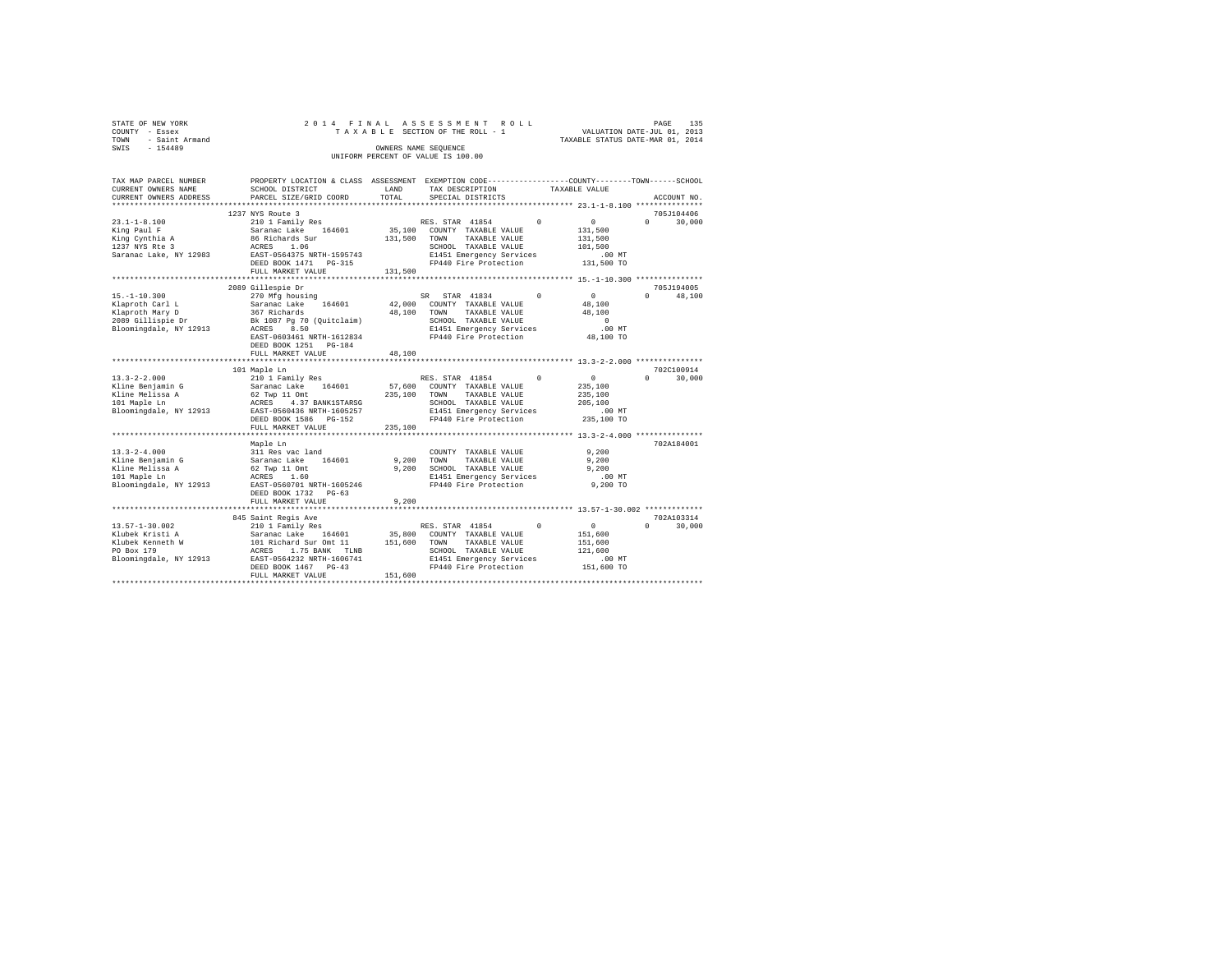| STATE OF NEW YORK   | 2014 FINAL ASSESSMENT ROLL         | PAGE                             | 135 |
|---------------------|------------------------------------|----------------------------------|-----|
| COUNTY - Essex      | TAXABLE SECTION OF THE ROLL - 1    | VALUATION DATE-JUL 01, 2013      |     |
| TOWN - Saint Armand |                                    | TAXABLE STATUS DATE-MAR 01, 2014 |     |
| SWIS<br>$-154489$   | OWNERS NAME SEOUENCE               |                                  |     |
|                     | UNIFORM PERCENT OF VALUE IS 100.00 |                                  |     |

| TAX MAP PARCEL NUMBER<br>CURRENT OWNERS NAME                                                                 | PROPERTY LOCATION & CLASS ASSESSMENT EXEMPTION CODE---------------COUNTY-------TOWN-----SCHOOL<br>SCHOOL DISTRICT                                                                                                                                                                                                                                                                                                                                               | LAND                    | TAX DESCRIPTION                                                                                                                                           | TAXABLE VALUE                                                                |                                           |
|--------------------------------------------------------------------------------------------------------------|-----------------------------------------------------------------------------------------------------------------------------------------------------------------------------------------------------------------------------------------------------------------------------------------------------------------------------------------------------------------------------------------------------------------------------------------------------------------|-------------------------|-----------------------------------------------------------------------------------------------------------------------------------------------------------|------------------------------------------------------------------------------|-------------------------------------------|
| CURRENT OWNERS ADDRESS                                                                                       | PARCEL SIZE/GRID COORD                                                                                                                                                                                                                                                                                                                                                                                                                                          | TOTAL                   | SPECIAL DISTRICTS                                                                                                                                         |                                                                              | ACCOUNT NO.                               |
|                                                                                                              | 1237 NYS Route 3                                                                                                                                                                                                                                                                                                                                                                                                                                                |                         |                                                                                                                                                           |                                                                              | 705J104406                                |
| $23.1 - 1 - 8.100$<br>King Paul F<br>King Cynthia A<br>King Cynthia A<br>1237 NYS Rte 3                      | 210 1 Family Res<br>Saranac Lake 164601<br>86 Richards Sur<br>ACRES 1.06<br>Saranac Lake, NY 12983 EAST-0564375 NRTH-1595743<br>DEED BOOK 1471    PG-315<br>FULL MARKET VALUE                                                                                                                                                                                                                                                                                   | 131,500 TOWN<br>131,500 | RES. STAR 41854 0<br>35,100 COUNTY TAXABLE VALUE<br>TAXABLE VALUE<br>SCHOOL TAXABLE VALUE<br>E1451 Emergency Services<br>FP440 Fire Protection            | $\sim$ 0<br>131,500<br>131,500<br>101,500<br>.00MT<br>131,500 TO             | $\Omega$<br>30,000                        |
|                                                                                                              |                                                                                                                                                                                                                                                                                                                                                                                                                                                                 |                         |                                                                                                                                                           |                                                                              |                                           |
| $15. - 1 - 10.300$                                                                                           | 2089 Gillespie Dr<br>270 Mfg housing<br>Example 164601 12000 COUNTY TAXABLE VALUE<br>164601 12000 COUNTY TAXABLE VALUE<br>2009 Gillispie Dr 16 1087 Pg 70 (Quitclaim) 16, 1000 TOWN TAXABLE VALUE<br>2009 Blog 11 12913 16 1087 Pg 70 (Quitclaim) 16, 1000 EXABLE VALUE<br>214<br>EAST-0603461 NRTH-1612834<br>DEED BOOK 1251 PG-184<br>FULL MARKET VALUE                                                                                                       | 48,100                  | SR STAR 41834<br>TAXABLE VALUE<br>SCHOOL TAXABLE VALUE<br>E1451 Emergency Services<br>FP440 Fire Protection                                               | $\sim$ 0<br>$^{\circ}$<br>48,100<br>48,100<br>$\Omega$<br>.00MT<br>48,100 TO | 705J194005<br>$0 \qquad \qquad$<br>48,100 |
|                                                                                                              | ****************************                                                                                                                                                                                                                                                                                                                                                                                                                                    |                         |                                                                                                                                                           |                                                                              |                                           |
|                                                                                                              | 101 Maple Ln<br>DEED BOOK 1586    PG-152<br>FULL MARKET VALUE                                                                                                                                                                                                                                                                                                                                                                                                   | 235,100 TOWN<br>235,100 | RES. STAR 41854 0<br>57,600 COUNTY TAXABLE VALUE<br>TAXABLE VALUE<br>SCHOOL TAXABLE VALUE<br>E1451 Emergency Services<br>FP440 Fire Protection 235,100 TO | $\sim$ 0<br>235,100<br>235,100<br>205,100<br>$.00$ MT                        | 702C100914<br>$\Omega$<br>30,000          |
|                                                                                                              | *********************                                                                                                                                                                                                                                                                                                                                                                                                                                           |                         |                                                                                                                                                           | ***************************** 13.3-2-4.000 ***************                   |                                           |
| $13.3 - 2 - 4.000$<br>Kline Benjamin G<br>Kline Melissa A<br>101 Maple Ln                                    | Maple Ln<br>311 Res vac land<br>Saranac Lake 164601<br>62 Twp 11 Omt<br>ACRES 1.60<br>Bloomingdale, NY 12913 EAST-0560701 NRTH-1605246<br>DEED BOOK 1732 PG-63                                                                                                                                                                                                                                                                                                  |                         | COUNTY TAXABLE VALUE<br>9,200 TOWN<br>TAXABLE VALUE<br>9,200 SCHOOL TAXABLE VALUE<br>E1451 Emergency Services<br>FP440 Fire Protection                    | 9,200<br>9,200<br>9.200<br>$.00$ MT<br>9,200 TO                              | 702A184001                                |
|                                                                                                              | FULL MARKET VALUE                                                                                                                                                                                                                                                                                                                                                                                                                                               | 9,200                   |                                                                                                                                                           |                                                                              |                                           |
| $13.57 - 1 - 30.002$<br>Klubek Kristi A<br>Klubek Kenneth W<br>eth W<br>PO Box 179<br>Bloomingdale, NY 12913 | 845 Saint Regis Ave<br>$\begin{tabular}{c c c c} \multicolumn{1}{c}{\textbf{845 Saintc ergus n-} \multicolumn{1}{c}{\textbf{849 Saintc ergus}} \multicolumn{1}{c}{\textbf{849 Saitc} \multicolumn{1}{c}{\textbf{849 Saitc} \multicolumn{1}{c}{\textbf{849 Saitc} \multicolumn{1}{c}{\textbf{849 Saitc} \multicolumn{1}{c}{\textbf{849 Saitc} \multicolumn{1}{c}{\textbf{849 Saitc} \multicolumn{1}{c}{\textbf{849 Saitc} \multicolumn{1}{c}{\textbf{849 Saitc}$ |                         |                                                                                                                                                           |                                                                              | 702A103314<br>$0 \qquad \qquad$<br>30,000 |
|                                                                                                              |                                                                                                                                                                                                                                                                                                                                                                                                                                                                 | 151,600                 |                                                                                                                                                           |                                                                              |                                           |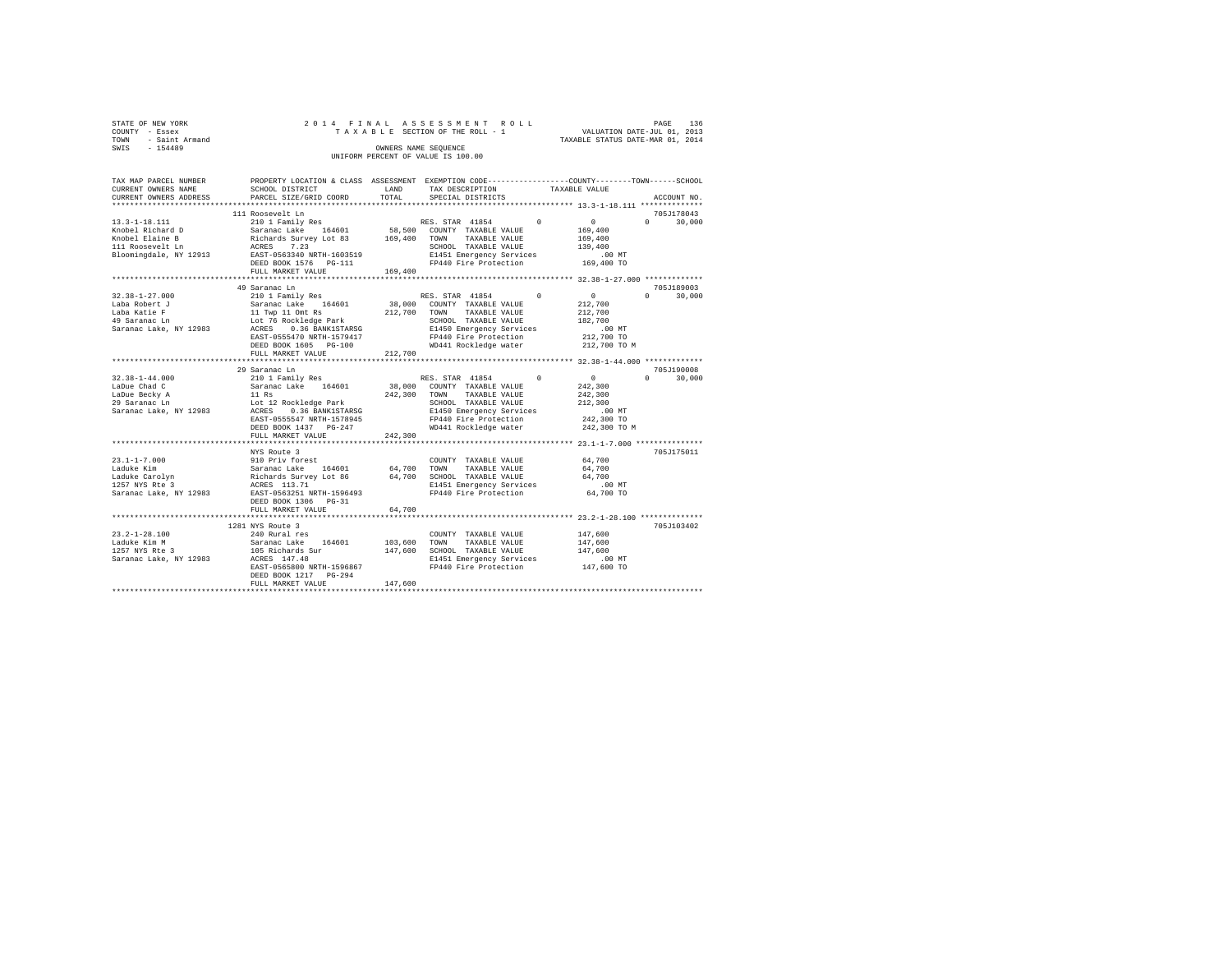| STATE OF NEW YORK   | 2014 FINAL ASSESSMENT ROLL         | PAGE                             | 136 |
|---------------------|------------------------------------|----------------------------------|-----|
| COUNTY - Essex      | TAXABLE SECTION OF THE ROLL - 1    | VALUATION DATE-JUL 01, 2013      |     |
| TOWN - Saint Armand |                                    | TAXABLE STATUS DATE-MAR 01, 2014 |     |
| SWIS<br>$-154489$   | OWNERS NAME SEOUENCE               |                                  |     |
|                     | UNIFORM PERCENT OF VALUE IS 100.00 |                                  |     |

| TAX MAP PARCEL NUMBER<br>CURRENT OWNERS NAME                                                                                       | PROPERTY LOCATION & CLASS ASSESSMENT EXEMPTION CODE----------------COUNTY-------TOWN-----SCHOOL<br>SCHOOL DISTRICT                                                                                                                                                  | LAND<br>TOTAL           | TAX DESCRIPTION                                                                                                                                                                                    | TAXABLE VALUE                                                                                                 |                                                                               |
|------------------------------------------------------------------------------------------------------------------------------------|---------------------------------------------------------------------------------------------------------------------------------------------------------------------------------------------------------------------------------------------------------------------|-------------------------|----------------------------------------------------------------------------------------------------------------------------------------------------------------------------------------------------|---------------------------------------------------------------------------------------------------------------|-------------------------------------------------------------------------------|
| CURRENT OWNERS ADDRESS<br>**********************                                                                                   | PARCEL SIZE/GRID COORD                                                                                                                                                                                                                                              |                         | SPECIAL DISTRICTS                                                                                                                                                                                  |                                                                                                               | ACCOUNT NO.                                                                   |
|                                                                                                                                    | 111 Roosevelt Ln                                                                                                                                                                                                                                                    |                         |                                                                                                                                                                                                    |                                                                                                               | 705J178043                                                                    |
| $13.3 - 1 - 18.111$<br>Knobel Richard D<br>Knobel Elaine B<br>111 Roosevelt Ln<br>Bloomingdale, NY 12913 EAST-0563340 NRTH-1603519 | 210 1 Family Res<br>Saranac Lake 164601<br>Richards Survey Lot 83 169,400<br>ACRES 7.23 169,400<br>DEED BOOK 1576 PG-111<br>FULL MARKET VALUE                                                                                                                       | 169,400                 | RES. STAR 41854<br>58,500 COUNTY TAXABLE VALUE<br>TAXABLE VALUE<br>TOWN<br>SCHOOL TAXABLE VALUE<br>E1451 Emergency Services<br>FP440 Fire Protection                                               | $\Omega$<br>$\sim$ 0<br>169,400<br>169,400<br>139,400<br>.00 MT<br>169,400 TO                                 | $\Omega$<br>30,000                                                            |
|                                                                                                                                    |                                                                                                                                                                                                                                                                     |                         |                                                                                                                                                                                                    |                                                                                                               |                                                                               |
| $32.38 - 1 - 27.000$<br>Laba Robert J<br>Laba Katie F<br>49 Saranac Ln<br>Saranac Lake, NY 12983<br>$32.38 - 1 - 44.000$           | 49 Saranac Ln<br>210 1 Family Res<br>Saranac Lake 164601<br>11 Twp 11 Omt Rs<br>Lot 76 Rockledge Park<br>ACRES 0.36 BANK1STARSO<br>0.36 BANK1STARSG<br>EAST-0555470 NRTH-1579417<br>DEED BOOK 1605 PG-100<br>FULL MARKET VALUE<br>29 Saranac Ln<br>210 1 Family Res | 212,700<br>212,700      | RES. STAR 41854 0<br>38,000 COUNTY TAXABLE VALUE<br>TOWN<br>TAXABLE VALUE<br>SCHOOL TAXABLE VALUE<br>E1450 Emergency Services<br>FP440 Fire Protection<br>WD441 Rockledge water<br>RES. STAR 41854 | $\sim$ 0<br>212,700<br>212,700<br>182,700<br>$.00$ MT<br>212,700 TO<br>212,700 TO M<br>$\sim$ 0<br>$^{\circ}$ | 705J189003<br>$0 \qquad \qquad$<br>30,000<br>705J190008<br>$\Omega$<br>30,000 |
| LaDue Chad C<br>LaDue Becky A<br>29 Saranac Ln<br>Saranac Lake, NY 12983                                                           | Saranac Lake 164601<br>11 Rs<br>Lot 12 Rockledge Park<br>ACRES 0.36 BANK1STARSG<br>EAST-0555547 NRTH-1578945<br>DEED BOOK 1437 PG-247<br>FULL MARKET VALUE                                                                                                          | 242,300 TOWN<br>242,300 | 38,000 COUNTY TAXABLE VALUE<br>TAXABLE VALUE<br>SCHOOL TAXABLE VALUE<br>E1450 Emergency Services<br>FP440 Fire Protection<br>WD441 Rockledge water                                                 | 242,300<br>242,300<br>212,300<br>$.00$ MT<br>242,300 TO<br>242,300 TO M                                       |                                                                               |
|                                                                                                                                    | NYS Route 3                                                                                                                                                                                                                                                         |                         |                                                                                                                                                                                                    |                                                                                                               | 705J175011                                                                    |
| $23.1 - 1 - 7.000$<br>Laduke Kim<br>Laduke Carolyn<br>1257 NYS Rte 3<br>Saranac Lake, NY 12983                                     | 910 Priv forest<br>Saranac Lake 164601<br>Richards Survey Lot 86<br>ACRES 113.71<br>EAST-0563251 NRTH-1596493<br>DEED BOOK 1306 PG-31                                                                                                                               | 64,700                  | COUNTY TAXABLE VALUE<br>TOWN<br>TAXABLE VALUE<br>64,700 SCHOOL TAXABLE VALUE<br>E1451 Emergency Services<br>FP440 Fire Protection                                                                  | 64,700<br>64,700<br>64,700<br>$.00$ MT<br>64,700 TO                                                           |                                                                               |
|                                                                                                                                    | FULL MARKET VALUE                                                                                                                                                                                                                                                   | 64,700                  |                                                                                                                                                                                                    |                                                                                                               |                                                                               |
|                                                                                                                                    | 1281 NYS Route 3                                                                                                                                                                                                                                                    |                         |                                                                                                                                                                                                    |                                                                                                               | 705J103402                                                                    |
| $23.2 - 1 - 28.100$<br>Laduke Kim M<br>1257 NYS Rte 3<br>Saranac Lake, NY 12983                                                    | 240 Rural res<br>-<br>Saranac Lake 164601<br>105 Richards Sur<br>ACRES 147.48<br>EAST-0565800 NRTH-1596867<br>DEED BOOK 1217 PG-294<br>FULL MARKET VALUE                                                                                                            | 103,600 TOWN<br>147,600 | COUNTY TAXABLE VALUE<br>TAXABLE VALUE<br>147,600 SCHOOL TAXABLE VALUE<br>E1451 Emergency Services<br>FP440 Fire Protection                                                                         | 147,600<br>147,600<br>147.600<br>.00MT<br>147,600 TO                                                          |                                                                               |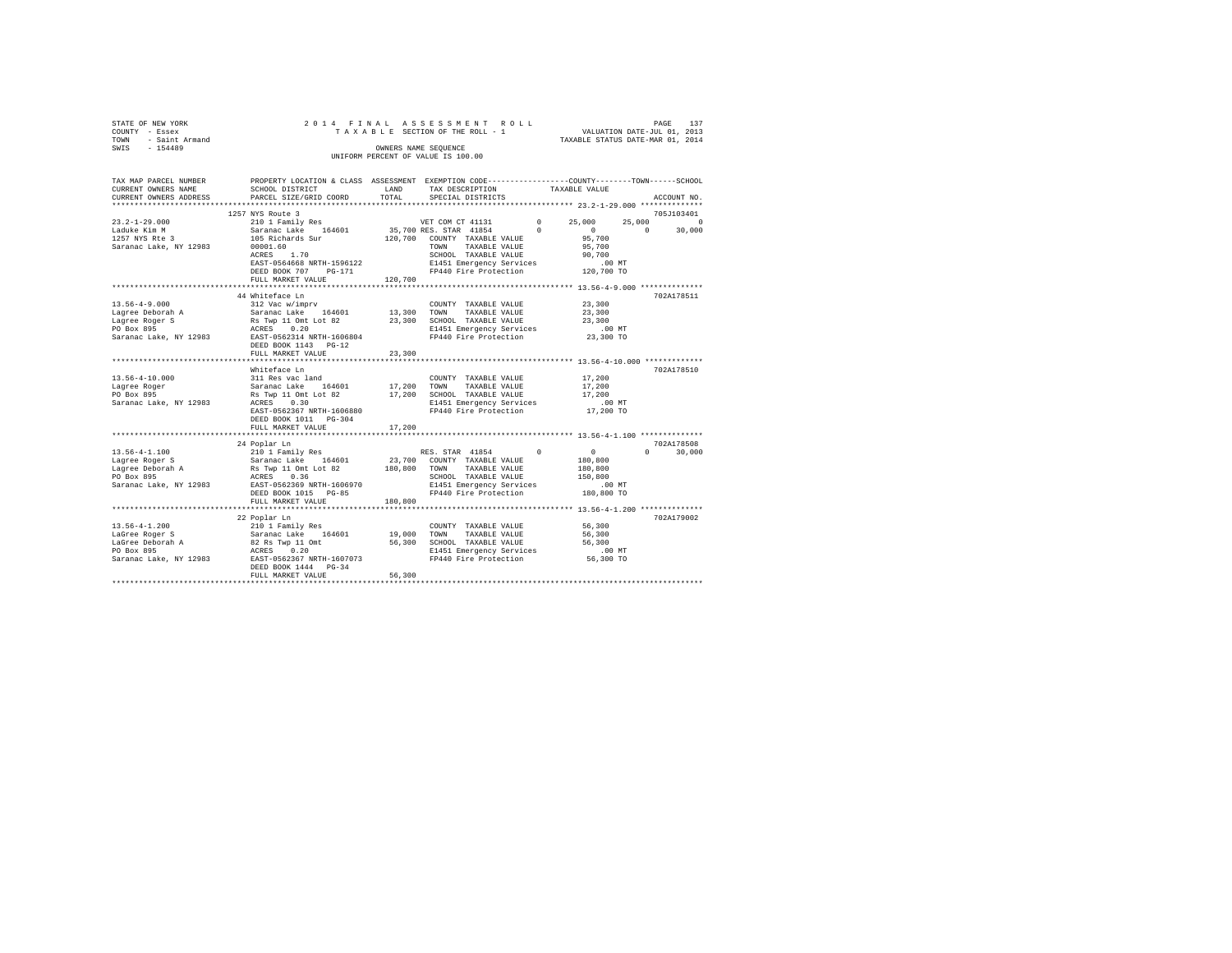| STATE OF NEW YORK      | 2014 FINAL ASSESSMENT ROLL         | 137<br>PAGE                      |  |
|------------------------|------------------------------------|----------------------------------|--|
| COUNTY - Essex         | TAXABLE SECTION OF THE ROLL - 1    | VALUATION DATE-JUL 01, 2013      |  |
| - Saint Armand<br>TOWN |                                    | TAXABLE STATUS DATE-MAR 01, 2014 |  |
| SWIS<br>$-154489$      | OWNERS NAME SEOUENCE               |                                  |  |
|                        | UNIFORM PERCENT OF VALUE IS 100.00 |                                  |  |
|                        |                                    |                                  |  |
|                        |                                    |                                  |  |

| TAX MAP PARCEL NUMBER<br>CURRENT OWNERS NAME<br>CURRENT OWNERS ADDRESS | PROPERTY LOCATION & CLASS ASSESSMENT EXEMPTION CODE-----------------COUNTY-------TOWN------SCHOOL<br>SCHOOL DISTRICT<br>PARCEL SIZE/GRID COORD | LAND<br>TOTAL | TAX DESCRIPTION TAXABLE VALUE<br>SPECIAL DISTRICTS |                                                                                      | ACCOUNT NO.        |
|------------------------------------------------------------------------|------------------------------------------------------------------------------------------------------------------------------------------------|---------------|----------------------------------------------------|--------------------------------------------------------------------------------------|--------------------|
|                                                                        |                                                                                                                                                |               |                                                    |                                                                                      |                    |
|                                                                        | 1257 NYS Route 3                                                                                                                               |               |                                                    |                                                                                      | 705J103401         |
| $23.2 - 1 - 29.000$                                                    | 210 1 Family Res                                                                                                                               |               | VET COM CT 41131                                   | $\begin{array}{ccc} 0 & \quad & 25 \, , \, 0 \, 0 \, 0 \\ 0 & \quad & 0 \end{array}$ | 25,000<br>$\Omega$ |
| Laduke Kim M                                                           | Saranac Lake 164601 35,700 RES. STAR 41854 0                                                                                                   |               |                                                    |                                                                                      | $\sim$<br>30,000   |
| 1257 NYS Rte 3                                                         | 105 Richards Sur                                                                                                                               |               | 120,700 COUNTY TAXABLE VALUE<br>TOWN TAXABLE VALUE | 95,700                                                                               |                    |
| Saranac Lake, NY 12983                                                 | 00001.60                                                                                                                                       |               |                                                    | 95,700                                                                               |                    |
|                                                                        | ACRES 1.70                                                                                                                                     |               | SCHOOL TAXABLE VALUE                               | 90,700                                                                               |                    |
|                                                                        | EAST-0564668 NRTH-1596122                                                                                                                      |               | E1451 Emergency Services .00 MT                    |                                                                                      |                    |
|                                                                        | DEED BOOK 707 PG-171                                                                                                                           |               | FP440 Fire Protection 120,700 TO                   |                                                                                      |                    |
|                                                                        | FULL MARKET VALUE                                                                                                                              | 120,700       |                                                    |                                                                                      |                    |
|                                                                        |                                                                                                                                                |               |                                                    |                                                                                      |                    |
|                                                                        | 44 Whiteface Ln                                                                                                                                |               |                                                    |                                                                                      | 702A178511         |
| $13.56 - 4 - 9.000$                                                    | 312 Vac w/imprv                                                                                                                                |               | COUNTY TAXABLE VALUE                               | 23,300                                                                               |                    |
| Lagree Deborah A                                                       | Saranac Lake 164601 13,300                                                                                                                     |               | TOWN<br>TAXABLE VALUE                              | 23,300                                                                               |                    |
| Lagree Roger S<br>$\mathbf{S}$                                         | Rs Twp 11 Omt Lot 82<br>ACRES 0.20                                                                                                             |               | 23,300 SCHOOL TAXABLE VALUE                        | 23,300                                                                               |                    |
| PO Box 895                                                             |                                                                                                                                                |               | E1451 Emergency Services .00 MT                    |                                                                                      |                    |
| Saranac Lake, NY 12983                                                 | EAST-0562314 NRTH-1606804                                                                                                                      |               | FP440 Fire Protection                              | 23,300 TO                                                                            |                    |
|                                                                        | DEED BOOK 1143 PG-12                                                                                                                           |               |                                                    |                                                                                      |                    |
|                                                                        | FULL MARKET VALUE                                                                                                                              | 23,300        |                                                    |                                                                                      |                    |
|                                                                        |                                                                                                                                                |               |                                                    |                                                                                      |                    |
|                                                                        | Whiteface Ln                                                                                                                                   |               |                                                    |                                                                                      | 702A178510         |
| $13.56 - 4 - 10.000$                                                   | 311 Res vac land                                                                                                                               |               | COUNTY TAXABLE VALUE                               | 17,200                                                                               |                    |
| Lagree Roger                                                           | Saranac Lake 164601                                                                                                                            | 17,200 TOWN   | TAXABLE VALUE                                      | 17,200                                                                               |                    |
| PO Box 895                                                             | Rs Twp 11 Omt Lot 82                                                                                                                           |               | 17,200 SCHOOL TAXABLE VALUE                        | 17,200                                                                               |                    |
| Saranac Lake, NY 12983                                                 | ACRES 0.30                                                                                                                                     |               | E1451 Emergency Services                           | $.00$ MT                                                                             |                    |
|                                                                        | EAST-0562367 NRTH-1606880                                                                                                                      |               | FP440 Fire Protection                              | 17,200 TO                                                                            |                    |
|                                                                        | DEED BOOK 1011 PG-304                                                                                                                          |               |                                                    |                                                                                      |                    |
|                                                                        | FULL MARKET VALUE                                                                                                                              | 17,200        |                                                    |                                                                                      |                    |
|                                                                        |                                                                                                                                                |               |                                                    |                                                                                      |                    |
|                                                                        | 24 Poplar Ln                                                                                                                                   |               |                                                    |                                                                                      | 702A178508         |
| $13.56 - 4 - 1.100$                                                    |                                                                                                                                                |               |                                                    | $\sim$ 0 $\sim$                                                                      | $\Omega$<br>30,000 |
|                                                                        |                                                                                                                                                |               |                                                    | 180,800                                                                              |                    |
| Lagree Roger S<br>Lagree Deborah A                                     | Saranac Lake 164601 23,700 COUNTY TAXABLE VALUE<br>Rs Twp 11 Omt Lot 82 180,800 TOWN TAXABLE VALUE                                             |               |                                                    | 180,800                                                                              |                    |
| PO Box 895                                                             | ACRES 0.36                                                                                                                                     |               | SCHOOL TAXABLE VALUE                               | 150,800                                                                              |                    |
| Saranac Lake, NY 12983 EAST-0562369 NRTH-1606970                       |                                                                                                                                                |               | E1451 Emergency Services                           | .00MT                                                                                |                    |
|                                                                        | DEED BOOK 1015 PG-85                                                                                                                           |               | FP440 Fire Protection                              | 180,800 TO                                                                           |                    |
|                                                                        | FULL MARKET VALUE                                                                                                                              | 180,800       |                                                    |                                                                                      |                    |
|                                                                        |                                                                                                                                                |               |                                                    |                                                                                      |                    |
|                                                                        | 22 Poplar Ln                                                                                                                                   |               |                                                    |                                                                                      | 702A179002         |
| $13.56 - 4 - 1.200$                                                    |                                                                                                                                                |               | COUNTY TAXABLE VALUE                               | 56,300                                                                               |                    |
| LaGree Roger S                                                         |                                                                                                                                                |               | TOWN<br>TAXABLE VALUE                              | 56,300                                                                               |                    |
| LaGree Deborah A<br>PO Box 895                                         | 21 0 1 Family Res<br>Saranac Lake 164601 19,000<br>82 Rs Twp 11 Omt 56,300<br>ACRES 0.20                                                       |               | 56,300 SCHOOL TAXABLE VALUE                        | 56,300                                                                               |                    |
|                                                                        | ACRES 0.20<br>EAST-0562367 NRTH-1607073                                                                                                        |               | E1451 Emergency Services .00 MT                    |                                                                                      |                    |
| Saranac Lake, NY 12983                                                 |                                                                                                                                                |               | FP440 Fire Protection                              | 56,300 TO                                                                            |                    |
|                                                                        | DEED BOOK 1444 PG-34                                                                                                                           |               |                                                    |                                                                                      |                    |
|                                                                        | FULL MARKET VALUE                                                                                                                              | 56,300        |                                                    |                                                                                      |                    |
|                                                                        |                                                                                                                                                |               |                                                    |                                                                                      |                    |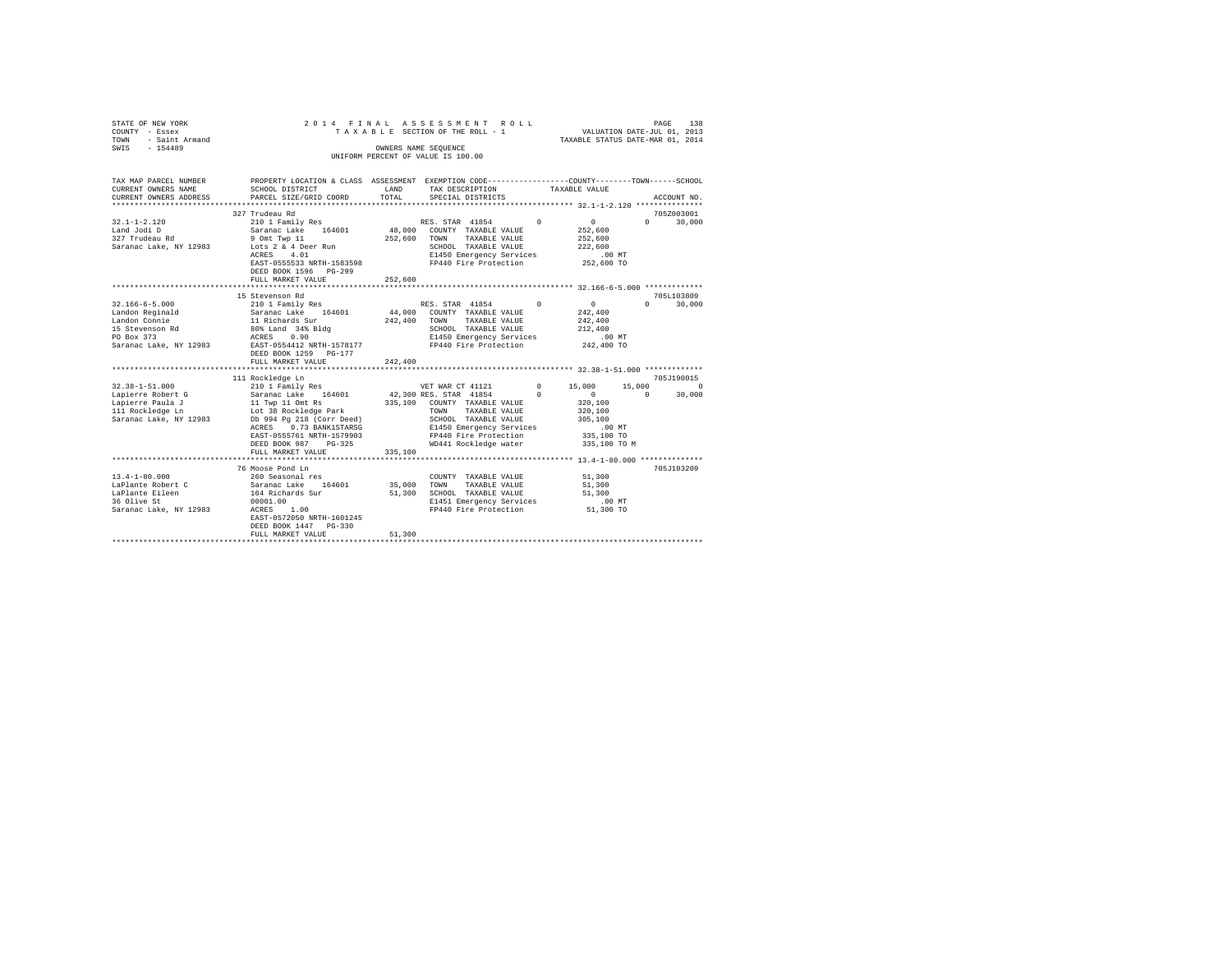| STATE OF NEW YORK<br>COUNTY - Essex<br>- Saint Armand<br>TOWN<br>$-154489$<br>SWIS                                                                                                                       |                                                                                                                                                                                                                                                                                                         |                              | 2014 FINAL ASSESSMENT ROLL<br>TAXABLE SECTION OF THE ROLL - 1<br>OWNERS NAME SEQUENCE<br>UNIFORM PERCENT OF VALUE IS 100.00                                                                                                                          |                                      | VALUATION DATE-JUL 01, 2013<br>TAXABLE STATUS DATE-MAR 01, 2014                                                       | PAGE                           | 138                                          |
|----------------------------------------------------------------------------------------------------------------------------------------------------------------------------------------------------------|---------------------------------------------------------------------------------------------------------------------------------------------------------------------------------------------------------------------------------------------------------------------------------------------------------|------------------------------|------------------------------------------------------------------------------------------------------------------------------------------------------------------------------------------------------------------------------------------------------|--------------------------------------|-----------------------------------------------------------------------------------------------------------------------|--------------------------------|----------------------------------------------|
| TAX MAP PARCEL NUMBER<br>CURRENT OWNERS NAME<br>CURRENT OWNERS ADDRESS                                                                                                                                   | PROPERTY LOCATION & CLASS ASSESSMENT EXEMPTION CODE---------------COUNTY-------TOWN------SCHOOL<br>SCHOOL DISTRICT<br>PARCEL SIZE/GRID COORD                                                                                                                                                            | LAND<br>TOTAL                | TAX DESCRIPTION<br>SPECIAL DISTRICTS                                                                                                                                                                                                                 |                                      | TAXABLE VALUE                                                                                                         |                                | ACCOUNT NO.                                  |
|                                                                                                                                                                                                          |                                                                                                                                                                                                                                                                                                         |                              |                                                                                                                                                                                                                                                      |                                      |                                                                                                                       |                                |                                              |
|                                                                                                                                                                                                          | 327 Trudeau Rd                                                                                                                                                                                                                                                                                          |                              |                                                                                                                                                                                                                                                      |                                      |                                                                                                                       |                                | 705Z003001                                   |
| $32.1 - 1 - 2.120$<br>Land Jodi D<br>327 Trudeau Rd<br>Saranac Lake, NY 12983                                                                                                                            | 210 1 Family Res<br>Saranac Lake 164601<br>9 Omt Twp 11<br>Lots 2 & 4 Deer Run<br>ACRES 4.01<br>EAST-0555533 NRTH-1583598<br>DEED BOOK 1596 PG-299                                                                                                                                                      | 252,600                      | RES. STAR 41854<br>48,000 COUNTY TAXABLE VALUE<br>TOWN TAXABLE VALUE<br>SCHOOL TAXABLE VALUE<br>E1450 Emergency Services<br>FP440 Fire Protection                                                                                                    | $\Omega$                             | $\Omega$<br>252,600<br>252,600<br>222,600<br>.00 MT<br>252,600 TO                                                     | $\Omega$                       | 30,000                                       |
|                                                                                                                                                                                                          | FULL MARKET VALUE                                                                                                                                                                                                                                                                                       | 252,600                      |                                                                                                                                                                                                                                                      |                                      |                                                                                                                       |                                |                                              |
|                                                                                                                                                                                                          |                                                                                                                                                                                                                                                                                                         |                              |                                                                                                                                                                                                                                                      |                                      |                                                                                                                       |                                | 705L103809                                   |
| $32.166 - 6 - 5.000$<br>Landon Reginald<br>Landon Connie<br>15 Stevenson Rd<br>PO Box 373<br>Saranac Lake, NY 12983<br>$32.38 - 1 - 51.000$<br>Lapierre Robert G<br>Lapierre Paula J<br>111 Rockledge Ln | 15 Stevenson Rd<br>210 1 Family Res<br>Saranac Lake 164601<br>11 Richards Sur<br>80% Land 34% Bldg<br>ACRES 0.90<br>EAST-0554412 NRTH-1578177<br>DEED BOOK 1259 PG-177<br>FULL MARKET VALUE<br>111 Rockledge Ln<br>210 1 Family Res<br>Saranac Lake 164601<br>11 Twp 11 Omt Rs<br>Lot 38 Rockledge Park | 44,000<br>242,400<br>242,400 | RES. STAR 41854<br>COUNTY TAXABLE VALUE<br>TAXABLE VALUE<br>TOWN<br>SCHOOL TAXABLE VALUE<br>E1450 Emergency Services<br>FP440 Fire Protection<br>VET WAR CT 41121<br>42,300 RES. STAR 41854<br>335,100 COUNTY TAXABLE VALUE<br>TAXABLE VALUE<br>TOWN | $^{\circ}$<br>$^{\circ}$<br>$\Omega$ | $\mathbf{0}$<br>242,400<br>242,400<br>212,400<br>$.00$ MT<br>242,400 TO<br>15,000<br>$^{\circ}$<br>320,100<br>320,100 | $\Omega$<br>15,000<br>$\Omega$ | 30,000<br>705J190015<br>$^{\circ}$<br>30,000 |
| Saranac Lake, NY 12983                                                                                                                                                                                   | Db 994 Pg 218 (Corr Deed)<br>ACRES 0.73 BANK1STARSG<br>EAST-0555761 NRTH-1579903<br>DEED BOOK 987 PG-325<br>FULL MARKET VALUE<br>                                                                                                                                                                       | 335,100                      | SCHOOL TAXABLE VALUE<br>E1450 Emergency Services<br>FP440 Fire Protection<br>WD441 Rockledge water                                                                                                                                                   |                                      | 305,100<br>$.00$ MT<br>335,100 TO<br>335,100 TO M                                                                     |                                |                                              |
| $13.4 - 1 - 80.000$<br>LaPlante Robert C<br>LaPlante Eileen<br>36 Olive St<br>Saranac Lake, NY 12983                                                                                                     | 76 Moose Pond Ln<br>260 Seasonal res<br>Saranac Lake 164601<br>164 Richards Sur<br>00001.00<br>1.00<br>ACRES<br>EAST-0572050 NRTH-1601245<br>DEED BOOK 1447 PG-330<br>FULL MARKET VALUE                                                                                                                 | 35,000<br>51,300<br>51,300   | COUNTY TAXABLE VALUE<br>TOWN<br>TAXABLE VALUE<br>SCHOOL TAXABLE VALUE<br>E1451 Emergency Services<br>FP440 Fire Protection                                                                                                                           |                                      | 51,300<br>51,300<br>51,300<br>$.00$ MT<br>51,300 TO                                                                   |                                | 705J103209                                   |
|                                                                                                                                                                                                          |                                                                                                                                                                                                                                                                                                         |                              |                                                                                                                                                                                                                                                      |                                      |                                                                                                                       |                                |                                              |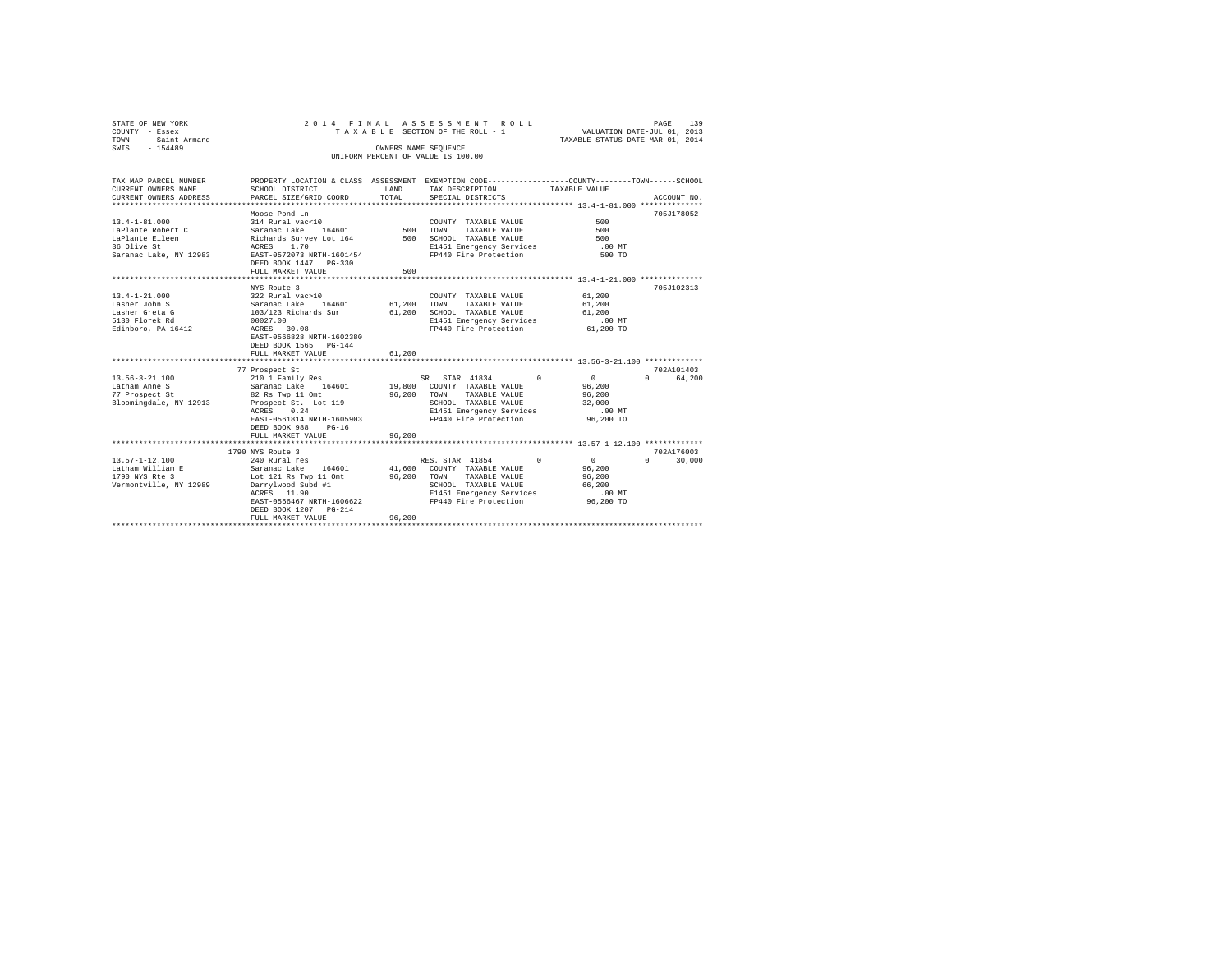| STATE OF NEW YORK     |           |                        |                                      |  |  |       | 2014 FINAL ASSESSMENT ROLL         |                   |  |                                                             |                             | PAGE        | 139 |
|-----------------------|-----------|------------------------|--------------------------------------|--|--|-------|------------------------------------|-------------------|--|-------------------------------------------------------------|-----------------------------|-------------|-----|
| COUNTY - Essex        |           |                        |                                      |  |  |       | TAXABLE SECTION OF THE ROLL - 1    |                   |  |                                                             | VALUATION DATE-JUL 01, 2013 |             |     |
| TOWN                  |           | - Saint Armand         |                                      |  |  |       |                                    |                   |  | TAXABLE STATUS DATE-MAR 01, 2014                            |                             |             |     |
| SWIS                  | $-154489$ |                        |                                      |  |  |       | OWNERS NAME SEOUENCE               |                   |  |                                                             |                             |             |     |
|                       |           |                        |                                      |  |  |       | UNIFORM PERCENT OF VALUE IS 100.00 |                   |  |                                                             |                             |             |     |
|                       |           |                        |                                      |  |  |       |                                    |                   |  |                                                             |                             |             |     |
|                       |           |                        |                                      |  |  |       |                                    |                   |  |                                                             |                             |             |     |
| TAX MAP PARCEL NUMBER |           |                        | PROPERTY LOCATION & CLASS ASSESSMENT |  |  |       |                                    |                   |  | EXEMPTION CODE----------------COUNTY-------TOWN------SCHOOL |                             |             |     |
| CURRENT OWNERS NAME   |           |                        | SCHOOL DISTRICT                      |  |  | LAND  |                                    | TAX DESCRIPTION   |  | TAXABLE VALUE                                               |                             |             |     |
|                       |           | CURRENT OWNERS ADDRESS | PARCEL SIZE/GRID COORD               |  |  | TOTAL |                                    | SPECIAL DISTRICTS |  |                                                             |                             | ACCOUNT NO. |     |
|                       |           |                        |                                      |  |  |       |                                    |                   |  |                                                             |                             |             |     |

|                        |                                                          |        | **************** 13.4-1-81.000 **************    |                |                    |
|------------------------|----------------------------------------------------------|--------|--------------------------------------------------|----------------|--------------------|
|                        | Moose Pond Ln                                            |        |                                                  |                | 705J178052         |
| $13.4 - 1 - 81.000$    | 314 Rural vac<10                                         |        | COUNTY TAXABLE VALUE                             | 500            |                    |
| LaPlante Robert C      | 164601 500<br>Saranac Lake                               |        | TOWN<br>TAXABLE VALUE                            | 500            |                    |
| LaPlante Eileen        | Richards Survey Lot 164 500 SCHOOL TAXABLE VALUE         |        |                                                  | 500            |                    |
| 36 Olive St            | ACRES 1.70                                               |        | E1451 Emergency Services                         | $.00$ MT       |                    |
| Saranac Lake, NY 12983 | EAST-0572073 NRTH-1601454                                |        | FP440 Fire Protection                            | 500 TO         |                    |
|                        | DEED BOOK 1447 PG-330                                    |        |                                                  |                |                    |
|                        | FULL MARKET VALUE                                        | 500    |                                                  |                |                    |
|                        |                                                          |        | ******************* 13.4-1-21.000 ************** |                |                    |
|                        | NYS Route 3                                              |        |                                                  |                | 705J102313         |
| $13.4 - 1 - 21.000$    | 322 Rural vac>10                                         |        | COUNTY TAXABLE VALUE                             | 61,200         |                    |
| Lasher John S          | Saranac Lake<br>164601 61,200                            |        | TOWN<br>TAXABLE VALUE                            | 61,200         |                    |
| Lasher Greta G         | 103/123 Richards Sur                                     | 61,200 | SCHOOL TAXABLE VALUE                             | 61,200         |                    |
| 5130 Florek Rd         | 00027.00                                                 |        | E1451 Emergency Services                         | $.00$ MT       |                    |
| Edinboro, PA 16412     | ACRES 30.08                                              |        | FP440 Fire Protection                            | 61,200 TO      |                    |
|                        | EAST-0566828 NRTH-1602380                                |        |                                                  |                |                    |
|                        | DEED BOOK 1565 PG-144                                    |        |                                                  |                |                    |
|                        | FULL MARKET VALUE                                        | 61,200 |                                                  |                |                    |
|                        |                                                          |        |                                                  |                |                    |
|                        | 77 Prospect St                                           |        |                                                  |                | 702A101403         |
| $13.56 - 3 - 21.100$   | 210 1 Family Res                                         |        | $\Omega$<br>SR STAR 41834                        | $\overline{0}$ | 64.200<br>$\Omega$ |
| Latham Anne S          | Saranac Lake 164601                                      |        | 19,800 COUNTY TAXABLE VALUE                      | 96,200         |                    |
| 77 Prospect St         | 82 Rs Twp 11 Omt                                         |        | 96,200 TOWN<br>TAXABLE VALUE                     | 96,200         |                    |
| Bloomingdale, NY 12913 | Prospect St. Lot 119                                     |        | SCHOOL TAXABLE VALUE                             | 32,000         |                    |
|                        | ACRES 0.24                                               |        | E1451 Emergency Services                         | $.00$ MT       |                    |
|                        | EAST-0561814 NRTH-1605903                                |        | FP440 Fire Protection                            | 96,200 TO      |                    |
|                        | DEED BOOK 988<br>$PG-16$                                 |        |                                                  |                |                    |
|                        | FULL MARKET VALUE<br>*********************************** | 96,200 |                                                  |                |                    |
|                        | 1790 NYS Route 3                                         |        |                                                  |                | 702A176003         |
| $13.57 - 1 - 12.100$   | 240 Rural res                                            |        | $\sim$ 0<br>RES. STAR 41854                      | 0 <sup>1</sup> | $\Omega$<br>30,000 |
| Latham William E       | Saranac Lake 164601                                      |        | 41,600 COUNTY TAXABLE VALUE                      | 96,200         |                    |
| 1790 NYS Rte 3         | Lot 121 Rs Twp 11 Omt                                    | 96,200 | TAXABLE VALUE<br>TOWN                            | 96,200         |                    |
| Vermontville, NY 12989 | Darrylwood Subd #1                                       |        | SCHOOL TAXABLE VALUE                             | 66,200         |                    |
|                        | ACRES 11.90                                              |        | E1451 Emergency Services                         | .00MT          |                    |
|                        | EAST-0566467 NRTH-1606622                                |        | FP440 Fire Protection 96,200 TO                  |                |                    |
|                        | DEED BOOK 1207 PG-214                                    |        |                                                  |                |                    |
|                        | FULL MARKET VALUE                                        | 96,200 |                                                  |                |                    |
|                        | *************************                                |        |                                                  |                |                    |
|                        |                                                          |        |                                                  |                |                    |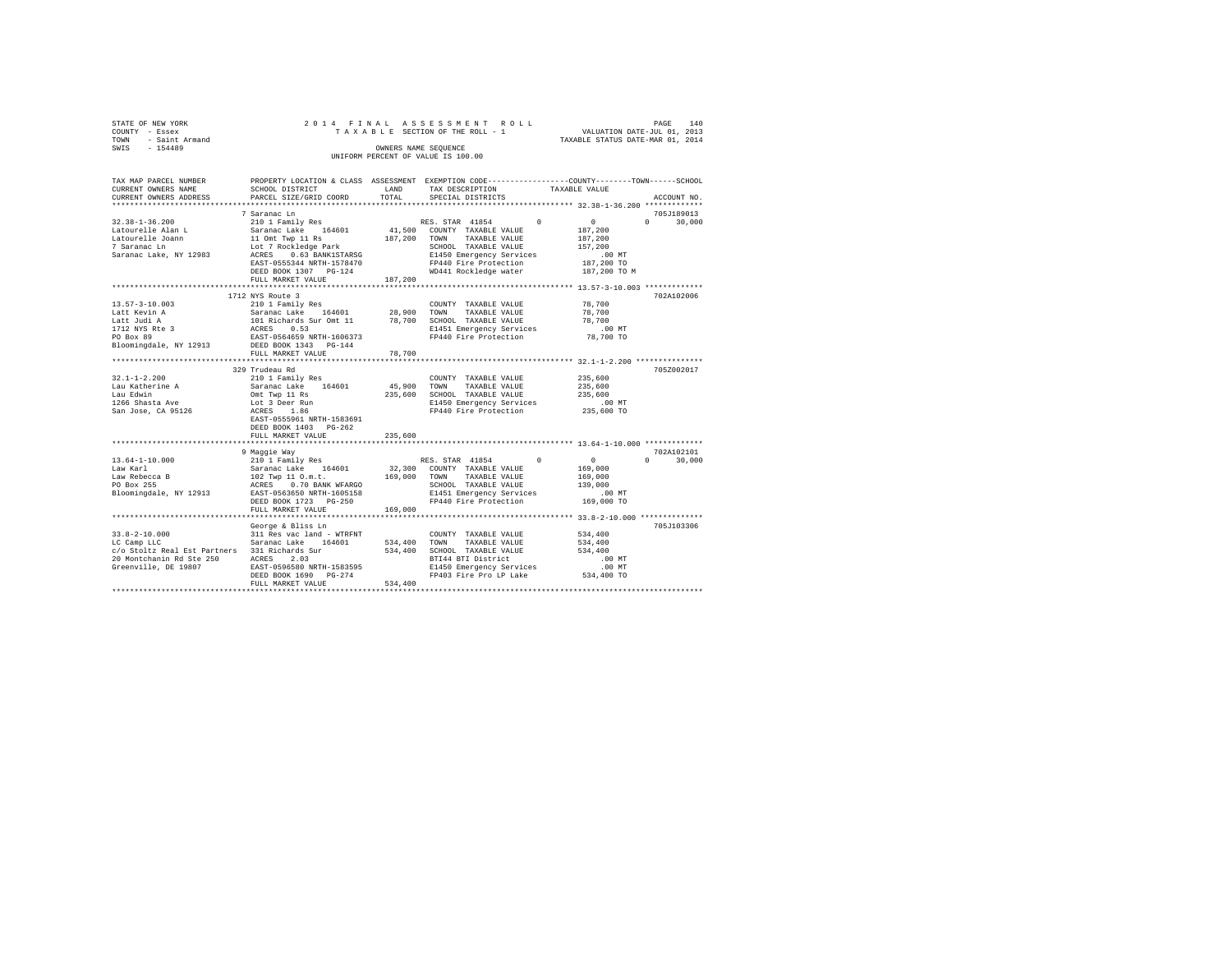| STATE OF NEW YORK<br>- Essex<br>COUNTY<br>TOWN<br>- Saint Armand<br>$-154489$<br>SWIS                                                         |                                                                                                                                                        | OWNERS NAME SEOUENCE | 2014 FINAL ASSESSMENT ROLL<br>TAXABLE SECTION OF THE ROLL - 1 VALUATION DATE-JUL 01, 2013<br>UNIFORM PERCENT OF VALUE IS 100.00                     | TAXABLE STATUS DATE-MAR 01, 2014       | PAGE                    | 140    |
|-----------------------------------------------------------------------------------------------------------------------------------------------|--------------------------------------------------------------------------------------------------------------------------------------------------------|----------------------|-----------------------------------------------------------------------------------------------------------------------------------------------------|----------------------------------------|-------------------------|--------|
| TAX MAP PARCEL NUMBER<br>CURRENT OWNERS NAME<br>CURRENT OWNERS ADDRESS PARCEL SIZE/GRID COORD TOTAL                                           | PROPERTY LOCATION & CLASS ASSESSMENT EXEMPTION CODE---------------COUNTY-------TOWN------SCHOOL<br><b>LAND</b><br>SCHOOL DISTRICT                      |                      | TAX DESCRIPTION TAXABLE VALUE<br>SPECIAL DISTRICTS                                                                                                  |                                        | ACCOUNT NO.             |        |
| $32.38 - 1 - 36.200$<br>Latourelle Joann 11 Omt Twp 11 Rs 187,200<br>7 Saranac Ln<br>Saranac Lake, NY 12983 ACRES 0.63 BANK1STARSG            | 7 Saranac Ln<br>Lot 7 Rockledge Park<br>EAST-0555344 NRTH-1578470<br>DEED BOOK 1307 PG-124<br>FULL MARKET VALUE                                        | 187,200              | TOWN<br>TAXABLE VALUE<br>SCHOOL TAXABLE VALUE<br>E1450 Emergency Services<br>FP440 Fire Protection 187,200 TO<br>WD441 Rockledge water 187,200 TO M | 187,200<br>157.200<br>.00MT            | 705.T189013<br>$\Omega$ | 30,000 |
| $13.57 - 3 - 10.003$<br>Latt Kevin A<br>Latt Judi A<br>1712 NYS Rte 3 ACRES 0.53<br>PO Box 89<br>Bloomingdale, NY 12913 DEED BOOK 1343 PG-144 | 1712 NYS Route 3<br>210 1 Family Res<br>Saranac Lake 164601 28,900<br>101 Richards Sur Omt 11 78,700<br>EAST-0564659 NRTH-1606373<br>FULL MARKET VALUE | 78,700               | COUNTY TAXABLE VALUE<br>TOWN<br>TAXARLE VALUE<br>SCHOOL<br>TAXABLE VALUE<br>E1451 Emergency Services<br>FP440 Fire Protection 78,700 TO             | 78,700<br>78,700<br>78,700<br>$.00$ MT | 702A102006              |        |

| $32.1 - 1 - 2.200$<br>Lau Katherine A<br>Lau Edwin     | 329 Trudeau Rd<br>210 1 Family Res<br>Saranac Lake 164601 45,900<br>Omt Twp 11 Rs<br>235,600            |         | COUNTY TAXABLE VALUE<br>TOWN<br>SCHOOL TAXABLE VALUE | TAXABLE VALUE                                                     | 235,600<br>235,600<br>235,600 | 705Z002017         |
|--------------------------------------------------------|---------------------------------------------------------------------------------------------------------|---------|------------------------------------------------------|-------------------------------------------------------------------|-------------------------------|--------------------|
| 1266 Shasta Ave  Lot 3 Deer Run                        |                                                                                                         |         | E1450 Emergency Services                             |                                                                   | .00 MT                        |                    |
| San Jose, CA 95126                      ACRES     1.86 | EAST-0555961 NRTH-1583691<br>DEED BOOK 1403 PG-262                                                      |         |                                                      | FP440 Fire Protection 235,600 TO                                  |                               |                    |
|                                                        | 235,600<br>FULL MARKET VALUE                                                                            |         |                                                      |                                                                   |                               |                    |
|                                                        | 9 Maggie Way                                                                                            |         |                                                      |                                                                   |                               | 702A102101         |
| $13.64 - 1 - 10.000$<br>Law Karl                       | Saranac Lake 164601 32,300 COUNTY TAXABLE VALUE 169,000                                                 |         |                                                      |                                                                   | $\sim$ 0 $\sim$ 0             | 30,000<br>$\Omega$ |
| Law Rebecca B<br>PO Box 255                            | 102 Twp 11 O.m.t. 169,000<br>ACRES 0.70 BANK WFARGO<br>Bloomingdale, NY 12913 EAST-0563650 NRTH-1605158 |         | TOWN                                                 | TAXABLE VALUE<br>SCHOOL TAXABLE VALUE<br>E1451 Emergency Services | 169,000<br>139,000<br>.00 MT  |                    |
|                                                        | DEED BOOK 1723 PG-250<br>FULL MARKET VALUE 169,000                                                      |         |                                                      | FP440 Fire Protection 169,000 TO                                  |                               |                    |
|                                                        |                                                                                                         |         |                                                      |                                                                   |                               |                    |
|                                                        | George & Bliss Ln<br>$33.8-2-10.000$ 311 Res vac land - WTRFNT COUNTY TAXABLE VALUE                     |         |                                                      |                                                                   | 534,400                       | 705J103306         |
| LC Camp LLC                                            | Saranac Lake 164601 534,400                                                                             |         |                                                      | TOWN TAXABLE VALUE                                                | 534,400                       |                    |
|                                                        | c/o Stoltz Real Est Partners 331 Richards Sur 534,400                                                   |         | SCHOOL TAXABLE VALUE                                 |                                                                   | 534,400                       |                    |
| 20 Montchanin Rd Ste 250                               | ACRES 2.03                                                                                              |         |                                                      | BTI44 BTI District                                                | .00 MT                        |                    |
| Greenville. DE 19807                                   | EAST-0596580 NRTH-1583595                                                                               |         |                                                      | E1450 Emergency Services .00 MT                                   |                               |                    |
|                                                        | DEED BOOK 1690 PG-274<br>FULL MARKET VALUE                                                              | 534,400 |                                                      | FP403 Fire Pro LP Lake 534,400 TO                                 |                               |                    |
|                                                        |                                                                                                         |         |                                                      |                                                                   |                               |                    |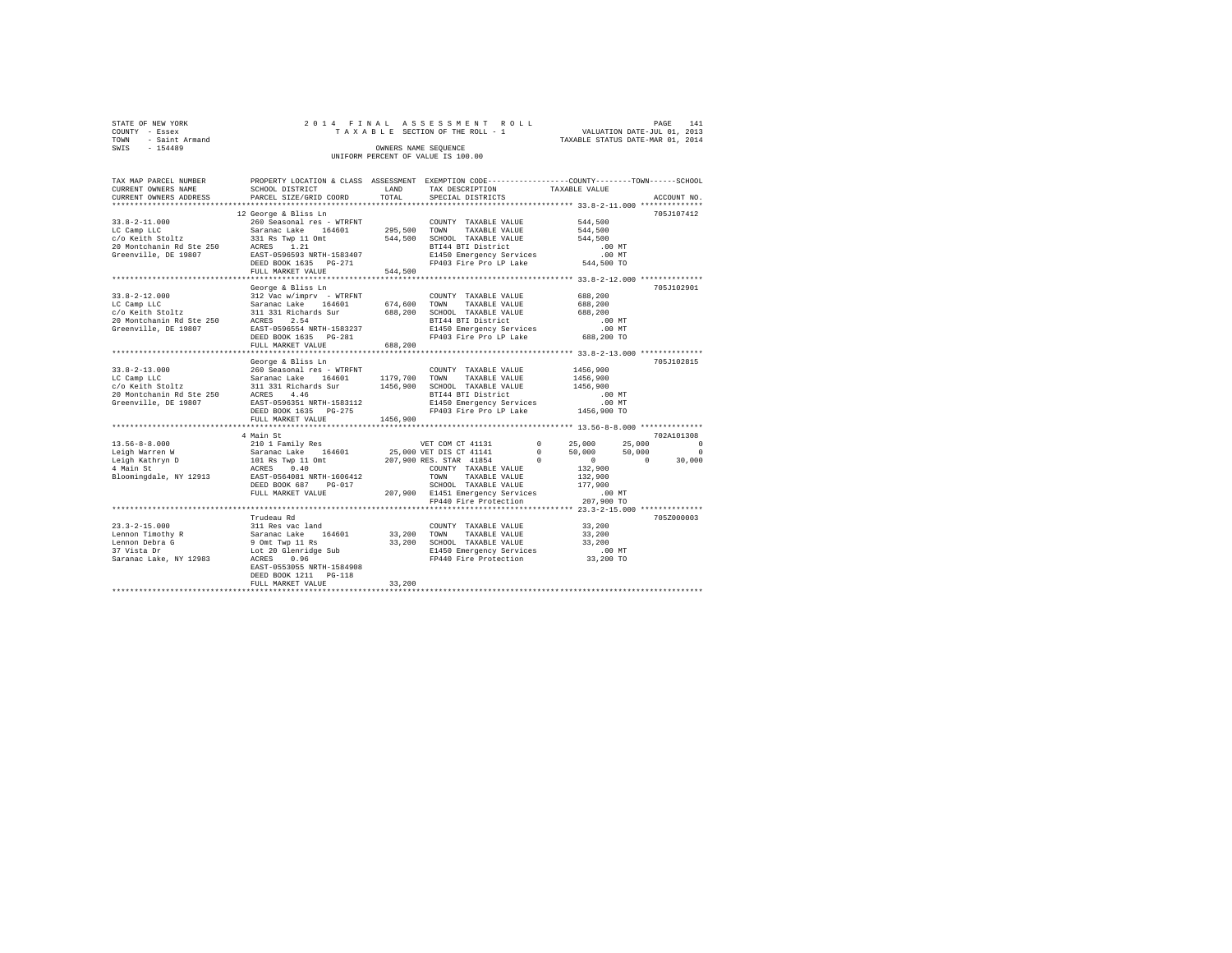|      | STATE OF NEW YORK | 2014 FINAL ASSESSMENT ROLL         |                             | PAGE | 141 |
|------|-------------------|------------------------------------|-----------------------------|------|-----|
|      | COUNTY - Essex    | TAXABLE SECTION OF THE ROLL - 1    | VALUATION DATE-JUL 01, 2013 |      |     |
| TOWN | - Saint Armand    | TAXABLE STATUS DATE-MAR 01, 2014   |                             |      |     |
| SWIS | $-154489$         | OWNERS NAME SEOUENCE               |                             |      |     |
|      |                   | UNIFORM PERCENT OF VALUE IS 100.00 |                             |      |     |

| TAX MAP PARCEL NUMBER<br>CURRENT OWNERS NAME<br>CURRENT OWNERS ADDRESS                                                                                                    | PROPERTY LOCATION & CLASS ASSESSMENT EXEMPTION CODE----------------COUNTY-------TOWN------SCHOOL<br>SCHOOL DISTRICT<br>PARCEL SIZE/GRID COORD | LAND<br>TOTAL | TAX DESCRIPTION<br>SPECIAL DISTRICTS                                               | TAXABLE VALUE        | ACCOUNT NO.                  |
|---------------------------------------------------------------------------------------------------------------------------------------------------------------------------|-----------------------------------------------------------------------------------------------------------------------------------------------|---------------|------------------------------------------------------------------------------------|----------------------|------------------------------|
|                                                                                                                                                                           |                                                                                                                                               |               |                                                                                    |                      |                              |
|                                                                                                                                                                           | 12 George & Bliss Ln                                                                                                                          |               |                                                                                    |                      | 705J107412                   |
| $33.8 - 2 - 11.000$                                                                                                                                                       | 260 Seasonal res - WTRFNT                                                                                                                     |               | COUNTY TAXABLE VALUE                                                               | 544,500              |                              |
| LC Camp LLC                                                                                                                                                               | Saranac Lake 164601 295,500 TOWN TAXABLE VALUE                                                                                                |               |                                                                                    | 544,500              |                              |
| LC Camp LLC<br>c/o Keith Stoltz<br>c/o Keith Stoltz<br>20 Montchanin Rd Ste 250 ACRES 1.21                                                                                |                                                                                                                                               |               | 544,500 SCHOOL TAXABLE VALUE                                                       | 544,500              |                              |
|                                                                                                                                                                           |                                                                                                                                               |               | BTI44 BTI District                                                                 | $.00$ MT             |                              |
| Greenville, DE 19807                                                                                                                                                      | EAST-0596593 NRTH-1583407                                                                                                                     |               | E1450 Emergency Services<br>FP403 Fire Pro LP Lake                                 | .00 MT               |                              |
|                                                                                                                                                                           | DEED BOOK 1635 PG-271                                                                                                                         |               |                                                                                    | 544,500 TO           |                              |
|                                                                                                                                                                           | FULL MARKET VALUE                                                                                                                             | 544,500       |                                                                                    |                      |                              |
|                                                                                                                                                                           |                                                                                                                                               |               |                                                                                    |                      |                              |
| $33.8 - 2 - 12.000$                                                                                                                                                       | George & Bliss Ln                                                                                                                             |               |                                                                                    | 688,200              | 705J102901                   |
|                                                                                                                                                                           | 312 Vac w/imprv - WTRFNT                                                                                                                      |               | COUNTY TAXABLE VALUE                                                               | 688,200              |                              |
|                                                                                                                                                                           |                                                                                                                                               |               | 674,600 TOWN TAXABLE VALUE<br>688,200 SCHOOL TAXABLE VALUE<br>SCHOOL TAXABLE VALUE | 688,200              |                              |
|                                                                                                                                                                           | ACRES 2.54                                                                                                                                    |               |                                                                                    | .00 MT               |                              |
|                                                                                                                                                                           | EAST-0596554 NRTH-1583237                                                                                                                     |               | BTI44 BTI District<br>E1450 Emergency Services                                     | .00MT                |                              |
|                                                                                                                                                                           | DEED BOOK 1635 PG-281                                                                                                                         |               | FP403 Fire Pro LP Lake                                                             | 688,200 TO           |                              |
|                                                                                                                                                                           | FULL MARKET VALUE                                                                                                                             | 688,200       |                                                                                    |                      |                              |
|                                                                                                                                                                           |                                                                                                                                               |               |                                                                                    |                      |                              |
|                                                                                                                                                                           | George & Bliss Ln                                                                                                                             |               |                                                                                    |                      | 705J102815                   |
| $33.8 - 2 - 13.000$                                                                                                                                                       | 260 Seasonal res - WTRFNT                                                                                                                     |               | COUNTY TAXABLE VALUE                                                               | 1456,900             |                              |
|                                                                                                                                                                           |                                                                                                                                               |               | 1179,700 TOWN TAXABLE VALUE                                                        | 1456,900             |                              |
|                                                                                                                                                                           |                                                                                                                                               |               | 1456,900 SCHOOL TAXABLE VALUE                                                      | 1456,900             |                              |
| Computer Saranac Lake 164601<br>Computer 311 331 Richards Sur<br>Computer 311 331 Richards Sur<br>Computer 320 ACRES<br>Creenville, DE 19807<br>RAST-0596351 NRTH-1583112 |                                                                                                                                               |               | BTI44 BTI District<br>BTI44 BTI DISTITUT<br>E1450 Emergency Services               | $.00 \text{ MT}$     |                              |
|                                                                                                                                                                           |                                                                                                                                               |               |                                                                                    |                      |                              |
|                                                                                                                                                                           | DEED BOOK 1635 PG-275                                                                                                                         |               | FP403 Fire Pro LP Lake                                                             | 1456,900 TO          |                              |
|                                                                                                                                                                           | FULL MARKET VALUE                                                                                                                             | 1456,900      |                                                                                    |                      |                              |
|                                                                                                                                                                           |                                                                                                                                               |               |                                                                                    |                      |                              |
|                                                                                                                                                                           | 4 Main St                                                                                                                                     |               |                                                                                    | $0 \qquad \qquad$    | 702A101308<br>$\Omega$       |
| $13.56 - 8 - 8.000$<br>Leigh Warren W                                                                                                                                     | 210 1 Family Res<br>Saranac Lake 164601 25<br>101 Rs Twp 11 Omt 207<br>ACRES 0.40<br>RAST-0564081 NRTH-1606412                                |               | VET COM CT 41131<br>25,000 VET DIS CT 41141 0                                      | 25,000<br>50,000     | 25,000<br>50,000<br>$\Omega$ |
| Leigh Kathryn D                                                                                                                                                           |                                                                                                                                               |               | 207,900 RES. STAR 41854                                                            | $\sim$ 0<br>$\sim$ 0 | $\sim$ 0<br>30,000           |
| ryn D<br>4 Main St                                                                                                                                                        |                                                                                                                                               |               | COUNTY TAXABLE VALUE                                                               | 132,900              |                              |
| Bloomingdale, NY 12913                                                                                                                                                    |                                                                                                                                               |               | TOWN<br>TAXABLE VALUE                                                              | 132,900              |                              |
|                                                                                                                                                                           | DEED BOOK 687 PG-017                                                                                                                          |               | SCHOOL TAXABLE VALUE                                                               | 177,900              |                              |
|                                                                                                                                                                           | FULL MARKET VALUE                                                                                                                             |               | 207,900 E1451 Emergency Services                                                   | $.00$ MT             |                              |
|                                                                                                                                                                           |                                                                                                                                               |               | FP440 Fire Protection                                                              | 207,900 TO           |                              |
|                                                                                                                                                                           |                                                                                                                                               |               |                                                                                    |                      |                              |
|                                                                                                                                                                           | Trudeau Rd                                                                                                                                    |               |                                                                                    |                      | 705Z000003                   |
| $23.3 - 2 - 15.000$                                                                                                                                                       | 311 Res vac land                                                                                                                              |               | COUNTY TAXABLE VALUE 33,200                                                        |                      |                              |
|                                                                                                                                                                           | Saranac Lake 164601<br>9 Omt Twp 11 Rs                                                                                                        |               | 33,200 TOWN TAXABLE VALUE                                                          | 33,200               |                              |
| Lennon Timothy R<br>Lennon Debra G                                                                                                                                        |                                                                                                                                               |               | 33,200 SCHOOL TAXABLE VALUE                                                        | 33,200               |                              |
| 37 Vista Dr                                                                                                                                                               | Lot 20 Glenridge Sub<br>ACRES 0.96                                                                                                            |               | E1450 Emergency Services                                                           | .00 MT               |                              |
| Saranac Lake, NY 12983                                                                                                                                                    | 0.96<br>ACRES                                                                                                                                 |               | FP440 Fire Protection 33,200 TO                                                    |                      |                              |
|                                                                                                                                                                           | EAST-0553055 NRTH-1584908                                                                                                                     |               |                                                                                    |                      |                              |
|                                                                                                                                                                           | DEED BOOK 1211    PG-118                                                                                                                      |               |                                                                                    |                      |                              |
|                                                                                                                                                                           | FULL MARKET VALUE                                                                                                                             | 33,200        |                                                                                    |                      |                              |
|                                                                                                                                                                           |                                                                                                                                               |               |                                                                                    |                      |                              |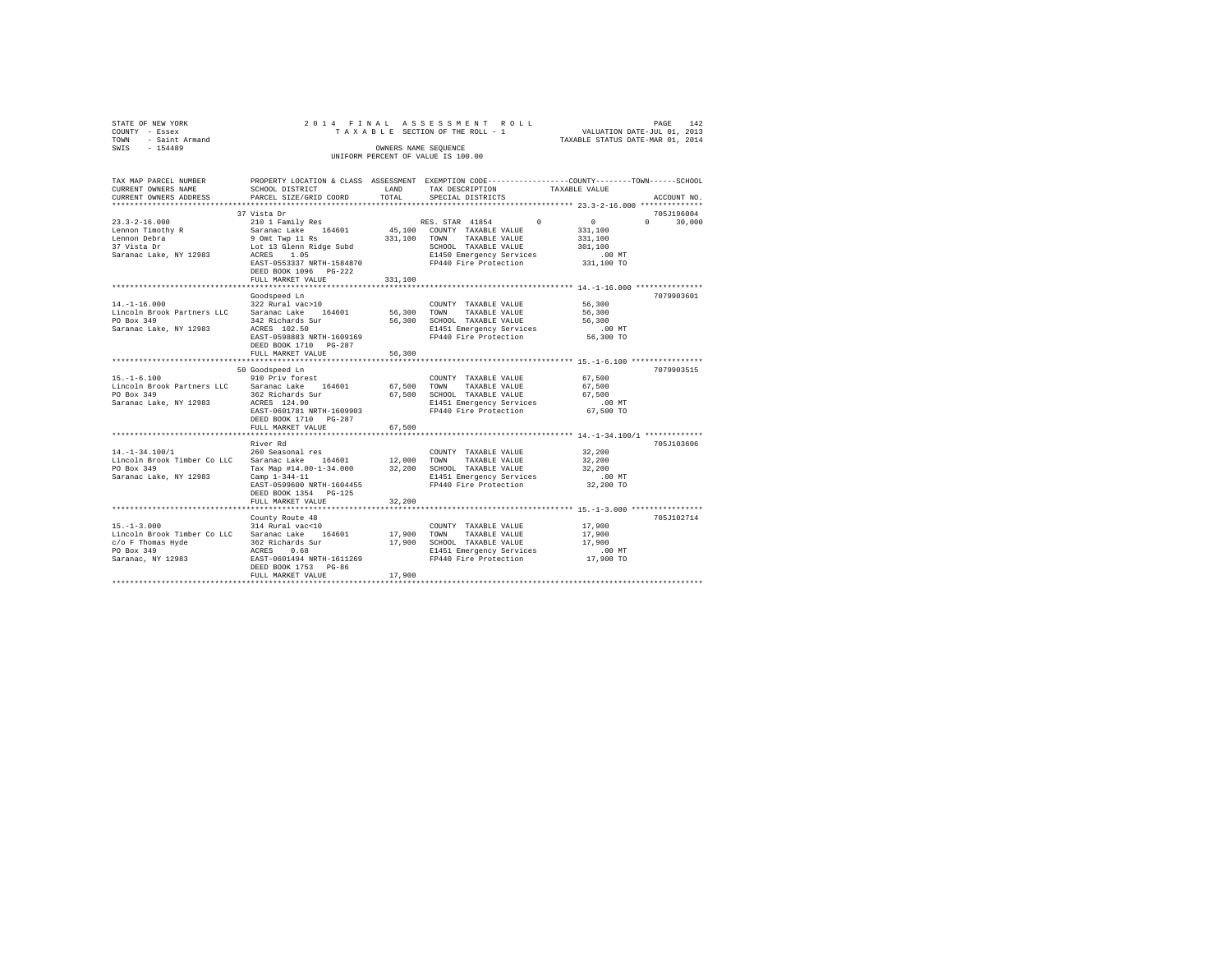| STATE OF NEW YORK<br>COUNTY - Essex<br>- Saint Armand<br>TOWN<br>SWIS - 154489                                                                                       |                                                                                                                                                                                               | OWNERS NAME SEOUENCE | 2014 FINAL ASSESSMENT ROLL<br>TAXABLE SECTION OF THE ROLL - 1 VALUATION DATE-JUL 01, 2013<br>UNIFORM PERCENT OF VALUE IS 100.00          | TAXABLE STATUS DATE-MAR 01, 2014                    | PAGE<br>142   |
|----------------------------------------------------------------------------------------------------------------------------------------------------------------------|-----------------------------------------------------------------------------------------------------------------------------------------------------------------------------------------------|----------------------|------------------------------------------------------------------------------------------------------------------------------------------|-----------------------------------------------------|---------------|
| TAX MAP PARCEL NUMBER PROPERTY LOCATION & CLASS ASSESSMENT EXEMPTION CODE--------------COUNTY-------TOWN-----SCHOOL<br>CURRENT OWNERS NAME<br>CURRENT OWNERS ADDRESS | SCHOOL DISTRICT<br>PARCEL SIZE/GRID COORD TOTAL                                                                                                                                               | <b>LAND</b>          | TAX DESCRIPTION TAXABLE VALUE<br>SPECIAL DISTRICTS                                                                                       |                                                     | ACCOUNT NO.   |
|                                                                                                                                                                      | 37 Vista Dr                                                                                                                                                                                   |                      |                                                                                                                                          |                                                     | 705J196004    |
| $23.3 - 2 - 16.000$<br>Lennon Timothy R<br>Lennon Debra<br>37 Vista Dr<br>Saranac Lake, NY 12983                                                                     | 210 1 Family Res<br>Saranac Lake 164601 45,100 COUNTY TAXABLE VALUE<br>9 Omt Twp 11 Rs 331,100<br>Lot 13 Glenn Ridge Subd<br>ACRES 1.05<br>EAST-0553337 NRTH-1584870<br>DEED BOOK 1096 PG-222 |                      | RES. STAR 41854 0<br>TOWN<br>TAXABLE VALUE<br>SCHOOL TAXABLE VALUE<br>E1450 Emergency Services<br>FP440 Fire Protection 331,100 TO       | $\sim$ 0<br>331,100<br>331,100<br>301,100<br>.00 MT | $0 \t 30.000$ |
|                                                                                                                                                                      | FULL MARKET VALUE                                                                                                                                                                             | 331,100              |                                                                                                                                          |                                                     |               |
|                                                                                                                                                                      |                                                                                                                                                                                               |                      |                                                                                                                                          |                                                     |               |
| $14. - 1 - 16.000$<br>Lincoln Brook Partners LLC Saranac Lake 164601 56,300<br>PO Box 349<br>Saranac Lake, NY 12983                                                  | Goodspeed Ln<br>$322$ Rural vac > 10<br>342 Richards Sur<br>ACRES 102.50<br>EAST-0598883 NRTH-1609169<br>DEED BOOK 1710 PG-287                                                                | 56,300               | COUNTY TAXABLE VALUE 56,300<br>TOWN<br>TAXABLE VALUE 56,300<br>SCHOOL TAXABLE VALUE<br>E1451 Emergency Services<br>FP440 Fire Protection | 56,300<br>$.00$ MT<br>56,300 TO                     | 7079903601    |
|                                                                                                                                                                      | FULL MARKET VALUE                                                                                                                                                                             | 56,300               |                                                                                                                                          |                                                     |               |
|                                                                                                                                                                      | 50 Goodspeed Ln                                                                                                                                                                               |                      |                                                                                                                                          |                                                     | 7079903515    |
| $15. - 1 - 6.100$<br>Lincoln Brook Partners LLC Saranac Lake 164601 67.500<br>PO Box 349<br>Saranac Lake, NY 12983                                                   | 910 Priv forest<br>362 Richards Sur<br>ACRES 124.90<br>EAST-0601781 NRTH-1609903<br>DEED BOOK 1710 PG-287<br>FULL MARKET VALUE                                                                | 67.500<br>67.500     | COUNTY TAXABLE VALUE<br>TAXABLE VALUE<br>TOWN<br>SCHOOL TAXABLE VALUE<br>E1451 Emergency Services<br>FP440 Fire Protection 67.500 TO     | 67,500<br>67.500<br>67,500<br>.00MT                 |               |
|                                                                                                                                                                      | River Rd                                                                                                                                                                                      |                      |                                                                                                                                          |                                                     | 705-7103606   |
|                                                                                                                                                                      |                                                                                                                                                                                               |                      |                                                                                                                                          |                                                     |               |

PO Box 349 Tax Map #14.00-1-34.000 32,200 SCHOOL TAXABLE VALUE 32,200 Saranac Lake, NY 12983 Camp 1-344-11 E1451 Emergency Services .00 MT EAST-0599600 NRTH-1604455 FP440 Fire Protection 32,200 TO DEED BOOK 1354 PG-125 FULL MARKET VALUE 32,200 \*\*\*\*\*\*\*\*\*\*\*\*\*\*\*\*\*\*\*\*\*\*\*\*\*\*\*\*\*\*\*\*\*\*\*\*\*\*\*\*\*\*\*\*\*\*\*\*\*\*\*\*\*\*\*\*\*\*\*\*\*\*\*\*\*\*\*\*\*\*\*\*\*\*\*\*\*\*\*\*\*\*\*\*\*\*\*\*\*\*\*\*\*\*\*\*\*\*\*\*\*\*\* 15.-1-3.000 \*\*\*\*\*\*\*\*\*\*\*\*\*\*\*\*

County Route 48 705J102714<br>
15.-1-3.000 705J102714<br>
Lincoln Brook Timber Co LLC Saranac Lake 164601 17,900 70WN TAXABLE VALUE 17,900<br>  $c/c$  F Thomas Hyde 362 Richards Sur 17,900 SCHOOL TAXABLE VALUE 17,900<br>
17,900 SCHOOL TA

FULL MARKET VALUE 17,900 \*\*\*\*\*\*\*\*\*\*\*\*\*\*\*\*\*\*\*\*\*\*\*\*\*\*\*\*\*\*\*\*\*\*\*\*\*\*\*\*\*\*\*\*\*\*\*\*\*\*\*\*\*\*\*\*\*\*\*\*\*\*\*\*\*\*\*\*\*\*\*\*\*\*\*\*\*\*\*\*\*\*\*\*\*\*\*\*\*\*\*\*\*\*\*\*\*\*\*\*\*\*\*\*\*\*\*\*\*\*\*\*\*\*\*\*\*\*\*\*\*\*\*\*\*\*\*\*\*\*\*\*

14.-1-34.100/1 260 Seasonal res COUNTY TAXABLE VALUE 32,200 Lincoln Brook Timber Co LLC Saranac Lake 164601 12,000 TOWN TAXABLE VALUE 32,200

15.-1-3.000 314 Rural vac<10 COUNTY TAXABLE VALUE 17,900 Lincoln Brook Timber Co LLC Saranac Lake 164601 17,900 TOWN TAXABLE VALUE 17,900 c/o F Thomas Hyde 362 Richards Sur 17,900 SCHOOL TAXABLE VALUE 17,900 PO Box 349 ACRES 0.68 E1451 Emergency Services .00 MT

EAST-0601494 NRTH-1611269 DEED BOOK 1753 PG-86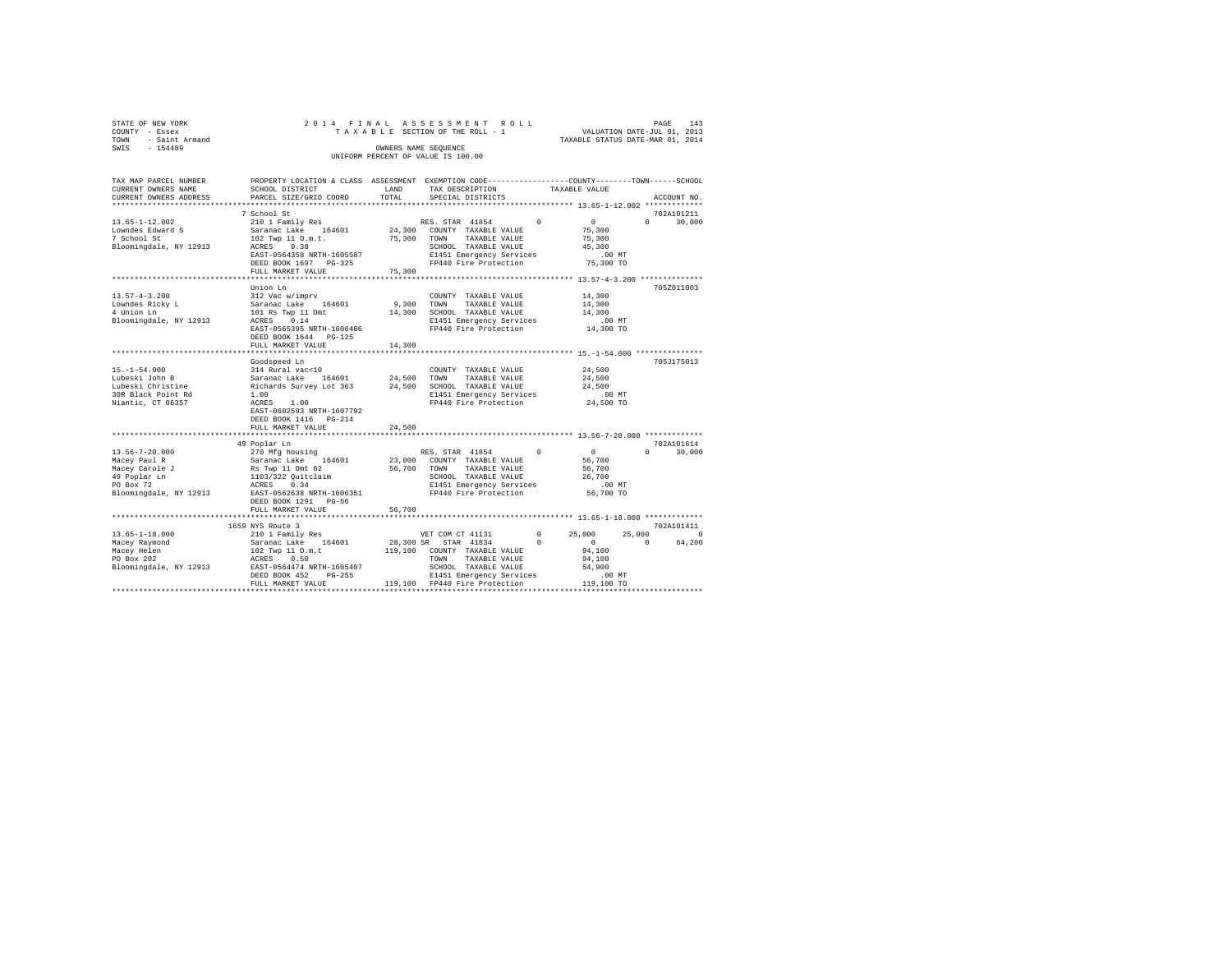| STATE OF NEW YORK |                     |  |  | 2014 FINAL ASSESSMENT ROLL         |  |                                  | PAGE | 143 |
|-------------------|---------------------|--|--|------------------------------------|--|----------------------------------|------|-----|
| COUNTY - Essex    |                     |  |  | TAXABLE SECTION OF THE ROLL - 1    |  | VALUATION DATE-JUL 01, 2013      |      |     |
|                   | TOWN - Saint Armand |  |  |                                    |  | TAXABLE STATUS DATE-MAR 01, 2014 |      |     |
| SWIS              | $-154489$           |  |  | OWNERS NAME SEOUENCE               |  |                                  |      |     |
|                   |                     |  |  | UNIFORM PERCENT OF VALUE IS 100.00 |  |                                  |      |     |
|                   |                     |  |  |                                    |  |                                  |      |     |

| TAX MAP PARCEL NUMBER                                                                                                                                                                                                                      | PROPERTY LOCATION & CLASS ASSESSMENT EXEMPTION CODE---------------COUNTY------TOWN-----SCHOOL                                                                                  |        |                                                                       |                                                    |                                 |
|--------------------------------------------------------------------------------------------------------------------------------------------------------------------------------------------------------------------------------------------|--------------------------------------------------------------------------------------------------------------------------------------------------------------------------------|--------|-----------------------------------------------------------------------|----------------------------------------------------|---------------------------------|
| CURRENT OWNERS NAME                                                                                                                                                                                                                        | SCHOOL DISTRICT                                                                                                                                                                | LAND   | TAX DESCRIPTION                                                       | TAXABLE VALUE                                      |                                 |
| CURRENT OWNERS ADDRESS                                                                                                                                                                                                                     | PARCEL SIZE/GRID COORD                                                                                                                                                         | TOTAL  | SPECIAL DISTRICTS                                                     |                                                    | ACCOUNT NO.                     |
|                                                                                                                                                                                                                                            |                                                                                                                                                                                |        |                                                                       |                                                    |                                 |
|                                                                                                                                                                                                                                            | 7 School St                                                                                                                                                                    |        |                                                                       |                                                    | 702A101211                      |
| $13.65 - 1 - 12.002$                                                                                                                                                                                                                       | 210 1 Family Res                                                                                                                                                               |        | RES. STAR 41854                                                       | $\sim$ 0<br>$\sim$                                 | $\Omega$ and $\Omega$<br>30,000 |
| Lowndes Edward S                                                                                                                                                                                                                           |                                                                                                                                                                                |        |                                                                       | 75,300                                             |                                 |
| 7 School St                                                                                                                                                                                                                                | And Teaming Research of the COUNTY TAXABLE VALUE<br>102 Twp 11 0.m.t. (1953) 75,300 TOWN TAXABLE VALUE<br>202 TWP 11 0.m.t. (1953) 75,300 TAXABLE VALUE                        |        | 75,300 TOWN TAXABLE VALUE                                             | 75,300                                             |                                 |
| Bloomingdale, NY 12913 ACRES 0.38                                                                                                                                                                                                          |                                                                                                                                                                                |        | SCHOOL TAXABLE VALUE                                                  | 45,300                                             |                                 |
|                                                                                                                                                                                                                                            | EAST-0564358 NRTH-1605587                                                                                                                                                      |        |                                                                       |                                                    |                                 |
|                                                                                                                                                                                                                                            | DEED BOOK 1697 PG-325                                                                                                                                                          |        |                                                                       |                                                    |                                 |
|                                                                                                                                                                                                                                            | FULL MARKET VALUE                                                                                                                                                              | 75,300 |                                                                       |                                                    |                                 |
|                                                                                                                                                                                                                                            |                                                                                                                                                                                |        |                                                                       |                                                    |                                 |
|                                                                                                                                                                                                                                            | Union Ln                                                                                                                                                                       |        |                                                                       |                                                    | 705Z011003                      |
| $13.57 - 4 - 3.200$                                                                                                                                                                                                                        | 312 Vac w/imprv                                                                                                                                                                |        | COUNTY TAXABLE VALUE                                                  | 14,300<br>14,300                                   |                                 |
| Lowndes Ricky L                                                                                                                                                                                                                            |                                                                                                                                                                                |        |                                                                       |                                                    |                                 |
| $\mathbf{Y} \parallel \mathbf{P}$<br>4 Union Ln                                                                                                                                                                                            | 312 Vac Wilmyrv – 164601 – 9,300 – COUNI – TAXABLE VALUE<br>101 Rs Twp 11 Ont – 14,300 – SCHOOL TAXABLE VALUE<br>101 Rs Twp 11 – 14,300 – SCHOOL TAXABLE VALUE<br>ACRES – 0.14 |        |                                                                       | 14,300                                             |                                 |
| Bloomingdale, NY 12913                                                                                                                                                                                                                     |                                                                                                                                                                                |        | E1451 Emergency Services .00 MT<br>FP440 Fire Protection 14,300 TO    |                                                    |                                 |
|                                                                                                                                                                                                                                            | EAST-0565395 NRTH-1606486                                                                                                                                                      |        |                                                                       |                                                    |                                 |
|                                                                                                                                                                                                                                            | DEED BOOK 1644 PG-125                                                                                                                                                          |        |                                                                       |                                                    |                                 |
|                                                                                                                                                                                                                                            | FULL MARKET VALUE                                                                                                                                                              | 14,300 |                                                                       |                                                    |                                 |
|                                                                                                                                                                                                                                            |                                                                                                                                                                                |        |                                                                       |                                                    |                                 |
|                                                                                                                                                                                                                                            | Goodspeed Ln                                                                                                                                                                   |        |                                                                       |                                                    | 705J175013                      |
|                                                                                                                                                                                                                                            |                                                                                                                                                                                |        | COUNTY TAXABLE VALUE 24.500                                           |                                                    |                                 |
|                                                                                                                                                                                                                                            |                                                                                                                                                                                |        |                                                                       | 24,500                                             |                                 |
| 15.-1-54.000<br>Lubeski John B 314 Rural vac<10<br>Lubeski John B Saranac Lake 164601<br>Lubeski Christine Richards Survey Lot 363<br>24,500 TOWN TAXABLE VALUE<br>200 RUARI RESS 1.00<br>24,500 SCRISS 24,500 SCRISS 200 RESS 30R Black P |                                                                                                                                                                                |        |                                                                       | 24,500                                             |                                 |
|                                                                                                                                                                                                                                            |                                                                                                                                                                                |        |                                                                       | $.00$ MT                                           |                                 |
|                                                                                                                                                                                                                                            |                                                                                                                                                                                |        | FP440 Fire Protection 24,500 TO                                       |                                                    |                                 |
|                                                                                                                                                                                                                                            | EAST-0602593 NRTH-1607792                                                                                                                                                      |        |                                                                       |                                                    |                                 |
|                                                                                                                                                                                                                                            | DEED BOOK 1416 PG-214                                                                                                                                                          |        |                                                                       |                                                    |                                 |
|                                                                                                                                                                                                                                            | FULL MARKET VALUE                                                                                                                                                              | 24,500 |                                                                       |                                                    |                                 |
|                                                                                                                                                                                                                                            |                                                                                                                                                                                |        |                                                                       |                                                    |                                 |
|                                                                                                                                                                                                                                            | 49 Poplar Ln                                                                                                                                                                   |        |                                                                       |                                                    | 702A101614                      |
|                                                                                                                                                                                                                                            |                                                                                                                                                                                |        | RES. STAR 41854 0                                                     | $\begin{array}{c} 0 \\ 56,700 \end{array}$         | 30,000<br>$0 \qquad \qquad$     |
|                                                                                                                                                                                                                                            |                                                                                                                                                                                |        |                                                                       |                                                    |                                 |
|                                                                                                                                                                                                                                            |                                                                                                                                                                                |        |                                                                       |                                                    |                                 |
|                                                                                                                                                                                                                                            |                                                                                                                                                                                |        |                                                                       | 56,700<br>26,700                                   |                                 |
|                                                                                                                                                                                                                                            |                                                                                                                                                                                |        | E1451 Emergency Services 6.00 MT<br>FP440 Fire Protection 56,700 TO   |                                                    |                                 |
|                                                                                                                                                                                                                                            |                                                                                                                                                                                |        |                                                                       |                                                    |                                 |
|                                                                                                                                                                                                                                            | DEED BOOK 1291 PG-56                                                                                                                                                           |        |                                                                       |                                                    |                                 |
|                                                                                                                                                                                                                                            | FULL MARKET VALUE                                                                                                                                                              | 56,700 |                                                                       |                                                    |                                 |
|                                                                                                                                                                                                                                            | *************************                                                                                                                                                      |        |                                                                       | ********************* 13.65-1-18.000 ************* |                                 |
|                                                                                                                                                                                                                                            |                                                                                                                                                                                |        |                                                                       |                                                    | 702A101411                      |
|                                                                                                                                                                                                                                            |                                                                                                                                                                                |        |                                                                       |                                                    | $\Omega$                        |
|                                                                                                                                                                                                                                            |                                                                                                                                                                                |        | VET COM CT 41131 0 25,000 25,000<br>28,300 SR STAR 41834 0 0 0 0 64,2 |                                                    | 64,200                          |
|                                                                                                                                                                                                                                            |                                                                                                                                                                                |        |                                                                       |                                                    |                                 |
|                                                                                                                                                                                                                                            |                                                                                                                                                                                |        |                                                                       |                                                    |                                 |
|                                                                                                                                                                                                                                            |                                                                                                                                                                                |        |                                                                       |                                                    |                                 |
|                                                                                                                                                                                                                                            |                                                                                                                                                                                |        |                                                                       |                                                    |                                 |
|                                                                                                                                                                                                                                            |                                                                                                                                                                                |        |                                                                       |                                                    |                                 |
|                                                                                                                                                                                                                                            |                                                                                                                                                                                |        |                                                                       |                                                    |                                 |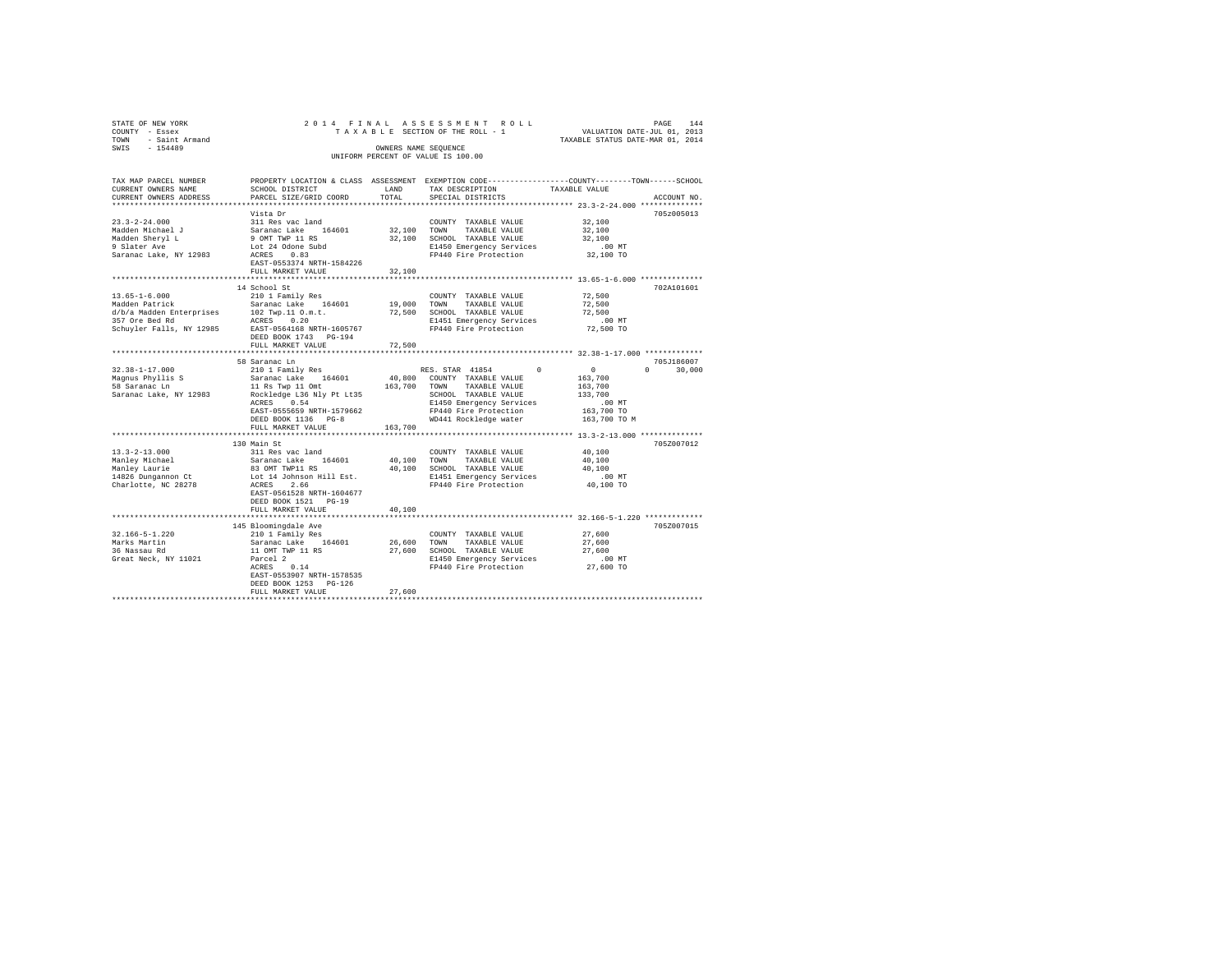| STATE OF NEW YORK<br>COUNTY - Essex<br>TOWN - Saint Armand<br>SWIS - 154489                                                                                                                                                                                                                                                                                                                                              |                                                                                                                                                                                                                                                                                                                                                                                                                | OWNERS NAME SEOUENCE | 2014 FINAL ASSESSMENT ROLL<br>UNIFORM PERCENT OF VALUE IS 100.00                 | DAGE PROF והוא שהוא אישי של PAXABLE SECTION OF THE ROLL - 1 WALUATION DATE-JUL 01, 2013<br>2013 SECTION OF THE ROLL - 1 TAXABLE STATUS DATE-MAR 01 2014 |
|--------------------------------------------------------------------------------------------------------------------------------------------------------------------------------------------------------------------------------------------------------------------------------------------------------------------------------------------------------------------------------------------------------------------------|----------------------------------------------------------------------------------------------------------------------------------------------------------------------------------------------------------------------------------------------------------------------------------------------------------------------------------------------------------------------------------------------------------------|----------------------|----------------------------------------------------------------------------------|---------------------------------------------------------------------------------------------------------------------------------------------------------|
| TAX MAP PARCEL NUMBER<br>CURRENT OWNERS NAME<br>CURRENT OWNERS ADDRESS                                                                                                                                                                                                                                                                                                                                                   | SCHOOL DISTRICT<br>PARCEL SIZE/GRID COORD                                                                                                                                                                                                                                                                                                                                                                      | LAND<br>TOTAL        | TAX DESCRIPTION TAXABLE VALUE<br>SPECIAL DISTRICTS                               | PROPERTY LOCATION & CLASS ASSESSMENT EXEMPTION CODE----------------COUNTY-------TOWN------SCHOOL<br>ACCOUNT NO.                                         |
|                                                                                                                                                                                                                                                                                                                                                                                                                          | Vista Dr                                                                                                                                                                                                                                                                                                                                                                                                       |                      |                                                                                  | 705z005013                                                                                                                                              |
| $\begin{tabular}{lllllllllll} \multicolumn{1}{c}{\textbf{23.3--2--24.000}} & \multicolumn{1}{c}{\textbf{311 Res vac}\ \textbf{1}} & \multicolumn{1}{c}{\textbf{32.3--2--24.000}} & \multicolumn{1}{c}{\textbf{33.3--2--24.000}} & \multicolumn{1}{c}{\textbf{33.3--2--2}} & \multicolumn{1}{c}{\textbf{34.3--2--2}} & \multicolumn{1}{c}{\textbf{35.3--2--2}} & \multicolumn{1}{c}{\textbf{36.3--2--2}} & \multicolumn{$ |                                                                                                                                                                                                                                                                                                                                                                                                                |                      | COUNTY TAXABLE VALUE 32,100                                                      |                                                                                                                                                         |
|                                                                                                                                                                                                                                                                                                                                                                                                                          |                                                                                                                                                                                                                                                                                                                                                                                                                |                      | COUNTY TAXABLE VALUE<br>32,100 TOWN TAXABLE VALUE                                | 32,100                                                                                                                                                  |
|                                                                                                                                                                                                                                                                                                                                                                                                                          |                                                                                                                                                                                                                                                                                                                                                                                                                |                      |                                                                                  | 32,100                                                                                                                                                  |
|                                                                                                                                                                                                                                                                                                                                                                                                                          |                                                                                                                                                                                                                                                                                                                                                                                                                |                      | 32,100 SCHOOL TAXABLE VALUE<br>E1450 Emergency Services<br>FP440 Fire Protection | 00 MT.<br>32,100 TO                                                                                                                                     |
|                                                                                                                                                                                                                                                                                                                                                                                                                          |                                                                                                                                                                                                                                                                                                                                                                                                                |                      |                                                                                  |                                                                                                                                                         |
|                                                                                                                                                                                                                                                                                                                                                                                                                          | EAST-0553374 NRTH-1584226                                                                                                                                                                                                                                                                                                                                                                                      |                      |                                                                                  |                                                                                                                                                         |
|                                                                                                                                                                                                                                                                                                                                                                                                                          | FULL MARKET VALUE                                                                                                                                                                                                                                                                                                                                                                                              | 32,100               |                                                                                  |                                                                                                                                                         |
|                                                                                                                                                                                                                                                                                                                                                                                                                          |                                                                                                                                                                                                                                                                                                                                                                                                                | ******************   |                                                                                  | ********************* 13.65-1-6.000 **************                                                                                                      |
|                                                                                                                                                                                                                                                                                                                                                                                                                          | 14 School St                                                                                                                                                                                                                                                                                                                                                                                                   |                      |                                                                                  | 702A101601                                                                                                                                              |
| $13.65 - 1 - 6.000$                                                                                                                                                                                                                                                                                                                                                                                                      | 210 1 Family Res                                                                                                                                                                                                                                                                                                                                                                                               |                      | COUNTY TAXABLE VALUE                                                             | 72,500                                                                                                                                                  |
|                                                                                                                                                                                                                                                                                                                                                                                                                          |                                                                                                                                                                                                                                                                                                                                                                                                                |                      |                                                                                  | 72,500<br>72,500                                                                                                                                        |
| Nadden Patrick<br>Saranac Lake 164601 19,000 TOWN TAXABLE VALUE<br>26 April 0.01 TWD, 11 0.001 TOWN TAXABLE VALUE<br>257 Ore Bed Rd<br>27,500 SCHOOL TAXABLE VALUE<br>257 Ore Bed Rd<br>27,500 SCHOOL TAXABLE VALUE<br>267 Ore Bed Rd<br>27,50                                                                                                                                                                           |                                                                                                                                                                                                                                                                                                                                                                                                                |                      |                                                                                  |                                                                                                                                                         |
|                                                                                                                                                                                                                                                                                                                                                                                                                          |                                                                                                                                                                                                                                                                                                                                                                                                                |                      | E1451 Emergency Services<br>FP440 Fire Protection                                | 00 MT.<br>72,500 TO                                                                                                                                     |
|                                                                                                                                                                                                                                                                                                                                                                                                                          | DEED BOOK 1743 PG-194                                                                                                                                                                                                                                                                                                                                                                                          |                      |                                                                                  |                                                                                                                                                         |
|                                                                                                                                                                                                                                                                                                                                                                                                                          | FULL MARKET VALUE                                                                                                                                                                                                                                                                                                                                                                                              | 72,500               |                                                                                  |                                                                                                                                                         |
|                                                                                                                                                                                                                                                                                                                                                                                                                          |                                                                                                                                                                                                                                                                                                                                                                                                                |                      |                                                                                  |                                                                                                                                                         |
|                                                                                                                                                                                                                                                                                                                                                                                                                          | 58 Saranac Ln                                                                                                                                                                                                                                                                                                                                                                                                  |                      |                                                                                  | 705J186007                                                                                                                                              |
| $32.38 - 1 - 17.000$                                                                                                                                                                                                                                                                                                                                                                                                     |                                                                                                                                                                                                                                                                                                                                                                                                                |                      |                                                                                  | $0 \t 30,000$                                                                                                                                           |
|                                                                                                                                                                                                                                                                                                                                                                                                                          |                                                                                                                                                                                                                                                                                                                                                                                                                |                      |                                                                                  |                                                                                                                                                         |
| Magnus Phyllis S<br>58 Saranac Ln                                                                                                                                                                                                                                                                                                                                                                                        |                                                                                                                                                                                                                                                                                                                                                                                                                |                      |                                                                                  |                                                                                                                                                         |
| Saranac Lake, NY 12983                                                                                                                                                                                                                                                                                                                                                                                                   |                                                                                                                                                                                                                                                                                                                                                                                                                |                      |                                                                                  |                                                                                                                                                         |
|                                                                                                                                                                                                                                                                                                                                                                                                                          |                                                                                                                                                                                                                                                                                                                                                                                                                |                      |                                                                                  |                                                                                                                                                         |
|                                                                                                                                                                                                                                                                                                                                                                                                                          |                                                                                                                                                                                                                                                                                                                                                                                                                |                      |                                                                                  | 163,700 TO                                                                                                                                              |
|                                                                                                                                                                                                                                                                                                                                                                                                                          |                                                                                                                                                                                                                                                                                                                                                                                                                |                      |                                                                                  | 163,700 TO M                                                                                                                                            |
|                                                                                                                                                                                                                                                                                                                                                                                                                          | FULL MARKET VALUE                                                                                                                                                                                                                                                                                                                                                                                              | 163,700              |                                                                                  |                                                                                                                                                         |
|                                                                                                                                                                                                                                                                                                                                                                                                                          |                                                                                                                                                                                                                                                                                                                                                                                                                |                      |                                                                                  |                                                                                                                                                         |
| $13.3 - 2 - 13.000$                                                                                                                                                                                                                                                                                                                                                                                                      | 130 Main St                                                                                                                                                                                                                                                                                                                                                                                                    |                      |                                                                                  | 705Z007012<br>40,100                                                                                                                                    |
|                                                                                                                                                                                                                                                                                                                                                                                                                          |                                                                                                                                                                                                                                                                                                                                                                                                                |                      |                                                                                  | 40,100                                                                                                                                                  |
|                                                                                                                                                                                                                                                                                                                                                                                                                          |                                                                                                                                                                                                                                                                                                                                                                                                                |                      |                                                                                  | 40,100                                                                                                                                                  |
| Manley Michael<br>Manley Laurie<br>14826 Dungannon Ct                                                                                                                                                                                                                                                                                                                                                                    | 130 Watar 30 COUNTY TAXABLE VALUE<br>Saranac Lake 164601 40,100 TOWN TAXABLE VALUE<br>83 OMT TWP11 RS 40,100 SCHOOL TAXABLE VALUE<br>161 Lot 14 Johnson Hill Est.<br>149,100 SCHOOL TAXABLE VALUE<br>1615 E1451 Emergency Services<br>1646                                                                                                                                                                     |                      |                                                                                  |                                                                                                                                                         |
| Charlotte, NC 28278                                                                                                                                                                                                                                                                                                                                                                                                      | ACRES 2.66                                                                                                                                                                                                                                                                                                                                                                                                     |                      | FP440 Fire Protection                                                            | .00 MT<br>40,100 TO                                                                                                                                     |
|                                                                                                                                                                                                                                                                                                                                                                                                                          | EAST-0561528 NRTH-1604677                                                                                                                                                                                                                                                                                                                                                                                      |                      |                                                                                  |                                                                                                                                                         |
|                                                                                                                                                                                                                                                                                                                                                                                                                          | DEED BOOK 1521 PG-19                                                                                                                                                                                                                                                                                                                                                                                           |                      |                                                                                  |                                                                                                                                                         |
|                                                                                                                                                                                                                                                                                                                                                                                                                          | FULL MARKET VALUE                                                                                                                                                                                                                                                                                                                                                                                              | 40,100               |                                                                                  |                                                                                                                                                         |
|                                                                                                                                                                                                                                                                                                                                                                                                                          |                                                                                                                                                                                                                                                                                                                                                                                                                | *************        |                                                                                  |                                                                                                                                                         |
|                                                                                                                                                                                                                                                                                                                                                                                                                          |                                                                                                                                                                                                                                                                                                                                                                                                                |                      |                                                                                  | 705Z007015                                                                                                                                              |
| 32.166-5-1.220                                                                                                                                                                                                                                                                                                                                                                                                           |                                                                                                                                                                                                                                                                                                                                                                                                                |                      |                                                                                  |                                                                                                                                                         |
| Marks Martin<br>36 Nassau Rd                                                                                                                                                                                                                                                                                                                                                                                             | $\begin{tabular}{l c c c c c c c c} \hline 145\ \text{Bloomingdale} \text{Ave} & \text{Xe} & \text{COUNTY} & \text{TAXABLE VALUE} & \text{Z1, v} \\\hline 210\ \text{I ramily Res} & \text{Saramic label} & 26,600 & \text{TOMW} & \text{TAXABLE VALUE} & 27,600 \\ 11\ \text{MUT TWP}\ 11\ \text{RS} & 27,600 & \text{SCHOOL} & \text{TAXABLE VALUE} & 27,600 \\ \text{Parcel 2} & & 27,600 & \text{SCHOL} &$ |                      |                                                                                  |                                                                                                                                                         |
|                                                                                                                                                                                                                                                                                                                                                                                                                          |                                                                                                                                                                                                                                                                                                                                                                                                                |                      |                                                                                  |                                                                                                                                                         |
| Great Neck, NY 11021                                                                                                                                                                                                                                                                                                                                                                                                     |                                                                                                                                                                                                                                                                                                                                                                                                                |                      |                                                                                  |                                                                                                                                                         |
|                                                                                                                                                                                                                                                                                                                                                                                                                          |                                                                                                                                                                                                                                                                                                                                                                                                                |                      |                                                                                  |                                                                                                                                                         |
|                                                                                                                                                                                                                                                                                                                                                                                                                          | DEED BOOK 1253 PG-126                                                                                                                                                                                                                                                                                                                                                                                          |                      |                                                                                  |                                                                                                                                                         |
|                                                                                                                                                                                                                                                                                                                                                                                                                          | FULL MARKET VALUE                                                                                                                                                                                                                                                                                                                                                                                              | 27,600               |                                                                                  |                                                                                                                                                         |
|                                                                                                                                                                                                                                                                                                                                                                                                                          |                                                                                                                                                                                                                                                                                                                                                                                                                |                      |                                                                                  |                                                                                                                                                         |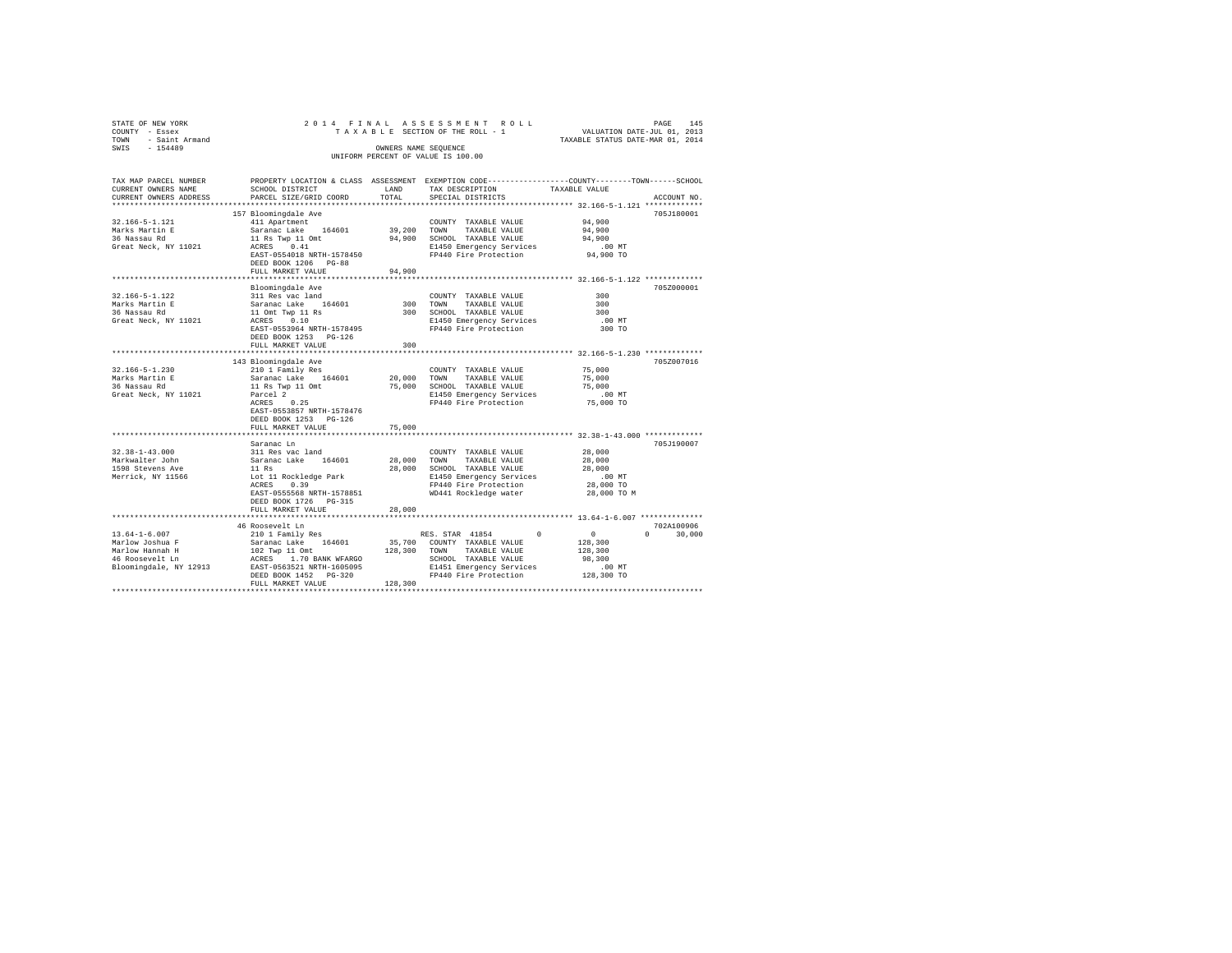| STATE OF NEW YORK                                                                                                                                                                                                                                                                                                                                                    |                                                             |             | 2014 FINAL ASSESSMENT ROLL                                                                      | PAGE 145<br>VALUATION DATE-JUL 01, 2013<br>TAXABLE STATUS DATE-MAR 01, 2014 |               |
|----------------------------------------------------------------------------------------------------------------------------------------------------------------------------------------------------------------------------------------------------------------------------------------------------------------------------------------------------------------------|-------------------------------------------------------------|-------------|-------------------------------------------------------------------------------------------------|-----------------------------------------------------------------------------|---------------|
| COUNTY - Essex<br>TOWN - Saint Armand                                                                                                                                                                                                                                                                                                                                |                                                             |             | TAXABLE SECTION OF THE ROLL - 1                                                                 |                                                                             |               |
| SWIS<br>$-154489$                                                                                                                                                                                                                                                                                                                                                    |                                                             |             | OWNERS NAME SEOUENCE                                                                            |                                                                             |               |
|                                                                                                                                                                                                                                                                                                                                                                      |                                                             |             | UNIFORM PERCENT OF VALUE IS 100.00                                                              |                                                                             |               |
|                                                                                                                                                                                                                                                                                                                                                                      |                                                             |             |                                                                                                 |                                                                             |               |
| TAX MAP PARCEL NUMBER                                                                                                                                                                                                                                                                                                                                                |                                                             |             | PROPERTY LOCATION & CLASS ASSESSMENT EXEMPTION CODE----------------COUNTY-------TOWN-----SCHOOL |                                                                             |               |
| CURRENT OWNERS NAME                                                                                                                                                                                                                                                                                                                                                  | SCHOOL DISTRICT                                             | LAND        | TAX DESCRIPTION                                                                                 | TAXABLE VALUE                                                               |               |
| CURRENT OWNERS ADDRESS                                                                                                                                                                                                                                                                                                                                               | PARCEL SIZE/GRID COORD                                      | TOTAL       | SPECIAL DISTRICTS                                                                               |                                                                             | ACCOUNT NO.   |
| *************************                                                                                                                                                                                                                                                                                                                                            |                                                             |             |                                                                                                 |                                                                             |               |
|                                                                                                                                                                                                                                                                                                                                                                      | 157 Bloomingdale Ave                                        |             |                                                                                                 |                                                                             | 705J180001    |
| 32.166-5-1.121                                                                                                                                                                                                                                                                                                                                                       | 411 Apartment                                               |             | COUNTY TAXABLE VALUE                                                                            | 94,900                                                                      |               |
|                                                                                                                                                                                                                                                                                                                                                                      | Saranac Lake 164601                                         |             | TAXABLE VALUE                                                                                   | 94,900                                                                      |               |
| Marks Martin E<br>36 Nassau Rd                                                                                                                                                                                                                                                                                                                                       |                                                             |             | 39,200 TOWN TAXABLE VALUE<br>94,900 SCHOOL TAXABLE VALUE                                        | 94,900                                                                      |               |
| Great Neck, NY 11021                                                                                                                                                                                                                                                                                                                                                 | 11 Rs Twp 11 Omt<br>ACRES 0.41                              |             |                                                                                                 |                                                                             |               |
|                                                                                                                                                                                                                                                                                                                                                                      | EAST-0554018 NRTH-1578450                                   |             | E1450 Emergency Services .00 MT<br>FP440 Fire Protection 94,900 TO                              |                                                                             |               |
|                                                                                                                                                                                                                                                                                                                                                                      | DEED BOOK 1206 PG-88                                        |             |                                                                                                 |                                                                             |               |
|                                                                                                                                                                                                                                                                                                                                                                      | FULL MARKET VALUE                                           | 94,900      |                                                                                                 |                                                                             |               |
|                                                                                                                                                                                                                                                                                                                                                                      |                                                             |             |                                                                                                 |                                                                             |               |
|                                                                                                                                                                                                                                                                                                                                                                      | Bloomingdale Ave                                            |             |                                                                                                 |                                                                             | 705Z000001    |
| 32.166-5-1.122                                                                                                                                                                                                                                                                                                                                                       | 311 Res vac land                                            |             | COUNTY TAXABLE VALUE                                                                            | 300                                                                         |               |
| Marks Martin E                                                                                                                                                                                                                                                                                                                                                       | Saranac Lake 164601                                         |             | 300 TOWN<br>TAXABLE VALUE                                                                       | 300                                                                         |               |
| 36 Nassau Rd                                                                                                                                                                                                                                                                                                                                                         |                                                             |             | 300 SCHOOL TAXABLE VALUE                                                                        | 300                                                                         |               |
| Great Neck, NY 11021                                                                                                                                                                                                                                                                                                                                                 | 11 Omt Twp 11 Rs<br>ACRES 0.10<br>EAST-0553964 NRTH-1578495 |             | E1450 Emergency Services<br>FP440 Fire Protection                                               | $.00$ MT                                                                    |               |
|                                                                                                                                                                                                                                                                                                                                                                      |                                                             |             |                                                                                                 | 300 TO                                                                      |               |
|                                                                                                                                                                                                                                                                                                                                                                      | DEED BOOK 1253    PG-126                                    |             |                                                                                                 |                                                                             |               |
|                                                                                                                                                                                                                                                                                                                                                                      | FULL MARKET VALUE<br>**************************             | 300         |                                                                                                 | *************************** 32.166-5-1.230 *************                    |               |
|                                                                                                                                                                                                                                                                                                                                                                      |                                                             |             |                                                                                                 |                                                                             | 705Z007016    |
| $32.166 - 5 - 1.230$                                                                                                                                                                                                                                                                                                                                                 | 143 Bloomingdale Ave<br>210 1 Family Res                    |             |                                                                                                 | 75,000                                                                      |               |
| Marks Martin E                                                                                                                                                                                                                                                                                                                                                       | Saranac Lake 164601                                         | 20.000 TOWN | COUNTY TAXABLE VALUE<br>TAXABLE VALUE                                                           | 75,000                                                                      |               |
| 36 Nassau Rd                                                                                                                                                                                                                                                                                                                                                         | 11 Rs Twp 11 Omt                                            |             | 75,000 SCHOOL TAXABLE VALUE                                                                     | 75,000                                                                      |               |
| Great Neck, NY 11021                                                                                                                                                                                                                                                                                                                                                 | Parcel 2                                                    |             | E1450 Emergency Services                                                                        | $.00$ MT                                                                    |               |
|                                                                                                                                                                                                                                                                                                                                                                      | $ACRES$ 0.25                                                |             | FP440 Fire Protection                                                                           | 75,000 TO                                                                   |               |
|                                                                                                                                                                                                                                                                                                                                                                      | EAST-0553857 NRTH-1578476                                   |             |                                                                                                 |                                                                             |               |
|                                                                                                                                                                                                                                                                                                                                                                      | DEED BOOK 1253 PG-126                                       |             |                                                                                                 |                                                                             |               |
|                                                                                                                                                                                                                                                                                                                                                                      | FULL MARKET VALUE                                           | 75,000      |                                                                                                 |                                                                             |               |
|                                                                                                                                                                                                                                                                                                                                                                      |                                                             |             |                                                                                                 | ************************************32.38-1-43.000 *************            |               |
|                                                                                                                                                                                                                                                                                                                                                                      | Saranac Ln                                                  |             |                                                                                                 |                                                                             | 705J190007    |
| $32.38 - 1 - 43.000$                                                                                                                                                                                                                                                                                                                                                 | 311 Res vac land                                            |             | COUNTY TAXABLE VALUE                                                                            | 28,000                                                                      |               |
| Markwalter John                                                                                                                                                                                                                                                                                                                                                      | Saranac Lake 164601<br>11 Rs                                | 28,000 TOWN | TAXABLE VALUE                                                                                   | 28,000                                                                      |               |
| 1598 Stevens Ave                                                                                                                                                                                                                                                                                                                                                     |                                                             |             | 28,000 SCHOOL TAXABLE VALUE                                                                     | 28,000                                                                      |               |
| Merrick, NY 11566                                                                                                                                                                                                                                                                                                                                                    |                                                             |             | Lot 11 Rockledge Park [1450 Emergency Services<br>ACRES 0.39 [149] PRESERVICES                  | $.00$ MT                                                                    |               |
|                                                                                                                                                                                                                                                                                                                                                                      |                                                             |             |                                                                                                 | 28,000 TO                                                                   |               |
|                                                                                                                                                                                                                                                                                                                                                                      | EAST-0555568 NRTH-1578851                                   |             | WD441 Rockledge water                                                                           | 28,000 TO M                                                                 |               |
|                                                                                                                                                                                                                                                                                                                                                                      | DEED BOOK 1726 PG-315                                       |             |                                                                                                 |                                                                             |               |
|                                                                                                                                                                                                                                                                                                                                                                      | FULL MARKET VALUE                                           | 28,000      |                                                                                                 |                                                                             |               |
|                                                                                                                                                                                                                                                                                                                                                                      |                                                             |             |                                                                                                 |                                                                             |               |
|                                                                                                                                                                                                                                                                                                                                                                      | 46 Roosevelt Ln                                             |             |                                                                                                 |                                                                             | 702A100906    |
|                                                                                                                                                                                                                                                                                                                                                                      |                                                             |             |                                                                                                 | $\begin{smallmatrix}&&0\\128,300\end{smallmatrix}$                          | $0 \t 30,000$ |
|                                                                                                                                                                                                                                                                                                                                                                      |                                                             |             |                                                                                                 | 128,300                                                                     |               |
|                                                                                                                                                                                                                                                                                                                                                                      |                                                             |             |                                                                                                 | 98,300                                                                      |               |
| $\begin{tabular}{lcccc} 13.64-1-6.007 & 210 & 1 Family Res & 164601 & 35,700 & 2000NT & 7XABBLE VALUEMarlow Joshua F & 5araana C lake & 164601 & 35,700 & 2000NTY & TAXABLE VALUEMarlow Hamah H & 102 Type 11 Omt & 128,300 TOWN TAXABLE VALUE46 Roosevelt Ln & 26RBS & 1.70 BANK WPARGO & 12800 TOWAN TAXABLE VALUEBloomingdale, NY 12913 & EAST-0563521 NRTH-1605$ |                                                             |             |                                                                                                 | .00 MT                                                                      |               |
|                                                                                                                                                                                                                                                                                                                                                                      |                                                             |             |                                                                                                 | 128,300 TO                                                                  |               |
|                                                                                                                                                                                                                                                                                                                                                                      | FULL MARKET VALUE                                           | 128,300     |                                                                                                 |                                                                             |               |
|                                                                                                                                                                                                                                                                                                                                                                      |                                                             |             |                                                                                                 |                                                                             |               |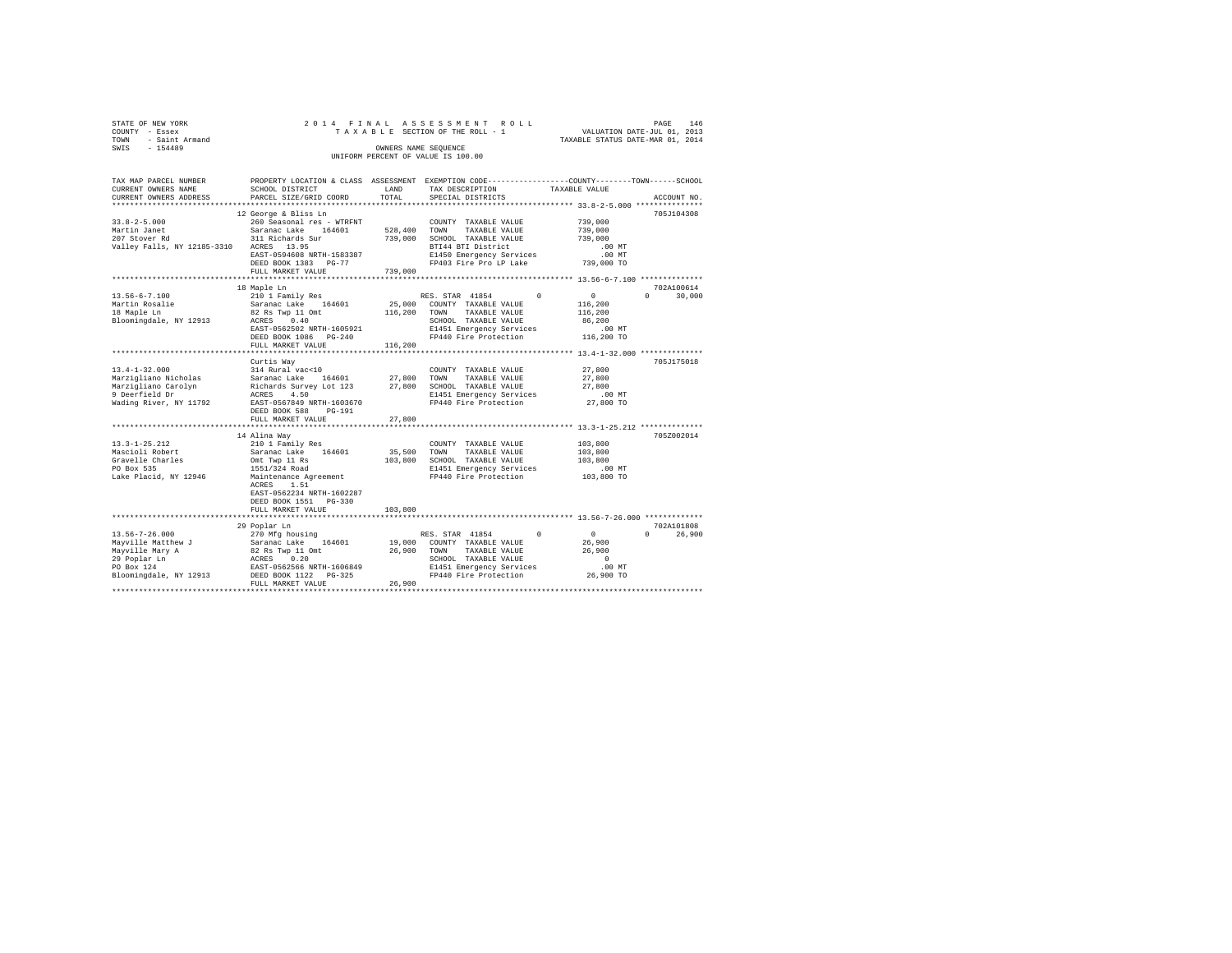|                                    | STATE OF NEW YORK |  |  |  |  |  |  |  | 2014 FINAL ASSESSMENT ROLL      |  |  |  |  |                                  |  | PAGE |  | 146 |
|------------------------------------|-------------------|--|--|--|--|--|--|--|---------------------------------|--|--|--|--|----------------------------------|--|------|--|-----|
|                                    | COUNTY - Essex    |  |  |  |  |  |  |  | TAXABLE SECTION OF THE ROLL - 1 |  |  |  |  | VALUATION DATE-JUL 01, 2013      |  |      |  |     |
| TOWN                               | - Saint Armand    |  |  |  |  |  |  |  |                                 |  |  |  |  | TAXABLE STATUS DATE-MAR 01, 2014 |  |      |  |     |
| SWIS                               | $-154489$         |  |  |  |  |  |  |  | OWNERS NAME SEOUENCE            |  |  |  |  |                                  |  |      |  |     |
| UNIFORM PERCENT OF VALUE IS 100.00 |                   |  |  |  |  |  |  |  |                                 |  |  |  |  |                                  |  |      |  |     |

| TAX MAP PARCEL NUMBER<br>CURRENT OWNERS NAME | SCHOOL DISTRICT                                              | LAND        | PROPERTY LOCATION & CLASS ASSESSMENT EXEMPTION CODE---------------COUNTY-------TOWN-----SCHOOL<br>TAX DESCRIPTION | TAXABLE VALUE          |                        |
|----------------------------------------------|--------------------------------------------------------------|-------------|-------------------------------------------------------------------------------------------------------------------|------------------------|------------------------|
| CURRENT OWNERS ADDRESS                       | PARCEL SIZE/GRID COORD                                       | TOTAL       | SPECIAL DISTRICTS                                                                                                 |                        | ACCOUNT NO.            |
| ************************                     |                                                              |             |                                                                                                                   |                        |                        |
|                                              | 12 George & Bliss Ln                                         |             |                                                                                                                   |                        | 705J104308             |
| $33.8 - 2 - 5.000$                           | 260 Seasonal res - WTRFNT                                    |             | COUNTY TAXABLE VALUE                                                                                              | 739,000                |                        |
| Martin Janet                                 | Saranac Lake 164601                                          |             | 528,400 TOWN TAXABLE VALUE                                                                                        | 739,000                |                        |
| 207 Stover Rd                                | 311 Richards Sur                                             |             | 739,000 SCHOOL TAXABLE VALUE                                                                                      | 739,000                |                        |
| Valley Falls, NY 12185-3310 ACRES 13.95      |                                                              |             | BTI44 BTI District                                                                                                | $.00$ MT               |                        |
|                                              | EAST-0594608 NRTH-1583387                                    |             | E1450 Emergency Services                                                                                          | $.00$ MT               |                        |
|                                              | DEED BOOK 1383 PG-77                                         |             | FP403 Fire Pro LP Lake                                                                                            | 739,000 TO             |                        |
|                                              | FULL MARKET VALUE                                            | 739,000     |                                                                                                                   |                        |                        |
|                                              |                                                              |             |                                                                                                                   |                        |                        |
|                                              | 18 Maple Ln                                                  |             |                                                                                                                   |                        | 702A100614             |
| $13.56 - 6 - 7.100$                          | 210 1 Family Res                                             |             | RES. STAR 41854                                                                                                   | $\Omega$<br>$^{\circ}$ | 30,000<br>$\mathbf{r}$ |
| Martin Rosalie<br>' <sup>0</sup> Marle Ln    |                                                              |             | 25,000 COUNTY TAXABLE VALUE                                                                                       | 116,200                |                        |
|                                              | Saranac Lake 164601<br>82 Rs Twp 11 Omt                      |             | 116,200 TOWN TAXABLE VALUE                                                                                        | 116,200                |                        |
| Bloomingdale, NY 12913                       | ACRES 0.40                                                   |             | SCHOOL TAXABLE VALUE                                                                                              | 86,200                 |                        |
|                                              | EAST-0562502 NRTH-1605921                                    |             | E1451 Emergency Services                                                                                          | .00MT                  |                        |
|                                              | DEED BOOK 1086 PG-240                                        |             | FP440 Fire Protection                                                                                             | 116,200 TO             |                        |
|                                              | FULL MARKET VALUE                                            | 116,200     |                                                                                                                   |                        |                        |
|                                              |                                                              |             |                                                                                                                   |                        |                        |
|                                              | Curtis Way                                                   |             |                                                                                                                   |                        | 705J175018             |
| $13.4 - 1 - 32.000$                          | 314 Rural vac<10                                             |             | COUNTY TAXABLE VALUE                                                                                              | 27,800                 |                        |
| Marzigliano Nicholas                         |                                                              | 27,800 TOWN | TAXABLE VALUE                                                                                                     | 27,800                 |                        |
| Marzigliano Carolyn                          |                                                              |             | 27,800 SCHOOL TAXABLE VALUE                                                                                       | 27,800                 |                        |
| 9 Deerfield Dr                               | Saranac Lake 164601<br>Richards Survey Lot 123<br>ACRES 4.50 |             | E1451 Emergency Services                                                                                          | $.00$ MT               |                        |
| Wading River, NY 11792                       | EAST-0567849 NRTH-1603670                                    |             | FP440 Fire Protection                                                                                             | 27,800 TO              |                        |
|                                              | DEED BOOK 588                                                |             |                                                                                                                   |                        |                        |
|                                              | PG-191                                                       |             |                                                                                                                   |                        |                        |
|                                              | FULL MARKET VALUE                                            | 27,800      |                                                                                                                   |                        |                        |
|                                              |                                                              |             |                                                                                                                   |                        |                        |
|                                              | 14 Alina Way                                                 |             |                                                                                                                   |                        | 705Z002014             |
| 13.3-1-25.212                                | 210 1 Family Res                                             |             | COUNTY TAXABLE VALUE                                                                                              | 103,800                |                        |
| Mascioli Robert                              | Saranac Lake 164601                                          | 35,500 TOWN | TAXABLE VALUE                                                                                                     | 103,800                |                        |
| Gravelle Charles                             | Omt Twp 11 Rs                                                |             | 103,800 SCHOOL TAXABLE VALUE                                                                                      | 103,800                |                        |
| PO Box 535                                   | 1551/324 Road                                                |             | E1451 Emergency Services                                                                                          | $.00$ MT               |                        |
| Lake Placid, NY 12946                        | Maintenance Agreement                                        |             | FP440 Fire Protection                                                                                             | 103,800 TO             |                        |
|                                              | ACRES 1.51                                                   |             |                                                                                                                   |                        |                        |
|                                              | EAST-0562234 NRTH-1602287                                    |             |                                                                                                                   |                        |                        |
|                                              | DEED BOOK 1551 PG-330                                        |             |                                                                                                                   |                        |                        |
|                                              | FULL MARKET VALUE                                            | 103,800     |                                                                                                                   |                        |                        |
|                                              |                                                              |             |                                                                                                                   |                        |                        |
|                                              | 29 Poplar Ln                                                 |             |                                                                                                                   |                        | 702A101808             |
| $13.56 - 7 - 26.000$                         | 270 Mfg housing                                              |             | RES. STAR 41854                                                                                                   | $\sim$ 0<br>$^{\circ}$ | $\Omega$<br>26,900     |
| Mayville Matthew J                           | Saranac Lake 164601                                          |             | 19,000 COUNTY TAXABLE VALUE                                                                                       | 26,900                 |                        |
| Mayville Mary A                              | 82 Rs Twp 11 Omt<br>ACRES 0.20<br>EAST-0562566 NRTH-1606849  | 26,900 TOWN | TAXABLE VALUE                                                                                                     | 26,900                 |                        |
| 29 Poplar Ln                                 |                                                              |             | SCHOOL TAXABLE VALUE                                                                                              | $\sim$ 0               |                        |
| PO Box 124                                   |                                                              |             |                                                                                                                   |                        |                        |
| Bloomingdale, NY 12913                       | DEED BOOK 1122 PG-325                                        |             | E1451 Emergency Services .00 MT<br>FP440 Fire Protection 26,900 TO                                                |                        |                        |
|                                              | FULL MARKET VALUE                                            | 26,900      |                                                                                                                   |                        |                        |
|                                              |                                                              |             |                                                                                                                   |                        |                        |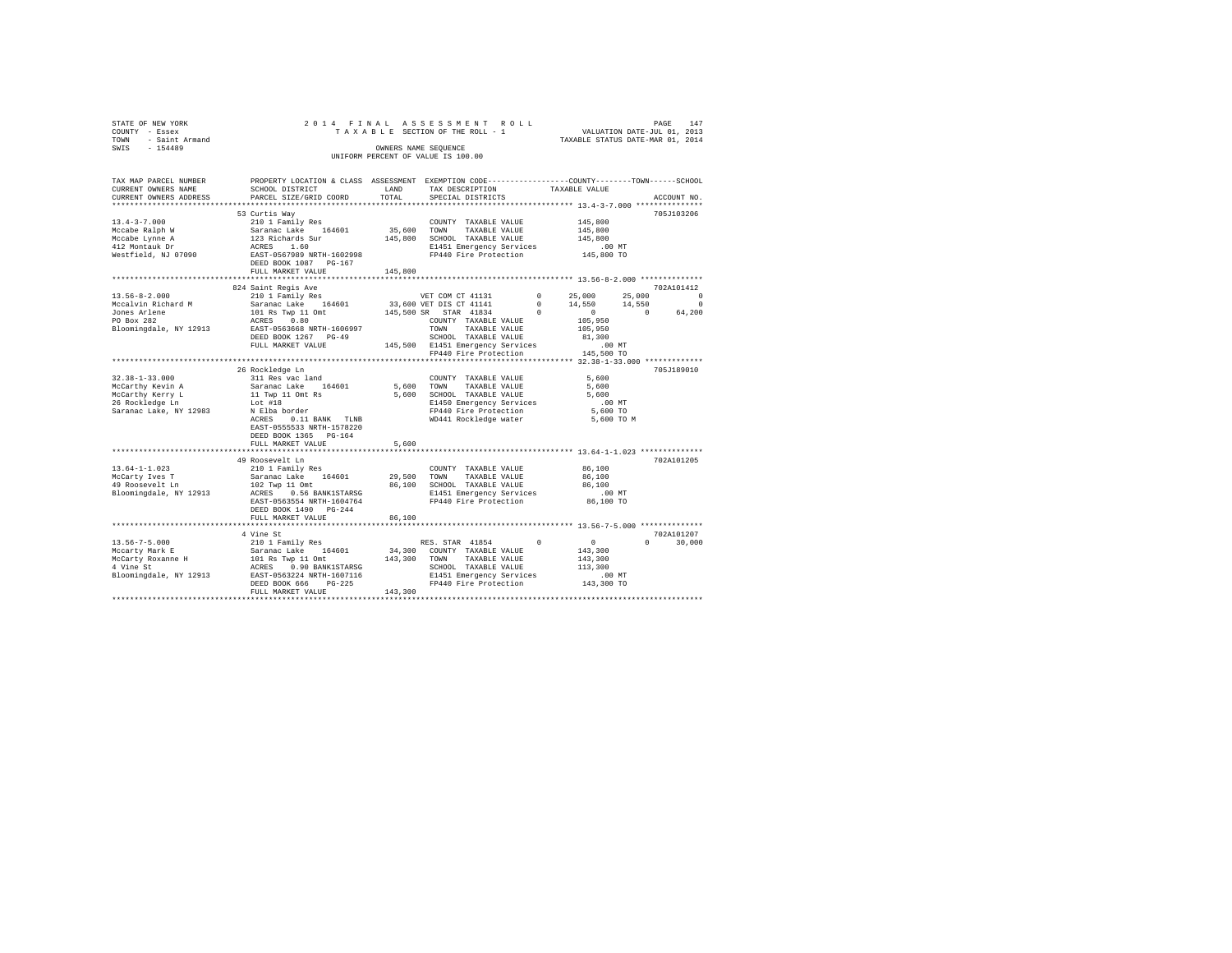| STATE OF NEW YORK   |  |  | 2014 FINAL ASSESSMENT ROLL         |                                  | PAGE | 147 |
|---------------------|--|--|------------------------------------|----------------------------------|------|-----|
| COUNTY - Essex      |  |  | TAXABLE SECTION OF THE ROLL - 1    | VALUATION DATE-JUL 01, 2013      |      |     |
| TOWN - Saint Armand |  |  |                                    | TAXABLE STATUS DATE-MAR 01, 2014 |      |     |
| SWIS<br>$-154489$   |  |  | OWNERS NAME SEOUENCE               |                                  |      |     |
|                     |  |  | UNIFORM PERCENT OF VALUE IS 100.00 |                                  |      |     |
|                     |  |  |                                    |                                  |      |     |

| TAX MAP PARCEL NUMBER                                                                                                                                                                             | PROPERTY LOCATION & CLASS ASSESSMENT EXEMPTION CODE----------------COUNTY-------TOWN-----SCHOOL                                                                                                                                                             |         |                                                                                                   |                                          |                                                    |
|---------------------------------------------------------------------------------------------------------------------------------------------------------------------------------------------------|-------------------------------------------------------------------------------------------------------------------------------------------------------------------------------------------------------------------------------------------------------------|---------|---------------------------------------------------------------------------------------------------|------------------------------------------|----------------------------------------------------|
| CURRENT OWNERS NAME                                                                                                                                                                               | SCHOOL DISTRICT                                                                                                                                                                                                                                             | LAND    | TAX DESCRIPTION                                                                                   | TAXABLE VALUE                            |                                                    |
| CURRENT OWNERS ADDRESS                                                                                                                                                                            | PARCEL SIZE/GRID COORD                                                                                                                                                                                                                                      | TOTAL   | SPECIAL DISTRICTS                                                                                 |                                          | ACCOUNT NO.                                        |
|                                                                                                                                                                                                   |                                                                                                                                                                                                                                                             |         |                                                                                                   | ************** 13.4-3-7.000 *******      |                                                    |
|                                                                                                                                                                                                   | 53 Curtis Way                                                                                                                                                                                                                                               |         |                                                                                                   |                                          | 705J103206                                         |
|                                                                                                                                                                                                   |                                                                                                                                                                                                                                                             |         | COUNTY TAXABLE VALUE                                                                              | 145,800                                  |                                                    |
|                                                                                                                                                                                                   |                                                                                                                                                                                                                                                             |         | 35,600 TOWN TAXABLE VALUE                                                                         | 145,800<br>145,800                       |                                                    |
|                                                                                                                                                                                                   |                                                                                                                                                                                                                                                             |         | 145,800 SCHOOL TAXABLE VALUE                                                                      |                                          |                                                    |
|                                                                                                                                                                                                   |                                                                                                                                                                                                                                                             |         | E1451 Emergency Services .00 MT<br>FP440 Fire Protection  145,800 TO                              |                                          |                                                    |
|                                                                                                                                                                                                   |                                                                                                                                                                                                                                                             |         |                                                                                                   |                                          |                                                    |
|                                                                                                                                                                                                   |                                                                                                                                                                                                                                                             |         |                                                                                                   |                                          |                                                    |
|                                                                                                                                                                                                   | FULL MARKET VALUE                                                                                                                                                                                                                                           | 145,800 | ***********************                                                                           |                                          |                                                    |
|                                                                                                                                                                                                   | **************************                                                                                                                                                                                                                                  |         |                                                                                                   |                                          | ********************* 13.56-8-2.000 ************** |
|                                                                                                                                                                                                   | 824 Saint Regis Ave                                                                                                                                                                                                                                         |         |                                                                                                   |                                          | 702A101412                                         |
|                                                                                                                                                                                                   |                                                                                                                                                                                                                                                             |         | VET COM CT 41131 0 25,000 25,000<br>33,600 VET DIS CT 41141 0 14,550 14,550 0 0 14,550 0 0 64,200 |                                          |                                                    |
|                                                                                                                                                                                                   |                                                                                                                                                                                                                                                             |         |                                                                                                   |                                          |                                                    |
|                                                                                                                                                                                                   |                                                                                                                                                                                                                                                             |         |                                                                                                   |                                          |                                                    |
|                                                                                                                                                                                                   |                                                                                                                                                                                                                                                             |         |                                                                                                   |                                          |                                                    |
|                                                                                                                                                                                                   |                                                                                                                                                                                                                                                             |         |                                                                                                   |                                          |                                                    |
|                                                                                                                                                                                                   |                                                                                                                                                                                                                                                             |         |                                                                                                   |                                          |                                                    |
|                                                                                                                                                                                                   |                                                                                                                                                                                                                                                             |         |                                                                                                   |                                          |                                                    |
|                                                                                                                                                                                                   | *************************************                                                                                                                                                                                                                       |         |                                                                                                   |                                          |                                                    |
|                                                                                                                                                                                                   |                                                                                                                                                                                                                                                             |         |                                                                                                   | ************** 32.38-1-33.000 ********** |                                                    |
|                                                                                                                                                                                                   | 26 Rockledge Ln<br>Notice the search of the Sammar Country TAXABLE VALUE<br>Sammar Lake 164601 5,600 TOWN TAXABLE VALUE<br>11 Twp 11 Ont Rs 5,600 SCHOOL TAXABLE VALUE<br>Lot #18 5,600 ECHOOL TAXABLE VALUE<br>IN E1450 Emergency Services<br>N E1450 Emer |         |                                                                                                   | 5,600                                    | 705J189010                                         |
| $32.38 - 1 - 33.000$                                                                                                                                                                              |                                                                                                                                                                                                                                                             |         | COUNTY TAXABLE VALUE                                                                              |                                          |                                                    |
| Ja.Ja-1-Ja.Juu<br>McCarthy Kevin A<br>McCarthy Kerry L<br>26 Rockledge Ln                                                                                                                         |                                                                                                                                                                                                                                                             |         |                                                                                                   | 5,600<br>5,600                           |                                                    |
|                                                                                                                                                                                                   |                                                                                                                                                                                                                                                             |         | 5,600 SCHOOL TAXABLE VALUE<br>E1450 Emergency Services                                            | $.00$ MT                                 |                                                    |
| Saranac Lake, NY 12983                                                                                                                                                                            |                                                                                                                                                                                                                                                             |         |                                                                                                   |                                          |                                                    |
|                                                                                                                                                                                                   |                                                                                                                                                                                                                                                             |         | FP440 Fire Protection 5,600 TO<br>WD441 Rockledge water 5,600 TO M                                |                                          |                                                    |
|                                                                                                                                                                                                   | ACRES<br>0.11 BANK TLNB                                                                                                                                                                                                                                     |         |                                                                                                   |                                          |                                                    |
|                                                                                                                                                                                                   | EAST-0555533 NRTH-1578220                                                                                                                                                                                                                                   |         |                                                                                                   |                                          |                                                    |
|                                                                                                                                                                                                   | DEED BOOK 1365 PG-164                                                                                                                                                                                                                                       |         |                                                                                                   |                                          |                                                    |
|                                                                                                                                                                                                   | FULL MARKET VALUE<br>*****************************                                                                                                                                                                                                          | 5,600   | ******************************** 13.64-1-1.023 ***************                                    |                                          |                                                    |
|                                                                                                                                                                                                   | 49 Roosevelt Ln                                                                                                                                                                                                                                             |         |                                                                                                   |                                          | 702A101205                                         |
| $13.64 - 1 - 1.023$                                                                                                                                                                               | 210 1 Family Res                                                                                                                                                                                                                                            |         | COUNTY TAXABLE VALUE                                                                              | 86,100                                   |                                                    |
|                                                                                                                                                                                                   |                                                                                                                                                                                                                                                             |         |                                                                                                   | 86,100                                   |                                                    |
|                                                                                                                                                                                                   |                                                                                                                                                                                                                                                             |         |                                                                                                   | 86,100                                   |                                                    |
| 19.04-1-1.023<br>McCarty Ives Theory - Saranac Lake 164601 29,500 TOWN TAXABLE VALUE<br>49.Roosevelt Ln 102 Twp 11.0mt<br>Bloomingdale, NY 12913 - ACRES 0.56 BANK1STARSG - ENGLIDE REPRESE TAILS |                                                                                                                                                                                                                                                             |         | 86,100 SCHOOL TAXABLE VALUE<br>E1451 Emergency Services                                           |                                          |                                                    |
|                                                                                                                                                                                                   | EAST-0563554 NRTH-1604764                                                                                                                                                                                                                                   |         | FP440 Fire Protection                                                                             | 00 MT.<br>86,100 TO                      |                                                    |
|                                                                                                                                                                                                   | DEED BOOK 1490 PG-244                                                                                                                                                                                                                                       |         |                                                                                                   |                                          |                                                    |
|                                                                                                                                                                                                   | FULL MARKET VALUE                                                                                                                                                                                                                                           | 86,100  |                                                                                                   |                                          |                                                    |
|                                                                                                                                                                                                   |                                                                                                                                                                                                                                                             |         |                                                                                                   |                                          | ********** 13.56-7-5.000 **************            |
|                                                                                                                                                                                                   | 4 Vine St                                                                                                                                                                                                                                                   |         |                                                                                                   |                                          | 702A101207                                         |
|                                                                                                                                                                                                   |                                                                                                                                                                                                                                                             |         |                                                                                                   |                                          | $\Omega$<br>30,000                                 |
|                                                                                                                                                                                                   |                                                                                                                                                                                                                                                             |         |                                                                                                   |                                          |                                                    |
|                                                                                                                                                                                                   |                                                                                                                                                                                                                                                             |         |                                                                                                   |                                          |                                                    |
|                                                                                                                                                                                                   |                                                                                                                                                                                                                                                             |         |                                                                                                   |                                          |                                                    |
|                                                                                                                                                                                                   |                                                                                                                                                                                                                                                             |         |                                                                                                   |                                          |                                                    |
|                                                                                                                                                                                                   |                                                                                                                                                                                                                                                             |         |                                                                                                   |                                          |                                                    |
|                                                                                                                                                                                                   |                                                                                                                                                                                                                                                             | 143,300 |                                                                                                   |                                          |                                                    |
|                                                                                                                                                                                                   |                                                                                                                                                                                                                                                             |         |                                                                                                   |                                          |                                                    |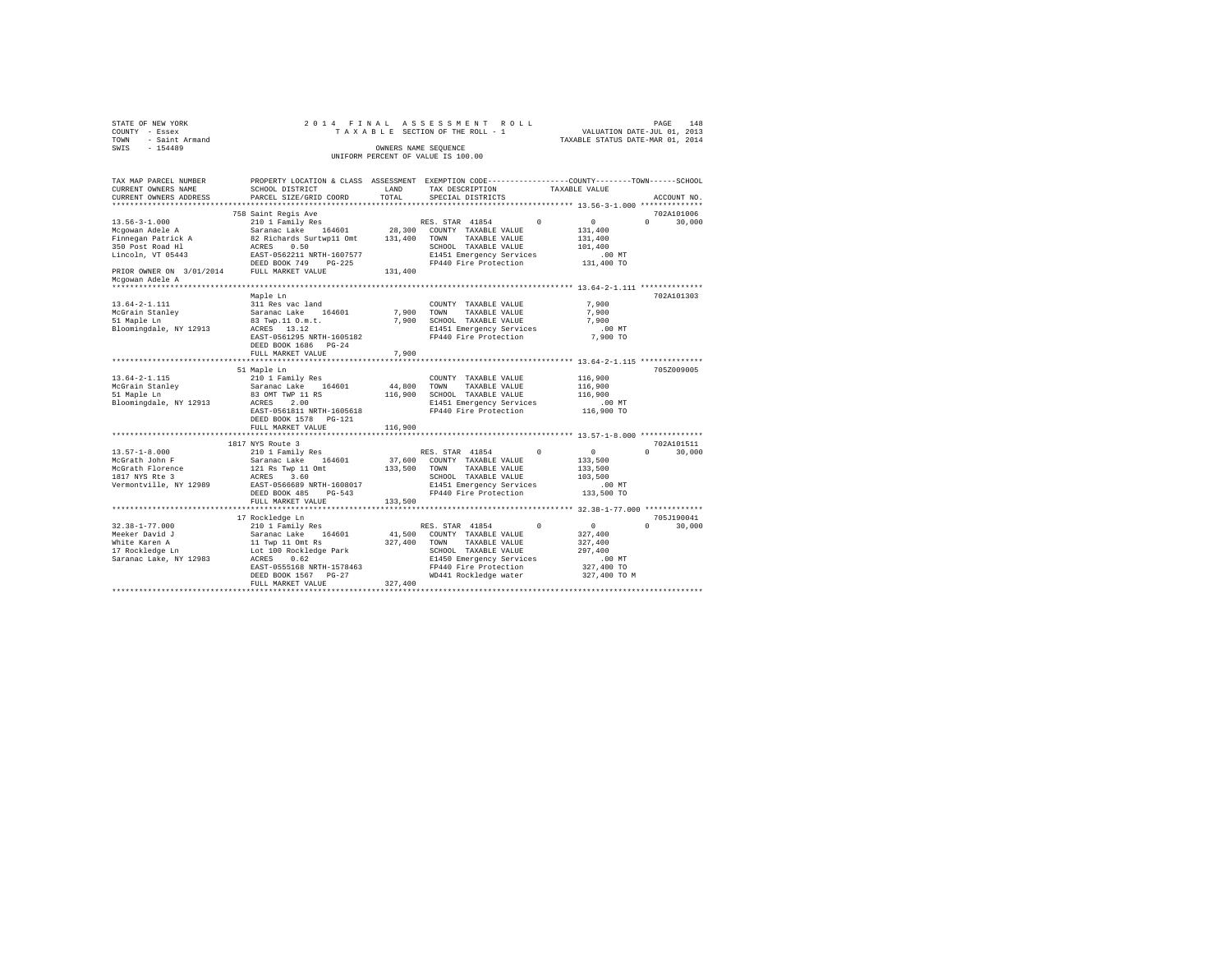| STATE OF NEW YORK                                  | 2014 FINAL                                   |                | ASSESSMENT<br>ROLL                                                                             |                                             | PAGE<br>148                      |
|----------------------------------------------------|----------------------------------------------|----------------|------------------------------------------------------------------------------------------------|---------------------------------------------|----------------------------------|
| COUNTY - Essex                                     |                                              |                | TAXABLE SECTION OF THE ROLL - 1                                                                | VALUATION DATE-JUL 01, 2013                 |                                  |
| - Saint Armand<br>TOWN                             |                                              |                |                                                                                                | TAXABLE STATUS DATE-MAR 01, 2014            |                                  |
| SWIS<br>$-154489$                                  |                                              |                | OWNERS NAME SEQUENCE                                                                           |                                             |                                  |
|                                                    |                                              |                | UNIFORM PERCENT OF VALUE IS 100.00                                                             |                                             |                                  |
|                                                    |                                              |                |                                                                                                |                                             |                                  |
| TAX MAP PARCEL NUMBER                              |                                              |                | PROPERTY LOCATION & CLASS ASSESSMENT EXEMPTION CODE---------------COUNTY-------TOWN-----SCHOOL |                                             |                                  |
| CURRENT OWNERS NAME                                | SCHOOL DISTRICT                              | LAND           | TAX DESCRIPTION                                                                                | TAXABLE VALUE                               |                                  |
| CURRENT OWNERS ADDRESS<br>************************ | PARCEL SIZE/GRID COORD                       | TOTAL          | SPECIAL DISTRICTS                                                                              |                                             | ACCOUNT NO.                      |
|                                                    | 758 Saint Regis Ave                          |                |                                                                                                |                                             | 702A101006                       |
| $13.56 - 3 - 1.000$                                | 210 1 Family Res                             |                | RES. STAR 41854<br>$\Omega$                                                                    | $\circ$                                     | $\Omega$<br>30,000               |
| Mcgowan Adele A                                    | Saranac Lake 164601                          | 28,300         | COUNTY TAXABLE VALUE                                                                           | 131,400                                     |                                  |
| Finnegan Patrick A                                 | 82 Richards Surtwp11 Omt                     | 131,400        | TOWN<br>TAXABLE VALUE                                                                          | 131,400                                     |                                  |
| 350 Post Road Hl                                   | ACRES 0.50                                   |                | SCHOOL TAXABLE VALUE                                                                           | 101,400                                     |                                  |
| Lincoln, VT 05443                                  | EAST-0562211 NRTH-1607577                    |                | E1451 Emergency Services                                                                       | $.00$ MT                                    |                                  |
|                                                    | DEED BOOK 749 PG-225                         |                | FP440 Fire Protection                                                                          | 131,400 TO                                  |                                  |
| PRIOR OWNER ON 3/01/2014 FULL MARKET VALUE         |                                              | 131,400        |                                                                                                |                                             |                                  |
| Mcgowan Adele A                                    |                                              |                |                                                                                                |                                             |                                  |
| ******************                                 |                                              |                |                                                                                                |                                             |                                  |
|                                                    | Maple Ln                                     |                |                                                                                                |                                             | 702A101303                       |
| $13.64 - 2 - 1.111$                                | 311 Res vac land                             |                | COUNTY TAXABLE VALUE                                                                           | 7.900                                       |                                  |
| McGrain Stanley                                    | Saranac Lake 164601                          | 7.900<br>7.900 | TOWN<br>TAXABLE VALUE                                                                          | 7.900<br>7.900                              |                                  |
| 51 Maple Ln<br>Bloomingdale, NY 12913              | 83 Twp.11 O.m.t.<br>ACRES 13.12              |                | SCHOOL TAXABLE VALUE<br>E1451 Emergency Services                                               | $.00$ MT                                    |                                  |
|                                                    | EAST-0561295 NRTH-1605182                    |                | FP440 Fire Protection                                                                          | 7,900 TO                                    |                                  |
|                                                    | DEED BOOK 1686 PG-24                         |                |                                                                                                |                                             |                                  |
|                                                    | FULL MARKET VALUE                            | 7,900          |                                                                                                |                                             |                                  |
|                                                    |                                              |                |                                                                                                |                                             |                                  |
|                                                    | 51 Maple Ln                                  |                |                                                                                                |                                             | 705Z009005                       |
| $13.64 - 2 - 1.115$                                | 210 1 Family Res                             |                | COUNTY TAXABLE VALUE                                                                           | 116,900                                     |                                  |
| McGrain Stanley<br>51 Maple Ln                     | Saranac Lake 164601                          | 44,800         | TOWN<br>TAXABLE VALUE                                                                          | 116,900                                     |                                  |
|                                                    | 83 OMT TWP 11 RS                             | 116,900        | SCHOOL TAXABLE VALUE                                                                           | 116,900                                     |                                  |
| Bloomingdale, NY 12913                             | ACRES<br>2.00                                |                | E1451 Emergency Services                                                                       | $.00$ MT                                    |                                  |
|                                                    | EAST-0561811 NRTH-1605618                    |                | FP440 Fire Protection                                                                          | 116,900 TO                                  |                                  |
|                                                    | DEED BOOK 1578 PG-121                        |                |                                                                                                |                                             |                                  |
|                                                    | FULL MARKET VALUE<br>*******************     | 116,900        |                                                                                                | ************** 13.57-1-8.000 ************** |                                  |
|                                                    | 1817 NYS Route 3                             |                |                                                                                                |                                             | 702A101511                       |
| $13.57 - 1 - 8.000$                                | 210 1 Family Res                             |                | RES. STAR 41854<br>$\Omega$                                                                    | $\circ$                                     | 30,000<br>$\Omega$               |
| McGrath John F                                     | Saranac Lake 164601                          | 37,600         | COUNTY TAXABLE VALUE                                                                           | 133,500                                     |                                  |
| McGrath Florence                                   | 121 Rs Twp 11 Omt<br>ACRES 3.60              | 133,500        | TAXABLE VALUE<br>TOWN                                                                          | 133,500                                     |                                  |
| 1817 NYS Rte 3                                     | ACRES 3.60                                   |                | SCHOOL TAXABLE VALUE                                                                           | 103,500                                     |                                  |
| Vermontville, NY 12989                             | EAST-0566689 NRTH-1608017                    |                | E1451 Emergency Services                                                                       | .00MT                                       |                                  |
|                                                    | DEED BOOK 485 PG-543                         |                | FP440 Fire Protection                                                                          | 133,500 TO                                  |                                  |
|                                                    | FULL MARKET VALUE<br>*********************** | 133,500        |                                                                                                |                                             |                                  |
|                                                    |                                              |                |                                                                                                |                                             |                                  |
| $32.38 - 1 - 77.000$                               | 17 Rockledge Ln<br>210 1 Family Res          |                | RES. STAR 41854<br>$\Omega$                                                                    | $\overline{0}$                              | 705J190041<br>$\Omega$<br>30,000 |
| Meeker David J                                     | Saranac Lake 164601                          | 41,500         | COUNTY TAXABLE VALUE                                                                           | 327,400                                     |                                  |
| White Karen A                                      | 11 Twp 11 Omt Rs                             | 327,400        | TAXABLE VALUE<br>TOWN                                                                          | 327,400                                     |                                  |
| 17 Rockledge Ln                                    | Lot 100 Rockledge Park                       |                | SCHOOL TAXABLE VALUE                                                                           | 297,400                                     |                                  |
| Saranac Lake, NY 12983                             | 0.62<br>ACRES                                |                | E1450 Emergency Services                                                                       | .00MT                                       |                                  |
|                                                    | EAST-0555168 NRTH-1578463                    |                | FP440 Fire Protection                                                                          | 327,400 TO                                  |                                  |
|                                                    | DEED BOOK 1567 PG-27                         |                | WD441 Rockledge water                                                                          | 327,400 TO M                                |                                  |
|                                                    | FULL MARKET VALUE                            | 327,400        |                                                                                                |                                             |                                  |
|                                                    |                                              |                |                                                                                                |                                             |                                  |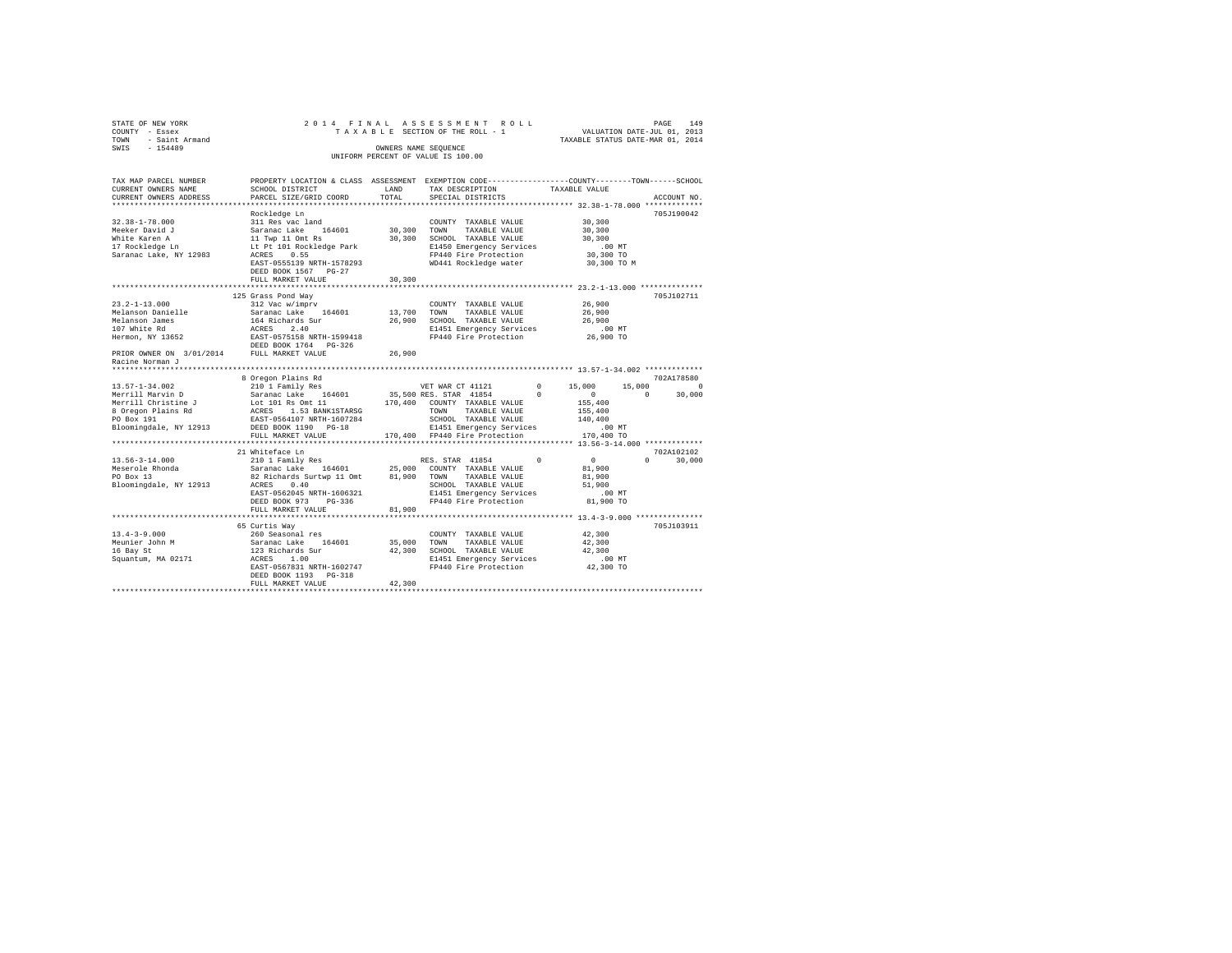| STATE OF NEW YORK $\begin{array}{ccccccccc} \text{CTOINT} & - & \text{Eise} & \text{X} & \text{A} & \text{A} & \text{B} & \text{B} & \text{C} \\ \text{COWLY} & - & \text{Saint} & \text{Armand} & & & & & \\ \text{C-X} & - & \text{154489} & & & & & \\ \end{array}$                                                                                                                              |                                                             |        | 2014 FINAL ASSESSMENT ROLL<br>OWNERS NAME SEQUENCE<br>UNIFORM PERCENT OF VALUE IS 100.00                         |                                         | PAGE<br>149                 |
|-----------------------------------------------------------------------------------------------------------------------------------------------------------------------------------------------------------------------------------------------------------------------------------------------------------------------------------------------------------------------------------------------------|-------------------------------------------------------------|--------|------------------------------------------------------------------------------------------------------------------|-----------------------------------------|-----------------------------|
| TAX MAP PARCEL NUMBER     PROPERTY LOCATION & CLASS ASSESSMENT EXEMPTION CODE---------------COUNTY-------TOWN------SCHOOL<br>CURRENT OWNERS NAME     SCHOOL DISTRICT     LAND   TAX DESCRIPTION     TAXABLE VALUE<br>CURRENT OWNERS ADDRESS PARCEL SIZE/GRID COORD                                                                                                                                  |                                                             | TOTAL  | TAX DESCRIPTION TAXABLE VALUE<br>SPECIAL DISTRICTS                                                               |                                         | ACCOUNT NO.                 |
|                                                                                                                                                                                                                                                                                                                                                                                                     |                                                             |        |                                                                                                                  |                                         | 705J190042                  |
| $\begin{tabular}{l c c c c c c} \multicolumn{3}{c c c c} \multicolumn{3}{c c c} \multicolumn{3}{c c c} \multicolumn{3}{c c c} \multicolumn{3}{c c c} \multicolumn{3}{c c c} \multicolumn{3}{c c c} \multicolumn{3}{c c c} \multicolumn{3}{c c c} \multicolumn{3}{c c c} \multicolumn{3}{c c c} \multicolumn{3}{c c c} \multicolumn{3}{c c c} \multicolumn{3}{c c c} \multicolumn{3}{c c c} \multic$ |                                                             |        |                                                                                                                  |                                         |                             |
|                                                                                                                                                                                                                                                                                                                                                                                                     | FULL MARKET VALUE                                           | 30,300 |                                                                                                                  |                                         |                             |
|                                                                                                                                                                                                                                                                                                                                                                                                     |                                                             |        |                                                                                                                  |                                         |                             |
| $23.2 - 1 - 13.000$                                                                                                                                                                                                                                                                                                                                                                                 | 125 Grass Pond Way                                          |        | $\begin{tabular}{lllllll} \textbf{COUNTY} & \textbf{TAXABLE} & \textbf{VALUE} & & \textbf{26,900} \end{tabular}$ | 26,900<br>26,900<br>00 MT.<br>26,900 TO | 705J102711                  |
| PRIOR OWNER ON 3/01/2014 FULL MARKET VALUE 26,900<br>Racine Norman J                                                                                                                                                                                                                                                                                                                                |                                                             |        |                                                                                                                  |                                         |                             |
|                                                                                                                                                                                                                                                                                                                                                                                                     |                                                             |        |                                                                                                                  |                                         |                             |
|                                                                                                                                                                                                                                                                                                                                                                                                     |                                                             |        |                                                                                                                  |                                         |                             |
| 30 (a) 2021<br>1858 (a) 2021<br>1858 (a) 2021<br>1868 (a) 2021<br>1868 (a) 2021<br>1868 (a) 2021<br>1868 (a) 2021<br>1868 (a) 2021<br>1868 (a) 2021<br>1868 (a) 2021<br>1868 (a) 2021<br>1868 (a) 2021<br>1868 (a) 2021<br>1868 (a) 2021<br>1869 (a) 2021<br>1869 (a) 2021<br>                                                                                                                      |                                                             |        |                                                                                                                  |                                         |                             |
|                                                                                                                                                                                                                                                                                                                                                                                                     |                                                             |        |                                                                                                                  |                                         |                             |
|                                                                                                                                                                                                                                                                                                                                                                                                     |                                                             |        |                                                                                                                  |                                         | 702A102102<br>$0 \t 30,000$ |
|                                                                                                                                                                                                                                                                                                                                                                                                     |                                                             |        |                                                                                                                  |                                         |                             |
| $\begin{tabular}{lcccc} 13.4-3-9.000 & & 260 Second & 164601 & 2000000000 & 42.300Meunier Jordan & & 260 Second and 164601 & 35,000. TAXABLE VALUE & 42,30016 Bay St & & 123. Richards Sur & & 42,30016 Bay St & & 123. Richards Sur & & 42,300Squantum, WA 02171 & ACRSS & 1.00ExAST-0567831. RRTH-1602747 & & & 1411. Lmereratory Services & & & 0.0$                                             | 65 Curtis Wav<br>DEED BOOK 1193 PG-318<br>FULL MARKET VALUE | 42,300 |                                                                                                                  |                                         | 705J103911                  |
|                                                                                                                                                                                                                                                                                                                                                                                                     |                                                             |        |                                                                                                                  |                                         |                             |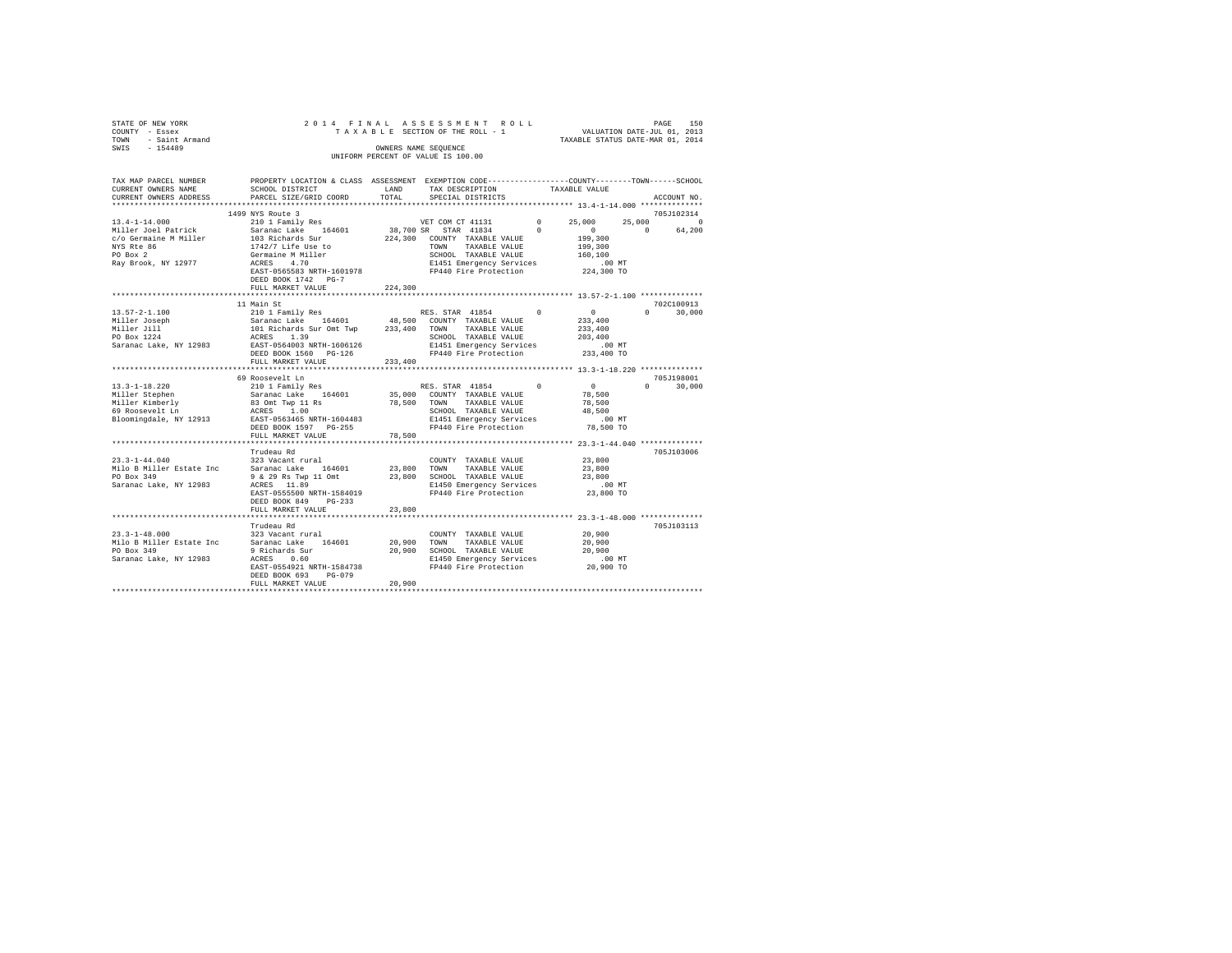| 2014 FINAL ASSESSMENT ROLL<br>STATE OF NEW YORK                                                                                  | 150<br>PAGE |
|----------------------------------------------------------------------------------------------------------------------------------|-------------|
| VALUATION DATE-JUL 01, 2013<br>TAXABLE SECTION OF THE ROLL - 1<br>COUNTY - Essex                                                 |             |
| TAXABLE STATUS DATE-MAR 01, 2014<br>TOWN<br>- Saint Armand                                                                       |             |
| SWIS<br>$-154489$<br>OWNERS NAME SEOUENCE                                                                                        |             |
| UNIFORM PERCENT OF VALUE IS 100.00                                                                                               |             |
|                                                                                                                                  |             |
|                                                                                                                                  |             |
| TAX MAP PARCEL NUMBER<br>ASSESSMENT<br>EXEMPTION CODE-----------------COUNTY-------TOWN------SCHOOL<br>PROPERTY LOCATION & CLASS |             |
| CURRENT OWNERS NAME<br>SCHOOL DISTRICT<br>TAX DESCRIPTION<br>LAND<br>TAXABLE VALUE                                               |             |
| CURRENT OWNERS ADDRESS 6 PARCEL SIZE/GRID COORD 6 TOTAL 5PECIAL DISTRICTS                                                        | ACCOUNT NO. |
|                                                                                                                                  |             |
| 1499 NYS Route 3                                                                                                                 | 705J102314  |
| $13.4 - 1 - 14.000$<br>VET COM CT 41131<br>210 1 Family Res<br>$^{\circ}$<br>25,000<br>25,000                                    |             |
|                                                                                                                                  |             |
| $^{\circ}$<br>Saranac Lake 164601<br>Miller Joel Patrick<br>38,700 SR STAR 41834<br>$\sim$ 0                                     | 64,200      |

| c/o Germaine M Miller<br>NYS Rte 86<br>PO Box 2<br>Ray Brook, NY 12977 ACRES            | 103 Richards Sur<br>1742/7 Life Use to<br>Germaine M Miller<br>4.70<br>EAST-0565583 NRTH-1601978<br>DEED BOOK 1742 PG-7<br>FULL MARKET VALUE | 224,300<br>COUNTY TAXABLE VALUE<br>TOWN<br>TAXABLE VALUE<br>SCHOOL TAXABLE VALUE<br>E1451 Emergency Services .00 MT<br>FP440 Fire Protection 224,300 TO<br>224,300                                                                                                                                       | 199,300<br>199,300<br>160,100                                                                                      |
|-----------------------------------------------------------------------------------------|----------------------------------------------------------------------------------------------------------------------------------------------|----------------------------------------------------------------------------------------------------------------------------------------------------------------------------------------------------------------------------------------------------------------------------------------------------------|--------------------------------------------------------------------------------------------------------------------|
| $13.57 - 2 - 1.100$                                                                     | 11 Main St<br>210 1 Family Res<br>DEED BOOK 1560 PG-126<br>FULL MARKET VALUE                                                                 | RES. STAR 41854 0<br>1999 - 1999 - 1999 - 1999 - 1999 - 1999 - 1999 - 1999 - 1999 - 1999 - 1999 - 1999 - 1999 - 1999 - 1999 - 1999<br>1999 - 1999 - 1999 - 1999 - 1999 - 1999 - 1999 - 1999 - 1999 - 1999 - 1999 - 1999 - 1999 - 1999 - 1999 - 1999<br>19<br>FP440 Fire Protection 233,400 TO<br>233,400 | 702C100913<br>$\sim$ 0<br>$0 \qquad \qquad$<br>30,000<br>233,400<br>233,400                                        |
| 69 Roosevelt Ln                                                                         | 69 Roosevelt Ln<br>ACRES 1.00<br>FULL MARKET VALUE                                                                                           | 78,500 TOWN TAXABLE VALUE<br>SCHOOL TAXABLE VALUE<br>SCHOOL TAXABLE VALUE 48,500<br>Bloomingdale, NY 12913 RAST-0563465 NRTH-1604483 B1451 Emergency Services (100 NT<br>DEED BOOK 1597 PG-255 PP440 Fire Protection 78,500 TO<br>78,500                                                                 | 705.T198001<br>$\begin{smallmatrix}&&0\&&78\,,\,500\end{smallmatrix}$<br>30,000<br>$\Omega$ and $\Omega$<br>78,500 |
| $23.3 - 1 - 44.040$<br>PO Box 349<br>Saranac Lake, NY 12983                             | Trudeau Rd<br>323 Vacant rural<br>DEED BOOK 849 PG-233<br>FULL MARKET VALUE                                                                  | COUNTY TAXABLE VALUE 23,800<br>Milo B Miller Estate Inc Saranac Lake 164601 23,800 TOWN TAXABLE VALUE 23,800<br>23,800                                                                                                                                                                                   | 705J103006                                                                                                         |
| $23.3 - 1 - 48.000$<br>Milo B Miller Estate Inc<br>PO Box 349<br>Saranac Lake, NY 12983 | Trudeau Rd<br>9 Richards Sur<br>0.60<br>ACRES<br>EAST-0554921 NRTH-1584738<br>DEED BOOK 693 PG-079<br>FULL MARKET VALUE                      | COUNTY TAXABLE VALUE<br>20,900 SCHOOL TAXABLE VALUE 20,900<br>COLOUS - The E1450 Emergency Services .00 MT<br>E1450 Emergency Services  20,900 TO<br>20,900<br>***********************                                                                                                                   | 705J103113<br>20,900<br>20,900                                                                                     |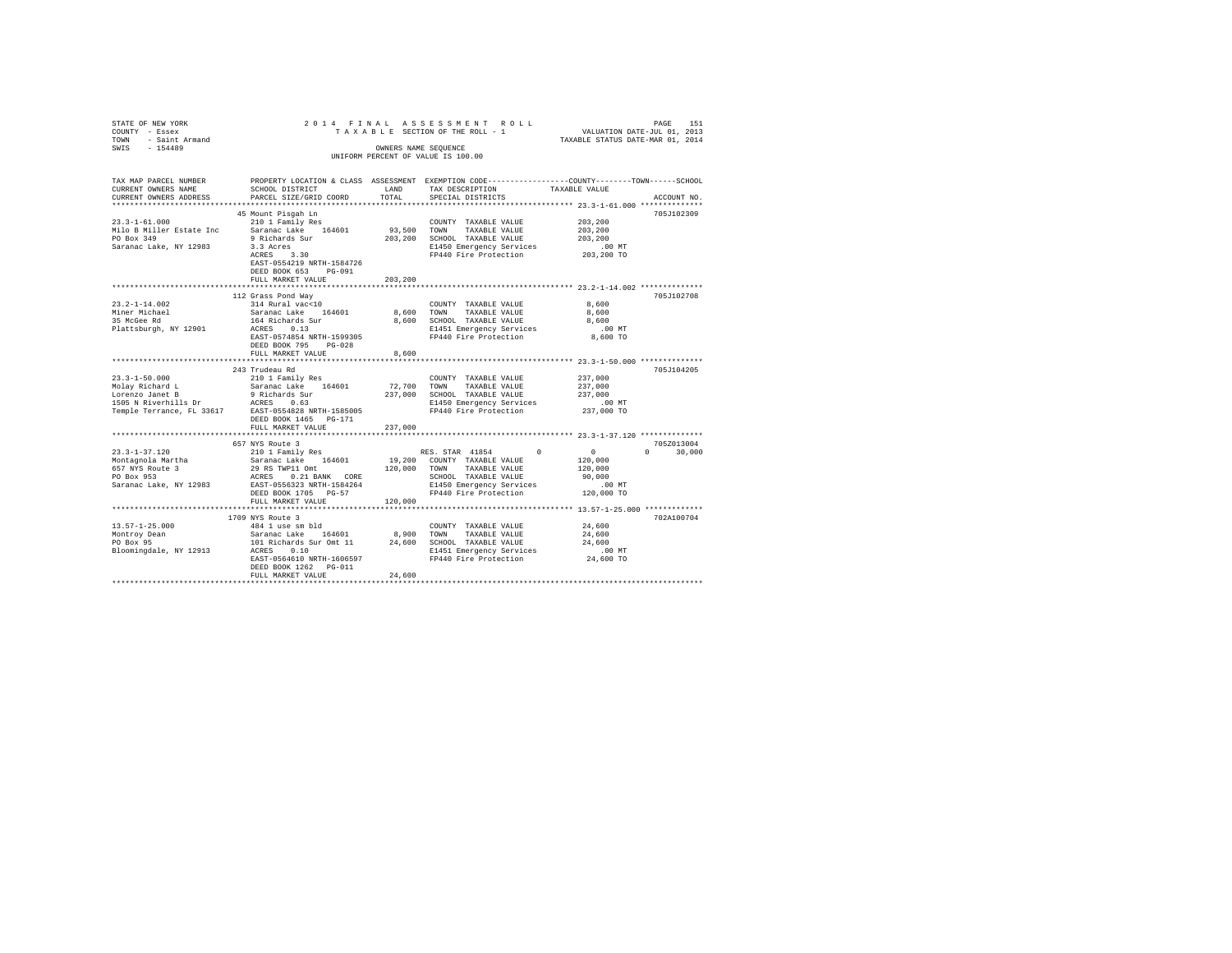| STATE OF NEW YORK<br>COUNTY - Essex<br>TOWN - Saint Armand                                                                                                                              |                                                                                                                                                |           | 2014 FINAL ASSESSMENT ROLL<br>TAXABLE SECTION OF THE ROLL - 1                                                                                                                    | PAGE 151<br>VALUATION DATE-JUL 01, 2013<br>TAXABLE STATUS DATE-MAR 01, 2014                                     |
|-----------------------------------------------------------------------------------------------------------------------------------------------------------------------------------------|------------------------------------------------------------------------------------------------------------------------------------------------|-----------|----------------------------------------------------------------------------------------------------------------------------------------------------------------------------------|-----------------------------------------------------------------------------------------------------------------|
| SWIS - 154489                                                                                                                                                                           |                                                                                                                                                |           | OWNERS NAME SEQUENCE<br>UNIFORM PERCENT OF VALUE IS 100.00                                                                                                                       |                                                                                                                 |
| TAX MAP PARCEL NUMBER<br>CURRENT OWNERS NAME                                                                                                                                            | SCHOOL DISTRICT                                                                                                                                | LAND LAND | TAX DESCRIPTION                                                                                                                                                                  | PROPERTY LOCATION & CLASS ASSESSMENT EXEMPTION CODE---------------COUNTY-------TOWN-----SCHOOL<br>TAXABLE VALUE |
| CURRENT OWNERS ADDRESS                                                                                                                                                                  | PARCEL SIZE/GRID COORD                                                                                                                         | TOTAL     | SPECIAL DISTRICTS                                                                                                                                                                | ACCOUNT NO.                                                                                                     |
|                                                                                                                                                                                         |                                                                                                                                                |           |                                                                                                                                                                                  |                                                                                                                 |
| $23.3 - 1 - 61.000$                                                                                                                                                                     | 45 Mount Pisgah Ln<br>210 1 Family Res                                                                                                         |           | COUNTY TAXABLE VALUE                                                                                                                                                             | 705J102309<br>203,200                                                                                           |
| Milo B Miller Estate Inc                                                                                                                                                                | Saranac Lake 164601                                                                                                                            |           | 93,500 TOWN TAXABLE VALUE                                                                                                                                                        | 203,200                                                                                                         |
| PO Box 349                                                                                                                                                                              |                                                                                                                                                |           | 203,200 SCHOOL TAXABLE VALUE                                                                                                                                                     | 203,200                                                                                                         |
| Saranac Lake, NY 12983                                                                                                                                                                  | 9 Richards Sur<br>3.3 Acres<br>ACRES 3.30                                                                                                      |           | E1450 Emergency Services                                                                                                                                                         | $.00$ MT                                                                                                        |
|                                                                                                                                                                                         |                                                                                                                                                |           | FP440 Fire Protection                                                                                                                                                            | 203,200 TO                                                                                                      |
|                                                                                                                                                                                         | EAST-0554219 NRTH-1584726<br>DEED BOOK 653 PG-091                                                                                              |           |                                                                                                                                                                                  |                                                                                                                 |
|                                                                                                                                                                                         | FULL MARKET VALUE                                                                                                                              | 203,200   |                                                                                                                                                                                  |                                                                                                                 |
|                                                                                                                                                                                         | 112 Grass Pond Way                                                                                                                             |           |                                                                                                                                                                                  | 705J102708                                                                                                      |
| $23.2 - 1 - 14.002$                                                                                                                                                                     | 314 Rural vac<10                                                                                                                               |           | COUNTY TAXABLE VALUE                                                                                                                                                             | 8,600                                                                                                           |
|                                                                                                                                                                                         | Saranac Lake 164601                                                                                                                            |           | 8,600 TOWN TAXABLE VALUE                                                                                                                                                         | 8,600                                                                                                           |
| Miner Michael<br>35 McGee Rd                                                                                                                                                            | 164 Richards Sur<br>ACRES 0.13                                                                                                                 |           | 8,600 SCHOOL TAXABLE VALUE                                                                                                                                                       | 8,600                                                                                                           |
| Plattsburgh, NY 12901                                                                                                                                                                   |                                                                                                                                                |           | E1451 Emergency Services                                                                                                                                                         | $.00$ MT                                                                                                        |
|                                                                                                                                                                                         | EAST-0574854 NRTH-1599305                                                                                                                      |           | FP440 Fire Protection                                                                                                                                                            | 8,600 TO                                                                                                        |
|                                                                                                                                                                                         | DEED BOOK 795 PG-028<br>FULL MARKET VALUE                                                                                                      |           |                                                                                                                                                                                  |                                                                                                                 |
|                                                                                                                                                                                         | **************************                                                                                                                     | 8,600     |                                                                                                                                                                                  | ********************************* 23.3-1-50.000 ***************                                                 |
|                                                                                                                                                                                         | 243 Trudeau Rd                                                                                                                                 |           |                                                                                                                                                                                  | 705J104205                                                                                                      |
| $23.3 - 1 - 50.000$                                                                                                                                                                     | 210 1 Family Res                                                                                                                               |           | COUNTY TAXABLE VALUE                                                                                                                                                             | 237,000                                                                                                         |
| 23.3-1-50.000<br>Molay Richard L<br>Lorenzo Janet B                                                                                                                                     |                                                                                                                                                |           | 72,700 TOWN TAXABLE VALUE                                                                                                                                                        | 237,000                                                                                                         |
| According to the Matter of Saranac Lake 164601<br>Lorenzo Janet B 9 Richards Sur<br>1505 N Riverhills Dr<br>1765 N Riverhills Dr<br>Temple Terrance, FL 33617 2RST-0554828 NRTH-1585005 |                                                                                                                                                |           | 237,000 SCHOOL TAXABLE VALUE                                                                                                                                                     | 237,000                                                                                                         |
|                                                                                                                                                                                         |                                                                                                                                                |           | E1450 Emergency Services<br>FP440 Fire Protection                                                                                                                                | 00 MT.<br>237,000 TO                                                                                            |
|                                                                                                                                                                                         | DEED BOOK 1465 PG-171                                                                                                                          |           |                                                                                                                                                                                  |                                                                                                                 |
|                                                                                                                                                                                         | FULL MARKET VALUE                                                                                                                              | 237,000   |                                                                                                                                                                                  |                                                                                                                 |
|                                                                                                                                                                                         |                                                                                                                                                |           |                                                                                                                                                                                  |                                                                                                                 |
|                                                                                                                                                                                         | 657 NYS Route 3                                                                                                                                |           |                                                                                                                                                                                  | 705Z013004                                                                                                      |
| $23.3 - 1 - 37.120$                                                                                                                                                                     | 210 1 Family Res                                                                                                                               |           | $\begin{tabular}{lllllllll} \bf{RES.} \hspace{0.5cm} \tt{STAR} & 41854 & 0 & 0 \\ \hspace{0.5cm} \tt{COUNTY} & \tt{TXABLE} \hspace{0.5cm} \tt{VALUE} & 120,000 \\ \end{tabular}$ | $0 \t 30.000$                                                                                                   |
| Montagnola Martha                                                                                                                                                                       | Saranac Lake 164601<br>29 RS TWP11 Omt                                                                                                         |           | 19,200 COUNTY TAXABLE VALUE<br>120,000 TOWN TAXABLE VALUE                                                                                                                        |                                                                                                                 |
| 657 NYS Route 3<br>PO Box 953                                                                                                                                                           |                                                                                                                                                |           |                                                                                                                                                                                  | 120,000<br>90,000                                                                                               |
|                                                                                                                                                                                         | Saranac Lake, NY 12983 EAST-0556323 NRTH-1584264                                                                                               |           |                                                                                                                                                                                  | .00 MT                                                                                                          |
|                                                                                                                                                                                         | DEED BOOK 1705 PG-57                                                                                                                           |           | FP440 Fire Protection                                                                                                                                                            | 120,000 TO                                                                                                      |
|                                                                                                                                                                                         | FULL MARKET VALUE                                                                                                                              | 120,000   |                                                                                                                                                                                  |                                                                                                                 |
|                                                                                                                                                                                         |                                                                                                                                                |           |                                                                                                                                                                                  |                                                                                                                 |
|                                                                                                                                                                                         | 1709 NYS Route 3                                                                                                                               |           |                                                                                                                                                                                  | 702A100704                                                                                                      |
| 13.57-1-25.000<br>Montroy Dean<br>PO Box 95                                                                                                                                             | 484 1 use sm bld                                                                                                                               |           | COUNTY TAXABLE VALUE                                                                                                                                                             | 24,600                                                                                                          |
|                                                                                                                                                                                         | Saranac Lake 164601 8,900 TOWN TAXABLE VALUE<br>101 Richards Sur Omt 11 24,600 SCHOOL TAXABLE VALUE<br>ACRES 0.10 101 E1451 Emergency Services |           |                                                                                                                                                                                  | 24,600<br>24,600                                                                                                |
| Bloomingdale, NY 12913                                                                                                                                                                  |                                                                                                                                                |           |                                                                                                                                                                                  |                                                                                                                 |
|                                                                                                                                                                                         | EAST-0564610 NRTH-1606597                                                                                                                      |           | E1451 Emergency Services 6.00 MT<br>FP440 Fire Protection 24,600 TO                                                                                                              |                                                                                                                 |
|                                                                                                                                                                                         | DEED BOOK 1262    PG-011                                                                                                                       |           |                                                                                                                                                                                  |                                                                                                                 |
|                                                                                                                                                                                         | FULL MARKET VALUE                                                                                                                              | 24,600    |                                                                                                                                                                                  |                                                                                                                 |
|                                                                                                                                                                                         |                                                                                                                                                |           |                                                                                                                                                                                  |                                                                                                                 |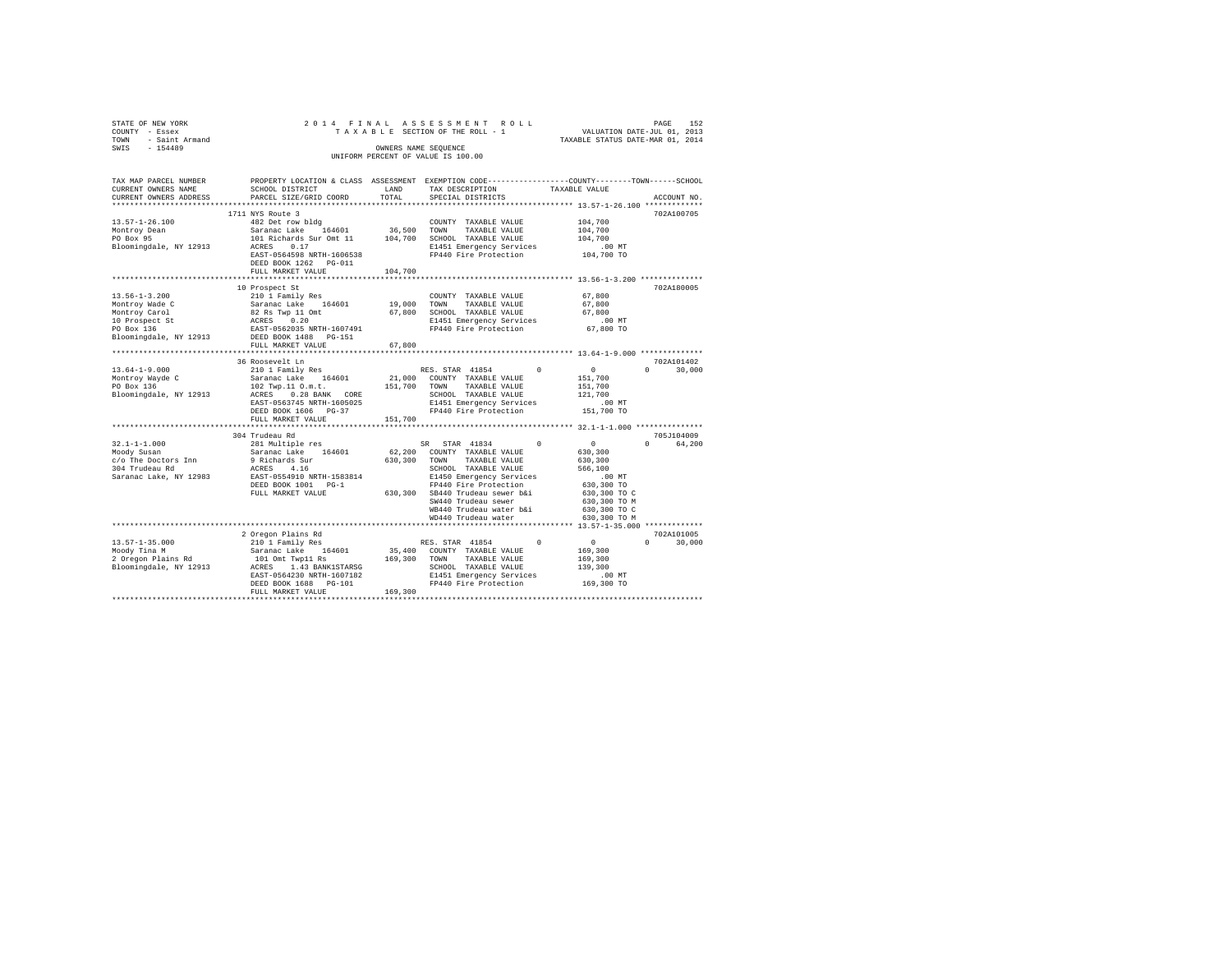| TAX MAP PARCEL NUMBER PROPERTY LOCATION & CLASS ASSESSMENT EXEMPTION CODE---------------COUNTY-------TOWN------SCHOOL<br>CURRENT OWNERS NAME SCHOOL DISTRICT LAND TAX DESCRIPTION TAXABLE VALUE<br>CURRENT OWNERS ADDRESS                                                                                                                                                                                    | SCHOOL DISTRICT                      LAND        TAX DESCRIPTION                  TAXABLE VALUE<br>PARCEL SIZE/GRID COORD | TOTAL   | SPECIAL DISTRICTS | ACCOUNT NO.                 |
|--------------------------------------------------------------------------------------------------------------------------------------------------------------------------------------------------------------------------------------------------------------------------------------------------------------------------------------------------------------------------------------------------------------|---------------------------------------------------------------------------------------------------------------------------|---------|-------------------|-----------------------------|
|                                                                                                                                                                                                                                                                                                                                                                                                              | 1711 NYS Route 3                                                                                                          |         |                   | 702A100705                  |
|                                                                                                                                                                                                                                                                                                                                                                                                              |                                                                                                                           |         |                   |                             |
|                                                                                                                                                                                                                                                                                                                                                                                                              |                                                                                                                           |         |                   |                             |
|                                                                                                                                                                                                                                                                                                                                                                                                              |                                                                                                                           |         |                   |                             |
|                                                                                                                                                                                                                                                                                                                                                                                                              |                                                                                                                           |         |                   |                             |
| $\texttt{13.57--1-26.100} \begin{tabular}{lcccc} \texttt{13.57--1-26.100} & \texttt{17.14 YS ROLE} & \texttt{COUNITY} & \texttt{TAKABLE VALUE} & \texttt{104,700} \\ & & & & & & & \\ \texttt{482 DE L row b1dg} & & & & & & \\ \texttt{MOLT} & & & & & & & \\ \texttt{36,500} & & & & & & & \\ \texttt{36,700} & & & & & & & \\ \texttt{37,700} & & & & & & & \\ \texttt{38,700} & & & & & & & \\ \texttt{$ | DEED BOOK 1262 PG-011                                                                                                     |         |                   |                             |
|                                                                                                                                                                                                                                                                                                                                                                                                              | FULL MARKET VALUE                                                                                                         | 104,700 |                   |                             |
|                                                                                                                                                                                                                                                                                                                                                                                                              |                                                                                                                           |         |                   |                             |
|                                                                                                                                                                                                                                                                                                                                                                                                              | 10 Prospect St                                                                                                            |         |                   | 702A180005                  |
|                                                                                                                                                                                                                                                                                                                                                                                                              |                                                                                                                           |         |                   |                             |
|                                                                                                                                                                                                                                                                                                                                                                                                              |                                                                                                                           |         |                   |                             |
|                                                                                                                                                                                                                                                                                                                                                                                                              |                                                                                                                           |         |                   |                             |
|                                                                                                                                                                                                                                                                                                                                                                                                              |                                                                                                                           |         |                   |                             |
|                                                                                                                                                                                                                                                                                                                                                                                                              |                                                                                                                           |         |                   |                             |
|                                                                                                                                                                                                                                                                                                                                                                                                              | FULL MARKET VALUE 67,800                                                                                                  |         |                   |                             |
|                                                                                                                                                                                                                                                                                                                                                                                                              |                                                                                                                           |         |                   |                             |
|                                                                                                                                                                                                                                                                                                                                                                                                              | 36 Roosevelt Ln                                                                                                           |         |                   | 702A101402                  |
|                                                                                                                                                                                                                                                                                                                                                                                                              |                                                                                                                           |         |                   | $0 \t 30,000$               |
|                                                                                                                                                                                                                                                                                                                                                                                                              |                                                                                                                           |         |                   |                             |
|                                                                                                                                                                                                                                                                                                                                                                                                              |                                                                                                                           |         |                   |                             |
|                                                                                                                                                                                                                                                                                                                                                                                                              |                                                                                                                           |         |                   |                             |
|                                                                                                                                                                                                                                                                                                                                                                                                              |                                                                                                                           |         |                   |                             |
|                                                                                                                                                                                                                                                                                                                                                                                                              |                                                                                                                           |         |                   |                             |
|                                                                                                                                                                                                                                                                                                                                                                                                              | FULL MARKET VALUE 151,700                                                                                                 |         |                   |                             |
|                                                                                                                                                                                                                                                                                                                                                                                                              | 304 Trudeau Rd                                                                                                            |         |                   | 705J104009                  |
|                                                                                                                                                                                                                                                                                                                                                                                                              |                                                                                                                           |         |                   | 0 64.200                    |
|                                                                                                                                                                                                                                                                                                                                                                                                              |                                                                                                                           |         |                   |                             |
|                                                                                                                                                                                                                                                                                                                                                                                                              |                                                                                                                           |         |                   |                             |
|                                                                                                                                                                                                                                                                                                                                                                                                              |                                                                                                                           |         |                   |                             |
|                                                                                                                                                                                                                                                                                                                                                                                                              |                                                                                                                           |         |                   |                             |
|                                                                                                                                                                                                                                                                                                                                                                                                              |                                                                                                                           |         |                   |                             |
|                                                                                                                                                                                                                                                                                                                                                                                                              |                                                                                                                           |         |                   |                             |
|                                                                                                                                                                                                                                                                                                                                                                                                              |                                                                                                                           |         |                   |                             |
|                                                                                                                                                                                                                                                                                                                                                                                                              |                                                                                                                           |         |                   |                             |
|                                                                                                                                                                                                                                                                                                                                                                                                              |                                                                                                                           |         |                   |                             |
|                                                                                                                                                                                                                                                                                                                                                                                                              |                                                                                                                           |         |                   |                             |
|                                                                                                                                                                                                                                                                                                                                                                                                              | 2 Oregon Plains Rd                                                                                                        |         |                   | 702A101005<br>$0 \t 30.000$ |
|                                                                                                                                                                                                                                                                                                                                                                                                              |                                                                                                                           |         |                   |                             |
|                                                                                                                                                                                                                                                                                                                                                                                                              |                                                                                                                           |         |                   |                             |
|                                                                                                                                                                                                                                                                                                                                                                                                              |                                                                                                                           |         |                   |                             |
|                                                                                                                                                                                                                                                                                                                                                                                                              |                                                                                                                           |         |                   |                             |
|                                                                                                                                                                                                                                                                                                                                                                                                              |                                                                                                                           |         |                   |                             |
|                                                                                                                                                                                                                                                                                                                                                                                                              | FULL MARKET VALUE 169.300                                                                                                 |         |                   |                             |
|                                                                                                                                                                                                                                                                                                                                                                                                              |                                                                                                                           |         |                   |                             |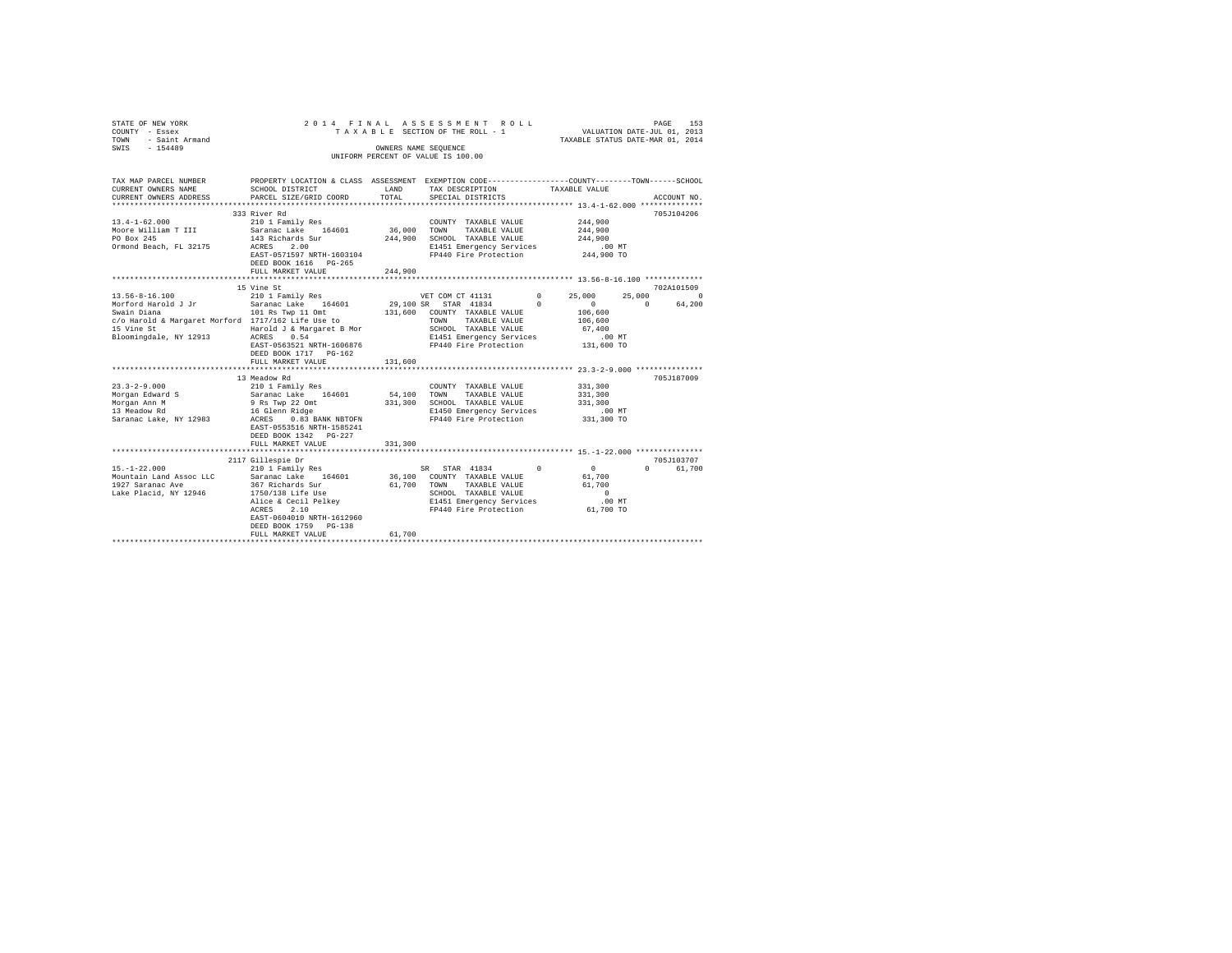| STATE OF NEW YORK<br>COUNTY - Essex<br>TOWN - Saint Armand<br>SWIS - 154489                                                                                                                                                                                                                                                                                                                                                                   |                                                             |         | 2014 FINAL ASSESSMENT ROLL<br>OWNERS NAME SEOUENCE |                            | 153<br>PAGE        |
|-----------------------------------------------------------------------------------------------------------------------------------------------------------------------------------------------------------------------------------------------------------------------------------------------------------------------------------------------------------------------------------------------------------------------------------------------|-------------------------------------------------------------|---------|----------------------------------------------------|----------------------------|--------------------|
|                                                                                                                                                                                                                                                                                                                                                                                                                                               |                                                             |         | UNIFORM PERCENT OF VALUE IS 100.00                 |                            |                    |
|                                                                                                                                                                                                                                                                                                                                                                                                                                               |                                                             |         |                                                    |                            |                    |
| TAX MAP PARCEL NUMBER PROPERTY LOCATION & CLASS ASSESSMENT EXEMPTION CODE---------------COUNTY-------TOWN------SCHOOL                                                                                                                                                                                                                                                                                                                         |                                                             |         |                                                    |                            |                    |
| CURRENT OWNERS NAME                                                                                                                                                                                                                                                                                                                                                                                                                           | SCHOOL DISTRICT LAND                                        |         | TAX DESCRIPTION                                    | TAXABLE VALUE              |                    |
| CURRENT OWNERS ADDRESS                                                                                                                                                                                                                                                                                                                                                                                                                        | PARCEL SIZE/GRID COORD                                      | TOTAL   | SPECIAL DISTRICTS                                  |                            | ACCOUNT NO.        |
|                                                                                                                                                                                                                                                                                                                                                                                                                                               | 333 River Rd                                                |         |                                                    |                            | 705J104206         |
| $13.4 - 1 - 62.000$                                                                                                                                                                                                                                                                                                                                                                                                                           | 210 1 Family Res                                            |         | COUNTY TAXABLE VALUE                               | 244,900                    |                    |
|                                                                                                                                                                                                                                                                                                                                                                                                                                               | Saranac Lake 164601                                         |         | 36,000 TOWN TAXABLE VALUE                          | 244,900                    |                    |
| Moore William T III<br>PO Box 245                                                                                                                                                                                                                                                                                                                                                                                                             | 143 Richards Sur                                            |         | 244,900 SCHOOL TAXABLE VALUE                       | 244,900                    |                    |
| Ormond Beach, FL 32175                                                                                                                                                                                                                                                                                                                                                                                                                        | ACRES 2.00                                                  |         | E1451 Emergency Services                           | $.00$ MT                   |                    |
|                                                                                                                                                                                                                                                                                                                                                                                                                                               | EAST-0571597 NRTH-1603104 FP440 Fire Protection 244,900 TO  |         |                                                    |                            |                    |
|                                                                                                                                                                                                                                                                                                                                                                                                                                               | DEED BOOK 1616 PG-265                                       |         |                                                    |                            |                    |
|                                                                                                                                                                                                                                                                                                                                                                                                                                               | FULL MARKET VALUE                                           | 244,900 |                                                    |                            |                    |
|                                                                                                                                                                                                                                                                                                                                                                                                                                               |                                                             |         |                                                    |                            | 702A101509         |
|                                                                                                                                                                                                                                                                                                                                                                                                                                               |                                                             |         | VET COM CT 41131 0                                 | 25,000                     | 25,000<br>$\Omega$ |
|                                                                                                                                                                                                                                                                                                                                                                                                                                               |                                                             |         | 29,100 SR STAR 41834 0                             | $\sim$ 0                   | $\sim$ 0<br>64,200 |
|                                                                                                                                                                                                                                                                                                                                                                                                                                               | 101 Rs Twp 11 Omt $131,600$ COUNTY TAXABLE VALUE $106,600$  |         |                                                    |                            |                    |
|                                                                                                                                                                                                                                                                                                                                                                                                                                               |                                                             |         |                                                    |                            |                    |
| $\texttt{C/O} \texttt{Harold} \texttt{& Margaret Morford} \begin{tabular}{lcccc} 1717/162 \texttt{Life} \texttt{Use} \texttt{to} & & & & \texttt{TOMN} & \texttt{TAXABLE} \texttt{VALUE} & & & 106,600 \\ 15 \texttt{Vine St} & & & & \texttt{Harrgaret} \texttt{B} \texttt{Mor} & & & \texttt{SCHOD} \texttt{TAXABLE} \texttt{VALUE} & & & 67,400 \\ 15 \texttt{Icomingdale}, & & & \texttt{NT} \texttt{12913} & & & \texttt{ACRES} & \text$ |                                                             |         |                                                    |                            |                    |
|                                                                                                                                                                                                                                                                                                                                                                                                                                               |                                                             |         |                                                    |                            |                    |
|                                                                                                                                                                                                                                                                                                                                                                                                                                               | EAST-0563521 NRTH-1606876 FP440 Fire Protection             |         |                                                    | 131,600 TO                 |                    |
|                                                                                                                                                                                                                                                                                                                                                                                                                                               |                                                             |         |                                                    |                            |                    |
|                                                                                                                                                                                                                                                                                                                                                                                                                                               | FULL MARKET VALUE                                           | 131,600 |                                                    |                            |                    |
|                                                                                                                                                                                                                                                                                                                                                                                                                                               | 13 Meadow Rd                                                |         |                                                    |                            | 705J187009         |
| $23.3 - 2 - 9.000$                                                                                                                                                                                                                                                                                                                                                                                                                            | 210 1 Family Res                                            |         | COUNTY TAXABLE VALUE                               | 331,300                    |                    |
| Morgan Edward S                                                                                                                                                                                                                                                                                                                                                                                                                               | Saranac Lake 164601 54,100 TOWN TAXABLE VALUE               |         |                                                    | 331,300                    |                    |
| Morgan Ann M                                                                                                                                                                                                                                                                                                                                                                                                                                  |                                                             |         | 331,300 SCHOOL TAXABLE VALUE                       | 331,300                    |                    |
| 13 Meadow Rd                                                                                                                                                                                                                                                                                                                                                                                                                                  | 9 Rs Twp 22 Omt<br>16 Glenn Ridge<br>ACRES 0.83 BANK NBTOFN |         | E1450 Emergency Services                           | .00MT                      |                    |
| Saranac Lake, NY 12983                                                                                                                                                                                                                                                                                                                                                                                                                        |                                                             |         | FP440 Fire Protection                              | 331,300 TO                 |                    |
|                                                                                                                                                                                                                                                                                                                                                                                                                                               | EAST-0553516 NRTH-1585241                                   |         |                                                    |                            |                    |
|                                                                                                                                                                                                                                                                                                                                                                                                                                               | DEED BOOK 1342 PG-227<br>FULL MARKET VALUE                  | 331,300 |                                                    |                            |                    |
|                                                                                                                                                                                                                                                                                                                                                                                                                                               |                                                             |         |                                                    |                            |                    |
|                                                                                                                                                                                                                                                                                                                                                                                                                                               | 2117 Gillespie Dr                                           |         |                                                    |                            | 705J103707         |
|                                                                                                                                                                                                                                                                                                                                                                                                                                               |                                                             |         | SR STAR 41834<br>36,100 COUNTY TAXABLE VALUE       | $\overline{0}$<br>$\Omega$ | 0 61,700           |
|                                                                                                                                                                                                                                                                                                                                                                                                                                               |                                                             |         |                                                    | 61,700                     |                    |
| $[15. -1-22. 000$ $[20. 12. 000]$ $[20. 16. 000]$ $[20. 16. 000]$<br>1927 Saranac Ave 367 Richards Sur<br>1927 Saranac Ave 367 Richards Sur<br>1750/138 Life Use                                                                                                                                                                                                                                                                              |                                                             |         |                                                    |                            |                    |
|                                                                                                                                                                                                                                                                                                                                                                                                                                               |                                                             |         |                                                    |                            |                    |
|                                                                                                                                                                                                                                                                                                                                                                                                                                               |                                                             |         |                                                    |                            |                    |
|                                                                                                                                                                                                                                                                                                                                                                                                                                               | EAST-0604010 NRTH-1612960                                   |         |                                                    |                            |                    |
|                                                                                                                                                                                                                                                                                                                                                                                                                                               | DEED BOOK 1759 PG-138                                       |         |                                                    |                            |                    |
|                                                                                                                                                                                                                                                                                                                                                                                                                                               | FULL MARKET VALUE                                           | 61,700  |                                                    |                            |                    |
|                                                                                                                                                                                                                                                                                                                                                                                                                                               |                                                             |         |                                                    |                            |                    |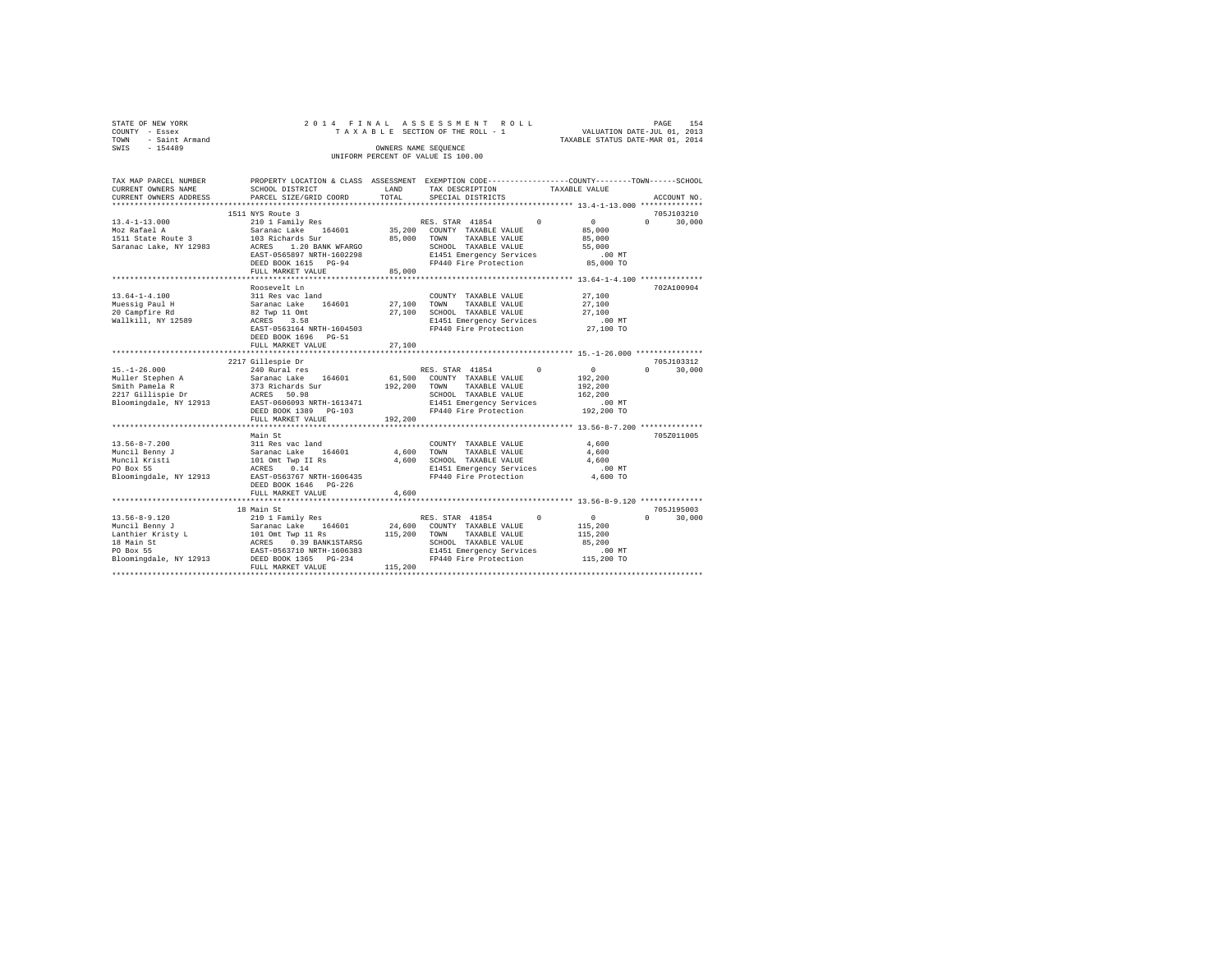| STATE OF NEW YORK   |  | 2014 FINAL ASSESSMENT ROLL         |                                  | PAGE                        | 154 |
|---------------------|--|------------------------------------|----------------------------------|-----------------------------|-----|
| COUNTY - Essex      |  | TAXABLE SECTION OF THE ROLL - 1    |                                  | VALUATION DATE-JUL 01, 2013 |     |
| TOWN - Saint Armand |  |                                    | TAXABLE STATUS DATE-MAR 01, 2014 |                             |     |
| SWIS<br>$-154489$   |  | OWNERS NAME SEOUENCE               |                                  |                             |     |
|                     |  | UNIFORM PERCENT OF VALUE IS 100.00 |                                  |                             |     |
|                     |  |                                    |                                  |                             |     |

| TAX MAP PARCEL NUMBER               |                                                                                                                                                                                              |              | PROPERTY LOCATION & CLASS ASSESSMENT EXEMPTION CODE---------------COUNTY-------TOWN-----SCHOOL |                 |                                 |
|-------------------------------------|----------------------------------------------------------------------------------------------------------------------------------------------------------------------------------------------|--------------|------------------------------------------------------------------------------------------------|-----------------|---------------------------------|
| CURRENT OWNERS NAME                 | SCHOOL DISTRICT                                                                                                                                                                              | LAND         | TAX DESCRIPTION                                                                                | TAXABLE VALUE   |                                 |
| CURRENT OWNERS ADDRESS              | PARCEL SIZE/GRID COORD                                                                                                                                                                       | TOTAL        | SPECIAL DISTRICTS                                                                              |                 | ACCOUNT NO.                     |
|                                     |                                                                                                                                                                                              |              |                                                                                                |                 |                                 |
|                                     | 1511 NYS Route 3                                                                                                                                                                             |              |                                                                                                |                 | 705J103210                      |
| $13.4 - 1 - 13.000$                 | 210 1 Family Res                                                                                                                                                                             |              | RES. STAR 41854 0                                                                              | $\sim$ 0        | $\Omega$<br>30,000              |
| Moz Rafael A                        | 210 1 Family Res<br>Saranac Lake 164601                                                                                                                                                      |              | 35,200 COUNTY TAXABLE VALUE                                                                    | 85,000          |                                 |
| 1511 State Route 3 103 Richards Sur |                                                                                                                                                                                              | 85,000 TOWN  | TAXABLE VALUE                                                                                  | 85,000          |                                 |
| Saranac Lake, NY 12983              | ACRES 1.20 BANK WFARGO                                                                                                                                                                       |              | SCHOOL TAXABLE VALUE                                                                           | 55,000          |                                 |
|                                     | EAST-0565897 NRTH-1602298                                                                                                                                                                    |              | E1451 Emergency Services                                                                       | $.00$ MT        |                                 |
|                                     | DEED BOOK 1615 PG-94                                                                                                                                                                         |              | FP440 Fire Protection                                                                          | 85,000 TO       |                                 |
|                                     | FULL MARKET VALUE                                                                                                                                                                            | 85,000       |                                                                                                |                 |                                 |
|                                     |                                                                                                                                                                                              |              |                                                                                                |                 |                                 |
|                                     | Roosevelt Ln                                                                                                                                                                                 |              |                                                                                                |                 | 702A100904                      |
| $13.64 - 1 - 4.100$                 |                                                                                                                                                                                              |              | COUNTY TAXABLE VALUE                                                                           | 27,100          |                                 |
| Muessiq Paul H                      | 311 Res vac land<br>Saranac Lake 164601                                                                                                                                                      | 27,100 TOWN  | TAXABLE VALUE                                                                                  | 27,100          |                                 |
| 20 Campfire Rd                      |                                                                                                                                                                                              |              | 27,100 SCHOOL TAXABLE VALUE                                                                    | 27,100          |                                 |
| Wallkill, NY 12589                  | 82 Twp 11 Omt<br>ACRES 3.58                                                                                                                                                                  |              | E1451 Emergency Services                                                                       | $.00$ MT        |                                 |
|                                     | EAST-0563164 NRTH-1604503                                                                                                                                                                    |              | FP440 Fire Protection 27,100 TO                                                                |                 |                                 |
|                                     | DEED BOOK 1696 PG-51                                                                                                                                                                         |              |                                                                                                |                 |                                 |
|                                     |                                                                                                                                                                                              |              |                                                                                                |                 |                                 |
|                                     | FULL MARKET VALUE                                                                                                                                                                            | 27,100       |                                                                                                |                 |                                 |
|                                     |                                                                                                                                                                                              |              |                                                                                                |                 | 705J103312                      |
|                                     | 2217 Gillespie Dr                                                                                                                                                                            |              | $^{\circ}$                                                                                     | $\sim$ 0 $\sim$ | $\Omega$                        |
| $15. - 1 - 26.000$                  | 240 Rural res                                                                                                                                                                                |              | RES. STAR 41854                                                                                |                 | 30,000                          |
|                                     |                                                                                                                                                                                              |              | 61,500 COUNTY TAXABLE VALUE                                                                    | 192,200         |                                 |
|                                     | 15.-1-26.000 240 Rural res<br>Muller Stephen A Saranac Lake 164601<br>Smith Pamela R 373 Richards Sur<br>2217 Gillispie Dr ACRES 50.98                                                       | 192,200 TOWN | TAXABLE VALUE                                                                                  | 192,200         |                                 |
|                                     |                                                                                                                                                                                              |              | SCHOOL TAXABLE VALUE                                                                           | 162,200         |                                 |
|                                     | Bloomingdale, NY 12913 EAST-0606093 NRTH-1613471                                                                                                                                             |              | E1451 Emergency Services                                                                       | $.00$ MT        |                                 |
|                                     | DEED BOOK 1389 PG-103                                                                                                                                                                        |              | FP440 Fire Protection                                                                          | 192,200 TO      |                                 |
|                                     | FULL MARKET VALUE                                                                                                                                                                            | 192,200      |                                                                                                |                 |                                 |
|                                     |                                                                                                                                                                                              |              |                                                                                                |                 |                                 |
|                                     | Main St                                                                                                                                                                                      |              |                                                                                                |                 | 705Z011005                      |
|                                     |                                                                                                                                                                                              |              | COUNTY TAXABLE VALUE                                                                           | 4,600           |                                 |
|                                     |                                                                                                                                                                                              | 4,600        | TOWN<br>TAXABLE VALUE                                                                          | 4,600           |                                 |
|                                     |                                                                                                                                                                                              |              | 4,600 SCHOOL TAXABLE VALUE                                                                     | 4,600           |                                 |
|                                     | 13.56-8-7.200 311 Res vac land<br>Muncil Benny J 311 Res vac 164601<br>Muncil Kristi 101 Omt Twp II Rs<br>PO Box 55 2012 1021 2023 50.14<br>Bloomingdale, NY 12913 EAST-0563767 NRTH-1606435 |              | E1451 Emergency Services                                                                       | $.00$ MT        |                                 |
|                                     |                                                                                                                                                                                              |              | FP440 Fire Protection                                                                          | 4,600 TO        |                                 |
|                                     | DEED BOOK 1646    PG-226                                                                                                                                                                     |              |                                                                                                |                 |                                 |
|                                     | FULL MARKET VALUE                                                                                                                                                                            | 4,600        |                                                                                                |                 |                                 |
|                                     |                                                                                                                                                                                              |              |                                                                                                |                 |                                 |
|                                     | 18 Main St                                                                                                                                                                                   |              |                                                                                                |                 | 705J195003                      |
|                                     |                                                                                                                                                                                              |              | $\Omega$                                                                                       | $\sim$ 0        | 30,000<br>$\Omega$ and $\Omega$ |
|                                     |                                                                                                                                                                                              |              |                                                                                                | 115,200         |                                 |
|                                     |                                                                                                                                                                                              |              | TAXABLE VALUE                                                                                  | 115,200         |                                 |
|                                     |                                                                                                                                                                                              |              | SCHOOL TAXABLE VALUE                                                                           | 85,200          |                                 |
|                                     |                                                                                                                                                                                              |              | E1451 Emergency Services                                                                       | $.00$ MT        |                                 |
|                                     |                                                                                                                                                                                              |              | FP440 Fire Protection 115,200 TO                                                               |                 |                                 |
|                                     | FULL MARKET VALUE                                                                                                                                                                            | 115,200      |                                                                                                |                 |                                 |
|                                     |                                                                                                                                                                                              |              |                                                                                                |                 |                                 |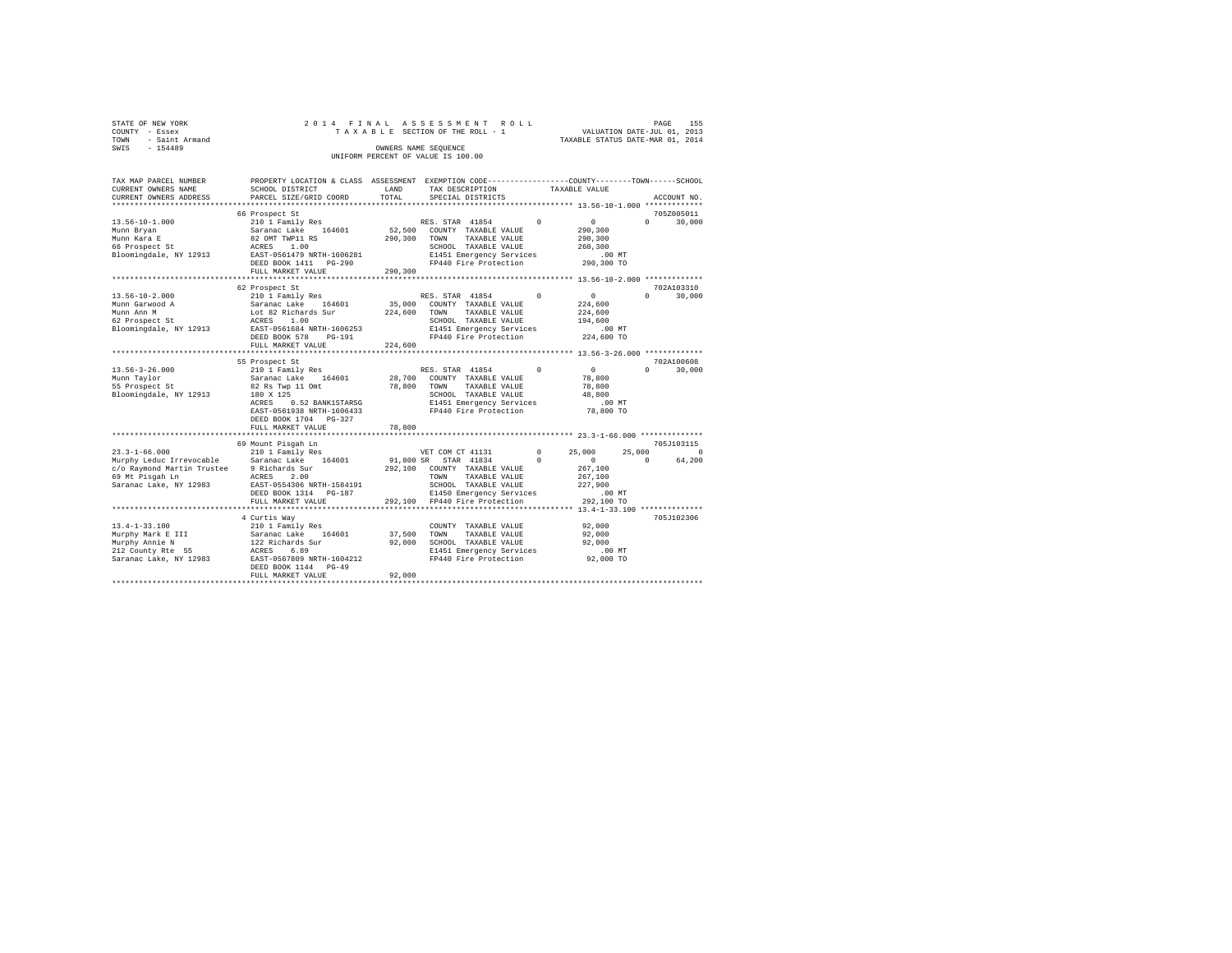| STATE OF NEW YORK   |  |  | 2014 FINAL ASSESSMENT ROLL         |  |                                  | PAGE | 155 |
|---------------------|--|--|------------------------------------|--|----------------------------------|------|-----|
| COUNTY - Essex      |  |  | TAXABLE SECTION OF THE ROLL - 1    |  | VALUATION DATE-JUL 01, 2013      |      |     |
| TOWN - Saint Armand |  |  |                                    |  | TAXABLE STATUS DATE-MAR 01, 2014 |      |     |
| SWIS<br>$-154489$   |  |  | OWNERS NAME SEOUENCE               |  |                                  |      |     |
|                     |  |  | UNIFORM PERCENT OF VALUE IS 100.00 |  |                                  |      |     |

| TAX MAP PARCEL NUMBER         | PROPERTY LOCATION & CLASS ASSESSMENT EXEMPTION CODE----------------COUNTY-------TOWN-----SCHOOL |                  |                                         |            |                                                      |                        |
|-------------------------------|-------------------------------------------------------------------------------------------------|------------------|-----------------------------------------|------------|------------------------------------------------------|------------------------|
| CURRENT OWNERS NAME           | SCHOOL DISTRICT                                                                                 | LAND             | TAX DESCRIPTION                         |            | TAXABLE VALUE                                        |                        |
| CURRENT OWNERS ADDRESS        | PARCEL SIZE/GRID COORD                                                                          | TOTAL            | SPECIAL DISTRICTS                       |            |                                                      | ACCOUNT NO.            |
|                               |                                                                                                 |                  |                                         |            |                                                      |                        |
|                               | 66 Prospect St                                                                                  |                  |                                         |            |                                                      | 705Z005011             |
| $13.56 - 10 - 1.000$          | 210 1 Family Res                                                                                |                  | RES. STAR 41854                         | $\Omega$   | $\overline{0}$                                       | $\Omega$<br>30,000     |
| Munn Bryan                    | Saranac Lake 164601                                                                             | 52,500           | COUNTY TAXABLE VALUE                    |            | 290,300                                              |                        |
| Munn Kara E                   | 82 OMT TWP11 RS                                                                                 | 290,300          | TAXABLE VALUE<br>TOWN                   |            | 290,300                                              |                        |
| 66 Prospect St                | ACRES 1.00                                                                                      |                  | SCHOOL TAXABLE VALUE                    |            | 260,300                                              |                        |
| Bloomingdale, NY 12913        | EAST-0561479 NRTH-1606281                                                                       |                  | E1451 Emergency Services                |            | $.00$ MT                                             |                        |
|                               | DEED BOOK 1411 PG-290                                                                           |                  | FP440 Fire Protection                   |            | 290,300 TO                                           |                        |
|                               | FULL MARKET VALUE                                                                               | 290,300          |                                         |            |                                                      |                        |
|                               |                                                                                                 |                  |                                         |            |                                                      |                        |
|                               | 62 Prospect St                                                                                  |                  |                                         |            |                                                      | 702A103310             |
| $13.56 - 10 - 2.000$          | 210 1 Family Res                                                                                |                  | RES. STAR 41854                         |            | $\circ$                                              | 30,000<br>$\Omega$     |
| Munn Garwood A                | 164601<br>Saranac Lake                                                                          | 35,000           | COUNTY TAXABLE VALUE                    |            | 224,600                                              |                        |
| Munn Ann M                    | Lot 82 Richards Sur                                                                             | 224,600          | TOWN<br>TAXABLE VALUE                   |            | 224,600                                              |                        |
| 62 Prospect St                | ACRES<br>1.00                                                                                   |                  | SCHOOL TAXABLE VALUE                    |            | 194,600                                              |                        |
| Bloomingdale, NY 12913        | EAST-0561684 NRTH-1606253                                                                       |                  | E1451 Emergency Services                |            | $.00$ MT                                             |                        |
|                               | DEED BOOK 578<br>$PG-191$                                                                       |                  | FP440 Fire Protection                   |            | 224,600 TO                                           |                        |
|                               | FULL MARKET VALUE                                                                               | 224,600          |                                         |            |                                                      |                        |
|                               |                                                                                                 |                  |                                         |            |                                                      |                        |
|                               | 55 Prospect St                                                                                  |                  |                                         | $\Omega$   | $\Omega$                                             | 702A100608             |
| $13.56 - 3 - 26.000$          | 210 1 Family Res<br>Saranac Lake 164601                                                         |                  | RES. STAR 41854<br>COUNTY TAXABLE VALUE |            |                                                      | 30,000<br>$\mathbf{r}$ |
| Munn Taylor<br>55 Prospect St | 82 Rs Twp 11 Omt                                                                                | 28,700<br>78,800 | TOWN<br>TAXABLE VALUE                   |            | 78,800<br>78,800                                     |                        |
|                               | 180 X 125                                                                                       |                  | SCHOOL TAXABLE VALUE                    |            | 48,800                                               |                        |
| Bloomingdale, NY 12913        | ACRES<br>0.52 BANK1STARSG                                                                       |                  | E1451 Emergency Services                |            | .00 MT                                               |                        |
|                               | EAST-0561938 NRTH-1606433                                                                       |                  | FP440 Fire Protection                   |            | 78,800 TO                                            |                        |
|                               |                                                                                                 |                  |                                         |            |                                                      |                        |
|                               | DEED BOOK 1704 PG-327<br>FULL MARKET VALUE                                                      | 78,800           |                                         |            |                                                      |                        |
|                               |                                                                                                 | **********       |                                         |            | *********************** 23.3-1-66.000 ************** |                        |
|                               | 69 Mount Pisgah Ln                                                                              |                  |                                         |            |                                                      | 705J103115             |
| $23.3 - 1 - 66.000$           | 210 1 Family Res                                                                                |                  | VET COM CT 41131                        | $^{\circ}$ | 25,000<br>25,000                                     | $\Omega$               |
| Murphy Leduc Irrevocable      | Saranac Lake 164601                                                                             |                  | 91,800 SR STAR 41834                    | $\Omega$   | $\circ$                                              | 64,200<br>$\Omega$     |
| c/o Raymond Martin Trustee    | 9 Richards Sur                                                                                  | 292,100          | COUNTY TAXABLE VALUE                    |            | 267,100                                              |                        |
| 69 Mt Pisgah Ln               | ACRES<br>2.00                                                                                   |                  | TAXABLE VALUE<br>TOWN                   |            | 267,100                                              |                        |
| Saranac Lake, NY 12983        | EAST-0554306 NRTH-1584191                                                                       |                  | SCHOOL TAXABLE VALUE                    |            | 227,900                                              |                        |
|                               | DEED BOOK 1314 PG-187                                                                           |                  | E1450 Emergency Services                |            | $.00$ MT                                             |                        |
|                               | FULL MARKET VALUE                                                                               |                  | 292,100 FP440 Fire Protection           |            | 292,100 TO                                           |                        |
|                               |                                                                                                 |                  |                                         |            |                                                      |                        |
|                               | 4 Curtis Way                                                                                    |                  |                                         |            |                                                      | 705J102306             |
| $13.4 - 1 - 33.100$           | 210 1 Family Res                                                                                |                  | COUNTY TAXABLE VALUE                    |            | 92,000                                               |                        |
| Murphy Mark E III             |                                                                                                 | 37,500           | TOWN<br>TAXABLE VALUE                   |            | 92,000                                               |                        |
| Murphy Annie N                | Saranac Lake 164601<br>122 Richards Sur                                                         | 92,000           | SCHOOL TAXABLE VALUE                    |            | 92,000                                               |                        |
| 212 County Rte 55             |                                                                                                 |                  | E1451 Emergency Services                |            | .00 MT                                               |                        |
| Saranac Lake, NY 12983        | ACRES 6.89<br>EAST-0567809 NRTH-1604212                                                         |                  | FP440 Fire Protection                   |            | 92,000 TO                                            |                        |
|                               | DEED BOOK 1144 PG-49                                                                            |                  |                                         |            |                                                      |                        |
|                               | FULL MARKET VALUE                                                                               | 92,000           |                                         |            |                                                      |                        |
|                               |                                                                                                 |                  |                                         |            |                                                      |                        |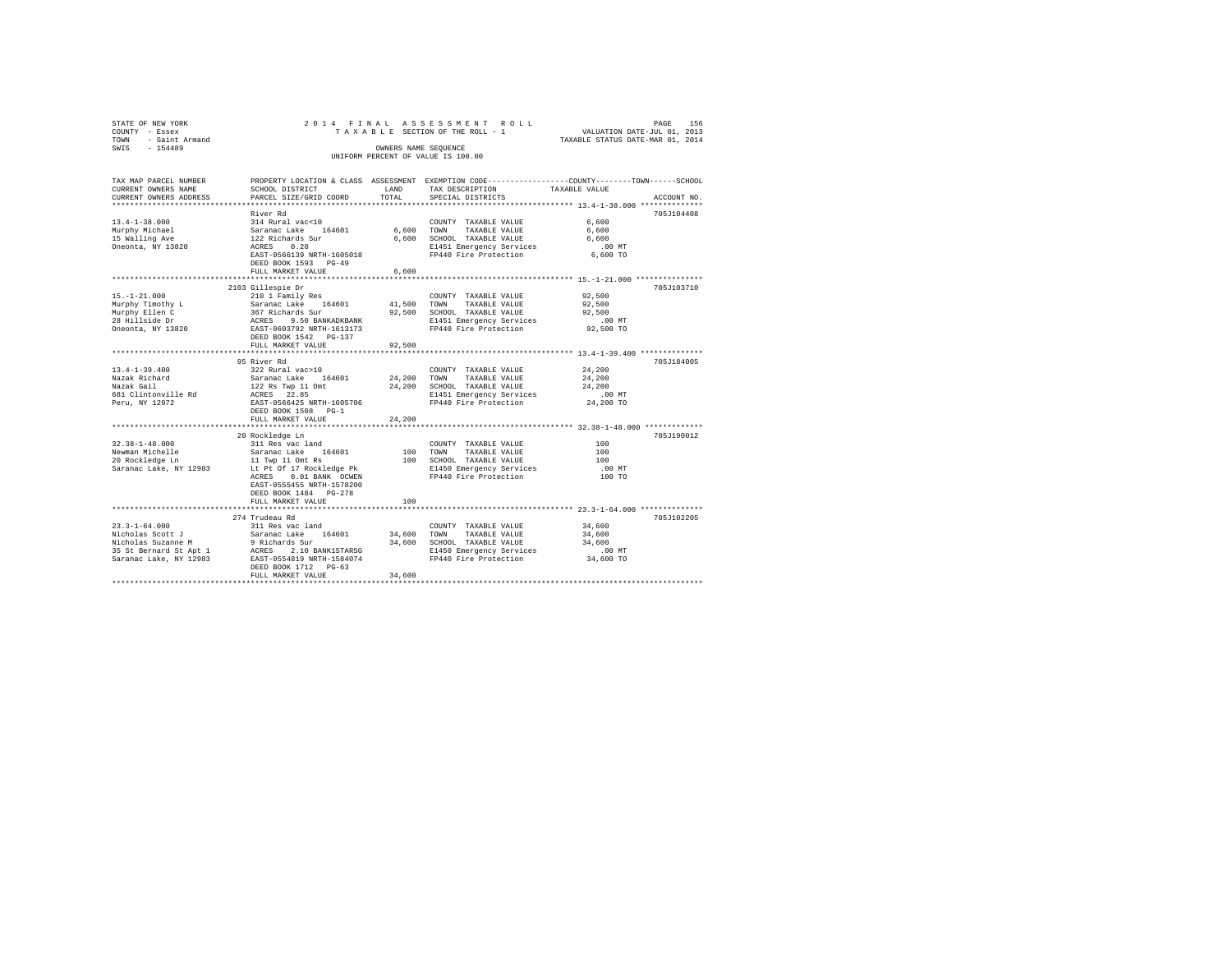| STATE OF NEW YORK<br>COUNTY - Essex<br>TOWN - Saint Armand                                                                                                                                         |                                                     |        | 2014 FINAL ASSESSMENT ROLL<br>TAXABLE SECTION OF THE ROLL - 1                                                                           | VALUATION DATE-JUL 01, 2013<br>TAXABLE STATUS DATE-MAR 01, 2014 | PAGE<br>156 |
|----------------------------------------------------------------------------------------------------------------------------------------------------------------------------------------------------|-----------------------------------------------------|--------|-----------------------------------------------------------------------------------------------------------------------------------------|-----------------------------------------------------------------|-------------|
| SWIS - 154489                                                                                                                                                                                      |                                                     |        | OWNERS NAME SEOUENCE<br>UNIFORM PERCENT OF VALUE IS 100.00                                                                              |                                                                 |             |
| TAX MAP PARCEL NUMBER<br>CURRENT OWNERS NAME<br>CURRENT OWNERS ADDRESS                                                                                                                             | SCHOOL DISTRICT LAND<br>PARCEL SIZE/GRID COORD      | TOTAL  | PROPERTY LOCATION & CLASS ASSESSMENT EXEMPTION CODE---------------COUNTY-------TOWN------SCHOOL<br>TAX DESCRIPTION<br>SPECIAL DISTRICTS | TAXABLE VALUE                                                   | ACCOUNT NO. |
|                                                                                                                                                                                                    | River Rd                                            |        |                                                                                                                                         |                                                                 | 705J104408  |
| $13.4 - 1 - 38.000$                                                                                                                                                                                | 314 Rural vac<10                                    |        | COUNTY TAXABLE VALUE                                                                                                                    | 6,600                                                           |             |
| Murphy Michael                                                                                                                                                                                     | Saranac Lake 164601                                 |        | 6,600 TOWN TAXABLE VALUE                                                                                                                | 6,600                                                           |             |
| 15 Walling Ave                                                                                                                                                                                     |                                                     |        | 6,600 SCHOOL TAXABLE VALUE                                                                                                              | 6,600                                                           |             |
| Oneonta, NY 13820                                                                                                                                                                                  | 122 Richards Sur<br>ACRES 0.20                      |        | E1451 Emergency Services                                                                                                                | $.00$ MT                                                        |             |
|                                                                                                                                                                                                    | EAST-0566139 NRTH-1605018                           |        | FP440 Fire Protection                                                                                                                   | 6,600 TO                                                        |             |
|                                                                                                                                                                                                    | DEED BOOK 1593 PG-49                                |        |                                                                                                                                         |                                                                 |             |
|                                                                                                                                                                                                    | FULL MARKET VALUE                                   | 6,600  |                                                                                                                                         |                                                                 |             |
|                                                                                                                                                                                                    |                                                     |        |                                                                                                                                         |                                                                 |             |
| $15. - 1 - 21.000$                                                                                                                                                                                 | 2103 Gillespie Dr<br>210 1 Family Res               |        | COUNTY TAXABLE VALUE                                                                                                                    | 92,500                                                          | 705J103710  |
| Murphy Timothy L                                                                                                                                                                                   | Saranac Lake 164601                                 |        | 41,500 TOWN TAXABLE VALUE                                                                                                               | 92,500                                                          |             |
|                                                                                                                                                                                                    | 367 Richards Sur                                    |        | 92,500 SCHOOL TAXABLE VALUE                                                                                                             | 92.500                                                          |             |
|                                                                                                                                                                                                    |                                                     |        | E1451 Emergency Services                                                                                                                | $.00$ MT                                                        |             |
| Murphy Ellen C<br>28 Hillside Dr<br>Oneonta, NY 13820                                                                                                                                              | ACRES 9.50 BANKADKBANK<br>EAST-0603792 NRTH-1613173 |        | FP440 Fire Protection                                                                                                                   | 92,500 TO                                                       |             |
|                                                                                                                                                                                                    | DEED BOOK 1542    PG-137                            |        |                                                                                                                                         |                                                                 |             |
|                                                                                                                                                                                                    | FULL MARKET VALUE                                   | 92,500 |                                                                                                                                         |                                                                 |             |
|                                                                                                                                                                                                    |                                                     |        |                                                                                                                                         |                                                                 |             |
|                                                                                                                                                                                                    | 95 River Rd                                         |        |                                                                                                                                         |                                                                 | 705J184005  |
| $13.4 - 1 - 39.400$                                                                                                                                                                                | 322 Rural vac>10<br>Saranac Lake 164601             |        | COUNTY TAXABLE VALUE                                                                                                                    | 24,200                                                          |             |
| Nazak Richard<br>Nazak Gail                                                                                                                                                                        |                                                     | 24,200 | TOWN<br>TAXABLE VALUE<br>24,200 SCHOOL TAXABLE VALUE                                                                                    | 24,200<br>24,200                                                |             |
| 681 Clintonville Rd                                                                                                                                                                                | 122 Rs Twp 11 Omt<br>ACRES 22.85                    |        | E1451 Emergency Services                                                                                                                | $.00$ MT                                                        |             |
| Peru, NY 12972                                                                                                                                                                                     | EAST-0566425 NRTH-1605706                           |        | FP440 Fire Protection                                                                                                                   | 24,200 TO                                                       |             |
|                                                                                                                                                                                                    | DEED BOOK 1508 PG-1                                 |        |                                                                                                                                         |                                                                 |             |
|                                                                                                                                                                                                    | FULL MARKET VALUE                                   | 24,200 |                                                                                                                                         |                                                                 |             |
|                                                                                                                                                                                                    |                                                     |        |                                                                                                                                         |                                                                 |             |
|                                                                                                                                                                                                    | 20 Rockledge Ln                                     |        |                                                                                                                                         |                                                                 | 705J190012  |
| $32.38 - 1 - 48.000$                                                                                                                                                                               | 311 Res vac land                                    |        | COUNTY TAXABLE VALUE                                                                                                                    | 100                                                             |             |
| Newman Michelle<br>20 Rockledge Ln                                                                                                                                                                 | Saranac Lake 164601<br>11 Twp 11 Omt Rs             |        | 100 TOWN<br>TAXABLE VALUE                                                                                                               | 100                                                             |             |
| Saranac Lake, NY 12983                                                                                                                                                                             | Lt Pt Of 17 Rockledge Pk                            |        | 100 SCHOOL TAXABLE VALUE                                                                                                                | 100<br>$.00$ MT                                                 |             |
|                                                                                                                                                                                                    | ACRES 0.01 BANK OCWEN                               |        | E1450 Emergency Services<br>FP440 Fire Protection                                                                                       | 100 TO                                                          |             |
|                                                                                                                                                                                                    | EAST-0555455 NRTH-1578200                           |        |                                                                                                                                         |                                                                 |             |
|                                                                                                                                                                                                    | DEED BOOK 1484 PG-278                               |        |                                                                                                                                         |                                                                 |             |
|                                                                                                                                                                                                    | FULL MARKET VALUE                                   | 100    |                                                                                                                                         |                                                                 |             |
|                                                                                                                                                                                                    |                                                     |        |                                                                                                                                         |                                                                 |             |
|                                                                                                                                                                                                    | 274 Trudeau Rd                                      |        |                                                                                                                                         |                                                                 | 705J102205  |
| $23.3 - 1 - 64.000$                                                                                                                                                                                | 311 Res vac land                                    |        | COUNTY TAXABLE VALUE                                                                                                                    | 34,600                                                          |             |
| 23.3-1-04.000<br>Nicholas Scott J Saranac Lake 164601 34,600<br>Nicholas Suzanne M 9 Richards Sur 34,600<br>33 St Bernard St Apt 1 ACRES 2.10 BANK1STARSG<br>33 St 20193 EAST-0554819 NRTH-1584074 |                                                     |        | TOWN TAXABLE VALUE                                                                                                                      | 34,600                                                          |             |
|                                                                                                                                                                                                    |                                                     |        | 34,600 SCHOOL TAXABLE VALUE                                                                                                             | 34,600                                                          |             |
|                                                                                                                                                                                                    |                                                     |        | E1450 Emergency Services<br>FP440 Fire Protection                                                                                       | $.00$ MT<br>34,600 TO                                           |             |
|                                                                                                                                                                                                    | DEED BOOK 1712 PG-63                                |        |                                                                                                                                         |                                                                 |             |
|                                                                                                                                                                                                    | FULL MARKET VALUE                                   | 34,600 |                                                                                                                                         |                                                                 |             |
|                                                                                                                                                                                                    |                                                     |        |                                                                                                                                         |                                                                 |             |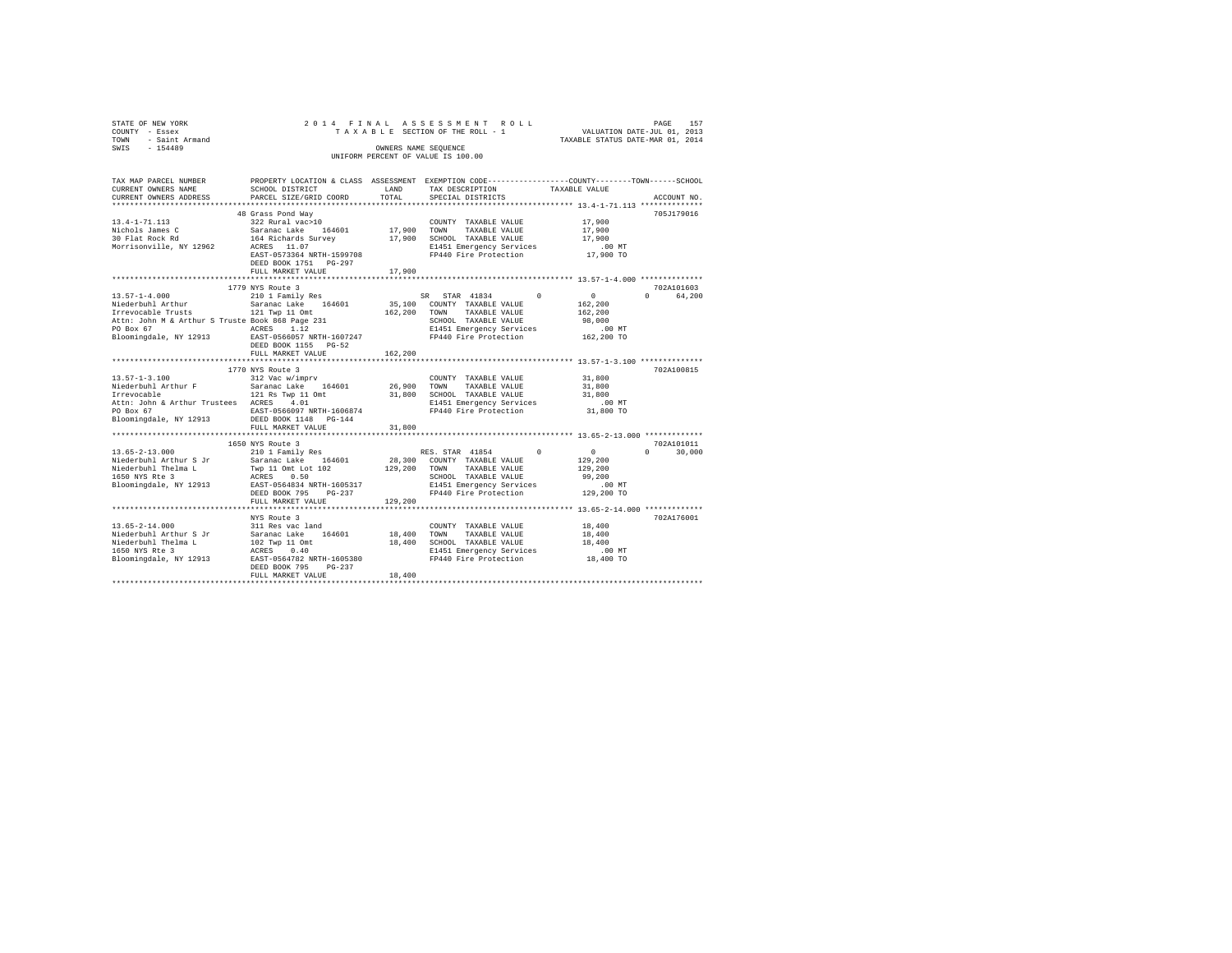| STATE OF NEW YORK<br>COUNTY - Essex<br>- Saint Armand<br>TOWN<br>SWIS - 154489                                                                                                                                     |                                                                                                                                                                                                            |                    | 2014 FINAL ASSESSMENT ROLL<br>TAXABLE SECTION OF THE ROLL - 1<br>TAXABLE SECTION OF THE ROLL - 1<br>TAXABLE STATUS DATE-MAR 01, 2014<br>OWNERS NAME SEOUENCE<br>UNIFORM PERCENT OF VALUE IS 100.00 |                                                                    | PAGE<br>157                          |
|--------------------------------------------------------------------------------------------------------------------------------------------------------------------------------------------------------------------|------------------------------------------------------------------------------------------------------------------------------------------------------------------------------------------------------------|--------------------|----------------------------------------------------------------------------------------------------------------------------------------------------------------------------------------------------|--------------------------------------------------------------------|--------------------------------------|
| TAX MAP PARCEL NUMBER<br>CURRENT OWNERS NAME<br>CURRENT OWNERS ADDRESS PARCEL SIZE/GRID COORD                                                                                                                      | SCHOOL DISTRICT                                                                                                                                                                                            | LAND<br>TOTAL      | PROPERTY LOCATION & CLASS ASSESSMENT EXEMPTION CODE---------------COUNTY-------TOWN------SCHOOL<br>TAX DESCRIPTION<br>SPECIAL DISTRICTS                                                            | TAXABLE VALUE                                                      | ACCOUNT NO.                          |
| $13.4 - 1 - 71.113$<br>Nichols James C<br>30 Flat Rock Rd<br>Morrisonville, NY 12962                                                                                                                               | 48 Grass Pond Way<br>322 Rural vac>10<br>Saranac Lake 164601 17,900<br>EAST-0573364 NRTH-1599708<br>DEED BOOK 1751 PG-297<br>FULL MARKET VALUE                                                             | 17,900             | COUNTY TAXABLE VALUE<br>TOWN<br>TAXABLE VALUE<br>SCHOOL TAXABLE VALUE 17,900<br>E1451 Emergency Services<br>FP440 Fire Protection 17,900 TO                                                        | 17,900<br>17,900<br>.00 MT                                         | 705.T179016                          |
|                                                                                                                                                                                                                    |                                                                                                                                                                                                            |                    |                                                                                                                                                                                                    |                                                                    |                                      |
| $13.57 - 1 - 4.000$<br>Irrevocable Trusts 121 Twp 11 Omt<br>Attn: John M & Arthur S Truste Book 868 Page 231<br>PO Box 67<br>Bloomingdale, NY 12913 RASES 1.12<br>Dioomingdale, NY 12913 RAST-0566057 NRTH-1607247 | 1779 NYS Route 3<br>210 1 Family Res<br>DEED BOOK 1155 PG-52<br>FULL MARKET VALUE                                                                                                                          | 162,200<br>162,200 | SR STAR 41834 0<br>TOWN<br>TAXABLE VALUE<br>SCHOOL TAXABLE VALUE<br>E1451 Emergency Services<br>FP440 Fire Protection                                                                              | 0<br>162,200<br>162,200<br>98,000<br>.00 MT<br>162,200 TO          | 702A101603<br>0 64.200               |
| $13.57 - 1 - 3.100$<br>Attn: John & Arthur Trustees ACRES 4.01<br>PO Box 67<br>Bloomingdale, NY 12913 DEED BOOK 1148 PG-144                                                                                        | 1770 NYS Route 3<br>312 Vac w/imprv<br>121 Rs Twp 11 Omt<br>ACRES 4.01<br>FULL MARKET VALUE                                                                                                                | 31,800             | COUNTY TAXABLE VALUE 31,800<br>TOWN<br>TAXABLE VALUE<br>SCHOOL TAXABLE VALUE<br>ACRES 4.01 E1451 Emergency Services<br>EAST-0566097 NRTH-1606874 FP440 Fire Protection                             | 31,800<br>31,800<br>$.00$ MT<br>31,800 TO                          | 702A100815                           |
| $13.65 - 2 - 13.000$<br>Niederbuhl Arthur S Jr<br>Niederbuhl Thelma L                                                                                                                                              | 1650 NYS Route 3<br>210 1 Family Res (RES STAR 41854<br>Saranac Lake 164601 28,300 COUNTY TAXABLE VALUE<br>Twp 11 Omt Lot 102 129,200 TOWN TAXABLE VALUE<br>DEED BOOK 795<br>$PG-237$<br>FULL MARKET VALUE | 129,200            | RES. STAR 41854<br>$\Omega$<br>TAXABLE VALUE<br>SCHOOL TAXABLE VALUE<br>E1451 Emergency Services<br>FP440 Fire Protection                                                                          | $\sim$ 0<br>129,200<br>129,200<br>99,200<br>$.00$ MT<br>129,200 TO | 702A101011<br>30,000<br>$\mathbf{a}$ |

NYS Route 3 702A176001 13.65-2-14.000 311 Res vac land COUNTY TAXABLE VALUE 18,400 Niederbuhl Arthur S Jr Saranac Lake 164601 18,400 TOWN TAXABLE VALUE 18,400 Niederbuhl Thelma L 102 Twp 11 Omt 18,400 SCHOOL TAXABLE VALUE 18,400 1650 NYS Rte 3 ACRES 0.40 E1451 Emergency Services .00 MT Bloomingdale, NY 12913 EAST-0564782 NRTH-1605380 FP440 Fire Protection 18,400 TO DEED BOOK 795 PG-237 FULL MARKET VALUE 18,400 \*\*\*\*\*\*\*\*\*\*\*\*\*\*\*\*\*\*\*\*\*\*\*\*\*\*\*\*\*\*\*\*\*\*\*\*\*\*\*\*\*\*\*\*\*\*\*\*\*\*\*\*\*\*\*\*\*\*\*\*\*\*\*\*\*\*\*\*\*\*\*\*\*\*\*\*\*\*\*\*\*\*\*\*\*\*\*\*\*\*\*\*\*\*\*\*\*\*\*\*\*\*\*\*\*\*\*\*\*\*\*\*\*\*\*\*\*\*\*\*\*\*\*\*\*\*\*\*\*\*\*\*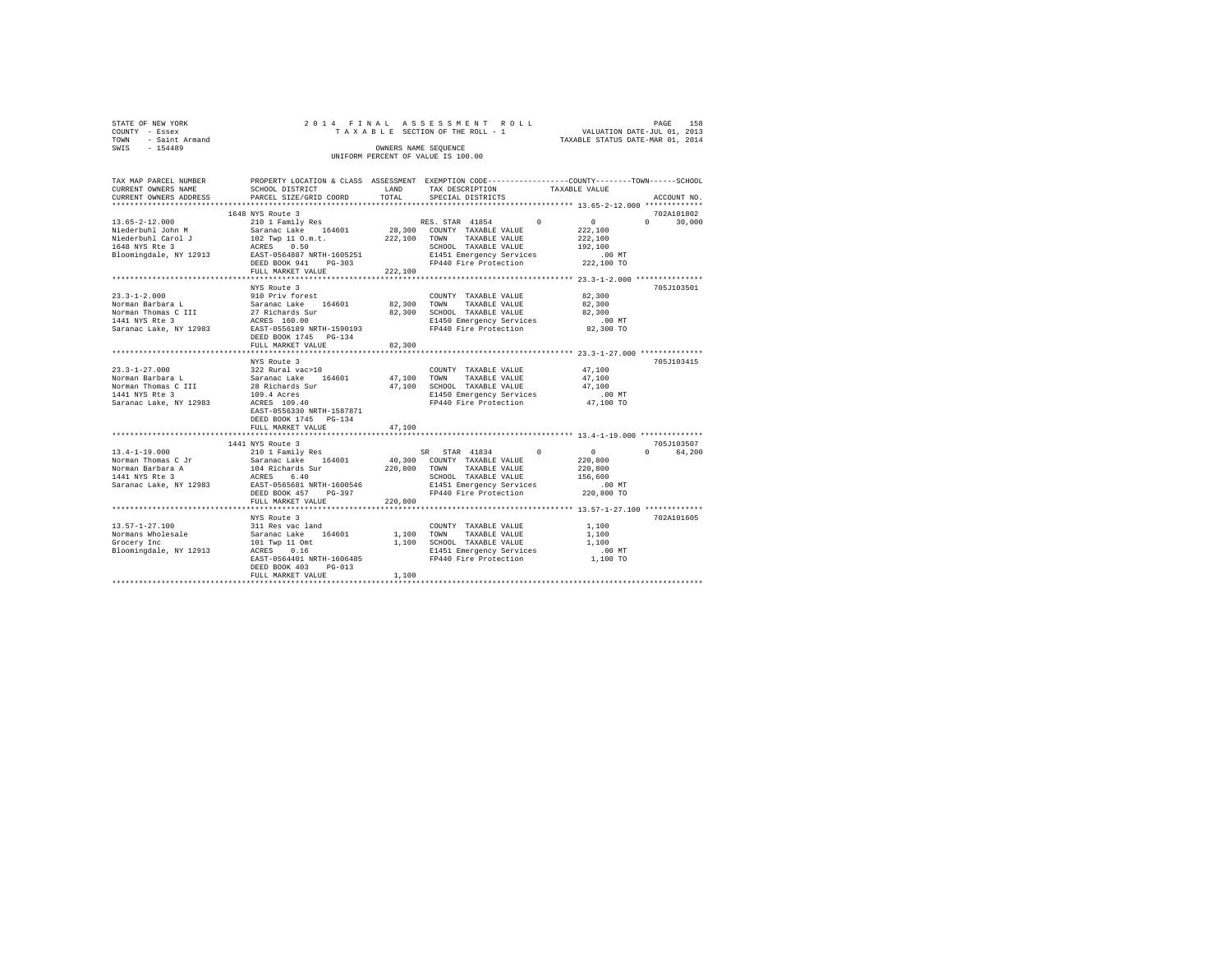|                | STATE OF NEW YORK   |  |  |                                    |  | 2014 FINAL ASSESSMENT ROLL      |  |                                  | PAGE | 158 |
|----------------|---------------------|--|--|------------------------------------|--|---------------------------------|--|----------------------------------|------|-----|
| COUNTY - Essex |                     |  |  |                                    |  | TAXABLE SECTION OF THE ROLL - 1 |  | VALUATION DATE-JUL 01, 2013      |      |     |
|                | TOWN - Saint Armand |  |  |                                    |  |                                 |  | TAXABLE STATUS DATE-MAR 01, 2014 |      |     |
| SWTS           | $-154489$           |  |  | OWNERS NAME SEOUENCE               |  |                                 |  |                                  |      |     |
|                |                     |  |  | UNIFORM PERCENT OF VALUE IS 100.00 |  |                                 |  |                                  |      |     |
|                |                     |  |  |                                    |  |                                 |  |                                  |      |     |

| TAX MAP PARCEL NUMBER             |                                                                                     |              | PROPERTY LOCATION & CLASS ASSESSMENT EXEMPTION CODE---------------COUNTY-------TOWN-----SCHOOL |                 |                    |
|-----------------------------------|-------------------------------------------------------------------------------------|--------------|------------------------------------------------------------------------------------------------|-----------------|--------------------|
| CURRENT OWNERS NAME               | SCHOOL DISTRICT                                                                     | LAND         | TAX DESCRIPTION                                                                                | TAXABLE VALUE   |                    |
| CURRENT OWNERS ADDRESS            | PARCEL SIZE/GRID COORD                                                              | TOTAL        | SPECIAL DISTRICTS                                                                              |                 | ACCOUNT NO.        |
|                                   |                                                                                     |              |                                                                                                |                 |                    |
|                                   | 1648 NYS Route 3                                                                    |              |                                                                                                |                 | 702A101802         |
| $13.65 - 2 - 12.000$              | 210 1 Family Res                                                                    |              | RES. STAR 41854<br>$\circ$                                                                     | $\sim$ 0 $\sim$ | $\Omega$<br>30,000 |
| Niederbuhl John M                 | Saranac Lake 164601                                                                 |              | 28,300 COUNTY TAXABLE VALUE                                                                    | 222,100         |                    |
| Niederbuhl Carol J                | 102 Twp 11 O.m.t.<br>ACRES 0.50                                                     | 222.100 TOWN | TAXABLE VALUE                                                                                  | 222,100         |                    |
| 1648 NYS Rte 3                    |                                                                                     |              | SCHOOL TAXABLE VALUE                                                                           | 192,100         |                    |
|                                   | Bloomingdale, NY 12913 EAST-0564887 NRTH-1605251                                    |              |                                                                                                | $.00$ MT        |                    |
|                                   | DEED BOOK 941<br>PG-303                                                             |              | E1451 Emergency Services<br>FP440 Fire Protection                                              | 222,100 TO      |                    |
|                                   | FULL MARKET VALUE                                                                   | 222,100      |                                                                                                |                 |                    |
|                                   |                                                                                     |              |                                                                                                |                 |                    |
|                                   | NYS Route 3                                                                         |              |                                                                                                |                 | 705J103501         |
| $23.3 - 1 - 2.000$                | 910 Priv forest                                                                     |              | COUNTY TAXABLE VALUE                                                                           | 82,300          |                    |
| Norman Barbara L                  |                                                                                     | 82,300 TOWN  | TAXABLE VALUE                                                                                  | 82,300          |                    |
| Norman Thomas C III               |                                                                                     | 82,300       | SCHOOL TAXABLE VALUE                                                                           | 82,300          |                    |
| 1441 NYS Rte 3                    |                                                                                     |              |                                                                                                | .00 MT          |                    |
|                                   | Saranac Lake 164601<br>27 Richards Sur<br>ACRES 160.00<br>EAST-0556189 NRTH-1590193 |              | E1450 Emergency Services<br>FP440 Fire Protection                                              |                 |                    |
| Saranac Lake, NY 12983            |                                                                                     |              |                                                                                                | 82,300 TO       |                    |
|                                   | DEED BOOK 1745 PG-134                                                               |              |                                                                                                |                 |                    |
|                                   | FULL MARKET VALUE                                                                   | 82,300       |                                                                                                |                 |                    |
|                                   |                                                                                     |              |                                                                                                |                 |                    |
|                                   | NYS Route 3                                                                         |              |                                                                                                |                 | 705J103415         |
| $23.3 - 1 - 27.000$               | 322 Rural vac>10<br>Saranac Lake 16460                                              |              | COUNTY TAXABLE VALUE                                                                           | 47,100          |                    |
| Norman Barbara L                  | 164601                                                                              | 47,100 TOWN  | TAXABLE VALUE                                                                                  | 47,100          |                    |
| Norman Thomas C III               | 28 Richards Sur<br>109.4 Acres                                                      | 47,100       | SCHOOL TAXABLE VALUE                                                                           | 47.100          |                    |
| 1441 NYS Rte 3                    |                                                                                     |              | E1450 Emergency Services                                                                       | $.00$ MT        |                    |
| Saranac Lake, NY 12983            | ACRES 109.40                                                                        |              | FP440 Fire Protection                                                                          | 47,100 TO       |                    |
|                                   | EAST-0556330 NRTH-1587871                                                           |              |                                                                                                |                 |                    |
|                                   | DEED BOOK 1745 PG-134                                                               |              |                                                                                                |                 |                    |
|                                   | FULL MARKET VALUE                                                                   | 47,100       |                                                                                                |                 |                    |
|                                   |                                                                                     |              |                                                                                                |                 |                    |
|                                   | 1441 NYS Route 3                                                                    |              |                                                                                                |                 | 705J103507         |
| $13.4 - 1 - 19.000$               | 210 1 Family Res                                                                    |              | SR STAR 41834 0                                                                                | $\sim$ 0        | $\Omega$<br>64,200 |
| Norman Thomas C Jr                | Saranac Lake 164601                                                                 |              | 40,300 COUNTY TAXABLE VALUE                                                                    | 220,800         |                    |
| Norman Barbara A                  |                                                                                     | 220,800 TOWN | TAXABLE VALUE                                                                                  | 220,800         |                    |
| 1441 NYS Rte 3                    | 104 Richards Sur<br>ACRES 6.40                                                      |              | SCHOOL TAXABLE VALUE                                                                           | 156,600         |                    |
|                                   | Saranac Lake, NY 12983 EAST-0565681 NRTH-1600546                                    |              | E1451 Emergency Services                                                                       | $.00$ MT        |                    |
|                                   | DEED BOOK 457<br>PG-397                                                             |              | FP440 Fire Protection                                                                          | 220,800 TO      |                    |
|                                   | FULL MARKET VALUE                                                                   | 220,800      |                                                                                                |                 |                    |
|                                   |                                                                                     |              |                                                                                                |                 |                    |
|                                   | NYS Route 3                                                                         |              |                                                                                                |                 | 702A101605         |
| $13.57 - 1 - 27.100$              | 311 Res vac land                                                                    |              | COUNTY TAXABLE VALUE                                                                           | 1,100           |                    |
|                                   |                                                                                     | 1,100        | TOWN<br>TAXABLE VALUE                                                                          | 1,100           |                    |
|                                   |                                                                                     |              | 1,100 SCHOOL TAXABLE VALUE                                                                     | 1,100           |                    |
| Bloomingdale, NY 12913 ACRES 0.16 |                                                                                     |              |                                                                                                | $.00$ MT        |                    |
|                                   | EAST-0564401 NRTH-1606485                                                           |              | E1451 Emergency Services<br>FP440 Fire Protection                                              | 1,100 TO        |                    |
|                                   | DEED BOOK 403<br>$PG-013$                                                           |              |                                                                                                |                 |                    |
|                                   |                                                                                     | 1,100        |                                                                                                |                 |                    |
|                                   |                                                                                     |              |                                                                                                |                 |                    |
|                                   |                                                                                     |              |                                                                                                |                 |                    |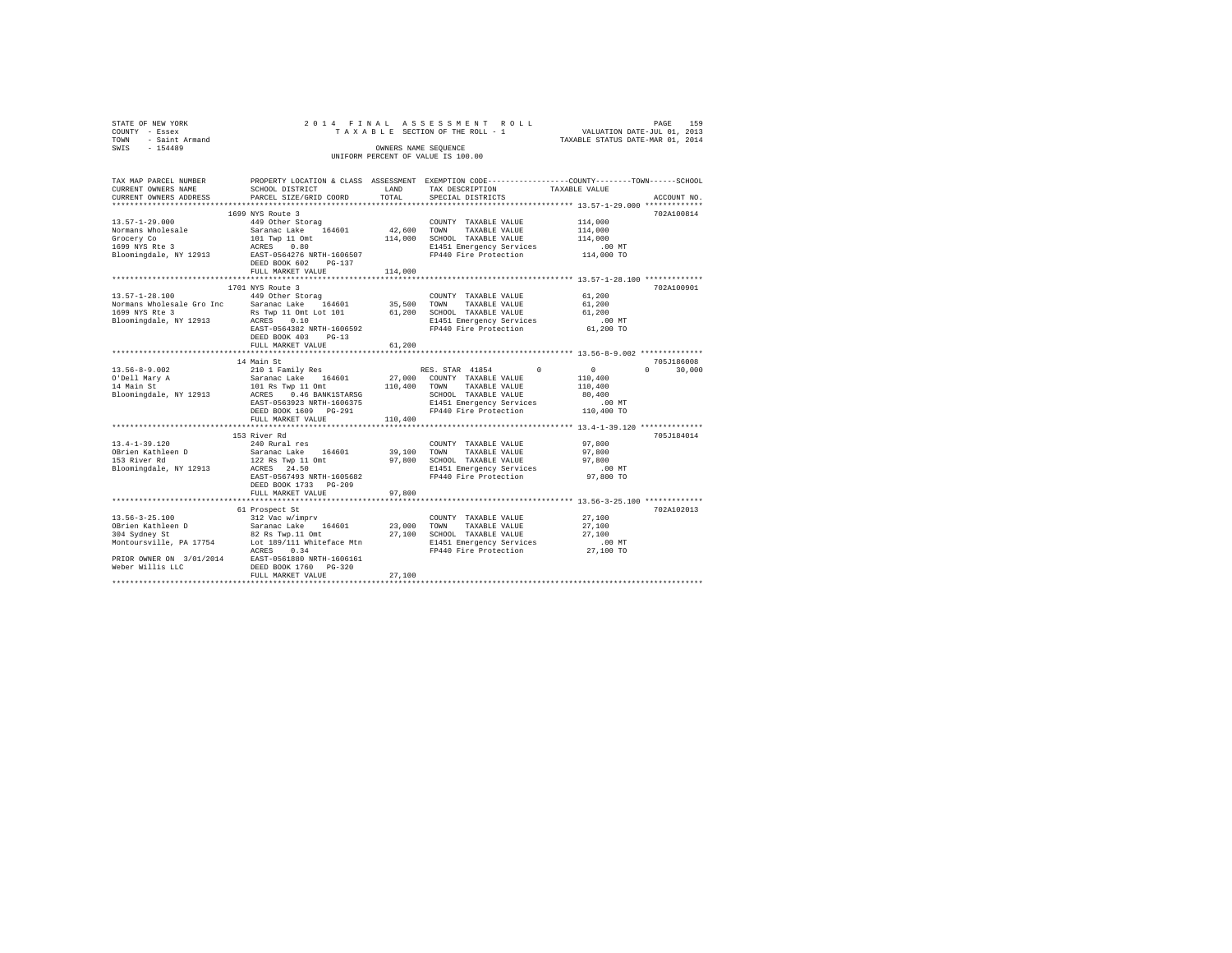| STATE OF NEW YORK<br>COUNTY - Essex<br>- Saint Armand<br>TOWN<br>SWTS - 154489     | 2014 FINAL ASSESSMENT ROLL<br>UNIFORM PERCENT OF VALUE IS 100.00                                                                                                                                                    | PAGE<br>159<br>TAXABLE SECTION OF THE ROLL - 1 VALUATION DATE-JUL 01, 2013<br>TAXABLE STATUS DATE-MAR 01, 2014 |                                                                                                                                                                      |                                                                                                                |  |
|------------------------------------------------------------------------------------|---------------------------------------------------------------------------------------------------------------------------------------------------------------------------------------------------------------------|----------------------------------------------------------------------------------------------------------------|----------------------------------------------------------------------------------------------------------------------------------------------------------------------|----------------------------------------------------------------------------------------------------------------|--|
| TAX MAP PARCEL NUMBER<br>CURRENT OWNERS NAME<br>CURRENT OWNERS ADDRESS             | SCHOOL DISTRICT<br>PARCEL SIZE/GRID COORD                                                                                                                                                                           | LAND<br>TOTAL                                                                                                  | TAX DESCRIPTION TAXABLE VALUE<br>SPECIAL DISTRICTS                                                                                                                   | PROPERTY LOCATION & CLASS ASSESSMENT EXEMPTION CODE---------------COUNTY-------TOWN------SCHOOL<br>ACCOUNT NO. |  |
| $13.57 - 1 - 29.000$<br>Normans Wholesale<br>Grocery Co<br>1699 NYS Rte 3          | 1699 NYS Route 3<br>449 Other Storag<br>Saranac Lake 164601 12,600 TOWN<br>101 Twp 11 Omt 114,000<br>ACRES 0.80<br>Bloomingdale, NY 12913 EAST-0564276 NRTH-1606507<br>DEED BOOK 602 PG-137<br>FULL MARKET VALUE    | 114,000                                                                                                        | COUNTY TAXABLE VALUE<br>TAXABLE VALUE<br>SCHOOL TAXABLE VALUE<br>E1451 Emergency Services<br>FP440 Fire Protection                                                   | 702A100814<br>114,000<br>114,000<br>114,000<br>.00 MT<br>$114,000$ TO                                          |  |
| $13.57 - 1 - 28.100$<br>1699 NYS Rte 3<br>Bloomingdale, NY 12913                   | 1701 NYS Route 3<br>449 Other Storag<br>Normans Wholesale Gro Inc Saranac Lake 164601 35,500<br>Rs Twp 11 Omt Lot 101 61,200<br>ACRES 0.10<br>EAST-0564382 NRTH-1606592<br>DEED BOOK 403 PG-13<br>FULL MARKET VALUE | 61,200                                                                                                         | COUNTY TAXABLE VALUE<br>TAXABLE VALUE<br>TOWN<br>SCHOOL TAXABLE VALUE<br>E1451 Emergency Services .00 MT<br>FP440 Fire Protection 61,200 TO<br>FP440 Fire Protection | 702A100901<br>$61,200$<br>$61,200$<br>61,200                                                                   |  |
|                                                                                    |                                                                                                                                                                                                                     |                                                                                                                |                                                                                                                                                                      |                                                                                                                |  |
| 13.56-8-9.002<br>O'Dell Mary A<br>14 Main St<br>Bloomingdale, NY 12913             | 14 Main St<br>101 Rs Twp 11 Omt 110,400 TOWN TAXABLE VALUE<br>ACRES 0.46 BANK1STARSG<br>EAST-0563923 NRTH-1606375<br>DEED BOOK 1609 PG-291                                                                          |                                                                                                                | RES. STAR 41854 0<br>SCHOOL TAXABLE VALUE<br>E1451 Emergency Services<br>FP440 Fire Protection                                                                       | 705J186008<br>$\sim$ 0<br>$\Omega$<br>30,000<br>110,400<br>110,400<br>80,400<br>$.00$ MT<br>110,400 TO         |  |
|                                                                                    | FULL MARKET VALUE                                                                                                                                                                                                   | 110,400                                                                                                        |                                                                                                                                                                      |                                                                                                                |  |
| $13.4 - 1 - 39.120$<br>OBrien Kathleen D<br>153 River Rd<br>Bloomingdale, NY 12913 | 153 River Rd<br>240 Rural res<br>Saranac Lake 164601<br>122 Rs Twp 11 Omt<br>ACRES 24.50<br>EAST-0567493 NRTH-1605682                                                                                               | 39,100<br>97,800                                                                                               | COUNTY TAXABLE VALUE<br>TAXABLE VALUE<br>TOWN<br>SCHOOL TAXABLE VALUE<br>E1451 Emergency Services<br>FP440 Fire Protection                                           | 705J184014<br>97,800<br>97,800<br>97,800<br>.00MT<br>97,800 TO                                                 |  |

 EAST-0567493 NRTH-1605682 FP440 Fire Protection 97,800 TO DEED BOOK 1733 PG-209 FULL MARKET VALUE 97,800 \*\*\*\*\*\*\*\*\*\*\*\*\*\*\*\*\*\*\*\*\*\*\*\*\*\*\*\*\*\*\*\*\*\*\*\*\*\*\*\*\*\*\*\*\*\*\*\*\*\*\*\*\*\*\*\*\*\*\*\*\*\*\*\*\*\*\*\*\*\*\*\*\*\*\*\*\*\*\*\*\*\*\*\*\*\*\*\*\*\*\*\*\*\*\*\*\*\*\*\*\*\*\* 13.56-3-25.100 \*\*\*\*\*\*\*\*\*\*\*\*\* 61 Prospect St 702A102013

Weber Willis LLC DEED BOOK 1760 PG-320 FULL MARKET VALUE 27,100 \*\*\*\*\*\*\*\*\*\*\*\*\*\*\*\*\*\*\*\*\*\*\*\*\*\*\*\*\*\*\*\*\*\*\*\*\*\*\*\*\*\*\*\*\*\*\*\*\*\*\*\*\*\*\*\*\*\*\*\*\*\*\*\*\*\*\*\*\*\*\*\*\*\*\*\*\*\*\*\*\*\*\*\*\*\*\*\*\*\*\*\*\*\*\*\*\*\*\*\*\*\*\*\*\*\*\*\*\*\*\*\*\*\*\*\*\*\*\*\*\*\*\*\*\*\*\*\*\*\*\*\*

13.56-3-25.100 312 Vac w/imprv COUNTY TAXABLE VALUE 27,100 OBrien Kathleen D Saranac Lake 164601 23,000 TOWN TAXABLE VALUE 27,100 304 Sydney St 82 Rs Twp.11 Omt 27,100 SCHOOL TAXABLE VALUE 27,100 Montoursville, PA 17754 Lot 189/111 Whiteface Mtn E1451 Emergency Services .00 MT ACRES 0.34 FP440 Fire Protection 27,100 TO PRIOR OWNER ON 3/01/2014 EAST-0561880 NRTH-1606161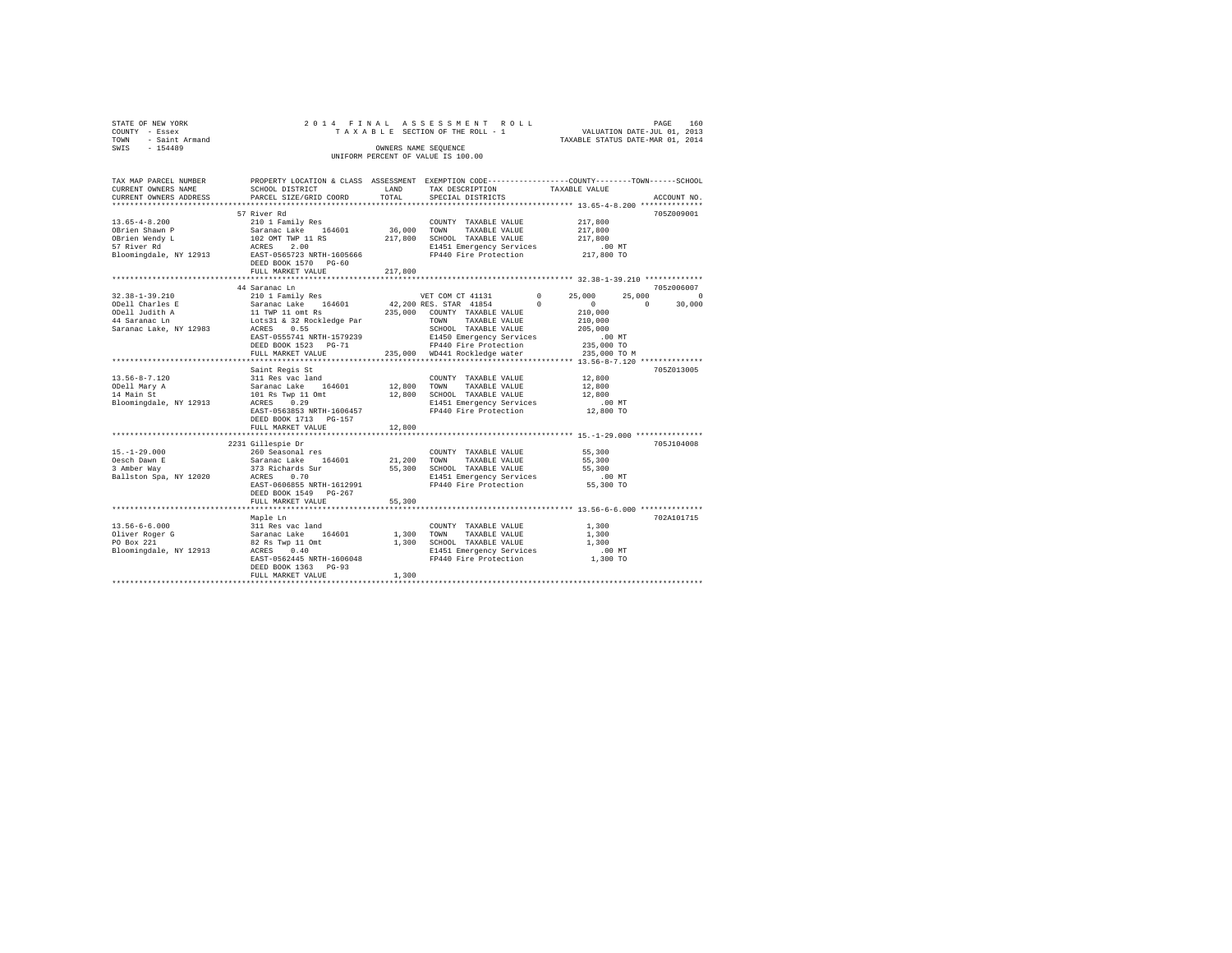| STATE OF NEW YORK                  |                     |  |  |  |  |  |  |  | 2014 FINAL ASSESSMENT ROLL      |  |  |  |                                  | PAGE | 160 |
|------------------------------------|---------------------|--|--|--|--|--|--|--|---------------------------------|--|--|--|----------------------------------|------|-----|
| COUNTY - Essex                     |                     |  |  |  |  |  |  |  | TAXABLE SECTION OF THE ROLL - 1 |  |  |  | VALUATION DATE-JUL 01, 2013      |      |     |
|                                    | TOWN - Saint Armand |  |  |  |  |  |  |  |                                 |  |  |  | TAXABLE STATUS DATE-MAR 01, 2014 |      |     |
| SWIS                               | $-154489$           |  |  |  |  |  |  |  | OWNERS NAME SEOUENCE            |  |  |  |                                  |      |     |
| UNIFORM PERCENT OF VALUE IS 100.00 |                     |  |  |  |  |  |  |  |                                 |  |  |  |                                  |      |     |

| TAX MAP PARCEL NUMBER             | PROPERTY LOCATION & CLASS ASSESSMENT EXEMPTION CODE---------------COUNTY-------TOWN------SCHOOL |             |                                                                                |                                                        |                        |
|-----------------------------------|-------------------------------------------------------------------------------------------------|-------------|--------------------------------------------------------------------------------|--------------------------------------------------------|------------------------|
| CURRENT OWNERS NAME               | SCHOOL DISTRICT                                                                                 | LAND        | TAX DESCRIPTION                                                                | TAXABLE VALUE                                          |                        |
| CURRENT OWNERS ADDRESS            | PARCEL SIZE/GRID COORD                                                                          | TOTAL       | SPECIAL DISTRICTS                                                              |                                                        | ACCOUNT NO.            |
|                                   |                                                                                                 |             |                                                                                |                                                        |                        |
|                                   | 57 River Rd                                                                                     |             |                                                                                |                                                        | 705Z009001             |
|                                   |                                                                                                 |             |                                                                                | 217,800                                                |                        |
|                                   |                                                                                                 |             |                                                                                | 217,800                                                |                        |
|                                   |                                                                                                 |             |                                                                                | 217,800<br>.00 MT                                      |                        |
|                                   |                                                                                                 |             |                                                                                |                                                        |                        |
|                                   |                                                                                                 |             | FP440 Fire Protection 217,800 TO                                               |                                                        |                        |
|                                   | DEED BOOK 1570 PG-60                                                                            |             |                                                                                |                                                        |                        |
|                                   | FULL MARKET VALUE                                                                               | 217,800     |                                                                                |                                                        |                        |
|                                   |                                                                                                 |             |                                                                                |                                                        |                        |
|                                   | 44 Saranac Ln                                                                                   |             |                                                                                |                                                        | 705z006007             |
| $32.38 - 1 - 39.210$              | 210 1 Family Res                                                                                |             | VET COM CT 41131                                                               | $\sim$ 0<br>25,000                                     | 25,000<br>$\sim$ 0     |
| ODell Charles E                   |                                                                                                 |             |                                                                                | $\begin{smallmatrix}&&0\\&&210\,,000\end{smallmatrix}$ | $\mathbf{0}$<br>30,000 |
| ODell Judith A                    |                                                                                                 |             |                                                                                |                                                        |                        |
| 44 Saranac Ln                     |                                                                                                 |             |                                                                                | 210,000                                                |                        |
| Saranac Lake, NY 12983            |                                                                                                 |             |                                                                                | 205,000                                                |                        |
|                                   | EAST-0555741 NRTH-1579239                                                                       |             | E1450 Emergency Services<br>FP440 Fire Beats of                                |                                                        |                        |
|                                   | DEED BOOK 1523 PG-71                                                                            |             | FP440 Fire Protection 235,000 TO<br>235,000 WD441 Rockledge water 235,000 TO M | 00 MT.<br>235,000 TO                                   |                        |
|                                   | FULL MARKET VALUE                                                                               |             |                                                                                |                                                        |                        |
|                                   |                                                                                                 |             |                                                                                |                                                        |                        |
|                                   | Saint Regis St                                                                                  |             |                                                                                |                                                        | 705Z013005             |
| $13.56 - 8 - 7.120$               | 311 Res vac land                                                                                |             | COUNTY TAXABLE VALUE 12,800                                                    |                                                        |                        |
| ODell Mary A                      | Saranac Lake 164601<br>101 Rs Twp 11 Omt                                                        |             | 12,800 TOWN TAXABLE VALUE                                                      | 12,800                                                 |                        |
| 14 Main St                        |                                                                                                 |             | 12,800 SCHOOL TAXABLE VALUE                                                    | 12,800                                                 |                        |
| Bloomingdale, NY 12913 ACRES 0.29 |                                                                                                 |             | E1451 Emergency Services                                                       | .00 MT                                                 |                        |
|                                   | EAST-0563853 NRTH-1606457                                                                       |             | FP440 Fire Protection                                                          | $12,800$ TO                                            |                        |
|                                   | DEED BOOK 1713 PG-157                                                                           |             |                                                                                |                                                        |                        |
|                                   | FULL MARKET VALUE                                                                               | 12,800      |                                                                                |                                                        |                        |
|                                   | **************************                                                                      | *********** |                                                                                | ********************* 15.-1-29.000 ***************     |                        |
|                                   | 2231 Gillespie Dr                                                                               |             |                                                                                |                                                        | 705J104008             |
| $15. - 1 - 29.000$                |                                                                                                 |             |                                                                                | 55,300                                                 |                        |
| Oesch Dawn E                      |                                                                                                 |             |                                                                                |                                                        |                        |
| 3 Amber Way                       |                                                                                                 |             |                                                                                |                                                        |                        |
| Ballston Spa, NY 12020            |                                                                                                 |             |                                                                                |                                                        |                        |
|                                   | EAST-0606855 NRTH-1612991                                                                       |             | FP440 Fire Protection 55,300 TO                                                |                                                        |                        |
|                                   | DEED BOOK 1549 PG-267                                                                           |             |                                                                                |                                                        |                        |
|                                   | FULL MARKET VALUE                                                                               | 55,300      |                                                                                |                                                        |                        |
|                                   |                                                                                                 |             |                                                                                |                                                        |                        |
|                                   | Maple Ln                                                                                        |             |                                                                                |                                                        | 702A101715             |
| $13.56 - 6 - 6.000$               |                                                                                                 |             | COUNTY TAXABLE VALUE                                                           | 1,300                                                  |                        |
| Oliver Roger G                    |                                                                                                 | 1,300 TOWN  | TAXABLE VALUE                                                                  | 1,300                                                  |                        |
| PO Box 221                        |                                                                                                 |             | 1,300 SCHOOL TAXABLE VALUE                                                     | 1,300                                                  |                        |
| Bloomingdale, NY 12913            | Mapie Lu<br>311 Res vac land<br>Saranac Lake 164601<br>82 Rs Twp 11 Omt<br>acres 0.40           |             | E1451 Emergency Services                                                       | $.00$ MT                                               |                        |
|                                   | EAST-0562445 NRTH-1606048                                                                       |             | FP440 Fire Protection                                                          | 1,300 TO                                               |                        |
|                                   | DEED BOOK 1363 PG-93                                                                            |             |                                                                                |                                                        |                        |
|                                   | FULL MARKET VALUE                                                                               | 1,300       |                                                                                |                                                        |                        |
|                                   |                                                                                                 |             |                                                                                |                                                        |                        |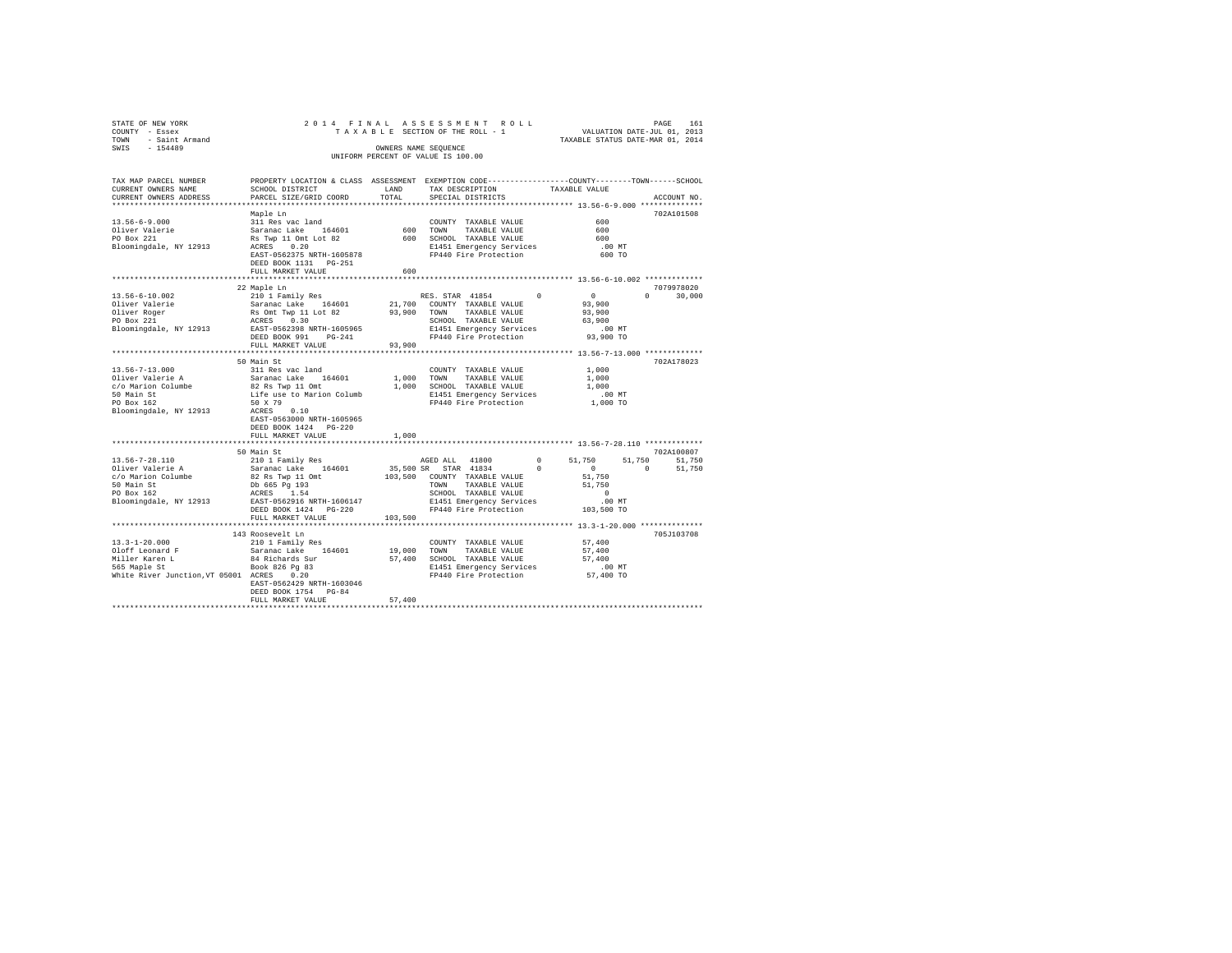| STATE OF NEW YORK 2012<br>COUNTY - Essex 2012<br>TOWN - Saint Armand<br>SWIS - 154489 |                                                                                                                                                                                         |            | PAGE 161 PINAL ASSESSMENT ROLL (PAGE 161 PAGE 161 PAGE 161 PAGE 161 PAGE 161 PAGE 161 PAGE 161 PAGE 2014 PINAL AND PAGE 161 PAGE 161 PAGE 161 PAGE 161 PAGE 161 PAGE 161 PAGE 161 PAGE 161 PAGE 161 PAGE 161 PAGE 161 PAGE 161 |                      |                    |
|---------------------------------------------------------------------------------------|-----------------------------------------------------------------------------------------------------------------------------------------------------------------------------------------|------------|--------------------------------------------------------------------------------------------------------------------------------------------------------------------------------------------------------------------------------|----------------------|--------------------|
|                                                                                       |                                                                                                                                                                                         |            |                                                                                                                                                                                                                                |                      |                    |
|                                                                                       |                                                                                                                                                                                         |            |                                                                                                                                                                                                                                |                      |                    |
|                                                                                       |                                                                                                                                                                                         |            | OWNERS NAME SEOUENCE                                                                                                                                                                                                           |                      |                    |
|                                                                                       |                                                                                                                                                                                         |            | UNIFORM PERCENT OF VALUE IS 100.00                                                                                                                                                                                             |                      |                    |
|                                                                                       |                                                                                                                                                                                         |            |                                                                                                                                                                                                                                |                      |                    |
|                                                                                       |                                                                                                                                                                                         |            |                                                                                                                                                                                                                                |                      |                    |
| TAX MAP PARCEL NUMBER                                                                 | PROPERTY LOCATION & CLASS ASSESSMENT EXEMPTION CODE---------------COUNTY-------TOWN------SCHOOL                                                                                         |            |                                                                                                                                                                                                                                |                      |                    |
| CURRENT OWNERS NAME                                                                   | SCHOOL DISTRICT                                                                                                                                                                         | LAND       | TAX DESCRIPTION                                                                                                                                                                                                                | TAXABLE VALUE        |                    |
| CURRENT OWNERS ADDRESS                                                                | PARCEL SIZE/GRID COORD                                                                                                                                                                  | TOTAL      | SPECIAL DISTRICTS                                                                                                                                                                                                              |                      | ACCOUNT NO.        |
|                                                                                       |                                                                                                                                                                                         |            |                                                                                                                                                                                                                                |                      |                    |
|                                                                                       | Maple Ln                                                                                                                                                                                |            |                                                                                                                                                                                                                                |                      | 702A101508         |
| $13.56 - 6 - 9.000$                                                                   | 311 Res vac land                                                                                                                                                                        |            | COUNTY TAXABLE VALUE                                                                                                                                                                                                           | 600                  |                    |
|                                                                                       |                                                                                                                                                                                         |            | 600 TOWN TAXABLE VALUE                                                                                                                                                                                                         | 600                  |                    |
| Oliver Valerie<br>PO Box 221                                                          | oli kes vac land<br>Saranac Lake 164601<br>Rs Twp 11 Omt Lot 82<br>ACRES 0.20                                                                                                           |            | 600 SCHOOL TAXABLE VALUE                                                                                                                                                                                                       | 600                  |                    |
|                                                                                       |                                                                                                                                                                                         |            |                                                                                                                                                                                                                                |                      |                    |
| Bloomingdale, NY 12913                                                                |                                                                                                                                                                                         |            | E1451 Emergency Services<br>FP440 Fire Protection                                                                                                                                                                              | .00MT<br>600 TO      |                    |
|                                                                                       | EAST-0562375 NRTH-1605878                                                                                                                                                               |            |                                                                                                                                                                                                                                |                      |                    |
|                                                                                       | DEED BOOK 1131    PG-251                                                                                                                                                                |            |                                                                                                                                                                                                                                |                      |                    |
|                                                                                       | FULL MARKET VALUE                                                                                                                                                                       | 600        |                                                                                                                                                                                                                                |                      |                    |
|                                                                                       |                                                                                                                                                                                         |            | ********************************* 13.56-6-10.002 *************                                                                                                                                                                 |                      |                    |
|                                                                                       | 22 Maple Ln                                                                                                                                                                             |            |                                                                                                                                                                                                                                |                      | 7079978020         |
| $13.56 - 6 - 10.002$                                                                  | 210 1 Family Res                                                                                                                                                                        |            | RES. STAR 41854                                                                                                                                                                                                                | $\sim$ 0<br>$\sim$ 0 | $0 \t 30,000$      |
|                                                                                       |                                                                                                                                                                                         |            | 21,700 COUNTY TAXABLE VALUE                                                                                                                                                                                                    | 93,900               |                    |
|                                                                                       |                                                                                                                                                                                         |            |                                                                                                                                                                                                                                | 93,900               |                    |
|                                                                                       |                                                                                                                                                                                         |            |                                                                                                                                                                                                                                | 63,900               |                    |
|                                                                                       |                                                                                                                                                                                         |            |                                                                                                                                                                                                                                | $.00$ MT             |                    |
|                                                                                       | DEED BOOK 991 PG-241                                                                                                                                                                    |            | E1451 Emergency Services<br>FP440 Fire Protection                                                                                                                                                                              | 93,900 TO            |                    |
|                                                                                       | FULL MARKET VALUE                                                                                                                                                                       | 93,900     |                                                                                                                                                                                                                                |                      |                    |
|                                                                                       |                                                                                                                                                                                         |            |                                                                                                                                                                                                                                |                      |                    |
|                                                                                       | 50 Main St                                                                                                                                                                              |            |                                                                                                                                                                                                                                |                      | 702A178023         |
| $13.56 - 7 - 13.000$                                                                  | 311 Res vac land                                                                                                                                                                        |            | COUNTY TAXABLE VALUE                                                                                                                                                                                                           | 1,000                |                    |
| Oliver Valerie A                                                                      |                                                                                                                                                                                         |            | 1,000 TOWN TAXABLE VALUE                                                                                                                                                                                                       | 1,000                |                    |
| c/o Marion Columbe                                                                    | Saranac Lake 164601<br>82 Rs Twp 11 Omt                                                                                                                                                 |            | 1,000 SCHOOL TAXABLE VALUE                                                                                                                                                                                                     | 1,000                |                    |
|                                                                                       |                                                                                                                                                                                         |            |                                                                                                                                                                                                                                |                      |                    |
| 50 Main St<br>PO Box 162                                                              | Life use to Marion Columb                                                                                                                                                               |            | E1451 Emergency Services                                                                                                                                                                                                       | $.00$ MT             |                    |
|                                                                                       | 50 X 79                                                                                                                                                                                 |            | FP440 Fire Protection                                                                                                                                                                                                          | 1,000 TO             |                    |
| Bloomingdale, NY 12913 ACRES 0.10                                                     |                                                                                                                                                                                         |            |                                                                                                                                                                                                                                |                      |                    |
|                                                                                       | EAST-0563000 NRTH-1605965                                                                                                                                                               |            |                                                                                                                                                                                                                                |                      |                    |
|                                                                                       | DEED BOOK 1424 PG-220                                                                                                                                                                   |            |                                                                                                                                                                                                                                |                      |                    |
|                                                                                       | FULL MARKET VALUE                                                                                                                                                                       | 1,000      |                                                                                                                                                                                                                                |                      |                    |
|                                                                                       | ***********************                                                                                                                                                                 | ********** | **************************** 13.56-7-28.110 *************                                                                                                                                                                      |                      |                    |
|                                                                                       | 50 Main St                                                                                                                                                                              |            |                                                                                                                                                                                                                                |                      | 702A100807         |
| 13.56-7-28.110                                                                        | 210 1 Family Res                                                                                                                                                                        |            | AGED ALL 41800                                                                                                                                                                                                                 | $0 \t 51,750$        | 51,750 51,750      |
| Oliver Valerie A                                                                      | Saranac Lake 164601                                                                                                                                                                     |            | 35,500 SR STAR 41834                                                                                                                                                                                                           | $\sim$ 0<br>$\sim$ 0 | $\sim$ 0<br>51,750 |
| c/o Marion Columbe                                                                    | 82 Rs Twp 11 Omt<br>Db 665 Pg 193<br>ACRES 1.54                                                                                                                                         |            | 103,500 COUNTY TAXABLE VALUE                                                                                                                                                                                                   | 51,750               |                    |
|                                                                                       |                                                                                                                                                                                         |            | TOWN TAXABLE VALUE                                                                                                                                                                                                             | 51,750               |                    |
| 50 Main St<br>PO Box 162                                                              |                                                                                                                                                                                         |            | SCHOOL TAXABLE VALUE                                                                                                                                                                                                           | $\sim$ 0             |                    |
| Bloomingdale, NY 12913 EAST-0562916 NRTH-1606147                                      |                                                                                                                                                                                         |            |                                                                                                                                                                                                                                |                      |                    |
|                                                                                       | DEED BOOK 1424    PG-220                                                                                                                                                                |            | E1451 Emergency Services .00 MT<br>FP440 Fire Protection 103,500 TO                                                                                                                                                            |                      |                    |
|                                                                                       |                                                                                                                                                                                         |            |                                                                                                                                                                                                                                |                      |                    |
|                                                                                       | FULL MARKET VALUE                                                                                                                                                                       | 103,500    |                                                                                                                                                                                                                                |                      |                    |
|                                                                                       |                                                                                                                                                                                         |            |                                                                                                                                                                                                                                |                      |                    |
|                                                                                       | 143 Roosevelt Ln                                                                                                                                                                        |            |                                                                                                                                                                                                                                |                      | 705J103708         |
| $13.3 - 1 - 20.000$                                                                   | 210 1 Family Res                                                                                                                                                                        |            | COUNTY TAXABLE VALUE                                                                                                                                                                                                           | 57,400               |                    |
| Oloff Leonard F                                                                       | Saranac Lake 164601                                                                                                                                                                     |            | 19,000 TOWN TAXABLE VALUE                                                                                                                                                                                                      | 57,400               |                    |
| Miller Karen L<br>565 Maple St                                                        | Sätamar and the SCHOOL TAXABLE VALUE 57,400<br>Book 826 Pg 83 S1400 SCHOOL TAXABLE VALUE<br>Incress 0.20 TP440 Fire Protection 57,400 TO<br>IACRES 0.20 TP440 Fire Protection 57,400 TO |            |                                                                                                                                                                                                                                |                      |                    |
|                                                                                       |                                                                                                                                                                                         |            |                                                                                                                                                                                                                                |                      |                    |
| White River Junction, VT 05001 ACRES 0.20                                             |                                                                                                                                                                                         |            |                                                                                                                                                                                                                                |                      |                    |
|                                                                                       | EAST-0562429 NRTH-1603046                                                                                                                                                               |            |                                                                                                                                                                                                                                |                      |                    |
|                                                                                       | DEED BOOK 1754 PG-84                                                                                                                                                                    |            |                                                                                                                                                                                                                                |                      |                    |
|                                                                                       | FULL MARKET VALUE                                                                                                                                                                       | 57,400     |                                                                                                                                                                                                                                |                      |                    |
|                                                                                       |                                                                                                                                                                                         |            |                                                                                                                                                                                                                                |                      |                    |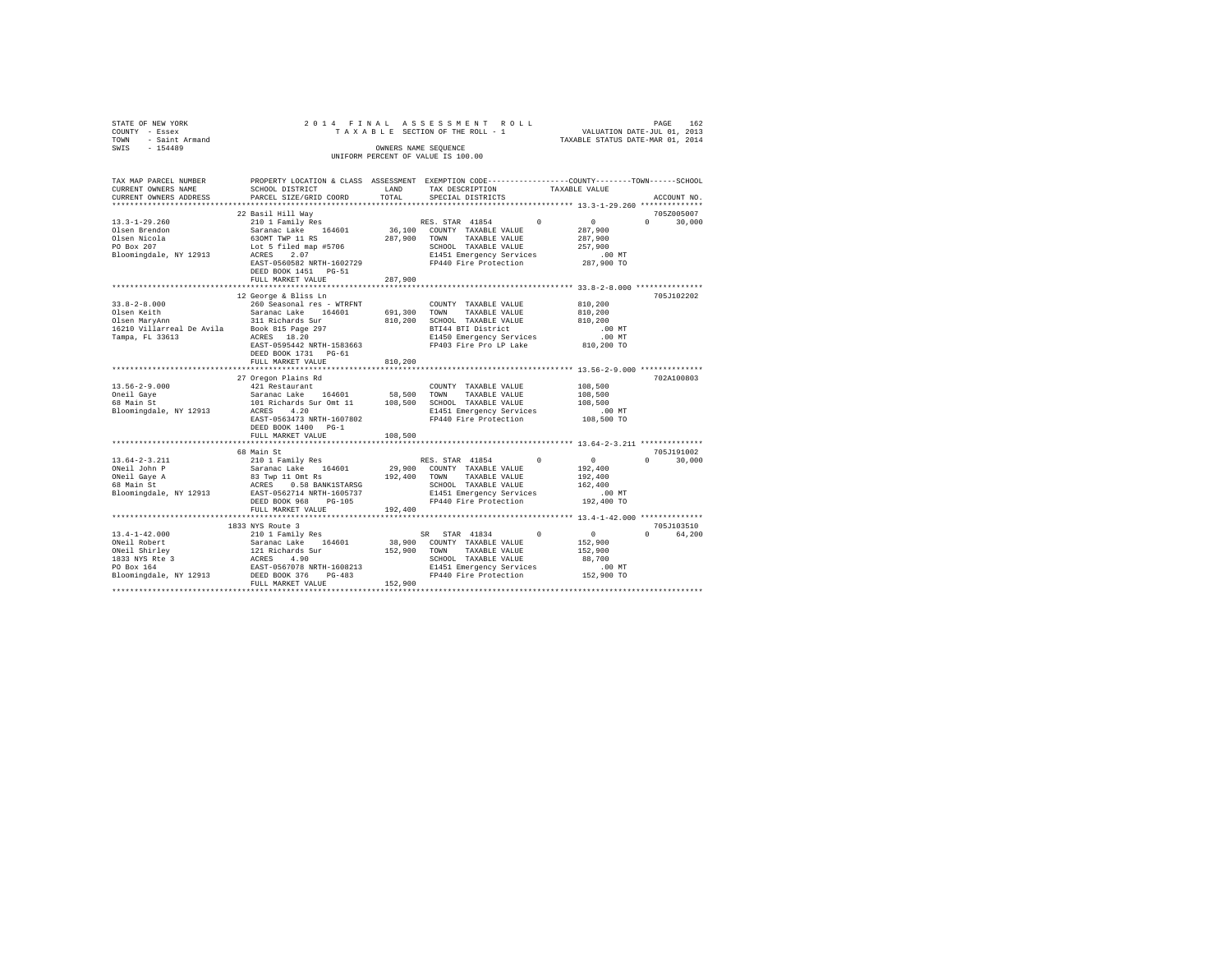| STATE OF NEW YORK<br>- Essex<br>COUNTY                                 |                                                                        | 2014 FINAL ASSESSMENT ROLL<br>TAXABLE SECTION OF THE ROLL - 1       | VALUATION DATE-JUL 01, 2013                                                  | 162<br>PAGE |
|------------------------------------------------------------------------|------------------------------------------------------------------------|---------------------------------------------------------------------|------------------------------------------------------------------------------|-------------|
| - Saint Armand<br>TOWN                                                 |                                                                        |                                                                     | TAXABLE STATUS DATE-MAR 01, 2014                                             |             |
| $-154489$<br>SWIS                                                      |                                                                        | OWNERS NAME SEOUENCE                                                |                                                                              |             |
|                                                                        |                                                                        | UNIFORM PERCENT OF VALUE IS 100.00                                  |                                                                              |             |
| TAX MAP PARCEL NUMBER<br>CURRENT OWNERS NAME<br>CURRENT OWNERS ADDRESS | PROPERTY LOCATION & CLASS<br>SCHOOL DISTRICT<br>PARCEL SIZE/GRID COORD | ASSESSMENT<br>LAND<br>TAX DESCRIPTION<br>TOTAL<br>SPECIAL DISTRICTS | EXEMPTION CODE-----------------COUNTY-------TOWN-----SCHOOL<br>TAXABLE VALUE | ACCOUNT NO. |
|                                                                        |                                                                        |                                                                     |                                                                              |             |
|                                                                        | 22 Basil Hill Wav                                                      |                                                                     |                                                                              | 7052005007  |
| $13.3 - 1 - 29.260$                                                    | 210 1 Family Res                                                       | RES. STAR 41854                                                     | $\Omega$                                                                     | 30,000      |
| Olsen Brendon                                                          | 164601<br>Saranac Lake                                                 | 36,100<br>TAXABLE VALUE<br>COUNTY                                   | 287,900                                                                      |             |

| Olsen Nicola<br>PO Box 207 | 630MT TWP 11 RS<br>Lot 5 filed map #5706                                                                      | 287,900 | TAXABLE VALUE<br>TOWN<br>SCHOOL TAXABLE VALUE                                                                                                                                     | 287,900<br>257,900 |                    |
|----------------------------|---------------------------------------------------------------------------------------------------------------|---------|-----------------------------------------------------------------------------------------------------------------------------------------------------------------------------------|--------------------|--------------------|
| Bloomingdale, NY 12913     | ACRES<br>2.07                                                                                                 |         |                                                                                                                                                                                   |                    |                    |
|                            | EAST-0560582 NRTH-1602729                                                                                     |         |                                                                                                                                                                                   |                    |                    |
|                            | DEED BOOK 1451 PG-51                                                                                          |         |                                                                                                                                                                                   |                    |                    |
|                            | FULL MARKET VALUE                                                                                             | 287.900 |                                                                                                                                                                                   |                    |                    |
|                            |                                                                                                               |         |                                                                                                                                                                                   |                    |                    |
|                            | 12 George & Bliss Ln                                                                                          |         |                                                                                                                                                                                   |                    | 705J102202         |
| $33.8 - 2 - 8.000$         | 260 Seasonal res - WTRFNT                                                                                     |         | COUNTY TAXABLE VALUE 810,200                                                                                                                                                      |                    |                    |
| Olsen Keith                | Saranac Lake 164601                                                                                           |         | 691,300 TOWN TAXABLE VALUE 810,200                                                                                                                                                |                    |                    |
|                            |                                                                                                               |         |                                                                                                                                                                                   |                    |                    |
|                            |                                                                                                               |         | BTI44 BTI District 100 MT<br>E1450 Emergency Services 100 MT                                                                                                                      |                    |                    |
|                            |                                                                                                               |         |                                                                                                                                                                                   |                    |                    |
|                            | EAST-0595442 NRTH-1583663                                                                                     |         | FP403 Fire Pro LP Lake 810,200 TO                                                                                                                                                 |                    |                    |
|                            | DEED BOOK 1731 PG-61                                                                                          |         |                                                                                                                                                                                   |                    |                    |
|                            |                                                                                                               |         |                                                                                                                                                                                   |                    |                    |
|                            |                                                                                                               |         |                                                                                                                                                                                   |                    |                    |
|                            | 27 Oregon Plains Rd                                                                                           |         |                                                                                                                                                                                   |                    | 702A100803         |
| $13.56 - 2 - 9.000$        |                                                                                                               |         | 421 Restaurant 164601 - COUNTY TAXABLE VALUE 108,500<br>Saranac Lake 164601 - 58,500 TOWN TAXABLE VALUE 108,500<br>101 Richards Sur Omt 11 - 108,500 SCHOOL TAXABLE VALUE 108,500 | 108,500            |                    |
| Oneil Gave                 |                                                                                                               |         |                                                                                                                                                                                   |                    |                    |
| 68 Main St                 |                                                                                                               |         |                                                                                                                                                                                   |                    |                    |
| Bloomingdale, NY 12913     | 4.20<br>ACRES                                                                                                 |         | E1451 Emergency Services .00 MT                                                                                                                                                   |                    |                    |
|                            |                                                                                                               |         | EAST-0563473 NRTH-1607802 FP440 Fire Protection 108,500 TO                                                                                                                        |                    |                    |
|                            | DEED BOOK 1400 PG-1                                                                                           |         |                                                                                                                                                                                   |                    |                    |
|                            | FULL MARKET VALUE                                                                                             | 108,500 |                                                                                                                                                                                   |                    |                    |
|                            |                                                                                                               |         |                                                                                                                                                                                   |                    |                    |
|                            | 68 Main St                                                                                                    |         |                                                                                                                                                                                   |                    | 705J191002         |
| $13.64 - 2 - 3.211$        |                                                                                                               |         |                                                                                                                                                                                   | $\sim$ 0           | $\Omega$<br>30,000 |
| ONeil John P               |                                                                                                               |         |                                                                                                                                                                                   | 192,400            |                    |
|                            |                                                                                                               |         | TAXABLE VALUE 192,400                                                                                                                                                             |                    |                    |
|                            |                                                                                                               |         | SCHOOL TAXABLE VALUE 162,400                                                                                                                                                      |                    |                    |
|                            |                                                                                                               |         | E1451 Emergency Services                                                                                                                                                          | . 00 MT            |                    |
|                            | DEED BOOK 968 PG-105                                                                                          |         | FP440 Fire Protection 192,400 TO                                                                                                                                                  |                    |                    |
|                            | FULL MARKET VALUE                                                                                             | 192,400 |                                                                                                                                                                                   |                    |                    |
|                            |                                                                                                               |         |                                                                                                                                                                                   |                    |                    |
|                            | 1833 NYS Route 3                                                                                              |         |                                                                                                                                                                                   |                    | 705J103510         |
| $13.4 - 1 - 42.000$        | 210 1 Family Res                                                                                              |         | SR STAR 41834<br>$\sim$ 0                                                                                                                                                         | $\sim$ 0           | $\Omega$<br>64,200 |
| ONeil Robert               |                                                                                                               |         | Saranac Lake 164601 38,900 COUNTY TAXABLE VALUE 152,900                                                                                                                           |                    |                    |
|                            |                                                                                                               |         | 152,900 TOWN<br>TAXABLE VALUE                                                                                                                                                     | 152,900            |                    |
|                            | ONell Abirley<br>1813 NYS Ree 3<br>1813 NYS REE 3<br>1923 NYS REE 4<br>20 BOX 164<br>20 BOX 164<br>20 BOX 164 |         | SCHOOL TAXABLE VALUE 88,700<br>E1451 Emergency Services .00 MT                                                                                                                    |                    |                    |
|                            |                                                                                                               |         |                                                                                                                                                                                   |                    |                    |
| Bloomingdale, NY 12913     | $PG-483$<br>DEED BOOK 376                                                                                     |         | FP440 Fire Protection 152,900 TO                                                                                                                                                  |                    |                    |
|                            | FULL MARKET VALUE                                                                                             | 152,900 |                                                                                                                                                                                   |                    |                    |

FULL MARKET VALUE 152,900 \*\*\*\*\*\*\*\*\*\*\*\*\*\*\*\*\*\*\*\*\*\*\*\*\*\*\*\*\*\*\*\*\*\*\*\*\*\*\*\*\*\*\*\*\*\*\*\*\*\*\*\*\*\*\*\*\*\*\*\*\*\*\*\*\*\*\*\*\*\*\*\*\*\*\*\*\*\*\*\*\*\*\*\*\*\*\*\*\*\*\*\*\*\*\*\*\*\*\*\*\*\*\*\*\*\*\*\*\*\*\*\*\*\*\*\*\*\*\*\*\*\*\*\*\*\*\*\*\*\*\*\*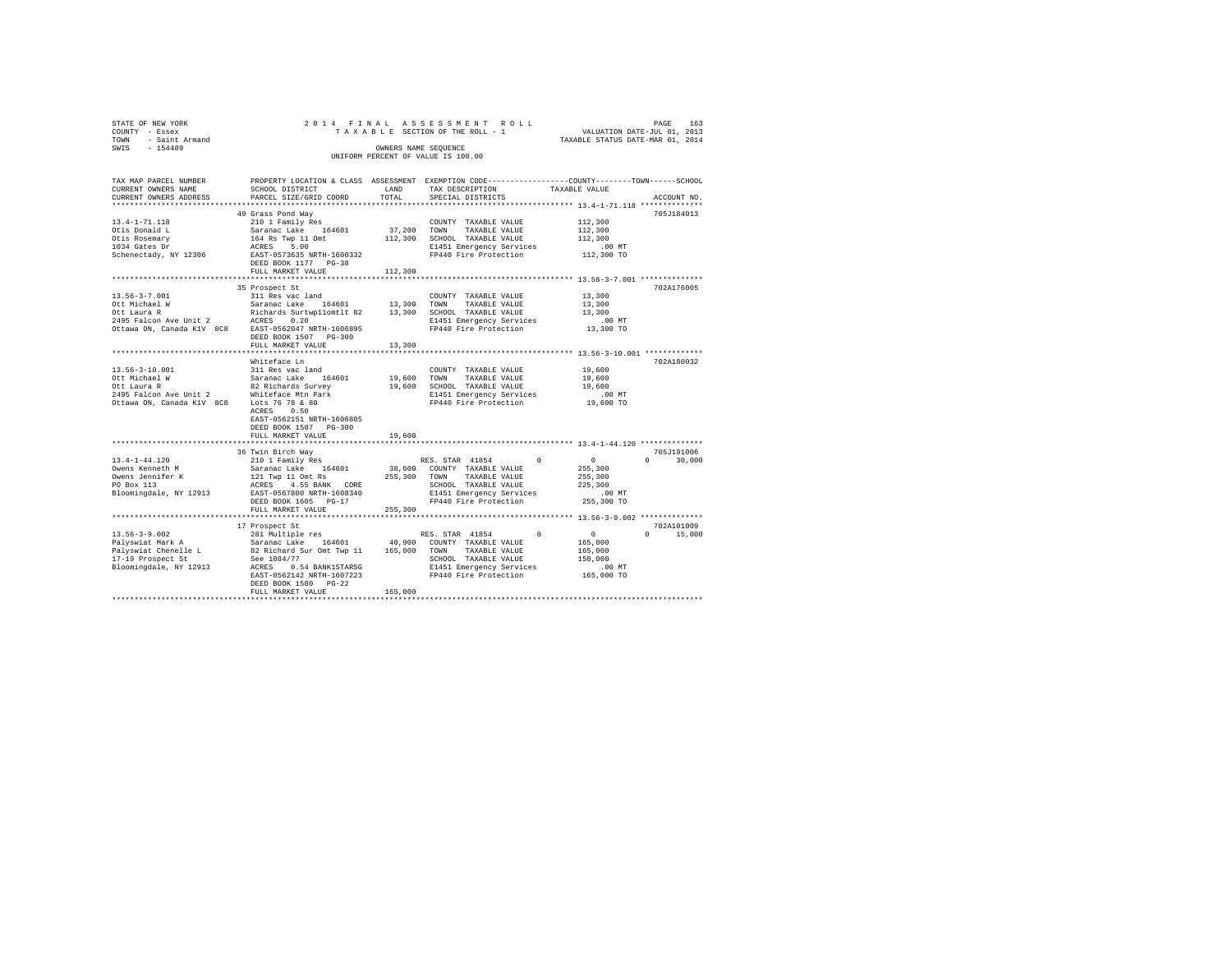| STATE OF NEW YORK<br>COUNTY - Essex<br>TOWN - Saint Armand<br>SWIS - 154489                                                                                                                                                                                                                                                                        |                                            | OWNERS NAME SEQUENCE | UNIFORM PERCENT OF VALUE IS 100.00                                                                                                                         |                      |               |  |  |
|----------------------------------------------------------------------------------------------------------------------------------------------------------------------------------------------------------------------------------------------------------------------------------------------------------------------------------------------------|--------------------------------------------|----------------------|------------------------------------------------------------------------------------------------------------------------------------------------------------|----------------------|---------------|--|--|
| TAX MAP PARCEL NUMBER<br>CURRENT OWNERS NAME<br>CURRENT OWNERS ADDRESS                                                                                                                                                                                                                                                                             | SCHOOL DISTRICT<br>PARCEL SIZE/GRID COORD  | TOTAL                | PROPERTY LOCATION & CLASS ASSESSMENT EXEMPTION CODE---------------COUNTY-------TOWN------SCHOOL<br>LAND TAX DESCRIPTION TAXABLE VALUE<br>SPECIAL DISTRICTS |                      | ACCOUNT NO.   |  |  |
|                                                                                                                                                                                                                                                                                                                                                    | 49 Grass Pond Way                          |                      |                                                                                                                                                            |                      | 705J184013    |  |  |
|                                                                                                                                                                                                                                                                                                                                                    |                                            |                      |                                                                                                                                                            |                      |               |  |  |
|                                                                                                                                                                                                                                                                                                                                                    |                                            |                      |                                                                                                                                                            |                      |               |  |  |
|                                                                                                                                                                                                                                                                                                                                                    |                                            |                      |                                                                                                                                                            |                      |               |  |  |
|                                                                                                                                                                                                                                                                                                                                                    |                                            |                      |                                                                                                                                                            |                      |               |  |  |
|                                                                                                                                                                                                                                                                                                                                                    |                                            |                      |                                                                                                                                                            |                      |               |  |  |
|                                                                                                                                                                                                                                                                                                                                                    |                                            |                      |                                                                                                                                                            |                      |               |  |  |
|                                                                                                                                                                                                                                                                                                                                                    | FULL MARKET VALUE                          | 112,300              |                                                                                                                                                            |                      |               |  |  |
|                                                                                                                                                                                                                                                                                                                                                    |                                            |                      |                                                                                                                                                            |                      |               |  |  |
|                                                                                                                                                                                                                                                                                                                                                    | 35 Prospect St                             |                      |                                                                                                                                                            |                      | 702A176005    |  |  |
| $\begin{tabular}{lcccc} 13.56-3-7.001 & 311\mbox{ Res}\x 011 & 13.300 & 13.300 & 13.300 & 13.300 & 13.300 & 13.300 & 13.300 & 13.300 & 13.300 & 13.300 & 13.300 & 13.300 & 13.300 & 13.300 & 13.300 & 13.300 & 13.300 & 13.300 & 13.300 & 13.300 & 13.300 & 13.300 & 13.$                                                                          |                                            |                      |                                                                                                                                                            |                      |               |  |  |
|                                                                                                                                                                                                                                                                                                                                                    |                                            |                      |                                                                                                                                                            |                      |               |  |  |
|                                                                                                                                                                                                                                                                                                                                                    |                                            |                      |                                                                                                                                                            |                      |               |  |  |
|                                                                                                                                                                                                                                                                                                                                                    |                                            |                      |                                                                                                                                                            |                      |               |  |  |
|                                                                                                                                                                                                                                                                                                                                                    | DEED BOOK 1507 PG-300                      |                      |                                                                                                                                                            |                      |               |  |  |
|                                                                                                                                                                                                                                                                                                                                                    | FULL MARKET VALUE 13,300                   |                      |                                                                                                                                                            |                      |               |  |  |
|                                                                                                                                                                                                                                                                                                                                                    |                                            |                      |                                                                                                                                                            |                      |               |  |  |
|                                                                                                                                                                                                                                                                                                                                                    | Whiteface Ln                               |                      |                                                                                                                                                            |                      | 702A180032    |  |  |
|                                                                                                                                                                                                                                                                                                                                                    |                                            |                      |                                                                                                                                                            |                      |               |  |  |
|                                                                                                                                                                                                                                                                                                                                                    |                                            |                      |                                                                                                                                                            |                      |               |  |  |
|                                                                                                                                                                                                                                                                                                                                                    |                                            |                      |                                                                                                                                                            |                      |               |  |  |
|                                                                                                                                                                                                                                                                                                                                                    |                                            |                      |                                                                                                                                                            |                      |               |  |  |
| $\begin{tabular}{lcccc} 13.56-3-10.001 & 311\,\, {\rm Res\,\, vac\,\, land} & 200WTT & TAXABLE\,\, VALUE & 19,600 \, COWTT & 19,600 \, COWTT & 19,600 \, COWTT & 19,600 \, COWTT & 19,600 \, COWTT & 19,600 \, COWTT & 19,600 \, CMOTT & 19,600 \, CMOTT & 19,600 \, CMOTT & 19,600 \, CMOTT & 19,600 \, CMOTT & 19,600 \, CMOTT & 19,$            |                                            |                      |                                                                                                                                                            |                      |               |  |  |
|                                                                                                                                                                                                                                                                                                                                                    | ACRES 0.50                                 |                      |                                                                                                                                                            |                      |               |  |  |
|                                                                                                                                                                                                                                                                                                                                                    | EAST-0562151 NRTH-1606805                  |                      |                                                                                                                                                            |                      |               |  |  |
|                                                                                                                                                                                                                                                                                                                                                    | DEED BOOK 1507 PG-300<br>FULL MARKET VALUE | 19,600               |                                                                                                                                                            |                      |               |  |  |
|                                                                                                                                                                                                                                                                                                                                                    |                                            |                      |                                                                                                                                                            |                      |               |  |  |
|                                                                                                                                                                                                                                                                                                                                                    | 36 Twin Birch Way                          |                      |                                                                                                                                                            |                      | 705J191006    |  |  |
|                                                                                                                                                                                                                                                                                                                                                    |                                            |                      |                                                                                                                                                            |                      | $0 \t 30.000$ |  |  |
|                                                                                                                                                                                                                                                                                                                                                    |                                            |                      |                                                                                                                                                            |                      |               |  |  |
|                                                                                                                                                                                                                                                                                                                                                    |                                            |                      |                                                                                                                                                            |                      |               |  |  |
|                                                                                                                                                                                                                                                                                                                                                    |                                            |                      |                                                                                                                                                            |                      |               |  |  |
|                                                                                                                                                                                                                                                                                                                                                    |                                            |                      |                                                                                                                                                            |                      |               |  |  |
|                                                                                                                                                                                                                                                                                                                                                    |                                            |                      |                                                                                                                                                            |                      |               |  |  |
|                                                                                                                                                                                                                                                                                                                                                    | FULL MARKET VALUE                          | 255,300              |                                                                                                                                                            |                      |               |  |  |
|                                                                                                                                                                                                                                                                                                                                                    |                                            |                      |                                                                                                                                                            |                      |               |  |  |
|                                                                                                                                                                                                                                                                                                                                                    | 17 Prospect St                             |                      |                                                                                                                                                            |                      | 702A101009    |  |  |
|                                                                                                                                                                                                                                                                                                                                                    |                                            |                      |                                                                                                                                                            | $\Omega$             | 15,000        |  |  |
|                                                                                                                                                                                                                                                                                                                                                    |                                            |                      |                                                                                                                                                            |                      |               |  |  |
|                                                                                                                                                                                                                                                                                                                                                    |                                            |                      |                                                                                                                                                            |                      |               |  |  |
|                                                                                                                                                                                                                                                                                                                                                    |                                            |                      |                                                                                                                                                            |                      |               |  |  |
| $\begin{tabular}{l c c c c c} \hline 13.56-3-9.002 & 12\,\text{Properf St.} & 12\,\text{Properf St.} & 12\,\text{O} & 12\,\text{O} & 12\,\text{O} & 12\,\text{O} & 12\,\text{O} & 12\,\text{O} & 12\,\text{O} & 12\,\text{O} & 12\,\text{O} & 12\,\text{O} & 12\,\text{O} & 12\,\text{O} & 12\,\text{O} & 12\,\text{O} & 12\,\text{O} & 12\,\text$ |                                            |                      |                                                                                                                                                            | 00 MT.<br>165,000 TO |               |  |  |
|                                                                                                                                                                                                                                                                                                                                                    | DEED BOOK 1580 PG-22                       |                      |                                                                                                                                                            |                      |               |  |  |
|                                                                                                                                                                                                                                                                                                                                                    | FULL MARKET VALUE                          | 165,000              |                                                                                                                                                            |                      |               |  |  |
|                                                                                                                                                                                                                                                                                                                                                    |                                            |                      |                                                                                                                                                            |                      |               |  |  |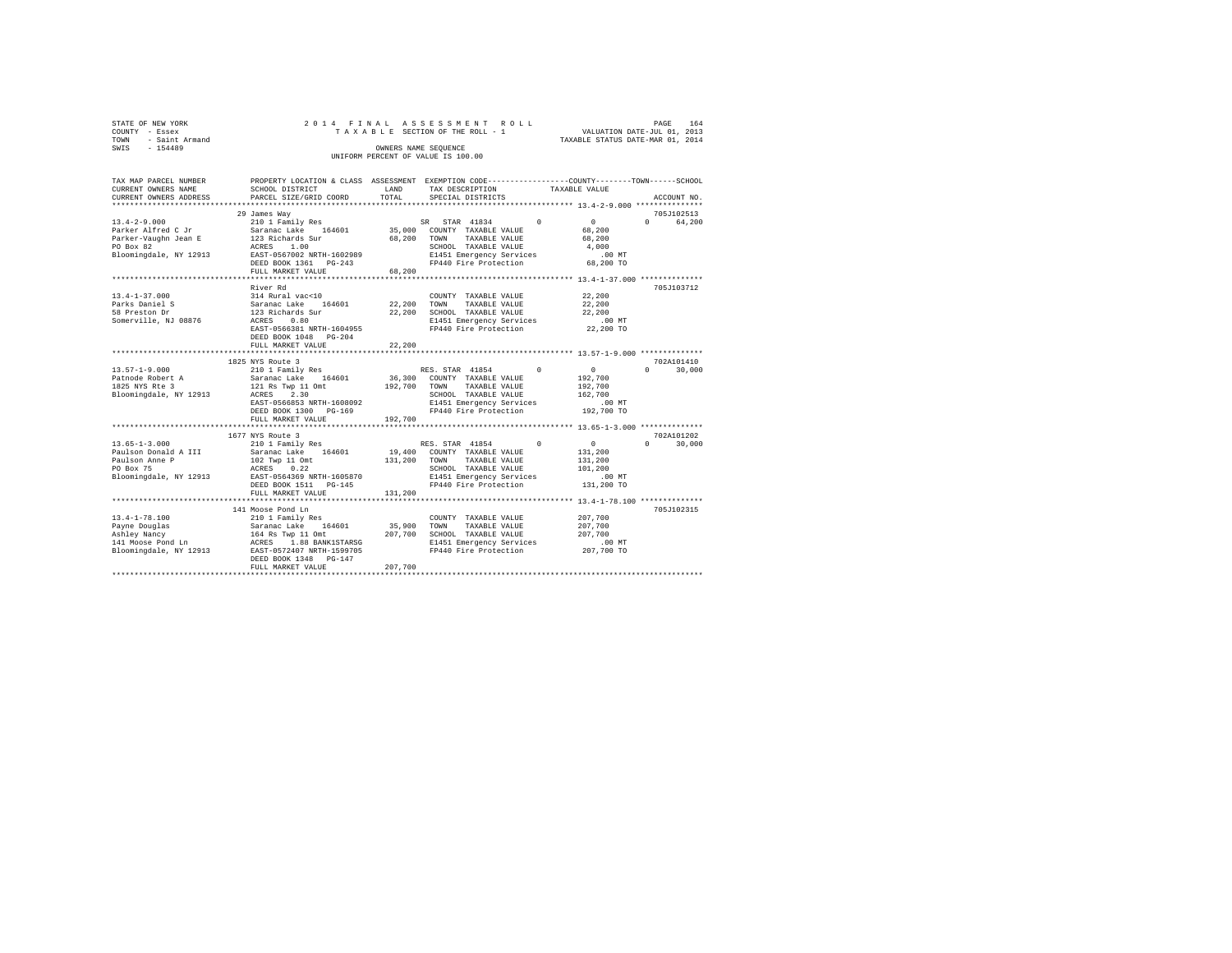| STATE OF NEW YORK   |  | 2014 FINAL ASSESSMENT ROLL         |                                  | PAGE                        | 164 |
|---------------------|--|------------------------------------|----------------------------------|-----------------------------|-----|
| COUNTY - Essex      |  | TAXABLE SECTION OF THE ROLL - 1    |                                  | VALUATION DATE-JUL 01, 2013 |     |
| TOWN - Saint Armand |  |                                    | TAXABLE STATUS DATE-MAR 01, 2014 |                             |     |
| SWIS<br>$-154489$   |  | OWNERS NAME SEOUENCE               |                                  |                             |     |
|                     |  | UNIFORM PERCENT OF VALUE IS 100.00 |                                  |                             |     |
|                     |  |                                    |                                  |                             |     |

| TAX MAP PARCEL NUMBER             |                                                                                                                                                                                                                                          |              | PROPERTY LOCATION & CLASS ASSESSMENT EXEMPTION CODE----------------COUNTY-------TOWN------SCHOOL |                      |                    |
|-----------------------------------|------------------------------------------------------------------------------------------------------------------------------------------------------------------------------------------------------------------------------------------|--------------|--------------------------------------------------------------------------------------------------|----------------------|--------------------|
| CURRENT OWNERS NAME               | SCHOOL DISTRICT                                                                                                                                                                                                                          | LAND         | TAX DESCRIPTION                                                                                  | TAXABLE VALUE        |                    |
| CURRENT OWNERS ADDRESS            | PARCEL SIZE/GRID COORD                                                                                                                                                                                                                   | TOTAL        | SPECIAL DISTRICTS                                                                                |                      | ACCOUNT NO.        |
| **********************            |                                                                                                                                                                                                                                          |              |                                                                                                  |                      |                    |
|                                   | 29 James Way                                                                                                                                                                                                                             |              |                                                                                                  |                      | 705J102513         |
| $13.4 - 2 - 9.000$                | 210 1 Family Res                                                                                                                                                                                                                         |              | STAR 41834<br>SR -                                                                               | $\Omega$<br>$\sim$   | $\Omega$<br>64,200 |
| Parker Alfred C Jr                | Saranac Lake 164601                                                                                                                                                                                                                      |              | 35,000 COUNTY TAXABLE VALUE                                                                      | 68,200               |                    |
| Parker-Vaughn Jean E              | 123 Richards Sur                                                                                                                                                                                                                         | 68,200 TOWN  | TAXABLE VALUE                                                                                    | 68,200               |                    |
| PO Box 82                         | ACRES 1.00                                                                                                                                                                                                                               |              | SCHOOL TAXABLE VALUE                                                                             | 4,000                |                    |
| Bloomingdale, NY 12913            | EAST-0567002 NRTH-1602989                                                                                                                                                                                                                |              | E1451 Emergency Services                                                                         | $.00$ MT             |                    |
|                                   | DEED BOOK 1361    PG-243                                                                                                                                                                                                                 |              | FP440 Fire Protection                                                                            | 68,200 TO            |                    |
|                                   | FULL MARKET VALUE                                                                                                                                                                                                                        | 68,200       |                                                                                                  |                      |                    |
|                                   |                                                                                                                                                                                                                                          |              |                                                                                                  |                      |                    |
|                                   | River Rd                                                                                                                                                                                                                                 |              |                                                                                                  |                      | 705J103712         |
| $13.4 - 1 - 37.000$               | 314 Rural vac<10                                                                                                                                                                                                                         |              | COUNTY TAXABLE VALUE                                                                             | 22,200               |                    |
| Parks Daniel S                    | Saranac Lake 164601                                                                                                                                                                                                                      | 22,200 TOWN  | TAXABLE VALUE                                                                                    | 22,200               |                    |
| 58 Preston Dr                     | 123 Richards Sur                                                                                                                                                                                                                         |              | 22,200 SCHOOL TAXABLE VALUE                                                                      | 22,200               |                    |
| Somerville, NJ 08876              | ACRES<br>0.80                                                                                                                                                                                                                            |              | E1451 Emergency Services                                                                         | $.00$ MT             |                    |
|                                   | EAST-0566381 NRTH-1604955                                                                                                                                                                                                                |              | FP440 Fire Protection                                                                            | 22,200 TO            |                    |
|                                   | DEED BOOK 1048 PG-204                                                                                                                                                                                                                    |              |                                                                                                  |                      |                    |
|                                   | FULL MARKET VALUE                                                                                                                                                                                                                        | 22,200       |                                                                                                  |                      |                    |
|                                   |                                                                                                                                                                                                                                          |              |                                                                                                  |                      |                    |
|                                   | 1825 NYS Route 3                                                                                                                                                                                                                         |              |                                                                                                  |                      | 702A101410         |
| $13.57 - 1 - 9.000$               |                                                                                                                                                                                                                                          |              | RES. STAR 41854                                                                                  | $\sim$ 0<br>$\Omega$ | 30,000<br>$\Omega$ |
|                                   |                                                                                                                                                                                                                                          |              | 36,300 COUNTY TAXABLE VALUE                                                                      | 192,700              |                    |
| 13.57-1-2.00.<br>Patnode Robert A | 210 1 Family Res<br>Saranac Lake 164601<br>121 Rs Twp 11 Omt<br>ACRES 2.30                                                                                                                                                               | 192,700 TOWN | TAXABLE VALUE                                                                                    | 192,700              |                    |
| Bloomingdale, NY 12913            |                                                                                                                                                                                                                                          |              | SCHOOL TAXABLE VALUE                                                                             | 162,700              |                    |
|                                   | EAST-0566853 NRTH-1608092                                                                                                                                                                                                                |              |                                                                                                  | .00 MT               |                    |
|                                   | DEED BOOK 1300 PG-169                                                                                                                                                                                                                    |              | E1451 Emergency Services<br>FP440 Fire Peatoriin<br>FP440 Fire Protection                        | 192,700 TO           |                    |
|                                   |                                                                                                                                                                                                                                          |              |                                                                                                  |                      |                    |
|                                   | FULL MARKET VALUE                                                                                                                                                                                                                        | 192,700      |                                                                                                  |                      |                    |
|                                   |                                                                                                                                                                                                                                          |              |                                                                                                  |                      |                    |
|                                   | 1677 NYS Route 3                                                                                                                                                                                                                         |              |                                                                                                  |                      | 702A101202         |
| $13.65 - 1 - 3.000$               | 210 1 Family Res                                                                                                                                                                                                                         |              | RES. STAR 41854                                                                                  | $\sim$ 0<br>$\Omega$ | $\cap$<br>30,000   |
| Paulson Donald A III              | Saranac Lake 164601                                                                                                                                                                                                                      |              | 19,400 COUNTY TAXABLE VALUE                                                                      | 131,200              |                    |
| Paulson Anne P                    | 102 Twp 11 Omt<br>ACRES 0.22                                                                                                                                                                                                             | 131,200 TOWN | TAXABLE VALUE                                                                                    | 131,200              |                    |
| PO Box 75                         |                                                                                                                                                                                                                                          |              | SCHOOL TAXABLE VALUE<br>E1451 Emergency Services                                                 | 101,200              |                    |
| Bloomingdale, NY 12913            | EAST-0564369 NRTH-1605870                                                                                                                                                                                                                |              |                                                                                                  | $.00$ MT             |                    |
|                                   | DEED BOOK 1511 PG-145                                                                                                                                                                                                                    |              |                                                                                                  | 131,200 TO           |                    |
|                                   | FULL MARKET VALUE                                                                                                                                                                                                                        | 131,200      |                                                                                                  |                      |                    |
|                                   |                                                                                                                                                                                                                                          |              |                                                                                                  |                      |                    |
|                                   | 141 Moose Pond Ln                                                                                                                                                                                                                        |              |                                                                                                  |                      | 705J102315         |
| $13.4 - 1 - 78.100$               | 210 1 Family Res                                                                                                                                                                                                                         |              | COUNTY TAXABLE VALUE                                                                             | 207,700              |                    |
|                                   |                                                                                                                                                                                                                                          | 35,900       | TOWN<br>TAXABLE VALUE                                                                            | 207,700              |                    |
|                                   |                                                                                                                                                                                                                                          |              | 207,700 SCHOOL TAXABLE VALUE                                                                     | 207,700              |                    |
|                                   |                                                                                                                                                                                                                                          |              | E1451 Emergency Services                                                                         | .00 MT               |                    |
|                                   |                                                                                                                                                                                                                                          |              | FP440 Fire Protection                                                                            | 207,700 TO           |                    |
|                                   | 13.4-1-7-0.1000<br>Payne Douglas Saranac Lake 164601 35,900<br>141 Moose Pond Ln 164 Ray 11.0mt<br>141 Moose Pond Ln ACRES 1.88 BANK1STARSG<br>141 Moose Pond Ln EAST-0572407 NRTH-1599705<br>BLoomingdale, NY 12913 EAST-0572407 NRTH-1 |              |                                                                                                  |                      |                    |
|                                   | FULL MARKET VALUE                                                                                                                                                                                                                        | 207,700      |                                                                                                  |                      |                    |
|                                   |                                                                                                                                                                                                                                          |              |                                                                                                  |                      |                    |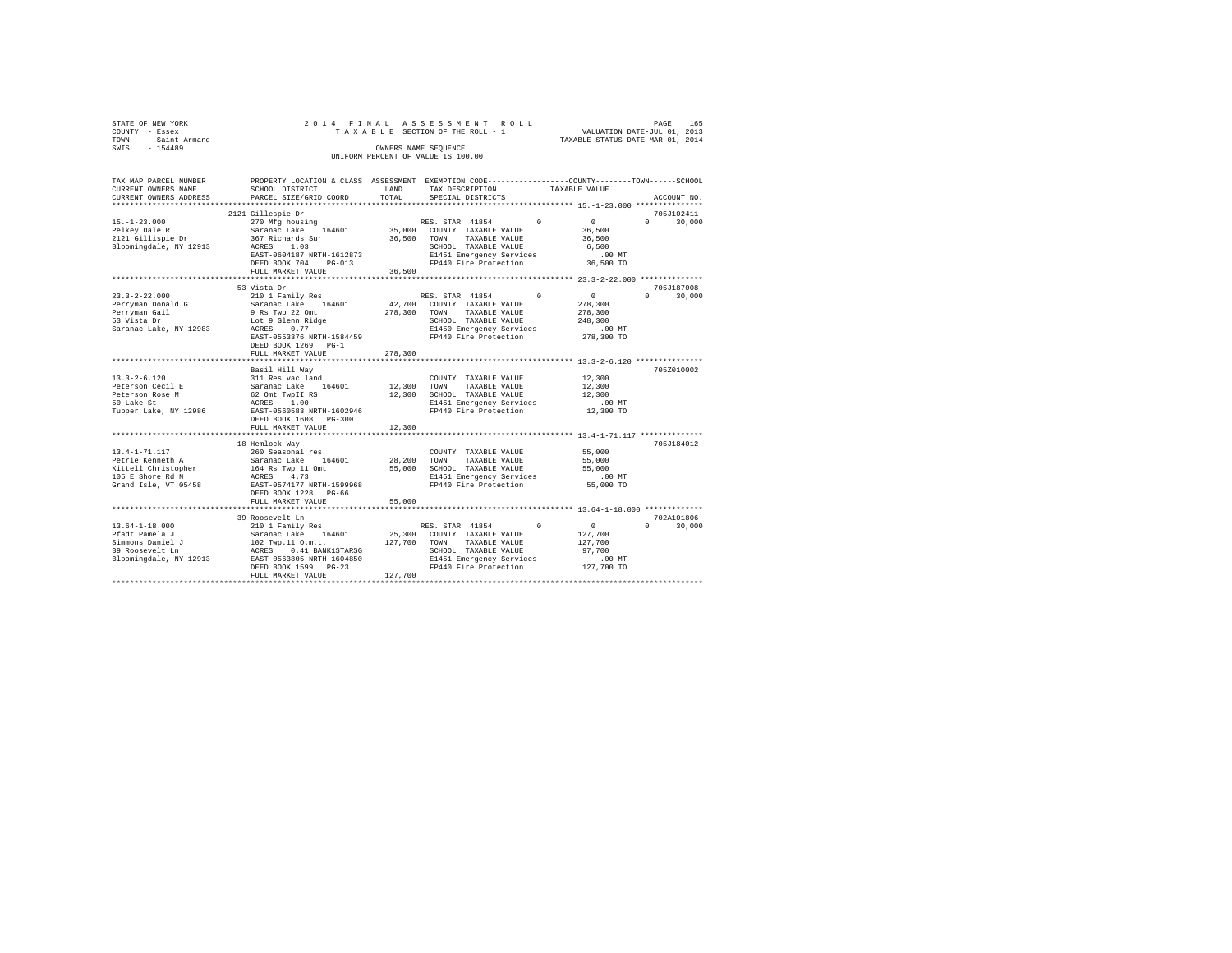|                                    | STATE OF NEW YORK |                      |  |  |  |  |  | 2014 FINAL ASSESSMENT ROLL      |                                  | PAGE                        |  | 165 |
|------------------------------------|-------------------|----------------------|--|--|--|--|--|---------------------------------|----------------------------------|-----------------------------|--|-----|
|                                    | COUNTY - Essex    |                      |  |  |  |  |  | TAXABLE SECTION OF THE ROLL - 1 |                                  | VALUATION DATE-JUL 01, 2013 |  |     |
| TOWN                               | - Saint Armand    |                      |  |  |  |  |  |                                 | TAXABLE STATUS DATE-MAR 01, 2014 |                             |  |     |
| SWIS                               | $-154489$         | OWNERS NAME SEOUENCE |  |  |  |  |  |                                 |                                  |                             |  |     |
| UNIFORM PERCENT OF VALUE IS 100.00 |                   |                      |  |  |  |  |  |                                 |                                  |                             |  |     |

| TAX MAP PARCEL NUMBER<br>CURRENT OWNERS NAME                                                       | PROPERTY LOCATION & CLASS ASSESSMENT EXEMPTION CODE---------------COUNTY-------TOWN-----SCHOOL<br>SCHOOL DISTRICT                                                                                                                                                                        | LAND        | TAX DESCRIPTION                                                                                                                                                                      | TAXABLE VALUE                                                                          |                                           |
|----------------------------------------------------------------------------------------------------|------------------------------------------------------------------------------------------------------------------------------------------------------------------------------------------------------------------------------------------------------------------------------------------|-------------|--------------------------------------------------------------------------------------------------------------------------------------------------------------------------------------|----------------------------------------------------------------------------------------|-------------------------------------------|
| CURRENT OWNERS ADDRESS                                                                             | PARCEL SIZE/GRID COORD                                                                                                                                                                                                                                                                   | TOTAL       | SPECIAL DISTRICTS                                                                                                                                                                    |                                                                                        | ACCOUNT NO.                               |
|                                                                                                    |                                                                                                                                                                                                                                                                                          |             |                                                                                                                                                                                      |                                                                                        |                                           |
| 15. -1-23.000<br>Pelkey Dale R<br>2121 Gillispie Dr<br>Bloomingdale, NY 12913 ACRES 1.03           | 2121 Gillespie Dr<br>EAST-0604187 NRTH-1612873<br>DEED BOOK 704 PG-013<br>FULL MARKET VALUE                                                                                                                                                                                              | 36,500      | SCHOOL TAXABLE VALUE<br>E1451 Emergency Services<br>FP440 Fire Protection                                                                                                            | $\sim$ 0<br>36,500<br>36,500<br>6,500<br>$.00$ MT<br>36,500 TO                         | 705J102411<br>$0 \qquad \qquad$<br>30,000 |
|                                                                                                    |                                                                                                                                                                                                                                                                                          |             |                                                                                                                                                                                      |                                                                                        |                                           |
| $23.3 - 2 - 22.000$<br>Perryman Donald G<br>Perrvman Gail<br>53 Vista Dr<br>Saranac Lake, NY 12983 | 53 Vista Dr<br>210 1 Family Res<br>Saranac Lake 164601<br>9 Rs Twp 22 Omt<br>Lot 9 Glenn Ridge<br>0.77<br>ACRES<br>EAST-0553376 NRTH-1584459<br>DEED BOOK 1269 PG-1<br>FULL MARKET VALUE                                                                                                 | 278,300     | RES. STAR 41854<br>42,700 COUNTY TAXABLE VALUE<br>278,300 TOWN TAXABLE VALUE<br>SCHOOL TAXABLE VALUE<br>E1450 Emergency Services<br>FP440 Fire Protection                            | $^{\circ}$<br>$\sim$ 0 $\sim$<br>278,300<br>278,300<br>248,300<br>.00 MT<br>278,300 TO | 705J187008<br>$\Omega$<br>30,000          |
|                                                                                                    |                                                                                                                                                                                                                                                                                          |             |                                                                                                                                                                                      |                                                                                        |                                           |
| $13.3 - 2 - 6.120$<br>Peterson Cecil E<br>Peterson Rose M<br>50 Lake St<br>Tupper Lake, NY 12986   | Basil Hill Way<br>311 Res vac land<br>311 Res vac land<br>62 Omt TwpDI RS<br>62 Omt TwpDI RS<br>RCRES 1.00<br>EAST-0560583 NRTH-1602946<br>DEED BOOK 1608 PG-300                                                                                                                         | 12,300 TOWN | COUNTY TAXABLE VALUE<br>TAXABLE VALUE<br>12,300 SCHOOL TAXABLE VALUE<br>E1451 Emergency Services<br>FP440 Fire Protection                                                            | 12,300<br>12,300<br>12,300<br>$.00$ MT<br>12,300 TO                                    | 705Z010002                                |
|                                                                                                    | FULL MARKET VALUE                                                                                                                                                                                                                                                                        | 12,300      |                                                                                                                                                                                      |                                                                                        |                                           |
|                                                                                                    | 18 Hemlock Way<br>13.4-1-71.117<br>Petrie Kenneth A Sassonal res<br>Extrell Christopher I Saranac Lake 164601<br>Xittell Christopher I ACRES<br>105 E Shore Rd N<br>2007 - ACRES<br>173<br>2007 - ACRES<br>173<br>Grand Isle, VT 05458 EAST-0574177 NRTH-1599968<br>DEED BOOK 1228 PG-66 |             | COUNTY TAXABLE VALUE<br>28,200 TOWN TAXABLE VALUE<br>55,000 SCHOOL TAXABLE VALUE<br>E1451 Emergency Services<br>FP440 Fire Protection                                                | 55,000<br>55,000<br>55,000<br>$.00$ MT<br>55,000 TO                                    | 705J184012                                |
|                                                                                                    | FULL MARKET VALUE                                                                                                                                                                                                                                                                        | 55,000      |                                                                                                                                                                                      |                                                                                        |                                           |
| 13.64-1-18.000<br>Pfadt Pamela J<br>Simmons Daniel J<br>39 Roosevelt Ln<br>Bloomingdale, NY 12913  | 39 Roosevelt Ln<br>21011 Pamily Res (2010)<br>21011 Pamily Res (44601 25,300<br>3102 Twp.11 O.m.t. (2017)<br>22,700<br>22913 RARST 0563805 NRTH-1604850<br>DEED BOOK 1599 PG-23<br>FULL MARKET VALUE                                                                                     | 127,700     | RES. STAR 41854<br>$\sim$ 0<br>25,300 COUNTY TAXABLE VALUE<br>127,700 TOWN TAXABLE VALUE<br>SCHOOL TAXABLE VALUE<br>E1451 Emergency Services<br>$FP440$ Fire Protection $127,700$ TO | $\sim$ 0<br>127,700<br>127,700<br>97,700<br>$.00$ MT                                   | 702A101806<br>$\Omega$<br>30,000          |
|                                                                                                    |                                                                                                                                                                                                                                                                                          |             |                                                                                                                                                                                      |                                                                                        |                                           |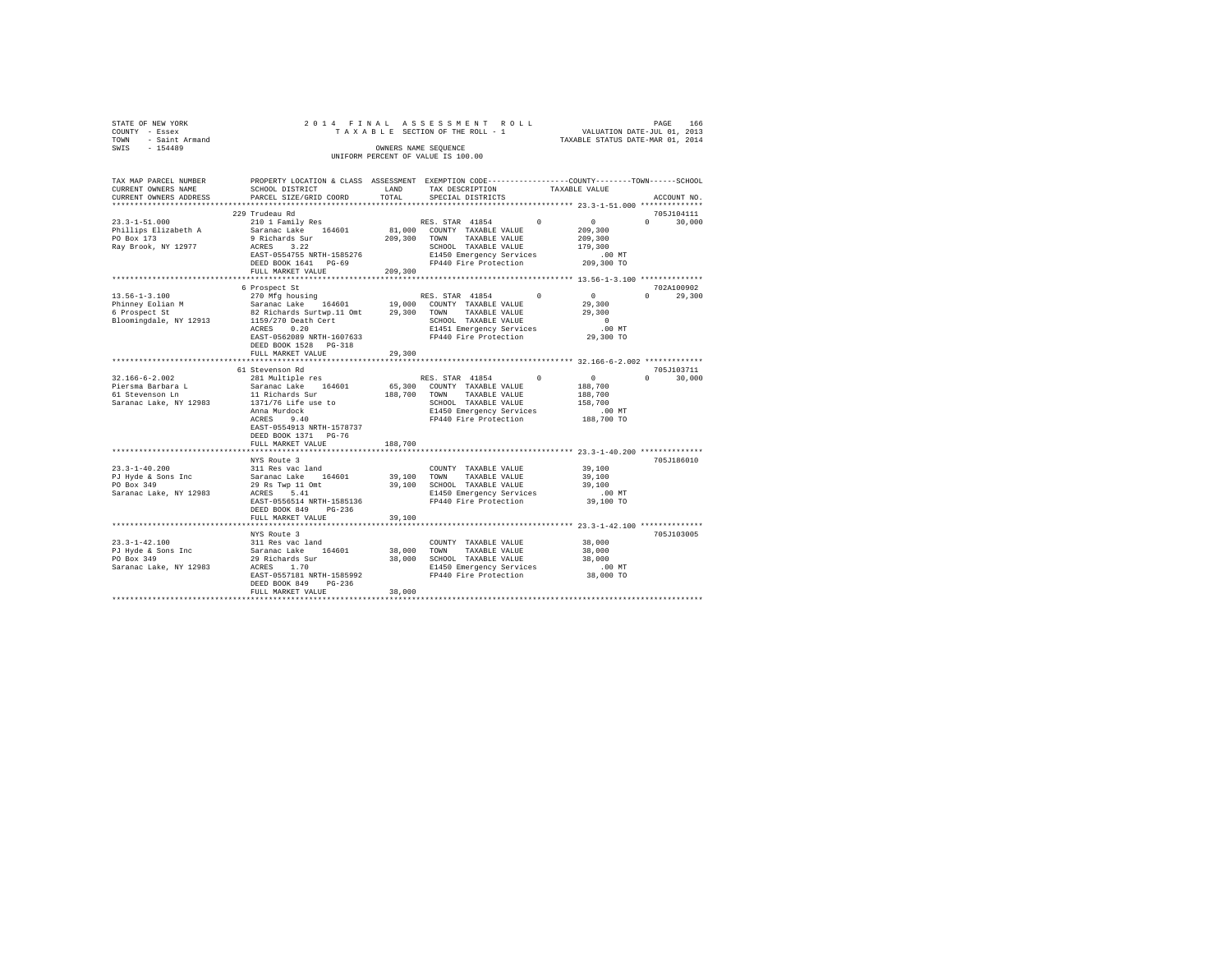| STATE OF NEW YORK                                                                        |                                                                                                                                                                                                                                                            |               |                                                                                                                                                                                                    | TAXABLE STATUS DATE-MAR 01, 2014                                           |                             |
|------------------------------------------------------------------------------------------|------------------------------------------------------------------------------------------------------------------------------------------------------------------------------------------------------------------------------------------------------------|---------------|----------------------------------------------------------------------------------------------------------------------------------------------------------------------------------------------------|----------------------------------------------------------------------------|-----------------------------|
| COUNTY - Essex<br>TOWN - Saint Armand<br>~~~~ - 154489                                   |                                                                                                                                                                                                                                                            |               | OWNERS NAME SEQUENCE<br>UNIFORM PERCENT OF VALUE IS 100.00                                                                                                                                         |                                                                            |                             |
| TAX MAP PARCEL NUMBER<br>CURRENT OWNERS NAME<br>CURRENT OWNERS ADDRESS                   | SCHOOL DISTRICT<br>PARCEL SIZE/GRID COORD                                                                                                                                                                                                                  | LAND<br>TOTAL | PROPERTY LOCATION & CLASS ASSESSMENT EXEMPTION CODE---------------COUNTY-------TOWN-----SCHOOL<br>TAX DESCRIPTION<br>SPECIAL DISTRICTS                                                             | TAXABLE VALUE                                                              | ACCOUNT NO.                 |
| $23.3 - 1 - 51.000$<br>Phillips Elizabeth A<br>PO Box 173<br>Ray Brook, NY 12977         | 229 Trudeau Rd<br>210 1 Family Res<br>Saranac Lake 164601<br>9 Richards Sur ---- 209,300 COUNT TAXABLE VALUE<br>209,300 TOWN TAXABLE VALUE<br>ACRES 3.22<br>ACRES 3.22<br>EAST-0554755 NRTH-1585276<br>DEED BOOK 1641 PG-69<br>FULL MARKET VALUE           | 209,300       | RES. STAR 41854<br>81,000 COUNTY TAXABLE VALUE<br>SCHOOL TAXABLE VALUE<br>E1450 Emergency Services<br>FP440 Fire Protection 209,300 TO                                                             | $\sim$ 0 $\sim$<br>$\mathbf{0}$<br>209,300<br>209,300<br>179,300<br>.00 MT | 705J104111<br>$0 \t 30,000$ |
|                                                                                          |                                                                                                                                                                                                                                                            |               |                                                                                                                                                                                                    |                                                                            | 702A100902                  |
| $13.56 - 1 - 3.100$<br>Phinney Eolian M<br>6 Prospect St<br>Bloomingdale, NY 12913       | 6 Prospect St<br>270 Mfg housing<br>Saranac Lake 164601 19,000 COUNTY TAXABLE VALUE<br>82 Richards Surtwp.11 Omt 29,300 TOWN TAXABLE VALUE<br>1159/270 Death Cert<br>ACRES 0.20<br>EAST-0562089 NRTH-1607633<br>DEED BOOK 1528 PG-318<br>FULL MARKET VALUE | 29,300        | RES. STAR 41854 0<br>SCHOOL TAXABLE VALUE<br>E1451 Emergency Services<br>FP440 Fire Protection                                                                                                     | $\sim$ 0 $\sim$ 0<br>29,300<br>29,300<br>$\sim$ 0<br>$.00$ MT<br>29,300 TO | $0 \t 29,300$               |
|                                                                                          |                                                                                                                                                                                                                                                            |               |                                                                                                                                                                                                    |                                                                            |                             |
| $32.166 - 6 - 2.002$<br>Piersma Barbara L<br>$61$ Stevenson Ln<br>Saranac Lake, NY 12983 | 61 Stevenson Rd<br>281 Multiple res<br>Saranac Lake 164601<br>11 Richards Sur<br>1371/76 Life use to<br>Anna Murdock<br>ACRES 9.40<br>EAST-0554913 NRTH-1578737<br>DEED BOOK 1371 PG-76<br>FULL MARKET VALUE                                               | 188,700       | RES. STAR 41854 0<br>65,300 COUNTY TAXABLE VALUE<br>188,700 TOWN TAXABLE VALUE<br>SCHOOL TAXABLE VALUE<br>E1450 Emergency Services<br>E1450 Emergency Services<br>FP440 Fire Protection 188,700 TO | $\sim$ 0<br>188,700<br>188,700<br>158,700<br>.00 MT                        | 705J103711<br>$0 \t 30,000$ |
|                                                                                          |                                                                                                                                                                                                                                                            |               |                                                                                                                                                                                                    |                                                                            |                             |
| $23.3 - 1 - 40.200$<br>PJ Hyde & Sons Inc<br>PO Box 349<br>Saranac Lake, NY 12983        | NYS Route 3<br>311 Res vac land<br>Saranac Lake 164601<br>29 Rs Twp 11 Omt<br>ACRES 5.41<br>EAST-0556514 NRTH-1585136<br>DEED BOOK 849 PG-236                                                                                                              |               | COUNTY TAXABLE VALUE<br>39,100 TOWN TAXABLE VALUE<br>39,100 SCHOOL TAXABLE VALUE<br>E1450 Emergency Services<br>FP440 Fire Protection                                                              | 39,100<br>39,100<br>39,100<br>$.00$ MT<br>39,100 TO                        | 705J186010                  |
|                                                                                          | FULL MARKET VALUE                                                                                                                                                                                                                                          | 39,100        |                                                                                                                                                                                                    |                                                                            |                             |
| $23.3 - 1 - 42.100$                                                                      | NYS Route 3<br>311 Res vac land                                                                                                                                                                                                                            |               | COUNTY TAXABLE VALUE                                                                                                                                                                               | 38,000                                                                     | 705J103005                  |
| PJ Hyde & Sons Inc<br>PO Box 349<br>Saranac Lake, NY 12983                               | Saranac Lake 164601<br>29 Richards Sur<br>ACRES 1.70<br>EAST-0557181 NRTH-1585992<br>DEED BOOK 849 PG-236<br>FULL MARKET VALUE                                                                                                                             | 38,000        | 38,000 TOWN TAXABLE VALUE<br>38,000 SCHOOL TAXABLE VALUE<br>E1450 Emergency Services<br>FP440 Fire Protection                                                                                      | 38,000<br>38,000<br>00 MT.<br>38,000 TO                                    |                             |
|                                                                                          |                                                                                                                                                                                                                                                            |               |                                                                                                                                                                                                    |                                                                            |                             |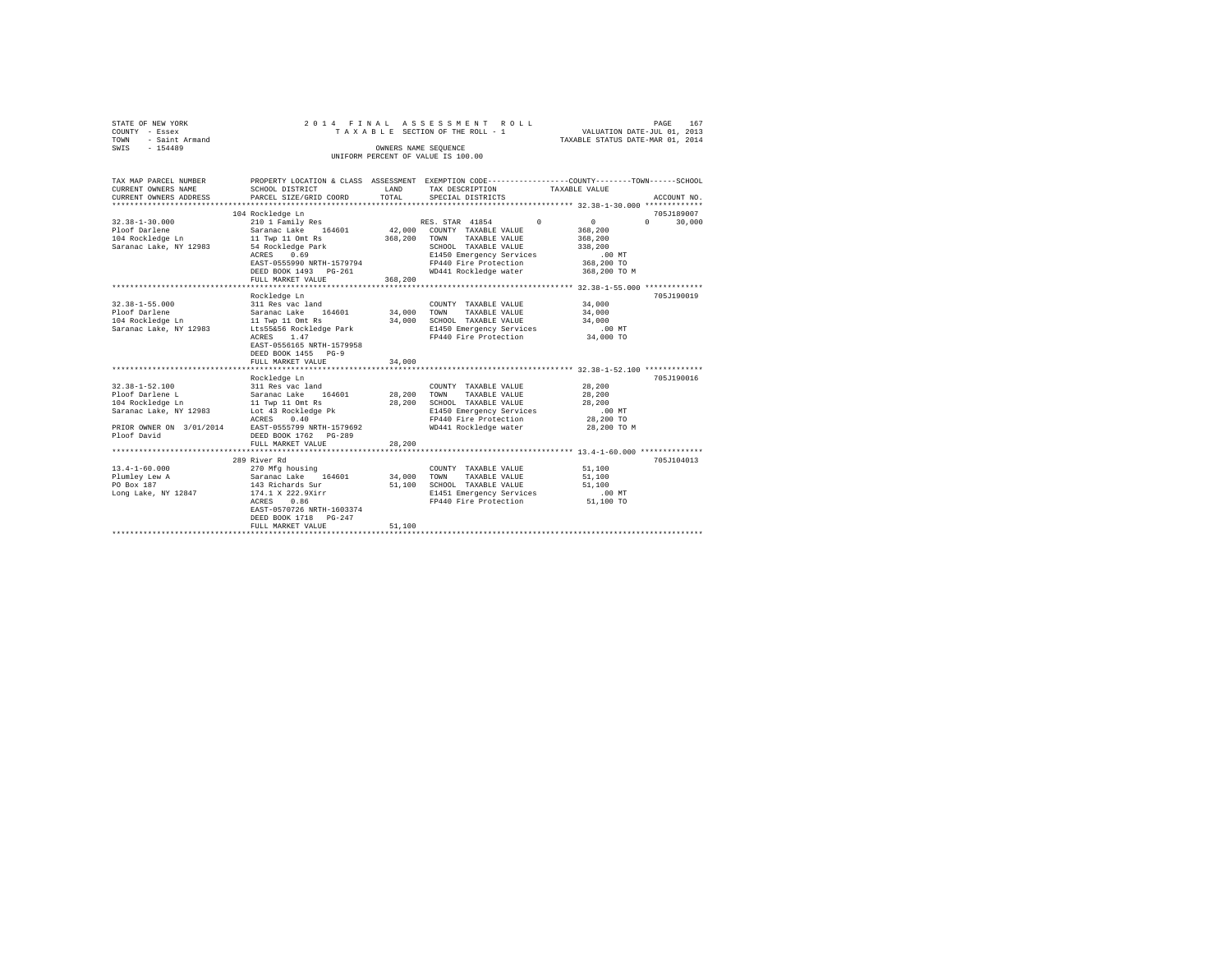| STATE OF NEW YORK   |  |  | 2014 FINAL ASSESSMENT ROLL         |                                  | PAGE | 167 |  |
|---------------------|--|--|------------------------------------|----------------------------------|------|-----|--|
| COUNTY - Essex      |  |  | TAXABLE SECTION OF THE ROLL - 1    | VALUATION DATE-JUL 01, 2013      |      |     |  |
| TOWN - Saint Armand |  |  |                                    | TAXABLE STATUS DATE-MAR 01, 2014 |      |     |  |
| SWTS<br>$-154489$   |  |  | OWNERS NAME SEOUENCE               |                                  |      |     |  |
|                     |  |  | UNIFORM PERCENT OF VALUE IS 100.00 |                                  |      |     |  |
|                     |  |  |                                    |                                  |      |     |  |

| TAX MAP PARCEL NUMBER                              |                                                             |             |                                                                                                     | PROPERTY LOCATION & CLASS ASSESSMENT EXEMPTION CODE---------------COUNTY-------TOWN------SCHOOL |  |
|----------------------------------------------------|-------------------------------------------------------------|-------------|-----------------------------------------------------------------------------------------------------|-------------------------------------------------------------------------------------------------|--|
| CURRENT OWNERS NAME                                | SCHOOL DISTRICT                                             | LAND        | TAX DESCRIPTION TAXABLE VALUE                                                                       |                                                                                                 |  |
| CURRENT OWNERS ADDRESS                             | PARCEL SIZE/GRID COORD TOTAL                                |             | SPECIAL DISTRICTS                                                                                   | ACCOUNT NO.                                                                                     |  |
|                                                    |                                                             |             |                                                                                                     |                                                                                                 |  |
|                                                    | 104 Rockledge Ln                                            |             |                                                                                                     | 705J189007                                                                                      |  |
| $32.38 - 1 - 30.000$                               | 210 1 Family Res                                            |             | RES. STAR 41854 0<br>RES. STAR 41854 (<br>42,000 COUNTY TAXABLE VALUE<br>368,200 TOWN TAXABLE VALUE | $\sim$ 0<br>$0 \t 30,000$                                                                       |  |
| Ploof Darlene                                      |                                                             |             |                                                                                                     | 368,200                                                                                         |  |
| 104 Rockledge Ln                                   | Saranac Lake 164601<br>11 Twp 11 Omt Rs                     |             |                                                                                                     | 368,200                                                                                         |  |
| Saranac Lake, NY 12983 54 Rockledge Park           |                                                             |             | SCHOOL TAXABLE VALUE 338.200                                                                        |                                                                                                 |  |
|                                                    | ACRES 0.69                                                  |             |                                                                                                     |                                                                                                 |  |
|                                                    | EAST-0555990 NRTH-1579794                                   |             |                                                                                                     |                                                                                                 |  |
|                                                    | DEED BOOK 1493 PG-261                                       |             | WD441 Rockledge water 368,200 TO M                                                                  |                                                                                                 |  |
|                                                    | FULL MARKET VALUE                                           | 368,200     |                                                                                                     |                                                                                                 |  |
|                                                    |                                                             |             |                                                                                                     |                                                                                                 |  |
|                                                    | Rockledge Ln                                                |             |                                                                                                     | 705J190019                                                                                      |  |
| $32.38 - 1 - 55.000$                               | 311 Res vac land                                            |             | COUNTY TAXABLE VALUE                                                                                | 34,000                                                                                          |  |
| Ploof Darlene                                      |                                                             |             | 34,000 TOWN TAXABLE VALUE                                                                           | 34,000                                                                                          |  |
| Ploof Dariene<br>104 Rockledge Ln                  | Saranac Lake 164601<br>11 Twp 11 Omt Rs                     | 34,000      | SCHOOL TAXABLE VALUE                                                                                | 34,000                                                                                          |  |
| Saranac Lake, NY 12983 Lts55&56 Rockledge Park     |                                                             |             | E1450 Emergency Services                                                                            | $.00$ MT                                                                                        |  |
|                                                    | ACRES 1.47                                                  |             | FP440 Fire Protection 34,000 TO                                                                     |                                                                                                 |  |
|                                                    | EAST-0556165 NRTH-1579958                                   |             |                                                                                                     |                                                                                                 |  |
|                                                    | DEED BOOK 1455 PG-9                                         |             |                                                                                                     |                                                                                                 |  |
|                                                    | FULL MARKET VALUE                                           | 34,000      |                                                                                                     |                                                                                                 |  |
|                                                    |                                                             |             |                                                                                                     |                                                                                                 |  |
|                                                    | Rockledge Ln                                                |             |                                                                                                     | 705J190016                                                                                      |  |
| $32.38 - 1 - 52.100$                               |                                                             |             | COUNTY TAXABLE VALUE                                                                                | 28,200                                                                                          |  |
| Ploof Darlene L                                    |                                                             | 28,200 TOWN | TAXABLE VALUE                                                                                       | 28,200                                                                                          |  |
| 104 Rockledge Ln                                   | 311 Res vac land<br>Saranac Lake 164601<br>11 Twp 11 Omt Rs | 28,200      | SCHOOL TAXABLE VALUE                                                                                | 28,200                                                                                          |  |
| Saranac Lake, NY 12983 Lot 43 Rockledge Pk         |                                                             |             | E1450 Emergency Services .00 MT                                                                     |                                                                                                 |  |
|                                                    | ACRES 0.40                                                  |             | FP440 Fire Protection                                                                               | 28,200 TO                                                                                       |  |
| PRIOR OWNER ON 3/01/2014 EAST-0555799 NRTH-1579692 |                                                             |             | WD441 Rockledge water                                                                               | 28,200 TO M                                                                                     |  |
| Ploof David                                        | DEED BOOK 1762 PG-289                                       |             |                                                                                                     |                                                                                                 |  |
|                                                    | FULL MARKET VALUE                                           | 28,200      |                                                                                                     |                                                                                                 |  |
|                                                    |                                                             |             |                                                                                                     |                                                                                                 |  |
|                                                    | 289 River Rd                                                |             |                                                                                                     | 705J104013                                                                                      |  |
| $13.4 - 1 - 60.000$                                | 270 Mfg housing                                             |             | COUNTY TAXABLE VALUE 51,100                                                                         |                                                                                                 |  |
| Plumley Lew A                                      |                                                             |             | 34,000 TOWN TAXABLE VALUE                                                                           | 51,100                                                                                          |  |
| PO Box 187                                         | Saranac Lake 164601<br>143 Richards Sur                     | 51,100      | SCHOOL TAXABLE VALUE                                                                                | 51,100                                                                                          |  |
| Long Lake, NY 12847 174.1 X 222.9Xirr              |                                                             |             | E1451 Emergency Services                                                                            | $.00$ MT                                                                                        |  |
|                                                    | 0.86<br>ACRES                                               |             | FP440 Fire Protection 51,100 TO                                                                     |                                                                                                 |  |
|                                                    | EAST-0570726 NRTH-1603374                                   |             |                                                                                                     |                                                                                                 |  |
|                                                    | DEED BOOK 1718 PG-247                                       |             |                                                                                                     |                                                                                                 |  |
|                                                    | FULL MARKET VALUE                                           | 51,100      |                                                                                                     |                                                                                                 |  |
|                                                    |                                                             |             |                                                                                                     |                                                                                                 |  |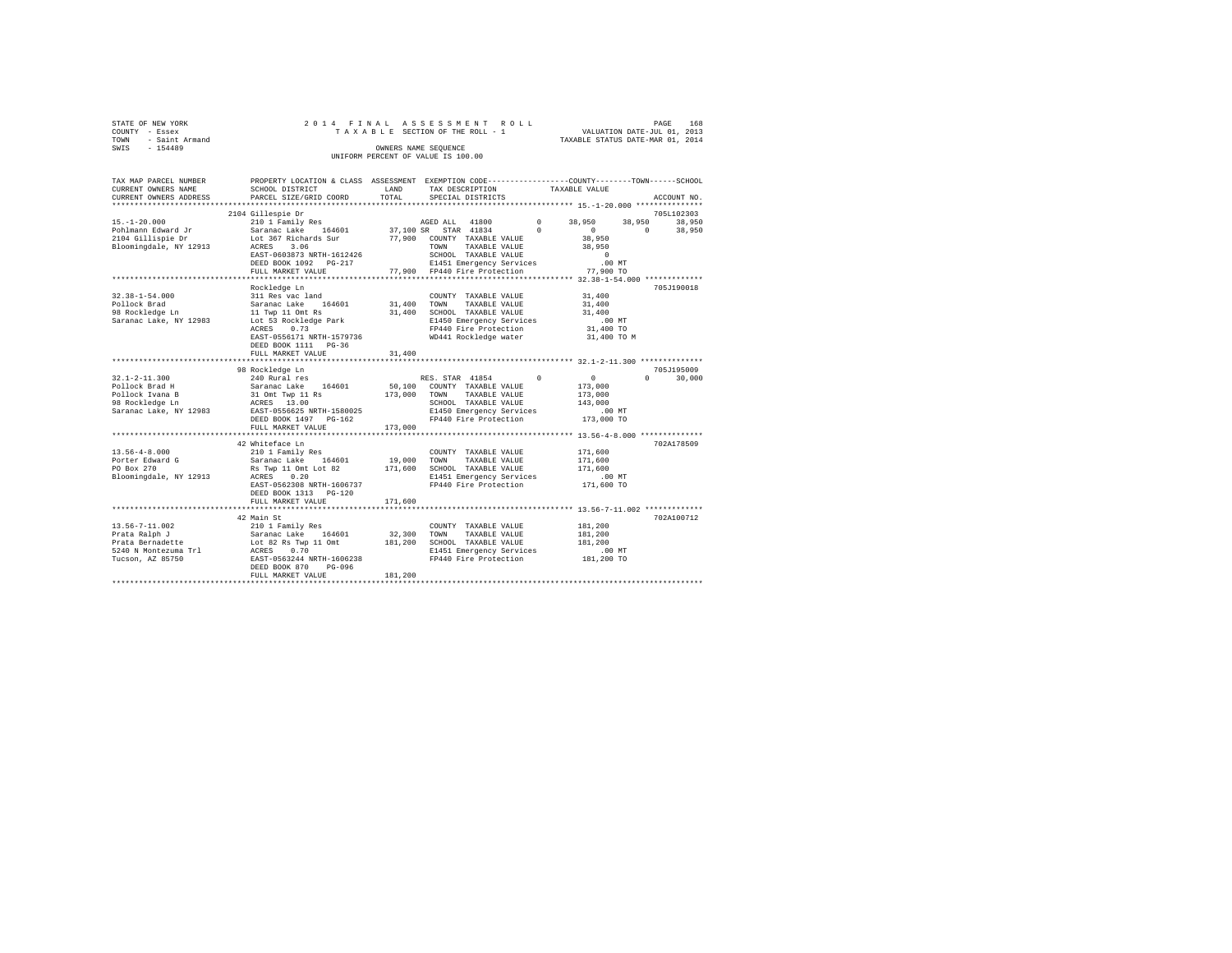| STATE OF NEW YORK   | 2014 FINAL ASSESSMENT ROLL         | PAGE                             | 168 |
|---------------------|------------------------------------|----------------------------------|-----|
| COUNTY - Essex      | TAXABLE SECTION OF THE ROLL - 1    | VALUATION DATE-JUL 01, 2013      |     |
| TOWN - Saint Armand |                                    | TAXABLE STATUS DATE-MAR 01, 2014 |     |
| SWTS<br>- 154489    | OWNERS NAME SEOUENCE               |                                  |     |
|                     | UNIFORM PERCENT OF VALUE IS 100.00 |                                  |     |

| TAX MAP PARCEL NUMBER                     | PROPERTY LOCATION & CLASS ASSESSMENT EXEMPTION CODE---------------COUNTY-------TOWN-----SCHOOL                                                                                                                                                              |                       |                                                                |                      |                    |
|-------------------------------------------|-------------------------------------------------------------------------------------------------------------------------------------------------------------------------------------------------------------------------------------------------------------|-----------------------|----------------------------------------------------------------|----------------------|--------------------|
| CURRENT OWNERS NAME                       | SCHOOL DISTRICT                                                                                                                                                                                                                                             | LAND                  | TAX DESCRIPTION                                                | TAXABLE VALUE        |                    |
| CURRENT OWNERS ADDRESS                    | PARCEL SIZE/GRID COORD                                                                                                                                                                                                                                      | TOTAL                 | SPECIAL DISTRICTS                                              |                      | ACCOUNT NO.        |
|                                           |                                                                                                                                                                                                                                                             |                       |                                                                |                      |                    |
|                                           | 2104 Gillespie Dr                                                                                                                                                                                                                                           |                       |                                                                |                      | 705L102303         |
| $15. - 1 - 20.000$                        |                                                                                                                                                                                                                                                             |                       | AGED ALL 41800 0 38,950 38,950                                 |                      | 38,950             |
| Pohlmann Edward Jr                        |                                                                                                                                                                                                                                                             |                       |                                                                | $\sim$ 0<br>$\sim$ 0 | $\sim$ 0<br>38,950 |
| 2104 Gillispie Dr                         |                                                                                                                                                                                                                                                             |                       |                                                                | 38,950               |                    |
| Bloomingdale, NY 12913                    |                                                                                                                                                                                                                                                             |                       |                                                                | 38,950               |                    |
|                                           | EAST-0603873 NRTH-1612426                                                                                                                                                                                                                                   |                       | SCHOOL TAXABLE VALUE                                           | $\sim$ 0             |                    |
|                                           | DEED BOOK 1092 PG-217                                                                                                                                                                                                                                       |                       |                                                                | .00MT                |                    |
|                                           | FULL MARKET VALUE                                                                                                                                                                                                                                           |                       | G-217 E1451 Emergency Services<br>77,900 FP440 Fire Protection | 77,900 TO            |                    |
|                                           |                                                                                                                                                                                                                                                             |                       |                                                                |                      |                    |
|                                           | Rockledge Ln                                                                                                                                                                                                                                                |                       |                                                                |                      | 705J190018         |
| $32.38 - 1 - 54.000$                      | 311 Res vac land                                                                                                                                                                                                                                            |                       | COUNTY TAXABLE VALUE                                           | 31,400               |                    |
| Pollock Brad                              | Saranac Lake 164601 31,400<br>11 Twp 11 Omt Rs 31,400                                                                                                                                                                                                       |                       | TOWN<br>TAXABLE VALUE                                          | 31,400               |                    |
| roiiock Brad<br>98 Rockledge Ln           |                                                                                                                                                                                                                                                             |                       | SCHOOL TAXABLE VALUE                                           | 31,400               |                    |
|                                           | Saranac Lake, NY 12983 Lot 53 Rockledge Park                                                                                                                                                                                                                |                       |                                                                |                      |                    |
|                                           | ACRES 0.73                                                                                                                                                                                                                                                  |                       | FP440 Fire Protection                                          |                      |                    |
|                                           | EAST-0556171 NRTH-1579736                                                                                                                                                                                                                                   |                       | WD441 Rockledge water                                          | 31,400 TO M          |                    |
|                                           | DEED BOOK 1111 PG-36                                                                                                                                                                                                                                        |                       |                                                                |                      |                    |
|                                           | FULL MARKET VALUE                                                                                                                                                                                                                                           | 31,400                |                                                                |                      |                    |
|                                           |                                                                                                                                                                                                                                                             |                       |                                                                |                      |                    |
|                                           | 98 Rockledge Ln                                                                                                                                                                                                                                             |                       |                                                                |                      | 705.T195009        |
| $32.1 - 2 - 11.300$                       | 240 Rural res                                                                                                                                                                                                                                               |                       | RES. STAR 41854 0 0                                            |                      | $0 \t 30,000$      |
| Pollock Brad H                            |                                                                                                                                                                                                                                                             |                       | 50,100 COUNTY TAXABLE VALUE                                    | 173,000              |                    |
| Pollock Ivana B                           | Saranac Lake 164601<br>31 Omt Twp 11 Rs<br>ACRES 13.00<br>EAST-0556625 NRTH-1580025                                                                                                                                                                         |                       | 173,000 TOWN TAXABLE VALUE                                     | 173,000              |                    |
| 98 Rockledge Ln<br>Saranac Lake, NY 12983 |                                                                                                                                                                                                                                                             |                       |                                                                | 143,000              |                    |
|                                           |                                                                                                                                                                                                                                                             |                       | SCHOOL TAXABLE VALUE<br>E1450 Emergency Services               | .00 MT               |                    |
|                                           | DEED BOOK 1497 PG-162                                                                                                                                                                                                                                       |                       | FP440 Fire Protection 173,000 TO                               |                      |                    |
|                                           | FULL MARKET VALUE                                                                                                                                                                                                                                           | 173,000               |                                                                |                      |                    |
|                                           | **********************                                                                                                                                                                                                                                      |                       |                                                                |                      |                    |
|                                           | 42 Whiteface Ln                                                                                                                                                                                                                                             |                       |                                                                |                      | 702A178509         |
| $13.56 - 4 - 8.000$                       |                                                                                                                                                                                                                                                             |                       | COUNTY TAXABLE VALUE                                           | 171,600              |                    |
|                                           | 210 1 Family Res<br>Saranac Lake 164601                                                                                                                                                                                                                     | COUNTY<br>19,000 TOWN | TAXABLE VALUE                                                  | 171,600              |                    |
| 13.50-1<br>Porter Edward G                | Rs Twp 11 Omt Lot 82 171,600 SCHOOL TAXABLE VALUE                                                                                                                                                                                                           |                       |                                                                | 171,600              |                    |
| Bloomingdale, NY 12913                    | ACRES 0.20                                                                                                                                                                                                                                                  |                       | E1451 Emergency Services                                       | .00 MT               |                    |
|                                           | EAST-0562308 NRTH-1606737                                                                                                                                                                                                                                   |                       | FP440 Fire Protection 171,600 TO                               |                      |                    |
|                                           | DEED BOOK 1313 PG-120                                                                                                                                                                                                                                       |                       |                                                                |                      |                    |
|                                           | FULL MARKET VALUE                                                                                                                                                                                                                                           | 171,600               |                                                                |                      |                    |
|                                           |                                                                                                                                                                                                                                                             |                       |                                                                |                      |                    |
|                                           | 42 Main St                                                                                                                                                                                                                                                  |                       |                                                                |                      | 702A100712         |
|                                           |                                                                                                                                                                                                                                                             |                       | COUNTY TAXABLE VALUE                                           | 181,200              |                    |
|                                           |                                                                                                                                                                                                                                                             | 32,300 TOWN           | TAXABLE VALUE                                                  | 181,200              |                    |
|                                           |                                                                                                                                                                                                                                                             |                       | 181,200 SCHOOL TAXABLE VALUE                                   | 181,200              |                    |
|                                           |                                                                                                                                                                                                                                                             |                       | E1451 Emergency Services                                       | .00 MT               |                    |
|                                           | 13.56-7-11.002<br>Prata Ralph J<br>Prata Bernadette 164601<br>Prata Bernadette 164601<br>Prata Bernadette 1658<br>210 N Montezuma Trl<br>2010 RAS<br>2020 RAS<br>2020 RAS<br>2020 RAS<br>2020 RAS<br>2020 RAS<br>2020 RAS<br>2020 RAS<br>2020 RAS<br>2020 R |                       | FP440 Fire Protection                                          | 181,200 TO           |                    |
|                                           | DEED BOOK 870<br>PG-096                                                                                                                                                                                                                                     |                       |                                                                |                      |                    |
|                                           | FULL MARKET VALUE                                                                                                                                                                                                                                           | 181,200               |                                                                |                      |                    |
|                                           |                                                                                                                                                                                                                                                             |                       |                                                                |                      |                    |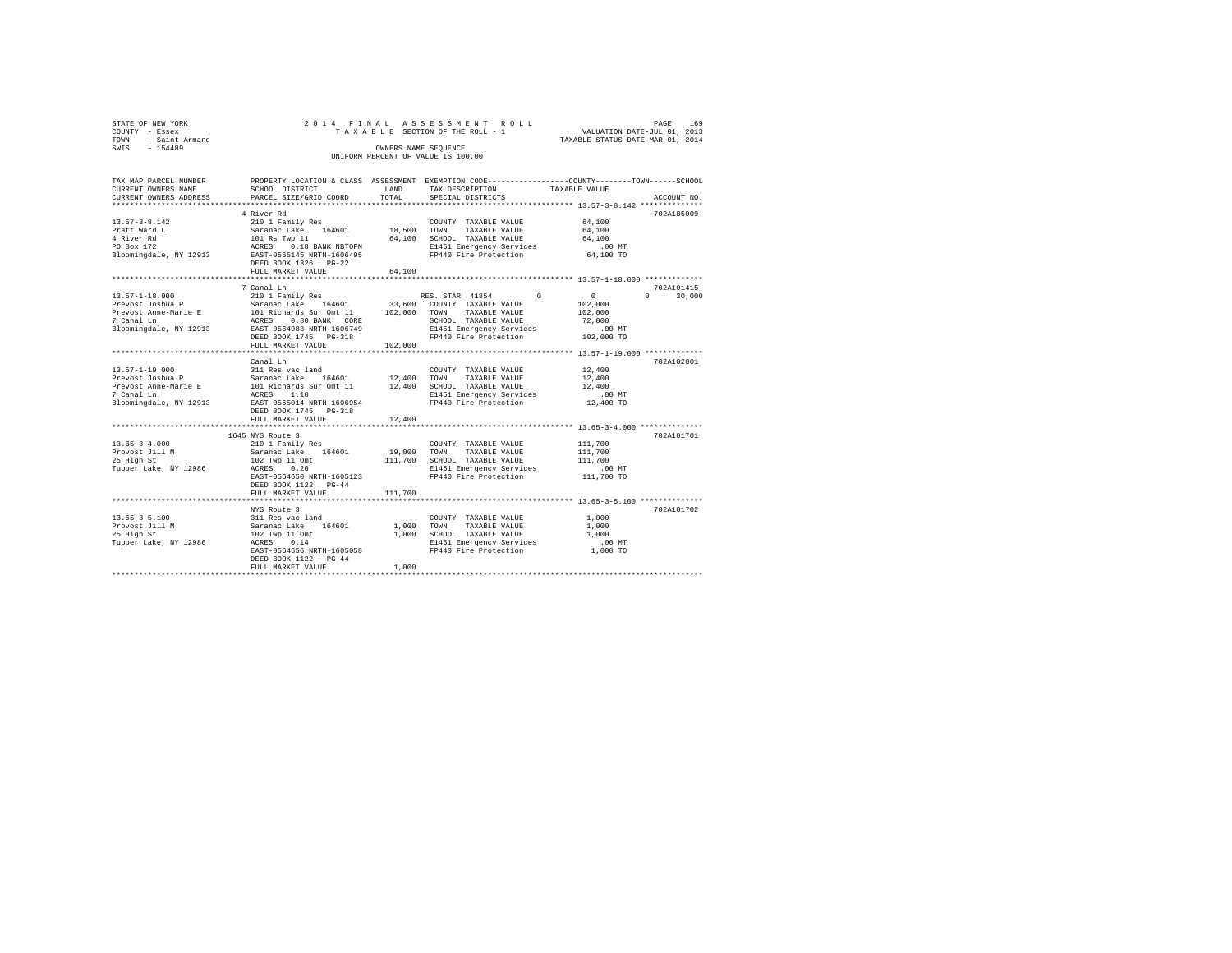| STATE OF NEW YORK<br>COUNTY<br>- Essex<br>- Saint Armand<br>TOWN | 2014 FINAL ASSESSMENT ROLL<br>TAXABLE SECTION OF THE ROLL - 1 |                                                                                                | 169<br>PAGE<br>VALUATION DATE-JUL 01, 2013<br>TAXABLE STATUS DATE-MAR 01, 2014 |
|------------------------------------------------------------------|---------------------------------------------------------------|------------------------------------------------------------------------------------------------|--------------------------------------------------------------------------------|
| SWIS<br>$-154489$                                                | OWNERS NAME SEOUENCE<br>UNIFORM PERCENT OF VALUE IS 100.00    |                                                                                                |                                                                                |
| TAX MAP PARCEL NUMBER                                            |                                                               | PROPERTY LOCATION & CLASS ASSESSMENT EXEMPTION CODE---------------COUNTY-------TOWN-----SCHOOL |                                                                                |

| CURRENT OWNERS NAME    | SCHOOL DISTRICT                                                                          | LAND        | TAX DESCRIPTION                                                        | TAXABLE VALUE                                     |                    |
|------------------------|------------------------------------------------------------------------------------------|-------------|------------------------------------------------------------------------|---------------------------------------------------|--------------------|
| CURRENT OWNERS ADDRESS | PARCEL SIZE/GRID COORD                                                                   | TOTAL       | SPECIAL DISTRICTS                                                      |                                                   | ACCOUNT NO.        |
|                        |                                                                                          |             |                                                                        |                                                   |                    |
|                        | 4 River Rd                                                                               |             |                                                                        |                                                   | 702A185009         |
| $13.57 - 3 - 8.142$    | 210 1 Family Res                                                                         |             | COUNTY TAXABLE VALUE                                                   | 64,100                                            |                    |
| Pratt Ward L           | Saranac Lake 164601 18,500 TOWN                                                          |             | TAXABLE VALUE                                                          | 64,100                                            |                    |
| 4 River Rd             |                                                                                          |             | 64,100 SCHOOL TAXABLE VALUE                                            | 64,100                                            |                    |
| PO Box 172             | 101 Rs Twp 11<br>ACRES 0.18 BANK NBTOFN                                                  |             | E1451 Emergency Services                                               | $.00$ MT                                          |                    |
|                        | Bloomingdale, NY 12913 EAST-0565145 NRTH-1606495                                         |             | FP440 Fire Protection 64,100 TO                                        |                                                   |                    |
|                        | DEED BOOK 1326 PG-22                                                                     |             |                                                                        |                                                   |                    |
|                        | FULL MARKET VALUE                                                                        | 64,100      |                                                                        |                                                   |                    |
|                        |                                                                                          |             |                                                                        | ******************** 13.57-1-18.000 ************* |                    |
|                        | 7 Canal Ln                                                                               |             |                                                                        |                                                   | 702A101415         |
| 13.57-1-18.000         |                                                                                          |             |                                                                        | $\sim$ 0                                          | $\Omega$<br>30,000 |
| Prevost Joshua P       | Saranac Lake 164601 33,600 COUNTY TAXABLE VALUE                                          |             |                                                                        | 102,000                                           |                    |
|                        | Prevost Anne-Marie E 101 Richards Sur Omt 11 102,000 TOWN                                |             | TAXABLE VALUE                                                          | 102,000                                           |                    |
| 7 Canal Ln             | ACRES<br>$0.80$ BANK $CORE$                                                              |             | SCHOOL TAXABLE VALUE                                                   | 72,000                                            |                    |
| Bloomingdale, NY 12913 | EAST-0564988 NRTH-1606749                                                                |             | E1451 Emergency Services                                               | .00MT                                             |                    |
|                        | DEED BOOK 1745 PG-318                                                                    |             | FP440 Fire Protection                                                  | $102,000$ TO                                      |                    |
|                        | FULL MARKET VALUE                                                                        | 102,000     |                                                                        |                                                   |                    |
|                        |                                                                                          |             |                                                                        |                                                   |                    |
|                        | Canal Ln                                                                                 |             |                                                                        |                                                   | 702A102001         |
| $13.57 - 1 - 19.000$   | 311 Res vac land                                                                         |             | COUNTY TAXABLE VALUE                                                   | 12,400                                            |                    |
| Prevost Joshua P       | Saranac Lake<br>164601 12,400 TOWN                                                       |             | TAXABLE VALUE                                                          | 12,400                                            |                    |
|                        | Prevost Anne-Marie E 101 Richards Sur Omt 11                                             |             | 12,400 SCHOOL TAXABLE VALUE                                            | 12,400                                            |                    |
| 7 Canal Ln             | 1.10<br>ACRES                                                                            |             | E1451 Emergency Services .00 MT<br>FP440 Fire Protection  12,400 TO    |                                                   |                    |
|                        | Bloomingdale, NY 12913 EAST-0565014 NRTH-1606954                                         |             |                                                                        |                                                   |                    |
|                        | DEED BOOK 1745 PG-318                                                                    |             |                                                                        |                                                   |                    |
|                        | FULL MARKET VALUE                                                                        | 12,400      |                                                                        |                                                   |                    |
|                        |                                                                                          |             |                                                                        |                                                   |                    |
|                        | 1645 NYS Route 3                                                                         |             |                                                                        |                                                   | 702A101701         |
| $13.65 - 3 - 4.000$    | 210 1 Family Res                                                                         |             | COUNTY TAXABLE VALUE                                                   | 111,700                                           |                    |
| Provost Jill M         | $\frac{210}{2}$ $\frac{1}{2}$ $\frac{1}{2}$ $\frac{1}{2}$ $\frac{1}{2}$ $\frac{4601}{2}$ | 19,000 TOWN | TAXABLE VALUE                                                          | 111,700                                           |                    |
| 25 High St             | 102 Twp 11 Omt                                                                           |             | 111,700 SCHOOL TAXABLE VALUE                                           | 111,700                                           |                    |
| Tupper Lake, NY 12986  | ACRES<br>0.20                                                                            |             | E1451 Emergency Services .00 MT<br>FP440 Fire Protection .01 11,700 TO |                                                   |                    |
|                        | EAST-0564650 NRTH-1605123                                                                |             |                                                                        |                                                   |                    |
|                        | DEED BOOK 1122 PG-44                                                                     |             |                                                                        |                                                   |                    |
|                        | FULL MARKET VALUE                                                                        | 111,700     |                                                                        |                                                   |                    |
|                        |                                                                                          |             |                                                                        |                                                   |                    |
|                        | NYS Route 3                                                                              |             |                                                                        |                                                   | 702A101702         |
| $13.65 - 3 - 5.100$    | 311 Res vac land<br>Saranac Lake 164601                                                  |             | COUNTY TAXABLE VALUE                                                   | 1,000                                             |                    |
| Provost Jill M         |                                                                                          | 1,000 TOWN  | TAXABLE VALUE                                                          | 1,000                                             |                    |
| 25 High St             | 102 Twp 11 Omt                                                                           | 1,000       | SCHOOL TAXABLE VALUE                                                   | 1,000                                             |                    |
| Tupper Lake, NY 12986  | ACRES<br>0.14                                                                            |             | E1451 Emergency Services<br>FP440 Fire Protection                      | $.00$ MT                                          |                    |
|                        | EAST-0564656 NRTH-1605058                                                                |             |                                                                        | 1,000 TO                                          |                    |
|                        | DEED BOOK 1122 PG-44                                                                     |             |                                                                        |                                                   |                    |
|                        | FULL MARKET VALUE                                                                        | 1,000       |                                                                        |                                                   |                    |
|                        |                                                                                          |             |                                                                        |                                                   |                    |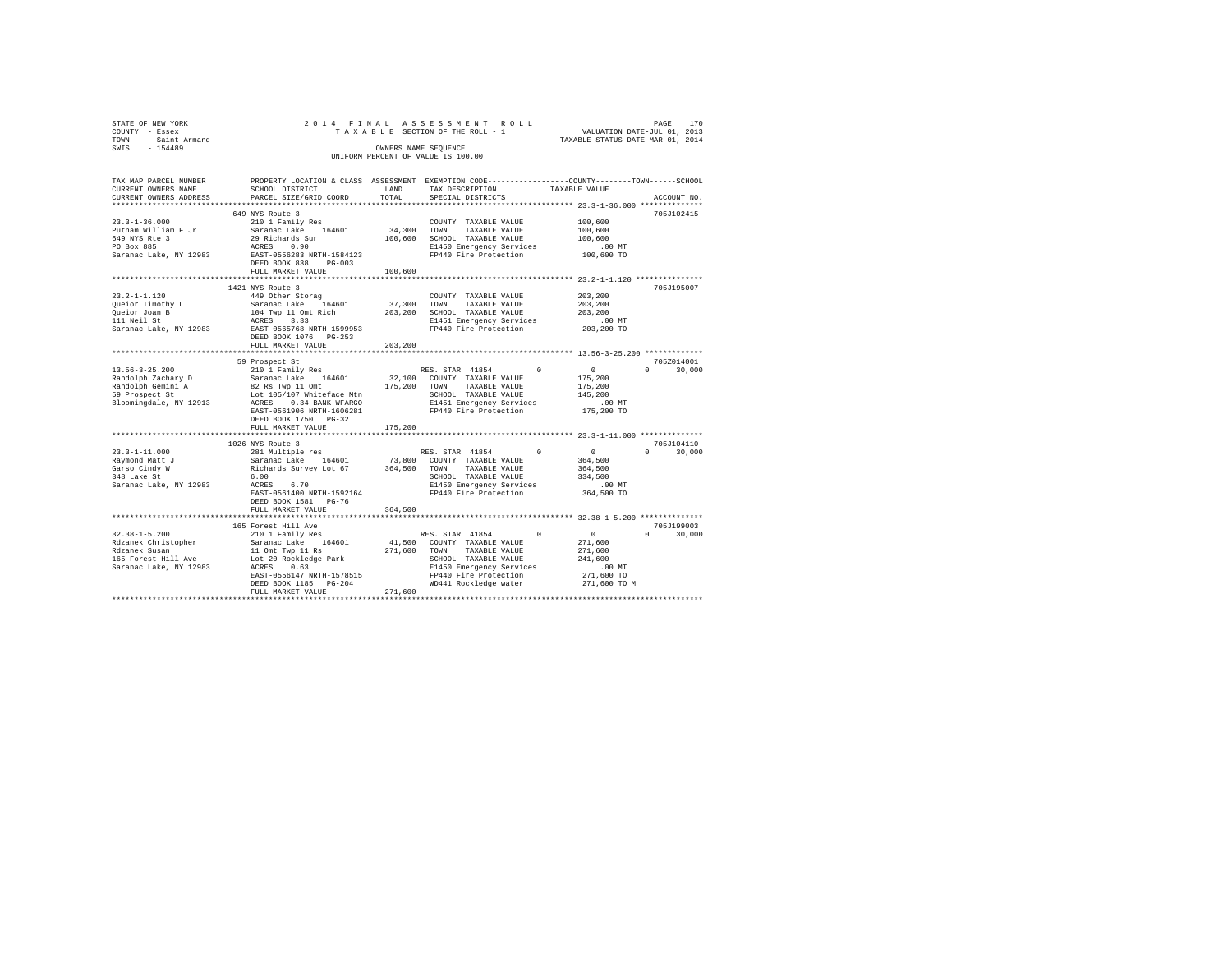| STATE OF NEW YORK<br>COUNTY - Essex<br>TOWN - Saint Armand<br>SWIS - 154489                                                                                                                                                                                                                                                                                                                                        |                                                                        |                        | 2014 FINAL ASSESSMENT ROLL<br>OWNERS NAME SEQUENCE<br>UNIFORM PERCENT OF VALUE IS 100.00 | PAGE<br>TAXABAA ASSESSMENT ROLL TAXABLE SECTION OF THE TAXABLE SECTION OF THE ROLL - 1<br>TAXABLE SECTION OF THE ROLL - 1 TAXABLE STATUS DATE-JUL 01, 2013<br>TAXABLE STATUS DATE-MAR 01, 2014 |
|--------------------------------------------------------------------------------------------------------------------------------------------------------------------------------------------------------------------------------------------------------------------------------------------------------------------------------------------------------------------------------------------------------------------|------------------------------------------------------------------------|------------------------|------------------------------------------------------------------------------------------|------------------------------------------------------------------------------------------------------------------------------------------------------------------------------------------------|
| TAX MAP PARCEL NUMBER<br>CURRENT OWNERS NAME<br>CURRENT OWNERS ADDRESS                                                                                                                                                                                                                                                                                                                                             | SCHOOL DISTRICT<br>PARCEL SIZE/GRID COORD                              | LAND<br>TOTAL          | TAX DESCRIPTION TAXABLE VALUE<br>SPECIAL DISTRICTS                                       | PROPERTY LOCATION & CLASS ASSESSMENT EXEMPTION CODE---------------COUNTY-------TOWN------SCHOOL<br>ACCOUNT NO.                                                                                 |
|                                                                                                                                                                                                                                                                                                                                                                                                                    | 649 NYS Route 3                                                        |                        |                                                                                          | 705J102415                                                                                                                                                                                     |
|                                                                                                                                                                                                                                                                                                                                                                                                                    | DEED BOOK 838 PG-003                                                   |                        |                                                                                          |                                                                                                                                                                                                |
|                                                                                                                                                                                                                                                                                                                                                                                                                    | FULL MARKET VALUE                                                      | 100,600                |                                                                                          |                                                                                                                                                                                                |
|                                                                                                                                                                                                                                                                                                                                                                                                                    |                                                                        | ********************** |                                                                                          | *********************** 23.2-1-1.120 ****************                                                                                                                                          |
|                                                                                                                                                                                                                                                                                                                                                                                                                    | 1421 NYS Route 3<br>DEED BOOK 1076 PG-253<br>FULL MARKET VALUE 203,200 |                        |                                                                                          | 705J195007                                                                                                                                                                                     |
|                                                                                                                                                                                                                                                                                                                                                                                                                    |                                                                        |                        |                                                                                          |                                                                                                                                                                                                |
|                                                                                                                                                                                                                                                                                                                                                                                                                    | 59 Prospect St<br>DEED BOOK 1750 PG-32<br>FULL MARKET VALUE            | 175,200                |                                                                                          | 705Z014001<br>$0 \t 30,000$                                                                                                                                                                    |
|                                                                                                                                                                                                                                                                                                                                                                                                                    |                                                                        |                        |                                                                                          |                                                                                                                                                                                                |
| $23.3 - 1 - 11.000$<br>Raymond Matt J<br>Garso Cindy W<br>348 Lake St<br>Saranac Lake, NY 12983                                                                                                                                                                                                                                                                                                                    | 1026 NYS Route 3<br>DEED BOOK 1581 PG-76<br>FULL MARKET VALUE          | 364,500                |                                                                                          | 705J104110<br>$0 \t 30.000$                                                                                                                                                                    |
|                                                                                                                                                                                                                                                                                                                                                                                                                    |                                                                        |                        |                                                                                          |                                                                                                                                                                                                |
| $\begin{tabular}{l c c c c c} \hline 32.38-1-5.200 & 165\,\, \text{Forest Hill ave} & 50\,\, \text{NSE}, \text{ STRR 41854} & 0 \\ \hline \text{Rdzanek Christopher} & \text{Saranac Lake } \text{MULIS} & 0 \\ \text{Rdzanek Susanac Lake, NY 12983 & \text{LOLS}} & 11.0\,\text{mL Tup} & 18 & 41.500 & 000\,\, \text{TVM} & \text{TAXABLE VALUE} \\ \hline \text{165 Forest Hill} & \text{loc 20 Rokledge Park$ | 165 Forest Hill Ave                                                    |                        |                                                                                          | 705J199003<br>$\sim$ 0<br>$0 \qquad \qquad$<br>$\begin{array}{c} 0 \\ 271,600 \end{array}$<br>$\sim$ 0<br>30,000<br>271,600<br>241,600<br>.00 MT<br>271,600 TO<br>271,600 TO M                 |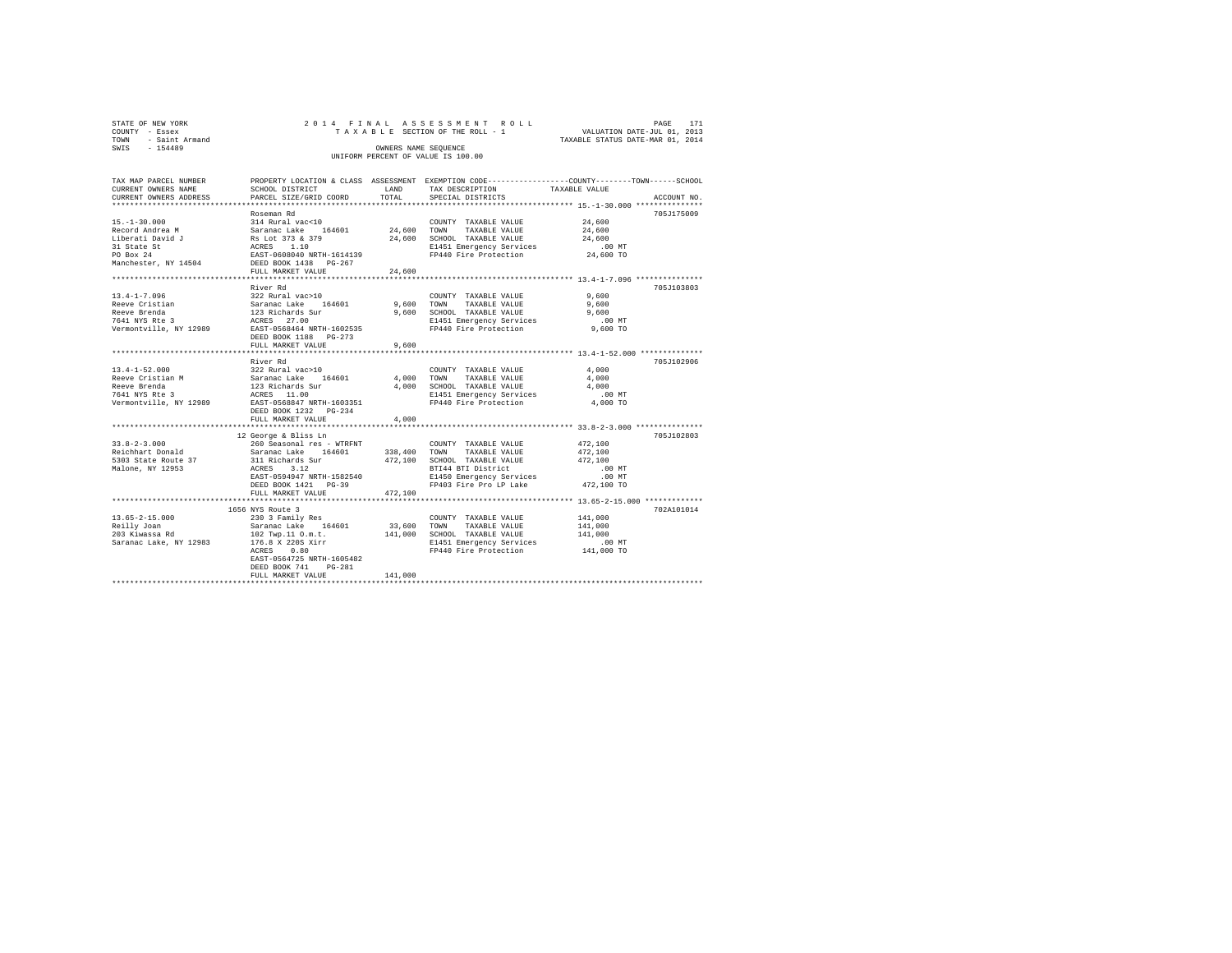|      | STATE OF NEW YORK                |  |  | 2014 FINAL ASSESSMENT ROLL                                 |                                                                 | PAGE | 171 |
|------|----------------------------------|--|--|------------------------------------------------------------|-----------------------------------------------------------------|------|-----|
| TOWN | COUNTY - Essex<br>- Saint Armand |  |  | TAXABLE SECTION OF THE ROLL - 1                            | VALUATION DATE-JUL 01, 2013<br>TAXABLE STATUS DATE-MAR 01, 2014 |      |     |
| SWIS | $-154489$                        |  |  | OWNERS NAME SEOUENCE<br>UNIFORM PERCENT OF VALUE IS 100.00 |                                                                 |      |     |

| TAX MAP PARCEL NUMBER<br>CURRENT OWNERS NAME<br>CURRENT OWNERS ADDRESS                                                       | SCHOOL DISTRICT<br>PARCEL SIZE/GRID COORD                                          | LAND<br>TOTAL | PROPERTY LOCATION & CLASS ASSESSMENT EXEMPTION CODE---------------COUNTY-------TOWN-----SCHOOL<br>TAX DESCRIPTION<br>SPECIAL DISTRICTS | TAXABLE VALUE                                | ACCOUNT NO |
|------------------------------------------------------------------------------------------------------------------------------|------------------------------------------------------------------------------------|---------------|----------------------------------------------------------------------------------------------------------------------------------------|----------------------------------------------|------------|
|                                                                                                                              |                                                                                    |               |                                                                                                                                        |                                              |            |
|                                                                                                                              | Roseman Rd                                                                         |               |                                                                                                                                        |                                              | 705J175009 |
| $15. - 1 - 30.000$                                                                                                           | 314 Rural vac<10                                                                   |               | COUNTY TAXABLE VALUE                                                                                                                   | 24,600                                       |            |
|                                                                                                                              |                                                                                    | 24,600 TOWN   | TAXABLE VALUE                                                                                                                          | 24,600                                       |            |
| Record Andrea M<br>Liberati David J                                                                                          |                                                                                    |               | 24,600 SCHOOL TAXABLE VALUE                                                                                                            | 24,600                                       |            |
| 31 State St                                                                                                                  |                                                                                    |               | E1451 Emergency Services                                                                                                               | .00 MT                                       |            |
| PO Box 24                                                                                                                    | Saranac Lake 164601<br>Rs Lot 373 & 379<br>ACRES 1.10<br>EAST-0608040 NRTH-1614139 |               | FP440 Fire Protection                                                                                                                  | 24,600 TO                                    |            |
| Manchester, NY 14504                                                                                                         | DEED BOOK 1438 PG-267                                                              |               |                                                                                                                                        |                                              |            |
|                                                                                                                              | FULL MARKET VALUE                                                                  | 24,600        |                                                                                                                                        |                                              |            |
|                                                                                                                              | ******************************                                                     |               |                                                                                                                                        |                                              |            |
|                                                                                                                              | River Rd                                                                           |               |                                                                                                                                        |                                              | 705J103803 |
| $13.4 - 1 - 7.096$                                                                                                           | 322 Rural vac>10                                                                   |               | COUNTY TAXABLE VALUE                                                                                                                   | 9,600                                        |            |
| Reeve Cristian                                                                                                               | Saranac Lake 164601 9,600 TOWN                                                     |               | TAXABLE VALUE                                                                                                                          | 9,600                                        |            |
| Reeve Brenda                                                                                                                 |                                                                                    |               | 9,600 SCHOOL TAXABLE VALUE                                                                                                             | 9,600                                        |            |
| 7641 NYS Rte 3                                                                                                               | 123 Richards Sur<br>ACRES 27.00                                                    |               | E1451 Emergency Services                                                                                                               | $.00$ MT                                     |            |
| Vermontville, NY 12989                                                                                                       | EAST-0568464 NRTH-1602535                                                          |               | FP440 Fire Protection                                                                                                                  | 9,600 TO                                     |            |
|                                                                                                                              |                                                                                    |               |                                                                                                                                        |                                              |            |
|                                                                                                                              | FULL MARKET VALUE                                                                  | 9,600         |                                                                                                                                        |                                              |            |
|                                                                                                                              |                                                                                    |               |                                                                                                                                        |                                              |            |
|                                                                                                                              | River Rd                                                                           |               |                                                                                                                                        |                                              | 705J102906 |
| $13.4 - 1 - 52.000$                                                                                                          | 322 Rural vac>10                                                                   |               | COUNTY TAXABLE VALUE                                                                                                                   | 4,000                                        |            |
| Reeve Cristian M                                                                                                             | Saranac Lake 164601                                                                | 4,000 TOWN    | TAXABLE VALUE                                                                                                                          | 4,000                                        |            |
| Reeve Brenda                                                                                                                 | 123 Richards Sur<br>ACRES 11.00                                                    |               | 4,000 SCHOOL TAXABLE VALUE                                                                                                             | 4,000                                        |            |
| 7641 NYS Rte 3                                                                                                               |                                                                                    |               | E1451 Emergency Services                                                                                                               | $.00$ MT                                     |            |
| Vermontville, NY 12989 EAST-0568847 NRTH-1603351                                                                             |                                                                                    |               | FP440 Fire Protection                                                                                                                  | 4,000 TO                                     |            |
|                                                                                                                              | DEED BOOK 1232 PG-234                                                              |               |                                                                                                                                        |                                              |            |
|                                                                                                                              | FULL MARKET VALUE                                                                  | 4,000         |                                                                                                                                        |                                              |            |
|                                                                                                                              |                                                                                    |               |                                                                                                                                        |                                              |            |
|                                                                                                                              | 12 George & Bliss Ln                                                               |               |                                                                                                                                        |                                              | 705J102803 |
| $33.8 - 2 - 3.000$                                                                                                           | 260 Seasonal res - WTRFNT                                                          |               | COUNTY TAXABLE VALUE                                                                                                                   | 472,100                                      |            |
| Reichhart Donald                         Saranac Lake     164601<br>5303 State Route 37                     311 Richards Sur |                                                                                    |               | 338,400 TOWN TAXABLE VALUE                                                                                                             | 472,100                                      |            |
| Malone, NY 12953                                                                                                             | ACRES<br>3.12                                                                      |               | 472,100 SCHOOL TAXABLE VALUE<br>BTI44 BTI District                                                                                     | 472,100<br>$.00$ MT                          |            |
|                                                                                                                              | EAST-0594947 NRTH-1582540                                                          |               | E1450 Emergency Services                                                                                                               | $.00$ MT                                     |            |
|                                                                                                                              | DEED BOOK 1421 PG-39                                                               |               | FP403 Fire Pro LP Lake 472,100 TO                                                                                                      |                                              |            |
|                                                                                                                              | FULL MARKET VALUE                                                                  | 472,100       |                                                                                                                                        |                                              |            |
|                                                                                                                              |                                                                                    |               |                                                                                                                                        | **************** 13.65-2-15.000 ************ |            |
|                                                                                                                              | 1656 NYS Route 3                                                                   |               |                                                                                                                                        |                                              | 702A101014 |
| $13.65 - 2 - 15.000$                                                                                                         |                                                                                    |               | COUNTY TAXABLE VALUE                                                                                                                   | 141,000                                      |            |
| Reilly Joan                                                                                                                  | 230 3 Family Res<br>Saranac Lake 164601                                            |               | 33,600 TOWN<br>TAXABLE VALUE                                                                                                           | 141,000                                      |            |
| 203 Kiwassa Rd                                                                                                               |                                                                                    |               | 141,000 SCHOOL TAXABLE VALUE                                                                                                           | 141,000                                      |            |
| Saranac Lake, NY 12983                                                                                                       | 102 Twp.11 O.m.t.<br>176.8 X 220S Xirr                                             |               | E1451 Emergency Services                                                                                                               | $.00$ MT                                     |            |
|                                                                                                                              | ACRES<br>0.80                                                                      |               | FP440 Fire Protection 141,000 TO                                                                                                       |                                              |            |
|                                                                                                                              | EAST-0564725 NRTH-1605482                                                          |               |                                                                                                                                        |                                              |            |
|                                                                                                                              | DEED BOOK 741<br>$PG-281$                                                          |               |                                                                                                                                        |                                              |            |
|                                                                                                                              | FULL MARKET VALUE                                                                  | 141,000       |                                                                                                                                        |                                              |            |
|                                                                                                                              |                                                                                    |               |                                                                                                                                        |                                              |            |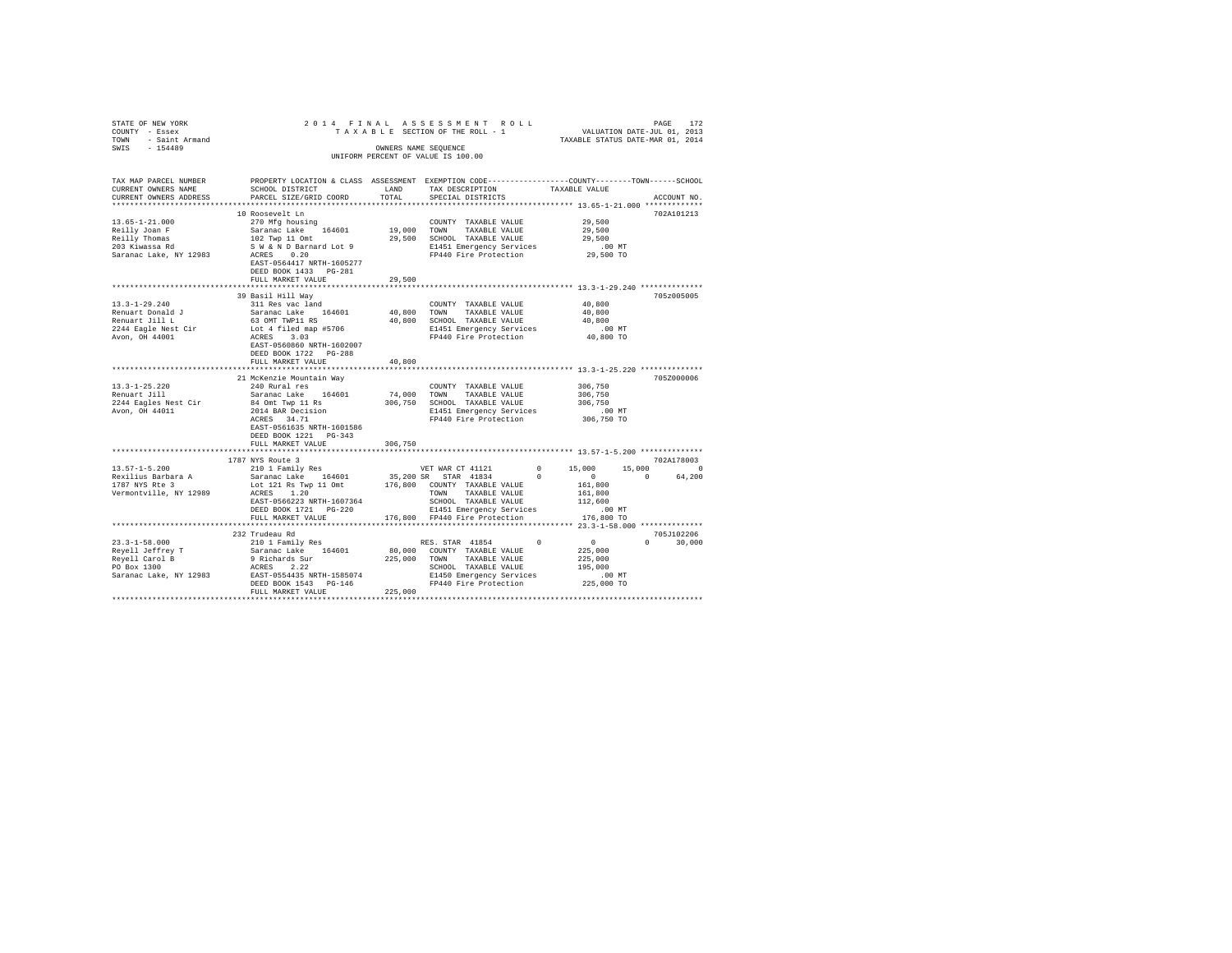| $\begin{tabular}{lllllllll} \multicolumn{2}{c}{STATE~OF NEW~YORE} & & & & & & \multicolumn{2}{c}{\multicolumn{2}{c}{\multicolumn{2}{c}{\multicolumn{2}{c}{\multicolumn{2}{c}{\multicolumn{2}{c}{\multicolumn{2}{c}{\multicolumn{2}{c}{\multicolumn{2}{c}{\multicolumn{2}{c}{\multicolumn{2}{c}{\multicolumn{2}{c}{\multicolumn{2}{c}{\multicolumn{2}{c}{\multicolumn{2}{c}{\multicolumn{2}{c}{\multicolumn{2}{c}{\multicolumn{2}{c}{\multicolumn{2}{c}{\multicolumn{2}{c}{\multic$ |                                                                                                 |        | OWNERS NAME SEOUENCE<br>UNIFORM PERCENT OF VALUE IS 100.00 |  |             |
|------------------------------------------------------------------------------------------------------------------------------------------------------------------------------------------------------------------------------------------------------------------------------------------------------------------------------------------------------------------------------------------------------------------------------------------------------------------------------------|-------------------------------------------------------------------------------------------------|--------|------------------------------------------------------------|--|-------------|
| TAX MAP PARCEL NUMBER                                                                                                                                                                                                                                                                                                                                                                                                                                                              | PROPERTY LOCATION & CLASS ASSESSMENT EXEMPTION CODE---------------COUNTY-------TOWN------SCHOOL |        |                                                            |  | ACCOUNT NO. |
|                                                                                                                                                                                                                                                                                                                                                                                                                                                                                    |                                                                                                 |        |                                                            |  | 702A101213  |
|                                                                                                                                                                                                                                                                                                                                                                                                                                                                                    |                                                                                                 |        |                                                            |  |             |
|                                                                                                                                                                                                                                                                                                                                                                                                                                                                                    | DEED BOOK 1433 PG-281<br>FULL MARKET VALUE 29,500                                               |        |                                                            |  |             |
|                                                                                                                                                                                                                                                                                                                                                                                                                                                                                    |                                                                                                 |        |                                                            |  |             |
|                                                                                                                                                                                                                                                                                                                                                                                                                                                                                    | 39 Basil Hill Way<br>DEED BOOK 1722 PG-288                                                      |        |                                                            |  | 705z005005  |
|                                                                                                                                                                                                                                                                                                                                                                                                                                                                                    | FULL MARKET VALUE                                                                               | 40,800 |                                                            |  |             |
|                                                                                                                                                                                                                                                                                                                                                                                                                                                                                    | 21 McKenzie Mountain Way                                                                        |        |                                                            |  | 705Z000006  |
|                                                                                                                                                                                                                                                                                                                                                                                                                                                                                    |                                                                                                 |        |                                                            |  |             |
|                                                                                                                                                                                                                                                                                                                                                                                                                                                                                    |                                                                                                 |        |                                                            |  |             |
|                                                                                                                                                                                                                                                                                                                                                                                                                                                                                    |                                                                                                 |        |                                                            |  |             |
|                                                                                                                                                                                                                                                                                                                                                                                                                                                                                    |                                                                                                 |        |                                                            |  |             |
|                                                                                                                                                                                                                                                                                                                                                                                                                                                                                    | EAST-0561635 NRTH-1601586<br>DEED BOOK 1221 PG-343<br>FULL MARKET VALUE 306,750                 |        |                                                            |  |             |
|                                                                                                                                                                                                                                                                                                                                                                                                                                                                                    |                                                                                                 |        |                                                            |  |             |
|                                                                                                                                                                                                                                                                                                                                                                                                                                                                                    |                                                                                                 |        |                                                            |  |             |
|                                                                                                                                                                                                                                                                                                                                                                                                                                                                                    |                                                                                                 |        |                                                            |  |             |
|                                                                                                                                                                                                                                                                                                                                                                                                                                                                                    |                                                                                                 |        |                                                            |  |             |
|                                                                                                                                                                                                                                                                                                                                                                                                                                                                                    |                                                                                                 |        |                                                            |  |             |
|                                                                                                                                                                                                                                                                                                                                                                                                                                                                                    |                                                                                                 |        |                                                            |  |             |
|                                                                                                                                                                                                                                                                                                                                                                                                                                                                                    |                                                                                                 |        |                                                            |  |             |
|                                                                                                                                                                                                                                                                                                                                                                                                                                                                                    |                                                                                                 |        |                                                            |  |             |
|                                                                                                                                                                                                                                                                                                                                                                                                                                                                                    |                                                                                                 |        |                                                            |  |             |
|                                                                                                                                                                                                                                                                                                                                                                                                                                                                                    |                                                                                                 |        |                                                            |  |             |
|                                                                                                                                                                                                                                                                                                                                                                                                                                                                                    |                                                                                                 |        |                                                            |  |             |
|                                                                                                                                                                                                                                                                                                                                                                                                                                                                                    |                                                                                                 |        |                                                            |  |             |
|                                                                                                                                                                                                                                                                                                                                                                                                                                                                                    |                                                                                                 |        |                                                            |  |             |
|                                                                                                                                                                                                                                                                                                                                                                                                                                                                                    |                                                                                                 |        |                                                            |  |             |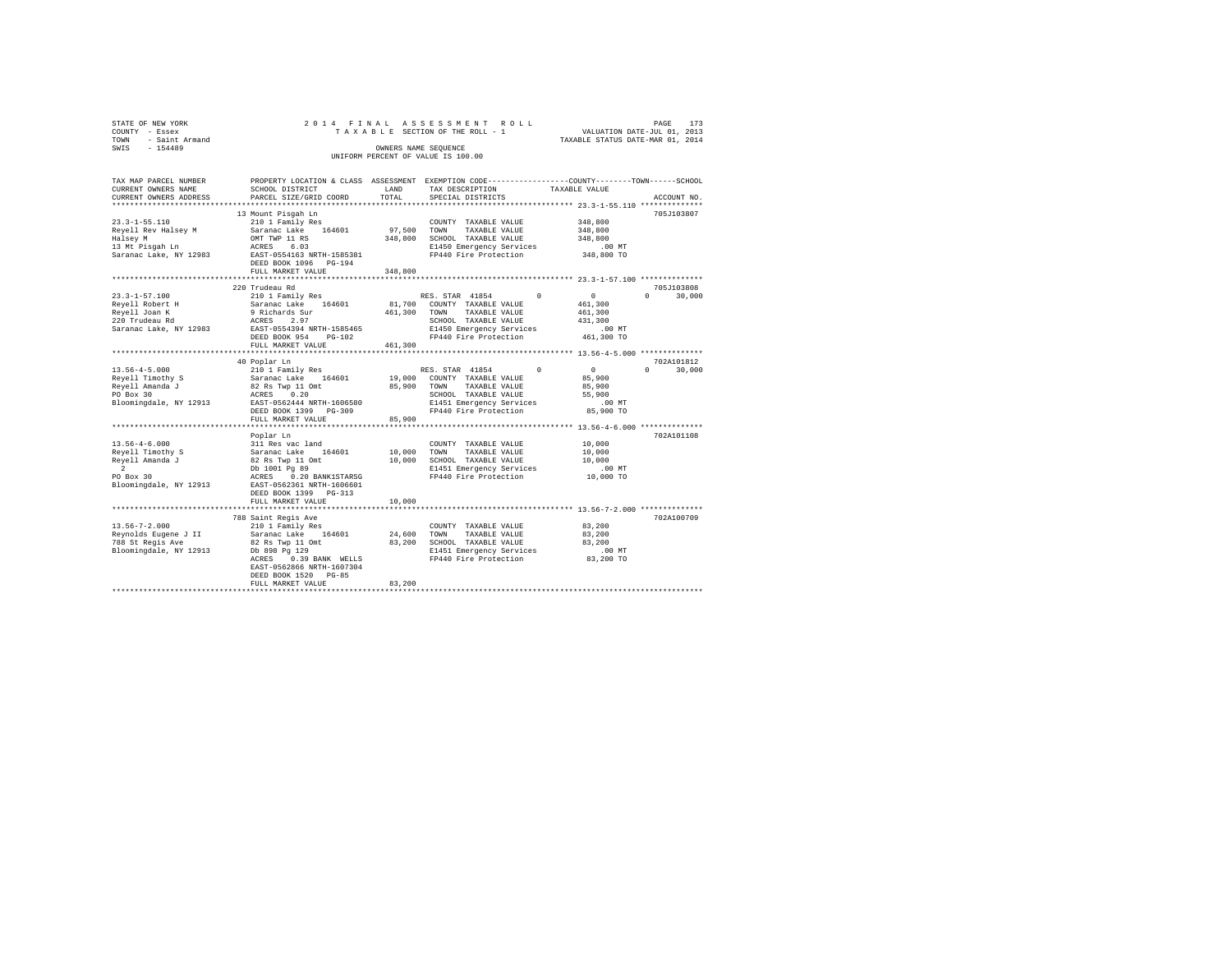|      | STATE OF NEW YORK   |  |  |                                    |  | 2014 FINAL ASSESSMENT ROLL |                                  | PAGE | 173 |
|------|---------------------|--|--|------------------------------------|--|----------------------------|----------------------------------|------|-----|
|      | COUNTY - Essex      |  |  | TAXABLE SECTION OF THE ROLL - 1    |  |                            | VALUATION DATE-JUL 01, 2013      |      |     |
|      | TOWN - Saint Armand |  |  |                                    |  |                            | TAXABLE STATUS DATE-MAR 01, 2014 |      |     |
| SWIS | - 154489            |  |  | OWNERS NAME SEOUENCE               |  |                            |                                  |      |     |
|      |                     |  |  | UNIFORM PERCENT OF VALUE IS 100.00 |  |                            |                                  |      |     |
|      |                     |  |  |                                    |  |                            |                                  |      |     |

| TAX MAP PARCEL NUMBER<br>CURRENT OWNERS NAME     | SCHOOL DISTRICT                                                                                                                                              | LAND                     | PROPERTY LOCATION & CLASS ASSESSMENT EXEMPTION CODE---------------COUNTY------TOWN-----SCHOOL<br>TAX DESCRIPTION                      | TAXABLE VALUE        |                    |
|--------------------------------------------------|--------------------------------------------------------------------------------------------------------------------------------------------------------------|--------------------------|---------------------------------------------------------------------------------------------------------------------------------------|----------------------|--------------------|
| CURRENT OWNERS ADDRESS                           | PARCEL SIZE/GRID COORD                                                                                                                                       | TOTAL                    | SPECIAL DISTRICTS                                                                                                                     |                      | ACCOUNT NO.        |
| $23.3 - 1 - 55.110$                              | 13 Mount Pisqah Ln<br>210 1 Family Res                                                                                                                       |                          | COUNTY TAXABLE VALUE                                                                                                                  | 348,800              | 705J103807         |
| Reyell Rev Halsey M Saranac Lake 164601          |                                                                                                                                                              | 97,500 TOWN              | TAXABLE VALUE                                                                                                                         | 348,800              |                    |
| Halsey M                                         |                                                                                                                                                              |                          | 348,800 SCHOOL TAXABLE VALUE                                                                                                          | 348,800              |                    |
| 13 Mt Pisgah Ln                                  | OMT TWP 11 RS<br>ACRES 6.03                                                                                                                                  |                          | E1450 Emergency Services                                                                                                              | .00 MT               |                    |
| Saranac Lake, NY 12983                           | ACRES 6.03<br>EAST-0554163 NRTH-1585381                                                                                                                      |                          | FP440 Fire Protection                                                                                                                 | 348,800 TO           |                    |
|                                                  | DEED BOOK 1096 PG-194                                                                                                                                        |                          |                                                                                                                                       |                      |                    |
|                                                  | FULL MARKET VALUE                                                                                                                                            | 348,800                  |                                                                                                                                       |                      |                    |
|                                                  | 220 Trudeau Rd                                                                                                                                               |                          |                                                                                                                                       |                      | 705J103808         |
| $23.3 - 1 - 57.100$                              | 210 1 Family Res                                                                                                                                             |                          | RES. STAR 41854 0                                                                                                                     | $\sim$ 0             | $\Omega$<br>30,000 |
| Reyell Robert H                                  | Saranac Lake 164601 81,700 COUNTY TAXABLE VALUE                                                                                                              |                          |                                                                                                                                       | 461,300              |                    |
| Reyell Joan K                                    |                                                                                                                                                              |                          | 461,300 TOWN TAXABLE VALUE                                                                                                            | 461,300              |                    |
| 220 Trudeau Rd                                   | 9 Richards Sur<br>ACRES 2.97                                                                                                                                 |                          | SCHOOL TAXABLE VALUE                                                                                                                  | 431,300              |                    |
| Saranac Lake, NY 12983                           | EAST-0554394 NRTH-1585465                                                                                                                                    |                          | E1450 Emergency Services                                                                                                              |                      |                    |
|                                                  | DEED BOOK 954<br>$PG-102$                                                                                                                                    |                          | FP440 Fire Protection                                                                                                                 | 00 MT.<br>461,300 TO |                    |
|                                                  | FULL MARKET VALUE                                                                                                                                            | 461,300                  |                                                                                                                                       |                      |                    |
|                                                  |                                                                                                                                                              |                          |                                                                                                                                       |                      |                    |
|                                                  | 40 Poplar Ln                                                                                                                                                 |                          |                                                                                                                                       |                      | 702A101812         |
|                                                  |                                                                                                                                                              |                          | RES. STAR 41854 0                                                                                                                     | $\sim$ 0             | $\Omega$<br>30,000 |
|                                                  |                                                                                                                                                              |                          | 19,000 COUNTY TAXABLE VALUE                                                                                                           | 85,900               |                    |
|                                                  |                                                                                                                                                              |                          | TAXABLE VALUE                                                                                                                         | 85,900               |                    |
|                                                  |                                                                                                                                                              |                          | SCHOOL TAXABLE VALUE                                                                                                                  | 55,900               |                    |
|                                                  |                                                                                                                                                              |                          |                                                                                                                                       |                      |                    |
| Bloomingdale, NY 12913 EAST-0562444 NRTH-1606580 |                                                                                                                                                              |                          | E1451 Emergency Services<br>FP440 Fire Protection                                                                                     | .00 MT               |                    |
|                                                  | DEED BOOK 1399 PG-309                                                                                                                                        |                          |                                                                                                                                       | 85,900 TO            |                    |
|                                                  | FULL MARKET VALUE                                                                                                                                            | 85,900                   |                                                                                                                                       |                      |                    |
|                                                  | Poplar Ln                                                                                                                                                    |                          |                                                                                                                                       |                      | 702A101108         |
| $13.56 - 4 - 6.000$                              |                                                                                                                                                              |                          | COUNTY TAXABLE VALUE                                                                                                                  | 10,000               |                    |
|                                                  |                                                                                                                                                              | 10,000 TOWN              | TAXABLE VALUE                                                                                                                         | 10,000               |                    |
| Reyell Timothy S<br>Reyell Amanda J              |                                                                                                                                                              |                          |                                                                                                                                       | 10,000               |                    |
| $\overline{2}$                                   |                                                                                                                                                              |                          |                                                                                                                                       |                      |                    |
|                                                  |                                                                                                                                                              |                          | 10,000 SCHOOL TAXABLE VALUE<br>E1451 Emergency Services<br>FP440 Fire Protection<br>E1451 Emergency Services<br>FP440 Fire Protection | $.00$ MT             |                    |
| PO Box 30                                        |                                                                                                                                                              |                          |                                                                                                                                       | $10,000$ TO          |                    |
| Bloomingdale, NY 12913                           | Prior and Readers and Saranac Lake 164601<br>Saranac Lake 164601<br>B2 Rs Twp 11 Omt<br>DD 1001 Pg 99<br>ACRES 0.20 BANK1STARSG<br>EAST-0562361 NRTH-1606601 |                          |                                                                                                                                       |                      |                    |
|                                                  | DEED BOOK 1399 PG-313                                                                                                                                        |                          |                                                                                                                                       |                      |                    |
|                                                  | FULL MARKET VALUE<br>********************************                                                                                                        | 10,000<br>************** | ******************************* 13.56-7-2.000 **************                                                                          |                      |                    |
|                                                  |                                                                                                                                                              |                          |                                                                                                                                       |                      |                    |
|                                                  | 788 Saint Regis Ave                                                                                                                                          |                          |                                                                                                                                       |                      | 702A100709         |
| $13.56 - 7 - 2.000$                              | 210 1 Family Res                                                                                                                                             |                          | COUNTY TAXABLE VALUE 83,200                                                                                                           |                      |                    |
| Reynolds Eugene J II<br>788 St Regis Ave         | Saranac Lake 164601<br>82 Rs Twp 11 Omt                                                                                                                      |                          | 24,600 TOWN TAXABLE VALUE                                                                                                             | 83,200               |                    |
|                                                  |                                                                                                                                                              |                          | 83,200 SCHOOL TAXABLE VALUE 83,200                                                                                                    |                      |                    |
| Bloomingdale, NY 12913 bb 898 Pg 129             |                                                                                                                                                              |                          | E1451 Emergency Services                                                                                                              | $.00$ MT             |                    |
|                                                  | 0.39 BANK WELLS<br>ACRES                                                                                                                                     |                          | FP440 Fire Protection 83,200 TO                                                                                                       |                      |                    |
|                                                  | EAST-0562866 NRTH-1607304                                                                                                                                    |                          |                                                                                                                                       |                      |                    |
|                                                  | DEED BOOK 1520 PG-85                                                                                                                                         |                          |                                                                                                                                       |                      |                    |
|                                                  | FULL MARKET VALUE                                                                                                                                            | 83,200                   |                                                                                                                                       |                      |                    |
|                                                  |                                                                                                                                                              |                          |                                                                                                                                       |                      |                    |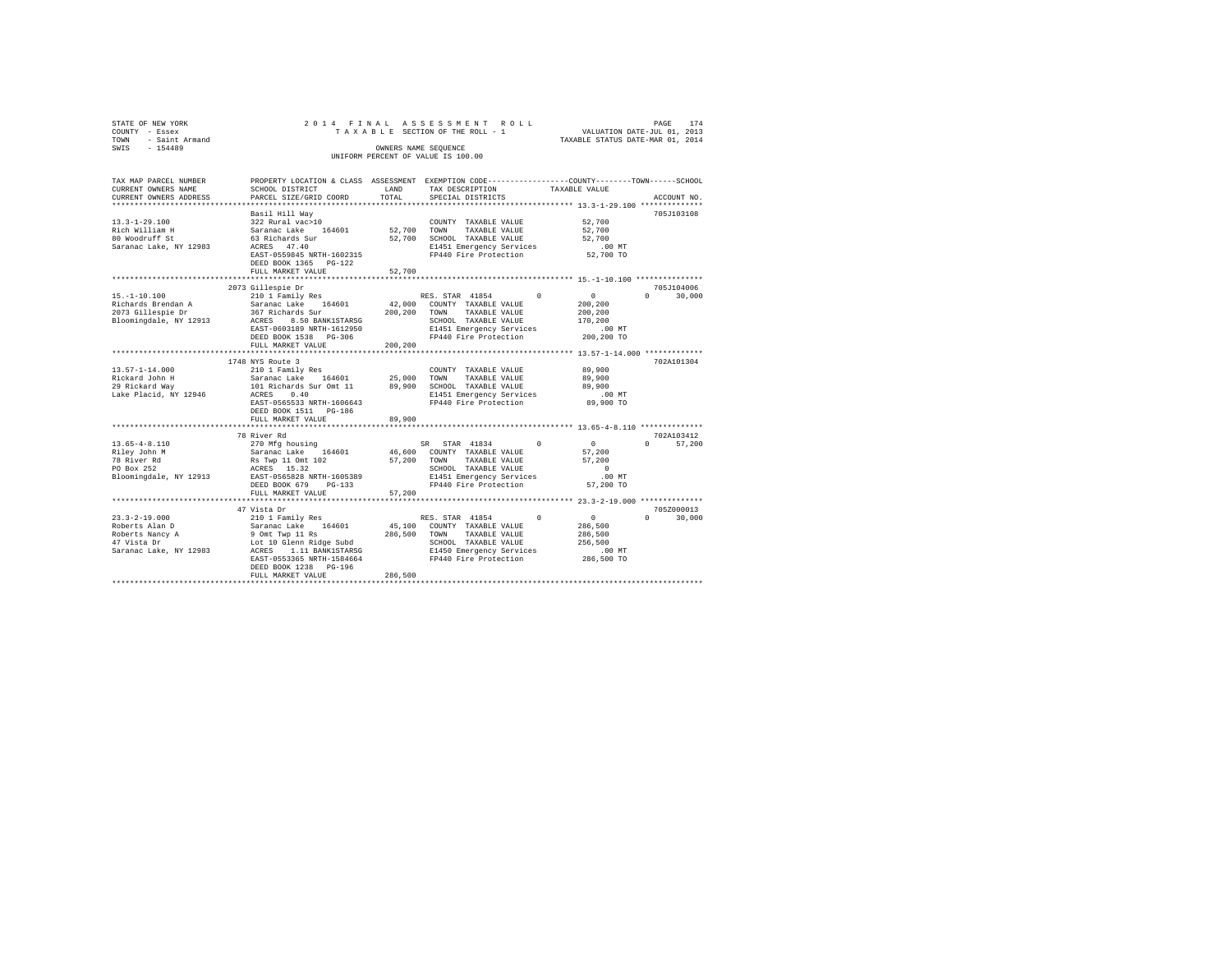| STATE OF NEW YORK                        | 2014 FINAL                                 |          | ASSESSMENT ROLL<br>TAXABLE SECTION OF THE ROLL - 1                                             |                                                                 | PAGE<br>174        |
|------------------------------------------|--------------------------------------------|----------|------------------------------------------------------------------------------------------------|-----------------------------------------------------------------|--------------------|
| COUNTY - Essex<br>TOWN<br>- Saint Armand |                                            |          |                                                                                                | VALUATION DATE-JUL 01, 2013<br>TAXABLE STATUS DATE-MAR 01, 2014 |                    |
| $-154489$<br>SWIS                        |                                            |          | OWNERS NAME SEQUENCE                                                                           |                                                                 |                    |
|                                          |                                            |          | UNIFORM PERCENT OF VALUE IS 100.00                                                             |                                                                 |                    |
|                                          |                                            |          |                                                                                                |                                                                 |                    |
| TAX MAP PARCEL NUMBER                    |                                            |          | PROPERTY LOCATION & CLASS ASSESSMENT EXEMPTION CODE---------------COUNTY-------TOWN-----SCHOOL |                                                                 |                    |
| CURRENT OWNERS NAME                      | SCHOOL DISTRICT                            | LAND     | TAX DESCRIPTION                                                                                | TAXABLE VALUE                                                   |                    |
| CURRENT OWNERS ADDRESS                   | PARCEL SIZE/GRID COORD                     | TOTAL    | SPECIAL DISTRICTS                                                                              |                                                                 | ACCOUNT NO.        |
|                                          |                                            |          |                                                                                                |                                                                 |                    |
|                                          | Basil Hill Way                             |          |                                                                                                |                                                                 | 705J103108         |
| $13.3 - 1 - 29.100$                      | 322 Rural vac>10                           |          | COUNTY TAXABLE VALUE                                                                           | 52,700                                                          |                    |
| Rich William H                           | Saranac Lake 164601                        | 52,700   | TOWN<br>TAXABLE VALUE                                                                          | 52,700                                                          |                    |
| 80 Woodruff St                           | 63 Richards Sur                            | 52,700   | SCHOOL TAXABLE VALUE                                                                           | 52,700                                                          |                    |
| Saranac Lake, NY 12983                   | ACRES 47.40                                |          | E1451 Emergency Services                                                                       | .00MT                                                           |                    |
|                                          | EAST-0559845 NRTH-1602315                  |          | FP440 Fire Protection                                                                          | 52,700 TO                                                       |                    |
|                                          | DEED BOOK 1365 PG-122                      |          |                                                                                                |                                                                 |                    |
|                                          | FULL MARKET VALUE                          | 52,700   |                                                                                                |                                                                 |                    |
|                                          | *********************                      |          |                                                                                                |                                                                 |                    |
|                                          | 2073 Gillespie Dr                          |          |                                                                                                |                                                                 | 705J104006         |
| $15. - 1 - 10.100$                       | 210 1 Family Res                           |          | RES. STAR 41854<br>0                                                                           | $\circ$                                                         | 30,000<br>$\Omega$ |
| Richards Brendan A                       | Saranac Lake 164601                        | 42,000   | COUNTY TAXABLE VALUE                                                                           | 200,200                                                         |                    |
| 2073 Gillespie Dr                        | 367 Richards Sur                           | 200,200  | TAXABLE VALUE<br>TOWN                                                                          | 200,200                                                         |                    |
| Bloomingdale, NY 12913                   | ACRES 8.50 BANK1STARSG                     |          | SCHOOL TAXABLE VALUE                                                                           | 170,200                                                         |                    |
|                                          | EAST-0603189 NRTH-1612950                  |          | E1451 Emergency Services                                                                       | $.00$ MT                                                        |                    |
|                                          | DEED BOOK 1538 PG-306                      |          | FP440 Fire Protection                                                                          | 200,200 TO                                                      |                    |
|                                          | FULL MARKET VALUE                          | 200,200  |                                                                                                |                                                                 |                    |
|                                          | 1748 NYS Route 3                           |          |                                                                                                |                                                                 | 702A101304         |
| $13.57 - 1 - 14.000$                     | 210 1 Family Res                           |          | COUNTY TAXABLE VALUE                                                                           | 89,900                                                          |                    |
| Rickard John H                           | Saranac Lake 164601                        | 25,000   | TOWN<br>TAXABLE VALUE                                                                          | 89,900                                                          |                    |
| 29 Rickard Way                           | 101 Richards Sur Omt 11                    | 89,900   | SCHOOL TAXABLE VALUE                                                                           | 89,900                                                          |                    |
| Lake Placid, NY 12946                    | ACRES 0.40                                 |          | E1451 Emergency Services                                                                       | $.00$ MT                                                        |                    |
|                                          | EAST-0565533 NRTH-1606643                  |          | FP440 Fire Protection                                                                          | 89,900 TO                                                       |                    |
|                                          | DEED BOOK 1511 PG-186                      |          |                                                                                                |                                                                 |                    |
|                                          | FULL MARKET VALUE                          | 89,900   |                                                                                                |                                                                 |                    |
|                                          |                                            | ******** |                                                                                                | ********* 13.65-4-8.110 **************                          |                    |
|                                          | 78 River Rd                                |          |                                                                                                |                                                                 | 702A103412         |
| $13.65 - 4 - 8.110$                      | 270 Mfg housing                            |          | $\Omega$<br>SR STAR 41834                                                                      | $\overline{0}$                                                  | $\Omega$<br>57,200 |
| Riley John M                             | Saranac Lake 164601                        | 46,600   | COUNTY TAXABLE VALUE                                                                           | 57,200                                                          |                    |
| 78 River Rd                              | Rs Twp 11 Omt 102                          | 57,200   | TOWN<br>TAXABLE VALUE                                                                          | 57,200                                                          |                    |
| PO Box 252                               | ACRES 15.32                                |          | SCHOOL TAXABLE VALUE                                                                           | $\Omega$                                                        |                    |
| Bloomingdale, NY 12913                   | EAST-0565828 NRTH-1605389                  |          | E1451 Emergency Services                                                                       | $.00$ MT                                                        |                    |
|                                          | DEED BOOK 679<br>$PG-133$                  |          | FP440 Fire Protection                                                                          | 57,200 TO                                                       |                    |
|                                          | FULL MARKET VALUE                          | 57,200   |                                                                                                |                                                                 |                    |
|                                          |                                            |          |                                                                                                |                                                                 |                    |
|                                          | 47 Vista Dr                                |          |                                                                                                |                                                                 | 705Z000013         |
| $23.3 - 2 - 19.000$                      | 210 1 Family Res                           |          | RES. STAR 41854<br>$\Omega$                                                                    | $\circ$                                                         | $\Omega$<br>30,000 |
| Roberts Alan D                           | Saranac Lake 164601                        | 45,100   | COUNTY TAXABLE VALUE                                                                           | 286,500                                                         |                    |
| Roberts Nancy A                          | 9 Omt Twp 11 Rs                            | 286,500  | TAXABLE VALUE<br>TOWN                                                                          | 286,500                                                         |                    |
| 47 Vista Dr                              | Lot 10 Glenn Ridge Subd                    |          | SCHOOL TAXABLE VALUE                                                                           | 256,500                                                         |                    |
| Saranac Lake, NY 12983                   | ACRES 1.11 BANK1STARSG                     |          | E1450 Emergency Services                                                                       | $.00$ MT                                                        |                    |
|                                          | EAST-0553365 NRTH-1584664                  |          | FP440 Fire Protection                                                                          | 286,500 TO                                                      |                    |
|                                          | DEED BOOK 1238 PG-196<br>FULL MARKET VALUE | 286.500  |                                                                                                |                                                                 |                    |
|                                          |                                            |          |                                                                                                |                                                                 |                    |
|                                          |                                            |          |                                                                                                |                                                                 |                    |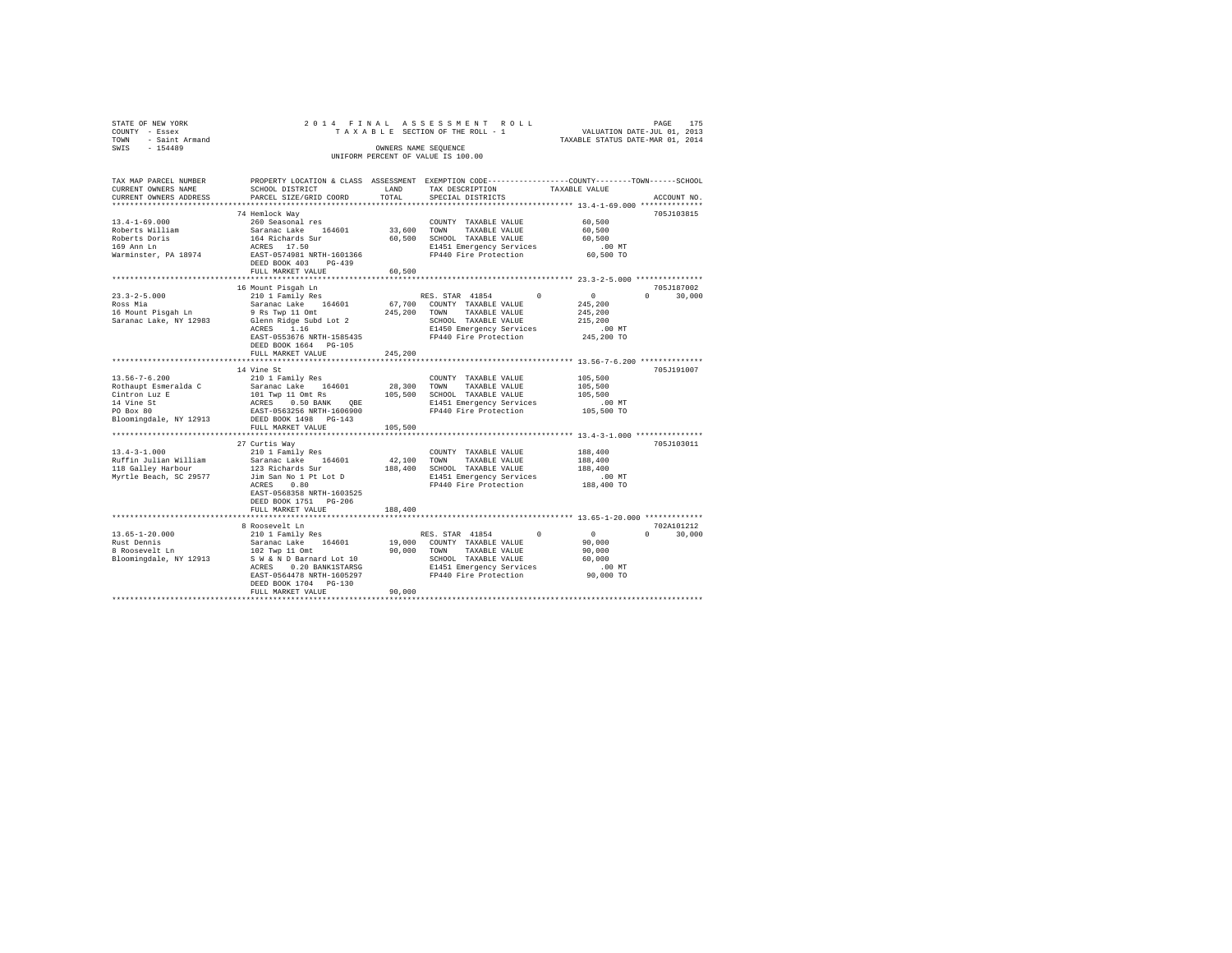| STATE OF NEW YORK   | 2014 FINAL ASSESSMENT ROLL         | 175<br>PAGE                      |
|---------------------|------------------------------------|----------------------------------|
| COUNTY - Essex      | TAXABLE SECTION OF THE ROLL - 1    | VALUATION DATE-JUL 01, 2013      |
| TOWN - Saint Armand |                                    | TAXABLE STATUS DATE-MAR 01, 2014 |
| SWIS<br>$-154489$   | OWNERS NAME SEOUENCE               |                                  |
|                     | UNIFORM PERCENT OF VALUE IS 100.00 |                                  |
|                     |                                    |                                  |
|                     |                                    |                                  |

| TAX MAP PARCEL NUMBER                                                                                                                                                                |                                           |                       | PROPERTY LOCATION & CLASS ASSESSMENT EXEMPTION CODE----------------COUNTY-------TOWN-----SCHOOL                                                                                                                                     |                                                            |
|--------------------------------------------------------------------------------------------------------------------------------------------------------------------------------------|-------------------------------------------|-----------------------|-------------------------------------------------------------------------------------------------------------------------------------------------------------------------------------------------------------------------------------|------------------------------------------------------------|
| CURRENT OWNERS NAME                                                                                                                                                                  | SCHOOL DISTRICT                           | LAND                  | TAX DESCRIPTION                                                                                                                                                                                                                     | TAXABLE VALUE                                              |
| CURRENT OWNERS ADDRESS                                                                                                                                                               | PARCEL SIZE/GRID COORD                    | TOTAL                 | SPECIAL DISTRICTS                                                                                                                                                                                                                   | ACCOUNT NO.                                                |
|                                                                                                                                                                                      |                                           |                       |                                                                                                                                                                                                                                     | *************** 13.4-1-69.000 ********                     |
|                                                                                                                                                                                      | 74 Hemlock Way                            |                       |                                                                                                                                                                                                                                     | 705J103815                                                 |
| $13.4 - 1 - 69.000$                                                                                                                                                                  | 260 Seasonal res                          |                       | COUNTY TAXABLE VALUE                                                                                                                                                                                                                | 60,500                                                     |
|                                                                                                                                                                                      |                                           | 33,600 TOWN           | TAXABLE VALUE                                                                                                                                                                                                                       | 60,500                                                     |
| Extra 1111am Saranac Lake 164601<br>Roberts Doris<br>169 Ann Ln 164 Richards Sur<br>169 Ann Ln<br>Narminster, PA 18974 ACRES 17.50<br>Narminster, PA 18974 BAST-0574981 NRTH-1601366 |                                           |                       | 60.500 SCHOOL TAXABLE VALUE                                                                                                                                                                                                         | 60,500                                                     |
|                                                                                                                                                                                      |                                           |                       |                                                                                                                                                                                                                                     |                                                            |
|                                                                                                                                                                                      |                                           |                       | E1451 Emergency Services .00 MT<br>FP440 Fire Protection .00 50,500 TO                                                                                                                                                              |                                                            |
|                                                                                                                                                                                      | DEED BOOK 403 PG-439                      |                       |                                                                                                                                                                                                                                     |                                                            |
|                                                                                                                                                                                      | FULL MARKET VALUE                         | 60,500                |                                                                                                                                                                                                                                     |                                                            |
|                                                                                                                                                                                      | **************************                | ********************* |                                                                                                                                                                                                                                     | ******************** 23.3-2-5.000 **************           |
|                                                                                                                                                                                      | 16 Mount Pisgah Ln                        |                       |                                                                                                                                                                                                                                     | 705J187002                                                 |
| $23.3 - 2 - 5.000$                                                                                                                                                                   | 210 1 Family Res                          |                       | RES. STAR 41854 0                                                                                                                                                                                                                   | $\sim$ 0<br>$\Omega$ and $\Omega$<br>30,000                |
|                                                                                                                                                                                      |                                           |                       |                                                                                                                                                                                                                                     |                                                            |
|                                                                                                                                                                                      |                                           |                       | 67,700 COUNTY TAXABLE VALUE<br>245,200 TOWN TAXABLE VALUE                                                                                                                                                                           | 245,200<br>245,200                                         |
|                                                                                                                                                                                      |                                           |                       |                                                                                                                                                                                                                                     |                                                            |
|                                                                                                                                                                                      |                                           |                       | SCHOOL TAXABLE VALUE<br>E1450 Emergency Services                                                                                                                                                                                    | 215,200<br>.00 MT                                          |
|                                                                                                                                                                                      |                                           |                       |                                                                                                                                                                                                                                     |                                                            |
|                                                                                                                                                                                      | EAST-0553676 NRTH-1585435                 |                       | FP440 Fire Protection                                                                                                                                                                                                               | 245,200 TO                                                 |
|                                                                                                                                                                                      | DEED BOOK 1664 PG-105                     |                       |                                                                                                                                                                                                                                     |                                                            |
|                                                                                                                                                                                      | FULL MARKET VALUE                         | 245,200               |                                                                                                                                                                                                                                     |                                                            |
|                                                                                                                                                                                      |                                           |                       |                                                                                                                                                                                                                                     | ***************************** 13.56-7-6.200 ************** |
|                                                                                                                                                                                      | 14 Vine St                                |                       |                                                                                                                                                                                                                                     | 705J191007                                                 |
| $13.56 - 7 - 6.200$                                                                                                                                                                  | 210 1 Family Res                          |                       | COUNTY TAXABLE VALUE                                                                                                                                                                                                                | $\bf 105$ , $\bf 500$                                      |
| Rothaupt Esmeralda C                                                                                                                                                                 |                                           |                       |                                                                                                                                                                                                                                     | 105,500                                                    |
| Cintron Luz E<br>14 Vine St<br>PO Box 80                                                                                                                                             |                                           |                       | Saranac Lake 164601 28,300 COWNI TAXABLE VALUE<br>101 Twp 11 Omt Rs<br>105,500 SCHOOL TAXABLE VALUE<br>20285 0.50 RANK QBE 2151 Emergency SCHOOL<br>2141 Emergency SEAST-0563256 NRTH-1606900 219440 Fire Protection                | 105,500<br>00 MT.<br>105,500 TO                            |
|                                                                                                                                                                                      |                                           |                       |                                                                                                                                                                                                                                     |                                                            |
|                                                                                                                                                                                      |                                           |                       | FP440 Fire Protection                                                                                                                                                                                                               |                                                            |
| Bloomingdale, NY 12913 DEED BOOK 1498 PG-143                                                                                                                                         |                                           |                       |                                                                                                                                                                                                                                     |                                                            |
|                                                                                                                                                                                      | FULL MARKET VALUE                         | 105,500               |                                                                                                                                                                                                                                     |                                                            |
|                                                                                                                                                                                      | ******************************            |                       |                                                                                                                                                                                                                                     |                                                            |
|                                                                                                                                                                                      | 27 Curtis Way                             |                       |                                                                                                                                                                                                                                     | 705J103011                                                 |
| $13.4 - 3 - 1.000$                                                                                                                                                                   |                                           |                       | COUNTY TAXABLE VALUE                                                                                                                                                                                                                | 188,400                                                    |
|                                                                                                                                                                                      | 210 1 Family Res<br>Saranac Lake 164601   |                       | 42,100 TOWN TAXABLE VALUE                                                                                                                                                                                                           |                                                            |
| Ruffin Julian William                                                                                                                                                                |                                           |                       |                                                                                                                                                                                                                                     | 188,400                                                    |
| 118 Galley Harbour                                                                                                                                                                   | 123 Richards Sur<br>Jim San No 1 Pt Lot D |                       | 188,400 SCHOOL TAXABLE VALUE 188,400<br>E1451 Emergency Services .00 MT                                                                                                                                                             |                                                            |
| Myrtle Beach, SC 29577                                                                                                                                                               |                                           |                       |                                                                                                                                                                                                                                     |                                                            |
|                                                                                                                                                                                      | ACRES 0.80                                |                       | FP440 Fire Protection                                                                                                                                                                                                               | 188,400 TO                                                 |
|                                                                                                                                                                                      | EAST-0568358 NRTH-1603525                 |                       |                                                                                                                                                                                                                                     |                                                            |
|                                                                                                                                                                                      | DEED BOOK 1751 PG-206                     |                       |                                                                                                                                                                                                                                     |                                                            |
|                                                                                                                                                                                      | FULL MARKET VALUE                         | 188,400               |                                                                                                                                                                                                                                     |                                                            |
|                                                                                                                                                                                      |                                           |                       |                                                                                                                                                                                                                                     |                                                            |
|                                                                                                                                                                                      | 8 Roosevelt Ln                            |                       |                                                                                                                                                                                                                                     | 702A101212                                                 |
| $13.65 - 1 - 20.000$                                                                                                                                                                 | $210$ 1 Family Res                        |                       | RES. STAR 41854 0                                                                                                                                                                                                                   | 30,000<br>$\mathbf{a}$                                     |
|                                                                                                                                                                                      |                                           |                       |                                                                                                                                                                                                                                     |                                                            |
|                                                                                                                                                                                      |                                           |                       | COUNTY TAXABLE VALUE 10.000<br>Rust Dennis 3 Saranac Lake 164601 19,000 COUNTY TAXABLE VALUE 90,000<br>8 Roosevelt Ln 102 TON 90,000 TONN TAXABLE VALUE 90,000<br>Bloomingdale, NY 12913 SW & D Barnard Lot 10 SCHOOL TAXABLE VALUE | $0\atop90,000$<br>90,000                                   |
|                                                                                                                                                                                      |                                           |                       |                                                                                                                                                                                                                                     |                                                            |
|                                                                                                                                                                                      |                                           |                       |                                                                                                                                                                                                                                     |                                                            |
|                                                                                                                                                                                      | EAST-0564478 NRTH-1605297                 |                       | FP440 Fire Protection                                                                                                                                                                                                               | 90,000 TO                                                  |
|                                                                                                                                                                                      | DEED BOOK 1704 PG-130                     |                       |                                                                                                                                                                                                                                     |                                                            |
|                                                                                                                                                                                      | FULL MARKET VALUE                         | 90,000                |                                                                                                                                                                                                                                     |                                                            |
|                                                                                                                                                                                      |                                           |                       |                                                                                                                                                                                                                                     |                                                            |
|                                                                                                                                                                                      |                                           |                       |                                                                                                                                                                                                                                     |                                                            |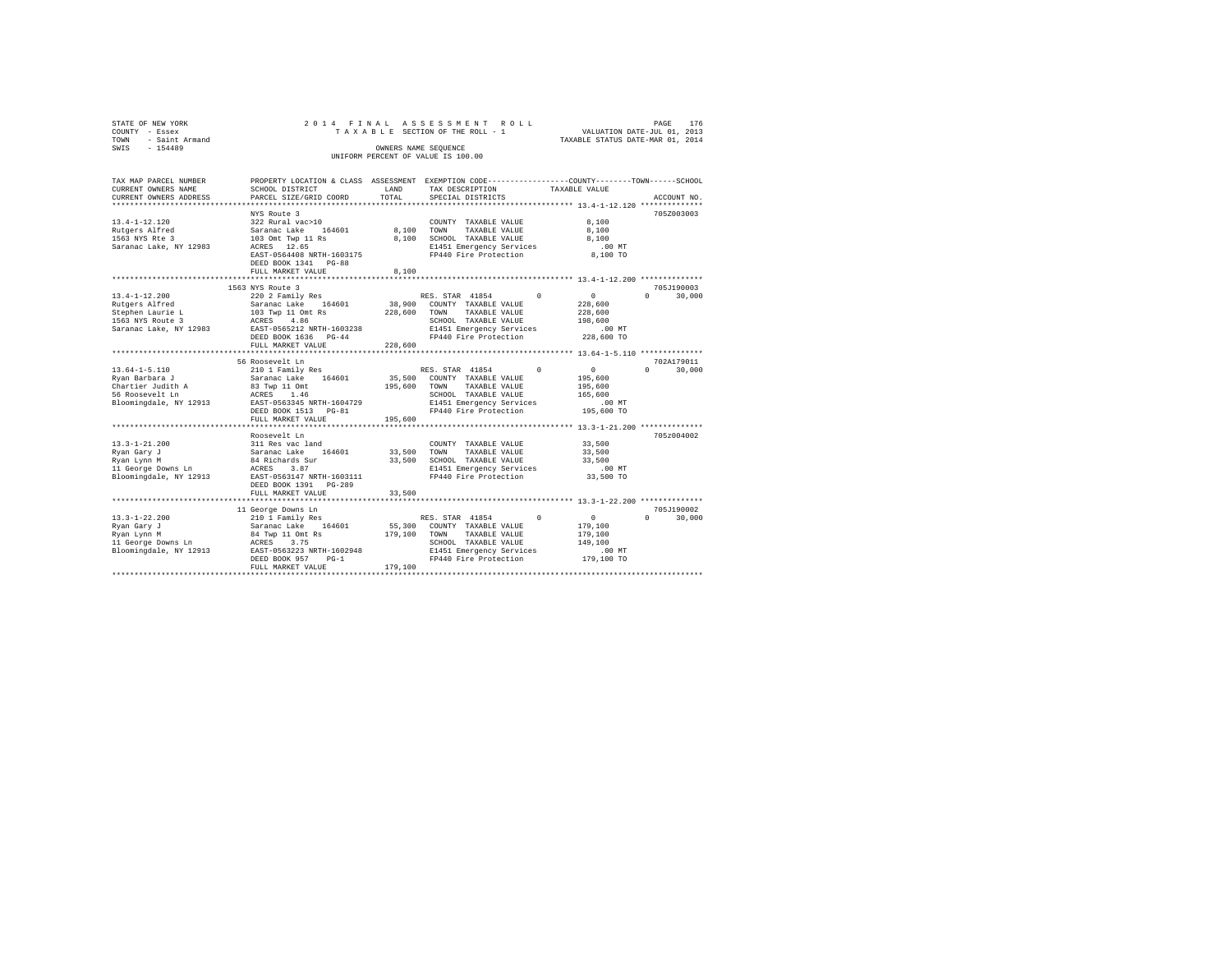| STATE OF NEW YORK   |  |  | 2014 FINAL ASSESSMENT ROLL         |  |                                  | PAGE | 176 |
|---------------------|--|--|------------------------------------|--|----------------------------------|------|-----|
| COUNTY - Essex      |  |  | TAXABLE SECTION OF THE ROLL - 1    |  | VALUATION DATE-JUL 01, 2013      |      |     |
| TOWN - Saint Armand |  |  |                                    |  | TAXABLE STATUS DATE-MAR 01, 2014 |      |     |
| SWTS<br>$-154489$   |  |  | OWNERS NAME SEOUENCE               |  |                                  |      |     |
|                     |  |  | UNIFORM PERCENT OF VALUE IS 100.00 |  |                                  |      |     |
|                     |  |  |                                    |  |                                  |      |     |

| TAX MAP PARCEL NUMBER                            |                                           |               | PROPERTY LOCATION & CLASS ASSESSMENT EXEMPTION CODE---------------COUNTY-------TOWN-----SCHOOL |                        |                                  |
|--------------------------------------------------|-------------------------------------------|---------------|------------------------------------------------------------------------------------------------|------------------------|----------------------------------|
| CURRENT OWNERS NAME<br>CURRENT OWNERS ADDRESS    | SCHOOL DISTRICT<br>PARCEL SIZE/GRID COORD | LAND<br>TOTAL | TAX DESCRIPTION<br>SPECIAL DISTRICTS                                                           | TAXABLE VALUE          | ACCOUNT NO.                      |
|                                                  |                                           |               |                                                                                                |                        |                                  |
|                                                  | NYS Route 3                               |               |                                                                                                |                        | 705Z003003                       |
| $13.4 - 1 - 12.120$                              | 322 Rural vac>10                          |               | COUNTY TAXABLE VALUE                                                                           | 8,100                  |                                  |
| Rutgers Alfred                                   | Saranac Lake 164601                       |               | 8.100 TOWN TAXABLE VALUE                                                                       | 8,100                  |                                  |
| 1563 NYS Rte 3                                   | 103 Omt Twp 11 Rs                         |               | 8,100 SCHOOL TAXABLE VALUE                                                                     | 8,100                  |                                  |
| Saranac Lake, NY 12983                           | ACRES 12.65                               |               | E1451 Emergency Services                                                                       | $.00$ MT               |                                  |
|                                                  | EAST-0564408 NRTH-1603175                 |               | FP440 Fire Protection                                                                          | 8,100 TO               |                                  |
|                                                  | DEED BOOK 1341 PG-88                      |               |                                                                                                |                        |                                  |
|                                                  | FULL MARKET VALUE                         | 8,100         |                                                                                                |                        |                                  |
|                                                  |                                           |               |                                                                                                |                        |                                  |
|                                                  | 1563 NYS Route 3                          |               |                                                                                                |                        | 705J190003                       |
| $13.4 - 1 - 12.200$                              | 220 2 Family Res                          |               | RES. STAR 41854                                                                                | $\sim$ 0<br>$^{\circ}$ | $\Omega$<br>30,000               |
| Rutgers Alfred                                   | Saranac Lake 164601                       |               | 38,900 COUNTY TAXABLE VALUE                                                                    | 228,600                |                                  |
| Stephen Laurie L                                 | 103 Twp 11 Omt Rs<br>ACRES 4.86           | 228,600 TOWN  | TAXABLE VALUE                                                                                  | 228,600                |                                  |
| 1563 NYS Route 3                                 |                                           |               | SCHOOL TAXABLE VALUE                                                                           | 198,600                |                                  |
| Saranac Lake, NY 12983 EAST-0565212 NRTH-1603238 |                                           |               | E1451 Emergency Services                                                                       | .00 MT                 |                                  |
|                                                  | DEED BOOK 1636 PG-44                      |               | FP440 Fire Protection                                                                          | 228,600 TO             |                                  |
|                                                  | FULL MARKET VALUE                         | 228,600       |                                                                                                |                        |                                  |
|                                                  |                                           |               |                                                                                                |                        |                                  |
| $13.64 - 1 - 5.110$                              | 56 Roosevelt Ln<br>210 1 Family Res       |               | $\Omega$<br>RES. STAR 41854                                                                    | $\sim$ 0               | 702A179011<br>$\Omega$<br>30,000 |
| Ryan Barbara J                                   | Saranac Lake 164601                       |               | 35,500 COUNTY TAXABLE VALUE                                                                    | 195,600                |                                  |
| Chartier Judith A                                | 83 Twp 11 Omt                             | 195,600 TOWN  | TAXABLE VALUE                                                                                  | 195,600                |                                  |
| 56 Roosevelt Ln                                  | ACRES 1.46                                |               | SCHOOL TAXABLE VALUE                                                                           | 165,600                |                                  |
| Bloomingdale, NY 12913                           | EAST-0563345 NRTH-1604729                 |               | E1451 Emergency Services                                                                       | $.00$ MT               |                                  |
|                                                  | DEED BOOK 1513 PG-81                      |               | FP440 Fire Protection                                                                          | 195,600 TO             |                                  |
|                                                  | FULL MARKET VALUE                         | 195,600       |                                                                                                |                        |                                  |
|                                                  |                                           |               |                                                                                                |                        |                                  |
|                                                  | Roosevelt Ln                              |               |                                                                                                |                        | 705z004002                       |
| $13.3 - 1 - 21.200$                              | 311 Res vac land                          |               | COUNTY TAXABLE VALUE                                                                           | 33,500                 |                                  |
| Rvan Garv J                                      |                                           | 33,500 TOWN   | TAXABLE VALUE                                                                                  | 33,500                 |                                  |
| Ryan Lynn M                                      | Saranac Lake 164601<br>84 Richards Sur    |               | 33,500 SCHOOL TAXABLE VALUE                                                                    | 33,500                 |                                  |
|                                                  |                                           |               | E1451 Emergency Services                                                                       | $.00$ MT               |                                  |
|                                                  |                                           |               | FP440 Fire Protection                                                                          | 33,500 TO              |                                  |
|                                                  | DEED BOOK 1391    PG-289                  |               |                                                                                                |                        |                                  |
|                                                  | FULL MARKET VALUE                         | 33,500        |                                                                                                |                        |                                  |
|                                                  |                                           |               |                                                                                                |                        |                                  |
|                                                  | 11 George Downs Ln                        |               |                                                                                                |                        | 705J190002                       |
| $13.3 - 1 - 22.200$                              | 210 1 Family Res                          |               | RES. STAR 41854<br>$\Omega$                                                                    | $\sim$ 0               | 30,000<br>$\Omega$               |
| Ryan Gary J                                      | Saranac Lake 164601                       |               | 55,300 COUNTY TAXABLE VALUE                                                                    | 179,100                |                                  |
| Ryan Lynn M                                      | 84 Twp 11 Omt Rs                          | 179,100 TOWN  | TAXABLE VALUE                                                                                  | 179,100                |                                  |
| 11 George Downs Ln                               | ACRES 3.75<br>EAST-0563223 NRTH-1602948   |               | SCHOOL TAXABLE VALUE                                                                           | 149,100<br>$.00$ MT    |                                  |
| Bloomingdale, NY 12913                           | DEED BOOK 957<br>$PG-1$                   |               | E1451 Emergency Services<br>FP440 Fire Protection 179,100 TO                                   |                        |                                  |
|                                                  | FULL MARKET VALUE                         | 179,100       |                                                                                                |                        |                                  |
|                                                  |                                           |               |                                                                                                |                        |                                  |
|                                                  |                                           |               |                                                                                                |                        |                                  |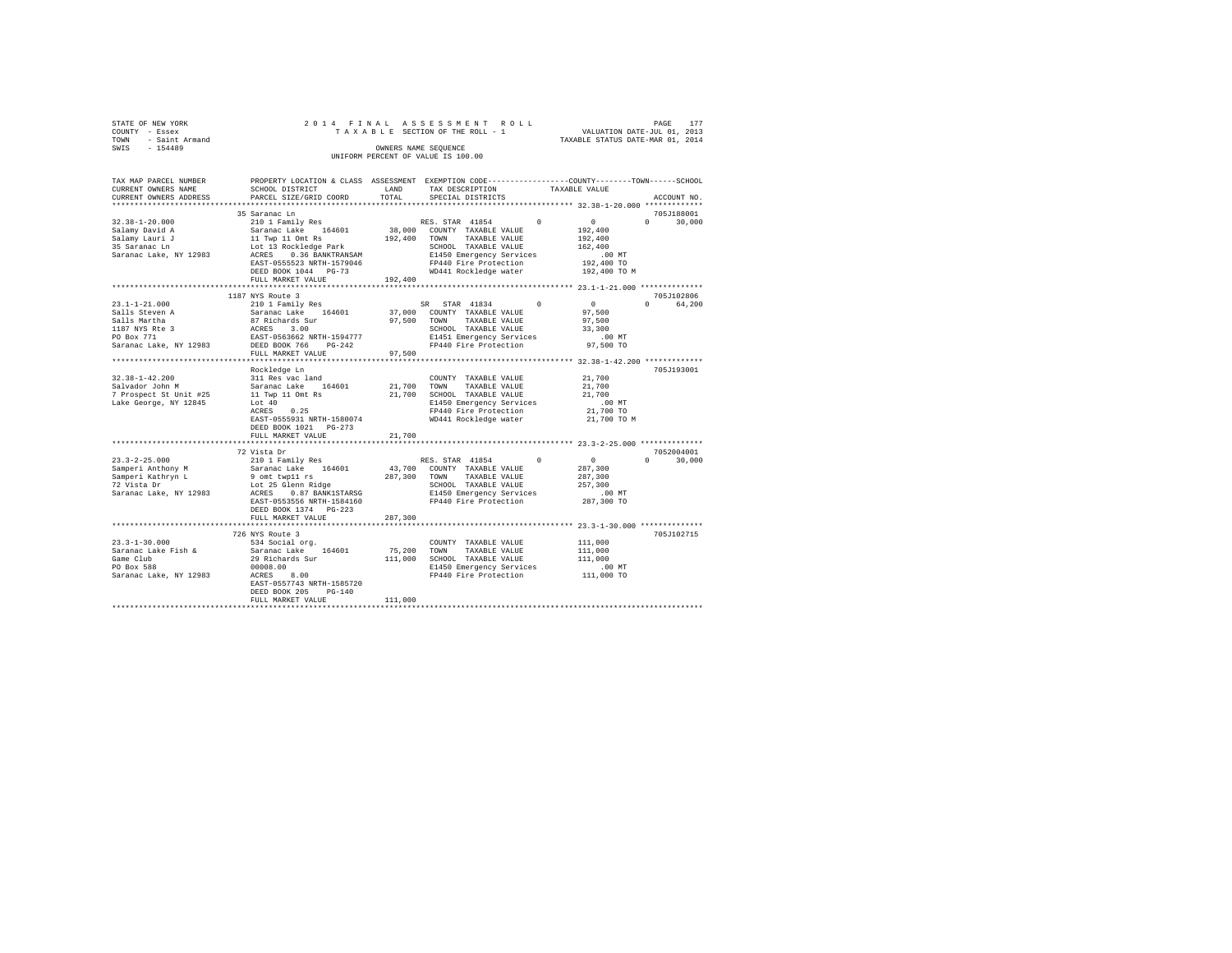|                | STATE OF NEW YORK   |  |  | 2014 FINAL ASSESSMENT ROLL         |                                  | PAGE | 177 |
|----------------|---------------------|--|--|------------------------------------|----------------------------------|------|-----|
| COUNTY - Essex |                     |  |  | TAXABLE SECTION OF THE ROLL - 1    | VALUATION DATE-JUL 01, 2013      |      |     |
|                | TOWN - Saint Armand |  |  |                                    | TAXABLE STATUS DATE-MAR 01, 2014 |      |     |
| SWIS           | $-154489$           |  |  | OWNERS NAME SEOUENCE               |                                  |      |     |
|                |                     |  |  | UNIFORM PERCENT OF VALUE IS 100.00 |                                  |      |     |
|                |                     |  |  |                                    |                                  |      |     |

| TAX MAP PARCEL NUMBER<br>CURRENT OWNERS NAME<br>CURRENT OWNERS ADDRESS<br>*************************                                         | PROPERTY LOCATION & CLASS ASSESSMENT EXEMPTION CODE----------------COUNTY-------TOWN------SCHOOL<br>SCHOOL DISTRICT<br>PARCEL SIZE/GRID COORD                                                                                       | T.AND<br>TOTAL          | TAX DESCRIPTION<br>SPECIAL DISTRICTS                                                                                                                                                                                         | TAXABLE VALUE |                                                                                   | ACCOUNT NO.                      |
|---------------------------------------------------------------------------------------------------------------------------------------------|-------------------------------------------------------------------------------------------------------------------------------------------------------------------------------------------------------------------------------------|-------------------------|------------------------------------------------------------------------------------------------------------------------------------------------------------------------------------------------------------------------------|---------------|-----------------------------------------------------------------------------------|----------------------------------|
| $32.38 - 1 - 20.000$<br>Salamy David A<br>Salamy Lauri J<br>35 Saranac Ln<br>Saranac Lake, NY 12983                                         | 35 Saranac Ln<br>210 1 Family Res<br>Saranac Lake 164601<br>11 Twp 11 Omt Rs<br>Lot 13 Rockledge Park<br>ACRES 0.36 BANKTRANSAM<br>EAST-0555523 NRTH-1579046<br>DEED BOOK 1044 PG-73<br>FULL MARKET VALUE                           | 192,400 TOWN<br>192,400 | RES. STAR 41854<br>38,000 COUNTY TAXABLE VALUE<br>TAXABLE VALUE<br>SCHOOL TAXABLE VALUE<br>E1450 Emergency Services<br>FP440 Fire Protection<br>WD441 Rockledge water                                                        | $\Omega$      | $\sim$ 0<br>192,400<br>192,400<br>162,400<br>.00 MT<br>192,400 TO<br>192,400 TO M | 705J188001<br>$\Omega$<br>30,000 |
| $23.1 - 1 - 21.000$<br>Salls Steven A<br>Salls Martha<br>1187 NYS Rte 3<br>PO Box 771<br>Saranac Lake, NY 12983<br>************************ | 1187 NYS Route 3<br>210 1 Family Res<br>Saranac Lake 164601<br>87 Richards Sur<br>ACRES 3.00<br>EAST-0563662 NRTH-1594777<br>DEED BOOK 766 PG-242<br>FULL MARKET VALUE<br>*********************                                     | 97.500<br>97,500        | STAR 41834<br>SR.<br>37,000 COUNTY TAXABLE VALUE<br>TOWN<br>TAXABLE VALUE<br>SCHOOL TAXABLE VALUE<br>E1451 Emergency Services<br>FP440 Fire Protection<br>************************************ 32.38-1-42.200 ************** | $\Omega$      | $\sim$ 0<br>97,500<br>97.500<br>33,300<br>$.00$ MT<br>97,500 TO                   | 705J102806<br>$\Omega$<br>64,200 |
| $32.38 - 1 - 42.200$<br>Salvador John M<br>7 Prospect St Unit #25<br>Lake George, NY 12845                                                  | Rockledge Ln<br>311 Res vac land<br>Saranac Lake<br>164601<br>11 Twp 11 Omt Rs<br>Lot $40$<br>0.25<br>ACRES<br>EAST-0555931 NRTH-1580074<br>DEED BOOK 1021 PG-273<br>FULL MARKET VALUE                                              | 21,700<br>21,700        | COUNTY TAXABLE VALUE<br>TOWN<br>TAXABLE VALUE<br>21,700 SCHOOL TAXABLE VALUE<br>E1450 Emergency Services<br>FP440 Fire Protection<br>WD441 Rockledge water                                                                   |               | 21,700<br>21,700<br>21,700<br>$.00$ MT<br>21,700 TO<br>21,700 TO M                | 705J193001                       |
| $23.3 - 2 - 25.000$<br>Samperi Anthony M<br>Samperi Kathryn L<br>72 Vista Dr<br>Saranac Lake, NY 12983                                      | *************************<br>72 Vista Dr<br>210 1 Family Res<br>Saranac Lake 164601<br>9 omt twp11 rs<br>Lot 25 Glenn Ridge<br>ACRES<br>0.87 BANK1STARSG<br>EAST-0553556 NRTH-1584160<br>DEED BOOK 1374 PG-223<br>FULL MARKET VALUE | 287,300<br>287,300      | RES. STAR 41854<br>43,700 COUNTY TAXABLE VALUE<br>TOWN TAXABLE VALUE<br>SCHOOL TAXABLE VALUE<br>E1450 Emergency Services<br>FP440 Fire Protection<br>************************************* 23.3-1-30.000 ***************     | $\Omega$      | $\sim$ 0<br>287,300<br>287,300<br>257,300<br>$.00$ MT<br>287,300 TO               | 7052004001<br>$\Omega$<br>30,000 |
| $23.3 - 1 - 30.000$<br>Saranac Lake Fish &<br>Game Club<br>PO Box 588<br>Saranac Lake, NY 12983                                             | 726 NYS Route 3<br>534 Social org.<br>Saranac Lake 164601<br>29 Richards Sur<br>00008.00<br>8.00<br>ACRES<br>EAST-0557743 NRTH-1585720<br>DEED BOOK 205<br>$PG-140$<br>FULL MARKET VALUE                                            | 75,200<br>111,000       | COUNTY TAXABLE VALUE<br>TOWN<br>TAXABLE VALUE<br>111,000 SCHOOL TAXABLE VALUE<br>E1450 Emergency Services<br>FP440 Fire Protection                                                                                           |               | 111,000<br>111,000<br>111,000<br>$.00$ MT<br>$111,000$ TO                         | 705J102715                       |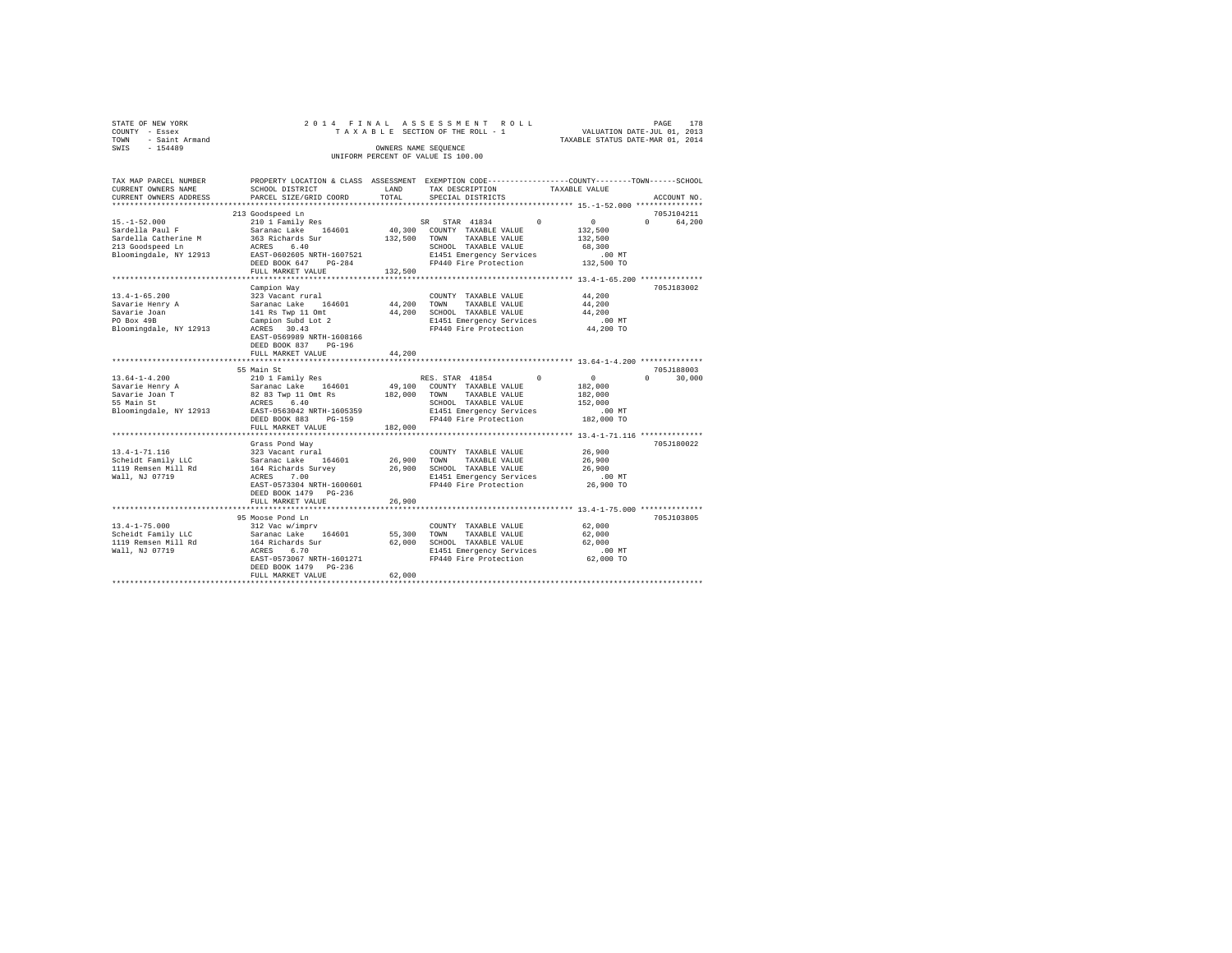| STATE OF NEW YORK   |  | 2014 FINAL ASSESSMENT ROLL         |                                  | PAGE | 178 |
|---------------------|--|------------------------------------|----------------------------------|------|-----|
| COUNTY - Essex      |  | TAXABLE SECTION OF THE ROLL - 1    | VALUATION DATE-JUL 01, 2013      |      |     |
| TOWN - Saint Armand |  |                                    | TAXABLE STATUS DATE-MAR 01, 2014 |      |     |
| SWTS<br>$-154489$   |  | OWNERS NAME SEOUENCE               |                                  |      |     |
|                     |  | UNIFORM PERCENT OF VALUE IS 100.00 |                                  |      |     |

| TAX MAP PARCEL NUMBER  |                                                     |                         | PROPERTY LOCATION & CLASS ASSESSMENT EXEMPTION CODE---------------COUNTY-------TOWN------SCHOOL |                                                       |                    |
|------------------------|-----------------------------------------------------|-------------------------|-------------------------------------------------------------------------------------------------|-------------------------------------------------------|--------------------|
| CURRENT OWNERS NAME    | SCHOOL DISTRICT                                     | LAND                    | TAX DESCRIPTION                                                                                 | TAXABLE VALUE                                         |                    |
| CURRENT OWNERS ADDRESS | PARCEL SIZE/GRID COORD                              | TOTAL                   | SPECIAL DISTRICTS                                                                               |                                                       | ACCOUNT NO.        |
|                        |                                                     |                         |                                                                                                 |                                                       |                    |
|                        | 213 Goodspeed Ln                                    |                         |                                                                                                 |                                                       | 705J104211         |
| $15. - 1 - 52.000$     | 210 1 Family Res                                    |                         | SR STAR 41834<br>$^{\circ}$                                                                     | $0 \qquad \qquad$                                     | $\Omega$<br>64,200 |
| Sardella Paul F        | Saranac Lake 164601                                 |                         | 40,300 COUNTY TAXABLE VALUE                                                                     | 132,500                                               |                    |
| Sardella Catherine M   | 363 Richards Sur                                    | 132,500                 | TAXABLE VALUE<br>TOWN                                                                           | 132,500                                               |                    |
| 213 Goodspeed Ln       | 6.40<br>ACRES                                       |                         | SCHOOL TAXABLE VALUE                                                                            | 68,300                                                |                    |
| Bloomingdale, NY 12913 | EAST-0602605 NRTH-1607521                           |                         | E1451 Emergency Services                                                                        | .00 MT                                                |                    |
|                        | DEED BOOK 647 PG-284                                |                         | FP440 Fire Protection                                                                           | 132,500 TO                                            |                    |
|                        | FULL MARKET VALUE                                   | 132,500                 |                                                                                                 |                                                       |                    |
|                        |                                                     |                         |                                                                                                 |                                                       |                    |
|                        | Campion Way                                         |                         |                                                                                                 |                                                       | 705J183002         |
| $13.4 - 1 - 65.200$    | 323 Vacant rural                                    |                         | COUNTY TAXABLE VALUE                                                                            | 44,200                                                |                    |
| Savarie Henry A        | 164601<br>Saranac Lake                              | 44,200                  | TOWN<br>TAXABLE VALUE                                                                           | 44,200                                                |                    |
| Savarie Joan           | 141 Rs Twp 11 Omt                                   | 44,200                  | SCHOOL TAXABLE VALUE                                                                            | 44,200                                                |                    |
| PO Box 49B             | Campion Subd Lot 2                                  |                         | E1451 Emergency Services                                                                        | $.00$ MT                                              |                    |
| Bloomingdale, NY 12913 | ACRES 30.43                                         |                         | FP440 Fire Protection                                                                           | 44,200 TO                                             |                    |
|                        | EAST-0569989 NRTH-1608166                           |                         |                                                                                                 |                                                       |                    |
|                        | DEED BOOK 837<br>$PG-196$                           |                         |                                                                                                 |                                                       |                    |
|                        | FULL MARKET VALUE<br>****************************** | 44,200                  |                                                                                                 |                                                       |                    |
|                        |                                                     |                         |                                                                                                 |                                                       |                    |
|                        | 55 Main St                                          |                         |                                                                                                 |                                                       | 705J188003         |
| $13.64 - 1 - 4.200$    | 210 1 Family Res                                    |                         | RES. STAR 41854 0                                                                               | $\sim$ 0                                              | $\Omega$<br>30,000 |
| Savarie Henry A        | Saranac Lake 164601<br>82 83 Twp 11 Omt Rs          |                         | 49,100 COUNTY TAXABLE VALUE                                                                     | 182,000                                               |                    |
| Savarie Joan T         |                                                     | 182,000                 | TAXABLE VALUE<br>TOWN                                                                           | 182,000                                               |                    |
| 55 Main St             | ACRES 6.40<br>EAST-0563042 NRTH-1605359             |                         | SCHOOL TAXABLE VALUE                                                                            | 152,000<br>$.00$ MT                                   |                    |
| Bloomingdale, NY 12913 |                                                     |                         | E1451 Emergency Services                                                                        |                                                       |                    |
|                        | DEED BOOK 883<br>PG-159                             |                         | FP440 Fire Protection                                                                           | 182,000 TO                                            |                    |
|                        | FULL MARKET VALUE<br>***********************        | 182,000<br>************ |                                                                                                 | *********************** 13.4-1-71.116 *************** |                    |
|                        |                                                     |                         |                                                                                                 |                                                       | 705J180022         |
| $13.4 - 1 - 71.116$    | Grass Pond Way<br>323 Vacant rural                  |                         | COUNTY TAXABLE VALUE                                                                            | 26,900                                                |                    |
| Scheidt Family LLC     | Saranac Lake 164601                                 | 26,900                  | TOWN<br>TAXABLE VALUE                                                                           | 26,900                                                |                    |
| 1119 Remsen Mill Rd    |                                                     | 26,900                  | SCHOOL TAXABLE VALUE                                                                            | 26,900                                                |                    |
| Wall, NJ 07719         | 164 Richards Survey<br>7.00<br>ACRES                |                         | E1451 Emergency Services                                                                        | $.00$ MT                                              |                    |
|                        | EAST-0573304 NRTH-1600601                           |                         | FP440 Fire Protection                                                                           | 26,900 TO                                             |                    |
|                        | DEED BOOK 1479 PG-236                               |                         |                                                                                                 |                                                       |                    |
|                        | FULL MARKET VALUE                                   | 26,900                  |                                                                                                 |                                                       |                    |
|                        |                                                     |                         |                                                                                                 |                                                       |                    |
|                        | 95 Moose Pond Ln                                    |                         |                                                                                                 |                                                       | 705J103805         |
| $13.4 - 1 - 75.000$    | 312 Vac w/imprv                                     |                         | COUNTY TAXABLE VALUE                                                                            | 62,000                                                |                    |
| Scheidt Family LLC     |                                                     | 55,300                  | TOWN<br>TAXABLE VALUE                                                                           | 62,000                                                |                    |
| 1119 Remsen Mill Rd    | Saranac Lake 164601<br>164 Richards Sur             | 62,000                  | SCHOOL TAXABLE VALUE                                                                            | 62,000                                                |                    |
| Wall, NJ 07719         | ACRES<br>6.70                                       |                         | E1451 Emergency Services                                                                        | $.00$ MT                                              |                    |
|                        | EAST-0573067 NRTH-1601271                           |                         | FP440 Fire Protection                                                                           | 62,000 TO                                             |                    |
|                        | DEED BOOK 1479 PG-236                               |                         |                                                                                                 |                                                       |                    |
|                        | FULL MARKET VALUE                                   | 62,000                  |                                                                                                 |                                                       |                    |
|                        |                                                     |                         |                                                                                                 |                                                       |                    |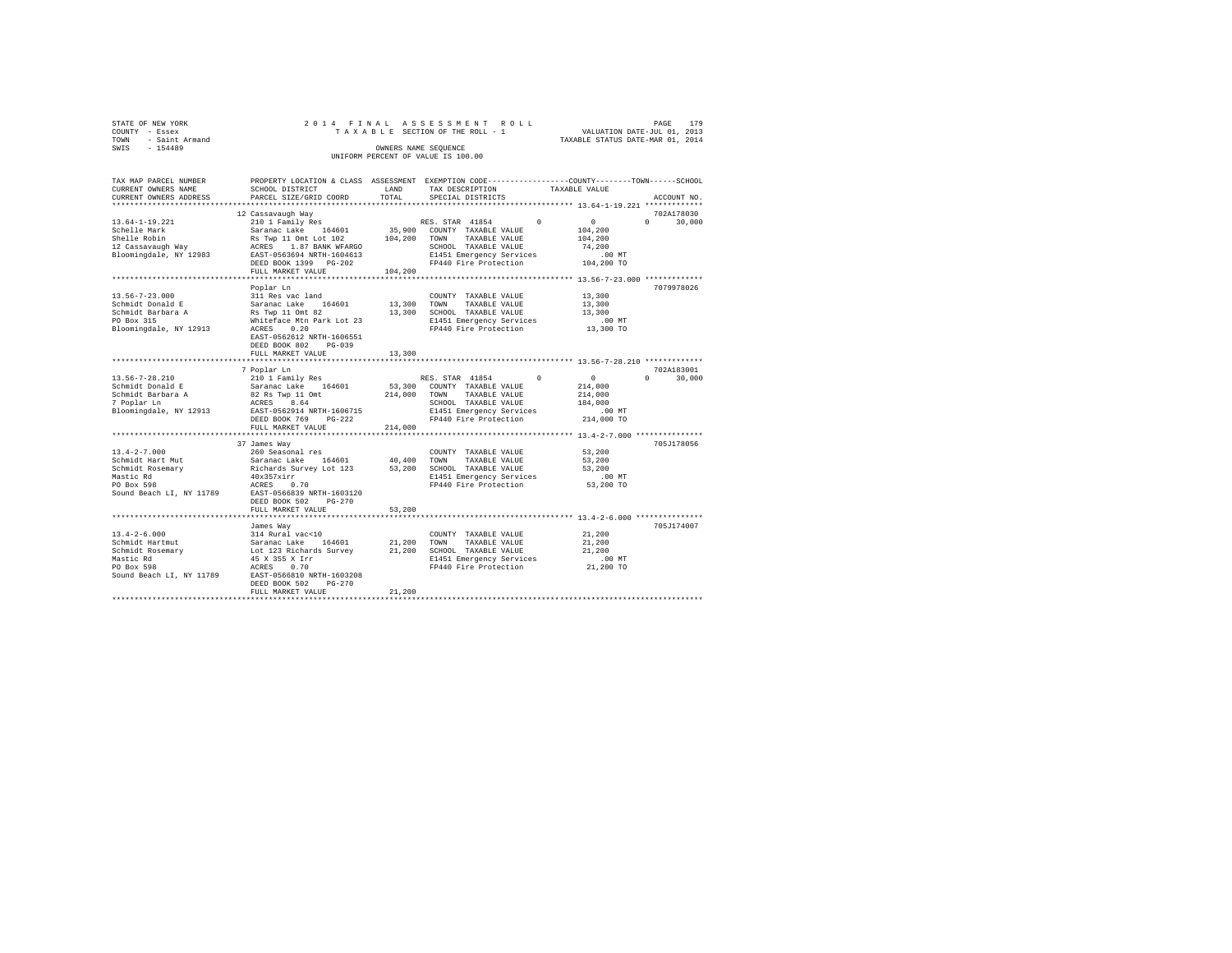| STATE OF NEW YORK      | 2014 FINAL ASSESSMENT ROLL         | 179<br>PAGE                      |
|------------------------|------------------------------------|----------------------------------|
| COUNTY - Essex         | TAXABLE SECTION OF THE ROLL - 1    | VALUATION DATE-JUL 01, 2013      |
| - Saint Armand<br>TOWN |                                    | TAXABLE STATUS DATE-MAR 01, 2014 |
| $-154489$<br>SWIS      | OWNERS NAME SEOUENCE               |                                  |
|                        | UNIFORM PERCENT OF VALUE IS 100.00 |                                  |

| TAX MAP PARCEL NUMBER<br>CURRENT OWNERS NAME<br>CURRENT OWNERS ADDRESS | PROPERTY LOCATION & CLASS ASSESSMENT EXEMPTION CODE----------------COUNTY-------TOWN-----SCHOOL<br>SCHOOL DISTRICT<br>PARCEL SIZE/GRID COORD | LAND<br>TOTAL | TAX DESCRIPTION<br>SPECIAL DISTRICTS | TAXABLE VALUE | ACCOUNT NO.        |
|------------------------------------------------------------------------|----------------------------------------------------------------------------------------------------------------------------------------------|---------------|--------------------------------------|---------------|--------------------|
|                                                                        |                                                                                                                                              |               |                                      |               |                    |
|                                                                        | 12 Cassavaugh Way                                                                                                                            |               |                                      |               | 702A178030         |
| $13.64 - 1 - 19.221$                                                   | 210 1 Family Res                                                                                                                             |               | RES. STAR 41854<br>$\Omega$          | 0             | $\Omega$<br>30,000 |
| Schelle Mark                                                           | Saranac Lake 164601                                                                                                                          | 35,900        | COUNTY TAXABLE VALUE                 | 104,200       |                    |
| Shelle Robin                                                           | Rs Two 11 Omt Lot 102                                                                                                                        | 104,200       | TOWN<br>TAXABLE VALUE                | 104,200       |                    |
| 12 Cassavaugh Way                                                      | 1.87 BANK WFARGO<br>ACRES                                                                                                                    |               | SCHOOL TAXABLE VALUE                 | 74,200        |                    |
| Bloomingdale, NY 12983                                                 | EAST-0563694 NRTH-1604613                                                                                                                    |               | E1451 Emergency Services             | $.00$ MT      |                    |
|                                                                        | DEED BOOK 1399 PG-202                                                                                                                        |               | FP440 Fire Protection                | 104,200 TO    |                    |
|                                                                        | FULL MARKET VALUE                                                                                                                            | 104,200       |                                      |               |                    |
|                                                                        | Poplar Ln                                                                                                                                    |               |                                      |               | 7079978026         |
| $13.56 - 7 - 23.000$                                                   | 311 Res vac land                                                                                                                             |               | COUNTY TAXABLE VALUE                 | 13,300        |                    |
| Schmidt Donald E                                                       | Saranac Lake<br>164601                                                                                                                       | 13,300        | TAXABLE VALUE<br>TOWN                | 13,300        |                    |
| Schmidt Barbara A                                                      | Rs Twp 11 Omt 82                                                                                                                             | 13,300        | SCHOOL TAXABLE VALUE                 | 13,300        |                    |
| PO Box 315                                                             | Whiteface Mtn Park Lot 23                                                                                                                    |               | E1451 Emergency Services             | $.00$ MT      |                    |
| Bloomingdale, NY 12913                                                 | 0.20<br>ACRES                                                                                                                                |               | FP440 Fire Protection                | 13,300 TO     |                    |
|                                                                        | EAST-0562612 NRTH-1606551                                                                                                                    |               |                                      |               |                    |
|                                                                        | DEED BOOK 802<br>$PG-039$                                                                                                                    |               |                                      |               |                    |
|                                                                        | FULL MARKET VALUE                                                                                                                            | 13,300        |                                      |               |                    |
|                                                                        |                                                                                                                                              |               |                                      |               |                    |
|                                                                        | 7 Poplar Ln                                                                                                                                  |               |                                      |               | 702A183001         |
| 13.56-7-28.210                                                         | 210 1 Family Res                                                                                                                             |               | $\Omega$<br>RES. STAR 41854          | $\circ$       | $\Omega$<br>30,000 |
| Schmidt Donald E                                                       | Saranac Lake 164601                                                                                                                          | 53,300        | COUNTY TAXABLE VALUE                 | 214,000       |                    |
| Schmidt Barbara A                                                      | 82 Rs Twp 11 Omt                                                                                                                             | 214,000       | TOWN<br>TAXABLE VALUE                | 214,000       |                    |
| 7 Poplar Ln                                                            | <b>ACRES</b><br>8.64                                                                                                                         |               | SCHOOL TAXABLE VALUE                 | 184,000       |                    |
| Bloomingdale, NY 12913                                                 | EAST-0562914 NRTH-1606715                                                                                                                    |               | E1451 Emergency Services             | .00MT         |                    |
|                                                                        | DEED BOOK 769<br>$PG-222$                                                                                                                    |               | FP440 Fire Protection                | 214,000 TO    |                    |
|                                                                        | FULL MARKET VALUE<br>***********************                                                                                                 | 214,000       |                                      |               |                    |
|                                                                        | 37 James Way                                                                                                                                 |               |                                      |               | 705J178056         |
| $13.4 - 2 - 7.000$                                                     | 260 Seasonal res                                                                                                                             |               | COUNTY TAXABLE VALUE                 | 53,200        |                    |
| Schmidt Hart Mut                                                       | Saranac Lake 164601                                                                                                                          | 40,400        | TOWN<br>TAXABLE VALUE                | 53,200        |                    |
| Schmidt Rosemary                                                       | Richards Survey Lot 123                                                                                                                      | 53,200        | SCHOOL TAXABLE VALUE                 | 53,200        |                    |
| Mastic Rd                                                              | 40x357xirr                                                                                                                                   |               | E1451 Emergency Services             | .00 MT        |                    |
| PO Box 598                                                             | ACRES<br>0.70                                                                                                                                |               | FP440 Fire Protection                | 53,200 TO     |                    |
| Sound Beach LI, NY 11789                                               | EAST-0566839 NRTH-1603120                                                                                                                    |               |                                      |               |                    |
|                                                                        | DEED BOOK 502<br>$PG-270$                                                                                                                    |               |                                      |               |                    |
|                                                                        | FULL MARKET VALUE                                                                                                                            | 53,200        |                                      |               |                    |
|                                                                        |                                                                                                                                              |               |                                      |               |                    |
|                                                                        | James Way                                                                                                                                    |               |                                      |               | 705J174007         |
| $13.4 - 2 - 6.000$                                                     | 314 Rural vac<10                                                                                                                             |               | COUNTY TAXABLE VALUE                 | 21,200        |                    |
| Schmidt Hartmut                                                        |                                                                                                                                              | 21,200        | TOWN<br>TAXABLE VALUE                | 21,200        |                    |
| Schmidt Rosemary                                                       | Saranac Lake 164601<br>Lot 123 Richards Survey                                                                                               | 21,200        | SCHOOL TAXABLE VALUE                 | 21,200        |                    |
| Mastic Rd                                                              | 45 X 355 X Irr                                                                                                                               |               | E1451 Emergency Services             | .00 MT        |                    |
| PO Box 598                                                             | 0.70<br>ACRES                                                                                                                                |               | FP440 Fire Protection                | 21,200 TO     |                    |
| Sound Beach LI, NY 11789                                               | EAST-0566810 NRTH-1603208                                                                                                                    |               |                                      |               |                    |
|                                                                        | DEED BOOK 502<br>$PG-270$<br>FULL MARKET VALUE                                                                                               | 21,200        |                                      |               |                    |
|                                                                        |                                                                                                                                              |               |                                      |               |                    |
|                                                                        |                                                                                                                                              |               |                                      |               |                    |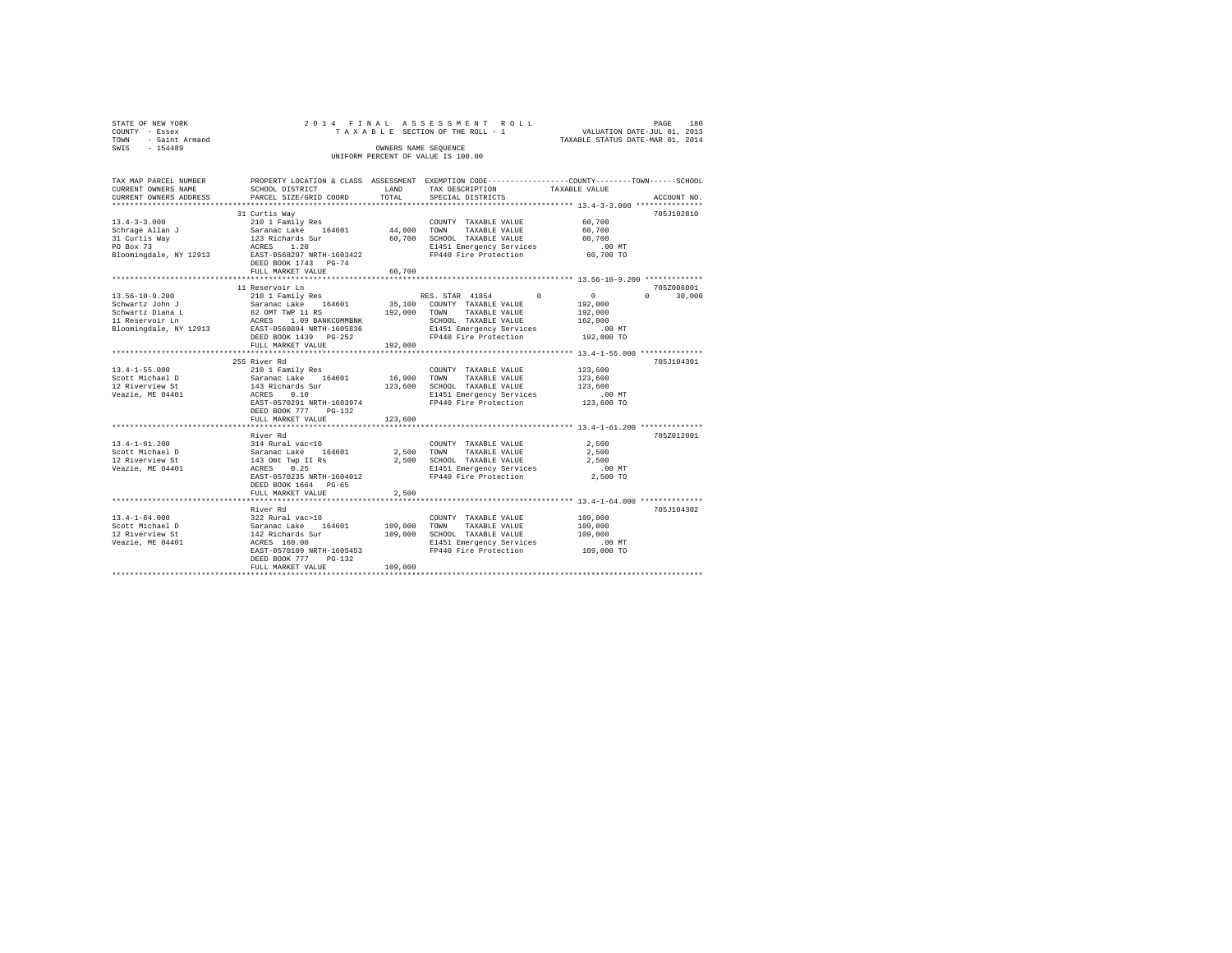| STATE OF NEW YORK<br>COUNTY - Essex<br>- Saint Armand<br>TOWN<br>SWIS<br>$-154489$ |                                    | OWNERS NAME SEOUENCE | 2014 FINAL ASSESSMENT ROLL<br>TAXABLE SECTION OF THE ROLL - 1<br>UNIFORM PERCENT OF VALUE IS 100.00 | VALUATION DATE-JUL 01, 2013<br>TAXABLE STATUS DATE-MAR 01, 2014 | PAGE | 180 |
|------------------------------------------------------------------------------------|------------------------------------|----------------------|-----------------------------------------------------------------------------------------------------|-----------------------------------------------------------------|------|-----|
| TAV MAD DAD/UT MIIMOUD                                                             | DEADERW LACATION & CLASS ACCECMENT |                      | PYPMDTION CODP----------------COUNTY--------TOWN------CCUOOT                                        |                                                                 |      |     |

| IAA MAF FARULU NUMBER  |                                                                                                                                  |              | EMORERII POCWITOM & CRWOO WOODOOMEMI EVEWEITOM CORE------------------COOMII--------IOMM------OCHOOR |               |             |
|------------------------|----------------------------------------------------------------------------------------------------------------------------------|--------------|-----------------------------------------------------------------------------------------------------|---------------|-------------|
| CURRENT OWNERS NAME    | SCHOOL DISTRICT                                                                                                                  | LAND         | TAX DESCRIPTION                                                                                     | TAXABLE VALUE |             |
| CURRENT OWNERS ADDRESS | PARCEL SIZE/GRID COORD TOTAL                                                                                                     |              | SPECIAL DISTRICTS                                                                                   |               | ACCOUNT NO. |
|                        |                                                                                                                                  |              |                                                                                                     |               |             |
|                        | 31 Curtis Way                                                                                                                    |              |                                                                                                     |               | 705J102810  |
| $13.4 - 3 - 3.000$     | 210 1 Family Res                                                                                                                 |              | COUNTY TAXABLE VALUE                                                                                | 60,700        |             |
| Schrage Allan J        |                                                                                                                                  |              | TAXABLE VALUE                                                                                       | 60.700        |             |
| 31 Curtis Way          |                                                                                                                                  |              | 60,700 SCHOOL TAXABLE VALUE                                                                         | 60,700        |             |
| PO Box 73              |                                                                                                                                  |              | E1451 Emergency Services .00 MT                                                                     |               |             |
| Bloomingdale, NY 12913 | Saranac Lake 164601 44,000 TOWN<br>123 Richards Sur 60,700 SCHORE<br>ACRES 1.20 60,700 ELI451<br>EAST-0568297 NRTH-1603422 FP440 |              | FP440 Fire Protection                                                                               | 60,700 TO     |             |
|                        | DEED BOOK 1743 PG-74                                                                                                             |              |                                                                                                     |               |             |
|                        | FULL MARKET VALUE                                                                                                                | 60,700       |                                                                                                     |               |             |
|                        |                                                                                                                                  |              |                                                                                                     |               |             |
|                        | 11 Reservoir Ln                                                                                                                  |              |                                                                                                     |               | 705Z006001  |
| $13.56 - 10 - 9.200$   |                                                                                                                                  |              |                                                                                                     | $\circ$       | $\Omega$    |
|                        | 210 1 Family Res                                                                                                                 |              | RES. STAR 41854 0                                                                                   |               | 30,000      |
| Schwartz John J        | Saranac Lake 164601<br>82 OMT TWP 11 RS                                                                                          |              | 35,100 COUNTY TAXABLE VALUE                                                                         | 192,000       |             |
| Schwartz Diana L       |                                                                                                                                  | 192,000 TOWN | TAXABLE VALUE                                                                                       | 192,000       |             |
| 11 Reservoir Ln        | ACRES 1.09 BANKCOMMBNK<br>12913 EAST-0560894 NRTH-1605836<br>$1.09$ BANKCOMMBNK                                                  |              | SCHOOL TAXABLE VALUE                                                                                | 162,000       |             |
| Bloomingdale, NY 12913 |                                                                                                                                  |              | E1451 Emergency Services .00 MT<br>FP440 Fire Protection  192,000 TO                                |               |             |
|                        | DEED BOOK 1439 PG-252                                                                                                            |              |                                                                                                     |               |             |
|                        | FULL MARKET VALUE                                                                                                                | 192,000      |                                                                                                     |               |             |
|                        |                                                                                                                                  |              |                                                                                                     |               |             |
|                        | 255 River Rd                                                                                                                     |              |                                                                                                     |               | 705J104301  |
| $13.4 - 1 - 55.000$    | 210 1 Family Res                                                                                                                 |              | COUNTY TAXABLE VALUE                                                                                | 123,600       |             |
| Scott Michael D        |                                                                                                                                  | 16,900 TOWN  | TAXABLE VALUE                                                                                       | 123,600       |             |
| 12 Riverview St        | Saranac Lake 164601<br>143 Richards Sur                                                                                          |              | 123,600 SCHOOL TAXABLE VALUE                                                                        | 123,600       |             |
| Veazie, ME 04401       | ACRES<br>0.10                                                                                                                    |              |                                                                                                     |               |             |
|                        | EAST-0570291 NRTH-1603974                                                                                                        |              | E1451 Emergency Services .00 MT<br>FP440 Fire Protection  123,600 TO<br>FP440 Fire Protection       |               |             |
|                        | DEED BOOK 777 PG-132                                                                                                             |              |                                                                                                     |               |             |
|                        |                                                                                                                                  |              |                                                                                                     |               |             |
|                        | FULL MARKET VALUE                                                                                                                | 123,600      |                                                                                                     |               |             |
|                        |                                                                                                                                  |              |                                                                                                     |               |             |
|                        | River Rd                                                                                                                         |              |                                                                                                     |               | 705Z012001  |
| $13.4 - 1 - 61.200$    |                                                                                                                                  |              | COUNTY TAXABLE VALUE                                                                                | 2.500         |             |
| Scott Michael D        | 314 Rural vac<10<br>Saranac Lake 164601<br>143 Omt Twp II Rs                                                                     | 2,500 TOWN   | TAXABLE VALUE                                                                                       | 2,500         |             |
| 12 Riverview St        |                                                                                                                                  |              | 2,500 SCHOOL TAXABLE VALUE                                                                          | 2,500         |             |
| Veazie, ME 04401       | ACRES 0.25                                                                                                                       |              | E1451 Emergency Services                                                                            | .00MT         |             |
|                        | EAST-0570235 NRTH-1604012                                                                                                        |              | FP440 Fire Protection                                                                               | 2,500 TO      |             |
|                        | DEED BOOK 1664 PG-65                                                                                                             |              |                                                                                                     |               |             |
|                        | FULL MARKET VALUE                                                                                                                | 2,500        |                                                                                                     |               |             |
|                        |                                                                                                                                  |              | ********************************** 13.4-1-64.000 ***************                                    |               |             |
|                        | River Rd                                                                                                                         |              |                                                                                                     |               | 705J104302  |
| $13.4 - 1 - 64.000$    |                                                                                                                                  |              | COUNTY TAXABLE VALUE                                                                                | 109,000       |             |
| Scott Michael D        | 322 Rural vac>10<br>Saranac Lake 164601<br>142 Richards Sur                                                                      | 109,000 TOWN | TAXABLE VALUE                                                                                       | 109,000       |             |
| 12 Riverview St        |                                                                                                                                  | 109,000      | SCHOOL TAXABLE VALUE                                                                                | 109,000       |             |
| Veazie, ME 04401       | ACRES 160.00                                                                                                                     |              |                                                                                                     | $.00$ MT      |             |
|                        | EAST-0570109 NRTH-1605453                                                                                                        |              | E1451 Emergency Services<br>FP440 Fire Protection                                                   | 109,000 TO    |             |
|                        |                                                                                                                                  |              |                                                                                                     |               |             |
|                        | $PG-132$<br>DEED BOOK 777                                                                                                        |              |                                                                                                     |               |             |
|                        | FULL MARKET VALUE                                                                                                                | 109,000      |                                                                                                     |               |             |
|                        |                                                                                                                                  |              |                                                                                                     |               |             |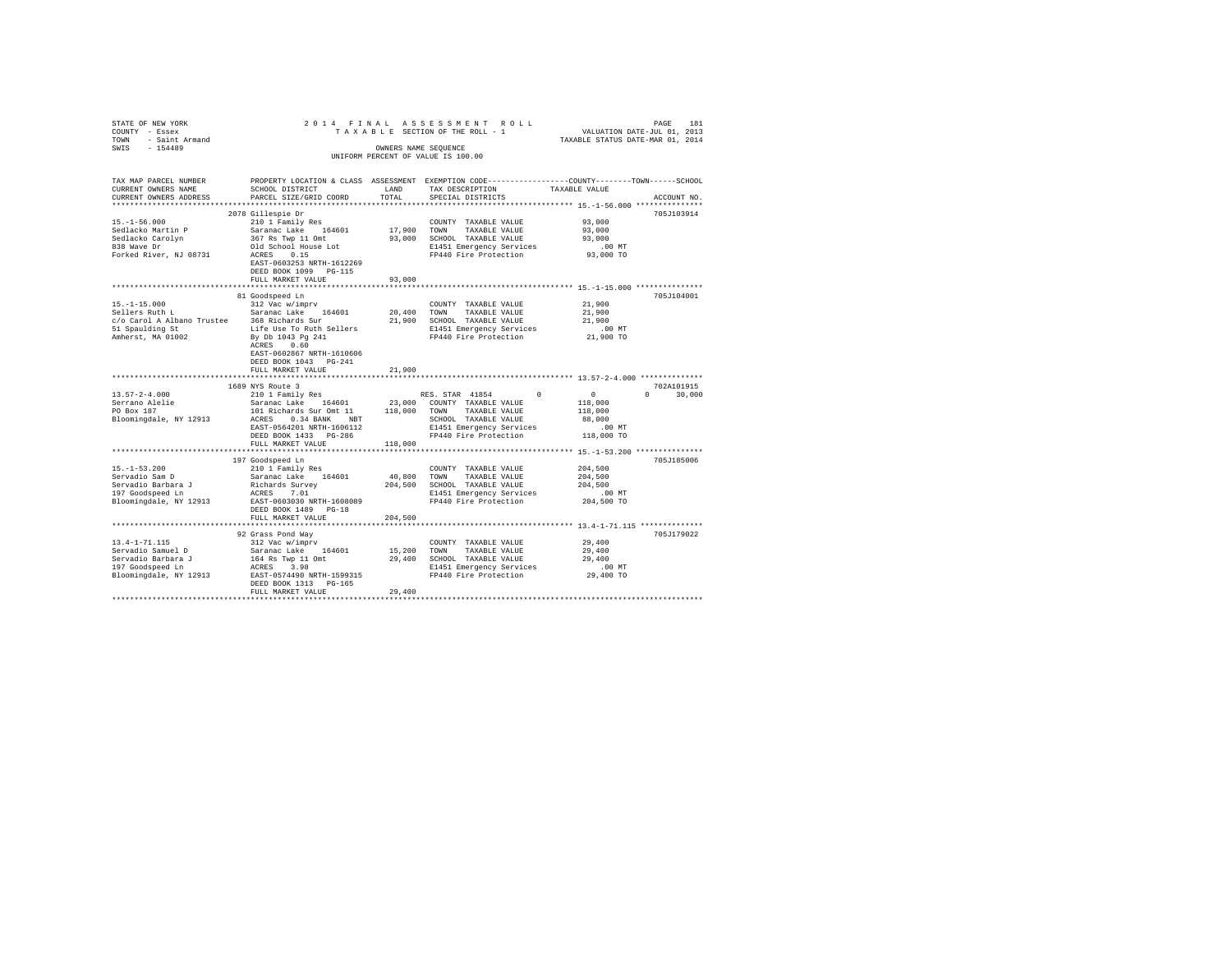| STATE OF NEW YORK                                                                                                                                                                                                                                                                                                                    | 2014 FINAL                                                                                 |         | RAS S E S S M E N T ROLL FAGE 181<br>SECTION OF THE ROLL - 1 VALUATION DATE-JUL 01, 2013<br>TAXABLE STATUS DATE-MAR 01, 2014 |                     |               |  |  |
|--------------------------------------------------------------------------------------------------------------------------------------------------------------------------------------------------------------------------------------------------------------------------------------------------------------------------------------|--------------------------------------------------------------------------------------------|---------|------------------------------------------------------------------------------------------------------------------------------|---------------------|---------------|--|--|
| COUNTY - Essex                                                                                                                                                                                                                                                                                                                       |                                                                                            |         | TAXABLE SECTION OF THE ROLL - 1                                                                                              |                     |               |  |  |
| TOWN - Saint Armand                                                                                                                                                                                                                                                                                                                  |                                                                                            |         |                                                                                                                              |                     |               |  |  |
| SWIS - 154489                                                                                                                                                                                                                                                                                                                        | OWNERS NAME SEQUENCE                                                                       |         |                                                                                                                              |                     |               |  |  |
|                                                                                                                                                                                                                                                                                                                                      |                                                                                            |         | UNIFORM PERCENT OF VALUE IS 100.00                                                                                           |                     |               |  |  |
|                                                                                                                                                                                                                                                                                                                                      |                                                                                            |         |                                                                                                                              |                     |               |  |  |
|                                                                                                                                                                                                                                                                                                                                      |                                                                                            |         |                                                                                                                              |                     |               |  |  |
| TAX MAP PARCEL NUMBER                                                                                                                                                                                                                                                                                                                |                                                                                            |         | PROPERTY LOCATION & CLASS ASSESSMENT EXEMPTION CODE---------------COUNTY-------TOWN-----SCHOOL                               |                     |               |  |  |
| CURRENT OWNERS NAME                                                                                                                                                                                                                                                                                                                  | SCHOOL DISTRICT                                                                            | LAND    | TAX DESCRIPTION                                                                                                              | TAXABLE VALUE       |               |  |  |
| CURRENT OWNERS ADDRESS                                                                                                                                                                                                                                                                                                               | PARCEL SIZE/GRID COORD                                                                     | TOTAL   | SPECIAL DISTRICTS                                                                                                            |                     | ACCOUNT NO.   |  |  |
|                                                                                                                                                                                                                                                                                                                                      |                                                                                            |         |                                                                                                                              |                     |               |  |  |
|                                                                                                                                                                                                                                                                                                                                      | 2078 Gillespie Dr                                                                          |         |                                                                                                                              |                     | 705J103914    |  |  |
| $15. - 1 - 56.000$                                                                                                                                                                                                                                                                                                                   | 210 1 Family Res                                                                           |         | COUNTY TAXABLE VALUE                                                                                                         | 93,000              |               |  |  |
| Sedlacko Martin P                                                                                                                                                                                                                                                                                                                    |                                                                                            |         | 17,900 TOWN TAXABLE VALUE                                                                                                    | 93,000              |               |  |  |
|                                                                                                                                                                                                                                                                                                                                      | Saranac Lake 164601<br>367 Rs Twp 11 Omt                                                   |         | 93,000 SCHOOL TAXABLE VALUE                                                                                                  | 93,000              |               |  |  |
| Sedlacko Carolyn<br>838 Wave Dr                                                                                                                                                                                                                                                                                                      |                                                                                            |         | E1451 Emergency Services                                                                                                     | .00MT               |               |  |  |
| Forked River, NJ 08731                                                                                                                                                                                                                                                                                                               | Old School House Lot<br>ACRES 0.15                                                         |         | FP440 Fire Protection                                                                                                        | 93,000 TO           |               |  |  |
|                                                                                                                                                                                                                                                                                                                                      | EAST-0603253 NRTH-1612269                                                                  |         |                                                                                                                              |                     |               |  |  |
|                                                                                                                                                                                                                                                                                                                                      | DEED BOOK 1099 PG-115                                                                      |         |                                                                                                                              |                     |               |  |  |
|                                                                                                                                                                                                                                                                                                                                      | FULL MARKET VALUE                                                                          | 93,000  |                                                                                                                              |                     |               |  |  |
|                                                                                                                                                                                                                                                                                                                                      |                                                                                            |         |                                                                                                                              |                     |               |  |  |
|                                                                                                                                                                                                                                                                                                                                      | 81 Goodspeed Ln                                                                            |         |                                                                                                                              |                     | 705J104001    |  |  |
| $15. -1 - 15.000$                                                                                                                                                                                                                                                                                                                    | 312 Vac w/imprv                                                                            |         | COUNTY TAXABLE VALUE                                                                                                         | 21,900              |               |  |  |
| Sellers Ruth L                                                                                                                                                                                                                                                                                                                       | Saranac Lake 164601                                                                        |         | 20,400 TOWN TAXABLE VALUE                                                                                                    | 21,900              |               |  |  |
| c/o Carol A Albano Trustee 368 Richards Sur                                                                                                                                                                                                                                                                                          |                                                                                            |         | 21,900 SCHOOL TAXABLE VALUE                                                                                                  | 21,900              |               |  |  |
|                                                                                                                                                                                                                                                                                                                                      |                                                                                            |         |                                                                                                                              | .00 MT              |               |  |  |
| $51$ Spaulding St<br>$51$ Spaulding St<br>$51$ Spaulding St<br>$\frac{1}{2}$ By Db 1043 Pg<br>$\frac{1}{2}$ By Db 1043 Pg<br>$\frac{1}{2}$ Bg Db 1043 Pg<br>$\frac{2}{3}$ Pg Db 1043 Pg<br>$\frac{2}{3}$                                                                                                                             |                                                                                            |         | E1451 Emergency Services<br>FP440 Fire Protection                                                                            | 21,900 TO           |               |  |  |
|                                                                                                                                                                                                                                                                                                                                      | ACRES 0.60                                                                                 |         |                                                                                                                              |                     |               |  |  |
|                                                                                                                                                                                                                                                                                                                                      | EAST-0602867 NRTH-1610606                                                                  |         |                                                                                                                              |                     |               |  |  |
|                                                                                                                                                                                                                                                                                                                                      | DEED BOOK 1043 PG-241                                                                      |         |                                                                                                                              |                     |               |  |  |
|                                                                                                                                                                                                                                                                                                                                      | FULL MARKET VALUE                                                                          | 21,900  |                                                                                                                              |                     |               |  |  |
|                                                                                                                                                                                                                                                                                                                                      |                                                                                            |         |                                                                                                                              |                     |               |  |  |
|                                                                                                                                                                                                                                                                                                                                      | 1689 NYS Route 3                                                                           |         |                                                                                                                              |                     | 702A101915    |  |  |
| $13.57 - 2 - 4.000$                                                                                                                                                                                                                                                                                                                  |                                                                                            |         | RES. STAR 41854 0                                                                                                            | $\sim$ 0            | $0 \t 30.000$ |  |  |
|                                                                                                                                                                                                                                                                                                                                      |                                                                                            |         | 23,000 COUNTY TAXABLE VALUE                                                                                                  | 118,000             |               |  |  |
| Serrano Alelie<br>PO Box 187                                                                                                                                                                                                                                                                                                         | 210 1 Family Res<br>Saranac Lake 164601<br>101 14:<br>101 Richards Sur Omt 11 118,000 TOWN |         | TAXABLE VALUE                                                                                                                | 118,000             |               |  |  |
|                                                                                                                                                                                                                                                                                                                                      |                                                                                            |         |                                                                                                                              | 88,000              |               |  |  |
|                                                                                                                                                                                                                                                                                                                                      |                                                                                            |         | SCHOOL TAXABLE VALUE                                                                                                         |                     |               |  |  |
|                                                                                                                                                                                                                                                                                                                                      |                                                                                            |         | E1451 Emergency Services<br>FP440 Fire Protection                                                                            | .00 MT              |               |  |  |
|                                                                                                                                                                                                                                                                                                                                      | DEED BOOK 1433 PG-286                                                                      |         |                                                                                                                              | 118,000 TO          |               |  |  |
|                                                                                                                                                                                                                                                                                                                                      | FULL MARKET VALUE                                                                          | 118,000 |                                                                                                                              |                     |               |  |  |
|                                                                                                                                                                                                                                                                                                                                      |                                                                                            |         |                                                                                                                              |                     |               |  |  |
|                                                                                                                                                                                                                                                                                                                                      | 197 Goodspeed Ln                                                                           |         |                                                                                                                              |                     | 705J185006    |  |  |
| $15. - 1 - 53.200$                                                                                                                                                                                                                                                                                                                   | 210 1 Family Res                                                                           |         | COUNTY TAXABLE VALUE                                                                                                         | 204,500             |               |  |  |
| Servadio Sam D                                                                                                                                                                                                                                                                                                                       |                                                                                            |         | 40,800 TOWN TAXABLE VALUE<br>204,500 SCHOOL TAXABLE VALUE                                                                    | 204,500             |               |  |  |
| Servadio Barbara J<br>197 Goodspeed Ln                                                                                                                                                                                                                                                                                               | Saranac Lake 164601<br>Richards Survey<br>ACRES 7.01                                       |         |                                                                                                                              | 204,500             |               |  |  |
|                                                                                                                                                                                                                                                                                                                                      |                                                                                            |         | E1451 Emergency Services                                                                                                     | .00 MT              |               |  |  |
| Bloomingdale, NY 12913 EAST-0603030 NRTH-1608089                                                                                                                                                                                                                                                                                     |                                                                                            |         | FP440 Fire Protection                                                                                                        | 204,500 TO          |               |  |  |
|                                                                                                                                                                                                                                                                                                                                      | DEED BOOK 1489 PG-18                                                                       |         |                                                                                                                              |                     |               |  |  |
|                                                                                                                                                                                                                                                                                                                                      | FULL MARKET VALUE                                                                          | 204,500 |                                                                                                                              |                     |               |  |  |
|                                                                                                                                                                                                                                                                                                                                      |                                                                                            |         |                                                                                                                              |                     |               |  |  |
|                                                                                                                                                                                                                                                                                                                                      | 92 Grass Pond Way                                                                          |         |                                                                                                                              |                     | 705J179022    |  |  |
|                                                                                                                                                                                                                                                                                                                                      |                                                                                            |         |                                                                                                                              | 29,400              |               |  |  |
|                                                                                                                                                                                                                                                                                                                                      |                                                                                            |         |                                                                                                                              | 29,400              |               |  |  |
|                                                                                                                                                                                                                                                                                                                                      |                                                                                            |         |                                                                                                                              | 29,400              |               |  |  |
|                                                                                                                                                                                                                                                                                                                                      |                                                                                            |         | E1451 Emergency Services<br>FP440 Fire Protection                                                                            | 00 MT.<br>29,400 TO |               |  |  |
| $\begin{tabular}{lcccc} 13.4-1-71.115 & 312 \text{ Vac} & 110 \text{m} \text{yr} & 0.01 \text{m} \text{yr} & 201 \text{m} \text{F} \\ 13.4-1-71.115 & 312 \text{ Vac} & 164601 & 15,200 & 700 \text{m} & 74 \text{NABLE} & \text{VALUE} \\ 15.400 & 15.400 & 15.400 & 15.400 & 15.400 & 74 \text{NABLE} & \text{VALUE} \\ 167 & 600$ |                                                                                            |         | FP440 Fire Protection                                                                                                        |                     |               |  |  |
|                                                                                                                                                                                                                                                                                                                                      | DEED BOOK 1313 PG-165                                                                      |         |                                                                                                                              |                     |               |  |  |
|                                                                                                                                                                                                                                                                                                                                      | FULL MARKET VALUE                                                                          | 29,400  |                                                                                                                              |                     |               |  |  |
|                                                                                                                                                                                                                                                                                                                                      |                                                                                            |         |                                                                                                                              |                     |               |  |  |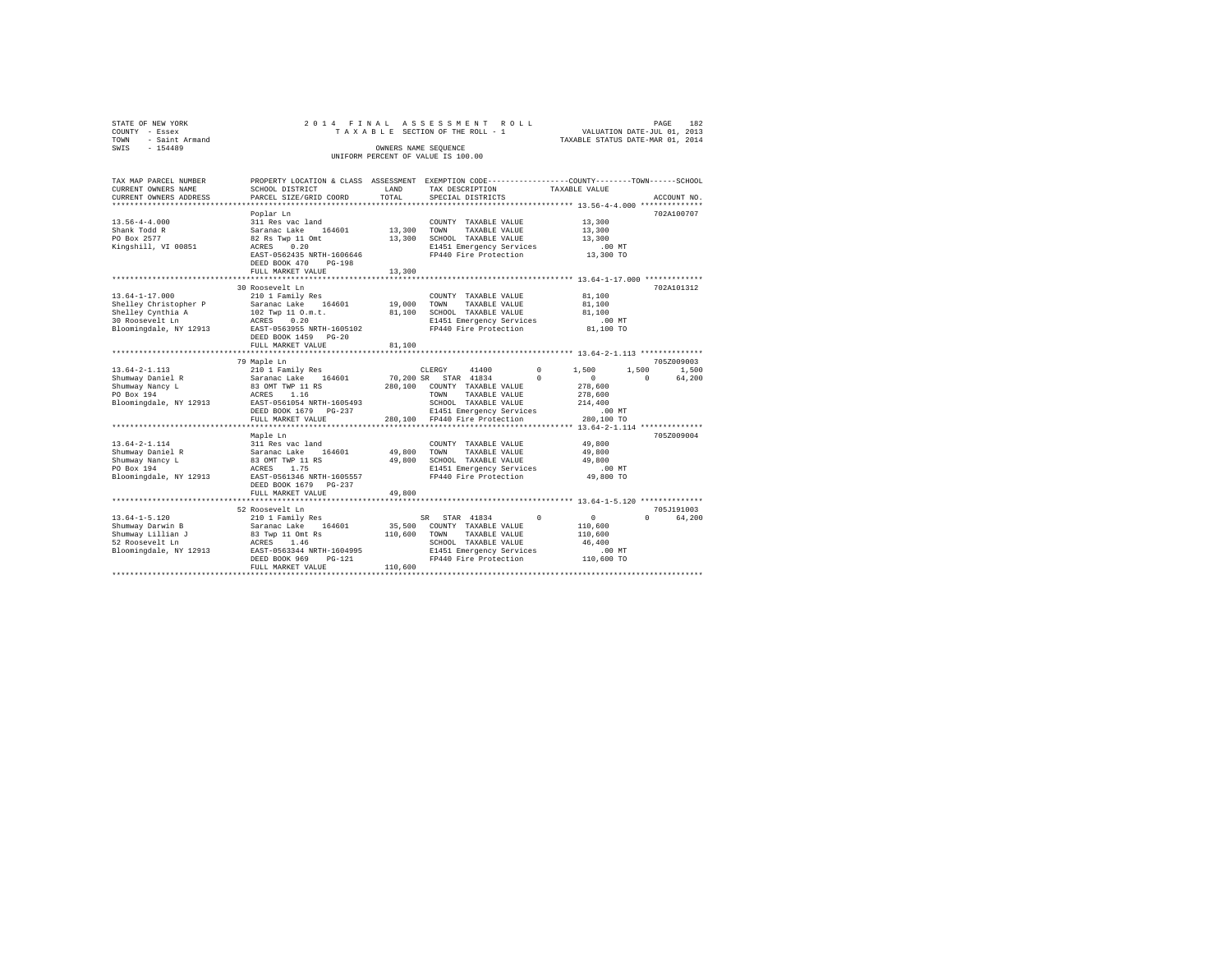| STATE OF NEW YORK<br>COUNTY - Essex<br>TOWN<br>- Saint Armand<br>SWIS - 154489                                  |                                                                                                                                                          | OWNERS NAME SEQUENCE             | 2014 FINAL ASSESSMENT ROLL<br>TAXABLE SECTION OF THE ROLL - 1<br>UNIFORM PERCENT OF VALUE IS 100.00                                                  |                                                                                          | PAGE<br>VALUATION DATE-JUL 01, 2013<br>TAXABLE STATUS DATE-MAR 01, 2014 | 182 |
|-----------------------------------------------------------------------------------------------------------------|----------------------------------------------------------------------------------------------------------------------------------------------------------|----------------------------------|------------------------------------------------------------------------------------------------------------------------------------------------------|------------------------------------------------------------------------------------------|-------------------------------------------------------------------------|-----|
| TAX MAP PARCEL NUMBER<br>CURRENT OWNERS NAME<br>CURRENT OWNERS ADDRESS                                          | PROPERTY LOCATION & CLASS ASSESSMENT EXEMPTION CODE---------------COUNTY-------TOWN------SCHOOL<br>SCHOOL DISTRICT<br>PARCEL SIZE/GRID COORD             | LAND<br>TOTAL.<br>************** | TAX DESCRIPTION<br>SPECIAL DISTRICTS                                                                                                                 | TAXABLE VALUE<br>************************* 13.56-4-4.000 **************                  | ACCOUNT NO.                                                             |     |
| $13.56 - 4 - 4.000$<br>Shank Todd R<br>PO Box 2577<br>Kingshill, VI 00851                                       | Poplar Ln<br>311 Res vac land<br>Saranac Lake 164601<br>82 Rs Twp 11 Omt<br>ACRES 0.20<br>EAST-0562435 NRTH-1606646<br>DEED BOOK 470 PG-198              | 13,300<br>13,300                 | COUNTY TAXABLE VALUE<br>TOWN<br>TAXABLE VALUE<br>SCHOOL TAXABLE VALUE<br>E1451 Emergency Services<br>FP440 Fire Protection                           | 13,300<br>13,300<br>13,300<br>$.00$ MT<br>13,300 TO                                      | 702A100707                                                              |     |
|                                                                                                                 | FULL MARKET VALUE                                                                                                                                        | 13,300                           |                                                                                                                                                      |                                                                                          |                                                                         |     |
| $13.64 - 1 - 17.000$<br>Shelley Christopher P<br>Shelley Cynthia A<br>30 Roosevelt Ln<br>Bloomingdale, NY 12913 | 30 Roosevelt Ln<br>210 1 Family Res<br>Saranac Lake 164601<br>102 Twp 11 O.m.t.<br>ACRES 0.20<br>EAST-0563955 NRTH-1605102<br>DEED BOOK 1459 PG-20       | 19,000<br>81,100                 | COUNTY TAXABLE VALUE<br>TOWN<br>TAXABLE VALUE<br>SCHOOL TAXABLE VALUE<br>E1451 Emergency Services<br>FP440 Fire Protection                           | 81,100<br>81,100<br>81,100<br>$.00$ MT<br>81,100 TO                                      | 702A101312                                                              |     |
|                                                                                                                 | FULL MARKET VALUE                                                                                                                                        | 81,100                           |                                                                                                                                                      |                                                                                          |                                                                         |     |
|                                                                                                                 |                                                                                                                                                          |                                  |                                                                                                                                                      |                                                                                          |                                                                         |     |
|                                                                                                                 | 79 Maple Ln                                                                                                                                              |                                  |                                                                                                                                                      |                                                                                          | 705Z009003                                                              |     |
| $13.64 - 2 - 1.113$<br>Shumway Daniel R<br>Shumway Nancy L<br>PO Box 194<br>Bloomingdale, NY 12913              | 210 1 Family Res<br>Saranac Lake 164601<br>83 OMT TWP 11 RS<br>ACRES 1.16<br>EAST-0561054 NRTH-1605493<br>DEED BOOK 1679 PG-237                          |                                  | CLERGY<br>41400<br>70,200 SR STAR 41834<br>280,100 COUNTY TAXABLE VALUE<br>TOWN<br>TAXABLE VALUE<br>SCHOOL TAXABLE VALUE<br>E1451 Emergency Services | $^{\circ}$<br>1,500<br>$\sim$ 0<br>$\Omega$<br>278,600<br>278,600<br>214,400<br>$.00$ MT | 1,500<br>1,500<br>$\Omega$<br>64,200                                    |     |
|                                                                                                                 | FULL MARKET VALUE                                                                                                                                        |                                  | 280,100 FP440 Fire Protection                                                                                                                        | 280,100 TO                                                                               |                                                                         |     |
|                                                                                                                 | *********************<br>Maple Ln                                                                                                                        |                                  |                                                                                                                                                      |                                                                                          | 705Z009004                                                              |     |
| $13.64 - 2 - 1.114$<br>Shumway Daniel R<br>Shumway Nancy L<br>PO Box 194<br>Bloomingdale, NY 12913              | 311 Res vac land<br>Saranac Lake 164601<br>83 OMT TWP 11 RS<br>ACRES 1.75<br>EAST-0561346 NRTH-1605557<br>DEED BOOK 1679 PG-237<br>FULL MARKET VALUE     | 49,800<br>49,800<br>49,800       | COUNTY TAXABLE VALUE<br>TOWN<br>TAXABLE VALUE<br>SCHOOL TAXABLE VALUE<br>E1451 Emergency Services<br>FP440 Fire Protection                           | 49,800<br>49,800<br>49,800<br>.00 MT<br>49,800 TO                                        |                                                                         |     |
|                                                                                                                 |                                                                                                                                                          |                                  |                                                                                                                                                      |                                                                                          |                                                                         |     |
|                                                                                                                 | 52 Roosevelt Ln                                                                                                                                          |                                  |                                                                                                                                                      |                                                                                          | 705J191003                                                              |     |
| $13.64 - 1 - 5.120$<br>Shumway Darwin B<br>Shumway Lillian J<br>52 Roosevelt Ln<br>Bloomingdale, NY 12913       | 210 1 Family Res<br>Saranac Lake 164601<br>83 Twp 11 Omt Rs<br>ACRES 1.46<br>EAST-0563344 NRTH-1604995<br>DEED BOOK 969<br>$PG-121$<br>FULL MARKET VALUE | 35,500<br>110,600<br>110,600     | SR STAR 41834<br>COUNTY TAXABLE VALUE<br>TOWN<br>TAXABLE VALUE<br>SCHOOL TAXABLE VALUE<br>E1451 Emergency Services<br>FP440 Fire Protection          | $\sim$ 0<br>$\Omega$<br>110,600<br>110,600<br>46,400<br>$.00$ MT<br>110,600 TO           | $\Omega$<br>64,200                                                      |     |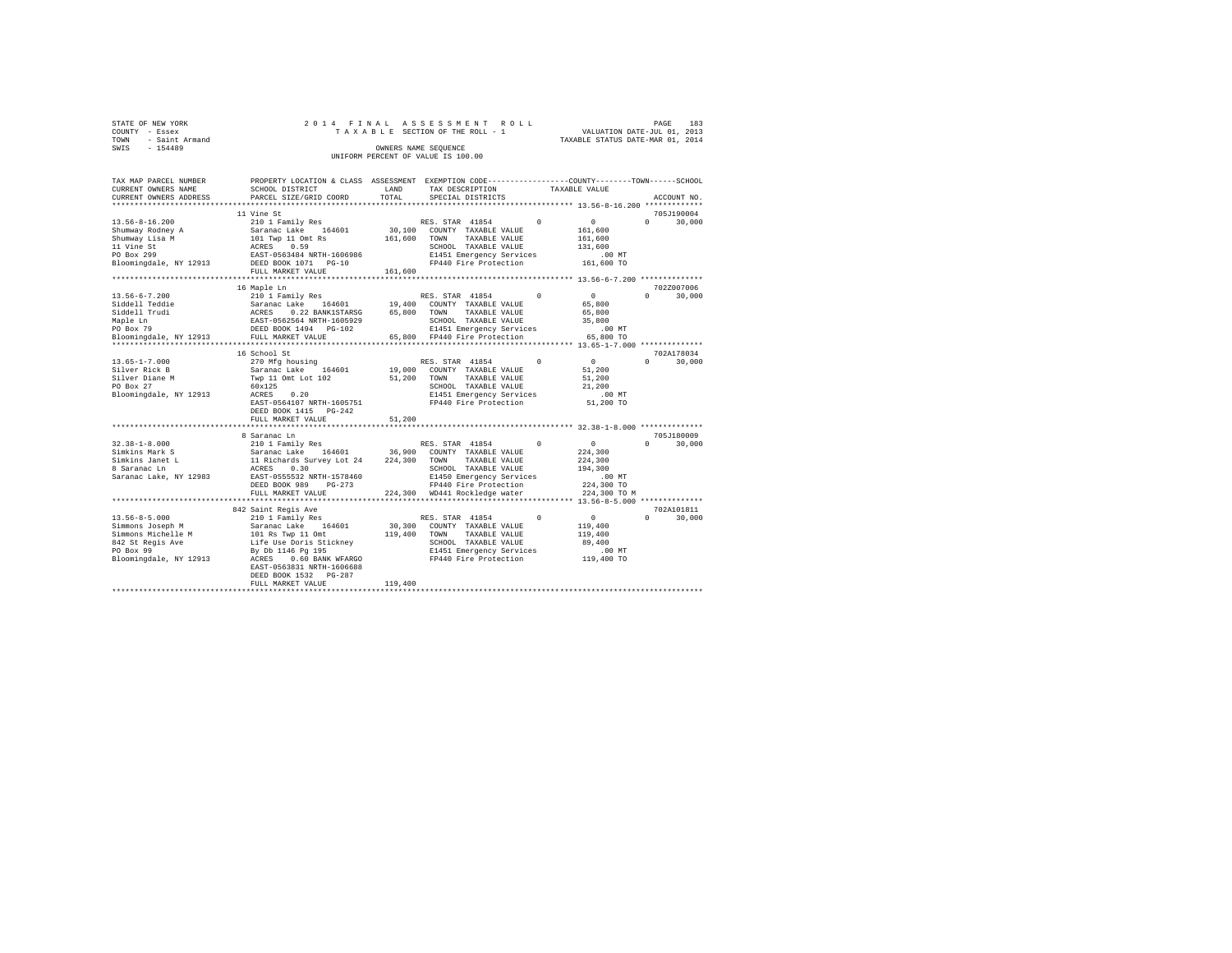| STATE OF NEW YORK   |  | 2014 FINAL ASSESSMENT ROLL         |                                  | PAGE | 183 |
|---------------------|--|------------------------------------|----------------------------------|------|-----|
| COUNTY - Essex      |  | TAXABLE SECTION OF THE ROLL - 1    | VALUATION DATE-JUL 01, 2013      |      |     |
| TOWN - Saint Armand |  |                                    | TAXABLE STATUS DATE-MAR 01, 2014 |      |     |
| SWIS<br>$-154489$   |  | OWNERS NAME SEOUENCE               |                                  |      |     |
|                     |  | UNIFORM PERCENT OF VALUE IS 100.00 |                                  |      |     |

| TAX MAP PARCEL NUMBER<br>CURRENT OWNERS NAME | PROPERTY LOCATION & CLASS ASSESSMENT EXEMPTION CODE---------------COUNTY-------TOWN-----SCHOOL<br>SCHOOL DISTRICT       | LAND                         |                                      |               |                                              |                        |
|----------------------------------------------|-------------------------------------------------------------------------------------------------------------------------|------------------------------|--------------------------------------|---------------|----------------------------------------------|------------------------|
| CURRENT OWNERS ADDRESS                       | PARCEL SIZE/GRID COORD                                                                                                  | TOTAL                        | TAX DESCRIPTION<br>SPECIAL DISTRICTS | TAXABLE VALUE |                                              | ACCOUNT NO.            |
|                                              | ***************************                                                                                             |                              |                                      |               |                                              |                        |
|                                              | 11 Vine St                                                                                                              |                              |                                      |               |                                              | 705J190004             |
| $13.56 - 8 - 16.200$                         | 210 1 Family Res                                                                                                        |                              | RES. STAR 41854                      | $\sim$ 0      | $\sim$ 0                                     | $\Omega$<br>30,000     |
| Shumway Rodney A                             | Saranac Lake 164601                                                                                                     | 30,100                       | COUNTY TAXABLE VALUE                 |               | 161,600                                      |                        |
| Shumway Lisa M                               |                                                                                                                         | 161,600                      | TOWN<br>TAXABLE VALUE                |               | 161,600                                      |                        |
| 11 Vine St                                   |                                                                                                                         |                              | SCHOOL TAXABLE VALUE                 |               | 131,600                                      |                        |
| PO Box 299                                   | 101 Twp 11 Omt Rs<br>ACRES 0.59<br>EAST-0563484 NRTH-1606986                                                            |                              | E1451 Emergency Services             |               | .00 MT                                       |                        |
| Bloomingdale, NY 12913                       | DEED BOOK 1071 PG-10                                                                                                    |                              | FP440 Fire Protection                |               | 161,600 TO                                   |                        |
|                                              | FULL MARKET VALUE                                                                                                       | 161,600                      |                                      |               |                                              |                        |
|                                              |                                                                                                                         |                              |                                      |               |                                              |                        |
|                                              | 16 Maple Ln                                                                                                             |                              |                                      |               |                                              | 702Z007006             |
| $13.56 - 6 - 7.200$                          | 210 1 Family Res                                                                                                        |                              | RES. STAR 41854                      | $^{\circ}$    | $\circ$                                      | 30,000<br>$\Omega$     |
| Siddell Teddie                               |                                                                                                                         | 19,400                       | COUNTY TAXABLE VALUE                 |               | 65,800                                       |                        |
| Siddell Trudi                                | Saranac Lake 164601<br>ACRES 0.22 BANK1STARSG<br>EAST-0562564 NRTH-1605929<br>DEED BOOK 1494 PG-102<br>0.22 BANK1STARSG |                              | 65,800 TOWN<br>TAXABLE VALUE         |               |                                              |                        |
|                                              |                                                                                                                         |                              |                                      |               | 65,800                                       |                        |
| Maple Ln                                     |                                                                                                                         |                              | SCHOOL TAXABLE VALUE                 |               | 35,800                                       |                        |
| PO Box 79                                    |                                                                                                                         |                              | E1451 Emergency Services             |               | $.00$ MT                                     |                        |
| Bloomingdale, NY 12913                       | FULL MARKET VALUE<br>**************************                                                                         | **************************** | 65.800 FP440 Fire Protection         |               | 65,800 TO                                    |                        |
|                                              | 16 School St                                                                                                            |                              |                                      |               | *************** 13.65-1-7.000 ************** | 702A178034             |
| $13.65 - 1 - 7.000$                          |                                                                                                                         |                              |                                      | $\Omega$      | $\circ$                                      | $\Omega$               |
|                                              | 270 Mfg housing                                                                                                         |                              | RES. STAR 41854                      |               |                                              | 30,000                 |
| Silver Rick B                                | Saranac Lake 164601                                                                                                     | 19,000                       | COUNTY TAXABLE VALUE                 |               | 51,200                                       |                        |
| Silver Diane M                               | Twp 11 Omt Lot 102                                                                                                      | 51,200                       | TOWN<br>TAXABLE VALUE                |               | 51,200                                       |                        |
| PO Box 27                                    | 60x125                                                                                                                  |                              | SCHOOL TAXABLE VALUE                 |               | 21,200                                       |                        |
| Bloomingdale, NY 12913                       | 0.20<br>ACRES                                                                                                           |                              | E1451 Emergency Services             |               | .00 MT                                       |                        |
|                                              | EAST-0564107 NRTH-1605751                                                                                               |                              | FP440 Fire Protection                |               | 51,200 TO                                    |                        |
|                                              | DEED BOOK 1415 PG-242                                                                                                   |                              |                                      |               |                                              |                        |
|                                              | FULL MARKET VALUE                                                                                                       | 51,200                       |                                      |               |                                              |                        |
|                                              |                                                                                                                         |                              |                                      |               |                                              |                        |
|                                              | 8 Saranac Ln                                                                                                            |                              |                                      | $\Omega$      |                                              | 705J180009<br>$\Omega$ |
| $32.38 - 1 - 8.000$                          | 210 1 Family Res                                                                                                        |                              | RES. STAR 41854                      |               | $\sim$ 0                                     | 30,000                 |
| Simkins Mark S                               |                                                                                                                         |                              | 36,900 COUNTY TAXABLE VALUE          |               | 224,300                                      |                        |
| Simkins Janet L<br>march 1997                | Saranac Lake<br>164601<br>11 Richards Survey Lot 24<br>ACRES 0.30                                                       | 224,300 TOWN                 | TAXABLE VALUE                        |               | 224,300                                      |                        |
| 8 Saranac Ln                                 | EAST-0555532 NRTH-1578460                                                                                               |                              | SCHOOL TAXABLE VALUE                 |               | 194,300                                      |                        |
| Saranac Lake, NY 12983                       |                                                                                                                         |                              | E1450 Emergency Services             |               | $.00$ MT                                     |                        |
|                                              | DEED BOOK 989<br>$PG-273$                                                                                               |                              | FP440 Fire Protection                |               | 224,300 TO                                   |                        |
|                                              | FULL MARKET VALUE                                                                                                       |                              | 224,300 WD441 Rockledge water        |               | 224,300 TO M                                 |                        |
|                                              |                                                                                                                         |                              |                                      |               |                                              | 702A101811             |
|                                              | 842 Saint Regis Ave                                                                                                     |                              |                                      | $\Omega$      |                                              | $\Omega$               |
| $13.56 - 8 - 5.000$                          | 210 1 Family Res                                                                                                        |                              | RES. STAR 41854                      |               | $\mathbf{0}$                                 | 30,000                 |
| Simmons Joseph M                             | Saranac Lake 164601                                                                                                     |                              | 30,300 COUNTY TAXABLE VALUE          |               | 119,400                                      |                        |
| Simmons Michelle M                           | 101 Rs Twp 11 Omt<br>Life Use Doris Stickney                                                                            |                              | 119,400 TOWN TAXABLE VALUE           |               | 119,400                                      |                        |
| 842 St Regis Ave                             |                                                                                                                         |                              | SCHOOL TAXABLE VALUE                 |               | 89,400                                       |                        |
| PO Box 99                                    | By Db 1146 Pg 195                                                                                                       |                              | E1451 Emergency Services             |               | .00 MT<br>119,400 TO                         |                        |
| Bloomingdale, NY 12913                       | ACRES<br>0.60 BANK WFARGO                                                                                               |                              | FP440 Fire Protection                |               |                                              |                        |
|                                              | EAST-0563831 NRTH-1606688                                                                                               |                              |                                      |               |                                              |                        |
|                                              | DEED BOOK 1532 PG-287                                                                                                   |                              |                                      |               |                                              |                        |
|                                              | FULL MARKET VALUE                                                                                                       | 119,400                      |                                      |               |                                              |                        |
|                                              |                                                                                                                         |                              |                                      |               |                                              |                        |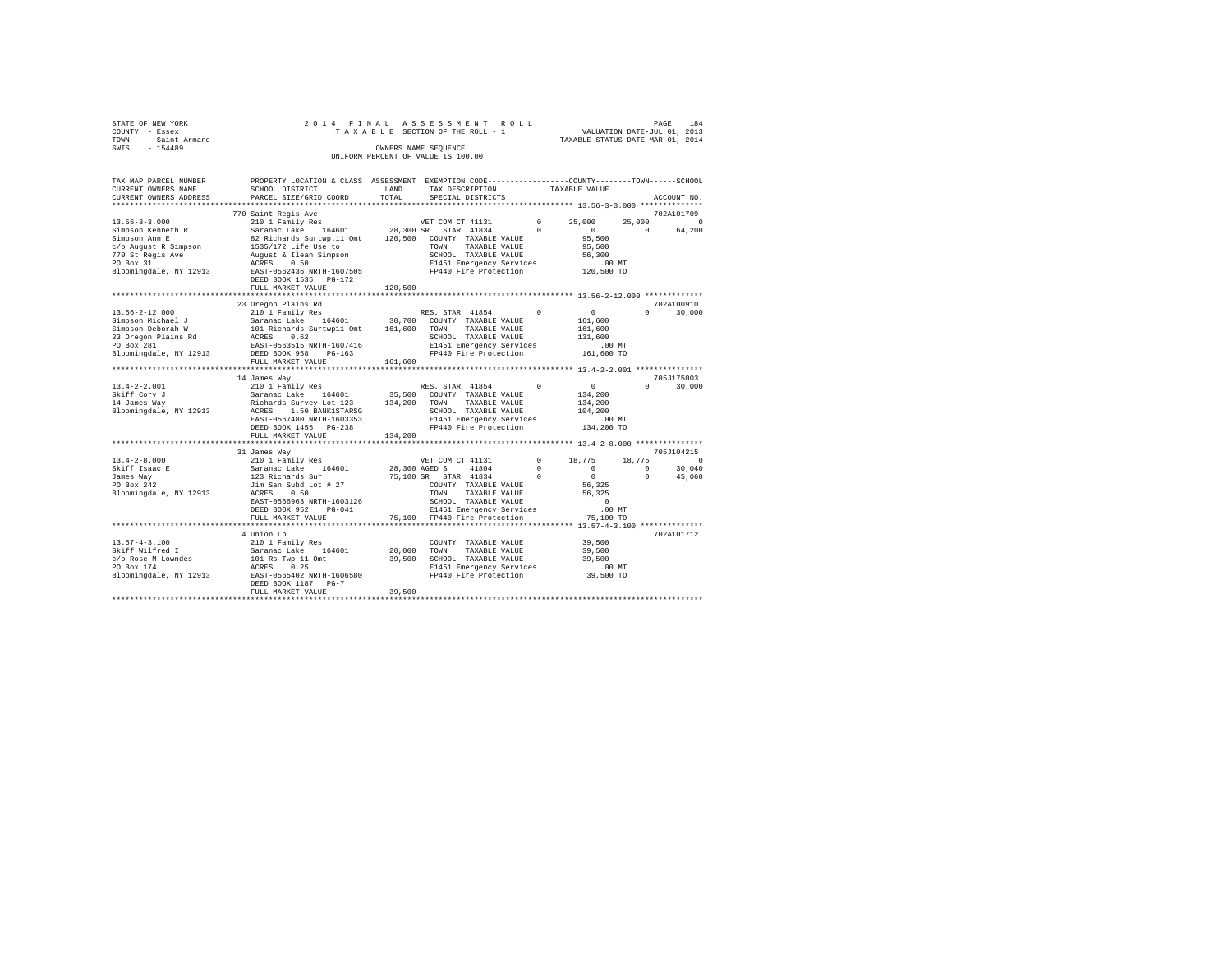| STATE OF NEW YORK<br>COUNTY - Essex<br>COUNTY - Essex<br>TOWN - Saint Armand<br>SWIS - 154489 |                                                                                                                                                                                                                                                                                                                                                                                                    |         | 2014 FINAL ASSESSMENT ROLL<br>OWNERS NAME SEQUENCE<br>UNIFORM PERCENT OF VALUE IS 100.00 |  |          | PAGE<br>184        |
|-----------------------------------------------------------------------------------------------|----------------------------------------------------------------------------------------------------------------------------------------------------------------------------------------------------------------------------------------------------------------------------------------------------------------------------------------------------------------------------------------------------|---------|------------------------------------------------------------------------------------------|--|----------|--------------------|
| TAX MAP PARCEL NUMBER<br>CURRENT OWNERS NAME<br>CURRENT OWNERS ADDRESS                        | PROPERTY LOCATION & CLASS ASSESSMENT EXEMPTION CODE---------------COUNTY-------TOWN------SCHOOL                                                                                                                                                                                                                                                                                                    |         | TAX DESCRIPTION TAXABLE VALUE<br>SPECIAL DISTRICTS                                       |  |          | ACCOUNT NO.        |
|                                                                                               | 770 Saint Regis Ave                                                                                                                                                                                                                                                                                                                                                                                |         |                                                                                          |  |          | 702A101709         |
|                                                                                               |                                                                                                                                                                                                                                                                                                                                                                                                    |         |                                                                                          |  | $\sim$ 0 | 25,000 0<br>64,200 |
|                                                                                               | DEED BOOK 1535 PG-172<br>FULL MARKET VALUE 120,500                                                                                                                                                                                                                                                                                                                                                 |         |                                                                                          |  |          |                    |
|                                                                                               |                                                                                                                                                                                                                                                                                                                                                                                                    |         |                                                                                          |  |          |                    |
|                                                                                               | 23 Oregon Plains Rd                                                                                                                                                                                                                                                                                                                                                                                |         |                                                                                          |  |          | 702A100910         |
|                                                                                               | $\begin{tabular}{ccccc} \textbf{13.56-2-12.000} & \textbf{23.56-2-12.000} & \textbf{24.56-2-12.000} & \textbf{25.56-2-12.000} & \textbf{26.56-2-12.000} & \textbf{27.56-2-12.000} \\ \textbf{Simpson Deborah W} & \textbf{Sarnac Lake} & \textbf{164601} & \textbf{30,700} & \textbf{CONINT TAXABLE VALUE} & \textbf{161,600} \\ \textbf{Simpson Deborah W} & \textbf{ACR$                         |         |                                                                                          |  | $\Omega$ | 30,000             |
|                                                                                               | FULL MARKET VALUE                                                                                                                                                                                                                                                                                                                                                                                  | 161,600 |                                                                                          |  |          |                    |
|                                                                                               |                                                                                                                                                                                                                                                                                                                                                                                                    |         |                                                                                          |  |          |                    |
|                                                                                               | 14 James Way                                                                                                                                                                                                                                                                                                                                                                                       |         |                                                                                          |  |          | 705J175003         |
|                                                                                               |                                                                                                                                                                                                                                                                                                                                                                                                    |         |                                                                                          |  |          | $0 \t 30,000$      |
|                                                                                               |                                                                                                                                                                                                                                                                                                                                                                                                    |         |                                                                                          |  |          |                    |
|                                                                                               |                                                                                                                                                                                                                                                                                                                                                                                                    |         |                                                                                          |  |          |                    |
|                                                                                               |                                                                                                                                                                                                                                                                                                                                                                                                    |         |                                                                                          |  |          |                    |
|                                                                                               |                                                                                                                                                                                                                                                                                                                                                                                                    |         |                                                                                          |  |          |                    |
|                                                                                               | FULL MARKET VALUE 134,200                                                                                                                                                                                                                                                                                                                                                                          |         |                                                                                          |  |          |                    |
|                                                                                               |                                                                                                                                                                                                                                                                                                                                                                                                    |         |                                                                                          |  |          |                    |
|                                                                                               | 31 James Way                                                                                                                                                                                                                                                                                                                                                                                       |         |                                                                                          |  |          | 705J104215         |
| $13.4 - 2 - 8.000$                                                                            |                                                                                                                                                                                                                                                                                                                                                                                                    |         |                                                                                          |  |          |                    |
|                                                                                               |                                                                                                                                                                                                                                                                                                                                                                                                    |         |                                                                                          |  |          |                    |
| Skiff Isaac E<br>James Way<br>PO Box 242                                                      | $\begin{tabular}{l c c c c c} \texttt{51} & \texttt{32} & \texttt{32} & \texttt{32} & \texttt{32} & \texttt{32} & \texttt{32} & \texttt{32} & \texttt{32} & \texttt{32} & \texttt{32} & \texttt{32} & \texttt{32} & \texttt{32} & \texttt{32} & \texttt{32} & \texttt{32} & \texttt{32} & \texttt{32} & \texttt{32} & \texttt{32} & \texttt{32} & \texttt{32} & \texttt{32} & \texttt{32} & \text$ |         |                                                                                          |  |          |                    |
| Bloomingdale, NY 12913                                                                        |                                                                                                                                                                                                                                                                                                                                                                                                    |         |                                                                                          |  |          |                    |
|                                                                                               |                                                                                                                                                                                                                                                                                                                                                                                                    |         |                                                                                          |  |          |                    |
|                                                                                               |                                                                                                                                                                                                                                                                                                                                                                                                    |         |                                                                                          |  |          |                    |
|                                                                                               |                                                                                                                                                                                                                                                                                                                                                                                                    |         |                                                                                          |  |          |                    |
|                                                                                               |                                                                                                                                                                                                                                                                                                                                                                                                    |         |                                                                                          |  |          |                    |
|                                                                                               | 4 Union Ln                                                                                                                                                                                                                                                                                                                                                                                         |         |                                                                                          |  |          | 702A101712         |
|                                                                                               |                                                                                                                                                                                                                                                                                                                                                                                                    |         |                                                                                          |  |          |                    |
|                                                                                               |                                                                                                                                                                                                                                                                                                                                                                                                    |         |                                                                                          |  |          |                    |
|                                                                                               |                                                                                                                                                                                                                                                                                                                                                                                                    |         |                                                                                          |  |          |                    |
|                                                                                               |                                                                                                                                                                                                                                                                                                                                                                                                    |         |                                                                                          |  |          |                    |
|                                                                                               | DEED BOOK 1187 PG-7                                                                                                                                                                                                                                                                                                                                                                                |         |                                                                                          |  |          |                    |
|                                                                                               | FULL MARKET VALUE                                                                                                                                                                                                                                                                                                                                                                                  | 39,500  |                                                                                          |  |          |                    |
|                                                                                               |                                                                                                                                                                                                                                                                                                                                                                                                    |         |                                                                                          |  |          |                    |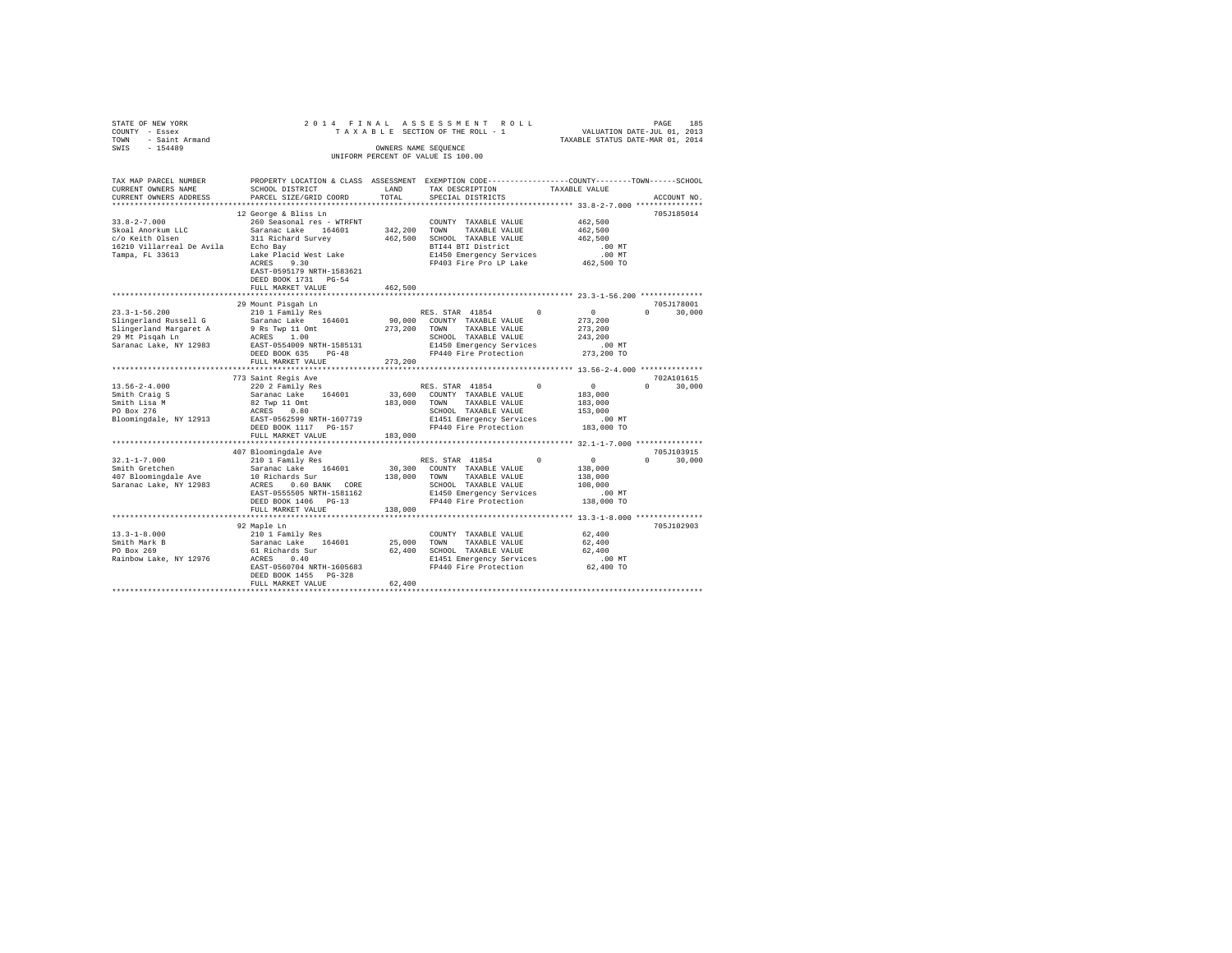|                                                                                                                                                                                                                                                                                                                                                                                                                     | 2014 FINAL ASSESSMENT ROLL                                                                                                                        | OWNERS NAME SEQUENCE<br>UNIFORM PERCENT OF VALUE IS 100.00 | PAGE 185 ISS IS SOMENT ROLL VALUATION DATE-JUL 01, 2013<br>TAXABLE SECTION OF THE ROLL - 1 VALUATION DATE-JUL 01, 2013<br>TAXABLE STATUS DATE-MAR 01, 2014 |        | PAGE          | 185           |
|---------------------------------------------------------------------------------------------------------------------------------------------------------------------------------------------------------------------------------------------------------------------------------------------------------------------------------------------------------------------------------------------------------------------|---------------------------------------------------------------------------------------------------------------------------------------------------|------------------------------------------------------------|------------------------------------------------------------------------------------------------------------------------------------------------------------|--------|---------------|---------------|
| TAX MAP PARCEL NUMBER<br>CURRENT OWNERS NAME<br>CURRENT OWNERS ADDRESS                                                                                                                                                                                                                                                                                                                                              | PROPERTY LOCATION & CLASS ASSESSMENT EXEMPTION CODE---------------COUNTY-------TOWN------SCHOOL<br>SCHOOL DISTRICT LAND<br>PARCEL SIZE/GRID COORD | TOTAL                                                      | TAX DESCRIPTION TAXABLE VALUE<br>SPECIAL DISTRICTS                                                                                                         |        |               | ACCOUNT NO.   |
|                                                                                                                                                                                                                                                                                                                                                                                                                     | 12 George & Bliss Ln                                                                                                                              |                                                            |                                                                                                                                                            |        |               | 705J185014    |
|                                                                                                                                                                                                                                                                                                                                                                                                                     |                                                                                                                                                   |                                                            |                                                                                                                                                            |        |               |               |
|                                                                                                                                                                                                                                                                                                                                                                                                                     |                                                                                                                                                   |                                                            |                                                                                                                                                            |        |               |               |
|                                                                                                                                                                                                                                                                                                                                                                                                                     |                                                                                                                                                   |                                                            |                                                                                                                                                            |        |               |               |
|                                                                                                                                                                                                                                                                                                                                                                                                                     |                                                                                                                                                   |                                                            |                                                                                                                                                            |        |               |               |
| $\begin{tabular}{ccccc} 33.8-2-7.000 & 12 \, \text{George} & 8 \, \text{Bias} & \text{In} & 260 \, \text{Seasonal} & 260 \, \text{Seasonal} & 260 \, \text{Seasonal} & 260 \, \text{Seasonal} & 260 \, \text{Seasonal} & 342,200 & \text{COMNT} & \text{TXABLE VALUE} & 462,500 \\ \text{SKoal AnorKum LLC} & Sarana Cale & 164601 & 342,200 & \text{SCHODL} & \text{TXABLE VALUE} & 462,500 \\ \text{$             | EAST-0595179 NRTH-1583621<br>DEED BOOK 1731 PG-54                                                                                                 |                                                            |                                                                                                                                                            |        |               |               |
|                                                                                                                                                                                                                                                                                                                                                                                                                     | FULL MARKET VALUE                                                                                                                                 | 462,500                                                    |                                                                                                                                                            |        |               |               |
|                                                                                                                                                                                                                                                                                                                                                                                                                     |                                                                                                                                                   |                                                            |                                                                                                                                                            |        |               |               |
| $\begin{tabular}{c c c c} \multicolumn{2}{c}{\textbf{29 M} = 1-56.200} \multicolumn{2}{c}{\textbf{29 M} = 1-56.200} \multicolumn{2}{c}{\textbf{29 M} = 1-56.200} \multicolumn{2}{c}{\textbf{29 M} = 1-56.200} \multicolumn{2}{c}{\textbf{20 M} = 1-56.200} \multicolumn{2}{c}{\textbf{21 M} = 1-56.200} \multicolumn{2}{c}{\textbf{22 M} = 1-56.200} \multicolumn{2}{c}{\$                                          |                                                                                                                                                   |                                                            |                                                                                                                                                            |        |               | 705J178001    |
|                                                                                                                                                                                                                                                                                                                                                                                                                     |                                                                                                                                                   |                                                            |                                                                                                                                                            |        |               | $0 \t 30,000$ |
|                                                                                                                                                                                                                                                                                                                                                                                                                     |                                                                                                                                                   |                                                            |                                                                                                                                                            |        |               |               |
|                                                                                                                                                                                                                                                                                                                                                                                                                     |                                                                                                                                                   |                                                            |                                                                                                                                                            |        |               |               |
|                                                                                                                                                                                                                                                                                                                                                                                                                     |                                                                                                                                                   |                                                            |                                                                                                                                                            |        |               |               |
|                                                                                                                                                                                                                                                                                                                                                                                                                     |                                                                                                                                                   |                                                            |                                                                                                                                                            |        |               |               |
|                                                                                                                                                                                                                                                                                                                                                                                                                     |                                                                                                                                                   |                                                            |                                                                                                                                                            |        |               |               |
|                                                                                                                                                                                                                                                                                                                                                                                                                     |                                                                                                                                                   |                                                            |                                                                                                                                                            |        |               |               |
|                                                                                                                                                                                                                                                                                                                                                                                                                     | 773 Saint Regis Ave                                                                                                                               |                                                            |                                                                                                                                                            |        |               | 702A101615    |
|                                                                                                                                                                                                                                                                                                                                                                                                                     |                                                                                                                                                   |                                                            |                                                                                                                                                            |        | $\Omega$      | 30,000        |
|                                                                                                                                                                                                                                                                                                                                                                                                                     |                                                                                                                                                   |                                                            |                                                                                                                                                            |        |               |               |
|                                                                                                                                                                                                                                                                                                                                                                                                                     |                                                                                                                                                   |                                                            |                                                                                                                                                            |        |               |               |
|                                                                                                                                                                                                                                                                                                                                                                                                                     |                                                                                                                                                   |                                                            |                                                                                                                                                            |        |               |               |
| $\begin{tabular}{ccccc} 13.56-2-4.000 & 773\, \texttt{aint} \ \texttt{Teqis} \ \texttt{AV} & 200\, \texttt{2} \ \texttt{Family} \ \texttt{Res} \\ \texttt{Smith} \ \texttt{Craj} \ \texttt{S} & \texttt{Saranac} \ \texttt{Lide} & 164601 & 33,600 \ \texttt{COUNT} \ \texttt{TXABLE} \ \texttt{VALUE} & 183,000 \\ \texttt{Smith} \ \texttt{Liga} \ \texttt{M} & \texttt{Saranac} \ \texttt{Lide} & 164601 & 33,6$ |                                                                                                                                                   |                                                            |                                                                                                                                                            |        |               |               |
|                                                                                                                                                                                                                                                                                                                                                                                                                     | FULL MARKET VALUE                                                                                                                                 | 183,000                                                    |                                                                                                                                                            |        |               |               |
|                                                                                                                                                                                                                                                                                                                                                                                                                     |                                                                                                                                                   |                                                            |                                                                                                                                                            |        |               |               |
|                                                                                                                                                                                                                                                                                                                                                                                                                     |                                                                                                                                                   |                                                            |                                                                                                                                                            |        |               | 705J103915    |
|                                                                                                                                                                                                                                                                                                                                                                                                                     |                                                                                                                                                   |                                                            |                                                                                                                                                            |        | $0 \t 30,000$ |               |
|                                                                                                                                                                                                                                                                                                                                                                                                                     |                                                                                                                                                   |                                                            |                                                                                                                                                            |        |               |               |
|                                                                                                                                                                                                                                                                                                                                                                                                                     |                                                                                                                                                   |                                                            |                                                                                                                                                            |        |               |               |
|                                                                                                                                                                                                                                                                                                                                                                                                                     |                                                                                                                                                   |                                                            |                                                                                                                                                            |        |               |               |
|                                                                                                                                                                                                                                                                                                                                                                                                                     |                                                                                                                                                   |                                                            |                                                                                                                                                            |        |               |               |
| $\begin{tabular}{l c c c c c} \multicolumn{3}{c c c} \multicolumn{3}{c c c} \multicolumn{3}{c c c} \multicolumn{3}{c c c} \multicolumn{3}{c c c} \multicolumn{3}{c c c} \multicolumn{3}{c c c} \multicolumn{3}{c c c} \multicolumn{3}{c c c} \multicolumn{3}{c c c} \multicolumn{3}{c c c} \multicolumn{3}{c c c} \multicolumn{3}{c c c} \multicolumn{3}{c c c} \multicolumn{3}{c c c} \multicolumn{3}{$            |                                                                                                                                                   |                                                            |                                                                                                                                                            |        |               |               |
|                                                                                                                                                                                                                                                                                                                                                                                                                     |                                                                                                                                                   |                                                            |                                                                                                                                                            |        |               |               |
|                                                                                                                                                                                                                                                                                                                                                                                                                     | 92 Maple Ln                                                                                                                                       |                                                            |                                                                                                                                                            |        |               | 705J102903    |
|                                                                                                                                                                                                                                                                                                                                                                                                                     |                                                                                                                                                   |                                                            | $\verb COUNTY TAXABLE VALUE  62,400$                                                                                                                       |        |               |               |
|                                                                                                                                                                                                                                                                                                                                                                                                                     |                                                                                                                                                   |                                                            |                                                                                                                                                            | 62,400 |               |               |
| 13.3-1-8.000<br>210 1 Family Res<br>210 1 Family Res<br>210 1 Family Res<br>2160 25,000 TONN TAXABLE VALUE<br>PO Box 269<br>21.9 21.9 22.900 26H51 25,000 26H51 EMERY ARABLE VALUE<br>21451 EMERGENT 62,400 SCHOOL TAXABLE VALUE<br>21451 EME                                                                                                                                                                       |                                                                                                                                                   |                                                            |                                                                                                                                                            | 62,400 |               |               |
|                                                                                                                                                                                                                                                                                                                                                                                                                     |                                                                                                                                                   |                                                            |                                                                                                                                                            |        |               |               |
|                                                                                                                                                                                                                                                                                                                                                                                                                     | DEED BOOK 1455 PG-328                                                                                                                             |                                                            |                                                                                                                                                            |        |               |               |
|                                                                                                                                                                                                                                                                                                                                                                                                                     | FULL MARKET VALUE                                                                                                                                 | 62,400                                                     |                                                                                                                                                            |        |               |               |
|                                                                                                                                                                                                                                                                                                                                                                                                                     |                                                                                                                                                   |                                                            |                                                                                                                                                            |        |               |               |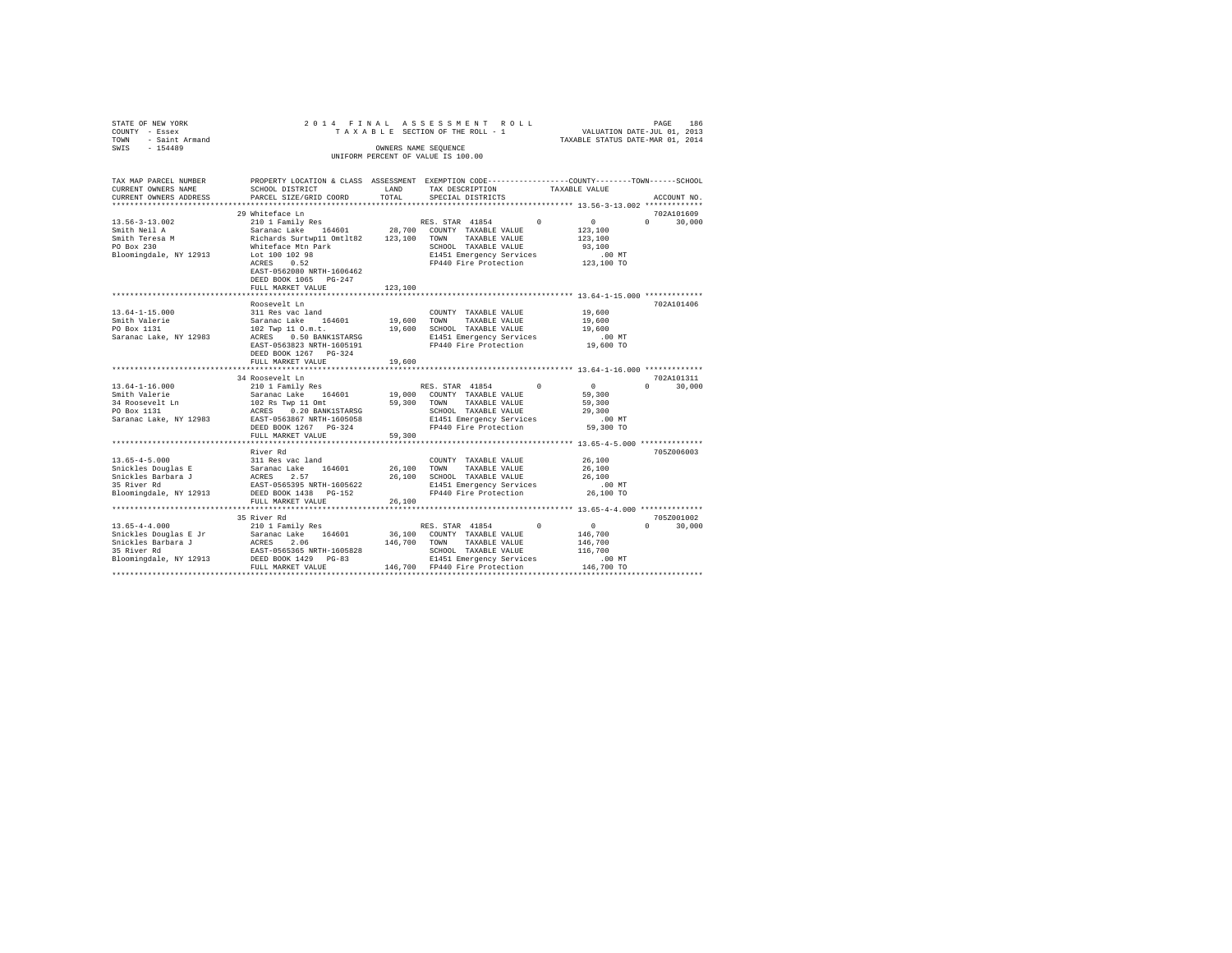| STATE OF NEW YORK<br>COUNTY - Essex<br>- Saint Armand<br><b>TOWN</b><br>SWTS - 154489 |                                                                                                                                                                                                                                                                                                                                                                                               |              | 2014 FINAL ASSESSMENT ROLL<br>OWNERS NAME SEOUENCE<br>UNIFORM PERCENT OF VALUE IS 100.00                         |                                                                                                                                                                                                                                                                                                                             | 186<br>PAGE                 |
|---------------------------------------------------------------------------------------|-----------------------------------------------------------------------------------------------------------------------------------------------------------------------------------------------------------------------------------------------------------------------------------------------------------------------------------------------------------------------------------------------|--------------|------------------------------------------------------------------------------------------------------------------|-----------------------------------------------------------------------------------------------------------------------------------------------------------------------------------------------------------------------------------------------------------------------------------------------------------------------------|-----------------------------|
| CURRENT OWNERS NAME                                                                   | TAX MAP PARCEL NUMBER PROPERTY LOCATION & CLASS ASSESSMENT EXEMPTION CODE--------------COUNTY-------TOWN-----SCHOOL<br>SCHOOL DISTRICT<br>CURRENT OWNERS ADDRESS . PARCEL SIZE/GRID COORD TOTAL SPECIAL DISTRICTS                                                                                                                                                                             | <b>ELAND</b> | TAX DESCRIPTION TAXABLE VALUE                                                                                    |                                                                                                                                                                                                                                                                                                                             | ACCOUNT NO.                 |
| PO Box 230<br>Bloomingdale, NY 12913 Lot 100 102 98                                   | 29 Whiteface Ln<br>13.56-3-13.002 210 1 Family Res RES. STAR 41854 0 0 0<br>Smith Neil A 3,100 Saranac Lake 164601 28,700 COUNTY TAXABLE VALUE 123,100<br>Smith Teresa M                          Richards Surtwp11 Omtlt82      123,100   TOWN<br>Whiteface Mtn Park 6. SCHOOL TAXABLE VALUE 93,100<br>ACRES 0.52<br>EAST-0562080 NRTH-1606462<br>DEED BOOK 1065 PG-247<br>FULL MARKET VALUE | 123,100      | TAXABLE VALUE 123,100<br>E1451 Emergency Services<br>FP440 Fire Protection 123,100 TO                            | .00 MT                                                                                                                                                                                                                                                                                                                      | 702A101609<br>$0 \t 30.000$ |
| PO Box 1131<br>Saranac Lake, NY 12983                                                 | Roosevelt Ln<br>13.64-1-15.000 311 Res vac land<br>Smith Valerie (Saranac Lake 164601 19,600 TOWN<br>19,600 SCHOOL TAXABLE VALUE 19,600 19,600 SCHOOL TAXABLE VALUE 19,600 19,600 E1451 Emergency Services<br>DEED BOOK 1267 PG-324<br>FULL MARKET VALUE                                                                                                                                      | 19,600       | COUNTY TAXABLE VALUE 19,600<br>TAXABLE VALUE 19,600<br>EAST-0563823 NRTH-1605191 FP440 Fire Protection 19,600 TO |                                                                                                                                                                                                                                                                                                                             | 702A101406                  |
| $13.64 - 1 - 16.000$                                                                  | 34 Roosevelt Ln<br>Smith Valerie 6 . Saranac Lake 164601 19,000 COUNTY TAXABLE VALUE<br>Saranac Lake, NY 12983 EAST-0563867 NRTH-1605058 E1451 Emergency Services .00 MT<br>DEED BOOK 1267 PG-324<br>FULL MARKET VALUE                                                                                                                                                                        | 59,300       | TAXABLE VALUE<br>SCHOOL TAXABLE VALUE<br>FP440 Fire Protection 59,300 TO                                         | $\sim$ 0 $\sim$ 0 $\sim$ 0 $\sim$ 0 $\sim$ 0 $\sim$ 0 $\sim$ 0 $\sim$ 0 $\sim$ 0 $\sim$ 0 $\sim$ 0 $\sim$ 0 $\sim$ 0 $\sim$ 0 $\sim$ 0 $\sim$ 0 $\sim$ 0 $\sim$ 0 $\sim$ 0 $\sim$ 0 $\sim$ 0 $\sim$ 0 $\sim$ 0 $\sim$ 0 $\sim$ 0 $\sim$ 0 $\sim$ 0 $\sim$ 0 $\sim$ 0 $\sim$ 0 $\sim$ 0 $\sim$<br>59,300<br>59,300<br>29,300 | 702A101311<br>$0 \t 30.000$ |

 FULL MARKET VALUE 59,300 \*\*\*\*\*\*\*\*\*\*\*\*\*\*\*\*\*\*\*\*\*\*\*\*\*\*\*\*\*\*\*\*\*\*\*\*\*\*\*\*\*\*\*\*\*\*\*\*\*\*\*\*\*\*\*\*\*\*\*\*\*\*\*\*\*\*\*\*\*\*\*\*\*\*\*\*\*\*\*\*\*\*\*\*\*\*\*\*\*\*\*\*\*\*\*\*\*\*\*\*\*\*\* 13.65-4-5.000 \*\*\*\*\*\*\*\*\*\*\*\*\*\* River Rd 7052006003

13.65–4–5.000<br>
Saranac Lake 164601 26,100 CONNY TAXABLE VALUE 26,100<br>
Shickles Barbara J ACRES 2.57<br>
Shickles Barbara J ACRES 2.57<br>
Shickles Barbara J ACRES 2.57<br>
ELENGTRESS 2.57<br>
ELENGTRESS 2.57<br>
ELENGTRESS 22,100 SCHOOL

35 River Rd 705Z001002 13.65-4-4.000 210 1 Family Res RES. STAR 41854 0 0 0 30,000 Snickles Douglas E Jr Saranac Lake 164601 36,100 COUNTY TAXABLE VALUE 146,700 Snickles Barbara J ACRES 2.06 146,700 TOWN TAXABLE VALUE 146,700 35 River Rd EAST-0565365 NRTH-1605828 SCHOOL TAXABLE VALUE 116,700 Bloomingdale, NY 12913 DEED BOOK 1429 PG-83 E1451 Emergency Services .00 MT FULL MARKET VALUE 146,700 FP440 Fire Protection 146,700 TO \*\*\*\*\*\*\*\*\*\*\*\*\*\*\*\*\*\*\*\*\*\*\*\*\*\*\*\*\*\*\*\*\*\*\*\*\*\*\*\*\*\*\*\*\*\*\*\*\*\*\*\*\*\*\*\*\*\*\*\*\*\*\*\*\*\*\*\*\*\*\*\*\*\*\*\*\*\*\*\*\*\*\*\*\*\*\*\*\*\*\*\*\*\*\*\*\*\*\*\*\*\*\*\*\*\*\*\*\*\*\*\*\*\*\*\*\*\*\*\*\*\*\*\*\*\*\*\*\*\*\*\*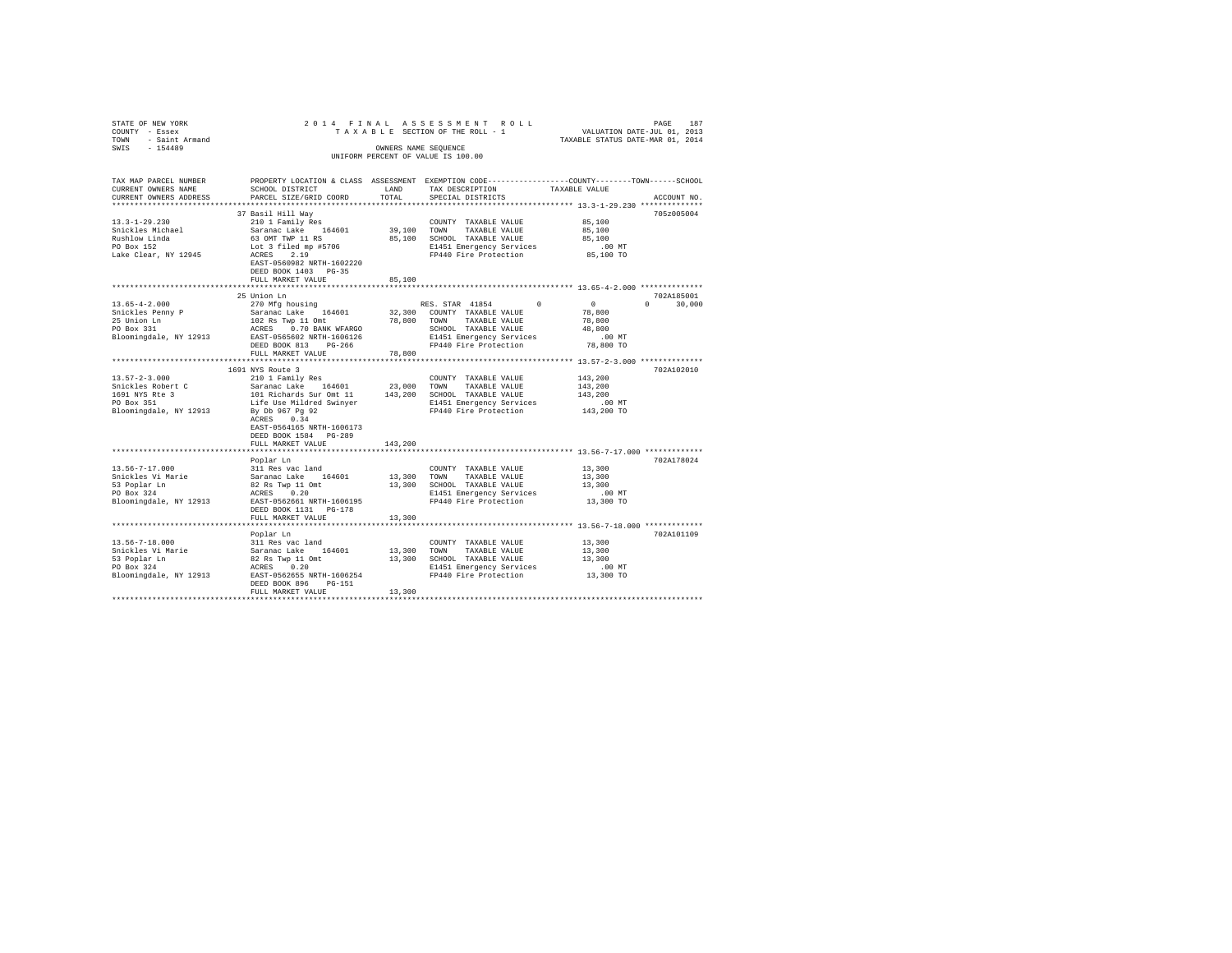| STATE OF NEW YORK                             |                                                                          |             | 2014 FINAL ASSESSMENT ROLL                                                                      | PAGE 187<br>VALUATION DATE-JUL 01, 2013<br>TAXABLE STATUS DATE-MAR 01, 2014 |               |
|-----------------------------------------------|--------------------------------------------------------------------------|-------------|-------------------------------------------------------------------------------------------------|-----------------------------------------------------------------------------|---------------|
| COUNTY - Essex                                |                                                                          |             | TAXABLE SECTION OF THE ROLL - 1                                                                 |                                                                             |               |
| TOWN - Saint Armand                           |                                                                          |             |                                                                                                 |                                                                             |               |
| SWIS<br>$-154489$                             |                                                                          |             | OWNERS NAME SEOUENCE                                                                            |                                                                             |               |
|                                               |                                                                          |             | UNIFORM PERCENT OF VALUE IS 100.00                                                              |                                                                             |               |
|                                               |                                                                          |             |                                                                                                 |                                                                             |               |
|                                               |                                                                          |             |                                                                                                 |                                                                             |               |
| TAX MAP PARCEL NUMBER                         |                                                                          |             | PROPERTY LOCATION & CLASS ASSESSMENT EXEMPTION CODE---------------COUNTY-------TOWN------SCHOOL |                                                                             |               |
| CURRENT OWNERS NAME                           | SCHOOL DISTRICT                                                          | LAND        | TAX DESCRIPTION                                                                                 | TAXABLE VALUE                                                               |               |
| CURRENT OWNERS ADDRESS                        | PARCEL SIZE/GRID COORD                                                   | TOTAL.      | SPECIAL DISTRICTS                                                                               |                                                                             | ACCOUNT NO.   |
| ***********************                       |                                                                          |             |                                                                                                 |                                                                             |               |
|                                               | 37 Basil Hill Way                                                        |             |                                                                                                 |                                                                             | 705z005004    |
| $13.3 - 1 - 29.230$                           | 210 1 Family Res                                                         |             | COUNTY TAXABLE VALUE                                                                            | 85,100                                                                      |               |
| Snickles Michael                              | Saranac Lake 164601                                                      | 39,100 TOWN | TAXABLE VALUE                                                                                   | 85,100                                                                      |               |
|                                               | 63 OMT TWP 11 RS                                                         |             | 85,100 SCHOOL TAXABLE VALUE                                                                     | 85,100                                                                      |               |
| Rushlow Linda<br>PO Box 152                   | Lot 3 filed mp #5706                                                     |             | E1451 Emergency Services                                                                        | $.00$ MT                                                                    |               |
| Lake Clear, NY 12945                          | ACRES 2.19                                                               |             | FP440 Fire Protection                                                                           | 85,100 TO                                                                   |               |
|                                               | EAST-0560982 NRTH-1602220                                                |             |                                                                                                 |                                                                             |               |
|                                               | DEED BOOK 1403 PG-35                                                     |             |                                                                                                 |                                                                             |               |
|                                               | FULL MARKET VALUE                                                        | 85,100      |                                                                                                 |                                                                             |               |
|                                               |                                                                          |             |                                                                                                 |                                                                             |               |
|                                               | 25 Union Ln                                                              |             |                                                                                                 |                                                                             | 702A185001    |
| $13.65 - 4 - 2.000$                           | 270 Mfg housing                                                          |             | RES. STAR 41854 0                                                                               | $\sim$ 0                                                                    | $0 \t 30.000$ |
|                                               | Saranac Lake 164601                                                      |             | 32,300 COUNTY TAXABLE VALUE                                                                     | 78,800                                                                      |               |
| Snickles Penny P<br>25 Union Ln<br>PO Box 331 |                                                                          | 78,800 TOWN | TAXABLE VALUE                                                                                   | 78,800                                                                      |               |
|                                               |                                                                          |             | SCHOOL TAXABLE VALUE                                                                            | 48,800                                                                      |               |
| Bloomingdale, NY 12913                        | 102 Rs Twp 11 Omt<br>ACRES 0.70 BANK WFARGO<br>EAST-0565602 NRTH-1606126 |             | E1451 Emergency Services                                                                        | $.00$ MT                                                                    |               |
|                                               | DEED BOOK 813 PG-266                                                     |             | FP440 Fire Protection                                                                           | 78,800 TO                                                                   |               |
|                                               | FULL MARKET VALUE                                                        | 78,800      |                                                                                                 |                                                                             |               |
|                                               |                                                                          |             |                                                                                                 |                                                                             |               |
|                                               | 1691 NYS Route 3                                                         |             |                                                                                                 |                                                                             | 702A102010    |
| $13.57 - 2 - 3.000$                           | 210 1 Family Res                                                         |             | COUNTY TAXABLE VALUE                                                                            | 143,200                                                                     |               |
|                                               |                                                                          |             | 23,000 TOWN TAXABLE VALUE                                                                       | 143,200                                                                     |               |
| Snickles Robert C                             | Saranac Lake 164601<br>101 Richards Sur Omt 11                           |             | 143,200 SCHOOL TAXABLE VALUE                                                                    | 143,200                                                                     |               |
| 1691 NYS Rte 3<br>PO Box 351                  |                                                                          |             |                                                                                                 |                                                                             |               |
| Bloomingdale, NY 12913                        | Life Use Mildred Swinyer                                                 |             | E1451 Emergency Services<br>FP440 Fire Protection                                               | .00MT                                                                       |               |
|                                               | By Db 967 Pg 92<br>ACRES 0.34                                            |             |                                                                                                 | 143,200 TO                                                                  |               |
|                                               | ACRES 0.34                                                               |             |                                                                                                 |                                                                             |               |
|                                               | EAST-0564165 NRTH-1606173                                                |             |                                                                                                 |                                                                             |               |
|                                               | DEED BOOK 1584 PG-289                                                    |             |                                                                                                 |                                                                             |               |
|                                               | FULL MARKET VALUE                                                        | 143,200     |                                                                                                 |                                                                             |               |
|                                               |                                                                          |             |                                                                                                 |                                                                             |               |
|                                               | Poplar Ln                                                                |             |                                                                                                 |                                                                             | 702A178024    |
| $13.56 - 7 - 17.000$                          | 311 Res vac land                                                         |             | COUNTY TAXABLE VALUE                                                                            | 13,300                                                                      |               |
| Snickles Vi Marie                             | Saranac Lake 164601                                                      | 13,300 TOWN | TAXABLE VALUE                                                                                   | 13,300                                                                      |               |
| 53 Poplar Ln<br>PO Box 324                    | 82 Rs Twp 11 Omt<br>ACRES 0.20                                           |             | 13,300 SCHOOL TAXABLE VALUE                                                                     | 13,300                                                                      |               |
|                                               |                                                                          |             | E1451 Emergency Services                                                                        | $.00$ MT                                                                    |               |
| Bloomingdale, NY 12913                        | EAST-0562661 NRTH-1606195                                                |             | FP440 Fire Protection                                                                           | 13,300 TO                                                                   |               |
|                                               | DEED BOOK 1131    PG-178                                                 |             |                                                                                                 |                                                                             |               |
|                                               | FULL MARKET VALUE                                                        | 13,300      |                                                                                                 |                                                                             |               |
|                                               |                                                                          |             |                                                                                                 |                                                                             |               |
|                                               | Poplar Ln                                                                |             |                                                                                                 |                                                                             | 702A101109    |
| 13.56-7-18.000                                | 311 Res vac land                                                         |             | COUNTY TAXABLE VALUE                                                                            | 13,300                                                                      |               |
| Snickles Vi Marie                             | 311 Res vac land<br>Saranac Lake    164601                               |             | 13,300 TOWN TAXABLE VALUE                                                                       | 13,300                                                                      |               |
| 53 Poplar Ln                                  | 82 Rs Twp 11 Omt                                                         |             | 13,300 SCHOOL TAXABLE VALUE                                                                     | 13,300                                                                      |               |
| PO Box 324                                    | ACRES 0.20                                                               |             | E1451 Emergency Services<br>FP440 Fire Protection                                               | $.00$ MT                                                                    |               |
| Bloomingdale, NY 12913                        | EAST-0562655 NRTH-1606254                                                |             | FP440 Fire Protection                                                                           | 13,300 TO                                                                   |               |
|                                               | DEED BOOK 896 PG-151                                                     |             |                                                                                                 |                                                                             |               |
|                                               | FULL MARKET VALUE                                                        | 13,300      |                                                                                                 |                                                                             |               |
|                                               |                                                                          |             |                                                                                                 |                                                                             |               |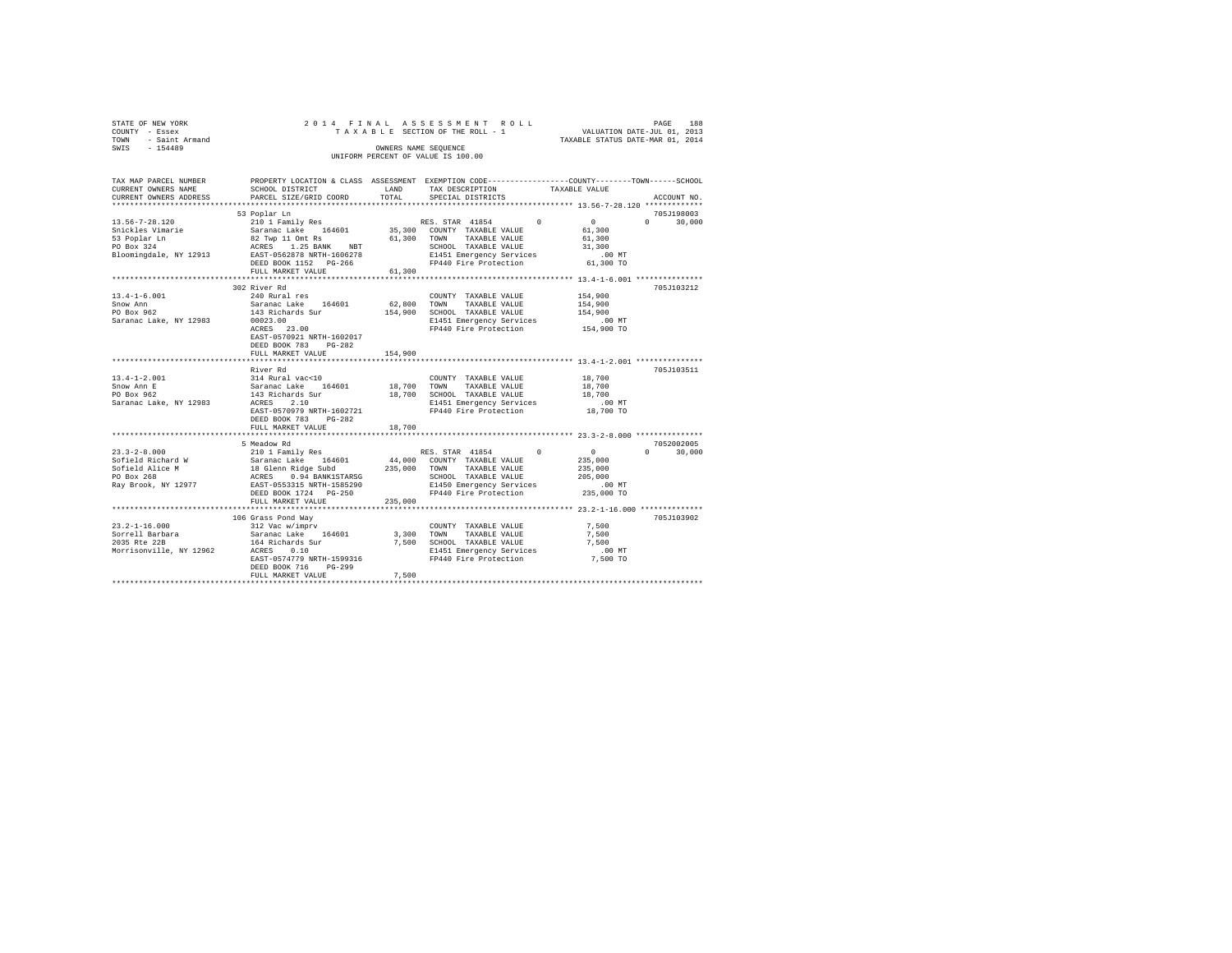|      | STATE OF NEW YORK |  |  |  |  | 2014 FINAL ASSESSMENT ROLL         |  |  |  |  |                                  |  | PAGE | 188 |
|------|-------------------|--|--|--|--|------------------------------------|--|--|--|--|----------------------------------|--|------|-----|
|      | COUNTY - Essex    |  |  |  |  | TAXABLE SECTION OF THE ROLL - 1    |  |  |  |  | VALUATION DATE-JUL 01, 2013      |  |      |     |
| TOWN | - Saint Armand    |  |  |  |  |                                    |  |  |  |  | TAXABLE STATUS DATE-MAR 01, 2014 |  |      |     |
| SWIS | $-154489$         |  |  |  |  | OWNERS NAME SEOUENCE               |  |  |  |  |                                  |  |      |     |
|      |                   |  |  |  |  | UNIFORM PERCENT OF VALUE IS 100.00 |  |  |  |  |                                  |  |      |     |

| TAX MAP PARCEL NUMBER<br>CURRENT OWNERS NAME                                                                                                                                                                                                                                                               | PROPERTY LOCATION & CLASS ASSESSMENT EXEMPTION CODE----------------COUNTY-------TOWN------SCHOOL<br>SCHOOL DISTRICT                                                                                                                                                  |         | LAND TAX DESCRIPTION                                                                              | TAXABLE VALUE              |                    |
|------------------------------------------------------------------------------------------------------------------------------------------------------------------------------------------------------------------------------------------------------------------------------------------------------------|----------------------------------------------------------------------------------------------------------------------------------------------------------------------------------------------------------------------------------------------------------------------|---------|---------------------------------------------------------------------------------------------------|----------------------------|--------------------|
| CURRENT OWNERS ADDRESS                                                                                                                                                                                                                                                                                     | PARCEL SIZE/GRID COORD                                                                                                                                                                                                                                               | TOTAL   | SPECIAL DISTRICTS                                                                                 |                            | ACCOUNT NO.        |
|                                                                                                                                                                                                                                                                                                            |                                                                                                                                                                                                                                                                      |         |                                                                                                   |                            | 705J198003         |
|                                                                                                                                                                                                                                                                                                            | DEED BOOK 1152 PG-266<br>FULL MARKET VALUE                                                                                                                                                                                                                           | 61,300  | SCHOOL TAXABLE VALUE 31,300<br>E1451 Emergency Services .00 MT<br>FP440 Fire Protection 61,300 TO |                            | $0 \t 30,000$      |
|                                                                                                                                                                                                                                                                                                            |                                                                                                                                                                                                                                                                      |         |                                                                                                   |                            |                    |
| 13.4-1-6.001                                                                                                                                                                                                                                                                                               | 302 River Rd<br>240 Rural res<br>EAST-0570921 NRTH-1602017<br>DEED BOOK 783 PG-282                                                                                                                                                                                   |         | COUNTY TAXABLE VALUE                                                                              | 154,900                    | 705J103212         |
|                                                                                                                                                                                                                                                                                                            | FULL MARKET VALUE                                                                                                                                                                                                                                                    | 154,900 |                                                                                                   |                            |                    |
|                                                                                                                                                                                                                                                                                                            | River Rd<br>DEED BOOK 783<br>$PG-282$<br>FULL MARKET VALUE                                                                                                                                                                                                           | 18,700  | E1451 Emergency Services .00 MT<br>FP440 Fire Protection 18,700 TO                                | 18,700<br>18,700<br>18,700 | 705J103511         |
|                                                                                                                                                                                                                                                                                                            | 5 Meadow Rd                                                                                                                                                                                                                                                          |         |                                                                                                   |                            | 7052002005         |
| 23.3-2-8.000 5 Meadow Rd Family Res (1854 FOR RES. STAR 41854 0<br>Sofield Richard W Saranac Lake 164601 44,000 COUNTY TAXABLE VALUE 235,000<br>Sofield Alice M 38 areas and 16 denn Ridge Subd 235,000 TOWN TAXABLE VALUE 2015,000<br>                                                                    | FULL MARKET VALUE                                                                                                                                                                                                                                                    | 235,000 |                                                                                                   |                            | $\Omega$<br>30,000 |
|                                                                                                                                                                                                                                                                                                            |                                                                                                                                                                                                                                                                      |         |                                                                                                   |                            |                    |
| $\texttt{231.2-1-16.000 \texttt{201.8} - 10.000 \texttt{01.8} - 10.000 \texttt{01.8} - 10.000 \texttt{01.8} - 10.000 \texttt{01.8} - 10.000 \texttt{01.8} - 10.000 \texttt{01.8} - 10.000 \texttt{01.8} - 10.000 \texttt{01.8} - 10.000 \texttt{01.8} - 10.000 \texttt{01.8} - 10.000 \texttt{01.8} - 10.$ | 106 Grass Pond Way<br>164 Richards Sur מלום ה הלום המצורת המצרה ל-500 SCHOOL TAXABLE VALUE ו-164 Richards Sur<br>אבת 1.10 MCRES מ-11599316 ב-11599316 ב-162 PACRES 1.10 MT<br>ב-160 PP440 Fire Protection מ-1,500 PP440 Pire Protection<br>DEED BOOK 716<br>$PG-299$ |         |                                                                                                   | 7.500<br>7.500             | 705J103902         |
|                                                                                                                                                                                                                                                                                                            |                                                                                                                                                                                                                                                                      |         |                                                                                                   |                            |                    |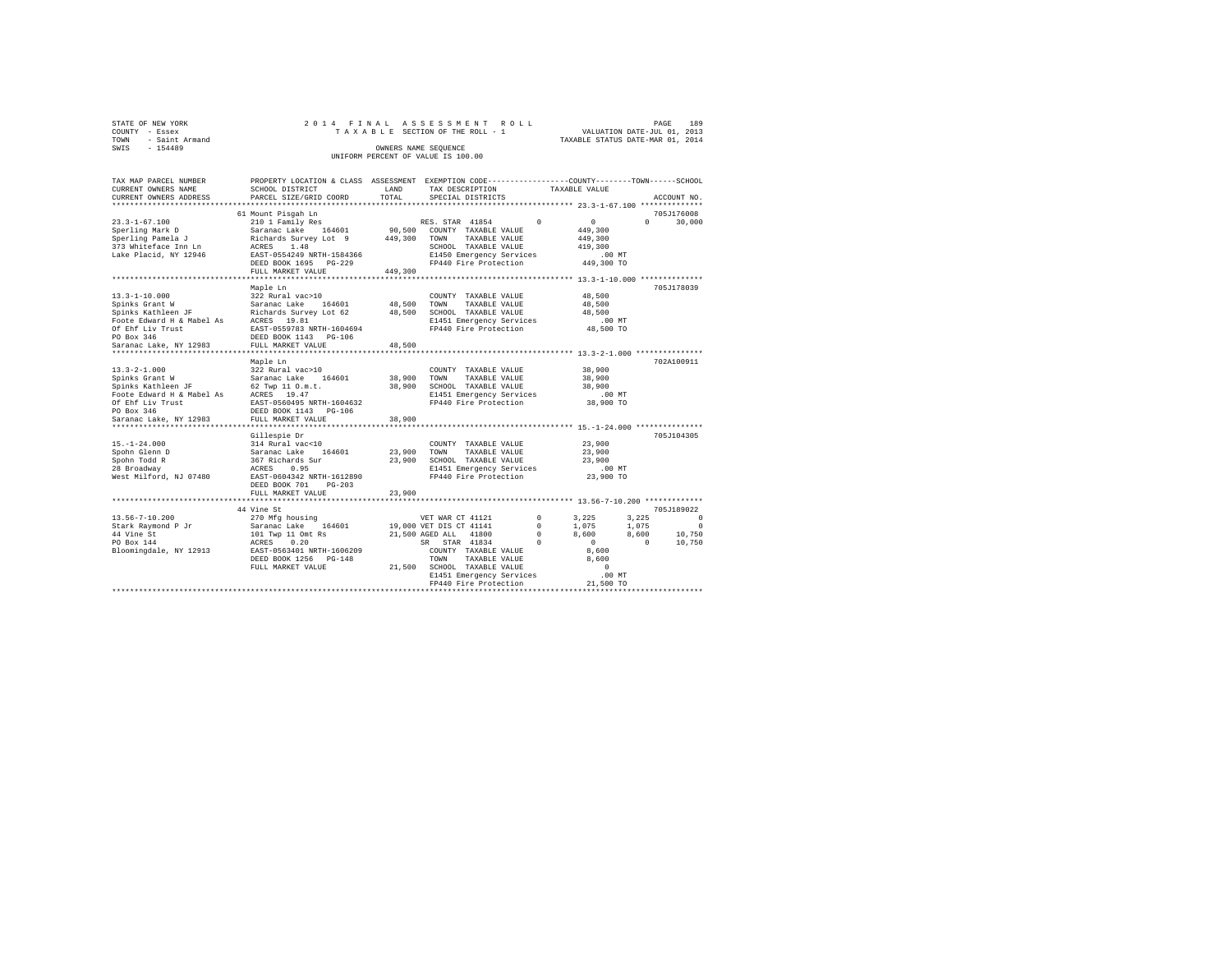| STATE OF NEW YORK   |  |  | 2014 FINAL ASSESSMENT ROLL         |                                  | PAGE | 189 |
|---------------------|--|--|------------------------------------|----------------------------------|------|-----|
| COUNTY - Essex      |  |  | TAXABLE SECTION OF THE ROLL - 1    | VALUATION DATE-JUL 01, 2013      |      |     |
| TOWN - Saint Armand |  |  |                                    | TAXABLE STATUS DATE-MAR 01, 2014 |      |     |
| SWIS<br>$-154489$   |  |  | OWNERS NAME SEOUENCE               |                                  |      |     |
|                     |  |  | UNIFORM PERCENT OF VALUE IS 100.00 |                                  |      |     |

| TAX MAP PARCEL NUMBER                 | PROPERTY LOCATION & CLASS ASSESSMENT EXEMPTION CODE---------------COUNTY-------TOWN------SCHOOL |              |                                                                  |            |                |                             |
|---------------------------------------|-------------------------------------------------------------------------------------------------|--------------|------------------------------------------------------------------|------------|----------------|-----------------------------|
| CURRENT OWNERS NAME                   | SCHOOL DISTRICT                                                                                 | LAND         | TAX DESCRIPTION                                                  |            | TAXABLE VALUE  |                             |
| CURRENT OWNERS ADDRESS                | PARCEL SIZE/GRID COORD                                                                          | TOTAL        | SPECIAL DISTRICTS                                                |            |                | ACCOUNT NO.                 |
| ***********************               | *******************************                                                                 |              |                                                                  |            |                |                             |
|                                       | 61 Mount Pisgah Ln                                                                              |              |                                                                  |            |                | 705J176008                  |
| $23.3 - 1 - 67.100$                   | 210 1 Family Res                                                                                |              | RES. STAR 41854                                                  | $^{\circ}$ | $\Omega$       | $\Omega$<br>30,000          |
| Sperling Mark D                       | Saranac Lake 164601                                                                             | 90,500       | COUNTY TAXABLE VALUE                                             |            | 449,300        |                             |
| Sperling Pamela J                     | Richards Survey Lot 9                                                                           | 449,300 TOWN | TAXABLE VALUE                                                    |            | 449,300        |                             |
| 373 Whiteface Inn Ln                  | 1.48<br>ACRES                                                                                   |              | SCHOOL TAXABLE VALUE                                             |            | 419,300        |                             |
| Lake Placid, NY 12946                 | EAST-0554249 NRTH-1584366                                                                       |              | E1450 Emergency Services                                         |            | $.00$ MT       |                             |
|                                       | DEED BOOK 1695 PG-229                                                                           |              | FP440 Fire Protection                                            |            | 449,300 TO     |                             |
|                                       | FULL MARKET VALUE                                                                               | 449,300      |                                                                  |            |                |                             |
|                                       | ***************************                                                                     |              | ************************************ 13.3-1-10.000 ************* |            |                |                             |
|                                       | Maple Ln                                                                                        |              |                                                                  |            |                | 705J178039                  |
| $13.3 - 1 - 10.000$                   | 322 Rural vac>10                                                                                |              | COUNTY TAXABLE VALUE                                             |            | 48,500         |                             |
| Spinks Grant W                        | Saranac Lake 164601                                                                             | 48,500 TOWN  | TAXABLE VALUE                                                    |            | 48,500         |                             |
| Spinks Kathleen JF                    | Richards Survey Lot 62                                                                          | 48,500       | SCHOOL TAXABLE VALUE                                             |            | 48,500         |                             |
| Foote Edward H & Mabel As             | Richards Surve<br>el As      ACRES   19.81                                                      |              |                                                                  |            | $.00$ MT       |                             |
| Of Ehf Liv Trust                      | EAST-0559783 NRTH-1604694                                                                       |              | E1451 Emergency Services<br>FP440 Fire Protection                |            | 48,500 TO      |                             |
| PO Box 346                            | DEED BOOK 1143 PG-106                                                                           |              |                                                                  |            |                |                             |
| Saranac Lake, NY 12983                | FULL MARKET VALUE                                                                               | 48,500       |                                                                  |            |                |                             |
|                                       |                                                                                                 |              |                                                                  |            |                |                             |
|                                       | Maple Ln                                                                                        |              |                                                                  |            |                | 702A100911                  |
| $13.3 - 2 - 1.000$                    | 322 Rural vac>10                                                                                |              | COUNTY TAXABLE VALUE                                             |            | 38,900         |                             |
| Spinks Grant W                        | Saranac Lake 164601                                                                             |              | 38,900 TOWN<br>TAXABLE VALUE                                     |            | 38,900         |                             |
| Spinks Kathleen JF                    | 62 Twp 11 O.m.t.                                                                                |              | 38,900 SCHOOL TAXABLE VALUE                                      |            | 38,900         |                             |
| Foote Edward H & Mabel As ACRES 19.47 |                                                                                                 |              | E1451 Emergency Services                                         |            | $.00$ MT       |                             |
| Of Ehf Liv Trust                      | EAST-0560495 NRTH-1604632                                                                       |              | FP440 Fire Protection                                            |            | 38,900 TO      |                             |
| PO Box 346                            | DEED BOOK 1143 PG-106                                                                           |              |                                                                  |            |                |                             |
| Saranac Lake, NY 12983                | FULL MARKET VALUE                                                                               | 38,900       |                                                                  |            |                |                             |
|                                       |                                                                                                 |              |                                                                  |            |                |                             |
|                                       | Gillespie Dr                                                                                    |              |                                                                  |            |                | 705J104305                  |
| $15. - 1 - 24.000$                    | 314 Rural vac<10                                                                                |              | COUNTY TAXABLE VALUE                                             |            | 23,900         |                             |
| Spohn Glenn D                         | Saranac Lake<br>164601                                                                          | 23,900       | TOWN<br>TAXABLE VALUE                                            |            | 23,900         |                             |
| Spohn Todd R                          | 367 Richards Sur                                                                                | 23,900       | SCHOOL TAXABLE VALUE                                             |            | 23,900         |                             |
| 28 Broadway                           | ACRES 0.95                                                                                      |              | E1451 Emergency Services                                         |            | $.00$ MT       |                             |
| West Milford, NJ 07480                | EAST-0604342 NRTH-1612890                                                                       |              | FP440 Fire Protection                                            |            | 23,900 TO      |                             |
|                                       | DEED BOOK 701<br>$PG-203$                                                                       |              |                                                                  |            |                |                             |
|                                       | FULL MARKET VALUE                                                                               | 23,900       |                                                                  |            |                |                             |
|                                       | ***********************                                                                         |              |                                                                  |            |                |                             |
|                                       | 44 Vine St                                                                                      |              |                                                                  |            |                | 705J189022                  |
| $13.56 - 7 - 10.200$                  | 270 Mfg housing                                                                                 |              | VET WAR CT 41121                                                 | $\Omega$   | 3.225<br>3.225 | $\circ$                     |
| Stark Raymond P Jr                    | Saranac Lake 164601                                                                             |              | 19,000 VET DIS CT 41141                                          | $\Omega$   | 1,075<br>1,075 | $\circ$                     |
|                                       | 101 Twp 11 Omt Rs                                                                               |              |                                                                  | $\Omega$   | 8,600          | 10,750                      |
| 44 Vine St<br>PO Box 144              | ACRES 0.20                                                                                      |              | 21,500 AGED ALL 41800<br>SR STAR 41834                           | $\Omega$   | $\sim$ 0       | 8,600<br>$\Omega$<br>10,750 |
|                                       | EAST-0563401 NRTH-1606209                                                                       |              |                                                                  |            |                |                             |
| Bloomingdale, NY 12913                |                                                                                                 |              | COUNTY TAXABLE VALUE                                             |            | 8,600          |                             |
|                                       | DEED BOOK 1256 PG-148                                                                           |              | TOWN<br>TAXABLE VALUE                                            |            | 8,600          |                             |
|                                       | FULL MARKET VALUE                                                                               |              | 21,500 SCHOOL TAXABLE VALUE                                      |            | $\sim$ 0       |                             |
|                                       |                                                                                                 |              | E1451 Emergency Services                                         |            | .00MT          |                             |
|                                       |                                                                                                 |              | FP440 Fire Protection                                            |            | 21,500 TO      |                             |
|                                       |                                                                                                 |              |                                                                  |            |                |                             |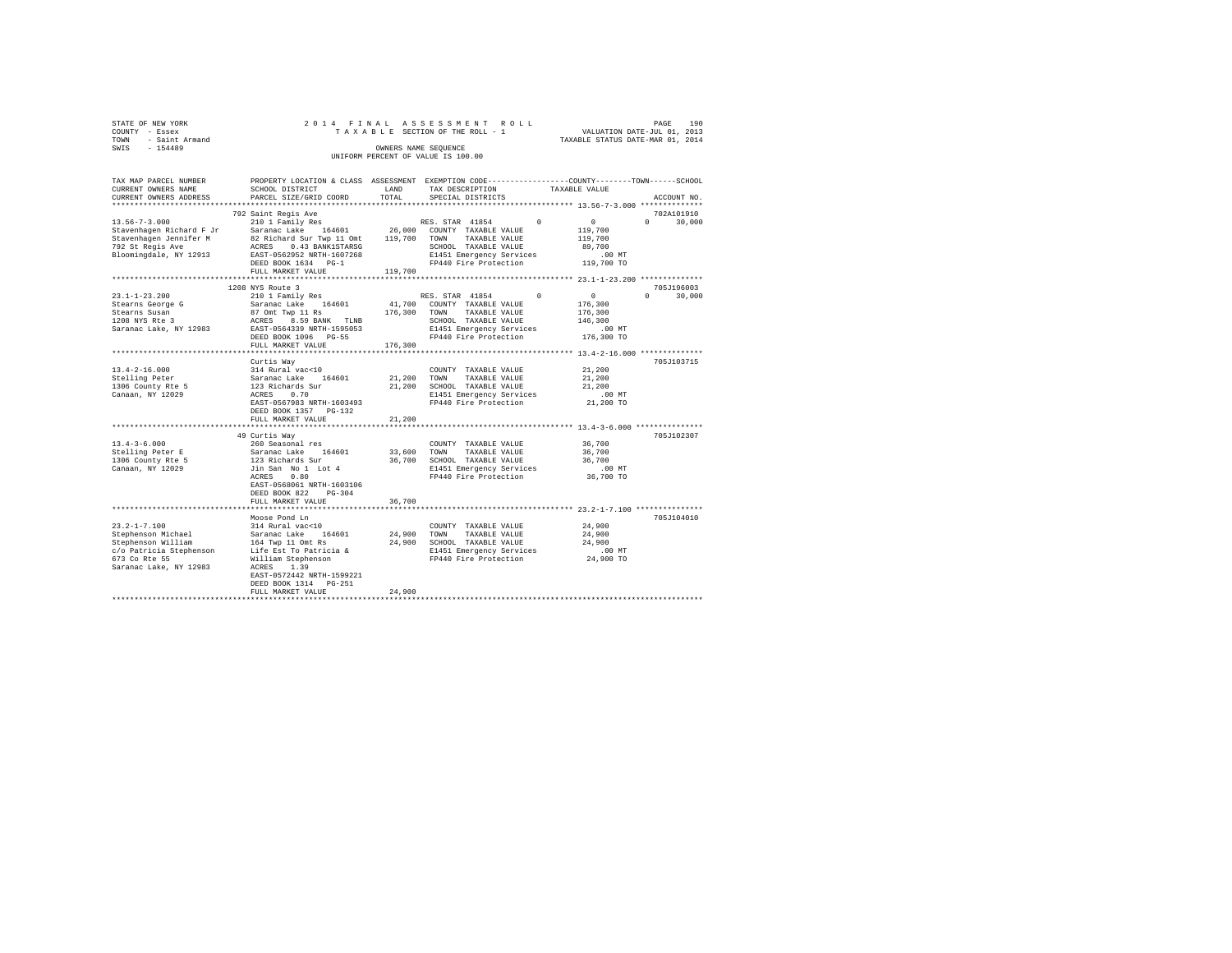| STATE OF NEW YORK |           |                     |  |  | 2014 FINAL ASSESSMENT ROLL         |  |  |  |                                  |                             | PAGE | 190 |
|-------------------|-----------|---------------------|--|--|------------------------------------|--|--|--|----------------------------------|-----------------------------|------|-----|
| COUNTY - Essex    |           |                     |  |  | TAXABLE SECTION OF THE ROLL - 1    |  |  |  |                                  | VALUATION DATE-JUL 01, 2013 |      |     |
|                   |           | TOWN - Saint Armand |  |  |                                    |  |  |  | TAXABLE STATUS DATE-MAR 01, 2014 |                             |      |     |
| SWIS              | $-154489$ |                     |  |  | OWNERS NAME SEOUENCE               |  |  |  |                                  |                             |      |     |
|                   |           |                     |  |  | UNIFORM PERCENT OF VALUE IS 100.00 |  |  |  |                                  |                             |      |     |
|                   |           |                     |  |  |                                    |  |  |  |                                  |                             |      |     |

| TAX MAP PARCEL NUMBER                         |                                                                                                                                                                                                                               |             | PROPERTY LOCATION & CLASS ASSESSMENT EXEMPTION CODE----------------COUNTY-------TOWN-----SCHOOL |                                                       |
|-----------------------------------------------|-------------------------------------------------------------------------------------------------------------------------------------------------------------------------------------------------------------------------------|-------------|-------------------------------------------------------------------------------------------------|-------------------------------------------------------|
| CURRENT OWNERS NAME                           | SCHOOL DISTRICT                                                                                                                                                                                                               | LAND        | TAX DESCRIPTION                                                                                 | TAXABLE VALUE                                         |
| CURRENT OWNERS ADDRESS                        | PARCEL SIZE/GRID COORD                                                                                                                                                                                                        | TOTAL       | SPECIAL DISTRICTS                                                                               | ACCOUNT NO.                                           |
|                                               |                                                                                                                                                                                                                               |             |                                                                                                 | ********************* 13.56-7-3.000 **************    |
|                                               | 792 Saint Regis Ave                                                                                                                                                                                                           |             |                                                                                                 | 702A101910                                            |
| $13.56 - 7 - 3.000$                           | 210 1 Family Res                                                                                                                                                                                                              |             | RES. STAR 41854<br>$\sim$ 0                                                                     | $\sim$ 0<br>$\Omega$<br>30,000                        |
|                                               | Stavenhagen Richard F Jr     Saranac Lake   164601       26,000  COUNTY TAXABLE VALUE<br>Stavenhagen Jennifer M         82 Richard Sur Twp 11 Omt    119,700   TOWN   TAXABLE VALUE                                           |             |                                                                                                 | 119,700                                               |
|                                               |                                                                                                                                                                                                                               |             |                                                                                                 | 119,700                                               |
| 792 St Regis Ave                              |                                                                                                                                                                                                                               |             | SCHOOL TAXABLE VALUE                                                                            | 89,700                                                |
| Bloomingdale, NY 12913                        | ACRES 0.43 BANK1STARSG<br>EAST-0562952 NRTH-1607268                                                                                                                                                                           |             | E1451 Emergency Services                                                                        |                                                       |
|                                               | DEED BOOK 1634 PG-1                                                                                                                                                                                                           |             | FP440 Fire Protection                                                                           | 00 MT.<br>119,700 TO                                  |
|                                               | FULL MARKET VALUE                                                                                                                                                                                                             | 119,700     |                                                                                                 |                                                       |
|                                               |                                                                                                                                                                                                                               |             |                                                                                                 |                                                       |
|                                               | 1208 NYS Route 3                                                                                                                                                                                                              |             |                                                                                                 | 705J196003                                            |
| $23.1 - 1 - 23.200$                           | 210 1 Family Res                                                                                                                                                                                                              |             | RES. STAR 41854 0                                                                               | $\sim$ 0<br>$\Omega$<br>30,000                        |
|                                               |                                                                                                                                                                                                                               |             |                                                                                                 | 176,300                                               |
|                                               |                                                                                                                                                                                                                               |             | 41,700 COUNTY TAXABLE VALUE<br>176,300 TOWN TAXABLE VALUE                                       | 176,300                                               |
|                                               |                                                                                                                                                                                                                               |             |                                                                                                 |                                                       |
|                                               |                                                                                                                                                                                                                               |             | SCHOOL TAXABLE VALUE                                                                            | 146,300                                               |
|                                               |                                                                                                                                                                                                                               |             | E1451 Emergency Services                                                                        | .00 MT                                                |
|                                               | DEED BOOK 1096 PG-55                                                                                                                                                                                                          |             | FP440 Fire Protection                                                                           | 176,300 TO                                            |
|                                               | FULL MARKET VALUE                                                                                                                                                                                                             | 176,300     |                                                                                                 |                                                       |
|                                               |                                                                                                                                                                                                                               |             |                                                                                                 |                                                       |
|                                               | Curtis Way                                                                                                                                                                                                                    |             |                                                                                                 | 705J103715                                            |
| $13.4 - 2 - 16.000$                           |                                                                                                                                                                                                                               |             | COUNTY TAXABLE VALUE                                                                            | 21,200                                                |
| Stelling Peter                                |                                                                                                                                                                                                                               | 21,200 TOWN | TAXABLE VALUE                                                                                   | 21,200                                                |
| Stelling Peter<br>1306 County Rte 5           |                                                                                                                                                                                                                               |             | 21,200 SCHOOL TAXABLE VALUE                                                                     | 21,200                                                |
| Canaan, NY 12029                              | 314 Rural vac<10<br>Saranac Lake 164601<br>123 Richards Sur<br>ACRES 0.70                                                                                                                                                     |             | E1451 Emergency Services<br>FP440 Fire Protection                                               | $.00$ MT                                              |
|                                               | EAST-0567983 NRTH-1603493                                                                                                                                                                                                     |             |                                                                                                 | 21,200 TO                                             |
|                                               | DEED BOOK 1357 PG-132                                                                                                                                                                                                         |             |                                                                                                 |                                                       |
|                                               | FULL MARKET VALUE                                                                                                                                                                                                             | 21,200      |                                                                                                 |                                                       |
|                                               |                                                                                                                                                                                                                               |             |                                                                                                 |                                                       |
|                                               | 49 Curtis Way                                                                                                                                                                                                                 |             |                                                                                                 | 705J102307                                            |
| $13.4 - 3 - 6.000$                            | 260 Seasonal res                                                                                                                                                                                                              |             | COUNTY TAXABLE VALUE                                                                            | 36,700                                                |
|                                               | 13.4-3-6.000<br>Stelling Peter E<br>Saranac Lake 164601<br>1306 County Rte 5<br>213 Richards Sur<br>216.15 Saranac Lake 16401<br>2015 Saranac Lake 16401<br>2015 Saranac Lake 16401<br>2015 Saranac Lake 16401<br>2028 - 2028 |             | 33,600 TOWN TAXABLE VALUE                                                                       |                                                       |
|                                               |                                                                                                                                                                                                                               |             |                                                                                                 | 36,700<br>36,700                                      |
|                                               |                                                                                                                                                                                                                               |             | 36,700 SCHOOL TAXABLE VALUE<br>E1451 Emergency Services                                         |                                                       |
|                                               |                                                                                                                                                                                                                               |             | E1451 Emergency Services .00 MT<br>FP440 Fire Protection 36,700 TO                              |                                                       |
|                                               |                                                                                                                                                                                                                               |             |                                                                                                 |                                                       |
|                                               | EAST-0568061 NRTH-1603106                                                                                                                                                                                                     |             |                                                                                                 |                                                       |
|                                               | DEED BOOK 822<br>$PG-304$                                                                                                                                                                                                     |             |                                                                                                 |                                                       |
|                                               | FULL MARKET VALUE                                                                                                                                                                                                             | 36,700      |                                                                                                 |                                                       |
|                                               | ************************                                                                                                                                                                                                      |             |                                                                                                 | ************************* 23.2-1-7.100 ************** |
|                                               | Moose Pond Ln                                                                                                                                                                                                                 |             |                                                                                                 | 705J104010                                            |
| $23.2 - 1 - 7.100$                            | 314 Rural vac<10<br>Saranac Lake 164601                                                                                                                                                                                       |             | COUNTY TAXABLE VALUE                                                                            | 24,900                                                |
| Stephenson Michael                            |                                                                                                                                                                                                                               |             | 24,900 TOWN TAXABLE VALUE                                                                       | 24,900                                                |
|                                               |                                                                                                                                                                                                                               |             |                                                                                                 | 24,900                                                |
| Stephenson William<br>c/o Patricia Stephenson |                                                                                                                                                                                                                               |             | E1451 Emergency Services .00 MT<br>FP440 Fire Protection 24,900 TO                              |                                                       |
| 673 Co Rte 55                                 |                                                                                                                                                                                                                               |             |                                                                                                 |                                                       |
| Saranac Lake, NY 12983                        | ACRES 1.39                                                                                                                                                                                                                    |             |                                                                                                 |                                                       |
|                                               | EAST-0572442 NRTH-1599221                                                                                                                                                                                                     |             |                                                                                                 |                                                       |
|                                               | DEED BOOK 1314 PG-251                                                                                                                                                                                                         |             |                                                                                                 |                                                       |
|                                               | FULL MARKET VALUE                                                                                                                                                                                                             | 24,900      |                                                                                                 |                                                       |
|                                               |                                                                                                                                                                                                                               |             |                                                                                                 |                                                       |
|                                               |                                                                                                                                                                                                                               |             |                                                                                                 |                                                       |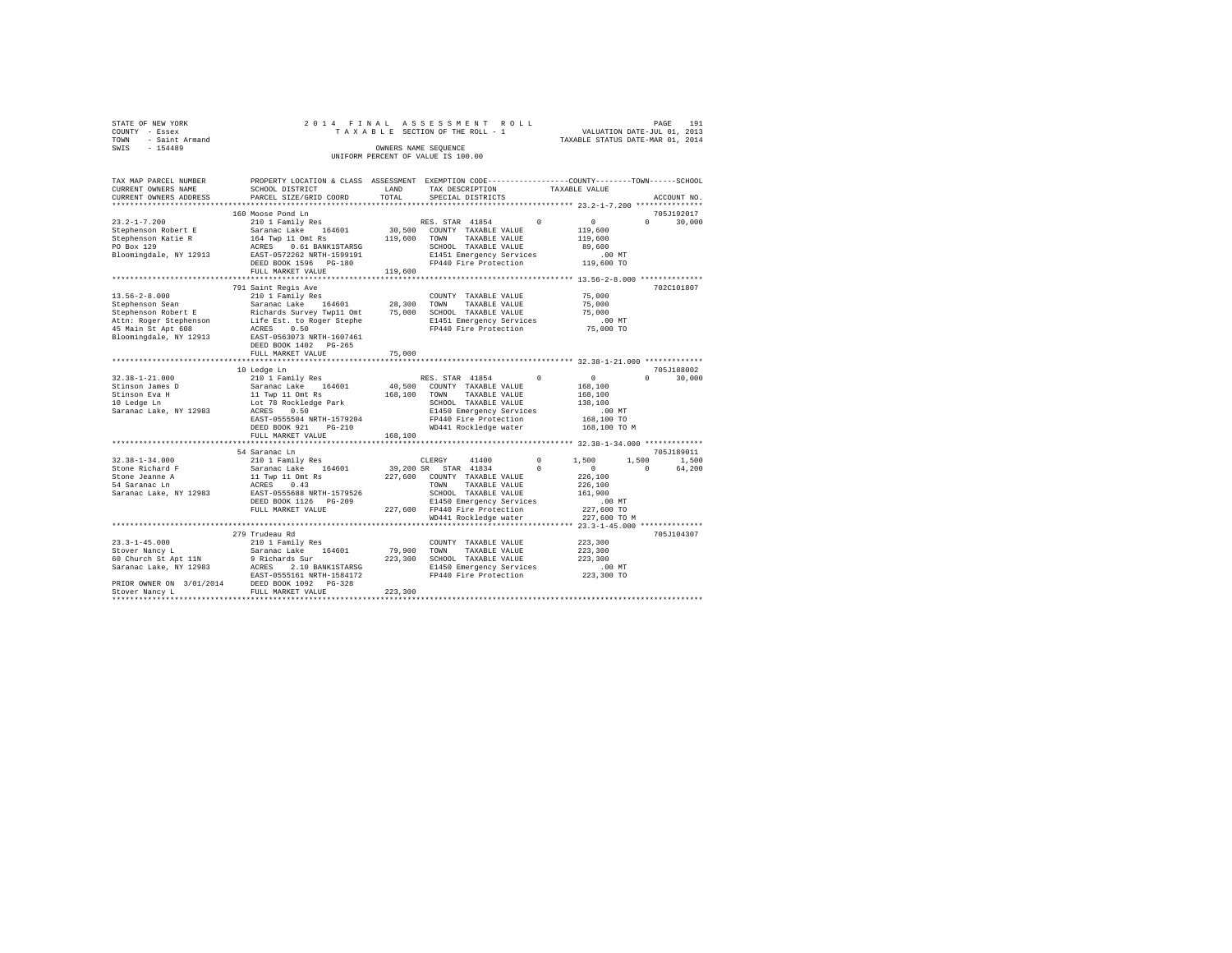| STATE OF NEW YORK   |  |  | 2014 FINAL ASSESSMENT ROLL         |                                  | PAGE | 191 |
|---------------------|--|--|------------------------------------|----------------------------------|------|-----|
| COUNTY - Essex      |  |  | TAXABLE SECTION OF THE ROLL - 1    | VALUATION DATE-JUL 01, 2013      |      |     |
| TOWN - Saint Armand |  |  |                                    | TAXABLE STATUS DATE-MAR 01, 2014 |      |     |
| SWIS<br>$-154489$   |  |  | OWNERS NAME SEOUENCE               |                                  |      |     |
|                     |  |  | UNIFORM PERCENT OF VALUE IS 100.00 |                                  |      |     |
|                     |  |  |                                    |                                  |      |     |

| TAX MAP PARCEL NUMBER  | PROPERTY LOCATION & CLASS ASSESSMENT                                              |         |                                    | EXEMPTION CODE-----------------COUNTY-------TOWN------SCHOOL |
|------------------------|-----------------------------------------------------------------------------------|---------|------------------------------------|--------------------------------------------------------------|
| CURRENT OWNERS NAME    | SCHOOL DISTRICT                                                                   | LAND    | TAX DESCRIPTION                    | TAXABLE VALUE                                                |
| CURRENT OWNERS ADDRESS | PARCEL SIZE/GRID COORD                                                            | TOTAL   | SPECIAL DISTRICTS                  | ACCOUNT NO.                                                  |
|                        |                                                                                   |         |                                    |                                                              |
|                        | 160 Moose Pond Ln                                                                 |         |                                    | 705J192017                                                   |
| $23.2 - 1 - 7.200$     | 210 1 Family Res                                                                  |         | RES. STAR 41854<br>$^{\circ}$      | $\circ$<br>$\Omega$<br>30,000                                |
| Stephenson Robert E    | Saranac Lake 164601                                                               | 30,500  | COUNTY TAXABLE VALUE               | 119,600                                                      |
| Stephenson Katie R     | 164 Twp 11 Omt Rs                                                                 | 119,600 | TOWN<br>TAXABLE VALUE              | 119,600                                                      |
| PO Box 129             | ACRES<br>0.61 BANK1STARSG                                                         |         | SCHOOL TAXABLE VALUE               | 89,600                                                       |
| Bloomingdale, NY 12913 | EAST-0572262 NRTH-1599191                                                         |         | E1451 Emergency Services           | $.00$ MT                                                     |
|                        | DEED BOOK 1596 PG-180                                                             |         | FP440 Fire Protection              | 119,600 TO                                                   |
|                        | FULL MARKET VALUE                                                                 | 119,600 |                                    |                                                              |
|                        |                                                                                   |         |                                    |                                                              |
|                        | 791 Saint Regis Ave                                                               |         |                                    | 702C101807                                                   |
|                        |                                                                                   |         |                                    |                                                              |
| $13.56 - 2 - 8.000$    | 210 1 Family Res                                                                  |         | COUNTY TAXABLE VALUE               | 75,000                                                       |
| Stephenson Sean        | Saranac Lake 164601 28,300                                                        |         | TOWN<br>TAXABLE VALUE              | 75,000                                                       |
| Stephenson Robert E    | Richards Survey Twp11 Omt                                                         | 75,000  | SCHOOL TAXABLE VALUE               | 75,000                                                       |
|                        | Attn: Roger Stephenson Life Est. to Roger Stephe<br>45 Main St Apt 608 ACRES 0.50 |         | E1451 Emergency Services           | .00 MT                                                       |
| 45 Main St Apt 608     |                                                                                   |         | FP440 Fire Protection              | 75,000 TO                                                    |
| Bloomingdale, NY 12913 | EAST-0563073 NRTH-1607461                                                         |         |                                    |                                                              |
|                        | DEED BOOK 1402 PG-265                                                             |         |                                    |                                                              |
|                        | FULL MARKET VALUE                                                                 | 75,000  |                                    |                                                              |
|                        |                                                                                   |         |                                    |                                                              |
|                        | 10 Ledge Ln                                                                       |         |                                    | 705J188002                                                   |
| $32.38 - 1 - 21.000$   | 210 1 Family Res                                                                  |         | RES. STAR 41854<br>$\Omega$        | 0<br>30,000<br>$\mathbf{r}$                                  |
| Stinson James D        | Saranac Lake 164601                                                               | 40,500  | COUNTY TAXABLE VALUE               | 168,100                                                      |
| Stinson Eva H          |                                                                                   | 168,100 | TOWN<br>TAXABLE VALUE              | 168,100                                                      |
| 10 Ledge Ln            | 11 Twp 11 Omt Rs<br>Lot 78 Rockledge Park                                         |         | SCHOOL TAXABLE VALUE               | 138,100                                                      |
| Saranac Lake, NY 12983 | ACRES<br>0.50                                                                     |         | E1450 Emergency Services           | $.00$ MT                                                     |
|                        | EAST-0555504 NRTH-1579204                                                         |         | FP440 Fire Protection              | 168,100 TO                                                   |
|                        |                                                                                   |         |                                    |                                                              |
|                        | DEED BOOK 921<br>$PG-210$                                                         |         | WD441 Rockledge water              | 168,100 TO M                                                 |
|                        | FULL MARKET VALUE                                                                 | 168,100 |                                    |                                                              |
|                        |                                                                                   |         |                                    |                                                              |
|                        | 54 Saranac Ln                                                                     |         |                                    | 705J189011                                                   |
| $32.38 - 1 - 34.000$   | 210 1 Family Res                                                                  |         | CLERGY<br>41400<br>$^{\circ}$      | 1,500<br>1,500<br>1,500                                      |
| Stone Richard F        |                                                                                   |         | 39,200 SR STAR 41834<br>$^{\circ}$ | $\sim$ 0<br>$\Omega$<br>64,200                               |
| Stone Jeanne A         |                                                                                   | 227,600 | COUNTY TAXABLE VALUE               | 226,100                                                      |
| 54 Saranac Ln          | Saranac Lake 164601<br>11 Twp 11 Omt Rs<br>ACRES 0.43                             |         | TOWN<br>TAXABLE VALUE              | 226,100                                                      |
| Saranac Lake, NY 12983 | EAST-0555688 NRTH-1579526                                                         |         | SCHOOL TAXABLE VALUE               | 161,900                                                      |
|                        | DEED BOOK 1126 PG-209                                                             |         | E1450 Emergency Services           | $.00$ MT                                                     |
|                        | FULL MARKET VALUE                                                                 |         | 227,600 FP440 Fire Protection      | 227,600 TO                                                   |
|                        |                                                                                   |         | WD441 Rockledge water              | 227,600 TO M                                                 |
|                        |                                                                                   |         |                                    | ***** 23.3-1-45.000 *************                            |
|                        | 279 Trudeau Rd                                                                    |         |                                    | 705J104307                                                   |
| $23.3 - 1 - 45.000$    | 210 1 Family Res                                                                  |         | COUNTY TAXABLE VALUE               | 223,300                                                      |
| Stover Nancy L         | Saranac Lake<br>164601                                                            | 79,900  | TOWN<br>TAXABLE VALUE              | 223,300                                                      |
| 60 Church St Apt 11N   | 9 Richards Sur                                                                    |         | 223,300 SCHOOL TAXABLE VALUE       | 223,300                                                      |
|                        |                                                                                   |         |                                    |                                                              |
| Saranac Lake, NY 12983 | ACRES<br>2.10 BANK1STARSG                                                         |         | E1450 Emergency Services           | $.00$ MT                                                     |
|                        | EAST-0555161 NRTH-1584172                                                         |         | FP440 Fire Protection              | 223,300 TO                                                   |
|                        | PRIOR OWNER ON 3/01/2014 DEED BOOK 1092 PG-328                                    |         |                                    |                                                              |
| Stover Nancy L         | FULL MARKET VALUE                                                                 | 223,300 |                                    |                                                              |
|                        |                                                                                   |         |                                    |                                                              |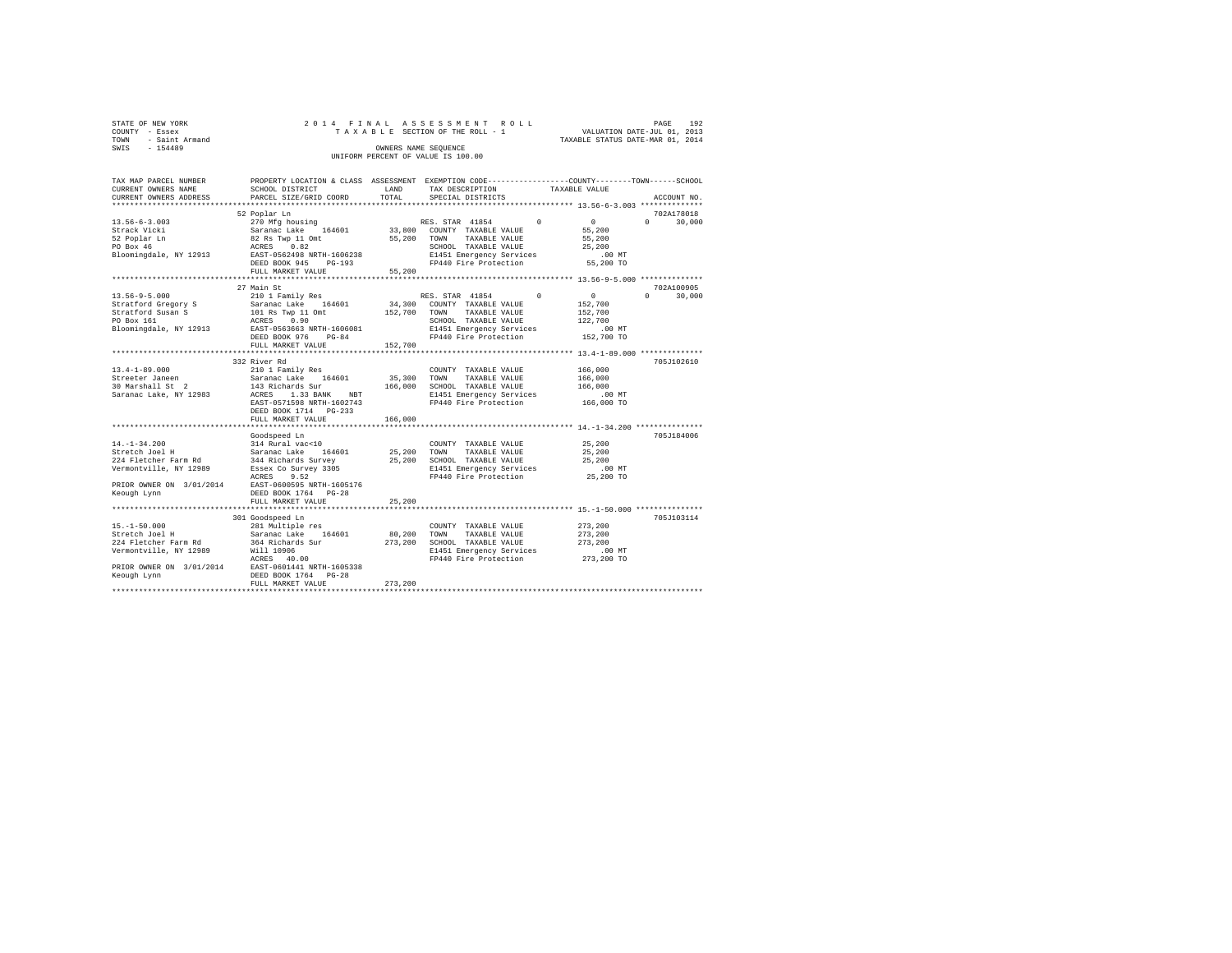| STATE OF NEW YORK   | 2014 FINAL ASSESSMENT ROLL         | PAGE                             | 192 |
|---------------------|------------------------------------|----------------------------------|-----|
| COUNTY - Essex      | TAXABLE SECTION OF THE ROLL - 1    | VALUATION DATE-JUL 01, 2013      |     |
| TOWN - Saint Armand |                                    | TAXABLE STATUS DATE-MAR 01, 2014 |     |
| SWIS<br>$-154489$   | OWNERS NAME SEOUENCE               |                                  |     |
|                     | UNIFORM PERCENT OF VALUE IS 100.00 |                                  |     |

| TAX MAP PARCEL NUMBER<br>CURRENT OWNERS NAME<br>CURRENT OWNERS ADDRESS                                                                                                                                                                                                                                                                                                                                             | PROPERTY LOCATION & CLASS ASSESSMENT EXEMPTION CODE----------------COUNTY-------TOWN------SCHOOL<br>SCHOOL DISTRICT<br>PARCEL SIZE/GRID COORD | LAND<br>TOTAL | TAX DESCRIPTION<br>SPECIAL DISTRICTS                                                                                                        | TAXABLE VALUE |                            | ACCOUNT NO.                               |
|--------------------------------------------------------------------------------------------------------------------------------------------------------------------------------------------------------------------------------------------------------------------------------------------------------------------------------------------------------------------------------------------------------------------|-----------------------------------------------------------------------------------------------------------------------------------------------|---------------|---------------------------------------------------------------------------------------------------------------------------------------------|---------------|----------------------------|-------------------------------------------|
|                                                                                                                                                                                                                                                                                                                                                                                                                    |                                                                                                                                               |               |                                                                                                                                             |               |                            |                                           |
|                                                                                                                                                                                                                                                                                                                                                                                                                    | 52 Poplar Ln                                                                                                                                  |               |                                                                                                                                             |               |                            | 702A178018                                |
|                                                                                                                                                                                                                                                                                                                                                                                                                    |                                                                                                                                               |               |                                                                                                                                             |               |                            | $0 \qquad \qquad$<br>30,000               |
|                                                                                                                                                                                                                                                                                                                                                                                                                    |                                                                                                                                               |               |                                                                                                                                             |               |                            |                                           |
|                                                                                                                                                                                                                                                                                                                                                                                                                    |                                                                                                                                               |               |                                                                                                                                             |               |                            |                                           |
|                                                                                                                                                                                                                                                                                                                                                                                                                    | FULL MARKET VALUE 55,200                                                                                                                      |               |                                                                                                                                             |               |                            |                                           |
|                                                                                                                                                                                                                                                                                                                                                                                                                    |                                                                                                                                               |               |                                                                                                                                             |               |                            |                                           |
| $\begin{tabular}{l c c c c c} \multicolumn{3}{c}{21018cm} & \multicolumn{3}{c}{21018cm} & \multicolumn{3}{c}{21018cm} & \multicolumn{3}{c}{118cm} & \multicolumn{3}{c}{118cm} & \multicolumn{3}{c}{118cm} & \multicolumn{3}{c}{118cm} & \multicolumn{3}{c}{118cm} & \multicolumn{3}{c}{118cm} & \multicolumn{3}{c}{118cm} & \multicolumn{3}{c}{118cm} & \multicolumn{3}{c}{118cm} & \multicolumn{3}{c}{118cm} & \$ | 27 Main St                                                                                                                                    |               | RES. STAR 41854 0 0                                                                                                                         |               |                            | 702A100905<br>$0 \qquad \qquad$<br>30,000 |
|                                                                                                                                                                                                                                                                                                                                                                                                                    |                                                                                                                                               |               |                                                                                                                                             |               |                            |                                           |
|                                                                                                                                                                                                                                                                                                                                                                                                                    |                                                                                                                                               |               |                                                                                                                                             |               | 152,700<br>152,700         |                                           |
|                                                                                                                                                                                                                                                                                                                                                                                                                    |                                                                                                                                               |               |                                                                                                                                             |               | 122,700                    |                                           |
|                                                                                                                                                                                                                                                                                                                                                                                                                    |                                                                                                                                               |               |                                                                                                                                             |               |                            |                                           |
|                                                                                                                                                                                                                                                                                                                                                                                                                    |                                                                                                                                               |               | FP440 Fire Protection                                                                                                                       |               | ,,<br>00 MT.<br>152,700 TO |                                           |
|                                                                                                                                                                                                                                                                                                                                                                                                                    | FULL MARKET VALUE 152.700                                                                                                                     |               |                                                                                                                                             |               |                            |                                           |
|                                                                                                                                                                                                                                                                                                                                                                                                                    |                                                                                                                                               |               |                                                                                                                                             |               |                            |                                           |
|                                                                                                                                                                                                                                                                                                                                                                                                                    | 332 River Rd                                                                                                                                  |               |                                                                                                                                             |               |                            | 705J102610                                |
| 13.4-1-89.000<br>Strueter James 2010 I Family Res (14601 55,300<br>Strueter James 2011 - Saranac Lake (14601 55,300<br>30 Marshall St 2 – 313 BANK NBT 166,000<br>Saranac Lake, NY 12983 – EAST-0571598 NRTH-1602743                                                                                                                                                                                               |                                                                                                                                               |               | COUNTY TAXABLE VALUE                                                                                                                        |               | 166,000                    |                                           |
|                                                                                                                                                                                                                                                                                                                                                                                                                    |                                                                                                                                               |               | $166,000 \quad \text{TOWN} \quad \text{TAXABLE VALUE} \quad 166,000$ $166,000 \quad \text{SCHOOL} \quad \text{TAXABLE VALUE} \quad 166,000$ |               |                            |                                           |
|                                                                                                                                                                                                                                                                                                                                                                                                                    |                                                                                                                                               |               |                                                                                                                                             |               |                            |                                           |
|                                                                                                                                                                                                                                                                                                                                                                                                                    |                                                                                                                                               |               | E1451 Emergency Services<br>FP440 Fire Protection                                                                                           |               | 00 MT.<br>166,000 TO       |                                           |
|                                                                                                                                                                                                                                                                                                                                                                                                                    |                                                                                                                                               |               |                                                                                                                                             |               |                            |                                           |
|                                                                                                                                                                                                                                                                                                                                                                                                                    |                                                                                                                                               |               |                                                                                                                                             |               |                            |                                           |
|                                                                                                                                                                                                                                                                                                                                                                                                                    | FULL MARKET VALUE                                                                                                                             | 166,000       |                                                                                                                                             |               |                            |                                           |
|                                                                                                                                                                                                                                                                                                                                                                                                                    | Goodspeed Ln                                                                                                                                  |               |                                                                                                                                             |               |                            | 705J184006                                |
|                                                                                                                                                                                                                                                                                                                                                                                                                    |                                                                                                                                               |               |                                                                                                                                             |               | 25,200                     |                                           |
|                                                                                                                                                                                                                                                                                                                                                                                                                    |                                                                                                                                               |               |                                                                                                                                             |               | 25,200                     |                                           |
|                                                                                                                                                                                                                                                                                                                                                                                                                    |                                                                                                                                               |               |                                                                                                                                             |               | 25,200                     |                                           |
| 14.-1-34.200<br>Streetch Joel March (14601 25,200 TOMN TAXABLE VALUE<br>Streetch Joel H 344 Richards Survey 25,200 TOMN TAXABLE VALUE<br>224 Fletcher Farm Rd 344 Richards Survey 3305 25,200 SCHOOL TAXABLE VALUE<br>Vermontville, NY                                                                                                                                                                             |                                                                                                                                               |               |                                                                                                                                             |               |                            |                                           |
|                                                                                                                                                                                                                                                                                                                                                                                                                    |                                                                                                                                               |               |                                                                                                                                             |               |                            |                                           |
| PRIOR OWNER ON 3/01/2014 EAST-0600595 NRTH-1605176<br>Keough Lynn DEED BOOK 1764 PG-28                                                                                                                                                                                                                                                                                                                             |                                                                                                                                               |               |                                                                                                                                             |               |                            |                                           |
|                                                                                                                                                                                                                                                                                                                                                                                                                    |                                                                                                                                               |               |                                                                                                                                             |               |                            |                                           |
|                                                                                                                                                                                                                                                                                                                                                                                                                    | FULL MARKET VALUE                                                                                                                             | 25,200        |                                                                                                                                             |               |                            |                                           |
|                                                                                                                                                                                                                                                                                                                                                                                                                    |                                                                                                                                               |               |                                                                                                                                             |               |                            | 705J103114                                |
|                                                                                                                                                                                                                                                                                                                                                                                                                    |                                                                                                                                               |               | COUNTY TAXABLE VALUE 273,200                                                                                                                |               |                            |                                           |
|                                                                                                                                                                                                                                                                                                                                                                                                                    |                                                                                                                                               |               | 80,200 TOWN TAXABLE VALUE                                                                                                                   |               | 273,200                    |                                           |
|                                                                                                                                                                                                                                                                                                                                                                                                                    |                                                                                                                                               |               | 273,200 SCHOOL TAXABLE VALUE                                                                                                                |               | 273,200                    |                                           |
|                                                                                                                                                                                                                                                                                                                                                                                                                    |                                                                                                                                               |               | E1451 Emergency Services                                                                                                                    |               | $.00$ MT                   |                                           |
|                                                                                                                                                                                                                                                                                                                                                                                                                    |                                                                                                                                               |               | FP440 Fire Protection 273,200 TO                                                                                                            |               |                            |                                           |
|                                                                                                                                                                                                                                                                                                                                                                                                                    |                                                                                                                                               |               |                                                                                                                                             |               |                            |                                           |
| Keough Lynn                                                                                                                                                                                                                                                                                                                                                                                                        |                                                                                                                                               |               |                                                                                                                                             |               |                            |                                           |
|                                                                                                                                                                                                                                                                                                                                                                                                                    | FULL MARKET VALUE                                                                                                                             | 273,200       |                                                                                                                                             |               |                            |                                           |
|                                                                                                                                                                                                                                                                                                                                                                                                                    |                                                                                                                                               |               |                                                                                                                                             |               |                            |                                           |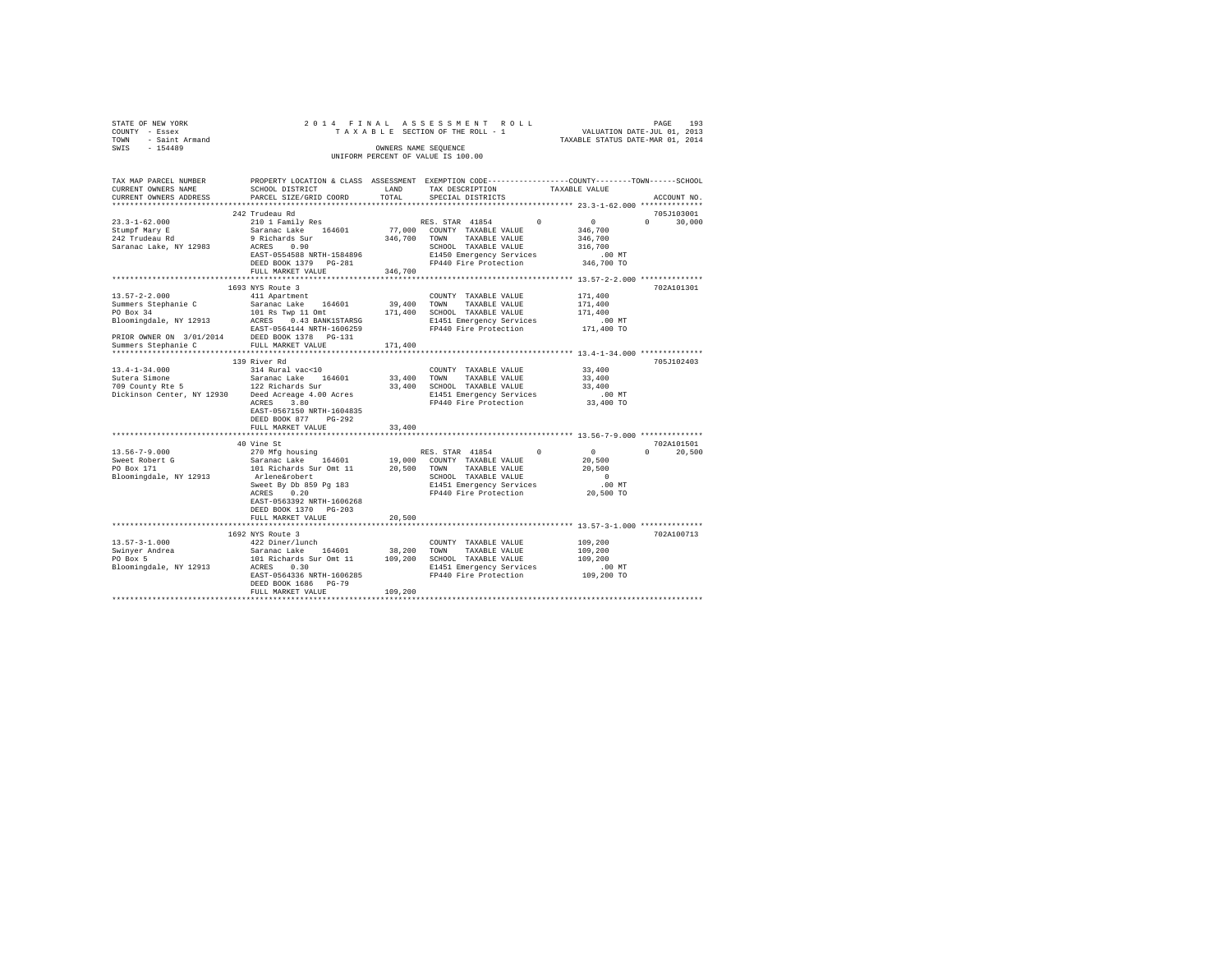| STATE OF NEW YORK                                                                                                                                                                                                                                                                                                                                                                                 |                                                                                                                        |               |                                                           |                                  |               |
|---------------------------------------------------------------------------------------------------------------------------------------------------------------------------------------------------------------------------------------------------------------------------------------------------------------------------------------------------------------------------------------------------|------------------------------------------------------------------------------------------------------------------------|---------------|-----------------------------------------------------------|----------------------------------|---------------|
| COUNTY - Essex                                                                                                                                                                                                                                                                                                                                                                                    |                                                                                                                        |               |                                                           |                                  |               |
| TOWN - Saint Armand<br>SWIS - 154489                                                                                                                                                                                                                                                                                                                                                              |                                                                                                                        |               |                                                           | TAXABLE STATUS DATE-MAR 01, 2014 |               |
|                                                                                                                                                                                                                                                                                                                                                                                                   |                                                                                                                        |               | OWNERS NAME SEQUENCE                                      |                                  |               |
|                                                                                                                                                                                                                                                                                                                                                                                                   |                                                                                                                        |               | UNIFORM PERCENT OF VALUE IS 100.00                        |                                  |               |
|                                                                                                                                                                                                                                                                                                                                                                                                   |                                                                                                                        |               |                                                           |                                  |               |
|                                                                                                                                                                                                                                                                                                                                                                                                   |                                                                                                                        |               |                                                           |                                  |               |
| TAX MAP PARCEL NUMBER PROPERTY LOCATION & CLASS ASSESSMENT EXEMPTION CODE--------------COUNTY-------TOWN-----SCHOOL                                                                                                                                                                                                                                                                               | SCHOOL DISTRICT                                                                                                        |               |                                                           |                                  |               |
| CURRENT OWNERS NAME<br>CURRENT OWNERS ADDRESS                                                                                                                                                                                                                                                                                                                                                     | PARCEL SIZE/GRID COORD                                                                                                 | LAND<br>TOTAL | TAX DESCRIPTION<br>SPECIAL DISTRICTS                      | TAXABLE VALUE                    | ACCOUNT NO.   |
|                                                                                                                                                                                                                                                                                                                                                                                                   |                                                                                                                        |               |                                                           |                                  |               |
|                                                                                                                                                                                                                                                                                                                                                                                                   |                                                                                                                        |               |                                                           |                                  |               |
|                                                                                                                                                                                                                                                                                                                                                                                                   | 242 Trudeau Rd                                                                                                         |               |                                                           |                                  | 705J103001    |
| $23.3 - 1 - 62.000$                                                                                                                                                                                                                                                                                                                                                                               | 210 1 Family Res                                                                                                       |               | RES. STAR 41854 0                                         | $\sim$ 0                         | $0 \t 30,000$ |
| Stumpf Mary E<br>242 Trudeau Rd                                                                                                                                                                                                                                                                                                                                                                   | Saranac Lake 164601                                                                                                    |               | 77,000 COUNTY TAXABLE VALUE<br>346,700 TOWN TAXABLE VALUE | 346,700                          |               |
|                                                                                                                                                                                                                                                                                                                                                                                                   | 9 Richards Sur<br>ACRES 0.90                                                                                           |               |                                                           | 346,700                          |               |
| Saranac Lake, NY 12983                                                                                                                                                                                                                                                                                                                                                                            |                                                                                                                        |               | SCHOOL TAXABLE VALUE                                      | 316,700                          |               |
|                                                                                                                                                                                                                                                                                                                                                                                                   | EAST-0554588 NRTH-1584896                                                                                              |               | E1450 Emergency Services                                  | .00MT                            |               |
|                                                                                                                                                                                                                                                                                                                                                                                                   | DEED BOOK 1379 PG-281                                                                                                  |               | FP440 Fire Protection 346,700 TO                          |                                  |               |
|                                                                                                                                                                                                                                                                                                                                                                                                   | FULL MARKET VALUE                                                                                                      | 346,700       |                                                           |                                  |               |
|                                                                                                                                                                                                                                                                                                                                                                                                   |                                                                                                                        |               |                                                           |                                  |               |
|                                                                                                                                                                                                                                                                                                                                                                                                   | 1693 NYS Route 3                                                                                                       |               |                                                           |                                  | 702A101301    |
| $13.57 - 2 - 2.000$                                                                                                                                                                                                                                                                                                                                                                               |                                                                                                                        |               | COUNTY TAXABLE VALUE                                      | 171,400                          |               |
|                                                                                                                                                                                                                                                                                                                                                                                                   |                                                                                                                        |               |                                                           | 171,400                          |               |
| $\begin{tabular}{l c c c c c c c c} \multicolumn{1}{c c c c} & \multicolumn{1}{c c c} & \multicolumn{1}{c c c} & \multicolumn{1}{c c c} & \multicolumn{1}{c c c} & \multicolumn{1}{c c c} & \multicolumn{1}{c c c} & \multicolumn{1}{c c c} & \multicolumn{1}{c c c} & \multicolumn{1}{c c c} & \multicolumn{1}{c c c} & \multicolumn{1}{c c c} & \multicolumn{1}{c c c} & \multicolumn{1}{c c c$ |                                                                                                                        |               |                                                           | 171,400                          |               |
|                                                                                                                                                                                                                                                                                                                                                                                                   |                                                                                                                        |               | E1451 Emergency Services                                  | $.00$ MT                         |               |
|                                                                                                                                                                                                                                                                                                                                                                                                   | EAST-0564144 NRTH-1606259 FP440 Fire Protection                                                                        |               |                                                           | 171,400 TO                       |               |
| PRIOR OWNER ON 3/01/2014 DEED BOOK 1378 PG-131<br>Summers Stephanie C FULL MARKET VALUE                                                                                                                                                                                                                                                                                                           |                                                                                                                        |               |                                                           |                                  |               |
|                                                                                                                                                                                                                                                                                                                                                                                                   |                                                                                                                        | 171,400       |                                                           |                                  |               |
|                                                                                                                                                                                                                                                                                                                                                                                                   |                                                                                                                        |               |                                                           |                                  |               |
|                                                                                                                                                                                                                                                                                                                                                                                                   | 139 River Rd                                                                                                           |               |                                                           |                                  | 705J102403    |
| $13.4 - 1 - 34.000$                                                                                                                                                                                                                                                                                                                                                                               | 314 Rural vac<10                                                                                                       |               | COUNTY TAXABLE VALUE                                      | 33,400                           |               |
|                                                                                                                                                                                                                                                                                                                                                                                                   |                                                                                                                        |               |                                                           | 33,400                           |               |
|                                                                                                                                                                                                                                                                                                                                                                                                   |                                                                                                                        |               |                                                           | 33,400                           |               |
|                                                                                                                                                                                                                                                                                                                                                                                                   |                                                                                                                        |               |                                                           | $.00$ MT                         |               |
|                                                                                                                                                                                                                                                                                                                                                                                                   | ACRES 3.80                                                                                                             |               | FP440 Fire Protection                                     | 33,400 TO                        |               |
|                                                                                                                                                                                                                                                                                                                                                                                                   | EAST-0567150 NRTH-1604835                                                                                              |               |                                                           |                                  |               |
|                                                                                                                                                                                                                                                                                                                                                                                                   | DEED BOOK 877 PG-292                                                                                                   |               |                                                           |                                  |               |
|                                                                                                                                                                                                                                                                                                                                                                                                   | FULL MARKET VALUE                                                                                                      | 33,400        |                                                           |                                  |               |
|                                                                                                                                                                                                                                                                                                                                                                                                   |                                                                                                                        |               |                                                           |                                  |               |
|                                                                                                                                                                                                                                                                                                                                                                                                   | 40 Vine St                                                                                                             |               |                                                           |                                  | 702A101501    |
| $13.56 - 7 - 9.000$                                                                                                                                                                                                                                                                                                                                                                               | 270 Mfg housing                                                                                                        |               | RES. STAR 41854                                           | $\sim$ 0<br>$^{\circ}$           | $0 \t 20.500$ |
|                                                                                                                                                                                                                                                                                                                                                                                                   | Saranac Lake 164601                                                                                                    |               | 19,000 COUNTY TAXABLE VALUE                               | 20,500                           |               |
| Sweet Robert G<br>PO Box 171                                                                                                                                                                                                                                                                                                                                                                      | 101 Richards Sur Omt 11 20,500 TOWN TAXABLE VALUE                                                                      |               |                                                           | 20,500                           |               |
| Bloomingdale, NY 12913                                                                                                                                                                                                                                                                                                                                                                            |                                                                                                                        |               |                                                           | $\sim$ 0                         |               |
|                                                                                                                                                                                                                                                                                                                                                                                                   |                                                                                                                        |               |                                                           | .00MT                            |               |
|                                                                                                                                                                                                                                                                                                                                                                                                   |                                                                                                                        |               |                                                           |                                  |               |
|                                                                                                                                                                                                                                                                                                                                                                                                   |                                                                                                                        |               |                                                           | 20,500 TO                        |               |
|                                                                                                                                                                                                                                                                                                                                                                                                   | EAST-0563392 NRTH-1606268                                                                                              |               |                                                           |                                  |               |
|                                                                                                                                                                                                                                                                                                                                                                                                   | DEED BOOK 1370 PG-203                                                                                                  |               |                                                           |                                  |               |
|                                                                                                                                                                                                                                                                                                                                                                                                   | FULL MARKET VALUE                                                                                                      | 20,500        |                                                           |                                  |               |
|                                                                                                                                                                                                                                                                                                                                                                                                   |                                                                                                                        |               |                                                           |                                  |               |
|                                                                                                                                                                                                                                                                                                                                                                                                   | 1692 NYS Route 3                                                                                                       |               |                                                           |                                  | 702A100713    |
| $13.57 - 3 - 1.000$                                                                                                                                                                                                                                                                                                                                                                               | 422 Diner/lunch                                                                                                        |               | COUNTY TAXABLE VALUE                                      | 109,200                          |               |
| Swinyer Andrea<br>PO Box 5                                                                                                                                                                                                                                                                                                                                                                        | Saranac Lake 164601 38,200 TOWN TAXABLE VALUE<br>101 Richards Sur Omt 11 109,200 SCHOOL TAXABLE VALUE<br>2005 0200 200 |               | 38,200 TOWN TAXABLE VALUE                                 | 109,200                          |               |
|                                                                                                                                                                                                                                                                                                                                                                                                   |                                                                                                                        |               |                                                           | 109,200                          |               |
| Bloomingdale, NY 12913 ACRES 0.30                                                                                                                                                                                                                                                                                                                                                                 |                                                                                                                        |               | E1451 Emergency Services<br>FP440 Fire Protection         | 00 MT.<br>109,200 TO             |               |
|                                                                                                                                                                                                                                                                                                                                                                                                   | EAST-0564336 NRTH-1606285                                                                                              |               |                                                           |                                  |               |
|                                                                                                                                                                                                                                                                                                                                                                                                   | DEED BOOK 1686 PG-79                                                                                                   |               |                                                           |                                  |               |
|                                                                                                                                                                                                                                                                                                                                                                                                   | FULL MARKET VALUE                                                                                                      | 109,200       |                                                           |                                  |               |
|                                                                                                                                                                                                                                                                                                                                                                                                   |                                                                                                                        |               |                                                           |                                  |               |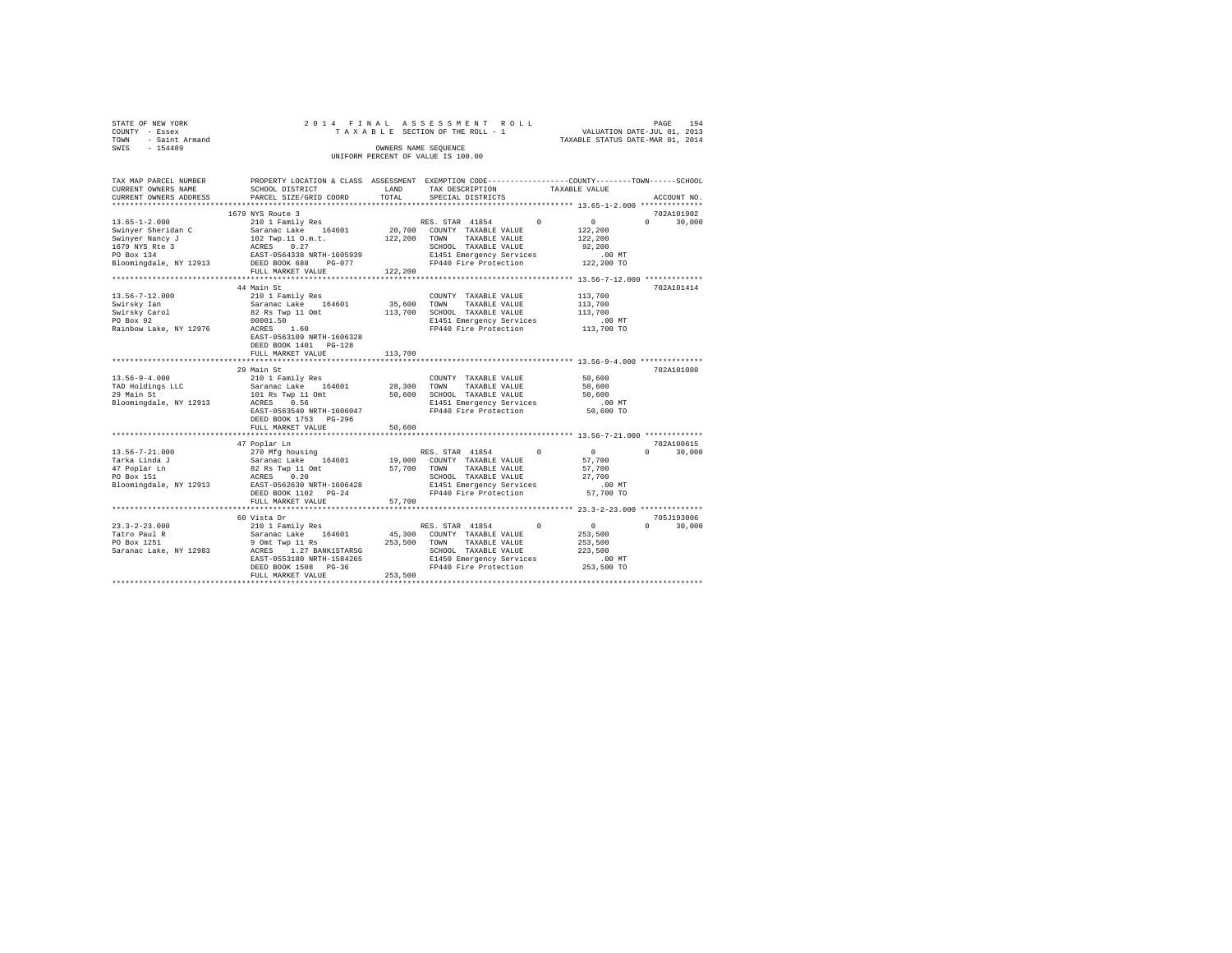| STATE OF NEW YORK   |  | 2014 FINAL ASSESSMENT ROLL         |                                  | PAGE                        | 194 |
|---------------------|--|------------------------------------|----------------------------------|-----------------------------|-----|
| COUNTY - Essex      |  | TAXABLE SECTION OF THE ROLL - 1    |                                  | VALUATION DATE-JUL 01, 2013 |     |
| TOWN - Saint Armand |  |                                    | TAXABLE STATUS DATE-MAR 01, 2014 |                             |     |
| SWIS<br>$-154489$   |  | OWNERS NAME SEOUENCE               |                                  |                             |     |
|                     |  | UNIFORM PERCENT OF VALUE IS 100.00 |                                  |                             |     |
|                     |  |                                    |                                  |                             |     |

| TAX MAP PARCEL NUMBER                        |                                                                          |              | PROPERTY LOCATION & CLASS ASSESSMENT EXEMPTION CODE---------------COUNTY-------TOWN-----SCHOOL |                          |        |
|----------------------------------------------|--------------------------------------------------------------------------|--------------|------------------------------------------------------------------------------------------------|--------------------------|--------|
| CURRENT OWNERS NAME                          | SCHOOL DISTRICT                                                          | LAND         | TAX DESCRIPTION                                                                                | TAXABLE VALUE            |        |
| CURRENT OWNERS ADDRESS                       | PARCEL SIZE/GRID COORD                                                   | TOTAL        | SPECIAL DISTRICTS                                                                              | ACCOUNT NO.              |        |
|                                              |                                                                          |              |                                                                                                |                          |        |
|                                              | 1679 NYS Route 3                                                         |              |                                                                                                | 702A101902               |        |
| $13.65 - 1 - 2.000$                          | 210 1 Family Res                                                         |              | $^{\circ}$<br>RES. STAR 41854                                                                  | 0<br>$\cap$              | 30,000 |
| Swinyer Sheridan C                           | Saranac Lake 164601                                                      |              | 20,700 COUNTY TAXABLE VALUE                                                                    | 122,200                  |        |
|                                              |                                                                          | 122,200 TOWN | TAXABLE VALUE                                                                                  | 122,200                  |        |
|                                              |                                                                          |              | SCHOOL TAXABLE VALUE                                                                           | 92,200                   |        |
|                                              |                                                                          |              |                                                                                                | .00 MT                   |        |
|                                              |                                                                          |              | E1451 Emergency Services<br>FP440 Fire Protection                                              | 122,200 TO               |        |
|                                              | FULL MARKET VALUE                                                        | 122,200      |                                                                                                |                          |        |
|                                              |                                                                          |              |                                                                                                |                          |        |
|                                              |                                                                          |              |                                                                                                |                          |        |
|                                              | 44 Main St                                                               |              |                                                                                                | 702A101414               |        |
| 13.56-7-12.000                               | 210 1 Family Res                                                         |              | COUNTY TAXABLE VALUE                                                                           | 113,700                  |        |
| Swirsky Ian                                  | Saranac Lake 164601<br>82 Rs Twp 11 Omt                                  | 35,600 TOWN  | TAXABLE VALUE                                                                                  | 113,700                  |        |
| Swirsky Carol                                |                                                                          | 113,700      | SCHOOL TAXABLE VALUE                                                                           | 113,700                  |        |
| PO Box 92                                    | 00001.50<br>ACRES                                                        |              | E1451 Emergency Services<br>FP440 Fire Protection                                              | .00 MT                   |        |
| Rainbow Lake, NY 12976                       | 1.60                                                                     |              |                                                                                                | $113,700$ TO             |        |
|                                              | EAST-0563109 NRTH-1606328                                                |              |                                                                                                |                          |        |
|                                              | DEED BOOK 1401    PG-128                                                 |              |                                                                                                |                          |        |
|                                              | FULL MARKET VALUE                                                        | 113,700      |                                                                                                |                          |        |
|                                              |                                                                          |              |                                                                                                |                          |        |
|                                              | 29 Main St                                                               |              |                                                                                                | 702A101008               |        |
| $13.56 - 9 - 4.000$                          | 210 1 Family Res                                                         |              | COUNTY TAXABLE VALUE                                                                           | 50,600                   |        |
|                                              |                                                                          |              | 28,300 TOWN<br>TAXABLE VALUE                                                                   | 50,600                   |        |
| TAD Holdings LLC<br>29 Main St<br>29 Main St | Saranac Lake 164601<br>101 Rs Twp 11 Omt                                 |              | 50,600 SCHOOL TAXABLE VALUE                                                                    | 50,600                   |        |
| Bloomingdale, NY 12913                       | ACRES 0.56                                                               |              | E1451 Emergency Services                                                                       | $.00$ MT                 |        |
|                                              | EAST-0563540 NRTH-1606047                                                |              | FP440 Fire Protection                                                                          | 50,600 TO                |        |
|                                              | DEED BOOK 1753 PG-296                                                    |              |                                                                                                |                          |        |
|                                              | FULL MARKET VALUE                                                        | 50,600       |                                                                                                |                          |        |
|                                              |                                                                          |              |                                                                                                |                          |        |
|                                              |                                                                          |              |                                                                                                | 702A100615               |        |
|                                              | 47 Poplar Ln                                                             |              |                                                                                                |                          |        |
| 13.56-7-21.000                               |                                                                          |              | RES. STAR 41854 0                                                                              | $\sim$ 0<br>$\mathbf{r}$ | 30,000 |
| Tarka Linda J                                |                                                                          |              | 19,000 COUNTY TAXABLE VALUE                                                                    | 57,700                   |        |
| 47 Poplar Ln                                 | 270 Mfg housing<br>Saranac Lake 164601<br>82 Rs Twp 11 Omt<br>ACRES 0.20 | 57,700 TOWN  | TAXABLE VALUE                                                                                  | 57,700                   |        |
| PO Box 151                                   |                                                                          |              | SCHOOL TAXABLE VALUE                                                                           | 27,700                   |        |
|                                              | Bloomingdale, NY 12913 EAST-0562630 NRTH-1606428                         |              | E1451 Emergency Services                                                                       | .00 MT                   |        |
|                                              | DEED BOOK 1102 PG-24                                                     |              | FP440 Fire Protection                                                                          | 57,700 TO                |        |
|                                              | FULL MARKET VALUE                                                        | 57,700       |                                                                                                |                          |        |
|                                              |                                                                          |              |                                                                                                |                          |        |
|                                              | 60 Vista Dr                                                              |              |                                                                                                | 705J193006               |        |
| $23.3 - 2 - 23.000$                          |                                                                          |              | $\Omega$<br>RES. STAR 41854                                                                    | $\sim$ 0<br>$\Omega$     | 30,000 |
| Tatro Paul R                                 | 210 1 Family Res<br>Saranac Lake 164601<br>9 Omt Twp 11 Rs               |              | 45,300 COUNTY TAXABLE VALUE                                                                    | 253,500                  |        |
| PO Box 1251                                  |                                                                          | 253,500 TOWN | TAXABLE VALUE                                                                                  | 253,500                  |        |
|                                              |                                                                          |              |                                                                                                | 223,500                  |        |
|                                              |                                                                          |              |                                                                                                | $.00$ MT                 |        |
|                                              | DEED BOOK 1508 PG-36                                                     |              | FP440 Fire Protection 253,500 TO                                                               |                          |        |
|                                              | FULL MARKET VALUE                                                        | 253,500      |                                                                                                |                          |        |
|                                              |                                                                          |              |                                                                                                |                          |        |
|                                              |                                                                          |              |                                                                                                |                          |        |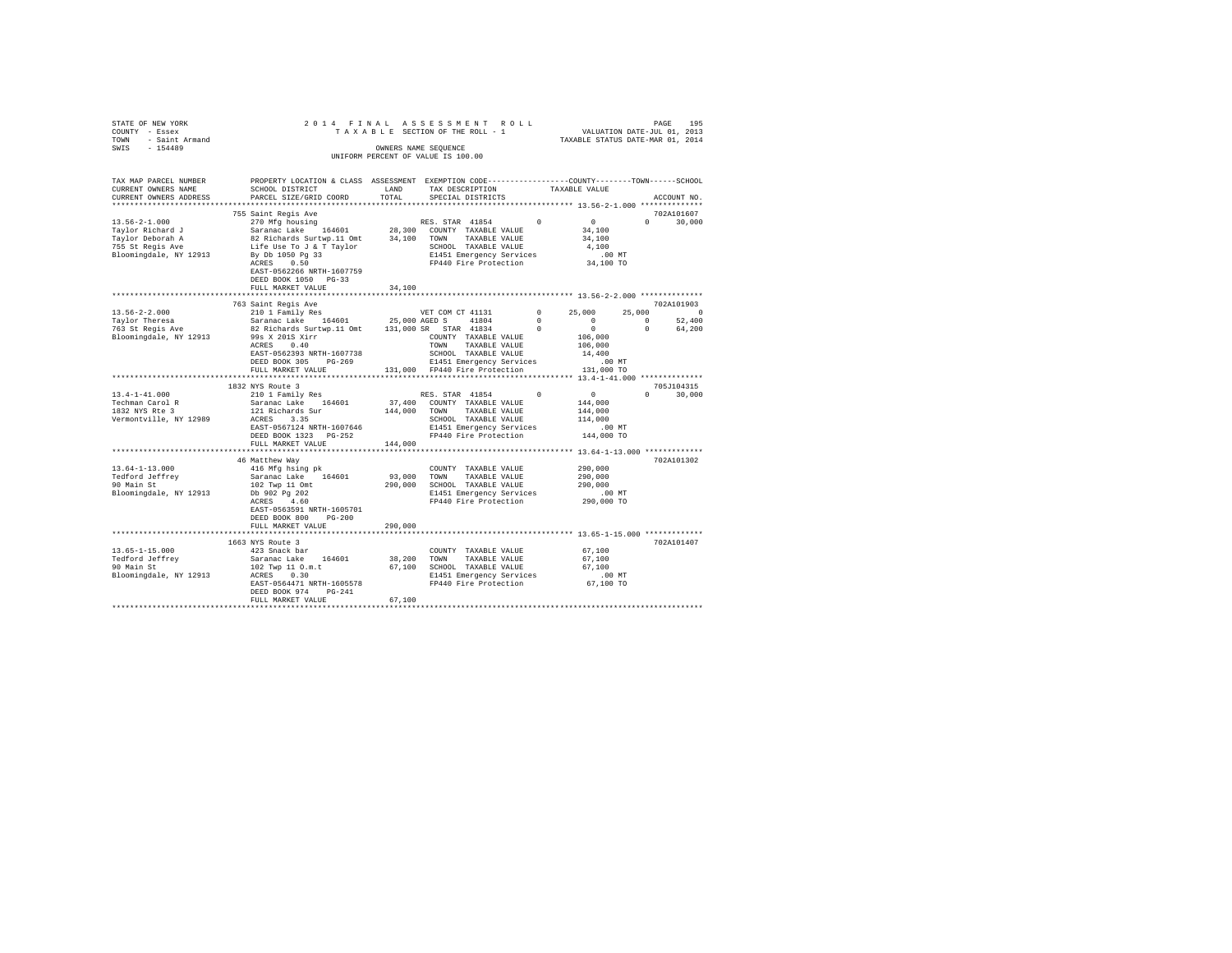|                                                                                   |                                                                                                                                                                                                                                                                                                                                                          |         | PAGE 195 PAGE 195 את PAGE 195 PAGE 195 PAGE 195 PAGE 195 את PAGE 195 PAGE 195 PAGE 201 PAGE 2014 PL<br>TAXABLE SECTION OF THE ROLL - 1 TAXABLE STATUS DATE-JUL 1 |               |                                                                                                                       |               |
|-----------------------------------------------------------------------------------|----------------------------------------------------------------------------------------------------------------------------------------------------------------------------------------------------------------------------------------------------------------------------------------------------------------------------------------------------------|---------|------------------------------------------------------------------------------------------------------------------------------------------------------------------|---------------|-----------------------------------------------------------------------------------------------------------------------|---------------|
|                                                                                   |                                                                                                                                                                                                                                                                                                                                                          |         |                                                                                                                                                                  |               |                                                                                                                       |               |
|                                                                                   |                                                                                                                                                                                                                                                                                                                                                          |         | OWNERS NAME SEOUENCE                                                                                                                                             |               |                                                                                                                       |               |
| STATE OF NEW YORK $20$<br>TOWNT - Essex $20$<br>TOWN - Saint Armand SWIS - 154489 |                                                                                                                                                                                                                                                                                                                                                          |         | UNIFORM PERCENT OF VALUE IS 100.00                                                                                                                               |               |                                                                                                                       |               |
|                                                                                   |                                                                                                                                                                                                                                                                                                                                                          |         |                                                                                                                                                                  |               |                                                                                                                       |               |
|                                                                                   |                                                                                                                                                                                                                                                                                                                                                          |         |                                                                                                                                                                  |               |                                                                                                                       |               |
| TAX MAP PARCEL NUMBER                                                             | PROPERTY LOCATION & CLASS ASSESSMENT EXEMPTION CODE---------------COUNTY-------TOWN------SCHOOL                                                                                                                                                                                                                                                          |         |                                                                                                                                                                  |               |                                                                                                                       |               |
| CURRENT OWNERS NAME                                                               | SCHOOL DISTRICT                                                                                                                                                                                                                                                                                                                                          |         | LAND TAX DESCRIPTION                                                                                                                                             | TAXABLE VALUE |                                                                                                                       |               |
| CURRENT OWNERS ADDRESS                                                            | PARCEL SIZE/GRID COORD                                                                                                                                                                                                                                                                                                                                   | TOTAL   | SPECIAL DISTRICTS                                                                                                                                                |               |                                                                                                                       | ACCOUNT NO.   |
|                                                                                   |                                                                                                                                                                                                                                                                                                                                                          |         |                                                                                                                                                                  |               |                                                                                                                       |               |
|                                                                                   | 755 Saint Regis Ave                                                                                                                                                                                                                                                                                                                                      |         |                                                                                                                                                                  |               |                                                                                                                       | 702A101607    |
| $13.56 - 2 - 1.000$                                                               | 270 Mfg housing                                                                                                                                                                                                                                                                                                                                          |         | RES. STAR 41854 0                                                                                                                                                |               | $\begin{array}{c}0\\34,100\end{array}$                                                                                | $0 \t 30.000$ |
|                                                                                   |                                                                                                                                                                                                                                                                                                                                                          |         |                                                                                                                                                                  |               |                                                                                                                       |               |
|                                                                                   |                                                                                                                                                                                                                                                                                                                                                          |         |                                                                                                                                                                  |               | 34,100                                                                                                                |               |
|                                                                                   |                                                                                                                                                                                                                                                                                                                                                          |         |                                                                                                                                                                  |               | 4,100                                                                                                                 |               |
|                                                                                   |                                                                                                                                                                                                                                                                                                                                                          |         |                                                                                                                                                                  |               | $.00$ MT                                                                                                              |               |
|                                                                                   |                                                                                                                                                                                                                                                                                                                                                          |         |                                                                                                                                                                  |               | 34,100 TO                                                                                                             |               |
|                                                                                   |                                                                                                                                                                                                                                                                                                                                                          |         |                                                                                                                                                                  |               |                                                                                                                       |               |
|                                                                                   | EAST-0562266 NRTH-1607759                                                                                                                                                                                                                                                                                                                                |         |                                                                                                                                                                  |               |                                                                                                                       |               |
|                                                                                   | DEED BOOK 1050 PG-33                                                                                                                                                                                                                                                                                                                                     |         |                                                                                                                                                                  |               |                                                                                                                       |               |
|                                                                                   | FULL MARKET VALUE                                                                                                                                                                                                                                                                                                                                        | 34,100  |                                                                                                                                                                  |               |                                                                                                                       |               |
|                                                                                   |                                                                                                                                                                                                                                                                                                                                                          |         |                                                                                                                                                                  |               |                                                                                                                       |               |
|                                                                                   | 763 Saint Regis Ave                                                                                                                                                                                                                                                                                                                                      |         |                                                                                                                                                                  |               |                                                                                                                       | 702A101903    |
|                                                                                   |                                                                                                                                                                                                                                                                                                                                                          |         |                                                                                                                                                                  |               |                                                                                                                       |               |
|                                                                                   |                                                                                                                                                                                                                                                                                                                                                          |         |                                                                                                                                                                  |               | $\begin{array}{cccc} 0 & 25\, , 000 & 25\, , 000 & 0 \\ 0 & 0 & 0 & 52\, , 400 \\ 0 & 0 & 0 & 64\, , 200 \end{array}$ |               |
|                                                                                   |                                                                                                                                                                                                                                                                                                                                                          |         |                                                                                                                                                                  |               |                                                                                                                       |               |
|                                                                                   |                                                                                                                                                                                                                                                                                                                                                          |         |                                                                                                                                                                  |               | $106,000$<br>$106,000$                                                                                                |               |
|                                                                                   |                                                                                                                                                                                                                                                                                                                                                          |         |                                                                                                                                                                  |               |                                                                                                                       |               |
|                                                                                   |                                                                                                                                                                                                                                                                                                                                                          |         |                                                                                                                                                                  |               | 14,400                                                                                                                |               |
|                                                                                   |                                                                                                                                                                                                                                                                                                                                                          |         |                                                                                                                                                                  |               | $.00$ MT                                                                                                              |               |
|                                                                                   |                                                                                                                                                                                                                                                                                                                                                          |         |                                                                                                                                                                  |               | 131,000 TO                                                                                                            |               |
|                                                                                   | **************************                                                                                                                                                                                                                                                                                                                               |         |                                                                                                                                                                  |               |                                                                                                                       |               |
|                                                                                   |                                                                                                                                                                                                                                                                                                                                                          |         |                                                                                                                                                                  |               |                                                                                                                       |               |
|                                                                                   | 1832 NYS Route 3                                                                                                                                                                                                                                                                                                                                         |         |                                                                                                                                                                  |               |                                                                                                                       | 705J104315    |
| $13.4 - 1 - 41.000$                                                               | 210 1 Family Res                                                                                                                                                                                                                                                                                                                                         |         |                                                                                                                                                                  |               | $\begin{array}{c}0\\144,000\end{array}$                                                                               | $0 \t 30,000$ |
| Techman Carol R<br>1832 NYS Rte 3                                                 |                                                                                                                                                                                                                                                                                                                                                          |         |                                                                                                                                                                  |               |                                                                                                                       |               |
|                                                                                   | $\begin{tabular}{lcccc} & & & & & & & \text{KKS. STAR} & 41854 & 0\\ \text{Saranac Lake} & 164601 & 37,400 & \text{COMNT TAXABLE VALUE} \\ 121 Richards Sur & 144,000 & \text{TOMN} & \text{TAXABLE VALUE} \\ \text{ACRES} & 3.35 & \text{error} & \text{error} & \text{error} \\ \text{PACT} & 64746.74 & \text{GUTAP} & \text{GUTAP} \\ \end{tabular}$ |         |                                                                                                                                                                  |               | 144,000                                                                                                               |               |
| Vermontville, NY 12989                                                            |                                                                                                                                                                                                                                                                                                                                                          |         |                                                                                                                                                                  |               | 114,000                                                                                                               |               |
|                                                                                   | EAST-0567124 NRTH-1607646                                                                                                                                                                                                                                                                                                                                |         |                                                                                                                                                                  |               |                                                                                                                       |               |
|                                                                                   | DEED BOOK 1323 PG-252                                                                                                                                                                                                                                                                                                                                    |         |                                                                                                                                                                  |               |                                                                                                                       |               |
|                                                                                   | FULL MARKET VALUE                                                                                                                                                                                                                                                                                                                                        | 144,000 |                                                                                                                                                                  |               |                                                                                                                       |               |
|                                                                                   |                                                                                                                                                                                                                                                                                                                                                          |         |                                                                                                                                                                  |               |                                                                                                                       |               |
|                                                                                   | 46 Matthew Way                                                                                                                                                                                                                                                                                                                                           |         |                                                                                                                                                                  |               |                                                                                                                       | 702A101302    |
| $13.64 - 1 - 13.000$                                                              | 416 Mfg hsing pk                                                                                                                                                                                                                                                                                                                                         |         | COUNTY TAXABLE VALUE                                                                                                                                             |               | 290,000                                                                                                               |               |
|                                                                                   |                                                                                                                                                                                                                                                                                                                                                          |         |                                                                                                                                                                  |               | 290,000                                                                                                               |               |
| Tedford Jeffrey<br>90 Main St                                                     | Saranac Lake 164601<br>102 Twp 11 Omt                                                                                                                                                                                                                                                                                                                    |         | 93,000 TOWN TAXABLE VALUE<br>290,000 SCHOOL TAXABLE VALUE                                                                                                        |               | 290,000                                                                                                               |               |
|                                                                                   |                                                                                                                                                                                                                                                                                                                                                          |         |                                                                                                                                                                  |               |                                                                                                                       |               |
| Bloomingdale, NY 12913                                                            | Db 902 Pg 202<br>ACRES 4.60                                                                                                                                                                                                                                                                                                                              |         | E1451 Emergency Services<br>FP440 Fire Protection<br>E1451 Emergency Services .00 MT<br>FP440 Fire Protection  290,000 TO                                        |               |                                                                                                                       |               |
|                                                                                   |                                                                                                                                                                                                                                                                                                                                                          |         |                                                                                                                                                                  |               |                                                                                                                       |               |
|                                                                                   | EAST-0563591 NRTH-1605701                                                                                                                                                                                                                                                                                                                                |         |                                                                                                                                                                  |               |                                                                                                                       |               |
|                                                                                   | DEED BOOK 800 PG-200                                                                                                                                                                                                                                                                                                                                     |         |                                                                                                                                                                  |               |                                                                                                                       |               |
|                                                                                   | FULL MARKET VALUE                                                                                                                                                                                                                                                                                                                                        | 290,000 |                                                                                                                                                                  |               |                                                                                                                       |               |
|                                                                                   |                                                                                                                                                                                                                                                                                                                                                          |         |                                                                                                                                                                  |               |                                                                                                                       |               |
|                                                                                   | 1663 NYS Route 3                                                                                                                                                                                                                                                                                                                                         |         |                                                                                                                                                                  |               |                                                                                                                       | 702A101407    |
| $13.65 - 1 - 15.000$                                                              | 423 Snack bar                                                                                                                                                                                                                                                                                                                                            |         | COUNTY TAXABLE VALUE                                                                                                                                             |               | 67,100                                                                                                                |               |
|                                                                                   |                                                                                                                                                                                                                                                                                                                                                          |         |                                                                                                                                                                  |               | 67.100                                                                                                                |               |
|                                                                                   |                                                                                                                                                                                                                                                                                                                                                          |         |                                                                                                                                                                  |               | 67,100                                                                                                                |               |
|                                                                                   |                                                                                                                                                                                                                                                                                                                                                          |         |                                                                                                                                                                  |               |                                                                                                                       |               |
|                                                                                   |                                                                                                                                                                                                                                                                                                                                                          |         |                                                                                                                                                                  |               | 00 MT.<br>67,100 TO                                                                                                   |               |
|                                                                                   | DEED BOOK 974 PG-241                                                                                                                                                                                                                                                                                                                                     |         |                                                                                                                                                                  |               |                                                                                                                       |               |
|                                                                                   | FULL MARKET VALUE                                                                                                                                                                                                                                                                                                                                        | 67,100  |                                                                                                                                                                  |               |                                                                                                                       |               |
|                                                                                   |                                                                                                                                                                                                                                                                                                                                                          |         |                                                                                                                                                                  |               |                                                                                                                       |               |
|                                                                                   |                                                                                                                                                                                                                                                                                                                                                          |         |                                                                                                                                                                  |               |                                                                                                                       |               |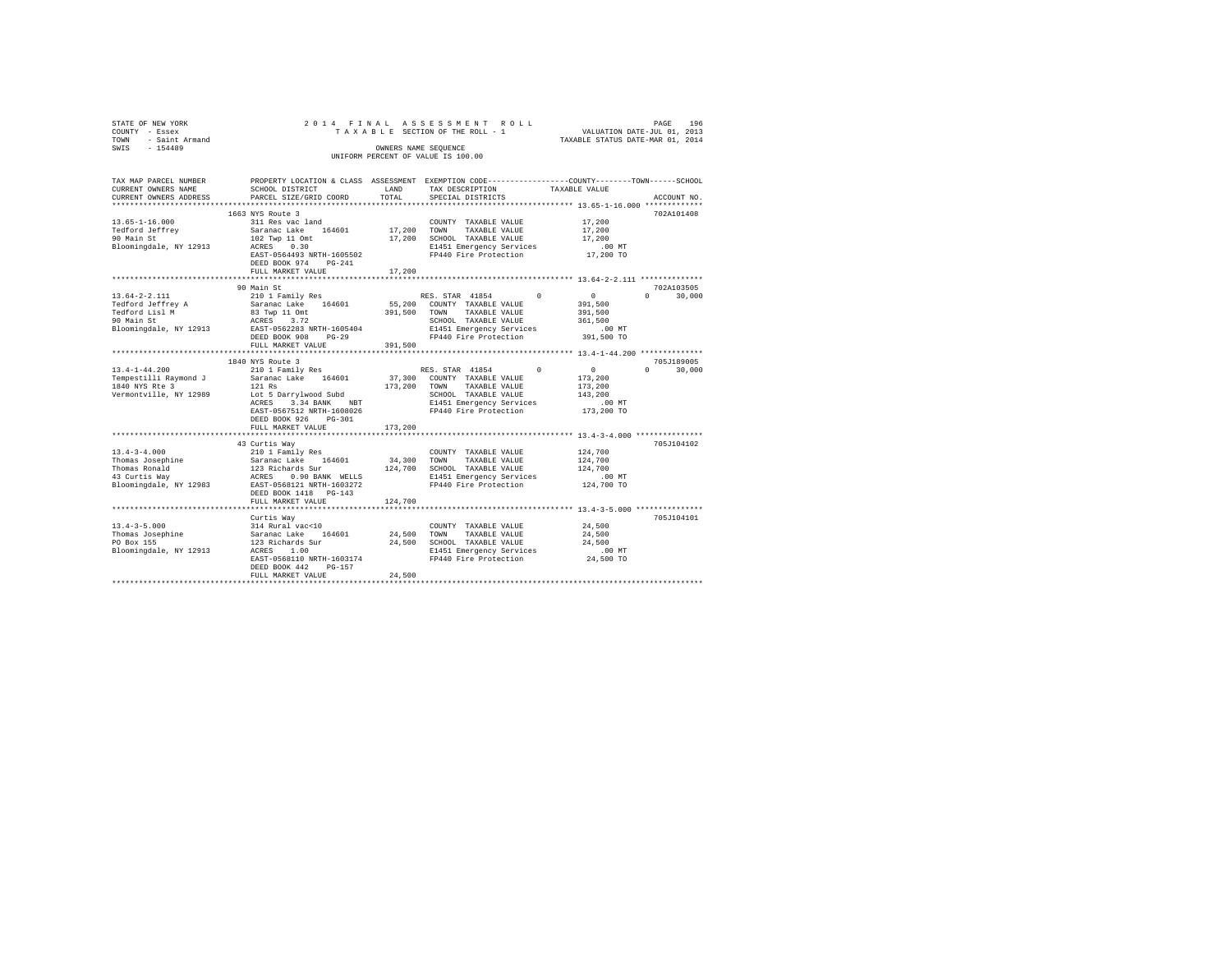| STATE OF NEW YORK                   | 2014 FINAL                                 |         | ASSESSMENT ROLL                                                                                |                                                      | PAGE<br>196        |
|-------------------------------------|--------------------------------------------|---------|------------------------------------------------------------------------------------------------|------------------------------------------------------|--------------------|
| COUNTY - Essex                      |                                            |         | TAXABLE SECTION OF THE ROLL - 1                                                                | VALUATION DATE-JUL 01, 2013                          |                    |
| - Saint Armand<br>TOWN              |                                            |         |                                                                                                | TAXABLE STATUS DATE-MAR 01, 2014                     |                    |
| $-154489$<br>SWIS                   |                                            |         | OWNERS NAME SEQUENCE                                                                           |                                                      |                    |
|                                     |                                            |         | UNIFORM PERCENT OF VALUE IS 100.00                                                             |                                                      |                    |
|                                     |                                            |         |                                                                                                |                                                      |                    |
| TAX MAP PARCEL NUMBER               |                                            |         | PROPERTY LOCATION & CLASS ASSESSMENT EXEMPTION CODE---------------COUNTY-------TOWN-----SCHOOL |                                                      |                    |
| CURRENT OWNERS NAME                 | SCHOOL DISTRICT                            | LAND    | TAX DESCRIPTION                                                                                | TAXABLE VALUE                                        |                    |
| CURRENT OWNERS ADDRESS              | PARCEL SIZE/GRID COORD                     | TOTAL   | SPECIAL DISTRICTS                                                                              |                                                      | ACCOUNT NO.        |
|                                     |                                            |         |                                                                                                |                                                      |                    |
|                                     | 1663 NYS Route 3                           |         |                                                                                                |                                                      | 702A101408         |
| $13.65 - 1 - 16.000$                | 311 Res vac land                           |         | COUNTY TAXABLE VALUE                                                                           | 17,200                                               |                    |
| Tedford Jeffrey                     | Saranac Lake 164601                        | 17,200  | TOWN<br>TAXABLE VALUE                                                                          | 17,200                                               |                    |
| 90 Main St                          | 102 Twp 11 Omt                             | 17,200  | SCHOOL TAXABLE VALUE                                                                           | 17,200                                               |                    |
| Bloomingdale, NY 12913              | 0.30<br>ACRES                              |         | E1451 Emergency Services                                                                       | $.00$ MT                                             |                    |
|                                     | EAST-0564493 NRTH-1605502                  |         | FP440 Fire Protection                                                                          | 17,200 TO                                            |                    |
|                                     | DEED BOOK 974<br>$PG-241$                  |         |                                                                                                |                                                      |                    |
|                                     | FULL MARKET VALUE<br>********************* | 17,200  |                                                                                                | ********************** 13.64-2-2.111 *************** |                    |
|                                     | 90 Main St                                 |         |                                                                                                |                                                      | 702A103505         |
| $13.64 - 2 - 2.111$                 |                                            |         | RES. STAR 41854<br>$^{\circ}$                                                                  | $\circ$                                              | $\Omega$<br>30,000 |
|                                     | 210 1 Family Res                           | 55,200  | COUNTY TAXABLE VALUE                                                                           | 391,500                                              |                    |
| Tedford Jeffrey A<br>Tedford Lisl M | Saranac Lake 164601                        |         | TAXABLE VALUE<br>TOWN                                                                          |                                                      |                    |
| 90 Main St                          | 83 Twp 11 Omt<br>ACRES<br>3.72             | 391,500 | SCHOOL TAXABLE VALUE                                                                           | 391,500<br>361,500                                   |                    |
| Bloomingdale, NY 12913              | EAST-0562283 NRTH-1605404                  |         | E1451 Emergency Services                                                                       | $.00$ MT                                             |                    |
|                                     | DEED BOOK 908<br>$PG-29$                   |         | FP440 Fire Protection                                                                          | 391,500 TO                                           |                    |
|                                     | FULL MARKET VALUE                          | 391,500 |                                                                                                |                                                      |                    |
|                                     | **************************                 |         |                                                                                                |                                                      |                    |
|                                     | 1840 NYS Route 3                           |         |                                                                                                |                                                      | 705.T189005        |
| $13.4 - 1 - 44.200$                 | 210 1 Family Res                           |         | RES. STAR 41854<br>$\Omega$                                                                    | $\circ$                                              | $\Omega$<br>30,000 |
| Tempestilli Raymond J               | Saranac Lake 164601                        | 37,300  | COUNTY TAXABLE VALUE                                                                           | 173,200                                              |                    |
| 1840 NYS Rte 3                      | 121 Rs                                     | 173,200 | TOWN<br>TAXABLE VALUE                                                                          | 173,200                                              |                    |
| Vermontville, NY 12989              | Lot 5 Darrylwood Subd                      |         | SCHOOL TAXABLE VALUE                                                                           | 143,200                                              |                    |
|                                     | ACRES 3.34 BANK NBT                        |         | E1451 Emergency Services                                                                       | $.00$ MT                                             |                    |
|                                     | EAST-0567512 NRTH-1608026                  |         | FP440 Fire Protection                                                                          | 173,200 TO                                           |                    |
|                                     | DEED BOOK 926<br>$PG-301$                  |         |                                                                                                |                                                      |                    |
|                                     | FULL MARKET VALUE                          | 173,200 |                                                                                                |                                                      |                    |
|                                     |                                            |         |                                                                                                |                                                      |                    |
|                                     | 43 Curtis Way                              |         |                                                                                                |                                                      | 705J104102         |
| $13.4 - 3 - 4.000$                  | 210 1 Family Res                           |         | COUNTY TAXABLE VALUE                                                                           | 124,700                                              |                    |
| Thomas Josephine                    | Saranac Lake<br>164601                     | 34,300  | TOWN<br>TAXABLE VALUE                                                                          | 124,700                                              |                    |
| Thomas Ronald                       | 123 Richards Sur                           | 124,700 | SCHOOL TAXABLE VALUE                                                                           | 124,700                                              |                    |
| 43 Curtis Way                       | ACRES 0.90 BANK WELLS                      |         | E1451 Emergency Services                                                                       | .00 MT                                               |                    |
| Bloomingdale, NY 12983              | EAST-0568121 NRTH-1603272                  |         | FP440 Fire Protection                                                                          | 124,700 TO                                           |                    |
|                                     | DEED BOOK 1418 PG-143                      |         |                                                                                                |                                                      |                    |
|                                     | FULL MARKET VALUE                          | 124,700 |                                                                                                |                                                      |                    |
|                                     | **************************************     |         | ********************************** 13.4-3-5.000 ****************                               |                                                      |                    |
|                                     | Curtis Way                                 |         |                                                                                                |                                                      | 705J104101         |
| $13.4 - 3 - 5.000$                  | 314 Rural vac<10                           |         | COUNTY TAXABLE VALUE                                                                           | 24,500                                               |                    |
| Thomas Josephine                    | Saranac Lake<br>164601                     | 24,500  | TOWN<br>TAXABLE VALUE                                                                          | 24,500                                               |                    |
| PO Box 155                          | 123 Richards Sur                           | 24,500  | SCHOOL TAXABLE VALUE                                                                           | 24,500                                               |                    |
| Bloomingdale, NY 12913              | ACRES 1.00                                 |         | E1451 Emergency Services                                                                       | $.00$ MT                                             |                    |
|                                     | EAST-0568110 NRTH-1603174                  |         | FP440 Fire Protection                                                                          | 24,500 TO                                            |                    |
|                                     | DEED BOOK 442<br>$PG-157$                  |         |                                                                                                |                                                      |                    |
|                                     | FULL MARKET VALUE                          | 24,500  |                                                                                                |                                                      |                    |
|                                     |                                            |         |                                                                                                |                                                      |                    |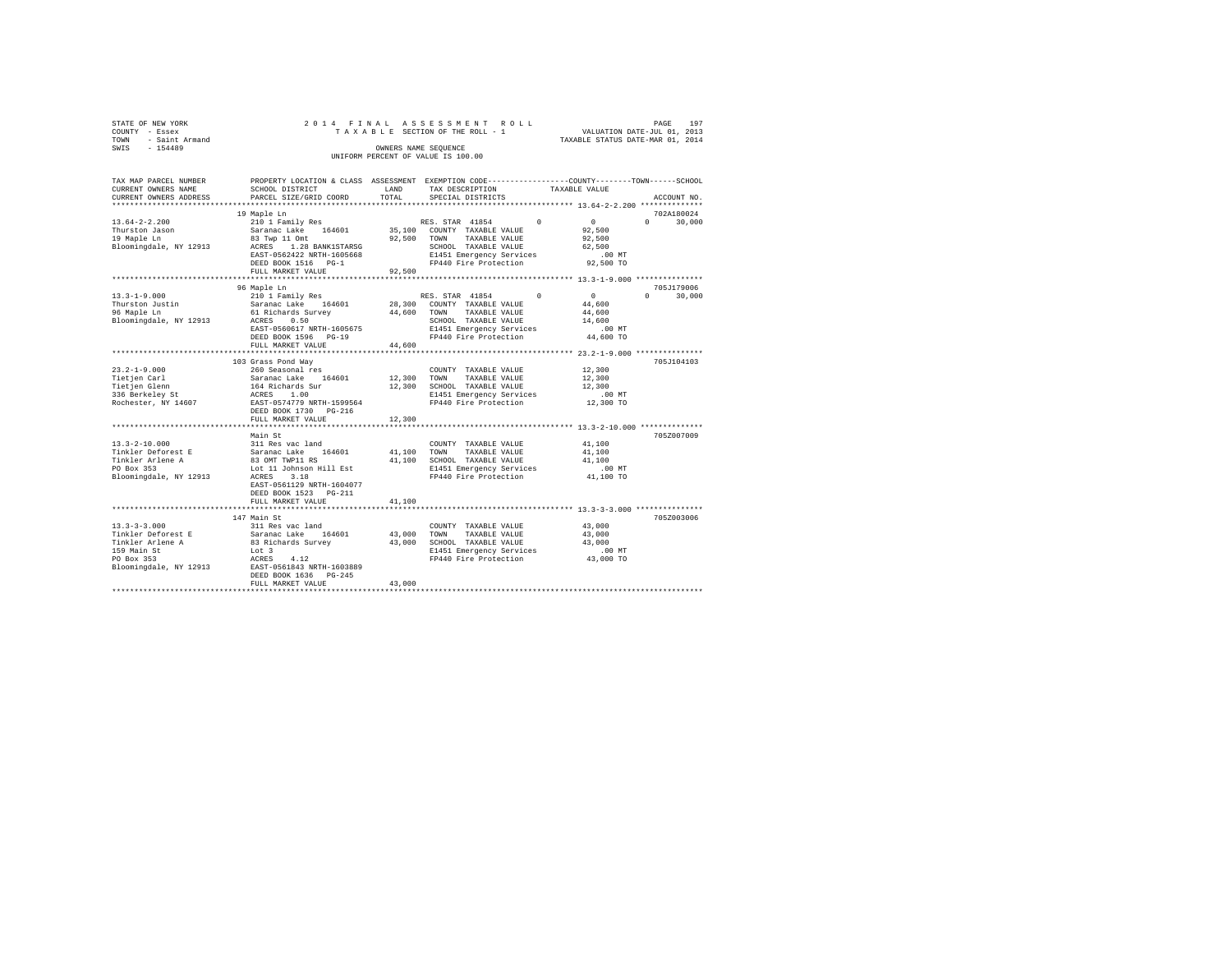| STATE OF NEW YORK   |  | 2014 FINAL ASSESSMENT ROLL         |                                  | PAGE | 197 |
|---------------------|--|------------------------------------|----------------------------------|------|-----|
| COUNTY - Essex      |  | TAXABLE SECTION OF THE ROLL - 1    | VALUATION DATE-JUL 01, 2013      |      |     |
| TOWN - Saint Armand |  |                                    | TAXABLE STATUS DATE-MAR 01, 2014 |      |     |
| SWIS<br>$-154489$   |  | OWNERS NAME SEOUENCE               |                                  |      |     |
|                     |  | UNIFORM PERCENT OF VALUE IS 100.00 |                                  |      |     |

| TAX MAP PARCEL NUMBER<br>CURRENT OWNERS NAME<br>CURRENT OWNERS ADDRESS                     | PROPERTY LOCATION & CLASS ASSESSMENT EXEMPTION CODE---------------COUNTY-------TOWN------SCHOOL<br>SCHOOL DISTRICT<br>PARCEL SIZE/GRID COORD | LAND<br>TOTAL | TAX DESCRIPTION<br>SPECIAL DISTRICTS                                | TAXABLE VALUE |                  | ACCOUNT NO.                 |
|--------------------------------------------------------------------------------------------|----------------------------------------------------------------------------------------------------------------------------------------------|---------------|---------------------------------------------------------------------|---------------|------------------|-----------------------------|
|                                                                                            |                                                                                                                                              |               |                                                                     |               |                  |                             |
|                                                                                            | 19 Maple Ln                                                                                                                                  |               |                                                                     |               |                  | 702A180024                  |
| $13.64 - 2 - 2.200$                                                                        | 210 1 Family Res RES. STAR 41854 0                                                                                                           |               |                                                                     |               | $\sim$ 0         | $\Omega$<br>30,000          |
| r.<br>Thurston Jason<br>' <sup>0</sup> Marle Ln                                            |                                                                                                                                              |               |                                                                     |               | 92,500           |                             |
|                                                                                            |                                                                                                                                              |               | 92,500 TOWN TAXABLE VALUE                                           |               | 92,500           |                             |
| Bloomingdale, NY 12913                                                                     |                                                                                                                                              |               |                                                                     |               | 62,500           |                             |
|                                                                                            | EAST-0562422 NRTH-1605668                                                                                                                    |               | E1451 Emergency Services                                            |               | $.00$ MT         |                             |
|                                                                                            | DEED BOOK 1516 PG-1<br>FULL MARKET VALUE 92,500                                                                                              |               | FP440 Fire Protection                                               |               | 92,500 TO        |                             |
|                                                                                            |                                                                                                                                              |               |                                                                     |               |                  |                             |
|                                                                                            |                                                                                                                                              |               |                                                                     |               |                  | 705J179006                  |
|                                                                                            |                                                                                                                                              |               |                                                                     |               | $\sim$ 0         | $0 \qquad \qquad$<br>30,000 |
|                                                                                            |                                                                                                                                              |               |                                                                     |               | 44,600           |                             |
|                                                                                            |                                                                                                                                              |               |                                                                     |               | 44,600           |                             |
|                                                                                            |                                                                                                                                              |               |                                                                     |               | 14,600           |                             |
|                                                                                            |                                                                                                                                              |               |                                                                     |               | $.00$ MT         |                             |
|                                                                                            |                                                                                                                                              |               |                                                                     |               | 44,600 TO        |                             |
|                                                                                            |                                                                                                                                              |               |                                                                     |               |                  |                             |
|                                                                                            |                                                                                                                                              |               |                                                                     |               |                  |                             |
|                                                                                            | 103 Grass Pond Way                                                                                                                           |               |                                                                     |               |                  | 705J104103                  |
|                                                                                            |                                                                                                                                              |               | COUNTY TAXABLE VALUE                                                |               | 12,300           |                             |
|                                                                                            |                                                                                                                                              |               | 12,300 TOWN TAXABLE VALUE                                           |               |                  |                             |
|                                                                                            |                                                                                                                                              |               | 12,300 SCHOOL TAXABLE VALUE                                         |               | 12,300<br>12,300 |                             |
|                                                                                            |                                                                                                                                              |               | E1451 Emergency Services<br>FP440 Fire Protection                   |               | $.00$ MT         |                             |
|                                                                                            |                                                                                                                                              |               |                                                                     |               | $12,300$ TO      |                             |
|                                                                                            | DEED BOOK 1730 PG-216                                                                                                                        |               |                                                                     |               |                  |                             |
|                                                                                            | FULL MARKET VALUE                                                                                                                            | 12,300        |                                                                     |               |                  |                             |
|                                                                                            |                                                                                                                                              |               |                                                                     |               |                  |                             |
|                                                                                            | Main St                                                                                                                                      |               |                                                                     |               |                  | 705Z007009                  |
|                                                                                            |                                                                                                                                              |               |                                                                     |               | 41,100           |                             |
|                                                                                            |                                                                                                                                              |               |                                                                     |               | 41,100           |                             |
|                                                                                            |                                                                                                                                              |               | 41,100 SCHOOL TAXABLE VALUE                                         |               | 41,100           |                             |
|                                                                                            |                                                                                                                                              |               |                                                                     |               |                  |                             |
|                                                                                            |                                                                                                                                              |               |                                                                     |               |                  |                             |
|                                                                                            | EAST-0561129 NRTH-1604077                                                                                                                    |               |                                                                     |               |                  |                             |
|                                                                                            | DEED BOOK 1523 PG-211                                                                                                                        |               |                                                                     |               |                  |                             |
|                                                                                            | FULL MARKET VALUE                                                                                                                            | 41,100        |                                                                     |               |                  |                             |
|                                                                                            | 147 Main St                                                                                                                                  |               |                                                                     |               |                  | 705Z003006                  |
|                                                                                            |                                                                                                                                              |               | COUNTY TAXABLE VALUE 43,000                                         |               |                  |                             |
|                                                                                            |                                                                                                                                              |               | 43,000 TOWN TAXABLE VALUE                                           |               | 43,000           |                             |
| 13.3-3-3.000<br>Tinkler Deforest E 311 Res vac land<br>Tinkler Arlene A 33 Richards Survey |                                                                                                                                              |               | 43,000 SCHOOL TAXABLE VALUE                                         |               | 43,000           |                             |
|                                                                                            |                                                                                                                                              |               |                                                                     |               |                  |                             |
|                                                                                            |                                                                                                                                              |               | E1451 Emergency Services .00 MT<br>FP440 Fire Protection  43,000 TO |               |                  |                             |
|                                                                                            |                                                                                                                                              |               |                                                                     |               |                  |                             |
|                                                                                            |                                                                                                                                              |               |                                                                     |               |                  |                             |
|                                                                                            | FULL MARKET VALUE                                                                                                                            | 43,000        |                                                                     |               |                  |                             |
|                                                                                            |                                                                                                                                              |               |                                                                     |               |                  |                             |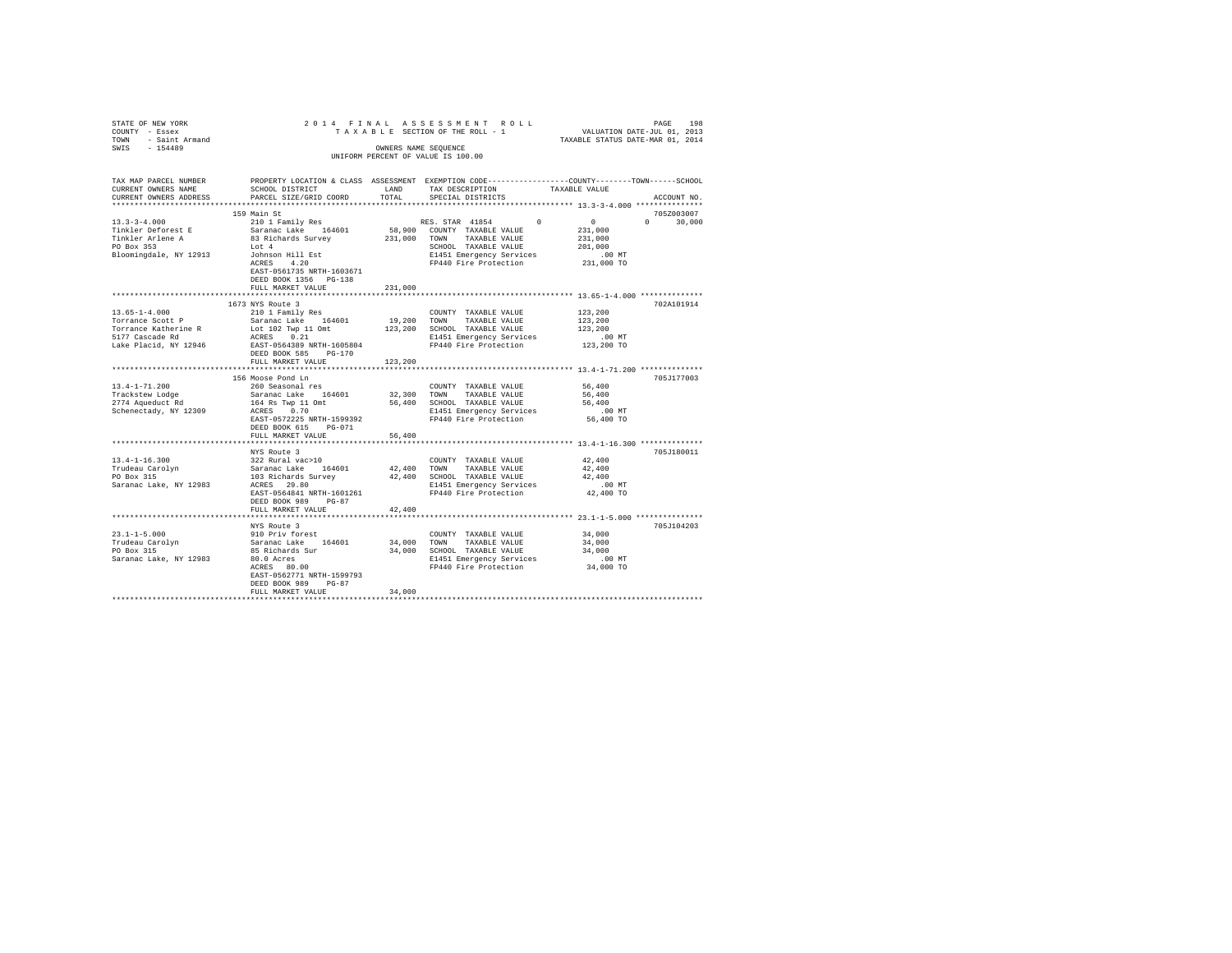| STATE OF NEW YORK                                                                                                   |                                                  |                      | PAGE 198 PAGE 198<br>TA XA B L E SECTION OF THE ROLL - 1 VALUATION DATE-JUL 01, 2013<br>TAXABLE STATUS DATE-MAR 01, 2014                                                                 |                           |             |
|---------------------------------------------------------------------------------------------------------------------|--------------------------------------------------|----------------------|------------------------------------------------------------------------------------------------------------------------------------------------------------------------------------------|---------------------------|-------------|
| COUNTY - Essex                                                                                                      |                                                  |                      |                                                                                                                                                                                          |                           |             |
| TOWN - Saint Armand                                                                                                 |                                                  |                      |                                                                                                                                                                                          |                           |             |
| SWIS - 154489                                                                                                       |                                                  | OWNERS NAME SEQUENCE |                                                                                                                                                                                          |                           |             |
|                                                                                                                     |                                                  |                      | UNIFORM PERCENT OF VALUE IS 100.00                                                                                                                                                       |                           |             |
|                                                                                                                     |                                                  |                      |                                                                                                                                                                                          |                           |             |
| TAX MAP PARCEL NUMBER PROPERTY LOCATION & CLASS ASSESSMENT EXEMPTION CODE--------------COUNTY-------TOWN-----SCHOOL |                                                  |                      |                                                                                                                                                                                          |                           |             |
| CURRENT OWNERS NAME                                                                                                 | SCHOOL DISTRICT                                  | LAND                 | TAX DESCRIPTION                                                                                                                                                                          | TAXABLE VALUE             |             |
| CURRENT OWNERS ADDRESS                                                                                              | PARCEL SIZE/GRID COORD                           | TOTAL                | SPECIAL DISTRICTS                                                                                                                                                                        |                           | ACCOUNT NO. |
|                                                                                                                     |                                                  |                      |                                                                                                                                                                                          |                           |             |
|                                                                                                                     | 159 Main St                                      |                      |                                                                                                                                                                                          |                           | 705Z003007  |
| $13.3 - 3 - 4.000$                                                                                                  | 210 1 Family Res                                 |                      | RES. STAR 41854<br>$\sim$ 0                                                                                                                                                              | $\sim$ 0<br>$0 \t 30,000$ |             |
| Tinkler Deforest E                                                                                                  | Saranac Lake 164601<br>83 Richards Survey        |                      | 58,900 COUNTY TAXABLE VALUE                                                                                                                                                              | 231,000                   |             |
| Tinkler Arlene A<br>PO Box 353                                                                                      |                                                  |                      | 231,000 TOWN TAXABLE VALUE                                                                                                                                                               | 231,000                   |             |
|                                                                                                                     | Lot 4                                            |                      | SCHOOL TAXABLE VALUE                                                                                                                                                                     | 201,000                   |             |
| Bloomingdale, NY 12913                                                                                              | Johnson Hill Est<br>ACRES 4.20                   |                      | E1451 Emergency Services                                                                                                                                                                 | $.00$ MT<br>231,000 TO    |             |
|                                                                                                                     | EAST-0561735 NRTH-1603671                        |                      | FP440 Fire Protection                                                                                                                                                                    |                           |             |
|                                                                                                                     | DEED BOOK 1356 PG-138                            |                      |                                                                                                                                                                                          |                           |             |
|                                                                                                                     | FULL MARKET VALUE                                | 231,000              |                                                                                                                                                                                          |                           |             |
|                                                                                                                     |                                                  |                      |                                                                                                                                                                                          |                           |             |
|                                                                                                                     | 1673 NYS Route 3                                 |                      |                                                                                                                                                                                          |                           | 702A101914  |
| $13.65 - 1 - 4.000$                                                                                                 | 210 1 Family Res                                 |                      | COUNTY TAXABLE VALUE                                                                                                                                                                     | 123,200                   |             |
| Torrance Scott P                                                                                                    |                                                  |                      |                                                                                                                                                                                          | 123,200                   |             |
| Torrance Katherine R                                                                                                |                                                  |                      |                                                                                                                                                                                          | 123,200                   |             |
| 5177 Cascade Rd                                                                                                     | ACRES 0.21                                       |                      | E1451 Emergency Services                                                                                                                                                                 | .00 MT                    |             |
| Lake Placid, NY 12946                                                                                               | EAST-0564389 NRTH-1605804                        |                      | FP440 Fire Protection                                                                                                                                                                    | 123,200 TO                |             |
|                                                                                                                     | DEED BOOK 585 PG-170                             |                      |                                                                                                                                                                                          |                           |             |
|                                                                                                                     | FULL MARKET VALUE                                | 123,200              |                                                                                                                                                                                          |                           |             |
|                                                                                                                     |                                                  |                      |                                                                                                                                                                                          |                           |             |
| $13.4 - 1 - 71.200$                                                                                                 | 156 Moose Pond Ln<br>260 Seasonal res            |                      | COUNTY TAXABLE VALUE                                                                                                                                                                     | 56,400                    | 705J177003  |
|                                                                                                                     | Saranac Lake 164601                              |                      | 32,300 TOWN TAXABLE VALUE                                                                                                                                                                | 56,400                    |             |
| Trackstew Lodge<br>2774 Aqueduct Rd                                                                                 | 164 Rs Twp 11 Omt                                |                      | 56,400 SCHOOL TAXABLE VALUE                                                                                                                                                              | 56,400                    |             |
| Schenectady, NY 12309                                                                                               | ACRES 0.70                                       |                      |                                                                                                                                                                                          |                           |             |
|                                                                                                                     | EAST-0572225 NRTH-1599392                        |                      | E1451 Emergency Services .00 MT<br>FP440 Fire Protection 56,400 TO                                                                                                                       |                           |             |
|                                                                                                                     | DEED BOOK 615 PG-071                             |                      |                                                                                                                                                                                          |                           |             |
|                                                                                                                     | FULL MARKET VALUE                                | 56,400               |                                                                                                                                                                                          |                           |             |
|                                                                                                                     |                                                  |                      |                                                                                                                                                                                          |                           |             |
|                                                                                                                     |                                                  |                      |                                                                                                                                                                                          |                           | 705J180011  |
| $13.4 - 1 - 16.300$                                                                                                 |                                                  |                      |                                                                                                                                                                                          | 42,400                    |             |
| Trudeau Carolyn<br>PO Box 315                                                                                       |                                                  |                      | % as soure 3<br>1922 Rural vac>10<br>1932 Rural vac>10<br>103 Richards Survey 12,400 TOWN TAXABLE VALUE<br>103 Richards Survey 12,400 SCHOOL TAXABLE VALUE<br>ACRES 29.80<br>ACRES 29.80 | 42,400                    |             |
|                                                                                                                     |                                                  |                      |                                                                                                                                                                                          | 42,400                    |             |
| Saranac Lake, NY 12983                                                                                              |                                                  |                      |                                                                                                                                                                                          | $.00$ MT                  |             |
|                                                                                                                     | EAST-0564841 NRTH-1601261<br>DEED BOOK 989 PG-87 |                      | FP440 Fire Protection                                                                                                                                                                    | 42,400 TO                 |             |
|                                                                                                                     | FULL MARKET VALUE                                | 42,400               |                                                                                                                                                                                          |                           |             |
|                                                                                                                     |                                                  |                      |                                                                                                                                                                                          |                           |             |
|                                                                                                                     | NYS Route 3                                      |                      |                                                                                                                                                                                          |                           | 705J104203  |
| $23.1 - 1 - 5.000$                                                                                                  |                                                  |                      | COUNTY TAXABLE VALUE                                                                                                                                                                     | 34,000                    |             |
| Trudeau Carolyn<br>PO Box 315                                                                                       | 910 Priv forest<br>Saranac Lake 164601           |                      | 34,000 TOWN TAXABLE VALUE                                                                                                                                                                | 34,000                    |             |
|                                                                                                                     |                                                  |                      | 34,000 SCHOOL TAXABLE VALUE                                                                                                                                                              | 34,000                    |             |
| Saranac Lake, NY 12983                                                                                              | 85 Richards Sur<br>80.0 Acres<br>ACRES 80.00     |                      | E1451 Emergency Services<br>FP440 Fire Protection                                                                                                                                        | $.00$ MT                  |             |
|                                                                                                                     |                                                  |                      |                                                                                                                                                                                          | 34,000 TO                 |             |
|                                                                                                                     | EAST-0562771 NRTH-1599793                        |                      |                                                                                                                                                                                          |                           |             |
|                                                                                                                     | DEED BOOK 989 PG-87                              |                      |                                                                                                                                                                                          |                           |             |
|                                                                                                                     | FULL MARKET VALUE                                | 34,000               |                                                                                                                                                                                          |                           |             |
|                                                                                                                     |                                                  |                      |                                                                                                                                                                                          |                           |             |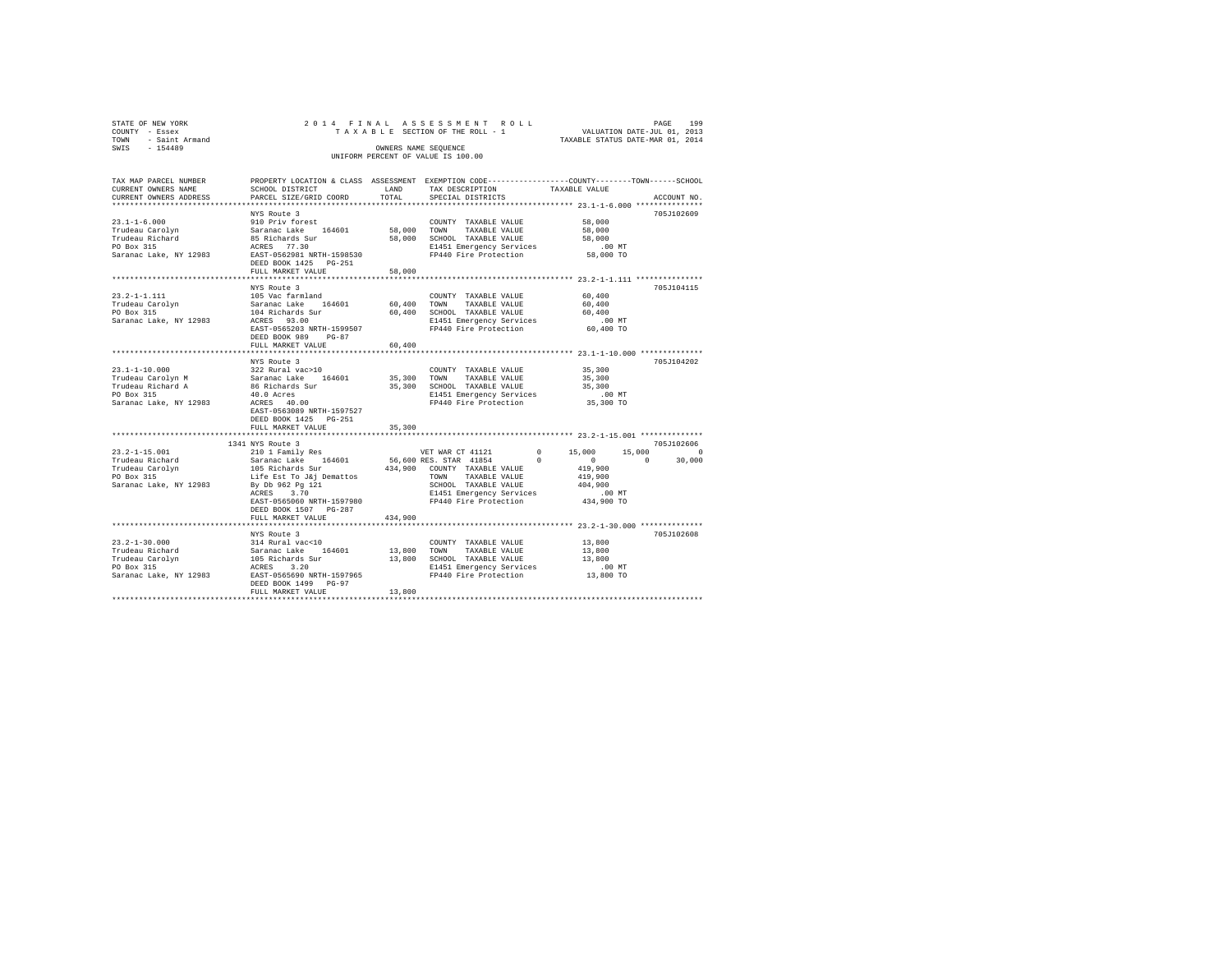| STATE OF NEW YORK<br>COUNTY<br>- Essex<br>- Saint Armand<br>TOWN<br>SWIS - 154489                                   |                                            | OWNERS NAME SEQUENCE | 2014 FINAL ASSESSMENT ROLL<br>UNIFORM PERCENT OF VALUE IS 100.00 | 199<br>PAGE<br>TAXABLE SECTION OF THE ROLL - 1 WALUATION DATE-JUL 01, 2013<br>TAXABLE STATUS DATE-MAR 01, 2014                     |
|---------------------------------------------------------------------------------------------------------------------|--------------------------------------------|----------------------|------------------------------------------------------------------|------------------------------------------------------------------------------------------------------------------------------------|
| CURRENT OWNERS NAME SCHOOL DISTRICT TAND<br>CURRENT OWNERS ADDRESS 6 PARCEL SIZE/GRID COORD TOTAL SPECIAL DISTRICTS |                                            |                      | TAX DESCRIPTION TAXABLE VALUE                                    | TAX MAP PARCEL NUMBER PROPERTY LOCATION & CLASS ASSESSMENT EXEMPTION CODE--------------COUNTY-------TOWN-----SCHOOL<br>ACCOUNT NO. |
|                                                                                                                     | NYS Route 3                                |                      |                                                                  | 705J102609                                                                                                                         |
| $23.1 - 1 - 6.000$                                                                                                  | 910 Priv forest                            |                      | COUNTY TAXABLE VALUE                                             | 58,000                                                                                                                             |
| Trudeau Carolyn Saranac Lake 164601 58,000                                                                          |                                            |                      | TOWN<br>TAXABLE VALUE                                            | 58,000                                                                                                                             |
| Trudeau Richard                                                                                                     | 85 Richards Sur                            | 58,000               | SCHOOL TAXABLE VALUE                                             | 58,000                                                                                                                             |
| PO Box 315<br>Saranac Lake, NY 12983<br>EAST-0562981 NRTH-1598530                                                   |                                            |                      | E1451 Emergency Services                                         | $.00$ MT                                                                                                                           |
|                                                                                                                     | DEED BOOK 1425 PG-251<br>FULL MARKET VALUE | 58,000               | FP440 Fire Protection                                            | 58,000 TO                                                                                                                          |
|                                                                                                                     |                                            |                      |                                                                  |                                                                                                                                    |
|                                                                                                                     | NYS Route 3                                |                      |                                                                  | 705.T104115                                                                                                                        |
| $23.2 - 1 - 1.111$ 105 Vac farmland                                                                                 |                                            |                      | COUNTY TAXABLE VALUE                                             | 60,400                                                                                                                             |
| Trudeau Carolyn                                                                                                     | Saranac Lake 164601 60,400                 |                      | TOWN<br>TAXABLE VALUE                                            | 60,400                                                                                                                             |
| PO Box 315                                                                                                          | 104 Richards Sur                           | 60,400               | TAXABLE VALUE 60.400<br>SCHOOL                                   |                                                                                                                                    |
| Saranac Lake, NY 12983                                                                                              | ACRES 93.00                                |                      | E1451 Emergency Services .00 MT                                  |                                                                                                                                    |

| baramac make, wi issue                                                                                                              | nunno soco<br>EAST-0565203 NRTH-1599507<br>DEED BOOK 989 PG-87<br>FULL MARKET VALUE                                                                                                                                                                     | 60,400                | BIRJI BMCLYCHCY JELVICES<br>FP440 Fire Protection 60,400 TO                                                                                                          |                                                                                                                                 |          |
|-------------------------------------------------------------------------------------------------------------------------------------|---------------------------------------------------------------------------------------------------------------------------------------------------------------------------------------------------------------------------------------------------------|-----------------------|----------------------------------------------------------------------------------------------------------------------------------------------------------------------|---------------------------------------------------------------------------------------------------------------------------------|----------|
| $23.1 - 1 - 10.000$<br>Trudeau Carolyn M<br>Trudeau Richard A 66 Richards Sur<br>PO Box 315<br>40.0 Acres<br>Saranac Lake, NY 12983 | NYS Route 3<br>322 Rural vac>10<br>Saranac Lake 164601<br>ACRES 40.00<br>EAST-0563089 NRTH-1597527<br>DEED BOOK 1425 PG-251<br>FULL MARKET VALUE                                                                                                        | 35,300 TOWN<br>35,300 | COUNTY TAXABLE VALUE<br>TAXABLE VALUE<br>35,300 SCHOOL TAXABLE VALUE<br>E1451 Emergency Services<br>FP440 Fire Protection 35,300 TO                                  | 705J104202<br>35,300<br>35,300<br>35,300<br>$.00$ MT                                                                            |          |
| $23.2 - 1 - 15.001$<br>Trudeau Richard<br>Trudeau Carolyn<br>PO Box 315<br>Saranac Lake, NY 12983                                   | 1341 NYS Route 3<br>210 1 Family Res<br>Saranac Lake 164601 56,600 RES. STAR 41854<br>105 Richards Sur<br>Life Est To J&j Demattos<br>By Db 962 Pg 121<br>ACRES 3.70<br>EAST-0565060 NRTH-1597980<br>DEED BOOK 1507 PG-287<br>FULL MARKET VALUE 434,900 |                       | VET WAR CT 41121<br>$^{\circ}$<br>434,900 COUNTY TAXABLE VALUE<br>TAXABLE VALUE<br>TOWN<br>SCHOOL TAXABLE VALUE<br>E1451 Emergency Services<br>FP440 Fire Protection | 705J102606<br>$0 \t 15.000$<br>15,000<br>$\sim$ 0<br>$\Omega$<br>30,000<br>419,900<br>419,900<br>404,900<br>.00MT<br>434,900 TO | $\Omega$ |
| $23.2 - 1 - 30.000$<br>Trudeau Richard<br>Trudeau Carolyn<br>PO Box 315<br>Saranac Lake, NY 12983                                   | NYS Route 3<br>314 Rural vac<10<br>Saranac Lake 164601<br>105 Richards Sur<br>ACRES 3.20<br>EAST-0565690 NRTH-1597965<br>DEED BOOK 1499 PG-97<br>FULL MARKET VALUE                                                                                      | 13,800 TOWN<br>13,800 | COUNTY TAXABLE VALUE<br>TAXABLE VALUE<br>13,800 SCHOOL TAXABLE VALUE<br>E1451 Emergency Services<br>FP440 Fire Protection                                            | 705J102608<br>13,800<br>13,800<br>13,800<br>$.00$ MT<br>13,800 TO                                                               |          |
|                                                                                                                                     |                                                                                                                                                                                                                                                         |                       |                                                                                                                                                                      |                                                                                                                                 |          |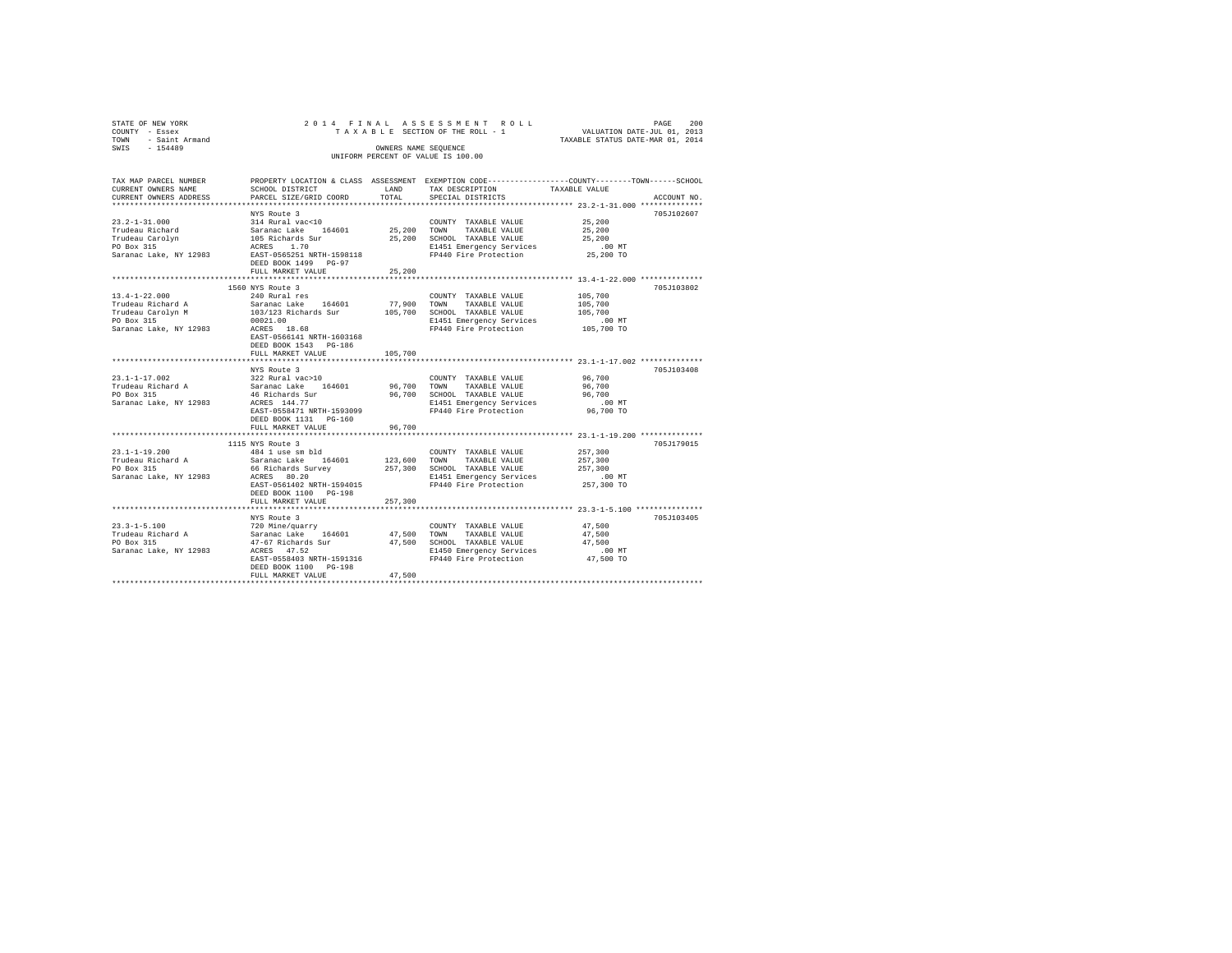| STATE OF NEW YORK<br>COUNTY - Essex<br>TOWN - Saint Armand<br>SWIS - 154489                                                 |                                                                                                                                                                                                                     | OWNERS NAME SEQUENCE   | 2014 FINAL ASSESSMENT ROLL<br>TAXABLE SECTION OF THE ROLL - 1<br>UNIFORM PERCENT OF VALUE IS 100.00                        | VALUATION DATE-JUL 01, 2013<br>TAXABLE STATUS DATE-MAR 01, 2014 | 200<br>PAGE |
|-----------------------------------------------------------------------------------------------------------------------------|---------------------------------------------------------------------------------------------------------------------------------------------------------------------------------------------------------------------|------------------------|----------------------------------------------------------------------------------------------------------------------------|-----------------------------------------------------------------|-------------|
| TAX MAP PARCEL NUMBER<br>CURRENT OWNERS NAME<br>CURRENT OWNERS ADDRESS                                                      | PROPERTY LOCATION & CLASS ASSESSMENT EXEMPTION CODE-----------------COUNTY-------TOWN-----SCHOOL<br>SCHOOL DISTRICT<br>PARCEL SIZE/GRID COORD                                                                       | LAND<br>TOTAL          | TAX DESCRIPTION<br>SPECIAL DISTRICTS                                                                                       | TAXABLE VALUE                                                   | ACCOUNT NO. |
| $23.2 - 1 - 31.000$<br>Trudeau Richard<br>Trudeau Carolyn<br>PO Box 315<br>Saranac Lake, NY 12983 EAST-0565251 NRTH-1598118 | NYS Route 3<br>314 Rural vac<10<br>Saranac Lake 164601 25,200 TOWN TAXABLE VALUE<br>105 Richards Sur<br>ACRES 1.70<br>DEED BOOK 1499 PG-97<br>FULL MARKET VALUE                                                     | 25,200                 | COUNTY TAXABLE VALUE<br>25,200 SCHOOL TAXABLE VALUE<br>E1451 Emergency Services<br>FP440 Fire Protection                   | 25,200<br>25,200<br>25,200<br>$.00$ MT<br>25,200 TO             | 705J102607  |
|                                                                                                                             |                                                                                                                                                                                                                     |                        |                                                                                                                            | ********************************* 13.4-1-22.000 **************  |             |
| $13.4 - 1 - 22.000$<br>Trudeau Richard A<br>Trudeau Carolyn M<br>PO Box 315<br>Saranac Lake, NY 12983                       | 1560 NYS Route 3<br>240 Rural res<br>Saranac Lake 164601<br>103/123 Richards Sur 105,700 SCHOOL TAXABLE VALUE<br>00021.00<br>ACRES 18.68<br>EAST-0566141 NRTH-1603168<br>DEED BOOK 1543 PG-186<br>FULL MARKET VALUE | 77,900 TOWN<br>105,700 | COUNTY TAXABLE VALUE<br>TAXABLE VALUE<br>E1451 Emergency Services<br>FP440 Fire Protection                                 | 105,700<br>105,700<br>105,700<br>$.00$ MT<br>105,700 TO         | 705J103802  |
|                                                                                                                             |                                                                                                                                                                                                                     |                        |                                                                                                                            | ******************** 23.1-1-17.002 **************               |             |
| $23.1 - 1 - 17.002$<br>Trudeau Richard A<br>PO Box 315<br>Saranac Lake, NY 12983                                            | NYS Route 3<br>322 Rural vac>10<br>Saranac Lake 164601<br>46 Richards Sur<br>ACRES 144.77<br>EAST-0558471 NRTH-1593099<br>DEED BOOK 1131 PG-160                                                                     | 96,700 TOWN            | COUNTY TAXABLE VALUE<br>TAXABLE VALUE<br>96,700 SCHOOL TAXABLE VALUE<br>E1451 Emergency Services<br>FP440 Fire Protection  | 96,700<br>96,700<br>96,700<br>$.00$ MT<br>96,700 TO             | 705J103408  |
|                                                                                                                             | FULL MARKET VALUE                                                                                                                                                                                                   | 96,700                 |                                                                                                                            |                                                                 |             |
| $23.1 - 1 - 19.200$<br>Trudeau Richard A<br>Trudeau Richard A<br>PO Box 315<br>Saranac Lake, NY 12983                       | 1115 NYS Route 3<br>484 1 use sm bld<br>Saranac Lake 164601<br>66 Richards Survey<br>ACRES 80.20<br>EAST-0561402 NRTH-1594015<br>DEED BOOK 1100 PG-198                                                              | 123,600 TOWN           | COUNTY TAXABLE VALUE<br>TAXABLE VALUE<br>257,300 SCHOOL TAXABLE VALUE<br>E1451 Emergency Services<br>FP440 Fire Protection | 257,300<br>257,300<br>257,300<br>.00 MT<br>257,300 TO           | 705J179015  |
|                                                                                                                             | FULL MARKET VALUE                                                                                                                                                                                                   | 257,300                |                                                                                                                            |                                                                 |             |
|                                                                                                                             |                                                                                                                                                                                                                     |                        |                                                                                                                            |                                                                 |             |
| $23.3 - 1 - 5.100$<br>Trudeau Richard A<br>PO Box 315<br>Saranac Lake, NY 12983                                             | NYS Route 3<br>720 Mine/quarry<br>Saranac Lake 164601 47,500 TOWN<br>47-67 Richards Sur<br>ACRES 47.52<br>EAST-0558403 NRTH-1591316<br>DEED BOOK 1100 PG-198<br>FULL MARKET VALUE                                   | 47.500                 | COUNTY TAXABLE VALUE<br>TAXABLE VALUE<br>47,500 SCHOOL TAXABLE VALUE<br>E1450 Emergency Services<br>FP440 Fire Protection  | 47.500<br>47.500<br>47.500<br>$.00$ MT<br>47,500 TO             | 705J103405  |
|                                                                                                                             |                                                                                                                                                                                                                     |                        |                                                                                                                            |                                                                 |             |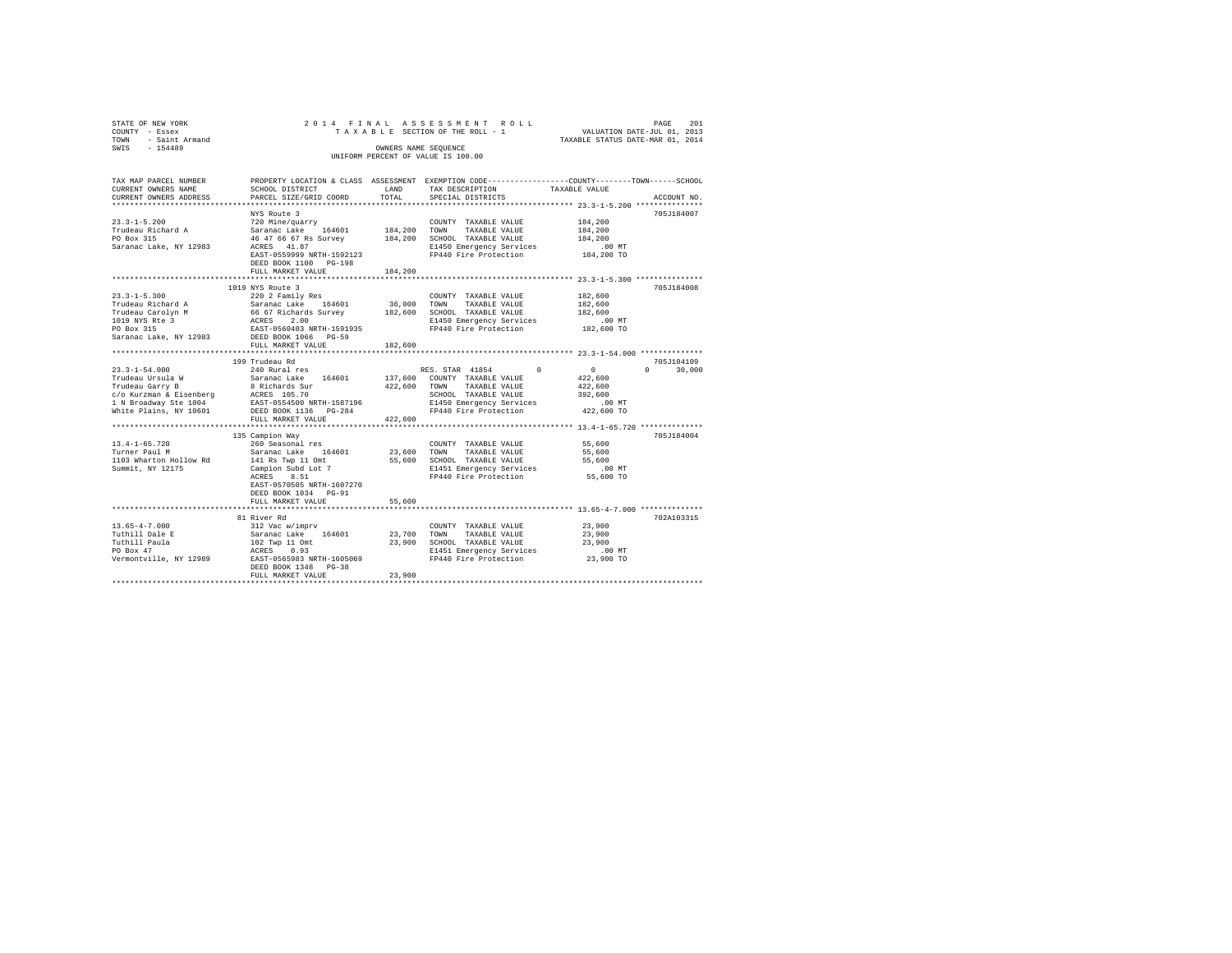| TAX MAP PARCEL NUMBER<br>PROPERTY LOCATION & CLASS ASSESSMENT EXEMPTION CODE----------------COUNTY-------TOWN------SCHOOL<br>CURRENT OWNERS NAME<br>LAND<br>SCHOOL DISTRICT<br>TAX DESCRIPTION<br>TAXABLE VALUE<br>CURRENT OWNERS ADDRESS<br>PARCEL SIZE/GRID COORD<br>TOTAL<br>SPECIAL DISTRICTS<br>ACCOUNT NO.<br>NYS Route 3<br>705J184007<br>$23.3 - 1 - 5.200$<br>720 Mine/guarry<br>184,200<br>COUNTY TAXABLE VALUE<br>Trudeau Richard A<br>Saranac Lake 164601 184,200 TOWN TAXABLE VALUE<br>184,200<br>184,200 SCHOOL TAXABLE VALUE<br>PO Box 315<br>46 47 66 67 Rs Survey<br>184,200<br>Saranac Lake, NY 12983<br>ACRES 41.87<br>E1450 Emergency Services<br>$.00$ MT<br>FP440 Fire Protection 184,200 TO<br>EAST-0559999 NRTH-1592123<br>DEED BOOK 1100 PG-198<br>FULL MARKET VALUE<br>184,200<br>1019 NYS Route 3<br>705J184008<br>$23.3 - 1 - 5.300$<br>220 2 Family Res<br>COUNTY TAXABLE VALUE<br>182,600<br>36,000 TOWN<br>Saranac Lake 164601<br>Trudeau Richard A<br>182,600<br>TAXABLE VALUE<br>66 67 Richards Survey<br>182,600 SCHOOL TAXABLE VALUE<br>ACRES 2.00 2.1450 Emergency Services<br>Trudeau Carolyn M<br>182,600<br>1019 NYS Rte 3<br>PO Box 315<br>E1450 Emergency Services<br>.00 MT<br>182,600 TO<br>EAST-0560403 NRTH-1591935<br>FP440 Fire Protection<br>Saranac Lake, NY 12983 DEED BOOK 1066 PG-59<br>FULL MARKET VALUE<br>182,600<br>199 Trudeau Rd<br>705J104109<br>240 Rural res<br>RES. STAR 41854 0 0<br>$0 \t 30,000$<br>$23.3 - 1 - 54.000$<br>Saranac Lake 164601<br>137,600 COUNTY TAXABLE VALUE<br>422,600<br>Trudeau Ursula W<br>422,600 TOWN<br>422,600<br>TAXABLE VALUE<br>SCHOOL TAXABLE VALUE<br>392,600<br>E1450 Emergency Services<br>.00 MT<br>422,600 TO<br>FP440 Fire Protection<br>422,600<br>FULL MARKET VALUE |
|----------------------------------------------------------------------------------------------------------------------------------------------------------------------------------------------------------------------------------------------------------------------------------------------------------------------------------------------------------------------------------------------------------------------------------------------------------------------------------------------------------------------------------------------------------------------------------------------------------------------------------------------------------------------------------------------------------------------------------------------------------------------------------------------------------------------------------------------------------------------------------------------------------------------------------------------------------------------------------------------------------------------------------------------------------------------------------------------------------------------------------------------------------------------------------------------------------------------------------------------------------------------------------------------------------------------------------------------------------------------------------------------------------------------------------------------------------------------------------------------------------------------------------------------------------------------------------------------------------------------------------------------------------------------------------------------------------------------------------------------------------------------------|
|                                                                                                                                                                                                                                                                                                                                                                                                                                                                                                                                                                                                                                                                                                                                                                                                                                                                                                                                                                                                                                                                                                                                                                                                                                                                                                                                                                                                                                                                                                                                                                                                                                                                                                                                                                            |
|                                                                                                                                                                                                                                                                                                                                                                                                                                                                                                                                                                                                                                                                                                                                                                                                                                                                                                                                                                                                                                                                                                                                                                                                                                                                                                                                                                                                                                                                                                                                                                                                                                                                                                                                                                            |
|                                                                                                                                                                                                                                                                                                                                                                                                                                                                                                                                                                                                                                                                                                                                                                                                                                                                                                                                                                                                                                                                                                                                                                                                                                                                                                                                                                                                                                                                                                                                                                                                                                                                                                                                                                            |
|                                                                                                                                                                                                                                                                                                                                                                                                                                                                                                                                                                                                                                                                                                                                                                                                                                                                                                                                                                                                                                                                                                                                                                                                                                                                                                                                                                                                                                                                                                                                                                                                                                                                                                                                                                            |
|                                                                                                                                                                                                                                                                                                                                                                                                                                                                                                                                                                                                                                                                                                                                                                                                                                                                                                                                                                                                                                                                                                                                                                                                                                                                                                                                                                                                                                                                                                                                                                                                                                                                                                                                                                            |
|                                                                                                                                                                                                                                                                                                                                                                                                                                                                                                                                                                                                                                                                                                                                                                                                                                                                                                                                                                                                                                                                                                                                                                                                                                                                                                                                                                                                                                                                                                                                                                                                                                                                                                                                                                            |
|                                                                                                                                                                                                                                                                                                                                                                                                                                                                                                                                                                                                                                                                                                                                                                                                                                                                                                                                                                                                                                                                                                                                                                                                                                                                                                                                                                                                                                                                                                                                                                                                                                                                                                                                                                            |
|                                                                                                                                                                                                                                                                                                                                                                                                                                                                                                                                                                                                                                                                                                                                                                                                                                                                                                                                                                                                                                                                                                                                                                                                                                                                                                                                                                                                                                                                                                                                                                                                                                                                                                                                                                            |
| 7057184004<br>135 Campion Way<br>260 Seasonal res<br>$13.4 - 1 - 65.720$<br>COUNTY TAXABLE VALUE<br>55,600<br>Saranac Lake 164601 23,600 TOWN<br>55,600<br>Turner Paul M<br>TAXABLE VALUE<br>Saranac Lane<br>141 Rs Twp 11 Omt<br>Campion Subd Lot 7<br>55,600 SCHOOL TAXABLE VALUE<br>1103 Wharton Hollow Rd<br>55,600<br>E1451 Emergency Services<br>FP440 Fire Protection<br>Summit, NY 12175<br>$.00$ MT<br>ACRES 8.51<br>55,600 TO                                                                                                                                                                                                                                                                                                                                                                                                                                                                                                                                                                                                                                                                                                                                                                                                                                                                                                                                                                                                                                                                                                                                                                                                                                                                                                                                    |
| EAST-0570505 NRTH-1607270<br>DEED BOOK 1034 PG-91<br>FULL MARKET VALUE<br>55,600                                                                                                                                                                                                                                                                                                                                                                                                                                                                                                                                                                                                                                                                                                                                                                                                                                                                                                                                                                                                                                                                                                                                                                                                                                                                                                                                                                                                                                                                                                                                                                                                                                                                                           |
| 81 River Rd<br>702A103315                                                                                                                                                                                                                                                                                                                                                                                                                                                                                                                                                                                                                                                                                                                                                                                                                                                                                                                                                                                                                                                                                                                                                                                                                                                                                                                                                                                                                                                                                                                                                                                                                                                                                                                                                  |
| $13.65 - 4 - 7.000$<br>312 Vac w/imprv<br>COUNTY TAXABLE VALUE<br>23,900<br>Saranac Lake 164601 23.700 TOWN<br>Tuthill Dale E<br>TAXABLE VALUE<br>23,900<br>23,900 SCHOOL TAXABLE VALUE<br>Tuthill Paula<br>102 Twp 11 Omt<br>23,900<br>PO Box 47<br>ACRES 0.93<br>E1451 Emergency Services<br>FP440 Fire Protection<br>$.00$ MT<br>23,900 TO<br>EAST-0565983 NRTH-1605069<br>Vermontville, NY 12989<br>DEED BOOK 1348 PG-38<br>23,900<br>FULL MARKET VALUE                                                                                                                                                                                                                                                                                                                                                                                                                                                                                                                                                                                                                                                                                                                                                                                                                                                                                                                                                                                                                                                                                                                                                                                                                                                                                                                |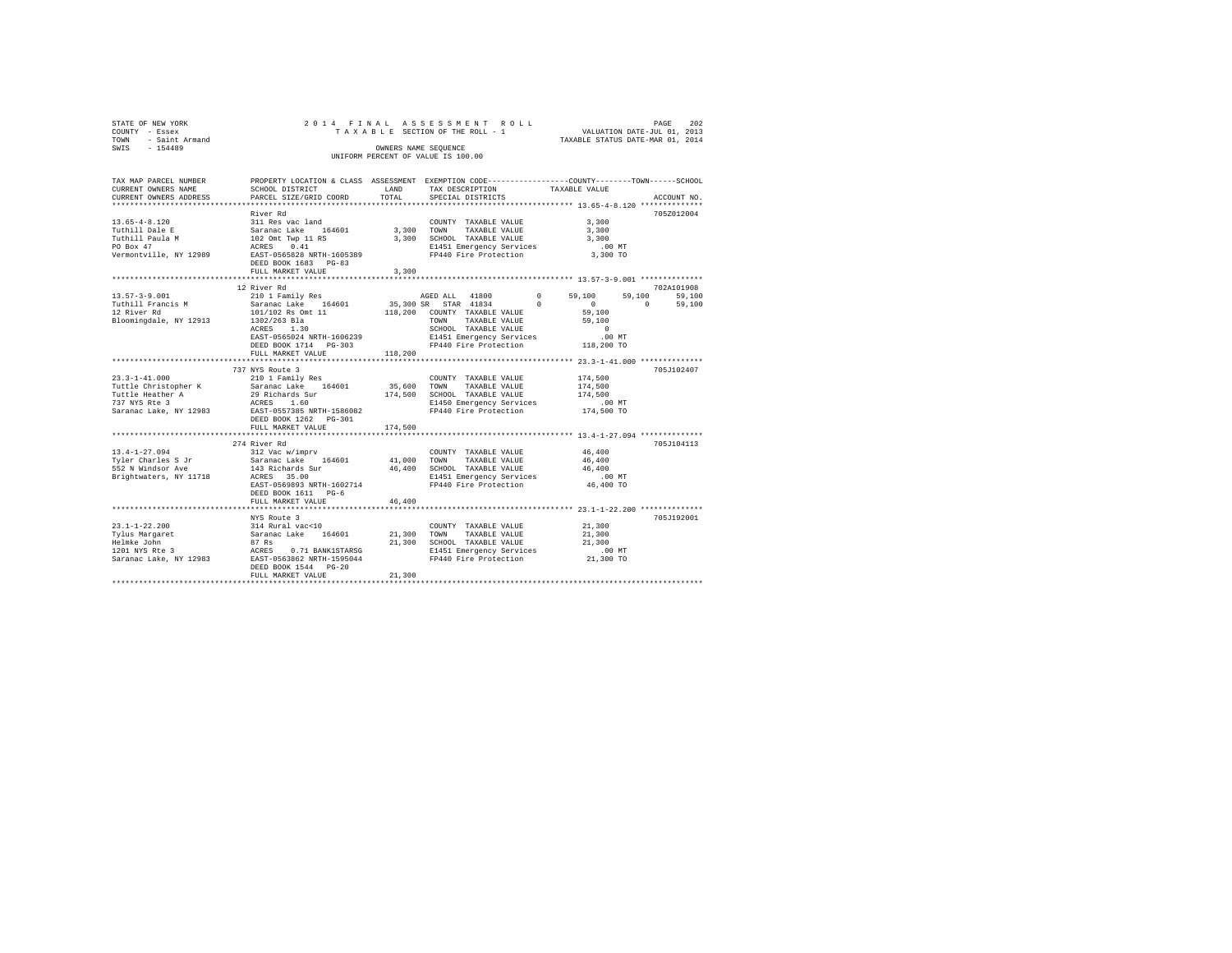| STATE OF NEW YORK<br>COUNTY - Essex<br>- Saint Armand<br>TOWN<br>SWIS<br>$-154489$ |                                    | 2014 FINAL ASSESSMENT ROLL<br>TAXABLE SECTION OF THE ROLL - 1<br>OWNERS NAME SEOUENCE<br>UNIFORM PERCENT OF VALUE IS 100.00 | TAXABLE STATUS DATE-MAR 01, 2014 | PAGE<br>VALUATION DATE-JUL 01, 2013 | 202 |
|------------------------------------------------------------------------------------|------------------------------------|-----------------------------------------------------------------------------------------------------------------------------|----------------------------------|-------------------------------------|-----|
| TAV MAD DAD/UT MIIMOUD                                                             | DEADERW LACATION & CLASS ACCECMENT |                                                                                                                             |                                  |                                     |     |

| IAA MAF FARULL NUMBER<br>CURRENT OWNERS NAME | ERGEREIT MOCWITOM & CHWOO WOODOOMENI DYDMEITOM CONF--------------------COOMII--------IOMM------OCHOOI<br>SCHOOL DISTRICT                                                                                                                                                                                                                                                                                      | LAND    | TAX DESCRIPTION TAXABLE VALUE                                      |                                                    |                    |
|----------------------------------------------|---------------------------------------------------------------------------------------------------------------------------------------------------------------------------------------------------------------------------------------------------------------------------------------------------------------------------------------------------------------------------------------------------------------|---------|--------------------------------------------------------------------|----------------------------------------------------|--------------------|
| CURRENT OWNERS ADDRESS                       | PARCEL SIZE/GRID COORD                                                                                                                                                                                                                                                                                                                                                                                        | TOTAL   | SPECIAL DISTRICTS                                                  |                                                    | ACCOUNT NO.        |
|                                              |                                                                                                                                                                                                                                                                                                                                                                                                               |         |                                                                    |                                                    |                    |
|                                              | River Rd                                                                                                                                                                                                                                                                                                                                                                                                      |         |                                                                    |                                                    | 705Z012004         |
| $13.65 - 4 - 8.120$                          | 311 Res vac land                                                                                                                                                                                                                                                                                                                                                                                              |         | COUNTY TAXABLE VALUE                                               | 3,300                                              |                    |
| Tuthill Dale E                               | Saranac Lake 164601 3,300 TOWN TAXABLE VALUE<br>102 Omt Twp 11 RS 3,300 SCHOOL TAXABLE VALUE<br>ACRES 0.41 3,300 SCHOOL TAXABLE VALUE<br>RASET-0565828 NRTH-1605389 FP440 Fire Protection                                                                                                                                                                                                                     |         |                                                                    | 3,300                                              |                    |
| Tuthill Paula M                              |                                                                                                                                                                                                                                                                                                                                                                                                               |         |                                                                    | 3,300                                              |                    |
| PO Box 47                                    |                                                                                                                                                                                                                                                                                                                                                                                                               |         |                                                                    | $.00$ MT                                           |                    |
| Vermontville, NY 12989                       |                                                                                                                                                                                                                                                                                                                                                                                                               |         | E1451 Emergency Services<br>FP440 Fire Protection                  | 3,300 TO                                           |                    |
|                                              | DEED BOOK 1683 PG-83                                                                                                                                                                                                                                                                                                                                                                                          |         |                                                                    |                                                    |                    |
|                                              | FULL MARKET VALUE                                                                                                                                                                                                                                                                                                                                                                                             | 3,300   |                                                                    |                                                    |                    |
|                                              |                                                                                                                                                                                                                                                                                                                                                                                                               |         |                                                                    |                                                    |                    |
|                                              | 12 River Rd                                                                                                                                                                                                                                                                                                                                                                                                   |         |                                                                    |                                                    | 702A101908         |
| $13.57 - 3 - 9.001$                          | 210 1 Family Res                                                                                                                                                                                                                                                                                                                                                                                              |         | AGED ALL 41800 0 59,100                                            |                                                    | 59,100<br>59,100   |
| Tuthill Francis M                            | Saranac Lake 164601 35,300 SR STAR 41834 0 0                                                                                                                                                                                                                                                                                                                                                                  |         |                                                                    |                                                    | $\Omega$<br>59,100 |
| 12 River Rd                                  |                                                                                                                                                                                                                                                                                                                                                                                                               |         |                                                                    |                                                    |                    |
| Bloomingdale, NY 12913                       | $101/102\ \text{Rs\ \text{Ont}\ \ }11\qquad \qquad 118\, , 200\qquad \text{COUNTY}\ \text{TXABLE VALUES}\qquad \qquad 59\, , 100\, \\ 1302/263\ \text{Bla}\qquad \qquad 59\, , 100\qquad \qquad$                                                                                                                                                                                                              |         |                                                                    |                                                    |                    |
|                                              |                                                                                                                                                                                                                                                                                                                                                                                                               |         |                                                                    |                                                    |                    |
|                                              |                                                                                                                                                                                                                                                                                                                                                                                                               |         |                                                                    |                                                    |                    |
|                                              |                                                                                                                                                                                                                                                                                                                                                                                                               |         |                                                                    |                                                    |                    |
|                                              |                                                                                                                                                                                                                                                                                                                                                                                                               |         |                                                                    |                                                    |                    |
|                                              | ***********************                                                                                                                                                                                                                                                                                                                                                                                       |         |                                                                    | ********************** 23.3-1-41.000 ************* |                    |
|                                              | 737 NYS Route 3                                                                                                                                                                                                                                                                                                                                                                                               |         |                                                                    |                                                    | 705J102407         |
|                                              |                                                                                                                                                                                                                                                                                                                                                                                                               |         |                                                                    |                                                    |                    |
|                                              |                                                                                                                                                                                                                                                                                                                                                                                                               |         |                                                                    |                                                    |                    |
|                                              |                                                                                                                                                                                                                                                                                                                                                                                                               |         |                                                                    |                                                    |                    |
|                                              |                                                                                                                                                                                                                                                                                                                                                                                                               |         |                                                                    |                                                    |                    |
|                                              |                                                                                                                                                                                                                                                                                                                                                                                                               |         |                                                                    |                                                    |                    |
|                                              | DEED BOOK 1262 PG-301                                                                                                                                                                                                                                                                                                                                                                                         |         |                                                                    |                                                    |                    |
|                                              | FULL MARKET VALUE                                                                                                                                                                                                                                                                                                                                                                                             | 174,500 |                                                                    |                                                    |                    |
|                                              |                                                                                                                                                                                                                                                                                                                                                                                                               |         |                                                                    |                                                    |                    |
|                                              | 274 River Rd                                                                                                                                                                                                                                                                                                                                                                                                  |         |                                                                    |                                                    | 705J104113         |
|                                              |                                                                                                                                                                                                                                                                                                                                                                                                               |         |                                                                    | 46,400                                             |                    |
|                                              |                                                                                                                                                                                                                                                                                                                                                                                                               |         |                                                                    |                                                    |                    |
|                                              |                                                                                                                                                                                                                                                                                                                                                                                                               |         |                                                                    |                                                    |                    |
|                                              | $\begin{tabular}{lcccccc} 13.4-1-27.094 & 312 \text{Vac w/imprv} & 200\text{NITY} & \text{TAXABLE VALUE} & 46,400\\ \text{Tyler Charles S Jr} & \text{Saranac Lake} & 164601 & 41,000 & \text{TANABLE VALUE} & 46,400\\ \text{552 N inidser Ave} & \text{Saranac Lake} & 143.1 & \text{Aichardes Sur} & 46,400 & \text{SCHODL TAXABLE VALUE} & 46,400\\ \text{Brightwaters, NY 11718} & \text{ACRES} & 35.00$ |         |                                                                    |                                                    |                    |
|                                              | EAST-0569893 NRTH-1602714                                                                                                                                                                                                                                                                                                                                                                                     |         | FP440 Fire Protection                                              | 46,400 TO                                          |                    |
|                                              | DEED BOOK 1611 PG-6                                                                                                                                                                                                                                                                                                                                                                                           |         |                                                                    |                                                    |                    |
|                                              | FULL MARKET VALUE                                                                                                                                                                                                                                                                                                                                                                                             | 46,400  |                                                                    |                                                    |                    |
|                                              |                                                                                                                                                                                                                                                                                                                                                                                                               |         |                                                                    |                                                    |                    |
|                                              | NYS Route 3                                                                                                                                                                                                                                                                                                                                                                                                   |         |                                                                    |                                                    | 705J192001         |
|                                              |                                                                                                                                                                                                                                                                                                                                                                                                               |         | COUNTY TAXABLE VALUE                                               | 21,300                                             |                    |
|                                              |                                                                                                                                                                                                                                                                                                                                                                                                               |         | TAXABLE VALUE                                                      | 21,300                                             |                    |
|                                              | 13.1-1-22.200 (2001)<br>Tylus Margaret (14601 (21,300 TOM)<br>Helmke John Saranac Lake 164601 (21,300 TOW)<br>Helmke John Saranac Lake (21,300 SCHOC)<br>Saranac Lake, NY 12983 (2005) (2003) (2003) (2003) (2003) (2003) (2003) (2013)<br>Sa                                                                                                                                                                 |         | 21,300 SCHOOL TAXABLE VALUE                                        | 21,300                                             |                    |
|                                              |                                                                                                                                                                                                                                                                                                                                                                                                               |         |                                                                    |                                                    |                    |
|                                              |                                                                                                                                                                                                                                                                                                                                                                                                               |         | E1451 Emergency Services .00 MT<br>FP440 Fire Protection 21,300 TO |                                                    |                    |
|                                              | DEED BOOK 1544 PG-20                                                                                                                                                                                                                                                                                                                                                                                          |         |                                                                    |                                                    |                    |
|                                              | FULL MARKET VALUE                                                                                                                                                                                                                                                                                                                                                                                             | 21,300  |                                                                    |                                                    |                    |
|                                              |                                                                                                                                                                                                                                                                                                                                                                                                               |         |                                                                    |                                                    |                    |
|                                              |                                                                                                                                                                                                                                                                                                                                                                                                               |         |                                                                    |                                                    |                    |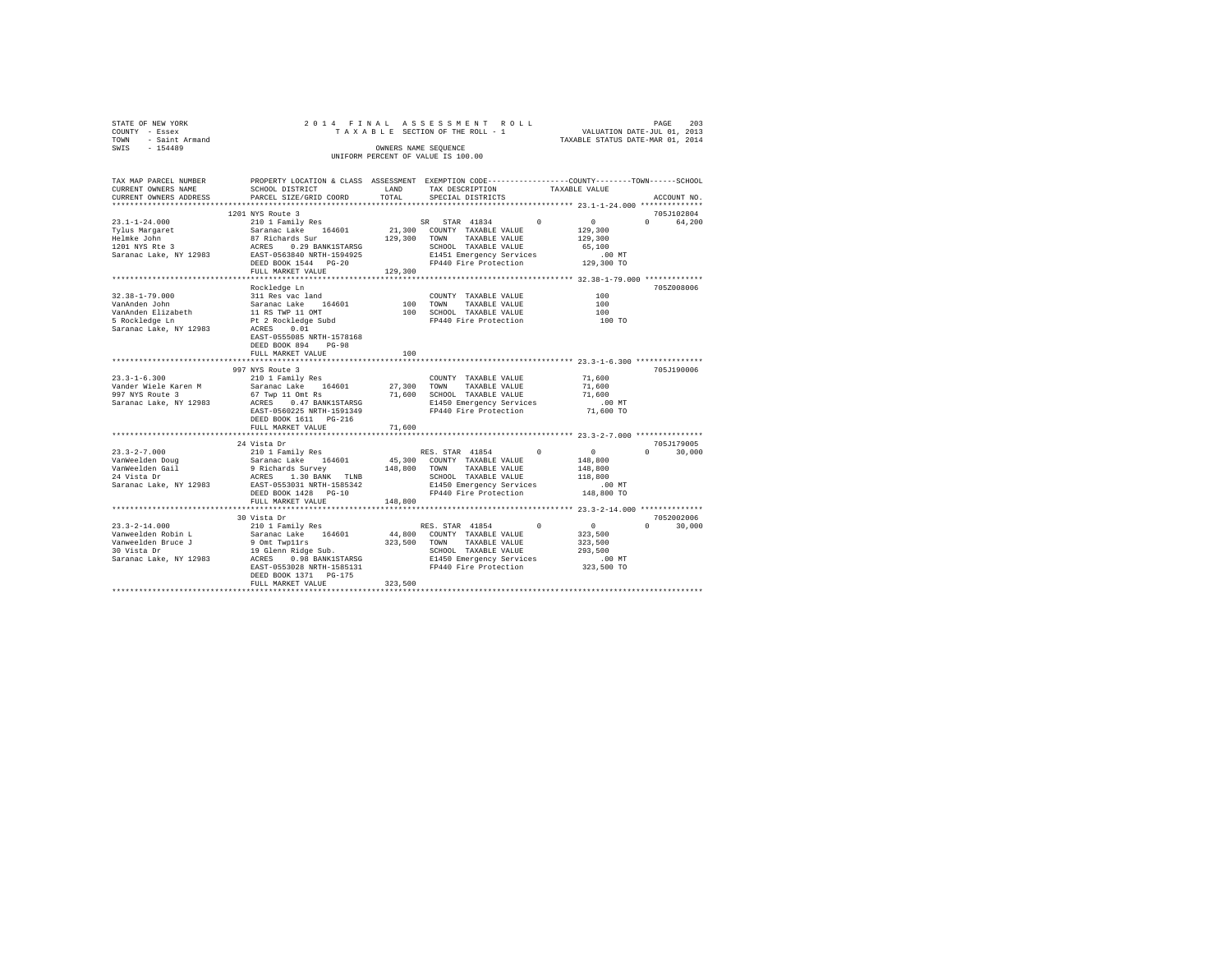|      | STATE OF NEW YORK   |  |  |                      | 2014 FINAL ASSESSMENT ROLL         |                                  | PAGE | - 203 |
|------|---------------------|--|--|----------------------|------------------------------------|----------------------------------|------|-------|
|      | COUNTY - Essex      |  |  |                      | TAXABLE SECTION OF THE ROLL - 1    | VALUATION DATE-JUL 01, 2013      |      |       |
|      | TOWN - Saint Armand |  |  |                      |                                    | TAXABLE STATUS DATE-MAR 01, 2014 |      |       |
| SWIS | $-154489$           |  |  | OWNERS NAME SEOUENCE |                                    |                                  |      |       |
|      |                     |  |  |                      | UNIFORM PERCENT OF VALUE IS 100.00 |                                  |      |       |
|      |                     |  |  |                      |                                    |                                  |      |       |

| TAX MAP PARCEL NUMBER                         |                                                                                                                                                                                                                                           |         | PROPERTY LOCATION & CLASS ASSESSMENT EXEMPTION CODE----------------COUNTY-------TOWN-----SCHOOL                                                                                                                                                                                             |                      |
|-----------------------------------------------|-------------------------------------------------------------------------------------------------------------------------------------------------------------------------------------------------------------------------------------------|---------|---------------------------------------------------------------------------------------------------------------------------------------------------------------------------------------------------------------------------------------------------------------------------------------------|----------------------|
| CURRENT OWNERS NAME                           | SCHOOL DISTRICT                                                                                                                                                                                                                           | LAND    | TAX DESCRIPTION<br>TAXABLE VALUE                                                                                                                                                                                                                                                            |                      |
| CURRENT OWNERS ADDRESS PARCEL SIZE/GRID COORD |                                                                                                                                                                                                                                           | TOTAL   | SPECIAL DISTRICTS                                                                                                                                                                                                                                                                           | ACCOUNT NO.          |
|                                               |                                                                                                                                                                                                                                           |         |                                                                                                                                                                                                                                                                                             |                      |
|                                               | 1201 NYS Route 3                                                                                                                                                                                                                          |         |                                                                                                                                                                                                                                                                                             | 705J102804           |
|                                               |                                                                                                                                                                                                                                           |         |                                                                                                                                                                                                                                                                                             | 0 64,200             |
|                                               |                                                                                                                                                                                                                                           |         |                                                                                                                                                                                                                                                                                             |                      |
|                                               |                                                                                                                                                                                                                                           |         |                                                                                                                                                                                                                                                                                             |                      |
|                                               |                                                                                                                                                                                                                                           |         |                                                                                                                                                                                                                                                                                             |                      |
|                                               |                                                                                                                                                                                                                                           |         |                                                                                                                                                                                                                                                                                             |                      |
|                                               |                                                                                                                                                                                                                                           |         |                                                                                                                                                                                                                                                                                             |                      |
|                                               | FULL MARKET VALUE                                                                                                                                                                                                                         |         | $\begin{tabular}{cccc} \textit{130} & \textit{14} & \textit{14} & \textit{15} & \textit{16} & \textit{16} \\ \textit{1451} & \textit{Energy Services} & 0.0 & \textit{MT} \\ \textit{129,300} & \textit{129,300} & \textit{129,300} & \textit{129,300} & \textit{129,300} \\ \end{tabular}$ |                      |
|                                               |                                                                                                                                                                                                                                           |         |                                                                                                                                                                                                                                                                                             |                      |
|                                               | Rockledge Ln                                                                                                                                                                                                                              |         |                                                                                                                                                                                                                                                                                             | 705Z008006           |
|                                               |                                                                                                                                                                                                                                           |         | COUNTY TAXABLE VALUE                                                                                                                                                                                                                                                                        | 100                  |
|                                               |                                                                                                                                                                                                                                           |         |                                                                                                                                                                                                                                                                                             |                      |
|                                               |                                                                                                                                                                                                                                           |         |                                                                                                                                                                                                                                                                                             |                      |
|                                               | 32.38-1-79.000<br>NanAnden John Saranac Lake 164601<br>VanAnden Elizabeth Saranac Lake 164601<br>5 Rockledge Lm Pt 2 Rockledge Subd<br>Saranac Lake, NY 12983<br>Saranac Lake, NY 12983<br>RACRSS NRTH-1578168<br>EAST-0555085 NRTH-15781 |         | COUNTY TAXABLE VALUE 100<br>100 TOWN TAXABLE VALUE 100<br>100 SCHOOL TAXABLE VALUE 100 TO<br>FP440 Fire Protection 100 TO                                                                                                                                                                   |                      |
|                                               |                                                                                                                                                                                                                                           |         |                                                                                                                                                                                                                                                                                             |                      |
|                                               |                                                                                                                                                                                                                                           |         |                                                                                                                                                                                                                                                                                             |                      |
|                                               | DEED BOOK 894<br>$PG-98$                                                                                                                                                                                                                  |         |                                                                                                                                                                                                                                                                                             |                      |
|                                               | FULL MARKET VALUE                                                                                                                                                                                                                         | 100     |                                                                                                                                                                                                                                                                                             |                      |
|                                               |                                                                                                                                                                                                                                           |         |                                                                                                                                                                                                                                                                                             |                      |
|                                               | 997 NYS Route 3                                                                                                                                                                                                                           |         |                                                                                                                                                                                                                                                                                             | 705J190006           |
|                                               |                                                                                                                                                                                                                                           |         |                                                                                                                                                                                                                                                                                             |                      |
|                                               |                                                                                                                                                                                                                                           |         |                                                                                                                                                                                                                                                                                             |                      |
|                                               |                                                                                                                                                                                                                                           |         | 23.3-1-6.300<br>Vander Wiele Karen Maria (1990) 27,300 TOUNTY TAXABLE VALUE 71,600<br>VANGER VALUE ARES 0.47 BANKISTARSG 71,600 TOWN TAXABLE VALUE 71,600<br>997 NYS Route 3 (97 Twp 11 Omt Ra 27,300 SCHOOL TAXABLE VALUE 71,600<br>9                                                      |                      |
|                                               |                                                                                                                                                                                                                                           |         |                                                                                                                                                                                                                                                                                             |                      |
|                                               |                                                                                                                                                                                                                                           |         |                                                                                                                                                                                                                                                                                             |                      |
|                                               | DEED BOOK 1611    PG-216                                                                                                                                                                                                                  |         |                                                                                                                                                                                                                                                                                             |                      |
|                                               | FULL MARKET VALUE                                                                                                                                                                                                                         | 71,600  |                                                                                                                                                                                                                                                                                             |                      |
|                                               |                                                                                                                                                                                                                                           |         |                                                                                                                                                                                                                                                                                             |                      |
|                                               | 24 Vista Dr                                                                                                                                                                                                                               |         |                                                                                                                                                                                                                                                                                             | 705J179005           |
|                                               |                                                                                                                                                                                                                                           |         |                                                                                                                                                                                                                                                                                             | $0 \t 30,000$        |
|                                               |                                                                                                                                                                                                                                           |         |                                                                                                                                                                                                                                                                                             |                      |
|                                               |                                                                                                                                                                                                                                           |         |                                                                                                                                                                                                                                                                                             |                      |
|                                               |                                                                                                                                                                                                                                           |         |                                                                                                                                                                                                                                                                                             |                      |
|                                               |                                                                                                                                                                                                                                           |         |                                                                                                                                                                                                                                                                                             | 00 MT.<br>148,800 TO |
|                                               |                                                                                                                                                                                                                                           |         |                                                                                                                                                                                                                                                                                             |                      |
|                                               | FULL MARKET VALUE                                                                                                                                                                                                                         | 148,800 |                                                                                                                                                                                                                                                                                             |                      |
|                                               |                                                                                                                                                                                                                                           |         |                                                                                                                                                                                                                                                                                             |                      |
|                                               | 30 Vista Dr                                                                                                                                                                                                                               |         |                                                                                                                                                                                                                                                                                             | 7052002006           |
|                                               |                                                                                                                                                                                                                                           |         |                                                                                                                                                                                                                                                                                             | $0 \t 30.000$        |
|                                               |                                                                                                                                                                                                                                           |         |                                                                                                                                                                                                                                                                                             |                      |
|                                               |                                                                                                                                                                                                                                           |         |                                                                                                                                                                                                                                                                                             |                      |
|                                               |                                                                                                                                                                                                                                           |         |                                                                                                                                                                                                                                                                                             |                      |
|                                               |                                                                                                                                                                                                                                           |         |                                                                                                                                                                                                                                                                                             |                      |
|                                               |                                                                                                                                                                                                                                           |         |                                                                                                                                                                                                                                                                                             |                      |
|                                               |                                                                                                                                                                                                                                           |         |                                                                                                                                                                                                                                                                                             |                      |
|                                               | FULL MARKET VALUE                                                                                                                                                                                                                         | 323,500 |                                                                                                                                                                                                                                                                                             |                      |
|                                               |                                                                                                                                                                                                                                           |         |                                                                                                                                                                                                                                                                                             |                      |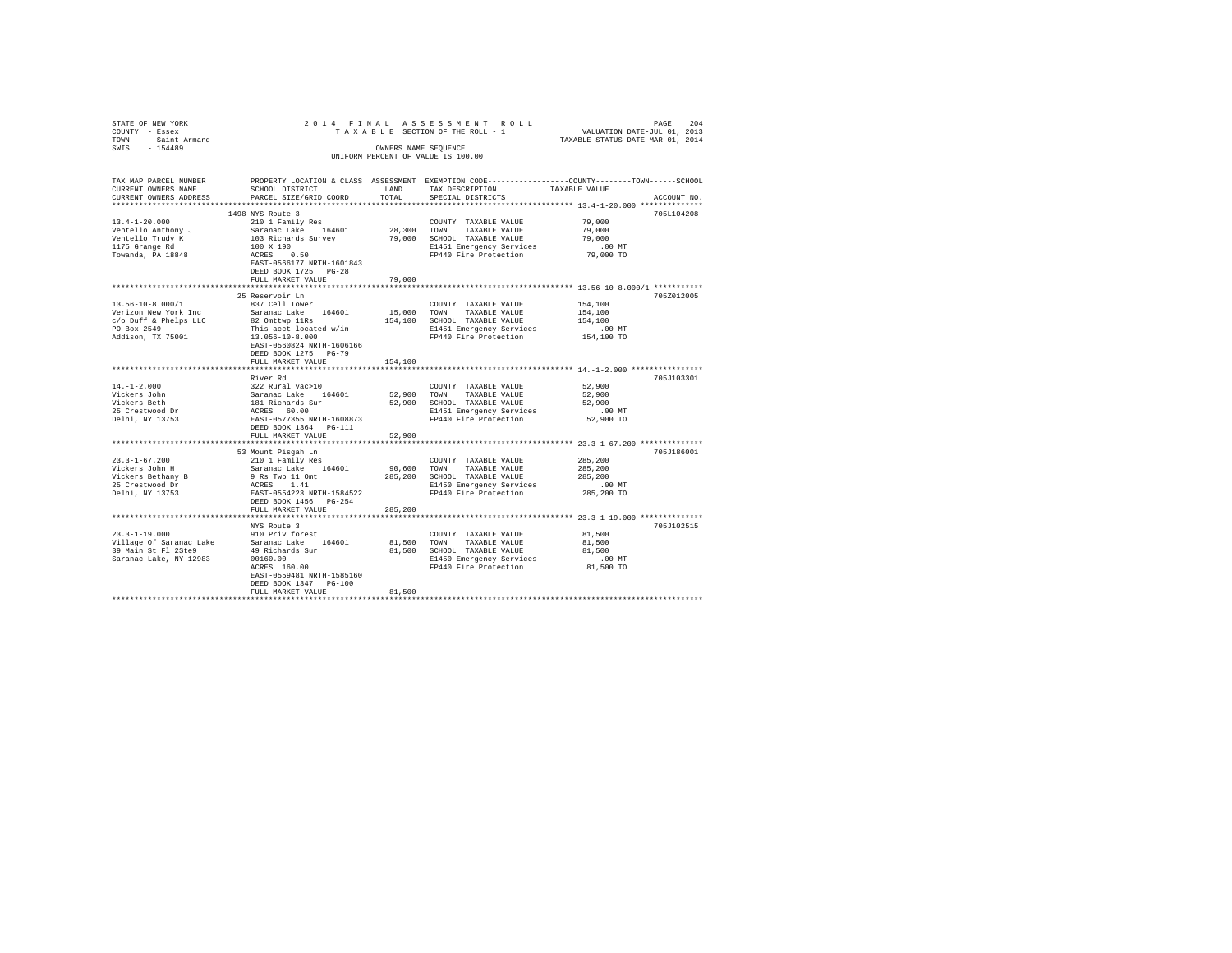| STATE OF NEW YORK                           |                                                                                                  |         | 2014 FINAL ASSESSMENT ROLL                                          | PAGE 204<br>VALUATION DATE-JUL 01, 2013<br>TAXABLE STATUS DATE-MAR 01, 2014                     |  |  |  |
|---------------------------------------------|--------------------------------------------------------------------------------------------------|---------|---------------------------------------------------------------------|-------------------------------------------------------------------------------------------------|--|--|--|
| COUNTY - Essex                              |                                                                                                  |         | TAXABLE SECTION OF THE ROLL - 1                                     |                                                                                                 |  |  |  |
| TOWN - Saint Armand                         |                                                                                                  |         |                                                                     |                                                                                                 |  |  |  |
| SWIS<br>$-154489$                           |                                                                                                  |         | OWNERS NAME SEOUENCE                                                |                                                                                                 |  |  |  |
|                                             | UNIFORM PERCENT OF VALUE IS 100.00                                                               |         |                                                                     |                                                                                                 |  |  |  |
|                                             |                                                                                                  |         |                                                                     |                                                                                                 |  |  |  |
|                                             |                                                                                                  |         |                                                                     |                                                                                                 |  |  |  |
| TAX MAP PARCEL NUMBER                       |                                                                                                  |         |                                                                     | PROPERTY LOCATION & CLASS ASSESSMENT EXEMPTION CODE---------------COUNTY-------TOWN------SCHOOL |  |  |  |
| CURRENT OWNERS NAME                         | SCHOOL DISTRICT                                                                                  | LAND    | TAX DESCRIPTION                                                     | TAXABLE VALUE                                                                                   |  |  |  |
| CURRENT OWNERS ADDRESS                      | PARCEL SIZE/GRID COORD                                                                           | TOTAL.  | SPECIAL DISTRICTS                                                   | ACCOUNT NO.                                                                                     |  |  |  |
|                                             |                                                                                                  |         |                                                                     |                                                                                                 |  |  |  |
|                                             | 1498 NYS Route 3                                                                                 |         |                                                                     | 705L104208                                                                                      |  |  |  |
| $13.4 - 1 - 20.000$                         | 210 1 Family Res                                                                                 |         | COUNTY TAXABLE VALUE                                                | 79,000                                                                                          |  |  |  |
| Ventello Anthony J                          |                                                                                                  |         |                                                                     | 79,000                                                                                          |  |  |  |
| Ventello Trudy K                            | Saranac Lake 164601 28,300 TOWN TAXABLE VALUE<br>103 Richards Survey 79,000 SCHOOL TAXABLE VALUE |         |                                                                     | 79,000                                                                                          |  |  |  |
| 1175 Grange Rd                              |                                                                                                  |         | E1451 Emergency Services                                            | $.00$ MT                                                                                        |  |  |  |
| Towanda, PA 18848                           | 100 X 190<br>ACRES 0.50                                                                          |         | FP440 Fire Protection                                               | 79,000 TO                                                                                       |  |  |  |
|                                             | EAST-0566177 NRTH-1601843                                                                        |         |                                                                     |                                                                                                 |  |  |  |
|                                             | DEED BOOK 1725 PG-28                                                                             |         |                                                                     |                                                                                                 |  |  |  |
|                                             | FULL MARKET VALUE                                                                                | 79,000  |                                                                     |                                                                                                 |  |  |  |
|                                             |                                                                                                  |         |                                                                     |                                                                                                 |  |  |  |
|                                             | 25 Reservoir Ln                                                                                  |         |                                                                     | 705Z012005                                                                                      |  |  |  |
| 13.56-10-8.000/1                            | 837 Cell Tower                                                                                   |         | COUNTY TAXABLE VALUE                                                | 154,100                                                                                         |  |  |  |
|                                             | Saranac Lake 164601                                                                              |         | 15,000 TOWN TAXABLE VALUE                                           | 154,100                                                                                         |  |  |  |
|                                             |                                                                                                  |         | 154,100 SCHOOL TAXABLE VALUE                                        | 154,100                                                                                         |  |  |  |
|                                             |                                                                                                  |         | E1451 Emergency Services                                            | .00 MT                                                                                          |  |  |  |
|                                             |                                                                                                  |         | FP440 Fire Protection                                               |                                                                                                 |  |  |  |
|                                             |                                                                                                  |         |                                                                     | 154,100 TO                                                                                      |  |  |  |
|                                             | EAST-0560824 NRTH-1606166                                                                        |         |                                                                     |                                                                                                 |  |  |  |
|                                             | DEED BOOK 1275 PG-79                                                                             |         |                                                                     |                                                                                                 |  |  |  |
|                                             | FULL MARKET VALUE                                                                                | 154,100 |                                                                     |                                                                                                 |  |  |  |
|                                             | River Rd                                                                                         |         |                                                                     | 705J103301                                                                                      |  |  |  |
|                                             |                                                                                                  |         |                                                                     |                                                                                                 |  |  |  |
| 14.-1-2.000<br>Vickers John                 | 322 Rural vac>10                                                                                 |         | COUNTY TAXABLE VALUE                                                | 52,900                                                                                          |  |  |  |
|                                             |                                                                                                  |         | 52,900 TOWN TAXABLE VALUE                                           | 52,900                                                                                          |  |  |  |
| Vickers Beth                                | Saranac Lake 164601<br>181 Richards Sur<br>ACRES 60.00                                           |         | 52,900 SCHOOL TAXABLE VALUE                                         | 52,900                                                                                          |  |  |  |
| 25 Crestwood Dr<br>Delhi, NY 13753          |                                                                                                  |         | E1451 Emergency Services                                            | $.00$ MT                                                                                        |  |  |  |
|                                             |                                                                                                  |         | EAST-0577355 NRTH-1608873<br>FP440 Fire Protection                  | 52,900 TO                                                                                       |  |  |  |
|                                             | DEED BOOK 1364 PG-111                                                                            |         |                                                                     |                                                                                                 |  |  |  |
|                                             | FULL MARKET VALUE                                                                                | 52,900  |                                                                     |                                                                                                 |  |  |  |
|                                             |                                                                                                  |         |                                                                     |                                                                                                 |  |  |  |
|                                             | 53 Mount Pisgah Ln<br>3 Mount Pisgah Ln<br>210 1 Family Res                                      |         |                                                                     | 705J186001                                                                                      |  |  |  |
| $23.3 - 1 - 67.200$                         |                                                                                                  |         | COUNTY TAXABLE VALUE                                                | 285,200                                                                                         |  |  |  |
| Vickers John H                              | Saranac Lake 164601                                                                              | 90,600  | TOWN<br>TAXABLE VALUE                                               | 285,200                                                                                         |  |  |  |
| Vickers Bethany B<br>25 Crestwood Dr        | 9 Rs Twp 11 Omt<br>ACRES 1.41                                                                    |         | 285,200 SCHOOL TAXABLE VALUE                                        | 285,200                                                                                         |  |  |  |
|                                             |                                                                                                  |         | E1450 Emergency Services                                            | .00 MT                                                                                          |  |  |  |
| Delhi, NY 13753                             | EAST-0554223 NRTH-1584522                                                                        |         | FP440 Fire Protection                                               | 285,200 TO                                                                                      |  |  |  |
|                                             | DEED BOOK 1456 PG-254                                                                            |         |                                                                     |                                                                                                 |  |  |  |
|                                             | FULL MARKET VALUE                                                                                | 285,200 |                                                                     |                                                                                                 |  |  |  |
|                                             |                                                                                                  |         |                                                                     |                                                                                                 |  |  |  |
|                                             | NYS Route 3                                                                                      |         |                                                                     | 705J102515                                                                                      |  |  |  |
| $23.3 - 1 - 19.000$                         | 910 Priv forest                                                                                  |         | COUNTY TAXABLE VALUE                                                | 81,500                                                                                          |  |  |  |
| Village Of Saranac Lake Saranac Lake 164601 |                                                                                                  | 81,500  | TOWN<br>TAXABLE VALUE                                               | 81,500                                                                                          |  |  |  |
| 39 Main St Fl 2Ste9                         | 49 Richards Sur                                                                                  |         | 81,500 SCHOOL TAXABLE VALUE                                         | 81,500                                                                                          |  |  |  |
| Saranac Lake, NY 12983                      |                                                                                                  |         | E1450 Emergency Services .00 MT<br>FP440 Fire Protection  81,500 TO |                                                                                                 |  |  |  |
|                                             | ACRES 160.00                                                                                     |         |                                                                     |                                                                                                 |  |  |  |
|                                             | EAST-0559481 NRTH-1585160                                                                        |         |                                                                     |                                                                                                 |  |  |  |
|                                             | DEED BOOK 1347 PG-100                                                                            |         |                                                                     |                                                                                                 |  |  |  |
|                                             | FULL MARKET VALUE                                                                                | 81,500  |                                                                     |                                                                                                 |  |  |  |
|                                             |                                                                                                  |         |                                                                     |                                                                                                 |  |  |  |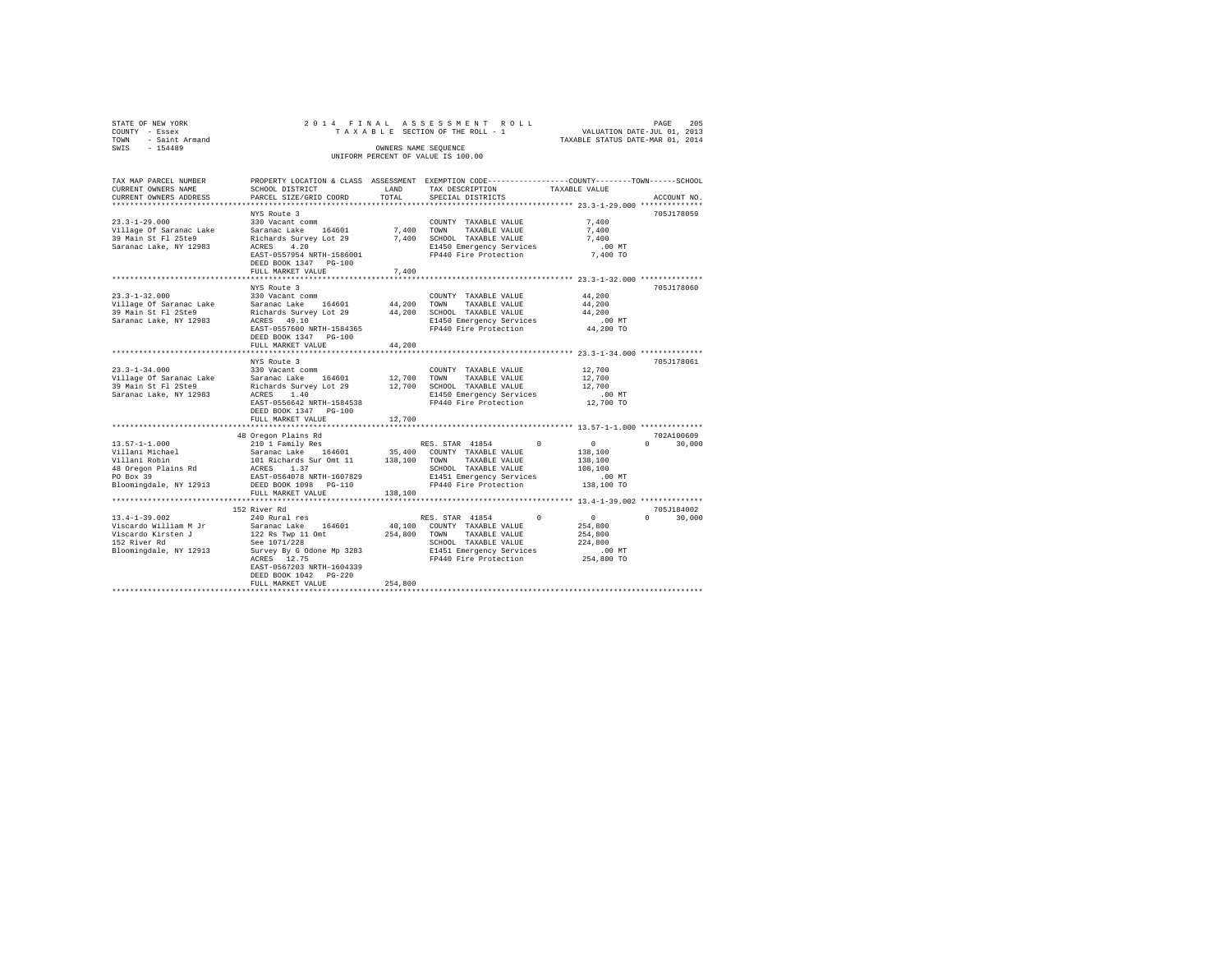| STATE OF NEW YORK<br>COUNTY - Essex<br>TOWN - Saint Armand<br>SWIS - 154489                                                                                                                                                                         |                                            |         |                                                                                                                |                                  |               |
|-----------------------------------------------------------------------------------------------------------------------------------------------------------------------------------------------------------------------------------------------------|--------------------------------------------|---------|----------------------------------------------------------------------------------------------------------------|----------------------------------|---------------|
|                                                                                                                                                                                                                                                     |                                            |         |                                                                                                                | TAXABLE STATUS DATE-MAR 01, 2014 |               |
|                                                                                                                                                                                                                                                     |                                            |         | OWNERS NAME SEQUENCE                                                                                           |                                  |               |
|                                                                                                                                                                                                                                                     |                                            |         | UNIFORM PERCENT OF VALUE IS 100.00                                                                             |                                  |               |
| TAX MAP PARCEL NUMBER                                                                                                                                                                                                                               |                                            |         | PROPERTY LOCATION & CLASS ASSESSMENT EXEMPTION CODE---------------COUNTY-------TOWN------SCHOOL                |                                  |               |
|                                                                                                                                                                                                                                                     |                                            |         |                                                                                                                |                                  |               |
|                                                                                                                                                                                                                                                     |                                            |         |                                                                                                                |                                  | ACCOUNT NO.   |
|                                                                                                                                                                                                                                                     |                                            |         |                                                                                                                |                                  |               |
|                                                                                                                                                                                                                                                     | NYS Route 3                                |         |                                                                                                                |                                  | 705J178059    |
|                                                                                                                                                                                                                                                     |                                            |         | COUNTY TAXABLE VALUE 7,400                                                                                     |                                  |               |
|                                                                                                                                                                                                                                                     |                                            |         |                                                                                                                | 7,400                            |               |
|                                                                                                                                                                                                                                                     |                                            |         |                                                                                                                | 7,400                            |               |
|                                                                                                                                                                                                                                                     |                                            |         |                                                                                                                | .00 MT                           |               |
|                                                                                                                                                                                                                                                     |                                            |         |                                                                                                                | 7,400 TO                         |               |
|                                                                                                                                                                                                                                                     | DEED BOOK 1347 PG-100                      |         |                                                                                                                |                                  |               |
|                                                                                                                                                                                                                                                     | FULL MARKET VALUE                          | 7,400   |                                                                                                                |                                  |               |
|                                                                                                                                                                                                                                                     | NYS Route 3                                |         |                                                                                                                |                                  | 705J178060    |
| $23.3 - 1 - 32.000$                                                                                                                                                                                                                                 | 330 Vacant comm                            |         | $\begin{tabular}{lllllll} \textbf{COUNTY} & \textbf{TAXABLE} & \textbf{VALUE} & \textbf{44,200} \end{tabular}$ |                                  |               |
|                                                                                                                                                                                                                                                     |                                            |         |                                                                                                                |                                  |               |
| 2.1.5-1-2.000 10 MM 2000 10000 10000 10000 10000 10000 10000 10000 10000 10000 10000 10000 10000 10000 10000 1<br>24.200 10000 10000 10000 10000 10000 10000 100000 100000 10000 10000 10000 10000 10000 10000 10000 10000 100<br>                  |                                            |         |                                                                                                                |                                  |               |
|                                                                                                                                                                                                                                                     |                                            |         |                                                                                                                |                                  |               |
|                                                                                                                                                                                                                                                     |                                            |         |                                                                                                                |                                  |               |
|                                                                                                                                                                                                                                                     | DEED BOOK 1347 PG-100                      |         |                                                                                                                |                                  |               |
|                                                                                                                                                                                                                                                     | FULL MARKET VALUE                          | 44,200  |                                                                                                                |                                  |               |
|                                                                                                                                                                                                                                                     |                                            |         |                                                                                                                |                                  |               |
|                                                                                                                                                                                                                                                     | NYS Route 3                                |         |                                                                                                                |                                  | 705J178061    |
| $23.3 - 1 - 34.000$                                                                                                                                                                                                                                 | $330$ Vacant comm                          |         | COUNTY TAXABLE VALUE                                                                                           | 12,700                           |               |
|                                                                                                                                                                                                                                                     |                                            |         |                                                                                                                |                                  |               |
|                                                                                                                                                                                                                                                     |                                            |         |                                                                                                                |                                  |               |
|                                                                                                                                                                                                                                                     |                                            |         |                                                                                                                |                                  |               |
|                                                                                                                                                                                                                                                     |                                            |         |                                                                                                                |                                  |               |
|                                                                                                                                                                                                                                                     | DEED BOOK 1347 PG-100<br>FULL MARKET VALUE | 12,700  |                                                                                                                |                                  |               |
|                                                                                                                                                                                                                                                     |                                            |         |                                                                                                                |                                  |               |
|                                                                                                                                                                                                                                                     |                                            |         |                                                                                                                |                                  | 702A100609    |
| 48 Oregon Plains Rd<br>13.57-1-1.000<br>13.57-1-1.000<br>210 1 Family Res<br>13.57-1-1.000<br>210 1 Family Res<br>21.61 20 1 Family Res<br>21.61 25,400 CONTY TAXABLE VALUE<br>21.61 25,400 CONTY TAXABLE VALUE<br>21.61 26 20000 TAXABLE VALUE<br> |                                            |         |                                                                                                                |                                  | $0 \t 30.000$ |
|                                                                                                                                                                                                                                                     |                                            |         |                                                                                                                |                                  |               |
|                                                                                                                                                                                                                                                     |                                            |         |                                                                                                                |                                  |               |
|                                                                                                                                                                                                                                                     |                                            |         |                                                                                                                |                                  |               |
|                                                                                                                                                                                                                                                     |                                            |         |                                                                                                                |                                  |               |
|                                                                                                                                                                                                                                                     |                                            |         |                                                                                                                |                                  |               |
|                                                                                                                                                                                                                                                     | FULL MARKET VALUE                          | 138,100 |                                                                                                                |                                  |               |
|                                                                                                                                                                                                                                                     |                                            |         |                                                                                                                |                                  |               |
|                                                                                                                                                                                                                                                     | 152 River Rd                               |         |                                                                                                                |                                  | 705J184002    |
| $13.4 - 1 - 39.002$                                                                                                                                                                                                                                 | 240 Rural res                              |         | RES. STAR 41854 0 0                                                                                            |                                  | $0 \t 30,000$ |
| Viscardo William M. Jr. (1999) - 1999 - 1999 - 1999 - 1999 - 1999 - 1999 - 1999 - 1999 - 1999 - 1999 - 1999 -<br>1999 - 1999 - 1999 - 1999 - 1999 - 1999 - 1999 - 1999 - 1999 - 1999 - 1999 - 1999 - 1999 - 1999 - 1999 - 1999<br>19                |                                            |         |                                                                                                                |                                  |               |
|                                                                                                                                                                                                                                                     |                                            |         |                                                                                                                |                                  |               |
| Viscardo William Mour (1994)<br>1997 - Microsoft Mulliam Mour (1994)<br>1997 - School TAXABLE VALUE (1998)<br>1997 - School TaxABLE VALUE 224,800<br>294,800 - Silingdale, NY 12913 - Survey By Godone Mp 3283 - 19940 Fire Protection              |                                            |         |                                                                                                                |                                  |               |
|                                                                                                                                                                                                                                                     |                                            |         |                                                                                                                |                                  |               |
|                                                                                                                                                                                                                                                     |                                            |         |                                                                                                                |                                  |               |
|                                                                                                                                                                                                                                                     | EAST-0567203 NRTH-1604339                  |         |                                                                                                                |                                  |               |

DEED BOOK 1042 PG-220 FULL MARKET VALUE 254,800 \*\*\*\*\*\*\*\*\*\*\*\*\*\*\*\*\*\*\*\*\*\*\*\*\*\*\*\*\*\*\*\*\*\*\*\*\*\*\*\*\*\*\*\*\*\*\*\*\*\*\*\*\*\*\*\*\*\*\*\*\*\*\*\*\*\*\*\*\*\*\*\*\*\*\*\*\*\*\*\*\*\*\*\*\*\*\*\*\*\*\*\*\*\*\*\*\*\*\*\*\*\*\*\*\*\*\*\*\*\*\*\*\*\*\*\*\*\*\*\*\*\*\*\*\*\*\*\*\*\*\*\*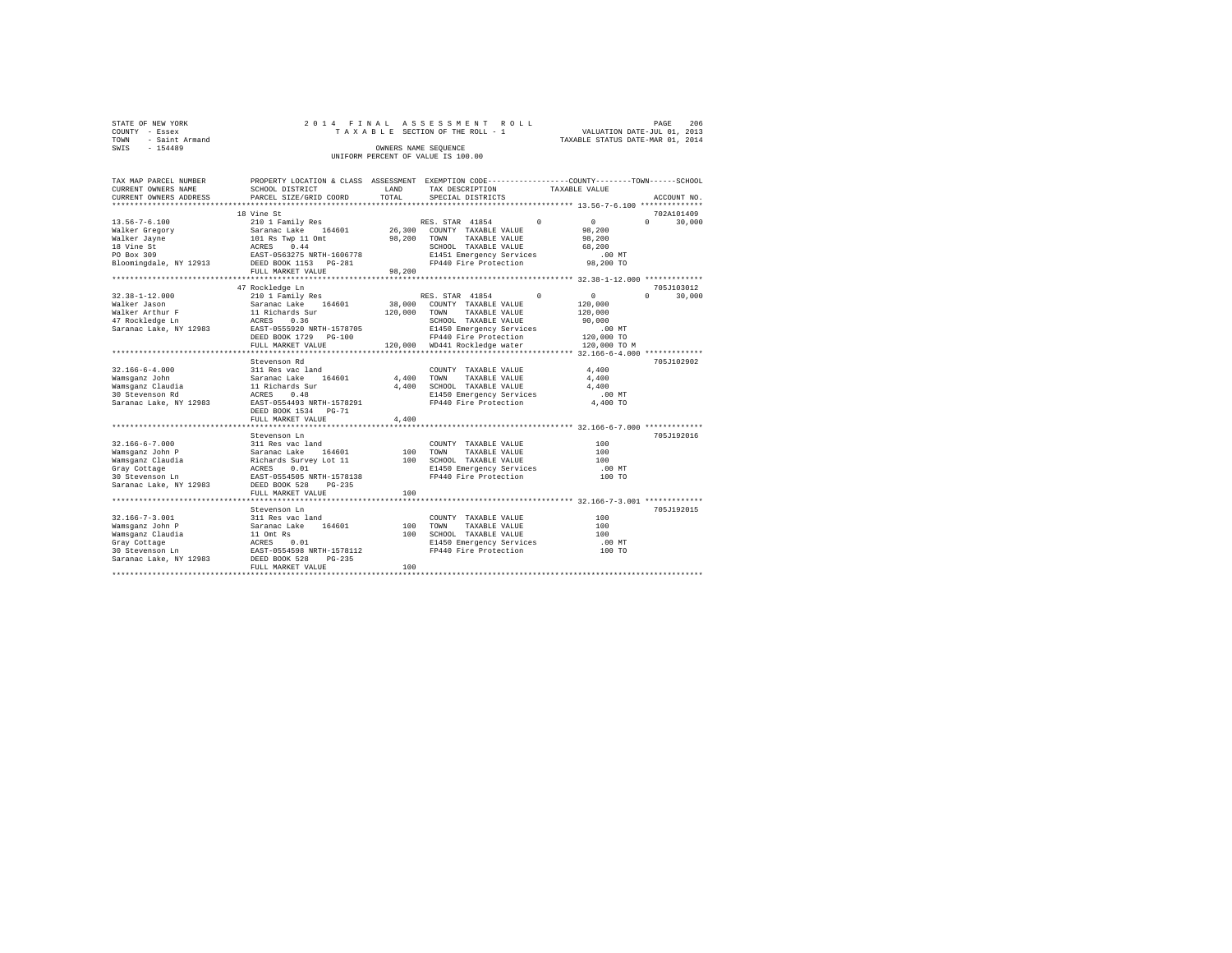| STATE OF NEW YORK   | 2014 FINAL ASSESSMENT ROLL         | 206<br>PAGE                      |
|---------------------|------------------------------------|----------------------------------|
| COUNTY - Essex      | TAXABLE SECTION OF THE ROLL - 1    | VALUATION DATE-JUL 01, 2013      |
| TOWN - Saint Armand |                                    | TAXABLE STATUS DATE-MAR 01, 2014 |
| SWIS<br>$-154489$   | OWNERS NAME SEOUENCE               |                                  |
|                     | UNIFORM PERCENT OF VALUE IS 100.00 |                                  |

| TAX MAP PARCEL NUMBER<br>CURRENT OWNERS NAME<br>CURRENT OWNERS ADDRESS | PROPERTY LOCATION & CLASS ASSESSMENT EXEMPTION CODE---------------COUNTY-------TOWN-----SCHOOL<br>SCHOOL DISTRICT<br>PARCEL SIZE/GRID COORD | LAND<br>TOTAL | TAX DESCRIPTION<br>SPECIAL DISTRICTS                   | TAXABLE VALUE |              | ACCOUNT NO.        |
|------------------------------------------------------------------------|---------------------------------------------------------------------------------------------------------------------------------------------|---------------|--------------------------------------------------------|---------------|--------------|--------------------|
|                                                                        |                                                                                                                                             |               |                                                        |               |              |                    |
|                                                                        | 18 Vine St                                                                                                                                  |               |                                                        |               |              | 702A101409         |
| $13.56 - 7 - 6.100$                                                    | 210 1 Family Res                                                                                                                            |               | RES. STAR 41854 0                                      |               | $\sim$ 0     | $\Omega$<br>30,000 |
| Walker Gregory                                                         | Saranac Lake 164601<br>Saranac Lake 164601<br>101 Rs Twp 11 Omt<br>ACRES 0.44<br>EAST-0563275 NRTH-1606778                                  |               | 26,300 COUNTY TAXABLE VALUE                            |               | 98,200       |                    |
| Walker Jayne                                                           |                                                                                                                                             |               | 98,200 TOWN<br>TAXABLE VALUE                           |               | 98,200       |                    |
| 18 Vine St                                                             |                                                                                                                                             |               | SCHOOL TAXABLE VALUE                                   |               | 68,200       |                    |
| PO Box 309                                                             |                                                                                                                                             |               | E1451 Emergency Services                               |               | .00 MT       |                    |
| Bloomingdale, NY 12913 DEED BOOK 1153 PG-281                           |                                                                                                                                             |               | FP440 Fire Protection 98,200 TO                        |               |              |                    |
|                                                                        | FULL MARKET VALUE<br>*************************                                                                                              | 98,200        |                                                        |               |              |                    |
|                                                                        |                                                                                                                                             |               |                                                        |               |              | 705J103012         |
| $32.38 - 1 - 12.000$                                                   | 47 Rockledge Ln<br>210 1 Family Res                                                                                                         |               | RES. STAR 41854 0                                      |               | $\sim$ 0     | $\Omega$<br>30,000 |
| Walker Jason                                                           | Saranac Lake 164601                                                                                                                         |               | 38,000 COUNTY TAXABLE VALUE                            |               | 120,000      |                    |
| Walker Arthur F                                                        | 11 Richards Sur                                                                                                                             | 120,000 TOWN  | TAXABLE VALUE                                          |               | 120,000      |                    |
| 47 Rockledge Ln                                                        |                                                                                                                                             |               | SCHOOL TAXABLE VALUE                                   |               | 90,000       |                    |
| Saranac Lake, NY 12983                                                 | 11 Richards<br>ACRES 0.36<br>--- 0555920<br>EAST-0555920 NRTH-1578705                                                                       |               | E1450 Emergency Services                               |               | $.00$ MT     |                    |
|                                                                        | DEED BOOK 1729    PG-100                                                                                                                    |               | FP440 Fire Protection                                  |               | 120,000 TO   |                    |
|                                                                        | FULL MARKET VALUE                                                                                                                           |               | 120,000 WD441 Rockledge water                          |               | 120,000 TO M |                    |
|                                                                        |                                                                                                                                             |               |                                                        |               |              |                    |
|                                                                        | Stevenson Rd                                                                                                                                |               |                                                        |               |              | 705J102902         |
| $32.166 - 6 - 4.000$                                                   | 311 Res vac land                                                                                                                            |               | COUNTY TAXABLE VALUE                                   |               | 4,400        |                    |
| Wamsganz John                                                          | Saranac Lake 164601                                                                                                                         | 4,400 TOWN    | TAXABLE VALUE                                          |               | 4,400        |                    |
| Wamsganz Claudia                                                       | 11 Richards Sur                                                                                                                             |               |                                                        |               | 4,400        |                    |
| 30 Stevenson Rd                                                        | ACRES<br>0.48                                                                                                                               |               | 4,400 SCHOOL TAXABLE VALUE<br>E1450 Emergency Services |               | .00 MT       |                    |
| Saranac Lake, NY 12983                                                 | EAST-0554493 NRTH-1578291                                                                                                                   |               | FP440 Fire Protection                                  |               | 4,400 TO     |                    |
|                                                                        | DEED BOOK 1534 PG-71                                                                                                                        |               |                                                        |               |              |                    |
|                                                                        | FULL MARKET VALUE                                                                                                                           | 4,400         |                                                        |               |              |                    |
|                                                                        |                                                                                                                                             |               |                                                        |               |              |                    |
|                                                                        | Stevenson Ln                                                                                                                                |               |                                                        |               |              | 705J192016         |
| $32.166 - 6 - 7.000$                                                   | 311 Res vac land                                                                                                                            |               | COUNTY TAXABLE VALUE                                   |               | 100          |                    |
| Wamsganz John P                                                        | Saranac Lake<br>164601                                                                                                                      | 100           | TOWN<br>TAXABLE VALUE                                  |               | 100          |                    |
| Wamsqanz Claudia                                                       | Richards Survey Lot 11<br>ACRES 0.01                                                                                                        |               | 100 SCHOOL TAXABLE VALUE                               |               | 100          |                    |
| Gray Cottage                                                           |                                                                                                                                             |               | E1450 Emergency Services                               |               | $.00$ MT     |                    |
| 30 Stevenson Ln                                                        | EAST-0554505 NRTH-1578138                                                                                                                   |               | FP440 Fire Protection                                  |               | 100 TO       |                    |
| Saranac Lake, NY 12983                                                 | DEED BOOK 528<br>$PG-235$                                                                                                                   |               |                                                        |               |              |                    |
|                                                                        | FULL MARKET VALUE                                                                                                                           | 100           |                                                        |               |              |                    |
|                                                                        |                                                                                                                                             |               |                                                        |               |              | 705J192015         |
|                                                                        | Stevenson Ln                                                                                                                                |               |                                                        |               |              |                    |
| $32.166 - 7 - 3.001$<br>Wamsganz John P                                | 311 Res vac land<br>Saranac Lake<br>164601                                                                                                  | 100           | COUNTY TAXABLE VALUE<br>TAXABLE VALUE<br>TOWN          |               | 100<br>100   |                    |
| Wamsqanz Claudia                                                       |                                                                                                                                             |               | 100 SCHOOL TAXABLE VALUE                               |               | 100          |                    |
| Gray Cottage                                                           | 11 Omt Rs<br>ACRES    0.01<br>EAST-0554598 NRTH-1578112                                                                                     |               |                                                        |               | $.00$ MT     |                    |
| 30 Stevenson Ln                                                        |                                                                                                                                             |               | E1450 Emergency Services<br>FP440 Fire Protection      |               | 100 TO       |                    |
| Saranac Lake, NY 12983 DEED BOOK 528                                   | $PG-235$                                                                                                                                    |               |                                                        |               |              |                    |
|                                                                        | FULL MARKET VALUE                                                                                                                           | 100           |                                                        |               |              |                    |
|                                                                        |                                                                                                                                             |               |                                                        |               |              |                    |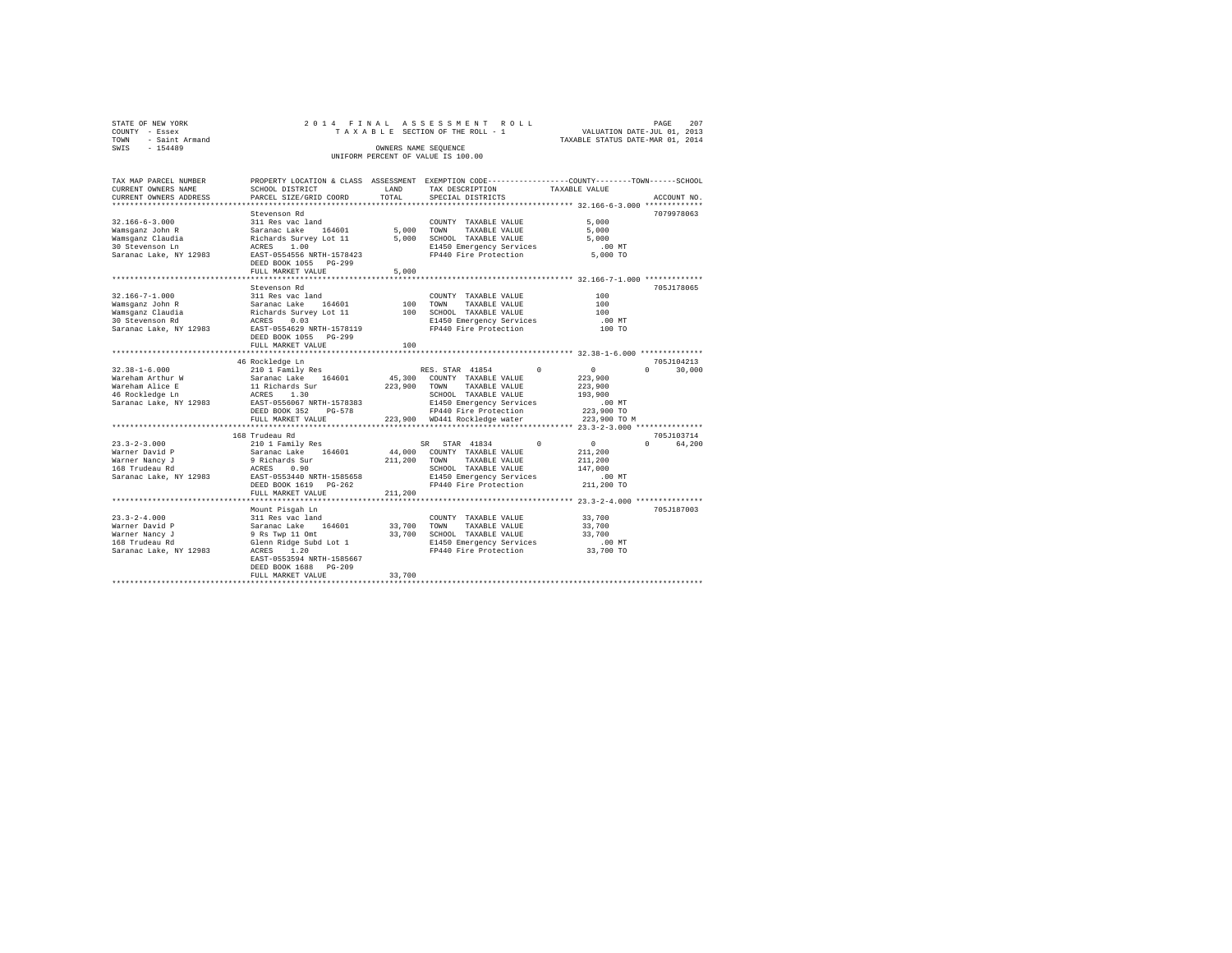| STATE OF NEW YORK   |  |  | 2014 FINAL ASSESSMENT ROLL         |  |                                  | PAGE | 207 |
|---------------------|--|--|------------------------------------|--|----------------------------------|------|-----|
| COUNTY - Essex      |  |  | TAXABLE SECTION OF THE ROLL - 1    |  | VALUATION DATE-JUL 01, 2013      |      |     |
| TOWN - Saint Armand |  |  |                                    |  | TAXABLE STATUS DATE-MAR 01, 2014 |      |     |
| SWTS<br>$-154489$   |  |  | OWNERS NAME SEOUENCE               |  |                                  |      |     |
|                     |  |  | UNIFORM PERCENT OF VALUE IS 100.00 |  |                                  |      |     |
|                     |  |  |                                    |  |                                  |      |     |

| TAX MAP PARCEL NUMBER  |                                                       |                     | PROPERTY LOCATION & CLASS ASSESSMENT EXEMPTION CODE----------------COUNTY-------TOWN------SCHOOL |               |                    |
|------------------------|-------------------------------------------------------|---------------------|--------------------------------------------------------------------------------------------------|---------------|--------------------|
| CURRENT OWNERS NAME    | SCHOOL DISTRICT                                       | LAND                | TAX DESCRIPTION                                                                                  | TAXABLE VALUE |                    |
| CURRENT OWNERS ADDRESS | PARCEL SIZE/GRID COORD                                | TOTAL               | SPECIAL DISTRICTS                                                                                |               | ACCOUNT NO.        |
|                        |                                                       |                     |                                                                                                  |               |                    |
|                        | Stevenson Rd                                          |                     |                                                                                                  |               | 7079978063         |
| $32.166 - 6 - 3.000$   | 311 Res vac land                                      | COUNT<br>5,000 TOWN | COUNTY TAXABLE VALUE                                                                             | 5,000         |                    |
| Wamsqanz John R        | Saranac Lake 164601                                   |                     | TAXABLE VALUE                                                                                    | 5,000         |                    |
| Wamsganz Claudia       |                                                       |                     | Richards Survey Lot 11 5,000 SCHOOL TAXABLE VALUE                                                | 5,000         |                    |
| 30 Stevenson Ln        | ACRES 1.00                                            |                     | E1450 Emergency Services                                                                         | $.00$ MT      |                    |
| Saranac Lake, NY 12983 | EAST-0554556 NRTH-1578423                             |                     | FP440 Fire Protection 5,000 TO                                                                   |               |                    |
|                        | DEED BOOK 1055 PG-299                                 |                     |                                                                                                  |               |                    |
|                        | FULL MARKET VALUE                                     | 5,000               |                                                                                                  |               |                    |
|                        |                                                       |                     |                                                                                                  |               |                    |
|                        | Stevenson Rd                                          |                     |                                                                                                  |               | 705J178065         |
| 32.166-7-1.000         | 311 Res vac land                                      |                     | COUNTY TAXABLE VALUE                                                                             | 100           |                    |
| Wamsqanz John R        | Saranac Lake 164601                                   | 100                 | TOWN<br>TAXABLE VALUE                                                                            | 100           |                    |
| Wamsganz Claudia       | Saranac Laxe<br>Richards Survey Lot 11<br>- 2006 0.03 |                     | 100 SCHOOL TAXABLE VALUE                                                                         | 100           |                    |
| 30 Stevenson Rd        |                                                       |                     | E1450 Emergency Services                                                                         | .00MT         |                    |
| Saranac Lake, NY 12983 | EAST-0554629 NRTH-1578119                             |                     | FP440 Fire Protection                                                                            | 100 TO        |                    |
|                        | DEED BOOK 1055 PG-299                                 |                     |                                                                                                  |               |                    |
|                        | FULL MARKET VALUE                                     | 100                 |                                                                                                  |               |                    |
|                        |                                                       |                     |                                                                                                  |               |                    |
|                        | 46 Rockledge Ln                                       |                     |                                                                                                  |               | 705J104213         |
| $32.38 - 1 - 6.000$    | 210 1 Family Res                                      |                     | RES. STAR 41854<br>$\Omega$                                                                      | $\sim$ 0      | $\Omega$<br>30,000 |
| Wareham Arthur W       | Saranac Lake 164601                                   |                     | 45,300 COUNTY TAXABLE VALUE                                                                      | 223,900       |                    |
| Wareham Alice E        |                                                       |                     |                                                                                                  | 223,900       |                    |
| 46 Rockledge Ln        |                                                       |                     |                                                                                                  | 193,900       |                    |
| Saranac Lake, NY 12983 | EAST-0556067 NRTH-1578383                             |                     | E1450 Emergency Services                                                                         | $.00$ MT      |                    |
|                        | DEED BOOK 352<br>PG-578                               |                     | FP440 Fire Protection                                                                            | 223,900 TO    |                    |
|                        | FULL MARKET VALUE                                     |                     | 223,900 WD441 Rockledge water                                                                    | 223,900 TO M  |                    |
|                        | ***************************                           |                     |                                                                                                  |               |                    |
|                        | 168 Trudeau Rd                                        |                     |                                                                                                  |               | 705J103714         |
| $23.3 - 2 - 3.000$     | 210 1 Family Res                                      |                     | $\sim$ 0<br>SR STAR 41834                                                                        | $\sim$ 0      | $\Omega$<br>64,200 |
| Warner David P         | Saranac Lake 164601<br>9 Richards Sur                 |                     | 44,000 COUNTY TAXABLE VALUE                                                                      | 211,200       |                    |
| Warner Nancy J         |                                                       |                     | 211,200 TOWN TAXABLE VALUE                                                                       | 211,200       |                    |
| 168 Trudeau Rd         | ACRES 0.90                                            |                     | SCHOOL TAXABLE VALUE                                                                             | 147,000       |                    |
| Saranac Lake, NY 12983 | EAST-0553440 NRTH-1585658                             |                     | E1450 Emergency Services                                                                         | .00 MT        |                    |
|                        | DEED BOOK 1619    PG-262                              |                     | FP440 Fire Protection 211,200 TO                                                                 |               |                    |
|                        | FULL MARKET VALUE                                     | 211,200             |                                                                                                  |               |                    |
|                        |                                                       |                     |                                                                                                  |               |                    |
|                        | Mount Pisgah Ln                                       |                     |                                                                                                  |               | 705J187003         |
| $23.3 - 2 - 4.000$     | 311 Res vac land                                      |                     | COUNTY TAXABLE VALUE                                                                             | 33,700        |                    |
| Warner David P         | Saranac Lake 164601                                   |                     | 33,700 TOWN<br>TAXABLE VALUE                                                                     | 33,700        |                    |
| Warner Nancy J         | 9 Rs Twp 11 Omt<br>Glenn Ridge Subd Lot 1             |                     | 33,700 - -----<br>33,700 SCHOOL TAXABLE VALUE                                                    | 33,700        |                    |
| 168 Trudeau Rd         | Glenn Ridge Subd Lot 1                                |                     | E1450 Emergency Services                                                                         | $.00$ MT      |                    |
| Saranac Lake, NY 12983 | ACRES 1.20                                            |                     | FP440 Fire Protection 33,700 TO                                                                  |               |                    |
|                        | EAST-0553594 NRTH-1585667                             |                     |                                                                                                  |               |                    |
|                        | DEED BOOK 1688 PG-209                                 |                     |                                                                                                  |               |                    |
|                        | FULL MARKET VALUE                                     | 33,700              |                                                                                                  |               |                    |
|                        |                                                       |                     |                                                                                                  |               |                    |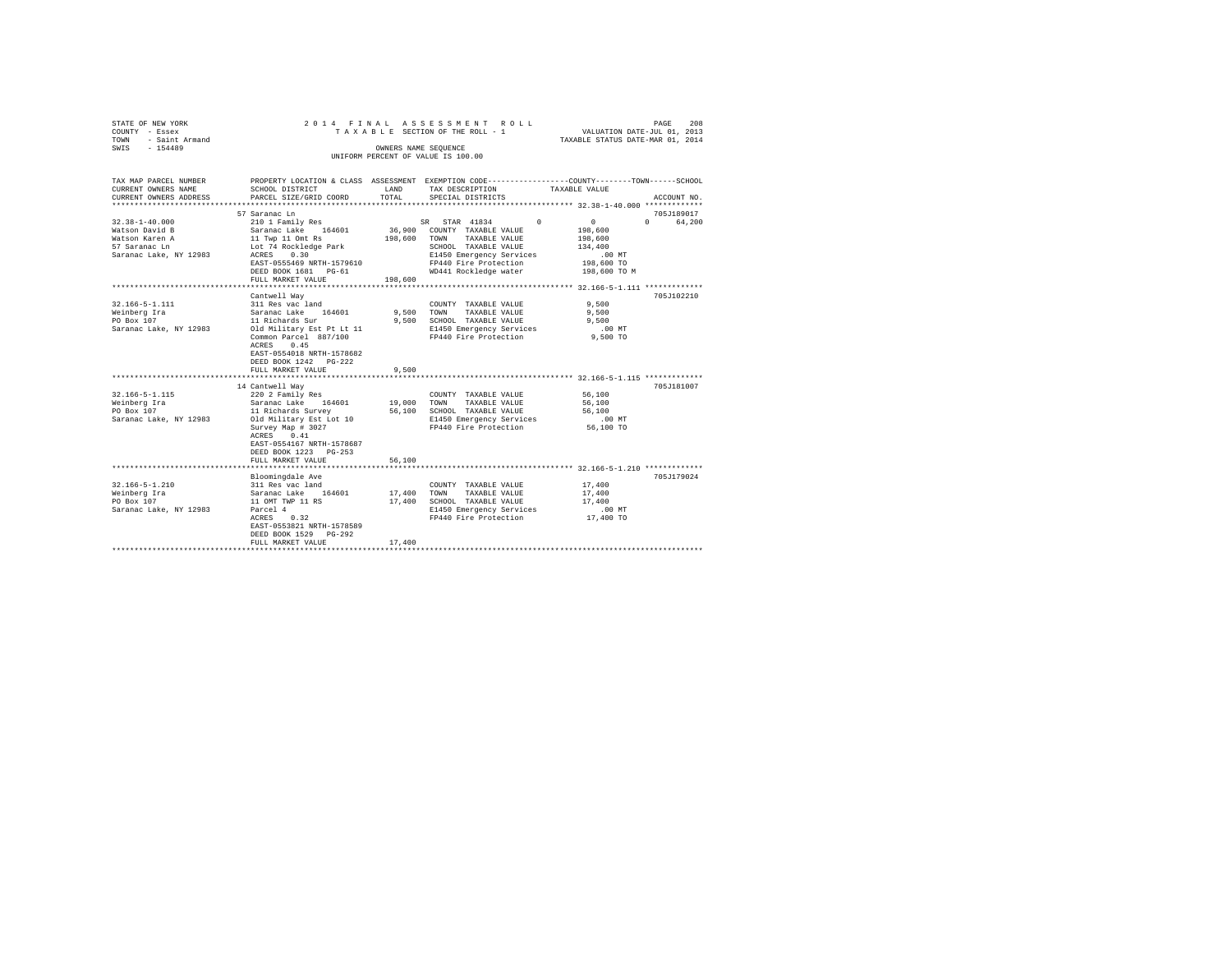| STATE OF NEW YORK   | 2014 FINAL ASSESSMENT ROLL         | 208<br>PAGE                      |
|---------------------|------------------------------------|----------------------------------|
| COUNTY - Essex      | TAXABLE SECTION OF THE ROLL - 1    | VALUATION DATE-JUL 01, 2013      |
| TOWN - Saint Armand |                                    | TAXABLE STATUS DATE-MAR 01, 2014 |
| SWIS<br>$-154489$   | OWNERS NAME SEOUENCE               |                                  |
|                     | UNIFORM PERCENT OF VALUE IS 100.00 |                                  |

| TAX MAP PARCEL NUMBER<br>CURRENT OWNERS NAME                                                           | SCHOOL DISTRICT                                                                                                                                                                                        | LAND                  | PROPERTY LOCATION & CLASS ASSESSMENT EXEMPTION CODE----------------COUNTY-------TOWN------SCHOOL<br>TAX DESCRIPTION                                                                                                                                                                                                                              | TAXABLE VALUE                                                                       |                        |
|--------------------------------------------------------------------------------------------------------|--------------------------------------------------------------------------------------------------------------------------------------------------------------------------------------------------------|-----------------------|--------------------------------------------------------------------------------------------------------------------------------------------------------------------------------------------------------------------------------------------------------------------------------------------------------------------------------------------------|-------------------------------------------------------------------------------------|------------------------|
| CURRENT OWNERS ADDRESS                                                                                 | PARCEL SIZE/GRID COORD                                                                                                                                                                                 | TOTAL                 | SPECIAL DISTRICTS                                                                                                                                                                                                                                                                                                                                |                                                                                     | ACCOUNT NO.            |
|                                                                                                        |                                                                                                                                                                                                        |                       |                                                                                                                                                                                                                                                                                                                                                  |                                                                                     |                        |
| $32.38 - 1 - 40.000$<br>Watson David B<br>Watson Karen A<br>57 Saranac Ln<br>Saranac Lake, NY 12983    | 57 Saranac Ln<br>Saranac Lake 164601<br>11 Twp 11 Omt Rs<br>Lot 74 Rockledge Park<br>ACRES 0.30<br>EAST-0555469 NRTH-1579610<br>DEED BOOK 1681    PG-61<br>FULL MARKET VALUE                           | 198,600               | $210 1 Family Res \hspace{1.5cm} SR \hspace{1.5cm} STR \hspace{1.5cm} 41834 \hspace{1.5cm} 0 \\ Saranac Lake \hspace{1.5cm} 164601 \hspace{1.5cm} 36,900 \hspace{1.5cm} COUNTY \hspace{1.5cm} TAXABLE VALUE$<br>198,600 TOWN TAXABLE VALUE<br>SCHOOL TAXABLE VALUE<br>E1450 Emergency Services<br>FP440 Fire Protection<br>WD441 Rockledge water | $\sim$ 0<br>198,600<br>198,600<br>134,400<br>$.00$ MT<br>198,600 TO<br>198,600 TO M | 705J189017<br>0 64,200 |
|                                                                                                        | Cantwell Way                                                                                                                                                                                           |                       |                                                                                                                                                                                                                                                                                                                                                  |                                                                                     | 705J102210             |
| $32.166 - 5 - 1.111$<br>Weinberg Ira<br>PO Box 107<br>Saranac Lake, NY 12983 Old Military Est Pt Lt 11 | 311 Res vac land<br>Saranac Lake 164601<br>11 Richards Sur<br>Common Parcel 887/100<br>0.45<br>ACRES<br>EAST-0554018 NRTH-1578682<br>DEED BOOK 1242 PG-222<br>FULL MARKET VALUE                        | 9,500 TOWN<br>9,500   | COUNTY TAXABLE VALUE<br>TAXABLE VALUE<br>9,500 SCHOOL TAXABLE VALUE<br>E1450 Emergency Services<br>FP440 Fire Protection                                                                                                                                                                                                                         | 9.500<br>9,500<br>9.500<br>.00MT<br>9,500 TO                                        |                        |
|                                                                                                        | 14 Cantwell Way                                                                                                                                                                                        |                       |                                                                                                                                                                                                                                                                                                                                                  |                                                                                     | 705J181007             |
| $32.166 - 5 - 1.115$<br>Weinberg Ira<br>PO Box 107<br>Saranac Lake, NY 12983                           | 220 2 Family Res<br>Saranac Lake 164601<br>11 Richards Survey<br>Old Military Est Lot 10<br>Survey Map # 3027<br>ACRES 0.41<br>EAST-0554167 NRTH-1578687<br>DEED BOOK 1223 PG-253<br>FULL MARKET VALUE | 56,100                | COUNTY TAXABLE VALUE<br>19,000 TOWN TAXABLE VALUE<br>56,100 SCHOOL TAXABLE VALUE<br>E1450 Emergency Services<br>FP440 Fire Protection                                                                                                                                                                                                            | $56\,, 100$<br>56,100<br>56,100<br>00 MT.<br>56,100 TO                              |                        |
|                                                                                                        |                                                                                                                                                                                                        |                       |                                                                                                                                                                                                                                                                                                                                                  |                                                                                     |                        |
| $32.166 - 5 - 1.210$<br>Weinberg Ira<br>PO Box 107<br>Saranac Lake, NY 12983                           | Bloomingdale Ave<br>311 Res vac land<br>Saranac Lake 164601<br>11 OMT TWP 11 RS<br>Parcel 4<br>0.32<br>ACRES<br>EAST-0553821 NRTH-1578589<br>DEED BOOK 1529 PG-292<br>FULL MARKET VALUE                | 17,400 TOWN<br>17,400 | COUNTY TAXABLE VALUE<br>TAXABLE VALUE<br>17,400 SCHOOL TAXABLE VALUE 17,400<br>E1450 Emergency Services<br>FP440 Fire Protection                                                                                                                                                                                                                 | 17,400<br>17,400<br>$.00$ MT<br>$17,400$ TO                                         | 705J179024             |
|                                                                                                        |                                                                                                                                                                                                        |                       |                                                                                                                                                                                                                                                                                                                                                  |                                                                                     |                        |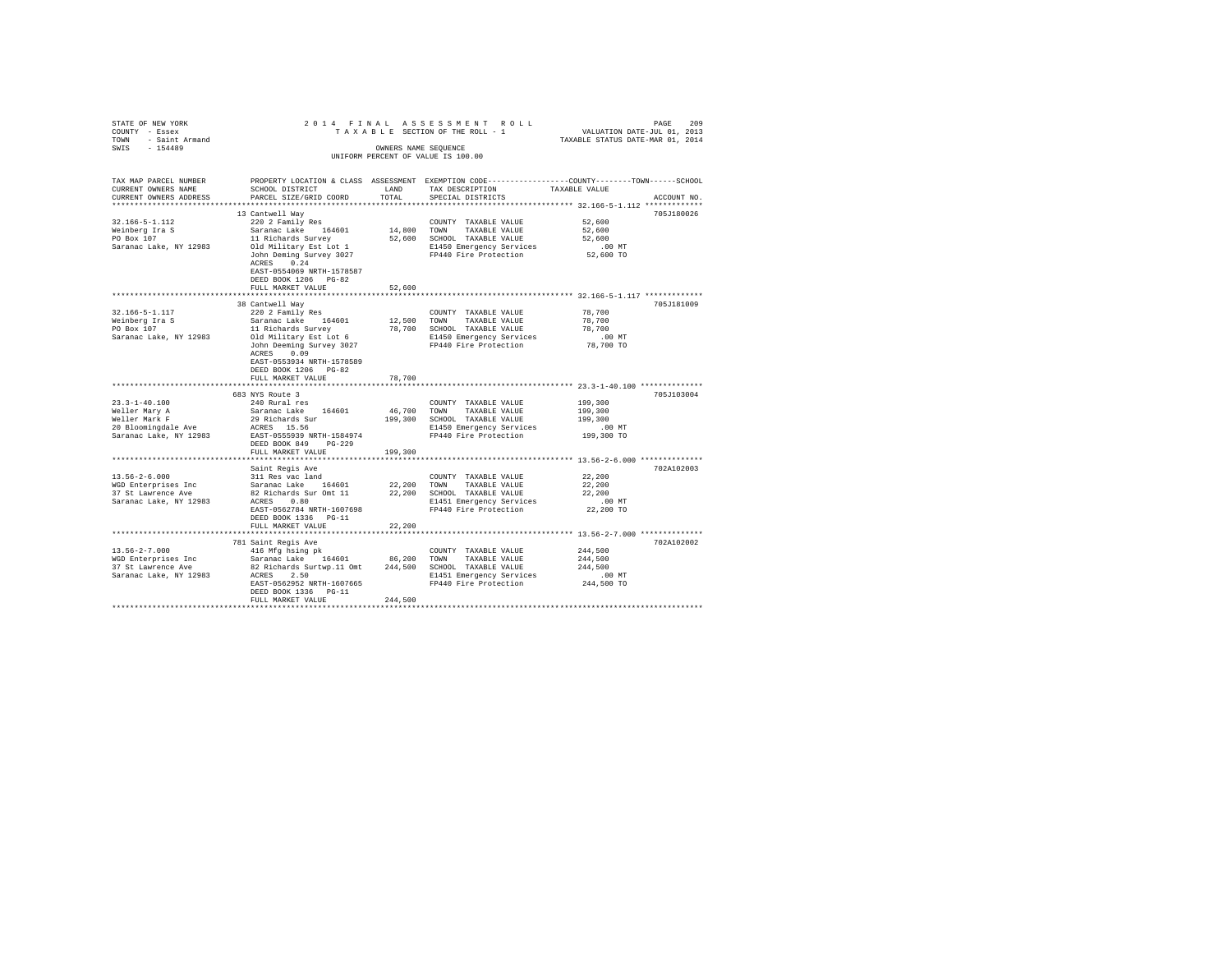| TOWN | STATE OF NEW YORK<br>COUNTY - Essex<br>- Saint Armand |                                                         |                      | 2014 FINAL ASSESSMENT ROLL<br>TAXABLE SECTION OF THE ROLL - 1                   | TAXABLE STATUS DATE-MAR 01, 2014 | PAGE<br>VALUATION DATE-JUL 01, 2013 | 209 |
|------|-------------------------------------------------------|---------------------------------------------------------|----------------------|---------------------------------------------------------------------------------|----------------------------------|-------------------------------------|-----|
| SWIS | $-154489$                                             |                                                         | OWNERS NAME SEOUENCE | UNIFORM PERCENT OF VALUE IS 100.00                                              |                                  |                                     |     |
|      | TAX MAP PARCEL NUMBER<br>CURRENT OWNERS NAME          | PROPERTY LOCATION & CLASS ASSESSMENT<br>SCHOOL DISTRICT | LAND                 | EXEMPTION CODE-----------------COUNTY-------TOWN------SCHOOL<br>TAX DESCRIPTION | TAXABLE VALUE                    |                                     |     |

| CURRENT OWNERS ADDRESS          | PARCEL SIZE/GRID COORD                    | TOTAL       | SPECIAL DISTRICTS                                 |                       | ACCOUNT NO |
|---------------------------------|-------------------------------------------|-------------|---------------------------------------------------|-----------------------|------------|
|                                 |                                           |             | ***************** 32.166-5-1.112 **************   |                       |            |
|                                 | 13 Cantwell Way                           |             |                                                   |                       | 705J180026 |
| 32.166-5-1.112                  | 220 2 Family Res                          |             | COUNTY TAXABLE VALUE                              | 52,600                |            |
| Weinberg Ira S<br>DO Box 107    | Saranac Lake 164601                       | 14,800 TOWN | TAXABLE VALUE                                     | 52,600                |            |
|                                 | 11 Richards Survey                        |             | 52,600 SCHOOL TAXABLE VALUE                       | 52,600                |            |
| Saranac Lake, NY 12983          | Old Military Est Lot 1                    |             | E1450 Emergency Services                          | $.00$ MT              |            |
|                                 | John Deming Survey 3027                   |             | FP440 Fire Protection                             | 52,600 TO             |            |
|                                 | ACRES 0.24                                |             |                                                   |                       |            |
|                                 | EAST-0554069 NRTH-1578587                 |             |                                                   |                       |            |
|                                 | DEED BOOK 1206 PG-82                      |             |                                                   |                       |            |
|                                 | FULL MARKET VALUE                         | 52,600      |                                                   |                       |            |
|                                 |                                           |             |                                                   |                       |            |
|                                 | 38 Cantwell Way                           |             |                                                   |                       | 705J181009 |
| 32.166-5-1.117                  | 220 2 Family Res                          |             | COUNTY TAXABLE VALUE                              | 78,700                |            |
| $N$ einberg Ira S<br>$\sim 107$ |                                           | 12,500 TOWN | TAXABLE VALUE                                     | 78,700                |            |
|                                 | Saranac Lake 164601<br>11 Richards Survey |             | 78.700 SCHOOL TAXABLE VALUE                       | 78,700                |            |
| Saranac Lake, NY 12983          | Old Military Est Lot 6                    |             |                                                   |                       |            |
|                                 | John Deeming Survey 3027                  |             | E1450 Emergency Services<br>FP440 Fire Protection | $.00$ MT<br>78,700 TO |            |
|                                 |                                           |             |                                                   |                       |            |
|                                 | ACRES 0.09                                |             |                                                   |                       |            |
|                                 | EAST-0553934 NRTH-1578589                 |             |                                                   |                       |            |
|                                 | DEED BOOK 1206 PG-82                      |             |                                                   |                       |            |
|                                 | FULL MARKET VALUE                         | 78,700      |                                                   |                       |            |
|                                 |                                           |             |                                                   |                       |            |
|                                 | 683 NYS Route 3                           |             |                                                   |                       | 705J103004 |
| $23.3 - 1 - 40.100$             | 240 Rural res                             |             | COUNTY TAXABLE VALUE                              | 199,300               |            |
| Weller Mary A                   | Saranac Lake 164601<br>29 Richards Sur    | 46,700 TOWN | TAXABLE VALUE                                     | 199,300               |            |
| Weller Mark F                   |                                           | 199,300     | SCHOOL TAXABLE VALUE                              | 199,300               |            |
| 20 Bloomingdale Ave             | ACRES 15.56                               |             | E1450 Emergency Services                          | $.00$ MT              |            |
| Saranac Lake, NY 12983          | EAST-0555939 NRTH-1584974                 |             | FP440 Fire Protection                             | 199,300 TO            |            |
|                                 | DEED BOOK 849<br>$PG-229$                 |             |                                                   |                       |            |
|                                 | FULL MARKET VALUE                         | 199,300     |                                                   |                       |            |
|                                 |                                           |             |                                                   |                       |            |
|                                 | Saint Regis Ave                           |             |                                                   |                       | 702A102003 |
| $13.56 - 2 - 6.000$             | 311 Res vac land                          |             | COUNTY TAXABLE VALUE                              | 22,200                |            |
| WGD Enterprises Inc             | Saranac Lake 164601                       |             | 22,200 TOWN TAXABLE VALUE                         | 22,200                |            |
| 37 St Lawrence Ave              | 82 Richards Sur Omt 11                    |             | 22,200 SCHOOL TAXABLE VALUE                       | 22,200                |            |
| Saranac Lake, NY 12983          | ACRES 0.80                                |             | E1451 Emergency Services                          | $.00$ MT              |            |
|                                 | EAST-0562784 NRTH-1607698                 |             | FP440 Fire Protection                             | 22,200 TO             |            |
|                                 |                                           |             |                                                   |                       |            |
|                                 | DEED BOOK 1336 PG-11                      |             |                                                   |                       |            |
|                                 | FULL MARKET VALUE                         | 22,200      |                                                   |                       |            |
|                                 |                                           |             |                                                   |                       |            |
|                                 | 781 Saint Regis Ave                       |             |                                                   |                       | 702A102002 |
| $13.56 - 2 - 7.000$             | 416 Mfg hsing pk                          |             | COUNTY TAXABLE VALUE                              | 244,500               |            |
| WGD Enterprises Inc             | Saranac Lake 164601                       | 86,200 TOWN | TAXABLE VALUE                                     | 244,500               |            |
| 37 St Lawrence Ave              | 82 Richards Surtwp.11 Omt                 |             | 244,500 SCHOOL TAXABLE VALUE                      | 244,500               |            |
| Saranac Lake, NY 12983          | 2.50<br>ACRES                             |             | E1451 Emergency Services                          | .00MT                 |            |
|                                 | EAST-0562952 NRTH-1607665                 |             | FP440 Fire Protection                             | 244,500 TO            |            |
|                                 | DEED BOOK 1336 PG-11                      |             |                                                   |                       |            |
|                                 | FULL MARKET VALUE                         | 244,500     |                                                   |                       |            |
|                                 |                                           |             |                                                   |                       |            |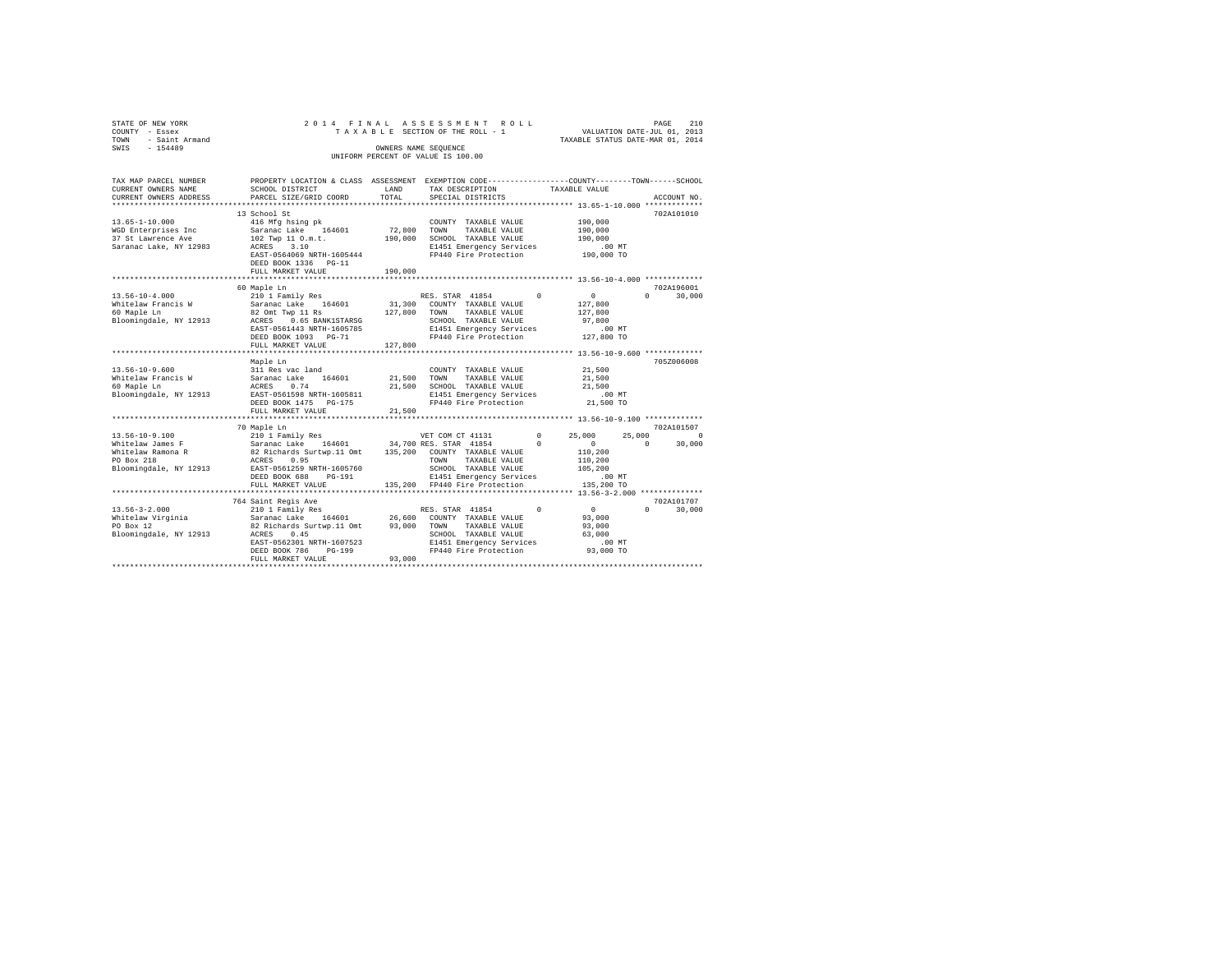| STATE OF NEW YORK<br>COUNTY - Essex<br>TOWN - Saint Armand<br>SWIS - 154489                     |                                                                                                                                                                                                                                                                                                                                                                                                                                                                                                                                                                                        |               | 2014 FINAL ASSESSMENT ROLL<br>TAXABLE SECTION OF THE ROLL - 1<br>OWNERS NAME SEQUENCE<br>UNIFORM PERCENT OF VALUE IS 100.00                       |          | VALUATION DATE-JUL 01, 2013<br>TAXABLE STATUS DATE-MAR 01, 2014               | PAGE                  | 210                              |
|-------------------------------------------------------------------------------------------------|----------------------------------------------------------------------------------------------------------------------------------------------------------------------------------------------------------------------------------------------------------------------------------------------------------------------------------------------------------------------------------------------------------------------------------------------------------------------------------------------------------------------------------------------------------------------------------------|---------------|---------------------------------------------------------------------------------------------------------------------------------------------------|----------|-------------------------------------------------------------------------------|-----------------------|----------------------------------|
| TAX MAP PARCEL NUMBER<br>CURRENT OWNERS NAME<br>CURRENT OWNERS ADDRESS                          | PROPERTY LOCATION & CLASS ASSESSMENT EXEMPTION CODE---------------COUNTY-------TOWN------SCHOOL<br>SCHOOL DISTRICT<br>PARCEL SIZE/GRID COORD                                                                                                                                                                                                                                                                                                                                                                                                                                           | LAND<br>TOTAL | TAX DESCRIPTION<br>SPECIAL DISTRICTS                                                                                                              |          | TAXABLE VALUE                                                                 |                       | ACCOUNT NO.                      |
| $13.65 - 1 - 10.000$<br>WGD Enterprises Inc<br>37 St Lawrence Ave<br>Saranac Lake, NY 12983     | 13 School St<br>416 Mfg hsing pk<br>Saranac Lake 164601<br>102 Twp 11 O.m.t.<br>ACRES 3.10<br>EAST-0564069 NRTH-1605444<br>DEED BOOK 1336    PG-11<br>FULL MARKET VALUE                                                                                                                                                                                                                                                                                                                                                                                                                | 190,000       | COUNTY TAXABLE VALUE<br>72,800 TOWN TAXABLE VALUE<br>190,000 SCHOOL TAXABLE VALUE<br>E1451 Emergency Services<br>FP440 Fire Protection 190,000 TO |          | 190,000<br>190,000<br>190.000<br>.00 MT                                       |                       | 702A101010                       |
|                                                                                                 |                                                                                                                                                                                                                                                                                                                                                                                                                                                                                                                                                                                        |               |                                                                                                                                                   |          |                                                                               |                       |                                  |
| $13.56 - 10 - 4.000$<br>Whitelaw Francis W                                                      | 60 Maple Ln<br>210 1 Family Res<br>Saranac Lake 164601<br>82 Omt Twp 11 Rs<br>$\texttt{Bloomingdale, NY 12913}\footnotesize{\begin{minipage}{0.5cm}\begin{minipage}{0.5cm}\begin{minipage}{0.5cm}\begin{minipage}{0.5cm}\begin{minipage}{0.5cm}\begin{minipage}{0.5cm}\begin{minipage}{0.5cm}\begin{minipage}{0.5cm}\begin{minipage}{0.5cm}\begin{minipage}{0.5cm}\begin{minipage}{0.5cm}\begin{minipage}{0.5cm}\begin{minipage}{0.5cm}\begin{minipage}{0.5cm}\begin{minipage}{0.5cm}\begin{minipage}{0.5cm}\begin{minipage}{0.5cm}\begin{minipage}{0.5cm}\begin$<br>FULL MARKET VALUE | 127,800       | RES. STAR 41854<br>31,300 COUNTY TAXABLE VALUE                                                                                                    | $\Omega$ | $\sim$ 0<br>127,800                                                           |                       | 702A196001<br>$0 \t 30,000$      |
|                                                                                                 |                                                                                                                                                                                                                                                                                                                                                                                                                                                                                                                                                                                        |               |                                                                                                                                                   |          |                                                                               |                       |                                  |
| $13.56 - 10 - 9.600$<br>Whitelaw Francis W<br>60 Maple Ln<br>Bloomingdale, NY 12913             | Maple Ln<br>311 Res vac land<br>Saranac Lake 164601<br>ACRES 0.74<br>EAST-0561598 NRTH-1605811<br>DEED BOOK 1475 PG-175<br>FULL MARKET VALUE                                                                                                                                                                                                                                                                                                                                                                                                                                           | 21,500        | COUNTY TAXABLE VALUE<br>21,500 TOWN TAXABLE VALUE<br>21,500 SCHOOL TAXABLE VALUE<br>E1451 Emergency Services<br>FP440 Fire Protection 21,500 TO   |          | 21,500<br>21,500<br>21,500<br>.00 MT                                          |                       | 705Z006008                       |
|                                                                                                 |                                                                                                                                                                                                                                                                                                                                                                                                                                                                                                                                                                                        |               |                                                                                                                                                   |          |                                                                               |                       |                                  |
| 13.56-10-9.100<br>Whitelaw James F<br>Whitelaw Ramona R<br>PO Box 218<br>Bloomingdale, NY 12913 | 70 Maple Ln<br>$\begin{tabular}{lllllllllll} \multicolumn{4}{c}{\textcolor{red}{\textbf{210 1} Fami1y Res}} & $\textcolor{red}{\textbf{WET CON CT 41131}}$ & 0\\ \textbf{210 1 Fami1y Res} & $\textcolor{red}{\textbf{34.700 RES. STRR 41854}}$ & 0\\ \textbf{34.700 RES. STRR 41854} & 0\\ \textbf{82 Ricchards Network} & 0.4 & 0.35,200 & $\textcolor{red}{\textbf{COMITY} TAXABLE VALUE}} \end{tabular}$<br>ACRES 0.95<br>EAST-0561259 NRTH-1605760<br>DEED BOOK 688 PG-191<br>FULL MARKET VALUE                                                                                   |               | TOWN TAXABLE VALUE<br>SCHOOL TAXABLE VALUE<br>E1451 Emergency Services<br>135,200 FP440 Fire Protection                                           |          | 25,000<br>$\sim$ 0<br>110,200<br>110,200<br>105,200<br>$.00$ MT<br>135,200 TO | 25,000<br>$\sim$ 0    | 702A101507<br>$\Omega$<br>30,000 |
|                                                                                                 |                                                                                                                                                                                                                                                                                                                                                                                                                                                                                                                                                                                        |               |                                                                                                                                                   |          |                                                                               |                       |                                  |
| $13.56 - 3 - 2.000$<br>Whitelaw Virginia<br>PO Box 12<br>Bloomingdale, NY 12913                 | 764 Saint Regis Ave<br>210 1 Family Res<br>Saranac Lake 164601 26,600 COUNTY TAXABLE VALUE<br>82 Richards Surtwp.11 Omt 93,000 TOWN TAXABLE VALUE<br>ACRES 0.45<br>EAST-0562301 NRTH-1607523<br>DEED BOOK 786 PG-199                                                                                                                                                                                                                                                                                                                                                                   | 0.00000       | RES. STAR 41854 0<br>SCHOOL TAXABLE VALUE<br>E1451 Emergency Services<br>FP440 Fire Protection                                                    |          | $\sim$ 0<br>93,000<br>93,000<br>63,000<br>00 MT.<br>93,000 TO                 | $\Omega$ and $\Omega$ | 702A101707<br>30,000             |

FULL MARKET VALUE 93,000 \*\*\*\*\*\*\*\*\*\*\*\*\*\*\*\*\*\*\*\*\*\*\*\*\*\*\*\*\*\*\*\*\*\*\*\*\*\*\*\*\*\*\*\*\*\*\*\*\*\*\*\*\*\*\*\*\*\*\*\*\*\*\*\*\*\*\*\*\*\*\*\*\*\*\*\*\*\*\*\*\*\*\*\*\*\*\*\*\*\*\*\*\*\*\*\*\*\*\*\*\*\*\*\*\*\*\*\*\*\*\*\*\*\*\*\*\*\*\*\*\*\*\*\*\*\*\*\*\*\*\*\*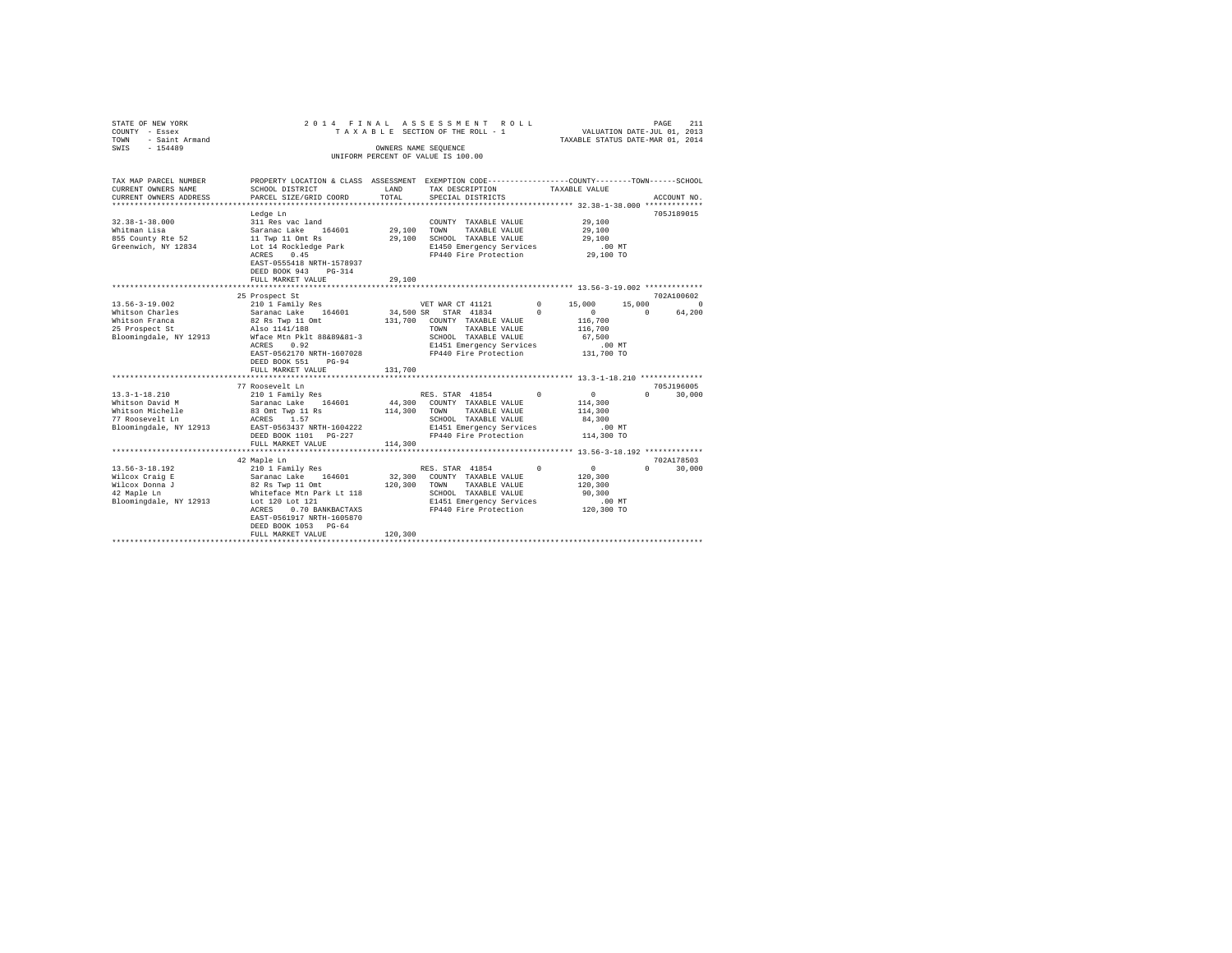| STATE OF NEW YORK<br>COUNTY - Essex<br>- Saint Armand<br>TOWN | 2014 FINAL ASSESSMENT ROLL<br>TAXABLE SECTION OF THE ROLL - 1                                   |         | VALUATION DATE-JUL 01, 2013<br>TAXABLE STATUS DATE-MAR 01, 2014 | PAGE<br>211   |                               |             |
|---------------------------------------------------------------|-------------------------------------------------------------------------------------------------|---------|-----------------------------------------------------------------|---------------|-------------------------------|-------------|
| $-154489$<br>SWIS                                             |                                                                                                 |         | OWNERS NAME SEQUENCE                                            |               |                               |             |
|                                                               |                                                                                                 |         | UNIFORM PERCENT OF VALUE IS 100.00                              |               |                               |             |
|                                                               |                                                                                                 |         |                                                                 |               |                               |             |
| TAX MAP PARCEL NUMBER                                         | PROPERTY LOCATION & CLASS ASSESSMENT EXEMPTION CODE---------------COUNTY-------TOWN------SCHOOL |         |                                                                 |               |                               |             |
| CURRENT OWNERS NAME                                           | SCHOOL DISTRICT                                                                                 | LAND    | TAX DESCRIPTION                                                 | TAXABLE VALUE |                               |             |
| CURRENT OWNERS ADDRESS                                        | PARCEL SIZE/GRID COORD                                                                          | TOTAL   | SPECIAL DISTRICTS                                               |               |                               | ACCOUNT NO. |
| **********************                                        |                                                                                                 |         |                                                                 |               |                               |             |
|                                                               | Ledge Ln                                                                                        |         |                                                                 |               |                               | 705J189015  |
| $32.38 - 1 - 38.000$                                          | 311 Res vac land                                                                                |         | COUNTY TAXABLE VALUE                                            |               | 29,100                        |             |
| Whitman Lisa                                                  | Saranac Lake 164601                                                                             | 29,100  | TOWN<br>TAXABLE VALUE                                           |               | 29,100                        |             |
| 855 County Rte 52                                             | 11 Twp 11 Omt Rs                                                                                | 29,100  | SCHOOL TAXABLE VALUE                                            |               | 29,100                        |             |
| Greenwich, NY 12834                                           | Lot 14 Rockledge Park<br>0.45<br>ACRES                                                          |         | E1450 Emergency Services<br>FP440 Fire Protection               |               | $.00$ MT<br>29,100 TO         |             |
|                                                               | EAST-0555418 NRTH-1578937                                                                       |         |                                                                 |               |                               |             |
|                                                               | DEED BOOK 943 PG-314                                                                            |         |                                                                 |               |                               |             |
|                                                               | FULL MARKET VALUE                                                                               | 29,100  |                                                                 |               |                               |             |
|                                                               |                                                                                                 |         |                                                                 |               |                               |             |
|                                                               | 25 Prospect St                                                                                  |         |                                                                 |               |                               | 702A100602  |
| 13.56-3-19.002                                                | 210 1 Family Res                                                                                |         | VET WAR CT 41121                                                | $0 \t 15,000$ | 15,000                        | $\sim$      |
| Whitson Charles                                               | Saranac Lake 164601<br>82 Rs Twp 11 Omt                                                         |         | 34,500 SR STAR 41834                                            | $^{\circ}$    | $\circ$<br>$\Omega$           | 64,200      |
| Whitson Franca                                                |                                                                                                 |         | 131,700 COUNTY TAXABLE VALUE                                    |               | 116,700                       |             |
| 25 Prospect St                                                | Also 1141/188                                                                                   |         | TOWN<br>TAXABLE VALUE                                           |               | 116,700                       |             |
| Bloomingdale, NY 12913                                        | Wface Mtn Pklt 88&89&81-3                                                                       |         | SCHOOL TAXABLE VALUE                                            |               | 67,500                        |             |
|                                                               | ACRES 0.92                                                                                      |         | E1451 Emergency Services                                        |               | $.00$ MT                      |             |
|                                                               | EAST-0562170 NRTH-1607028                                                                       |         | FP440 Fire Protection                                           |               | 131,700 TO                    |             |
|                                                               | DEED BOOK 551<br>$PG-94$                                                                        |         |                                                                 |               |                               |             |
|                                                               | FULL MARKET VALUE                                                                               | 131,700 |                                                                 |               |                               |             |
|                                                               | 77 Roosevelt Ln                                                                                 |         |                                                                 |               |                               | 705J196005  |
| $13.3 - 1 - 18.210$                                           |                                                                                                 |         | RES. STAR 41854                                                 | $^{\circ}$    | $0 \qquad \qquad$<br>$\Omega$ | 30,000      |
| Whitson David M                                               | 210 1 Family Res<br>Saranac Lake 164601                                                         |         | 44,300 COUNTY TAXABLE VALUE                                     |               | 114,300                       |             |
|                                                               |                                                                                                 |         | TOWN<br>TAXABLE VALUE                                           |               | 114,300                       |             |
| Whitson Michelle<br>77 Roosevelt In<br>77 Roosevelt Ln        |                                                                                                 |         | SCHOOL TAXABLE VALUE                                            |               | 84,300                        |             |
| Bloomingdale, NY 12913                                        | EAST-0563437 NRTH-1604222                                                                       |         | E1451 Emergency Services                                        |               | $.00$ MT                      |             |
|                                                               | DEED BOOK 1101 PG-227                                                                           |         | FP440 Fire Protection                                           |               | 114,300 TO                    |             |
|                                                               | FULL MARKET VALUE                                                                               | 114,300 |                                                                 |               |                               |             |
|                                                               |                                                                                                 |         |                                                                 |               |                               |             |
|                                                               | 42 Maple Ln                                                                                     |         |                                                                 |               |                               | 702A178503  |
| $13.56 - 3 - 18.192$                                          | 210 1 Family Res<br>Saranac Lake 164601                                                         |         | RES. STAR 41854                                                 | $\Omega$      | $\mathbf{0}$<br>$\Omega$      | 30,000      |
| Wilcox Craig E                                                |                                                                                                 |         | 32,300 COUNTY TAXABLE VALUE                                     |               | 120,300                       |             |
| Wilcox Donna J                                                | 82 Rs Twp 11 Omt<br>Whiteface Mtn Park Lt 118                                                   | 120,300 | TOWN<br>TAXABLE VALUE                                           |               | 120,300                       |             |
| 42 Maple Ln                                                   | Lot 120 Lot 121                                                                                 |         | SCHOOL TAXABLE VALUE                                            |               | 90,300                        |             |
| Bloomingdale, NY 12913                                        | 0.70 BANKBACTAXS<br>ACRES                                                                       |         | E1451 Emergency Services<br>FP440 Fire Protection               |               | $.00$ MT<br>120,300 TO        |             |
|                                                               | EAST-0561917 NRTH-1605870                                                                       |         |                                                                 |               |                               |             |
|                                                               | DEED BOOK 1053 PG-64                                                                            |         |                                                                 |               |                               |             |
|                                                               | FULL MARKET VALUE                                                                               | 120,300 |                                                                 |               |                               |             |
|                                                               |                                                                                                 |         |                                                                 |               |                               |             |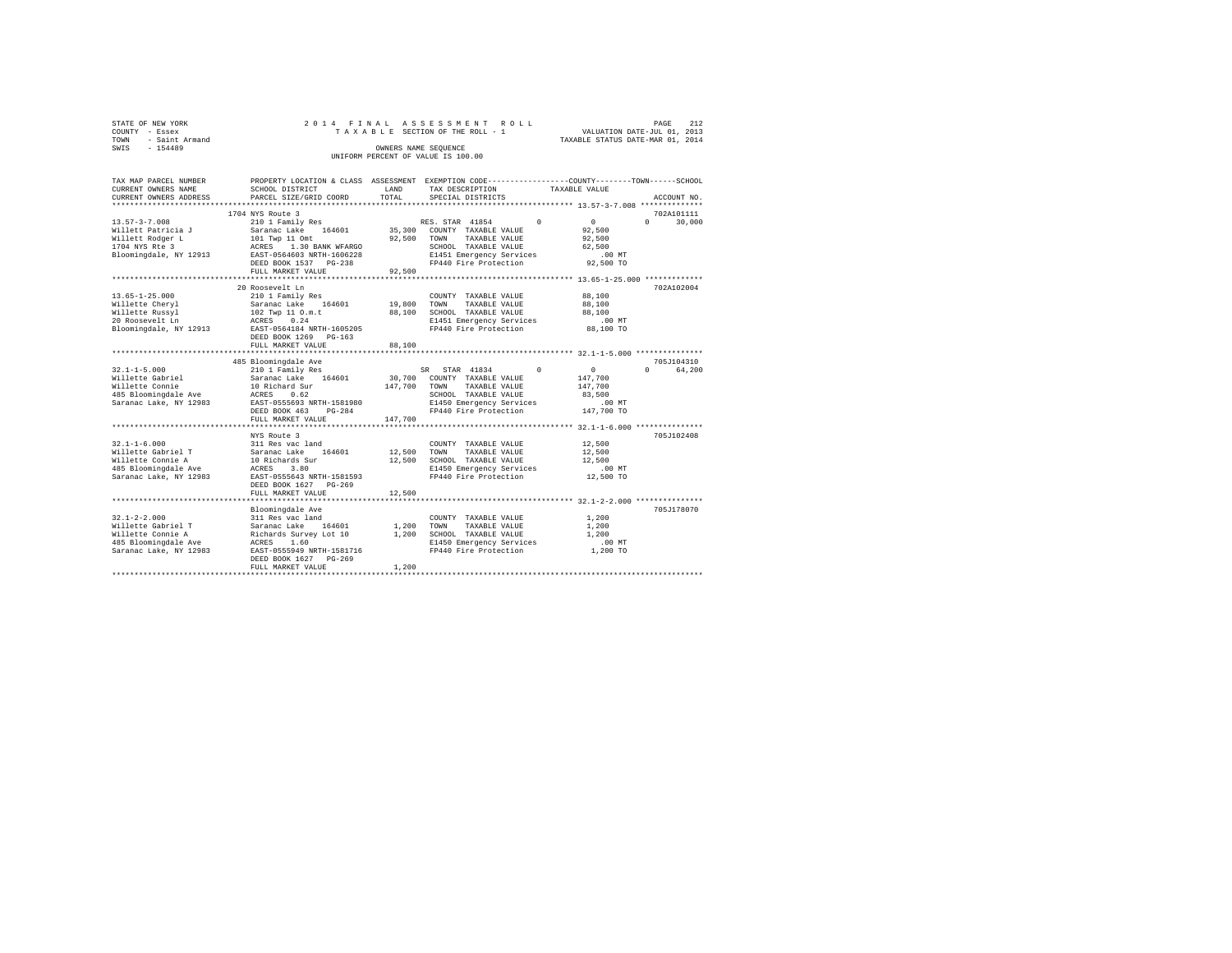| STATE OF NEW YORK   |  |  | 2014 FINAL ASSESSMENT ROLL         |                                  | PAGE                        | 2.12 |
|---------------------|--|--|------------------------------------|----------------------------------|-----------------------------|------|
| COUNTY - Essex      |  |  | TAXABLE SECTION OF THE ROLL - 1    |                                  | VALUATION DATE-JUL 01, 2013 |      |
| TOWN - Saint Armand |  |  |                                    | TAXABLE STATUS DATE-MAR 01, 2014 |                             |      |
| SWTS<br>$-154489$   |  |  | OWNERS NAME SEOUENCE               |                                  |                             |      |
|                     |  |  | UNIFORM PERCENT OF VALUE IS 100.00 |                                  |                             |      |
|                     |  |  |                                    |                                  |                             |      |

| TAX MAP PARCEL NUMBER                                                                                                                                                                                                                          | PROPERTY LOCATION & CLASS ASSESSMENT EXEMPTION CODE---------------COUNTY-------TOWN-----SCHOOL |             |                               |               |                 |                        |
|------------------------------------------------------------------------------------------------------------------------------------------------------------------------------------------------------------------------------------------------|------------------------------------------------------------------------------------------------|-------------|-------------------------------|---------------|-----------------|------------------------|
| CURRENT OWNERS NAME                                                                                                                                                                                                                            | SCHOOL DISTRICT                                                                                | LAND        | TAX DESCRIPTION               | TAXABLE VALUE |                 |                        |
| CURRENT OWNERS ADDRESS                                                                                                                                                                                                                         | PARCEL SIZE/GRID COORD                                                                         | TOTAL       | SPECIAL DISTRICTS             |               |                 | ACCOUNT NO.            |
|                                                                                                                                                                                                                                                |                                                                                                |             |                               |               |                 |                        |
|                                                                                                                                                                                                                                                | 1704 NYS Route 3                                                                               |             |                               |               |                 | 702A101111             |
| $13.57 - 3 - 7.008$                                                                                                                                                                                                                            |                                                                                                |             | RES. STAR 41854 0             |               | $\sim$ 0 $\sim$ | $\Omega$<br>30,000     |
| Willett Patricia J                                                                                                                                                                                                                             |                                                                                                |             | 35,300 COUNTY TAXABLE VALUE   |               | 92,500          |                        |
| Willett Rodger L                                                                                                                                                                                                                               |                                                                                                | 92.500 TOWN | TAXABLE VALUE                 |               | 92,500          |                        |
| 1704 NYS Rte 3                                                                                                                                                                                                                                 | 310 1 Family Res<br>31 Saranac Lake 164601<br>101 Twp 11 Omt<br>20 RCRES 1.30 BANK WFARGO      |             | SCHOOL TAXABLE VALUE          |               | 62,500          |                        |
| Bloomingdale, NY 12913 EAST-0564603 NRTH-1606228                                                                                                                                                                                               |                                                                                                |             | E1451 Emergency Services      |               | $.00$ MT        |                        |
|                                                                                                                                                                                                                                                | DEED BOOK 1537 PG-238                                                                          |             | FP440 Fire Protection         |               | 92,500 TO       |                        |
|                                                                                                                                                                                                                                                | FULL MARKET VALUE                                                                              | 92,500      |                               |               |                 |                        |
|                                                                                                                                                                                                                                                |                                                                                                |             |                               |               |                 |                        |
|                                                                                                                                                                                                                                                | 20 Roosevelt Ln                                                                                |             |                               |               |                 | 702A102004             |
| $13.65 - 1 - 25.000$                                                                                                                                                                                                                           | 210 1 Family Res                                                                               |             | COUNTY TAXABLE VALUE          |               | 88,100          |                        |
| Willette Cheryl                                                                                                                                                                                                                                | Saranac Lake 164601                                                                            |             | 19,800 TOWN TAXABLE VALUE     |               | 88,100          |                        |
| Willette Russyl                                                                                                                                                                                                                                |                                                                                                |             | 88,100 SCHOOL TAXABLE VALUE   |               | 88,100          |                        |
| 20 Roosevelt Ln                                                                                                                                                                                                                                | 102 Twp 11 0.m.t<br>ACRES 0.24                                                                 |             | E1451 Emergency Services      |               | $.00$ MT        |                        |
| Bloomingdale, NY 12913 EAST-0564184 NRTH-1605205                                                                                                                                                                                               |                                                                                                |             | FP440 Fire Protection         |               | 88,100 TO       |                        |
|                                                                                                                                                                                                                                                | DEED BOOK 1269 PG-163                                                                          |             |                               |               |                 |                        |
|                                                                                                                                                                                                                                                | FULL MARKET VALUE                                                                              | 88,100      |                               |               |                 |                        |
|                                                                                                                                                                                                                                                |                                                                                                |             |                               |               |                 |                        |
|                                                                                                                                                                                                                                                | 485 Bloomingdale Ave                                                                           |             |                               |               |                 | 705J104310             |
|                                                                                                                                                                                                                                                |                                                                                                |             | SR STAR 41834                 | $\Omega$      | $\sim$ 0        | 64,200<br>$\mathsf{n}$ |
|                                                                                                                                                                                                                                                |                                                                                                |             | 30,700 COUNTY TAXABLE VALUE   |               | 147,700         |                        |
|                                                                                                                                                                                                                                                |                                                                                                |             | 147,700 TOWN<br>TAXABLE VALUE |               | 147,700         |                        |
|                                                                                                                                                                                                                                                |                                                                                                |             | SCHOOL TAXABLE VALUE          |               | 83,500          |                        |
| Saranac Lake, NY 12983 EAST-0555693 NRTH-1581980                                                                                                                                                                                               |                                                                                                |             | E1450 Emergency Services      |               | $.00$ MT        |                        |
|                                                                                                                                                                                                                                                | DEED BOOK 463 PG-284                                                                           |             | FP440 Fire Protection         |               | $147,700$ TO    |                        |
|                                                                                                                                                                                                                                                | FULL MARKET VALUE                                                                              | 147,700     |                               |               |                 |                        |
|                                                                                                                                                                                                                                                |                                                                                                |             |                               |               |                 |                        |
|                                                                                                                                                                                                                                                | NYS Route 3                                                                                    |             |                               |               |                 | 705J102408             |
| $32.1 - 1 - 6.000$                                                                                                                                                                                                                             | 311 Res vac land                                                                               |             | COUNTY TAXABLE VALUE          |               | 12,500          |                        |
|                                                                                                                                                                                                                                                |                                                                                                | 12,500 TOWN | TAXABLE VALUE                 |               | 12,500          |                        |
|                                                                                                                                                                                                                                                |                                                                                                |             | 12,500 SCHOOL TAXABLE VALUE   |               | 12,500          |                        |
|                                                                                                                                                                                                                                                |                                                                                                |             | E1450 Emergency Services      |               | $.00$ MT        |                        |
| Saranac Lake, NY 12983                                                                                                                                                                                                                         | EAST-0555643 NRTH-1581593                                                                      |             | FP440 Fire Protection         |               | 12,500 TO       |                        |
|                                                                                                                                                                                                                                                | DEED BOOK 1627 PG-269                                                                          |             |                               |               |                 |                        |
|                                                                                                                                                                                                                                                | FULL MARKET VALUE                                                                              | 12,500      |                               |               |                 |                        |
|                                                                                                                                                                                                                                                |                                                                                                |             |                               |               |                 |                        |
|                                                                                                                                                                                                                                                | Bloomingdale Ave                                                                               |             |                               |               |                 | 705J178070             |
| $32.1 - 2 - 2.000$                                                                                                                                                                                                                             | 311 Res vac land                                                                               |             | COUNTY TAXABLE VALUE          |               | 1,200           |                        |
| 911-12-2.1000<br>1.2000 TOWN Millette Gobriel T<br>1.2000 TOWN<br>1.2000 TOWN<br>1.2000 TOWN<br>1.2000 TOWN<br>2.485 Bloomingdale Ave ACRES 1.60 DRESS<br>2.485 Bloomingdale Ave ACRES 1.60 DRESS<br>2.487 DRESS 1.60 DRESS DRESS PRITH-158171 |                                                                                                |             | TAXABLE VALUE                 |               | 1,200           |                        |
|                                                                                                                                                                                                                                                |                                                                                                |             | 1,200 SCHOOL TAXABLE VALUE    |               | 1,200           |                        |
|                                                                                                                                                                                                                                                |                                                                                                |             | E1450 Emergency Services      |               | $.00$ MT        |                        |
|                                                                                                                                                                                                                                                |                                                                                                |             | FP440 Fire Protection         |               | 1,200 TO        |                        |
|                                                                                                                                                                                                                                                | DEED BOOK 1627 PG-269                                                                          |             |                               |               |                 |                        |
|                                                                                                                                                                                                                                                | FULL MARKET VALUE                                                                              | 1,200       |                               |               |                 |                        |
|                                                                                                                                                                                                                                                |                                                                                                |             |                               |               |                 |                        |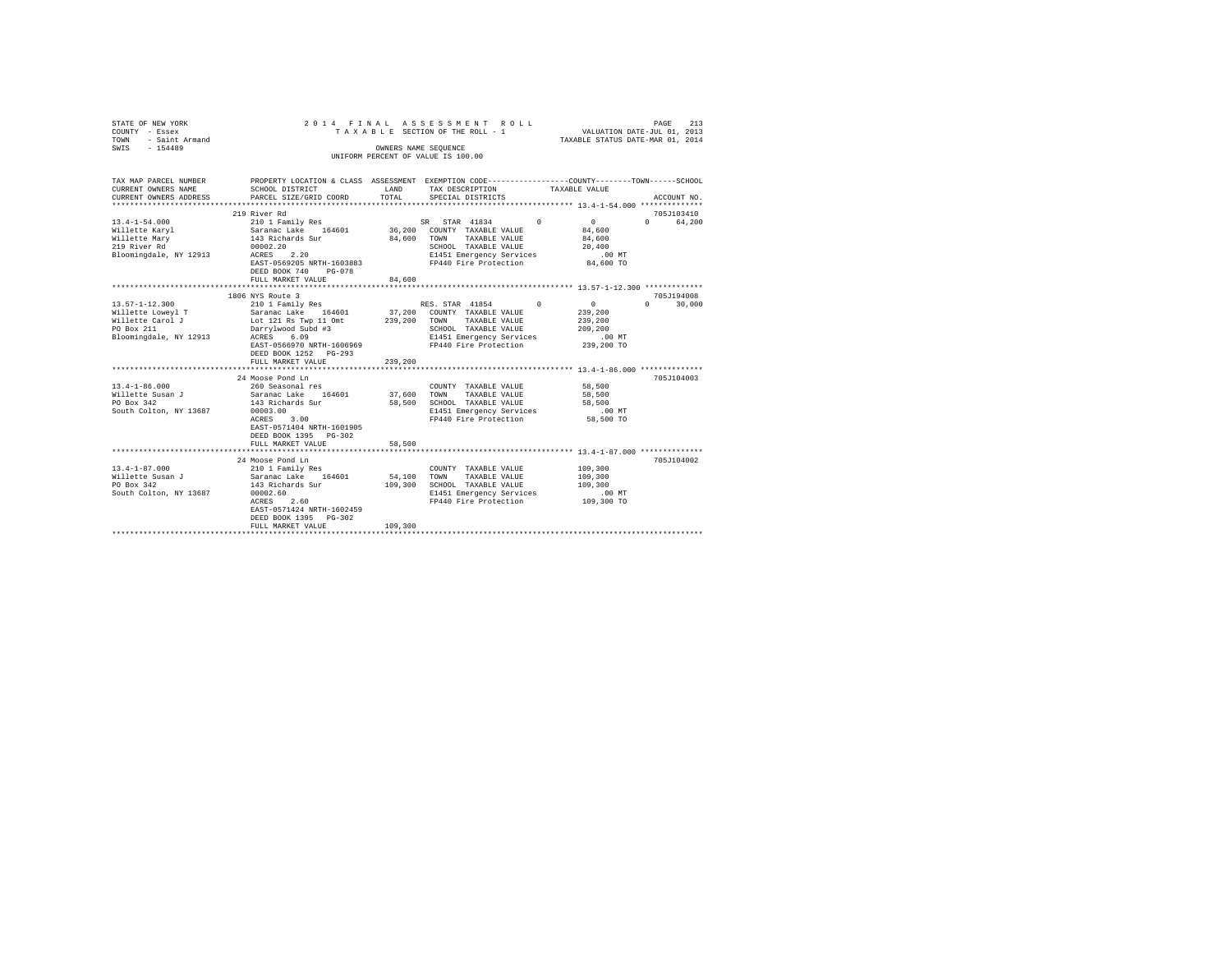| STATE OF NEW YORK<br>COUNTY - Essex<br>TOWN - Saint Armand<br>SWIS - 154489                     |                                                                                                                                              |         | 2014 FINAL ASSESSMENT ROLL<br>TAXABLE SECTION OF THE ROLL - 1<br>OWNERS NAME SEOUENCE<br>UNIFORM PERCENT OF VALUE IS 100.00 | PAGE 213<br>VALUATION DATE-JUL 01, 2013<br>TAXABLE STATUS DATE-MAR 01, 2014 |              |  |
|-------------------------------------------------------------------------------------------------|----------------------------------------------------------------------------------------------------------------------------------------------|---------|-----------------------------------------------------------------------------------------------------------------------------|-----------------------------------------------------------------------------|--------------|--|
| TAX MAP PARCEL NUMBER<br>CURRENT OWNERS NAME<br>CURRENT OWNERS ADDRESS<br>********************* | PROPERTY LOCATION & CLASS ASSESSMENT EXEMPTION CODE---------------COUNTY-------TOWN------SCHOOL<br>SCHOOL DISTRICT<br>PARCEL SIZE/GRID COORD | TOTAL   | LAND TAX DESCRIPTION<br>SPECIAL DISTRICTS                                                                                   | TAXABLE VALUE                                                               | ACCOUNT NO.  |  |
|                                                                                                 |                                                                                                                                              |         |                                                                                                                             |                                                                             |              |  |
|                                                                                                 | 219 River Rd                                                                                                                                 |         |                                                                                                                             |                                                                             | 705J103410   |  |
|                                                                                                 |                                                                                                                                              |         |                                                                                                                             | $\sim$ 0<br>84,600                                                          | 0 64.200     |  |
|                                                                                                 |                                                                                                                                              |         |                                                                                                                             | 84,600                                                                      |              |  |
|                                                                                                 |                                                                                                                                              |         |                                                                                                                             | 20,400                                                                      |              |  |
|                                                                                                 |                                                                                                                                              |         | E1451 Emergency Services                                                                                                    | $.00$ MT                                                                    |              |  |
|                                                                                                 | EAST-0569205 NRTH-1603883                                                                                                                    |         | FP440 Fire Protection                                                                                                       | 84,600 TO                                                                   |              |  |
|                                                                                                 | DEED BOOK 740 PG-078                                                                                                                         |         |                                                                                                                             |                                                                             |              |  |
|                                                                                                 | FULL MARKET VALUE                                                                                                                            | 84,600  |                                                                                                                             |                                                                             |              |  |
|                                                                                                 |                                                                                                                                              |         |                                                                                                                             |                                                                             |              |  |
|                                                                                                 | 1806 NYS Route 3                                                                                                                             |         |                                                                                                                             |                                                                             | 705J194008   |  |
| 13.57-1-12.300                                                                                  | 210 1 Family Res                                                                                                                             |         | RES. STAR 41854 0                                                                                                           | $\sim$ 0 $\sim$                                                             | $0 \t30,000$ |  |
| Willette Loweyl T Saranac Lake 164601 37,200 COUNTY TAXABLE VALUE 239,200                       |                                                                                                                                              |         |                                                                                                                             |                                                                             |              |  |
| Willette Carol J<br>PO Box 211                                                                  |                                                                                                                                              |         | 239,200 TOWN TAXABLE VALUE                                                                                                  | 239,200                                                                     |              |  |
| PO Box 211                                                                                      |                                                                                                                                              |         | SCHOOL TAXABLE VALUE                                                                                                        | 209,200                                                                     |              |  |
| Bloomingdale, NY 12913                                                                          | Safamac Lunce<br>Lot 121 Rs Twp 11 Omt 239,20<br>Darrylwood Subd #3<br>ACRES 6.09                                                            |         | E1451 Emergency Services                                                                                                    | $.00$ MT                                                                    |              |  |
|                                                                                                 | EAST-0566970 NRTH-1606969                                                                                                                    |         | FP440 Fire Protection 239,200 TO                                                                                            |                                                                             |              |  |
|                                                                                                 | DEED BOOK 1252 PG-293                                                                                                                        |         |                                                                                                                             |                                                                             |              |  |
|                                                                                                 | FULL MARKET VALUE                                                                                                                            | 239,200 |                                                                                                                             |                                                                             |              |  |
|                                                                                                 |                                                                                                                                              |         |                                                                                                                             |                                                                             |              |  |
|                                                                                                 | 24 Moose Pond Ln                                                                                                                             |         |                                                                                                                             |                                                                             | 705J104003   |  |
| $13.4 - 1 - 86.000$                                                                             | 260 Seasonal res                                                                                                                             | 37,600  | COUNTY TAXABLE VALUE<br>TOWN<br>TAXABLE VALUE                                                                               | 58,500<br>58,500                                                            |              |  |
| Willette Susan J<br>PO Box 342                                                                  | Saranac Lake 164601<br>143 Richards Sur                                                                                                      |         | 58,500 SCHOOL TAXABLE VALUE                                                                                                 | 58,500                                                                      |              |  |
| South Colton, NY 13687                                                                          |                                                                                                                                              |         |                                                                                                                             | $.00$ MT                                                                    |              |  |
|                                                                                                 | 00003.00<br>ACRES 3.00                                                                                                                       |         | E1451 Emergency Services<br>FP440 Fire Protection                                                                           | 58,500 TO                                                                   |              |  |
|                                                                                                 | EAST-0571404 NRTH-1601905                                                                                                                    |         |                                                                                                                             |                                                                             |              |  |
|                                                                                                 | DEED BOOK 1395 PG-302                                                                                                                        |         |                                                                                                                             |                                                                             |              |  |
|                                                                                                 | FULL MARKET VALUE                                                                                                                            | 58,500  |                                                                                                                             |                                                                             |              |  |
|                                                                                                 |                                                                                                                                              |         |                                                                                                                             |                                                                             |              |  |
|                                                                                                 | 24 Moose Pond Ln                                                                                                                             |         |                                                                                                                             |                                                                             | 705J104002   |  |
| $13.4 - 1 - 87.000$                                                                             | 210 1 Family Res                                                                                                                             |         | COUNTY TAXABLE VALUE                                                                                                        | 109,300                                                                     |              |  |
| Willette Susan J                                                                                | Saranac Lake 164601                                                                                                                          |         | 54,100 TOWN TAXABLE VALUE                                                                                                   | 109,300                                                                     |              |  |
| PO Box 342                                                                                      | 143 Richards Sur 109,300 SCHOOL TAXABLE VALUE                                                                                                |         |                                                                                                                             | 109,300                                                                     |              |  |
| South Colton, NY 13687                                                                          | 00002.60                                                                                                                                     |         | E1451 Emergency Services                                                                                                    | .00 MT                                                                      |              |  |
|                                                                                                 | ACRES 2.60                                                                                                                                   |         | FP440 Fire Protection 109,300 TO                                                                                            |                                                                             |              |  |
|                                                                                                 | EAST-0571424 NRTH-1602459                                                                                                                    |         |                                                                                                                             |                                                                             |              |  |
|                                                                                                 | DEED BOOK 1395 PG-302                                                                                                                        |         |                                                                                                                             |                                                                             |              |  |
|                                                                                                 | FULL MARKET VALUE                                                                                                                            | 109,300 |                                                                                                                             |                                                                             |              |  |
|                                                                                                 |                                                                                                                                              |         |                                                                                                                             |                                                                             |              |  |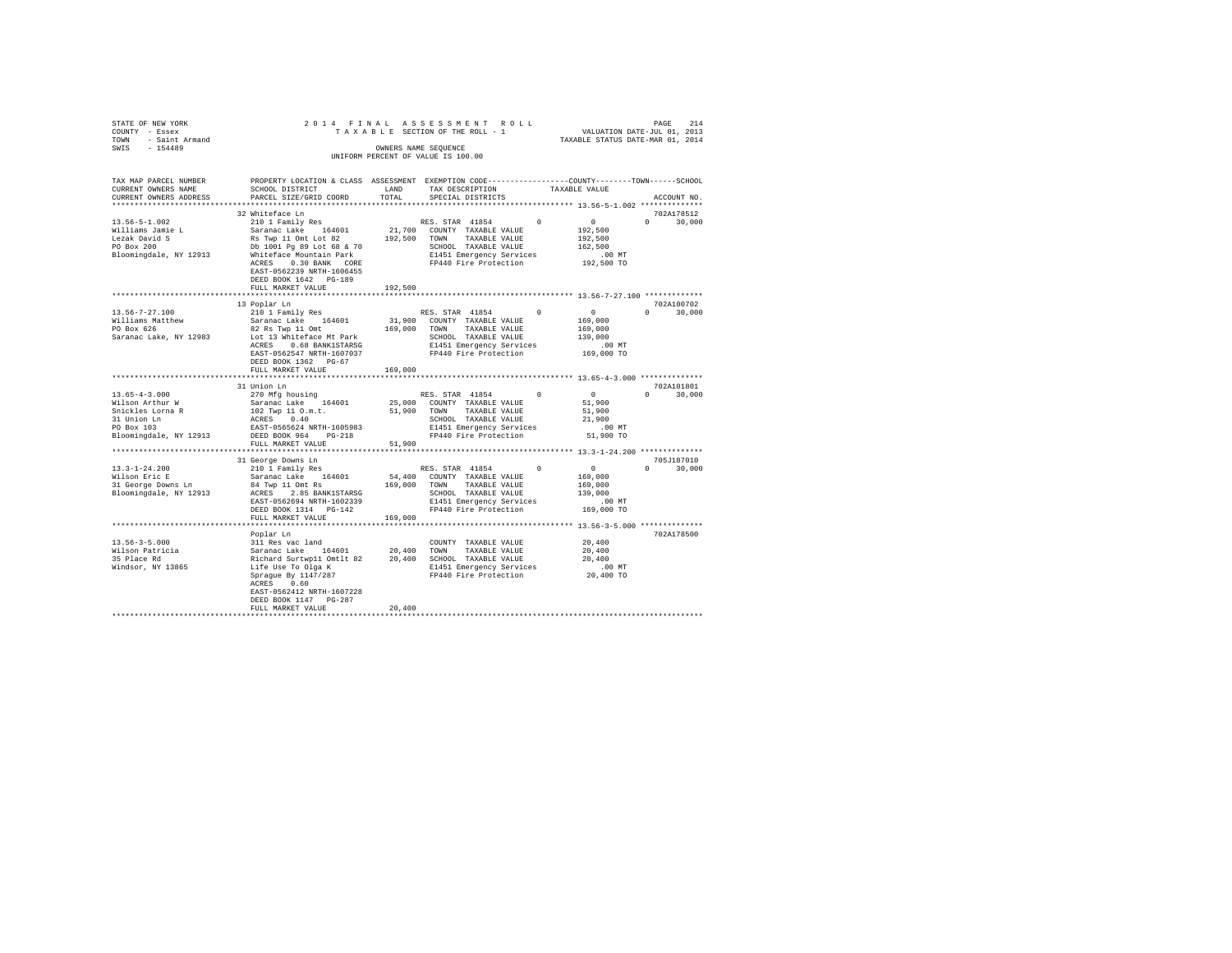|                                                                                                       |                                                                                                                                                                                                                    |                                                                                                                                                                                                                                                                                                                                        |                                                                                                                                            | 214<br>PAGE                                                                                                                                                                                                                                                                                                                                                                                                                                                                                                                                                                                                                                                                                                                                                                                                                                                                                                                                                                                                                                                                                                                                                                   |
|-------------------------------------------------------------------------------------------------------|--------------------------------------------------------------------------------------------------------------------------------------------------------------------------------------------------------------------|----------------------------------------------------------------------------------------------------------------------------------------------------------------------------------------------------------------------------------------------------------------------------------------------------------------------------------------|--------------------------------------------------------------------------------------------------------------------------------------------|-------------------------------------------------------------------------------------------------------------------------------------------------------------------------------------------------------------------------------------------------------------------------------------------------------------------------------------------------------------------------------------------------------------------------------------------------------------------------------------------------------------------------------------------------------------------------------------------------------------------------------------------------------------------------------------------------------------------------------------------------------------------------------------------------------------------------------------------------------------------------------------------------------------------------------------------------------------------------------------------------------------------------------------------------------------------------------------------------------------------------------------------------------------------------------|
|                                                                                                       |                                                                                                                                                                                                                    |                                                                                                                                                                                                                                                                                                                                        |                                                                                                                                            | ACCOUNT NO.                                                                                                                                                                                                                                                                                                                                                                                                                                                                                                                                                                                                                                                                                                                                                                                                                                                                                                                                                                                                                                                                                                                                                                   |
|                                                                                                       |                                                                                                                                                                                                                    |                                                                                                                                                                                                                                                                                                                                        |                                                                                                                                            | 702A178512                                                                                                                                                                                                                                                                                                                                                                                                                                                                                                                                                                                                                                                                                                                                                                                                                                                                                                                                                                                                                                                                                                                                                                    |
|                                                                                                       |                                                                                                                                                                                                                    |                                                                                                                                                                                                                                                                                                                                        |                                                                                                                                            | $0 \t 30.000$                                                                                                                                                                                                                                                                                                                                                                                                                                                                                                                                                                                                                                                                                                                                                                                                                                                                                                                                                                                                                                                                                                                                                                 |
| FULL MARKET VALUE                                                                                     |                                                                                                                                                                                                                    |                                                                                                                                                                                                                                                                                                                                        |                                                                                                                                            |                                                                                                                                                                                                                                                                                                                                                                                                                                                                                                                                                                                                                                                                                                                                                                                                                                                                                                                                                                                                                                                                                                                                                                               |
|                                                                                                       |                                                                                                                                                                                                                    |                                                                                                                                                                                                                                                                                                                                        |                                                                                                                                            | 702A100702<br>$0 \t 30,000$                                                                                                                                                                                                                                                                                                                                                                                                                                                                                                                                                                                                                                                                                                                                                                                                                                                                                                                                                                                                                                                                                                                                                   |
| DEED BOOK 1362 PG-67                                                                                  |                                                                                                                                                                                                                    |                                                                                                                                                                                                                                                                                                                                        | 169,000<br>139,000<br>.00 MT<br>169,000 TO                                                                                                 |                                                                                                                                                                                                                                                                                                                                                                                                                                                                                                                                                                                                                                                                                                                                                                                                                                                                                                                                                                                                                                                                                                                                                                               |
|                                                                                                       |                                                                                                                                                                                                                    |                                                                                                                                                                                                                                                                                                                                        |                                                                                                                                            |                                                                                                                                                                                                                                                                                                                                                                                                                                                                                                                                                                                                                                                                                                                                                                                                                                                                                                                                                                                                                                                                                                                                                                               |
|                                                                                                       |                                                                                                                                                                                                                    |                                                                                                                                                                                                                                                                                                                                        |                                                                                                                                            | 702A101801                                                                                                                                                                                                                                                                                                                                                                                                                                                                                                                                                                                                                                                                                                                                                                                                                                                                                                                                                                                                                                                                                                                                                                    |
|                                                                                                       |                                                                                                                                                                                                                    |                                                                                                                                                                                                                                                                                                                                        | 51,900<br>51,900<br>21,900<br>$.00$ MT<br>51,900 TO                                                                                        | $0 \t 30.000$                                                                                                                                                                                                                                                                                                                                                                                                                                                                                                                                                                                                                                                                                                                                                                                                                                                                                                                                                                                                                                                                                                                                                                 |
|                                                                                                       |                                                                                                                                                                                                                    |                                                                                                                                                                                                                                                                                                                                        |                                                                                                                                            |                                                                                                                                                                                                                                                                                                                                                                                                                                                                                                                                                                                                                                                                                                                                                                                                                                                                                                                                                                                                                                                                                                                                                                               |
|                                                                                                       |                                                                                                                                                                                                                    |                                                                                                                                                                                                                                                                                                                                        | 169,000<br>139,000<br>.00 MT<br>169,000 TO                                                                                                 | 705J187010<br>$0 \t 30,000$                                                                                                                                                                                                                                                                                                                                                                                                                                                                                                                                                                                                                                                                                                                                                                                                                                                                                                                                                                                                                                                                                                                                                   |
|                                                                                                       |                                                                                                                                                                                                                    |                                                                                                                                                                                                                                                                                                                                        |                                                                                                                                            |                                                                                                                                                                                                                                                                                                                                                                                                                                                                                                                                                                                                                                                                                                                                                                                                                                                                                                                                                                                                                                                                                                                                                                               |
| Poplar Ln<br>ACRES 0.60<br>EAST-0562412 NRTH-1607228<br>DEED BOOK 1147    PG-287<br>FULL MARKET VALUE | 20,400                                                                                                                                                                                                             |                                                                                                                                                                                                                                                                                                                                        | 20,400<br>20,400<br>20,400                                                                                                                 | 702A178500                                                                                                                                                                                                                                                                                                                                                                                                                                                                                                                                                                                                                                                                                                                                                                                                                                                                                                                                                                                                                                                                                                                                                                    |
|                                                                                                       | 32 Whiteface Ln<br>DEED BOOK 1642 PG-189<br>13 Poplar Ln<br>210 1 Family Res<br>FULL MARKET VALUE<br>31 Union Ln<br>270 Mfg housing<br>Saranac Lake 164601<br>ACRES 0.40<br>FULL MARKET VALUE<br>FULL MARKET VALUE | CURRENT OWNERS ADDRESS PARCEL SIZE/GRID COORD TOTAL<br>Whiteface Mountain Park<br>EAST-0562239 NRTH-1606455<br>192,500<br>$Sariance$ Lake 164601<br>82 Pe Tum 11 - 1<br>169,000<br>102 Twp 11 O.m.t.<br>EAST-0565624 NRTH-1605983<br>Bloomingdale, NY 12913 DEED BOOK 964 PG-218<br>EAST-0562694 NRTH-1602339<br>DEED BOOK 1314 PG-142 | 2014 FINAL ASSESSMENT ROLL<br>OWNERS NAME SEQUENCE<br>UNIFORM PERCENT OF VALUE IS 100.00<br>51,900 TOWN TAXABLE VALUE<br>51,900<br>169,000 | י בא משפח בא משפח של VALUATION DATE-JUL 01, 2013<br>TA X A B L E SECTION OF THE ROLL - 1 (VALUATION DATE-JUL 01, 2013)<br>TAXABLE STATUS DATE-MAR 01, 2014<br>PROPERTY LOCATION & CLASS ASSESSMENT EXEMPTION CODE---------------COUNTY-------TOWN------SCHOOL<br>10 1 Pamily Res RES. STAR 41854<br>Saranac Lake 164601 21,700 COUNTY TAXABLE VALUE 192,500<br>Sarang Li Omt Lot 82 _ 192,500 TOWN TAXABLE VALUE 192,500<br>$\begin{array}{c}0\\169,000\end{array}$<br>RES. STAR 41854 0<br>31,900 COUNTY TAXABLE VALUE<br>%1111ams Maximum of Satar and Langley 2012<br>FO Box 626 82 Rs Twp 11 Omt 169,000 TOWN TAXABLE VALUE<br>Saranac Lake, NY 12983 1.06 168 ANNEST ARCS 2012<br>ACRES 0.66 BANKISTARSG 2012<br>ACRES 2547 NRTH-1607037 PT440 Fire Protecti<br>RES. STAR 41854 0 0<br>25,000 COUNTY TAXABLE VALUE<br>SCHOOL TAXABLE VALUE<br>E1451 Emergency Services<br>FP440 Fire Protection<br>31 George Downs Ln<br>2001 - Family Ress (Ress, STAR 41854 – 2001 – 2001)<br>Saranac Lake – 164601 – 54,400 COUNTY TAXABLE VALUE – 169,000<br>E1451 Emergency Services<br>FP440 Fire Protection<br>E1451 Emergency Services .00 MT<br>FP440 Fire Protection 20,400 TO |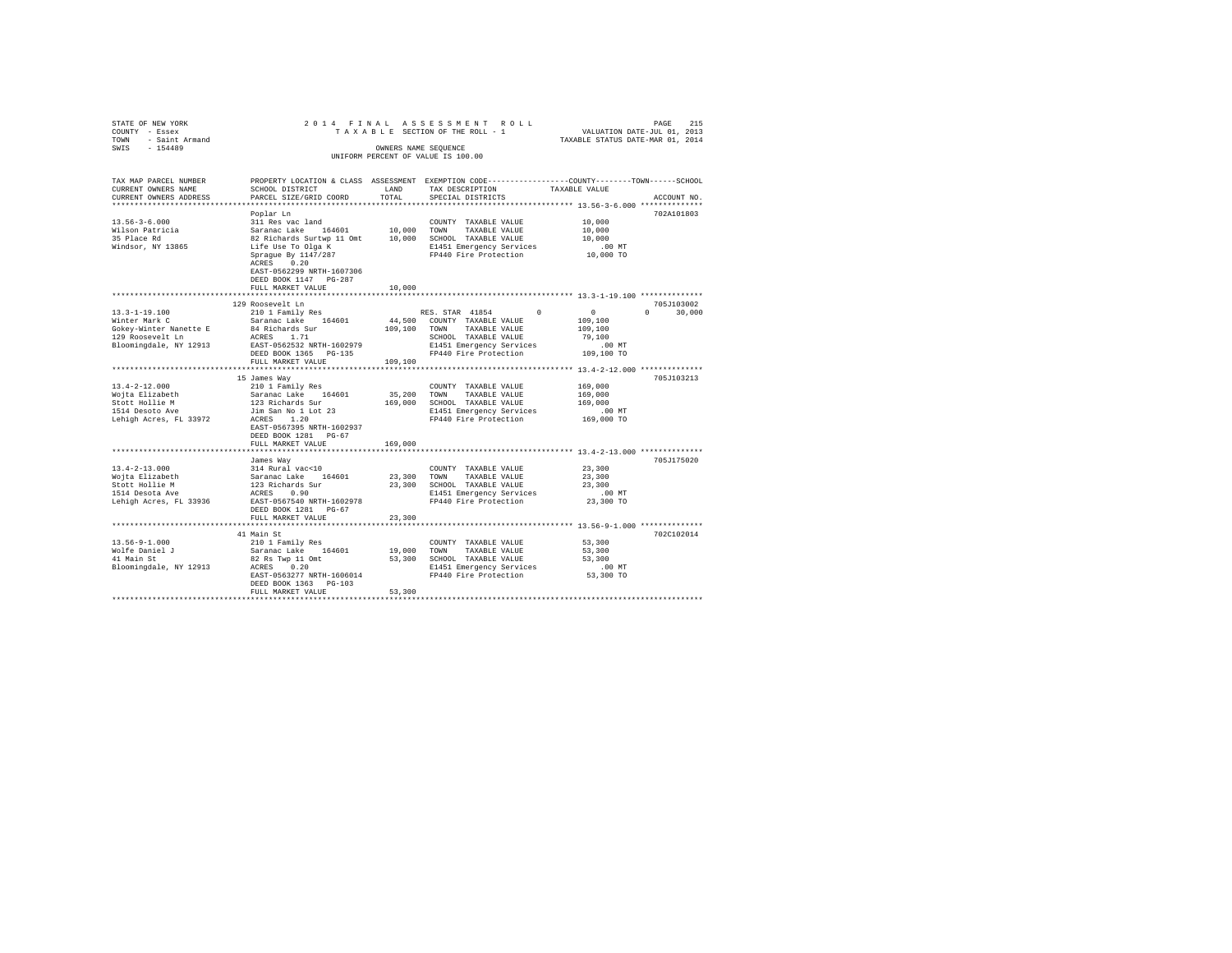|                                                                                                                                               |                                                                           |              |                                                                                                    | $\begin{array}{cccccccccccc} \texttt{STAR} & \texttt{OR} & \texttt{R} & \texttt{N} & \texttt{R} & \texttt{N} & \texttt{R} & \texttt{N} & \texttt{R} & \texttt{N} & \texttt{R} & \texttt{N} & \texttt{R} & \texttt{N} & \texttt{R} & \texttt{N} & \texttt{R} & \texttt{N} & \texttt{R} & \texttt{N} & \texttt{R} & \texttt{N} & \texttt{R} & \texttt{N} & \texttt{R} & \texttt{N} & \texttt{R} & \texttt{N} & \texttt{N} & \texttt{R} &$ |
|-----------------------------------------------------------------------------------------------------------------------------------------------|---------------------------------------------------------------------------|--------------|----------------------------------------------------------------------------------------------------|-----------------------------------------------------------------------------------------------------------------------------------------------------------------------------------------------------------------------------------------------------------------------------------------------------------------------------------------------------------------------------------------------------------------------------------------|
|                                                                                                                                               |                                                                           |              |                                                                                                    |                                                                                                                                                                                                                                                                                                                                                                                                                                         |
|                                                                                                                                               |                                                                           |              |                                                                                                    |                                                                                                                                                                                                                                                                                                                                                                                                                                         |
|                                                                                                                                               |                                                                           |              |                                                                                                    |                                                                                                                                                                                                                                                                                                                                                                                                                                         |
|                                                                                                                                               |                                                                           |              |                                                                                                    |                                                                                                                                                                                                                                                                                                                                                                                                                                         |
|                                                                                                                                               |                                                                           |              |                                                                                                    | TAX MAP PARCEL NUMBER PROPERTY LOCATION & CLASS ASSESSMENT EXEMPTION CODE--------------COUNTY-------TOWN-----SCHOOL                                                                                                                                                                                                                                                                                                                     |
| CURRENT OWNERS NAME                                                                                                                           | SCHOOL DISTRICT LAND                                                      |              | TAX DESCRIPTION                                                                                    | TAXABLE VALUE                                                                                                                                                                                                                                                                                                                                                                                                                           |
| CURRENT OWNERS ADDRESS                                                                                                                        | PARCEL SIZE/GRID COORD                                                    | TOTAL.       | SPECIAL DISTRICTS                                                                                  | ACCOUNT NO.                                                                                                                                                                                                                                                                                                                                                                                                                             |
|                                                                                                                                               |                                                                           |              |                                                                                                    |                                                                                                                                                                                                                                                                                                                                                                                                                                         |
| $13.56 - 3 - 6.000$                                                                                                                           | Poplar Ln<br>311 Res vac land                                             |              | COUNTY TAXABLE VALUE                                                                               | 702A101803<br>10,000                                                                                                                                                                                                                                                                                                                                                                                                                    |
|                                                                                                                                               |                                                                           |              |                                                                                                    | 10,000                                                                                                                                                                                                                                                                                                                                                                                                                                  |
| Wilson Patricia<br>35 Place Rd                                                                                                                |                                                                           |              |                                                                                                    | 10,000                                                                                                                                                                                                                                                                                                                                                                                                                                  |
| Windsor, NY 13865                                                                                                                             |                                                                           |              | E1451 Emergency Services                                                                           | .00MT                                                                                                                                                                                                                                                                                                                                                                                                                                   |
|                                                                                                                                               |                                                                           |              | FP440 Fire Protection                                                                              | 10,000 TO                                                                                                                                                                                                                                                                                                                                                                                                                               |
|                                                                                                                                               |                                                                           |              |                                                                                                    |                                                                                                                                                                                                                                                                                                                                                                                                                                         |
|                                                                                                                                               | EAST-0562299 NRTH-1607306                                                 |              |                                                                                                    |                                                                                                                                                                                                                                                                                                                                                                                                                                         |
|                                                                                                                                               | DEED BOOK 1147 PG-287                                                     |              |                                                                                                    |                                                                                                                                                                                                                                                                                                                                                                                                                                         |
|                                                                                                                                               | FULL MARKET VALUE                                                         | 10,000       |                                                                                                    |                                                                                                                                                                                                                                                                                                                                                                                                                                         |
|                                                                                                                                               | *************************                                                 | ************ |                                                                                                    | ************************ 13.3-1-19.100 **************                                                                                                                                                                                                                                                                                                                                                                                   |
|                                                                                                                                               | 129 Roosevelt Ln                                                          |              |                                                                                                    | 705J103002                                                                                                                                                                                                                                                                                                                                                                                                                              |
| $13.3 - 1 - 19.100$                                                                                                                           | 210 1 Family Res                                                          |              | RES. STAR 41854<br>$\Omega$                                                                        | $\sim$ 0<br>$0 \t 30,000$                                                                                                                                                                                                                                                                                                                                                                                                               |
| Winter Mark C                                                                                                                                 | Saranac Lake 164601                                                       |              | 44.500 COUNTY TAXABLE VALUE<br>109,100 TOWN TAXABLE VALUE                                          | 109,100                                                                                                                                                                                                                                                                                                                                                                                                                                 |
| whiter main c is a contract of the state of the state of the state of the state of the state of the state of t<br>129 Roosevelt Ln acres 1.71 |                                                                           |              |                                                                                                    | 109,100                                                                                                                                                                                                                                                                                                                                                                                                                                 |
| Bloomingdale, NY 12913                                                                                                                        | EAST-0562532 NRTH-1602979                                                 |              |                                                                                                    |                                                                                                                                                                                                                                                                                                                                                                                                                                         |
|                                                                                                                                               | DEED BOOK 1365 PG-135                                                     |              | 9,100 SCHOOL TAXABLE VALUE<br>E1451 Emergency Services (00 MT<br>FP440 Fire Protection (109,100 TO |                                                                                                                                                                                                                                                                                                                                                                                                                                         |
|                                                                                                                                               | FULL MARKET VALUE                                                         | 109,100      |                                                                                                    |                                                                                                                                                                                                                                                                                                                                                                                                                                         |
|                                                                                                                                               |                                                                           |              |                                                                                                    |                                                                                                                                                                                                                                                                                                                                                                                                                                         |
|                                                                                                                                               | 15 James Way                                                              |              |                                                                                                    | 705J103213                                                                                                                                                                                                                                                                                                                                                                                                                              |
| 13.4-2-12.000                                                                                                                                 | 210 1 Family Res                                                          |              | COUNTY TAXABLE VALUE                                                                               | 169,000                                                                                                                                                                                                                                                                                                                                                                                                                                 |
|                                                                                                                                               |                                                                           |              | 35,200 TOWN TAXABLE VALUE                                                                          | 169,000                                                                                                                                                                                                                                                                                                                                                                                                                                 |
|                                                                                                                                               |                                                                           |              | 169,000 SCHOOL TAXABLE VALUE                                                                       | 169,000                                                                                                                                                                                                                                                                                                                                                                                                                                 |
|                                                                                                                                               |                                                                           |              | E1451 Emergency Services                                                                           | $.00$ MT                                                                                                                                                                                                                                                                                                                                                                                                                                |
|                                                                                                                                               |                                                                           |              | FP440 Fire Protection                                                                              | 169,000 TO                                                                                                                                                                                                                                                                                                                                                                                                                              |
|                                                                                                                                               | EAST-0567395 NRTH-1602937                                                 |              |                                                                                                    |                                                                                                                                                                                                                                                                                                                                                                                                                                         |
|                                                                                                                                               | DEED BOOK 1281 PG-67<br>FULL MARKET VALUE                                 | 169,000      |                                                                                                    |                                                                                                                                                                                                                                                                                                                                                                                                                                         |
|                                                                                                                                               |                                                                           |              |                                                                                                    |                                                                                                                                                                                                                                                                                                                                                                                                                                         |
|                                                                                                                                               | James Way                                                                 |              |                                                                                                    | 705J175020                                                                                                                                                                                                                                                                                                                                                                                                                              |
| $13.4 - 2 - 13.000$                                                                                                                           |                                                                           |              | COUNTY TAXABLE VALUE                                                                               | 23,300                                                                                                                                                                                                                                                                                                                                                                                                                                  |
|                                                                                                                                               |                                                                           |              |                                                                                                    | 23,300                                                                                                                                                                                                                                                                                                                                                                                                                                  |
|                                                                                                                                               |                                                                           |              | 23,300 TOWN TAXABLE VALUE<br>23,300 SCHOOL TAXABLE VALUE                                           | 23,300                                                                                                                                                                                                                                                                                                                                                                                                                                  |
| Wojta Elizabeth<br>Stott Hollie M<br>1514 Desota Ave                                                                                          | 314 Rural vac<10<br>Saranac Lake 164601<br>123 Richards Sur<br>ACRES 0.90 |              | E1451 Emergency Services .00 MT<br>FP440 Fire Protection 23,300 TO                                 |                                                                                                                                                                                                                                                                                                                                                                                                                                         |
| Lehigh Acres, FL 33936 EAST-0567540 NRTH-1602978                                                                                              |                                                                           |              |                                                                                                    |                                                                                                                                                                                                                                                                                                                                                                                                                                         |
|                                                                                                                                               | DEED BOOK 1281 PG-67                                                      |              |                                                                                                    |                                                                                                                                                                                                                                                                                                                                                                                                                                         |
|                                                                                                                                               | FULL MARKET VALUE                                                         | 23,300       |                                                                                                    |                                                                                                                                                                                                                                                                                                                                                                                                                                         |
|                                                                                                                                               |                                                                           |              |                                                                                                    |                                                                                                                                                                                                                                                                                                                                                                                                                                         |
|                                                                                                                                               |                                                                           |              |                                                                                                    | 702C102014                                                                                                                                                                                                                                                                                                                                                                                                                              |
|                                                                                                                                               |                                                                           |              |                                                                                                    | 53,300<br>53,300                                                                                                                                                                                                                                                                                                                                                                                                                        |
|                                                                                                                                               |                                                                           |              |                                                                                                    | 53,300                                                                                                                                                                                                                                                                                                                                                                                                                                  |
|                                                                                                                                               |                                                                           |              |                                                                                                    |                                                                                                                                                                                                                                                                                                                                                                                                                                         |
|                                                                                                                                               | EAST-0563277 NRTH-1606014                                                 |              | E1451 Emergency Services<br>FP440 Fire Protection                                                  | 00 MT.<br>53,300 TO                                                                                                                                                                                                                                                                                                                                                                                                                     |
|                                                                                                                                               | DEED BOOK 1363 PG-103                                                     |              |                                                                                                    |                                                                                                                                                                                                                                                                                                                                                                                                                                         |
|                                                                                                                                               | FULL MARKET VALUE                                                         | 53,300       |                                                                                                    |                                                                                                                                                                                                                                                                                                                                                                                                                                         |
|                                                                                                                                               |                                                                           |              |                                                                                                    |                                                                                                                                                                                                                                                                                                                                                                                                                                         |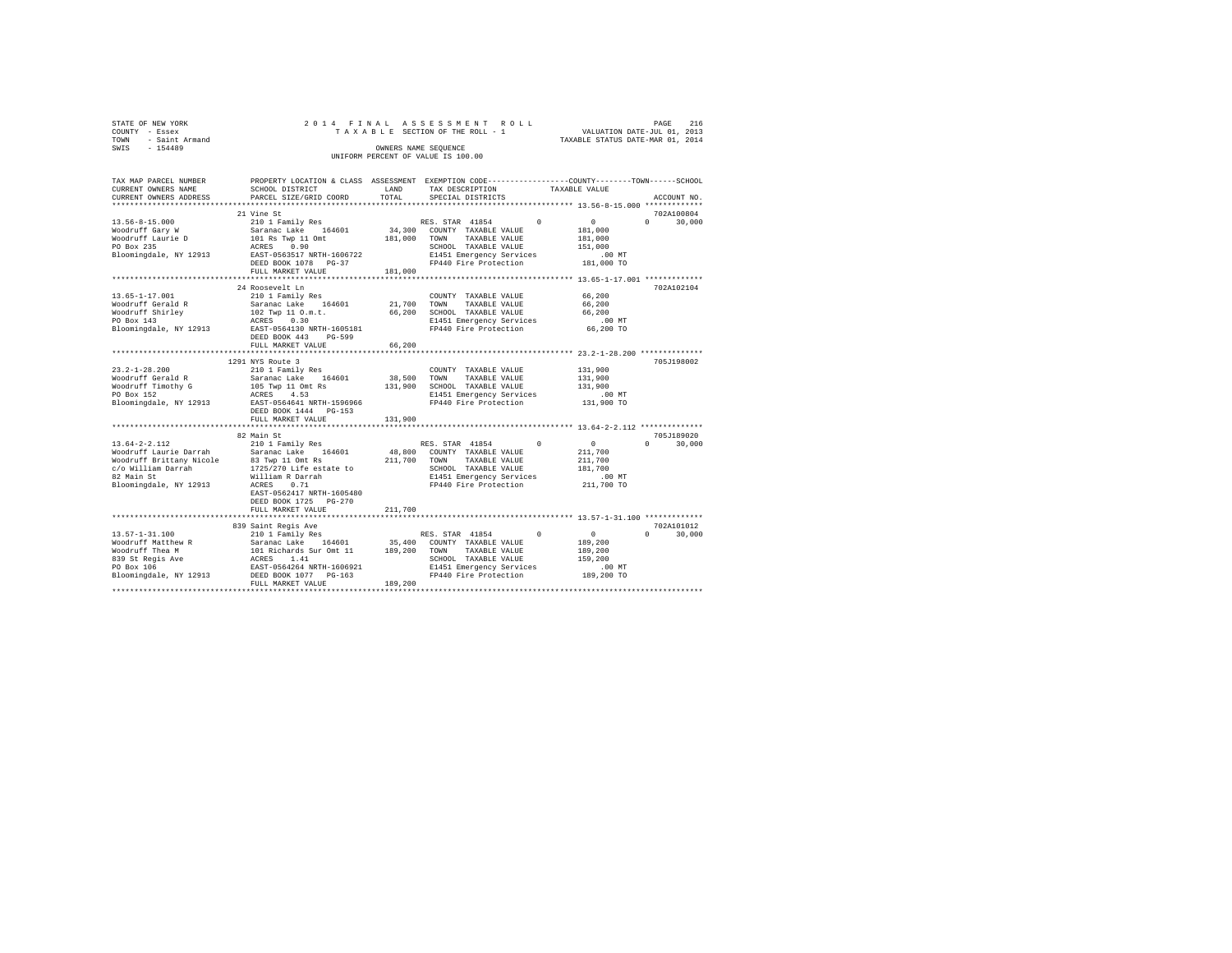| COUNTY<br>TOWN | STATE OF NEW YORK<br>- Essex<br>- Saint Armand |                           |            | 2014 FINAL ASSESSMENT ROLL<br>TAXABLE SECTION OF THE ROLL - 1 | TAXABLE STATUS DATE-MAR 01, 2014 | PAGE<br>VALUATION DATE-JUL 01, 2013 | 216     |
|----------------|------------------------------------------------|---------------------------|------------|---------------------------------------------------------------|----------------------------------|-------------------------------------|---------|
| SWIS           | $-154489$                                      |                           |            | OWNERS NAME SEOUENCE<br>UNIFORM PERCENT OF VALUE IS 100.00    |                                  |                                     |         |
|                |                                                |                           |            |                                                               |                                  |                                     |         |
|                | TAX MAP PARCEL NUMBER                          | PROPERTY LOCATION & CLASS | ASSESSMENT | EXEMPTION CODE------------------COUNTY------                  |                                  | $-$ TOWN-                           | -SCHOOL |

| CURRENT OWNERS NAME      | SCHOOL DISTRICT                                                | LAND    | TAX DESCRIPTION                                                 |            | TAXABLE VALUE                                    |                        |
|--------------------------|----------------------------------------------------------------|---------|-----------------------------------------------------------------|------------|--------------------------------------------------|------------------------|
| CURRENT OWNERS ADDRESS   | PARCEL SIZE/GRID COORD                                         | TOTAL   | SPECIAL DISTRICTS                                               |            |                                                  | ACCOUNT NO.            |
|                          |                                                                |         |                                                                 |            |                                                  |                        |
|                          | 21 Vine St                                                     |         |                                                                 |            |                                                  | 702A100804             |
| $13.56 - 8 - 15.000$     | 210 1 Family Res                                               |         | RES. STAR 41854                                                 | $^{\circ}$ | $\sim$ 0                                         | $\Omega$<br>30,000     |
| Woodruff Gary W          | Saranac Lake<br>164601                                         | 34,300  | COUNTY TAXABLE VALUE                                            |            | 181,000                                          |                        |
| Woodruff Laurie D        | 101 Rs Twp 11 Omt                                              | 181,000 | TOWN<br>TAXABLE VALUE                                           |            | 181,000                                          |                        |
| PO Box 235               | ACRES 0.90                                                     |         | SCHOOL TAXABLE VALUE                                            |            | 151,000                                          |                        |
| Bloomingdale, NY 12913   | EAST-0563517 NRTH-1606722                                      |         | E1451 Emergency Services                                        |            | .00MT                                            |                        |
|                          | DEED BOOK 1078 PG-37                                           |         | FP440 Fire Protection                                           |            | 181,000 TO                                       |                        |
|                          | FULL MARKET VALUE                                              | 181,000 |                                                                 |            |                                                  |                        |
|                          | ********************                                           |         |                                                                 |            |                                                  |                        |
|                          | 24 Roosevelt Ln                                                |         |                                                                 |            |                                                  | 702A102104             |
| $13.65 - 1 - 17.001$     | 210 1 Family Res                                               |         | COUNTY TAXABLE VALUE                                            |            | 66,200                                           |                        |
| Woodruff Gerald R        | Saranac Lake 164601                                            | 21,700  | TOWN<br>TAXABLE VALUE                                           |            | 66,200                                           |                        |
| Woodruff Shirley         | 102 Twp 11 O.m.t.                                              | 66,200  | SCHOOL TAXABLE VALUE                                            |            | 66,200                                           |                        |
| PO Box 143               | ACRES 0.30                                                     |         | E1451 Emergency Services                                        |            | $.00$ MT                                         |                        |
| Bloomingdale, NY 12913   | EAST-0564130 NRTH-1605181                                      |         | FP440 Fire Protection                                           |            | 66,200 TO                                        |                        |
|                          | DEED BOOK 443<br>PG-599                                        |         |                                                                 |            |                                                  |                        |
|                          | FULL MARKET VALUE                                              | 66,200  |                                                                 |            |                                                  |                        |
|                          | ************************                                       |         |                                                                 |            |                                                  |                        |
|                          | 1291 NYS Route 3                                               |         |                                                                 |            |                                                  | 705J198002             |
| $23.2 - 1 - 28.200$      | 210 1 Family Res                                               |         | COUNTY TAXABLE VALUE                                            |            | 131,900                                          |                        |
| Woodruff Gerald R        | Saranac Lake<br>164601                                         | 38,500  | TAXABLE VALUE<br>TOWN                                           |            | 131,900                                          |                        |
| Woodruff Timothy G       | 105 Twp 11 Omt Rs<br>ACRES 4.53                                | 131,900 | SCHOOL TAXABLE VALUE                                            |            | 131,900                                          |                        |
| PO Box 152               |                                                                |         | E1451 Emergency Services                                        |            | .00 MT                                           |                        |
| Bloomingdale, NY 12913   | EAST-0564641 NRTH-1596966                                      |         | FP440 Fire Protection                                           |            | 131,900 TO                                       |                        |
|                          | DEED BOOK 1444 PG-153                                          |         |                                                                 |            |                                                  |                        |
|                          | FULL MARKET VALUE                                              | 131,900 |                                                                 |            |                                                  |                        |
|                          | ****************                                               |         |                                                                 |            | *********************** 13.64-2-2.112 ********** |                        |
|                          | 82 Main St                                                     |         |                                                                 |            |                                                  | 705J189020             |
| $13.64 - 2 - 2.112$      | 210 1 Family Res                                               |         | RES. STAR 41854                                                 | $\Omega$   | $\mathbf{0}$                                     | 30,000<br>$\mathbf{r}$ |
| Woodruff Laurie Darrah   | Saranac Lake 164601                                            | 48,800  | COUNTY TAXABLE VALUE                                            |            | 211,700                                          |                        |
| Woodruff Brittany Nicole | 83 Twp 11 Omt Rs                                               | 211,700 | TOWN<br>TAXABLE VALUE                                           |            | 211,700                                          |                        |
| c/o William Darrah       | $1725/270$ Life estate to                                      |         | SCHOOL TAXABLE VALUE                                            |            | 181,700                                          |                        |
| 82 Main St               | William R Darrah                                               |         | E1451 Emergency Services                                        |            | .00 MT                                           |                        |
| Bloomingdale, NY 12913   | ACRES<br>0.71                                                  |         | FP440 Fire Protection                                           |            | 211,700 TO                                       |                        |
|                          | EAST-0562417 NRTH-1605480                                      |         |                                                                 |            |                                                  |                        |
|                          | DEED BOOK 1725 PG-270                                          |         |                                                                 |            |                                                  |                        |
|                          | FULL MARKET VALUE                                              | 211,700 |                                                                 |            |                                                  |                        |
|                          | **************************                                     |         | ********************************** 13.57-1-31.100 ************* |            |                                                  |                        |
|                          | 839 Saint Regis Ave                                            |         |                                                                 |            |                                                  | 702A101012             |
| $13.57 - 1 - 31.100$     | 210 1 Family Res                                               |         | RES. STAR 41854                                                 | $^{\circ}$ | $^{\circ}$                                       | $\cap$<br>30,000       |
| Woodruff Matthew R       |                                                                | 35,400  | COUNTY TAXABLE VALUE                                            |            | 189,200                                          |                        |
| Woodruff Thea M          |                                                                | 189,200 | TAXABLE VALUE<br>TOWN                                           |            | 189,200                                          |                        |
| 839 St Regis Ave         | Saranac Lake 164601<br>101 Richards Sur Omt 11<br>ACRES _ 1.41 |         | SCHOOL TAXABLE VALUE                                            |            | 159,200                                          |                        |
| PO Box 106               | EAST-0564264 NRTH-1606921                                      |         | E1451 Emergency Services                                        |            | $.00$ MT                                         |                        |
| Bloomingdale, NY 12913   | DEED BOOK 1077 PG-163                                          |         | FP440 Fire Protection                                           |            | 189,200 TO                                       |                        |
|                          | FULL MARKET VALUE                                              | 189,200 |                                                                 |            |                                                  |                        |
|                          |                                                                |         |                                                                 |            |                                                  |                        |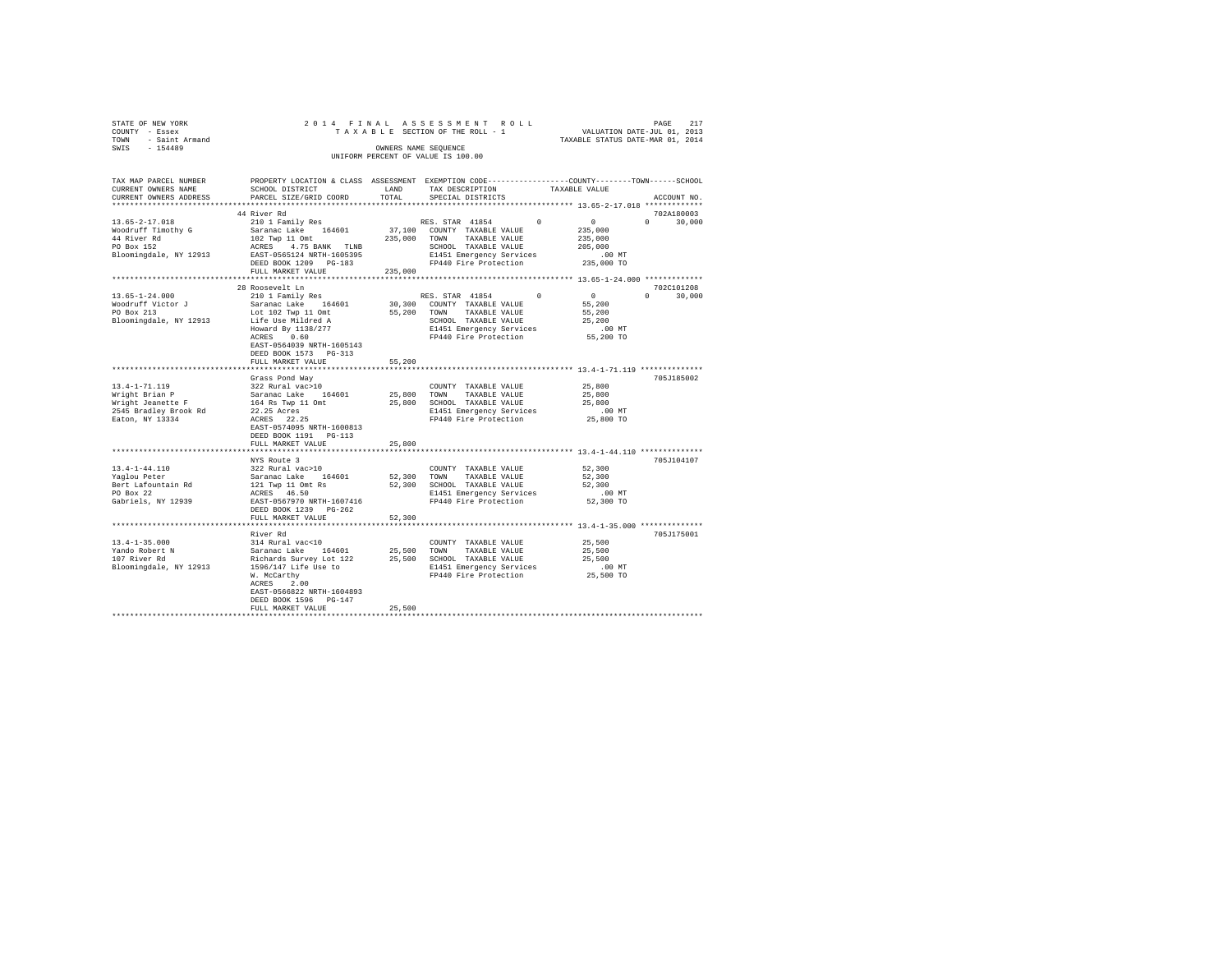|                                    | STATE OF NEW YORK<br>COUNTY - Essex |                      |  | 2014 FINAL ASSESSMENT ROLL<br>TAXABLE SECTION OF THE ROLL - 1 |                                  | PAGE<br>VALUATION DATE-JUL 01, 2013 | 217 |
|------------------------------------|-------------------------------------|----------------------|--|---------------------------------------------------------------|----------------------------------|-------------------------------------|-----|
| TOWN                               | - Saint Armand                      |                      |  |                                                               | TAXABLE STATUS DATE-MAR 01, 2014 |                                     |     |
| SWIS                               | $-154489$                           | OWNERS NAME SEOUENCE |  |                                                               |                                  |                                     |     |
| UNIFORM PERCENT OF VALUE IS 100.00 |                                     |                      |  |                                                               |                                  |                                     |     |

| TAX MAP PARCEL NUMBER<br>CURRENT OWNERS NAME<br>CURRENT OWNERS ADDRESS                                                                                                                           | PROPERTY LOCATION & CLASS ASSESSMENT EXEMPTION CODE---------------COUNTY-------TOWN-----SCHOOL<br>SCHOOL DISTRICT<br>PARCEL SIZE/GRID COORD                                                                                                                                                                                                 | LAND<br>TOTAL. | TAX DESCRIPTION<br>SPECIAL DISTRICTS                                                                                                                                                                                                                                           | TAXABLE VALUE                                                                                              | ACCOUNT NO.              |
|--------------------------------------------------------------------------------------------------------------------------------------------------------------------------------------------------|---------------------------------------------------------------------------------------------------------------------------------------------------------------------------------------------------------------------------------------------------------------------------------------------------------------------------------------------|----------------|--------------------------------------------------------------------------------------------------------------------------------------------------------------------------------------------------------------------------------------------------------------------------------|------------------------------------------------------------------------------------------------------------|--------------------------|
|                                                                                                                                                                                                  |                                                                                                                                                                                                                                                                                                                                             |                |                                                                                                                                                                                                                                                                                |                                                                                                            |                          |
|                                                                                                                                                                                                  | 44 River Rd                                                                                                                                                                                                                                                                                                                                 |                |                                                                                                                                                                                                                                                                                |                                                                                                            | 702A180003               |
| $13.65 - 2 - 17.018$<br>Woodruff Timothy G<br>44 River Rd<br>PO Box 152<br>Bloomingdale, NY 12913                                                                                                | 210 1 Family Res<br>Saranac Lake 164601<br>102 Twp 11 Omt<br>ACRES 4.75 BANK TLNB<br>EAST-0565124 NRTH-1605395<br>DEED BOOK 1209 PG-183                                                                                                                                                                                                     |                | RES. STAR 41854<br>37,100 COUNTY TAXABLE VALUE<br>235,000 TOWN TAXABLE VALUE<br>SCHOOL TAXABLE VALUE<br>E1451 Emergency Services<br>FP440 Fire Protection                                                                                                                      | $\sim$ 0<br>$^{\circ}$<br>235,000<br>235,000<br>205,000<br>$.00$ MT<br>235,000 TO                          | $\Omega$<br>30,000       |
|                                                                                                                                                                                                  | FULL MARKET VALUE<br>*************************                                                                                                                                                                                                                                                                                              | 235,000        |                                                                                                                                                                                                                                                                                |                                                                                                            |                          |
|                                                                                                                                                                                                  | 28 Roosevelt Ln                                                                                                                                                                                                                                                                                                                             |                |                                                                                                                                                                                                                                                                                |                                                                                                            | 702C101208               |
| $13.65 - 1 - 24.000$<br>Woodruff Victor J<br>PO Box 213<br>Bloomingdale, NY 12913                                                                                                                | 210 1 Family Res<br>Saranac Lake 164601<br>Lot 102 Twp 11 Omt<br>Life Use Mildred A<br>Howard By $\frac{1138}{277}$<br>ACRES 0.60<br>EAST-0564039 NRTH-1605143<br>DEED BOOK 1573 PG-313<br>FULL MARKET VALUE                                                                                                                                | 55,200         | RES. STAR 41854<br>30,300 COUNTY TAXABLE VALUE<br>55,200 TOWN TAXABLE VALUE<br>SCHOOL TAXABLE VALUE<br>E1451 Emergency Services<br>FP440 Fire Protection                                                                                                                       | $\sim$ 0<br>$^{\circ}$<br>55,200<br>55,200<br>25,200<br>.00 MT<br>55,200 TO                                | $\Omega$<br>30,000       |
|                                                                                                                                                                                                  |                                                                                                                                                                                                                                                                                                                                             |                |                                                                                                                                                                                                                                                                                | ******************** 13.4-1-71.119 ***************                                                         |                          |
| $13.4 - 1 - 71.119$<br>Wright Brian P<br>Wright Jeanette F<br>2545 Bradley Brook Rd<br>Eaton, NY 13334<br>13.4-1-44.110<br>Yaqlou Peter<br>Bert Lafountain Rd<br>PO Box 22<br>Gabriels, NY 12939 | Grass Pond Way<br>322 Rural vac>10<br>Saranac Lake 164601<br>164 Rs Twp 11 Omt<br>22.25 Acres<br>ACRES 22.25<br>EAST-0574095 NRTH-1600813<br>DEED BOOK 1191 PG-113<br>FULL MARKET VALUE<br>NYS Route 3<br>322 Rural vac>10<br>Saranac Lake 164601<br>121 Twp 11 Omt Rs<br>ACRES 46.50<br>EAST-0567970 NRTH-1607416<br>DEED BOOK 1239 PG-262 | 25,800         | COUNTY TAXABLE VALUE<br>25,800 TOWN TAXABLE VALUE<br>25,800 SCHOOL TAXABLE VALUE<br>E1451 Emergency Services<br>FP440 Fire Protection<br>COUNTY TAXABLE VALUE<br>52,300 TOWN TAXABLE VALUE<br>52,300 SCHOOL TAXABLE VALUE<br>E1451 Emergency Services<br>FP440 Fire Protection | 25,800<br>25,800<br>25,800<br>$.00$ MT<br>25,800 TO<br>52,300<br>52,300<br>52,300<br>$.00$ MT<br>52,300 TO | 705J185002<br>705J104107 |
|                                                                                                                                                                                                  | FULL MARKET VALUE                                                                                                                                                                                                                                                                                                                           | 52,300         |                                                                                                                                                                                                                                                                                |                                                                                                            |                          |
| $13.4 - 1 - 35.000$<br>Yando Robert N<br>107 River Rd<br>Bloomingdale, NY 12913                                                                                                                  | River Rd<br>314 Rural vac<10<br>Saranac Lake 164601<br>Richards Survey Lot 122<br>1596/147 Life Use to<br>W. McCarthy<br>ACRES 2.00<br>EAST-0566822 NRTH-1604893<br>DEED BOOK 1596 PG-147<br>FULL MARKET VALUE                                                                                                                              | 25,500         | COUNTY TAXABLE VALUE<br>25,500 TOWN TAXABLE VALUE<br>25,500 SCHOOL TAXABLE VALUE<br>E1451 Emergency Services<br>FP440 Fire Protection                                                                                                                                          | 25,500<br>25,500<br>25,500<br>$.00$ MT<br>25,500 TO                                                        | 705J175001               |
|                                                                                                                                                                                                  |                                                                                                                                                                                                                                                                                                                                             |                |                                                                                                                                                                                                                                                                                |                                                                                                            |                          |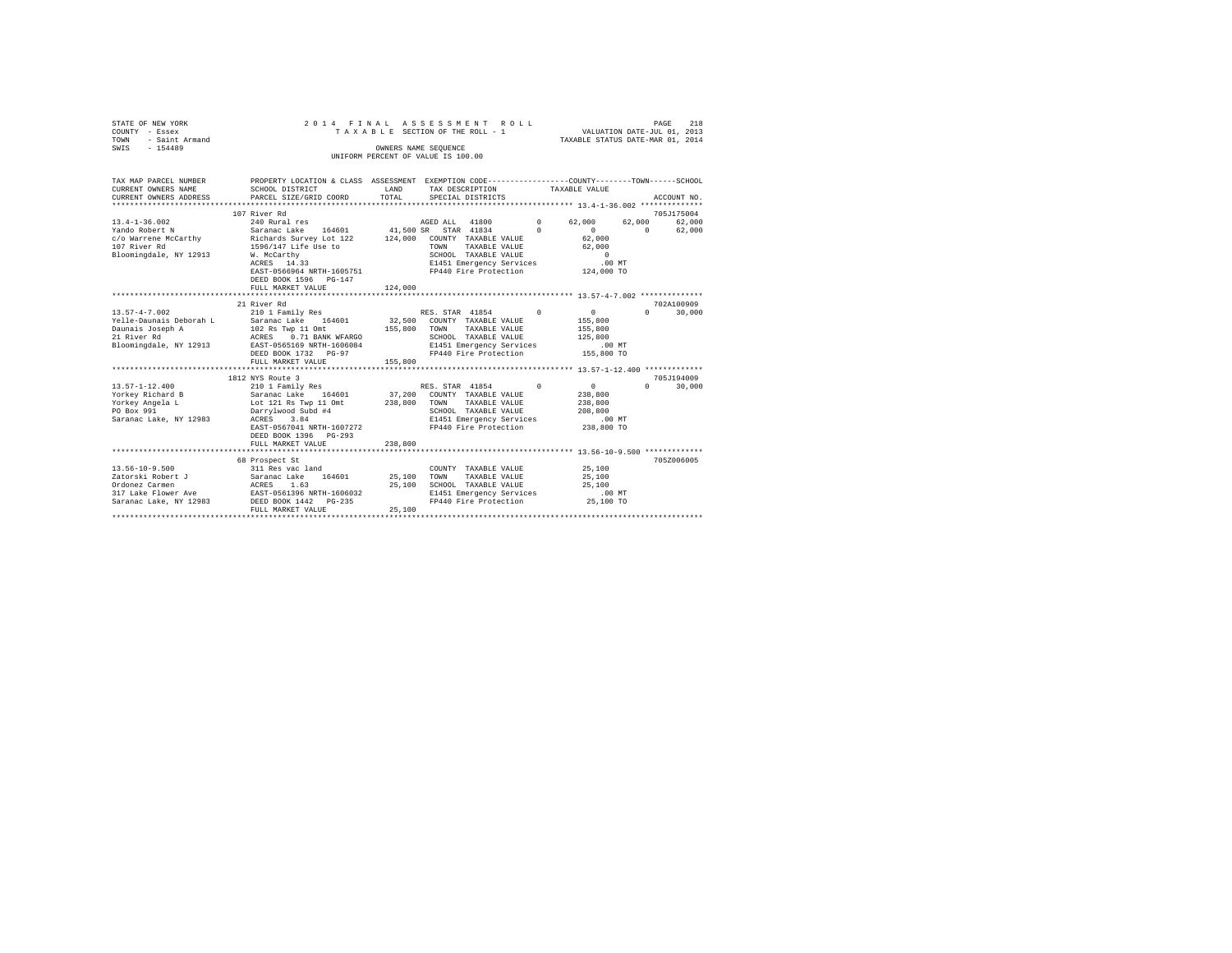| STATE OF NEW YORK<br>COUNTY - Essex<br>TOWN - Saint Armand                      | 2014 FINAL<br>TAXABLE SECTION OF THE ROLL - 1                                                                                            |              |                                    |                                                                           | ASSESSMENT ROLL   | 218<br>PAGE<br>VALUATION DATE-JUL 01, 2013<br>TAXABLE STATUS DATE-MAR 01, 2014 |                       |                      |
|---------------------------------------------------------------------------------|------------------------------------------------------------------------------------------------------------------------------------------|--------------|------------------------------------|---------------------------------------------------------------------------|-------------------|--------------------------------------------------------------------------------|-----------------------|----------------------|
| SWIS - 154489                                                                   |                                                                                                                                          |              | OWNERS NAME SEQUENCE               |                                                                           |                   |                                                                                |                       |                      |
|                                                                                 |                                                                                                                                          |              | UNIFORM PERCENT OF VALUE IS 100.00 |                                                                           |                   |                                                                                |                       |                      |
|                                                                                 |                                                                                                                                          |              |                                    |                                                                           |                   |                                                                                |                       |                      |
| TAX MAP PARCEL NUMBER                                                           | PROPERTY LOCATION & CLASS ASSESSMENT EXEMPTION CODE---------------COUNTY-------TOWN------SCHOOL                                          |              |                                    |                                                                           |                   |                                                                                |                       |                      |
| CURRENT OWNERS NAME                                                             | <b>EXAMPLE AND STATE OF A STATE OF A STATE OF A STATE OF A STATE OF A STATE OF A STATE OF A STATE OF A STATE OF A</b><br>SCHOOL DISTRICT |              |                                    | TAX DESCRIPTION                                                           | TAXABLE VALUE     |                                                                                |                       |                      |
| CURRENT OWNERS ADDRESS                                                          | PARCEL SIZE/GRID COORD                                                                                                                   | TOTAL        |                                    | SPECIAL DISTRICTS                                                         |                   |                                                                                |                       | ACCOUNT NO.          |
|                                                                                 |                                                                                                                                          |              |                                    |                                                                           |                   |                                                                                |                       |                      |
|                                                                                 | 107 River Rd                                                                                                                             |              |                                    |                                                                           |                   |                                                                                |                       | 705J175004           |
| $13.4 - 1 - 36.002$                                                             | 240 Rural res                                                                                                                            |              |                                    | AGED ALL 41800 0 62,000 62,000                                            |                   |                                                                                |                       | 62,000               |
| Yando Robert N                                                                  | Saranac Lake 164601 41,500 SR STAR 41834 0                                                                                               |              |                                    |                                                                           |                   | $\sim$ 0 $\sim$ 0 $\sim$                                                       | $\Omega$              | 62,000               |
|                                                                                 |                                                                                                                                          |              |                                    |                                                                           |                   | $62,000$<br>$62,000$                                                           |                       |                      |
|                                                                                 |                                                                                                                                          |              |                                    |                                                                           |                   | $\sim$ 0                                                                       |                       |                      |
| Bloomingdale, NY 12913 W. McCarthy                                              | W. McCarthy<br>ACRES 14.33                                                                                                               |              |                                    | SCHOOL TAXABLE VALUE<br>E1451 Emergency Services                          |                   | $.00$ MT                                                                       |                       |                      |
|                                                                                 | EAST-0566964 NRTH-1605751 FP440 Fire Protection 124,000 TO                                                                               |              |                                    |                                                                           |                   |                                                                                |                       |                      |
|                                                                                 | DEED BOOK 1596 PG-147                                                                                                                    |              |                                    |                                                                           |                   |                                                                                |                       |                      |
|                                                                                 | FULL MARKET VALUE                                                                                                                        | 124,000      |                                    |                                                                           |                   |                                                                                |                       |                      |
|                                                                                 |                                                                                                                                          |              |                                    |                                                                           |                   |                                                                                |                       |                      |
|                                                                                 | 21 River Rd                                                                                                                              |              |                                    |                                                                           |                   |                                                                                |                       | 702A100909           |
| $13.57 - 4 - 7.002$                                                             | 210 1 Family Res                                                                                                                         |              |                                    | RES. STAR 41854                                                           | $\Omega$          | $\sim$ 0                                                                       | $\Omega$              | 30,000               |
| Yelle-Daunais Deborah L Saranac Lake 164601 32,500 COUNTY TAXABLE VALUE 155,800 |                                                                                                                                          |              |                                    |                                                                           |                   |                                                                                |                       |                      |
|                                                                                 |                                                                                                                                          |              |                                    |                                                                           |                   |                                                                                |                       |                      |
|                                                                                 |                                                                                                                                          |              |                                    |                                                                           |                   |                                                                                |                       |                      |
|                                                                                 |                                                                                                                                          |              |                                    |                                                                           |                   |                                                                                |                       |                      |
|                                                                                 |                                                                                                                                          |              |                                    |                                                                           |                   |                                                                                |                       |                      |
|                                                                                 | FULL MARKET VALUE                                                                                                                        | 155,800      |                                    |                                                                           |                   |                                                                                |                       |                      |
|                                                                                 |                                                                                                                                          |              |                                    |                                                                           |                   |                                                                                |                       |                      |
| $13.57 - 1 - 12.400$                                                            | 1812 NYS Route 3<br>210 1 Family Res                                                                                                     |              |                                    | RES. STAR 41854                                                           | $0 \qquad \qquad$ | $\sim$ 0                                                                       | $\Omega$ and $\Omega$ | 705J194009<br>30,000 |
|                                                                                 |                                                                                                                                          |              |                                    | 37,200 COUNTY TAXABLE VALUE                                               |                   | 238,800                                                                        |                       |                      |
|                                                                                 |                                                                                                                                          | 238,800 TOWN |                                    | TAXABLE VALUE                                                             |                   | 238,800                                                                        |                       |                      |
| Yorkey Angela L<br>PO Box 991                                                   |                                                                                                                                          |              |                                    |                                                                           |                   | 208,800                                                                        |                       |                      |
| Saranac Lake, NY 12983                                                          | Darrylwood Subd #4<br>ACRES 3.84                                                                                                         |              |                                    | SCHOOL TAXABLE VALUE<br>E1451 Emergency Services<br>FP440 Fire Protection |                   | $.00$ MT                                                                       |                       |                      |
|                                                                                 | EAST-0567041 NRTH-1607272                                                                                                                |              |                                    |                                                                           |                   | 238,800 TO                                                                     |                       |                      |
|                                                                                 | DEED BOOK 1396 PG-293                                                                                                                    |              |                                    |                                                                           |                   |                                                                                |                       |                      |
|                                                                                 | FULL MARKET VALUE                                                                                                                        | 238,800      |                                    |                                                                           |                   |                                                                                |                       |                      |
|                                                                                 |                                                                                                                                          |              |                                    |                                                                           |                   |                                                                                |                       |                      |
|                                                                                 | 68 Prospect St                                                                                                                           |              |                                    |                                                                           |                   |                                                                                |                       | 705Z006005           |
|                                                                                 |                                                                                                                                          |              |                                    | COUNTY TAXABLE VALUE                                                      |                   | 25,100                                                                         |                       |                      |
|                                                                                 |                                                                                                                                          |              |                                    | TAXABLE VALUE                                                             |                   | 25,100                                                                         |                       |                      |
|                                                                                 |                                                                                                                                          |              |                                    | SCHOOL TAXABLE VALUE                                                      |                   | 25,100                                                                         |                       |                      |
|                                                                                 |                                                                                                                                          |              |                                    | E1451 Emergency Services<br>FP440 Fire Protection 25,100 TO               |                   | $.00$ MT                                                                       |                       |                      |
|                                                                                 | FULL MARKET VALUE                                                                                                                        | 25,100       |                                    |                                                                           |                   |                                                                                |                       |                      |
|                                                                                 |                                                                                                                                          |              |                                    |                                                                           |                   |                                                                                |                       |                      |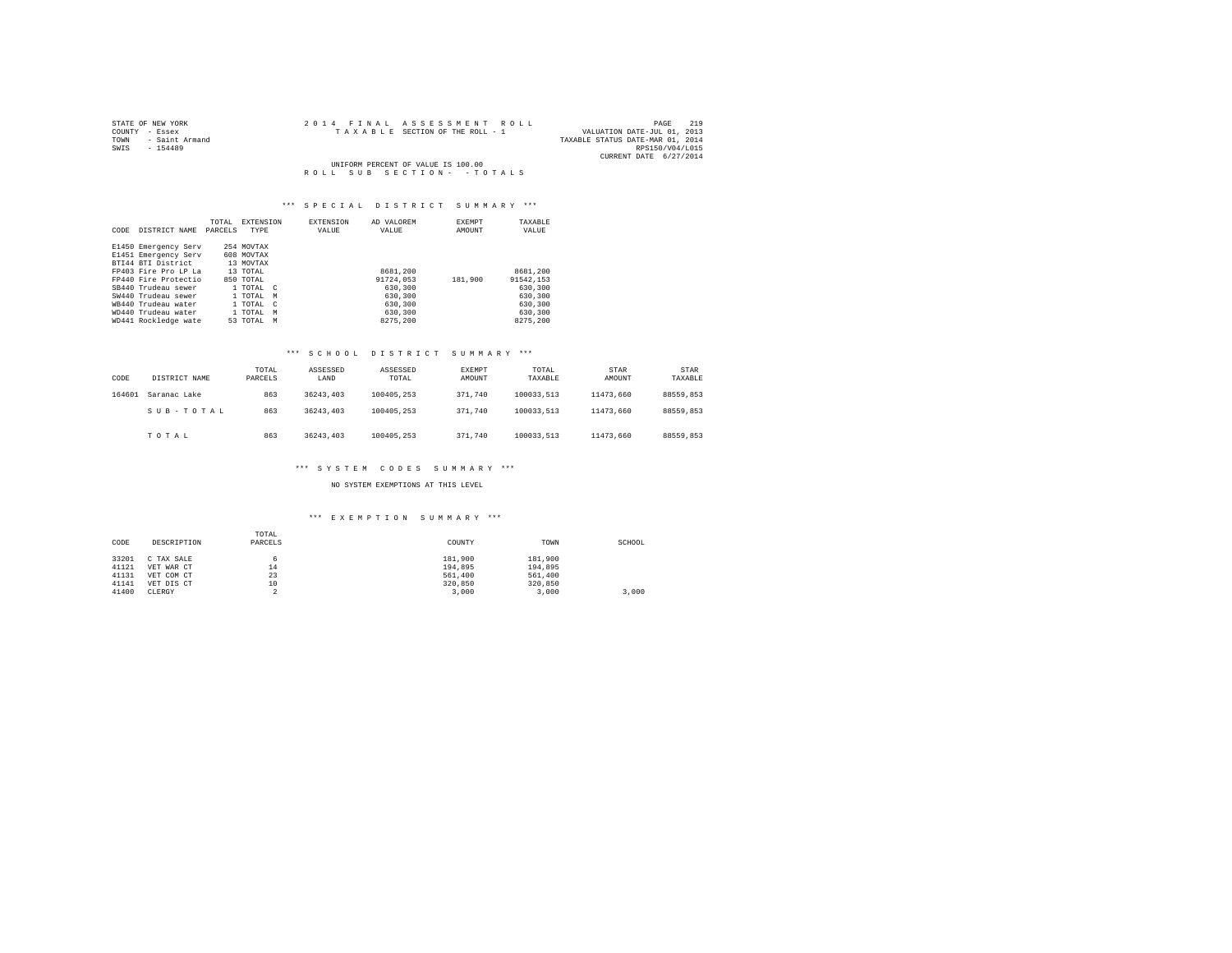| STATE OF NEW YORK      | 2014 FINAL ASSESSMENT ROLL         | 219<br>PAGE                      |
|------------------------|------------------------------------|----------------------------------|
| COUNTY - Essex         | TAXABLE SECTION OF THE ROLL - 1    | VALUATION DATE-JUL 01, 2013      |
| - Saint Armand<br>TOWN |                                    | TAXABLE STATUS DATE-MAR 01, 2014 |
| SWIS<br>$-154489$      |                                    | RPS150/V04/L015                  |
|                        |                                    | CURRENT DATE 6/27/2014           |
|                        | UNIFORM PERCENT OF VALUE IS 100.00 |                                  |
|                        | ROLL SUB SECTION- - TOTALS         |                                  |

### \*\*\* S P E C I A L D I S T R I C T S U M M A R Y \*\*\*

| CODE | DISTRICT NAME        | TOTAL<br>PARCELS | EXTENSION<br>TYPE | <b>EXTENSION</b><br>VALUE | AD VALOREM<br>VALUE | <b>EXEMPT</b><br>AMOUNT | TAXABLE<br>VALUE |
|------|----------------------|------------------|-------------------|---------------------------|---------------------|-------------------------|------------------|
|      | E1450 Emergency Serv |                  | 254 MOVTAX        |                           |                     |                         |                  |
|      | E1451 Emergency Serv |                  | 608 MOVTAX        |                           |                     |                         |                  |
|      | BTI44 BTI District   |                  | 13 MOVTAX         |                           |                     |                         |                  |
|      | FP403 Fire Pro LP La |                  | 13 TOTAL          |                           | 8681,200            |                         | 8681,200         |
|      | FP440 Fire Protectio |                  | 850 TOTAL         |                           | 91724,053           | 181,900                 | 91542.153        |
|      | SB440 Trudeau sewer  |                  | 1 TOTAL C         |                           | 630,300             |                         | 630,300          |
|      | SW440 Trudeau sewer  |                  | 1 TOTAL           | M                         | 630,300             |                         | 630,300          |
|      | WR440 Trudeau water  |                  | 1 TOTAL           | $\epsilon$                | 630,300             |                         | 630,300          |
|      | WD440 Trudeau water  |                  | 1 TOTAL           | M                         | 630,300             |                         | 630,300          |
|      | WD441 Rockledge wate |                  | 53 TOTAL          | M                         | 8275.200            |                         | 8275.200         |

#### \*\*\* S C H O O L D I S T R I C T S U M M A R Y \*\*\*

| CODE   | DISTRICT NAME | TOTAL<br>PARCELS | ASSESSED<br>LAND | ASSESSED<br>TOTAL | <b>EXEMPT</b><br>AMOUNT | TOTAL<br>TAXABLE | STAR<br>AMOUNT | STAR<br>TAXABLE |
|--------|---------------|------------------|------------------|-------------------|-------------------------|------------------|----------------|-----------------|
| 164601 | Saranac Lake  | 863              | 36243.403        | 100405.253        | 371.740                 | 100033.513       | 11473.660      | 88559.853       |
|        | SUB-TOTAL     | 863              | 36243.403        | 100405.253        | 371.740                 | 100033.513       | 11473.660      | 88559.853       |
|        | TOTAL         | 863              | 36243.403        | 100405.253        | 371.740                 | 100033.513       | 11473.660      | 88559.853       |

#### \*\*\* S Y S T E M C O D E S S U M M A R Y \*\*\*

NO SYSTEM EXEMPTIONS AT THIS LEVEL

# \*\*\* E X E M P T I O N S U M M A R Y \*\*\*

| CODE  | DESCRIPTION | TOTAL<br>PARCELS | COUNTY  | TOWN    | SCHOOL |
|-------|-------------|------------------|---------|---------|--------|
| 33201 | C TAX SALE  | 6                | 181,900 | 181,900 |        |
| 41121 | VET WAR CT  | 14               | 194.895 | 194,895 |        |
| 41131 | VET COM CT  | 23               | 561,400 | 561,400 |        |
| 41141 | VET DIS CT  | 10               | 320,850 | 320,850 |        |
| 41400 | CLERGY      |                  | 3,000   | 3,000   | 3.000  |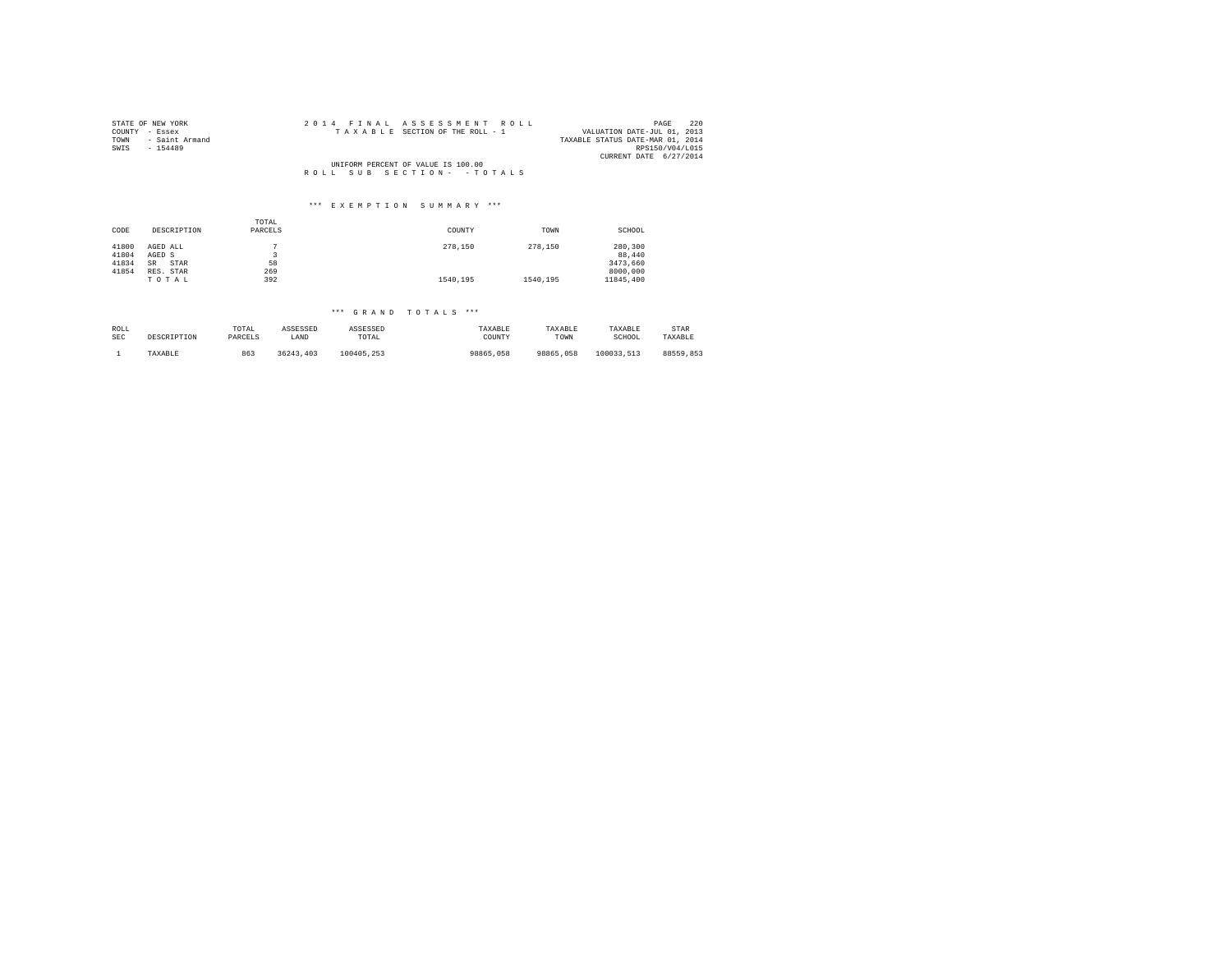| STATE OF NEW YORK                  | 2014 FINAL ASSESSMENT ROLL      | 220<br>PAGE                      |  |  |  |
|------------------------------------|---------------------------------|----------------------------------|--|--|--|
| COUNTY - Essex                     | TAXABLE SECTION OF THE ROLL - 1 | VALUATION DATE-JUL 01, 2013      |  |  |  |
| - Saint Armand<br>TOWN             |                                 | TAXABLE STATUS DATE-MAR 01, 2014 |  |  |  |
| SWIS<br>$-154489$                  |                                 | RPS150/V04/L015                  |  |  |  |
|                                    |                                 | CURRENT DATE 6/27/2014           |  |  |  |
| UNIFORM PERCENT OF VALUE IS 100.00 |                                 |                                  |  |  |  |
|                                    | ROLL SUB SECTION- - TOTALS      |                                  |  |  |  |
|                                    |                                 |                                  |  |  |  |
|                                    |                                 |                                  |  |  |  |

# \*\*\* E X E M P T I O N S U M M A R Y \*\*\*

| CODE           | DESCRIPTION        | TOTAL<br>PARCELS | COUNTY   | TOWN     | SCHOOL            |
|----------------|--------------------|------------------|----------|----------|-------------------|
| 41800<br>41804 | AGED ALL<br>AGED S |                  | 278,150  | 278,150  | 280,300<br>88,440 |
| 41834          | STAR<br><b>SR</b>  | 58               |          |          | 3473.660          |
| 41854          | RES. STAR          | 269              |          |          | 8000,000          |
|                | TOTAL              | 392              | 1540.195 | 1540.195 | 11845,400         |

## \*\*\* G R A N D T O T A L S \*\*\*

| ROLL       | DESCRIPTION | TOTAL   | ASSESSED  | ASSESSED   | TAXABLE   | TAXABLE   | TAXABLE    | <b>STAR</b> |
|------------|-------------|---------|-----------|------------|-----------|-----------|------------|-------------|
| <b>SEC</b> |             | PARCELS | LAND      | TOTAL      | COUNTY    | TOWN      | SCHOOL     | TAXABLE     |
|            | TAXABLE     | 863     | 36243.403 | 100405.253 | 98865,058 | 98865,058 | 100033.513 | 88559.853   |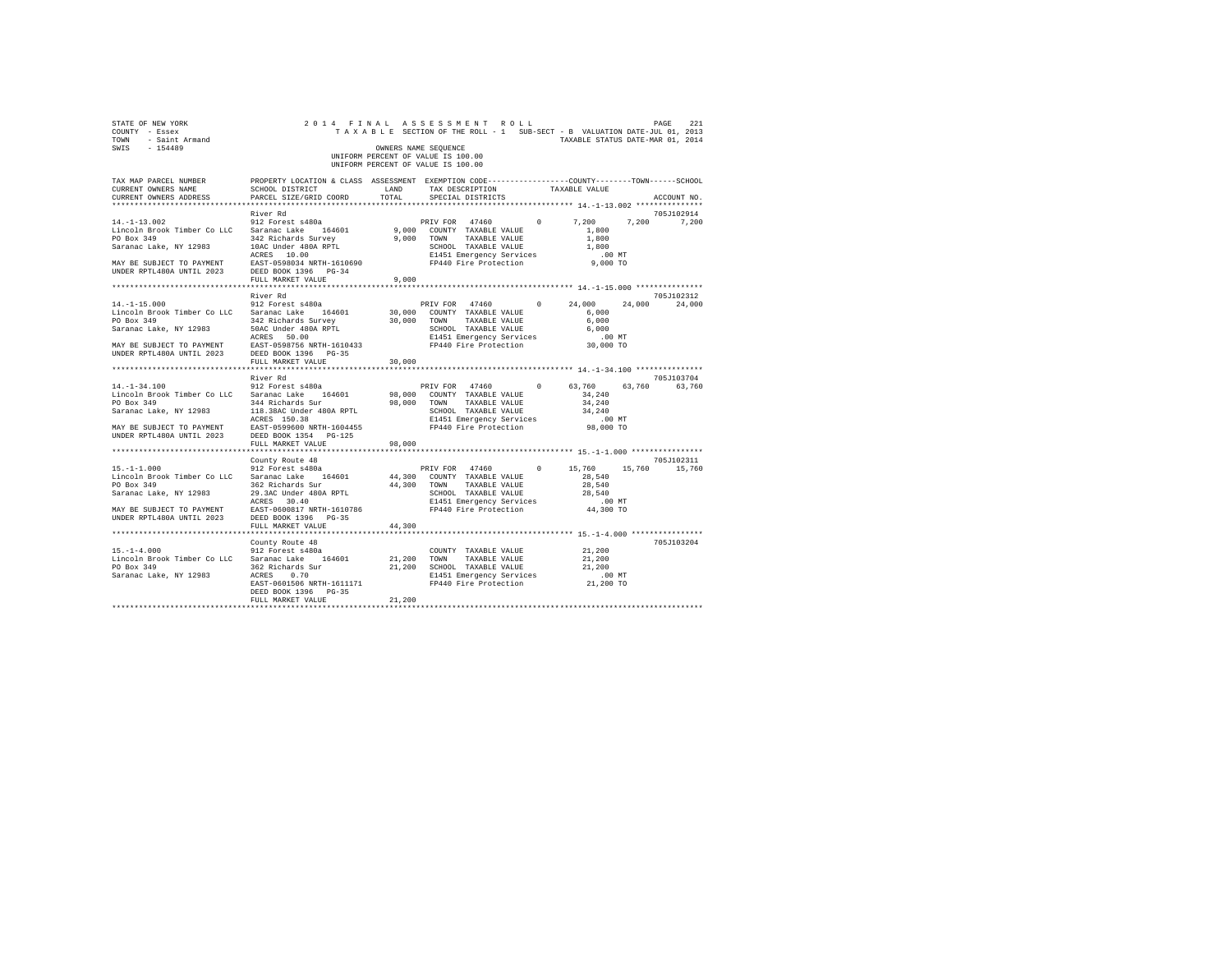| STATE OF NEW YORK<br>COUNTY - Essex<br>TOWN - Saint Armand<br>SWIS - 154489                                                                                                                                                                                        | 2014 FINAL ASSESSMENT ROLL                                                                                                                | OWNERS NAME SEQUENCE<br>UNIFORM PERCENT OF VALUE IS 100.00<br>UNIFORM PERCENT OF VALUE IS 100.00 |                      |  | TAXABLE SECTION OF THE ROLL - 1 SUB-SECT - B VALUATION DATE-JUL 01, 2013<br>TAXABLE STATUS DATE-MAR 01, 2014 | 221<br>PAGE   |
|--------------------------------------------------------------------------------------------------------------------------------------------------------------------------------------------------------------------------------------------------------------------|-------------------------------------------------------------------------------------------------------------------------------------------|--------------------------------------------------------------------------------------------------|----------------------|--|--------------------------------------------------------------------------------------------------------------|---------------|
| TAX MAP PARCEL NUMBER<br>CURRENT OWNERS NAME<br>CURRENT OWNERS ADDRESS PARCEL SIZE/GRID COORD TOTAL                                                                                                                                                                | PROPERTY LOCATION & CLASS ASSESSMENT EXEMPTION CODE-----------------COUNTY-------TOWN------SCHOOL<br>SCHOOL DISTRICT TAND TAX DESCRIPTION |                                                                                                  | SPECIAL DISTRICTS    |  | TAXABLE VALUE                                                                                                | ACCOUNT NO.   |
|                                                                                                                                                                                                                                                                    | River Rd                                                                                                                                  |                                                                                                  |                      |  |                                                                                                              | 705J102914    |
|                                                                                                                                                                                                                                                                    |                                                                                                                                           |                                                                                                  |                      |  | PRIV FOR 47460 0 7,200 7,200 7,200                                                                           |               |
|                                                                                                                                                                                                                                                                    |                                                                                                                                           |                                                                                                  |                      |  |                                                                                                              |               |
|                                                                                                                                                                                                                                                                    |                                                                                                                                           |                                                                                                  |                      |  |                                                                                                              |               |
|                                                                                                                                                                                                                                                                    |                                                                                                                                           |                                                                                                  |                      |  |                                                                                                              |               |
|                                                                                                                                                                                                                                                                    |                                                                                                                                           |                                                                                                  |                      |  |                                                                                                              |               |
|                                                                                                                                                                                                                                                                    |                                                                                                                                           |                                                                                                  |                      |  |                                                                                                              |               |
|                                                                                                                                                                                                                                                                    |                                                                                                                                           |                                                                                                  |                      |  |                                                                                                              |               |
|                                                                                                                                                                                                                                                                    | FULL MARKET VALUE                                                                                                                         | 9.000                                                                                            |                      |  |                                                                                                              |               |
|                                                                                                                                                                                                                                                                    | River Rd                                                                                                                                  |                                                                                                  |                      |  |                                                                                                              | 705J102312    |
|                                                                                                                                                                                                                                                                    |                                                                                                                                           |                                                                                                  |                      |  | PRIV FOR 47460 0 24,000 24,000                                                                               | 24,000        |
|                                                                                                                                                                                                                                                                    |                                                                                                                                           |                                                                                                  |                      |  |                                                                                                              |               |
|                                                                                                                                                                                                                                                                    |                                                                                                                                           |                                                                                                  |                      |  |                                                                                                              |               |
|                                                                                                                                                                                                                                                                    |                                                                                                                                           |                                                                                                  |                      |  |                                                                                                              |               |
|                                                                                                                                                                                                                                                                    |                                                                                                                                           |                                                                                                  |                      |  |                                                                                                              |               |
|                                                                                                                                                                                                                                                                    |                                                                                                                                           |                                                                                                  |                      |  |                                                                                                              |               |
|                                                                                                                                                                                                                                                                    |                                                                                                                                           |                                                                                                  |                      |  |                                                                                                              |               |
|                                                                                                                                                                                                                                                                    | FULL MARKET VALUE                                                                                                                         | 30,000                                                                                           |                      |  |                                                                                                              |               |
|                                                                                                                                                                                                                                                                    |                                                                                                                                           |                                                                                                  |                      |  |                                                                                                              |               |
| $14. - 1 - 34.100$                                                                                                                                                                                                                                                 | River Rd                                                                                                                                  |                                                                                                  |                      |  |                                                                                                              | 705J103704    |
|                                                                                                                                                                                                                                                                    | 912 Forest s480a                                                                                                                          |                                                                                                  |                      |  | PRIV FOR 47460 0 63,760                                                                                      | 63,760 63,760 |
|                                                                                                                                                                                                                                                                    |                                                                                                                                           |                                                                                                  |                      |  |                                                                                                              |               |
|                                                                                                                                                                                                                                                                    |                                                                                                                                           |                                                                                                  |                      |  |                                                                                                              |               |
|                                                                                                                                                                                                                                                                    |                                                                                                                                           |                                                                                                  |                      |  |                                                                                                              |               |
|                                                                                                                                                                                                                                                                    |                                                                                                                                           |                                                                                                  |                      |  | E1451 Emergency Services .00 MT<br>FP440 Fire Protection 98,000 TO                                           |               |
| $\begin{array}{lllll} \texttt{MAX} & \texttt{BE} & \texttt{SUBJECT} & \texttt{TO} & \texttt{PAYMENT} & \texttt{EAST-0599600} & \texttt{NRTH-1604455} \\ \texttt{UNDER RPTL480A} & \texttt{UNTIL} & 2023 & \texttt{DEED BOOK} & 1354 & \texttt{PG-125} \end{array}$ |                                                                                                                                           |                                                                                                  |                      |  |                                                                                                              |               |
|                                                                                                                                                                                                                                                                    | FULL MARKET VALUE                                                                                                                         | 98,000                                                                                           |                      |  |                                                                                                              |               |
|                                                                                                                                                                                                                                                                    |                                                                                                                                           |                                                                                                  |                      |  |                                                                                                              |               |
|                                                                                                                                                                                                                                                                    | County Route 48                                                                                                                           |                                                                                                  |                      |  |                                                                                                              | 705J102311    |
| $15. - 1 - 1.000$                                                                                                                                                                                                                                                  | 912 Forest s480a                                                                                                                          |                                                                                                  |                      |  | PRIV FOR 47460 0 15,760 15,760 15,760                                                                        |               |
| Lincoln Brook Timber Co LLC Saranac Lake 164601 44,300 COUNTY TAXABLE VALUE 28,540                                                                                                                                                                                 |                                                                                                                                           |                                                                                                  |                      |  |                                                                                                              |               |
|                                                                                                                                                                                                                                                                    |                                                                                                                                           |                                                                                                  |                      |  |                                                                                                              |               |
|                                                                                                                                                                                                                                                                    |                                                                                                                                           |                                                                                                  |                      |  |                                                                                                              |               |
|                                                                                                                                                                                                                                                                    |                                                                                                                                           |                                                                                                  |                      |  |                                                                                                              |               |
|                                                                                                                                                                                                                                                                    |                                                                                                                                           |                                                                                                  |                      |  |                                                                                                              |               |
|                                                                                                                                                                                                                                                                    |                                                                                                                                           | 44,300                                                                                           |                      |  |                                                                                                              |               |
|                                                                                                                                                                                                                                                                    |                                                                                                                                           |                                                                                                  |                      |  |                                                                                                              |               |
|                                                                                                                                                                                                                                                                    | County Route 48                                                                                                                           |                                                                                                  |                      |  |                                                                                                              | 705J103204    |
| $15. -1 - 4.000$                                                                                                                                                                                                                                                   | 912 Forest s480a                                                                                                                          |                                                                                                  | COUNTY TAXABLE VALUE |  | 21,200                                                                                                       |               |
| Lincoln Brook Timber Co LLC Saranac Lake 164601                                                                                                                                                                                                                    |                                                                                                                                           | 21,200 TOWN                                                                                      | TAXABLE VALUE        |  | 21,200                                                                                                       |               |
|                                                                                                                                                                                                                                                                    |                                                                                                                                           |                                                                                                  |                      |  | 21,200                                                                                                       |               |
|                                                                                                                                                                                                                                                                    | ACRES 0.70 E1451 Emergency Services<br>EAST-0601506 NRTH-1611171 FP440 Fire Protection                                                    |                                                                                                  |                      |  | 00 MT.<br>21,200 TO                                                                                          |               |
|                                                                                                                                                                                                                                                                    |                                                                                                                                           |                                                                                                  |                      |  |                                                                                                              |               |
|                                                                                                                                                                                                                                                                    | DEED BOOK 1396 PG-35                                                                                                                      | 21,200                                                                                           |                      |  |                                                                                                              |               |
|                                                                                                                                                                                                                                                                    | FULL MARKET VALUE                                                                                                                         |                                                                                                  |                      |  |                                                                                                              |               |
|                                                                                                                                                                                                                                                                    |                                                                                                                                           |                                                                                                  |                      |  |                                                                                                              |               |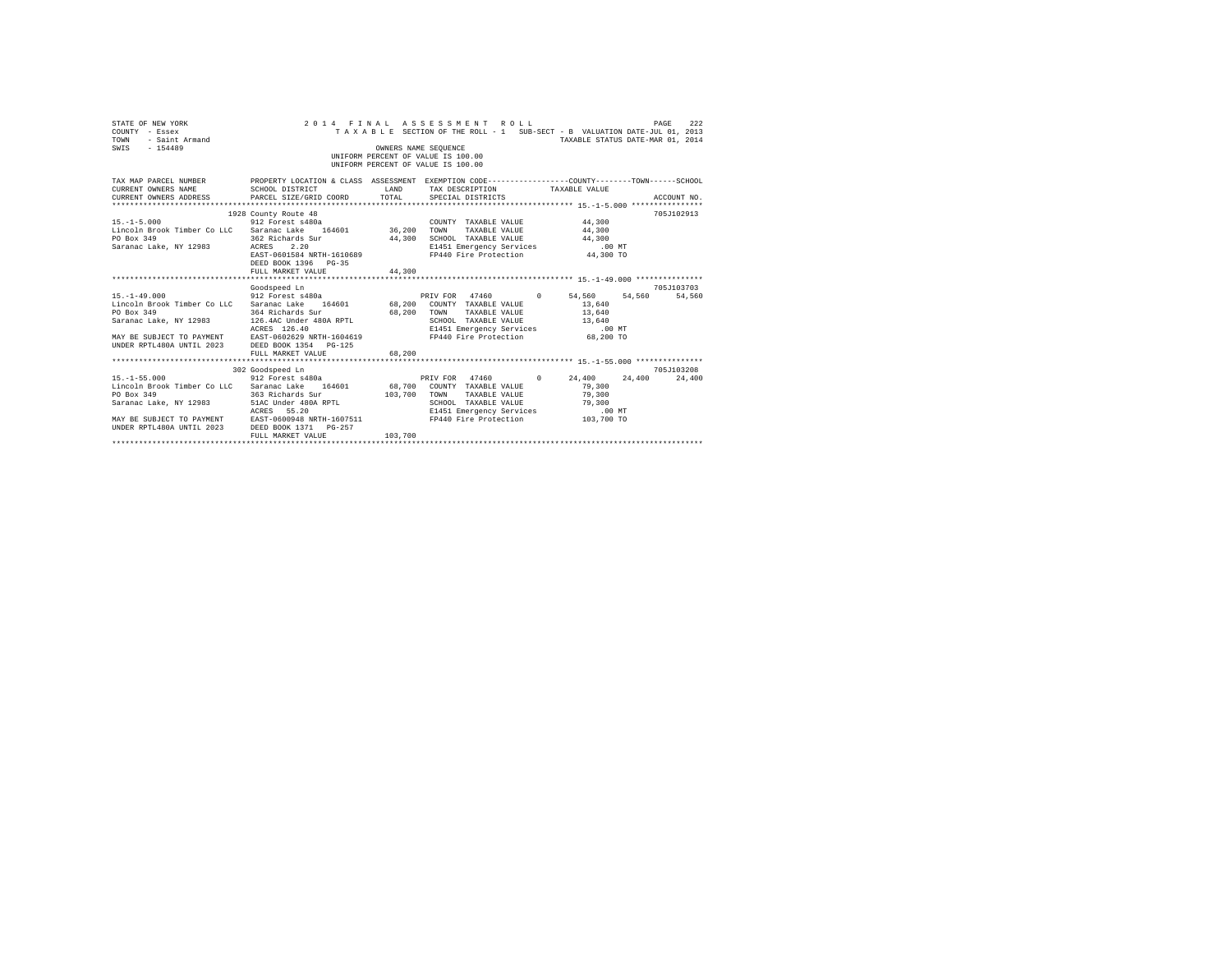| STATE OF NEW YORK<br>COUNTY - Essex<br>- Saint Armand<br>TOWN<br>SWIS - 154489                                                                                                                                                                                                                                                                     |                                                                                               | OWNERS NAME SEOUENCE    | 2014 FINAL ASSESSMENT ROLL<br>TAXABLE SECTION OF THE ROLL - 1 SUB-SECT - B VALUATION DATE-JUL 01, 2013<br>UNIFORM PERCENT OF VALUE IS 100.00<br>UNIFORM PERCENT OF VALUE IS 100.00                                                                | TAXABLE STATUS DATE-MAR 01, 2014 | 222<br>PAGE |
|----------------------------------------------------------------------------------------------------------------------------------------------------------------------------------------------------------------------------------------------------------------------------------------------------------------------------------------------------|-----------------------------------------------------------------------------------------------|-------------------------|---------------------------------------------------------------------------------------------------------------------------------------------------------------------------------------------------------------------------------------------------|----------------------------------|-------------|
| TAX MAP PARCEL NUMBER PROPERTY LOCATION & CLASS ASSESSMENT EXEMPTION CODE--------------COUNTY-------TOWN------SCHOOL<br>CURRENT OWNERS NAME SCHOOL DISTRICT<br>CURRENT OWNERS ADDRESS PARCEL SIZE/GRID COORD                                                                                                                                       |                                                                                               |                         | LAND TAX DESCRIPTION TAXABLE VALUE<br>TOTAL SPECIAL DISTRICTS                                                                                                                                                                                     |                                  | ACCOUNT NO. |
| COUNT 15.-1-5.000 012 Forest s480a<br>Lincoln Brook Timber Co LLC Saranac Lake 164601 36,200 TOWN<br>PO Box 349<br>Saranac Lake, NY 12983 ACRES                                                                                                                                                                                                    | 1928 County Route 48<br>362 Richards Sur<br>2.20<br>DEED BOOK 1396 PG-35<br>FULL MARKET VALUE | 44,300                  | COUNTY TAXABLE VALUE<br>TAXABLE VALUE<br>44,300 44,300<br>E1451 Emergency Services<br>FP440 Fire Protection 6.00<br>44,300 SCHOOL TAXABLE VALUE<br>ELAS 2.20 ELAS ENETGENCY SETVICES<br>EAST-0601584 NRTH-1610689 FP440 Fire Protection 44,300 TO | $44\,,\,300$<br>44,300<br>.00 MT | 705J102913  |
| 15.-1-49.000 54.560 54.560 912 Forest s480a 64.560 PRIV FOR 47460 0 54.560 54.560 54.560 54.560<br>Lincoln Brook Timber Co LLC Saranac Lake 164601 68,200 COUNTY TAXABLE VALUE 13,640<br>PO Box 349<br>Saranac Lake, NY 12983 126.4AC Under 480A RPTL<br>MAY BE SUBJECT TO PAYMENT ACKES 120.40<br>UNDER RPTL480A UNTIL 2023 DEED BOOK 1354 PG-125 | Goodspeed Ln<br>364 Richards Sur 68,200 TOWN<br>ACRES 126.40<br>FULL MARKET VALUE             | 68,200                  | TAXABLE VALUE 13,640<br>SCHOOL TAXABLE VALUE 13,640<br>E1451 Emergency Services<br>FP440 Fire Protection                                                                                                                                          | $.00$ MT<br>68,200 TO            | 705J103703  |
| $15. - 1 - 55.000$<br>Lincoln Brook Timber Co LLC Saranac Lake 164601 68,700 COUNTY TAXABLE VALUE<br>PO Box 349<br>MAY BE SUBJECT TO PAYMENT EAST-0600948 NRTH-1607511<br>UNDER RPTL480A UNTIL 2023 DEED BOOK 1371 PG-257                                                                                                                          | 302 Goodspeed Ln<br>Goodspeed Ln<br>912 Forest s480a<br>363 Richards Sur<br>FULL MARKET VALUE | 103,700 TOWN<br>103,700 | PRIV FOR 47460 0 24,400 24,400 24,400<br>TAXABLE VALUE<br>SCHOOL TAXABLE VALUE<br>E1451 Emergency Services .00 MT<br>FP440 Fire Protection 103,700 TO                                                                                             | 79,300<br>79,300<br>79,300       | 705-T103208 |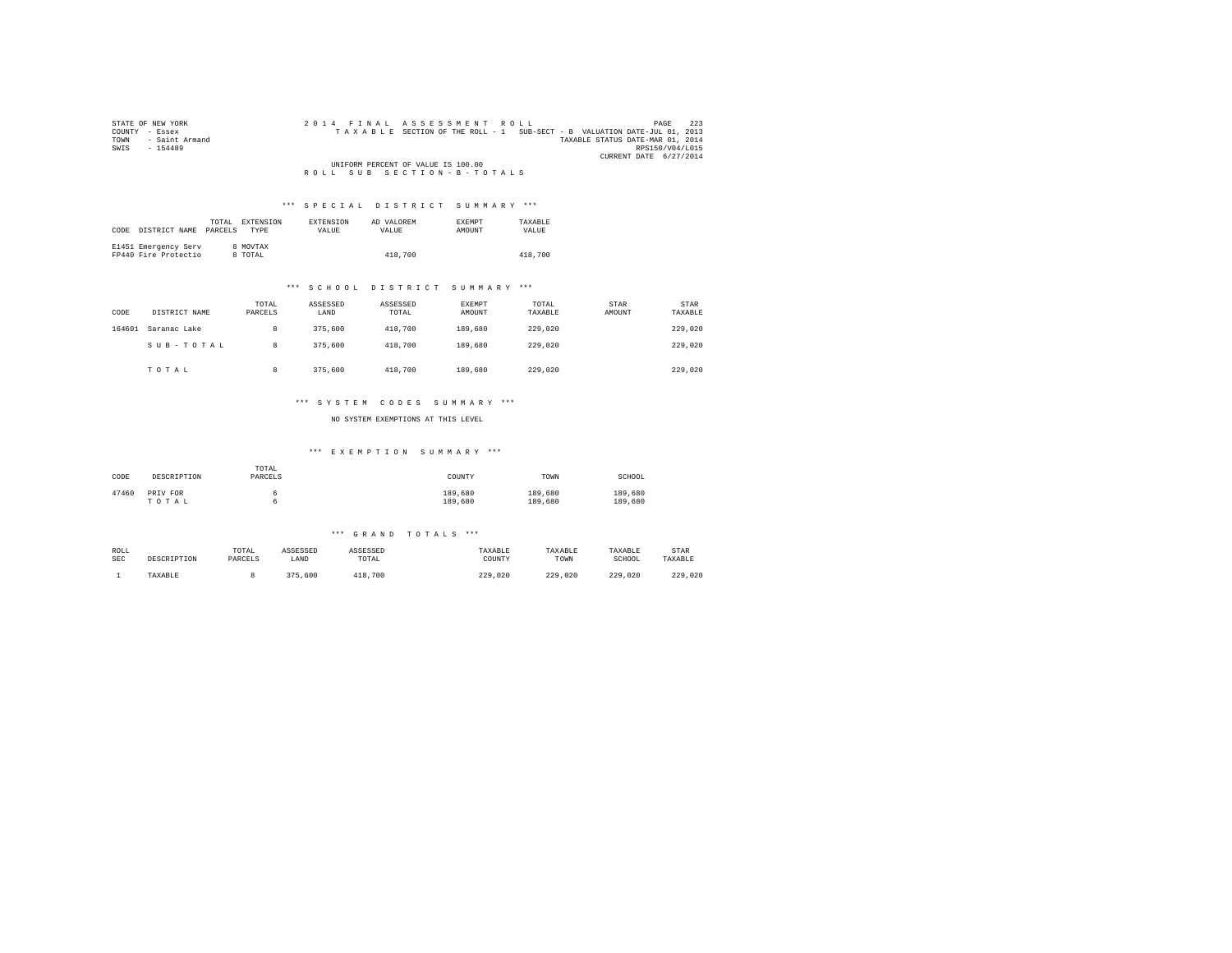| STATE OF NEW YORK      | 2014 FINAL ASSESSMENT ROLL                                               | 223<br>PAGE            |
|------------------------|--------------------------------------------------------------------------|------------------------|
| COUNTY - Essex         | TAXABLE SECTION OF THE ROLL - 1 SUB-SECT - B VALUATION DATE-JUL 01, 2013 |                        |
| - Saint Armand<br>TOWN | TAXABLE STATUS DATE-MAR 01, 2014                                         |                        |
| SWTS<br>$-154489$      |                                                                          | RPS150/V04/L015        |
|                        |                                                                          | CURRENT DATE 6/27/2014 |
|                        | UNIFORM PERCENT OF VALUE IS 100.00                                       |                        |
|                        | ROLL SUB SECTION-B-TOTALS                                                |                        |

### \*\*\* S P E C I A L D I S T R I C T S U M M A R Y \*\*\*

| CODE | DISTRICT NAME                                | TOTAL.<br>PARCELS | EXTENSION<br><b>TYPE</b> | <b>EXTENSION</b><br>VALUE. | AD VALOREM<br>VALUE | EXEMPT<br>AMOUNT | TAXARLE<br>VALUE |
|------|----------------------------------------------|-------------------|--------------------------|----------------------------|---------------------|------------------|------------------|
|      | E1451 Emergency Serv<br>FP440 Fire Protectio |                   | 8 MOVTAX<br>8 TOTAL      |                            | 418,700             |                  | 418,700          |

### \*\*\* S C H O O L D I S T R I C T S U M M A R Y \*\*\*

| CODE   | DISTRICT NAME | TOTAL<br>PARCELS | ASSESSED<br>LAND | ASSESSED<br>TOTAL | EXEMPT<br>AMOUNT | TOTAL<br>TAXABLE | <b>STAR</b><br>AMOUNT | STAR<br>TAXABLE |
|--------|---------------|------------------|------------------|-------------------|------------------|------------------|-----------------------|-----------------|
| 164601 | Saranac Lake  | 8                | 375,600          | 418,700           | 189,680          | 229,020          |                       | 229,020         |
|        | SUB-TOTAL     | 8                | 375,600          | 418,700           | 189,680          | 229,020          |                       | 229,020         |
|        | TOTAL         | 8                | 375,600          | 418,700           | 189,680          | 229,020          |                       | 229,020         |

### \*\*\* S Y S T E M C O D E S S U M M A R Y \*\*\*

NO SYSTEM EXEMPTIONS AT THIS LEVEL

### \*\*\* E X E M P T I O N S U M M A R Y \*\*\*

| CODE  | DESCRIPTION       | TOTAL<br>PARCELS | COUNTY             | TOWN               | SCHOOL             |
|-------|-------------------|------------------|--------------------|--------------------|--------------------|
| 47460 | PRIV FOR<br>TOTAL |                  | 189,680<br>189,680 | 189,680<br>189,680 | 189,680<br>189,680 |

### \*\*\* G R A N D T O T A L S \*\*\*

| ROLL | DESCRIPTION | TOTAL   | ASSESSED | ASSESSED | TAXABLE | TAXABLE     | TAXABLE | STAR    |
|------|-------------|---------|----------|----------|---------|-------------|---------|---------|
| SEC  |             | PARCELS | LAND     | TOTAL    | COUNTY  | TOWN        | SCHOOL  | TAXABLE |
|      | TAXABLE     |         | 375,600  | 418,700  | 229,020 | 229<br>.020 | 229,020 | 229,020 |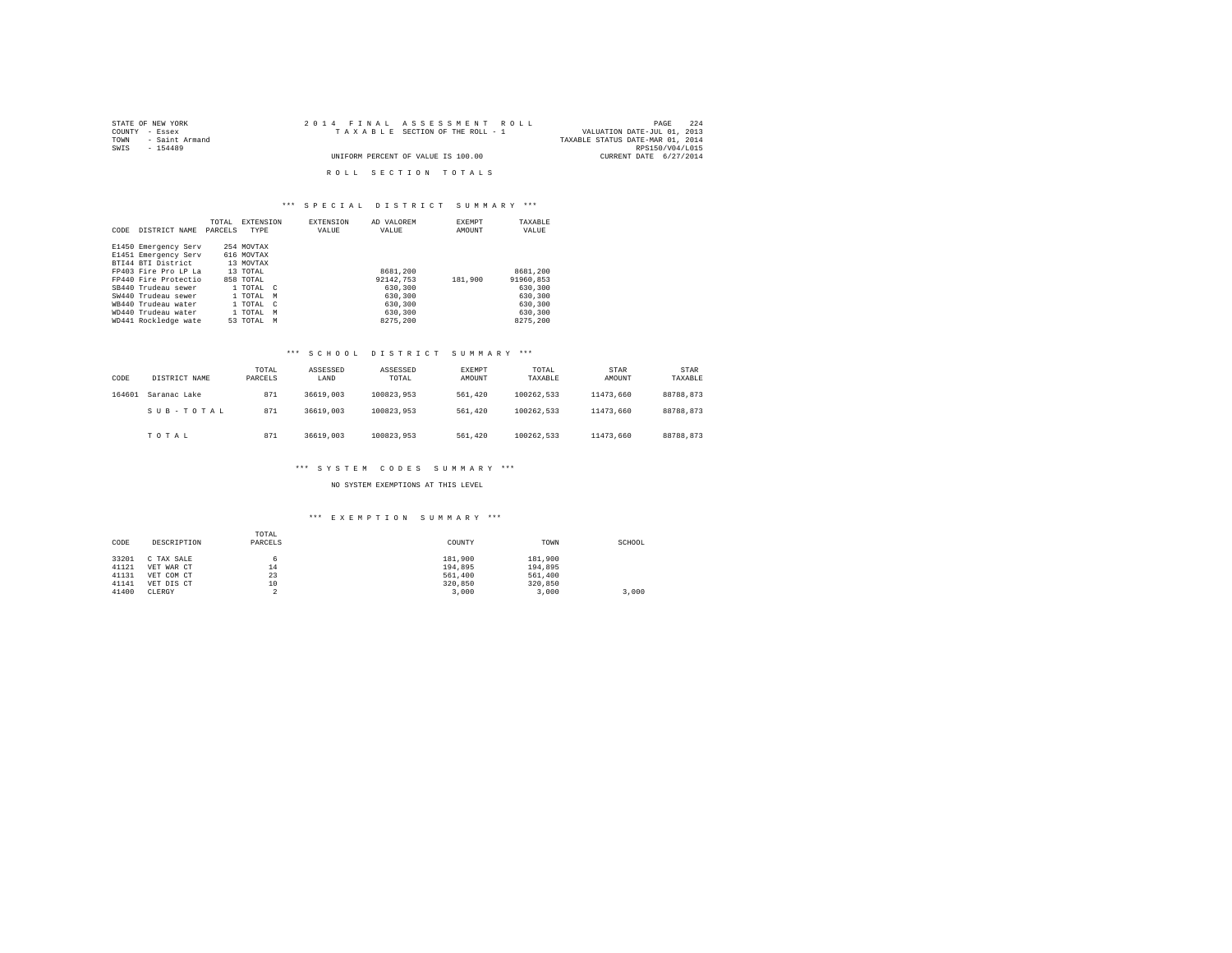| STATE OF NEW YORK      | 2014 FINAL ASSESSMENT ROLL         | 224<br>PAGE                      |
|------------------------|------------------------------------|----------------------------------|
| COUNTY - Essex         | TAXABLE SECTION OF THE ROLL - 1    | VALUATION DATE-JUL 01, 2013      |
| TOWN<br>- Saint Armand |                                    | TAXABLE STATUS DATE-MAR 01, 2014 |
| SWTS<br>$-154489$      |                                    | RPS150/V04/L015                  |
|                        | UNIFORM PERCENT OF VALUE IS 100.00 | CURRENT DATE 6/27/2014           |
|                        |                                    |                                  |
|                        | ROLL SECTION TOTALS                |                                  |

# \*\*\* S P E C I A L D I S T R I C T S U M M A R Y \*\*\*

| CODE | DISTRICT NAME        | TOTAL<br>PARCELS | <b>EXTENSION</b><br>TYPE |            | EXTENSION<br>VALUE | AD VALOREM<br>VALUE | <b>EXEMPT</b><br>AMOUNT | TAXABLE<br>VALUE |
|------|----------------------|------------------|--------------------------|------------|--------------------|---------------------|-------------------------|------------------|
|      | E1450 Emergency Serv |                  | 254 MOVTAX               |            |                    |                     |                         |                  |
|      | E1451 Emergency Serv |                  | 616 MOVTAX               |            |                    |                     |                         |                  |
|      | BTI44 BTI District   |                  | 13 MOVTAX                |            |                    |                     |                         |                  |
|      | FP403 Fire Pro LP La |                  | 13 TOTAL                 |            |                    | 8681,200            |                         | 8681,200         |
|      | FP440 Fire Protectio |                  | 858 TOTAL                |            |                    | 92142.753           | 181,900                 | 91960.853        |
|      | SB440 Trudeau sewer  |                  | 1 TOTAL C                |            |                    | 630,300             |                         | 630,300          |
|      | SW440 Trudeau sewer  |                  | 1 TOTAL                  | M          |                    | 630,300             |                         | 630,300          |
|      | WR440 Trudeau water  |                  | 1 TOTAL                  | $\epsilon$ |                    | 630,300             |                         | 630,300          |
|      | WD440 Trudeau water  |                  | 1 TOTAL                  | M          |                    | 630,300             |                         | 630,300          |
|      | WD441 Rockledge wate |                  | 53 TOTAL                 | M          |                    | 8275.200            |                         | 8275.200         |

### \*\*\* S C H O O L D I S T R I C T S U M M A R Y \*\*\*

| CODE   | DISTRICT NAME | TOTAL<br>PARCELS | ASSESSED<br>LAND | ASSESSED<br>TOTAL | <b>EXEMPT</b><br>AMOUNT | TOTAL<br>TAXABLE | STAR<br>AMOUNT | STAR<br>TAXABLE |
|--------|---------------|------------------|------------------|-------------------|-------------------------|------------------|----------------|-----------------|
| 164601 | Saranac Lake  | 871              | 36619,003        | 100823.953        | 561,420                 | 100262.533       | 11473.660      | 88788.873       |
|        | SUB-TOTAL     | 871              | 36619,003        | 100823.953        | 561,420                 | 100262.533       | 11473.660      | 88788.873       |
|        | TOTAL         | 871              | 36619,003        | 100823.953        | 561,420                 | 100262.533       | 11473.660      | 88788.873       |

### \*\*\* S Y S T E M C O D E S S U M M A R Y \*\*\*

NO SYSTEM EXEMPTIONS AT THIS LEVEL

## \*\*\* E X E M P T I O N S U M M A R Y \*\*\*

| CODE  | DESCRIPTION | TOTAL<br>PARCELS | COUNTY  | TOWN    | SCHOOL |
|-------|-------------|------------------|---------|---------|--------|
| 33201 | C TAX SALE  | 6                | 181,900 | 181,900 |        |
| 41121 | VET WAR CT  | 14               | 194.895 | 194,895 |        |
| 41131 | VET COM CT  | 23               | 561,400 | 561,400 |        |
| 41141 | VET DIS CT  | 10               | 320,850 | 320,850 |        |
| 41400 | CLERGY      |                  | 3,000   | 3.000   | 3.000  |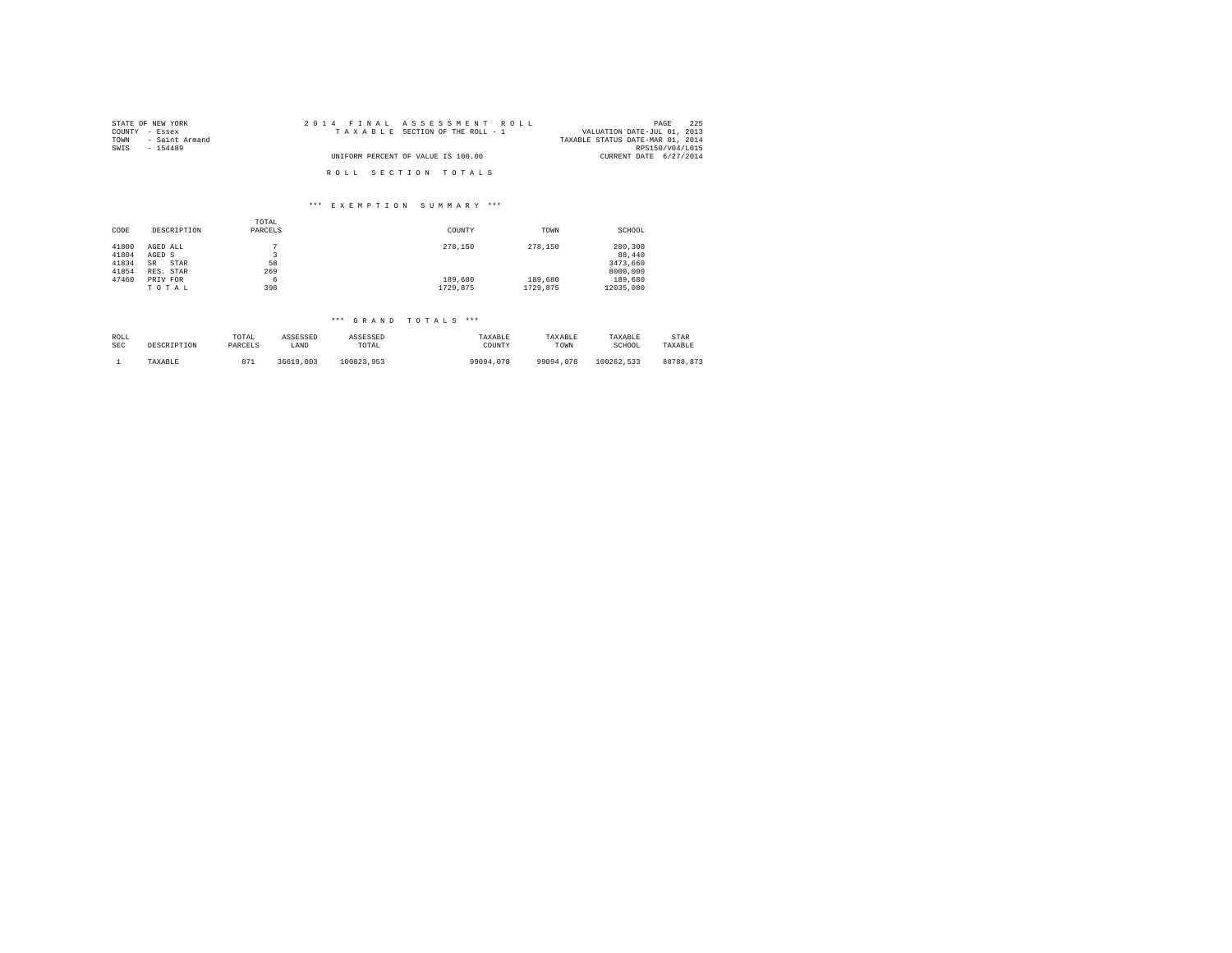| STATE OF NEW YORK      | 2014 FINAL ASSESSMENT ROLL         | 225<br>PAGE                      |
|------------------------|------------------------------------|----------------------------------|
| COUNTY - Essex         | TAXABLE SECTION OF THE ROLL - 1    | VALUATION DATE-JUL 01, 2013      |
| - Saint Armand<br>TOWN |                                    | TAXABLE STATUS DATE-MAR 01, 2014 |
| SWTS<br>$-154489$      |                                    | RPS150/V04/L015                  |
|                        | UNIFORM PERCENT OF VALUE IS 100.00 | CURRENT DATE 6/27/2014           |
|                        |                                    |                                  |
|                        | ROLL SECTION TOTALS                |                                  |

#### \*\*\* E X E M P T I O N S U M M A R Y \*\*\*

|       |             | TOTAL   |          |          |           |
|-------|-------------|---------|----------|----------|-----------|
| CODE  | DESCRIPTION | PARCELS | COUNTY   | TOWN     | SCHOOL    |
|       |             |         |          |          |           |
| 41800 | AGED ALL    | n       | 278,150  | 278,150  | 280,300   |
| 41804 | AGED S      |         |          |          | 88,440    |
| 41834 | STAR<br>SR  | 58      |          |          | 3473.660  |
| 41854 | RES. STAR   | 269     |          |          | 8000,000  |
| 47460 | PRIV FOR    | 6       | 189,680  | 189,680  | 189,680   |
|       | TOTAL       | 398     | 1729.875 | 1729.875 | 12035.080 |

# \*\*\* G R A N D T O T A L S \*\*\*

| ROLL       | DESCRIPTION | TOTAL   | ASSESSED  | ASSESSED   | TAXABLE   | TAXABLE   | TAXABLE    | STAR      |
|------------|-------------|---------|-----------|------------|-----------|-----------|------------|-----------|
| <b>SEC</b> |             | PARCELS | LAND      | TOTAL      | COUNTY    | TOWN      | SCHOOL     | TAXABLE   |
|            | TAXABLE     | 871     | 36619,003 | 100823.953 | 99094.078 | 99094.078 | 100262.533 | 88788.873 |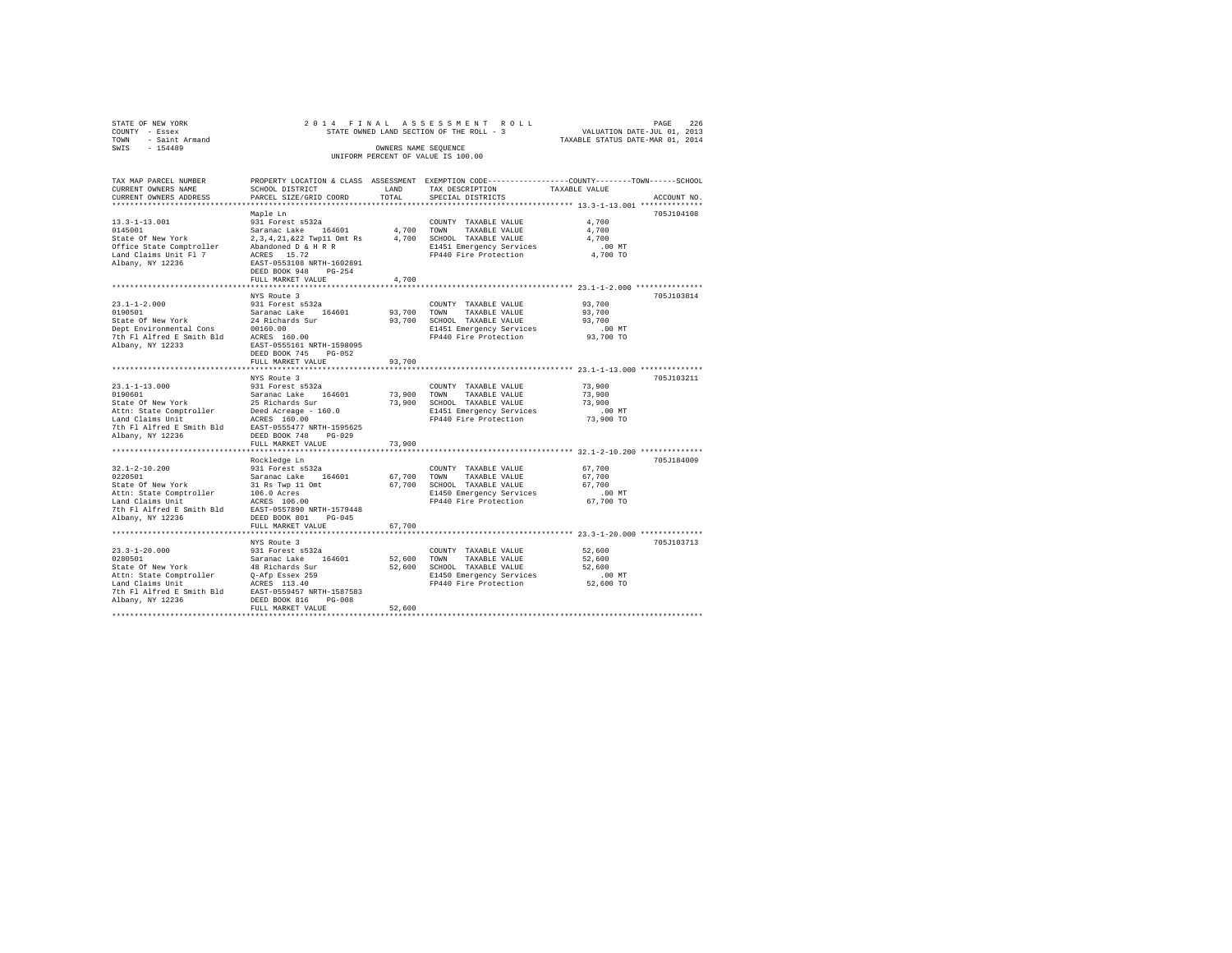| STATE OF NEW YORK<br>COUNTY - Essex |                                                                                                                                                                                                                                                                                                                                                        |             |                                                                                                 |                                  |             |
|-------------------------------------|--------------------------------------------------------------------------------------------------------------------------------------------------------------------------------------------------------------------------------------------------------------------------------------------------------------------------------------------------------|-------------|-------------------------------------------------------------------------------------------------|----------------------------------|-------------|
| TOWN - Saint Armand                 |                                                                                                                                                                                                                                                                                                                                                        |             |                                                                                                 | TAXABLE STATUS DATE-MAR 01, 2014 |             |
| SWIS - 154489                       |                                                                                                                                                                                                                                                                                                                                                        |             | OWNERS NAME SEQUENCE<br>UNIFORM PERCENT OF VALUE IS 100.00                                      |                                  |             |
| TAX MAP PARCEL NUMBER               |                                                                                                                                                                                                                                                                                                                                                        |             | PROPERTY LOCATION & CLASS ASSESSMENT EXEMPTION CODE---------------COUNTY-------TOWN------SCHOOL |                                  |             |
| CURRENT OWNERS NAME                 | SCHOOL DISTRICT                                                                                                                                                                                                                                                                                                                                        | LAND        | TAX DESCRIPTION                                                                                 | TAXABLE VALUE                    |             |
| CURRENT OWNERS ADDRESS              | PARCEL SIZE/GRID COORD                                                                                                                                                                                                                                                                                                                                 | TOTAL       | SPECIAL DISTRICTS                                                                               |                                  | ACCOUNT NO. |
|                                     |                                                                                                                                                                                                                                                                                                                                                        |             |                                                                                                 |                                  |             |
|                                     | Maple Ln                                                                                                                                                                                                                                                                                                                                               |             |                                                                                                 |                                  | 705J104108  |
|                                     |                                                                                                                                                                                                                                                                                                                                                        |             |                                                                                                 | 4,700                            |             |
|                                     |                                                                                                                                                                                                                                                                                                                                                        |             |                                                                                                 | 4,700                            |             |
|                                     |                                                                                                                                                                                                                                                                                                                                                        |             |                                                                                                 | 4,700                            |             |
|                                     |                                                                                                                                                                                                                                                                                                                                                        |             | E1451 Emergency Services .00 MT<br>FP440 Fire Protection 4,700 TO                               |                                  |             |
|                                     |                                                                                                                                                                                                                                                                                                                                                        |             |                                                                                                 |                                  |             |
|                                     |                                                                                                                                                                                                                                                                                                                                                        |             |                                                                                                 |                                  |             |
|                                     | FULL MARKET VALUE                                                                                                                                                                                                                                                                                                                                      | 4,700       |                                                                                                 |                                  |             |
|                                     |                                                                                                                                                                                                                                                                                                                                                        |             |                                                                                                 |                                  |             |
|                                     | NYS Route 3                                                                                                                                                                                                                                                                                                                                            |             |                                                                                                 |                                  | 705J103814  |
| $23.1 - 1 - 2.000$                  | 931 Forest s532a                                                                                                                                                                                                                                                                                                                                       |             | COUNTY TAXABLE VALUE                                                                            | 93,700                           |             |
| 0190501                             | Saranac Lake 164601                                                                                                                                                                                                                                                                                                                                    |             | 93,700 TOWN<br>TAXABLE VALUE                                                                    | 93,700                           |             |
| State Of New York                   | 24 Richards Sur                                                                                                                                                                                                                                                                                                                                        |             | 93,700 SCHOOL TAXABLE VALUE                                                                     | 93,700                           |             |
|                                     | Dept Environmental Cons<br>The Environmental Cons<br>The Fl Alfred E Smith Bld ACRES 160.00                                                                                                                                                                                                                                                            |             | E1451 Emergency Services                                                                        | 00 MT.<br>93,700 TO              |             |
|                                     |                                                                                                                                                                                                                                                                                                                                                        |             | FP440 Fire Protection                                                                           |                                  |             |
| Albany, NY 12233                    | EAST-0555161 NRTH-1598095<br>DEED BOOK 745 PG-052                                                                                                                                                                                                                                                                                                      |             |                                                                                                 |                                  |             |
|                                     | FULL MARKET VALUE                                                                                                                                                                                                                                                                                                                                      | 93,700      |                                                                                                 |                                  |             |
|                                     |                                                                                                                                                                                                                                                                                                                                                        |             |                                                                                                 |                                  |             |
|                                     | NYS Route 3                                                                                                                                                                                                                                                                                                                                            |             |                                                                                                 |                                  | 705J103211  |
| $23.1 - 1 - 13.000$                 | 931 Forest s532a                                                                                                                                                                                                                                                                                                                                       |             | COUNTY TAXABLE VALUE                                                                            | 73,900                           |             |
| 0190601                             | Saranac Lake 164601                                                                                                                                                                                                                                                                                                                                    | 73,900 TOWN | TAXABLE VALUE                                                                                   | 73,900                           |             |
|                                     |                                                                                                                                                                                                                                                                                                                                                        |             | 73,900 SCHOOL TAXABLE VALUE                                                                     | 73,900                           |             |
|                                     |                                                                                                                                                                                                                                                                                                                                                        |             | E1451 Emergency Services                                                                        | $.00$ MT                         |             |
|                                     | Saranac Lake 164601<br>State Of New York 25 Richards Sur<br>Attn: State Comptroller Deed Acreage - 160.0<br>Land Claims Unit                                                                                                                                                                                                                           |             | FP440 Fire Protection                                                                           | 73,900 TO                        |             |
|                                     | 7th Fl Alfred E Smith Bld EAST-0555477 NRTH-1595625                                                                                                                                                                                                                                                                                                    |             |                                                                                                 |                                  |             |
| Albany, NY 12236                    | DEED BOOK 748 PG-029                                                                                                                                                                                                                                                                                                                                   |             |                                                                                                 |                                  |             |
|                                     | FULL MARKET VALUE                                                                                                                                                                                                                                                                                                                                      | 73,900      |                                                                                                 |                                  |             |
|                                     | Rockledge Ln                                                                                                                                                                                                                                                                                                                                           |             |                                                                                                 |                                  | 705J184009  |
| $32.1 - 2 - 10.200$                 | 931 Forest s532a                                                                                                                                                                                                                                                                                                                                       |             | COUNTY TAXABLE VALUE                                                                            | 67,700                           |             |
| 0220501                             | Saranac Lake 164601                                                                                                                                                                                                                                                                                                                                    | 67,700 TOWN | TAXABLE VALUE                                                                                   | 67,700                           |             |
| State Of New York                   | 31 Rs Twp 11 Omt                                                                                                                                                                                                                                                                                                                                       |             | 67,700 SCHOOL TAXABLE VALUE                                                                     | 67,700                           |             |
|                                     |                                                                                                                                                                                                                                                                                                                                                        |             |                                                                                                 | $.00$ MT                         |             |
|                                     | Attn: State Comptroller 106.0 Acres<br>Land Claims Unit 106.00                                                                                                                                                                                                                                                                                         |             | E1450 Emergency Services<br>FP440 Fire Protection                                               | 67,700 TO                        |             |
|                                     | 7th Fl Alfred E Smith Bld EAST-0557890 NRTH-1579448                                                                                                                                                                                                                                                                                                    |             |                                                                                                 |                                  |             |
| Albany, NY 12236                    | DEED BOOK 801 PG-045                                                                                                                                                                                                                                                                                                                                   |             |                                                                                                 |                                  |             |
|                                     | FULL MARKET VALUE                                                                                                                                                                                                                                                                                                                                      | 67,700      |                                                                                                 |                                  |             |
|                                     |                                                                                                                                                                                                                                                                                                                                                        |             |                                                                                                 |                                  |             |
|                                     | NYS Route 3                                                                                                                                                                                                                                                                                                                                            |             |                                                                                                 |                                  | 705J103713  |
|                                     | 931 Forest s532a                                                                                                                                                                                                                                                                                                                                       |             | COUNTY TAXABLE VALUE                                                                            | 52,600                           |             |
|                                     | $\begin{tabular}{lllllllllll} 23.3\!-\!1\!-\!20.000 & 931\text{ Forest } \pm 532a \\ 0280501 & \text{Search } 48\text{ Richardson} & \text{Stabard } 44601 \\ \text{State of New York} & 48\text{ Richardson } 311 \\ \text{Attn: State Comptroller} & 0\!-\!AF B \text{ssex } 259 \\ \text{Land Clains Unit} & \text{ACRS} & 113.40 \\ \end{tabular}$ |             | 52.600 TOWN<br>TAXABLE VALUE<br>52,600 SCHOOL TAXABLE VALUE                                     | 52,600<br>52,600                 |             |
|                                     |                                                                                                                                                                                                                                                                                                                                                        |             |                                                                                                 | $.00$ MT                         |             |
|                                     |                                                                                                                                                                                                                                                                                                                                                        |             | E1450 Emergency Services<br>FP440 Fire Protection                                               | 52,600 TO                        |             |
|                                     | 7th Fl Alfred E Smith Bld EAST-0559457 NRTH-1587583                                                                                                                                                                                                                                                                                                    |             |                                                                                                 |                                  |             |
| Albany, NY 12236                    | DEED BOOK 816 PG-008                                                                                                                                                                                                                                                                                                                                   |             |                                                                                                 |                                  |             |
|                                     | FULL MARKET VALUE                                                                                                                                                                                                                                                                                                                                      | 52,600      |                                                                                                 |                                  |             |
|                                     |                                                                                                                                                                                                                                                                                                                                                        |             |                                                                                                 |                                  |             |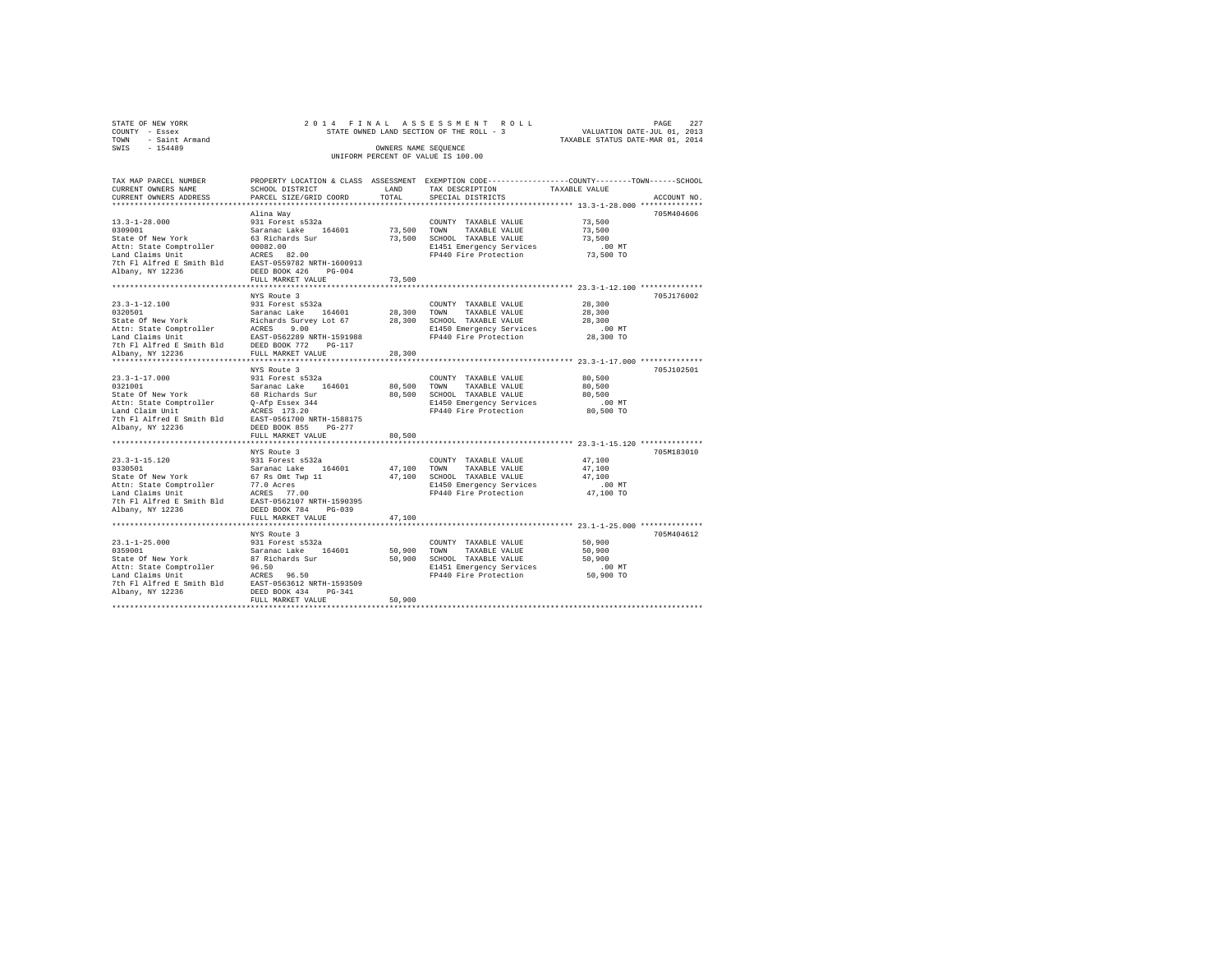|      | STATE OF NEW YORK   |  |  | 2014 FINAL ASSESSMENT ROLL               |  |  |                                  |                             | PAGE | 227 |
|------|---------------------|--|--|------------------------------------------|--|--|----------------------------------|-----------------------------|------|-----|
|      | COUNTY - Essex      |  |  | STATE OWNED LAND SECTION OF THE ROLL - 3 |  |  |                                  | VALUATION DATE-JUL 01, 2013 |      |     |
|      | TOWN - Saint Armand |  |  |                                          |  |  | TAXABLE STATUS DATE-MAR 01, 2014 |                             |      |     |
| SWIS | $-154489$           |  |  | OWNERS NAME SEOUENCE                     |  |  |                                  |                             |      |     |
|      |                     |  |  | UNIFORM PERCENT OF VALUE IS 100.00       |  |  |                                  |                             |      |     |

| TAX MAP PARCEL NUMBER<br>CURRENT OWNERS NAME                                                                                                                   | SCHOOL DISTRICT                                                | LAND        | PROPERTY LOCATION & CLASS ASSESSMENT EXEMPTION CODE---------------COUNTY-------TOWN-----SCHOOL<br>TAX DESCRIPTION | TAXABLE VALUE      |             |
|----------------------------------------------------------------------------------------------------------------------------------------------------------------|----------------------------------------------------------------|-------------|-------------------------------------------------------------------------------------------------------------------|--------------------|-------------|
| CURRENT OWNERS ADDRESS                                                                                                                                         | PARCEL SIZE/GRID COORD                                         | TOTAL       | SPECIAL DISTRICTS                                                                                                 |                    | ACCOUNT NO. |
|                                                                                                                                                                |                                                                |             |                                                                                                                   |                    |             |
| $13.3 - 1 - 28.000$                                                                                                                                            | Alina Way                                                      |             |                                                                                                                   | 73,500             | 705M404606  |
| 0309001                                                                                                                                                        | <br>931 Forest s532a<br>Saranac Lake 164601<br>63 Richards Sur | 73,500 TOWN | COUNTY TAXABLE VALUE<br>TAXABLE VALUE                                                                             | 73,500             |             |
| State Of New York                                                                                                                                              |                                                                |             | 73,500 SCHOOL TAXABLE VALUE                                                                                       | 73,500             |             |
|                                                                                                                                                                |                                                                |             |                                                                                                                   | $.00$ MT           |             |
|                                                                                                                                                                |                                                                |             | E1451 Emergency Services<br>FP440 Fire Protection                                                                 | 73,500 TO          |             |
|                                                                                                                                                                |                                                                |             |                                                                                                                   |                    |             |
| Albany, NY 12236                                                                                                                                               | DEED BOOK 426<br>$PG-004$                                      |             |                                                                                                                   |                    |             |
|                                                                                                                                                                | FULL MARKET VALUE                                              | 73,500      |                                                                                                                   |                    |             |
|                                                                                                                                                                |                                                                |             |                                                                                                                   |                    |             |
|                                                                                                                                                                |                                                                |             |                                                                                                                   |                    | 705J176002  |
|                                                                                                                                                                |                                                                |             |                                                                                                                   | 28,300             |             |
|                                                                                                                                                                |                                                                |             | TAXABLE VALUE                                                                                                     | 28,300             |             |
|                                                                                                                                                                |                                                                |             |                                                                                                                   | 28,300             |             |
|                                                                                                                                                                |                                                                |             | E1450 Emergency Services<br>FP440 Fire Protection                                                                 | .00 MT             |             |
|                                                                                                                                                                |                                                                |             |                                                                                                                   | 28,300 TO          |             |
|                                                                                                                                                                |                                                                |             |                                                                                                                   |                    |             |
|                                                                                                                                                                |                                                                |             |                                                                                                                   |                    |             |
|                                                                                                                                                                |                                                                |             |                                                                                                                   |                    |             |
|                                                                                                                                                                | NYS Route 3<br>931 Forest s532a                                |             |                                                                                                                   |                    | 705J102501  |
| $23.3 - 1 - 17.000$                                                                                                                                            |                                                                |             | COUNTY TAXABLE VALUE                                                                                              | 80,500             |             |
| 0321001 Saranac Lake 164601<br>State Of New York 68 Richards Sur                                                                                               |                                                                |             | 80.500 TOWN TAXABLE VALUE<br>80,500 SCHOOL TAXABLE VALUE                                                          | 80,500             |             |
|                                                                                                                                                                |                                                                |             |                                                                                                                   | 80,500<br>$.00$ MT |             |
|                                                                                                                                                                |                                                                |             | E1450 Emergency Services<br>FP440 Fire Protection 80,500 TO                                                       |                    |             |
|                                                                                                                                                                |                                                                |             |                                                                                                                   |                    |             |
| State or wew ush the passex 344<br>Attn: State Comptroller and Claim United Forms 2017<br>Danis 2018 2018 2018<br>Albany, NY 12236 2018 2020 2020 2035 203-277 |                                                                |             |                                                                                                                   |                    |             |
|                                                                                                                                                                | FULL MARKET VALUE                                              | 80,500      |                                                                                                                   |                    |             |
|                                                                                                                                                                |                                                                |             |                                                                                                                   |                    |             |
|                                                                                                                                                                | NYS Route 3                                                    |             |                                                                                                                   |                    | 705M183010  |
| $23.3 - 1 - 15.120$                                                                                                                                            |                                                                |             | COUNTY TAXABLE VALUE                                                                                              | 47,100             |             |
| 0330501<br>State Of New York                                                                                                                                   | 931 Forest s532a<br>Saranac Lake 164601<br>67 Rs Omt Twp 11    |             | 47,100 TOWN TAXABLE VALUE                                                                                         | 47,100             |             |
|                                                                                                                                                                |                                                                |             | 47,100 SCHOOL TAXABLE VALUE                                                                                       | 47,100             |             |
|                                                                                                                                                                |                                                                |             | E1450 Emergency Services                                                                                          | $.00$ MT           |             |
| Nature of the Comptroller and Charles Comptroller and Claims Unit<br>197.0 Acres 77.00<br>198. The Plant Palmeter and CAST-0562107 NRTH-1590395                |                                                                |             | FP440 Fire Protection 47,100 TO                                                                                   |                    |             |
|                                                                                                                                                                |                                                                |             |                                                                                                                   |                    |             |
| Albany, NY 12236                                                                                                                                               | DEED BOOK 784 PG-039                                           |             |                                                                                                                   |                    |             |
|                                                                                                                                                                | FULL MARKET VALUE                                              | 47,100      |                                                                                                                   |                    |             |
|                                                                                                                                                                |                                                                |             |                                                                                                                   |                    |             |
| $23.1 - 1 - 25.000$                                                                                                                                            | NYS Route 3                                                    |             |                                                                                                                   |                    | 705M404612  |
|                                                                                                                                                                |                                                                |             | COUNTY TAXABLE VALUE<br>50,900 TOWN TAXABLE VALUE                                                                 | 50,900             |             |
| State Of New York                                                                                                                                              | 931 Forest s532a<br>Saranac Lake 164601<br>87 Richards Sur     |             | 50,900 SCHOOL TAXABLE VALUE                                                                                       | 50,900<br>50,900   |             |
|                                                                                                                                                                |                                                                |             |                                                                                                                   | $.00$ MT           |             |
|                                                                                                                                                                |                                                                |             | E1451 Emergency Services<br>FP440 Fire Protection                                                                 | $50,900$ TO        |             |
|                                                                                                                                                                |                                                                |             |                                                                                                                   |                    |             |
|                                                                                                                                                                |                                                                |             |                                                                                                                   |                    |             |
|                                                                                                                                                                | FULL MARKET VALUE                                              | 50,900      |                                                                                                                   |                    |             |
|                                                                                                                                                                |                                                                |             |                                                                                                                   |                    |             |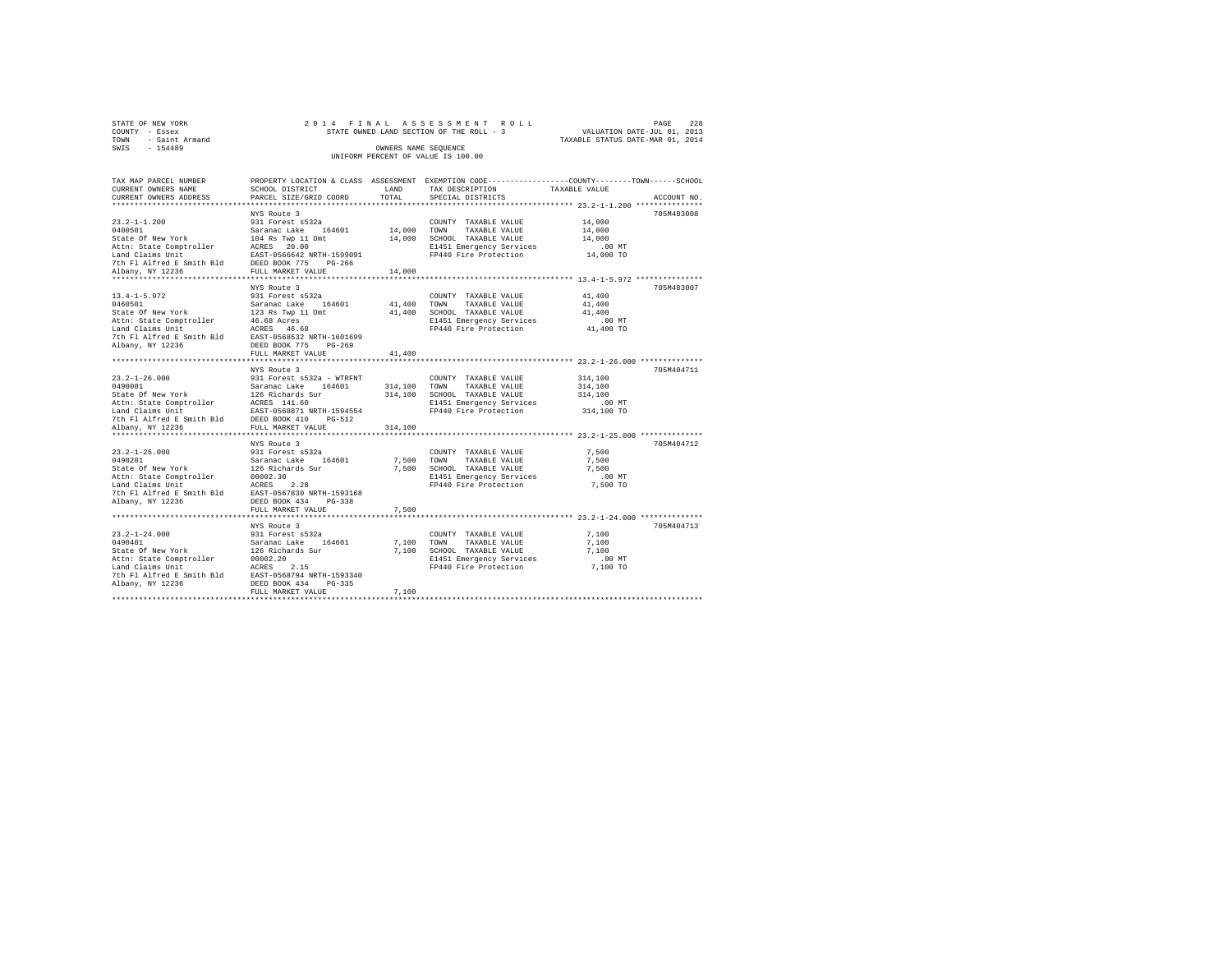| STATE OF NEW YORK      | 2014 FINAL ASSESSMENT ROLL               |                                  | - 2.2.8<br>PAGE |
|------------------------|------------------------------------------|----------------------------------|-----------------|
| COUNTY - Essex         | STATE OWNED LAND SECTION OF THE ROLL - 3 | VALUATION DATE-JUL 01, 2013      |                 |
| - Saint Armand<br>TOWN |                                          | TAXABLE STATUS DATE-MAR 01, 2014 |                 |
| SWIS<br>$-154489$      | OWNERS NAME SEOUENCE                     |                                  |                 |
|                        | UNIFORM PERCENT OF VALUE IS 100.00       |                                  |                 |

| TAX MAP PARCEL NUMBER<br>CURRENT OWNERS NAME<br>CURRENT OWNERS ADDRESS                                                                                                                                                                          | SCHOOL DISTRICT<br>PARCEL SIZE/GRID COORD | TOTAL   | PROPERTY LOCATION & CLASS ASSESSMENT EXEMPTION CODE---------------COUNTY-------TOWN------SCHOOL<br>LAND TAX DESCRIPTION<br>SPECIAL DISTRICTS       | TAXABLE VALUE                                       | ACCOUNT NO. |
|-------------------------------------------------------------------------------------------------------------------------------------------------------------------------------------------------------------------------------------------------|-------------------------------------------|---------|----------------------------------------------------------------------------------------------------------------------------------------------------|-----------------------------------------------------|-------------|
|                                                                                                                                                                                                                                                 | NYS Route 3                               |         |                                                                                                                                                    | 14,000<br>.00 MT<br>14,000 TO                       | 705M483008  |
|                                                                                                                                                                                                                                                 |                                           |         | ********************************** 13.4-1-5.972 *****************                                                                                  |                                                     |             |
|                                                                                                                                                                                                                                                 | NYS Route 3<br>FULL MARKET VALUE          | 41,400  | FP440 Fire Protection                                                                                                                              | 41,400<br>41,400<br>41,400<br>$.00$ MT<br>41,400 TO | 705M483007  |
|                                                                                                                                                                                                                                                 | NYS Route 3                               |         |                                                                                                                                                    |                                                     | 705M404711  |
| 23.2-1-26.000<br>23.2-1-26.000<br>231 Forest s532a - WTRFNT<br>2490001<br>249001<br>247 Saranac Lake 164601<br>247 Saranac Lake 164601<br>247 Saranac Laims Unit<br>247 Saranac Lake 2586811<br>247 Ph Fl Alfred E Smith Bld<br>258D BOOK 410 P |                                           | 314,100 | COUNTY TAXABLE VALUE<br>314,100 TOWN TAXABLE VALUE<br>314,100 SCHOOL TAXABLE VALUE<br>B1451 Emergency Services<br>FP440 Fire Protection 314,100 TO | 314,100<br>314,100<br>314,100<br>$.00$ MT           |             |
|                                                                                                                                                                                                                                                 | NYS Route 3                               |         |                                                                                                                                                    |                                                     | 705M404712  |
|                                                                                                                                                                                                                                                 |                                           |         | COUNTY TAXABLE VALUE 7,500<br>FP440 Fire Protection 7,500 TO                                                                                       | 7.500<br>7.500<br>$.00$ MT                          |             |
|                                                                                                                                                                                                                                                 |                                           |         |                                                                                                                                                    |                                                     |             |
|                                                                                                                                                                                                                                                 |                                           |         | E1451 Emergency Services 6.00 MT<br>FP440 Fire Protection 7,100 TO                                                                                 | 7,100<br>7,100<br>7,100                             | 705M404713  |
|                                                                                                                                                                                                                                                 | FULL MARKET VALUE                         | 7,100   |                                                                                                                                                    |                                                     |             |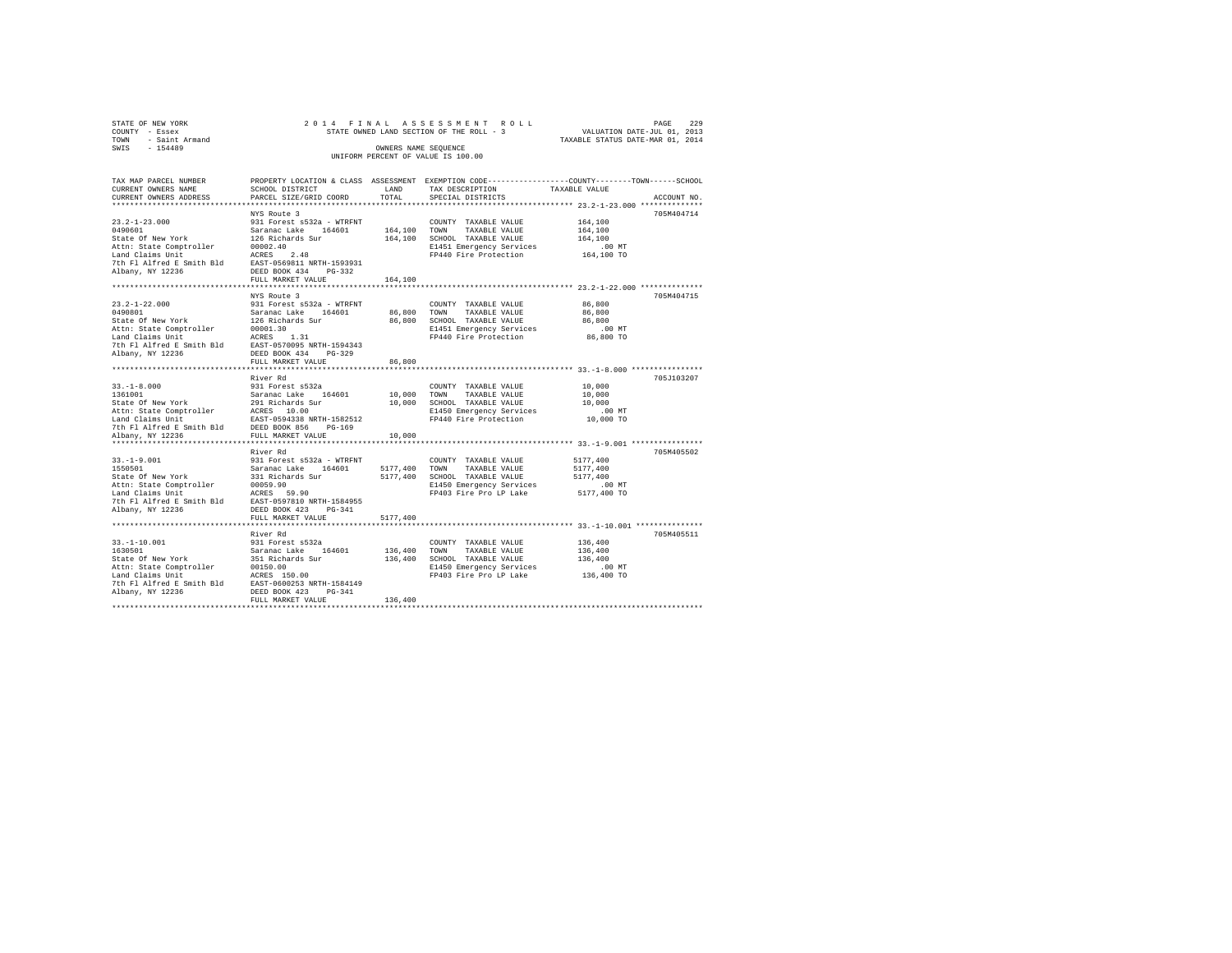|                | STATE OF NEW YORK   |  | 2014 FINAL ASSESSMENT ROLL               |                                  | PAGE | 229 |
|----------------|---------------------|--|------------------------------------------|----------------------------------|------|-----|
| COUNTY - Essex |                     |  | STATE OWNED LAND SECTION OF THE ROLL - 3 | VALUATION DATE-JUL 01, 2013      |      |     |
|                | TOWN - Saint Armand |  |                                          | TAXABLE STATUS DATE-MAR 01, 2014 |      |     |
| SWIS           | $-154489$           |  | OWNERS NAME SEOUENCE                     |                                  |      |     |
|                |                     |  | UNIFORM PERCENT OF VALUE IS 100.00       |                                  |      |     |
|                |                     |  |                                          |                                  |      |     |

| TAX MAP PARCEL NUMBER                                                                                                                                                                                                                          |                   |              | PROPERTY LOCATION & CLASS ASSESSMENT EXEMPTION CODE---------------COUNTY-------TOWN-----SCHOOL          |               |             |
|------------------------------------------------------------------------------------------------------------------------------------------------------------------------------------------------------------------------------------------------|-------------------|--------------|---------------------------------------------------------------------------------------------------------|---------------|-------------|
| CURRENT OWNERS NAME                                                                                                                                                                                                                            | SCHOOL DISTRICT   | LAND         | TAX DESCRIPTION                                                                                         | TAXABLE VALUE |             |
| CURRENT OWNERS ADDRESS PARCEL SIZE/GRID COORD                                                                                                                                                                                                  |                   | <b>TOTAL</b> | SPECIAL DISTRICTS                                                                                       |               | ACCOUNT NO. |
|                                                                                                                                                                                                                                                |                   |              |                                                                                                         |               |             |
|                                                                                                                                                                                                                                                |                   |              |                                                                                                         |               | 705M404714  |
|                                                                                                                                                                                                                                                |                   |              | COUNTY TAXABLE VALUE 164,100                                                                            |               |             |
|                                                                                                                                                                                                                                                |                   |              |                                                                                                         | 164,100       |             |
|                                                                                                                                                                                                                                                |                   |              |                                                                                                         | 164,100       |             |
|                                                                                                                                                                                                                                                |                   |              |                                                                                                         |               |             |
|                                                                                                                                                                                                                                                |                   |              | E1451 Emergency Services .00 MT<br>FP440 Fire Protection  164,100 TO                                    |               |             |
|                                                                                                                                                                                                                                                |                   |              |                                                                                                         |               |             |
|                                                                                                                                                                                                                                                |                   |              |                                                                                                         |               |             |
|                                                                                                                                                                                                                                                |                   |              |                                                                                                         |               |             |
|                                                                                                                                                                                                                                                |                   |              |                                                                                                         |               |             |
|                                                                                                                                                                                                                                                |                   |              |                                                                                                         |               |             |
|                                                                                                                                                                                                                                                |                   |              |                                                                                                         |               | 705M404715  |
|                                                                                                                                                                                                                                                |                   |              |                                                                                                         | 86,800        |             |
|                                                                                                                                                                                                                                                |                   |              |                                                                                                         | 86,800        |             |
|                                                                                                                                                                                                                                                |                   |              |                                                                                                         | 86,800        |             |
|                                                                                                                                                                                                                                                |                   |              | oo, 800 السمحة العاملية<br>E1451 Emergency Services .00 MT<br>FP440 Fire Protection .06,800 TO          |               |             |
|                                                                                                                                                                                                                                                |                   |              |                                                                                                         |               |             |
|                                                                                                                                                                                                                                                |                   |              |                                                                                                         |               |             |
|                                                                                                                                                                                                                                                |                   |              |                                                                                                         |               |             |
|                                                                                                                                                                                                                                                | FULL MARKET VALUE | 86,800       |                                                                                                         |               |             |
|                                                                                                                                                                                                                                                |                   |              |                                                                                                         |               |             |
|                                                                                                                                                                                                                                                |                   |              |                                                                                                         |               | 705J103207  |
|                                                                                                                                                                                                                                                |                   |              |                                                                                                         |               |             |
|                                                                                                                                                                                                                                                |                   |              |                                                                                                         |               |             |
|                                                                                                                                                                                                                                                |                   |              |                                                                                                         |               |             |
|                                                                                                                                                                                                                                                |                   |              | 10,000 SCHOOL TAXABLE VALUE 10,000<br>E1450 Emergency Services 00 MT<br>FP440 Fire Protection 10,000 TO |               |             |
|                                                                                                                                                                                                                                                |                   |              |                                                                                                         |               |             |
|                                                                                                                                                                                                                                                |                   |              |                                                                                                         |               |             |
|                                                                                                                                                                                                                                                |                   |              |                                                                                                         |               |             |
|                                                                                                                                                                                                                                                |                   |              |                                                                                                         |               |             |
|                                                                                                                                                                                                                                                |                   |              |                                                                                                         |               |             |
|                                                                                                                                                                                                                                                | River Rd          |              |                                                                                                         |               | 705M405502  |
|                                                                                                                                                                                                                                                |                   |              |                                                                                                         |               |             |
|                                                                                                                                                                                                                                                |                   |              |                                                                                                         |               |             |
| 33.-1-9.001 1277,400<br>1550501 1277,400 1081 1277,400 1081 1277,400 12881 1277,400 12881 1277,400 12881 1277,400<br>1550501 2311 12881 12881 1277,400 12881 12881 12881 12881 12881 12881 12881 12881 1289<br>12881 1289 12881 12881 1        |                   |              |                                                                                                         |               |             |
|                                                                                                                                                                                                                                                |                   |              |                                                                                                         |               |             |
| Attn: State Comptroller<br>Land Claims Unit<br>Land Claims Unit (1995).<br>John Fl Alfred E Smith Bld<br>The Fl Alfred E Smith Bld<br>DEED BOOK 423<br>DEED NOTER PROPERTY PROPERTY PRESS<br>PERPOSE ON 22216<br>UNIT MADET TO NOTER THE PROPE |                   |              | FP403 Fire Pro LP Lake 5177,400 TO                                                                      |               |             |
|                                                                                                                                                                                                                                                |                   |              |                                                                                                         |               |             |
|                                                                                                                                                                                                                                                |                   |              |                                                                                                         |               |             |
|                                                                                                                                                                                                                                                | FULL MARKET VALUE |              |                                                                                                         |               |             |
|                                                                                                                                                                                                                                                |                   | 5177,400     |                                                                                                         |               |             |
|                                                                                                                                                                                                                                                |                   |              |                                                                                                         |               |             |
|                                                                                                                                                                                                                                                | River Rd          |              |                                                                                                         |               | 705M405511  |
|                                                                                                                                                                                                                                                |                   |              |                                                                                                         |               |             |
|                                                                                                                                                                                                                                                |                   |              |                                                                                                         |               |             |
|                                                                                                                                                                                                                                                |                   |              |                                                                                                         |               |             |
|                                                                                                                                                                                                                                                |                   |              |                                                                                                         |               |             |
|                                                                                                                                                                                                                                                |                   |              |                                                                                                         |               |             |
|                                                                                                                                                                                                                                                |                   |              |                                                                                                         |               |             |
|                                                                                                                                                                                                                                                |                   |              |                                                                                                         |               |             |
|                                                                                                                                                                                                                                                | FULL MARKET VALUE | 136,400      |                                                                                                         |               |             |
|                                                                                                                                                                                                                                                |                   |              |                                                                                                         |               |             |
|                                                                                                                                                                                                                                                |                   |              |                                                                                                         |               |             |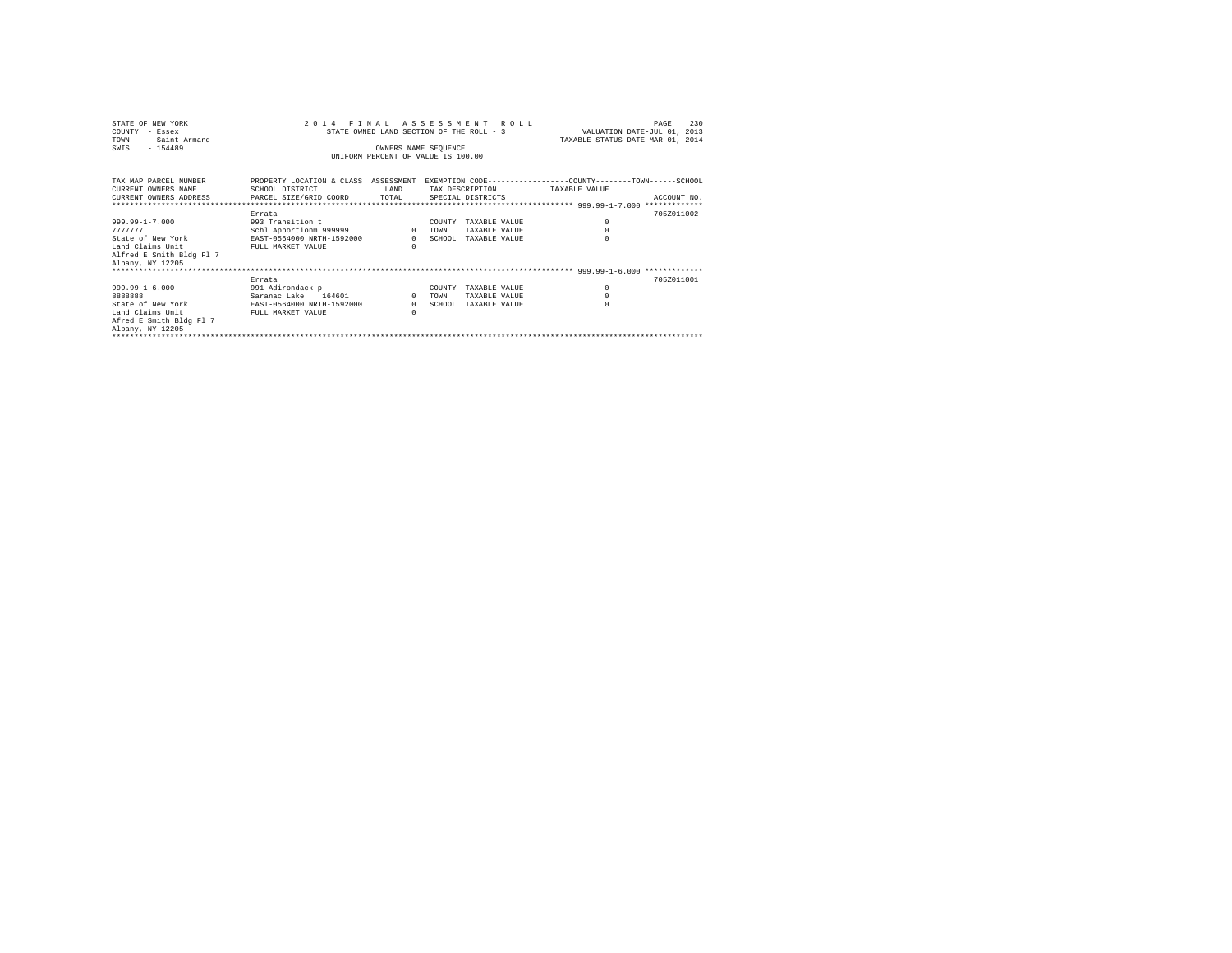| STATE OF NEW YORK<br>COUNTY<br>- Essex<br>- Saint Armand<br>TOWN<br>$-154489$<br>SWIS                                    | 2 0 1 4<br>FINAL ASSESSMENT ROLL<br>STATE OWNED LAND SECTION OF THE ROLL - 3<br>UNIFORM PERCENT OF VALUE IS 100.00 | 230<br>PAGE<br>VALUATION DATE-JUL 01, 2013<br>TAXABLE STATUS DATE-MAR 01, 2014 |                                                                             |                                                                                                               |
|--------------------------------------------------------------------------------------------------------------------------|--------------------------------------------------------------------------------------------------------------------|--------------------------------------------------------------------------------|-----------------------------------------------------------------------------|---------------------------------------------------------------------------------------------------------------|
| TAX MAP PARCEL NUMBER<br>CURRENT OWNERS NAME<br>CURRENT OWNERS ADDRESS 6 PARCEL SIZE/GRID COORD TOTAL 6PECIAL DISTRICTS  | SCHOOL DISTRICT                                                                                                    | LAND                                                                           | TAX DESCRIPTION TAXABLE VALUE                                               | PROPERTY LOCATION & CLASS ASSESSMENT EXEMPTION CODE---------------COUNTY-------TOWN-----SCHOOL<br>ACCOUNT NO. |
| $999.99 - 1 - 7.000$<br>7777777<br>State of New York<br>Land Claims Unit<br>Alfred E Smith Bldg Fl 7<br>Albany, NY 12205 | Errata<br>993 Transition t<br>Schl Apportionm 999999<br>EAST-0564000 NRTH-1592000<br>FULL MARKET VALUE             | $\Omega$<br>$\overline{0}$<br>$\Omega$                                         | COUNTY<br>TAXABLE VALUE<br>TAXABLE VALUE<br>TOWN<br>SCHOOL<br>TAXARLE VALUE | 7057011002<br>$\circ$<br>$\circ$                                                                              |
| $999.99 - 1 - 6.000$<br>8888888<br>State of New York<br>Land Claims Unit<br>Afred E Smith Bldg Fl 7<br>Albany, NY 12205  | Errata<br>991 Adirondack p<br>Saranac Lake 164601<br>EAST-0564000 NRTH-1592000<br>FULL MARKET VALUE                | $\mathbf{r}$<br>$\Omega$<br>$\Omega$                                           | COUNTY<br>TAXABLE VALUE<br>TAXABLE VALUE<br>TOWN<br>SCHOOL<br>TAXARLE VALUE | 7057011001<br>$^{\circ}$<br>$\Omega$                                                                          |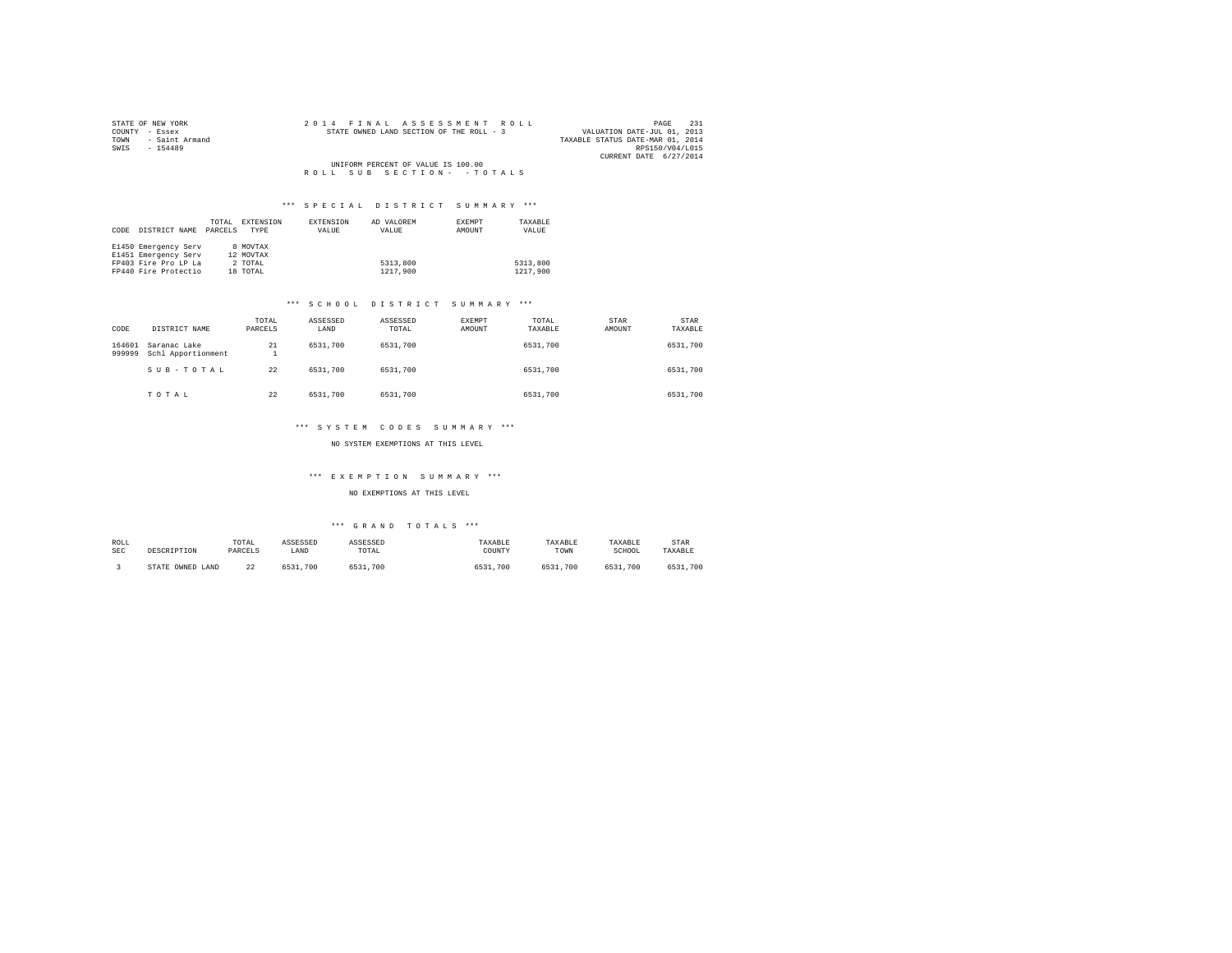| STATE OF NEW YORK   |  | 2014 FINAL ASSESSMENT ROLL               |  |                                    |  |  |  |  |                                  |                        | PAGE | 231 |
|---------------------|--|------------------------------------------|--|------------------------------------|--|--|--|--|----------------------------------|------------------------|------|-----|
| COUNTY - Essex      |  | STATE OWNED LAND SECTION OF THE ROLL - 3 |  |                                    |  |  |  |  | VALUATION DATE-JUL 01, 2013      |                        |      |     |
| TOWN - Saint Armand |  |                                          |  |                                    |  |  |  |  | TAXABLE STATUS DATE-MAR 01, 2014 |                        |      |     |
| SWIS<br>$-154489$   |  |                                          |  |                                    |  |  |  |  |                                  | RPS150/V04/L015        |      |     |
|                     |  |                                          |  |                                    |  |  |  |  |                                  | CURRENT DATE 6/27/2014 |      |     |
|                     |  |                                          |  | UNIFORM PERCENT OF VALUE IS 100.00 |  |  |  |  |                                  |                        |      |     |
|                     |  | ROLL SUB SECTION- - TOTALS               |  |                                    |  |  |  |  |                                  |                        |      |     |

## \*\*\* S P E C I A L D I S T R I C T S U M M A R Y \*\*\*

|      |                      | TOTAL   | EXTENSION | EXTENSION | AD VALOREM | EXEMPT | TAXABLE  |
|------|----------------------|---------|-----------|-----------|------------|--------|----------|
| CODE | DISTRICT NAME        | PARCELS | TYPE      | VALUE     | VALUE      | AMOUNT | VALUE    |
|      |                      |         |           |           |            |        |          |
|      | E1450 Emergency Serv |         | 8 MOVTAX  |           |            |        |          |
|      | E1451 Emergency Serv |         | 12 MOVTAX |           |            |        |          |
|      | FP403 Fire Pro LP La |         | 2 TOTAL   |           | 5313,800   |        | 5313,800 |
|      | FP440 Fire Protectio |         | 18 TOTAL  |           | 1217,900   |        | 1217,900 |

# \*\*\* S C H O O L D I S T R I C T S U M M A R Y \*\*\*

| CODE             | DISTRICT NAME                      | TOTAL<br>PARCELS | ASSESSED<br>LAND | ASSESSED<br>TOTAL | <b>EXEMPT</b><br>AMOUNT | TOTAL<br>TAXABLE | STAR<br>AMOUNT | STAR<br>TAXABLE |
|------------------|------------------------------------|------------------|------------------|-------------------|-------------------------|------------------|----------------|-----------------|
| 164601<br>999999 | Saranac Lake<br>Schl Apportionment | 21<br>1          | 6531,700         | 6531,700          |                         | 6531,700         |                | 6531,700        |
|                  | SUB-TOTAL                          | 22               | 6531,700         | 6531,700          |                         | 6531,700         |                | 6531,700        |
|                  | TOTAL                              | 22               | 6531,700         | 6531,700          |                         | 6531,700         |                | 6531,700        |

### \*\*\* SYSTEM CODES SUMMARY \*\*\*

### NO SYSTEM EXEMPTIONS AT THIS LEVEL

### \*\*\* E X E M P T I O N S U M M A R Y \*\*\*

NO EXEMPTIONS AT THIS LEVEL

# \*\*\* G R A N D T O T A L S \*\*\*

| ROLL | DESCRIPTION      | TOTAL   | ASSESSED | <b>ASSESSED</b> | TAXABLE  | TAXABLE      | TAXABLE  | STAR     |
|------|------------------|---------|----------|-----------------|----------|--------------|----------|----------|
| SEC  |                  | PARCELS | LAND     | TOTAL           | TOUNTY   | TOWN         | SCHOOL   | TAXABLE  |
|      | STATE OWNED LAND | 22      | 6531,700 | 6531,700        | 6531,700 | 6531<br>.700 | 6531,700 | 6531,700 |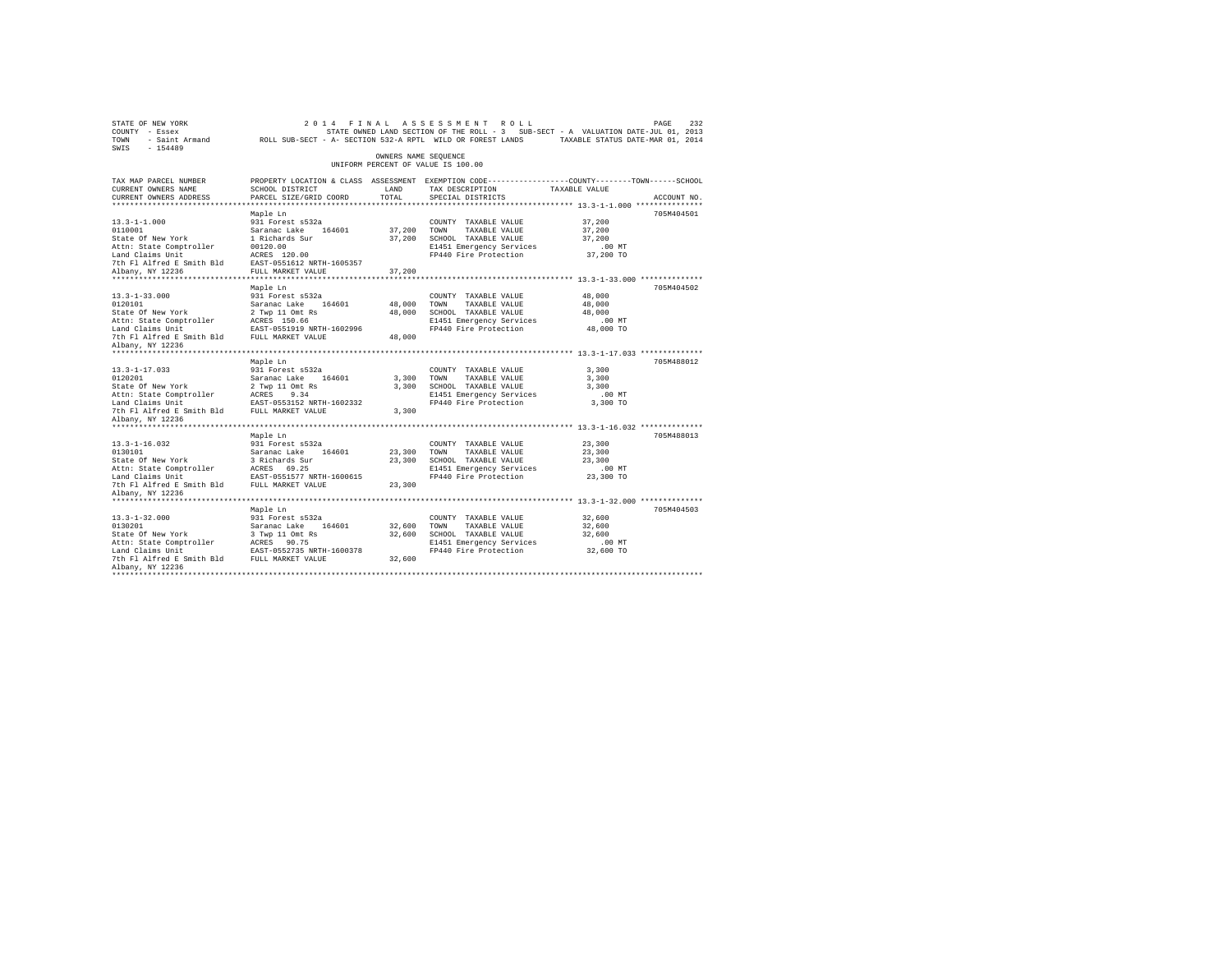| STATE OF NEW YORK<br>COUNTY - Essex<br>TOWN - Saint Armand - ROLL SUB-SECT - A- SECTION 532-A RPTL WILD OR FOREST LANDS - TAXABLE STATUS DATE-MAR 01, 2014<br>SWIS - 154489                                                                      |                                                                                                  |                      | 2014 FINAL ASSESSMENT ROLL<br>STATE OWNED LAND SECTION OF THE ROLL - 3 SUB-SECT - A VALUATION DATE-JUL 01, 2013 |                    | PAGE<br>232 |
|--------------------------------------------------------------------------------------------------------------------------------------------------------------------------------------------------------------------------------------------------|--------------------------------------------------------------------------------------------------|----------------------|-----------------------------------------------------------------------------------------------------------------|--------------------|-------------|
|                                                                                                                                                                                                                                                  |                                                                                                  | OWNERS NAME SEQUENCE | UNIFORM PERCENT OF VALUE IS 100.00                                                                              |                    |             |
| TAX MAP PARCEL NUMBER                                                                                                                                                                                                                            | PROPERTY LOCATION & CLASS ASSESSMENT EXEMPTION CODE----------------COUNTY-------TOWN------SCHOOL |                      |                                                                                                                 |                    |             |
| CURRENT OWNERS NAME                                                                                                                                                                                                                              | SCHOOL DISTRICT                                                                                  | LAND                 | TAX DESCRIPTION TAXABLE VALUE                                                                                   |                    |             |
| CURRENT OWNERS ADDRESS                                                                                                                                                                                                                           | PARCEL SIZE/GRID COORD                                                                           | TOTAL                | SPECIAL DISTRICTS                                                                                               |                    | ACCOUNT NO. |
|                                                                                                                                                                                                                                                  |                                                                                                  |                      |                                                                                                                 |                    |             |
|                                                                                                                                                                                                                                                  | Maple Ln                                                                                         |                      |                                                                                                                 |                    | 705M404501  |
| $13.3 - 1 - 1.000$                                                                                                                                                                                                                               | 931 Forest s532a                                                                                 |                      | COUNTY TAXABLE VALUE                                                                                            | 37,200             |             |
| 0110001<br><br>State Of New York                                                                                                                                                                                                                 |                                                                                                  |                      | 37,200 TOWN TAXABLE VALUE                                                                                       | 37,200             |             |
| Attn: State Comptroller                                                                                                                                                                                                                          | Saranac Lake 164601<br>1 Richards Sur<br>00120.00                                                |                      | 37,200 SCHOOL TAXABLE VALUE<br>E1451 Emergency Services                                                         | 37,200<br>$.00$ MT |             |
| Land Claims Unit                                                                                                                                                                                                                                 | ACRES 120.00                                                                                     |                      | FP440 Fire Protection                                                                                           | 37,200 TO          |             |
| 7th F1 Alfred E Smith Bld EAST-0551612 NRTH-1605357                                                                                                                                                                                              |                                                                                                  |                      |                                                                                                                 |                    |             |
| Albany, NY 12236                                                                                                                                                                                                                                 | FULL MARKET VALUE                                                                                | 37,200               |                                                                                                                 |                    |             |
|                                                                                                                                                                                                                                                  |                                                                                                  |                      |                                                                                                                 |                    |             |
|                                                                                                                                                                                                                                                  | Maple Ln                                                                                         |                      |                                                                                                                 |                    | 705M404502  |
| $13.3 - 1 - 33.000$                                                                                                                                                                                                                              | 931 Forest s532a                                                                                 |                      | COUNTY TAXABLE VALUE                                                                                            | 48,000             |             |
| 0120101<br>State Of New York                                                                                                                                                                                                                     |                                                                                                  |                      | 48,000 TOWN TAXABLE VALUE                                                                                       | 48,000             |             |
|                                                                                                                                                                                                                                                  | Saranac Lake 164601<br>2 Twp 11 Omt Rs                                                           | 48,000               | SCHOOL TAXABLE VALUE                                                                                            | 48,000             |             |
|                                                                                                                                                                                                                                                  | ACRES 150.66                                                                                     |                      | E1451 Emergency Services                                                                                        | $.00$ MT           |             |
|                                                                                                                                                                                                                                                  |                                                                                                  |                      | FP440 Fire Protection                                                                                           | 48,000 TO          |             |
|                                                                                                                                                                                                                                                  |                                                                                                  |                      |                                                                                                                 |                    |             |
| Albany, NY 12236                                                                                                                                                                                                                                 |                                                                                                  |                      |                                                                                                                 |                    |             |
|                                                                                                                                                                                                                                                  |                                                                                                  |                      |                                                                                                                 |                    |             |
| $13.3 - 1 - 17.033$                                                                                                                                                                                                                              | Maple Ln<br>931 Forest s532a                                                                     |                      |                                                                                                                 | 3,300              | 705M488012  |
|                                                                                                                                                                                                                                                  |                                                                                                  |                      | COUNTY TAXABLE VALUE                                                                                            | 3,300              |             |
| 0120201<br>State Of New York                                                                                                                                                                                                                     | Saranac Lake 164601<br>2 Twp 11 Omt Rs                                                           |                      | 3,300 TOWN TAXABLE VALUE<br>3,300 SCHOOL TAXABLE VALUE                                                          | 3,300              |             |
| Attn: State Comptroller                                                                                                                                                                                                                          | ACRES 9.34                                                                                       |                      |                                                                                                                 | $.00$ MT           |             |
| Land Claims Unit                                                                                                                                                                                                                                 | EAST-0553152 NRTH-1602332                                                                        |                      |                                                                                                                 | 3,300 TO           |             |
| The Figure of the Team of the Control of Team Press and Team Press and Team Press and Team Press and Team Press                                                                                                                                  |                                                                                                  |                      | CONCORRENT TAXABLE VALUE<br>E1451 Emergency Services<br>FP440 Fire Protection<br>3,300                          |                    |             |
| Albany, NY 12236                                                                                                                                                                                                                                 |                                                                                                  |                      |                                                                                                                 |                    |             |
|                                                                                                                                                                                                                                                  |                                                                                                  |                      |                                                                                                                 |                    |             |
|                                                                                                                                                                                                                                                  | Maple Ln                                                                                         |                      |                                                                                                                 |                    | 705M488013  |
|                                                                                                                                                                                                                                                  |                                                                                                  |                      | COUNTY TAXABLE VALUE                                                                                            | 23,300             |             |
| 13.3-1-16.032<br>13.3-1-16.032<br>13.30101 State of New York<br>13.30201 State of New York<br>13.30201 State of New York<br>13.30201211 State Comptroller<br>14.02.3031 NARAS 2012<br>14.52.4021 NARAS 2012<br>14.52.4021 NARAS 2012<br>14.52.40 |                                                                                                  | 23,300 TOWN          | TAXABLE VALUE                                                                                                   | 23,300             |             |
|                                                                                                                                                                                                                                                  |                                                                                                  |                      | 23,300 SCHOOL TAXABLE VALUE                                                                                     | 23,300             |             |
|                                                                                                                                                                                                                                                  |                                                                                                  |                      | E1451 Emergency Services<br>FP440 Fire Protection                                                               | .00 MT             |             |
|                                                                                                                                                                                                                                                  |                                                                                                  |                      |                                                                                                                 | 23,300 TO          |             |
|                                                                                                                                                                                                                                                  |                                                                                                  | 23,300               |                                                                                                                 |                    |             |
| Albany, NY 12236                                                                                                                                                                                                                                 |                                                                                                  |                      |                                                                                                                 |                    |             |
|                                                                                                                                                                                                                                                  | Maple Ln                                                                                         |                      |                                                                                                                 |                    | 705M404503  |
| $13.3 - 1 - 32.000$                                                                                                                                                                                                                              | 931 Forest s532a                                                                                 |                      | COUNTY TAXABLE VALUE                                                                                            | 32,600             |             |
|                                                                                                                                                                                                                                                  |                                                                                                  | 32,600 TOWN          | TAXABLE VALUE                                                                                                   | 32,600             |             |
| 19:3 1 52:000<br>0130201<br>State Of New York                                                                                                                                                                                                    | Saranac Lake 164601<br>3 Twp 11 Omt Rs                                                           |                      | 32,600 SCHOOL TAXABLE VALUE                                                                                     | 32,600             |             |
|                                                                                                                                                                                                                                                  |                                                                                                  |                      | E1451 Emergency Services                                                                                        | $.00$ MT           |             |
|                                                                                                                                                                                                                                                  | EAST-0552735 NRTH-1600378                                                                        |                      | FP440 Fire Protection 32,600 TO                                                                                 |                    |             |
| The Fig. of the Fig. of the Fig. of the Fig. of the Fig. of the Fig. of the Fig. of the Fig. of the Fig. of the Fig. of the Fig. of the Fig. of the Fig. of the Fig. of the Fig. of the Fig. of the Fig. of the Fig. of the Fi                   |                                                                                                  | 32,600               |                                                                                                                 |                    |             |
| Albany, NY 12236                                                                                                                                                                                                                                 |                                                                                                  |                      |                                                                                                                 |                    |             |
|                                                                                                                                                                                                                                                  |                                                                                                  |                      |                                                                                                                 |                    |             |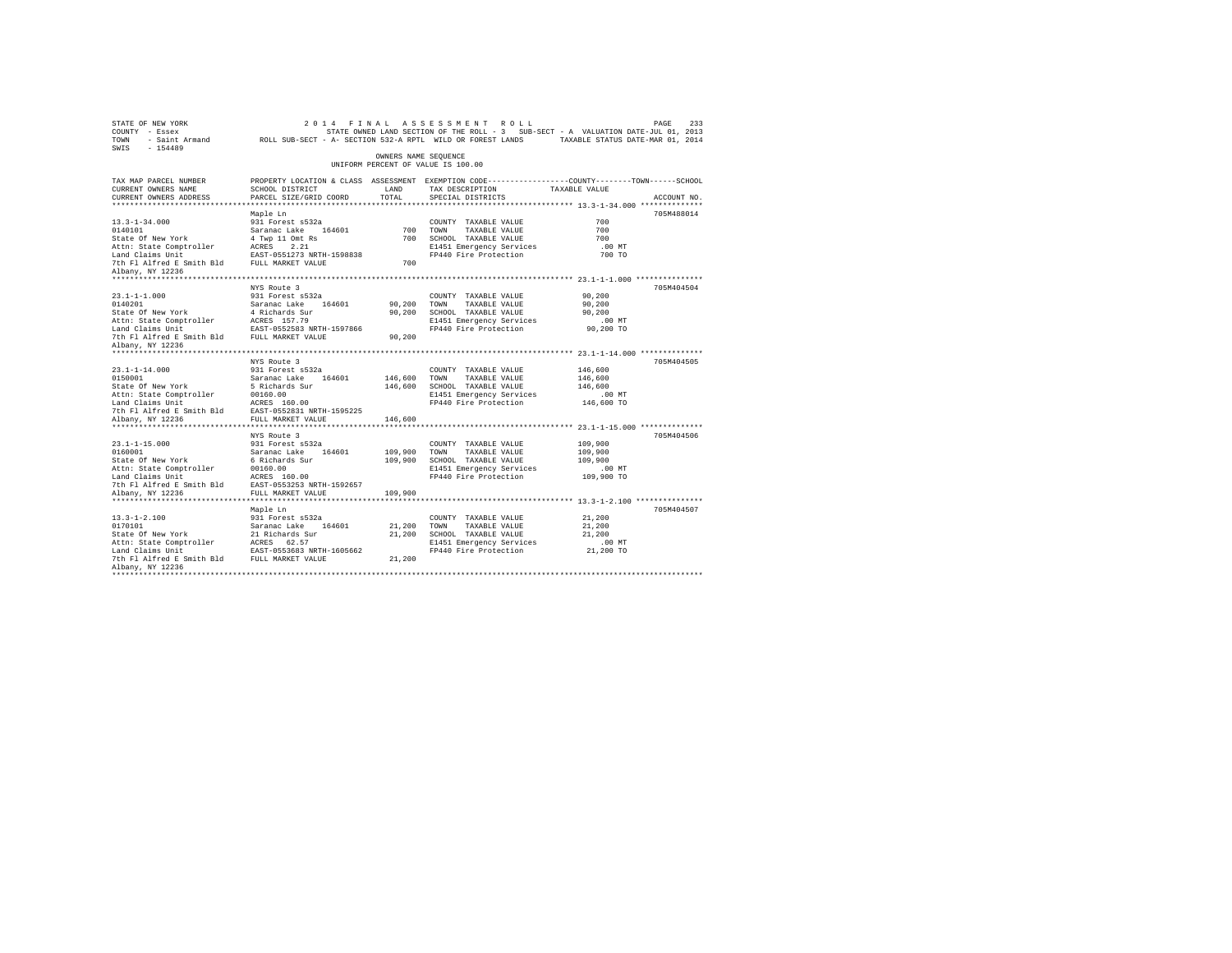| STATE OF NEW YORK<br>2014 FINAL ASSESSMENT ROLL<br>COUNTY - Essex<br>STATE OWNED LAND SECTION OF THE ROLL - 3 SUB-SECT - A VALUATION DATE-JUL 01, 2013<br>- Saint Armand ROLL SUB-SECT - A- SECTION 532-A RPTL WILD OR FOREST LANDS TAXABLE STATUS DATE-MAR 01, 2014<br>TOWN<br>SWIS - 154489     | PAGE<br>233 |
|---------------------------------------------------------------------------------------------------------------------------------------------------------------------------------------------------------------------------------------------------------------------------------------------------|-------------|
| OWNERS NAME SEQUENCE<br>UNIFORM PERCENT OF VALUE IS 100.00                                                                                                                                                                                                                                        |             |
| PROPERTY LOCATION & CLASS ASSESSMENT EXEMPTION CODE----------------COUNTY-------TOWN------SCHOOL<br>TAX MAP PARCEL NUMBER<br>TAX DESCRIPTION<br>SCHOOL DISTRICT<br>LAND<br>TAXABLE VALUE<br>CURRENT OWNERS NAME<br>CURRENT OWNERS ADDRESS<br>PARCEL SIZE/GRID COORD<br>TOTAL<br>SPECIAL DISTRICTS | ACCOUNT NO. |
|                                                                                                                                                                                                                                                                                                   |             |
| Maple Ln                                                                                                                                                                                                                                                                                          | 705M488014  |
| $13.3 - 1 - 34.000$<br>931 Forest s532a<br>COUNTY TAXABLE VALUE<br>700                                                                                                                                                                                                                            |             |
| 700 TOWN<br>700<br>TAXABLE VALUE                                                                                                                                                                                                                                                                  |             |
| 700<br>700<br>SCHOOL TAXABLE VALUE                                                                                                                                                                                                                                                                |             |
| E1451 Emergency Services<br>.00 MT                                                                                                                                                                                                                                                                |             |
| 0140101<br>State of New York 5 (1992)<br>State State Comptroller (1992)<br>Athis State Comptroller (1992)<br>Land Claims Unit (1993)<br>Dan Claims Unit (1993)<br>The Platine of Smith Bld<br>FAST-0531273 NRTH-159838<br>The Platine Smith B<br>FP440 Fire Protection<br>700 TO                  |             |
| 700                                                                                                                                                                                                                                                                                               |             |
| Albany, NY 12236                                                                                                                                                                                                                                                                                  |             |
| NYS Route 3                                                                                                                                                                                                                                                                                       | 705M404504  |
| 931 Forest s532a<br>$23.1 - 1 - 1.000$<br>90,200<br>COUNTY TAXABLE VALUE                                                                                                                                                                                                                          |             |
| 0140201<br>State Of New York<br>90,200<br>90,200<br>TOWN TAXABLE VALUE                                                                                                                                                                                                                            |             |
| 90,200<br>90,200<br>SCHOOL TAXABLE VALUE                                                                                                                                                                                                                                                          |             |
| E1451 Emergency Services<br>$.00$ MT                                                                                                                                                                                                                                                              |             |
| 90,200 TO<br>FP440 Fire Protection                                                                                                                                                                                                                                                                |             |
| 90,200                                                                                                                                                                                                                                                                                            |             |
| Albany, NY 12236                                                                                                                                                                                                                                                                                  |             |
|                                                                                                                                                                                                                                                                                                   |             |
| NYS Route 3                                                                                                                                                                                                                                                                                       | 705M404505  |
| 146,600<br>$23.1 - 1 - 14.000$<br>931 Forest s532a<br>COUNTY TAXABLE VALUE<br>146,600<br>146,600<br>0150001<br>TOWN<br>TAXABLE VALUE                                                                                                                                                              |             |
| State Of New York<br>146,600<br>SCHOOL TAXABLE VALUE<br>146,600                                                                                                                                                                                                                                   |             |
| Attn: State Comptroller<br>E1451 Emergency Services<br>$.00$ MT                                                                                                                                                                                                                                   |             |
| Saranac Lake 164601<br>5 Richards Sur<br>00160.00<br>ACRES 160.00<br>Land Claims Unit<br>FP440 Fire Protection<br>146,600 TO                                                                                                                                                                      |             |
| 7th Fl Alfred E Smith Bld EAST-0552831 NRTH-1595225                                                                                                                                                                                                                                               |             |
| FULL MARKET VALUE<br>Albany, NY 12236<br>146,600                                                                                                                                                                                                                                                  |             |
| **************************                                                                                                                                                                                                                                                                        |             |
| NYS Route 3                                                                                                                                                                                                                                                                                       | 705M404506  |
| $23.1 - 1 - 15.000$<br>931 Forest s532a<br>109,900<br>COUNTY TAXABLE VALUE                                                                                                                                                                                                                        |             |
| 0160001<br>Saranac Lake 164601<br>6 Richards Sur<br>109,900<br>TOWN<br>109,900<br>TAXABLE VALUE<br>State Of New York                                                                                                                                                                              |             |
| 109,900 SCHOOL TAXABLE VALUE<br>109,900                                                                                                                                                                                                                                                           |             |
| 00160.00<br>Attn: State Comptroller<br>E1451 Emergency Services<br>.00 MT<br>ACRES 160.00<br>Land Claims Unit<br>109,900 TO<br>FP440 Fire Protection                                                                                                                                              |             |
| 7th F1 Alfred E Smith Bld EAST-0553253 NRTH-1592657                                                                                                                                                                                                                                               |             |
| FULL MARKET VALUE<br>Albany, NY 12236<br>109,900                                                                                                                                                                                                                                                  |             |
|                                                                                                                                                                                                                                                                                                   |             |
| Maple Ln                                                                                                                                                                                                                                                                                          | 705M404507  |
| $13.3 - 1 - 2.100$<br>931 Forest s532a<br>21,200<br>COUNTY TAXABLE VALUE                                                                                                                                                                                                                          |             |
| 0170101<br>State Of New York<br>21,200<br>TOWN<br>21,200<br>TAXABLE VALUE                                                                                                                                                                                                                         |             |
| 21,200<br>21,200<br>SCHOOL TAXABLE VALUE                                                                                                                                                                                                                                                          |             |
| E1451 Emergency Services<br>$.00$ MT                                                                                                                                                                                                                                                              |             |
| 1991<br>1991<br>1992 - Saranac Lake 164601<br>21 Richard Saranac Lake 164601<br>21 Richard Claims United RESS 62.57<br>1992 - Saranac Calma United Resear-0553683<br>21 The Filalized Result Bld FAST-0555683<br>21 PULL MARKET VALUE<br>FP440 Fire Protection 21,200 TO<br>21,200                |             |
| Albany, NY 12236                                                                                                                                                                                                                                                                                  |             |
|                                                                                                                                                                                                                                                                                                   |             |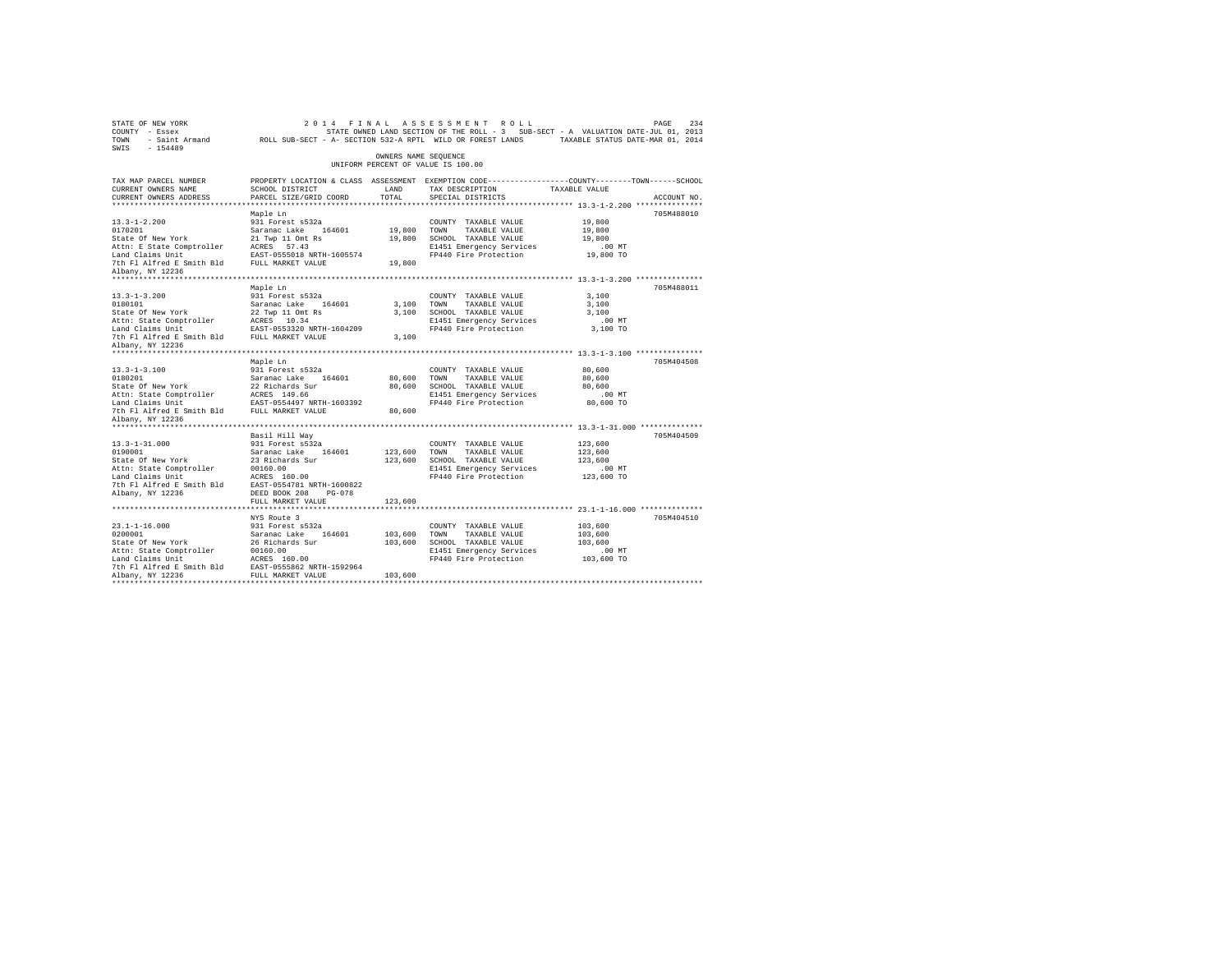| STATE OF NEW YORK<br>COUNTY - Essex<br>TOWN<br>$-154489$<br>SWIS                                                                                    | - Saint Armand MCLL SUB-SECT - A- SECTION 532-A RPTL WILD OR FOREST LANDS                                                                                           |                         | 2014 FINAL ASSESSMENT ROLL<br>STATE OWNED LAND SECTION OF THE ROLL - 3 SUB-SECT - A VALUATION DATE-JUL 01, 2013                         | TAXABLE STATUS DATE-MAR 01, 2014                        | 234<br>PAGE |
|-----------------------------------------------------------------------------------------------------------------------------------------------------|---------------------------------------------------------------------------------------------------------------------------------------------------------------------|-------------------------|-----------------------------------------------------------------------------------------------------------------------------------------|---------------------------------------------------------|-------------|
|                                                                                                                                                     |                                                                                                                                                                     | OWNERS NAME SEOUENCE    | UNIFORM PERCENT OF VALUE IS 100.00                                                                                                      |                                                         |             |
| TAX MAP PARCEL NUMBER<br>CURRENT OWNERS NAME<br>CURRENT OWNERS ADDRESS                                                                              | SCHOOL DISTRICT<br>PARCEL SIZE/GRID COORD                                                                                                                           | LAND<br>TOTAL.          | PROPERTY LOCATION & CLASS ASSESSMENT EXEMPTION CODE----------------COUNTY-------TOWN-----SCHOOL<br>TAX DESCRIPTION<br>SPECIAL DISTRICTS | TAXABLE VALUE                                           | ACCOUNT NO. |
| ************************                                                                                                                            | Maple Ln                                                                                                                                                            |                         |                                                                                                                                         |                                                         | 705M488010  |
| $13.3 - 1 - 2.200$<br>0170201<br>State Of New York                                                                                                  | 931 Forest s532a<br>Saranac Lake 164601<br>21 Twp 11 Omt Rs                                                                                                         | 19,800<br>19,800        | COUNTY TAXABLE VALUE<br>TOWN<br>TAXABLE VALUE<br>SCHOOL TAXABLE VALUE                                                                   | 19,800<br>19,800<br>19,800                              |             |
| Attn: E State Comptroller ACRES 57.43<br>Land Claims Unit<br>7th Fl Alfred E Smith Bld<br>Albany, NY 12236                                          | EAST-0555018 NRTH-1605574<br>FULL MARKET VALUE                                                                                                                      | 19,800                  | E1451 Emergency Services<br>FP440 Fire Protection                                                                                       | $.00$ MT<br>19,800 TO                                   |             |
|                                                                                                                                                     |                                                                                                                                                                     |                         |                                                                                                                                         |                                                         |             |
| $13.3 - 1 - 3.200$<br>0180101<br>State Of New York<br>Attn: State Comptroller<br>Land Claims Unit<br>7th Fl Alfred E Smith Bld<br>Albany, NY 12236  | Maple Ln<br>931 Forest s532a<br>Saranac Lake 164601<br>22 Twp 11 Omt Rs<br>ACRES 10.34<br>EAST-0553320 NRTH-1604209<br>FULL MARKET VALUE                            | 3,100<br>3,100<br>3,100 | COUNTY TAXABLE VALUE<br>TOWN<br>TAXABLE VALUE<br>SCHOOL TAXABLE VALUE<br>E1451 Emergency Services<br>FP440 Fire Protection              | 3,100<br>3,100<br>3,100<br>$.00$ MT<br>3,100 TO         | 705M488011  |
| **************************                                                                                                                          |                                                                                                                                                                     |                         |                                                                                                                                         |                                                         |             |
|                                                                                                                                                     | Maple Ln                                                                                                                                                            |                         |                                                                                                                                         |                                                         | 705M404508  |
| $13.3 - 1 - 3.100$<br>0180201<br>State Of New York<br>Attn: State Comptroller                                                                       | 931 Forest s532a<br>Saranac Lake 164601<br>22 Richards Sur<br>ACRES 149.66                                                                                          | 80,600<br>80,600        | COUNTY TAXABLE VALUE<br>TOWN<br>TAXABLE VALUE<br>SCHOOL TAXABLE VALUE<br>E1451 Emergency Services<br>FP440 Fire Protection              | 80,600<br>80,600<br>80,600<br>$.00$ MT                  |             |
| Land Claims Unit<br>7th Fl Alfred E Smith Bld<br>Albany, NY 12236                                                                                   | EAST-0554497 NRTH-1603392<br>FULL MARKET VALUE                                                                                                                      | 80,600                  |                                                                                                                                         | 80,600 TO                                               |             |
| *************************                                                                                                                           |                                                                                                                                                                     |                         |                                                                                                                                         |                                                         |             |
| $13.3 - 1 - 31.000$<br>0190001<br>State Of New York<br>Attn: State Comptroller<br>Land Claims Unit<br>7th Fl Alfred E Smith Bld<br>Albany, NY 12236 | Basil Hill Way<br>931 Forest s532a<br>Saranac Lake<br>164601<br>23 Richards Sur<br>00160.00<br>ACRES 160.00<br>EAST-0554781 NRTH-1600822<br>DEED BOOK 208<br>PG-078 | 123,600<br>123,600      | COUNTY TAXABLE VALUE<br>TOWN<br>TAXABLE VALUE<br>SCHOOL TAXABLE VALUE<br>E1451 Emergency Services<br>FP440 Fire Protection              | 123,600<br>123,600<br>123,600<br>.00 MT<br>123,600 TO   | 705M404509  |
|                                                                                                                                                     | FULL MARKET VALUE                                                                                                                                                   | 123,600                 |                                                                                                                                         |                                                         |             |
|                                                                                                                                                     |                                                                                                                                                                     |                         |                                                                                                                                         |                                                         |             |
| $23.1 - 1 - 16.000$<br>0200001<br>State Of New York<br>Attn: State Comptroller<br>Land Claims Unit<br>7th Fl Alfred E Smith Bld                     | NYS Route 3<br>931 Forest s532a<br>Saranac Lake<br>164601<br>26 Richards Sur<br>00160.00<br>ACRES 160.00<br>EAST-0555862 NRTH-1592964                               | 103,600<br>103,600      | COUNTY TAXABLE VALUE<br>TOWN<br>TAXABLE VALUE<br>SCHOOL TAXABLE VALUE<br>E1451 Emergency Services<br>FP440 Fire Protection              | 103,600<br>103,600<br>103,600<br>$.00$ MT<br>103,600 TO | 705M404510  |
| Albany, NY 12236                                                                                                                                    | FULL MARKET VALUE                                                                                                                                                   | 103,600                 |                                                                                                                                         |                                                         |             |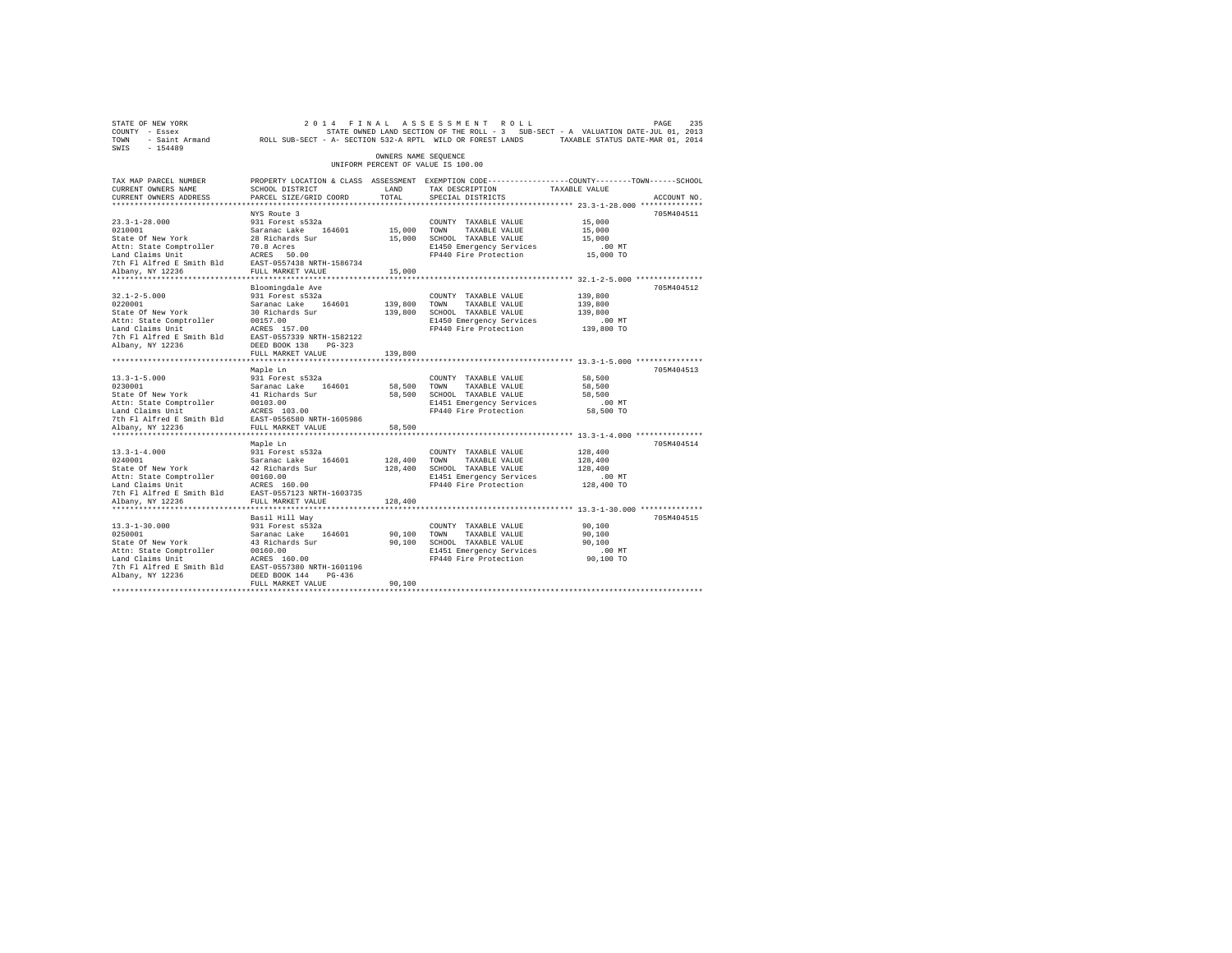| STATE OF NEW YORK<br>COUNTY - Essex<br>TOWN                                                                                 |                                                |                      | 2014 FINAL ASSESSMENT ROLL<br>STATE OWNED LAND SECTION OF THE ROLL - 3 SUB-SECT - A VALUATION DATE-JUL 01, 2013<br>- Saint Armand 2001, 2004 8001, 2004 8001 812-A RPTL WILD OR FOREST LANDS 7AXABLE STATUS DATE-MAR 01, 2014 |                                                     | PAGE<br>235 |
|-----------------------------------------------------------------------------------------------------------------------------|------------------------------------------------|----------------------|-------------------------------------------------------------------------------------------------------------------------------------------------------------------------------------------------------------------------------|-----------------------------------------------------|-------------|
| SWIS<br>$-154489$                                                                                                           |                                                | OWNERS NAME SEOUENCE |                                                                                                                                                                                                                               |                                                     |             |
|                                                                                                                             |                                                |                      | UNIFORM PERCENT OF VALUE IS 100.00                                                                                                                                                                                            |                                                     |             |
| TAX MAP PARCEL NUMBER<br>CURRENT OWNERS NAME                                                                                | SCHOOL DISTRICT                                | LAND                 | PROPERTY LOCATION & CLASS ASSESSMENT EXEMPTION CODE---------------COUNTY-------TOWN-----SCHOOL<br>TAX DESCRIPTION                                                                                                             | TAXABLE VALUE                                       |             |
| CURRENT OWNERS ADDRESS                                                                                                      | PARCEL SIZE/GRID COORD                         | TOTAL                | SPECIAL DISTRICTS                                                                                                                                                                                                             |                                                     | ACCOUNT NO. |
| **************************                                                                                                  |                                                |                      |                                                                                                                                                                                                                               |                                                     |             |
|                                                                                                                             | NYS Route 3                                    |                      |                                                                                                                                                                                                                               |                                                     | 705M404511  |
| $23.3 - 1 - 28.000$                                                                                                         | 931 Forest s532a                               |                      | COUNTY TAXABLE VALUE                                                                                                                                                                                                          | 15,000                                              |             |
| 0210001                                                                                                                     | Saranac Lake 164601                            | 15,000               | TOWN<br>TAXABLE VALUE                                                                                                                                                                                                         | 15,000                                              |             |
| State Of New York                                                                                                           | 28 Richards Sur                                |                      | 15,000 SCHOOL TAXABLE VALUE                                                                                                                                                                                                   | 15,000                                              |             |
| Attn: State Comptroller 70.8 Acres<br>Land Claims Unit 1 ACRES 50.00<br>7th Fl Alfred E Smith Bld EAST-0557438 NRTH-1586734 |                                                |                      | E1450 Emergency Services                                                                                                                                                                                                      | .00 MT                                              |             |
|                                                                                                                             |                                                |                      | FP440 Fire Protection                                                                                                                                                                                                         | 15,000 TO                                           |             |
|                                                                                                                             |                                                |                      |                                                                                                                                                                                                                               |                                                     |             |
| Albany, NY 12236                                                                                                            | FULL MARKET VALUE                              | 15,000               |                                                                                                                                                                                                                               |                                                     |             |
|                                                                                                                             |                                                |                      |                                                                                                                                                                                                                               |                                                     | 705M404512  |
| $32.1 - 2 - 5.000$                                                                                                          | Bloomingdale Ave<br>931 Forest s532a           |                      | COUNTY TAXABLE VALUE                                                                                                                                                                                                          | 139,800                                             |             |
| 0220001                                                                                                                     | Saranac Lake 164601                            | 139,800              | TOWN<br>TAXABLE VALUE                                                                                                                                                                                                         | 139,800                                             |             |
| State Of New York                                                                                                           | 30 Richards Sur                                | 139,800              | SCHOOL TAXABLE VALUE                                                                                                                                                                                                          | 139,800                                             |             |
| Attn: State Comptroller                                                                                                     | 00157.00                                       |                      | E1450 Emergency Services                                                                                                                                                                                                      | $.00$ MT                                            |             |
| Land Claims Unit                                                                                                            | ACRES 157.00                                   |                      | FP440 Fire Protection                                                                                                                                                                                                         | 139,800 TO                                          |             |
| 7th Fl Alfred E Smith Bld EAST-0557339 NRTH-1582122                                                                         |                                                |                      |                                                                                                                                                                                                                               |                                                     |             |
| Albany, NY 12236                                                                                                            | DEED BOOK 138 PG-323                           |                      |                                                                                                                                                                                                                               |                                                     |             |
|                                                                                                                             | FULL MARKET VALUE                              | 139,800              |                                                                                                                                                                                                                               |                                                     |             |
|                                                                                                                             |                                                |                      |                                                                                                                                                                                                                               |                                                     |             |
|                                                                                                                             | Maple Ln                                       |                      |                                                                                                                                                                                                                               |                                                     | 705M404513  |
| $13.3 - 1 - 5.000$                                                                                                          | 931 Forest s532a                               |                      | COUNTY TAXABLE VALUE                                                                                                                                                                                                          | 58,500                                              |             |
| 0230001                                                                                                                     | Saranac Lake 164601                            | 58,500               | TOWN<br>TAXABLE VALUE<br>58,500 SCHOOL TAXABLE VALUE                                                                                                                                                                          | 58,500<br>58,500                                    |             |
| State Of New York<br>Attn: State Comptroller                                                                                | 41 Richards Sur<br>00103.00                    |                      | E1451 Emergency Services                                                                                                                                                                                                      | $.00$ MT                                            |             |
| Land Claims Unit                                                                                                            | ACRES 103.00                                   |                      | FP440 Fire Protection                                                                                                                                                                                                         | 58,500 TO                                           |             |
| 7th Fl Alfred E Smith Bld                                                                                                   | EAST-0556580 NRTH-1605986                      |                      |                                                                                                                                                                                                                               |                                                     |             |
| Albany, NY 12236                                                                                                            | FULL MARKET VALUE                              | 58,500               |                                                                                                                                                                                                                               |                                                     |             |
| **************************                                                                                                  | **********************                         |                      |                                                                                                                                                                                                                               | ********************** 13.3-1-4.000 *************** |             |
|                                                                                                                             | Maple Ln                                       |                      |                                                                                                                                                                                                                               |                                                     | 705M404514  |
| $13.3 - 1 - 4.000$                                                                                                          | 931 Forest s532a                               |                      | COUNTY TAXABLE VALUE                                                                                                                                                                                                          | 128,400                                             |             |
| 0240001                                                                                                                     | Saranac Lake 164601                            | 128,400              | TOWN<br>TAXABLE VALUE                                                                                                                                                                                                         | 128,400                                             |             |
| State Of New York                                                                                                           | 42 Richards Sur                                | 128,400              | SCHOOL TAXABLE VALUE                                                                                                                                                                                                          | 128,400                                             |             |
| Attn: State Comptroller                                                                                                     | 00160.00                                       |                      | E1451 Emergency Services                                                                                                                                                                                                      | $.00$ MT                                            |             |
| Land Claims Unit                                                                                                            | ACRES 160.00                                   |                      | FP440 Fire Protection                                                                                                                                                                                                         | 128,400 TO                                          |             |
| 7th Fl Alfred E Smith Bld<br>Albany, NY 12236                                                                               | EAST-0557123 NRTH-1603735<br>FULL MARKET VALUE | 128,400              |                                                                                                                                                                                                                               |                                                     |             |
| ***********************                                                                                                     | *************************                      |                      |                                                                                                                                                                                                                               |                                                     |             |
|                                                                                                                             | Basil Hill Way                                 |                      |                                                                                                                                                                                                                               |                                                     | 705M404515  |
| $13.3 - 1 - 30.000$                                                                                                         | 931 Forest s532a                               |                      | COUNTY TAXABLE VALUE                                                                                                                                                                                                          | 90,100                                              |             |
| 0250001                                                                                                                     | Saranac Lake 164601                            | 90,100               | TOWN<br>TAXABLE VALUE                                                                                                                                                                                                         | 90,100                                              |             |
| State Of New York                                                                                                           | 43 Richards Sur                                | 90,100               | SCHOOL TAXABLE VALUE                                                                                                                                                                                                          | 90,100                                              |             |
| Attn: State Comptroller                                                                                                     | 00160.00                                       |                      | E1451 Emergency Services                                                                                                                                                                                                      | $.00$ MT                                            |             |
| Land Claims Unit                                                                                                            | ACRES 160.00                                   |                      | FP440 Fire Protection                                                                                                                                                                                                         | 90,100 TO                                           |             |
| 7th Fl Alfred E Smith Bld                                                                                                   | EAST-0557380 NRTH-1601196                      |                      |                                                                                                                                                                                                                               |                                                     |             |
| Albany, NY 12236                                                                                                            | DEED BOOK 144 PG-436                           |                      |                                                                                                                                                                                                                               |                                                     |             |
|                                                                                                                             | FULL MARKET VALUE                              | 90,100               |                                                                                                                                                                                                                               |                                                     |             |
|                                                                                                                             |                                                |                      |                                                                                                                                                                                                                               |                                                     |             |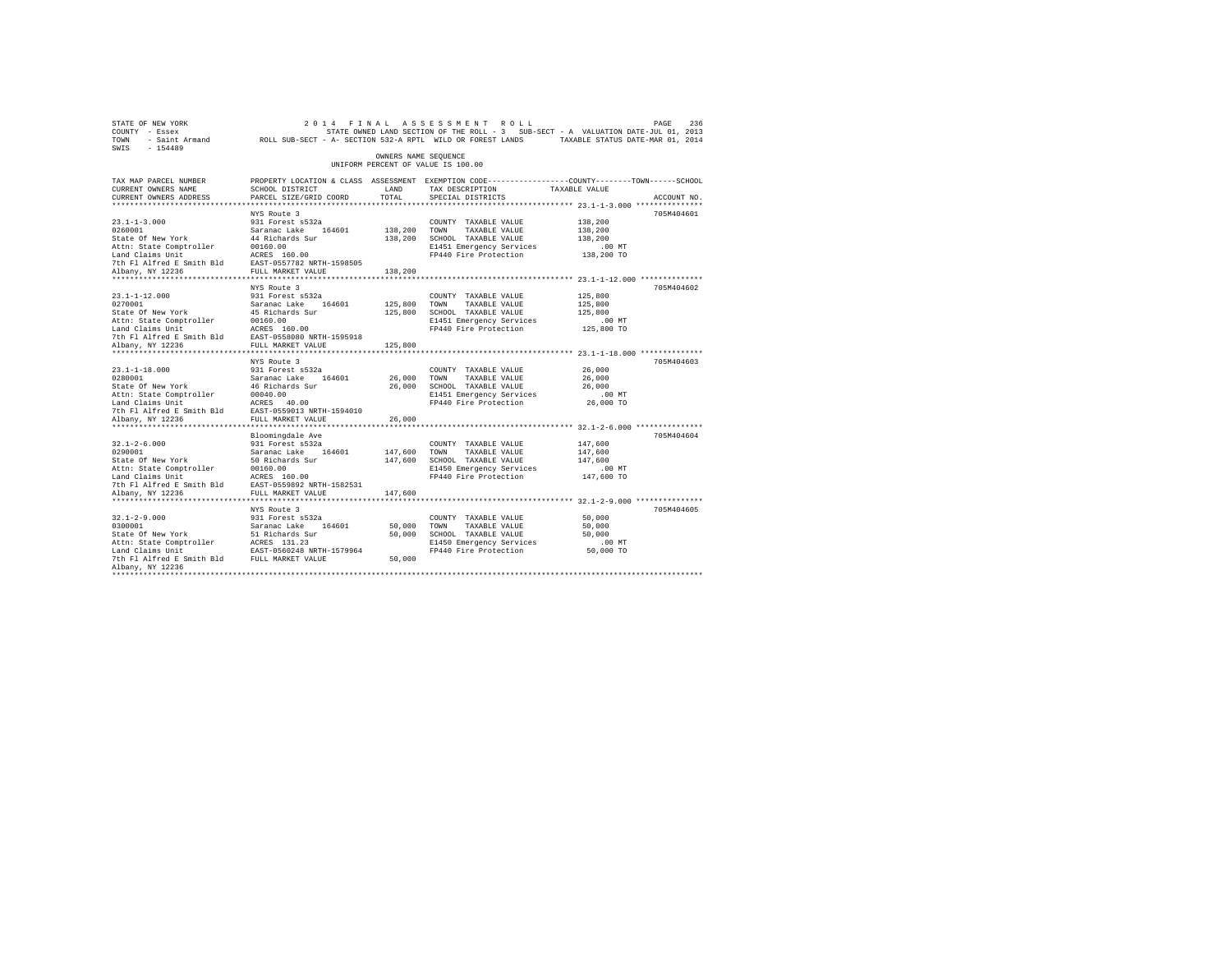| STATE OF NEW YORK<br>COUNTY - Essex<br>TOWN - Saint Armand ROLL SUB-SECT - A- SECTION 532-A RPTL WILD OR FOREST LANDS TAXABLE STATUS DATE-MAR 01, 2014<br>SWIS - 154489                      |                                                                                                                                 |                         | 2014 FINAL ASSESSMENT ROLL<br>STATE OWNED LAND SECTION OF THE ROLL - 3 SUB-SECT - A VALUATION DATE-JUL 01, 2013                                        |                                                         | 236<br>PAGE |
|----------------------------------------------------------------------------------------------------------------------------------------------------------------------------------------------|---------------------------------------------------------------------------------------------------------------------------------|-------------------------|--------------------------------------------------------------------------------------------------------------------------------------------------------|---------------------------------------------------------|-------------|
|                                                                                                                                                                                              |                                                                                                                                 | OWNERS NAME SEQUENCE    | UNIFORM PERCENT OF VALUE IS 100.00                                                                                                                     |                                                         |             |
| TAX MAP PARCEL NUMBER<br>CURRENT OWNERS NAME<br>CURRENT OWNERS ADDRESS                                                                                                                       | SCHOOL DISTRICT<br>PARCEL SIZE/GRID COORD                                                                                       | LAND<br>TOTAL           | PROPERTY LOCATION & CLASS ASSESSMENT EXEMPTION CODE----------------COUNTY-------TOWN------SCHOOL<br>TAX DESCRIPTION TAXABLE VALUE<br>SPECIAL DISTRICTS |                                                         | ACCOUNT NO. |
|                                                                                                                                                                                              |                                                                                                                                 |                         |                                                                                                                                                        |                                                         |             |
| $23.1 - 1 - 3.000$<br>0260001<br>State Of New York<br>Attn: State Comptroller                                                                                                                | NYS Route 3<br>931 Forest s532a<br>Saranac Lake 164601<br>44 Richards Sur<br>00160.00                                           | 138,200 TOWN            | COUNTY TAXABLE VALUE<br>TAXABLE VALUE<br>138,200 SCHOOL TAXABLE VALUE<br>E1451 Emergency Services<br>FP440 Fire Protection                             | 138,200<br>138,200<br>138,200<br>$.00$ MT<br>138,200 TO | 705M404601  |
|                                                                                                                                                                                              |                                                                                                                                 | 138,200                 |                                                                                                                                                        |                                                         |             |
| $23.1 - 1 - 12.000$<br>0270001 Saranac Lake 164601<br>State Of New York 45 Richards Sur<br>Attn: State Comptroller                                                                           | NYS Route 3<br>931 Forest s532a<br>00160.00                                                                                     | 125,800 TOWN            | COUNTY TAXABLE VALUE<br>TAXABLE VALUE<br>125,800 SCHOOL TAXABLE VALUE<br>E1451 Emergency Services<br>FP440 Fire Protection 125,800 TO                  | 125,800<br>125,800<br>125,800<br>$.00$ MT               | 705M404602  |
|                                                                                                                                                                                              |                                                                                                                                 |                         |                                                                                                                                                        |                                                         |             |
| Albany, NY 12236<br>$23.1 - 1 - 18.000$<br>0280001<br>State Of New York<br>Attn: State Comptroller<br>Land Claims Unit<br>7th Fl Alfred E Smith Bld EAST-0559013 NRTH-1594010                | FULL MARKET VALUE<br>NYS Route 3<br>931 Forest s532a<br>Saranac Lake 164601<br>46 Richards Sur<br>00040.00<br>ACRES 40.00       | 125,800<br>26,000 TOWN  | COUNTY TAXABLE VALUE<br>TAXABLE VALUE<br>26,000 SCHOOL TAXABLE VALUE<br>E1451 Emergency Services<br>FP440 Fire Protection                              | 26,000<br>26,000<br>26,000<br>$.00$ MT<br>26,000 TO     | 705M404603  |
| Albany, NY 12236                                                                                                                                                                             | FULL MARKET VALUE                                                                                                               | 26,000                  |                                                                                                                                                        |                                                         |             |
| $32.1 - 2 - 6.000$<br>32.1-2-0.000<br>0290001<br>State Of New York<br>Attn: State Comptroller<br>Land Claims Unit<br>7th F1 Alfred E Smith Bld EAST-0559892 NRTH-1582531<br>Albany, NY 12236 | Bloomingdale Ave<br>931 Forest s532a<br>Saranac Lake 164601<br>50 Richards Sur<br>00160.00<br>ACRES 160.00<br>FULL MARKET VALUE | 147,600 TOWN<br>147,600 | COUNTY TAXABLE VALUE<br>TAXABLE VALUE<br>147,600 SCHOOL TAXABLE VALUE<br>E1450 Emergency Services<br>FP440 Fire Protection                             | 147,600<br>147,600<br>147,600<br>$.00$ MT<br>147,600 TO | 705M404604  |
|                                                                                                                                                                                              |                                                                                                                                 |                         |                                                                                                                                                        |                                                         |             |
| $32.1 - 2 - 9.000$<br>32.1-2-9.000<br>0300001<br>State Of New York<br>Albany, NY 12236                                                                                                       | NYS Route 3<br>931 Forest s532a<br>Saranac Lake 164601<br>51 Richards Sur                                                       | 50,000 TOWN<br>50,000   | COUNTY TAXABLE VALUE<br>TAXABLE VALUE<br>50,000 SCHOOL TAXABLE VALUE<br>E1450 Emergency Services 60 00 MT<br>FP440 Fire Protection 50,000 TO           | 50,000<br>50,000<br>50,000                              | 705M404605  |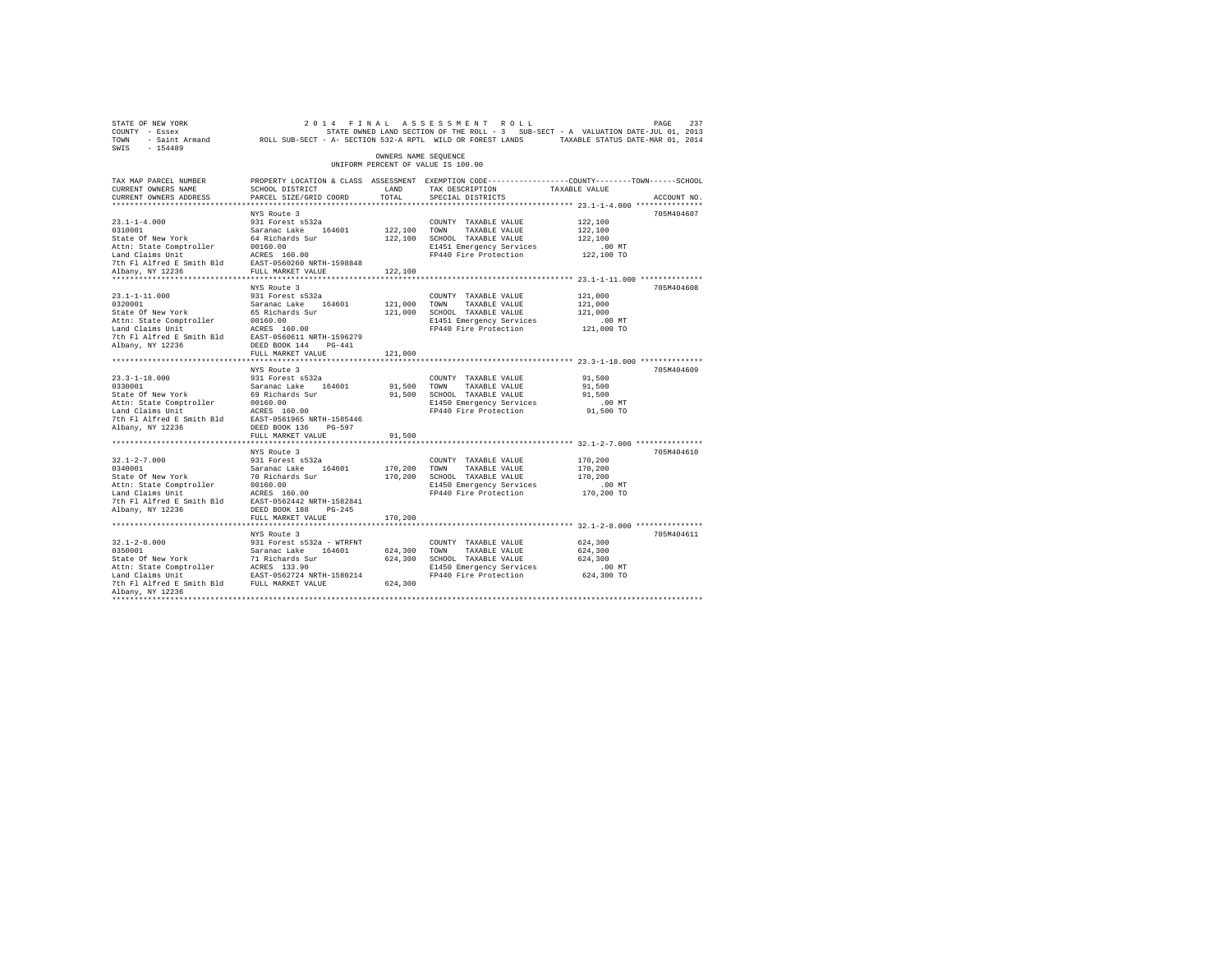| SWIS - 154489                                                                                                                                                                                                                  |                                           | OWNERS NAME SEQUENCE |                                                   | 71 (1997) PAGE 237 (1998) 2014 FINAL ASSESSMENT ROLL PAGE 237<br>2017 - Essex Fourty - Sante Of State Source The Soll - 3 SUB-SECT - A VALUATION DATE-JUL 01, 2013<br>2018 - TOWN - Saint Armand ROLL SUB-SECT - A-SECTION 532-A RPT |
|--------------------------------------------------------------------------------------------------------------------------------------------------------------------------------------------------------------------------------|-------------------------------------------|----------------------|---------------------------------------------------|--------------------------------------------------------------------------------------------------------------------------------------------------------------------------------------------------------------------------------------|
|                                                                                                                                                                                                                                |                                           |                      | UNIFORM PERCENT OF VALUE IS 100.00                |                                                                                                                                                                                                                                      |
| TAX MAP PARCEL NUMBER                                                                                                                                                                                                          |                                           |                      |                                                   | PROPERTY LOCATION & CLASS ASSESSMENT EXEMPTION CODE----------------COUNTY-------TOWN------SCHOOL                                                                                                                                     |
| CURRENT OWNERS NAME                                                                                                                                                                                                            | SCHOOL DISTRICT LAND                      | TOTAL                | TAX DESCRIPTION                                   | TAXABLE VALUE                                                                                                                                                                                                                        |
| CURRENT OWNERS ADDRESS                                                                                                                                                                                                         | PARCEL SIZE/GRID COORD                    |                      | SPECIAL DISTRICTS                                 | ACCOUNT NO.                                                                                                                                                                                                                          |
|                                                                                                                                                                                                                                | NYS Route 3                               |                      |                                                   | 705M404607                                                                                                                                                                                                                           |
|                                                                                                                                                                                                                                |                                           |                      | COUNTY TAXABLE VALUE                              | 122,100                                                                                                                                                                                                                              |
|                                                                                                                                                                                                                                |                                           | 122,100 TOWN         | TAXABLE VALUE                                     | 122,100                                                                                                                                                                                                                              |
|                                                                                                                                                                                                                                |                                           |                      | 122,100 SCHOOL TAXABLE VALUE                      | 122,100                                                                                                                                                                                                                              |
|                                                                                                                                                                                                                                |                                           |                      | E1451 Emergency Services                          | $.00$ MT                                                                                                                                                                                                                             |
|                                                                                                                                                                                                                                |                                           |                      | FP440 Fire Protection                             | 122,100 TO                                                                                                                                                                                                                           |
|                                                                                                                                                                                                                                |                                           |                      |                                                   |                                                                                                                                                                                                                                      |
|                                                                                                                                                                                                                                |                                           | 122,100              |                                                   |                                                                                                                                                                                                                                      |
|                                                                                                                                                                                                                                |                                           |                      |                                                   |                                                                                                                                                                                                                                      |
|                                                                                                                                                                                                                                | NYS Route 3                               |                      |                                                   | 705M404608                                                                                                                                                                                                                           |
|                                                                                                                                                                                                                                | 931 Forest s532a                          |                      | COUNTY TAXABLE VALUE                              | 121,000                                                                                                                                                                                                                              |
| 23.1-1-11.000<br>0320001<br>State Of New York                                                                                                                                                                                  | Saranac Lake 164601<br>65 Richards Sur    | 121,000 TOWN         | TAXABLE VALUE                                     | 121,000                                                                                                                                                                                                                              |
|                                                                                                                                                                                                                                |                                           |                      | 121,000 SCHOOL TAXABLE VALUE                      | 121,000<br>$.00$ MT                                                                                                                                                                                                                  |
|                                                                                                                                                                                                                                |                                           |                      | E1451 Emergency Services<br>FP440 Fire Protection | 121,000 TO                                                                                                                                                                                                                           |
| Nature of the Total Competence of the Captus Captus Captus Captus Captus Captus Captus Captus Captus Captus Captus Captus Captus Captus Captus Captus Captus Captus Captus Captus Captus Captus Captus Captus Captus Captus Ca |                                           |                      |                                                   |                                                                                                                                                                                                                                      |
|                                                                                                                                                                                                                                |                                           |                      |                                                   |                                                                                                                                                                                                                                      |
|                                                                                                                                                                                                                                | FULL MARKET VALUE                         | 121,000              |                                                   |                                                                                                                                                                                                                                      |
|                                                                                                                                                                                                                                |                                           |                      |                                                   |                                                                                                                                                                                                                                      |
|                                                                                                                                                                                                                                | NYS Route 3                               |                      |                                                   | 705M404609                                                                                                                                                                                                                           |
|                                                                                                                                                                                                                                |                                           |                      | COUNTY TAXABLE VALUE                              | 91,500                                                                                                                                                                                                                               |
|                                                                                                                                                                                                                                |                                           | 91,500 TOWN          | TAXABLE VALUE                                     | 91,500                                                                                                                                                                                                                               |
|                                                                                                                                                                                                                                |                                           |                      | 91,500 SCHOOL TAXABLE VALUE                       | 91,500                                                                                                                                                                                                                               |
|                                                                                                                                                                                                                                |                                           |                      | E1450 Emergency Services                          | $.00$ MT                                                                                                                                                                                                                             |
|                                                                                                                                                                                                                                |                                           |                      | FP440 Fire Protection                             | 91,500 TO                                                                                                                                                                                                                            |
|                                                                                                                                                                                                                                |                                           |                      |                                                   |                                                                                                                                                                                                                                      |
| Albany, NY 12236                                                                                                                                                                                                               | DEED BOOK 136 PG-597<br>FULL MARKET VALUE |                      |                                                   |                                                                                                                                                                                                                                      |
|                                                                                                                                                                                                                                |                                           | 91,500               |                                                   |                                                                                                                                                                                                                                      |
|                                                                                                                                                                                                                                | NYS Route 3                               |                      |                                                   | 705M404610                                                                                                                                                                                                                           |
|                                                                                                                                                                                                                                |                                           |                      |                                                   | 170,200                                                                                                                                                                                                                              |
|                                                                                                                                                                                                                                |                                           |                      |                                                   | 170,200                                                                                                                                                                                                                              |
|                                                                                                                                                                                                                                |                                           |                      |                                                   | 170,200                                                                                                                                                                                                                              |
|                                                                                                                                                                                                                                |                                           |                      |                                                   | $.00$ MT                                                                                                                                                                                                                             |
|                                                                                                                                                                                                                                |                                           |                      |                                                   | 170,200 TO                                                                                                                                                                                                                           |
|                                                                                                                                                                                                                                |                                           |                      |                                                   |                                                                                                                                                                                                                                      |
|                                                                                                                                                                                                                                |                                           |                      |                                                   |                                                                                                                                                                                                                                      |
|                                                                                                                                                                                                                                |                                           |                      |                                                   |                                                                                                                                                                                                                                      |
|                                                                                                                                                                                                                                |                                           |                      |                                                   |                                                                                                                                                                                                                                      |
|                                                                                                                                                                                                                                | NYS Route 3                               |                      |                                                   | 705M404611                                                                                                                                                                                                                           |
|                                                                                                                                                                                                                                |                                           |                      |                                                   | 624,300                                                                                                                                                                                                                              |
|                                                                                                                                                                                                                                |                                           |                      |                                                   | 624,300                                                                                                                                                                                                                              |
|                                                                                                                                                                                                                                |                                           |                      |                                                   | 624,300                                                                                                                                                                                                                              |
|                                                                                                                                                                                                                                |                                           |                      |                                                   | 00 MT.<br>624,300 TO                                                                                                                                                                                                                 |
|                                                                                                                                                                                                                                |                                           |                      |                                                   |                                                                                                                                                                                                                                      |
| Albany, NY 12236                                                                                                                                                                                                               |                                           |                      |                                                   |                                                                                                                                                                                                                                      |
| ************                                                                                                                                                                                                                   |                                           |                      |                                                   |                                                                                                                                                                                                                                      |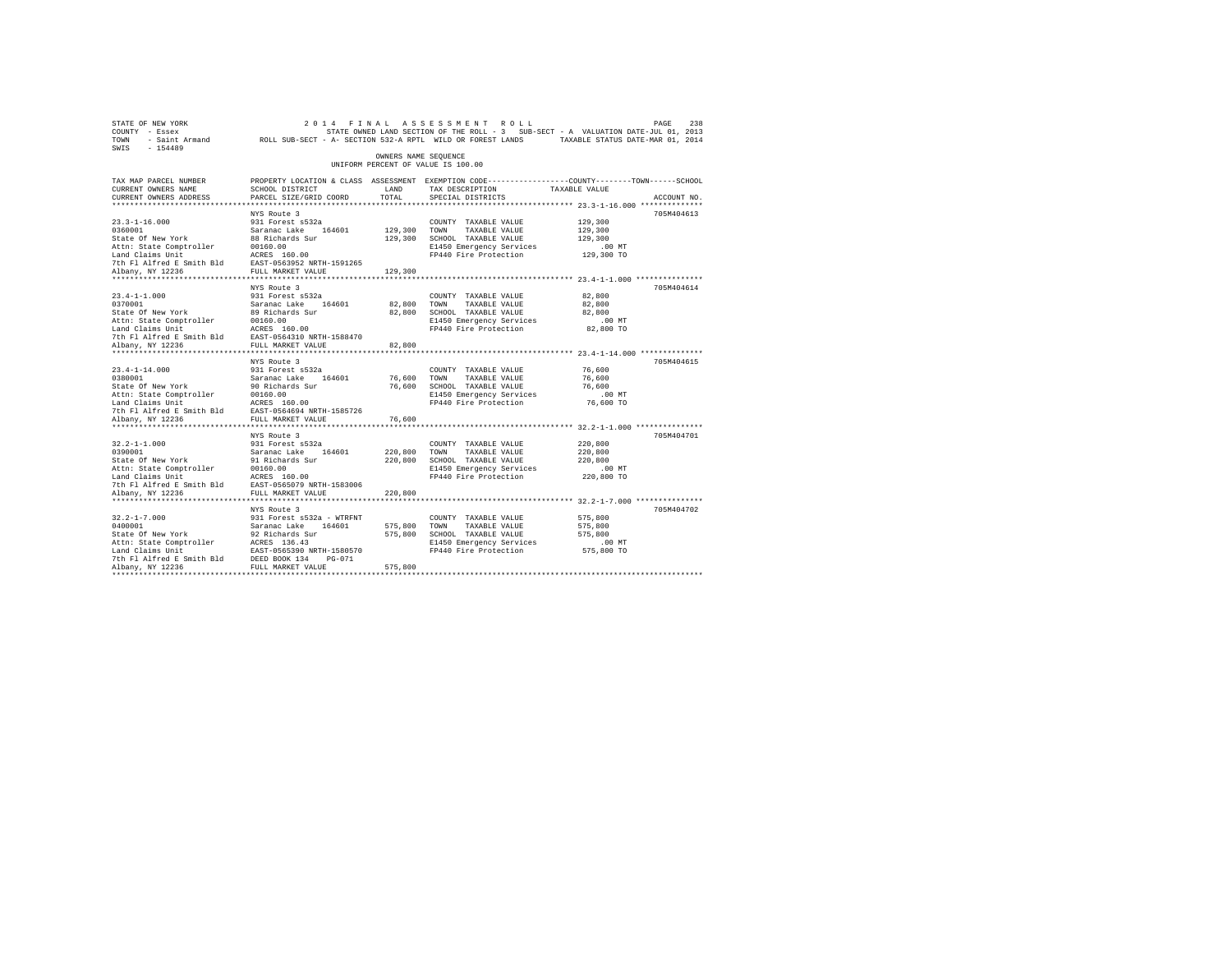| SWIS - 154489                                                                                                                                                                                                                                                                                                                                                                                           |                                                                                                                                              |                         |                                                                                                                                                                   |                                                     |             |
|---------------------------------------------------------------------------------------------------------------------------------------------------------------------------------------------------------------------------------------------------------------------------------------------------------------------------------------------------------------------------------------------------------|----------------------------------------------------------------------------------------------------------------------------------------------|-------------------------|-------------------------------------------------------------------------------------------------------------------------------------------------------------------|-----------------------------------------------------|-------------|
|                                                                                                                                                                                                                                                                                                                                                                                                         |                                                                                                                                              | OWNERS NAME SEQUENCE    | UNIFORM PERCENT OF VALUE IS 100.00                                                                                                                                |                                                     |             |
| TAX MAP PARCEL NUMBER<br>CURRENT OWNERS NAME<br>CURRENT OWNERS ADDRESS                                                                                                                                                                                                                                                                                                                                  | PROPERTY LOCATION & CLASS ASSESSMENT EXEMPTION CODE----------------COUNTY-------TOWN-----SCHOOL<br>SCHOOL DISTRICT<br>PARCEL SIZE/GRID COORD | LAND<br>TOTAL           | TAX DESCRIPTION TAXABLE VALUE<br>SPECIAL DISTRICTS                                                                                                                |                                                     | ACCOUNT NO. |
|                                                                                                                                                                                                                                                                                                                                                                                                         |                                                                                                                                              |                         |                                                                                                                                                                   |                                                     |             |
| $23.3 - 1 - 16.000$<br>2019-12:00<br>2010001<br>2010001<br>2010001 - Saranac Lake 164601<br>2016001 - Saranac Lake 164601<br>2016.00<br>2016.00<br>2016.00<br>2016.00<br>2016.00<br>2016.00<br>2016.00<br>2016.00<br>2016.00<br>2016.00<br>2016.00<br>2016.00<br>2016.00<br>2020192087<br>2                                                                                                             | NYS Route 3<br>931 Forest s532a                                                                                                              | 129,300 TOWN            | COUNTY TAXABLE VALUE<br>TAXABLE VALUE<br>129,300 SCHOOL TAXABLE VALUE<br>E1450 Emergency Services<br>FP440 Fire Protection 129,300 TO                             | 129,300<br>129,300<br>129,300<br>$.00$ MT           | 705M404613  |
|                                                                                                                                                                                                                                                                                                                                                                                                         |                                                                                                                                              | 129,300                 |                                                                                                                                                                   |                                                     |             |
| $23.4 - 1 - 1.000$<br>$\begin{tabular}{lllllllllll} \textbf{23.4--1-1.000} & \textbf{9.51}\ & \textbf{9.75--} & \textbf{9.95--} & \textbf{9.95--} \\ \textbf{3.74--1-1.000} & \textbf{5.83}\ & \textbf{5.83}\ & \textbf{5.83}\ & \textbf{6.83}\ & \textbf{6.83}\ & \textbf{6.83}\ & \textbf{6.83}\ & \textbf{6.83}\ & \textbf{6.83}\ & \textbf{6.83}\ & \textbf{6.83}\ & \textbf{6.83}\ & \textbf{6.83$ | NYS Route 3<br>931 Forest s532a                                                                                                              | 82,800 TOWN             | COUNTY TAXABLE VALUE<br>TAXABLE VALUE<br>82,800 SCHOOL TAXABLE VALUE<br>E1450 Emergency Services<br>FP440 Fire Protection 82,800 TO                               | 82,800<br>82,800<br>82,800<br>$.00$ MT              | 705M404614  |
|                                                                                                                                                                                                                                                                                                                                                                                                         |                                                                                                                                              | 82,800                  |                                                                                                                                                                   |                                                     |             |
| $23.4 - 1 - 14.000$<br>2012<br>2020001 - 2020001 - 202001 - 202001 - 202001<br>202001 - 2020021 - 202001 - 202001<br>20201 - 202001 - 202001 - 202001<br>202001 - 202001 - 202001 - 202001 - 20201<br>20201 - 20201 - 20201 - 20201 - 20201<br>20201 - 20201 - 20                                                                                                                                       | NYS Route 3<br>931 Forest s532a                                                                                                              |                         | COUNTY TAXABLE VALUE<br>76,600 TOWN TAXABLE VALUE<br>76,600 SCHOOL TAXABLE VALUE<br>E1450 Emergency Services<br>E1450 Emergency Services<br>FP440 Fire Protection | 76,600<br>76,600<br>76,600<br>$.00$ MT<br>76,600 TO | 705M404615  |
| Albany, NY 12236                                                                                                                                                                                                                                                                                                                                                                                        | FULL MARKET VALUE                                                                                                                            | 76,600                  |                                                                                                                                                                   |                                                     |             |
| $32.2 - 1 - 1.000$<br>32.2-1-1.000<br>0390001<br>State Of New York<br>Albany, NY 12236                                                                                                                                                                                                                                                                                                                  | NYS Route 3<br>931 Forest s532a<br>Saranac Lake 164601<br>91 Richards Sur<br>FULL MARKET VALUE                                               | 220.800 TOWN<br>220,800 | COUNTY TAXABLE VALUE<br>220,800 TOWN TAXABLE VALUE<br>220,800 SCHOOL TAXABLE VALUE<br>E1450 Emergency Services<br>FP440 Fire Protection 220,800 TO                | 220,800<br>220,800<br>220,800<br>$.00$ MT           | 705M404701  |
|                                                                                                                                                                                                                                                                                                                                                                                                         |                                                                                                                                              |                         |                                                                                                                                                                   |                                                     |             |
| $32.2 - 1 - 7.000$<br>32.2-1-7.000<br>0400001<br>State Of New York<br>Attn: State Comptroller<br>Land Claims Unit<br>Land Claims Unit<br>The Flalfred E Smith Bld<br>2006 134 DES PULL MARKET VALUE<br>2006 2006 FULL MARKET VALUE<br>2006 2007<br>2008 2010 PULL MARKET VALUE                                                                                                                          | NYS Route 3<br>931 Forest s532a - WTRFNT<br>Saranac Lake 164601<br>92 Richards Sur                                                           | 575,800 TOWN<br>575,800 | COUNTY TAXABLE VALUE<br>TAXABLE VALUE<br>575,800 SCHOOL TAXABLE VALUE<br>E1450 Emergency Services<br>FP440 Fire Protection 575,800 TO                             | 575,800<br>575,800<br>575,800<br>$.00$ MT           | 705M404702  |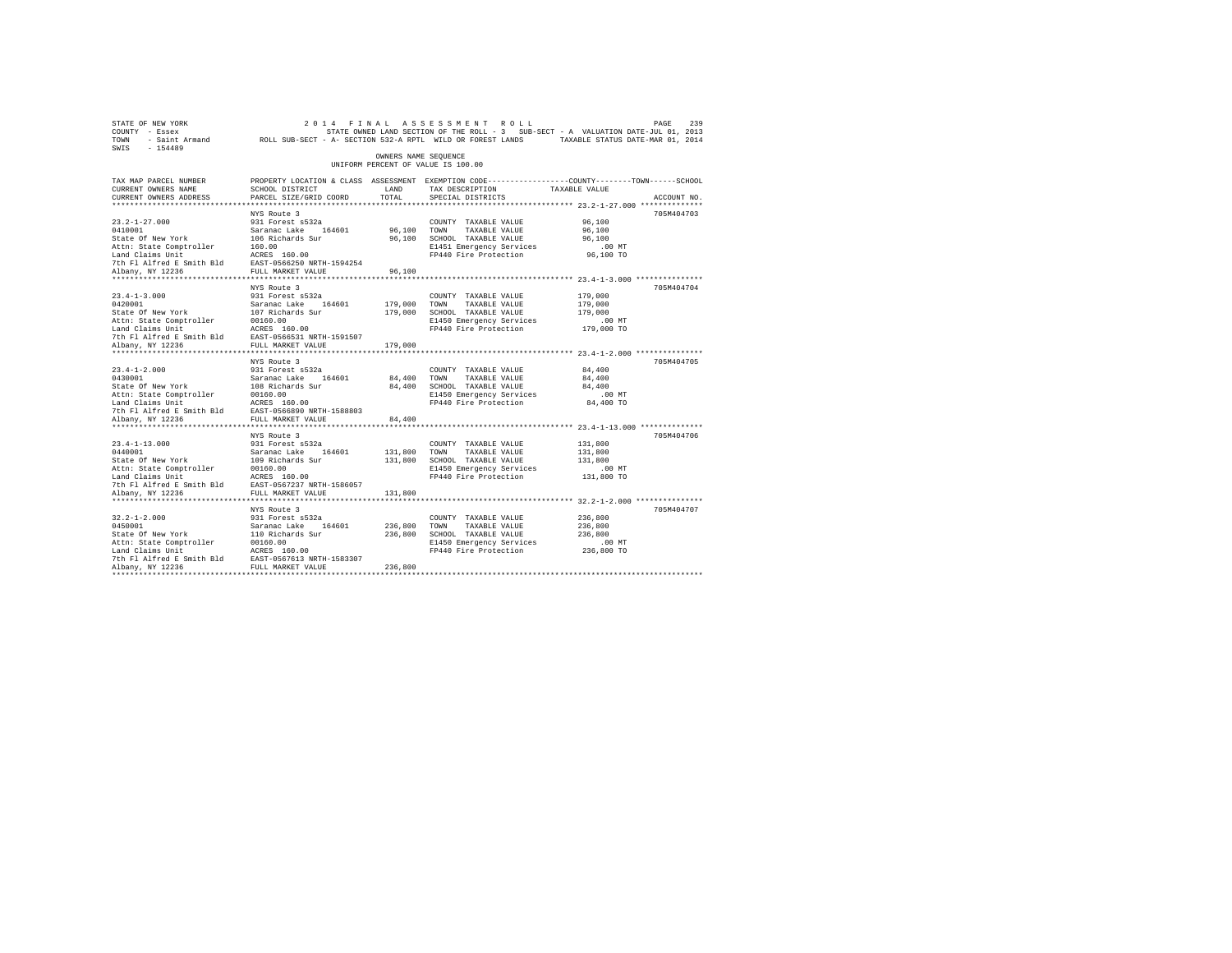| STATE OF NEW YORK<br>COUNTY - Essex<br>TOWN - Saint Armand ROLL SUB-SECT - A- SECTION 532-A RPTL WILD OR FOREST LANDS TAXABLE STATUS DATE-MAR 01, 2014<br>SWIS - 154489                                                                                                                      |                                                                                                 |                         | 2014 FINAL ASSESSMENT ROLL<br>STATE OWNED LAND SECTION OF THE ROLL - 3 SUB-SECT - A VALUATION DATE-JUL 01, 2013                          |                                                   | 239<br>PAGE |
|----------------------------------------------------------------------------------------------------------------------------------------------------------------------------------------------------------------------------------------------------------------------------------------------|-------------------------------------------------------------------------------------------------|-------------------------|------------------------------------------------------------------------------------------------------------------------------------------|---------------------------------------------------|-------------|
|                                                                                                                                                                                                                                                                                              |                                                                                                 | OWNERS NAME SEQUENCE    | UNIFORM PERCENT OF VALUE IS 100.00                                                                                                       |                                                   |             |
| TAX MAP PARCEL NUMBER<br>CURRENT OWNERS NAME<br>CURRENT OWNERS ADDRESS                                                                                                                                                                                                                       | SCHOOL DISTRICT<br>PARCEL SIZE/GRID COORD                                                       | LAND<br>TOTAL           | PROPERTY LOCATION & CLASS ASSESSMENT EXEMPTION CODE----------------COUNTY-------TOWN------SCHOOL<br>TAX DESCRIPTION<br>SPECIAL DISTRICTS | TAXABLE VALUE                                     | ACCOUNT NO. |
|                                                                                                                                                                                                                                                                                              |                                                                                                 |                         |                                                                                                                                          |                                                   |             |
| $23.2 - 1 - 27.000$<br>2012<br>201011 Saranac Lake 164601<br>201011 Saranac Lake 164601<br>2011 Saranac Lake 164601<br>2011: Actris 160.00<br>2011 March 2011 March 160.00<br>2012 March 2012<br>2012 March 2012<br>2012 March 2012<br>2014 March 2012<br>2014 March 2012                    | NYS Route 3<br>931 Forest s532a                                                                 | 96,100 TOWN             | COUNTY TAXABLE VALUE<br>TAXABLE VALUE<br>96,100 SCHOOL TAXABLE VALUE<br>E1451 Emergency Services                                         | 96,100<br>96,100<br>96,100<br>$.00$ MT            | 705M404703  |
|                                                                                                                                                                                                                                                                                              |                                                                                                 | 96,100                  | FP440 Fire Protection 96,100 TO                                                                                                          |                                                   |             |
| $23.4 - 1 - 3.000$<br>23.4-1-3.000<br>20120001<br>Saranac Lake 164601<br>State of New York<br>20120001<br>20160.00<br>20160.00<br>20160.00<br>20160.00<br>2016 2018<br>2017 77 Alpany, NY 12236<br>2018 2021<br>2021 2021<br>20236<br>20221<br>20221<br>20221<br>20221<br>20221<br>20221<br> | NYS Route 3<br>931 Forest s532a                                                                 | 179,000 TOWN            | COUNTY TAXABLE VALUE<br>TAXABLE VALUE<br>179,000 SCHOOL TAXABLE VALUE<br>E1450 Emergency Services<br>FP440 Fire Protection 179,000 TO    | 179,000<br>179,000<br>179,000<br>$.00$ MT         | 705M404704  |
|                                                                                                                                                                                                                                                                                              |                                                                                                 | 179,000                 |                                                                                                                                          |                                                   |             |
| $23.4 - 1 - 2.000$<br>0430001<br>Saranac Lake 164601<br>State of New York 108 Richards Sur<br>Attn: State Comptroller 100160.00<br>Land Claims Unit 11 ACRES 160.00<br>Dan Claims Unit 1588803<br>The Flatfred E Smith Bld RAST-0566890 NRTH-1588803                                         | NYS Route 3<br>931 Forest s532a                                                                 | 84,400 TOWN             | COUNTY TAXABLE VALUE<br>TAXABLE VALUE<br>84,400 SCHOOL TAXABLE VALUE<br>E1450 Emergency Services<br>FP440 Fire Protection                | 84,400<br>84,400<br>84,400<br>.00 MT<br>84,400 TO | 705M404705  |
| Albany, NY 12236                                                                                                                                                                                                                                                                             | FULL MARKET VALUE<br>************************                                                   | 84,400                  |                                                                                                                                          |                                                   |             |
| $23.4 - 1 - 13.000$<br>23.4-1-13.000<br>0440001<br>State Of New York<br>Albany, NY 12236                                                                                                                                                                                                     | NYS Route 3<br>931 Forest s532a<br>Saranac Lake 164601<br>109 Richards Sur<br>FULL MARKET VALUE | 131,800 TOWN<br>131,800 | COUNTY TAXABLE VALUE<br>TAXABLE VALUE<br>131,800 SCHOOL TAXABLE VALUE<br>E1450 Emergency Services<br>FP440 Fire Protection 131,800 TO    | 131,800<br>131,800<br>131,800<br>$.00$ MT         | 705M404706  |
|                                                                                                                                                                                                                                                                                              |                                                                                                 |                         |                                                                                                                                          |                                                   |             |
| $32.2 - 1 - 2.000$<br>Ja.a-1-2.000<br>0450001<br>State Of New York<br>Attn: State Comptroller 00160.00<br>Land Claims Unit ACRES 160.00<br>7th Fl Alfred E Smith Bld EAST-0567613 NRTH-1583307<br>Albany, NY 12236                                                                           | NYS Route 3<br>931 Forest s532a<br>Saranac Lake 164601<br>110 Richards Sur                      | 236,800 TOWN<br>236,800 | COUNTY TAXABLE VALUE<br>TAXABLE VALUE<br>236,800 SCHOOL TAXABLE VALUE<br>E1450 Emergency Services<br>FP440 Fire Protection 236,800 TO    | 236,800<br>236,800<br>236,800<br>$.00$ MT         | 705M404707  |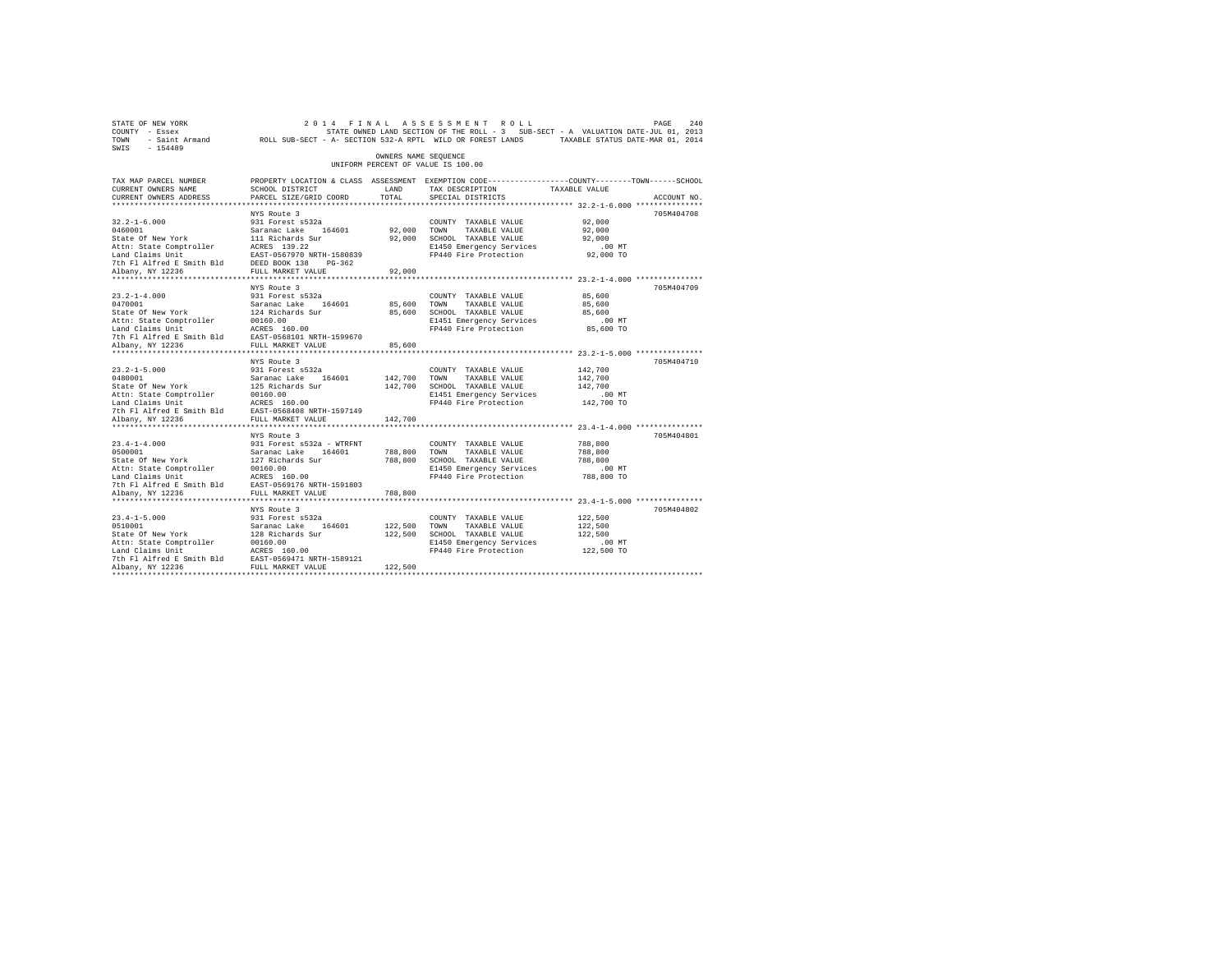| STATE OF NEW YORK<br>COUNTY - Essex<br>TOWN - Saint Armand ROLL SUB-SECT - A- SECTION 532-A RPTL WILD OR FOREST LANDS TAXABLE STATUS DATE-MAR 01, 2014<br>SWIS - 154489                                            |                                                                                                                                              |                         | 2014 FINAL ASSESSMENT ROLL<br>STATE OWNED LAND SECTION OF THE ROLL - 3 SUB-SECT - A VALUATION DATE-JUL 01, 2013                       |                                           | PAGE<br>240 |
|--------------------------------------------------------------------------------------------------------------------------------------------------------------------------------------------------------------------|----------------------------------------------------------------------------------------------------------------------------------------------|-------------------------|---------------------------------------------------------------------------------------------------------------------------------------|-------------------------------------------|-------------|
|                                                                                                                                                                                                                    |                                                                                                                                              | OWNERS NAME SEQUENCE    | UNIFORM PERCENT OF VALUE IS 100.00                                                                                                    |                                           |             |
| TAX MAP PARCEL NUMBER<br>CURRENT OWNERS NAME<br>CURRENT OWNERS ADDRESS                                                                                                                                             | PROPERTY LOCATION & CLASS ASSESSMENT EXEMPTION CODE----------------COUNTY-------TOWN-----SCHOOL<br>SCHOOL DISTRICT<br>PARCEL SIZE/GRID COORD | LAND<br>TOTAL           | TAX DESCRIPTION<br>SPECIAL DISTRICTS                                                                                                  | TAXABLE VALUE                             | ACCOUNT NO. |
|                                                                                                                                                                                                                    |                                                                                                                                              |                         |                                                                                                                                       |                                           |             |
| $32.2 - 1 - 6.000$<br>0460001<br>state Of New York<br>Attn: State Comptroller<br>Land Claims Unit<br>Land Claims Unit<br>7th Fl Alfred E Smith Bld<br>81 Norw NY 12236 FULL MARKET VALUE                           | NYS Route 3<br>931 Forest s532a<br>Saranac Lake 164601<br>111 Richards Sur<br>ACRES 139.22<br>EAST-0567970 NRTH-1580839                      | 92.000 TOWN             | COUNTY TAXABLE VALUE<br>TAXABLE VALUE<br>92,000 SCHOOL TAXABLE VALUE<br>E1450 Emergency Services<br>FP440 Fire Protection 92,000 TO   | 92,000<br>92,000<br>92,000<br>$.00$ MT    | 705M404708  |
|                                                                                                                                                                                                                    |                                                                                                                                              |                         |                                                                                                                                       |                                           |             |
| $23.2 - 1 - 4.000$                                                                                                                                                                                                 | NYS Route 3<br>931 Forest s532a                                                                                                              | 92,000<br>85,600 TOWN   | COUNTY TAXABLE VALUE<br>TAXABLE VALUE<br>85,600 SCHOOL TAXABLE VALUE<br>E1451 Emergency Services<br>FP440 Fire Protection 85,600 TO   | 85,600<br>85,600<br>85,600<br>.00MT       | 705M404709  |
|                                                                                                                                                                                                                    |                                                                                                                                              |                         |                                                                                                                                       |                                           |             |
| $23.2 - 1 - 5.000$                                                                                                                                                                                                 | NYS Route 3<br>931 Forest s532a                                                                                                              | 85,600<br>142,700 TOWN  | COUNTY TAXABLE VALUE<br>TAXABLE VALUE<br>142,700 SCHOOL TAXABLE VALUE<br>E1451 Emergency Services<br>FP440 Fire Protection 142,700 TO | 142,700<br>142,700<br>142,700<br>$.00$ MT | 705M404710  |
| Albany, NY 12236                                                                                                                                                                                                   | FULL MARKET VALUE                                                                                                                            | 142,700                 |                                                                                                                                       |                                           |             |
| $23.4 - 1 - 4.000$<br>0500001<br>State Of New York                                                                                                                                                                 | NYS Route 3<br>931 Forest s532a - WTRFNT<br>Saranac Lake 164601<br>127 Richards Sur                                                          | 788.800 TOWN            | COUNTY TAXABLE VALUE<br>TAXABLE VALUE<br>788,800 SCHOOL TAXABLE VALUE                                                                 | 788,800<br>788,800<br>788,800             | 705M404801  |
| Attn: State Comptroller<br>Land Claims Unit MCRES 160.00<br>7th Fl Alfred E Smith Bld EAST-0569176 NRTH-1591803<br>Albany, NY 12236                                                                                | 00160.00<br>FULL MARKET VALUE                                                                                                                | 788,800                 | E1450 Emergency Services<br>FP440 Fire Protection                                                                                     | $.00$ MT<br>788,800 TO                    |             |
|                                                                                                                                                                                                                    |                                                                                                                                              |                         |                                                                                                                                       |                                           |             |
| $23.4 - 1 - 5.000$<br>23.3-1-3.000<br>0510001<br>State Of New York<br>Attn: State Comptroller 00160.00<br>Land Claims Unit ACRES 160.00<br>7th Fl Alfred E Smith Bld EAST-0569471 NRTH-1589121<br>Albany, NY 12236 | NYS Route 3<br>931 Forest s532a<br>Saranac Lake 164601<br>128 Richards Sur                                                                   | 122.500 TOWN<br>122,500 | COUNTY TAXABLE VALUE<br>TAXABLE VALUE<br>122,500 SCHOOL TAXABLE VALUE<br>E1450 Emergency Services<br>FP440 Fire Protection 122,500 TO | 122,500<br>122,500<br>122,500<br>$.00$ MT | 705M404802  |
|                                                                                                                                                                                                                    |                                                                                                                                              |                         |                                                                                                                                       |                                           |             |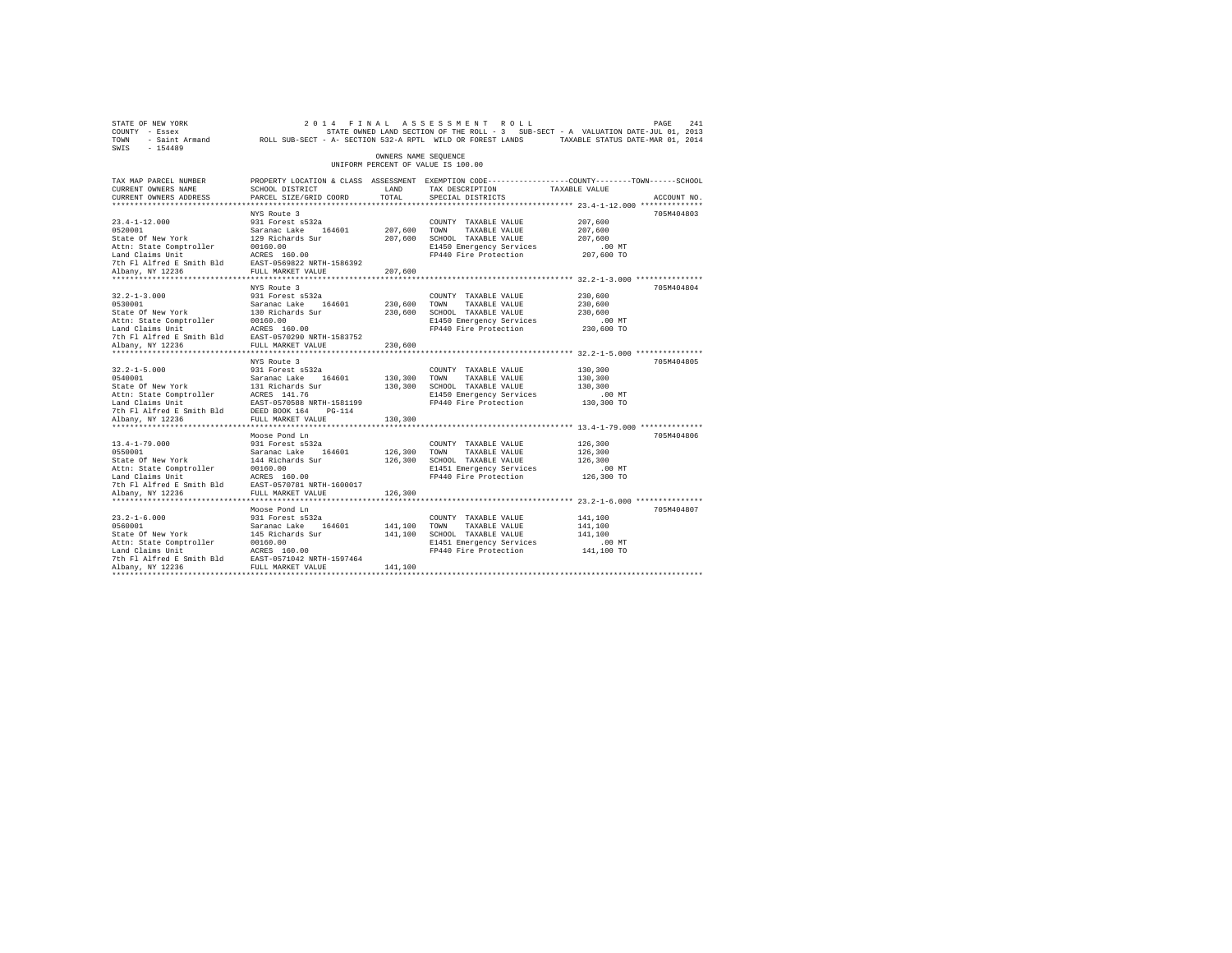| STATE OF NEW YORK<br>COUNTY - Essex<br>TOWN - Saint Armand ROLL SUB-SECT - A- SECTION 532-A RPTL WILD OR FOREST LANDS TAXABLE STATUS DATE-MAR 01, 2014<br>SWIS - 154489                                                                                                             |                                                                                                                                               |                         | 2014 FINAL ASSESSMENT ROLL<br>STATE OWNED LAND SECTION OF THE ROLL - 3 SUB-SECT - A VALUATION DATE-JUL 01, 2013                                                                                             |                                           | 241<br>PAGE |
|-------------------------------------------------------------------------------------------------------------------------------------------------------------------------------------------------------------------------------------------------------------------------------------|-----------------------------------------------------------------------------------------------------------------------------------------------|-------------------------|-------------------------------------------------------------------------------------------------------------------------------------------------------------------------------------------------------------|-------------------------------------------|-------------|
|                                                                                                                                                                                                                                                                                     |                                                                                                                                               | OWNERS NAME SEQUENCE    | UNIFORM PERCENT OF VALUE IS 100.00                                                                                                                                                                          |                                           |             |
| TAX MAP PARCEL NUMBER<br>CURRENT OWNERS NAME<br>CURRENT OWNERS ADDRESS                                                                                                                                                                                                              | PROPERTY LOCATION & CLASS ASSESSMENT EXEMPTION CODE----------------COUNTY-------TOWN------SCHOOL<br>SCHOOL DISTRICT<br>PARCEL SIZE/GRID COORD | LAND<br>TOTAL           | TAX DESCRIPTION<br>SPECIAL DISTRICTS                                                                                                                                                                        | TAXABLE VALUE                             | ACCOUNT NO. |
|                                                                                                                                                                                                                                                                                     |                                                                                                                                               |                         |                                                                                                                                                                                                             |                                           |             |
| $23.4 - 1 - 12.000$<br>1921 - 1920<br>1920<br>1920<br>State of New York Saranac Lake 164601<br>State of New York 1929<br>1920<br>2016 - 1 Alfred & Smith Bld<br>1920<br>1920<br>1 Alfred & Smith Bld<br>1920<br>1 Alfred & Smith Bld<br>1920<br>1 Alfred & Smith Bld<br>1920<br>1 T | NYS Route 3<br>931 Forest s532a                                                                                                               | 207.600 TOWN            | COUNTY TAXABLE VALUE<br>TAXABLE VALUE<br>207,600 SCHOOL TAXABLE VALUE<br>E1450 Emergency Services<br>FP440 Fire Protection 207,600 TO                                                                       | 207,600<br>207,600<br>207,600<br>$.00$ MT | 705M404803  |
|                                                                                                                                                                                                                                                                                     |                                                                                                                                               | 207,600                 |                                                                                                                                                                                                             |                                           |             |
| $32.2 - 1 - 3.000$<br>0530001 Saranac Lake 164601<br>State of New York 130 Richards Sur<br>Attn: State Comptroller 200160.00<br>Land Claims Unit 2CRES 160.00<br>Land Claims United Es Smith Bld EAST-0570290 NRTH-1583752<br>7th Fl Alfred Es Smith Bld EAST-05702                 | NYS Route 3<br>931 Forest s532a                                                                                                               | 230,600 TOWN            | COUNTY TAXABLE VALUE<br>TAXABLE VALUE<br>230,600 SCHOOL TAXABLE VALUE<br>E1450 Emergency Services<br>FP440 Fire Protection 230,600 TO                                                                       | 230,600<br>230,600<br>230,600<br>$.00$ MT | 705M404804  |
|                                                                                                                                                                                                                                                                                     |                                                                                                                                               | 230,600                 |                                                                                                                                                                                                             |                                           |             |
| $32.2 - 1 - 5.000$<br>9540001<br>164601<br>Saranac Lake 164601<br>State of New York<br>1131 Richards 11.76<br>164601<br>16461 Claims Diric 16461-0570588 NRTH-1581199<br>17th Fl Alfred E Smith Bld<br>17th Fl Alfred E Smith Bld<br>18657-0570588 NRTH-114                         | NYS Route 3<br>931 Forest s532a                                                                                                               | 130,300 TOWN            | COUNTY TAXABLE VALUE<br>TAXABLE VALUE<br>130,300 SCHOOL TAXABLE VALUE<br>E1450 Emergency Services<br>FP440 Fire Protection 130,300 TO                                                                       | 130,300<br>130,300<br>130,300<br>$.00$ MT | 705M404805  |
| Albany, NY 12236                                                                                                                                                                                                                                                                    | FULL MARKET VALUE                                                                                                                             | 130,300                 |                                                                                                                                                                                                             |                                           |             |
| $13.4 - 1 - 79.000$<br>0550001<br>State Of New York<br>Attn: State Comptroller<br>Land Claims Unit MCRES 160.00<br>7th Fl Alfred E Smith Bld EAST-0570781 NRTH-1600017<br>Albany, NY 12236                                                                                          | Moose Pond Ln<br>931 Forest s532a<br>Saranac Lake 164601<br>144 Richards Sur<br>00160.00<br>FULL MARKET VALUE                                 | 126,300 TOWN<br>126,300 | ************************************ 13.4-1-79.000 ***************<br>COUNTY TAXABLE VALUE<br>TAXABLE VALUE<br>126,300 SCHOOL TAXABLE VALUE<br>E1451 Emergency Services<br>FP440 Fire Protection 126,300 TO | 126,300<br>126,300<br>126,300<br>$.00$ MT | 705M404806  |
|                                                                                                                                                                                                                                                                                     |                                                                                                                                               |                         |                                                                                                                                                                                                             |                                           |             |
| $23.2 - 1 - 6.000$<br>0560001<br>State Of New York<br>Attn: State Comptroller 00160.00<br>Land Claims Unit ACRES 160.00<br>7th Fl Alfred E Smith Bld EAST-0571042 NRTH-1597464<br>Albany, NY 12236<br>Albany, NY 12236                                                              | Moose Pond Ln<br>931 Forest s532a<br>Saranac Lake 164601<br>145 Richards Sur                                                                  | 141.100 TOWN<br>141,100 | COUNTY TAXABLE VALUE<br>TAXABLE VALUE<br>141,100 SCHOOL TAXABLE VALUE<br>E1451 Emergency Services<br>FP440 Fire Protection 141,100 TO                                                                       | 141,100<br>141,100<br>141,100<br>$.00$ MT | 705M404807  |
|                                                                                                                                                                                                                                                                                     |                                                                                                                                               |                         |                                                                                                                                                                                                             |                                           |             |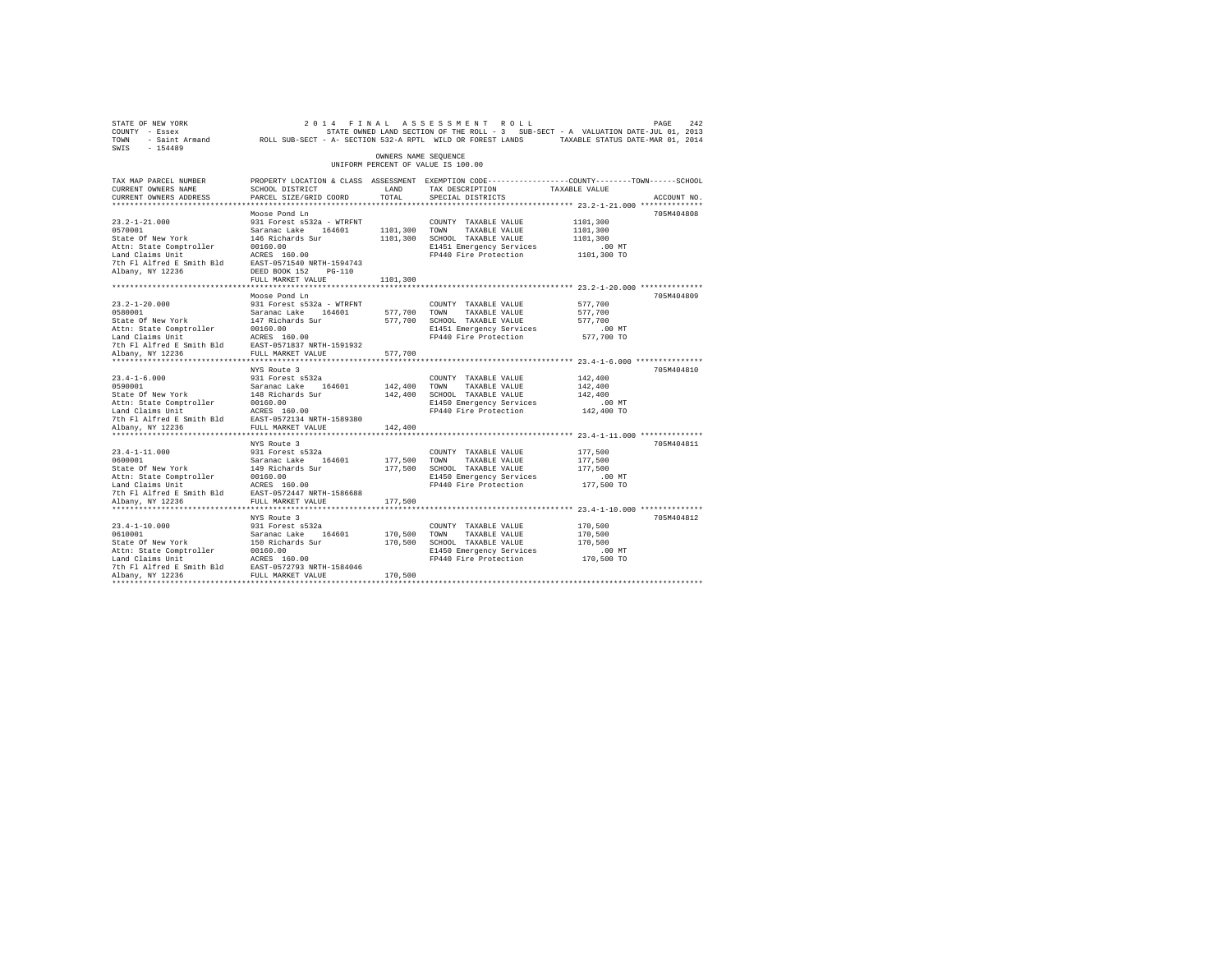| STATE OF NEW YORK<br>COUNTY - Essex<br>TOWN - Saint Armand ROLL SUB-SECT - A- SECTION 532-A RPTL WILD OR FOREST LANDS TAXABLE STATUS DATE-MAR 01, 2014 |                                 |                      | 2014 FINAL ASSESSMENT ROLL<br>STATE OWNED LAND SECTION OF THE ROLL - 3 SUB-SECT - A VALUATION DATE-JUL 01, 2013   |               | PAGE<br>242 |
|--------------------------------------------------------------------------------------------------------------------------------------------------------|---------------------------------|----------------------|-------------------------------------------------------------------------------------------------------------------|---------------|-------------|
| SWIS<br>$-154489$                                                                                                                                      |                                 | OWNERS NAME SEQUENCE |                                                                                                                   |               |             |
|                                                                                                                                                        |                                 |                      | UNIFORM PERCENT OF VALUE IS 100.00                                                                                |               |             |
| TAX MAP PARCEL NUMBER<br>CURRENT OWNERS NAME                                                                                                           | SCHOOL DISTRICT                 | LAND                 | PROPERTY LOCATION & CLASS ASSESSMENT EXEMPTION CODE---------------COUNTY-------TOWN-----SCHOOL<br>TAX DESCRIPTION | TAXABLE VALUE |             |
| CURRENT OWNERS ADDRESS                                                                                                                                 | PARCEL SIZE/GRID COORD TOTAL    |                      | SPECIAL DISTRICTS                                                                                                 |               | ACCOUNT NO. |
|                                                                                                                                                        |                                 |                      |                                                                                                                   |               |             |
|                                                                                                                                                        | Moose Pond Ln                   |                      |                                                                                                                   |               | 705M404808  |
| $23.2 - 1 - 21.000$                                                                                                                                    | 931 Forest s532a - WTRFNT       |                      | COUNTY TAXABLE VALUE                                                                                              | 1101,300      |             |
| 0570001                                                                                                                                                | Saranac Lake 164601             | 1101,300 TOWN        | TAXABLE VALUE                                                                                                     | 1101,300      |             |
| State Of New York                                                                                                                                      | 146 Richards Sur                | 1101,300             | SCHOOL TAXABLE VALUE                                                                                              | 1101,300      |             |
| Attn: State Comptroller                                                                                                                                | 00160.00                        |                      | E1451 Emergency Services                                                                                          | $.00$ MT      |             |
| Land Claims Unit                                                                                                                                       | ACRES 160.00                    |                      | FP440 Fire Protection                                                                                             | 1101,300 TO   |             |
| 7th Fl Alfred E Smith Bld                                                                                                                              | EAST-0571540 NRTH-1594743       |                      |                                                                                                                   |               |             |
| Albany, NY 12236                                                                                                                                       | DEED BOOK 152 PG-110            |                      |                                                                                                                   |               |             |
|                                                                                                                                                        | FULL MARKET VALUE               | 1101,300             |                                                                                                                   |               |             |
|                                                                                                                                                        |                                 |                      |                                                                                                                   |               |             |
|                                                                                                                                                        | Moose Pond Ln                   |                      |                                                                                                                   |               | 705M404809  |
| $23.2 - 1 - 20.000$                                                                                                                                    | 931 Forest s532a - WTRFNT       |                      | COUNTY TAXABLE VALUE                                                                                              | 577,700       |             |
| 0580001                                                                                                                                                | Saranac Lake 164601             | 577,700              | TOWN<br>TAXABLE VALUE                                                                                             | 577,700       |             |
| State Of New York                                                                                                                                      | 147 Richards Sur                | 577,700              | SCHOOL TAXABLE VALUE                                                                                              | 577,700       |             |
| Attn: State Comptroller                                                                                                                                | 00160.00<br>ACRES 160.00        |                      | E1451 Emergency Services                                                                                          | $.00$ MT      |             |
| Land Claims Unit<br>7th Fl Alfred E Smith Bld                                                                                                          | EAST-0571837 NRTH-1591932       |                      | FP440 Fire Protection                                                                                             | 577,700 TO    |             |
| Albany, NY 12236                                                                                                                                       | FULL MARKET VALUE               | 577,700              |                                                                                                                   |               |             |
|                                                                                                                                                        |                                 |                      |                                                                                                                   |               |             |
|                                                                                                                                                        | NYS Route 3                     |                      |                                                                                                                   |               | 705M404810  |
| $23.4 - 1 - 6.000$                                                                                                                                     | 931 Forest s532a                |                      | COUNTY TAXABLE VALUE                                                                                              | 142,400       |             |
| 0590001                                                                                                                                                | Saranac Lake 164601             | 142,400              | TOWN<br>TAXABLE VALUE                                                                                             | 142,400       |             |
| State Of New York                                                                                                                                      | 148 Richards Sur                | 142,400              | SCHOOL TAXABLE VALUE                                                                                              | 142,400       |             |
| Attn: State Comptroller                                                                                                                                | 00160.00                        |                      | E1450 Emergency Services                                                                                          | $.00$ MT      |             |
| Land Claims Unit                                                                                                                                       | ACRES 160.00                    |                      | FP440 Fire Protection                                                                                             | 142,400 TO    |             |
| 7th Fl Alfred E Smith Bld                                                                                                                              | EAST-0572134 NRTH-1589380       |                      |                                                                                                                   |               |             |
| Albany, NY 12236                                                                                                                                       | FULL MARKET VALUE               | 142,400              |                                                                                                                   |               |             |
|                                                                                                                                                        |                                 |                      |                                                                                                                   |               |             |
| $23.4 - 1 - 11.000$                                                                                                                                    | NYS Route 3<br>931 Forest s532a |                      |                                                                                                                   | 177,500       | 705M404811  |
| 0600001                                                                                                                                                | Saranac Lake 164601             | 177,500              | COUNTY TAXABLE VALUE<br>TOWN<br>TAXABLE VALUE                                                                     | 177,500       |             |
| State Of New York                                                                                                                                      | 149 Richards Sur                | 177,500              | SCHOOL TAXABLE VALUE                                                                                              | 177,500       |             |
| Attn: State Comptroller                                                                                                                                | 00160.00                        |                      | E1450 Emergency Services                                                                                          | $.00$ MT      |             |
| Land Claims Unit                                                                                                                                       | ACRES 160.00                    |                      | FP440 Fire Protection                                                                                             | 177,500 TO    |             |
| 7th Fl Alfred E Smith Bld                                                                                                                              | EAST-0572447 NRTH-1586688       |                      |                                                                                                                   |               |             |
| Albany, NY 12236                                                                                                                                       | FULL MARKET VALUE               | 177,500              |                                                                                                                   |               |             |
|                                                                                                                                                        |                                 |                      |                                                                                                                   |               |             |
|                                                                                                                                                        | NYS Route 3                     |                      |                                                                                                                   |               | 705M404812  |
| $23.4 - 1 - 10.000$                                                                                                                                    | 931 Forest s532a                |                      | COUNTY TAXABLE VALUE                                                                                              | 170,500       |             |
| 0610001                                                                                                                                                | Saranac Lake 164601             | 170.500              | TOWN<br>TAXABLE VALUE                                                                                             | 170,500       |             |
| State Of New York                                                                                                                                      | 150 Richards Sur                | 170,500              | SCHOOL TAXABLE VALUE                                                                                              | 170,500       |             |
| Attn: State Comptroller                                                                                                                                | 00160.00                        |                      | E1450 Emergency Services                                                                                          | .00 MT        |             |
| Land Claims Unit                                                                                                                                       | ACRES 160.00                    |                      | FP440 Fire Protection                                                                                             | 170,500 TO    |             |
| 7th Fl Alfred E Smith Bld                                                                                                                              | EAST-0572793 NRTH-1584046       |                      |                                                                                                                   |               |             |
| Albany, NY 12236<br>*************                                                                                                                      | FULL MARKET VALUE               | 170,500              |                                                                                                                   |               |             |
|                                                                                                                                                        |                                 |                      |                                                                                                                   |               |             |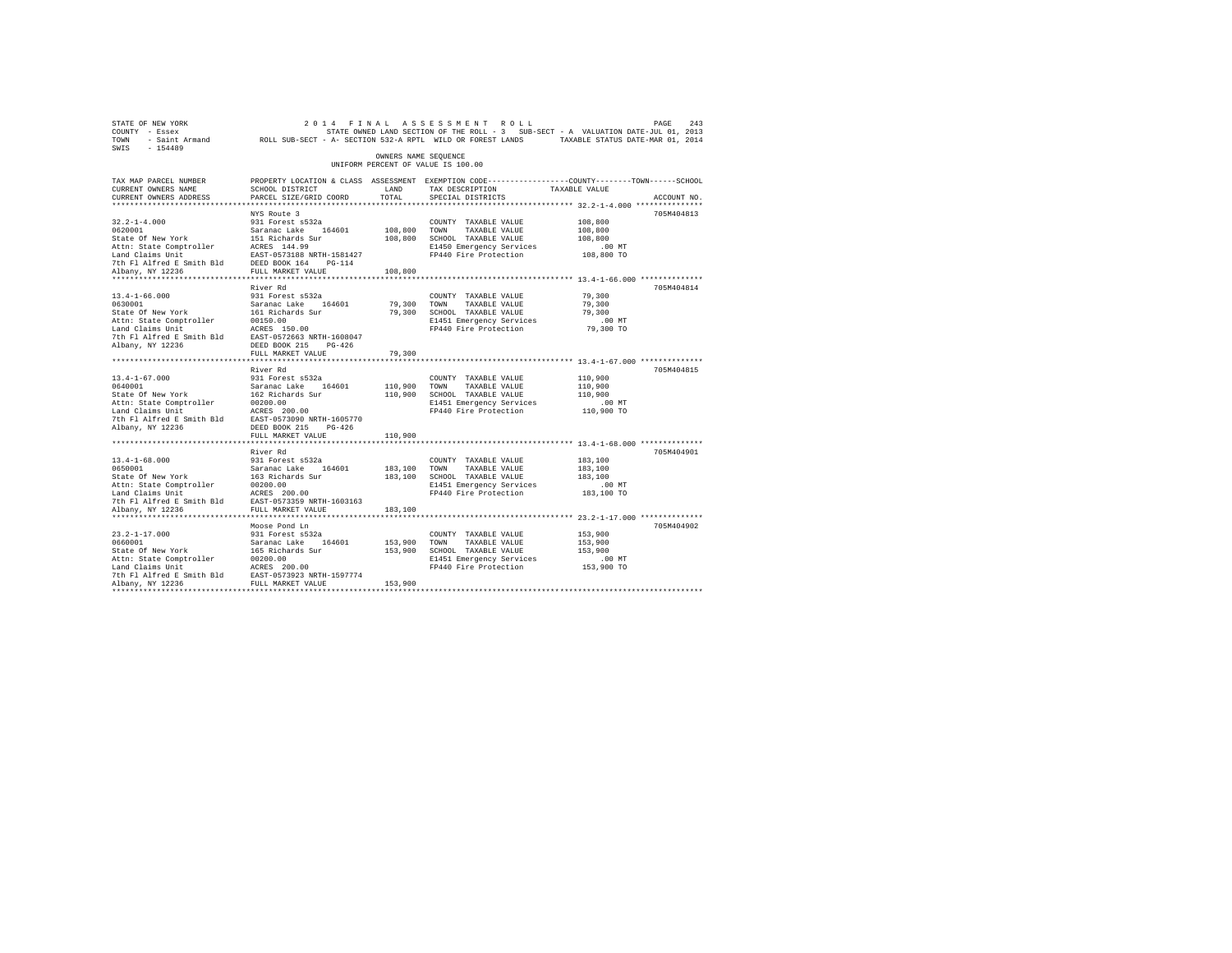| STATE OF NEW YORK<br>COUNTY - Essex<br>TOWN - Saint Armand ROLL SUB-SECT - A- SECTION 532-A RPTL WILD OR FOREST LANDS TAXABLE STATUS DATE-MAR 01, 2014<br>SWIS - 154489                                                                                                |                                                                                                                                                          |                         | 2014 FINAL ASSESSMENT ROLL<br>STATE OWNED LAND SECTION OF THE ROLL - 3 SUB-SECT - A VALUATION DATE-JUL 01, 2013            |                                                         | 243<br>PAGE |
|------------------------------------------------------------------------------------------------------------------------------------------------------------------------------------------------------------------------------------------------------------------------|----------------------------------------------------------------------------------------------------------------------------------------------------------|-------------------------|----------------------------------------------------------------------------------------------------------------------------|---------------------------------------------------------|-------------|
|                                                                                                                                                                                                                                                                        |                                                                                                                                                          | OWNERS NAME SEQUENCE    | UNIFORM PERCENT OF VALUE IS 100.00                                                                                         |                                                         |             |
| TAX MAP PARCEL NUMBER<br>CURRENT OWNERS NAME<br>CURRENT OWNERS ADDRESS                                                                                                                                                                                                 | PROPERTY LOCATION & CLASS ASSESSMENT EXEMPTION CODE----------------COUNTY-------TOWN------SCHOOL<br>SCHOOL DISTRICT<br>PARCEL SIZE/GRID COORD            | LAND<br>TOTAL           | TAX DESCRIPTION<br>SPECIAL DISTRICTS                                                                                       | TAXABLE VALUE                                           | ACCOUNT NO. |
| $32.2 - 1 - 4.000$<br>9620001<br>200011<br>200011 Saranac Lake 164601<br>201011 Saranac Lake 164601<br>201011 Saranac Lake 164601<br>2011: ARES 144.99<br>2011 EAST-0573188 NRTH-1581427<br>7th Fl Alfred E Smith Bld<br>202216 DEED BOX 164 PG-114<br>20236 PULL MARK | NYS Route 3<br>931 Forest s532a                                                                                                                          | 108,800 TOWN            | COUNTY TAXABLE VALUE<br>TAXABLE VALUE<br>108,800 SCHOOL TAXABLE VALUE<br>E1450 Emergency Services<br>FP440 Fire Protection | 108,800<br>108,800<br>108,800<br>$.00$ MT<br>108,800 TO | 705M404813  |
| Albany, NY 12236<br>**********************                                                                                                                                                                                                                             | **********************                                                                                                                                   | 108,800<br>***********  |                                                                                                                            | *************** 13.4-1-66.000 ***************           |             |
| $13.4 - 1 - 66.000$<br>0630001<br>State Of New York<br>Attn: State Comptroller<br>Land Claims Unit<br>7th Fl Alfred E Smith Bld<br>Albany, NY 12236                                                                                                                    | River Rd<br>931 Forest s532a<br>Saranac Lake 164601<br>161 Richards Sur<br>00150.00<br>ACRES 150.00<br>EAST-0572663 NRTH-1608047<br>DEED BOOK 215 PG-426 | 79,300<br>79,300        | COUNTY TAXABLE VALUE<br>TOWN<br>TAXABLE VALUE<br>SCHOOL TAXABLE VALUE<br>E1451 Emergency Services<br>FP440 Fire Protection | 79,300<br>79,300<br>79,300<br>$.00$ MT<br>79,300 TO     | 705M404814  |
|                                                                                                                                                                                                                                                                        | FULL MARKET VALUE                                                                                                                                        | 79,300                  |                                                                                                                            |                                                         |             |
| $13.4 - 1 - 67.000$<br>0640001<br>state Of New York<br>Attn: State Comptroller<br>Land Claims Unit<br>7th Fl Alfred E Smith Bld EAST-0573090 NRTH-1605770<br>Albany, NY 12236                                                                                          | River Rd<br>931 Forest s532a<br>Saranac Lake 164601<br>162 Richards Sur<br>00200.00<br>ACRES 200.00<br>DEED BOOK 215 PG-426                              | 110,900 TOWN            | COUNTY TAXABLE VALUE<br>TAXABLE VALUE<br>110,900 SCHOOL TAXABLE VALUE<br>E1451 Emergency Services<br>FP440 Fire Protection | 110,900<br>110,900<br>110,900<br>$.00$ MT<br>110,900 TO | 705M404815  |
|                                                                                                                                                                                                                                                                        | FULL MARKET VALUE                                                                                                                                        | 110,900                 |                                                                                                                            |                                                         |             |
| $13.4 - 1 - 68.000$<br>0650001<br>State Of New York 163 Richards Sur<br>Attn: State Comptroller 00200.00<br>Land Claims Unit 10020.00<br>Albany, NY 12236                                                                                                              | River Rd<br>931 Forest s532a<br>Saranac Lake 164601<br>FULL MARKET VALUE                                                                                 | 183,100 TOWN<br>183,100 | COUNTY TAXABLE VALUE<br>TAXABLE VALUE<br>183,100 SCHOOL TAXABLE VALUE<br>E1451 Emergency Services<br>FP440 Fire Protection | 183,100<br>183,100<br>183,100<br>$.00$ MT<br>183,100 TO | 705M404901  |
| $23.2 - 1 - 17.000$<br>0660001<br>State Of New York<br>Attn: State Comptroller 00200.00<br>Land Claims Unit 20200.00<br>7th F1 Alfred E Smith Bld EAST-0573923 NRTH-1597774<br>Albany, NY 12236                                                                        | Moose Pond Ln<br>931 Forest s532a<br>Saranac Lake 164601<br>165 Richards Sur<br>FULL MARKET VALUE                                                        | 153,900 TOWN<br>153,900 | COUNTY TAXABLE VALUE<br>TAXABLE VALUE<br>153,900 SCHOOL TAXABLE VALUE<br>E1451 Emergency Services<br>FP440 Fire Protection | 153,900<br>153,900<br>153,900<br>$.00$ MT<br>153,900 TO | 705M404902  |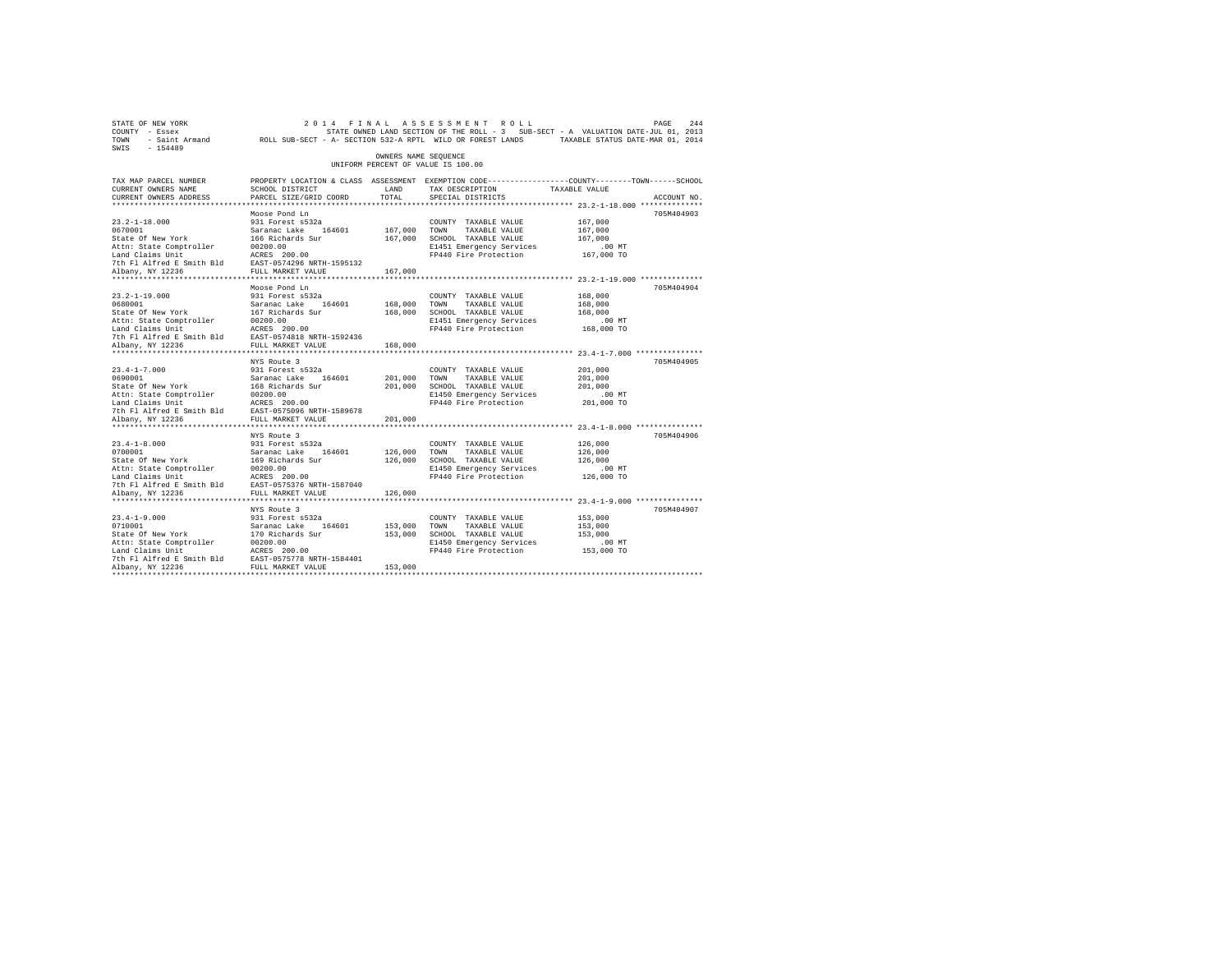| STATE OF NEW YORK<br>COUNTY - Essex<br>TOWN<br>SWIS - 154489                                                                                                                                                                                                                  | - Saint Armand ROLL SUB-SECT - A- SECTION 532-A RPTL WILD OR FOREST LANDS TAXABLE STATUS DATE-MAR 01, 2014                                  |                      | 2014 FINAL ASSESSMENT ROLL<br>STATE OWNED LAND SECTION OF THE ROLL - 3 SUB-SECT - A VALUATION DATE-JUL 01, 2013 |                    | 244<br>PAGE |
|-------------------------------------------------------------------------------------------------------------------------------------------------------------------------------------------------------------------------------------------------------------------------------|---------------------------------------------------------------------------------------------------------------------------------------------|----------------------|-----------------------------------------------------------------------------------------------------------------|--------------------|-------------|
|                                                                                                                                                                                                                                                                               |                                                                                                                                             | OWNERS NAME SEQUENCE | UNIFORM PERCENT OF VALUE IS 100.00                                                                              |                    |             |
| TAX MAP PARCEL NUMBER<br>CURRENT OWNERS NAME<br>CURRENT OWNERS ADDRESS                                                                                                                                                                                                        | PROPERTY LOCATION & CLASS ASSESSMENT EXEMPTION CODE---------------COUNTY-------TOWN-----SCHOOL<br>SCHOOL DISTRICT<br>PARCEL SIZE/GRID COORD | LAND<br>TOTAL        | TAX DESCRIPTION TAXABLE VALUE<br>SPECIAL DISTRICTS                                                              |                    | ACCOUNT NO. |
|                                                                                                                                                                                                                                                                               |                                                                                                                                             |                      |                                                                                                                 |                    |             |
| $23.2 - 1 - 18.000$                                                                                                                                                                                                                                                           | Moose Pond Ln<br>931 Forest s532a                                                                                                           |                      | COUNTY TAXABLE VALUE                                                                                            | 167,000            | 705M404903  |
|                                                                                                                                                                                                                                                                               |                                                                                                                                             | 167,000 TOWN         | TAXABLE VALUE                                                                                                   | 167,000            |             |
|                                                                                                                                                                                                                                                                               |                                                                                                                                             |                      | 167,000 SCHOOL TAXABLE VALUE                                                                                    | 167,000            |             |
|                                                                                                                                                                                                                                                                               |                                                                                                                                             |                      | E1451 Emergency Services                                                                                        | .00 MT             |             |
|                                                                                                                                                                                                                                                                               |                                                                                                                                             |                      | FP440 Fire Protection 167,000 TO                                                                                |                    |             |
|                                                                                                                                                                                                                                                                               |                                                                                                                                             |                      |                                                                                                                 |                    |             |
|                                                                                                                                                                                                                                                                               |                                                                                                                                             | 167,000              |                                                                                                                 |                    |             |
|                                                                                                                                                                                                                                                                               | Moose Pond Ln                                                                                                                               |                      |                                                                                                                 |                    | 705M404904  |
| $23.2 - 1 - 19.000$                                                                                                                                                                                                                                                           | 931 Forest s532a                                                                                                                            |                      | COUNTY TAXABLE VALUE                                                                                            | 168,000            |             |
|                                                                                                                                                                                                                                                                               |                                                                                                                                             | 168,000 TOWN         | TAXABLE VALUE                                                                                                   | 168,000            |             |
|                                                                                                                                                                                                                                                                               |                                                                                                                                             | 168,000              | SCHOOL TAXABLE VALUE                                                                                            | 168,000            |             |
|                                                                                                                                                                                                                                                                               |                                                                                                                                             |                      | E1451 Emergency Services                                                                                        | $.00$ MT           |             |
|                                                                                                                                                                                                                                                                               |                                                                                                                                             |                      | FP440 Fire Protection 168,000 TO                                                                                |                    |             |
|                                                                                                                                                                                                                                                                               |                                                                                                                                             |                      |                                                                                                                 |                    |             |
|                                                                                                                                                                                                                                                                               |                                                                                                                                             | 168,000              |                                                                                                                 |                    |             |
|                                                                                                                                                                                                                                                                               |                                                                                                                                             |                      |                                                                                                                 |                    |             |
| $23.4 - 1 - 7.000$                                                                                                                                                                                                                                                            | NYS Route 3                                                                                                                                 |                      |                                                                                                                 | 201,000            | 705M404905  |
|                                                                                                                                                                                                                                                                               | 931 Forest s532a                                                                                                                            | 201,000              | COUNTY TAXABLE VALUE<br>TOWN<br>TAXABLE VALUE                                                                   | 201,000            |             |
|                                                                                                                                                                                                                                                                               |                                                                                                                                             |                      | 201,000 SCHOOL TAXABLE VALUE                                                                                    | 201,000            |             |
|                                                                                                                                                                                                                                                                               |                                                                                                                                             |                      | E1450 Emergency Services                                                                                        | $.00$ MT           |             |
|                                                                                                                                                                                                                                                                               |                                                                                                                                             |                      | FP440 Fire Protection                                                                                           | 201,000 TO         |             |
|                                                                                                                                                                                                                                                                               |                                                                                                                                             |                      |                                                                                                                 |                    |             |
| Albany, NY 12236                                                                                                                                                                                                                                                              | FULL MARKET VALUE                                                                                                                           | 201,000              |                                                                                                                 |                    |             |
|                                                                                                                                                                                                                                                                               |                                                                                                                                             |                      |                                                                                                                 |                    |             |
|                                                                                                                                                                                                                                                                               | NYS Route 3                                                                                                                                 |                      |                                                                                                                 |                    | 705M404906  |
| $23.4 - 1 - 8.000$<br>23.4-1-8.000<br>0700001                                                                                                                                                                                                                                 | 931 Forest s532a                                                                                                                            |                      | COUNTY TAXABLE VALUE                                                                                            | 126,000            |             |
| 2010001<br>2010001<br>20100011<br>20200101<br>20200101<br>20200101<br>20200101<br>20200101<br>20200101<br>2020101<br>2020101<br>20201001<br>20201001<br>20201001<br>20201001<br>20201001<br>20201001<br>20201001<br>20201001<br>20201001<br>2020100<br>2020101<br>2020101<br> |                                                                                                                                             | 126,000 TOWN         | TAXABLE VALUE                                                                                                   | 126,000<br>126,000 |             |
|                                                                                                                                                                                                                                                                               |                                                                                                                                             |                      | 126,000 SCHOOL TAXABLE VALUE<br>E1450 Emergency Services                                                        | $.00$ MT           |             |
|                                                                                                                                                                                                                                                                               |                                                                                                                                             |                      | FP440 Fire Protection 126,000 TO                                                                                |                    |             |
|                                                                                                                                                                                                                                                                               |                                                                                                                                             |                      |                                                                                                                 |                    |             |
| Albany, NY 12236                                                                                                                                                                                                                                                              | FULL MARKET VALUE                                                                                                                           | 126,000              |                                                                                                                 |                    |             |
|                                                                                                                                                                                                                                                                               |                                                                                                                                             |                      |                                                                                                                 |                    |             |
|                                                                                                                                                                                                                                                                               | NYS Route 3                                                                                                                                 |                      |                                                                                                                 |                    | 705M404907  |
| $23.4 - 1 - 9.000$                                                                                                                                                                                                                                                            | 931 Forest s532a                                                                                                                            |                      | COUNTY TAXABLE VALUE                                                                                            | 153,000            |             |
| 23.4-1-9.000<br>0710001<br>State Of New York                                                                                                                                                                                                                                  | Saranac Lake 164601<br>170 Richards Sur                                                                                                     | 153,000 TOWN         | TAXABLE VALUE                                                                                                   | 153,000            |             |
|                                                                                                                                                                                                                                                                               |                                                                                                                                             |                      | 153,000 SCHOOL TAXABLE VALUE                                                                                    | 153,000            |             |
|                                                                                                                                                                                                                                                                               |                                                                                                                                             |                      | E1450 Emergency Services<br>FP440 Fire Protection 153,000 TO                                                    | $.00$ MT           |             |
| Nature of the Comptroller and Claims of the Campion and Claims Unit<br>Land Claims Unit Resear-057578 NRTH-1584401<br>7th Fl Alfred E Smith Bld EAST-057578 NRTH-1584401<br>2hbany, NY 12236                                                                                  |                                                                                                                                             |                      |                                                                                                                 |                    |             |
|                                                                                                                                                                                                                                                                               |                                                                                                                                             | 153,000              |                                                                                                                 |                    |             |
|                                                                                                                                                                                                                                                                               |                                                                                                                                             |                      |                                                                                                                 |                    |             |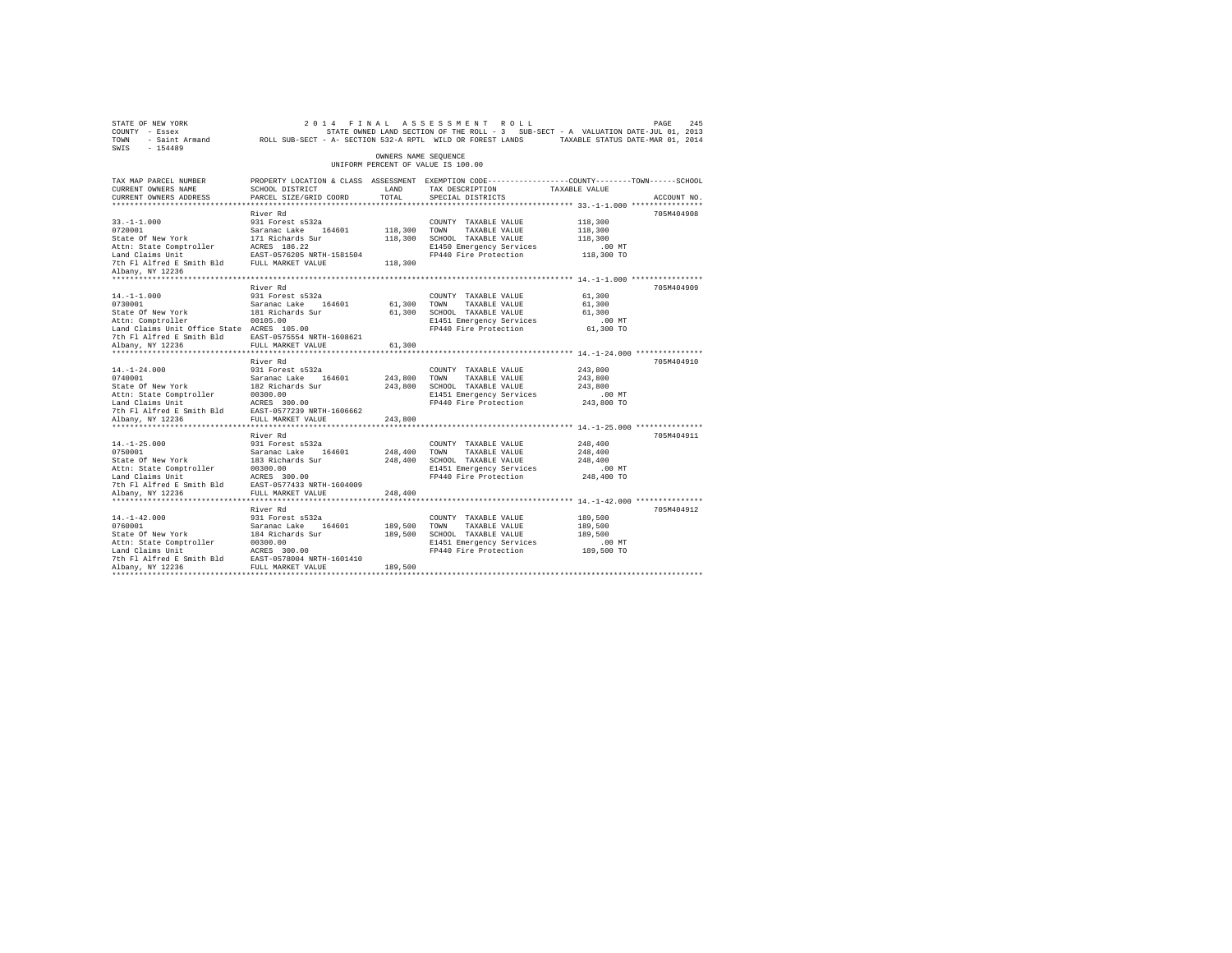| STATE OF NEW YORK<br>COUNTY - Essex<br>SWIS - 154489                                                                                                                                                                                                                       |                                                                                                                                              |                         | 2014 FINAL ASSESSMENT ROLL<br>STATE OWNED LAND SECTION OF THE ROLL - 3 SUB-SECT - A VALUATION DATE-JUL 01, 2013                                    |                                           | PAGE<br>245 |
|----------------------------------------------------------------------------------------------------------------------------------------------------------------------------------------------------------------------------------------------------------------------------|----------------------------------------------------------------------------------------------------------------------------------------------|-------------------------|----------------------------------------------------------------------------------------------------------------------------------------------------|-------------------------------------------|-------------|
|                                                                                                                                                                                                                                                                            |                                                                                                                                              | OWNERS NAME SEQUENCE    | UNIFORM PERCENT OF VALUE IS 100.00                                                                                                                 |                                           |             |
| TAX MAP PARCEL NUMBER<br>CURRENT OWNERS NAME<br>CURRENT OWNERS ADDRESS                                                                                                                                                                                                     | PROPERTY LOCATION & CLASS ASSESSMENT EXEMPTION CODE----------------COUNTY-------TOWN-----SCHOOL<br>SCHOOL DISTRICT<br>PARCEL SIZE/GRID COORD | LAND<br>TOTAL           | TAX DESCRIPTION TAXABLE VALUE<br>SPECIAL DISTRICTS                                                                                                 |                                           | ACCOUNT NO. |
|                                                                                                                                                                                                                                                                            |                                                                                                                                              |                         |                                                                                                                                                    |                                           |             |
| $33. -1 - 1.000$<br>0720001 Saranac Lake 164601<br>State Of New York 171 Richards Sur<br>Attn: State Comptroller REES 186.22<br>Land Claims Unit<br>Unit Plate 18 Smith Bld<br>TUL MARKET VALUE<br>The Plate 18 Smith Bld<br>TUL MARKET VALUE                              | River Rd<br>931 Forest s532a                                                                                                                 |                         | COUNTY TAXABLE VALUE<br>118,300 TOWN TAXABLE VALUE<br>118,300 SCHOOL TAXABLE VALUE<br>E1450 Emergency Services<br>FP440 Fire Protection 118,300 TO | 118,300<br>118,300<br>118,300<br>$.00$ MT | 705M404908  |
| Albany, NY 12236                                                                                                                                                                                                                                                           |                                                                                                                                              | 118,300                 |                                                                                                                                                    |                                           |             |
|                                                                                                                                                                                                                                                                            | River Rd                                                                                                                                     |                         |                                                                                                                                                    |                                           | 705M404909  |
| $14. - 1 - 1.000$<br>$14. - 1 - 1.000$<br>State Of New York<br>Attn: Comptroller<br>Land Claims Unit Office State ACRES 105.00                                                                                                                                             | 931 Forest s532a<br>Saranac Lake 164601<br>181 Richards Sur<br>00105.00                                                                      | 61,300                  | COUNTY TAXABLE VALUE<br>61,300 TOWN TAXABLE VALUE<br>SCHOOL TAXABLE VALUE<br>E1451 Emergency Services<br>FP440 Fire Protection 61,300 TO           | 61,300<br>61,300<br>61,300<br>$.00$ MT    |             |
| 7th F1 Alfred E Smith B1d<br>RAST-0575554 NRTH-1608621<br>RULL MARKET VALUE                                                                                                                                                                                                |                                                                                                                                              | 61,300                  |                                                                                                                                                    |                                           |             |
|                                                                                                                                                                                                                                                                            | River Rd                                                                                                                                     |                         |                                                                                                                                                    |                                           | 705M404910  |
| $14. - 1 - 24.000$<br>17:17471001<br>194001<br>194001 Saranac Lake 164601<br>182 Richards Sur<br>182 Richards Sur<br>182 Richards Sur<br>182 Richards Sur<br>182 Richards 200.00<br>191 ALTER 183 RASET-0577239<br>182 RICH PAIRET VALUE<br>182 RICH 184827-0577239<br>182 | 931 Forest s532a                                                                                                                             | 243,800 TOWN            | COUNTY TAXABLE VALUE<br>TAXABLE VALUE<br>243,800 SCHOOL TAXABLE VALUE<br>E1451 Emergency Services<br>FP440 Fire Protection 243,800 TO              | 243,800<br>243,800<br>243,800<br>$.00$ MT |             |
|                                                                                                                                                                                                                                                                            |                                                                                                                                              | 243,800                 |                                                                                                                                                    |                                           |             |
|                                                                                                                                                                                                                                                                            | River Rd                                                                                                                                     |                         |                                                                                                                                                    |                                           | 705M404911  |
| $14. -1 - 25.000$<br>Albany, NY 12236                                                                                                                                                                                                                                      | 931 Forest s532a<br>FULL MARKET VALUE                                                                                                        | 248.400 TOWN<br>248,400 | COUNTY TAXABLE VALUE<br>TAXABLE VALUE<br>248,400 SCHOOL TAXABLE VALUE<br>E1451 Emergency Services<br>FP440 Fire Protection 248,400 TO              | 248,400<br>248,400<br>248,400<br>$.00$ MT |             |
|                                                                                                                                                                                                                                                                            |                                                                                                                                              |                         |                                                                                                                                                    |                                           | 705M404912  |
| $14. -1 - 42.000$<br>0760001<br>State Of New York<br>Attn: State Comptroller 00300.00<br>Land Claims Unit ACRES 300.00<br>The Fl Alfred E Smith Bld EAST-0578004 NRTH-1601410<br>7th Fl Alfred E Smith Bld EAST-0578004 NRTH-1601410<br>Albany, NY 12236                   | River Rd<br>931 Forest s532a<br>Saranac Lake 164601<br>184 Richards Sur                                                                      | 189,500 TOWN            | COUNTY TAXABLE VALUE<br>TAXABLE VALUE<br>189,500 SCHOOL TAXABLE VALUE<br>E1451 Emergency Services<br>FP440 Fire Protection 189,500 TO              | 189,500<br>189,500<br>189,500<br>$.00$ MT |             |
|                                                                                                                                                                                                                                                                            |                                                                                                                                              | 189,500                 |                                                                                                                                                    |                                           |             |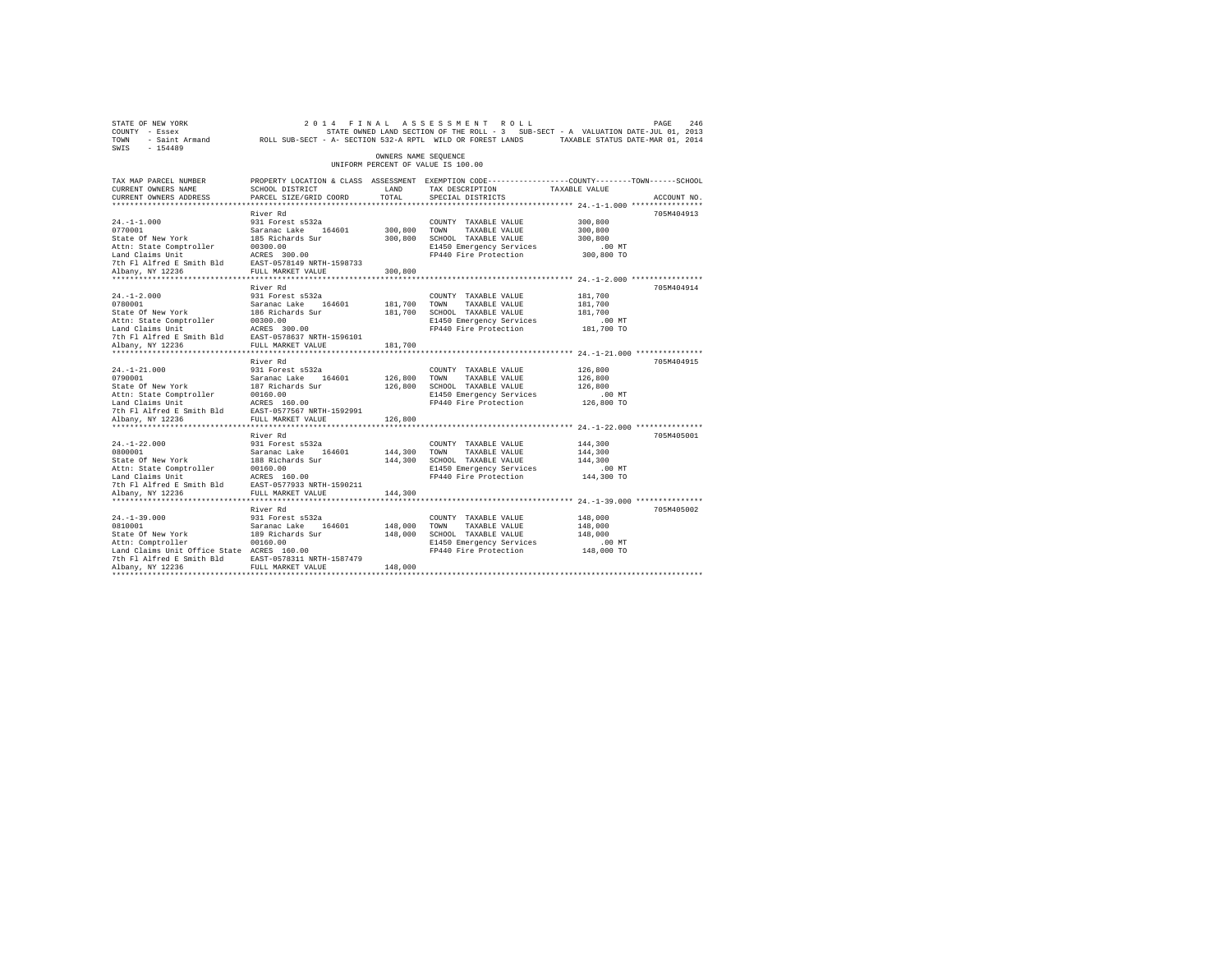| STATE OF NEW YORK<br>COUNTY - Essex<br>TOWN<br>SWIS - 154489                                                                                                                                                                                                                                                                                              | - Saint Armand ROLL SUB-SECT - A- SECTION 532-A RPTL WILD OR FOREST LANDS TAXABLE STATUS DATE-MAR 01, 2014                                   |                         | 2014 FINAL ASSESSMENT ROLL<br>STATE OWNED LAND SECTION OF THE ROLL - 3 SUB-SECT - A VALUATION DATE-JUL 01, 2013                       |                                              | PAGE<br>246 |
|-----------------------------------------------------------------------------------------------------------------------------------------------------------------------------------------------------------------------------------------------------------------------------------------------------------------------------------------------------------|----------------------------------------------------------------------------------------------------------------------------------------------|-------------------------|---------------------------------------------------------------------------------------------------------------------------------------|----------------------------------------------|-------------|
|                                                                                                                                                                                                                                                                                                                                                           |                                                                                                                                              | OWNERS NAME SEQUENCE    | UNIFORM PERCENT OF VALUE IS 100.00                                                                                                    |                                              |             |
| TAX MAP PARCEL NUMBER<br>CURRENT OWNERS NAME<br>CURRENT OWNERS ADDRESS                                                                                                                                                                                                                                                                                    | PROPERTY LOCATION & CLASS ASSESSMENT EXEMPTION CODE----------------COUNTY-------TOWN-----SCHOOL<br>SCHOOL DISTRICT<br>PARCEL SIZE/GRID COORD | LAND<br>TOTAL           | TAX DESCRIPTION TAXABLE VALUE<br>SPECIAL DISTRICTS                                                                                    |                                              | ACCOUNT NO. |
|                                                                                                                                                                                                                                                                                                                                                           |                                                                                                                                              |                         |                                                                                                                                       |                                              |             |
| $24. -1 - 1.000$                                                                                                                                                                                                                                                                                                                                          | River Rd<br>931 Forest s532a                                                                                                                 | 300,800 TOWN<br>300,800 | COUNTY TAXABLE VALUE<br>TAXABLE VALUE<br>SCHOOL TAXABLE VALUE<br>E1450 Emergency Services<br>FP440 Fire Protection 300,800 TO         | 300,800<br>300,800<br>300,800<br>$.00$ MT    | 705M404913  |
|                                                                                                                                                                                                                                                                                                                                                           |                                                                                                                                              | 300,800                 |                                                                                                                                       |                                              |             |
| $24. -1 - 2.000$<br>24.-1-2.000<br>2931 Forest 8322a<br>1030001<br>Saranac Lake 164601<br>2030001<br>203001.00<br>203001.00<br>20301.00<br>20301.00<br>20301.00<br>20301.00<br>20301.00<br>20402136<br>20402136<br>204021236<br>204021236<br>204021236<br>204021236<br>204021236<br>2040                                                                  | River Rd<br>931 Forest s532a                                                                                                                 | 181,700<br>181,700      | COUNTY TAXABLE VALUE<br>TOWN<br>TAXABLE VALUE<br>SCHOOL TAXABLE VALUE<br>E1450 Emergency Services<br>FP440 Fire Protection 181,700 TO | 181,700<br>181,700<br>181,700<br>$.00$ MT    | 705M404914  |
|                                                                                                                                                                                                                                                                                                                                                           |                                                                                                                                              |                         |                                                                                                                                       |                                              |             |
| $24. -1 - 21.000$                                                                                                                                                                                                                                                                                                                                         | River Rd<br>931 Forest s532a                                                                                                                 | 181,700                 | COUNTY TAXABLE VALUE                                                                                                                  | 126,800                                      | 705M404915  |
|                                                                                                                                                                                                                                                                                                                                                           |                                                                                                                                              | 126,800                 | TOWN<br>TAXABLE VALUE<br>126,800 SCHOOL TAXABLE VALUE<br>E1450 Emergency Services<br>FP440 Fire Protection                            | 126,800<br>126,800<br>$.00$ MT<br>126,800 TO |             |
| Albany, NY 12236                                                                                                                                                                                                                                                                                                                                          | FULL MARKET VALUE                                                                                                                            | 126,800                 |                                                                                                                                       |                                              |             |
|                                                                                                                                                                                                                                                                                                                                                           | River Rd                                                                                                                                     |                         |                                                                                                                                       |                                              | 705M405001  |
| $24. -1 - 22.000$<br>0800001<br>State Of New York<br>Nature of the Comptroller<br>Land Claims Unit<br>Land Claims Unit<br>20160.00<br>20160.00<br>20236<br>20236<br>20236<br>20236<br>20236<br>20236<br>20236<br>20236<br>20236<br>20236<br>20236<br>20236<br>20236<br>20236<br>20238<br>2024<br>2024<br>2024<br>2024<br>2024<br>2024<br>Albany, NY 12236 | 931 Forest s532a<br>Saranac Lake 164601<br>188 Richards Sur<br>FULL MARKET VALUE                                                             | 144,300 TOWN<br>144,300 | COUNTY TAXABLE VALUE<br>TAXABLE VALUE<br>144,300 SCHOOL TAXABLE VALUE<br>E1450 Emergency Services<br>FP440 Fire Protection 144,300 TO | 144,300<br>144,300<br>144,300<br>$.00$ MT    |             |
|                                                                                                                                                                                                                                                                                                                                                           |                                                                                                                                              |                         |                                                                                                                                       |                                              |             |
| $24. -1 - 39.000$<br>$24. -1 - 39.000$<br>0810001<br>State Of New York<br>Attn: Comptroller<br>Land Claims Unit Office State ACRES 160.00<br>7th F1 Alfred E Smith Bld<br>RST-0578311 NRTH-1587479<br>RUbany, NY 12236<br>FULL MARKET VALUE                                                                                                               | River Rd<br>931 Forest s532a<br>Saranac Lake 164601<br>189 Richards Sur<br>00160.00                                                          | 148,000 TOWN<br>148,000 | COUNTY TAXABLE VALUE<br>TAXABLE VALUE<br>SCHOOL TAXABLE VALUE<br>E1450 Emergency Services<br>FP440 Fire Protection 148,000 TO         | 148,000<br>148,000<br>148,000<br>$.00$ MT    | 705M405002  |
|                                                                                                                                                                                                                                                                                                                                                           |                                                                                                                                              | 148,000                 |                                                                                                                                       |                                              |             |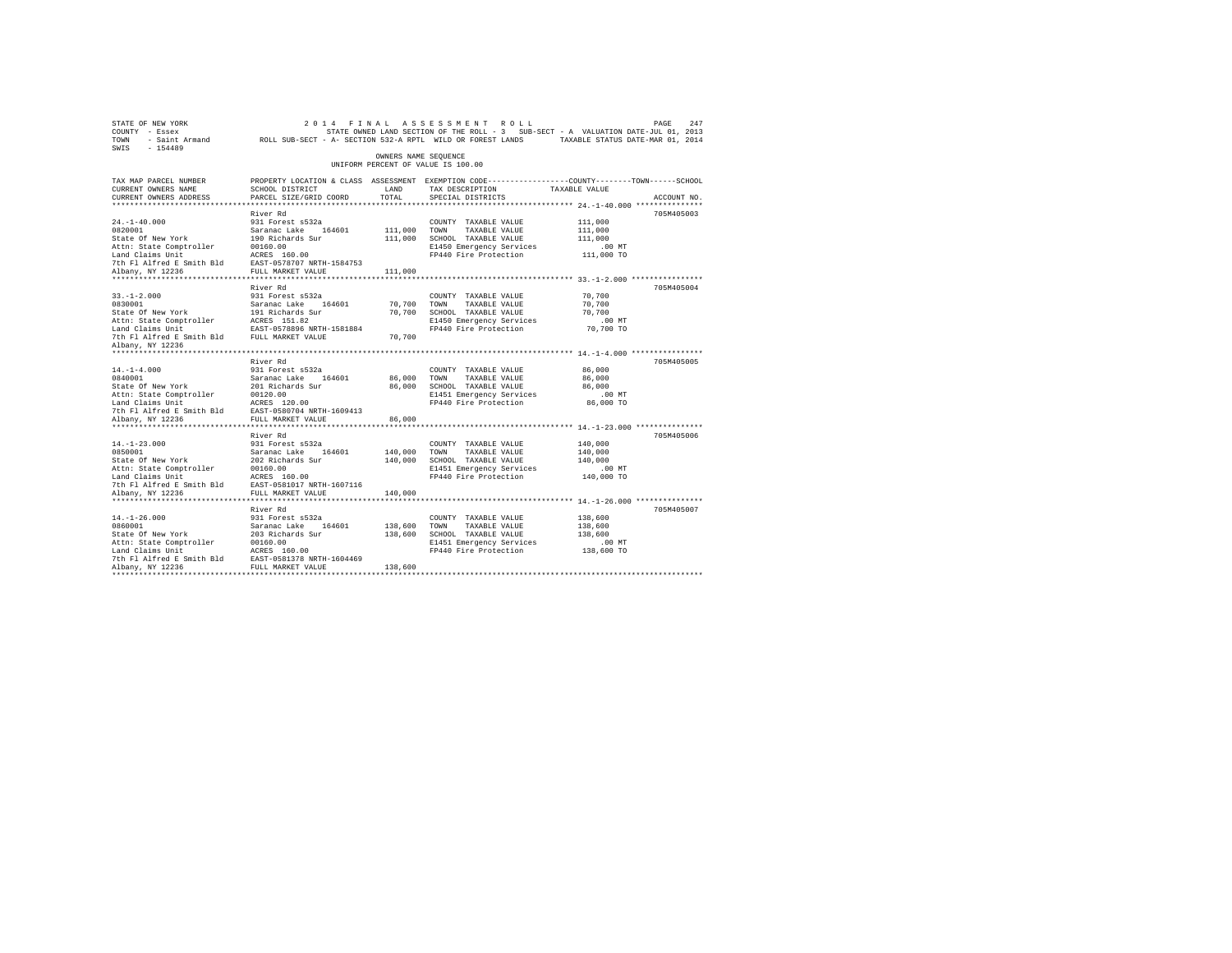| SWIS - 154489                                                                                                                                                                                                                             |                                                                                                                                               |                      |                                                    |                       |             |
|-------------------------------------------------------------------------------------------------------------------------------------------------------------------------------------------------------------------------------------------|-----------------------------------------------------------------------------------------------------------------------------------------------|----------------------|----------------------------------------------------|-----------------------|-------------|
|                                                                                                                                                                                                                                           |                                                                                                                                               | OWNERS NAME SEOUENCE | UNIFORM PERCENT OF VALUE IS 100.00                 |                       |             |
| TAX MAP PARCEL NUMBER<br>CURRENT OWNERS NAME<br>CURRENT OWNERS ADDRESS                                                                                                                                                                    | PROPERTY LOCATION & CLASS ASSESSMENT EXEMPTION CODE----------------COUNTY-------TOWN------SCHOOL<br>SCHOOL DISTRICT<br>PARCEL SIZE/GRID COORD | LAND<br>TOTAL        | TAX DESCRIPTION TAXABLE VALUE<br>SPECIAL DISTRICTS |                       | ACCOUNT NO. |
|                                                                                                                                                                                                                                           |                                                                                                                                               |                      |                                                    |                       |             |
|                                                                                                                                                                                                                                           | River Rd                                                                                                                                      |                      |                                                    |                       | 705M405003  |
| $24. -1 - 40.000$                                                                                                                                                                                                                         | 931 Forest s532a                                                                                                                              |                      | COUNTY TAXABLE VALUE                               | 111,000               |             |
|                                                                                                                                                                                                                                           |                                                                                                                                               | 111,000 TOWN         | TAXABLE VALUE                                      | 111,000               |             |
|                                                                                                                                                                                                                                           |                                                                                                                                               |                      | 111,000 SCHOOL TAXABLE VALUE                       | 111,000               |             |
|                                                                                                                                                                                                                                           |                                                                                                                                               |                      | E1450 Emergency Services                           | $.00$ MT              |             |
| 21.1 Total Saranac Lake 164601<br>Saranac Lake 164601<br>State of New York 190 Richards Sur<br>Attn: State Comptroller 20160.00<br>Land Claims Unit<br>Lam Claims United Essaith Bld 28.857-0578707 NRTH-1584753<br>7th Fl Alfred Essaith |                                                                                                                                               |                      | FP440 Fire Protection 111,000 TO                   |                       |             |
|                                                                                                                                                                                                                                           |                                                                                                                                               |                      |                                                    |                       |             |
|                                                                                                                                                                                                                                           |                                                                                                                                               | 111,000              |                                                    |                       |             |
|                                                                                                                                                                                                                                           |                                                                                                                                               |                      |                                                    |                       |             |
| $33. - 1 - 2.000$                                                                                                                                                                                                                         | River Rd<br>931 Forest s532a                                                                                                                  |                      |                                                    | 70,700                | 705M405004  |
|                                                                                                                                                                                                                                           |                                                                                                                                               | 70,700               | COUNTY TAXABLE VALUE<br>TOWN<br>TAXABLE VALUE      | 70,700                |             |
| 0830001<br>State Of New York                                                                                                                                                                                                              | Saranac Lake 164601<br>191 Richards Sur                                                                                                       |                      | 70,700 SCHOOL TAXABLE VALUE                        | 70,700                |             |
|                                                                                                                                                                                                                                           |                                                                                                                                               |                      |                                                    | $.00$ MT              |             |
|                                                                                                                                                                                                                                           |                                                                                                                                               |                      | E1450 Emergency Services<br>FP440 Fire Protection  | 70,700 TO             |             |
| Attn: State Comptroller<br>Land Claims Unit<br>The EAST-0578896 NRTH-1581884<br>The Fl Alfred E Smith Bld FULL MARKET VALUE                                                                                                               |                                                                                                                                               | 70,700               |                                                    |                       |             |
| Albany, NY 12236                                                                                                                                                                                                                          |                                                                                                                                               |                      |                                                    |                       |             |
|                                                                                                                                                                                                                                           |                                                                                                                                               |                      |                                                    |                       |             |
|                                                                                                                                                                                                                                           | River Rd                                                                                                                                      |                      |                                                    |                       | 705M405005  |
| $14. - 1 - 4.000$                                                                                                                                                                                                                         | 931 Forest s532a                                                                                                                              |                      | COUNTY TAXABLE VALUE                               | 86,000                |             |
| 0840001<br>State Of New York                                                                                                                                                                                                              | Saranac Lake 164601<br>201 Richards Sur                                                                                                       | 86,000               | TOWN<br>TAXABLE VALUE                              | 86,000                |             |
|                                                                                                                                                                                                                                           |                                                                                                                                               |                      | 86,000 SCHOOL TAXABLE VALUE                        | 86,000                |             |
|                                                                                                                                                                                                                                           |                                                                                                                                               |                      | E1451 Emergency Services<br>FP440 Fire Protection  | $.00$ MT<br>86,000 TO |             |
|                                                                                                                                                                                                                                           |                                                                                                                                               |                      |                                                    |                       |             |
| Albany, NY 12236                                                                                                                                                                                                                          | FULL MARKET VALUE                                                                                                                             | 86,000               |                                                    |                       |             |
|                                                                                                                                                                                                                                           | ***********************                                                                                                                       |                      |                                                    |                       |             |
|                                                                                                                                                                                                                                           | River Rd                                                                                                                                      |                      |                                                    |                       | 705M405006  |
| $14. - 1 - 23.000$                                                                                                                                                                                                                        | 931 Forest s532a                                                                                                                              |                      | COUNTY TAXABLE VALUE                               | 140,000               |             |
| 0850001                                                                                                                                                                                                                                   | Saranac Lake 164601<br>202 Richards Sur                                                                                                       | 140,000              | TOWN<br>TAXABLE VALUE                              | 140,000               |             |
| State Of New York                                                                                                                                                                                                                         |                                                                                                                                               |                      | 140,000 SCHOOL TAXABLE VALUE                       | 140,000               |             |
|                                                                                                                                                                                                                                           |                                                                                                                                               |                      | E1451 Emergency Services                           | $.00$ MT              |             |
|                                                                                                                                                                                                                                           |                                                                                                                                               |                      | FP440 Fire Protection                              | 140,000 TO            |             |
|                                                                                                                                                                                                                                           |                                                                                                                                               |                      |                                                    |                       |             |
| Albany, NY 12236                                                                                                                                                                                                                          | FULL MARKET VALUE<br>************************                                                                                                 | 140,000              |                                                    |                       |             |
|                                                                                                                                                                                                                                           | River Rd                                                                                                                                      |                      |                                                    |                       | 705M405007  |
| $14. - 1 - 26.000$                                                                                                                                                                                                                        | 931 Forest s532a                                                                                                                              |                      | COUNTY TAXABLE VALUE                               | 138,600               |             |
| 0860001                                                                                                                                                                                                                                   |                                                                                                                                               | 138,600 TOWN         | TAXABLE VALUE                                      | 138,600               |             |
| State Of New York                                                                                                                                                                                                                         | Saranac Lake 164601<br>203 Richards Sur                                                                                                       |                      | 138,600 SCHOOL TAXABLE VALUE                       | 138,600               |             |
|                                                                                                                                                                                                                                           |                                                                                                                                               |                      | E1451 Emergency Services                           | $.00$ MT              |             |
|                                                                                                                                                                                                                                           |                                                                                                                                               |                      | FP440 Fire Protection 138,600 TO                   |                       |             |
|                                                                                                                                                                                                                                           |                                                                                                                                               |                      |                                                    |                       |             |
|                                                                                                                                                                                                                                           |                                                                                                                                               | 138,600              |                                                    |                       |             |
|                                                                                                                                                                                                                                           |                                                                                                                                               |                      |                                                    |                       |             |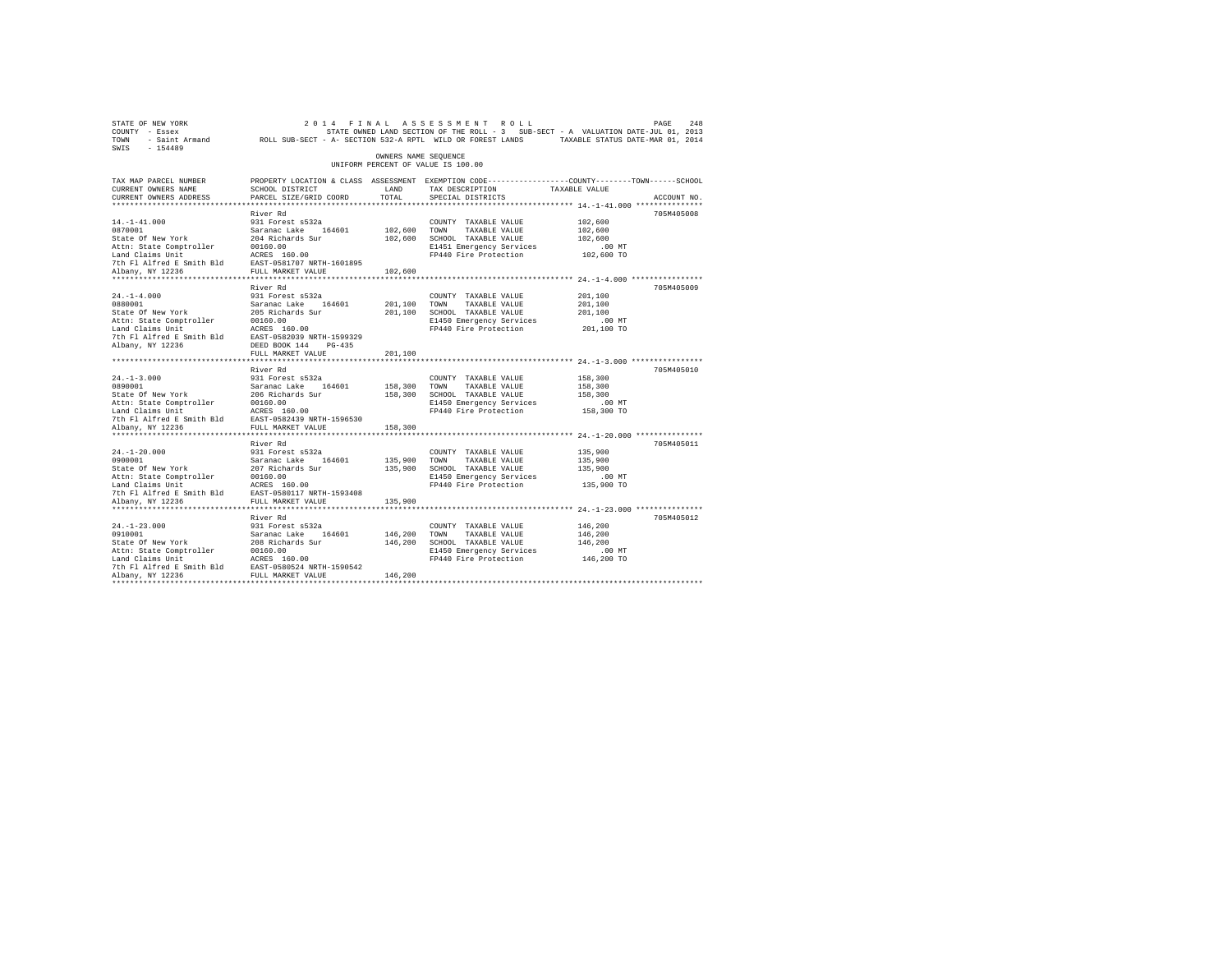| STATE OF NEW YORK<br>COUNTY - Essex<br>TOWN                            | - Saint Armand MCLL SUB-SECT - A- SECTION 532-A RPTL WILD OR FOREST LANDS                                                                   |                      | 2014 FINAL ASSESSMENT ROLL<br>STATE OWNED LAND SECTION OF THE ROLL - 3 SUB-SECT - A VALUATION DATE-JUL 01, 2013 | TAXABLE STATUS DATE-MAR 01, 2014                         | 248<br>PAGE |
|------------------------------------------------------------------------|---------------------------------------------------------------------------------------------------------------------------------------------|----------------------|-----------------------------------------------------------------------------------------------------------------|----------------------------------------------------------|-------------|
| SWIS<br>$-154489$                                                      |                                                                                                                                             | OWNERS NAME SEQUENCE | UNIFORM PERCENT OF VALUE IS 100.00                                                                              |                                                          |             |
|                                                                        |                                                                                                                                             |                      |                                                                                                                 |                                                          |             |
| TAX MAP PARCEL NUMBER<br>CURRENT OWNERS NAME<br>CURRENT OWNERS ADDRESS | PROPERTY LOCATION & CLASS ASSESSMENT EXEMPTION CODE---------------COUNTY-------TOWN-----SCHOOL<br>SCHOOL DISTRICT<br>PARCEL SIZE/GRID COORD | LAND<br>TOTAL        | TAX DESCRIPTION<br>SPECIAL DISTRICTS                                                                            | TAXABLE VALUE                                            | ACCOUNT NO. |
|                                                                        |                                                                                                                                             |                      |                                                                                                                 |                                                          |             |
|                                                                        | River Rd                                                                                                                                    |                      |                                                                                                                 |                                                          | 705M405008  |
| $14. -1 - 41.000$<br>0870001                                           | 931 Forest s532a<br>Saranac Lake 164601                                                                                                     |                      | COUNTY TAXABLE VALUE                                                                                            | 102,600                                                  |             |
| State Of New York                                                      | 204 Richards Sur                                                                                                                            | 102,600<br>102,600   | TOWN<br>TAXABLE VALUE<br>SCHOOL TAXABLE VALUE                                                                   | 102,600<br>102,600                                       |             |
| Attn: State Comptroller                                                | 00160.00                                                                                                                                    |                      | E1451 Emergency Services                                                                                        | .00MT                                                    |             |
| Land Claims Unit                                                       | ACRES 160.00                                                                                                                                |                      | FP440 Fire Protection                                                                                           | 102,600 TO                                               |             |
| 7th Fl Alfred E Smith Bld                                              | EAST-0581707 NRTH-1601895                                                                                                                   |                      |                                                                                                                 |                                                          |             |
| Albany, NY 12236                                                       | FULL MARKET VALUE                                                                                                                           | 102,600              |                                                                                                                 |                                                          |             |
|                                                                        |                                                                                                                                             |                      |                                                                                                                 |                                                          |             |
|                                                                        | River Rd                                                                                                                                    |                      |                                                                                                                 |                                                          | 705M405009  |
| $24. -1 - 4.000$                                                       | 931 Forest s532a                                                                                                                            |                      | COUNTY TAXABLE VALUE                                                                                            | 201,100                                                  |             |
| 0880001                                                                | Saranac Lake 164601                                                                                                                         | 201,100              | TOWN<br>TAXABLE VALUE                                                                                           | 201,100                                                  |             |
| State Of New York<br>Attn: State Comptroller                           | 205 Richards Sur<br>00160.00                                                                                                                | 201,100              | SCHOOL TAXABLE VALUE<br>E1450 Emergency Services                                                                | 201,100<br>$.00$ MT                                      |             |
| Land Claims Unit                                                       | ACRES 160.00                                                                                                                                |                      | FP440 Fire Protection                                                                                           | 201,100 TO                                               |             |
| 7th Fl Alfred E Smith Bld                                              | EAST-0582039 NRTH-1599329                                                                                                                   |                      |                                                                                                                 |                                                          |             |
| Albany, NY 12236                                                       | DEED BOOK 144 PG-435                                                                                                                        |                      |                                                                                                                 |                                                          |             |
|                                                                        | FULL MARKET VALUE                                                                                                                           | 201,100              |                                                                                                                 |                                                          |             |
|                                                                        | ***********************                                                                                                                     |                      |                                                                                                                 | *************************** 24.-1-3.000 **************** |             |
|                                                                        | River Rd                                                                                                                                    |                      |                                                                                                                 |                                                          | 705M405010  |
| $24. -1 - 3.000$                                                       | 931 Forest s532a                                                                                                                            |                      | COUNTY TAXABLE VALUE                                                                                            | 158,300                                                  |             |
| 0890001                                                                | Saranac Lake 164601                                                                                                                         | 158,300              | TOWN<br>TAXABLE VALUE                                                                                           | 158,300                                                  |             |
| State Of New York<br>Attn: State Comptroller                           | 206 Richards Sur<br>00160.00                                                                                                                | 158,300              | SCHOOL TAXABLE VALUE<br>E1450 Emergency Services                                                                | 158,300<br>.00 MT                                        |             |
| Land Claims Unit                                                       | ACRES 160.00                                                                                                                                |                      | FP440 Fire Protection                                                                                           | 158,300 TO                                               |             |
| 7th Fl Alfred E Smith Bld                                              | EAST-0582439 NRTH-1596530                                                                                                                   |                      |                                                                                                                 |                                                          |             |
| Albany, NY 12236                                                       | FULL MARKET VALUE                                                                                                                           | 158,300              |                                                                                                                 |                                                          |             |
|                                                                        |                                                                                                                                             |                      |                                                                                                                 |                                                          |             |
|                                                                        | River Rd                                                                                                                                    |                      |                                                                                                                 |                                                          | 705M405011  |
| $24. -1 - 20.000$                                                      | 931 Forest s532a                                                                                                                            |                      | COUNTY TAXABLE VALUE                                                                                            | 135,900                                                  |             |
| 0900001                                                                | Saranac Lake 164601                                                                                                                         | 135,900              | TAXABLE VALUE<br>TOWN                                                                                           | 135,900                                                  |             |
| State Of New York                                                      | 207 Richards Sur                                                                                                                            | 135,900              | SCHOOL TAXABLE VALUE                                                                                            | 135,900                                                  |             |
| Attn: State Comptroller<br>Land Claims Unit                            | 00160.00<br>ACRES 160.00                                                                                                                    |                      | E1450 Emergency Services<br>FP440 Fire Protection                                                               | $.00$ MT<br>135,900 TO                                   |             |
| 7th Fl Alfred E Smith Bld                                              | EAST-0580117 NRTH-1593408                                                                                                                   |                      |                                                                                                                 |                                                          |             |
| Albany, NY 12236                                                       | FULL MARKET VALUE                                                                                                                           | 135,900              |                                                                                                                 |                                                          |             |
|                                                                        |                                                                                                                                             |                      |                                                                                                                 |                                                          |             |
|                                                                        | River Rd                                                                                                                                    |                      |                                                                                                                 |                                                          | 705M405012  |
| $24. -1 - 23.000$                                                      | 931 Forest s532a                                                                                                                            |                      | COUNTY TAXABLE VALUE                                                                                            | 146,200                                                  |             |
| 0910001                                                                | Saranac Lake<br>164601                                                                                                                      | 146,200              | TOWN<br>TAXABLE VALUE                                                                                           | 146,200                                                  |             |
| State Of New York                                                      | 208 Richards Sur                                                                                                                            | 146,200              | SCHOOL TAXABLE VALUE                                                                                            | 146,200                                                  |             |
| Attn: State Comptroller                                                | 00160.00                                                                                                                                    |                      | E1450 Emergency Services                                                                                        | .00 MT                                                   |             |
| Land Claims Unit<br>7th Fl Alfred E Smith Bld                          | ACRES 160.00<br>EAST-0580524 NRTH-1590542                                                                                                   |                      | FP440 Fire Protection                                                                                           | 146,200 TO                                               |             |
| Albany, NY 12236                                                       | FULL MARKET VALUE                                                                                                                           | 146,200              |                                                                                                                 |                                                          |             |
|                                                                        |                                                                                                                                             |                      |                                                                                                                 |                                                          |             |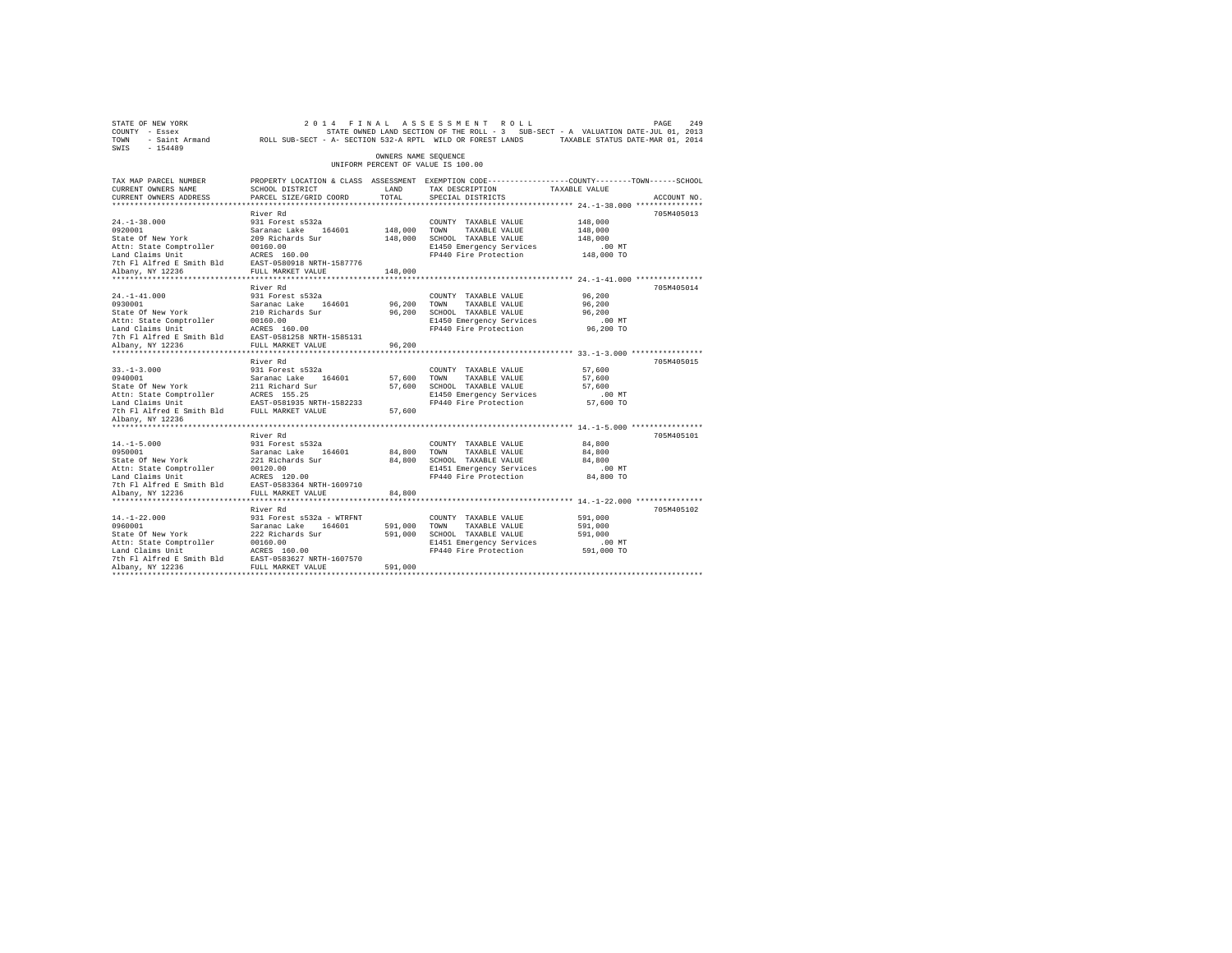| STATE OF NEW YORK<br>SWIS - 154489                                                                                                                                                                                                                                                                                                           |                                                                                                                                              |                       | 2014 FINAL ASSESSMENT ROLL                                                                                                                         |                                           | PAGE<br>249 |
|----------------------------------------------------------------------------------------------------------------------------------------------------------------------------------------------------------------------------------------------------------------------------------------------------------------------------------------------|----------------------------------------------------------------------------------------------------------------------------------------------|-----------------------|----------------------------------------------------------------------------------------------------------------------------------------------------|-------------------------------------------|-------------|
|                                                                                                                                                                                                                                                                                                                                              |                                                                                                                                              | OWNERS NAME SEQUENCE  | UNIFORM PERCENT OF VALUE IS 100.00                                                                                                                 |                                           |             |
| TAX MAP PARCEL NUMBER<br>CURRENT OWNERS NAME<br>CURRENT OWNERS ADDRESS                                                                                                                                                                                                                                                                       | PROPERTY LOCATION & CLASS ASSESSMENT EXEMPTION CODE----------------COUNTY-------TOWN-----SCHOOL<br>SCHOOL DISTRICT<br>PARCEL SIZE/GRID COORD | LAND<br>TOTAL         | TAX DESCRIPTION TAXABLE VALUE<br>SPECIAL DISTRICTS                                                                                                 |                                           | ACCOUNT NO. |
|                                                                                                                                                                                                                                                                                                                                              |                                                                                                                                              |                       |                                                                                                                                                    |                                           |             |
| $24. -1 - 38.000$<br>24.-1-36.000<br>2920001<br>2920001<br>2920001<br>2920001<br>2020010 5 2020010 5 2020010 5 2020010<br>2020010 202010 202010 202010 202010<br>202010 20218<br>20218 20218 20218 20218 20218 20218 20218<br>20218 20218 20218 20218 20218 20218 202                                                                        | River Rd<br>931 Forest s532a                                                                                                                 |                       | COUNTY TAXABLE VALUE<br>148,000 TOWN TAXABLE VALUE<br>148,000 SCHOOL TAXABLE VALUE<br>E1450 Emergency Services<br>FP440 Fire Protection 148,000 TO | 148,000<br>148,000<br>148,000<br>$.00$ MT | 705M405013  |
|                                                                                                                                                                                                                                                                                                                                              |                                                                                                                                              | 148,000               |                                                                                                                                                    |                                           |             |
|                                                                                                                                                                                                                                                                                                                                              | River Rd                                                                                                                                     |                       | COUNTY TAXABLE VALUE                                                                                                                               | 96,200                                    | 705M405014  |
| $241 - 1 - 41.000$ $0.931\hbox{ Forests}$ $0.931\hbox{ Forests}$ $0.932\hbox{Factor} 10.932\hbox{factor} 10.932\hbox{factor} 164601$ $0.931\hbox{Forests} 532a$ $0.931\hbox{checks} 6332\hbox{error} 164601$ $0.931\hbox{factor} 8332\hbox{error} 164601$ $0.931\hbox{factor} 8332\hbox{error} 164601$ $0.006\hbox$                          |                                                                                                                                              |                       | 96,200 TOWN TAXABLE VALUE<br>96,200 SCHOOL TAXABLE VALUE<br>E1450 Emergency Services<br>FP440 Fire Protection 96,200 TO                            | 96,200<br>96,200<br>$.00$ MT              |             |
|                                                                                                                                                                                                                                                                                                                                              |                                                                                                                                              | 96,200                |                                                                                                                                                    |                                           |             |
| $33. -1 - 3.000$<br>Albany, NY 12236                                                                                                                                                                                                                                                                                                         | River Rd<br>931 Forest s532a                                                                                                                 |                       | COUNTY TAXABLE VALUE                                                                                                                               | 57,600                                    | 705M405015  |
|                                                                                                                                                                                                                                                                                                                                              |                                                                                                                                              |                       |                                                                                                                                                    |                                           |             |
| $14. -1 - 5.000$<br>14.-1-5.000<br>0950001<br>State Of New York<br>19.1-7-3.000<br>1950001<br>Saranac Lake 164601<br>State of New York 221 Richards Sur<br>20120.00<br>19.10001<br>20120.00<br>19.1001<br>20120.00<br>19.101 Respectively 20120.00<br>20120.00<br>20120.00<br>20120.00<br>2020101<br>2020101<br>2020101<br>202010            | River Rd<br>931 Forest s532a                                                                                                                 | 84.800 TOWN<br>84,800 | COUNTY TAXABLE VALUE<br>TAXABLE VALUE<br>84,800 SCHOOL TAXABLE VALUE<br>E1451 Emergency Services<br>FP440 Fire Protection 84,800 TO                | 84,800<br>84,800<br>84,800<br>$.00$ MT    | 705M405101  |
|                                                                                                                                                                                                                                                                                                                                              |                                                                                                                                              |                       |                                                                                                                                                    |                                           |             |
| $14. - 1 - 22.000$<br>14.-1-22.000<br>0960001<br>State Of New York<br>Nature Compired 18 = 00160.00<br>Land Claims Unit<br>Land Claims Unit MCRES 160.00<br>2016.00<br>2016.00<br>2016.00<br>2016.00<br>2016.00<br>2016.00<br>2016.00<br>2016.00<br>2016.00<br>2016.00<br>2016.00<br>2016.00<br>2017<br>2017<br>2017<br>2017<br>2017<br>2018 | River Rd<br>931 Forest s532a - WTRFNT<br>Saranac Lake 164601<br>222 Richards Sur                                                             | 591,000               | COUNTY TAXABLE VALUE<br>591,000 TOWN TAXABLE VALUE<br>591,000 SCHOOL TAXABLE VALUE<br>E1451 Emergency Services<br>FP440 Fire Protection 591,000 TO | 591,000<br>591,000<br>591,000<br>$.00$ MT | 705M405102  |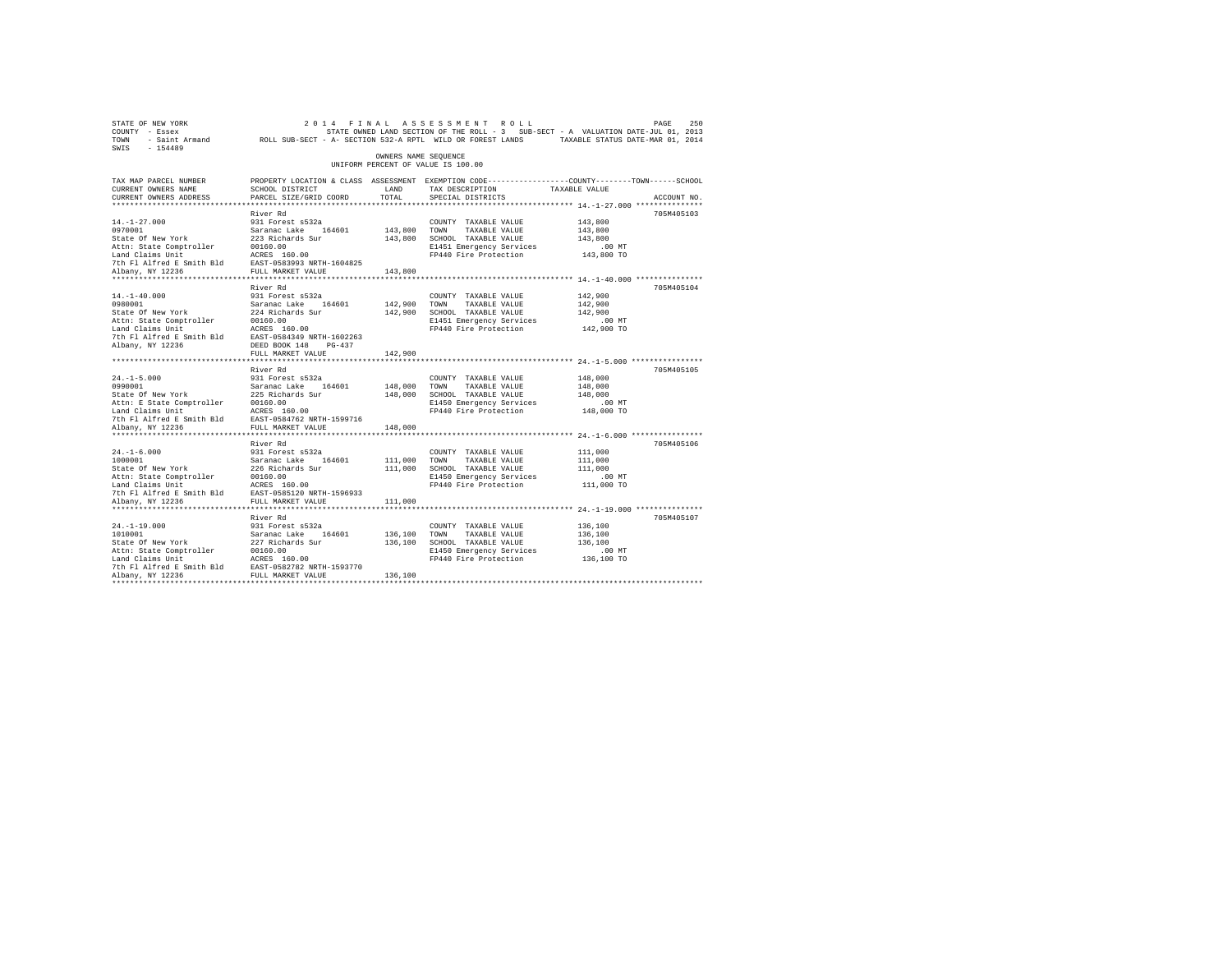| STATE OF NEW YORK<br>COUNTY - Essex<br>TOWN<br>$-154489$<br>SWIS                                                                                                                                                                                                                               | - Saint Armand ROLL SUB-SECT - A- SECTION 532-A RPTL WILD OR FOREST LANDS TAXABLE STATUS DATE-MAR 01, 2014                                            |                               | 2014 FINAL ASSESSMENT ROLL<br>STATE OWNED LAND SECTION OF THE ROLL - 3 SUB-SECT - A VALUATION DATE-JUL 01, 2013                    |                                                         | 250<br>PAGE |
|------------------------------------------------------------------------------------------------------------------------------------------------------------------------------------------------------------------------------------------------------------------------------------------------|-------------------------------------------------------------------------------------------------------------------------------------------------------|-------------------------------|------------------------------------------------------------------------------------------------------------------------------------|---------------------------------------------------------|-------------|
|                                                                                                                                                                                                                                                                                                |                                                                                                                                                       | OWNERS NAME SEOUENCE          | UNIFORM PERCENT OF VALUE IS 100.00                                                                                                 |                                                         |             |
| TAX MAP PARCEL NUMBER<br>CURRENT OWNERS NAME<br>CURRENT OWNERS ADDRESS                                                                                                                                                                                                                         | PROPERTY LOCATION & CLASS ASSESSMENT EXEMPTION CODE---------------COUNTY-------TOWN-----SCHOOL<br>SCHOOL DISTRICT<br>PARCEL SIZE/GRID COORD           | LAND<br>TOTAL.                | TAX DESCRIPTION<br>SPECIAL DISTRICTS                                                                                               | TAXABLE VALUE                                           | ACCOUNT NO. |
| *************************                                                                                                                                                                                                                                                                      |                                                                                                                                                       |                               |                                                                                                                                    |                                                         |             |
| $14. - 1 - 27.000$<br>0970001<br>State Of New York<br>Attn: State Comptroller<br>Land Claims Unit                                                                                                                                                                                              | River Rd<br>931 Forest s532a<br>Saranac Lake 164601<br>223 Richards Sur<br>00160.00<br>ACRES 160.00                                                   | 143,800 TOWN                  | COUNTY TAXABLE VALUE<br>TAXABLE VALUE<br>143,800 SCHOOL TAXABLE VALUE<br>E1451 Emergency Services<br>FP440 Fire Protection         | 143,800<br>143,800<br>143,800<br>$.00$ MT<br>143,800 TO | 705M405103  |
| 7th Fl Alfred E Smith Bld EAST-0583993 NRTH-1604825                                                                                                                                                                                                                                            |                                                                                                                                                       |                               |                                                                                                                                    |                                                         |             |
| Albany, NY 12236<br>$14. - 1 - 40.000$<br>0980001<br>State Of New York<br>Attn: State Comptroller<br>$\begin{tabular}{llllll} \texttt{Land Claus Unit} & \texttt{ACRES} & 160.00 \\ \texttt{7th Fl Alfred E Smith Bld} & \texttt{EAST-0584349 NRTH-1602263} \end{tabular}$<br>Albany, NY 12236 | FULL MARKET VALUE<br>River Rd<br>931 Forest s532a<br>Saranac Lake 164601<br>224 Richards Sur<br>00160.00<br>DEED BOOK 148 PG-437                      | 143,800<br>142,900<br>142,900 | COUNTY TAXABLE VALUE<br>TOWN<br>TAXABLE VALUE<br>SCHOOL TAXABLE VALUE<br>E1451 Emergency Services<br>FP440 Fire Protection         | 142,900<br>142,900<br>142,900<br>$.00$ MT<br>142,900 TO | 705M405104  |
|                                                                                                                                                                                                                                                                                                | FULL MARKET VALUE                                                                                                                                     | 142,900                       |                                                                                                                                    |                                                         |             |
|                                                                                                                                                                                                                                                                                                | *************************<br>River Rd                                                                                                                 |                               |                                                                                                                                    |                                                         | 705M405105  |
| $24. -1 - 5.000$<br>0990001<br>State Of New York<br>Attn: E State Comptroller 00160.00<br>Land Claims Unit 1997 - ACRES 160.00<br>7th Fl Alfred E Smith Bld EAST-0584762 NRTH-1599716                                                                                                          | 931 Forest s532a<br>Saranac Lake 164601<br>225 Richards Sur                                                                                           | 148,000                       | COUNTY TAXABLE VALUE<br>TOWN<br>TAXABLE VALUE<br>148,000 SCHOOL TAXABLE VALUE<br>E1450 Emergency Services<br>FP440 Fire Protection | 148,000<br>148,000<br>148,000<br>$.00$ MT<br>148,000 TO |             |
| Albany, NY 12236                                                                                                                                                                                                                                                                               | FULL MARKET VALUE                                                                                                                                     | 148,000                       |                                                                                                                                    |                                                         |             |
| $24. -1 - 6.000$<br>1000001<br>State Of New York<br>Attn: State Comptroller<br>Land Claims Unit<br>7th Fl Alfred E Smith Bld<br>Albany, NY 12236                                                                                                                                               | River Rd<br>931 Forest s532a<br>Saranac Lake 164601<br>226 Richards Sur<br>00160.00<br>ACRES 160.00<br>EAST-0585120 NRTH-1596933<br>FULL MARKET VALUE | 111,000<br>111,000<br>111,000 | COUNTY TAXABLE VALUE<br>TOWN<br>TAXABLE VALUE<br>SCHOOL TAXABLE VALUE<br>E1450 Emergency Services<br>FP440 Fire Protection         | 111,000<br>111,000<br>111,000<br>$.00$ MT<br>111,000 TO | 705M405106  |
|                                                                                                                                                                                                                                                                                                |                                                                                                                                                       |                               |                                                                                                                                    |                                                         |             |
| $24. -1 - 19.000$<br>1010001<br>State Of New York<br>Attn: State Comptroller<br>Land Claims Unit<br>7th Fl Alfred E Smith Bld EAST-0582782 NRTH-1593770<br>Albany, NY 12236                                                                                                                    | River Rd<br>931 Forest s532a<br>Saranac Lake 164601<br>227 Richards Sur<br>00160.00<br>ACRES 160.00<br>FULL MARKET VALUE                              | 136,100<br>136,100            | COUNTY TAXABLE VALUE<br>TOWN<br>TAXABLE VALUE<br>136,100 SCHOOL TAXABLE VALUE<br>E1450 Emergency Services<br>FP440 Fire Protection | 136,100<br>136,100<br>136,100<br>$.00$ MT<br>136,100 TO | 705M405107  |
|                                                                                                                                                                                                                                                                                                |                                                                                                                                                       |                               |                                                                                                                                    |                                                         |             |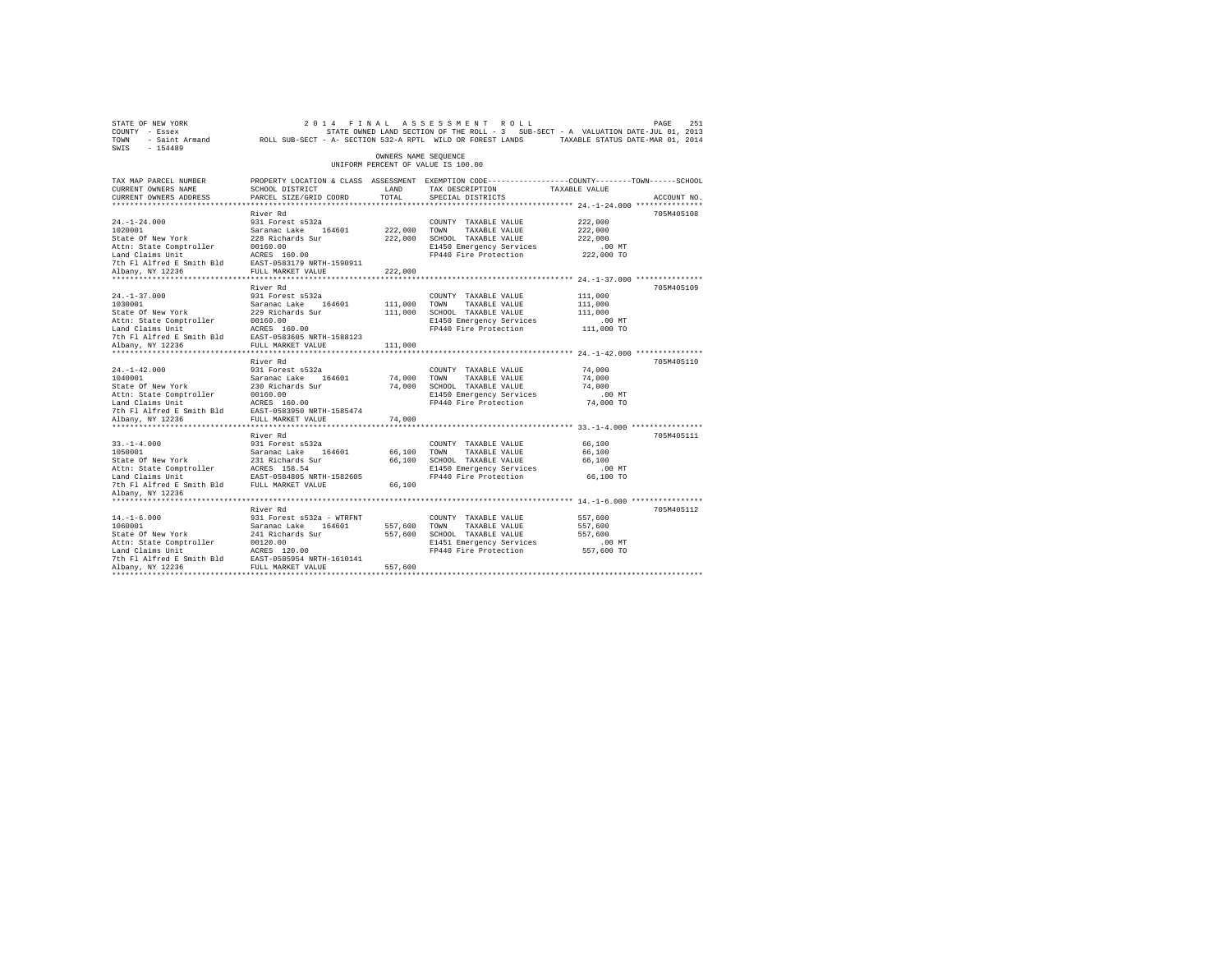|                                                                                                                                                                                                                             |                                                                                                                                                                                                                                                                         |                                                                                                                                                                                                                                                                                                                                                                                                                                                                                                                                  |                                                                                                                                                                                                                                                                                                                                                                                                           | PAGE<br>251                                                                                                                                                                                                                                                                                                                                                                                                                                                                                                                                                                                                                                             |
|-----------------------------------------------------------------------------------------------------------------------------------------------------------------------------------------------------------------------------|-------------------------------------------------------------------------------------------------------------------------------------------------------------------------------------------------------------------------------------------------------------------------|----------------------------------------------------------------------------------------------------------------------------------------------------------------------------------------------------------------------------------------------------------------------------------------------------------------------------------------------------------------------------------------------------------------------------------------------------------------------------------------------------------------------------------|-----------------------------------------------------------------------------------------------------------------------------------------------------------------------------------------------------------------------------------------------------------------------------------------------------------------------------------------------------------------------------------------------------------|---------------------------------------------------------------------------------------------------------------------------------------------------------------------------------------------------------------------------------------------------------------------------------------------------------------------------------------------------------------------------------------------------------------------------------------------------------------------------------------------------------------------------------------------------------------------------------------------------------------------------------------------------------|
|                                                                                                                                                                                                                             |                                                                                                                                                                                                                                                                         |                                                                                                                                                                                                                                                                                                                                                                                                                                                                                                                                  |                                                                                                                                                                                                                                                                                                                                                                                                           |                                                                                                                                                                                                                                                                                                                                                                                                                                                                                                                                                                                                                                                         |
| SCHOOL DISTRICT<br>PARCEL SIZE/GRID COORD                                                                                                                                                                                   | LAND<br>TOTAL                                                                                                                                                                                                                                                           | TAX DESCRIPTION<br>SPECIAL DISTRICTS                                                                                                                                                                                                                                                                                                                                                                                                                                                                                             |                                                                                                                                                                                                                                                                                                                                                                                                           | ACCOUNT NO.                                                                                                                                                                                                                                                                                                                                                                                                                                                                                                                                                                                                                                             |
|                                                                                                                                                                                                                             |                                                                                                                                                                                                                                                                         |                                                                                                                                                                                                                                                                                                                                                                                                                                                                                                                                  |                                                                                                                                                                                                                                                                                                                                                                                                           | 705M405108                                                                                                                                                                                                                                                                                                                                                                                                                                                                                                                                                                                                                                              |
| 931 Forest s532a                                                                                                                                                                                                            |                                                                                                                                                                                                                                                                         | COUNTY TAXABLE VALUE<br>TAXABLE VALUE                                                                                                                                                                                                                                                                                                                                                                                                                                                                                            | 222,000<br>222,000<br>222,000<br>$.00$ MT                                                                                                                                                                                                                                                                                                                                                                 |                                                                                                                                                                                                                                                                                                                                                                                                                                                                                                                                                                                                                                                         |
|                                                                                                                                                                                                                             |                                                                                                                                                                                                                                                                         |                                                                                                                                                                                                                                                                                                                                                                                                                                                                                                                                  |                                                                                                                                                                                                                                                                                                                                                                                                           |                                                                                                                                                                                                                                                                                                                                                                                                                                                                                                                                                                                                                                                         |
| River Rd<br>931 Forest s532a                                                                                                                                                                                                |                                                                                                                                                                                                                                                                         | COUNTY TAXABLE VALUE<br>TAXABLE VALUE                                                                                                                                                                                                                                                                                                                                                                                                                                                                                            | 111,000<br>111,000<br>111,000<br>$.00$ MT                                                                                                                                                                                                                                                                                                                                                                 | 705M405109                                                                                                                                                                                                                                                                                                                                                                                                                                                                                                                                                                                                                                              |
|                                                                                                                                                                                                                             |                                                                                                                                                                                                                                                                         |                                                                                                                                                                                                                                                                                                                                                                                                                                                                                                                                  |                                                                                                                                                                                                                                                                                                                                                                                                           |                                                                                                                                                                                                                                                                                                                                                                                                                                                                                                                                                                                                                                                         |
| River Rd<br>931 Forest s532a<br>FULL MARKET VALUE                                                                                                                                                                           | 74,000                                                                                                                                                                                                                                                                  | COUNTY TAXABLE VALUE                                                                                                                                                                                                                                                                                                                                                                                                                                                                                                             | 74,000<br>74,000<br>74,000<br>.00 MT<br>74,000 TO                                                                                                                                                                                                                                                                                                                                                         | 705M405110                                                                                                                                                                                                                                                                                                                                                                                                                                                                                                                                                                                                                                              |
|                                                                                                                                                                                                                             |                                                                                                                                                                                                                                                                         |                                                                                                                                                                                                                                                                                                                                                                                                                                                                                                                                  |                                                                                                                                                                                                                                                                                                                                                                                                           |                                                                                                                                                                                                                                                                                                                                                                                                                                                                                                                                                                                                                                                         |
| 931 Forest s532a<br>1050001<br>Saranac Lake 1164601<br>State of New York 21 Richards Sur<br>Land Claims Unit 12 RCRS 158.54<br>Land Claims Unit 12 RAST-0584805 NRTH-1582605<br>7th Fl Alfred E Smith Bld FULL MARKET VALUE | 66,100                                                                                                                                                                                                                                                                  | COUNTY TAXABLE VALUE<br>TAXABLE VALUE                                                                                                                                                                                                                                                                                                                                                                                                                                                                                            | 66,100<br>66,100<br>66,100                                                                                                                                                                                                                                                                                                                                                                                | 705M405111                                                                                                                                                                                                                                                                                                                                                                                                                                                                                                                                                                                                                                              |
|                                                                                                                                                                                                                             |                                                                                                                                                                                                                                                                         |                                                                                                                                                                                                                                                                                                                                                                                                                                                                                                                                  |                                                                                                                                                                                                                                                                                                                                                                                                           |                                                                                                                                                                                                                                                                                                                                                                                                                                                                                                                                                                                                                                                         |
| River Rd<br>931 Forest s532a - WTRFNT<br>Attn: State Comptroller 00120.00<br>Land Claims Unit ACRES 120.00<br>7th Fl Alfred E Smith Bld EAST-058554 NRTH-1610141<br>Albany, NY 12236                                        | 557,600                                                                                                                                                                                                                                                                 | COUNTY TAXABLE VALUE<br>TAXABLE VALUE                                                                                                                                                                                                                                                                                                                                                                                                                                                                                            | 557,600<br>557,600<br>557,600<br>$.00$ MT                                                                                                                                                                                                                                                                                                                                                                 | 705M405112                                                                                                                                                                                                                                                                                                                                                                                                                                                                                                                                                                                                                                              |
|                                                                                                                                                                                                                             | River Rd<br>21.12.21.0001<br>1020011<br>1020011<br>Staranac Lake (164601<br>Staranac Lake (164601<br>228 Richards Sur<br>228 Richards Smith Bld<br>228 REST 160.00<br>27th Fl Alfred & Smith Bld<br>228 REST 1699911<br>228 REST 102028<br>2011 MRRET VALUE<br>River Rd | 222,000<br>1030001<br>1030001<br>1030001<br>Saranac Lake 164601<br>State of New York<br>229 Richards Sur<br>10160.00<br>Land Claims Unit<br>27th Fl Alfred E Smith Bld<br>27th Fl ALFRED 163805 NRTH-1588123<br>21bany, NY 12236<br>280505 NEW MARKET VALUE<br>20<br>111,000<br>1040001<br>Saranac Lake 164601<br>State of New York 20160.00<br>Attn: State Comptroller 20160.00<br>Land Claims Unit Records<br>164601<br>The Plant Claims Capacity CRSS 20160.00<br>The Plant Records<br>2016 2020187-0583950<br>20201871-15854 | 2014 FINAL ASSESSMENT ROLL<br>OWNERS NAME SEQUENCE<br>UNIFORM PERCENT OF VALUE IS 100.00<br>222.000 TOWN<br>222,000 SCHOOL TAXABLE VALUE<br>111,000 TOWN<br>111,000 SCHOOL TAXABLE VALUE<br>74,000 TOWN TAXABLE VALUE<br>74,000 SCHOOL TAXABLE VALUE<br>66,100 TOWN<br>66,100 SCHOOL TAXABLE VALUE<br>Saranac Lake 164601 557,600 TOWN<br>241 Richards Sur 557,600 SCHOOL<br>557,600 SCHOOL TAXABLE VALUE | STATE OWNED LAND SECTION OF THE ROLL - 3 SUB-SECT - A VALUATION DATE-JUL 01, 2013<br>TOWN - Saint Armand ROLL SUB-SECT - A- SECTION 532-A RPTL WILD OR FOREST LANDS TAXABLE STATUS DATE-MAR 01, 2014<br>PROPERTY LOCATION & CLASS ASSESSMENT EXEMPTION CODE----------------COUNTY-------TOWN------SCHOOL<br>TAXABLE VALUE<br>E1450 Emergency Services<br>FP440 Fire Protection 222,000 TO<br>E1450 Emergency Services<br>FP440 Fire Protection 111,000 TO<br>E1450 Emergency Services<br>FP440 Fire Protection<br>E1450 Emergency Services 66,100 MT<br>FP440 Fire Protection 66,100 TO<br>E1451 Emergency Services<br>FP440 Fire Protection 557,600 TO |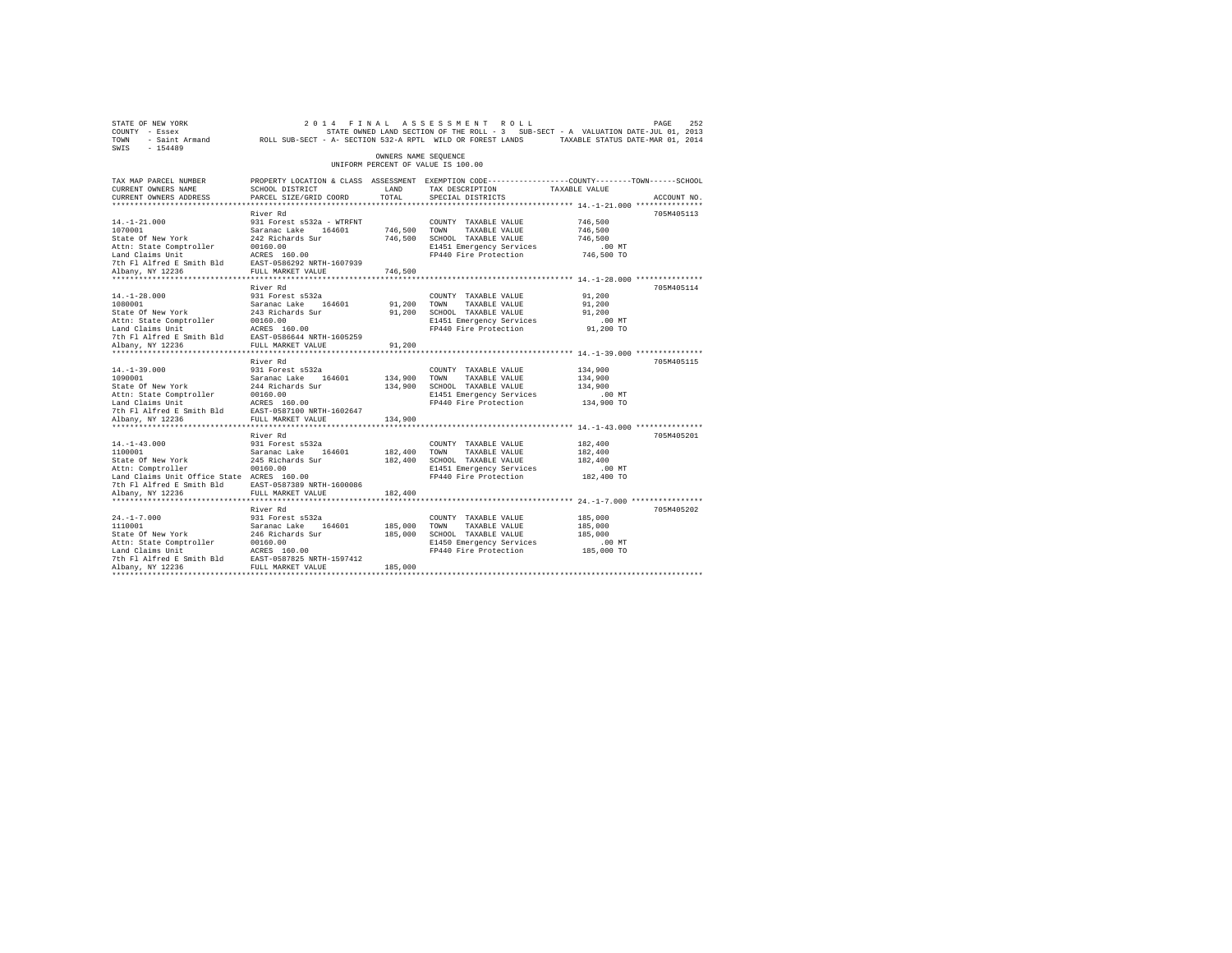| STATE OF NEW YORK<br>COUNTY - Essex<br>TOWN - Saint Armand ROLL SUB-SECT - A- SECTION 532-A RPTL WILD OR FOREST LANDS TAXABLE STATUS DATE-MAR 01, 2014<br>SWIS - 154489 |                                           |                      | 2014 FINAL ASSESSMENT ROLL<br>STATE OWNED LAND SECTION OF THE ROLL - 3 SUB-SECT - A VALUATION DATE-JUL 01, 2013 |                   | 252<br>PAGE |
|-------------------------------------------------------------------------------------------------------------------------------------------------------------------------|-------------------------------------------|----------------------|-----------------------------------------------------------------------------------------------------------------|-------------------|-------------|
|                                                                                                                                                                         |                                           | OWNERS NAME SEQUENCE | UNIFORM PERCENT OF VALUE IS 100.00                                                                              |                   |             |
| TAX MAP PARCEL NUMBER                                                                                                                                                   |                                           |                      | PROPERTY LOCATION & CLASS ASSESSMENT EXEMPTION CODE----------------COUNTY-------TOWN------SCHOOL                |                   |             |
| CURRENT OWNERS NAME<br>CURRENT OWNERS ADDRESS                                                                                                                           | SCHOOL DISTRICT<br>PARCEL SIZE/GRID COORD | LAND<br>TOTAL        | TAX DESCRIPTION TAXABLE VALUE<br>SPECIAL DISTRICTS                                                              |                   | ACCOUNT NO. |
|                                                                                                                                                                         |                                           |                      |                                                                                                                 |                   |             |
|                                                                                                                                                                         | River Rd                                  |                      |                                                                                                                 |                   | 705M405113  |
| $14. - 1 - 21.000$                                                                                                                                                      | 931 Forest s532a - WTRFNT                 |                      | COUNTY TAXABLE VALUE                                                                                            | 746,500           |             |
| 1070001                                                                                                                                                                 | Saranac Lake 164601                       | 746,500 TOWN         | TAXABLE VALUE                                                                                                   | 746,500           |             |
| State Of New York                                                                                                                                                       | 242 Richards Sur<br>00160.00              |                      | 746,500 SCHOOL TAXABLE VALUE                                                                                    | 746.500           |             |
| Attn: State Comptroller                                                                                                                                                 |                                           |                      | E1451 Emergency Services                                                                                        | .00 MT            |             |
| Land Claims Unit                                                                                                                                                        | ACRES 160.00                              |                      | FP440 Fire Protection                                                                                           | 746,500 TO        |             |
| 7th Fl Alfred E Smith Bld EAST-0586292 NRTH-1607939                                                                                                                     |                                           |                      |                                                                                                                 |                   |             |
| Albany, NY 12236                                                                                                                                                        | FULL MARKET VALUE                         | 746,500              |                                                                                                                 |                   |             |
|                                                                                                                                                                         | River Rd                                  |                      |                                                                                                                 |                   | 705M405114  |
| $14. - 1 - 28.000$                                                                                                                                                      | 931 Forest s532a                          |                      | COUNTY TAXABLE VALUE                                                                                            | 91,200            |             |
| 1080001                                                                                                                                                                 | Saranac Lake 164601                       | 91,200 TOWN          | TAXABLE VALUE                                                                                                   | 91,200            |             |
| State Of New York                                                                                                                                                       | 243 Richards Sur                          | 91,200               | SCHOOL TAXABLE VALUE                                                                                            | 91,200            |             |
| Attn: State Comptroller                                                                                                                                                 | 00160.00                                  |                      | E1451 Emergency Services                                                                                        | $.00$ MT          |             |
| Land Claims Unit                                                                                                                                                        | ACRES 160.00                              |                      | FP440 Fire Protection                                                                                           | 91,200 TO         |             |
| 7th F1 Alfred E Smith Bld EAST-0586644 NRTH-1605259                                                                                                                     |                                           |                      |                                                                                                                 |                   |             |
| Albany, NY 12236                                                                                                                                                        | FULL MARKET VALUE                         | 91,200               |                                                                                                                 |                   |             |
|                                                                                                                                                                         |                                           |                      |                                                                                                                 |                   |             |
| $14. -1 - 39.000$                                                                                                                                                       | River Rd<br>931 Forest s532a              |                      | COUNTY TAXABLE VALUE                                                                                            | 134,900           | 705M405115  |
| 1090001                                                                                                                                                                 |                                           | 134,900 TOWN         | TAXABLE VALUE                                                                                                   | 134,900           |             |
| State Of New York                                                                                                                                                       | Saranac Lake 164601<br>244 Richards Sur   |                      | 134,900 SCHOOL TAXABLE VALUE                                                                                    | 134,900           |             |
| Attn: State Comptroller                                                                                                                                                 | 00160.00                                  |                      | E1451 Emergency Services                                                                                        | $.00$ MT          |             |
| Land Claims Unit                                                                                                                                                        | ACRES 160.00                              |                      | FP440 Fire Protection                                                                                           | 134,900 TO        |             |
| 7th Fl Alfred E Smith Bld                                                                                                                                               | EAST-0587100 NRTH-1602647                 |                      |                                                                                                                 |                   |             |
| Albany, NY 12236                                                                                                                                                        | FULL MARKET VALUE                         | 134,900              |                                                                                                                 |                   |             |
|                                                                                                                                                                         |                                           |                      |                                                                                                                 |                   |             |
|                                                                                                                                                                         | River Rd                                  |                      |                                                                                                                 |                   | 705M405201  |
| $14. - 1 - 43.000$                                                                                                                                                      | 931 Forest s532a                          |                      | COUNTY TAXABLE VALUE                                                                                            | 182,400           |             |
| 1100001                                                                                                                                                                 | Saranac Lake 164601<br>245 Richards Sur   | 182,400 TOWN         | TAXABLE VALUE                                                                                                   | 182,400           |             |
| State Of New York<br>Attn: Comptroller                                                                                                                                  | 00160.00                                  |                      | 182,400 SCHOOL TAXABLE VALUE<br>E1451 Emergency Services                                                        | 182,400<br>.00 MT |             |
| Land Claims Unit Office State ACRES 160.00                                                                                                                              |                                           |                      | FP440 Fire Protection                                                                                           | 182,400 TO        |             |
| 7th Fl Alfred E Smith Bld EAST-0587389 NRTH-1600086                                                                                                                     |                                           |                      |                                                                                                                 |                   |             |
| Albany, NY 12236                                                                                                                                                        | FULL MARKET VALUE                         | 182,400              |                                                                                                                 |                   |             |
|                                                                                                                                                                         |                                           |                      |                                                                                                                 |                   |             |
|                                                                                                                                                                         | River Rd                                  |                      |                                                                                                                 |                   | 705M405202  |
| $24. -1 - 7.000$                                                                                                                                                        | 931 Forest s532a                          |                      | COUNTY TAXABLE VALUE                                                                                            | 185,000           |             |
| 1110001                                                                                                                                                                 | Saranac Lake 164601                       | 185,000              | TOWN<br>TAXABLE VALUE                                                                                           | 185,000           |             |
| State Of New York                                                                                                                                                       | 246 Richards Sur                          |                      | 185,000 SCHOOL TAXABLE VALUE                                                                                    | 185,000           |             |
| Attn: State Comptroller                                                                                                                                                 | 00160.00                                  |                      | E1450 Emergency Services                                                                                        | $.00$ MT          |             |
|                                                                                                                                                                         |                                           |                      | FP440 Fire Protection                                                                                           | 185,000 TO        |             |
| Land Claims Unit MCRES 160.00<br>7th Fl Alfred E Smith Bld EAST-0587825 NRTH-1597412<br>Albany, NY 12236 FULL MARKET VALUE                                              |                                           | 185,000              |                                                                                                                 |                   |             |
|                                                                                                                                                                         |                                           |                      |                                                                                                                 |                   |             |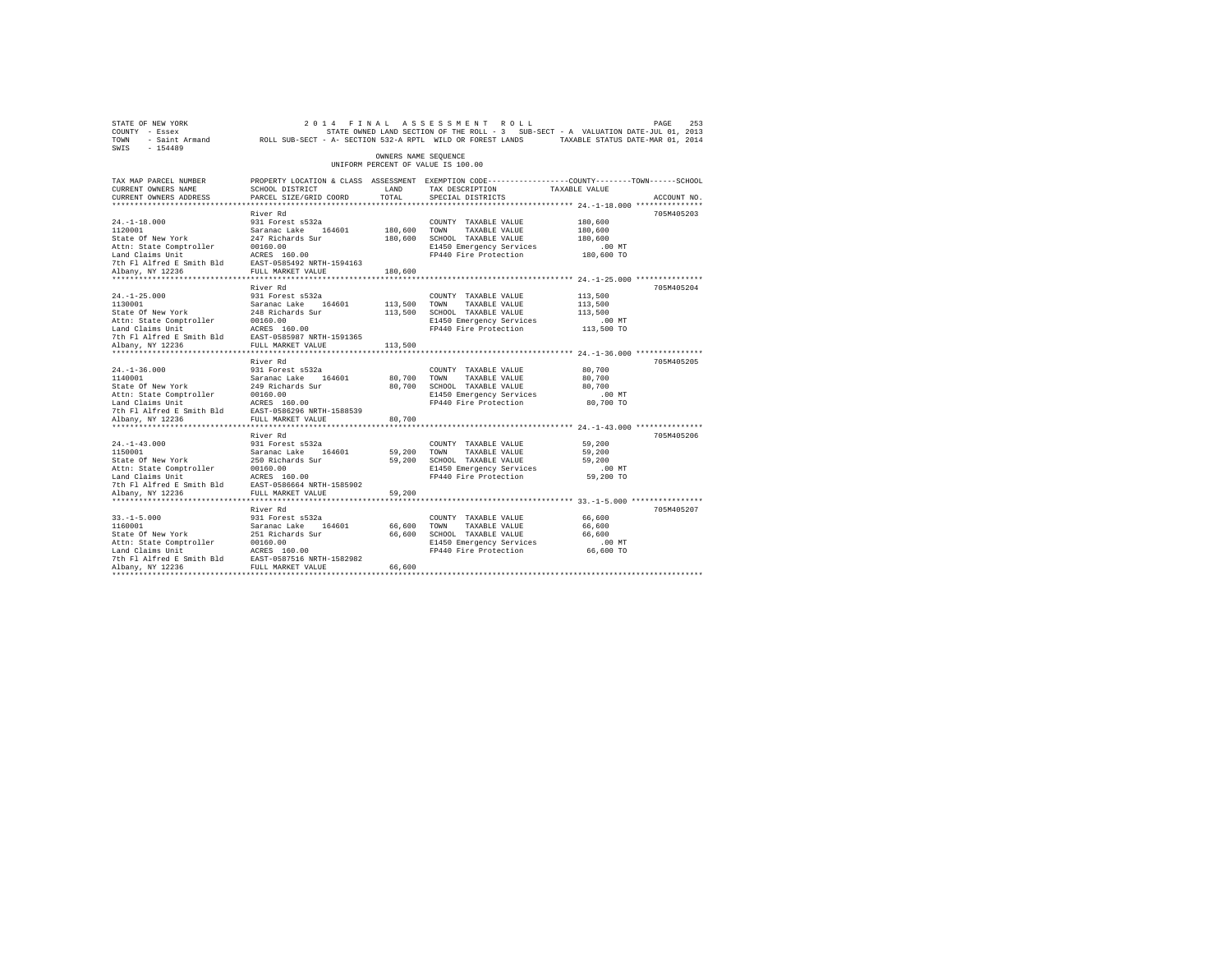| STATE OF NEW YORK<br>COUNTY - Essex<br>TOWN - Saint Armand ROLL SUB-SECT - A-SECTION 532-A RPTL WILD OR FOREST LANDS TAXABLE STATUS DATE-MAR 01, 2014<br>SWIS - 154489                                                                                           |                                                                                                                                               |                                    | 2014 FINAL ASSESSMENT ROLL<br>STATE OWNED LAND SECTION OF THE ROLL - 3 SUB-SECT - A VALUATION DATE-JUL 01, 2013                       |                                                     | PAGE<br>253 |
|------------------------------------------------------------------------------------------------------------------------------------------------------------------------------------------------------------------------------------------------------------------|-----------------------------------------------------------------------------------------------------------------------------------------------|------------------------------------|---------------------------------------------------------------------------------------------------------------------------------------|-----------------------------------------------------|-------------|
|                                                                                                                                                                                                                                                                  |                                                                                                                                               | OWNERS NAME SEQUENCE               | UNIFORM PERCENT OF VALUE IS 100.00                                                                                                    |                                                     |             |
| TAX MAP PARCEL NUMBER<br>CURRENT OWNERS NAME<br>CURRENT OWNERS ADDRESS                                                                                                                                                                                           | PROPERTY LOCATION & CLASS ASSESSMENT EXEMPTION CODE----------------COUNTY-------TOWN------SCHOOL<br>SCHOOL DISTRICT<br>PARCEL SIZE/GRID COORD | LAND<br>TOTAL                      | TAX DESCRIPTION<br>SPECIAL DISTRICTS                                                                                                  | TAXABLE VALUE                                       | ACCOUNT NO. |
| $24. -1 - 18.000$<br>1120001<br>State Of New York<br>Attn: State Comptroller<br>Land Claims Unit<br>Land Claims Unit<br>1981 - Land Claims Unit Bld Bast-0585492 NRTH-1594163<br>Albany, NY 12236 - FULL MARKET VALUE                                            | River Rd<br>931 Forest s532a<br>Saranac Lake 164601<br>247 Richards Sur<br>00160.00                                                           | 180,600 TOWN                       | COUNTY TAXABLE VALUE<br>TAXABLE VALUE<br>180,600 SCHOOL TAXABLE VALUE<br>E1450 Emergency Services<br>FP440 Fire Protection 180,600 TO | 180,600<br>180,600<br>180,600<br>$.00$ MT           | 705M405203  |
| $24. -1 - 25.000$<br>1130001<br>State Of New York<br>Attn: State Comptroller 00160.00<br>Land Claims Unit 100160.00<br>The Flalfred E Smith Bld EAST-0585987 NRTH-1591365<br>7th Flalfred E Smith Bld EAST-0585987 NALUE<br>Albany, NY 12236<br>Albany, NY 12236 | River Rd<br>931 Forest s532a<br>Saranac Lake 164601<br>248 Richards Sur<br>FULL MARKET VALUE                                                  | 180,600<br>113,500 TOWN<br>113,500 | COUNTY TAXABLE VALUE<br>TAXABLE VALUE<br>113,500 SCHOOL TAXABLE VALUE<br>E1450 Emergency Services<br>FP440 Fire Protection 113,500 TO | 113,500<br>113,500<br>113,500<br>$.00$ MT           | 705M405204  |
| $24. - 1 - 36.000$<br>Albany, NY 12236                                                                                                                                                                                                                           | River Rd<br>931 Forest s532a<br>FULL MARKET VALUE<br>**************************                                                               | 80,700<br>80,700                   | COUNTY TAXABLE VALUE<br>TOWN<br>TAXABLE VALUE<br>80,700 SCHOOL TAXABLE VALUE<br>E1450 Emergency Services<br>FP440 Fire Protection     | 80,700<br>80,700<br>80,700<br>.00 MT<br>80,700 TO   | 705M405205  |
| $24. -1 - 43.000$<br>1150001<br>State Of New York<br>Albany, NY 12236                                                                                                                                                                                            | River Rd<br>931 Forest s532a<br>Saranac Lake 164601<br>250 Richards Sur<br>FULL MARKET VALUE                                                  | 59,200 TOWN<br>59,200              | COUNTY TAXABLE VALUE<br>TAXABLE VALUE<br>59,200 SCHOOL TAXABLE VALUE<br>E1450 Emergency Services<br>FP440 Fire Protection             | 59,200<br>59,200<br>59,200<br>$.00$ MT<br>59,200 TO | 705M405206  |
| $33. -1 - 5.000$<br>1160001<br>State Of New York<br>Attn: State Comptroller 00160.00<br>Land Claims Unit ACRES 160.00<br>7th Fl Alfred E Smith Bld EAST-0587516 NRTH-1582982<br>Albany, NY 12236<br>Albany, NY 12236                                             | River Rd<br>931 Forest s532a<br>Saranac Lake 164601<br>251 Richards Sur<br>FULL MARKET VALUE                                                  | 66,600 TOWN<br>66,600<br>66,600    | COUNTY TAXABLE VALUE<br>TAXABLE VALUE<br>SCHOOL TAXABLE VALUE<br>E1450 Emergency Services<br>FP440 Fire Protection 66,600 TO          | 66,600<br>66,600<br>66,600<br>$.00$ MT              | 705M405207  |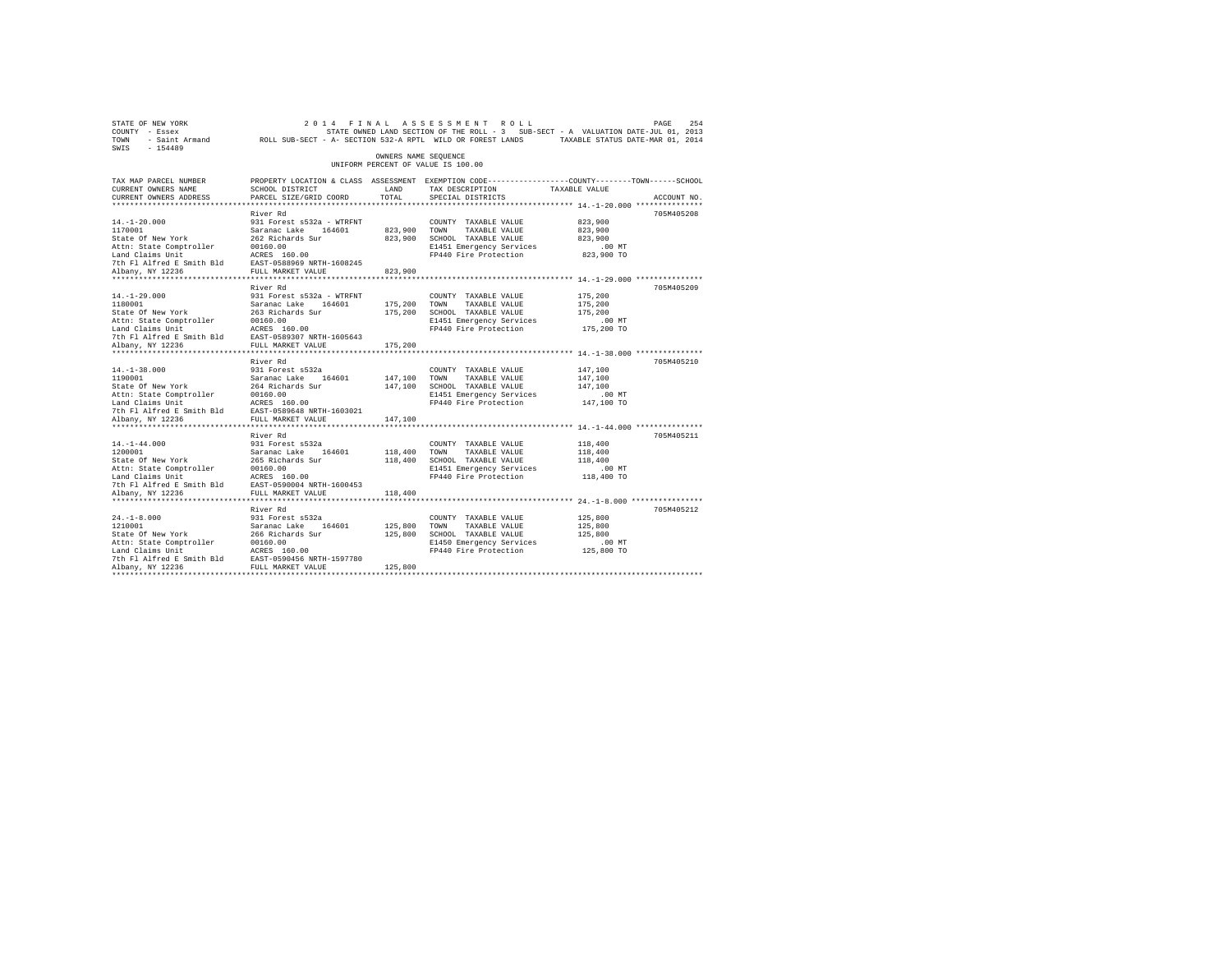| STATE OF NEW YORK<br>COUNTY - Essex<br>TOWN - Saint Armand ROLL SUB-SECT - A- SECTION 532-A RPTL WILD OR FOREST LANDS TAXABLE STATUS DATE-MAR 01, 2014<br>SWIS - 154489 |                                                                                                                                               |                      | 2014 FINAL ASSESSMENT ROLL<br>STATE OWNED LAND SECTION OF THE ROLL - 3 SUB-SECT - A VALUATION DATE-JUL 01, 2013 |                        | 254<br>PAGE |
|-------------------------------------------------------------------------------------------------------------------------------------------------------------------------|-----------------------------------------------------------------------------------------------------------------------------------------------|----------------------|-----------------------------------------------------------------------------------------------------------------|------------------------|-------------|
|                                                                                                                                                                         |                                                                                                                                               | OWNERS NAME SEQUENCE | UNIFORM PERCENT OF VALUE IS 100.00                                                                              |                        |             |
| TAX MAP PARCEL NUMBER<br>CURRENT OWNERS NAME<br>CURRENT OWNERS ADDRESS                                                                                                  | PROPERTY LOCATION & CLASS ASSESSMENT EXEMPTION CODE----------------COUNTY-------TOWN------SCHOOL<br>SCHOOL DISTRICT<br>PARCEL SIZE/GRID COORD | LAND<br>TOTAL        | TAX DESCRIPTION TAXABLE VALUE<br>SPECIAL DISTRICTS                                                              |                        | ACCOUNT NO. |
|                                                                                                                                                                         |                                                                                                                                               |                      |                                                                                                                 |                        |             |
|                                                                                                                                                                         | River Rd                                                                                                                                      |                      |                                                                                                                 |                        | 705M405208  |
| $14. - 1 - 20.000$                                                                                                                                                      | 931 Forest s532a - WTRFNT                                                                                                                     |                      | COUNTY TAXABLE VALUE                                                                                            | 823,900                |             |
| 1170001                                                                                                                                                                 | Saranac Lake 164601                                                                                                                           | 823,900 TOWN         | TAXABLE VALUE                                                                                                   | 823,900                |             |
| State Of New York                                                                                                                                                       | 262 Richards Sur<br>00160.00                                                                                                                  |                      | 823,900 SCHOOL TAXABLE VALUE                                                                                    | 823,900                |             |
| Attn: State Comptroller<br>Land Claims Unit                                                                                                                             | ACRES 160.00                                                                                                                                  |                      | E1451 Emergency Services<br>FP440 Fire Protection                                                               | $.00$ MT<br>823,900 TO |             |
| 7th Fl Alfred E Smith Bld EAST-0588969 NRTH-1608245                                                                                                                     |                                                                                                                                               |                      |                                                                                                                 |                        |             |
| Albany, NY 12236                                                                                                                                                        | FULL MARKET VALUE                                                                                                                             | 823,900              |                                                                                                                 |                        |             |
|                                                                                                                                                                         |                                                                                                                                               |                      |                                                                                                                 |                        |             |
|                                                                                                                                                                         | River Rd                                                                                                                                      |                      |                                                                                                                 |                        | 705M405209  |
| $14. - 1 - 29.000$                                                                                                                                                      | 931 Forest s532a - WTRFNT                                                                                                                     |                      | COUNTY TAXABLE VALUE                                                                                            | 175,200                |             |
| 1180001                                                                                                                                                                 | Saranac Lake 164601                                                                                                                           | 175,200 TOWN         | TAXABLE VALUE                                                                                                   | 175,200                |             |
| State Of New York                                                                                                                                                       | 263 Richards Sur                                                                                                                              |                      | 175,200 SCHOOL TAXABLE VALUE                                                                                    | 175,200                |             |
| Attn: State Comptroller<br>Land Claims Unit                                                                                                                             | 00160.00<br>ACRES 160.00                                                                                                                      |                      | E1451 Emergency Services<br>FP440 Fire Protection                                                               | $.00$ MT<br>175,200 TO |             |
| 7th Fl Alfred E Smith Bld EAST-0589307 NRTH-1605643                                                                                                                     |                                                                                                                                               |                      |                                                                                                                 |                        |             |
| Albany, NY 12236                                                                                                                                                        | FULL MARKET VALUE                                                                                                                             | 175,200              |                                                                                                                 |                        |             |
|                                                                                                                                                                         |                                                                                                                                               |                      |                                                                                                                 |                        |             |
|                                                                                                                                                                         | River Rd                                                                                                                                      |                      |                                                                                                                 |                        | 705M405210  |
| $14. -1 - 38.000$                                                                                                                                                       | 931 Forest s532a                                                                                                                              |                      | COUNTY TAXABLE VALUE                                                                                            | 147,100                |             |
| 1190001<br>State Of New York                                                                                                                                            | Saranac Lake 164601                                                                                                                           | 147,100 TOWN         | TAXABLE VALUE                                                                                                   | 147.100                |             |
|                                                                                                                                                                         | 264 Richards Sur                                                                                                                              |                      | 147,100 SCHOOL TAXABLE VALUE                                                                                    | 147,100                |             |
| Attn: State Comptroller<br>Land Claims Unit                                                                                                                             | 00160.00<br>ACRES 160.00                                                                                                                      |                      | E1451 Emergency Services<br>FP440 Fire Protection                                                               | $.00$ MT<br>147,100 TO |             |
| 7th Fl Alfred E Smith Bld                                                                                                                                               | EAST-0589648 NRTH-1603021                                                                                                                     |                      |                                                                                                                 |                        |             |
| Albany, NY 12236                                                                                                                                                        | FULL MARKET VALUE                                                                                                                             | 147,100              |                                                                                                                 |                        |             |
|                                                                                                                                                                         |                                                                                                                                               |                      |                                                                                                                 |                        |             |
|                                                                                                                                                                         | River Rd                                                                                                                                      |                      |                                                                                                                 |                        | 705M405211  |
| $14. - 1 - 44.000$                                                                                                                                                      | 931 Forest s532a                                                                                                                              |                      | COUNTY TAXABLE VALUE                                                                                            | 118,400                |             |
| 1200001                                                                                                                                                                 | Saranac Lake 164601                                                                                                                           | 118,400 TOWN         | TAXABLE VALUE                                                                                                   | 118,400                |             |
| State Of New York                                                                                                                                                       | 265 Richards Sur                                                                                                                              |                      | 118,400 SCHOOL TAXABLE VALUE                                                                                    | 118,400                |             |
| Attn: State Comptroller<br>Land Claims Unit                                                                                                                             | 00160.00<br>ACRES 160.00                                                                                                                      |                      | E1451 Emergency Services<br>FP440 Fire Protection                                                               | $.00$ MT<br>118,400 TO |             |
| 7th Fl Alfred E Smith Bld EAST-0590004 NRTH-1600453                                                                                                                     |                                                                                                                                               |                      |                                                                                                                 |                        |             |
| Albany, NY 12236                                                                                                                                                        | FULL MARKET VALUE                                                                                                                             | 118,400              |                                                                                                                 |                        |             |
|                                                                                                                                                                         |                                                                                                                                               |                      |                                                                                                                 |                        |             |
|                                                                                                                                                                         | River Rd                                                                                                                                      |                      |                                                                                                                 |                        | 705M405212  |
| $24. -1 - 8.000$                                                                                                                                                        | 931 Forest s532a                                                                                                                              |                      | COUNTY TAXABLE VALUE                                                                                            | 125,800                |             |
| 1210001                                                                                                                                                                 | Saranac Lake 164601                                                                                                                           | 125,800 TOWN         | TAXABLE VALUE                                                                                                   | 125,800                |             |
| State Of New York                                                                                                                                                       | 266 Richards Sur                                                                                                                              |                      | 125,800 SCHOOL TAXABLE VALUE                                                                                    | 125,800                |             |
| Attn: State Comptroller                                                                                                                                                 | 00160.00<br>ACRES 160.00                                                                                                                      |                      | E1450 Emergency Services                                                                                        | $.00$ MT               |             |
| Land Claims Unit<br>7th Fl Alfred E Smith Bld EAST-0590456 NRTH-1597780                                                                                                 |                                                                                                                                               |                      | FP440 Fire Protection                                                                                           | 125,800 TO             |             |
| Albany, NY 12236                                                                                                                                                        | FULL MARKET VALUE                                                                                                                             | 125,800              |                                                                                                                 |                        |             |
|                                                                                                                                                                         |                                                                                                                                               |                      |                                                                                                                 |                        |             |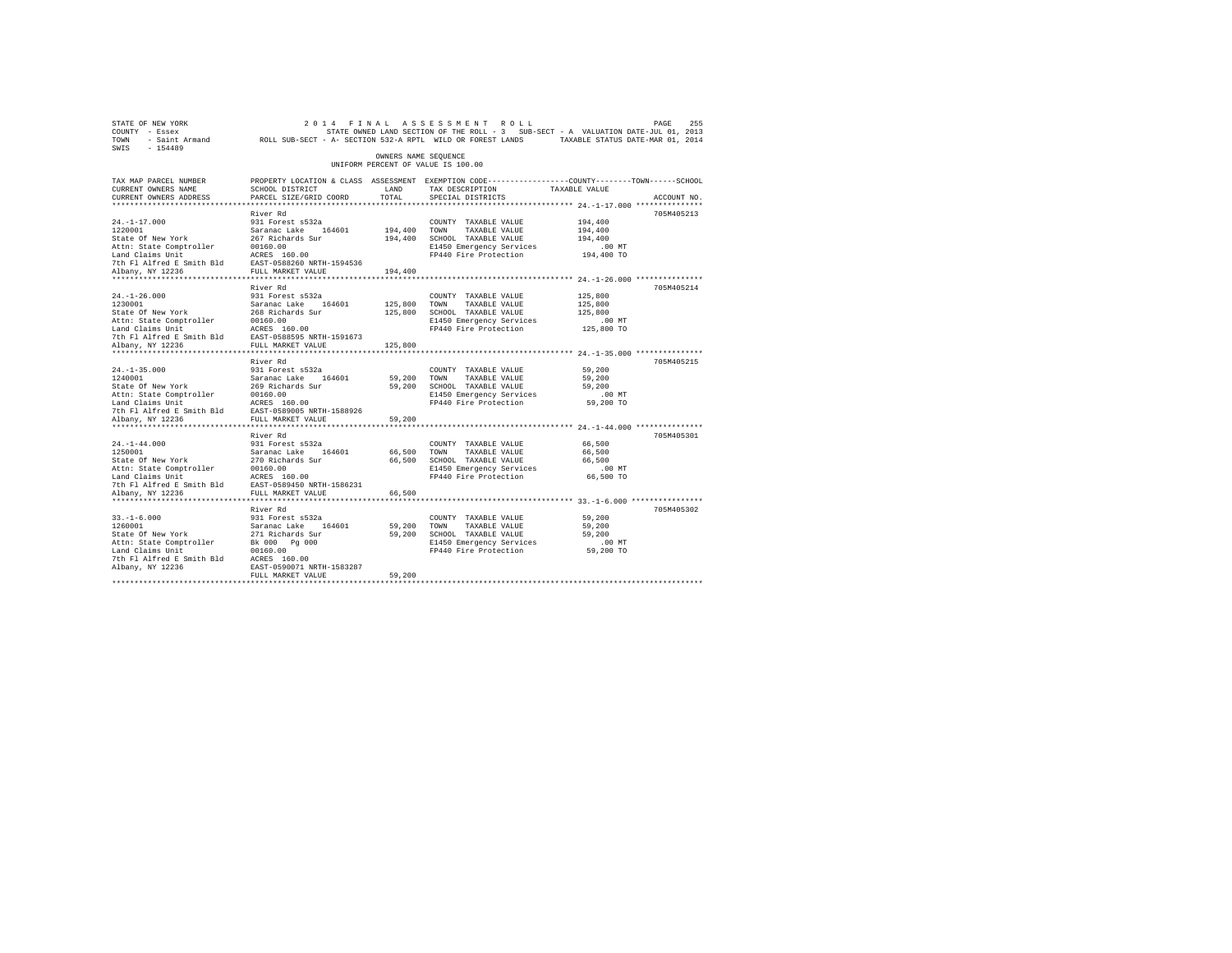| STATE OF NEW YORK<br>COUNTY - Essex<br>TOWN<br>$-154489$<br>SWIS |                                   |            | 2014 FINAL ASSESSMENT ROLL<br>STATE OWNED LAND SECTION OF THE ROLL - 3 SUB-SECT - A VALUATION DATE-JUL 01, 2013<br>- Saint Armand ROLL SUB-SECT - A- SECTION 532-A RPTL WILD OR FOREST LANDS | TAXABLE STATUS DATE-MAR 01, 2014 | 255<br>PAGE |  |  |  |
|------------------------------------------------------------------|-----------------------------------|------------|----------------------------------------------------------------------------------------------------------------------------------------------------------------------------------------------|----------------------------------|-------------|--|--|--|
| OWNERS NAME SEOUENCE<br>UNIFORM PERCENT OF VALUE IS 100.00       |                                   |            |                                                                                                                                                                                              |                                  |             |  |  |  |
| TAX MAP PARCEL NUMBER<br>CURRENT OWNERS NAME                     | SCHOOL DISTRICT                   | LAND       | PROPERTY LOCATION & CLASS ASSESSMENT EXEMPTION CODE---------------COUNTY-------TOWN------SCHOOL<br>TAX DESCRIPTION                                                                           | TAXABLE VALUE                    |             |  |  |  |
| CURRENT OWNERS ADDRESS                                           | PARCEL SIZE/GRID COORD            | TOTAL.     | SPECIAL DISTRICTS                                                                                                                                                                            |                                  | ACCOUNT NO. |  |  |  |
|                                                                  |                                   |            |                                                                                                                                                                                              |                                  |             |  |  |  |
|                                                                  | River Rd                          |            |                                                                                                                                                                                              |                                  | 705M405213  |  |  |  |
| $24. -1 - 17.000$                                                | 931 Forest s532a                  |            | COUNTY TAXABLE VALUE                                                                                                                                                                         | 194,400                          |             |  |  |  |
| 1220001                                                          | Saranac Lake 164601               | 194,400    | TOWN<br>TAXABLE VALUE                                                                                                                                                                        | 194,400                          |             |  |  |  |
| State Of New York                                                | 267 Richards Sur                  | 194,400    | SCHOOL TAXABLE VALUE                                                                                                                                                                         | 194,400                          |             |  |  |  |
| Attn: State Comptroller                                          | 00160.00                          |            | E1450 Emergency Services                                                                                                                                                                     | $.00$ MT                         |             |  |  |  |
| Land Claims Unit                                                 | ACRES 160.00                      |            | FP440 Fire Protection                                                                                                                                                                        | 194,400 TO                       |             |  |  |  |
| 7th Fl Alfred E Smith Bld                                        | EAST-0588260 NRTH-1594536         |            |                                                                                                                                                                                              |                                  |             |  |  |  |
| Albany, NY 12236                                                 | FULL MARKET VALUE                 | 194,400    |                                                                                                                                                                                              |                                  |             |  |  |  |
|                                                                  |                                   |            |                                                                                                                                                                                              |                                  |             |  |  |  |
| $24. -1 - 26.000$                                                | River Rd<br>931 Forest s532a      |            |                                                                                                                                                                                              |                                  | 705M405214  |  |  |  |
| 1230001                                                          | Saranac Lake 164601               | 125,800    | COUNTY TAXABLE VALUE<br>TOWN<br>TAXABLE VALUE                                                                                                                                                | 125,800<br>125,800               |             |  |  |  |
| State Of New York                                                | 268 Richards Sur                  | 125,800    | SCHOOL TAXABLE VALUE                                                                                                                                                                         | 125,800                          |             |  |  |  |
| Attn: State Comptroller                                          | 00160.00                          |            | E1450 Emergency Services                                                                                                                                                                     | .00MT                            |             |  |  |  |
| Land Claims Unit                                                 | ACRES 160.00                      |            | FP440 Fire Protection                                                                                                                                                                        | 125,800 TO                       |             |  |  |  |
| 7th Fl Alfred E Smith Bld                                        | EAST-0588595 NRTH-1591673         |            |                                                                                                                                                                                              |                                  |             |  |  |  |
| Albany, NY 12236                                                 | FULL MARKET VALUE                 | 125,800    |                                                                                                                                                                                              |                                  |             |  |  |  |
| *************************                                        | **********************            | ********** | *************************** 24.-1-35.000 ***************                                                                                                                                     |                                  |             |  |  |  |
|                                                                  | River Rd                          |            |                                                                                                                                                                                              |                                  | 705M405215  |  |  |  |
| $24. -1 - 35.000$                                                | 931 Forest s532a                  |            | COUNTY TAXABLE VALUE                                                                                                                                                                         | 59,200                           |             |  |  |  |
| 1240001                                                          | Saranac Lake 164601               | 59,200     | TOWN<br>TAXABLE VALUE                                                                                                                                                                        | 59,200                           |             |  |  |  |
| State Of New York                                                | 269 Richards Sur                  | 59,200     | SCHOOL TAXABLE VALUE                                                                                                                                                                         | 59,200                           |             |  |  |  |
| Attn: State Comptroller                                          | 00160.00                          |            | E1450 Emergency Services                                                                                                                                                                     | $.00$ MT                         |             |  |  |  |
| Land Claims Unit                                                 | ACRES 160.00                      |            | FP440 Fire Protection                                                                                                                                                                        | 59,200 TO                        |             |  |  |  |
| 7th Fl Alfred E Smith Bld                                        | EAST-0589005 NRTH-1588926         |            |                                                                                                                                                                                              |                                  |             |  |  |  |
| Albany, NY 12236                                                 | FULL MARKET VALUE                 | 59,200     |                                                                                                                                                                                              |                                  |             |  |  |  |
| **********************                                           | **********************            |            | ********************************* 24.-1-44.000 ****************                                                                                                                              |                                  |             |  |  |  |
|                                                                  | River Rd                          |            |                                                                                                                                                                                              |                                  | 705M405301  |  |  |  |
| $24. -1 - 44.000$                                                | 931 Forest s532a                  |            | COUNTY TAXABLE VALUE                                                                                                                                                                         | 66,500                           |             |  |  |  |
| 1250001                                                          | Saranac Lake 164601               | 66,500     | TAXABLE VALUE<br>TOWN                                                                                                                                                                        | 66,500                           |             |  |  |  |
| State Of New York                                                | 270 Richards Sur                  | 66,500     | SCHOOL TAXABLE VALUE                                                                                                                                                                         | 66,500                           |             |  |  |  |
| Attn: State Comptroller                                          | 00160.00                          |            | E1450 Emergency Services                                                                                                                                                                     | .00MT                            |             |  |  |  |
| Land Claims Unit                                                 | ACRES 160.00                      |            | FP440 Fire Protection                                                                                                                                                                        | 66,500 TO                        |             |  |  |  |
| 7th Fl Alfred E Smith Bld                                        | EAST-0589450 NRTH-1586231         |            |                                                                                                                                                                                              |                                  |             |  |  |  |
| Albany, NY 12236                                                 | FULL MARKET VALUE                 | 66,500     |                                                                                                                                                                                              |                                  |             |  |  |  |
|                                                                  |                                   |            |                                                                                                                                                                                              |                                  |             |  |  |  |
|                                                                  | River Rd                          |            |                                                                                                                                                                                              |                                  | 705M405302  |  |  |  |
| $33. - 1 - 6.000$                                                | 931 Forest s532a                  |            | COUNTY TAXABLE VALUE                                                                                                                                                                         | 59,200                           |             |  |  |  |
| 1260001                                                          | Saranac Lake<br>164601            | 59,200     | TOWN<br>TAXABLE VALUE                                                                                                                                                                        | 59,200                           |             |  |  |  |
| State Of New York                                                | 271 Richards Sur<br>Bk 000 Pg 000 | 59,200     | SCHOOL TAXABLE VALUE                                                                                                                                                                         | 59,200                           |             |  |  |  |
| Attn: State Comptroller<br>Land Claims Unit                      | 00160.00                          |            | E1450 Emergency Services<br>FP440 Fire Protection                                                                                                                                            | $.00$ MT<br>59,200 TO            |             |  |  |  |
| 7th Fl Alfred E Smith Bld                                        | ACRES 160.00                      |            |                                                                                                                                                                                              |                                  |             |  |  |  |
| Albany, NY 12236                                                 | EAST-0590071 NRTH-1583287         |            |                                                                                                                                                                                              |                                  |             |  |  |  |
|                                                                  | FULL MARKET VALUE                 | 59,200     |                                                                                                                                                                                              |                                  |             |  |  |  |
|                                                                  |                                   |            |                                                                                                                                                                                              |                                  |             |  |  |  |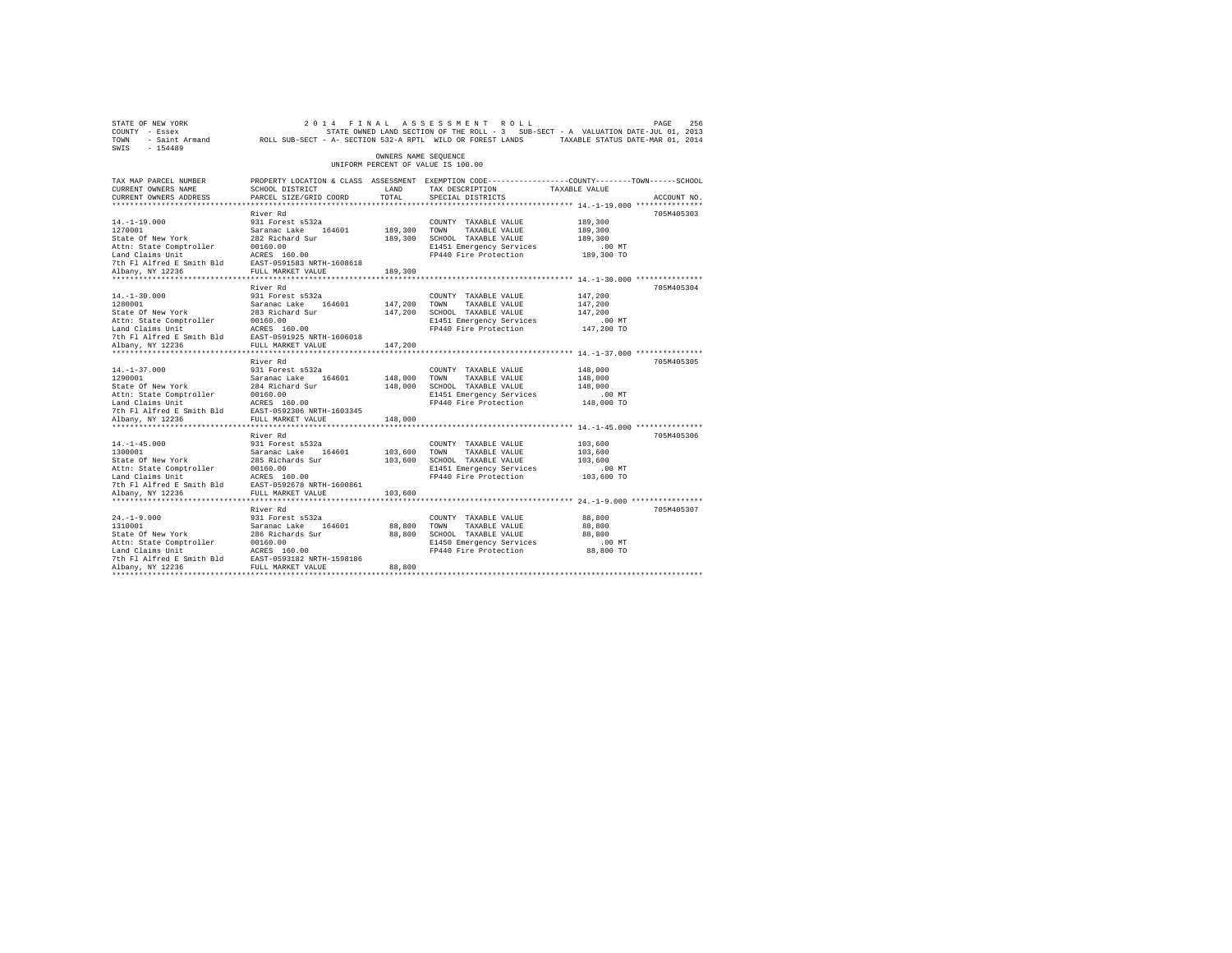| STATE OF NEW YORK<br>COUNTY - Essex<br>TOWN - Saint Armand ROLL SUB-SECT - A- SECTION 532-A RPTL WILD OR FOREST LANDS TAXABLE STATUS DATE-MAR 01, 2014<br>SWIS - 154489                                                                                        |                                                                                                                                               |                         | 2014 FINAL ASSESSMENT ROLL<br>STATE OWNED LAND SECTION OF THE ROLL - 3 SUB-SECT - A VALUATION DATE-JUL 01, 2013                     |                                                         | PAGE<br>256 |
|----------------------------------------------------------------------------------------------------------------------------------------------------------------------------------------------------------------------------------------------------------------|-----------------------------------------------------------------------------------------------------------------------------------------------|-------------------------|-------------------------------------------------------------------------------------------------------------------------------------|---------------------------------------------------------|-------------|
|                                                                                                                                                                                                                                                                |                                                                                                                                               | OWNERS NAME SEQUENCE    | UNIFORM PERCENT OF VALUE IS 100.00                                                                                                  |                                                         |             |
| TAX MAP PARCEL NUMBER<br>CURRENT OWNERS NAME<br>CURRENT OWNERS ADDRESS                                                                                                                                                                                         | PROPERTY LOCATION & CLASS ASSESSMENT EXEMPTION CODE----------------COUNTY-------TOWN------SCHOOL<br>SCHOOL DISTRICT<br>PARCEL SIZE/GRID COORD | LAND<br>TOTAL           | TAX DESCRIPTION<br>SPECIAL DISTRICTS                                                                                                | TAXABLE VALUE                                           | ACCOUNT NO. |
|                                                                                                                                                                                                                                                                |                                                                                                                                               |                         |                                                                                                                                     |                                                         |             |
| $14. -1 - 19.000$<br>1270001<br>State Of New York<br>Attn: State Comptroller<br>Land Claims Unit                                                                                                                                                               | River Rd<br>931 Forest s532a<br>Saranac Lake 164601<br>282 Richard Sur<br>00160.00                                                            | 189,300 TOWN            | COUNTY TAXABLE VALUE<br>TAXABLE VALUE<br>189,300 SCHOOL TAXABLE VALUE<br>E1451 Emergency Services<br>FP440 Fire Protection          | 189,300<br>189,300<br>189,300<br>$.00$ MT<br>189,300 TO | 705M405303  |
| Land Claims Unit<br>7th Fl Alfred E Smith Bld EAST-0591583 NRTH-1608618<br>Albany, NY 12236 FULL MARKET VALUE<br>Albany, NY 12236                                                                                                                              | FULL MARKET VALUE                                                                                                                             | 189,300                 |                                                                                                                                     |                                                         |             |
| $14. - 1 - 30.000$<br>1280001<br>-------<br>State Of New York<br>Nature of the Comptroller and the Compton of Maria Chains Unit<br>Land Claims Unit MARS 160.00<br>7th Fl Alfred E Smith Bld EAST-0591925 NRTH-1606018<br>Albany, NY 12236<br>Albany, NY 12236 | River Rd<br>931 Forest s532a<br>Saranac Lake 164601<br>283 Richard Sur<br>FULL MARKET VALUE                                                   | 147,200 TOWN<br>147,200 | COUNTY TAXABLE VALUE<br>TAXABLE VALUE<br>147,200 SCHOOL TAXABLE VALUE<br>E1451 Emergency Services<br>FP440 Fire Protection          | 147,200<br>147,200<br>147,200<br>$.00$ MT<br>147,200 TO | 705M405304  |
|                                                                                                                                                                                                                                                                | River Rd                                                                                                                                      |                         |                                                                                                                                     |                                                         | 705M405305  |
| $14. - 1 - 37.000$                                                                                                                                                                                                                                             | 931 Forest s532a                                                                                                                              | 148,000 TOWN            | COUNTY TAXABLE VALUE<br>TAXABLE VALUE<br>148,000 SCHOOL TAXABLE VALUE<br>E1451 Emergency Services<br>FP440 Fire Protection          | 148,000<br>148,000<br>148,000<br>$.00$ MT<br>148,000 TO |             |
| Albany, NY 12236                                                                                                                                                                                                                                               | FULL MARKET VALUE                                                                                                                             | 148,000                 |                                                                                                                                     |                                                         |             |
|                                                                                                                                                                                                                                                                | **************************<br>River Rd                                                                                                        |                         |                                                                                                                                     |                                                         | 705M405306  |
| $14. - 1 - 45.000$<br>1300001<br>State Of New York<br>Albany, NY 12236                                                                                                                                                                                         | 931 Forest s532a<br>Saranac Lake 164601<br>285 Richards Sur<br>FULL MARKET VALUE                                                              | 103,600 TOWN<br>103,600 | COUNTY TAXABLE VALUE<br>TAXABLE VALUE<br>103,600 SCHOOL TAXABLE VALUE<br>E1451 Emergency Services<br>FP440 Fire Protection          | 103,600<br>103,600<br>103,600<br>$.00$ MT<br>103,600 TO |             |
|                                                                                                                                                                                                                                                                |                                                                                                                                               |                         |                                                                                                                                     |                                                         |             |
| $24. -1 - 9.000$<br>1310001<br>State Of New York<br>Attn: State Comptroller 00160.00<br>Land Claims Unit ACRES 160.00<br>7th Fl Alfred E Smith Bld EAST-0593182 NRTH-1598186<br>Albany, NY 12236                                                               | River Rd<br>931 Forest s532a<br>Saranac Lake 164601<br>286 Richards Sur                                                                       | 88,800 TOWN             | COUNTY TAXABLE VALUE<br>TAXABLE VALUE<br>88,800 SCHOOL TAXABLE VALUE<br>E1450 Emergency Services<br>FP440 Fire Protection 88,800 TO | 88,800<br>88,800<br>88,800<br>$.00$ MT                  | 705M405307  |
| Albany, NY 12236                                                                                                                                                                                                                                               |                                                                                                                                               | 88,800                  |                                                                                                                                     |                                                         |             |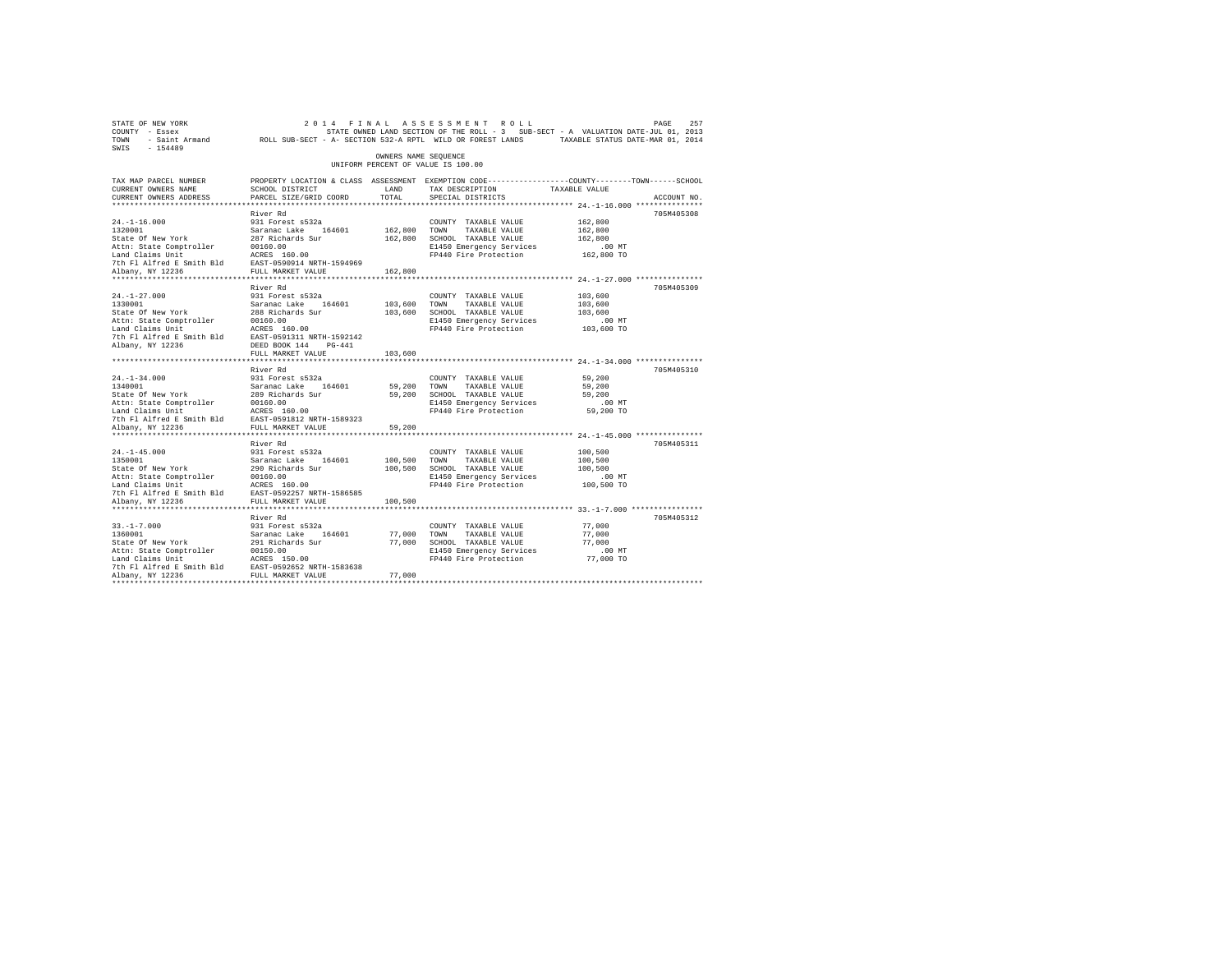| STATE OF NEW YORK<br>COUNTY - Essex<br>TOWN - Saint Armand ROLL SUB-SECT - A- SECTION 532-A RPTL WILD OR FOREST LANDS TAXABLE STATUS DATE-MAR 01, 2014<br>SWIS - 154489    |                                                                                                                                                                               |                                    | 2014 FINAL ASSESSMENT ROLL<br>STATE OWNED LAND SECTION OF THE ROLL - 3 SUB-SECT - A VALUATION DATE-JUL 01, 2013                         |                                                         | 257<br>PAGE |
|----------------------------------------------------------------------------------------------------------------------------------------------------------------------------|-------------------------------------------------------------------------------------------------------------------------------------------------------------------------------|------------------------------------|-----------------------------------------------------------------------------------------------------------------------------------------|---------------------------------------------------------|-------------|
|                                                                                                                                                                            |                                                                                                                                                                               | OWNERS NAME SEOUENCE               | UNIFORM PERCENT OF VALUE IS 100.00                                                                                                      |                                                         |             |
| TAX MAP PARCEL NUMBER<br>CURRENT OWNERS NAME<br>CURRENT OWNERS ADDRESS<br>************************                                                                         | SCHOOL DISTRICT<br>PARCEL SIZE/GRID COORD                                                                                                                                     | LAND<br>TOTAL.                     | PROPERTY LOCATION & CLASS ASSESSMENT EXEMPTION CODE----------------COUNTY-------TOWN-----SCHOOL<br>TAX DESCRIPTION<br>SPECIAL DISTRICTS | TAXABLE VALUE                                           | ACCOUNT NO. |
|                                                                                                                                                                            | River Rd                                                                                                                                                                      |                                    |                                                                                                                                         |                                                         | 705M405308  |
| $24. -1 - 16.000$<br>1320001<br>State Of New York<br>Attn: State Comptroller<br>Land Claims Unit<br>7th Fl Alfred E Smith Bld EAST-0590914 NRTH-1594969                    | 931 Forest s532a<br>Saranac Lake 164601<br>287 Richards Sur<br>00160.00<br>ACRES 160.00                                                                                       | 162,800 TOWN                       | COUNTY TAXABLE VALUE<br>TAXABLE VALUE<br>162,800 SCHOOL TAXABLE VALUE<br>E1450 Emergency Services<br>FP440 Fire Protection              | 162,800<br>162,800<br>162,800<br>$.00$ MT<br>162,800 TO |             |
| Albany, NY 12236                                                                                                                                                           | FULL MARKET VALUE                                                                                                                                                             | 162,800                            |                                                                                                                                         |                                                         |             |
| $24. -1 - 27.000$<br>1330001<br>State Of New York<br>Attn: State Comptroller<br>Land Claims Unit<br>7th Fl Alfred E Smith Bld<br>Albany, NY 12236                          | River Rd<br>931 Forest s532a<br>Saranac Lake 164601<br>288 Richards Sur<br>00160.00<br>ACRES 160.00<br>EAST-0591311 NRTH-1592142<br>DEED BOOK 144 PG-441<br>FULL MARKET VALUE | 103,600 TOWN<br>103,600<br>103,600 | COUNTY TAXABLE VALUE<br>TAXABLE VALUE<br>SCHOOL TAXABLE VALUE<br>E1450 Emergency Services<br>FP440 Fire Protection                      | 103,600<br>103,600<br>103,600<br>$.00$ MT<br>103,600 TO | 705M405309  |
|                                                                                                                                                                            | *************************                                                                                                                                                     |                                    |                                                                                                                                         |                                                         |             |
| $24. -1 - 34.000$<br>1340001<br>State Of New York<br>Attn: State Comptroller<br>Land Claims Unit<br>7th Fl Alfred E Smith Bld EAST-0591812 NRTH-1589323                    | River Rd<br>931 Forest s532a<br>Saranac Lake 164601<br>289 Richards Sur<br>00160.00<br>ACRES 160.00                                                                           | 59,200                             | COUNTY TAXABLE VALUE<br>TOWN<br>TAXABLE VALUE<br>59,200 SCHOOL TAXABLE VALUE<br>E1450 Emergency Services<br>FP440 Fire Protection       | 59,200<br>59,200<br>59,200<br>$.00$ MT<br>59,200 TO     | 705M405310  |
| Albany, NY 12236                                                                                                                                                           | FULL MARKET VALUE                                                                                                                                                             | 59,200                             |                                                                                                                                         |                                                         |             |
| $24. -1 - 45.000$<br>1350001<br>State Of New York<br>Attn: State Comptroller<br>Land Claims Unit<br>7th Fl Alfred E Smith Bld<br>Albany, NY 12236                          | River Rd<br>931 Forest s532a<br>Saranac Lake 164601<br>290 Richards Sur<br>00160.00<br>ACRES 160.00<br>EAST-0592257 NRTH-1586585<br>FULL MARKET VALUE                         | 100,500<br>100,500<br>100,500      | COUNTY TAXABLE VALUE<br>TOWN<br>TAXABLE VALUE<br>SCHOOL TAXABLE VALUE<br>E1450 Emergency Services<br>FP440 Fire Protection              | 100,500<br>100,500<br>100,500<br>$.00$ MT<br>100,500 TO | 705M405311  |
|                                                                                                                                                                            |                                                                                                                                                                               |                                    |                                                                                                                                         |                                                         |             |
| $33. -1 - 7.000$<br>1360001<br>State Of New York<br>Attn: State Comptroller<br>Land Claims Unit<br>7th Fl Alfred E Smith Bld EAST-0592652 NRTH-1583638<br>Albany, NY 12236 | River Rd<br>931 Forest s532a<br>Saranac Lake 164601<br>291 Richards Sur<br>00150.00<br>ACRES 150.00<br>FULL MARKET VALUE                                                      | 77,000<br>77,000                   | COUNTY TAXABLE VALUE<br>TOWN<br>TAXABLE VALUE<br>77,000 SCHOOL TAXABLE VALUE<br>E1450 Emergency Services<br>FP440 Fire Protection       | 77,000<br>77,000<br>77,000<br>.00 MT<br>77,000 TO       | 705M405312  |
|                                                                                                                                                                            |                                                                                                                                                                               |                                    |                                                                                                                                         |                                                         |             |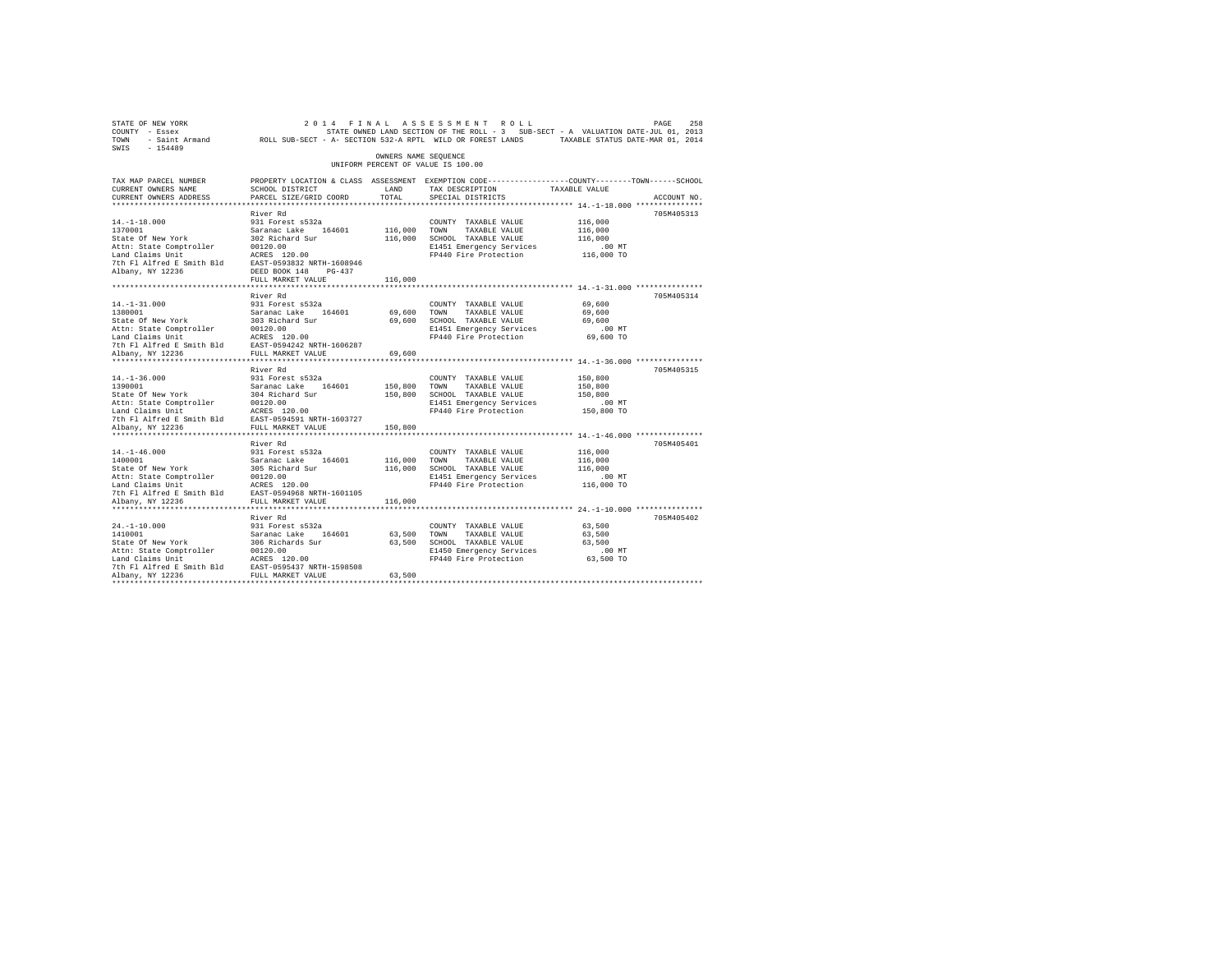| STATE OF NEW YORK                                                                                               |                                                                                                |                      | 2014 FINAL ASSESSMENT ROLL                                                        |               | PAGE<br>258 |
|-----------------------------------------------------------------------------------------------------------------|------------------------------------------------------------------------------------------------|----------------------|-----------------------------------------------------------------------------------|---------------|-------------|
| COUNTY - Essex                                                                                                  |                                                                                                |                      | STATE OWNED LAND SECTION OF THE ROLL - 3 SUB-SECT - A VALUATION DATE-JUL 01, 2013 |               |             |
| TOWN - Saint Armand ROLL SUB-SECT - A- SECTION 532-A RPTL WILD OR FOREST LANDS TAXABLE STATUS DATE-MAR 01, 2014 |                                                                                                |                      |                                                                                   |               |             |
| SWIS<br>$-154489$                                                                                               |                                                                                                |                      |                                                                                   |               |             |
|                                                                                                                 |                                                                                                | OWNERS NAME SEQUENCE | UNIFORM PERCENT OF VALUE IS 100.00                                                |               |             |
|                                                                                                                 |                                                                                                |                      |                                                                                   |               |             |
| TAX MAP PARCEL NUMBER                                                                                           | PROPERTY LOCATION & CLASS ASSESSMENT EXEMPTION CODE---------------COUNTY-------TOWN-----SCHOOL |                      |                                                                                   |               |             |
| CURRENT OWNERS NAME                                                                                             | SCHOOL DISTRICT                                                                                | LAND                 | TAX DESCRIPTION                                                                   | TAXABLE VALUE |             |
| CURRENT OWNERS ADDRESS                                                                                          | PARCEL SIZE/GRID COORD                                                                         | TOTAL                | SPECIAL DISTRICTS                                                                 |               | ACCOUNT NO. |
|                                                                                                                 |                                                                                                |                      |                                                                                   |               |             |
|                                                                                                                 | River Rd                                                                                       |                      |                                                                                   |               | 705M405313  |
| $14. -1 - 18.000$                                                                                               | 931 Forest s532a                                                                               |                      | COUNTY TAXABLE VALUE                                                              | 116,000       |             |
| 1370001                                                                                                         | Saranac Lake 164601                                                                            | 116,000              | TOWN<br>TAXABLE VALUE                                                             | 116,000       |             |
| State Of New York                                                                                               | 302 Richard Sur                                                                                | 116,000              | SCHOOL TAXABLE VALUE                                                              | 116,000       |             |
| Attn: State Comptroller                                                                                         | 00120.00                                                                                       |                      | E1451 Emergency Services                                                          | .00MT         |             |
| Land Claims Unit                                                                                                | ACRES 120.00                                                                                   |                      | FP440 Fire Protection                                                             | 116,000 TO    |             |
| 7th Fl Alfred E Smith Bld                                                                                       | EAST-0593832 NRTH-1608946                                                                      |                      |                                                                                   |               |             |
| Albany, NY 12236                                                                                                | DEED BOOK 148 PG-437                                                                           |                      |                                                                                   |               |             |
|                                                                                                                 | FULL MARKET VALUE                                                                              | 116,000              |                                                                                   |               |             |
|                                                                                                                 |                                                                                                |                      |                                                                                   |               |             |
| $14. - 1 - 31.000$                                                                                              | River Rd<br>931 Forest s532a                                                                   |                      | COUNTY TAXABLE VALUE                                                              | 69,600        | 705M405314  |
| 1380001                                                                                                         |                                                                                                |                      |                                                                                   |               |             |
|                                                                                                                 | Saranac Lake 164601                                                                            | 69,600               | TOWN<br>TAXABLE VALUE                                                             | 69,600        |             |
| State Of New York                                                                                               | 303 Richard Sur                                                                                | 69,600               | SCHOOL TAXABLE VALUE                                                              | 69,600        |             |
| Attn: State Comptroller                                                                                         | 00120.00<br>ACRES 120.00                                                                       |                      | E1451 Emergency Services                                                          | .00 MT        |             |
| Land Claims Unit<br>7th Fl Alfred E Smith Bld                                                                   | EAST-0594242 NRTH-1606287                                                                      |                      | FP440 Fire Protection                                                             | 69,600 TO     |             |
| Albany, NY 12236                                                                                                | FULL MARKET VALUE                                                                              | 69,600               |                                                                                   |               |             |
|                                                                                                                 |                                                                                                |                      |                                                                                   |               |             |
|                                                                                                                 | River Rd                                                                                       |                      |                                                                                   |               | 705M405315  |
| $14. - 1 - 36.000$                                                                                              | 931 Forest s532a                                                                               |                      | COUNTY TAXABLE VALUE                                                              | 150,800       |             |
| 1390001                                                                                                         | Saranac Lake 164601                                                                            | 150,800              | TOWN<br>TAXABLE VALUE                                                             | 150,800       |             |
| State Of New York                                                                                               | 304 Richard Sur                                                                                | 150,800              | SCHOOL TAXABLE VALUE                                                              | 150,800       |             |
| Attn: State Comptroller                                                                                         | 00120.00                                                                                       |                      | E1451 Emergency Services                                                          | $.00$ MT      |             |
| Land Claims Unit                                                                                                | ACRES 120.00                                                                                   |                      | FP440 Fire Protection                                                             | 150,800 TO    |             |
| 7th Fl Alfred E Smith Bld                                                                                       | EAST-0594591 NRTH-1603727                                                                      |                      |                                                                                   |               |             |
| Albany, NY 12236                                                                                                | FULL MARKET VALUE                                                                              | 150,800              |                                                                                   |               |             |
|                                                                                                                 |                                                                                                |                      |                                                                                   |               |             |
|                                                                                                                 | River Rd                                                                                       |                      |                                                                                   |               | 705M405401  |
| $14. - 1 - 46.000$                                                                                              | 931 Forest s532a                                                                               |                      | COUNTY TAXABLE VALUE                                                              | 116,000       |             |
| 1400001                                                                                                         | Saranac Lake 164601                                                                            | 116,000              | TOWN<br>TAXABLE VALUE                                                             | 116,000       |             |
| State Of New York                                                                                               | 305 Richard Sur                                                                                | 116,000              | SCHOOL TAXABLE VALUE                                                              | 116,000       |             |
| Attn: State Comptroller                                                                                         | 00120.00                                                                                       |                      | E1451 Emergency Services                                                          | $.00$ MT      |             |
| Land Claims Unit                                                                                                | ACRES 120.00                                                                                   |                      | FP440 Fire Protection                                                             | 116,000 TO    |             |
| 7th Fl Alfred E Smith Bld                                                                                       | EAST-0594968 NRTH-1601105                                                                      |                      |                                                                                   |               |             |
| Albany, NY 12236                                                                                                | FULL MARKET VALUE                                                                              | 116,000              |                                                                                   |               |             |
|                                                                                                                 |                                                                                                |                      |                                                                                   |               |             |
|                                                                                                                 | River Rd                                                                                       |                      |                                                                                   |               | 705M405402  |
| $24. -1 - 10.000$                                                                                               | 931 Forest s532a                                                                               |                      | COUNTY TAXABLE VALUE                                                              | 63,500        |             |
| 1410001                                                                                                         | Saranac Lake<br>164601                                                                         | 63,500               | TOWN<br>TAXABLE VALUE                                                             | 63,500        |             |
| State Of New York                                                                                               | 306 Richards Sur                                                                               |                      | 63,500 SCHOOL TAXABLE VALUE                                                       | 63,500        |             |
| Attn: State Comptroller                                                                                         | 00120.00                                                                                       |                      | E1450 Emergency Services                                                          | .00 MT        |             |
| Land Claims Unit                                                                                                | ACRES 120.00                                                                                   |                      | FP440 Fire Protection                                                             | 63,500 TO     |             |
| 7th Fl Alfred E Smith Bld                                                                                       | EAST-0595437 NRTH-1598508                                                                      |                      |                                                                                   |               |             |
| Albany, NY 12236                                                                                                | FULL MARKET VALUE                                                                              | 63,500               |                                                                                   |               |             |
| *************                                                                                                   |                                                                                                |                      |                                                                                   |               |             |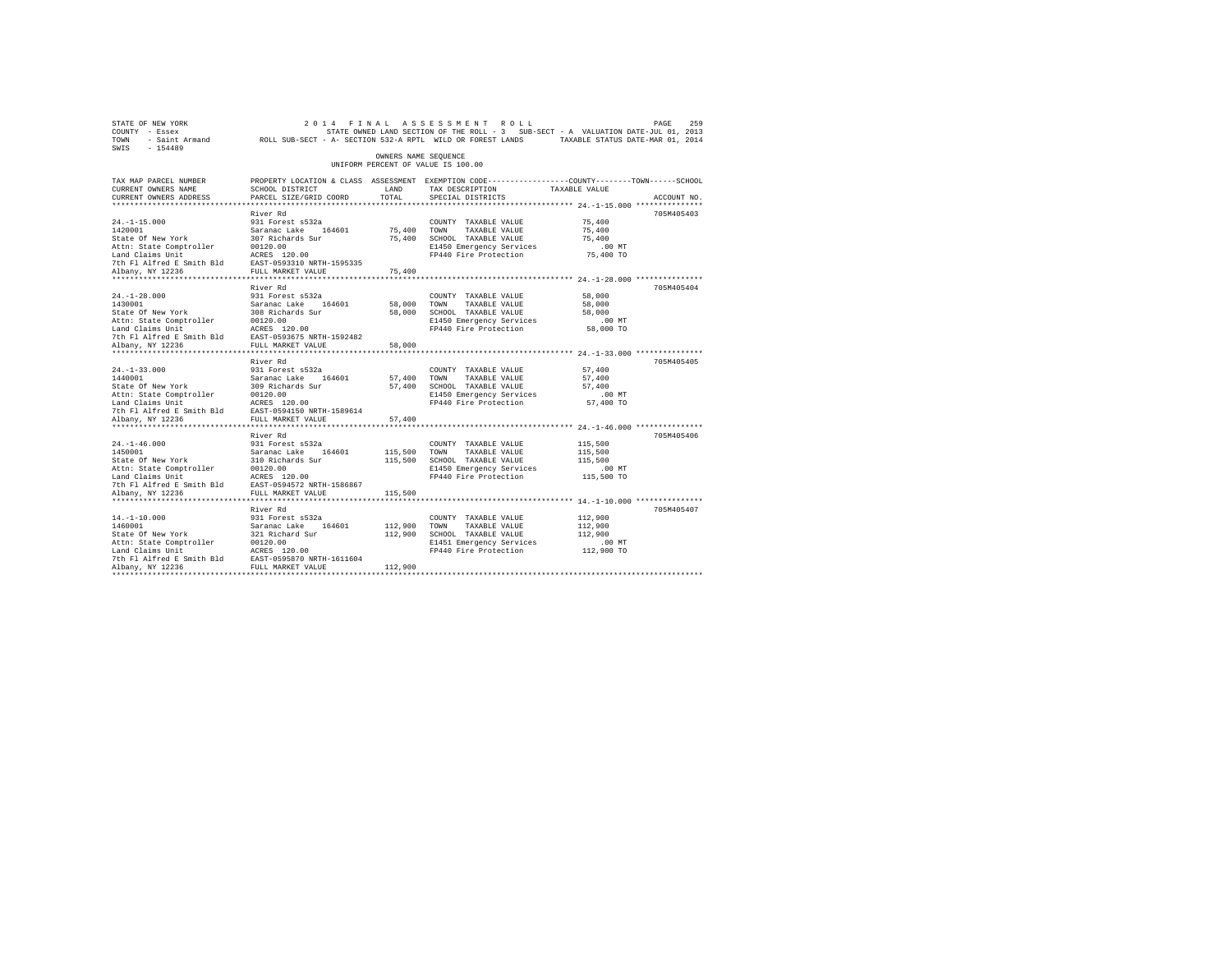| STATE OF NEW YORK<br>COUNTY - Essex<br>TOWN - Saint Armand ROLL SUB-SECT - A- SECTION 532-A RPTL WILD OR FOREST LANDS TAXABLE STATUS DATE-MAR 01, 2014<br>SWIS - 154489                                                                                   |                                                                                                     |                         | 2014 FINAL ASSESSMENT ROLL<br>STATE OWNED LAND SECTION OF THE ROLL - 3 SUB-SECT - A VALUATION DATE-JUL 01, 2013                          |                                                         | 259<br>PAGE |
|-----------------------------------------------------------------------------------------------------------------------------------------------------------------------------------------------------------------------------------------------------------|-----------------------------------------------------------------------------------------------------|-------------------------|------------------------------------------------------------------------------------------------------------------------------------------|---------------------------------------------------------|-------------|
|                                                                                                                                                                                                                                                           |                                                                                                     | OWNERS NAME SEQUENCE    | UNIFORM PERCENT OF VALUE IS 100.00                                                                                                       |                                                         |             |
| TAX MAP PARCEL NUMBER<br>CURRENT OWNERS NAME<br>CURRENT OWNERS ADDRESS                                                                                                                                                                                    | SCHOOL DISTRICT<br>PARCEL SIZE/GRID COORD                                                           | LAND<br>TOTAL           | PROPERTY LOCATION & CLASS ASSESSMENT EXEMPTION CODE----------------COUNTY-------TOWN------SCHOOL<br>TAX DESCRIPTION<br>SPECIAL DISTRICTS | TAXABLE VALUE                                           | ACCOUNT NO. |
|                                                                                                                                                                                                                                                           |                                                                                                     |                         |                                                                                                                                          |                                                         |             |
| $24. -1 - 15.000$<br>1420001<br>State Of New York<br>Attn: State Comptroller<br>Land Claims Unit                                                                                                                                                          | River Rd<br>931 Forest s532a<br>Saranac Lake 164601<br>307 Richards Sur<br>00120.00<br>ACRES 120.00 | 75,400 TOWN             | COUNTY TAXABLE VALUE<br>TAXABLE VALUE<br>75,400 SCHOOL TAXABLE VALUE<br>E1450 Emergency Services<br>FP440 Fire Protection                | 75,400<br>75,400<br>75,400<br>$.00$ MT<br>75,400 TO     | 705M405403  |
|                                                                                                                                                                                                                                                           |                                                                                                     | 75,400                  |                                                                                                                                          |                                                         |             |
| $24. -1 - 28.000$                                                                                                                                                                                                                                         | River Rd<br>931 Forest s532a                                                                        | 58,000 TOWN             | COUNTY TAXABLE VALUE<br>TAXABLE VALUE<br>58,000 SCHOOL TAXABLE VALUE<br>E1450 Emergency Services<br>FP440 Fire Protection 58,000 TO      | 58,000<br>58,000<br>58,000<br>.00MT                     | 705M405404  |
|                                                                                                                                                                                                                                                           |                                                                                                     | 58,000                  |                                                                                                                                          |                                                         |             |
| $24. -1 - 33.000$<br>1440001 Saranac Lake<br>State Of New York 309 Richards Sur<br>Attn: State Comptroller 00120.00<br>Land Claims Unit<br>The Plating Smith Bld EAST-0594150 NRTH-1589614                                                                | River Rd<br>931 Forest s532a                                                                        | 57,400 TOWN             | COUNTY TAXABLE VALUE<br>TAXABLE VALUE<br>57,400 SCHOOL TAXABLE VALUE<br>E1450 Emergency Services<br>FP440 Fire Protection                | 57,400<br>57,400<br>57,400<br>$.00$ MT<br>57,400 TO     | 705M405405  |
|                                                                                                                                                                                                                                                           | FULL MARKET VALUE                                                                                   |                         |                                                                                                                                          |                                                         |             |
| Albany, NY 12236                                                                                                                                                                                                                                          | ************************<br>River Rd                                                                | 57,400                  |                                                                                                                                          |                                                         | 705M405406  |
| $24. -1 - 46.000$<br>1450001<br>State Of New York<br>Albany, NY 12236                                                                                                                                                                                     | 931 Forest s532a<br>Saranac Lake 164601<br>310 Richards Sur<br>FULL MARKET VALUE                    | 115,500 TOWN<br>115,500 | COUNTY TAXABLE VALUE<br>TAXABLE VALUE<br>115,500 SCHOOL TAXABLE VALUE<br>E1450 Emergency Services<br>FP440 Fire Protection               | 115,500<br>115,500<br>115,500<br>$.00$ MT<br>115,500 TO |             |
|                                                                                                                                                                                                                                                           |                                                                                                     |                         |                                                                                                                                          |                                                         |             |
| $14. - 1 - 10.000$<br>1460001<br>State Of New York<br>Attn: State Comptroller 00120.00<br>Land Claims Unit ACRES 120.00<br>The Fl Alfred E Smith Bld EAST-0595870 NRTH-1611604<br>7th Fl Alfred E Smith Bld EAST-0595870 NRTH-1611604<br>Albany, NY 12236 | River Rd<br>931 Forest s532a<br>Saranac Lake 164601<br>321 Richard Sur                              | 112,900 TOWN            | COUNTY TAXABLE VALUE<br>TAXABLE VALUE<br>112,900 SCHOOL TAXABLE VALUE<br>E1451 Emergency Services<br>FP440 Fire Protection 112,900 TO    | 112,900<br>112,900<br>112,900<br>$.00$ MT               | 705M405407  |
| Albany, NY 12236                                                                                                                                                                                                                                          |                                                                                                     | 112,900                 |                                                                                                                                          |                                                         |             |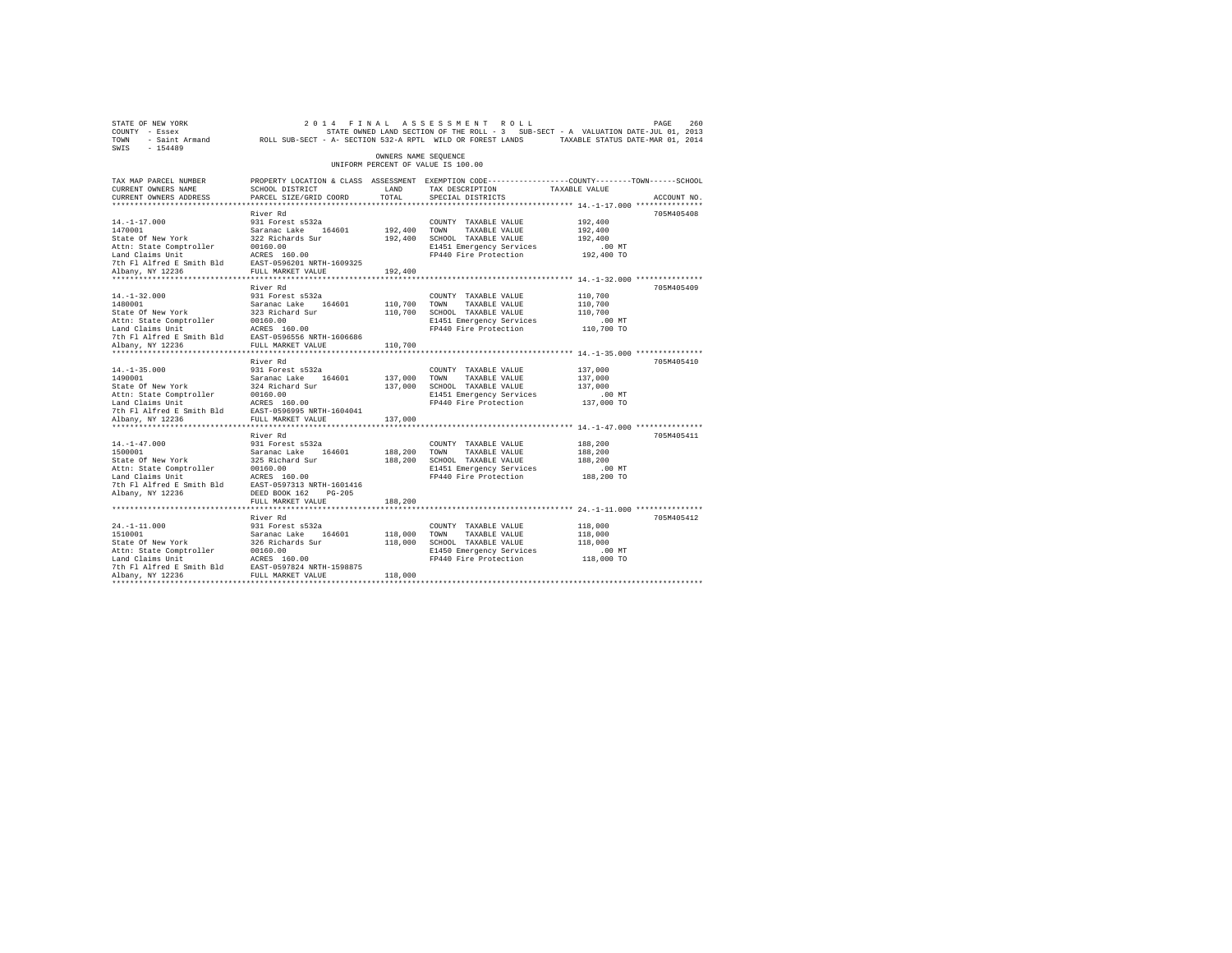| STATE OF NEW YORK<br>COUNTY - Essex<br>TOWN<br>$-154489$<br>SWIS                                                                                   | - Saint Armand ROLL SUB-SECT - A- SECTION 532-A RPTL WILD OR FOREST LANDS                                                                                       |                               | 2014 FINAL ASSESSMENT ROLL<br>STATE OWNED LAND SECTION OF THE ROLL - 3 SUB-SECT - A VALUATION DATE-JUL 01, 2013                         | TAXABLE STATUS DATE-MAR 01, 2014                        | 260<br>PAGE |
|----------------------------------------------------------------------------------------------------------------------------------------------------|-----------------------------------------------------------------------------------------------------------------------------------------------------------------|-------------------------------|-----------------------------------------------------------------------------------------------------------------------------------------|---------------------------------------------------------|-------------|
|                                                                                                                                                    |                                                                                                                                                                 | OWNERS NAME SEOUENCE          | UNIFORM PERCENT OF VALUE IS 100.00                                                                                                      |                                                         |             |
| TAX MAP PARCEL NUMBER<br>CURRENT OWNERS NAME<br>CURRENT OWNERS ADDRESS                                                                             | SCHOOL DISTRICT<br>PARCEL SIZE/GRID COORD                                                                                                                       | LAND<br>TOTAL.                | PROPERTY LOCATION & CLASS ASSESSMENT EXEMPTION CODE----------------COUNTY-------TOWN-----SCHOOL<br>TAX DESCRIPTION<br>SPECIAL DISTRICTS | TAXABLE VALUE                                           | ACCOUNT NO. |
|                                                                                                                                                    |                                                                                                                                                                 |                               |                                                                                                                                         |                                                         |             |
| $14. - 1 - 17.000$<br>1470001<br>State Of New York<br>Attn: State Comptroller<br>Land Claims Unit                                                  | River Rd<br>931 Forest s532a<br>Saranac Lake 164601<br>322 Richards Sur<br>00160.00<br>ACRES 160.00                                                             | 192,400<br>192,400            | COUNTY TAXABLE VALUE<br>TOWN<br>TAXABLE VALUE<br>SCHOOL TAXABLE VALUE<br>E1451 Emergency Services<br>FP440 Fire Protection              | 192,400<br>192,400<br>192,400<br>.00MT<br>192,400 TO    | 705M405408  |
| 7th Fl Alfred E Smith Bld<br>Albany, NY 12236                                                                                                      | EAST-0596201 NRTH-1609325<br>FULL MARKET VALUE                                                                                                                  | 192,400                       |                                                                                                                                         |                                                         |             |
| $14. - 1 - 32.000$<br>1480001<br>State Of New York<br>Attn: State Comptroller<br>Land Claims Unit<br>7th Fl Alfred E Smith Bld<br>Albany, NY 12236 | River Rd<br>931 Forest s532a<br>Saranac Lake 164601<br>323 Richard Sur<br>00160.00<br>ACRES 160.00<br>EAST-0596556 NRTH-1606686<br>FULL MARKET VALUE            | 110,700<br>110,700<br>110,700 | COUNTY TAXABLE VALUE<br>TOWN<br>TAXABLE VALUE<br>SCHOOL TAXABLE VALUE<br>E1451 Emergency Services<br>FP440 Fire Protection              | 110,700<br>110,700<br>110,700<br>.00MT<br>110,700 TO    | 705M405409  |
| ***********************                                                                                                                            | *********************                                                                                                                                           |                               | **************************** 14.-1-35.000 ***************                                                                               |                                                         |             |
| $14. -1 - 35.000$<br>1490001<br>State Of New York<br>Attn: State Comptroller<br>Land Claims Unit<br>7th Fl Alfred E Smith Bld<br>Albany, NY 12236  | River Rd<br>931 Forest s532a<br>Saranac Lake<br>164601<br>324 Richard Sur<br>00160.00<br>ACRES 160.00<br>EAST-0596995 NRTH-1604041<br>FULL MARKET VALUE         | 137,000<br>137,000<br>137,000 | COUNTY TAXABLE VALUE<br>TOWN<br>TAXABLE VALUE<br>SCHOOL TAXABLE VALUE<br>E1451 Emergency Services<br>FP440 Fire Protection              | 137,000<br>137,000<br>137,000<br>$.00$ MT<br>137,000 TO | 705M405410  |
| *********************                                                                                                                              | ********************                                                                                                                                            |                               |                                                                                                                                         |                                                         |             |
| $14. - 1 - 47.000$<br>1500001<br>State Of New York<br>Attn: State Comptroller<br>Land Claims Unit<br>7th Fl Alfred E Smith Bld<br>Albany, NY 12236 | River Rd<br>931 Forest s532a<br>Saranac Lake<br>164601<br>325 Richard Sur<br>00160.00<br>ACRES 160.00<br>EAST-0597313 NRTH-1601416<br>DEED BOOK 162<br>$PG-205$ | 188,200<br>188,200            | COUNTY TAXABLE VALUE<br>TAXABLE VALUE<br>TOWN<br>SCHOOL TAXABLE VALUE<br>E1451 Emergency Services<br>FP440 Fire Protection              | 188,200<br>188,200<br>188,200<br>.00 MT<br>188,200 TO   | 705M405411  |
|                                                                                                                                                    | FULL MARKET VALUE                                                                                                                                               | 188,200                       |                                                                                                                                         |                                                         |             |
| $24. -1 - 11.000$<br>1510001<br>State Of New York<br>Attn: State Comptroller<br>Land Claims Unit<br>7th Fl Alfred E Smith Bld                      | River Rd<br>931 Forest s532a<br>Saranac Lake<br>164601<br>326 Richards Sur<br>00160.00<br>ACRES 160.00<br>EAST-0597824 NRTH-1598875                             | 118,000<br>118,000            | COUNTY TAXABLE VALUE<br>TOWN<br>TAXABLE VALUE<br>SCHOOL TAXABLE VALUE<br>E1450 Emergency Services<br>FP440 Fire Protection              | 118,000<br>118,000<br>118,000<br>.00 MT<br>118,000 TO   | 705M405412  |
| Albany, NY 12236                                                                                                                                   | FULL MARKET VALUE                                                                                                                                               | 118,000                       |                                                                                                                                         |                                                         |             |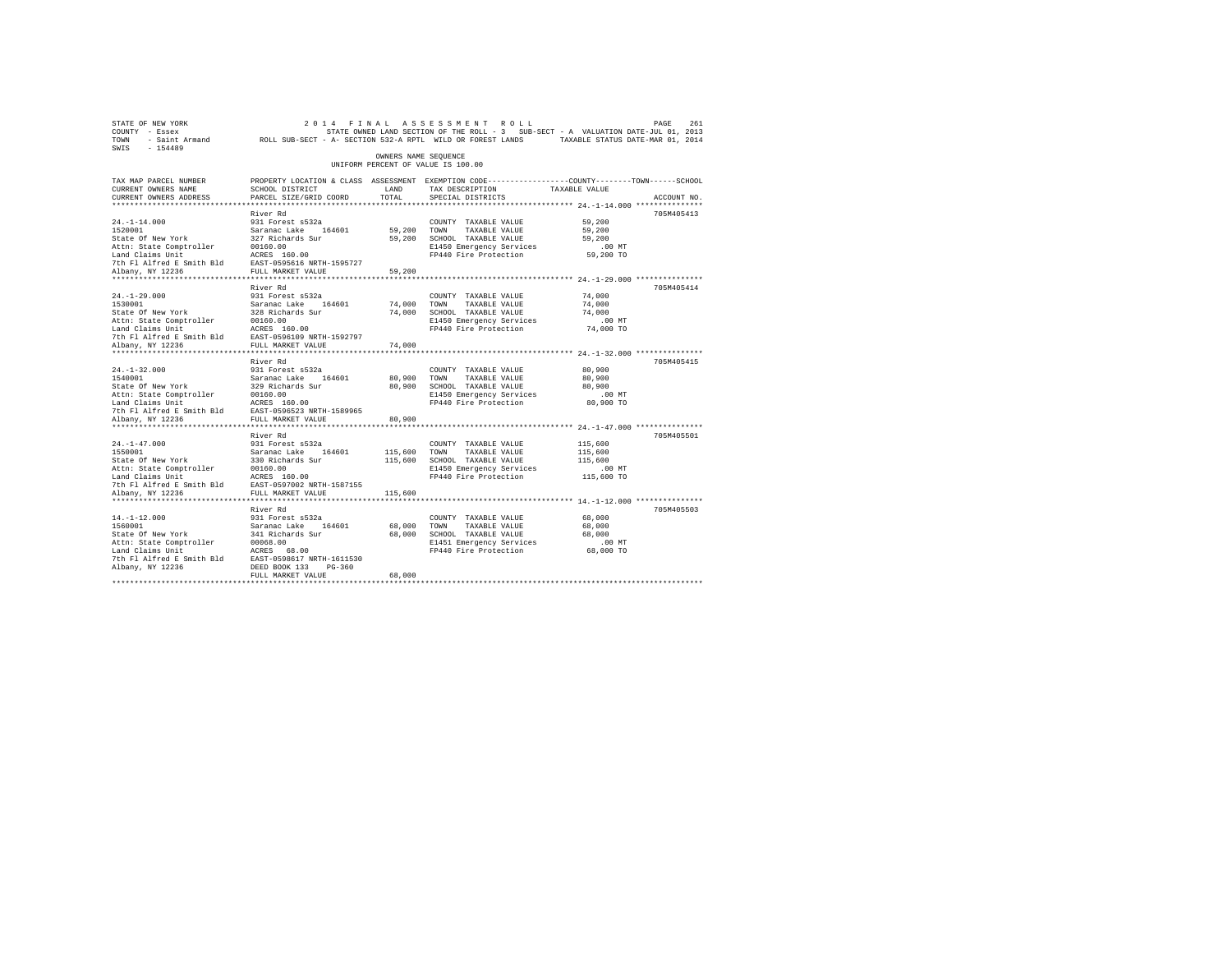| STATE OF NEW YORK<br>COUNTY - Essex<br>TOWN<br>$-154489$<br>SWIS | - Saint Armand MCLL SUB-SECT - A- SECTION 532-A RPTL WILD OR FOREST LANDS |                      | 2014 FINAL ASSESSMENT ROLL<br>STATE OWNED LAND SECTION OF THE ROLL - 3 SUB-SECT - A VALUATION DATE-JUL 01, 2013 | TAXABLE STATUS DATE-MAR 01, 2014 | 261<br>PAGE |
|------------------------------------------------------------------|---------------------------------------------------------------------------|----------------------|-----------------------------------------------------------------------------------------------------------------|----------------------------------|-------------|
|                                                                  |                                                                           | OWNERS NAME SEOUENCE | UNIFORM PERCENT OF VALUE IS 100.00                                                                              |                                  |             |
| TAX MAP PARCEL NUMBER                                            |                                                                           |                      | PROPERTY LOCATION & CLASS ASSESSMENT EXEMPTION CODE-----------------COUNTY-------TOWN------SCHOOL               |                                  |             |
| CURRENT OWNERS NAME<br>CURRENT OWNERS ADDRESS                    | SCHOOL DISTRICT<br>PARCEL SIZE/GRID COORD                                 | LAND<br>TOTAL.       | TAX DESCRIPTION<br>SPECIAL DISTRICTS                                                                            | TAXABLE VALUE                    | ACCOUNT NO. |
|                                                                  |                                                                           |                      |                                                                                                                 |                                  |             |
|                                                                  | River Rd                                                                  |                      |                                                                                                                 |                                  | 705M405413  |
| $24. -1 - 14.000$                                                | 931 Forest s532a                                                          |                      | COUNTY TAXABLE VALUE                                                                                            | 59,200                           |             |
| 1520001                                                          | Saranac Lake 164601                                                       | 59,200               | TOWN<br>TAXABLE VALUE                                                                                           | 59,200                           |             |
| State Of New York                                                | 327 Richards Sur                                                          | 59,200               | SCHOOL TAXABLE VALUE                                                                                            | 59,200                           |             |
| Attn: State Comptroller                                          | 00160.00                                                                  |                      | E1450 Emergency Services                                                                                        | $.00$ MT                         |             |
| Land Claims Unit                                                 | ACRES 160.00                                                              |                      | FP440 Fire Protection                                                                                           | 59,200 TO                        |             |
| 7th Fl Alfred E Smith Bld                                        | EAST-0595616 NRTH-1595727                                                 |                      |                                                                                                                 |                                  |             |
| Albany, NY 12236                                                 | FULL MARKET VALUE                                                         | 59,200               |                                                                                                                 |                                  |             |
|                                                                  |                                                                           |                      |                                                                                                                 |                                  |             |
|                                                                  | River Rd                                                                  |                      |                                                                                                                 |                                  | 705M405414  |
| $24. -1 - 29.000$                                                | 931 Forest s532a                                                          |                      | COUNTY TAXABLE VALUE                                                                                            | 74,000                           |             |
| 1530001                                                          | Saranac Lake 164601                                                       | 74,000               | TOWN<br>TAXABLE VALUE                                                                                           | 74,000                           |             |
| State Of New York                                                | 328 Richards Sur<br>00160.00                                              | 74,000               | SCHOOL TAXABLE VALUE                                                                                            | 74,000                           |             |
| Attn: State Comptroller<br>Land Claims Unit                      | ACRES 160.00                                                              |                      | E1450 Emergency Services<br>FP440 Fire Protection                                                               | $.00$ MT<br>74,000 TO            |             |
| 7th Fl Alfred E Smith Bld                                        | EAST-0596109 NRTH-1592797                                                 |                      |                                                                                                                 |                                  |             |
| Albany, NY 12236                                                 | FULL MARKET VALUE                                                         | 74,000               |                                                                                                                 |                                  |             |
| **********************                                           | *********************                                                     |                      |                                                                                                                 |                                  |             |
|                                                                  | River Rd                                                                  |                      |                                                                                                                 |                                  | 705M405415  |
| $24. -1 - 32.000$                                                | 931 Forest s532a                                                          |                      | COUNTY TAXABLE VALUE                                                                                            | 80,900                           |             |
| 1540001                                                          | Saranac Lake<br>164601                                                    | 80,900               | TOWN<br>TAXABLE VALUE                                                                                           | 80,900                           |             |
| State Of New York                                                | 329 Richards Sur                                                          | 80,900               | SCHOOL TAXABLE VALUE                                                                                            | 80,900                           |             |
| Attn: State Comptroller                                          | 00160.00                                                                  |                      | E1450 Emergency Services                                                                                        | $.00$ MT                         |             |
| Land Claims Unit                                                 | ACRES 160.00                                                              |                      | FP440 Fire Protection                                                                                           | 80,900 TO                        |             |
| 7th Fl Alfred E Smith Bld                                        | EAST-0596523 NRTH-1589965                                                 |                      |                                                                                                                 |                                  |             |
| Albany, NY 12236                                                 | FULL MARKET VALUE                                                         | 80,900               |                                                                                                                 |                                  |             |
| ********************                                             | ********************                                                      |                      |                                                                                                                 |                                  |             |
|                                                                  | River Rd                                                                  |                      |                                                                                                                 |                                  | 705M405501  |
| $24. -1 - 47.000$                                                | 931 Forest s532a                                                          |                      | COUNTY TAXABLE VALUE                                                                                            | 115,600                          |             |
| 1550001                                                          | Saranac Lake<br>164601                                                    | 115,600              | TAXABLE VALUE<br>TOWN                                                                                           | 115,600                          |             |
| State Of New York                                                | 330 Richards Sur                                                          | 115,600              | SCHOOL TAXABLE VALUE                                                                                            | 115,600                          |             |
| Attn: State Comptroller                                          | 00160.00                                                                  |                      | E1450 Emergency Services                                                                                        | $.00$ MT                         |             |
| Land Claims Unit                                                 | ACRES 160.00                                                              |                      | FP440 Fire Protection                                                                                           | 115,600 TO                       |             |
| 7th Fl Alfred E Smith Bld                                        | EAST-0597002 NRTH-1587155                                                 |                      |                                                                                                                 |                                  |             |
| Albany, NY 12236                                                 | FULL MARKET VALUE                                                         | 115,600              |                                                                                                                 |                                  |             |
|                                                                  | River Rd                                                                  |                      |                                                                                                                 |                                  | 705M405503  |
| $14. -1 - 12.000$                                                | 931 Forest s532a                                                          |                      | COUNTY TAXABLE VALUE                                                                                            | 68,000                           |             |
| 1560001                                                          | Saranac Lake<br>164601                                                    | 68,000               | TOWN<br>TAXABLE VALUE                                                                                           | 68,000                           |             |
| State Of New York                                                | 341 Richards Sur                                                          | 68,000               | SCHOOL TAXABLE VALUE                                                                                            | 68,000                           |             |
| Attn: State Comptroller                                          | 00068.00                                                                  |                      | E1451 Emergency Services                                                                                        | $.00$ MT                         |             |
| Land Claims Unit                                                 | ACRES 68.00                                                               |                      | FP440 Fire Protection                                                                                           | 68,000 TO                        |             |
| 7th Fl Alfred E Smith Bld                                        | EAST-0598617 NRTH-1611530                                                 |                      |                                                                                                                 |                                  |             |
| Albany, NY 12236                                                 | DEED BOOK 133<br>$PG-360$                                                 |                      |                                                                                                                 |                                  |             |
|                                                                  | FULL MARKET VALUE                                                         | 68,000               |                                                                                                                 |                                  |             |
|                                                                  |                                                                           |                      |                                                                                                                 |                                  |             |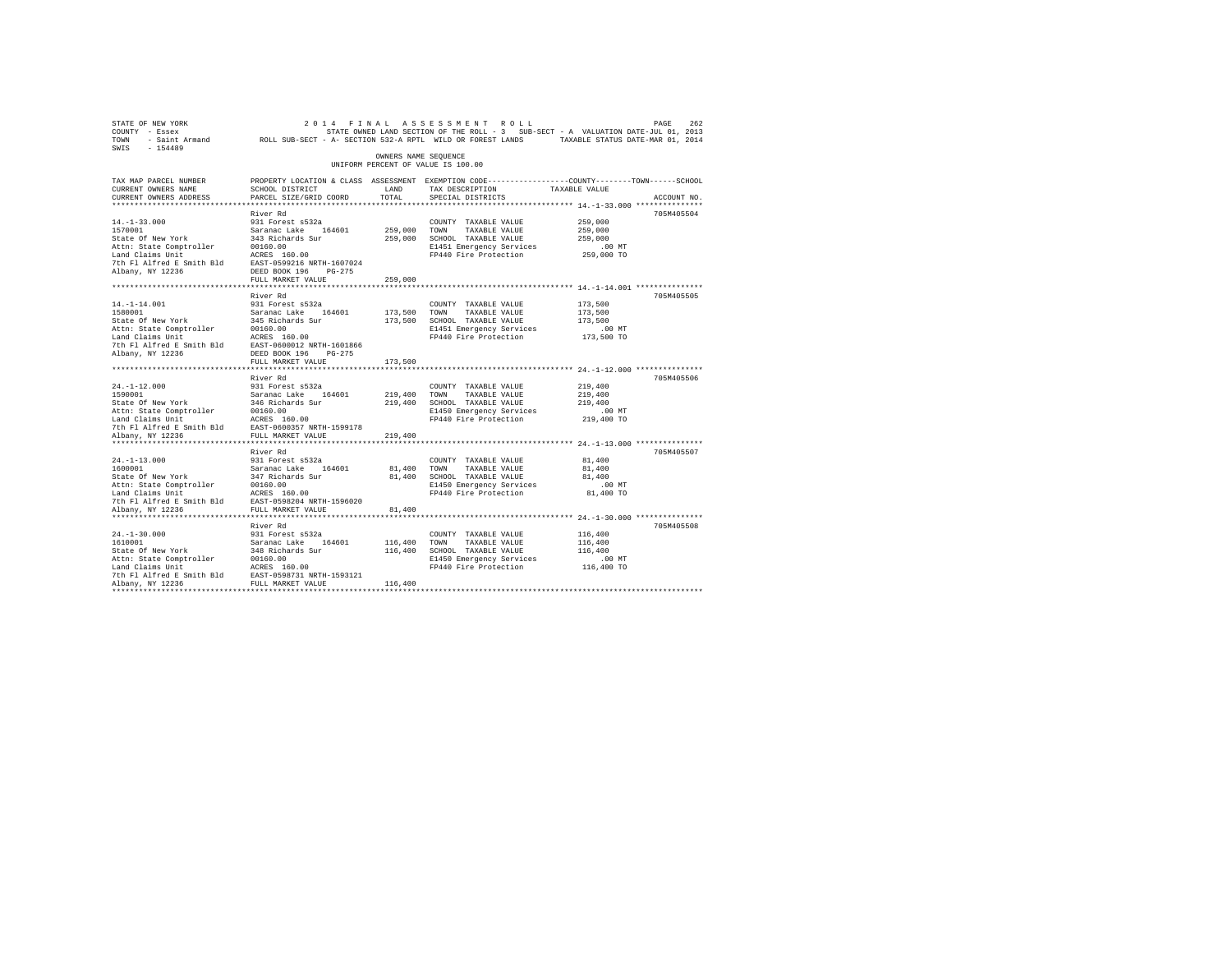| STATE OF NEW YORK<br>COUNTY - Essex<br>TOWN - Saint Armand ROLL SUB-SECT - A- SECTION 532-A RPTL WILD OR FOREST LANDS TAXABLE STATUS DATE-MAR 01, 2014                                                    |                                                                                                  |                       | 2014 FINAL ASSESSMENT ROLL<br>STATE OWNED LAND SECTION OF THE ROLL - 3 SUB-SECT - A VALUATION DATE-JUL 01, 2013 |                  | PAGE<br>262 |
|-----------------------------------------------------------------------------------------------------------------------------------------------------------------------------------------------------------|--------------------------------------------------------------------------------------------------|-----------------------|-----------------------------------------------------------------------------------------------------------------|------------------|-------------|
| SWIS - 154489                                                                                                                                                                                             |                                                                                                  |                       |                                                                                                                 |                  |             |
|                                                                                                                                                                                                           |                                                                                                  | OWNERS NAME SEQUENCE  | UNIFORM PERCENT OF VALUE IS 100.00                                                                              |                  |             |
| TAX MAP PARCEL NUMBER                                                                                                                                                                                     | PROPERTY LOCATION & CLASS ASSESSMENT EXEMPTION CODE----------------COUNTY-------TOWN------SCHOOL |                       |                                                                                                                 |                  |             |
| CURRENT OWNERS NAME                                                                                                                                                                                       | SCHOOL DISTRICT                                                                                  | LAND                  | TAX DESCRIPTION                                                                                                 | TAXABLE VALUE    |             |
| CURRENT OWNERS ADDRESS                                                                                                                                                                                    | PARCEL SIZE/GRID COORD                                                                           | TOTAL                 | SPECIAL DISTRICTS                                                                                               |                  | ACCOUNT NO. |
|                                                                                                                                                                                                           |                                                                                                  |                       |                                                                                                                 |                  | 705M405504  |
| $14. - 1 - 33.000$                                                                                                                                                                                        | River Rd<br>931 Forest s532a                                                                     |                       | COUNTY TAXABLE VALUE                                                                                            | 259,000          |             |
| 1570001                                                                                                                                                                                                   | Saranac Lake 164601                                                                              | 259,000 TOWN          | TAXABLE VALUE                                                                                                   | 259,000          |             |
| State Of New York                                                                                                                                                                                         | 343 Richards Sur                                                                                 |                       | 259,000 SCHOOL TAXABLE VALUE                                                                                    | 259,000          |             |
|                                                                                                                                                                                                           |                                                                                                  |                       | E1451 Emergency Services                                                                                        | $.00$ MT         |             |
|                                                                                                                                                                                                           |                                                                                                  |                       | FP440 Fire Protection                                                                                           | 259,000 TO       |             |
|                                                                                                                                                                                                           |                                                                                                  |                       |                                                                                                                 |                  |             |
| Albany, NY 12236                                                                                                                                                                                          | DEED BOOK 196 PG-275                                                                             |                       |                                                                                                                 |                  |             |
|                                                                                                                                                                                                           | FULL MARKET VALUE                                                                                | 259,000               |                                                                                                                 |                  |             |
|                                                                                                                                                                                                           |                                                                                                  |                       |                                                                                                                 |                  |             |
|                                                                                                                                                                                                           | River Rd                                                                                         |                       |                                                                                                                 |                  | 705M405505  |
| $14. - 1 - 14.001$<br>14.-1-14.001<br>1580001<br>State Of New York                                                                                                                                        | 931 Forest s532a                                                                                 |                       | COUNTY TAXABLE VALUE                                                                                            | 173,500          |             |
|                                                                                                                                                                                                           | Saranac Lake 164601<br>345 Richards Sur                                                          | 173.500 TOWN          | TAXABLE VALUE                                                                                                   | 173,500          |             |
|                                                                                                                                                                                                           |                                                                                                  |                       | 173,500 SCHOOL TAXABLE VALUE                                                                                    | 173,500          |             |
|                                                                                                                                                                                                           |                                                                                                  |                       | E1451 Emergency Services                                                                                        | $.00$ MT         |             |
|                                                                                                                                                                                                           |                                                                                                  |                       | FP440 Fire Protection                                                                                           | 173,500 TO       |             |
| State of New York<br>Attn: State Comptroller and Class 160.00<br>Land Claims Unit<br>The Plaired E Smith Bld<br>The Plaired E Smith Bld<br>EXPI-0600012 NRTH-1601866<br>Ribany, NY 12236<br>BEED BOOK 196 |                                                                                                  |                       |                                                                                                                 |                  |             |
|                                                                                                                                                                                                           | FULL MARKET VALUE                                                                                | 173,500               |                                                                                                                 |                  |             |
|                                                                                                                                                                                                           |                                                                                                  |                       |                                                                                                                 |                  |             |
|                                                                                                                                                                                                           | River Rd                                                                                         |                       |                                                                                                                 |                  | 705M405506  |
| $24. -1 - 12.000$                                                                                                                                                                                         | 931 Forest s532a                                                                                 |                       | COUNTY TAXABLE VALUE                                                                                            | 219,400          |             |
| 1590001                                                                                                                                                                                                   | Saranac Lake 164601                                                                              | 219,400               | TOWN<br>TAXABLE VALUE                                                                                           | 219,400          |             |
| State Of New York                                                                                                                                                                                         | 346 Richards Sur                                                                                 | 219,400               | SCHOOL TAXABLE VALUE                                                                                            | 219,400          |             |
|                                                                                                                                                                                                           |                                                                                                  |                       | E1450 Emergency Services                                                                                        | $.00$ MT         |             |
|                                                                                                                                                                                                           |                                                                                                  |                       | FP440 Fire Protection                                                                                           | 219,400 TO       |             |
|                                                                                                                                                                                                           |                                                                                                  |                       |                                                                                                                 |                  |             |
| Albany, NY 12236                                                                                                                                                                                          | FULL MARKET VALUE                                                                                | 219,400               |                                                                                                                 |                  |             |
|                                                                                                                                                                                                           |                                                                                                  |                       |                                                                                                                 |                  |             |
|                                                                                                                                                                                                           | River Rd                                                                                         |                       |                                                                                                                 |                  | 705M405507  |
| $24. -1 - 13.000$                                                                                                                                                                                         | 931 Forest s532a                                                                                 |                       | COUNTY TAXABLE VALUE                                                                                            | 81,400           |             |
| 1600001                                                                                                                                                                                                   | Saranac Lake 164601                                                                              | 81,400 TOWN<br>81,400 | TAXABLE VALUE<br>SCHOOL TAXABLE VALUE                                                                           | 81,400<br>81,400 |             |
|                                                                                                                                                                                                           |                                                                                                  |                       | E1450 Emergency Services                                                                                        | $.00$ MT         |             |
| State Of New York<br>State Of New York 31, 200160.00<br>The State Comptroller 200160.00<br>ACRES 160.00<br>ACRES 160.00 - 200000 NPTH-1596020                                                             |                                                                                                  |                       | FP440 Fire Protection                                                                                           | 81,400 TO        |             |
|                                                                                                                                                                                                           |                                                                                                  |                       |                                                                                                                 |                  |             |
| Albany, NY 12236                                                                                                                                                                                          | FULL MARKET VALUE                                                                                | 81,400                |                                                                                                                 |                  |             |
|                                                                                                                                                                                                           |                                                                                                  |                       |                                                                                                                 |                  |             |
|                                                                                                                                                                                                           | River Rd                                                                                         |                       |                                                                                                                 |                  | 705M405508  |
|                                                                                                                                                                                                           | 931 Forest s532a                                                                                 |                       | COUNTY TAXABLE VALUE                                                                                            | 116,400          |             |
|                                                                                                                                                                                                           |                                                                                                  | 116,400 TOWN          | TAXABLE VALUE                                                                                                   | 116,400          |             |
| 24.-1-30.000<br>1610001<br>State Of New York                                                                                                                                                              | Saranac Lake 164601<br>348 Richards Sur                                                          | 116,400               | SCHOOL TAXABLE VALUE                                                                                            | 116,400          |             |
|                                                                                                                                                                                                           |                                                                                                  |                       | E1450 Emergency Services                                                                                        | $.00$ MT         |             |
|                                                                                                                                                                                                           |                                                                                                  |                       | FP440 Fire Protection                                                                                           | 116,400 TO       |             |
|                                                                                                                                                                                                           |                                                                                                  |                       |                                                                                                                 |                  |             |
|                                                                                                                                                                                                           |                                                                                                  | 116,400               |                                                                                                                 |                  |             |
| *************************                                                                                                                                                                                 |                                                                                                  |                       |                                                                                                                 |                  |             |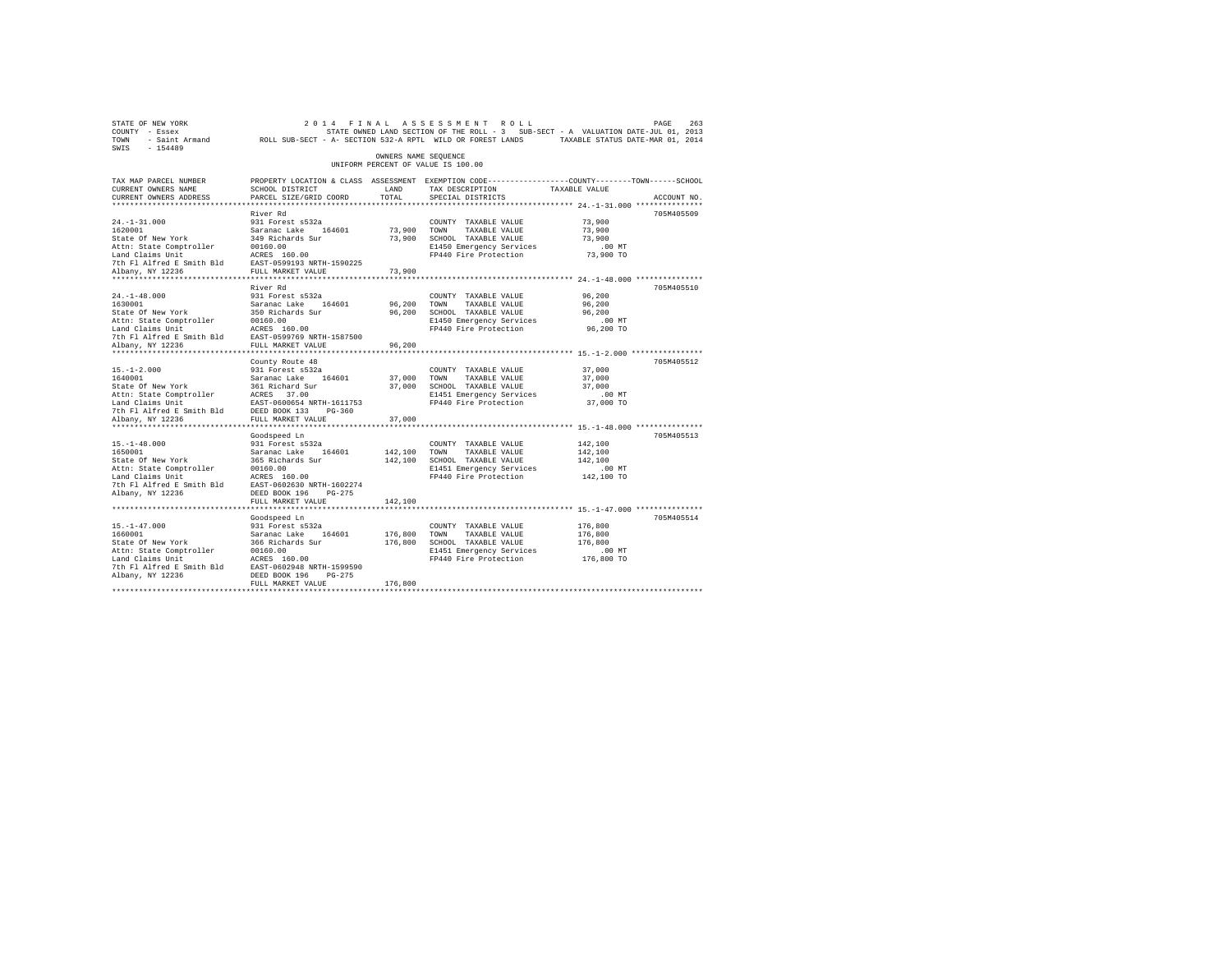| STATE OF NEW YORK<br>COUNTY - Essex<br>TOWN<br>$-154489$<br>SWIS         | - Saint Armand ROLL SUB-SECT - A- SECTION 532-A RPTL WILD OR FOREST LANDS TAXABLE STATUS DATE-MAR 01, 2014                                  |                      | 2014 FINAL ASSESSMENT ROLL<br>STATE OWNED LAND SECTION OF THE ROLL - 3 SUB-SECT - A VALUATION DATE-JUL 01, 2013 |                                             | 263<br>PAGE |
|--------------------------------------------------------------------------|---------------------------------------------------------------------------------------------------------------------------------------------|----------------------|-----------------------------------------------------------------------------------------------------------------|---------------------------------------------|-------------|
|                                                                          |                                                                                                                                             | OWNERS NAME SEOUENCE | UNIFORM PERCENT OF VALUE IS 100.00                                                                              |                                             |             |
| TAX MAP PARCEL NUMBER<br>CURRENT OWNERS NAME<br>CURRENT OWNERS ADDRESS   | PROPERTY LOCATION & CLASS ASSESSMENT EXEMPTION CODE---------------COUNTY-------TOWN-----SCHOOL<br>SCHOOL DISTRICT<br>PARCEL SIZE/GRID COORD | LAND<br>TOTAL        | TAX DESCRIPTION<br>SPECIAL DISTRICTS                                                                            | TAXABLE VALUE                               | ACCOUNT NO. |
|                                                                          | River Rd                                                                                                                                    |                      |                                                                                                                 |                                             | 705M405509  |
| $24. -1 - 31.000$                                                        | 931 Forest s532a                                                                                                                            |                      | COUNTY TAXABLE VALUE                                                                                            | 73,900                                      |             |
| 1620001                                                                  | Saranac Lake 164601                                                                                                                         | 73,900 TOWN          | TAXABLE VALUE                                                                                                   | 73,900                                      |             |
| State Of New York                                                        | 349 Richards Sur                                                                                                                            | 73,900               | SCHOOL TAXABLE VALUE                                                                                            | 73,900                                      |             |
| Attn: State Comptroller                                                  | 00160.00                                                                                                                                    |                      | E1450 Emergency Services                                                                                        | $.00$ MT                                    |             |
| Land Claims Unit                                                         | ACRES 160.00                                                                                                                                |                      | FP440 Fire Protection                                                                                           | 73,900 TO                                   |             |
| 7th Fl Alfred E Smith Bld EAST-0599193 NRTH-1590225                      |                                                                                                                                             |                      |                                                                                                                 |                                             |             |
| Albany, NY 12236<br>*********************                                | FULL MARKET VALUE<br>*******************                                                                                                    | 73,900<br>********** |                                                                                                                 |                                             |             |
|                                                                          | River Rd                                                                                                                                    |                      |                                                                                                                 | ************* 24.-1-48.000 **************** | 705M405510  |
| $24. -1 - 48.000$                                                        | 931 Forest s532a                                                                                                                            |                      | COUNTY TAXABLE VALUE                                                                                            | 96,200                                      |             |
| 1630001                                                                  | Saranac Lake 164601                                                                                                                         | 96,200               | TOWN<br>TAXABLE VALUE                                                                                           | 96,200                                      |             |
| State Of New York                                                        | 350 Richards Sur                                                                                                                            | 96,200               | SCHOOL TAXABLE VALUE                                                                                            | 96,200                                      |             |
| Attn: State Comptroller                                                  | 00160.00                                                                                                                                    |                      | E1450 Emergency Services                                                                                        | $.00$ MT                                    |             |
| Land Claims Unit                                                         | ACRES 160.00                                                                                                                                |                      | FP440 Fire Protection                                                                                           | 96,200 TO                                   |             |
| 7th Fl Alfred E Smith Bld                                                | EAST-0599769 NRTH-1587500                                                                                                                   |                      |                                                                                                                 |                                             |             |
| Albany, NY 12236                                                         | FULL MARKET VALUE                                                                                                                           | 96,200               |                                                                                                                 |                                             |             |
|                                                                          |                                                                                                                                             |                      |                                                                                                                 |                                             |             |
|                                                                          | County Route 48                                                                                                                             |                      |                                                                                                                 |                                             | 705M405512  |
| $15. - 1 - 2.000$                                                        | 931 Forest s532a                                                                                                                            |                      | COUNTY TAXABLE VALUE                                                                                            | 37,000                                      |             |
| 1640001<br>State Of New York                                             | Saranac Lake 164601<br>361 Richard Sur                                                                                                      | 37,000 TOWN          | TAXABLE VALUE<br>37,000 SCHOOL TAXABLE VALUE                                                                    | 37,000<br>37,000                            |             |
|                                                                          |                                                                                                                                             |                      | E1451 Emergency Services                                                                                        | $.00$ MT                                    |             |
| Attn: State Comptroller<br>Land Claims Unit FASS 37.00<br>EAST-0600654 N | EAST-0600654 NRTH-1611753                                                                                                                   |                      | FP440 Fire Protection                                                                                           | 37,000 TO                                   |             |
| 7th Fl Alfred E Smith Bld                                                | DEED BOOK 133 PG-360                                                                                                                        |                      |                                                                                                                 |                                             |             |
| Albany, NY 12236                                                         | FULL MARKET VALUE                                                                                                                           | 37,000               |                                                                                                                 |                                             |             |
|                                                                          |                                                                                                                                             |                      |                                                                                                                 |                                             |             |
|                                                                          | Goodspeed Ln                                                                                                                                |                      |                                                                                                                 |                                             | 705M405513  |
| $15. - 1 - 48.000$                                                       | 931 Forest s532a                                                                                                                            |                      | COUNTY TAXABLE VALUE                                                                                            | 142,100                                     |             |
| 1650001                                                                  | Saranac Lake 164601                                                                                                                         | 142,100              | TOWN<br>TAXABLE VALUE                                                                                           | 142,100                                     |             |
| State Of New York                                                        | 365 Richards Sur<br>00160.00                                                                                                                |                      | 142,100 SCHOOL TAXABLE VALUE                                                                                    | 142,100                                     |             |
| Attn: State Comptroller<br>Land Claims Unit                              | ACRES 160.00                                                                                                                                |                      | E1451 Emergency Services<br>FP440 Fire Protection                                                               | .00 MT<br>142,100 TO                        |             |
| 7th Fl Alfred E Smith Bld                                                | EAST-0602630 NRTH-1602274                                                                                                                   |                      |                                                                                                                 |                                             |             |
| Albany, NY 12236                                                         | DEED BOOK 196 PG-275                                                                                                                        |                      |                                                                                                                 |                                             |             |
|                                                                          | FULL MARKET VALUE                                                                                                                           | 142,100              |                                                                                                                 |                                             |             |
| *************************                                                | *************************                                                                                                                   |                      |                                                                                                                 |                                             |             |
|                                                                          | Goodspeed Ln                                                                                                                                |                      |                                                                                                                 |                                             | 705M405514  |
| $15. - 1 - 47.000$                                                       | 931 Forest s532a                                                                                                                            |                      | COUNTY TAXABLE VALUE                                                                                            | 176,800                                     |             |
| 1660001                                                                  | Saranac Lake 164601                                                                                                                         | 176,800              | TOWN<br>TAXABLE VALUE                                                                                           | 176,800                                     |             |
| State Of New York                                                        | 366 Richards Sur                                                                                                                            | 176,800              | SCHOOL TAXABLE VALUE                                                                                            | 176,800                                     |             |
| Attn: State Comptroller                                                  | 00160.00                                                                                                                                    |                      | E1451 Emergency Services                                                                                        | $.00$ MT                                    |             |
| Land Claims Unit<br>7th Fl Alfred E Smith Bld                            | ACRES 160.00<br>EAST-0602948 NRTH-1599590                                                                                                   |                      | FP440 Fire Protection                                                                                           | 176,800 TO                                  |             |
| Albany, NY 12236                                                         | DEED BOOK 196 PG-275                                                                                                                        |                      |                                                                                                                 |                                             |             |
|                                                                          | FULL MARKET VALUE                                                                                                                           | 176,800              |                                                                                                                 |                                             |             |
|                                                                          |                                                                                                                                             |                      |                                                                                                                 |                                             |             |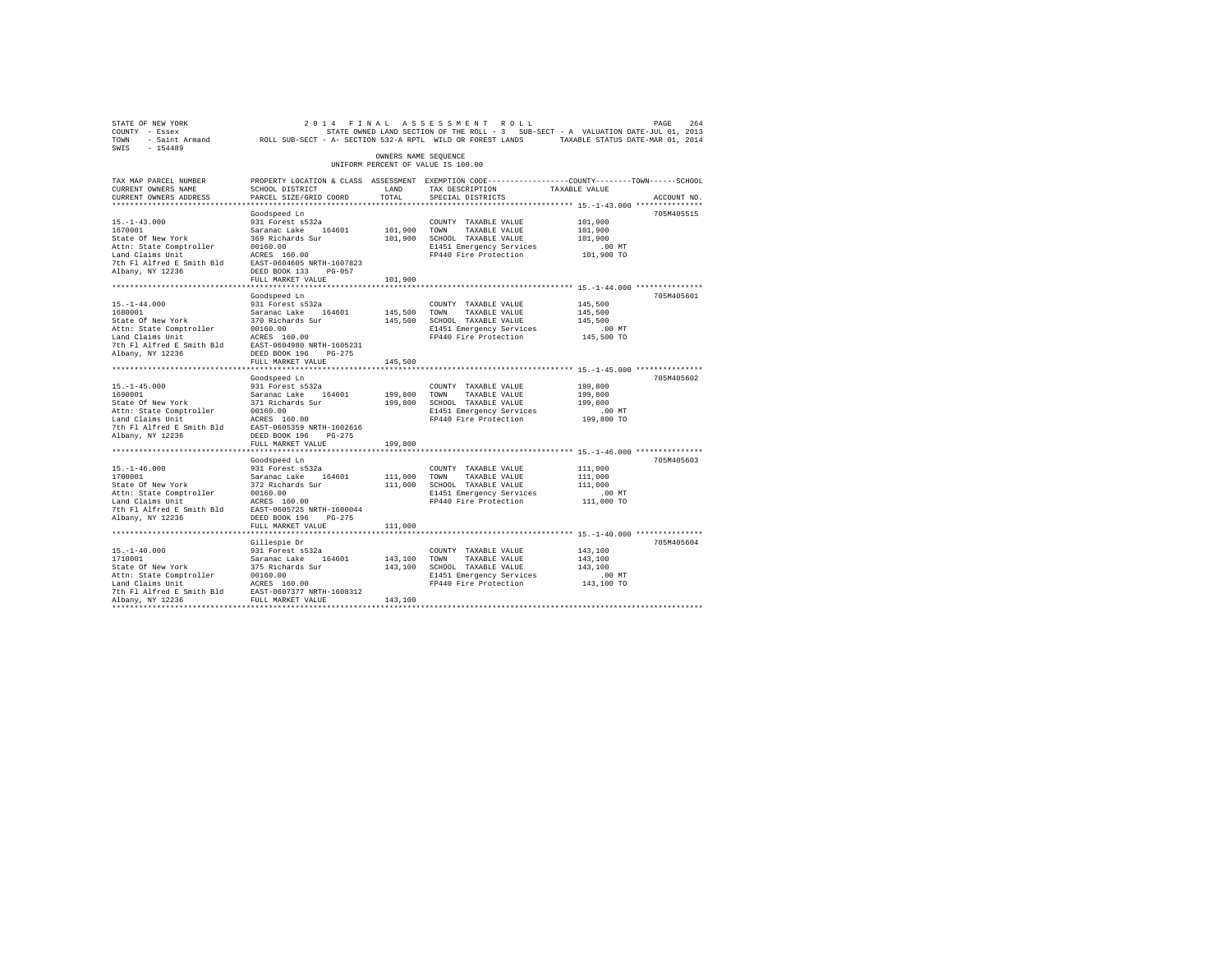| STATE OF NEW YORK                                                                                                                                                                                                              |                                                                                                  |                      | 2014 FINAL ASSESSMENT ROLL                                                        |               | PAGE<br>264 |
|--------------------------------------------------------------------------------------------------------------------------------------------------------------------------------------------------------------------------------|--------------------------------------------------------------------------------------------------|----------------------|-----------------------------------------------------------------------------------|---------------|-------------|
| COUNTY - Essex                                                                                                                                                                                                                 |                                                                                                  |                      | STATE OWNED LAND SECTION OF THE ROLL - 3 SUB-SECT - A VALUATION DATE-JUL 01, 2013 |               |             |
| TOWN - Saint Armand ROLL SUB-SECT - A- SECTION 532-A RPTL WILD OR FOREST LANDS TAXABLE STATUS DATE-MAR 01, 2014                                                                                                                |                                                                                                  |                      |                                                                                   |               |             |
| SWIS - 154489                                                                                                                                                                                                                  |                                                                                                  |                      |                                                                                   |               |             |
|                                                                                                                                                                                                                                |                                                                                                  | OWNERS NAME SEQUENCE |                                                                                   |               |             |
|                                                                                                                                                                                                                                |                                                                                                  |                      | UNIFORM PERCENT OF VALUE IS 100.00                                                |               |             |
|                                                                                                                                                                                                                                |                                                                                                  |                      |                                                                                   |               |             |
| TAX MAP PARCEL NUMBER                                                                                                                                                                                                          | PROPERTY LOCATION & CLASS ASSESSMENT EXEMPTION CODE----------------COUNTY-------TOWN------SCHOOL |                      |                                                                                   |               |             |
| CURRENT OWNERS NAME                                                                                                                                                                                                            | SCHOOL DISTRICT                                                                                  | LAND                 | TAX DESCRIPTION                                                                   | TAXABLE VALUE |             |
| CURRENT OWNERS ADDRESS                                                                                                                                                                                                         | PARCEL SIZE/GRID COORD                                                                           | TOTAL                | SPECIAL DISTRICTS                                                                 |               | ACCOUNT NO. |
|                                                                                                                                                                                                                                |                                                                                                  |                      |                                                                                   |               |             |
|                                                                                                                                                                                                                                | Goodspeed Ln                                                                                     |                      |                                                                                   |               | 705M405515  |
| $15. - 1 - 43.000$                                                                                                                                                                                                             | 931 Forest s532a                                                                                 |                      | COUNTY TAXABLE VALUE                                                              | 101,900       |             |
| 1670001                                                                                                                                                                                                                        |                                                                                                  |                      | 101,900 TOWN TAXABLE VALUE                                                        | 101,900       |             |
| State Of New York                                                                                                                                                                                                              | Saranac Lake 164601<br>369 Richards Sur                                                          |                      | 101,900 SCHOOL TAXABLE VALUE                                                      | 101,900       |             |
|                                                                                                                                                                                                                                |                                                                                                  |                      | E1451 Emergency Services                                                          | $.00$ MT      |             |
|                                                                                                                                                                                                                                |                                                                                                  |                      | FP440 Fire Protection                                                             | 101,900 TO    |             |
|                                                                                                                                                                                                                                |                                                                                                  |                      |                                                                                   |               |             |
|                                                                                                                                                                                                                                |                                                                                                  |                      |                                                                                   |               |             |
|                                                                                                                                                                                                                                | FULL MARKET VALUE                                                                                | 101,900              |                                                                                   |               |             |
|                                                                                                                                                                                                                                |                                                                                                  |                      |                                                                                   |               |             |
|                                                                                                                                                                                                                                |                                                                                                  |                      |                                                                                   |               | 705M405601  |
|                                                                                                                                                                                                                                | Goodspeed Ln                                                                                     |                      |                                                                                   |               |             |
| $15. - 1 - 44.000$                                                                                                                                                                                                             | 931 Forest s532a                                                                                 |                      | COUNTY TAXABLE VALUE                                                              | 145,500       |             |
|                                                                                                                                                                                                                                |                                                                                                  | 145,500 TOWN         | TAXABLE VALUE                                                                     | 145,500       |             |
|                                                                                                                                                                                                                                |                                                                                                  |                      | 145,500 SCHOOL TAXABLE VALUE                                                      | 145,500       |             |
|                                                                                                                                                                                                                                |                                                                                                  |                      | E1451 Emergency Services                                                          | $.00$ MT      |             |
|                                                                                                                                                                                                                                |                                                                                                  |                      | FP440 Fire Protection                                                             | 145,500 TO    |             |
|                                                                                                                                                                                                                                |                                                                                                  |                      |                                                                                   |               |             |
| Albany, NY 12236                                                                                                                                                                                                               | DEED BOOK 196 PG-275                                                                             |                      |                                                                                   |               |             |
|                                                                                                                                                                                                                                | FULL MARKET VALUE                                                                                | 145,500              |                                                                                   |               |             |
|                                                                                                                                                                                                                                |                                                                                                  |                      |                                                                                   |               |             |
|                                                                                                                                                                                                                                | Goodspeed Ln                                                                                     |                      |                                                                                   |               | 705M405602  |
| $15. -1 - 45.000$                                                                                                                                                                                                              | 931 Forest s532a                                                                                 |                      | COUNTY TAXABLE VALUE                                                              | 199,800       |             |
|                                                                                                                                                                                                                                |                                                                                                  | 199,800 TOWN         | TAXABLE VALUE                                                                     | 199,800       |             |
|                                                                                                                                                                                                                                |                                                                                                  |                      | 199,800 SCHOOL TAXABLE VALUE                                                      | 199,800       |             |
|                                                                                                                                                                                                                                |                                                                                                  |                      | E1451 Emergency Services                                                          | $.00$ MT      |             |
|                                                                                                                                                                                                                                |                                                                                                  |                      | FP440 Fire Protection                                                             | 199,800 TO    |             |
|                                                                                                                                                                                                                                |                                                                                                  |                      |                                                                                   |               |             |
|                                                                                                                                                                                                                                |                                                                                                  |                      |                                                                                   |               |             |
| Albany, NY 12236                                                                                                                                                                                                               | DEED BOOK 196 PG-275                                                                             |                      |                                                                                   |               |             |
|                                                                                                                                                                                                                                | FULL MARKET VALUE                                                                                | 199,800              |                                                                                   |               |             |
|                                                                                                                                                                                                                                |                                                                                                  |                      |                                                                                   |               |             |
|                                                                                                                                                                                                                                | Goodspeed Ln                                                                                     |                      |                                                                                   |               | 705M405603  |
|                                                                                                                                                                                                                                |                                                                                                  |                      | COUNTY TAXABLE VALUE                                                              | 111,000       |             |
| $15.1-46.000$ $201 1700001$ $51.1-46.000$ $51.1-46.000$ $51.1-54.00000$ $51.1-54.00000$ $51.1-54.00000$ $51.1-54.00000$ $51.1-54.00000$ $51.1-54.00000$ $51.1-54.00000$ $51.1-54.000000$ $51.1-54.000000$ $51.1-54.000000$ $5$ |                                                                                                  | 111,000              | TOWN TAXABLE VALUE                                                                | 111,000       |             |
|                                                                                                                                                                                                                                |                                                                                                  |                      | 111,000 SCHOOL TAXABLE VALUE                                                      | 111,000       |             |
|                                                                                                                                                                                                                                |                                                                                                  |                      | E1451 Emergency Services                                                          | $.00$ MT      |             |
|                                                                                                                                                                                                                                |                                                                                                  |                      | FP440 Fire Protection                                                             | 111,000 TO    |             |
|                                                                                                                                                                                                                                |                                                                                                  |                      |                                                                                   |               |             |
| Albany, NY 12236                                                                                                                                                                                                               | DEED BOOK 196 PG-275                                                                             |                      |                                                                                   |               |             |
|                                                                                                                                                                                                                                | FULL MARKET VALUE                                                                                | 111,000              |                                                                                   |               |             |
|                                                                                                                                                                                                                                |                                                                                                  |                      |                                                                                   |               |             |
|                                                                                                                                                                                                                                | Gillespie Dr                                                                                     |                      |                                                                                   |               | 705M405604  |
| $15. - 1 - 40.000$                                                                                                                                                                                                             |                                                                                                  |                      | COUNTY TAXABLE VALUE                                                              | 143,100       |             |
| 1710001                                                                                                                                                                                                                        | 931 Forest s532a<br>Saranac Lake 164601                                                          | 143,100 TOWN         |                                                                                   | 143,100       |             |
|                                                                                                                                                                                                                                |                                                                                                  |                      | TAXABLE VALUE                                                                     |               |             |
|                                                                                                                                                                                                                                |                                                                                                  |                      | 143,100 SCHOOL TAXABLE VALUE                                                      | 143,100       |             |
|                                                                                                                                                                                                                                |                                                                                                  |                      | E1451 Emergency Services                                                          | $.00$ MT      |             |
|                                                                                                                                                                                                                                |                                                                                                  |                      | FP440 Fire Protection                                                             | 143,100 TO    |             |
|                                                                                                                                                                                                                                |                                                                                                  |                      |                                                                                   |               |             |
| Albany, NY 12236                                                                                                                                                                                                               | FULL MARKET VALUE                                                                                | 143,100              |                                                                                   |               |             |
|                                                                                                                                                                                                                                |                                                                                                  |                      |                                                                                   |               |             |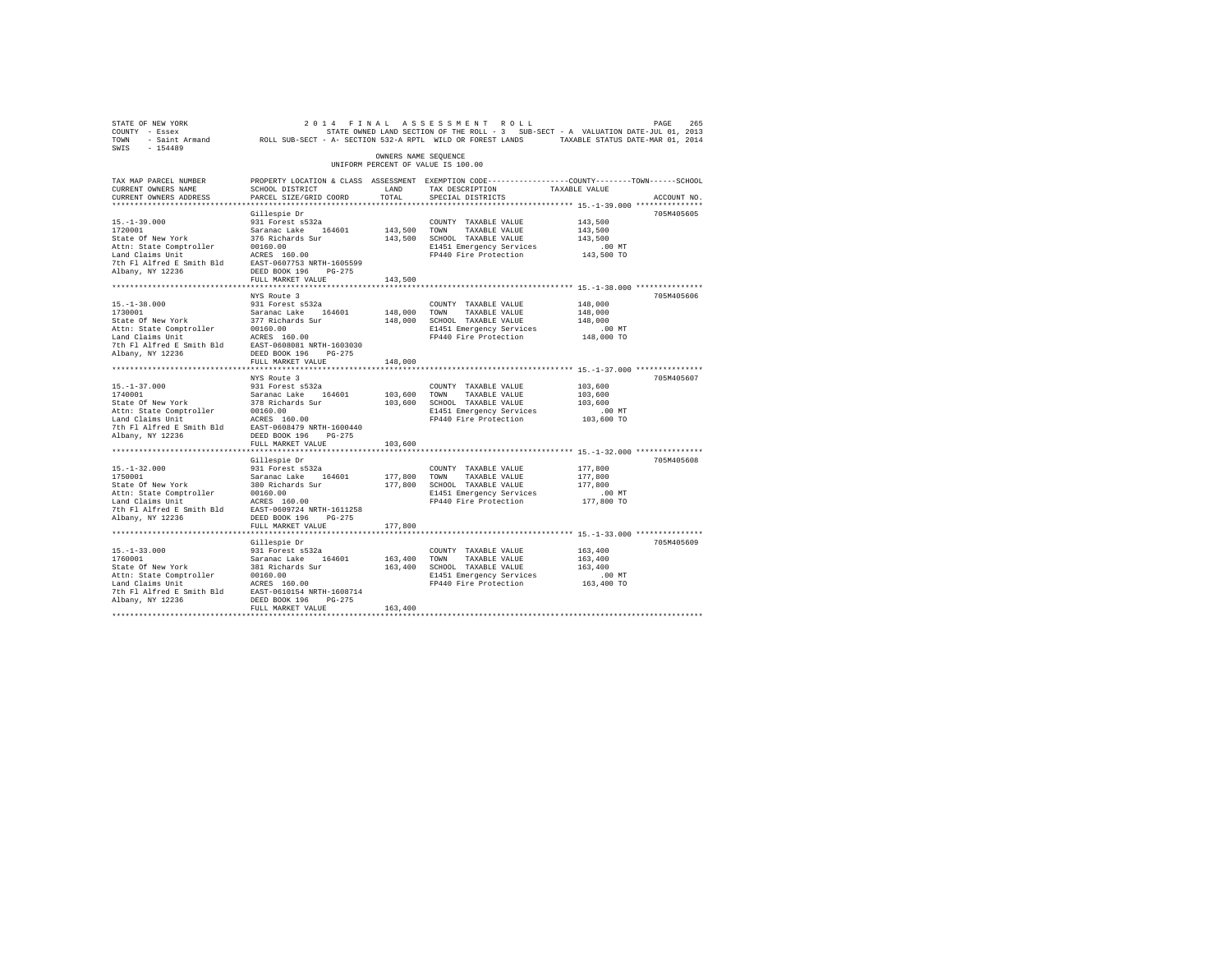| 2014 FIN NORT 2014 TO RESEARCH 2015 2016 AT A LAS SES SON EN TROUBLE 265 STATE OF RESEARCH 255 265 STATE ON STATE ON STATE OWNER JULIA 2013<br>2013 STATE OWNER STATE OWNER A STATE ON STATE ON SECTION 522-A RPTL WILD OR FOREST                                                                                                                              |                                                                                                  |                      |                                                   |                                                                                  |             |
|----------------------------------------------------------------------------------------------------------------------------------------------------------------------------------------------------------------------------------------------------------------------------------------------------------------------------------------------------------------|--------------------------------------------------------------------------------------------------|----------------------|---------------------------------------------------|----------------------------------------------------------------------------------|-------------|
|                                                                                                                                                                                                                                                                                                                                                                |                                                                                                  |                      |                                                   |                                                                                  |             |
|                                                                                                                                                                                                                                                                                                                                                                |                                                                                                  |                      |                                                   |                                                                                  |             |
| SWIS - 154489                                                                                                                                                                                                                                                                                                                                                  |                                                                                                  |                      |                                                   |                                                                                  |             |
|                                                                                                                                                                                                                                                                                                                                                                |                                                                                                  | OWNERS NAME SEQUENCE |                                                   |                                                                                  |             |
|                                                                                                                                                                                                                                                                                                                                                                |                                                                                                  |                      | UNIFORM PERCENT OF VALUE IS 100.00                |                                                                                  |             |
| TAX MAP PARCEL NUMBER                                                                                                                                                                                                                                                                                                                                          | PROPERTY LOCATION & CLASS ASSESSMENT EXEMPTION CODE----------------COUNTY-------TOWN------SCHOOL |                      |                                                   |                                                                                  |             |
| CURRENT OWNERS NAME                                                                                                                                                                                                                                                                                                                                            | SCHOOL DISTRICT                                                                                  | LAND                 | TAX DESCRIPTION                                   | TAXABLE VALUE                                                                    |             |
| CURRENT OWNERS ADDRESS                                                                                                                                                                                                                                                                                                                                         | PARCEL SIZE/GRID COORD                                                                           | TOTAL                | SPECIAL DISTRICTS                                 |                                                                                  | ACCOUNT NO. |
|                                                                                                                                                                                                                                                                                                                                                                |                                                                                                  |                      |                                                   |                                                                                  |             |
|                                                                                                                                                                                                                                                                                                                                                                | Gillespie Dr                                                                                     |                      |                                                   |                                                                                  | 705M405605  |
| $15. - 1 - 39.000$                                                                                                                                                                                                                                                                                                                                             | 931 Forest s532a                                                                                 |                      | COUNTY TAXABLE VALUE                              | 143,500                                                                          |             |
|                                                                                                                                                                                                                                                                                                                                                                |                                                                                                  |                      | 143,500 TOWN TAXABLE VALUE                        | 143,500                                                                          |             |
| 15.-1-39.000<br>1720001<br>State Of New York                                                                                                                                                                                                                                                                                                                   |                                                                                                  |                      | 143,500 SCHOOL TAXABLE VALUE                      | 143,500                                                                          |             |
|                                                                                                                                                                                                                                                                                                                                                                |                                                                                                  |                      | E1451 Emergency Services                          | $.00$ MT                                                                         |             |
|                                                                                                                                                                                                                                                                                                                                                                |                                                                                                  |                      | FP440 Fire Protection 143,500 TO                  |                                                                                  |             |
|                                                                                                                                                                                                                                                                                                                                                                |                                                                                                  |                      |                                                   |                                                                                  |             |
| Albany, NY 12236                                                                                                                                                                                                                                                                                                                                               | DEED BOOK 196 PG-275                                                                             |                      |                                                   |                                                                                  |             |
|                                                                                                                                                                                                                                                                                                                                                                | FULL MARKET VALUE                                                                                | 143,500              |                                                   |                                                                                  |             |
|                                                                                                                                                                                                                                                                                                                                                                |                                                                                                  |                      |                                                   |                                                                                  |             |
|                                                                                                                                                                                                                                                                                                                                                                | NYS Route 3                                                                                      |                      |                                                   |                                                                                  | 705M405606  |
| $15. -1 - 38.000$                                                                                                                                                                                                                                                                                                                                              | 931 Forest s532a                                                                                 |                      | COUNTY TAXABLE VALUE                              | 148,000                                                                          |             |
| 1730001                                                                                                                                                                                                                                                                                                                                                        |                                                                                                  | 148,000 TOWN         | TAXABLE VALUE                                     | 148,000                                                                          |             |
| State Of New York                                                                                                                                                                                                                                                                                                                                              | Saranac Lake 164601<br>377 Richards Sur                                                          |                      | 148,000 SCHOOL TAXABLE VALUE                      | 148,000                                                                          |             |
|                                                                                                                                                                                                                                                                                                                                                                |                                                                                                  |                      | E1451 Emergency Services                          | .00 MT                                                                           |             |
|                                                                                                                                                                                                                                                                                                                                                                |                                                                                                  |                      | FP440 Fire Protection                             | 148,000 TO                                                                       |             |
|                                                                                                                                                                                                                                                                                                                                                                |                                                                                                  |                      |                                                   |                                                                                  |             |
|                                                                                                                                                                                                                                                                                                                                                                |                                                                                                  |                      |                                                   |                                                                                  |             |
|                                                                                                                                                                                                                                                                                                                                                                | FULL MARKET VALUE                                                                                | 148,000              |                                                   |                                                                                  |             |
|                                                                                                                                                                                                                                                                                                                                                                |                                                                                                  |                      |                                                   |                                                                                  |             |
|                                                                                                                                                                                                                                                                                                                                                                | NYS Route 3                                                                                      |                      |                                                   |                                                                                  | 705M405607  |
|                                                                                                                                                                                                                                                                                                                                                                |                                                                                                  |                      | COUNTY TAXABLE VALUE                              | 103,600                                                                          |             |
|                                                                                                                                                                                                                                                                                                                                                                |                                                                                                  | 103,600 TOWN         | TAXABLE VALUE                                     | 103,600                                                                          |             |
|                                                                                                                                                                                                                                                                                                                                                                |                                                                                                  |                      | 103,600 SCHOOL TAXABLE VALUE                      | 103,600                                                                          |             |
|                                                                                                                                                                                                                                                                                                                                                                |                                                                                                  |                      | E1451 Emergency Services                          | $.00$ MT                                                                         |             |
| $\begin{tabular}{lllllllllllll} 15\cdot 1-37\cdot 000 & 931\ {\mbox{\small {\sc P}{\sc or\sc{1}}} & 15\cdot 1-37\cdot 000 \\ 174\cdot 0001 & 83\pi\textrm{anac Lake} & 164601 \\ \end{tabular} \begin{tabular}{lllllllll} 8\cdot 164\cdot 000 & 001\cdot 0.0 \\ 17\cdot 01\cdot 0.00 & 0.00 \\ 17\cdot 0.000 & 0.000 \\ 17\cdot 0.0000 & 17\cdot 0.0000 & 0.0$ |                                                                                                  |                      | FP440 Fire Protection                             | 103,600 TO                                                                       |             |
|                                                                                                                                                                                                                                                                                                                                                                |                                                                                                  |                      |                                                   |                                                                                  |             |
|                                                                                                                                                                                                                                                                                                                                                                |                                                                                                  |                      |                                                   |                                                                                  |             |
|                                                                                                                                                                                                                                                                                                                                                                | FULL MARKET VALUE                                                                                | 103,600              |                                                   |                                                                                  |             |
|                                                                                                                                                                                                                                                                                                                                                                |                                                                                                  |                      |                                                   | ********************************** 15.-1-32.000 ******************************** |             |
|                                                                                                                                                                                                                                                                                                                                                                | Gillespie Dr                                                                                     |                      |                                                   |                                                                                  | 705M405608  |
| $15. - 1 - 32.000$                                                                                                                                                                                                                                                                                                                                             | 931 Forest s532a                                                                                 |                      | COUNTY TAXABLE VALUE                              | 177,800                                                                          |             |
|                                                                                                                                                                                                                                                                                                                                                                |                                                                                                  | 177,800 TOWN         | TAXABLE VALUE                                     | 177,800                                                                          |             |
|                                                                                                                                                                                                                                                                                                                                                                |                                                                                                  |                      | 177,800 SCHOOL TAXABLE VALUE                      | 177,800                                                                          |             |
|                                                                                                                                                                                                                                                                                                                                                                |                                                                                                  |                      | E1451 Emergency Services                          | $.00$ MT                                                                         |             |
|                                                                                                                                                                                                                                                                                                                                                                |                                                                                                  |                      | FP440 Fire Protection                             | 177,800 TO                                                                       |             |
|                                                                                                                                                                                                                                                                                                                                                                |                                                                                                  |                      |                                                   |                                                                                  |             |
| Albany, NY 12236                                                                                                                                                                                                                                                                                                                                               | DEED BOOK 196 PG-275                                                                             |                      |                                                   |                                                                                  |             |
|                                                                                                                                                                                                                                                                                                                                                                | FULL MARKET VALUE                                                                                | 177,800              |                                                   |                                                                                  |             |
|                                                                                                                                                                                                                                                                                                                                                                |                                                                                                  |                      |                                                   |                                                                                  |             |
|                                                                                                                                                                                                                                                                                                                                                                | Gillespie Dr                                                                                     |                      |                                                   |                                                                                  | 705M405609  |
|                                                                                                                                                                                                                                                                                                                                                                |                                                                                                  |                      | COUNTY TAXABLE VALUE                              | 163,400                                                                          |             |
|                                                                                                                                                                                                                                                                                                                                                                |                                                                                                  | 163,400 TOWN         | TAXABLE VALUE                                     | 163,400                                                                          |             |
| $[15,-1-33.000]$ $[160001]$ $[16001]$ $[16001]$ $[16001]$ $[16001]$ $[16001]$ $[16001]$ $[16001]$ $[16001]$ $[16001]$ $[16001]$ $[16001]$ $[16001]$ $[16001]$ $[16001]$ $[16001]$ $[16001]$ $[16001]$ $[16001]$ $[16001]$ $[16$                                                                                                                                |                                                                                                  |                      | 163,400 SCHOOL TAXABLE VALUE                      | 163,400                                                                          |             |
|                                                                                                                                                                                                                                                                                                                                                                |                                                                                                  |                      |                                                   | .00 MT                                                                           |             |
|                                                                                                                                                                                                                                                                                                                                                                |                                                                                                  |                      | E1451 Emergency Services<br>FP440 Fire Protection | 163,400 TO                                                                       |             |
|                                                                                                                                                                                                                                                                                                                                                                |                                                                                                  |                      |                                                   |                                                                                  |             |
| Albany, NY 12236                                                                                                                                                                                                                                                                                                                                               | DEED BOOK 196 PG-275                                                                             |                      |                                                   |                                                                                  |             |
|                                                                                                                                                                                                                                                                                                                                                                | FULL MARKET VALUE                                                                                | 163,400              |                                                   |                                                                                  |             |
|                                                                                                                                                                                                                                                                                                                                                                |                                                                                                  |                      |                                                   |                                                                                  |             |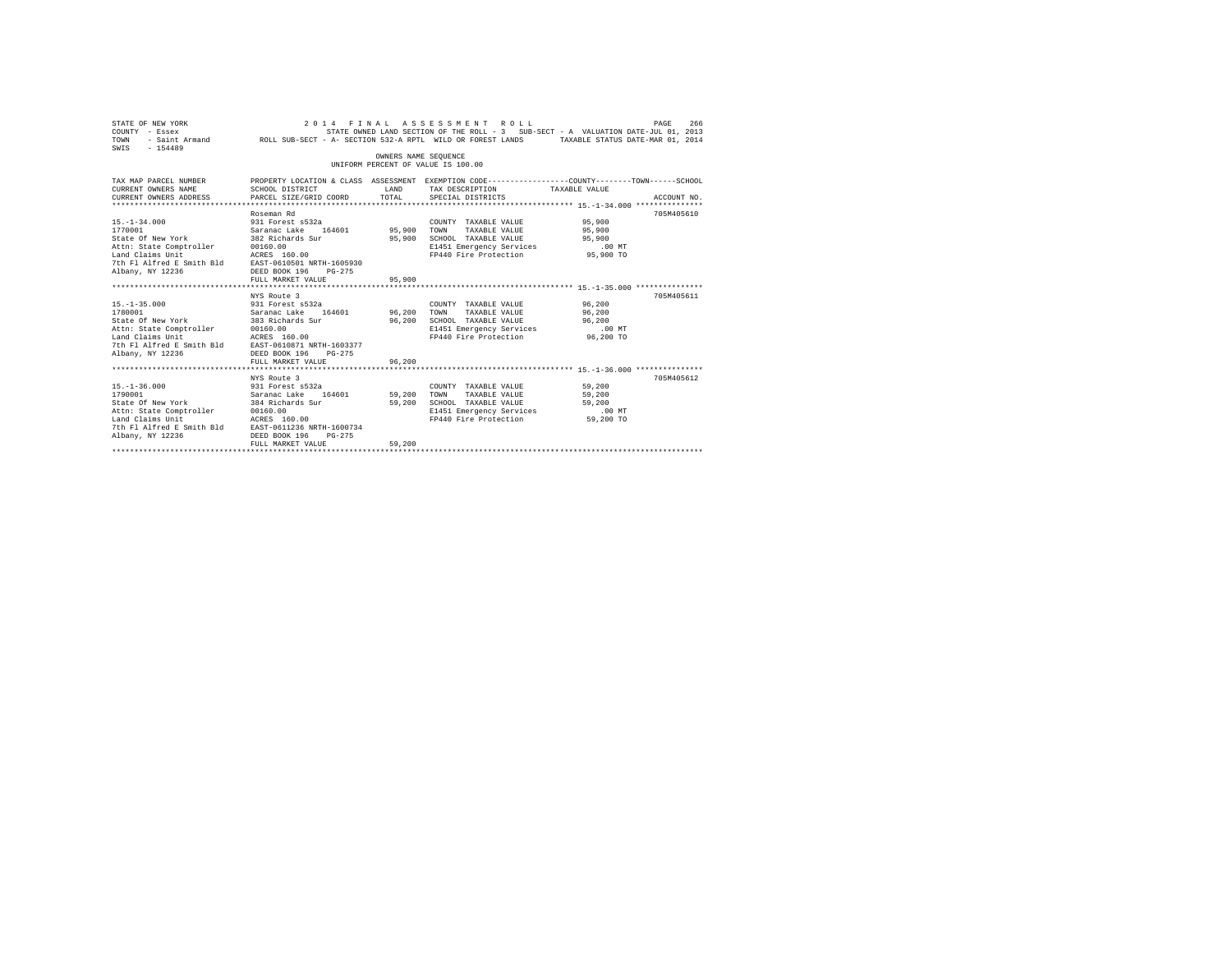| STATE OF NEW YORK<br>COUNTY - Essex (2013) STATE OWNED LAND SECTION OF THE ROLL - 3 SUB-SECT - A VALUATION DATE-JUL 01, 2013<br>2014 TOWN - Saint Armand (2014) ROLL SUB-SECT - A- SECTION 532-A RPTL WILD OR FOREST LANDS<br>$-154489$<br>SWIS  |                                                                                                                                                             | OWNERS NAME SEOUENCE | 2014 FINAL ASSESSMENT ROLL<br>UNIFORM PERCENT OF VALUE IS 100.00                                                                                                              |                                 | PAGE<br>266 |
|--------------------------------------------------------------------------------------------------------------------------------------------------------------------------------------------------------------------------------------------------|-------------------------------------------------------------------------------------------------------------------------------------------------------------|----------------------|-------------------------------------------------------------------------------------------------------------------------------------------------------------------------------|---------------------------------|-------------|
| TAX MAP PARCEL NUMBER<br>CURRENT OWNERS NAME<br>CURRENT OWNERS ADDRESS                                                                                                                                                                           | PROPERTY LOCATION & CLASS ASSESSMENT EXEMPTION CODE----------------COUNTY-------TOWN------SCHOOL<br>SCHOOL DISTRICT<br>LAND<br>PARCEL SIZE/GRID COORD TOTAL |                      | TAX DESCRIPTION TAXABLE VALUE<br>SPECIAL DISTRICTS                                                                                                                            |                                 | ACCOUNT NO. |
| $15. - 1 - 34.000$<br>1770001<br>State Of New York 382 Richards Sur<br>Attn: State Comptroller 00160.00<br>Land Claims Unit MCRES 160.00<br>7th Fl Alfred E Smith Bld EAST-0610501 NRTH-1605930<br>Albany, NY 12236                              | Roseman Rd<br>DEED BOOK 196 PG-275<br>FULL MARKET VALUE                                                                                                     | 95,900<br>95,900     | COUNTY TAXABLE VALUE<br>TAXABLE VALUE<br>SCHOOL TAXABLE VALUE<br>E1451 Emergency Services .00 MT<br>FP440 Fire Protection 95,900 TO                                           | 95,900<br>95,900<br>95,900      | 705M405610  |
| $15. - 1 - 35.000$<br>1780001<br>State Of New York<br>State Comptroller = 00160.00<br>Land Claims Unit = 00160.00<br>Land Claims Unit = 00160.00<br>7th Fl Alfred E Smith Bld EAST-0610871 NRTH-1603377<br>Albany, NY 12236 DEED BOOK 196 PG-275 | NYS Route 3<br>931 Forest s532a<br>Saranac Lake 164601 96,200<br>383 Richards Sur 96,200<br>FULL MARKET VALUE                                               | 96,200               | COUNTY TAXABLE VALUE<br>TAXABLE VALUE<br>TOWN<br>SCHOOL TAXABLE VALUE<br>SCHOOL TAXABLE VALUE 77 787200<br>E1451 Emergency Services .00 MT<br>FP440 Fire Protection 96,200 TO | 96,200<br>96,200<br>96,200      | 705M405611  |
| $15. - 1 - 36.000$<br>1790001<br>7th Fl Alfred E Smith Bld EAST-0611236 NRTH-1600734<br>Albany, NY 12236                                                                                                                                         | NYS Route 3<br>931 Forest s532a<br>Saranac Lake 164601 59,200<br>DEED BOOK 196<br>$PG-275$<br>FULL MARKET VALUE                                             | 59,200<br>59,200     | COUNTY TAXABLE VALUE 59,200<br>TOWN<br>TAXABLE VALUE 59,200<br>SCHOOL TAXABLE VALUE<br>E1451 Emergency Services<br>FP440 Fire Protection                                      | 59,200<br>$.00$ MT<br>59,200 TO | 705M405612  |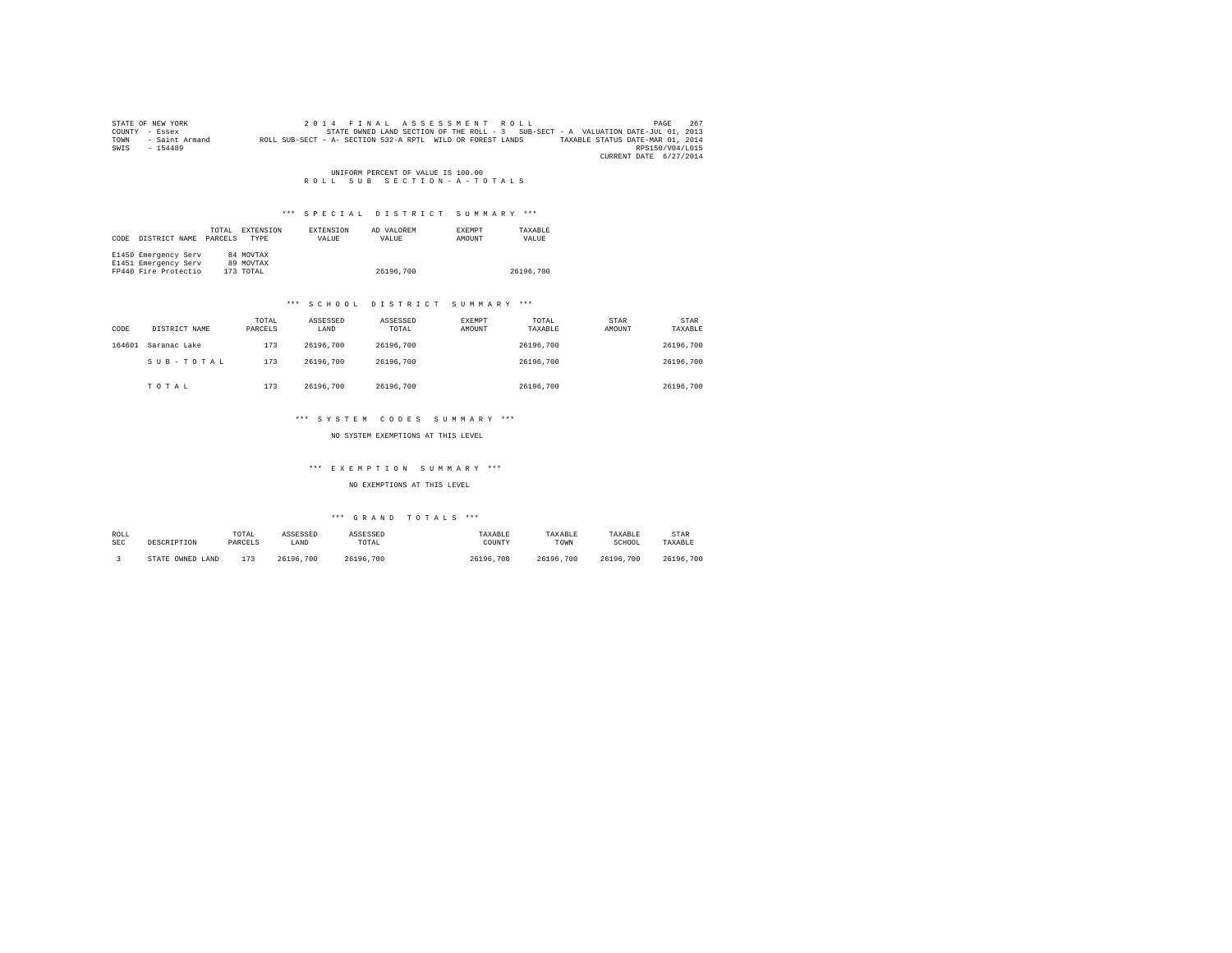|      | STATE OF NEW YORK |                                                            | 2014 FINAL ASSESSMENT ROLL |                                                                                   | PAGE                             | 267 |
|------|-------------------|------------------------------------------------------------|----------------------------|-----------------------------------------------------------------------------------|----------------------------------|-----|
|      | COUNTY - Essex    |                                                            |                            | STATE OWNED LAND SECTION OF THE ROLL - 3 SUB-SECT - A VALUATION DATE-JUL 01, 2013 |                                  |     |
| TOWN | - Saint Armand    | ROLL SUB-SECT - A- SECTION 532-A RPTL WILD OR FOREST LANDS |                            |                                                                                   | TAXABLE STATUS DATE-MAR 01, 2014 |     |
| SWIS | $-154489$         |                                                            |                            |                                                                                   | RPS150/V04/L015                  |     |
|      |                   |                                                            |                            |                                                                                   | CURRENT DATE 6/27/2014           |     |

UNIFORM PERCENT OF VALUE IS 100.00<br>R O L L S U B S E C T I O N - A - T O T A L S

#### \*\*\* SPECIAL DISTRICT SUMMARY \*\*\*

| CODE | DISTRICT NAME        | TOTAL<br>PARCELS. | EXTENSION<br><b>TYPE</b> | EXTENSION<br>VALUE | AD VALOREM<br>VALUE | <b>EXEMPT</b><br>AMOUNT | TAXARLE<br>VALUE |
|------|----------------------|-------------------|--------------------------|--------------------|---------------------|-------------------------|------------------|
|      | E1450 Emergency Serv |                   | 84 MOVTAX                |                    |                     |                         |                  |
|      | E1451 Emergency Serv |                   | 89 MOVTAX                |                    |                     |                         |                  |
|      | FP440 Fire Protectio |                   | 173 TOTAL                |                    | 26196.700           |                         | 26196.700        |

## \*\*\* S C H O O L D I S T R I C T S U M M A R Y \*\*\*

| CODE   | DISTRICT NAME | TOTAL<br>PARCELS | ASSESSED<br>LAND | ASSESSED<br>TOTAL | <b>EXEMPT</b><br>AMOUNT | TOTAL<br>TAXABLE | STAR<br>AMOUNT | STAR<br>TAXABLE |
|--------|---------------|------------------|------------------|-------------------|-------------------------|------------------|----------------|-----------------|
| 164601 | Saranac Lake  | 173              | 26196.700        | 26196.700         |                         | 26196.700        |                | 26196.700       |
|        | SUB-TOTAL     | 173              | 26196.700        | 26196.700         |                         | 26196.700        |                | 26196.700       |
|        | TOTAL         | 173              | 26196.700        | 26196.700         |                         | 26196.700        |                | 26196.700       |

## \*\*\* S Y S T E M C O D E S S U M M A R Y \*\*\*

#### NO SYSTEM EXEMPTIONS AT THIS LEVEL

## \*\*\* E X E M P T I O N S U M M A R Y \*\*\*

## NO EXEMPTIONS AT THIS LEVEL

| ROLL       | DESCRIPTION      | TOTAL   | ASSESSED  | ASSESSED  | TAXABLE   | TAXABLE   | TAXABLE   | STAR      |
|------------|------------------|---------|-----------|-----------|-----------|-----------|-----------|-----------|
| <b>SEC</b> |                  | PARCELS | LAND      | TOTAL     | COUNTY    | TOWN      | SCHOOL    | TAXABLE   |
|            | STATE OWNED LAND | 173     | 26196.700 | 26196.700 | 26196,700 | 26196.700 | 26196.700 | 26196.700 |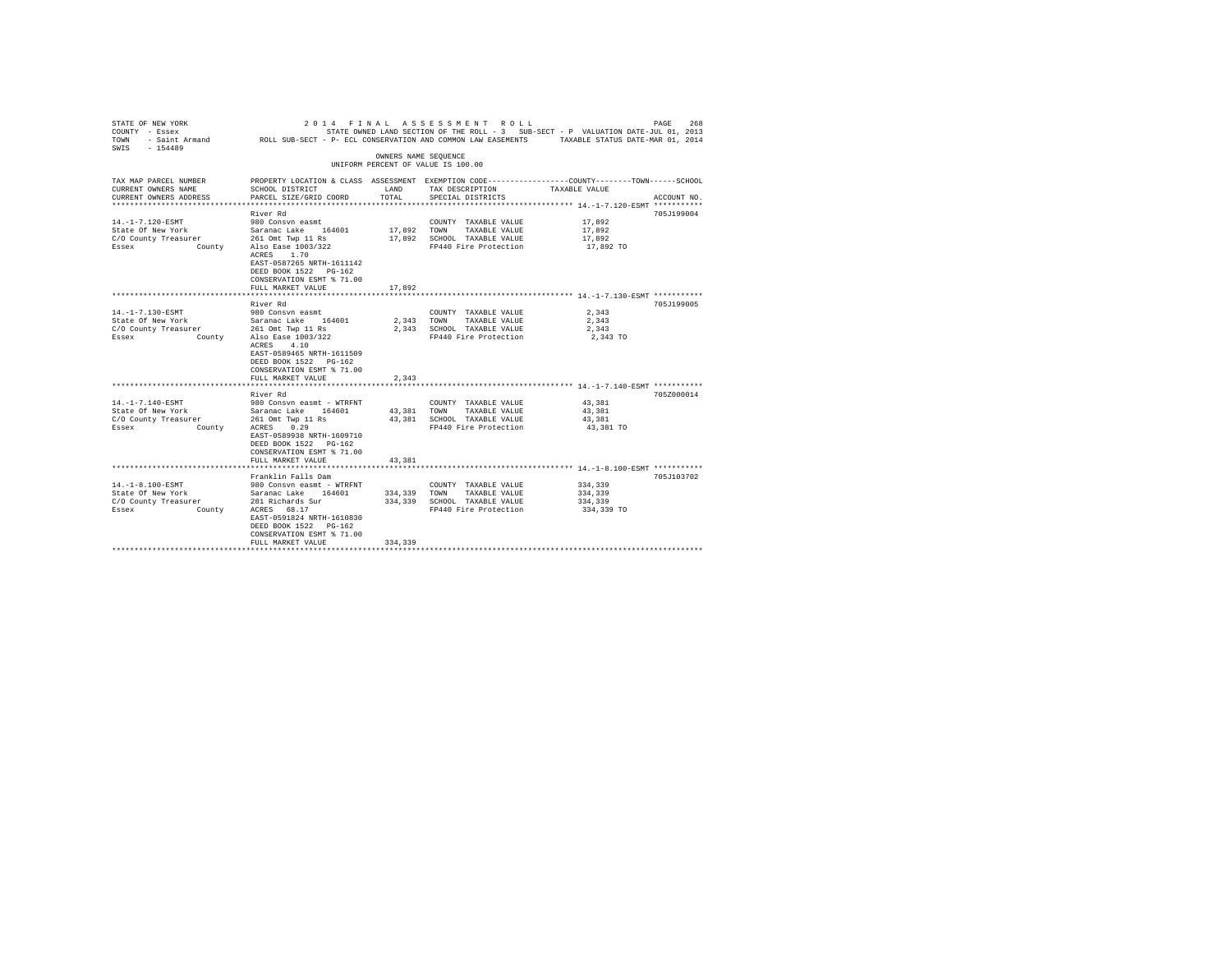| STATE OF NEW YORK<br>COUNTY - Essex<br>TOWN<br>$-154489$<br>SWIS | 2014 FINAL<br>- Saint Armand MOLL SUB-SECT - P- ECL CONSERVATION AND COMMON LAW EASEMENTS TAXABLE STATUS DATE-MAR 01, 2014 |                      | ASSESSMENT ROLL                               | STATE OWNED LAND SECTION OF THE ROLL - 3 SUB-SECT - P VALUATION DATE-JUL 01, 2013                                | PAGE<br>268 |
|------------------------------------------------------------------|----------------------------------------------------------------------------------------------------------------------------|----------------------|-----------------------------------------------|------------------------------------------------------------------------------------------------------------------|-------------|
|                                                                  |                                                                                                                            | OWNERS NAME SEQUENCE |                                               |                                                                                                                  |             |
|                                                                  |                                                                                                                            |                      | UNIFORM PERCENT OF VALUE IS 100.00            |                                                                                                                  |             |
| TAX MAP PARCEL NUMBER<br>CURRENT OWNERS NAME                     | SCHOOL DISTRICT                                                                                                            | LAND                 | TAX DESCRIPTION                               | PROPERTY LOCATION & CLASS ASSESSMENT EXEMPTION CODE---------------COUNTY-------TOWN------SCHOOL<br>TAXABLE VALUE |             |
| CURRENT OWNERS ADDRESS                                           | PARCEL SIZE/GRID COORD                                                                                                     | TOTAL                | SPECIAL DISTRICTS                             |                                                                                                                  | ACCOUNT NO. |
|                                                                  | River Rd                                                                                                                   |                      |                                               |                                                                                                                  | 705J199004  |
| 14. -1-7.120-ESMT                                                | 980 Consyn easmt                                                                                                           |                      | COUNTY TAXABLE VALUE                          | 17,892                                                                                                           |             |
| State Of New York                                                | Saranac Lake 164601                                                                                                        | 17,892               | TOWN<br>TAXABLE VALUE                         | 17,892                                                                                                           |             |
| C/O County Treasurer                                             | 261 Omt Twp 11 Rs                                                                                                          | 17,892               | SCHOOL TAXABLE VALUE                          | 17.892                                                                                                           |             |
| Essex                                                            | County Also Ease 1003/322                                                                                                  |                      | FP440 Fire Protection                         | 17,892 TO                                                                                                        |             |
|                                                                  | ACRES 1.70                                                                                                                 |                      |                                               |                                                                                                                  |             |
|                                                                  | EAST-0587265 NRTH-1611142<br>DEED BOOK 1522 PG-162                                                                         |                      |                                               |                                                                                                                  |             |
|                                                                  | CONSERVATION ESMT % 71.00                                                                                                  |                      |                                               |                                                                                                                  |             |
|                                                                  | FULL MARKET VALUE                                                                                                          | 17,892               |                                               |                                                                                                                  |             |
|                                                                  | ********************                                                                                                       |                      |                                               | ******************************** 14.-1-7.130-ESMT ************                                                   |             |
|                                                                  | River Rd                                                                                                                   |                      |                                               |                                                                                                                  | 705J199005  |
| 14. -1-7.130-ESMT                                                | 980 Consyn easmt                                                                                                           |                      | COUNTY TAXABLE VALUE                          | 2.343                                                                                                            |             |
| State Of New York                                                | Saranac Lake 164601                                                                                                        | 2.343                | TOWN<br>TAXABLE VALUE                         | 2.343                                                                                                            |             |
| C/O County Treasurer                                             | 261 Omt Twp 11 Rs                                                                                                          | 2,343                | SCHOOL TAXABLE VALUE                          | 2,343                                                                                                            |             |
| Essex                                                            | County Also Ease 1003/322                                                                                                  |                      | FP440 Fire Protection                         | 2,343 TO                                                                                                         |             |
|                                                                  | ACRES 4.10                                                                                                                 |                      |                                               |                                                                                                                  |             |
|                                                                  | EAST-0589465 NRTH-1611509                                                                                                  |                      |                                               |                                                                                                                  |             |
|                                                                  | DEED BOOK 1522 PG-162                                                                                                      |                      |                                               |                                                                                                                  |             |
|                                                                  | CONSERVATION ESMT % 71.00                                                                                                  |                      |                                               |                                                                                                                  |             |
|                                                                  | FULL MARKET VALUE                                                                                                          | 2,343                |                                               |                                                                                                                  |             |
|                                                                  | River Rd                                                                                                                   |                      |                                               |                                                                                                                  | 705Z000014  |
| 14. -1-7.140-ESMT                                                | 980 Consvn easmt - WTRFNT                                                                                                  |                      | COUNTY TAXABLE VALUE                          | 43,381                                                                                                           |             |
| State Of New York                                                | Saranac Lake 164601                                                                                                        | 43.381               | TOWN<br>TAXABLE VALUE                         | 43,381                                                                                                           |             |
| C/O County Treasurer                                             | 261 Omt Twp 11 Rs                                                                                                          | 43,381               | SCHOOL TAXABLE VALUE                          | 43.381                                                                                                           |             |
| Essex<br>County                                                  | 0.29<br>ACRES                                                                                                              |                      | FP440 Fire Protection                         | 43,381 TO                                                                                                        |             |
|                                                                  | EAST-0589938 NRTH-1609710                                                                                                  |                      |                                               |                                                                                                                  |             |
|                                                                  | DEED BOOK 1522 PG-162                                                                                                      |                      |                                               |                                                                                                                  |             |
|                                                                  | CONSERVATION ESMT % 71.00                                                                                                  |                      |                                               |                                                                                                                  |             |
|                                                                  | FULL MARKET VALUE                                                                                                          | 43,381               |                                               |                                                                                                                  |             |
|                                                                  |                                                                                                                            |                      |                                               |                                                                                                                  |             |
|                                                                  | Franklin Falls Dam                                                                                                         |                      |                                               |                                                                                                                  | 705J103702  |
| 14. -1-8.100-ESMT                                                | 980 Consvn easmt - WTRFNT                                                                                                  |                      | COUNTY TAXABLE VALUE                          | 334,339                                                                                                          |             |
| State Of New York                                                | Saranac Lake 164601                                                                                                        | 334,339              | TOWN<br>TAXABLE VALUE                         | 334,339                                                                                                          |             |
| C/O County Treasurer<br>Essex<br>County                          | 281 Richards Sur<br>ACRES 68.17                                                                                            | 334,339              | SCHOOL TAXABLE VALUE<br>FP440 Fire Protection | 334,339<br>334,339 TO                                                                                            |             |
|                                                                  | EAST-0591824 NRTH-1610830                                                                                                  |                      |                                               |                                                                                                                  |             |
|                                                                  | DEED BOOK 1522 PG-162                                                                                                      |                      |                                               |                                                                                                                  |             |
|                                                                  | CONSERVATION ESMT % 71.00                                                                                                  |                      |                                               |                                                                                                                  |             |
|                                                                  | FULL MARKET VALUE                                                                                                          | 334,339              |                                               |                                                                                                                  |             |
|                                                                  |                                                                                                                            |                      |                                               |                                                                                                                  |             |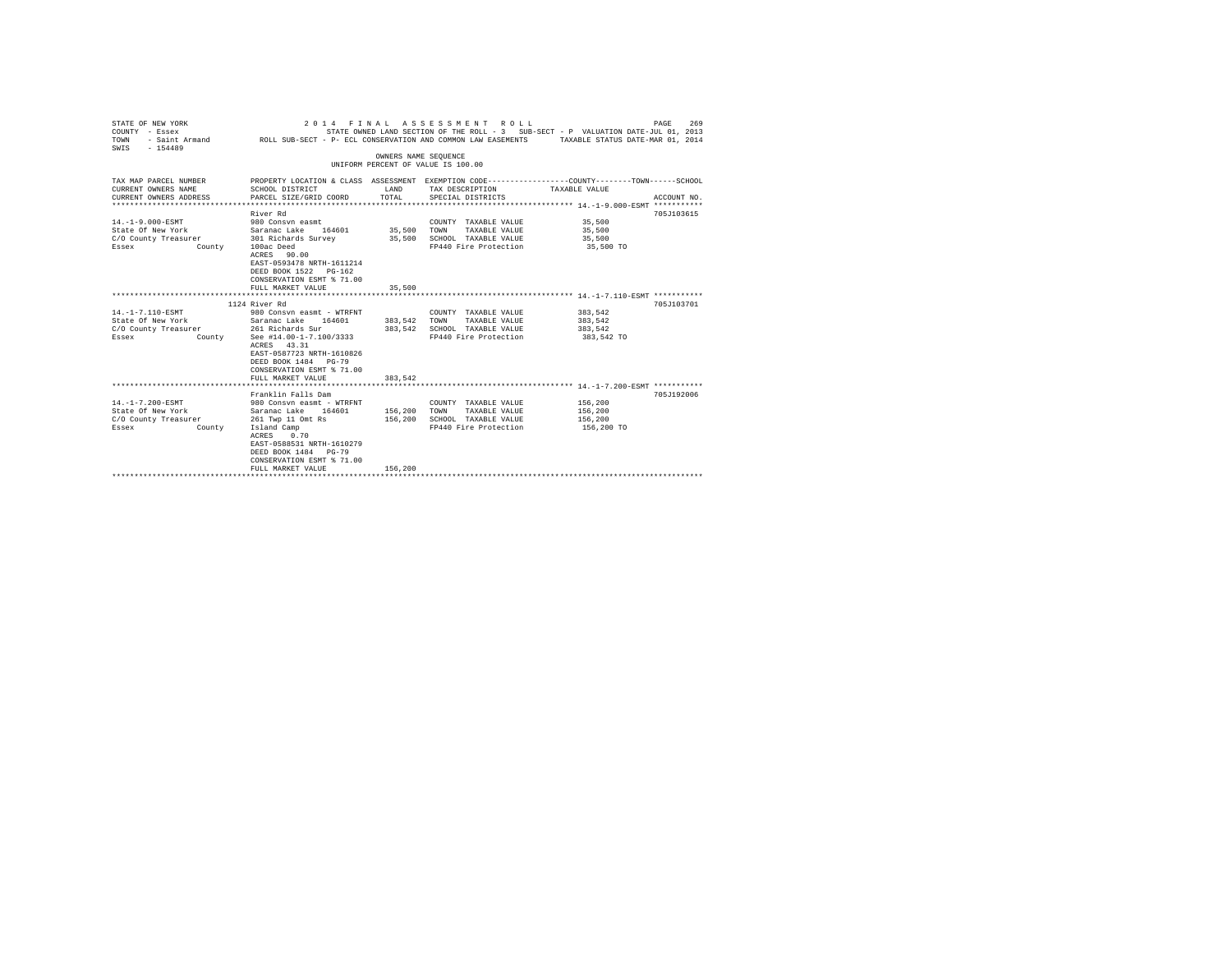| STATE OF NEW YORK<br>2014 FINAL ASSESSMENT ROLL<br>PAGE<br>STATE OWNED LAND SECTION OF THE ROLL - 3 SUB-SECT - P VALUATION DATE-JUL 01, 2013<br>COUNTY - Essex<br>- Saint Armand Mac ROLL SUB-SECT - P- ECL CONSERVATION AND COMMON LAW EASEMENTS<br>TOWN<br>TAXABLE STATUS DATE-MAR 01, 2014<br>$-154489$<br>SWTS |                                                                                                                                                                                                                       |                            |                                                                                                                                         |                                             |             |  |
|--------------------------------------------------------------------------------------------------------------------------------------------------------------------------------------------------------------------------------------------------------------------------------------------------------------------|-----------------------------------------------------------------------------------------------------------------------------------------------------------------------------------------------------------------------|----------------------------|-----------------------------------------------------------------------------------------------------------------------------------------|---------------------------------------------|-------------|--|
|                                                                                                                                                                                                                                                                                                                    |                                                                                                                                                                                                                       | OWNERS NAME SEOUENCE       | UNIFORM PERCENT OF VALUE IS 100.00                                                                                                      |                                             |             |  |
| TAX MAP PARCEL NUMBER<br>CURRENT OWNERS NAME<br>CURRENT OWNERS ADDRESS                                                                                                                                                                                                                                             | SCHOOL DISTRICT<br>PARCEL SIZE/GRID COORD                                                                                                                                                                             | LAND<br>TOTAL              | PROPERTY LOCATION & CLASS ASSESSMENT EXEMPTION CODE---------------COUNTY-------TOWN------SCHOOL<br>TAX DESCRIPTION<br>SPECIAL DISTRICTS | TAXABLE VALUE                               | ACCOUNT NO. |  |
| $14. -1 - 9.000 - ESMT$<br>State Of New York Saranac Lake 164601<br>C/O County Treasurer 301 Richards Survey<br>County<br>Essex                                                                                                                                                                                    | River Rd<br>980 Consvn easmt<br>100ac Deed<br>ACRES 90.00<br>EAST-0593478 NRTH-1611214<br>DEED BOOK 1522 PG-162<br>CONSERVATION ESMT % 71.00<br>FULL MARKET VALUE                                                     | 35,500<br>35,500<br>35,500 | COUNTY TAXABLE VALUE 35,500<br>TOWN<br>TAXABLE VALUE<br>SCHOOL TAXABLE VALUE<br>FP440 Fire Protection                                   | 35,500<br>35,500<br>35,500 TO               | 705J103615  |  |
|                                                                                                                                                                                                                                                                                                                    | 1124 River Rd                                                                                                                                                                                                         |                            |                                                                                                                                         |                                             | 705.7103701 |  |
| 14. -1-7.110-ESMT<br>State Of New York<br>C/O County Treasurer<br>County<br>Essex                                                                                                                                                                                                                                  | 980 Consyn easmt - WTRFNT<br>Saranac Lake 164601<br>261 Richards Sur<br>See #14.00-1-7.100/3333<br>ACRES 43.31<br>EAST-0587723 NRTH-1610826<br>DEED BOOK 1484 PG-79<br>CONSERVATION ESMT % 71.00<br>FULL MARKET VALUE | 383.542 TOWN<br>383.542    | COUNTY TAXABLE VALUE<br>TAXABLE VALUE<br>383.542 SCHOOL TAXABLE VALUE<br>FP440 Fire Protection                                          | 383,542<br>383.542<br>383,542<br>383,542 TO |             |  |
|                                                                                                                                                                                                                                                                                                                    |                                                                                                                                                                                                                       |                            |                                                                                                                                         |                                             |             |  |
| 14. -1-7.200-ESMT<br>State Of New York<br>C/O County Treasurer<br>County<br>Essex                                                                                                                                                                                                                                  | Franklin Falls Dam<br>980 Consyn easmt - WTRFNT<br>Saranac Lake 164601<br>261 Twp 11 Omt Rs<br>Island Camp<br>0.70<br>ACRES<br>EAST-0588531 NRTH-1610279<br>DEED BOOK 1484 PG-79<br>CONSERVATION ESMT % 71.00         | 156,200 TOWN<br>156,200    | COUNTY TAXABLE VALUE<br>TAXABLE VALUE<br>SCHOOL TAXABLE VALUE<br>FP440 Fire Protection                                                  | 156,200<br>156,200<br>156,200<br>156,200 TO | 705J192006  |  |
|                                                                                                                                                                                                                                                                                                                    | FULL MARKET VALUE                                                                                                                                                                                                     | 156,200                    |                                                                                                                                         |                                             |             |  |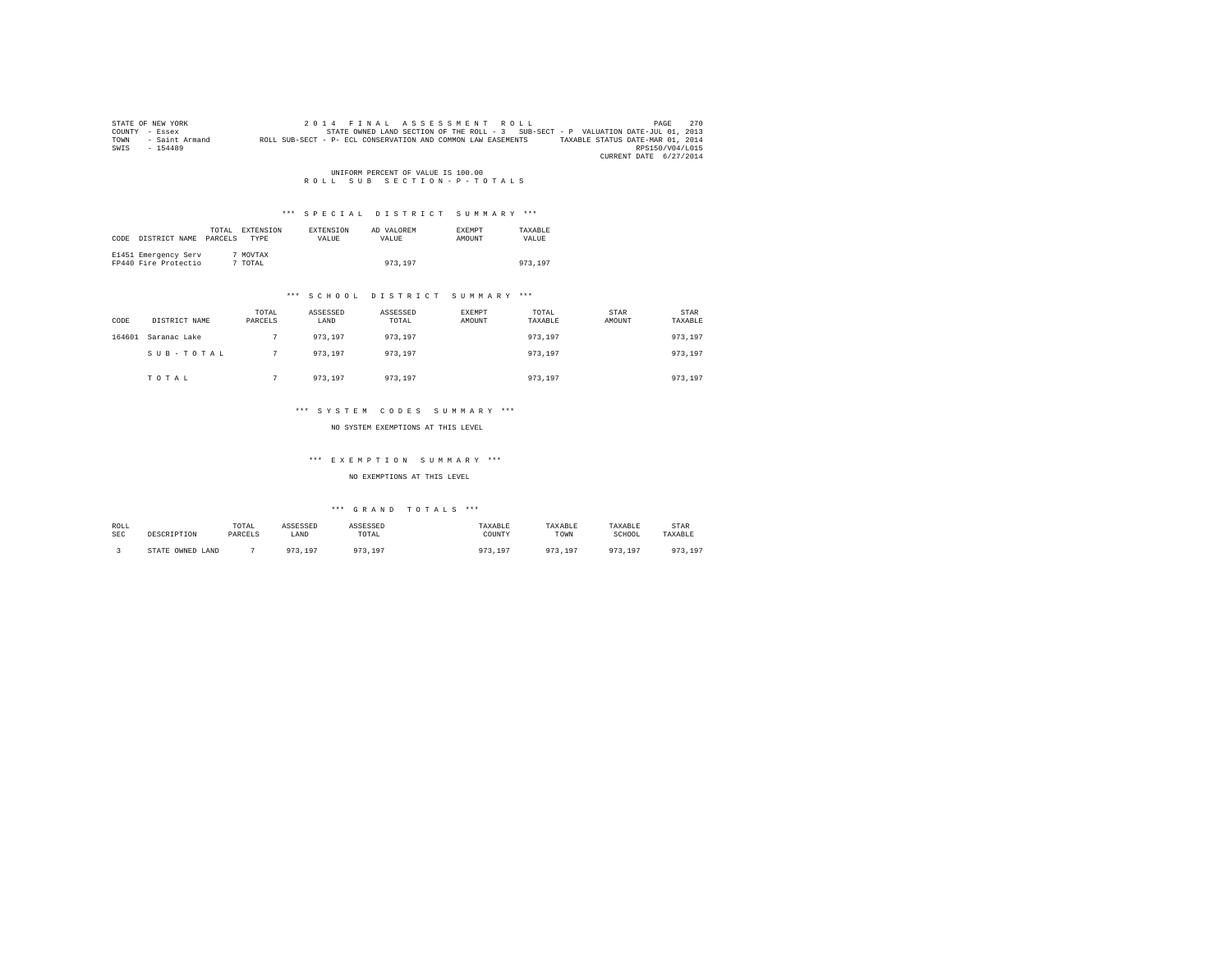|      | STATE OF NEW YORK | 2014 FINAL ASSESSMENT ROLL                                                                       | PAGE            | 270 |
|------|-------------------|--------------------------------------------------------------------------------------------------|-----------------|-----|
|      | COUNTY - Essex    | STATE OWNED LAND SECTION OF THE ROLL - 3 SUB-SECT - P VALUATION DATE-JUL 01, 2013                |                 |     |
| TOWN | - Saint Armand    | TAXABLE STATUS DATE-MAR 01, 2014<br>ROLL SUB-SECT - P- ECL CONSERVATION AND COMMON LAW EASEMENTS |                 |     |
| SWIS | $-154489$         |                                                                                                  | RPS150/V04/L015 |     |
|      |                   | CURRENT DATE 6/27/2014                                                                           |                 |     |

# UNIFORM PERCENT OF VALUE IS 100.00<br>R O L L S U B S E C T I O N - P - T O T A L S

## \*\*\* S P E C I A L D I S T R I C T S U M M A R Y \*\*\*

| CODE | DISTRICT NAME                                | TOTAL<br>PARCELS | EXTENSION<br>TYPE   | EXTENSION<br>VALUE | AD VALOREM<br>VALUE | EXEMPT<br>AMOUNT | TAXABLE<br>VALUE |
|------|----------------------------------------------|------------------|---------------------|--------------------|---------------------|------------------|------------------|
|      | E1451 Emergency Serv<br>FP440 Fire Protectio |                  | 7 MOVTAX<br>7 TOTAL |                    | 973,197             |                  | 973,197          |

#### \*\*\* S C H O O L D I S T R I C T S U M M A R Y \*\*\*

| CODE   | DISTRICT NAME | TOTAL<br>PARCELS | ASSESSED<br>LAND | ASSESSED<br>TOTAL | <b>EXEMPT</b><br>AMOUNT | TOTAL<br>TAXABLE | STAR<br>AMOUNT | STAR<br>TAXABLE |
|--------|---------------|------------------|------------------|-------------------|-------------------------|------------------|----------------|-----------------|
| 164601 | Saranac Lake  |                  | 973,197          | 973,197           |                         | 973,197          |                | 973,197         |
|        | SUB-TOTAL     |                  | 973.197          | 973,197           |                         | 973,197          |                | 973,197         |
|        | TOTAL         |                  | 973,197          | 973,197           |                         | 973.197          |                | 973,197         |

#### \*\*\* S Y S T E M C O D E S S U M M A R Y \*\*\*

NO SYSTEM EXEMPTIONS AT THIS LEVEL

## \*\*\* E X E M P T I O N S U M M A R Y \*\*\*

#### NO EXEMPTIONS AT THIS LEVEL

| ROLL | DESCRIPTION      | TOTAL   | ASSESSED | <b>ASSESSED</b>      | TAXABLE  | TAXABLE                | TAXABLE    | STAR    |
|------|------------------|---------|----------|----------------------|----------|------------------------|------------|---------|
| SEC  |                  | PARCELS | LAND     | TOTAL                | COUNTY   | TOWN                   | SCHOOL     | TAXABLE |
|      | STATE OWNED LAND |         | 973 197  | 10 <sup>7</sup><br>. | 197<br>. | 972 197<br>, , , , , , | 072<br>197 | 973,197 |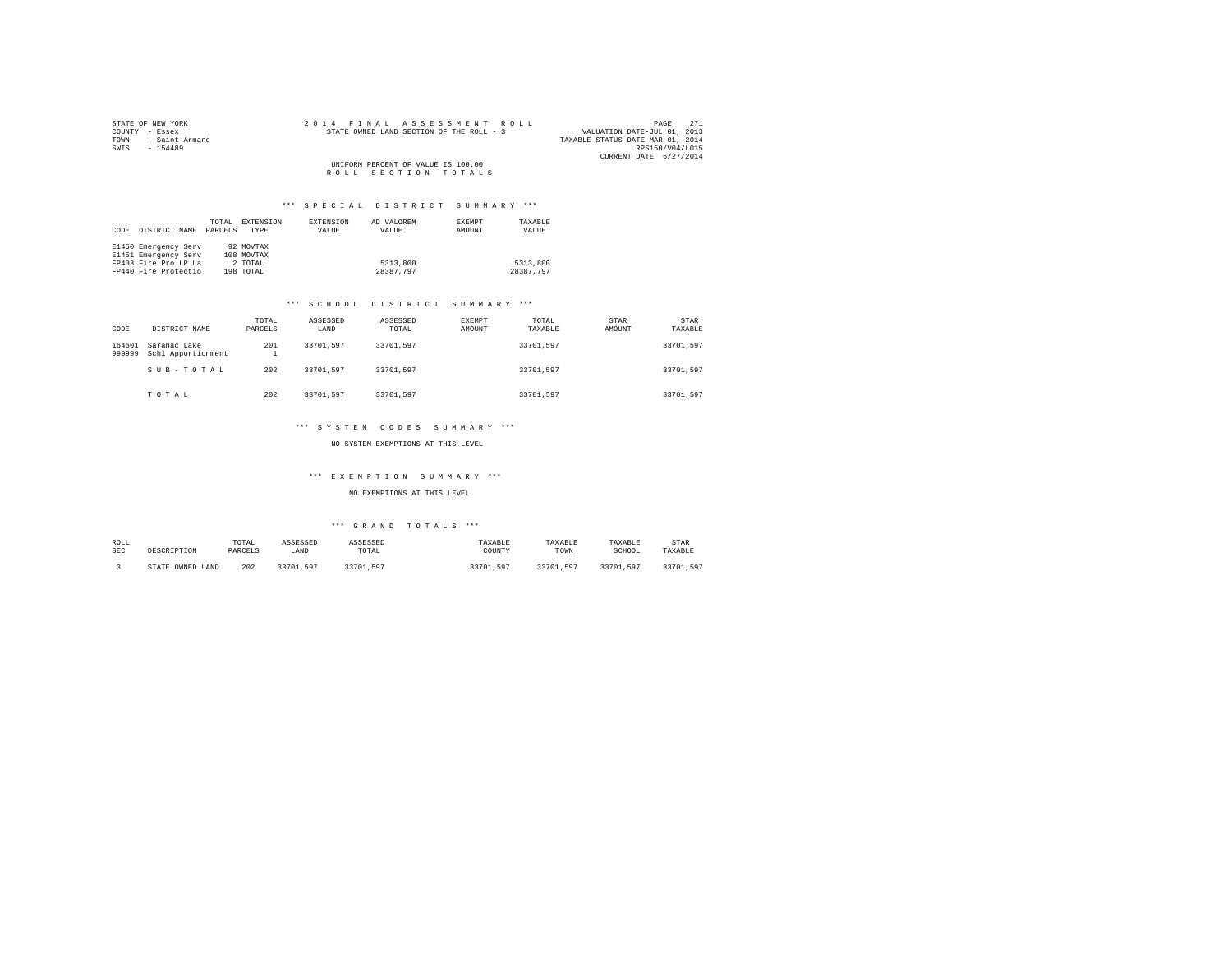|      | STATE OF NEW YORK |  |  |  | 2014 FINAL ASSESSMENT ROLL               |  |                                  |                        | PAGE | 2.71 |
|------|-------------------|--|--|--|------------------------------------------|--|----------------------------------|------------------------|------|------|
|      | COUNTY - Essex    |  |  |  | STATE OWNED LAND SECTION OF THE ROLL - 3 |  | VALUATION DATE-JUL 01, 2013      |                        |      |      |
| TOWN | - Saint Armand    |  |  |  |                                          |  | TAXABLE STATUS DATE-MAR 01, 2014 |                        |      |      |
| SWTS | $-154489$         |  |  |  |                                          |  |                                  | RPS150/V04/L015        |      |      |
|      |                   |  |  |  |                                          |  |                                  | CURRENT DATE 6/27/2014 |      |      |
|      |                   |  |  |  | UNIFORM PERCENT OF VALUE IS 100.00       |  |                                  |                        |      |      |
|      |                   |  |  |  | ROLL SECTION TOTALS                      |  |                                  |                        |      |      |

|      |                      | TOTAL   | EXTENSION  | EXTENSION | AD VALOREM | EXEMPT | TAXABLE   |
|------|----------------------|---------|------------|-----------|------------|--------|-----------|
| CODE | DISTRICT NAME        | PARCELS | TYPE       | VALUE     | VALUE      | AMOUNT | VALUE     |
|      |                      |         |            |           |            |        |           |
|      | E1450 Emergency Serv |         | 92 MOVTAX  |           |            |        |           |
|      | E1451 Emergency Serv |         | 108 MOVTAX |           |            |        |           |
|      | FP403 Fire Pro LP La |         | 2 TOTAL    |           | 5313,800   |        | 5313,800  |
|      | FP440 Fire Protectio |         | 198 TOTAL  |           | 28387.797  |        | 28387.797 |

## \*\*\* S C H O O L D I S T R I C T S U M M A R Y \*\*\*

| CODE             | DISTRICT NAME                      | TOTAL<br>PARCELS | ASSESSED<br>LAND | ASSESSED<br>TOTAL | <b>EXEMPT</b><br>AMOUNT | TOTAL<br>TAXABLE | STAR<br>AMOUNT | STAR<br>TAXABLE |
|------------------|------------------------------------|------------------|------------------|-------------------|-------------------------|------------------|----------------|-----------------|
| 164601<br>999999 | Saranac Lake<br>Schl Apportionment | 201<br>٠.        | 33701.597        | 33701.597         |                         | 33701.597        |                | 33701.597       |
|                  | SUB-TOTAL                          | 202              | 33701.597        | 33701.597         |                         | 33701.597        |                | 33701.597       |
|                  | TOTAL                              | 202              | 33701.597        | 33701.597         |                         | 33701.597        |                | 33701.597       |

#### \*\*\* SYSTEM CODES SUMMARY \*\*\*

## NO SYSTEM EXEMPTIONS AT THIS LEVEL

#### \*\*\* E X E M P T I O N S U M M A R Y \*\*\*

#### NO EXEMPTIONS AT THIS LEVEL

| ROLL | DESCRIPTION      | TOTAL   | ASSESSED  | ASSESSED  | TAXABLE   | TAXABLE   | TAXABLE   | STAR      |
|------|------------------|---------|-----------|-----------|-----------|-----------|-----------|-----------|
| SEC  |                  | PARCELS | LAND      | TOTAL     | COUNTY    | TOWN      | SCHOOL    | TAXABLE   |
|      | STATE OWNED LAND | 202     | 33701.597 | 33701.597 | 33701.597 | 33701.597 | 33701.597 | 33701.597 |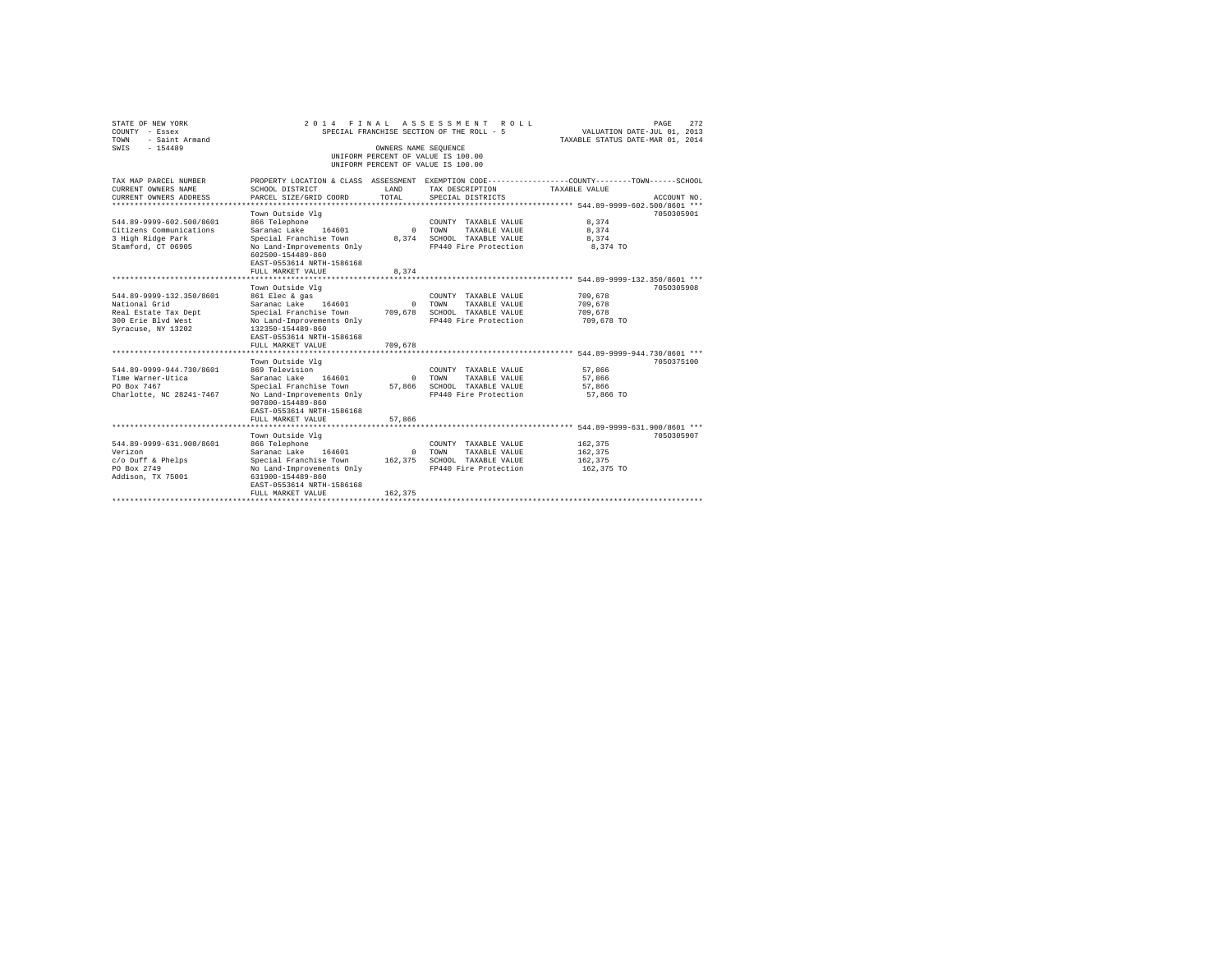| STATE OF NEW YORK<br>COUNTY - Essex<br>TOWN<br>- Saint Armand<br>$-154489$<br>SWIS                            | 2014 FINAL ASSESSMENT                                                                                                                                                                          | OWNERS NAME SEQUENCE               | R O T. T.<br>SPECIAL FRANCHISE SECTION OF THE ROLL - 5<br>UNIFORM PERCENT OF VALUE IS 100.00          | VALUATION DATE-JUL 01, 2013<br>TAXABLE STATUS DATE-MAR 01, 2014 | 272<br>PAGE |
|---------------------------------------------------------------------------------------------------------------|------------------------------------------------------------------------------------------------------------------------------------------------------------------------------------------------|------------------------------------|-------------------------------------------------------------------------------------------------------|-----------------------------------------------------------------|-------------|
|                                                                                                               |                                                                                                                                                                                                |                                    | UNIFORM PERCENT OF VALUE IS 100.00                                                                    |                                                                 |             |
| TAX MAP PARCEL NUMBER<br>CURRENT OWNERS NAME<br>CURRENT OWNERS ADDRESS<br>***************                     | PROPERTY LOCATION & CLASS ASSESSMENT EXEMPTION CODE----------------COUNTY-------TOWN------SCHOOL<br>SCHOOL DISTRICT<br>PARCEL SIZE/GRID COORD                                                  | LAND<br>TOTAL.                     | TAX DESCRIPTION<br>SPECIAL DISTRICTS                                                                  | TAXABLE VALUE                                                   | ACCOUNT NO. |
| 544.89-9999-602.500/8601<br>Citizens Communications<br>3 High Ridge Park<br>Stamford, CT 06905                | Town Outside Vlg<br>866 Telephone<br>Saranac Lake<br>164601<br>Special Franchise Town<br>No Land-Improvements Only<br>602500-154489-860<br>EAST-0553614 NRTH-1586168<br>FULL MARKET VALUE<br>. | $\Omega$<br>8.374<br>8.374         | COUNTY TAXABLE VALUE<br>TOWN<br>TAXABLE VALUE<br>SCHOOL TAXABLE VALUE<br>FP440 Fire Protection        | 8,374<br>8.374<br>8.374<br>8,374 TO                             | 7050305901  |
|                                                                                                               | Town Outside Vlg                                                                                                                                                                               |                                    |                                                                                                       | ******** 544.89-9999-132.350/8601 ***                           | 7050305908  |
| 544.89-9999-132.350/8601<br>National Grid<br>Real Estate Tax Dept<br>300 Erie Blyd West<br>Syracuse, NY 13202 | 861 Elec & gas<br>Saranac Lake<br>164601<br>Special Franchise Town<br>No Land-Improvements Only<br>132350-154489-860<br>EAST-0553614 NRTH-1586168<br>FULL MARKET VALUE                         | $\mathbf{r}$<br>709,678<br>709,678 | COUNTY TAXABLE VALUE<br>TOWN<br>TAXABLE VALUE<br>SCHOOL TAXABLE VALUE<br>FP440 Fire Protection        | 709,678<br>709,678<br>709,678<br>709,678 TO                     |             |
|                                                                                                               |                                                                                                                                                                                                |                                    |                                                                                                       |                                                                 |             |
| 544.89-9999-944.730/8601<br>Time Warner-Utica<br>PO Box 7467<br>Charlotte, NC 28241-7467                      | Town Outside Vla<br>869 Television<br>Saranac Lake<br>164601<br>Special Franchise Town<br>No Land-Improvements Only<br>907800-154489-860<br>EAST-0553614 NRTH-1586168<br>FULL MARKET VALUE     | $\mathbf{r}$<br>57,866<br>57.866   | COUNTY TAXABLE VALUE<br>TOWN<br>TAXABLE VALUE<br>SCHOOL TAXABLE VALUE<br>FP440 Fire Protection        | 57.866<br>57.866<br>57,866<br>57,866 TO                         | 7050375100  |
|                                                                                                               | Town Outside Vlg                                                                                                                                                                               |                                    |                                                                                                       |                                                                 | 7050305907  |
| 544.89-9999-631.900/8601<br>Verizon<br>c/o Duff & Phelps<br>PO Box 2749<br>Addison, TX 75001                  | 866 Telephone<br>Saranac Lake 164601<br>Special Franchise Town<br>No Land-Improvements Only<br>631900-154489-860<br>EAST-0553614 NRTH-1586168<br>FULL MARKET VALUE                             | $\Omega$<br>162.375<br>162.375     | COUNTY TAXABLE VALUE<br><b>TOWN</b><br>TAXABLE VALUE<br>SCHOOL TAXABLE VALUE<br>FP440 Fire Protection | 162.375<br>162,375<br>162.375<br>162,375 TO                     |             |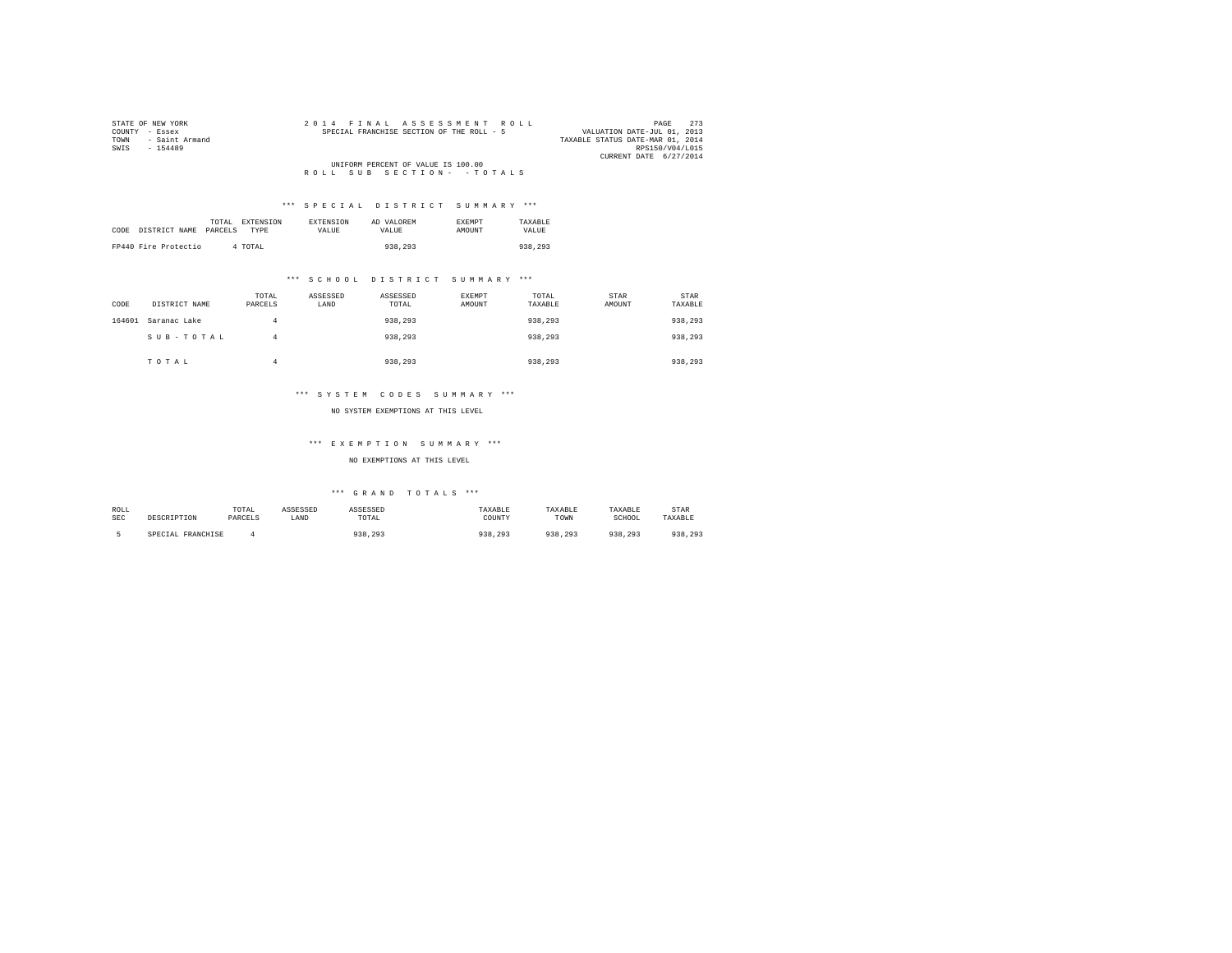| STATE OF NEW YORK      | 2014 FINAL ASSESSMENT ROLL                | 2.73<br>PAGE                     |
|------------------------|-------------------------------------------|----------------------------------|
| COUNTY - Essex         | SPECIAL FRANCHISE SECTION OF THE ROLL - 5 | VALUATION DATE-JUL 01, 2013      |
| - Saint Armand<br>TOWN |                                           | TAXABLE STATUS DATE-MAR 01, 2014 |
| SWIS<br>$-154489$      |                                           | RPS150/V04/L015                  |
|                        |                                           | CURRENT DATE 6/27/2014           |
|                        | UNIFORM PERCENT OF VALUE IS 100.00        |                                  |
|                        | ROLL SUB SECTION- - TOTALS                |                                  |

| CODE | DISTRICT NAME        | TOTAL<br>PARCELS | EXTENSION<br><b>TYPE</b> | <b>EXTENSION</b><br>VALUE | AD VALOREM<br>VALUE. | <b>EXEMPT</b><br><b>AMOUNT</b> | TAXARLE<br>VALUE |
|------|----------------------|------------------|--------------------------|---------------------------|----------------------|--------------------------------|------------------|
|      | FP440 Fire Protectio |                  | 4 TOTAL                  |                           | 938,293              |                                | 938,293          |

## \*\*\* S C H O O L D I S T R I C T S U M M A R Y \*\*\*

| CODE   | DISTRICT NAME | TOTAL<br>PARCELS | ASSESSED<br>LAND | ASSESSED<br>TOTAL | EXEMPT<br>AMOUNT | TOTAL<br>TAXABLE | STAR<br>AMOUNT | STAR<br>TAXABLE |
|--------|---------------|------------------|------------------|-------------------|------------------|------------------|----------------|-----------------|
| 164601 | Saranac Lake  | 4                |                  | 938,293           |                  | 938.293          |                | 938,293         |
|        | SUB-TOTAL     | 4                |                  | 938,293           |                  | 938,293          |                | 938,293         |
|        | TOTAL         | а                |                  | 938,293           |                  | 938,293          |                | 938,293         |

## \*\*\* S Y S T E M C O D E S S U M M A R Y \*\*\*

#### NO SYSTEM EXEMPTIONS AT THIS LEVEL

## \*\*\* E X E M P T I O N S U M M A R Y \*\*\*

## NO EXEMPTIONS AT THIS LEVEL

| ROLL       |                   | TOTAL   | ASSESSED | ASSESSED | TAXABLE | <b><i>TAXABLE</i></b> | TAXABLE | <b>STAR</b> |
|------------|-------------------|---------|----------|----------|---------|-----------------------|---------|-------------|
| <b>SEC</b> | DESCRIPTION       | PARCELS | LAND     | TOTAL    | COUNTY  | TOWN                  | SCHOOL  | TAXABLE     |
|            | SPECIAL FRANCHISE |         |          | 938.293  | 938,293 | 938<br>. 293          | 938.293 | 938,293     |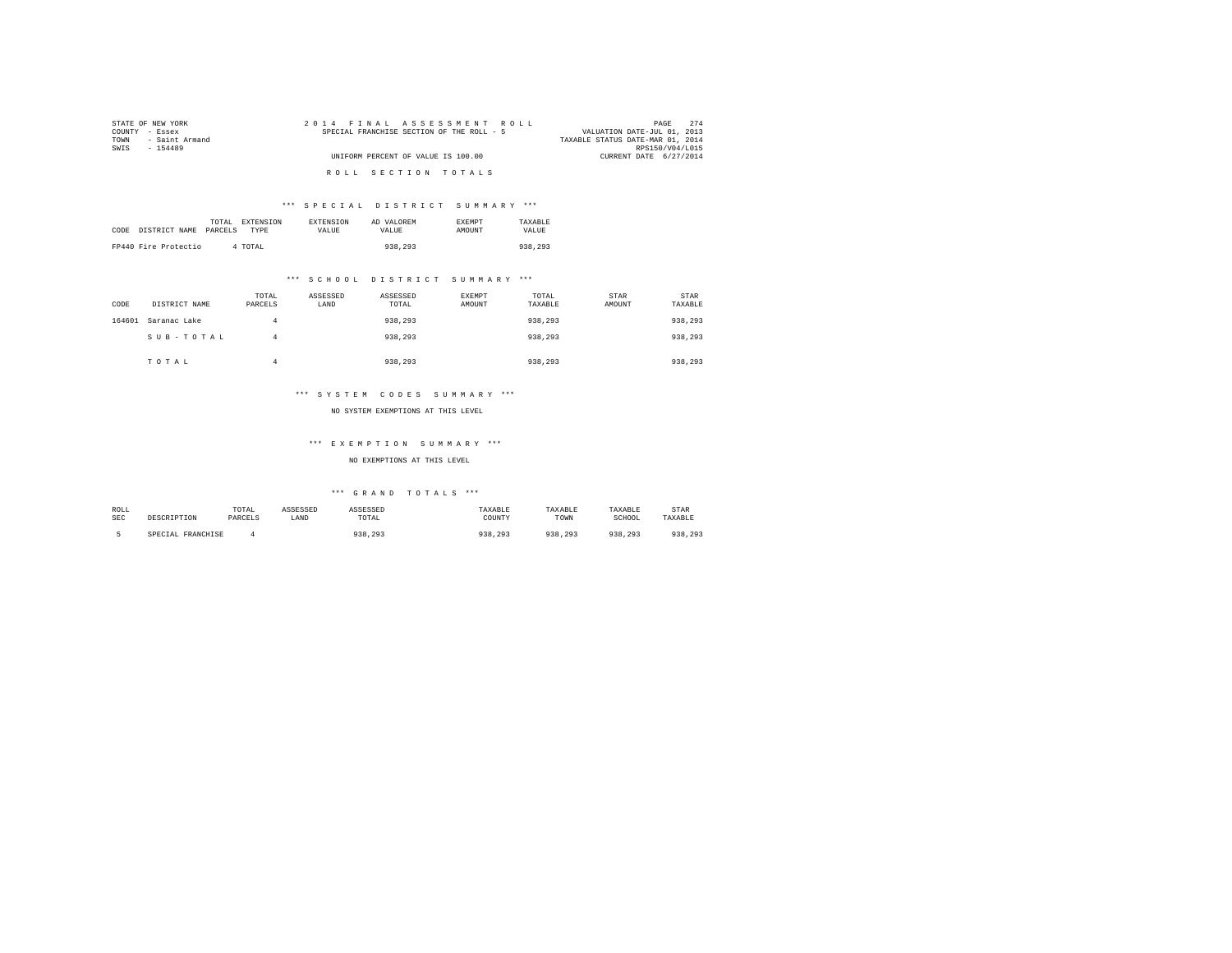| STATE OF NEW YORK      | 2014 FINAL ASSESSMENT ROLL                | 274<br>PAGE                      |
|------------------------|-------------------------------------------|----------------------------------|
| COUNTY - Essex         | SPECIAL FRANCHISE SECTION OF THE ROLL - 5 | VALUATION DATE-JUL 01, 2013      |
| - Saint Armand<br>TOWN |                                           | TAXABLE STATUS DATE-MAR 01, 2014 |
| SWIS<br>$-154489$      |                                           | RPS150/V04/L015                  |
|                        | UNIFORM PERCENT OF VALUE IS 100.00        | CURRENT DATE 6/27/2014           |
|                        |                                           |                                  |
|                        | ROLL SECTION TOTALS                       |                                  |

|      |                      | TOTAL   | <b>EXTENSION</b><br><b>EXTENSION</b> | AD VALOREM | <b>EXEMPT</b> | TAXARLE |
|------|----------------------|---------|--------------------------------------|------------|---------------|---------|
| CODE | DISTRICT NAME        | PARCELS | TYPE<br>VALUE                        | VALUE.     | AMOUNT        | VALUE   |
|      |                      |         |                                      |            |               |         |
|      | FP440 Fire Protectio | 4 TOTAL |                                      | 938,293    |               | 938,293 |

## \*\*\* S C H O O L D I S T R I C T S U M M A R Y \*\*\*

| CODE   | DISTRICT NAME | TOTAL<br>PARCELS | ASSESSED<br>LAND | ASSESSED<br>TOTAL | <b>EXEMPT</b><br>AMOUNT | TOTAL<br>TAXABLE | STAR<br>AMOUNT | STAR<br>TAXABLE |
|--------|---------------|------------------|------------------|-------------------|-------------------------|------------------|----------------|-----------------|
| 164601 | Saranac Lake  | 4                |                  | 938,293           |                         | 938,293          |                | 938,293         |
|        | SUB-TOTAL     | 4                |                  | 938,293           |                         | 938,293          |                | 938,293         |
|        | TOTAL         |                  |                  | 938,293           |                         | 938.293          |                | 938,293         |

## \*\*\* S Y S T E M C O D E S S U M M A R Y \*\*\*

#### NO SYSTEM EXEMPTIONS AT THIS LEVEL

## \*\*\* E X E M P T I O N S U M M A R Y \*\*\*

## NO EXEMPTIONS AT THIS LEVEL

| ROLL       |                   | TOTAL   | ASSESSED | ASSESSED | TAXABLE | TAXABLE | TAXABLE | STAR    |
|------------|-------------------|---------|----------|----------|---------|---------|---------|---------|
| <b>SEC</b> | DESCRIPTION       | PARCELS | LAND     | TOTAL    | COUNTY  | TOWN    | SCHOOL  | TAXABLE |
|            | SPECIAL FRANCHISE |         |          | 938,293  | 938,293 | 938.293 | 938.293 | 938,293 |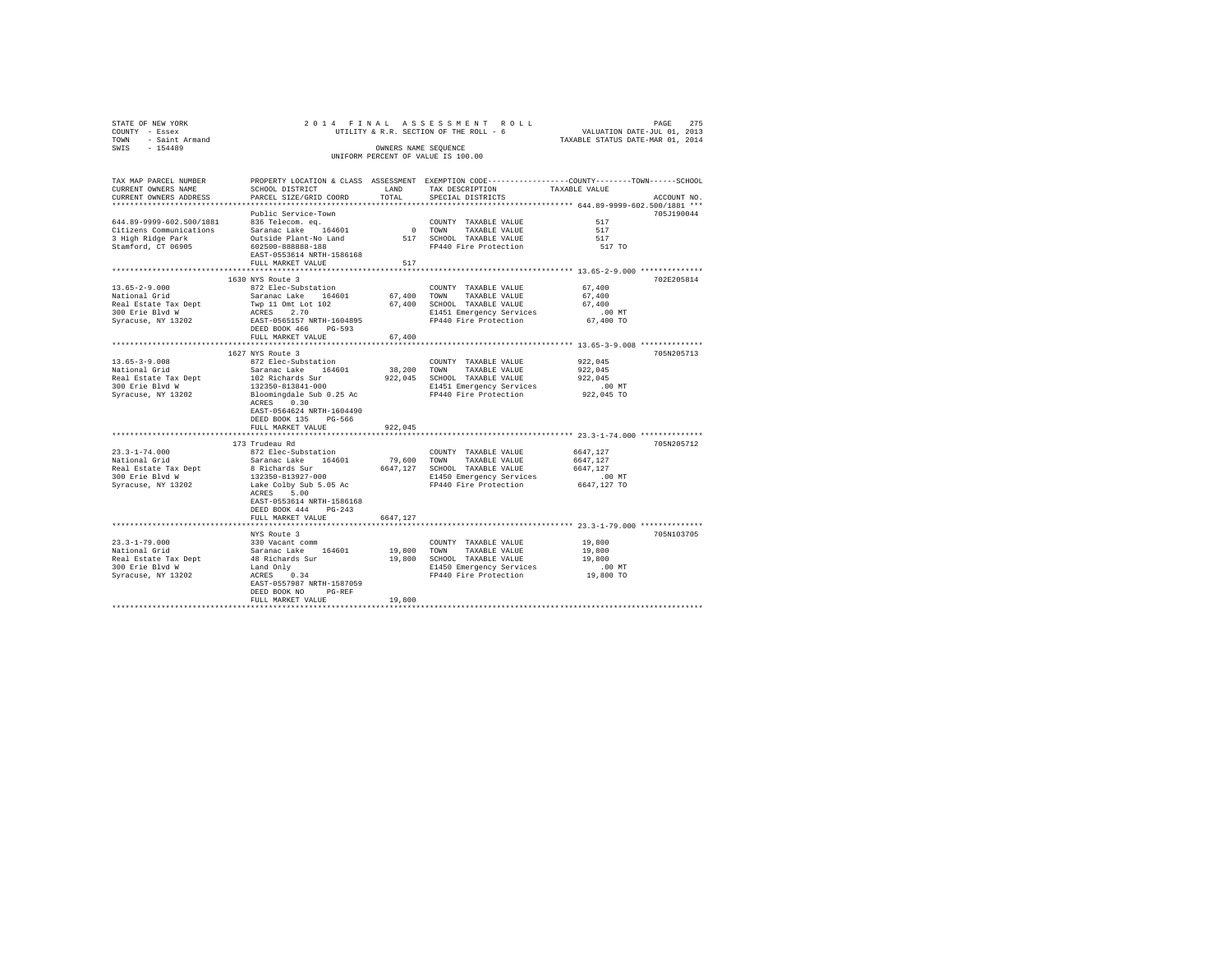| STATE OF NEW YORK<br>COUNTY - Essex                                                                   |                                                                                                                                                                                                                                            |                                    |                                                                                                                                        | PAGE 275 PAGE 275 A S S E S S M E N T R O L L PAGE 275 PAGE 275 UTILITY & R.R. SECTION OF THE ROLL 5 COLL TAXABLE STATUS DATE-NAR 01, 2014 |
|-------------------------------------------------------------------------------------------------------|--------------------------------------------------------------------------------------------------------------------------------------------------------------------------------------------------------------------------------------------|------------------------------------|----------------------------------------------------------------------------------------------------------------------------------------|--------------------------------------------------------------------------------------------------------------------------------------------|
| TOWN - Saint Armand<br>SWIS - 154489                                                                  |                                                                                                                                                                                                                                            |                                    | OWNERS NAME SEOUENCE<br>UNIFORM PERCENT OF VALUE IS 100.00                                                                             |                                                                                                                                            |
| TAX MAP PARCEL NUMBER<br>CURRENT OWNERS NAME<br>CURRENT OWNERS ADDRESS                                | SCHOOL DISTRICT<br>PARCEL SIZE/GRID COORD                                                                                                                                                                                                  | LAND<br>TOTAL                      | TAX DESCRIPTION<br>SPECIAL DISTRICTS                                                                                                   | PROPERTY LOCATION & CLASS ASSESSMENT EXEMPTION CODE---------------COUNTY-------TOWN------SCHOOL<br>TAXABLE VALUE<br>ACCOUNT NO.            |
| 644.89-9999-602.500/1881<br>Citizens Communications<br>3 High Ridge Park<br>Stamford, CT 06905        | Public Service-Town<br>836 Telecom. ea.<br>Saranac Lake 164601<br>Outside Plant-No Land<br>602500-888888-188<br>EAST-0553614 NRTH-1586168<br>FULL MARKET VALUE                                                                             | 517                                | COUNTY TAXABLE VALUE<br>$0$ TOWN<br>TAXABLE VALUE<br>517 SCHOOL TAXABLE VALUE<br>FP440 Fire Protection                                 | 705J190044<br>517<br>517<br>517<br>517 TO                                                                                                  |
| $13.65 - 2 - 9.000$<br>National Grid<br>Real Estate Tax Dept<br>300 Erie Blvd W<br>Syracuse, NY 13202 | 1630 NYS Route 3<br>872 Elec-Substation<br>Saranac Lake 164601<br>Twp 11 Omt Lot 102<br>ACRES 2.70<br>EAST-0565157 NRTH-1604895<br>DEED BOOK 466 PG-593<br>FULL MARKET VALUE                                                               | 67,400                             | COUNTY TAXABLE VALUE<br>67,400 TOWN TAXABLE VALUE<br>67,400 SCHOOL TAXABLE VALUE<br>E1451 Emergency Services<br>FP440 Fire Protection  | 702E205814<br>67,400<br>67,400<br>67,400<br>$.00$ MT<br>67,400 TO                                                                          |
| $13.65 - 3 - 9.008$<br>National Grid<br>Real Estate Tax Dept<br>300 Erie Blvd W<br>Syracuse, NY 13202 | 1627 NYS Route 3<br>872 Elec-Substation<br>Saranac Lake 164601<br>102 Richards Sur<br>132350-813841-000<br>Bloomingdale Sub 0.25 Ac<br>ACRES 0.30<br>EAST-0564624 NRTH-1604490<br>DEED BOOK 135 PG-566                                     |                                    | COUNTY TAXABLE VALUE<br>38,200 TOWN TAXABLE VALUE<br>922,045 SCHOOL TAXABLE VALUE<br>E1451 Emergency Services<br>FP440 Fire Protection | *********************************** 13.65-3-9.008 **************<br>705N205713<br>922,045<br>922,045<br>922.045<br>.00 MT<br>922,045 TO    |
| $23.3 - 1 - 74.000$<br>National Grid<br>Real Estate Tax Dept<br>300 Erie Blvd W<br>Syracuse, NY 13202 | FULL MARKET VALUE<br>173 Trudeau Rd<br>872 Elec-Substation<br>Saranac Lake 164601<br>8 Richards Sur<br>132350-813927-000<br>Lake Colby Sub 5.05 Ac<br>ACRES 5.00<br>EAST-0553614 NRTH-1586168<br>DEED BOOK 444 PG-243<br>FULL MARKET VALUE | 922,045<br>79,600 TOWN<br>6647.127 | COUNTY TAXABLE VALUE<br>TAXABLE VALUE<br>6647,127 SCHOOL TAXABLE VALUE<br>E1450 Emergency Services<br>FP440 Fire Protection            | 705N205712<br>6647,127<br>6647,127<br>6647,127<br>.00 MT<br>6647,127 TO                                                                    |
| 23.3-1-79.000<br>National Grid<br>Real Estate Tax Dept<br>300 Erie Blvd W<br>Syracuse, NY 13202       | NYS Route 3<br>330 Vacant comm<br>Saranac Lake 164601<br>48 Richards Sur<br>Land Only<br>ACRES 0.34<br>EAST-0557987 NRTH-1587059<br>DEED BOOK NO<br>$PG-REF$<br>FULL MARKET VALUE                                                          | 19,800 TOWN<br>19,800              | COUNTY TAXABLE VALUE<br>TAXABLE VALUE<br>19,800 SCHOOL TAXABLE VALUE<br>E1450 Emergency Services<br>FP440 Fire Protection              | 705N103705<br>19,800<br>19,800<br>19,800<br>$.00$ MT<br>19,800 TO                                                                          |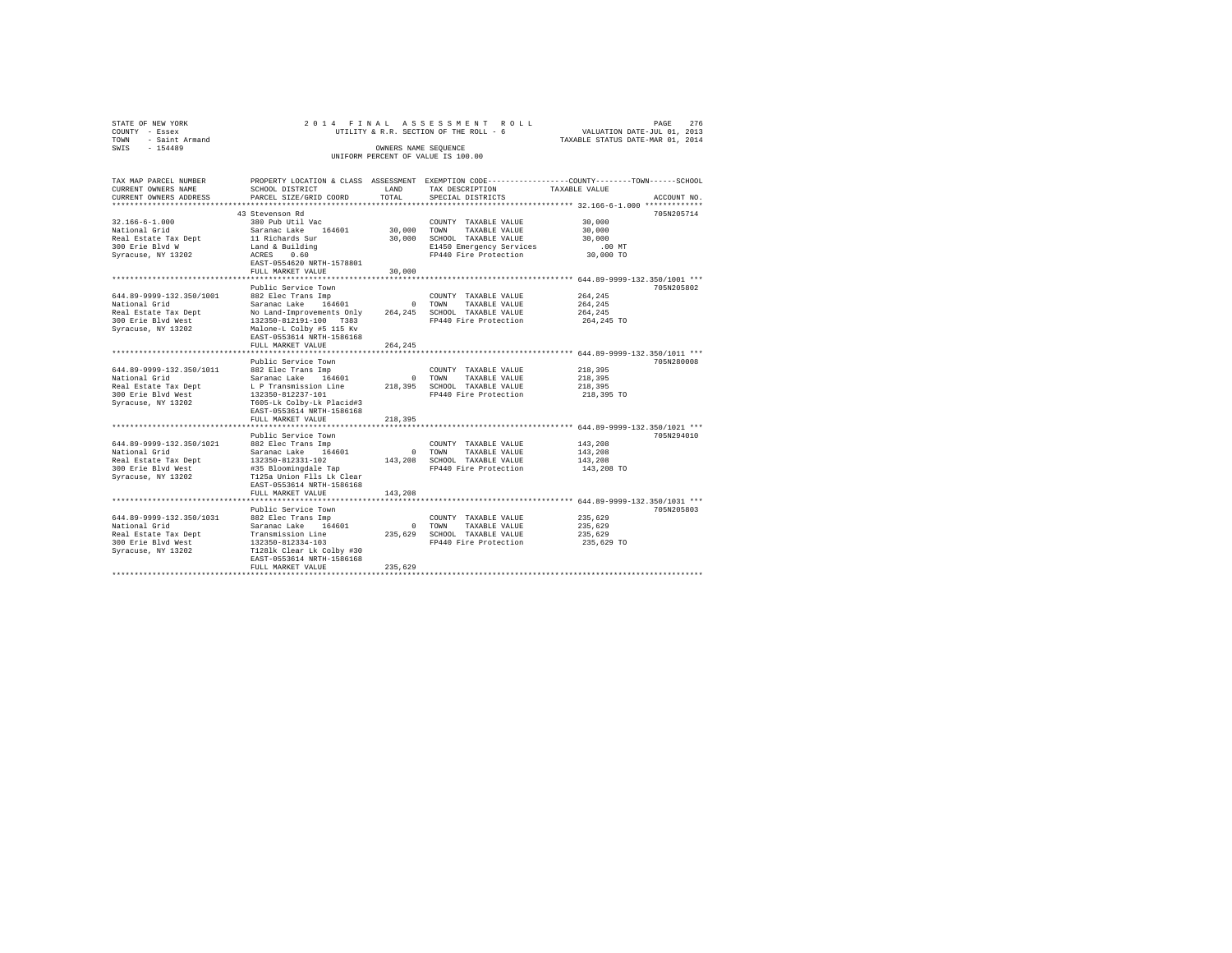| STATE OF NEW YORK |           |                     |  |  | 2014 FINAL ASSESSMENT ROLL             |  |  |  |  |                                  |  | PAGE | 276 |
|-------------------|-----------|---------------------|--|--|----------------------------------------|--|--|--|--|----------------------------------|--|------|-----|
| COUNTY - Essex    |           |                     |  |  | UTILITY & R.R. SECTION OF THE ROLL - 6 |  |  |  |  | VALUATION DATE-JUL 01, 2013      |  |      |     |
|                   |           | TOWN - Saint Armand |  |  |                                        |  |  |  |  | TAXABLE STATUS DATE-MAR 01, 2014 |  |      |     |
| SWTS              | $-154489$ |                     |  |  | OWNERS NAME SEOUENCE                   |  |  |  |  |                                  |  |      |     |
|                   |           |                     |  |  | UNIFORM PERCENT OF VALUE IS 100.00     |  |  |  |  |                                  |  |      |     |
|                   |           |                     |  |  |                                        |  |  |  |  |                                  |  |      |     |

| TAX MAP PARCEL NUMBER    |                                                                                                        |         |                              | PROPERTY LOCATION & CLASS ASSESSMENT EXEMPTION CODE---------------COUNTY-------TOWN-----SCHOOL |             |
|--------------------------|--------------------------------------------------------------------------------------------------------|---------|------------------------------|------------------------------------------------------------------------------------------------|-------------|
| CURRENT OWNERS NAME      | SCHOOL DISTRICT                                                                                        | LAND    | TAX DESCRIPTION              | TAXABLE VALUE                                                                                  |             |
| CURRENT OWNERS ADDRESS   | PARCEL SIZE/GRID COORD                                                                                 | TOTAL   | SPECIAL DISTRICTS            |                                                                                                | ACCOUNT NO. |
|                          |                                                                                                        |         |                              |                                                                                                |             |
|                          | 43 Stevenson Rd                                                                                        |         |                              |                                                                                                | 705N205714  |
| $32.166 - 6 - 1.000$     | 380 Pub Util Vac                                                                                       |         | COUNTY TAXABLE VALUE         | 30,000                                                                                         |             |
| National Grid            | Saranac Lake 164601                                                                                    |         | 30,000 TOWN TAXABLE VALUE    | 30,000                                                                                         |             |
| Real Estate Tax Dept     |                                                                                                        |         | 30,000 SCHOOL TAXABLE VALUE  | 30,000                                                                                         |             |
| 300 Erie Blvd W          | 11 Richards Sur<br>Land & Building                                                                     |         | E1450 Emergency Services     | $.00$ MT                                                                                       |             |
| Syracuse, NY 13202       | ACRES<br>0.60                                                                                          |         | FP440 Fire Protection        | 30,000 TO                                                                                      |             |
|                          | EAST-0554620 NRTH-1578801                                                                              |         |                              |                                                                                                |             |
|                          | FULL MARKET VALUE                                                                                      | 30,000  |                              |                                                                                                |             |
|                          |                                                                                                        |         |                              |                                                                                                |             |
|                          | Public Service Town                                                                                    |         |                              |                                                                                                | 705N205802  |
| 644.89-9999-132.350/1001 | 882 Elec Trans Imp                                                                                     |         | COUNTY TAXABLE VALUE         | 264.245                                                                                        |             |
| National Grid            | Saranac Lake 164601                                                                                    |         | 0 TOWN<br>TAXABLE VALUE      | 264,245                                                                                        |             |
| Real Estate Tax Dept     |                                                                                                        |         |                              | 264,245                                                                                        |             |
| 300 Erie Blvd West       | No Land-Improvements Only 264,245 SCHOOL TAXABLE VALUE<br>132350-812191-100 T383 FP440 Fire Protection |         |                              | 264,245 TO                                                                                     |             |
| Syracuse, NY 13202       | Malone-L Colby #5 115 Kv                                                                               |         |                              |                                                                                                |             |
|                          | EAST-0553614 NRTH-1586168                                                                              |         |                              |                                                                                                |             |
|                          | FULL MARKET VALUE                                                                                      | 264,245 |                              |                                                                                                |             |
|                          |                                                                                                        |         |                              |                                                                                                |             |
|                          | Public Service Town                                                                                    |         |                              |                                                                                                | 705N280008  |
| 644.89-9999-132.350/1011 | 882 Elec Trans Imp                                                                                     |         | COUNTY TAXABLE VALUE         | 218,395                                                                                        |             |
| National Grid            | Saranac Lake 164601                                                                                    |         | 0 TOWN<br>TAXABLE VALUE      | 218,395                                                                                        |             |
| Real Estate Tax Dept     |                                                                                                        |         | 218,395 SCHOOL TAXABLE VALUE | 218,395                                                                                        |             |
| 300 Erie Blvd West       | L P Transmission Line<br>132350-812237-101                                                             |         | FP440 Fire Protection        | 218,395 TO                                                                                     |             |
| Syracuse, NY 13202       | T605-Lk Colby-Lk Placid#3                                                                              |         |                              |                                                                                                |             |
|                          | EAST-0553614 NRTH-1586168                                                                              |         |                              |                                                                                                |             |
|                          | FULL MARKET VALUE                                                                                      | 218,395 |                              |                                                                                                |             |
|                          | ******************                                                                                     |         |                              | **************** 644.89-9999-132.350/1021 ***                                                  |             |
|                          | Public Service Town                                                                                    |         |                              |                                                                                                | 705N294010  |
| 644.89-9999-132.350/1021 | 882 Elec Trans Imp                                                                                     |         | COUNTY TAXABLE VALUE         | 143,208                                                                                        |             |
| National Grid            | Saranac Lake 164601                                                                                    |         | 0 TOWN<br>TAXABLE VALUE      | 143,208                                                                                        |             |
| Real Estate Tax Dept     | 132350-812331-102                                                                                      |         | 143,208 SCHOOL TAXABLE VALUE | 143,208                                                                                        |             |
| 300 Erie Blyd West       | #35 Bloomingdale Tap                                                                                   |         | FP440 Fire Protection        | 143,208 TO                                                                                     |             |
|                          |                                                                                                        |         |                              |                                                                                                |             |
| Syracuse, NY 13202       | T125a Union Flls Lk Clear<br>EAST-0553614 NRTH-1586168                                                 |         |                              |                                                                                                |             |
|                          |                                                                                                        |         |                              |                                                                                                |             |
|                          | FULL MARKET VALUE                                                                                      | 143,208 |                              |                                                                                                |             |
|                          | Public Service Town                                                                                    |         |                              |                                                                                                | 705N205803  |
|                          |                                                                                                        |         |                              |                                                                                                |             |
| 644.89-9999-132.350/1031 | 882 Elec Trans Imp                                                                                     |         | COUNTY TAXABLE VALUE         | 235,629                                                                                        |             |
| National Grid            | Saranac Lake 164601                                                                                    |         | 0 TOWN<br>TAXABLE VALUE      | 235,629                                                                                        |             |
| Real Estate Tax Dept     | Transmission Line                                                                                      |         | 235,629 SCHOOL TAXABLE VALUE | 235,629                                                                                        |             |
| 300 Erie Blyd West       | 132350-812334-103                                                                                      |         | FP440 Fire Protection        | 235,629 TO                                                                                     |             |
| Syracuse, NY 13202       | T1281k Clear Lk Colby #30                                                                              |         |                              |                                                                                                |             |
|                          | EAST-0553614 NRTH-1586168                                                                              |         |                              |                                                                                                |             |
|                          | FULL MARKET VALUE                                                                                      | 235,629 |                              |                                                                                                |             |
|                          |                                                                                                        |         |                              |                                                                                                |             |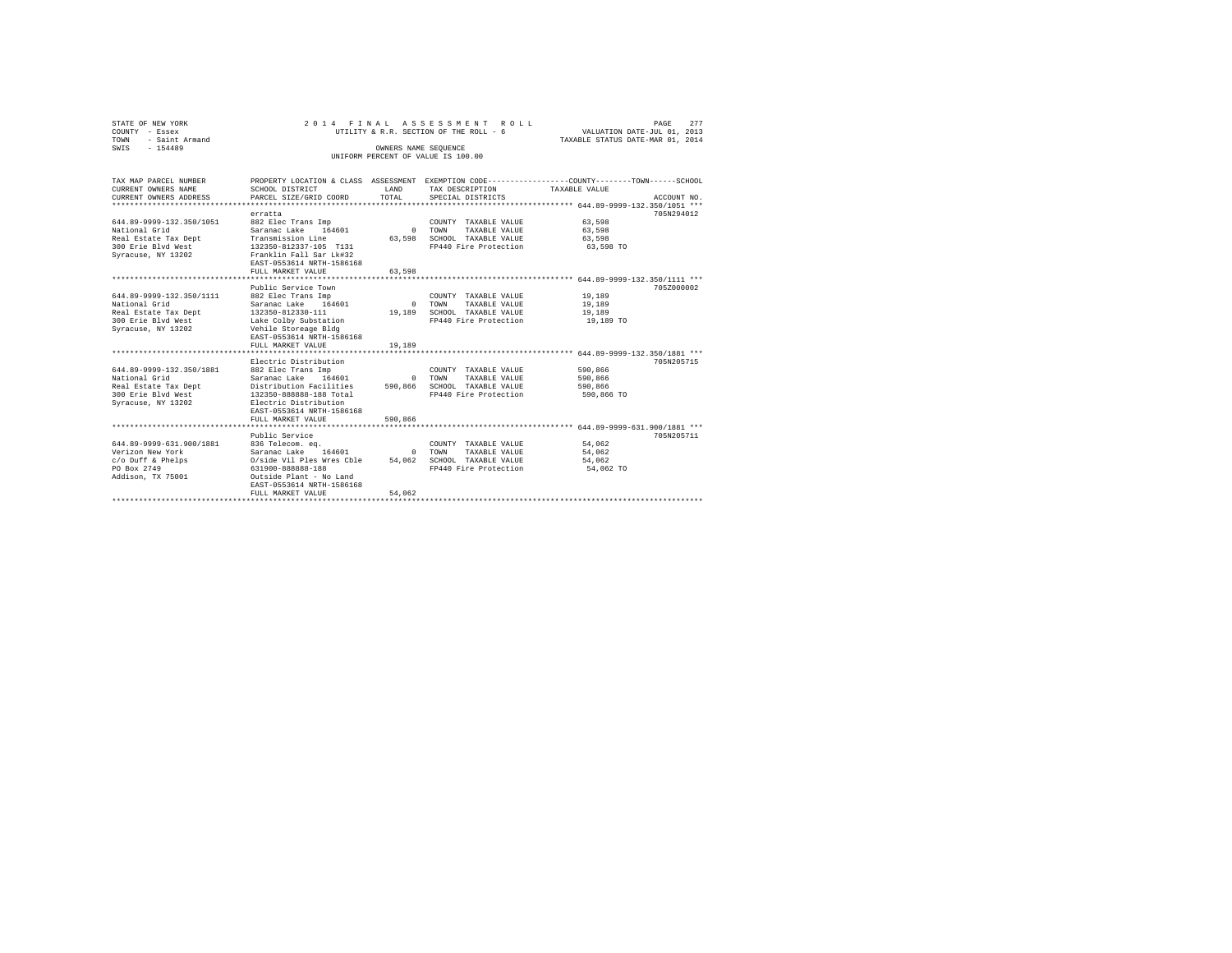|                | STATE OF NEW YORK   |  |  | 2014 FINAL ASSESSMENT ROLL             |  |  |  |  |  |                                  |  | PAGE | 277 |
|----------------|---------------------|--|--|----------------------------------------|--|--|--|--|--|----------------------------------|--|------|-----|
| COUNTY - Essex |                     |  |  | UTILITY & R.R. SECTION OF THE ROLL - 6 |  |  |  |  |  | VALUATION DATE-JUL 01, 2013      |  |      |     |
|                | TOWN - Saint Armand |  |  |                                        |  |  |  |  |  | TAXABLE STATUS DATE-MAR 01, 2014 |  |      |     |
| SWTS           | $-154489$           |  |  | OWNERS NAME SEOUENCE                   |  |  |  |  |  |                                  |  |      |     |
|                |                     |  |  | UNIFORM PERCENT OF VALUE IS 100.00     |  |  |  |  |  |                                  |  |      |     |

| TAX MAP PARCEL NUMBER<br>CURRENT OWNERS NAME<br>CURRENT OWNERS ADDRESS                                        | PROPERTY LOCATION & CLASS ASSESSMENT<br>SCHOOL DISTRICT<br>PARCEL SIZE/GRID COORD                                                                                                                   | <b>T.AND</b><br>TOTAL          | TAX DESCRIPTION<br>SPECIAL DISTRICTS                                                           | EXEMPTION CODE-----------------COUNTY-------TOWN------SCHOOL<br>TAXABLE VALUE | ACCOUNT NO. |
|---------------------------------------------------------------------------------------------------------------|-----------------------------------------------------------------------------------------------------------------------------------------------------------------------------------------------------|--------------------------------|------------------------------------------------------------------------------------------------|-------------------------------------------------------------------------------|-------------|
|                                                                                                               | erratta                                                                                                                                                                                             |                                |                                                                                                | ***************** 644.89-9999-132.350/1051 ***                                | 705N294012  |
| 644.89-9999-132.350/1051<br>National Grid                                                                     | 882 Elec Trans Imp<br>Saranac Lake 164601                                                                                                                                                           | $\sim$ 0                       | COUNTY TAXABLE VALUE<br>TOWN<br>TAXABLE VALUE                                                  | 63.598<br>63,598                                                              |             |
| Real Estate Tax Dept<br>300 Erie Blyd West<br>Syracuse, NY 13202                                              | Transmission Line<br>132350-812337-105 T131<br>Franklin Fall Sar Lk#32<br>EAST-0553614 NRTH-1586168                                                                                                 | 63,598                         | SCHOOL TAXABLE VALUE<br>FP440 Fire Protection                                                  | 63,598<br>63,598 TO                                                           |             |
|                                                                                                               | FULL MARKET VALUE                                                                                                                                                                                   | 63.598                         |                                                                                                |                                                                               |             |
|                                                                                                               | Public Service Town                                                                                                                                                                                 |                                |                                                                                                |                                                                               | 705Z000002  |
| 644.89-9999-132.350/1111<br>National Grid<br>Real Estate Tax Dept<br>300 Erie Blvd West<br>Syracuse, NY 13202 | 882 Elec Trans Imp<br>Saranac Lake<br>164601<br>132350-812330-111<br>Lake Colby Substation<br>Vehile Storeage Bldg<br>EAST-0553614 NRTH-1586168                                                     | $\sim$<br>19,189               | COUNTY TAXABLE VALUE<br>TOWN<br>TAXABLE VALUE<br>SCHOOL TAXABLE VALUE<br>FP440 Fire Protection | 19,189<br>19,189<br>19,189<br>19,189 TO                                       |             |
|                                                                                                               | FULL MARKET VALUE                                                                                                                                                                                   | 19,189                         |                                                                                                |                                                                               |             |
|                                                                                                               |                                                                                                                                                                                                     |                                |                                                                                                |                                                                               |             |
| 644.89-9999-132.350/1881<br>National Grid<br>Real Estate Tax Dept<br>300 Erie Blyd West<br>Syracuse, NY 13202 | Electric Distribution<br>882 Elec Trans Imp<br>Saranac Lake 164601<br>Distribution Facilities<br>132350-888888-188 Total<br>Electric Distribution<br>EAST-0553614 NRTH-1586168<br>FULL MARKET VALUE | $\Omega$<br>590,866<br>590,866 | COUNTY TAXABLE VALUE<br>TOWN<br>TAXABLE VALUE<br>SCHOOL TAXABLE VALUE<br>FP440 Fire Protection | 590,866<br>590,866<br>590,866<br>590,866 TO                                   | 705N205715  |
|                                                                                                               |                                                                                                                                                                                                     |                                |                                                                                                | *********************** 644.89-9999-631.900/1881 ***                          |             |
| 644.89-9999-631.900/1881<br>Verizon New York<br>c/o Duff & Phelps<br>PO Box 2749<br>Addison, TX 75001         | Public Service<br>836 Telecom. eq.<br>Saranac Lake<br>164601<br>O/side Vil Ples Wres Cble<br>631900-888888-188<br>Outside Plant - No Land<br>EAST-0553614 NRTH-1586168<br>FULL MARKET VALUE         | $\Omega$<br>54,062<br>54.062   | COUNTY TAXABLE VALUE<br>TOWN<br>TAXABLE VALUE<br>SCHOOL TAXABLE VALUE<br>FP440 Fire Protection | 54.062<br>54,062<br>54.062<br>54,062 TO                                       | 705N205711  |
|                                                                                                               |                                                                                                                                                                                                     |                                |                                                                                                |                                                                               |             |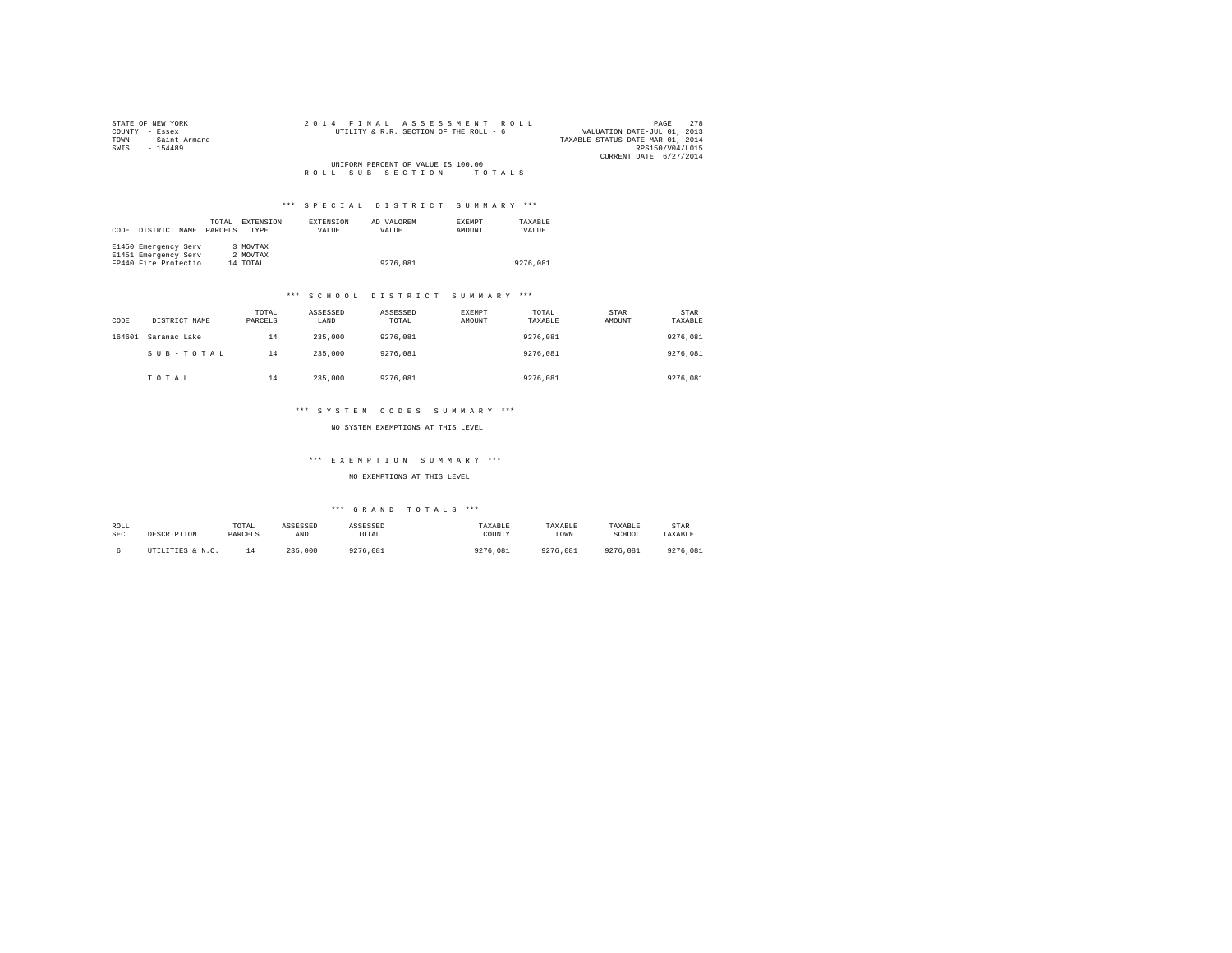| STATE OF NEW YORK   | 2014 FINAL ASSESSMENT ROLL             | 278<br>PAGE                      |
|---------------------|----------------------------------------|----------------------------------|
| COUNTY - Essex      | UTILITY & R.R. SECTION OF THE ROLL - 6 | VALUATION DATE-JUL 01, 2013      |
| TOWN - Saint Armand |                                        | TAXABLE STATUS DATE-MAR 01, 2014 |
| SWIS<br>$-154489$   |                                        | RPS150/V04/L015                  |
|                     |                                        | CURRENT DATE 6/27/2014           |
|                     | UNIFORM PERCENT OF VALUE IS 100.00     |                                  |
|                     | ROLL SUB SECTION- - TOTALS             |                                  |
|                     |                                        |                                  |

| CODE | DISTRICT NAME        | TOTAL<br>PARCELS | EXTENSION<br><b>TYPE</b> | <b>EXTENSION</b><br>VALUE | AD VALOREM<br>VALUE | <b>EXEMPT</b><br>AMOUNT | TAXARLE<br>VALUE |
|------|----------------------|------------------|--------------------------|---------------------------|---------------------|-------------------------|------------------|
|      | E1450 Emergency Serv |                  | 3 MOVTAX                 |                           |                     |                         |                  |
|      | E1451 Emergency Serv |                  | 2 MOVTAX                 |                           |                     |                         |                  |
|      | FP440 Fire Protectio |                  | 14 TOTAL                 |                           | 9276,081            |                         | 9276,081         |

#### \*\*\* S C H O O L D I S T R I C T S U M M A R Y \*\*\*

| CODE   | DISTRICT NAME | TOTAL<br>PARCELS | ASSESSED<br>LAND | ASSESSED<br>TOTAL | EXEMPT<br>AMOUNT | TOTAL<br>TAXABLE | STAR<br>AMOUNT | STAR<br>TAXABLE |
|--------|---------------|------------------|------------------|-------------------|------------------|------------------|----------------|-----------------|
| 164601 | Saranac Lake  | 14               | 235,000          | 9276.081          |                  | 9276.081         |                | 9276.081        |
|        | SUB-TOTAL     | 14               | 235,000          | 9276.081          |                  | 9276.081         |                | 9276.081        |
|        | TOTAL         | 14               | 235,000          | 9276.081          |                  | 9276.081         |                | 9276,081        |

#### \*\*\* S Y S T E M C O D E S S U M M A R Y \*\*\*

NO SYSTEM EXEMPTIONS AT THIS LEVEL

## \*\*\* E X E M P T I O N S U M M A R Y \*\*\*

#### NO EXEMPTIONS AT THIS LEVEL

| ROLL | DESCRIPTION      | TOTAL   | ASSESSED      | ASSESSED | TAXABLE  | TAXABLE  | TAXABLE  | STAR     |
|------|------------------|---------|---------------|----------|----------|----------|----------|----------|
| SEC  |                  | PARCELS | LAND          | TOTAL    | COUNTY   | TOWN     | SCHOOL   | TAXABLE  |
|      | UTILITIES & N.C. |         | 235.<br>.000. | 9276.081 | 9276.081 | 9276.081 | 9276.081 | 9276.081 |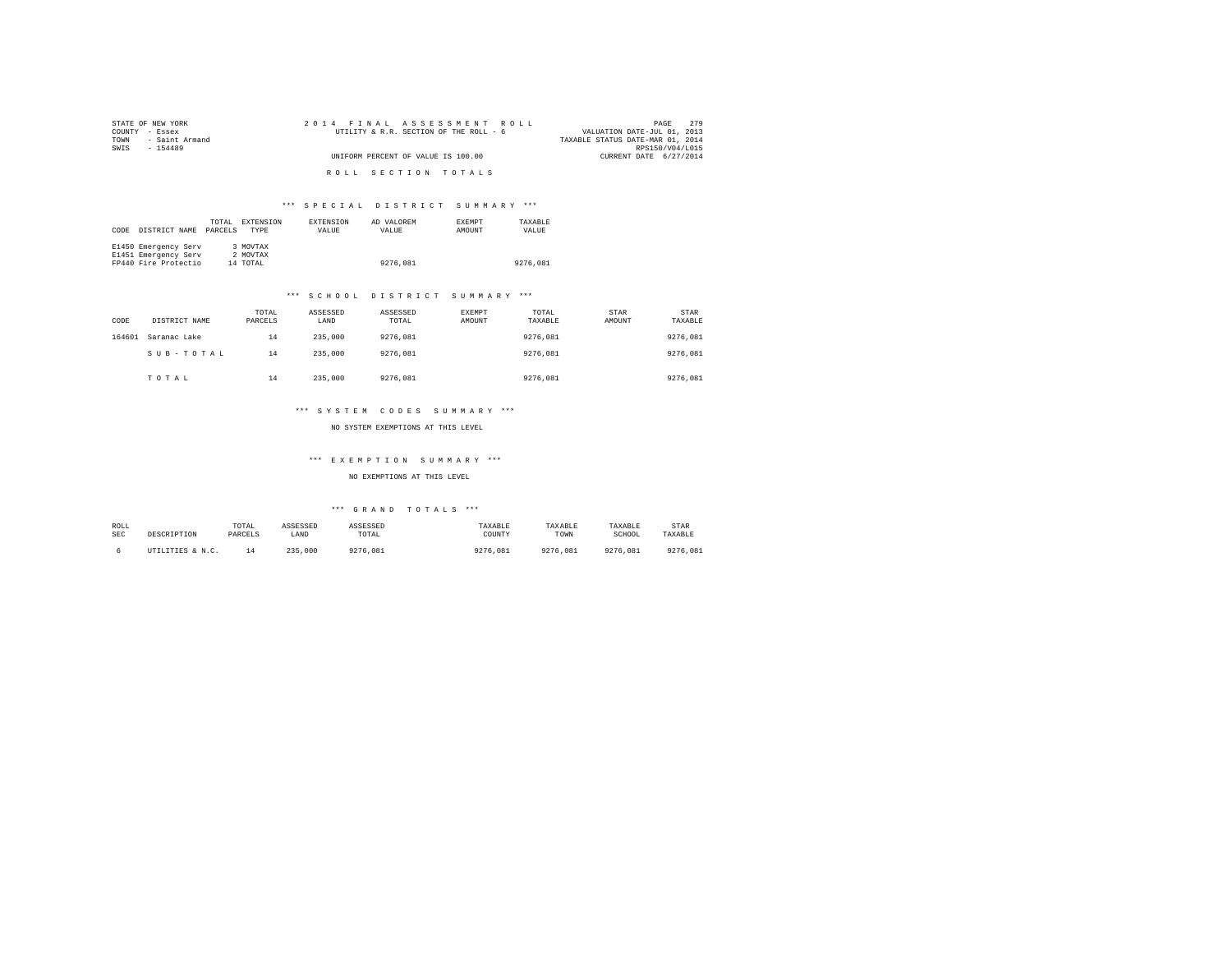| STATE OF NEW YORK      | 2014 FINAL ASSESSMENT ROLL             | 2.79<br>PAGE                     |
|------------------------|----------------------------------------|----------------------------------|
| COUNTY - Essex         | UTILITY & R.R. SECTION OF THE ROLL - 6 | VALUATION DATE-JUL 01, 2013      |
| - Saint Armand<br>TOWN |                                        | TAXABLE STATUS DATE-MAR 01, 2014 |
| SWTS<br>$-154489$      |                                        | RPS150/V04/L015                  |
|                        | UNIFORM PERCENT OF VALUE IS 100.00     | CURRENT DATE 6/27/2014           |
|                        |                                        |                                  |
|                        | ROLL SECTION TOTALS                    |                                  |

| CODE | DISTRICT NAME        | TOTAL<br>PARCELS | EXTENSION<br><b>TYPE</b> | EXTENSION<br>VALUE | AD VALOREM<br>VALUE | <b>EXEMPT</b><br>AMOUNT | TAXARLE<br>VALUE |
|------|----------------------|------------------|--------------------------|--------------------|---------------------|-------------------------|------------------|
|      | E1450 Emergency Serv |                  | 3 MOVTAX                 |                    |                     |                         |                  |
|      | E1451 Emergency Serv |                  | 2 MOVTAX                 |                    |                     |                         |                  |
|      | FP440 Fire Protectio |                  | 14 TOTAL                 |                    | 9276,081            |                         | 9276,081         |

#### \*\*\* S C H O O L D I S T R I C T S U M M A R Y \*\*\*

| CODE   | DISTRICT NAME | TOTAL<br>PARCELS | ASSESSED<br>LAND | ASSESSED<br>TOTAL | EXEMPT<br>AMOUNT | TOTAL<br>TAXABLE | STAR<br>AMOUNT | STAR<br>TAXABLE |
|--------|---------------|------------------|------------------|-------------------|------------------|------------------|----------------|-----------------|
| 164601 | Saranac Lake  | 14               | 235,000          | 9276.081          |                  | 9276.081         |                | 9276.081        |
|        | SUB-TOTAL     | 14               | 235,000          | 9276.081          |                  | 9276.081         |                | 9276.081        |
|        | TOTAL         | 14               | 235,000          | 9276.081          |                  | 9276.081         |                | 9276,081        |

#### \*\*\* S Y S T E M C O D E S S U M M A R Y \*\*\*

NO SYSTEM EXEMPTIONS AT THIS LEVEL

## \*\*\* E X E M P T I O N S U M M A R Y \*\*\*

#### NO EXEMPTIONS AT THIS LEVEL

| ROLL | DESCRIPTION      | TOTAL   | ASSESSED      | ASSESSED | TAXABLE  | TAXABLE  | TAXABLE  | STAR     |
|------|------------------|---------|---------------|----------|----------|----------|----------|----------|
| SEC  |                  | PARCELS | LAND          | TOTAL    | COUNTY   | TOWN     | SCHOOL   | TAXABLE  |
|      | UTILITIES & N.C. |         | 235.<br>.000. | 9276.081 | 9276.081 | 9276.081 | 9276.081 | 9276.081 |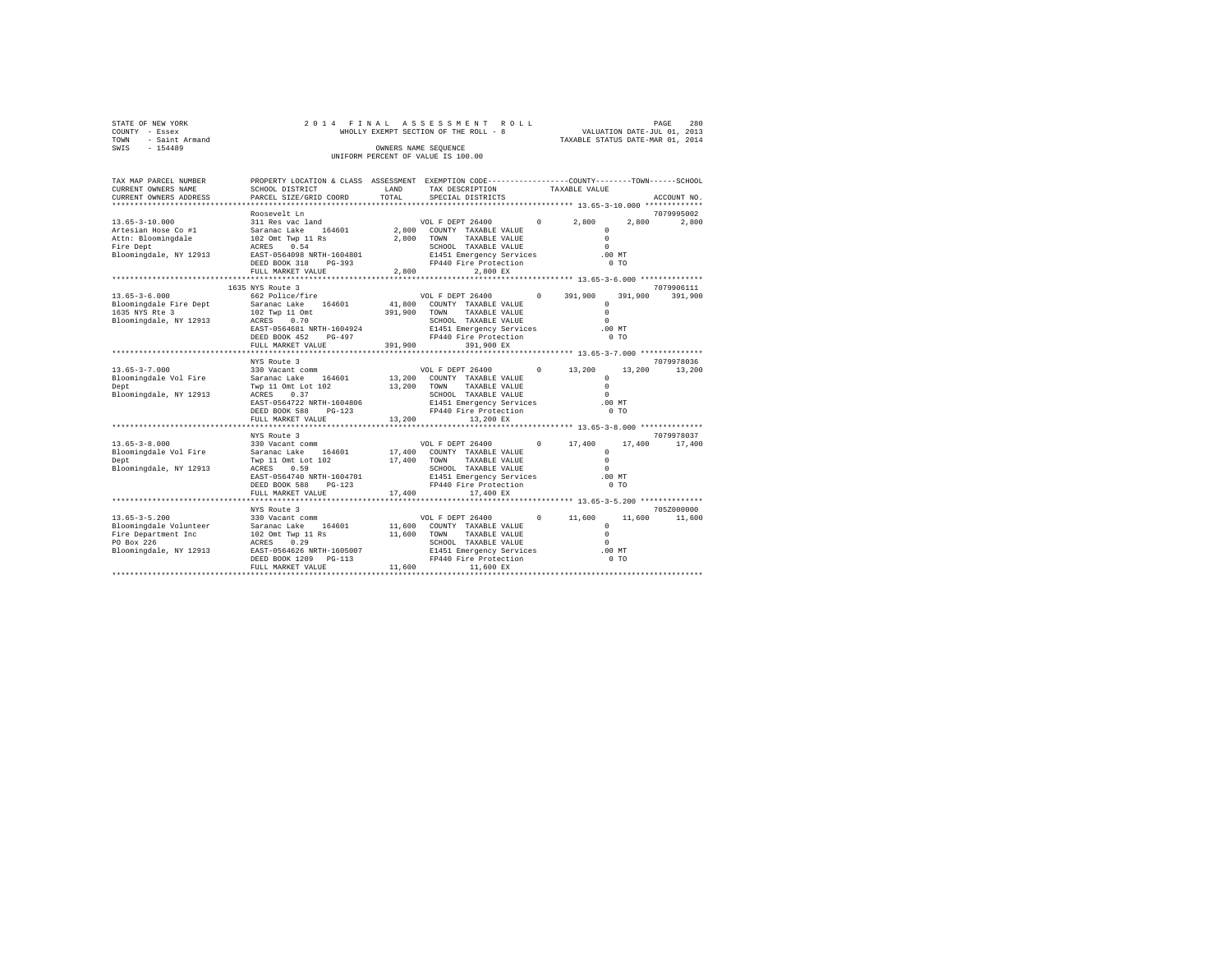| COUNTY | STATE OF NEW YORK<br>- Essex |                                      | 2014 FINAL ASSESSMENT ROLL<br>WHOLLY EXEMPT SECTION OF THE ROLL - 8 |                                              | PAGE<br>VALUATION DATE-JUL 01, 2013 | 280     |
|--------|------------------------------|--------------------------------------|---------------------------------------------------------------------|----------------------------------------------|-------------------------------------|---------|
| TOWN   | - Saint Armand               |                                      |                                                                     |                                              | TAXABLE STATUS DATE-MAR 01, 2014    |         |
| SWIS   | $-154489$                    |                                      | OWNERS NAME SEOUENCE                                                |                                              |                                     |         |
|        |                              |                                      | UNIFORM PERCENT OF VALUE IS 100.00                                  |                                              |                                     |         |
|        |                              |                                      |                                                                     |                                              |                                     |         |
|        |                              |                                      |                                                                     |                                              |                                     |         |
|        | TAX MAP PARCEL NUMBER        | PROPERTY LOCATION & CLASS ASSESSMENT |                                                                     | EXEMPTION CODE------------------COUNTY------ | $---TOWN-$                          | -SCHOOL |

| CURRENT OWNERS NAME<br>CURRENT OWNERS ADDRESS | SCHOOL DISTRICT                              | LAND<br>TOTAL    | TAX DESCRIPTION<br>SPECIAL DISTRICTS              |            | TAXABLE VALUE           |         | ACCOUNT NO. |
|-----------------------------------------------|----------------------------------------------|------------------|---------------------------------------------------|------------|-------------------------|---------|-------------|
|                                               | PARCEL SIZE/GRID COORD                       |                  |                                                   |            |                         |         |             |
|                                               | Roosevelt Ln                                 |                  |                                                   |            |                         |         | 7079995002  |
| $13.65 - 3 - 10.000$<br>Artesian Hose Co #1   | 311 Res vac land<br>Saranac Lake<br>164601   | 2,800            | VOL F DEPT 26400<br>COUNTY TAXABLE VALUE          | $^{\circ}$ | 2,800<br>$\Omega$       | 2,800   | 2,800       |
| Attn: Bloomingdale                            | 102 Omt Twp 11 Rs                            | 2,800            | TOWN<br>TAXABLE VALUE                             |            | $\circ$                 |         |             |
| Fire Dept                                     | 0.54<br>ACRES                                |                  | SCHOOL TAXABLE VALUE                              |            | $\circ$                 |         |             |
| Bloomingdale, NY 12913                        | EAST-0564098 NRTH-1604801                    |                  | E1451 Emergency Services                          |            | .00MT                   |         |             |
|                                               | DEED BOOK 318<br>$PG-393$                    |                  | FP440 Fire Protection                             |            | 0 <sub>T</sub>          |         |             |
|                                               | FULL MARKET VALUE                            | 2,800            | 2,800 EX                                          |            |                         |         |             |
|                                               |                                              |                  |                                                   |            |                         |         |             |
|                                               | 1635 NYS Route 3                             |                  |                                                   |            |                         |         | 7079906111  |
| $13.65 - 3 - 6.000$                           | 662 Police/fire                              |                  | VOL F DEPT 26400                                  | $^{\circ}$ | 391,900                 | 391,900 | 391,900     |
| Bloomingdale Fire Dept                        | 164601<br>Saranac Lake                       | 41,800           | COUNTY TAXABLE VALUE                              |            | $\Omega$                |         |             |
| 1635 NYS Rte 3                                | 102 Twp 11 Omt                               | 391,900          | TOWN<br>TAXABLE VALUE                             |            | $\Omega$                |         |             |
| Bloomingdale, NY 12913                        | 0.70<br>ACRES                                |                  | SCHOOL TAXABLE VALUE                              |            | $\Omega$                |         |             |
|                                               | EAST-0564681 NRTH-1604924<br>DEED BOOK 452   |                  | E1451 Emergency Services<br>FP440 Fire Protection |            | .00MT<br>0 <sub>T</sub> |         |             |
|                                               | $PG-497$<br>FULL MARKET VALUE                | 391,900          | 391,900 EX                                        |            |                         |         |             |
|                                               | *********************                        |                  |                                                   |            |                         |         |             |
|                                               | NYS Route 3                                  |                  |                                                   |            |                         |         | 7079978036  |
| $13.65 - 3 - 7.000$                           | 330 Vacant comm                              |                  | VOL F DEPT 26400                                  | $^{\circ}$ | 13,200                  | 13,200  | 13,200      |
| Bloomingdale Vol Fire                         | 164601<br>Saranac Lake                       | 13,200           | COUNTY TAXABLE VALUE                              |            | $\Omega$                |         |             |
| Dept                                          | Twp 11 Omt Lot 102                           | 13,200           | TOWN<br>TAXABLE VALUE                             |            | $\Omega$                |         |             |
| Bloomingdale, NY 12913                        | ACRES<br>0.37                                |                  | SCHOOL TAXABLE VALUE                              |            | $\Omega$                |         |             |
|                                               | EAST-0564722 NRTH-1604806                    |                  | E1451 Emergency Services                          |            | .00MT                   |         |             |
|                                               | DEED BOOK 588<br>$PG-123$                    |                  | FP440 Fire Protection                             |            | 0 <sub>T</sub>          |         |             |
|                                               | FULL MARKET VALUE                            | 13,200           | 13,200 EX                                         |            |                         |         |             |
|                                               |                                              |                  |                                                   |            |                         |         |             |
|                                               | NYS Route 3                                  |                  |                                                   |            |                         |         | 7079978037  |
| $13.65 - 3 - 8.000$                           | 330 Vacant comm                              |                  | VOL F DEPT 26400<br>COUNTY TAXABLE VALUE          | $^{\circ}$ | 17,400<br>$\circ$       | 17,400  | 17,400      |
| Bloomingdale Vol Fire<br>Dept                 | 164601<br>Saranac Lake<br>Twp 11 Omt Lot 102 | 17,400<br>17,400 | TOWN<br>TAXABLE VALUE                             |            | $\Omega$                |         |             |
| Bloomingdale, NY 12913                        | 0.59<br>ACRES                                |                  | SCHOOL TAXABLE VALUE                              |            | $\Omega$                |         |             |
|                                               | EAST-0564740 NRTH-1604701                    |                  | E1451 Emergency Services                          |            | .00MT                   |         |             |
|                                               | DEED BOOK 588<br>$PG-123$                    |                  | FP440 Fire Protection                             |            | 0 <sub>T</sub>          |         |             |
|                                               | FULL MARKET VALUE                            | 17,400           | 17,400 EX                                         |            |                         |         |             |
|                                               | *********************                        |                  |                                                   |            |                         |         |             |
|                                               | NYS Route 3                                  |                  |                                                   |            |                         |         | 705Z000000  |
| $13.65 - 3 - 5.200$                           | 330 Vacant comm                              |                  | VOL F DEPT 26400                                  | $^{\circ}$ | 11,600                  | 11,600  | 11,600      |
| Bloomingdale Volunteer                        | 164601<br>Saranac Lake                       | 11,600           | COUNTY TAXABLE VALUE                              |            | $\circ$                 |         |             |
| Fire Department Inc                           | 102 Omt Twp 11 Rs                            | 11,600           | TOWN<br>TAXABLE VALUE                             |            | $\Omega$                |         |             |
| PO Box 226                                    | 0.29<br>ACRES                                |                  | SCHOOL TAXABLE VALUE                              |            | $\Omega$                |         |             |
| Bloomingdale, NY 12913                        | EAST-0564626 NRTH-1605007                    |                  | E1451 Emergency Services                          |            | $.00$ MT                |         |             |
|                                               | DEED BOOK 1209<br>$PG-113$                   |                  | FP440 Fire Protection                             |            | 0 <sub>T</sub>          |         |             |
|                                               | FULL MARKET VALUE                            | 11,600           | 11,600 EX                                         |            |                         |         |             |
|                                               |                                              |                  |                                                   |            |                         |         |             |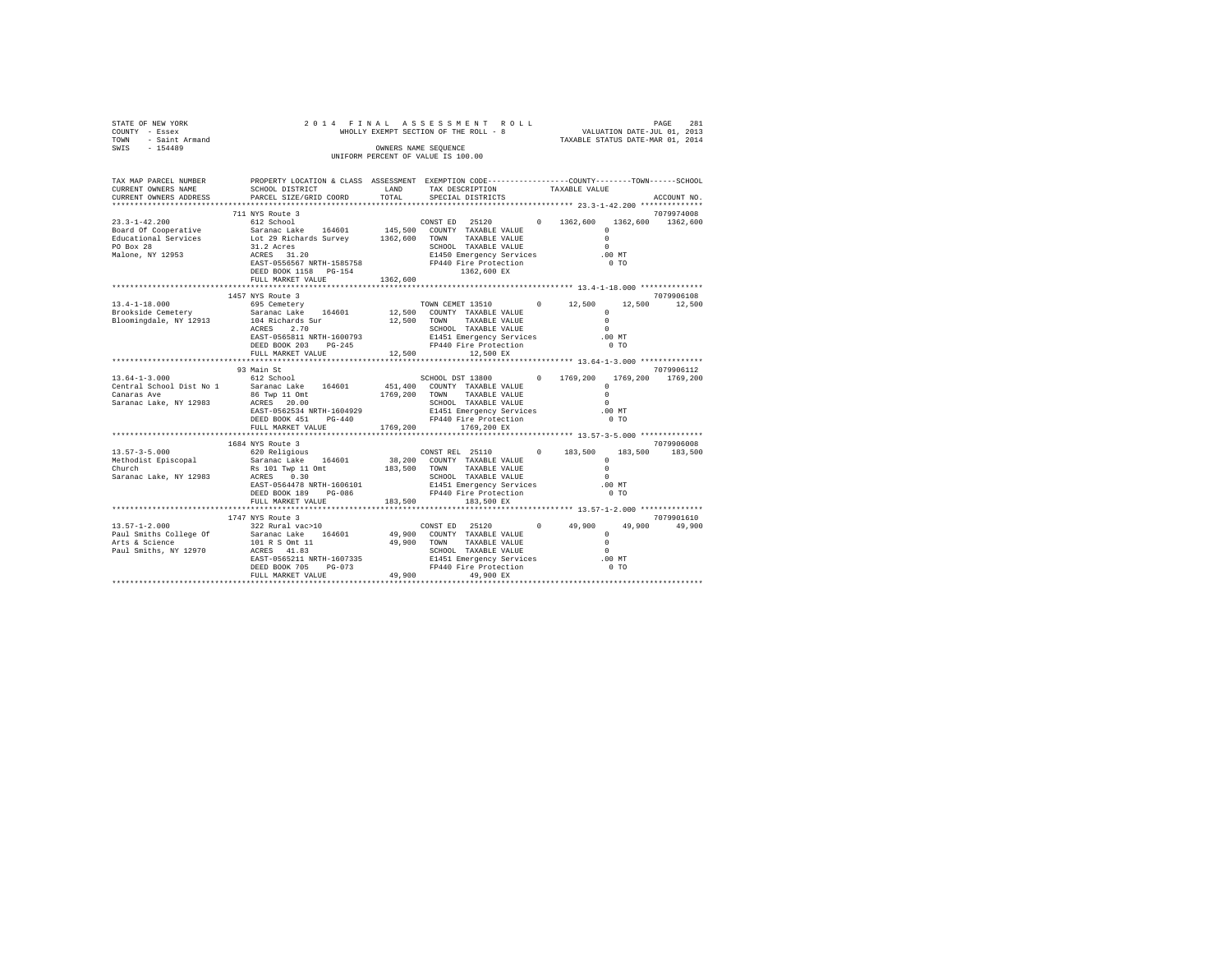| STATE OF NEW YORK<br>COUNTY - Essex<br>TOWN - Saint Armand<br>SWIS - 154489                                                                                                                                                                                                                                                                                                      | 2014 FINAL ASSESSMENT ROLL<br>OWNERS NAME SEQUENCE<br>UNIFORM PERCENT OF VALUE IS 100.00                                                                                                                                                                                                                                      | FINAL ASSES MENT ROLL<br>WHOLLY EXEMPT SECTION OF THE ROLL - 8<br>WHOLLY EXEMPT SECTION OF THE ROLL - 8<br>TAXABLE STATUS DATE-MAR 01, 2014 |                   |                   |                |                             |
|----------------------------------------------------------------------------------------------------------------------------------------------------------------------------------------------------------------------------------------------------------------------------------------------------------------------------------------------------------------------------------|-------------------------------------------------------------------------------------------------------------------------------------------------------------------------------------------------------------------------------------------------------------------------------------------------------------------------------|---------------------------------------------------------------------------------------------------------------------------------------------|-------------------|-------------------|----------------|-----------------------------|
| TAX MAP PARCEL NUMBER<br>CURRENT OWNERS NAME<br>CURRENT OWNERS ADDRESS                                                                                                                                                                                                                                                                                                           | PROPERTY LOCATION & CLASS ASSESSMENT EXEMPTION CODE----------------COUNTY-------TOWN-----SCHOOL<br>SCHOOL DISTRICT $\begin{array}{ccc}\n\text{LAND} & \text{TAX} & \text{DESCRIPTION} \\ \text{DAPQRT.} & \text{STRI-QPTC} & \text{FQRC1.} & \text{SPRCTAI.} & \text{DITRITCTS}\n\end{array}$<br>PARCEL SIZE/GRID COORD TOTAL |                                                                                                                                             | SPECIAL DISTRICTS |                   |                | ACCOUNT NO.                 |
|                                                                                                                                                                                                                                                                                                                                                                                  | 711 NYS Route 3                                                                                                                                                                                                                                                                                                               |                                                                                                                                             |                   |                   |                | 7079974008                  |
|                                                                                                                                                                                                                                                                                                                                                                                  |                                                                                                                                                                                                                                                                                                                               |                                                                                                                                             | 1362,600 EX       |                   |                |                             |
|                                                                                                                                                                                                                                                                                                                                                                                  | FULL MARKET VALUE                                                                                                                                                                                                                                                                                                             | 1362,600                                                                                                                                    |                   |                   |                |                             |
|                                                                                                                                                                                                                                                                                                                                                                                  | 1457 NYS Route 3<br>FULL MARKET VALUE 12,500 12,500 EX                                                                                                                                                                                                                                                                        |                                                                                                                                             |                   | $\Omega$<br>.00MT | 0 <sub>T</sub> | 7079906108<br>12,500 12,500 |
|                                                                                                                                                                                                                                                                                                                                                                                  |                                                                                                                                                                                                                                                                                                                               |                                                                                                                                             |                   |                   |                |                             |
| $\begin{tabular}{cccc} 13.64-1-3.000 & 93 \text{ RAI S} & 15.64-1-3.000 & 1769, 200 & 1769, 200 & 1769, 200 & 1769, 200 \\ \text{Central School Dist No 1} & Sarnanc Lake & 164601 & 451, 400 & \text{COMINT} & TAXABLE VALUE & 0 \\ \text{Canaras Ave} & Sarnanc Lake & 164601 & 1769, 200 & \text{TQNNY} & TAXABLE VALUE & 0 \\ \text{Canaras Ave} & ScapooOL & 1769, 200 & T$ | 93 Main St                                                                                                                                                                                                                                                                                                                    |                                                                                                                                             |                   |                   |                | 7079906112                  |
|                                                                                                                                                                                                                                                                                                                                                                                  | FULL MARKET VALUE 1769, 200 1769, 200 EX                                                                                                                                                                                                                                                                                      |                                                                                                                                             |                   |                   |                |                             |
| $(3.57-3-5.000$ $(3.57-3-5.000$ $(3.57-3-5.000$ $(3.57-3-5.000$ $(3.57-3.500)$ $(3.57-3.500$ $(3.57-3.500)$ $(3.57-3.500$ $(3.57-3.500)$ $(3.57-3.500$ $(3.57-3.500)$ $(3.57-3.500$ $(3.57-3.500)$ $(3.57-3.500$ $(3.57-3.500$                                                                                                                                                   | 1684 NYS Route 3                                                                                                                                                                                                                                                                                                              |                                                                                                                                             |                   |                   |                | 7079906008                  |
|                                                                                                                                                                                                                                                                                                                                                                                  |                                                                                                                                                                                                                                                                                                                               |                                                                                                                                             |                   |                   |                |                             |
| $[13.57-1-2.000 \newline \text{Paul Smith S College Of} \begin{tabular}{lcccc} 174 Y NS \: 8011 & 499.00 & 174 Y 1015 Y 1015 Y 1015 Y 1015 Y 1015 Y 1015 Y 1015 Y 1015 Y 1015 Y 1015 Y 1015 Y 1015 Y 1015 Y 1015 Y 1015 Y 1015 Y 1015 Y 1015 Y 1015 Y 1015 Y 1015 Y 1015 Y 1015 Y 1015 Y 1015 Y 1015 Y 10$                                                                       | 1747 NYS Route 3                                                                                                                                                                                                                                                                                                              |                                                                                                                                             |                   |                   |                | 7079901610                  |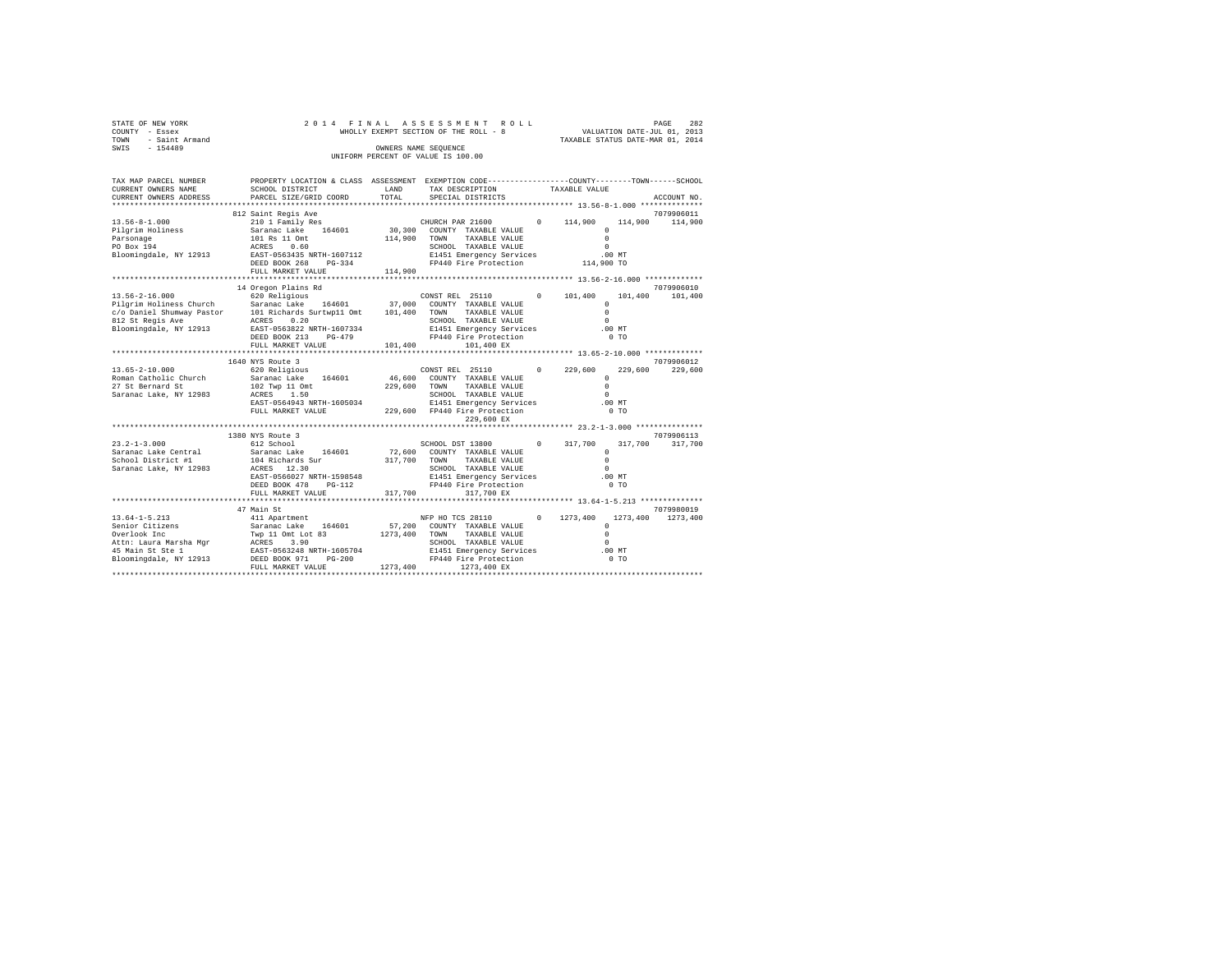| STATE OF NEW YORK<br>COUNTY - Essex<br>TOWN - Saint Armand<br>SWIS - 154489                                                                                                                                                                                                                                                                                                                                                                                | 2014 FINAL ASSESSMENT ROLL<br>282<br>PAGE<br>WHOLLY EXEMPT SECTION OF THE ROLL - 8<br>WHOLLY EXEMPT SECTION OF THE ROLL - 8<br>TAXABLE STATUS DATE-MAR 01, 2014<br>OWNERS NAME SEQUENCE<br>UNIFORM PERCENT OF VALUE IS 100.00                                                                                                                                              |         |                                                                                            |  |                      |                                |                               |  |  |
|------------------------------------------------------------------------------------------------------------------------------------------------------------------------------------------------------------------------------------------------------------------------------------------------------------------------------------------------------------------------------------------------------------------------------------------------------------|----------------------------------------------------------------------------------------------------------------------------------------------------------------------------------------------------------------------------------------------------------------------------------------------------------------------------------------------------------------------------|---------|--------------------------------------------------------------------------------------------|--|----------------------|--------------------------------|-------------------------------|--|--|
| TAX MAP PARCEL NUMBER<br>CURRENT OWNERS NAME<br>CURRENT OWNERS ADDRESS                                                                                                                                                                                                                                                                                                                                                                                     | PROPERTY LOCATION & CLASS ASSESSMENT EXEMPTION CODE----------------COUNTY-------TOWN-----SCHOOL<br><b>LAND</b><br>SCHOOL DISTRICT<br>PARCEL SIZE/GRID COORD                                                                                                                                                                                                                | TOTAL   | TAX DESCRIPTION<br>SPECIAL DISTRICTS<br>********************* 13.56-8-1.000 ************** |  | TAXABLE VALUE        |                                | ACCOUNT NO.                   |  |  |
|                                                                                                                                                                                                                                                                                                                                                                                                                                                            |                                                                                                                                                                                                                                                                                                                                                                            |         |                                                                                            |  |                      |                                |                               |  |  |
| $13.56 - 8 - 1.000$                                                                                                                                                                                                                                                                                                                                                                                                                                        |                                                                                                                                                                                                                                                                                                                                                                            |         |                                                                                            |  |                      |                                | 7079906011<br>114,900 114,900 |  |  |
| Pilgrim Holiness<br>Parsonage<br>PO Box 194<br>Bloomingdale, NY 12913                                                                                                                                                                                                                                                                                                                                                                                      |                                                                                                                                                                                                                                                                                                                                                                            |         | CHOOL TAABLE VALUE<br>E1451 Emergency Services 100 MT<br>FP440 Fire Protection 114,900 TO  |  | $\Omega$<br>$\Omega$ | $\Omega$                       |                               |  |  |
|                                                                                                                                                                                                                                                                                                                                                                                                                                                            | FULL MARKET VALUE 114,900                                                                                                                                                                                                                                                                                                                                                  |         |                                                                                            |  |                      |                                |                               |  |  |
|                                                                                                                                                                                                                                                                                                                                                                                                                                                            |                                                                                                                                                                                                                                                                                                                                                                            |         |                                                                                            |  |                      |                                |                               |  |  |
| 13.56-2-16.000                                                                                                                                                                                                                                                                                                                                                                                                                                             | 14 Oregon Plains Rd<br>620 Religious                                                                                                                                                                                                                                                                                                                                       |         | CONSTREL 25110 0 101,400                                                                   |  |                      |                                | 7079906010<br>101,400 101,400 |  |  |
|                                                                                                                                                                                                                                                                                                                                                                                                                                                            | DEED BOOK 213 PG-479                                                                                                                                                                                                                                                                                                                                                       |         | SCHOOL TAXABLE VALUE<br>E1451 Emergency Services<br>FP440 Fire Protection                  |  | $\Omega$<br>$\sim$   | $\Omega$<br>$.00$ MT<br>$0$ TO |                               |  |  |
|                                                                                                                                                                                                                                                                                                                                                                                                                                                            |                                                                                                                                                                                                                                                                                                                                                                            |         |                                                                                            |  |                      |                                |                               |  |  |
|                                                                                                                                                                                                                                                                                                                                                                                                                                                            |                                                                                                                                                                                                                                                                                                                                                                            |         |                                                                                            |  |                      |                                |                               |  |  |
|                                                                                                                                                                                                                                                                                                                                                                                                                                                            | 1640 NYS Route 3                                                                                                                                                                                                                                                                                                                                                           |         |                                                                                            |  |                      |                                | 7079906012                    |  |  |
| $13.65 - 2 - 10.000$<br>Roman Catholic Church<br>27 St Bernard St<br>Saranac Lake, NY 12983                                                                                                                                                                                                                                                                                                                                                                | 990/0125 - 229,600<br>- Salaranac Lake 164601 - 46,600 COUNTY TAXABLE VALUE - 229,600<br>- Saranac Lake 164601 - 46,600 COUNTY TAXABLE VALUE - 0<br>102 Twp 11 Omt<br>ACRES 1.50<br>ACRES 1.50 . SCHOOL TAXABLE VALUE 0<br>EAST-0564943 NRTH-1605034 229,600 E1451 Emergency Services .00 MT<br>FULL MARKET VALUE 229,600 FP440 Fire Protection .00 TO                     | 229,600 |                                                                                            |  |                      |                                | 229,600 229,600               |  |  |
|                                                                                                                                                                                                                                                                                                                                                                                                                                                            |                                                                                                                                                                                                                                                                                                                                                                            |         | 229,600 EX                                                                                 |  |                      |                                |                               |  |  |
|                                                                                                                                                                                                                                                                                                                                                                                                                                                            |                                                                                                                                                                                                                                                                                                                                                                            |         |                                                                                            |  |                      |                                |                               |  |  |
| $23.2 - 1 - 3.000$<br>Saranac Lake Central<br>Chool District #1 104 Richards out<br>Saranac Lake, NY 12983 ACRES 12.30<br>EAST-0566027 NRTH-1598548 E1451 Emergency Services .00 NT<br>EAST-0566027 NRTH-1598548 E1451 Emergency Services .00 NT<br>Prem Rook 478 PG-112 PTP440 Fire                                                                                                                                                                       | 1380 NYS Route 3<br>$\begin{array}{cccc} 612 \text{ School} & & & & \\ 504 \text{ School} & & 72,600 \text{ DST 13800} & 0 & 317,700 & 317,700 & 317,700 \\ 524 \text{anac Lake} & 164601 & 72,600 & \text{COMTY Y RXABLE VALUE} & 0 \\ 104 \text{ Richard Surr} & & 317,700 & 7000 & \text{TOWY RXABLE VALUE} & 0 \\ \end{array}$<br>FULL MARKET VALUE 317,700 317,700 EX |         |                                                                                            |  |                      |                                | 7079906113                    |  |  |
|                                                                                                                                                                                                                                                                                                                                                                                                                                                            |                                                                                                                                                                                                                                                                                                                                                                            |         |                                                                                            |  |                      |                                |                               |  |  |
|                                                                                                                                                                                                                                                                                                                                                                                                                                                            |                                                                                                                                                                                                                                                                                                                                                                            |         |                                                                                            |  |                      |                                | 7079980019                    |  |  |
| $\begin{tabular}{l c c c c c} \hline 13.64-1-5.213 & \multicolumn{3}{c}{\mbox{\small\bf 141.4 partment & \hline 141.4 partment & \hline 141.4 partment & \hline 141.4 partment & \hline 141.4 partment & \hline 141.4 partment & \hline 141.4 part partment & \hline 141.4 part part part & \hline 141.4 part part part & \hline 141.4 part part part & \hline 141.4 part part part & \hline 141.4 part part part & \hline 141.4 part part & \hline 141.4$ |                                                                                                                                                                                                                                                                                                                                                                            |         | NFP HO TCS 28110 0 1273, 400 1273, 400 1273, 400                                           |  |                      |                                |                               |  |  |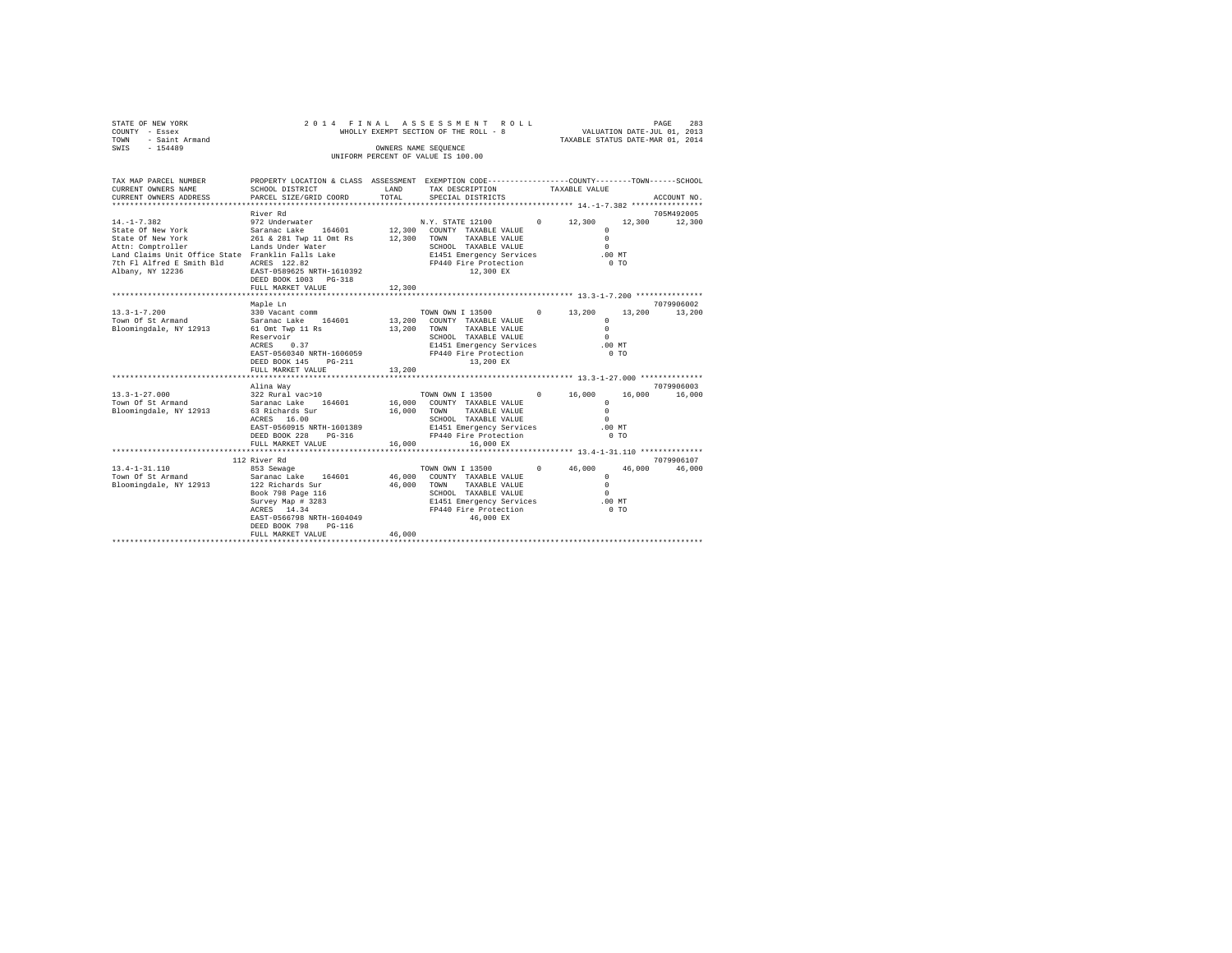|                                                                                                                                                                |                                                                                                                         |                                                                                                                                          |                                                                                                                                                                                                                                                                                                                          | PAGE<br>283<br>VALUATION DATE-JUL 01, 2013<br>TAXABLE STATUS DATE-MAR 01, 2014                                                                                                                                                                             |                                                                                                                                                                                                                                                                                                                                                                                                            |  |  |
|----------------------------------------------------------------------------------------------------------------------------------------------------------------|-------------------------------------------------------------------------------------------------------------------------|------------------------------------------------------------------------------------------------------------------------------------------|--------------------------------------------------------------------------------------------------------------------------------------------------------------------------------------------------------------------------------------------------------------------------------------------------------------------------|------------------------------------------------------------------------------------------------------------------------------------------------------------------------------------------------------------------------------------------------------------|------------------------------------------------------------------------------------------------------------------------------------------------------------------------------------------------------------------------------------------------------------------------------------------------------------------------------------------------------------------------------------------------------------|--|--|
|                                                                                                                                                                |                                                                                                                         |                                                                                                                                          |                                                                                                                                                                                                                                                                                                                          |                                                                                                                                                                                                                                                            |                                                                                                                                                                                                                                                                                                                                                                                                            |  |  |
| SCHOOL DISTRICT                                                                                                                                                | LAND                                                                                                                    | TAX DESCRIPTION                                                                                                                          |                                                                                                                                                                                                                                                                                                                          |                                                                                                                                                                                                                                                            |                                                                                                                                                                                                                                                                                                                                                                                                            |  |  |
|                                                                                                                                                                |                                                                                                                         | SPECIAL DISTRICTS                                                                                                                        |                                                                                                                                                                                                                                                                                                                          |                                                                                                                                                                                                                                                            | ACCOUNT NO.                                                                                                                                                                                                                                                                                                                                                                                                |  |  |
|                                                                                                                                                                |                                                                                                                         |                                                                                                                                          |                                                                                                                                                                                                                                                                                                                          |                                                                                                                                                                                                                                                            |                                                                                                                                                                                                                                                                                                                                                                                                            |  |  |
|                                                                                                                                                                |                                                                                                                         |                                                                                                                                          |                                                                                                                                                                                                                                                                                                                          |                                                                                                                                                                                                                                                            | 705M492005<br>12,300                                                                                                                                                                                                                                                                                                                                                                                       |  |  |
|                                                                                                                                                                |                                                                                                                         | SCHOOL TAXABLE VALUE                                                                                                                     |                                                                                                                                                                                                                                                                                                                          | $^{\circ}$<br>$\Omega$<br>$\Omega$                                                                                                                                                                                                                         |                                                                                                                                                                                                                                                                                                                                                                                                            |  |  |
| DEED BOOK 1003 PG-318<br>FULL MARKET VALUE                                                                                                                     |                                                                                                                         |                                                                                                                                          |                                                                                                                                                                                                                                                                                                                          | 0 <sub>T</sub>                                                                                                                                                                                                                                             |                                                                                                                                                                                                                                                                                                                                                                                                            |  |  |
|                                                                                                                                                                |                                                                                                                         |                                                                                                                                          |                                                                                                                                                                                                                                                                                                                          |                                                                                                                                                                                                                                                            |                                                                                                                                                                                                                                                                                                                                                                                                            |  |  |
| Maple Ln                                                                                                                                                       |                                                                                                                         |                                                                                                                                          |                                                                                                                                                                                                                                                                                                                          |                                                                                                                                                                                                                                                            | 7079906002                                                                                                                                                                                                                                                                                                                                                                                                 |  |  |
| 330 Vacant comm<br>Saranac Lake 164601<br>61 Omt Twp 11 Rs<br>Reservoir<br>ACRES 0.37<br>DEED BOOK 145 PG-211                                                  |                                                                                                                         | TOWN<br>SCHOOL TAXABLE VALUE<br>13,200 EX                                                                                                |                                                                                                                                                                                                                                                                                                                          | 13,200<br>$\Omega$<br>$\Omega$<br>$\Omega$<br>$0$ TO                                                                                                                                                                                                       | 13,200                                                                                                                                                                                                                                                                                                                                                                                                     |  |  |
| *******************                                                                                                                                            |                                                                                                                         |                                                                                                                                          |                                                                                                                                                                                                                                                                                                                          |                                                                                                                                                                                                                                                            |                                                                                                                                                                                                                                                                                                                                                                                                            |  |  |
| Alina Way<br>322 Rural vac>10<br>Saranac Lake 164601<br>63 Richards Sur<br>ACRES 16.00<br>DEED BOOK 228 PG-316                                                 |                                                                                                                         | TAXABLE VALUE<br>SCHOOL TAXABLE VALUE<br>FP440 Fire Protection                                                                           |                                                                                                                                                                                                                                                                                                                          | 16,000<br>$\mathbf{r}$<br>$\Omega$<br>$\Omega$<br>$0$ TO                                                                                                                                                                                                   | 7079906003<br>16,000                                                                                                                                                                                                                                                                                                                                                                                       |  |  |
|                                                                                                                                                                |                                                                                                                         |                                                                                                                                          |                                                                                                                                                                                                                                                                                                                          |                                                                                                                                                                                                                                                            |                                                                                                                                                                                                                                                                                                                                                                                                            |  |  |
| 112 River Rd                                                                                                                                                   |                                                                                                                         |                                                                                                                                          |                                                                                                                                                                                                                                                                                                                          |                                                                                                                                                                                                                                                            | 7079906107                                                                                                                                                                                                                                                                                                                                                                                                 |  |  |
| 853 Sewage<br>Saranac Lake 164601<br>122 Richards Sur<br>Book 798 Page 116<br>Survey Map # 3283<br>ACRES 14.34<br>DEED BOOK 798<br>PG-116<br>FULL MARKET VALUE | 46,000                                                                                                                  | TAXABLE VALUE<br>46,000 EX                                                                                                               |                                                                                                                                                                                                                                                                                                                          | 46,000<br>$^{\circ}$<br>$\Omega$<br>$\Omega$<br>$0$ TO                                                                                                                                                                                                     | 46,000                                                                                                                                                                                                                                                                                                                                                                                                     |  |  |
|                                                                                                                                                                | PARCEL SIZE/GRID COORD<br>River Rd<br>972 Underwater<br>FULL MARKET VALUE<br>FULL MARKET VALUE<br>********************* | 2014 FINAL<br>TOTAL<br>12,300<br>EAST-0560340 NRTH-1606059<br>13,200<br>EAST-0560915 NRTH-1601389<br>16,000<br>EAST-0566798 NRTH-1604049 | WHOLLY EXEMPT SECTION OF THE ROLL - 8<br>OWNERS NAME SEOUENCE<br>UNIFORM PERCENT OF VALUE IS 100.00<br>12,300 COUNTY TAXABLE VALUE<br>12,300 TOWN TAXABLE VALUE<br>12,300 EX<br>13,200 COUNTY TAXABLE VALUE<br>13,200<br>FP440 Fire Protection<br>16,000 TOWN<br>16,000 EX<br>46,000 COUNTY TAXABLE VALUE<br>46,000 TOWN | E1451 Emergency Services<br>FP440 Fire Protection<br>TAXABLE VALUE<br>E1451 Emergency Services<br>16,000 COUNTY TAXABLE VALUE<br>E1451 Emergency Services<br>TOWN OWN I 13500<br>SCHOOL TAXABLE VALUE<br>E1451 Emergency Services<br>FP440 Fire Protection | ASSESSMENT ROLL<br>PROPERTY LOCATION & CLASS ASSESSMENT EXEMPTION CODE---------------COUNTY-------TOWN------SCHOOL<br>TAXABLE VALUE<br>N.Y. STATE 12100 0 12,300<br>12,300<br>$.00$ MT<br>TOWN OWN I 13500 0 13,200<br>$.00$ MT<br>******************** 13.3-1-27.000 **************<br>TOWN OWN I 13500 0 16,000<br>$.00$ MT<br>*************** 13.4-1-31.110 **************<br>$0 \t 46,000$<br>$.00$ MT |  |  |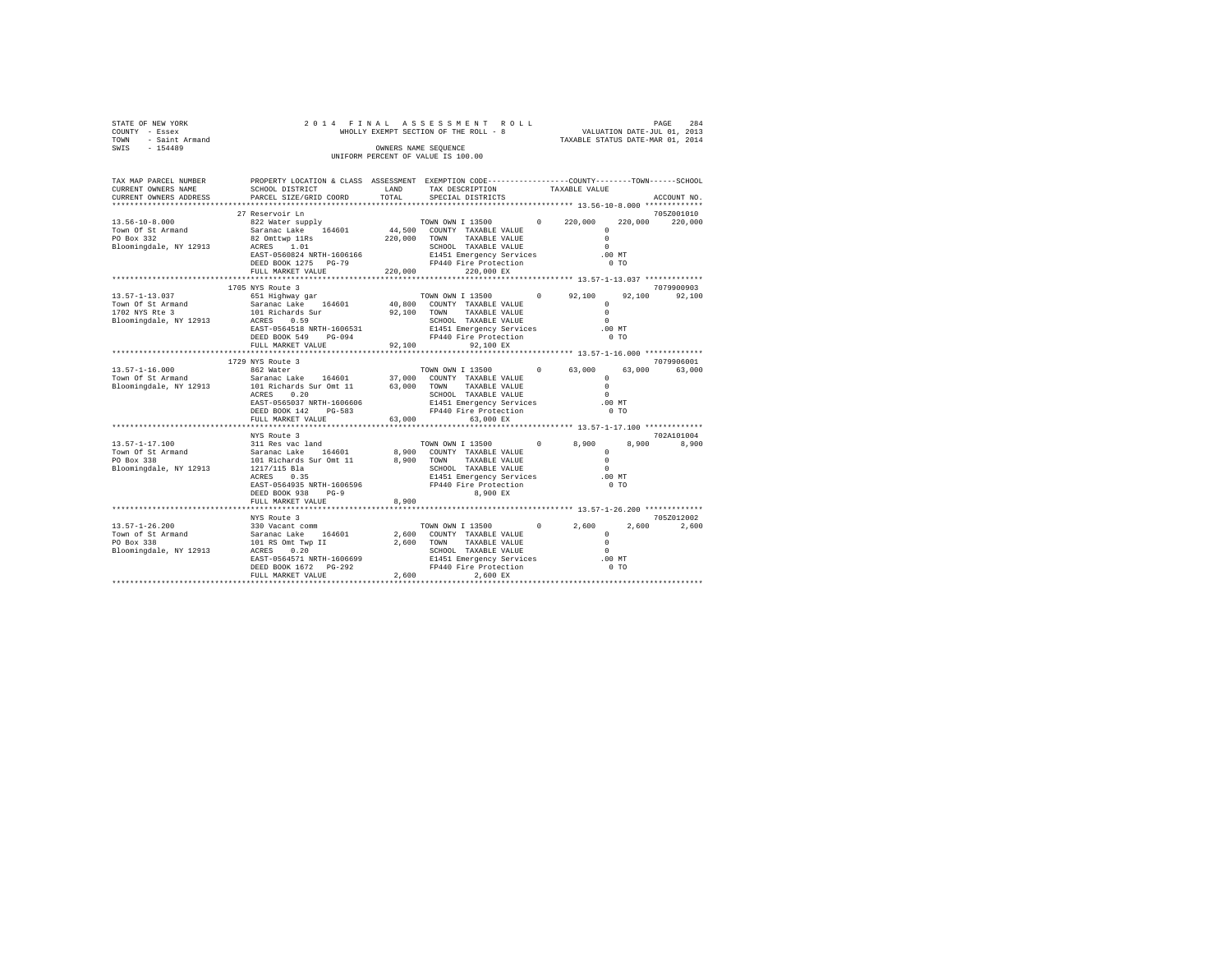| STATE OF NEW YORK<br>COUNTY - Essex<br>TOWN - Saint Armand<br>SWIS - 154489       |                                                                                                                                                                                                                                                                                                                                                                                                                   | OWNERS NAME SEOUENCE | 2014 FINAL ASSESSMENT ROLL<br>WHOLLY EXEMPT SECTION OF THE ROLL - 8<br>WHOLLY EXEMPT SECTION OF THE ROLL - 8<br>TAXABLE STATUS DATE-MAR 01, 2014<br>UNIFORM PERCENT OF VALUE IS 100.00 |               | 284<br>PAGE                                                                         |  |
|-----------------------------------------------------------------------------------|-------------------------------------------------------------------------------------------------------------------------------------------------------------------------------------------------------------------------------------------------------------------------------------------------------------------------------------------------------------------------------------------------------------------|----------------------|----------------------------------------------------------------------------------------------------------------------------------------------------------------------------------------|---------------|-------------------------------------------------------------------------------------|--|
| CURRENT OWNERS NAME                                                               | TAX MAP PARCEL NUMBER THE PROPERTY LOCATION & CLASS ASSESSMENT EXEMPTION CODE--------------COUNTY-------TOWN------SCHOOL<br>SCHOOL DISTRICT<br>CURRENT OWNERS ADDRESS PARCEL SIZE/GRID COORD                                                                                                                                                                                                                      | LAND<br>TOTAL        | TAX DESCRIPTION<br>SPECIAL DISTRICTS                                                                                                                                                   | TAXABLE VALUE | ACCOUNT NO.                                                                         |  |
| $13.56 - 10 - 8.000$<br>Town Of St Armand<br>PO Box 332<br>Bloomingdale, NY 12913 | 27 Reservoir Ln<br>822 Water supply TOWN OWN I 13500 0 220,000<br>Saranac Lake 164601 44,500 COUNTY TAXABLE VALUE<br>82 Omttwp 11Rs<br>ACRES 1.01<br>EAST-0560824 NRTH-1606166<br>DEED BOOK 1275 PG-79<br>FULL MARKET VALUE                                                                                                                                                                                       | 220,000              | 220,000 TOWN TAXABLE VALUE<br>SCHOOL TAXABLE VALUE<br>E1451 Emergency Services .00 MT<br>FP440 Fire Protection<br>220,000 EX                                                           |               | 705Z001010<br>220,000<br>220,000<br>$\Omega$<br>$\Omega$<br>0.70                    |  |
| 13.57-1-13.037<br>Town Of St Armand<br>1702 NYS Rte 3<br>Bloomingdale, NY 12913   | 1705 NYS Route 3<br>101 Richards Sur<br>ACRES 0.59<br>EAST-0564518 NRTH-1606531<br>DEED BOOK 549 PG-094<br>FULL MARKET VALUE 92.100                                                                                                                                                                                                                                                                               |                      | TOWN OWN I 13500 0 92.100<br>92,100 TOWN TAXABLE VALUE<br>SCHOOL TAXABLE VALUE<br>E1451 Emergency Services .00 MT<br>FP440 Fire Protection<br>92.100 EX                                |               | 7079900903<br>92,100 92,100<br>$\Omega$<br>$\Omega$<br>$\sim$<br>0.70               |  |
|                                                                                   | 1729 NYS Route 3<br>$\begin{tabular}{lcccccc} 13.57-1-16.000 & 862 \text{ Water} & 70\text{WN} & 13500 & 0 & 63\,, \end{tabular}$ $\begin{tabular}{lcccccc} 13.57-1-16.000 & 0 & 63\,, \end{tabular}$ $\begin{tabular}{lcccccc} 13.58-1 & 0 & 63\,, \end{tabular}$<br>Bloomingdale, NY 12913 101 Richards Sur Omt 11 63,000 TOWN TAXABLE VALUE<br>ACRES 0.20<br>EAST-0565037 NRTH-1606606<br>DEED BOOK 142 PG-583 |                      | TOWN OWN I 13500 0 63,000<br>SCHOOL TAXABLE VALUE<br>E1451 Emergency Services<br>FP440 Fire Protection                                                                                 |               | 7079906001<br>63,000 63,000<br>$\Omega$<br>$\Omega$<br>$\Omega$<br>$.00$ MT<br>0.70 |  |
| $13.57 - 1 - 17.100$<br>PO Box 338<br>Bloomingdale, NY 12913                      | NYS Route 3<br>311 Res vac land<br>Town Of St Armand Saranac Lake 164601 8,900 COUNTY TAXABLE VALUE COMPUTER AREA CALLENTIAL SARANAC LARE 164601<br>101 Richards Sur Omt 11<br>1217/115 Bla<br>1217/115 Bla<br>ACRES 0.35<br>EAST-0564935 NRTH-1606596<br>DEED BOOK 938<br>$PG-9$<br>FULL MARKET VALUE                                                                                                            | 8,900                | TOWN OWN I 13500 0 8.900<br>8,900 TOWN TAXABLE VALUE<br>SCHOOL TAXABLE VALUE<br>E1451 Emergency Services<br>FP440 Fire Protection<br>8,900 EX                                          |               | 702A101004<br>8,900 8,900<br>$\Omega$<br>$\Omega$<br>$\cap$<br>$.00$ MT<br>0.70     |  |

NYS Route 3 705Z012002 13.57-1-26.200 330 Vacant comm TOWN OWN I 13500 0 2,600 2,600 2,600 Town of St Armand Saranac Lake 164601 2,600 COUNTY TAXABLE VALUE 0 PO Box 338 101 RS Omt Twp II 2,600 TOWN TAXABLE VALUE 0 Bloomingdale, NY 12913 ACRES 0.20 SCHOOL TAXABLE VALUE 0 EAST-0564571 NRTH-1606699 E1451 Emergency Services .00 MT DEED BOOK 1672 PG-292 FP440 Fire Protection 0 TO FULL MARKET VALUE 2,600 2,600 EX \*\*\*\*\*\*\*\*\*\*\*\*\*\*\*\*\*\*\*\*\*\*\*\*\*\*\*\*\*\*\*\*\*\*\*\*\*\*\*\*\*\*\*\*\*\*\*\*\*\*\*\*\*\*\*\*\*\*\*\*\*\*\*\*\*\*\*\*\*\*\*\*\*\*\*\*\*\*\*\*\*\*\*\*\*\*\*\*\*\*\*\*\*\*\*\*\*\*\*\*\*\*\*\*\*\*\*\*\*\*\*\*\*\*\*\*\*\*\*\*\*\*\*\*\*\*\*\*\*\*\*\*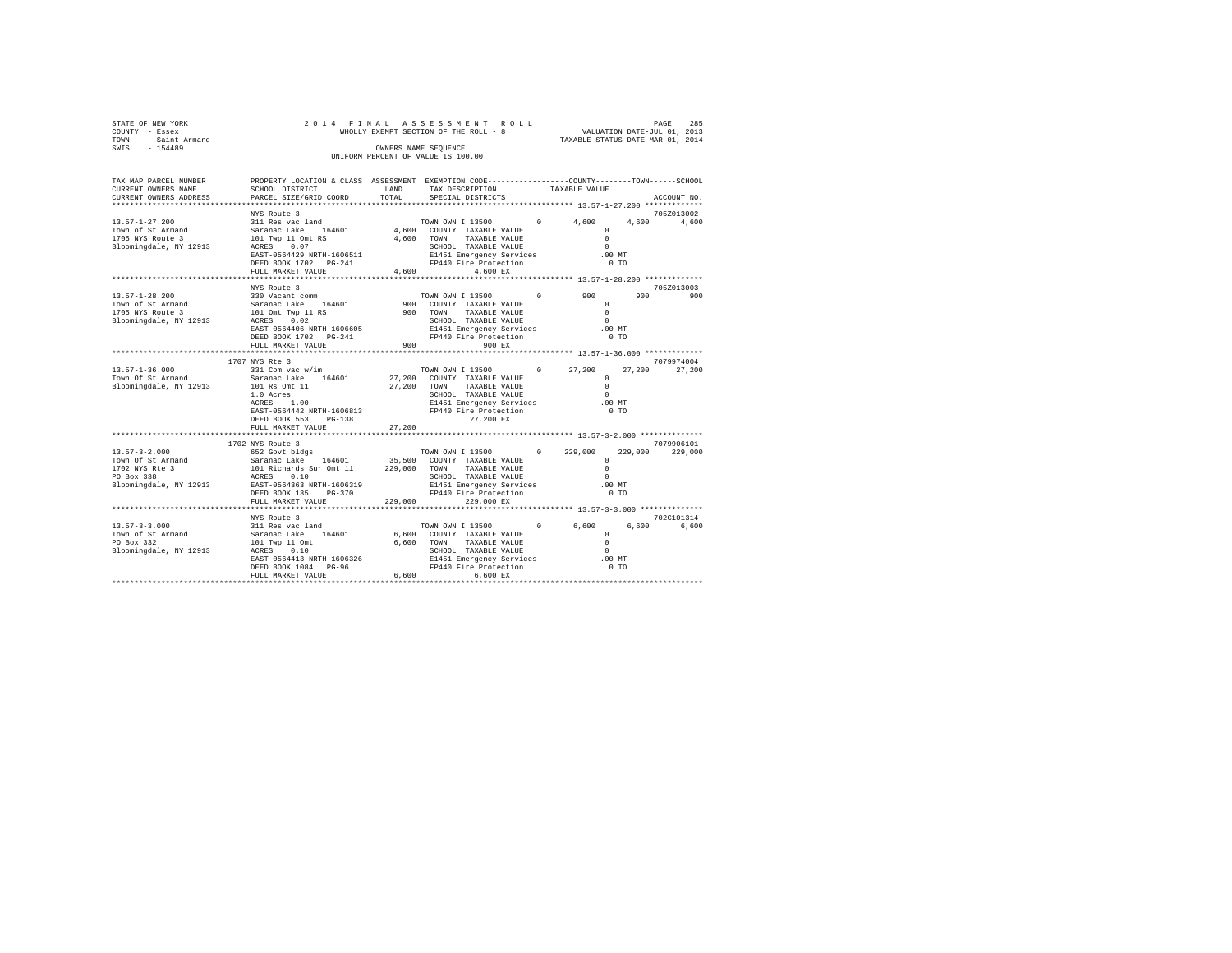| STATE OF NEW YORK<br>COUNTY - Essex         | 2014 FINAL                                                                                     |                  | ASSESSMENT ROLL<br>WHOLLY EXEMPT SECTION OF THE ROLL - 8    |            | VALUATION DATE-JUL 01, 2013<br>TAXABLE STATUS DATE-MAR 01, 2014 |                | 285<br>PAGE |
|---------------------------------------------|------------------------------------------------------------------------------------------------|------------------|-------------------------------------------------------------|------------|-----------------------------------------------------------------|----------------|-------------|
| - Saint Armand<br>TOWN                      |                                                                                                |                  |                                                             |            |                                                                 |                |             |
| SWIS<br>$-154489$                           |                                                                                                |                  | OWNERS NAME SEQUENCE<br>UNIFORM PERCENT OF VALUE IS 100.00  |            |                                                                 |                |             |
| TAX MAP PARCEL NUMBER                       | PROPERTY LOCATION & CLASS ASSESSMENT EXEMPTION CODE---------------COUNTY-------TOWN-----SCHOOL |                  |                                                             |            |                                                                 |                |             |
| CURRENT OWNERS NAME                         | SCHOOL DISTRICT                                                                                | LAND             | TAX DESCRIPTION                                             |            | TAXABLE VALUE                                                   |                |             |
| CURRENT OWNERS ADDRESS                      | PARCEL SIZE/GRID COORD                                                                         | TOTAL            | SPECIAL DISTRICTS                                           |            |                                                                 |                | ACCOUNT NO. |
|                                             | NYS Route 3                                                                                    |                  |                                                             |            |                                                                 |                | 705Z013002  |
| $13.57 - 1 - 27.200$                        | 311 Res vac land                                                                               |                  | TOWN OWN I 13500                                            | $\circ$    | 4,600                                                           | 4,600          | 4,600       |
| Town of St Armand                           | Saranac Lake 164601                                                                            |                  | 4,600 COUNTY TAXABLE VALUE                                  |            | $\Omega$                                                        |                |             |
| 1705 NYS Route 3                            | 101 Twp 11 Omt RS                                                                              | 4,600            | TOWN<br>TAXABLE VALUE                                       |            | $\Omega$                                                        |                |             |
| Bloomingdale, NY 12913                      | ACRES 0.07                                                                                     |                  | SCHOOL TAXABLE VALUE                                        |            | $\Omega$                                                        |                |             |
|                                             | EAST-0564429 NRTH-1606511                                                                      |                  | E1451 Emergency Services                                    |            | $.00$ MT                                                        |                |             |
|                                             | DEED BOOK 1702 PG-241<br>FULL MARKET VALUE                                                     | 4,600            | FP440 Fire Protection<br>4.600 EX                           |            | $0$ TO                                                          |                |             |
|                                             | *******************                                                                            | **********       | ****************************** 13.57-1-28.200 ************* |            |                                                                 |                |             |
|                                             | NYS Route 3                                                                                    |                  |                                                             |            |                                                                 |                | 705Z013003  |
| $13.57 - 1 - 28.200$                        | 330 Vacant comm                                                                                |                  | TOWN OWN I 13500                                            | $^{\circ}$ | 900                                                             | 900            | 900         |
| Town of St Armand                           | Saranac Lake 164601                                                                            | 900              | COUNTY TAXABLE VALUE                                        |            | $^{\circ}$                                                      |                |             |
| 1705 NYS Route 3                            | 101 Omt Twp 11 RS                                                                              |                  | 900 TOWN<br>TAXABLE VALUE                                   |            | $\Omega$                                                        |                |             |
| Bloomingdale, NY 12913                      | 0.02<br>ACRES<br>EAST-0564406 NRTH-1606605                                                     |                  | SCHOOL TAXABLE VALUE<br>E1451 Emergency Services            |            | $\Omega$<br>$.00$ MT                                            |                |             |
|                                             | DEED BOOK 1702 PG-241                                                                          |                  | FP440 Fire Protection                                       |            | 0 <sub>T</sub>                                                  |                |             |
|                                             | FULL MARKET VALUE                                                                              | 900              | 900 EX                                                      |            |                                                                 |                |             |
|                                             | *************************                                                                      | *********        | *************************** 13.57-1-36.000 *************    |            |                                                                 |                |             |
|                                             | 1707 NYS Rte 3                                                                                 |                  |                                                             |            |                                                                 |                | 7079974004  |
| $13.57 - 1 - 36.000$                        | 331 Com vac w/im                                                                               |                  | TOWN OWN I 13500                                            | $\Omega$   | 27,200                                                          | 27,200         | 27,200      |
| Town Of St Armand<br>Bloomingdale, NY 12913 | Saranac Lake 164601<br>101 Rs Omt 11                                                           | 27,200<br>27,200 | COUNTY TAXABLE VALUE<br>TAXABLE VALUE<br>TOWN               |            | $^{\circ}$<br>$\Omega$                                          |                |             |
|                                             | 1.0 Acres                                                                                      |                  | SCHOOL TAXABLE VALUE                                        |            | $\Omega$                                                        |                |             |
|                                             | ACRES 1.00                                                                                     |                  | E1451 Emergency Services                                    |            | $.00$ MT                                                        |                |             |
|                                             | EAST-0564442 NRTH-1606813                                                                      |                  | FP440 Fire Protection                                       |            | 0 <sub>T</sub>                                                  |                |             |
|                                             | DEED BOOK 553<br>$PG-138$                                                                      |                  | 27.200 EX                                                   |            |                                                                 |                |             |
|                                             | FULL MARKET VALUE                                                                              | 27,200           |                                                             |            |                                                                 |                |             |
|                                             | 1702 NYS Route 3                                                                               |                  |                                                             |            |                                                                 |                | 7079906101  |
| $13.57 - 3 - 2.000$                         | 652 Govt bldgs                                                                                 |                  | TOWN OWN I 13500                                            | $\Omega$   | 229,000                                                         | 229,000        | 229,000     |
| Town Of St Armand                           | Saranac Lake<br>164601                                                                         | 35,500           | COUNTY TAXABLE VALUE                                        |            | $\Omega$                                                        |                |             |
| 1702 NYS Rte 3                              | 101 Richards Sur Omt 11                                                                        | 229,000          | TAXABLE VALUE<br>TOWN                                       |            | $\Omega$                                                        |                |             |
| PO Box 338                                  | ACRES 0.10                                                                                     |                  | SCHOOL TAXABLE VALUE                                        |            | $\Omega$                                                        |                |             |
| Bloomingdale, NY 12913                      | EAST-0564363 NRTH-1606319<br>DEED BOOK 135                                                     |                  | E1451 Emergency Services<br>FP440 Fire Protection           |            | $.00$ MT<br>0 <sub>T</sub>                                      |                |             |
|                                             | PG-370<br>FULL MARKET VALUE                                                                    | 229,000          | 229,000 EX                                                  |            |                                                                 |                |             |
|                                             | ************************                                                                       |                  |                                                             |            | ****************** 13.57-3-3.000 **************                 |                |             |
|                                             | NYS Route 3                                                                                    |                  |                                                             |            |                                                                 |                | 702C101314  |
| $13.57 - 3 - 3.000$                         | 311 Res vac land                                                                               |                  | TOWN OWN I 13500                                            | $^{\circ}$ | 6,600                                                           | 6,600          | 6.600       |
| Town of St Armand                           | Saranac Lake 164601                                                                            | 6,600            | COUNTY TAXABLE VALUE                                        |            | $\circ$                                                         |                |             |
| PO Box 332                                  | 101 Twp 11 Omt                                                                                 | 6.600            | TOWN<br>TAXABLE VALUE<br>SCHOOL TAXABLE VALUE               |            | $\Omega$<br>$\Omega$                                            |                |             |
| Bloomingdale, NY 12913                      | ACRES 0.10<br>EAST-0564413 NRTH-1606326                                                        |                  | E1451 Emergency Services                                    |            | $.00$ MT                                                        |                |             |
|                                             | DEED BOOK 1084 PG-96                                                                           |                  | FP440 Fire Protection                                       |            |                                                                 | 0 <sub>T</sub> |             |
|                                             | FULL MARKET VALUE                                                                              | 6.600            | 6,600 EX                                                    |            |                                                                 |                |             |
|                                             |                                                                                                |                  |                                                             |            |                                                                 |                |             |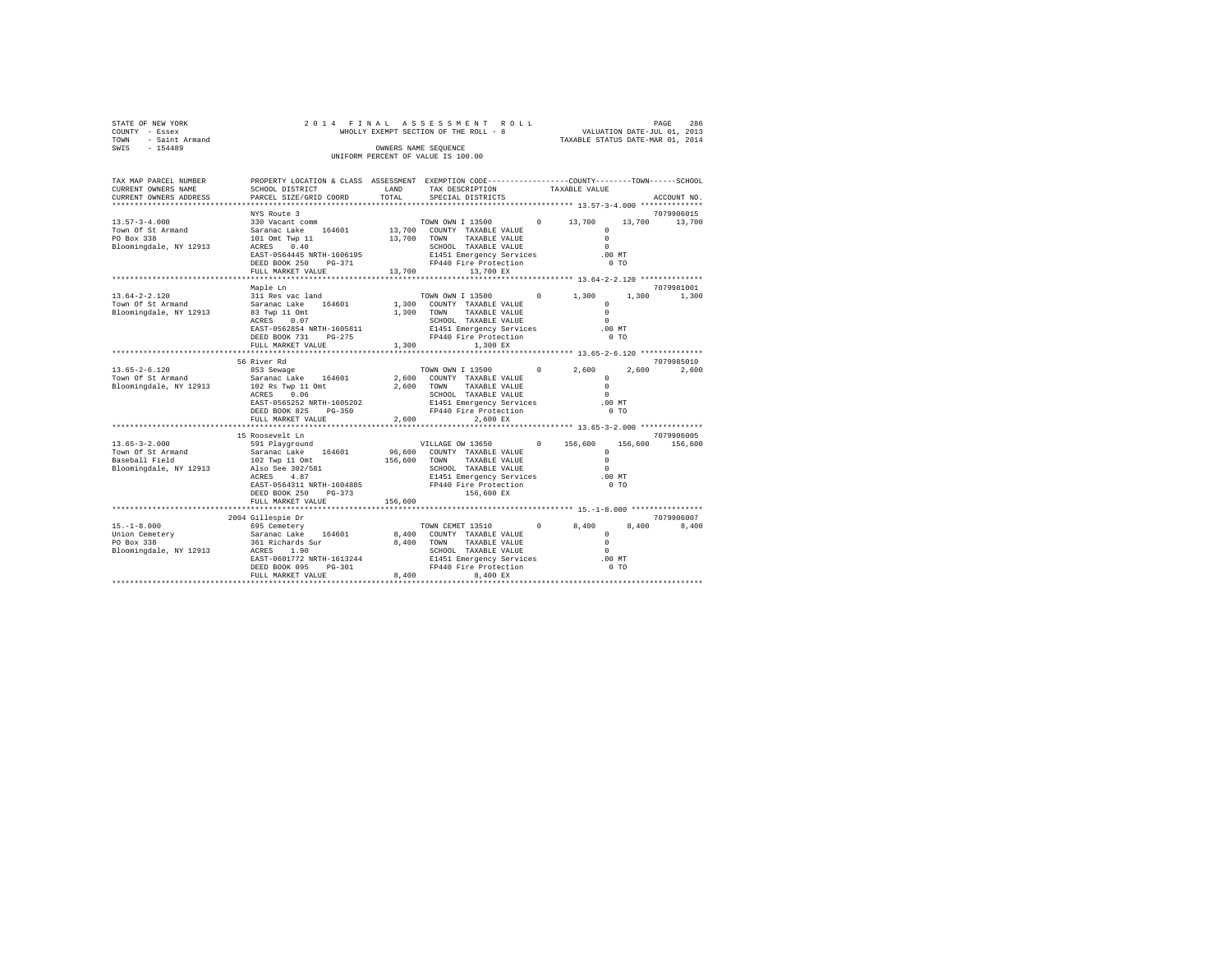| STATE OF NEW YORK<br>COUNTY - Essex<br>TOWN - Saint Armand<br>SWIS - 154489                                                                                           |                                                                                                                                                                                           |               | 2014 FINAL ASSESSMENT ROLL<br>WHOLLY EXEMPT SECTION OF THE ROLL - 8 VALUATION DATE-JUL 01, 2013<br>OWNERS NAME SEQUENCE<br>UNIFORM PERCENT OF VALUE IS 100.00                                                                                                                                                                                         |                                                                       |         | PAGE<br>286                 |
|-----------------------------------------------------------------------------------------------------------------------------------------------------------------------|-------------------------------------------------------------------------------------------------------------------------------------------------------------------------------------------|---------------|-------------------------------------------------------------------------------------------------------------------------------------------------------------------------------------------------------------------------------------------------------------------------------------------------------------------------------------------------------|-----------------------------------------------------------------------|---------|-----------------------------|
| TAX MAP PARCEL NUMBER PROPERTY LOCATION & CLASS ASSESSMENT EXEMPTION CODE---------------COUNTY-------TOWN-----SCHOOL<br>CURRENT OWNERS NAME<br>CURRENT OWNERS ADDRESS | SCHOOL DISTRICT<br>PARCEL SIZE/GRID COORD                                                                                                                                                 | LAND<br>TOTAL | TAX DESCRIPTION<br>SPECIAL DISTRICTS                                                                                                                                                                                                                                                                                                                  | TAXABLE VALUE                                                         |         | ACCOUNT NO.                 |
| $13.57 - 3 - 4.000$<br>Town Of St Armand<br>PO Box 338<br>Bloomingdale, NY 12913                                                                                      | NYS Route 3<br>330 Vacant comm<br>Saranac Lake $164601$ $13,700$ COUNTY TAXABLE VALUE<br>101 Ont Type 11 $13,700$ TOWN TAYABLE VALUE<br>101 Omt Twp 11<br>ACRES 0.40<br>FULL MARKET VALUE |               | TOWN OWN I 13500 0 13,700<br>13,700 TOWN TAXABLE VALUE<br>13,700 13,700 EX                                                                                                                                                                                                                                                                            | $\Omega$<br>$\sim$<br>$\Omega$<br>.00 MT<br>0 <sub>T</sub>            |         | 7079906015<br>13,700 13,700 |
|                                                                                                                                                                       |                                                                                                                                                                                           |               |                                                                                                                                                                                                                                                                                                                                                       |                                                                       |         |                             |
| $13.64 - 2 - 2.120$<br>Town Of St Armand<br>Bloomingdale, NY 12913                                                                                                    | Maple Ln<br>311 Res vac land<br>Saranac Lake 164601<br>83 Twp 11 Omt<br>ACRES 0.07<br>EAST-0562854 NRTH-1605811                                                                           |               | TOWN OWN I 13500 0<br>1,300 COUNTY TAXABLE VALUE<br>1,300 TOWN TAXABLE VALUE<br>SCHOOL TAXABLE VALUE<br>E1451 Emergency Services<br>FP440 Fire Protection                                                                                                                                                                                             | 1,300<br>$\Omega$<br>$\sim$ 0<br>$\sim$ 0<br>$.00$ MT                 |         | 7079981001<br>1,300 1,300   |
|                                                                                                                                                                       | DEED BOOK 731 PG-275<br>FULL MARKET VALUE                                                                                                                                                 |               | 1,300<br>1,300 EX                                                                                                                                                                                                                                                                                                                                     | $0$ TO                                                                |         |                             |
| $13.65 - 2 - 6.120$<br>Town Of St Armand<br>Bloomingdale, NY 12913                                                                                                    | 56 River Rd<br>853 Sewage<br>Saranac Lake 164601<br>102 Rs Twp 11 Omt<br>ACRES 0.06<br>EAST-0565252 NRTH-1605202<br>DEED BOOK 825 PG-350                                                  |               | $\begin{tabular}{lllllllllll} \multicolumn{4}{c}{\text{\small{TOWN}}}&\text{W}\text{W}\text{I} &\text{I 13500} &\text{0} &\text{2,600} \\ \multicolumn{4}{c}{2,600} &\text{COUNTY} &\text{TAXABLE VALUE} & & & \text{0} \\ \end{tabular}$<br>2,600 TOWN<br>TAXABLE VALUE<br>SCHOOL TAXABLE VALUE<br>E1451 Emergency Services<br>FP440 Fire Protection | $\Omega$<br>$\Omega$<br>$\Omega$<br>$.00$ MT<br>0 <sub>T</sub>        | 2,600   | 7079985010<br>2,600         |
|                                                                                                                                                                       | FULL MARKET VALUE                                                                                                                                                                         |               | 2.600<br>2,600 EX                                                                                                                                                                                                                                                                                                                                     |                                                                       |         |                             |
|                                                                                                                                                                       | 15 Roosevelt Ln                                                                                                                                                                           |               |                                                                                                                                                                                                                                                                                                                                                       |                                                                       |         | 7079906005                  |
| $13.65 - 3 - 2.000$<br>Town Of St Armand<br>Baseball Field<br>Bloomingdale, NY 12913                                                                                  | 591 Playground<br>Saranac Lake 164601<br>102 Twp 11 Omt<br>Also See 302/581<br>ACRES 4.87<br>FULL MARKET VALUE                                                                            | 156,600       | VILLAGE OW 13650<br>96,600 COUNTY TAXABLE VALUE<br>156,600 TOWN TAXABLE VALUE<br>SCHOOL TAXABLE VALUE                                                                                                                                                                                                                                                 | 156,600<br>$\Omega$<br>$\Omega$<br>$\cap$<br>.00 MT<br>0 <sub>T</sub> | 156,600 | 156,600                     |
|                                                                                                                                                                       |                                                                                                                                                                                           |               |                                                                                                                                                                                                                                                                                                                                                       |                                                                       |         |                             |
| Bloomingdale, NY 12913 ACRES 1.90                                                                                                                                     | 2004 Gillespie Dr<br>EAST-0601772 NRTH-1613244<br>DEED BOOK 095 PG-301<br>FULL MARKET VALUE                                                                                               | 8,400         | SCHOOL TAXABLE VALUE<br>8,400 EX                                                                                                                                                                                                                                                                                                                      | 8,400<br>$\Omega$<br>$\circ$<br>$\Omega$                              |         | 7079906007<br>8,400 8,400   |
|                                                                                                                                                                       |                                                                                                                                                                                           |               |                                                                                                                                                                                                                                                                                                                                                       |                                                                       |         |                             |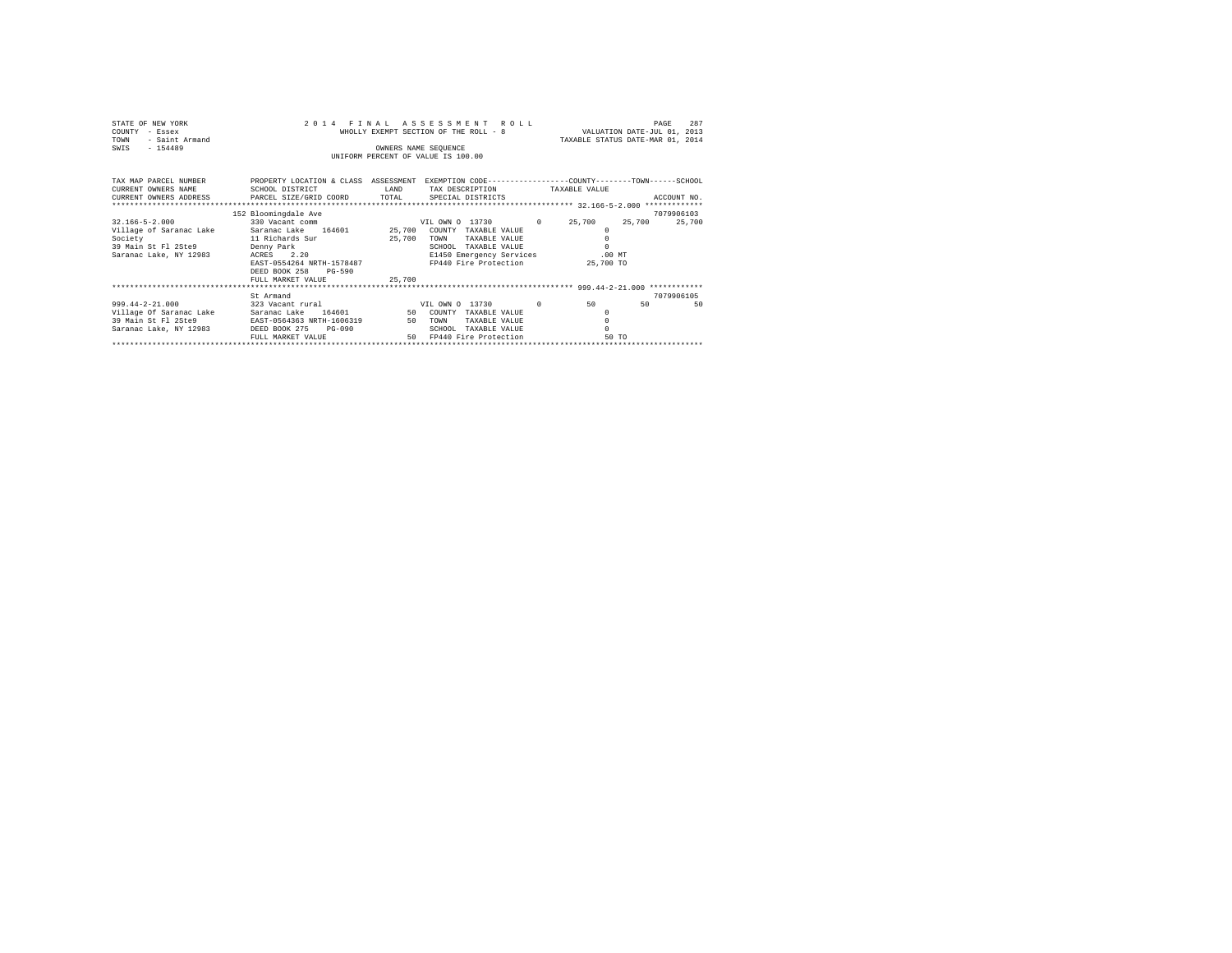| STATE OF NEW YORK<br>COUNTY - Essex<br>- Saint Armand<br>TOWN<br>SWIS - 154489                                                                              | 2014 FINAL<br>INIFORM PERCENT OF VALUE IS 100.00          | ROLL                               | WHOLLY EXEMPT SECTION OF THE ROLL - 8 VALUATION DATE-JUL 01, 2013<br>TAXABLE STATUS DATE-MAR 01, 2014 | PAGE       | 287    |             |
|-------------------------------------------------------------------------------------------------------------------------------------------------------------|-----------------------------------------------------------|------------------------------------|-------------------------------------------------------------------------------------------------------|------------|--------|-------------|
| TAX MAP PARCEL NUMBER PROPERTY LOCATION & CLASS ASSESSMENT EXEMPTION CODE--------------COUNTY-------TOWN------SCHOOL<br>CURRENT OWNERS NAME SCHOOL DISTRICT |                                                           | LAND TAX DESCRIPTION TAXABLE VALUE |                                                                                                       |            |        |             |
| CURRENT OWNERS ADDRESS PARCEL SIZE/GRID COORD TOTAL SPECIAL DISTRICTS                                                                                       |                                                           |                                    |                                                                                                       |            |        | ACCOUNT NO. |
|                                                                                                                                                             |                                                           |                                    |                                                                                                       |            |        |             |
|                                                                                                                                                             | 152 Bloomingdale Ave                                      |                                    |                                                                                                       |            |        | 7079906103  |
| $32.166 - 5 - 2.000$                                                                                                                                        |                                                           |                                    |                                                                                                       |            | 25,700 | 25,700      |
| Village of Saranac Lake Saranac Lake 164601 25,700 COUNTY TAXABLE VALUE                                                                                     |                                                           |                                    |                                                                                                       | $^{\circ}$ |        |             |
| Society                                                                                                                                                     | 11 Richards Sur 25,700 TOWN                               | TAXABLE VALUE                      |                                                                                                       |            |        |             |
|                                                                                                                                                             |                                                           | SCHOOL TAXABLE VALUE               |                                                                                                       | $\Omega$   |        |             |
| 39 Main St Fl 2Ste9 Denny Park<br>Saranac Lake, NY 12983 ACRES 2.20                                                                                         |                                                           | E1450 Emergency Services .00 MT    |                                                                                                       |            |        |             |
|                                                                                                                                                             | EAST-0554264 NRTH-1578487 FP440 Fire Protection 25,700 TO |                                    |                                                                                                       |            |        |             |
|                                                                                                                                                             | DEED BOOK 258<br>$PG-590$                                 |                                    |                                                                                                       |            |        |             |
|                                                                                                                                                             | FULL MARKET VALUE 25,700                                  |                                    |                                                                                                       |            |        |             |
|                                                                                                                                                             |                                                           |                                    |                                                                                                       |            |        |             |
|                                                                                                                                                             | St Armand                                                 |                                    |                                                                                                       |            |        | 7079906105  |
| 999.44-2-21.000 323 Vacant rural VIL OWN 0 13730                                                                                                            |                                                           |                                    | $\Omega$                                                                                              | 50         | 50     | 50          |
| Village Of Saranac Lake Saranac Lake 164601 50 COUNTY TAXABLE VALUE                                                                                         |                                                           |                                    |                                                                                                       | $^{\circ}$ |        |             |
| 39 Main St Fl 2Ste9 EAST-0564363 NRTH-1606319 50 TOWN                                                                                                       |                                                           | TAXABLE VALUE                      |                                                                                                       |            |        |             |
| Saranac Lake, NY 12983 DEED BOOK 275                                                                                                                        | $PG-090$                                                  | SCHOOL TAXABLE VALUE               |                                                                                                       | $\cap$     |        |             |
|                                                                                                                                                             | FULL MARKET VALUE                                         | 50 FP440 Fire Protection           |                                                                                                       | 50 TO      |        |             |
|                                                                                                                                                             |                                                           |                                    |                                                                                                       |            |        |             |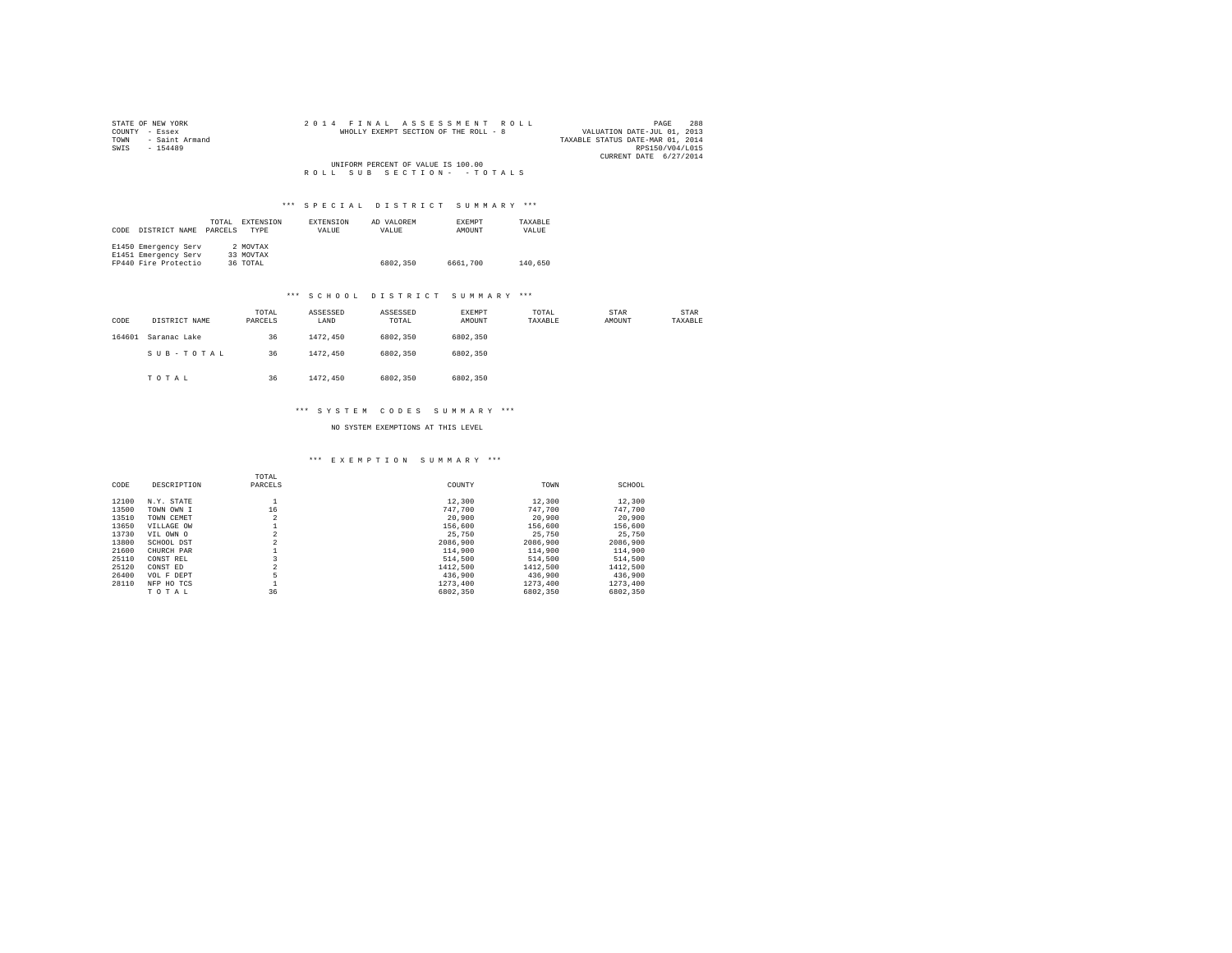| STATE OF NEW YORK   |  |  | 2014 FINAL ASSESSMENT ROLL            |  |  |  |  |                                  |                        | PAGE | 288 |
|---------------------|--|--|---------------------------------------|--|--|--|--|----------------------------------|------------------------|------|-----|
| COUNTY - Essex      |  |  | WHOLLY EXEMPT SECTION OF THE ROLL - 8 |  |  |  |  | VALUATION DATE-JUL 01, 2013      |                        |      |     |
| TOWN - Saint Armand |  |  |                                       |  |  |  |  | TAXABLE STATUS DATE-MAR 01, 2014 |                        |      |     |
| SWTS<br>$-154489$   |  |  |                                       |  |  |  |  |                                  | RPS150/V04/L015        |      |     |
|                     |  |  |                                       |  |  |  |  |                                  | CURRENT DATE 6/27/2014 |      |     |
|                     |  |  | UNIFORM PERCENT OF VALUE IS 100.00    |  |  |  |  |                                  |                        |      |     |
|                     |  |  | ROLL SUB SECTION- - TOTALS            |  |  |  |  |                                  |                        |      |     |

|      |                      | TOTAL   | EXTENSION | <b>EXTENSION</b> | AD VALOREM | <b>EXEMPT</b> | TAXABLE |  |
|------|----------------------|---------|-----------|------------------|------------|---------------|---------|--|
| CODE | DISTRICT NAME        | PARCELS | TYPE      | VALUE            | VALUE      | AMOUNT        | VALUE   |  |
|      |                      |         |           |                  |            |               |         |  |
|      | E1450 Emergency Serv |         | 2 MOVTAX  |                  |            |               |         |  |
|      | E1451 Emergency Serv |         | 33 MOVTAX |                  |            |               |         |  |
|      | FP440 Fire Protectio |         | 36 TOTAL  |                  | 6802.350   | 6661,700      | 140,650 |  |

#### \*\*\* S C H O O L D I S T R I C T S U M M A R Y \*\*\*

| CODE   | DISTRICT NAME | TOTAL<br>PARCELS | ASSESSED<br>LAND | ASSESSED<br>TOTAL | EXEMPT<br>AMOUNT | TOTAL<br>TAXABLE | STAR<br>AMOUNT | STAR<br>TAXABLE |
|--------|---------------|------------------|------------------|-------------------|------------------|------------------|----------------|-----------------|
| 164601 | Saranac Lake  | 36               | 1472.450         | 6802,350          | 6802,350         |                  |                |                 |
|        | SUB-TOTAL     | 36               | 1472.450         | 6802,350          | 6802,350         |                  |                |                 |
|        | TOTAL         | 36               | 1472.450         | 6802,350          | 6802,350         |                  |                |                 |

#### \*\*\* S Y S T E M C O D E S S U M M A R Y \*\*\*

NO SYSTEM EXEMPTIONS AT THIS LEVEL

# \*\*\* E X E M P T I O N S U M M A R Y \*\*\*

| CODE  | DESCRIPTION | TOTAL<br>PARCELS | COUNTY   | TOWN     | SCHOOL   |
|-------|-------------|------------------|----------|----------|----------|
|       |             |                  |          |          |          |
| 12100 | N.Y. STATE  |                  | 12,300   | 12,300   | 12,300   |
| 13500 | TOWN OWN I  | 16               | 747.700  | 747.700  | 747.700  |
| 13510 | TOWN CEMET  | $\overline{2}$   | 20,900   | 20,900   | 20,900   |
| 13650 | VILLAGE OW  |                  | 156,600  | 156,600  | 156,600  |
| 13730 | VIL OWN O   | $\overline{2}$   | 25.750   | 25,750   | 25,750   |
| 13800 | SCHOOL DST  | $\overline{2}$   | 2086,900 | 2086,900 | 2086,900 |
| 21600 | CHURCH PAR  |                  | 114,900  | 114,900  | 114,900  |
| 25110 | CONST REL   |                  | 514,500  | 514,500  | 514,500  |
| 25120 | CONST ED    |                  | 1412,500 | 1412,500 | 1412,500 |
| 26400 | VOL F DEPT  | 5                | 436,900  | 436,900  | 436,900  |
| 28110 | NFP HO TCS  |                  | 1273,400 | 1273,400 | 1273,400 |
|       | TOTAL       | 36               | 6802.350 | 6802,350 | 6802,350 |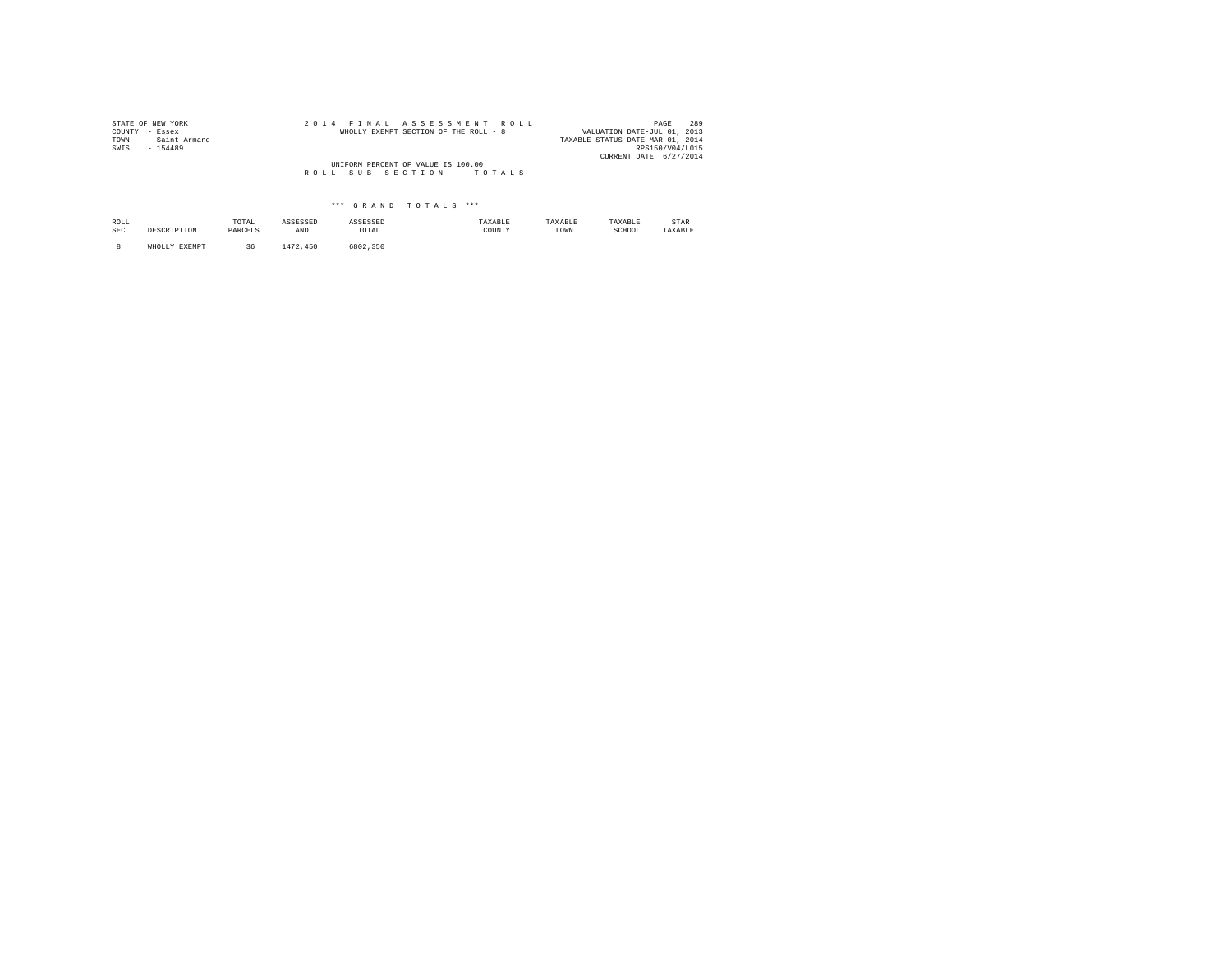| STATE OF NEW YORK      |  | 2014 FINAL ASSESSMENT ROLL            | 289<br>PAGE                      |
|------------------------|--|---------------------------------------|----------------------------------|
| COUNTY - Essex         |  | WHOLLY EXEMPT SECTION OF THE ROLL - 8 | VALUATION DATE-JUL 01, 2013      |
| - Saint Armand<br>TOWN |  |                                       | TAXABLE STATUS DATE-MAR 01, 2014 |
| SWIS<br>$-154489$      |  |                                       | RPS150/V04/L015                  |
|                        |  |                                       | CURRENT DATE 6/27/2014           |
|                        |  | UNIFORM PERCENT OF VALUE IS 100.00    |                                  |
|                        |  | ROLL SUB SECTION- - TOTALS            |                                  |
|                        |  |                                       |                                  |

| ROLL<br>the contract of the contract of the<br>SEC | DESCRIPTION             | TOTAL<br>the contract of the contract of the<br>PARCELS | ASSESSED<br>LAND | ASSESSED<br>TOTAL<br>the contract of the contract of the | TAXABLE<br>COUNTY | TAXABLE<br>TOWN | TAXABLE<br>SCHOOL | STAR<br>TAXABLE |
|----------------------------------------------------|-------------------------|---------------------------------------------------------|------------------|----------------------------------------------------------|-------------------|-----------------|-------------------|-----------------|
|                                                    | <b>EXEMPT</b><br>WHOLLY | 36                                                      | 1472.450         | 6802,350                                                 |                   |                 |                   |                 |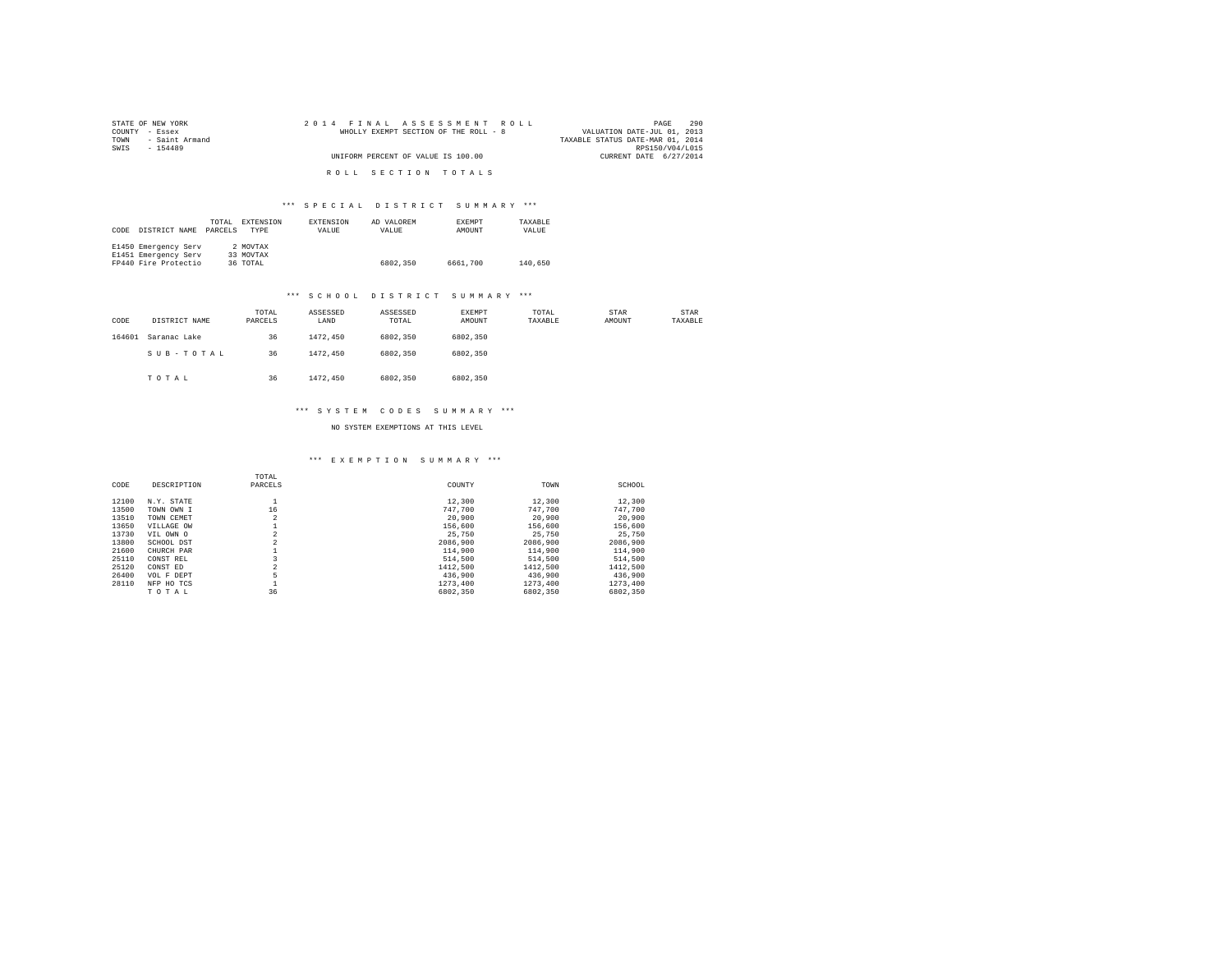| STATE OF NEW YORK   | 2014 FINAL ASSESSMENT ROLL            | 290<br>PAGE                      |
|---------------------|---------------------------------------|----------------------------------|
| COUNTY - Essex      | WHOLLY EXEMPT SECTION OF THE ROLL - 8 | VALUATION DATE-JUL 01, 2013      |
| TOWN - Saint Armand |                                       | TAXABLE STATUS DATE-MAR 01, 2014 |
| SWTS<br>$-154489$   |                                       | RPS150/V04/L015                  |
|                     | UNIFORM PERCENT OF VALUE IS 100.00    | CURRENT DATE 6/27/2014           |
|                     |                                       |                                  |
|                     | ROLL SECTION TOTALS                   |                                  |

| CODE | DISTRICT NAME        | TOTAL<br>PARCELS | EXTENSION<br><b>TYPE</b> | <b>EXTENSION</b><br>VALUE | AD VALOREM<br>VALUE | <b>EXEMPT</b><br>AMOUNT | TAXARLE<br>VALUE |  |
|------|----------------------|------------------|--------------------------|---------------------------|---------------------|-------------------------|------------------|--|
|      | E1450 Emergency Serv |                  | 2 MOVTAX                 |                           |                     |                         |                  |  |
|      | E1451 Emergency Serv |                  | 33 MOVTAX                |                           |                     |                         |                  |  |
|      | FP440 Fire Protectio |                  | 36 TOTAL                 |                           | 6802.350            | 6661,700                | 140,650          |  |

#### \*\*\* S C H O O L D I S T R I C T S U M M A R Y \*\*\*

| CODE   | DISTRICT NAME | TOTAL<br>PARCELS | ASSESSED<br>LAND | ASSESSED<br>TOTAL | EXEMPT<br>AMOUNT | TOTAL<br>TAXABLE | STAR<br>AMOUNT | STAR<br>TAXABLE |
|--------|---------------|------------------|------------------|-------------------|------------------|------------------|----------------|-----------------|
| 164601 | Saranac Lake  | 36               | 1472.450         | 6802,350          | 6802,350         |                  |                |                 |
|        | SUB-TOTAL     | 36               | 1472.450         | 6802,350          | 6802,350         |                  |                |                 |
|        | TOTAL         | 36               | 1472.450         | 6802,350          | 6802,350         |                  |                |                 |

#### \*\*\* S Y S T E M C O D E S S U M M A R Y \*\*\*

NO SYSTEM EXEMPTIONS AT THIS LEVEL

## \*\*\* E X E M P T I O N S U M M A R Y \*\*\*

| CODE  | DESCRIPTION | TOTAL<br>PARCELS | COUNTY   | TOWN     | SCHOOL   |
|-------|-------------|------------------|----------|----------|----------|
| 12100 | N.Y. STATE  |                  | 12,300   | 12,300   | 12,300   |
| 13500 | TOWN OWN I  | 16               | 747.700  | 747.700  | 747.700  |
| 13510 | TOWN CEMET  | $\overline{2}$   | 20,900   | 20,900   | 20,900   |
| 13650 | VILLAGE OW  |                  | 156,600  | 156,600  | 156,600  |
| 13730 | VIL OWN O   | $\overline{2}$   | 25.750   | 25,750   | 25,750   |
| 13800 | SCHOOL DST  | $\overline{2}$   | 2086,900 | 2086,900 | 2086,900 |
| 21600 | CHURCH PAR  |                  | 114,900  | 114,900  | 114,900  |
| 25110 | CONST REL   |                  | 514,500  | 514,500  | 514,500  |
| 25120 | CONST ED    |                  | 1412,500 | 1412,500 | 1412,500 |
| 26400 | VOL F DEPT  | 5                | 436,900  | 436,900  | 436,900  |
| 28110 | NFP HO TCS  |                  | 1273,400 | 1273.400 | 1273.400 |
|       | TOTAL       | 36               | 6802.350 | 6802,350 | 6802,350 |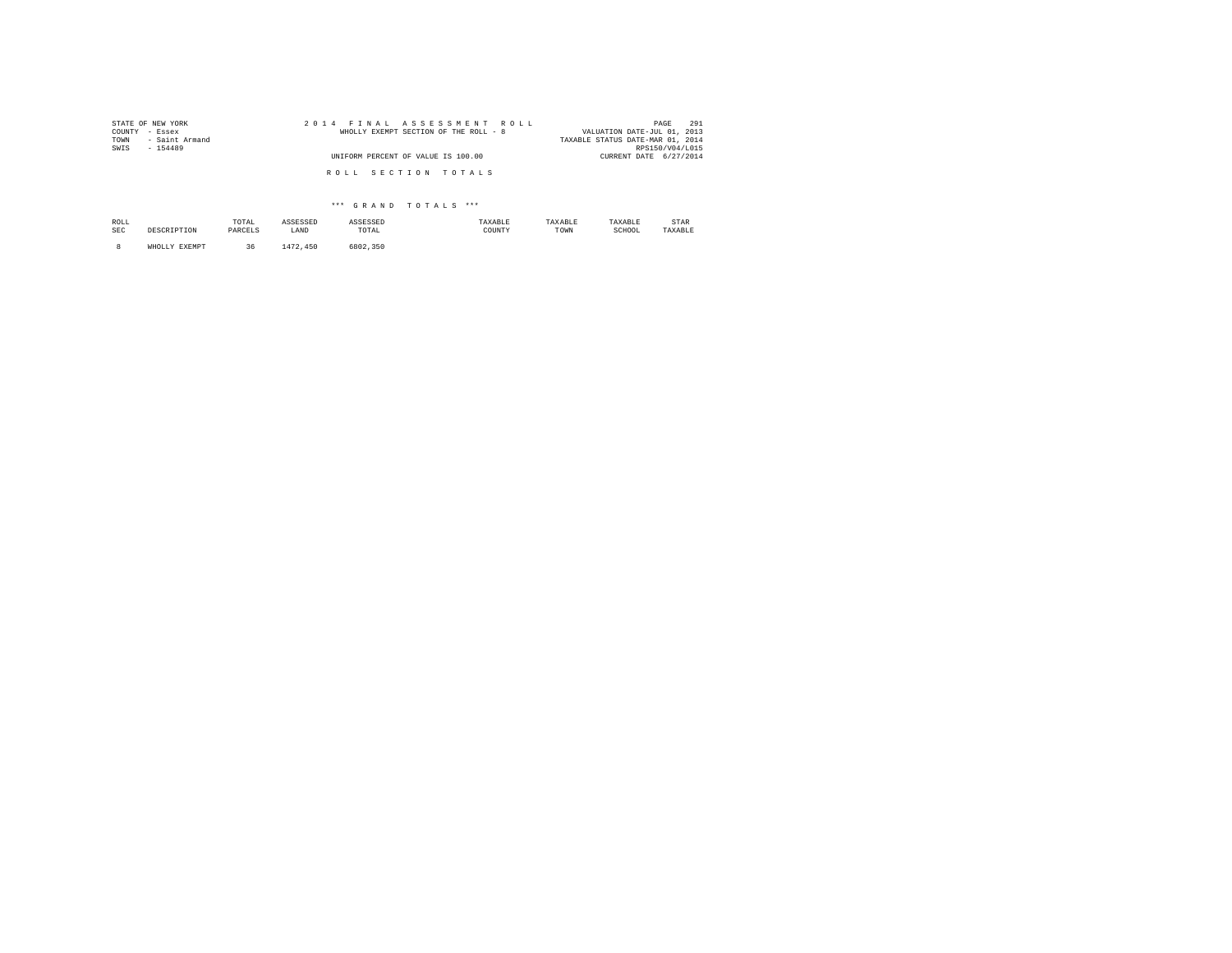| STATE OF NEW YORK      | 2014 FINAL ASSESSMENT ROLL            | 291<br>PAGE                      |
|------------------------|---------------------------------------|----------------------------------|
| COUNTY<br>- Essex      | WHOLLY EXEMPT SECTION OF THE ROLL - 8 | VALUATION DATE-JUL 01, 2013      |
| - Saint Armand<br>TOWN |                                       | TAXABLE STATUS DATE-MAR 01, 2014 |
| SWIS<br>$-154489$      |                                       | RPS150/V04/L015                  |
|                        | UNIFORM PERCENT OF VALUE IS 100.00    | CURRENT DATE 6/27/2014           |
|                        | ROLL SECTION TOTALS                   |                                  |
|                        |                                       |                                  |

| ROLL<br>the contract of the contract of<br>SEC | <b>DESCRIPTON</b> | TOTAL<br>the contract of the contract of the<br>PARCELS | ASSESSED<br>LAND | ASSESSED<br>TOTAL | TAXABLE<br>COUNTY | TAXABLE<br>TOWN | TAXABLE<br>SCHOOL | STAR<br>TAXABLE |
|------------------------------------------------|-------------------|---------------------------------------------------------|------------------|-------------------|-------------------|-----------------|-------------------|-----------------|
|                                                | EXEMPT<br>WHOLLY  | 36                                                      | 1472.450         | 6802.350          |                   |                 |                   |                 |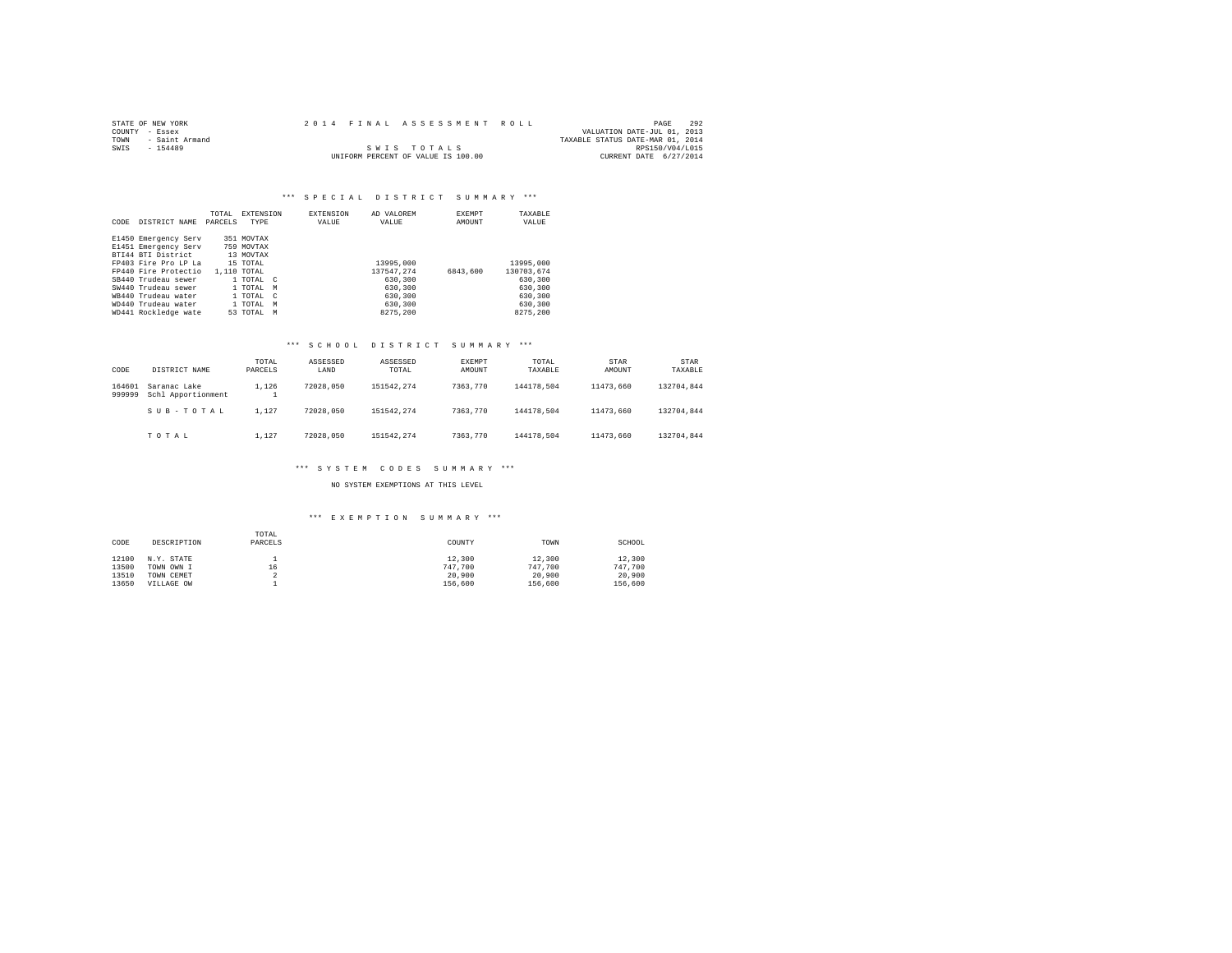| STATE OF NEW YORK |                |  |  |  | 2014 FINAL ASSESSMENT ROLL         |  |                                  | PAGE            | 292 |
|-------------------|----------------|--|--|--|------------------------------------|--|----------------------------------|-----------------|-----|
| COUNTY - Essex    |                |  |  |  |                                    |  | VALUATION DATE-JUL 01, 2013      |                 |     |
| TOWN              | - Saint Armand |  |  |  |                                    |  | TAXABLE STATUS DATE-MAR 01, 2014 |                 |     |
| SWTS              | $-154489$      |  |  |  | SWIS TOTALS                        |  |                                  | RPS150/V04/L015 |     |
|                   |                |  |  |  | UNIFORM PERCENT OF VALUE IS 100.00 |  | CURRENT DATE 6/27/2014           |                 |     |

# \*\*\* SPECIAL DISTRICT SUMMARY \*\*\*

|      |                      | TOTAL   | EXTENSION   | <b>EXTENSION</b> | AD VALOREM | <b>EXEMPT</b> | TAXABLE    |
|------|----------------------|---------|-------------|------------------|------------|---------------|------------|
| CODE | DISTRICT NAME        | PARCELS | TYPE        | VALUE            | VALUE      | AMOUNT        | VALUE      |
|      |                      |         |             |                  |            |               |            |
|      | E1450 Emergency Serv |         | 351 MOVTAX  |                  |            |               |            |
|      | E1451 Emergency Serv |         | 759 MOVTAX  |                  |            |               |            |
|      | BTI44 BTI District   |         | 13 MOVTAX   |                  |            |               |            |
|      | FP403 Fire Pro LP La |         | 15 TOTAL    |                  | 13995,000  |               | 13995,000  |
|      | FP440 Fire Protectio |         | 1,110 TOTAL |                  | 137547.274 | 6843,600      | 130703.674 |
|      | SB440 Trudeau sewer  |         | 1 TOTAL C   |                  | 630,300    |               | 630,300    |
|      | SW440 Trudeau sewer  |         | 1 TOTAL M   |                  | 630,300    |               | 630,300    |
|      | WB440 Trudeau water  |         | 1 TOTAL C   |                  | 630,300    |               | 630,300    |
|      | WD440 Trudeau water  |         | 1 TOTAL M   |                  | 630,300    |               | 630,300    |
|      | WD441 Rockledge wate |         | 53 TOTAL M  |                  | 8275.200   |               | 8275.200   |

## \*\*\* S C H O O L D I S T R I C T S U M M A R Y \*\*\*

| CODE             | DISTRICT NAME                      | TOTAL<br>PARCELS  | ASSESSED<br>LAND | ASSESSED<br>TOTAL | EXEMPT<br>AMOUNT | TOTAL<br>TAXABLE | STAR<br>AMOUNT | STAR<br>TAXABLE |
|------------------|------------------------------------|-------------------|------------------|-------------------|------------------|------------------|----------------|-----------------|
| 164601<br>999999 | Saranac Lake<br>Schl Apportionment | 1.126<br><b>T</b> | 72028.050        | 151542.274        | 7363,770         | 144178.504       | 11473.660      | 132704.844      |
|                  | SUB-TOTAL                          | 1.127             | 72028.050        | 151542.274        | 7363,770         | 144178.504       | 11473.660      | 132704.844      |
|                  | TOTAL                              | 1.127             | 72028.050        | 151542.274        | 7363.770         | 144178.504       | 11473.660      | 132704.844      |

## \*\*\* S Y S T E M C O D E S S U M M A R Y \*\*\*

## NO SYSTEM EXEMPTIONS AT THIS LEVEL

## \*\*\* E X E M P T I O N S U M M A R Y \*\*\*

| CODE  | DESCRIPTION | TOTAL<br>PARCELS | COUNTY  | TOWN    | SCHOOL  |
|-------|-------------|------------------|---------|---------|---------|
| 12100 | N.Y. STATE  |                  | 12,300  | 12,300  | 12,300  |
| 13500 | TOWN OWN I  | 16               | 747.700 | 747.700 | 747.700 |
| 13510 | TOWN CEMET  | n<br>∡           | 20,900  | 20,900  | 20,900  |
| 13650 | VILLAGE OW  |                  | 156,600 | 156,600 | 156,600 |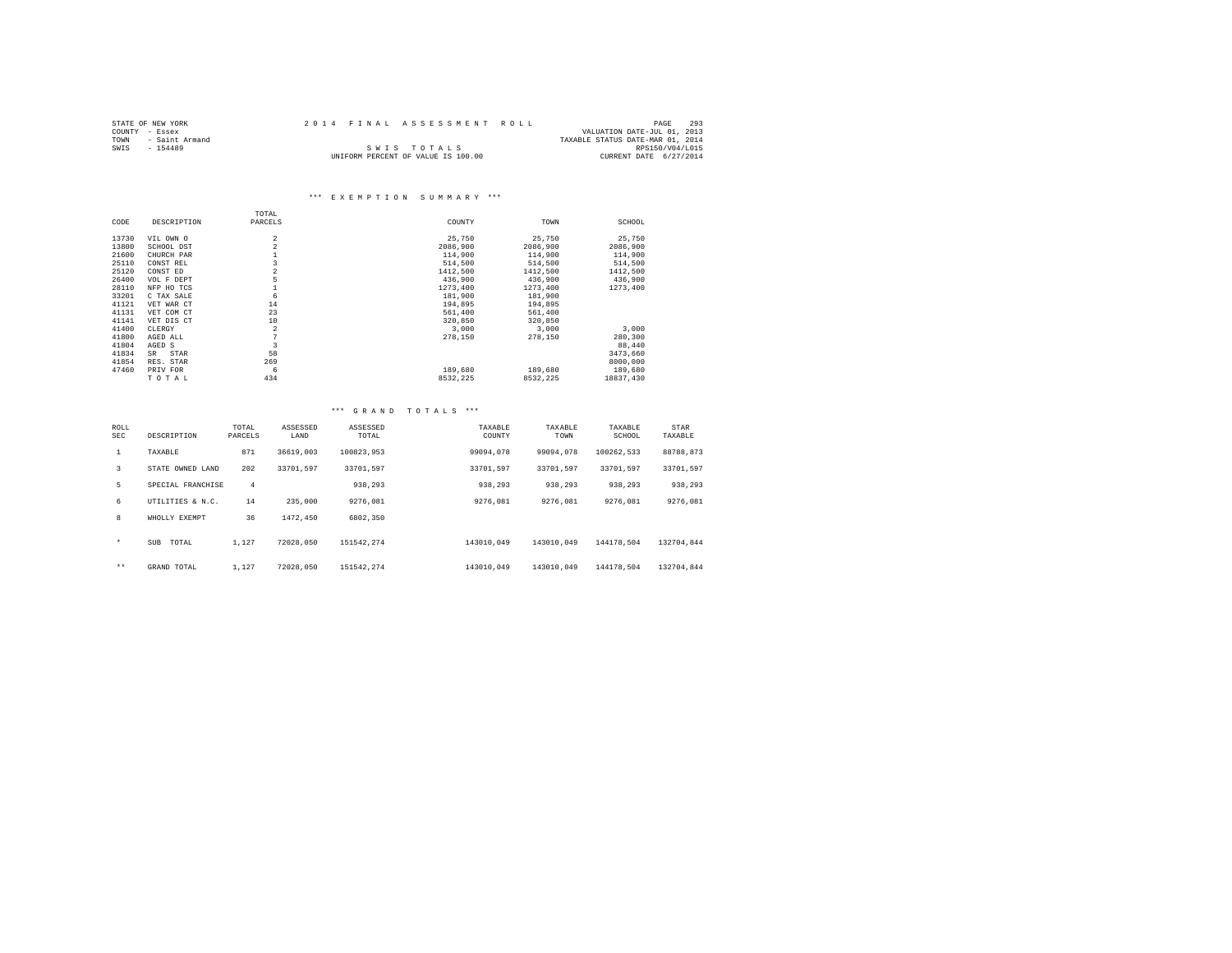| STATE OF NEW YORK   | 2014 FINAL ASSESSMENT ROLL         |  | PAGE                             | 293 |
|---------------------|------------------------------------|--|----------------------------------|-----|
| COUNTY - Essex      |                                    |  | VALUATION DATE-JUL 01, 2013      |     |
| TOWN - Saint Armand |                                    |  | TAXABLE STATUS DATE-MAR 01, 2014 |     |
| SWIS<br>$-154489$   | SWIS TOTALS                        |  | RPS150/V04/L015                  |     |
|                     | UNIFORM PERCENT OF VALUE IS 100.00 |  | CURRENT DATE 6/27/2014           |     |

# \*\*\* E X E M P T I O N S U M M A R Y \*\*\*

|       |             | TOTAL                   |          |          |           |
|-------|-------------|-------------------------|----------|----------|-----------|
| CODE  | DESCRIPTION | PARCELS                 | COUNTY   | TOWN     | SCHOOL    |
| 13730 | VIL OWN O   | $\overline{2}$          | 25.750   | 25,750   | 25,750    |
| 13800 | SCHOOL DST  | $\overline{a}$          | 2086,900 | 2086,900 | 2086,900  |
| 21600 | CHURCH PAR  |                         | 114,900  | 114,900  | 114,900   |
| 25110 | CONST REL   | $\overline{\mathbf{3}}$ | 514,500  | 514,500  | 514,500   |
| 25120 | CONST ED    | $\overline{2}$          | 1412,500 | 1412,500 | 1412,500  |
| 26400 | VOL F DEPT  | 5                       | 436,900  | 436,900  | 436,900   |
| 28110 | NFP HO TCS  |                         | 1273,400 | 1273,400 | 1273,400  |
| 33201 | C TAX SALE  | 6                       | 181,900  | 181,900  |           |
| 41121 | VET WAR CT  | 14                      | 194,895  | 194,895  |           |
| 41131 | VET COM CT  | 23                      | 561,400  | 561,400  |           |
| 41141 | VET DIS CT  | 10                      | 320,850  | 320,850  |           |
| 41400 | CLERGY      | $\overline{2}$          | 3,000    | 3,000    | 3,000     |
| 41800 | AGED ALL    | 7                       | 278,150  | 278,150  | 280,300   |
| 41804 | AGED S      | $\overline{\mathbf{3}}$ |          |          | 88,440    |
| 41834 | STAR<br>SR  | 58                      |          |          | 3473,660  |
| 41854 | RES. STAR   | 269                     |          |          | 8000,000  |
| 47460 | PRIV FOR    | 6                       | 189,680  | 189,680  | 189,680   |
|       | TOTAL       | 434                     | 8532.225 | 8532.225 | 18837,430 |

## \*\*\* G R A N D T O T A L S \*\*\*

| ROLL<br><b>SEC</b> | DESCRIPTION       | TOTAL<br>PARCELS | ASSESSED<br>LAND | ASSESSED<br>TOTAL | TAXABLE<br>COUNTY | TAXABLE<br>TOWN | TAXABLE<br>SCHOOL | STAR<br>TAXABLE |
|--------------------|-------------------|------------------|------------------|-------------------|-------------------|-----------------|-------------------|-----------------|
| $\mathbf{1}$       | TAXABLE           | 871              | 36619,003        | 100823.953        | 99094,078         | 99094.078       | 100262.533        | 88788.873       |
| 3                  | STATE OWNED LAND  | 202              | 33701.597        | 33701.597         | 33701.597         | 33701.597       | 33701.597         | 33701.597       |
| 5                  | SPECIAL FRANCHISE | $\overline{4}$   |                  | 938,293           | 938,293           | 938,293         | 938,293           | 938,293         |
| 6                  | UTILITIES & N.C.  | 14               | 235,000          | 9276.081          | 9276.081          | 9276.081        | 9276.081          | 9276.081        |
| 8                  | WHOLLY EXEMPT     | 36               | 1472.450         | 6802.350          |                   |                 |                   |                 |
| $\star$            | TOTAL<br>SUB      | 1.127            | 72028.050        | 151542.274        | 143010,049        | 143010.049      | 144178.504        | 132704.844      |
| $***$              | GRAND TOTAL       | 1.127            | 72028.050        | 151542.274        | 143010,049        | 143010.049      | 144178.504        | 132704.844      |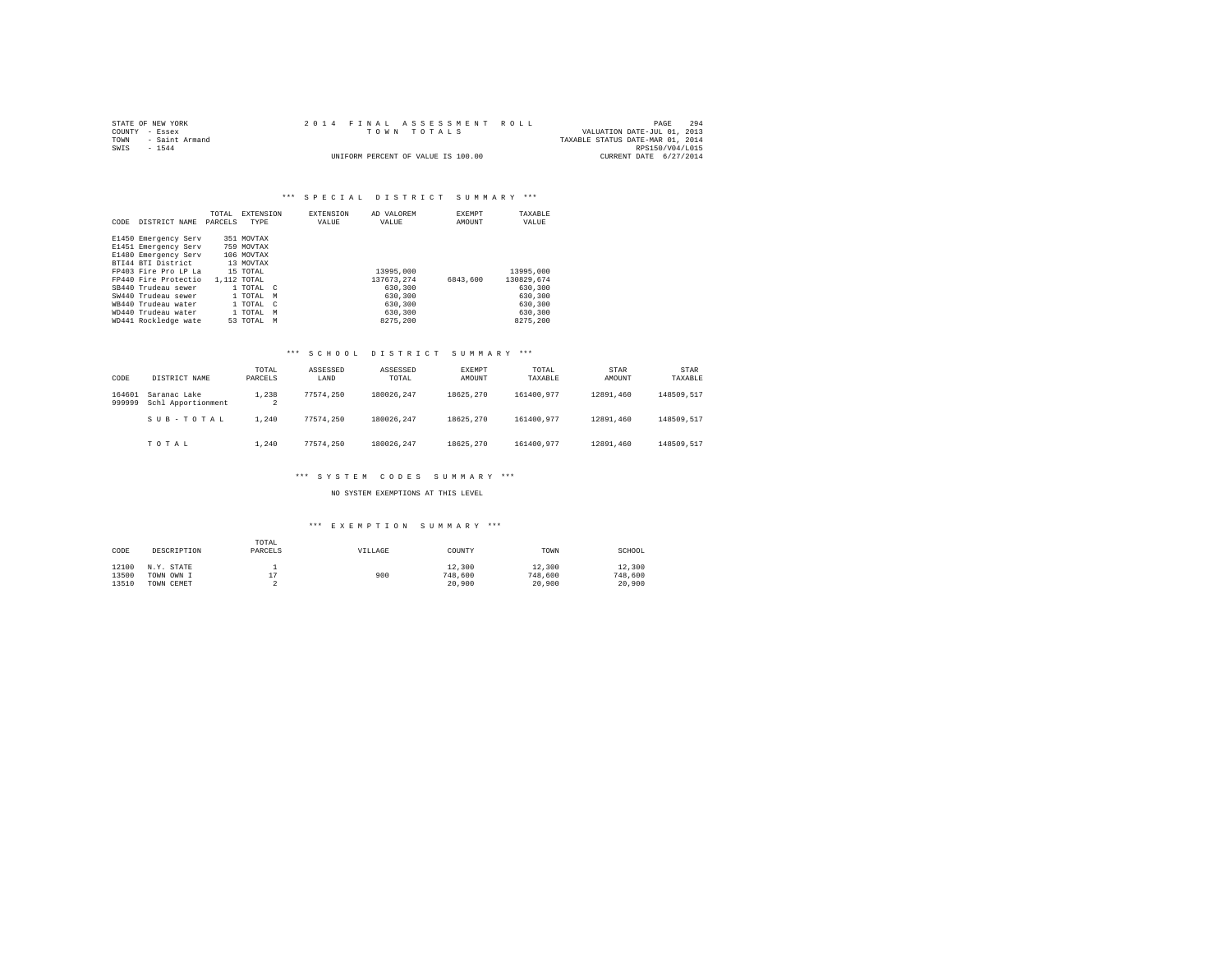| STATE OF NEW YORK   |  | 2014 FINAL ASSESSMENT ROLL         |                                  | PAGE            | 294 |
|---------------------|--|------------------------------------|----------------------------------|-----------------|-----|
| COUNTY - Essex      |  | TOWN TOTALS                        | VALUATION DATE-JUL 01, 2013      |                 |     |
| TOWN - Saint Armand |  |                                    | TAXABLE STATUS DATE-MAR 01, 2014 |                 |     |
| SWIS<br>$-1544$     |  |                                    |                                  | RPS150/V04/L015 |     |
|                     |  | UNIFORM PERCENT OF VALUE IS 100.00 | CURRENT DATE 6/27/2014           |                 |     |

# \*\*\* S P E C I A L D I S T R I C T S U M M A R Y \*\*\*

| CODE | DISTRICT NAME        | TOTAL<br>PARCELS | EXTENSION<br>TYPE | <b>EXTENSION</b><br>VALUE | AD VALOREM<br>VALUE | <b>EXEMPT</b><br>AMOUNT | TAXABLE<br>VALUE |
|------|----------------------|------------------|-------------------|---------------------------|---------------------|-------------------------|------------------|
|      | E1450 Emergency Serv |                  | 351 MOVTAX        |                           |                     |                         |                  |
|      | E1451 Emergency Serv |                  | 759 MOVTAX        |                           |                     |                         |                  |
|      | E1480 Emergency Serv |                  | 106 MOVTAX        |                           |                     |                         |                  |
|      | BTI44 BTI District   |                  | 13 MOVTAX         |                           |                     |                         |                  |
|      | FP403 Fire Pro LP La |                  | 15 TOTAL          |                           | 13995,000           |                         | 13995,000        |
|      | FP440 Fire Protectio | 1,112 TOTAL      |                   |                           | 137673.274          | 6843,600                | 130829.674       |
|      | SB440 Trudeau sewer  |                  | 1 TOTAL C         |                           | 630,300             |                         | 630,300          |
|      | SW440 Trudeau sewer  |                  | 1 TOTAL M         |                           | 630,300             |                         | 630,300          |
|      | WB440 Trudeau water  |                  | 1 TOTAL C         |                           | 630,300             |                         | 630,300          |
|      | WD440 Trudeau water  |                  | 1 TOTAL M         |                           | 630,300             |                         | 630,300          |
|      | WD441 Rockledge wate |                  | 53 TOTAL M        |                           | 8275,200            |                         | 8275.200         |

## \*\*\* S C H O O L D I S T R I C T S U M M A R Y \*\*\*

| CODE             | DISTRICT NAME                      | TOTAL<br>PARCELS | ASSESSED<br>LAND | ASSESSED<br>TOTAL | EXEMPT<br>AMOUNT | TOTAL<br>TAXABLE | STAR<br>AMOUNT | STAR<br>TAXABLE |
|------------------|------------------------------------|------------------|------------------|-------------------|------------------|------------------|----------------|-----------------|
| 164601<br>999999 | Saranac Lake<br>Schl Apportionment | 1,238<br>2       | 77574.250        | 180026.247        | 18625.270        | 161400.977       | 12891.460      | 148509.517      |
|                  | SUB-TOTAL                          | 1,240            | 77574.250        | 180026.247        | 18625.270        | 161400.977       | 12891.460      | 148509.517      |
|                  | TOTAL                              | 1,240            | 77574.250        | 180026.247        | 18625.270        | 161400.977       | 12891.460      | 148509.517      |

### \*\*\* S Y S T E M C O D E S S U M M A R Y \*\*\*

NO SYSTEM EXEMPTIONS AT THIS LEVEL

# \*\*\* E X E M P T I O N S U M M A R Y \*\*\*

| CODE  | DESCRIPTION | TOTAL<br>PARCELS | VILLAGE | COUNTY  | TOWN    | SCHOOL  |
|-------|-------------|------------------|---------|---------|---------|---------|
| 12100 | N.Y. STATE  |                  |         | 12,300  | 12,300  | 12,300  |
| 13500 | TOWN OWN I  | ÷.               | 900     | 748,600 | 748,600 | 748,600 |
| 13510 | TOWN CEMET  |                  |         | 20,900  | 20,900  | 20,900  |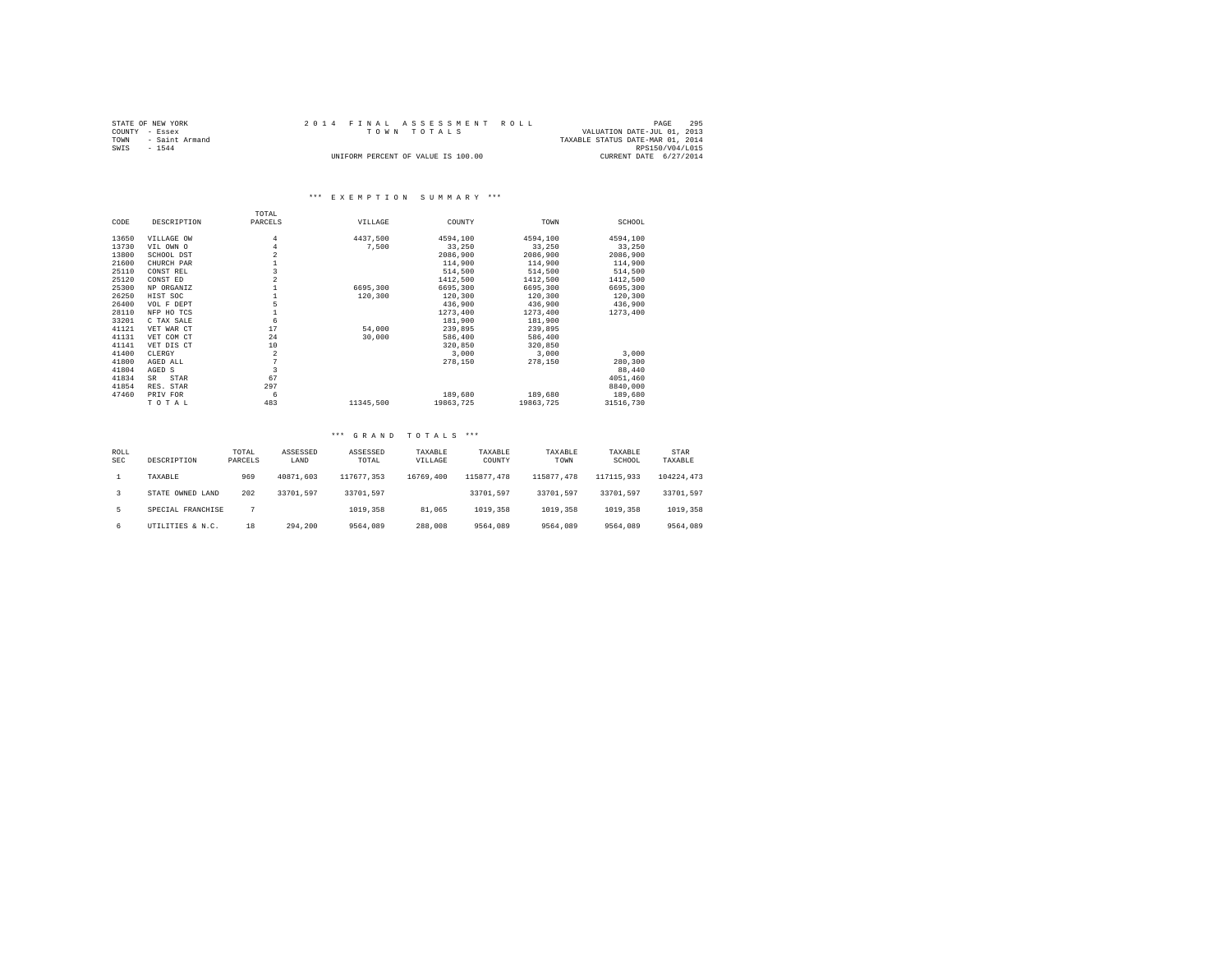| STATE OF NEW YORK   | 2014 FINAL ASSESSMENT ROLL         | 295<br>PAGE                      |
|---------------------|------------------------------------|----------------------------------|
| COUNTY - Essex      | TOWN TOTALS                        | VALUATION DATE-JUL 01, 2013      |
| TOWN - Saint Armand |                                    | TAXABLE STATUS DATE-MAR 01, 2014 |
| SWIS<br>$-1544$     |                                    | RPS150/V04/L015                  |
|                     | UNIFORM PERCENT OF VALUE IS 100.00 | CURRENT DATE 6/27/2014           |

# \*\*\* E X E M P T I O N S U M M A R Y \*\*\*

|       |             | TOTAL          |           |           |           |           |
|-------|-------------|----------------|-----------|-----------|-----------|-----------|
| CODE  | DESCRIPTION | PARCELS        | VILLAGE   | COUNTY    | TOWN      | SCHOOL    |
| 13650 | VILLAGE OW  | 4              | 4437.500  | 4594.100  | 4594,100  | 4594,100  |
| 13730 | VIL OWN O   | $\overline{4}$ | 7,500     | 33,250    | 33,250    | 33,250    |
| 13800 | SCHOOL DST  | $\overline{a}$ |           | 2086,900  | 2086,900  | 2086,900  |
| 21600 | CHURCH PAR  |                |           | 114,900   | 114,900   | 114,900   |
| 25110 | CONST REL   | 3              |           | 514,500   | 514,500   | 514,500   |
| 25120 | CONST ED    | $\overline{a}$ |           | 1412,500  | 1412,500  | 1412,500  |
| 25300 | NP ORGANIZ  |                | 6695,300  | 6695,300  | 6695,300  | 6695,300  |
| 26250 | HIST SOC    |                | 120,300   | 120,300   | 120,300   | 120,300   |
| 26400 | VOL F DEPT  | 5              |           | 436,900   | 436,900   | 436,900   |
| 28110 | NFP HO TCS  |                |           | 1273,400  | 1273.400  | 1273,400  |
| 33201 | C TAX SALE  | 6              |           | 181,900   | 181,900   |           |
| 41121 | VET WAR CT  | 17             | 54,000    | 239,895   | 239,895   |           |
| 41131 | VET COM CT  | 24             | 30,000    | 586,400   | 586,400   |           |
| 41141 | VET DIS CT  | 10             |           | 320,850   | 320,850   |           |
| 41400 | CLERGY      | $\overline{a}$ |           | 3,000     | 3.000     | 3,000     |
| 41800 | AGED ALL    |                |           | 278,150   | 278,150   | 280,300   |
| 41804 | AGED S      | 3              |           |           |           | 88,440    |
| 41834 | STAR<br>SR. | 67             |           |           |           | 4051,460  |
| 41854 | RES. STAR   | 297            |           |           |           | 8840,000  |
| 47460 | PRIV FOR    | 6              |           | 189,680   | 189,680   | 189,680   |
|       | TOTAL       | 483            | 11345,500 | 19863,725 | 19863.725 | 31516,730 |

## \*\*\* G R A N D T O T A L S \*\*\*

| ROLL<br><b>SEC</b> | DESCRIPTION       | TOTAL<br>PARCELS | ASSESSED<br>LAND | ASSESSED<br>TOTAL | TAXABLE<br>VILLAGE | TAXABLE<br>COUNTY | TAXABLE<br>TOWN | TAXABLE<br>SCHOOL | STAR<br>TAXABLE |
|--------------------|-------------------|------------------|------------------|-------------------|--------------------|-------------------|-----------------|-------------------|-----------------|
|                    | TAXABLE           | 969              | 40871.603        | 117677.353        | 16769,400          | 115877.478        | 115877.478      | 117115,933        | 104224.473      |
|                    | STATE OWNED LAND  | 202              | 33701.597        | 33701.597         |                    | 33701.597         | 33701.597       | 33701.597         | 33701.597       |
| 5.                 | SPECIAL FRANCHISE |                  |                  | 1019,358          | 81,065             | 1019,358          | 1019,358        | 1019,358          | 1019,358        |
| 6                  | UTILITIES & N.C.  | 18               | 294,200          | 9564,089          | 288,008            | 9564,089          | 9564,089        | 9564,089          | 9564,089        |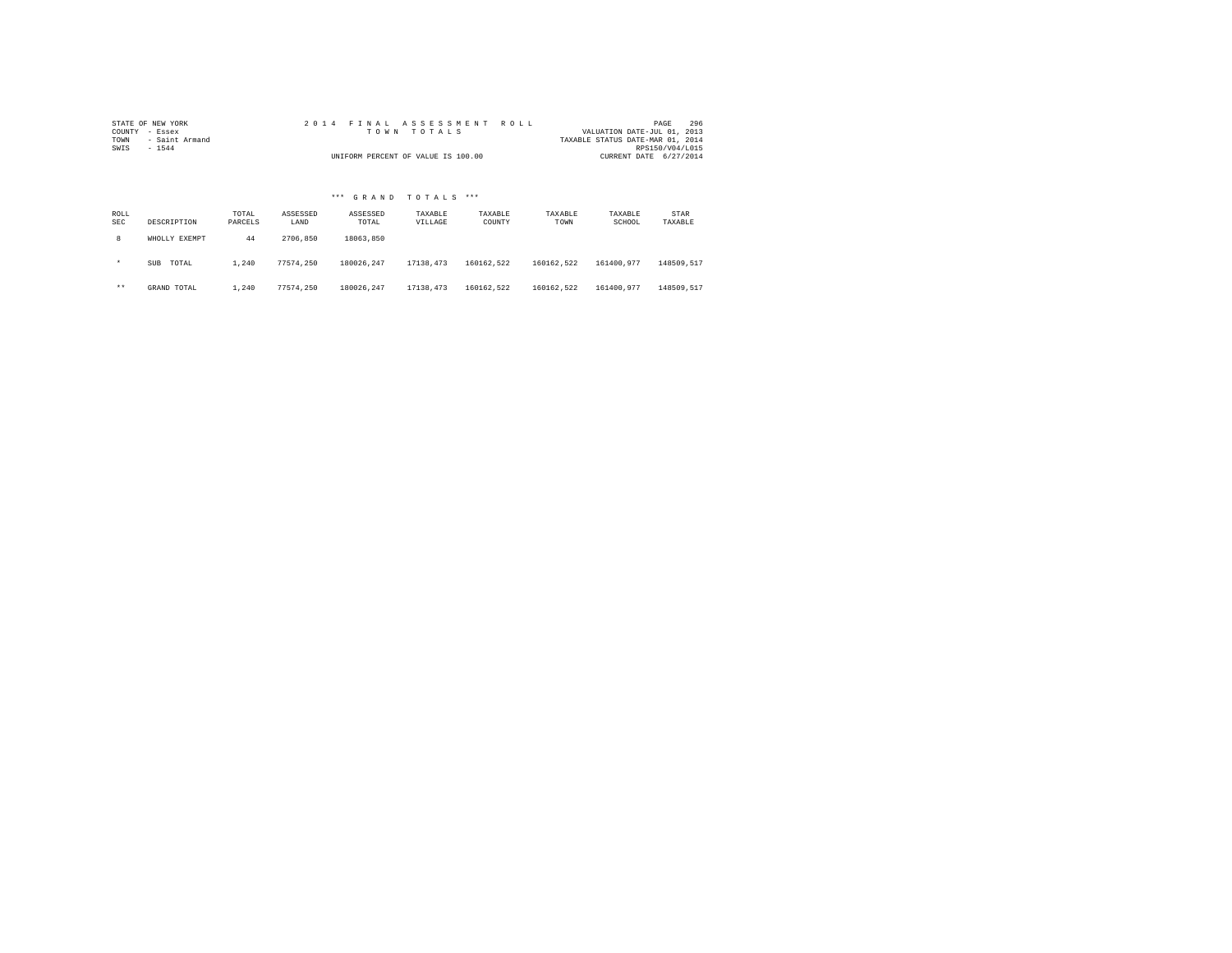| STATE OF NEW YORK      | 2014 FINAL ASSESSMENT ROLL         | 296<br>PAGE                      |  |
|------------------------|------------------------------------|----------------------------------|--|
| COUNTY - Essex         | TOWN TOTALS                        | VALUATION DATE-JUL 01, 2013      |  |
| - Saint Armand<br>TOWN |                                    | TAXABLE STATUS DATE-MAR 01, 2014 |  |
| SWIS<br>$-1544$        |                                    | RPS150/V04/L015                  |  |
|                        | UNIFORM PERCENT OF VALUE IS 100.00 | CURRENT DATE 6/27/2014           |  |

# \*\*\* G R A N D T O T A L S \*\*\*

| ROLL<br><b>SEC</b> | DESCRIPTION   | TOTAL<br>PARCELS | ASSESSED<br>LAND | ASSESSED<br>TOTAL | TAXABLE<br>VILLAGE | TAXABLE<br>COUNTY | TAXABLE<br>TOWN | TAXABLE<br>SCHOOL | STAR<br>TAXABLE |
|--------------------|---------------|------------------|------------------|-------------------|--------------------|-------------------|-----------------|-------------------|-----------------|
| 8                  | WHOLLY EXEMPT | 44               | 2706.850         | 18063.850         |                    |                   |                 |                   |                 |
| $\star$            | TOTAL<br>SUB  | 1,240            | 77574.250        | 180026.247        | 17138.473          | 160162.522        | 160162.522      | 161400.977        | 148509.517      |
| $***$              | GRAND TOTAL   | 1,240            | 77574.250        | 180026.247        | 17138.473          | 160162.522        | 160162.522      | 161400.977        | 148509.517      |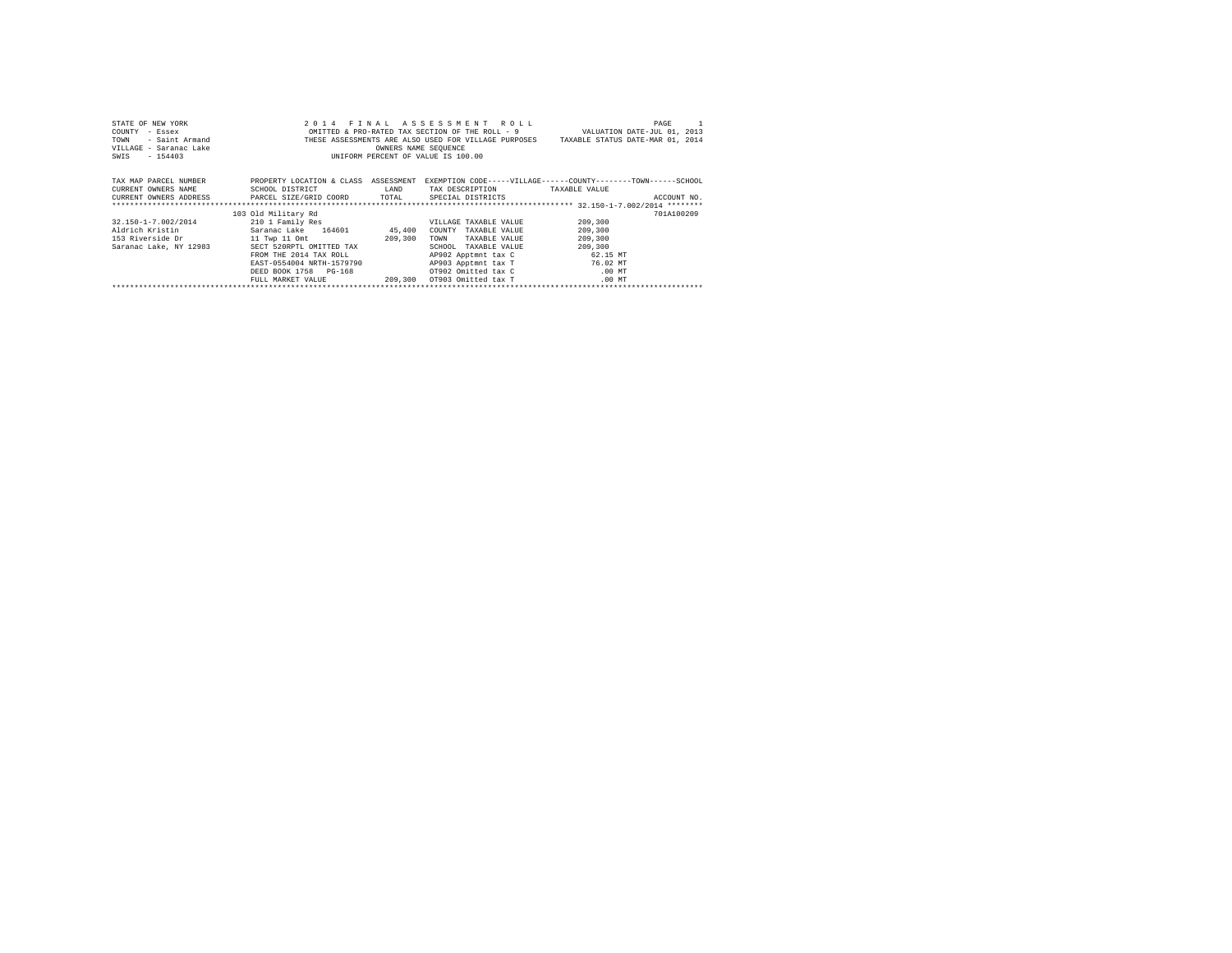| STATE OF NEW YORK                                                          |                                               |                      | 2014 FINAL ASSESSMENT ROLL         | PAGE                                                                                                                                                                                             |
|----------------------------------------------------------------------------|-----------------------------------------------|----------------------|------------------------------------|--------------------------------------------------------------------------------------------------------------------------------------------------------------------------------------------------|
| COUNTY - Essex                                                             |                                               |                      |                                    |                                                                                                                                                                                                  |
| TOWN                                                                       |                                               |                      |                                    | Exact WILLEN OMITTED & PRO-RATED TAX SECTION OF THE ROLL - 9 ALUATION DATE-JUL 01, 2013 - Saint Armand COMPUTESE ASSESSMENTS ARE ALSO USED FOR VILLAGE PURPOSES TAXABLE STATUS DATE-MAR 01, 2014 |
| VILLAGE - Saranac Lake                                                     |                                               | OWNERS NAME SEQUENCE |                                    |                                                                                                                                                                                                  |
| SWIS - 154403                                                              |                                               |                      | UNIFORM PERCENT OF VALUE IS 100.00 |                                                                                                                                                                                                  |
|                                                                            |                                               |                      |                                    |                                                                                                                                                                                                  |
|                                                                            |                                               |                      |                                    |                                                                                                                                                                                                  |
| TAX MAP PARCEL NUMBER                                                      |                                               |                      |                                    | PROPERTY LOCATION & CLASS ASSESSMENT EXEMPTION CODE-----VILLAGE------COUNTY-------TOWN------SCHOOL                                                                                               |
| CURRENT OWNERS NAME                                                        | SCHOOL DISTRICT                               | LAND                 | TAX DESCRIPTION TAXABLE VALUE      |                                                                                                                                                                                                  |
| CURRENT OWNERS ADDRESS PARCEL SIZE/GRID COORD TOTAL SPECIAL DISTRICTS      |                                               |                      |                                    | ACCOUNT NO.                                                                                                                                                                                      |
|                                                                            |                                               |                      |                                    |                                                                                                                                                                                                  |
|                                                                            | 103 Old Military Rd                           |                      |                                    | 701A100209                                                                                                                                                                                       |
| 32.150-1-7.002/2014                                                        | 210 1 Family Res                              |                      | VILLAGE TAXABLE VALUE              | 209,300                                                                                                                                                                                          |
| Aldrich Kristin                 Saranac Lake     164601             45,400 |                                               |                      | COUNTY TAXABLE VALUE               | 209,300                                                                                                                                                                                          |
| 153 Riverside Dr 11 Twp 11 Omt                                             |                                               | 209,300              | TOWN<br>TAXABLE VALUE              | 209,300                                                                                                                                                                                          |
| Saranac Lake, NY 12983 SECT 520RPTL OMITTED TAX                            |                                               |                      | SCHOOL TAXABLE VALUE               | 209,300                                                                                                                                                                                          |
|                                                                            | FROM THE 2014 TAX ROLL                        |                      | AP902 Apptmnt tax C 62.15 MT       |                                                                                                                                                                                                  |
|                                                                            | EAST-0554004 NRTH-1579790                     |                      | AP903 Apptmnt tax T 76.02 MT       |                                                                                                                                                                                                  |
|                                                                            | DEED BOOK 1758 PG-168                         |                      | OT902 Omitted tax C .00 MT         |                                                                                                                                                                                                  |
|                                                                            | FULL MARKET VALUE 409,300 OT903 Omitted tax T |                      |                                    | $.00$ MT                                                                                                                                                                                         |
|                                                                            |                                               |                      |                                    |                                                                                                                                                                                                  |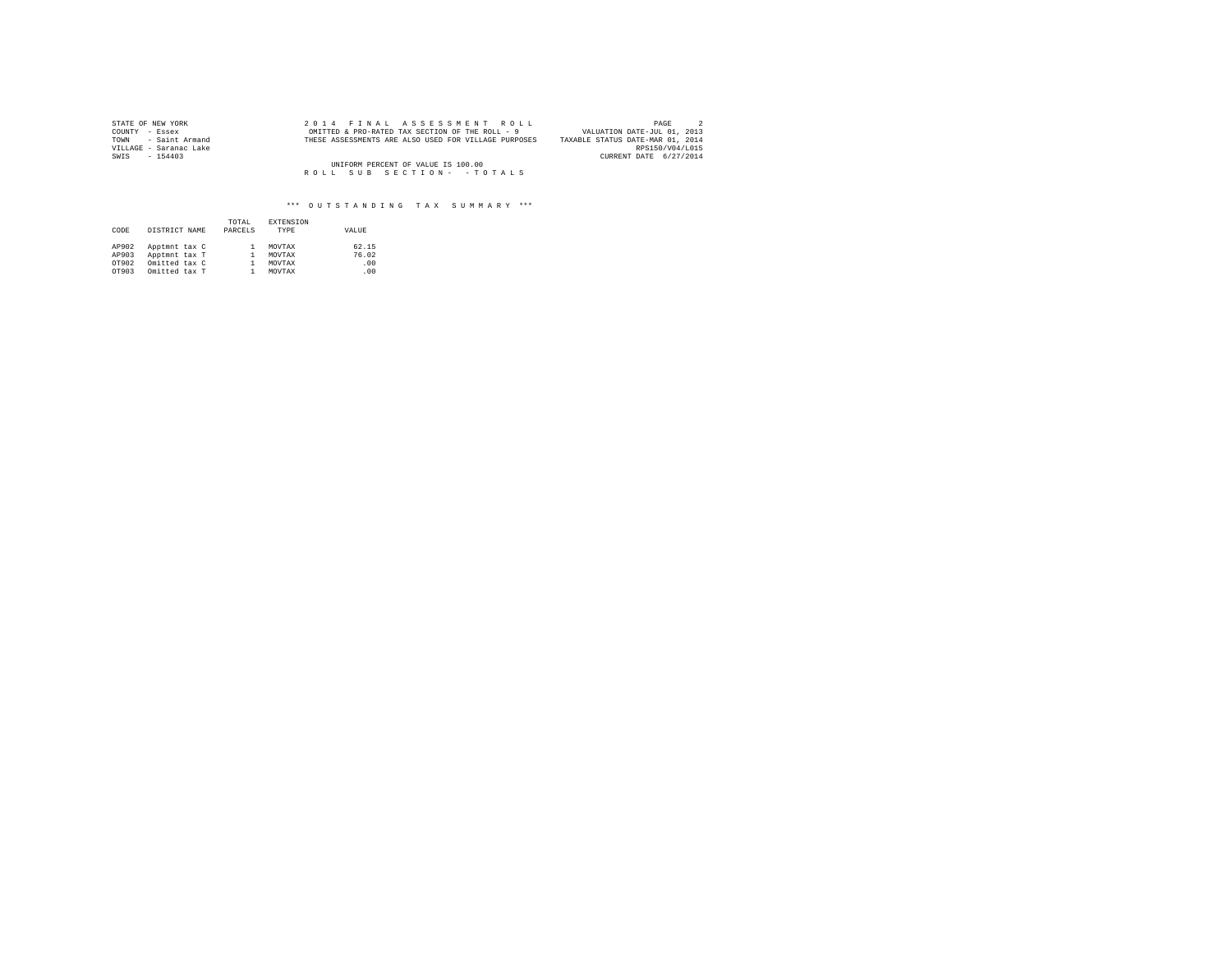| STATE OF NEW YORK      | 2014 FINAL ASSESSMENT ROLL                           | PAGE                             |
|------------------------|------------------------------------------------------|----------------------------------|
| COUNTY - Essex         | OMITTED & PRO-RATED TAX SECTION OF THE ROLL - 9      | VALUATION DATE-JUL 01, 2013      |
| TOWN - Saint Armand    | THESE ASSESSMENTS ARE ALSO USED FOR VILLAGE PURPOSES | TAXABLE STATUS DATE-MAR 01, 2014 |
| VILLAGE - Saranac Lake |                                                      | RPS150/V04/L015                  |
| SWIS<br>$-154403$      |                                                      | CURRENT DATE 6/27/2014           |
|                        | UNIFORM PERCENT OF VALUE IS 100.00                   |                                  |
|                        | ROLL SUB SECTION- - TOTALS                           |                                  |

| CODE  | DISTRICT NAME | TOTAL<br>PARCELS | <b>EXTENSION</b><br>TYPE | VALUE |
|-------|---------------|------------------|--------------------------|-------|
| AP902 | Apptmnt tax C |                  | MOVTAX                   | 62.15 |
| AP903 | Apptmnt tax T |                  | MOVTAX                   | 76.02 |
| OT902 | Omitted tax C |                  | MOVTAX                   | .00   |
| OT903 | Omitted tax T |                  | MOVTAX                   | .00   |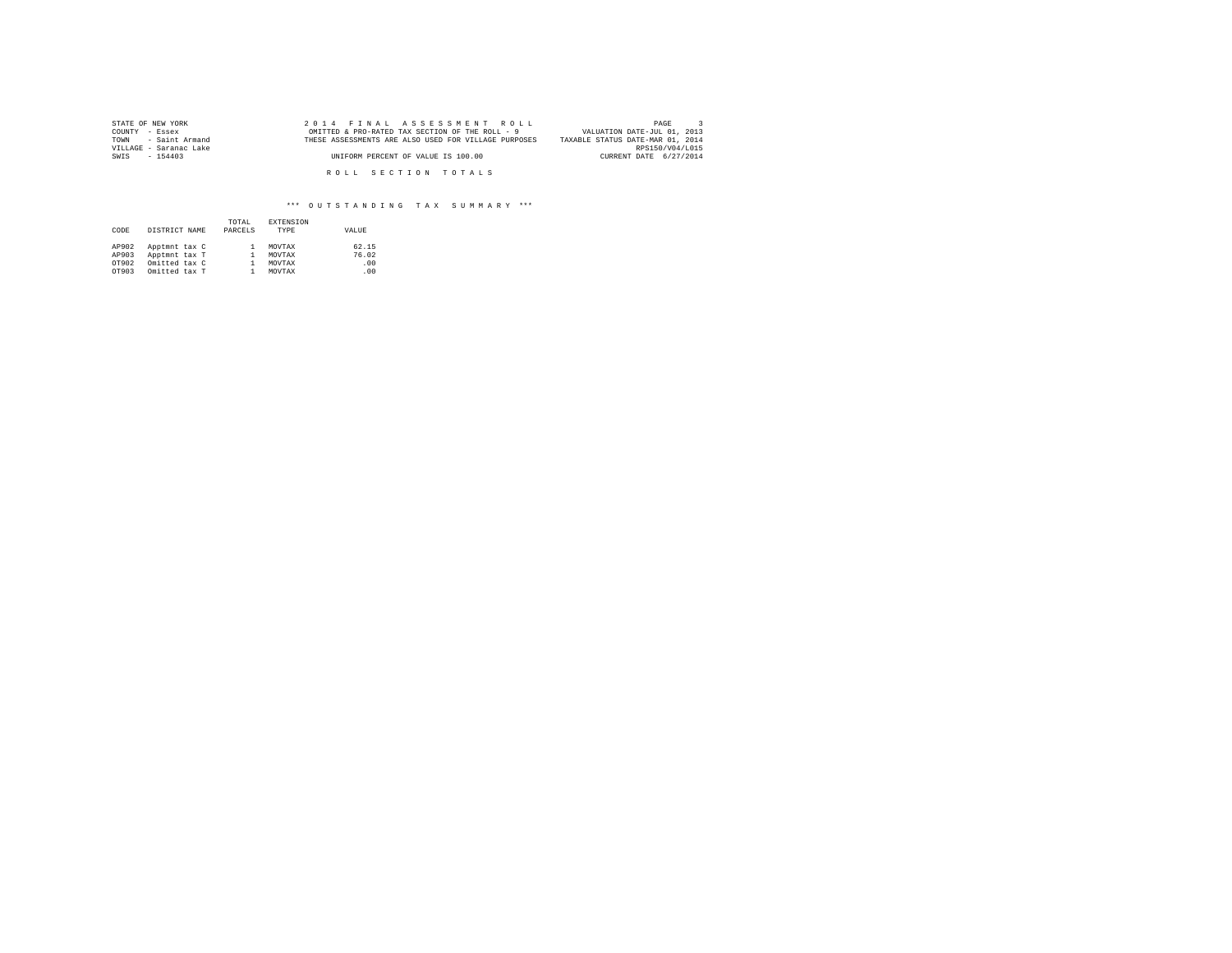| STATE OF NEW YORK      | 2014 FINAL ASSESSMENT ROLL                           | PAGE 3                           |
|------------------------|------------------------------------------------------|----------------------------------|
| COUNTY - Essex         | OMITTED & PRO-RATED TAX SECTION OF THE ROLL - 9      | VALUATION DATE-JUL 01, 2013      |
| TOWN - Saint Armand    | THESE ASSESSMENTS ARE ALSO USED FOR VILLAGE PURPOSES | TAXABLE STATUS DATE-MAR 01, 2014 |
| VILLAGE - Saranac Lake |                                                      | RPS150/V04/L015                  |
| $-154403$<br>SWIS      | UNIFORM PERCENT OF VALUE IS 100.00                   | CURRENT DATE 6/27/2014           |
|                        |                                                      |                                  |

# R O L L S E C T I O N T O T A L S

| CODE  | DISTRICT NAME |  | TOTAL<br>PARCELS | <b>EXTENSION</b><br><b>TYPE</b> | VALUE |
|-------|---------------|--|------------------|---------------------------------|-------|
| AP902 | Apptmnt tax C |  |                  | MOVTAX                          | 62.15 |
| AP903 | Apptmnt tax T |  |                  | MOVTAX                          | 76.02 |
| OT902 | Omitted tax C |  |                  | MOVTAX                          | .00   |
| OT903 | Omitted tax T |  |                  | MOVTAX                          | .00   |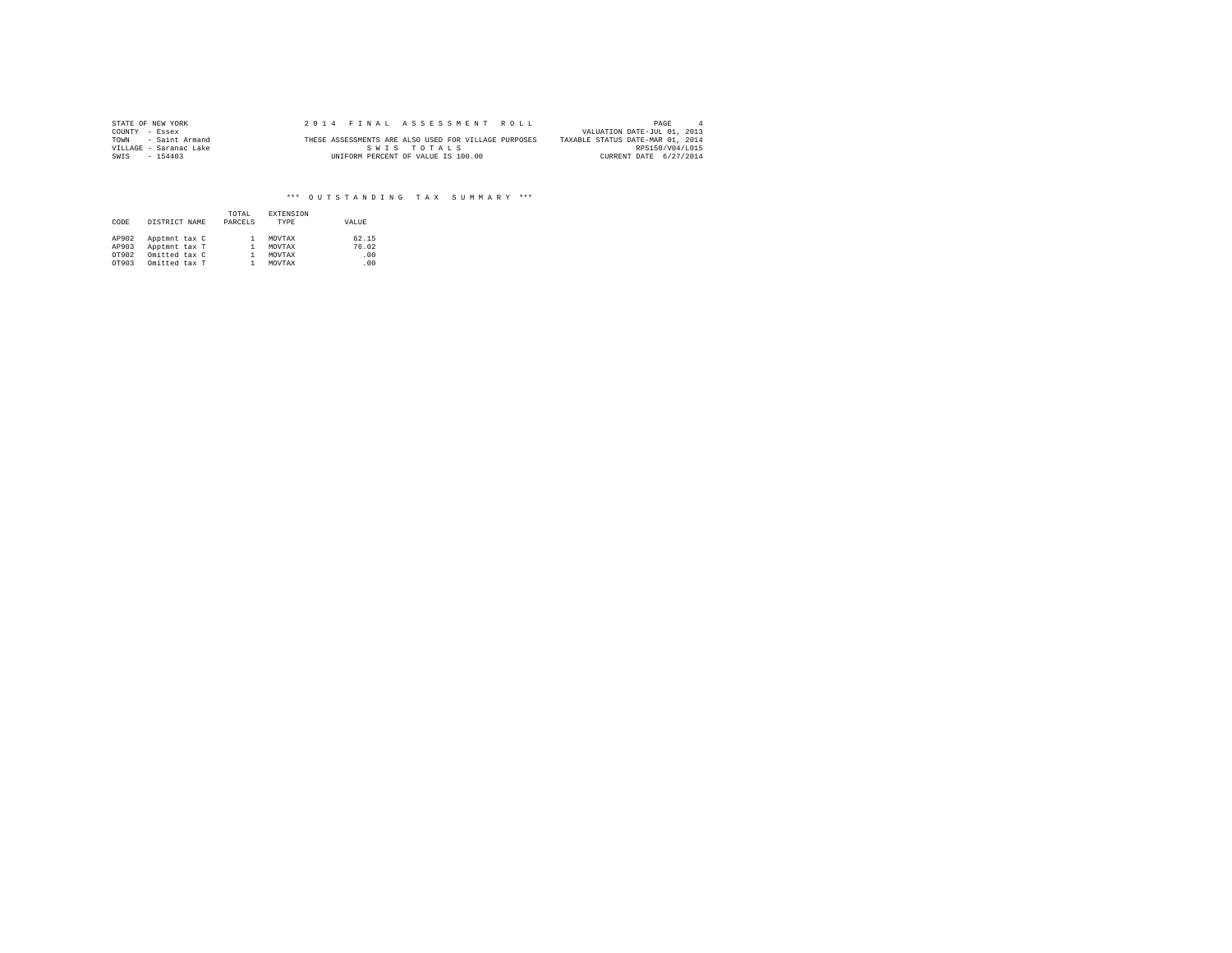| STATE OF NEW YORK      |  | 2014 FINAL ASSESSMENT ROLL                           | PAGE                             |  |
|------------------------|--|------------------------------------------------------|----------------------------------|--|
| COUNTY - Essex         |  |                                                      | VALUATION DATE-JUL 01, 2013      |  |
| TOWN - Saint Armand    |  | THESE ASSESSMENTS ARE ALSO USED FOR VILLAGE PURPOSES | TAXABLE STATUS DATE-MAR 01, 2014 |  |
| VILLAGE - Saranac Lake |  | SWIS TOTALS                                          | RPS150/V04/L015                  |  |
| SWIS<br>$-154403$      |  | UNIFORM PERCENT OF VALUE IS 100.00                   | CURRENT DATE 6/27/2014           |  |

| CODE  | DISTRICT NAME |  | TOTAL<br>PARCELS | <b>EXTENSION</b><br>TYPE | VALUE |
|-------|---------------|--|------------------|--------------------------|-------|
| AP902 | Apptmnt tax C |  |                  | MOVTAX                   | 62.15 |
| AP903 | Apptmnt tax T |  |                  | MOVTAX                   | 76.02 |
| OT902 | Omitted tax C |  |                  | MOVTAX                   | .00   |
| OT903 | Omitted tax T |  |                  | MOVTAX                   | .00   |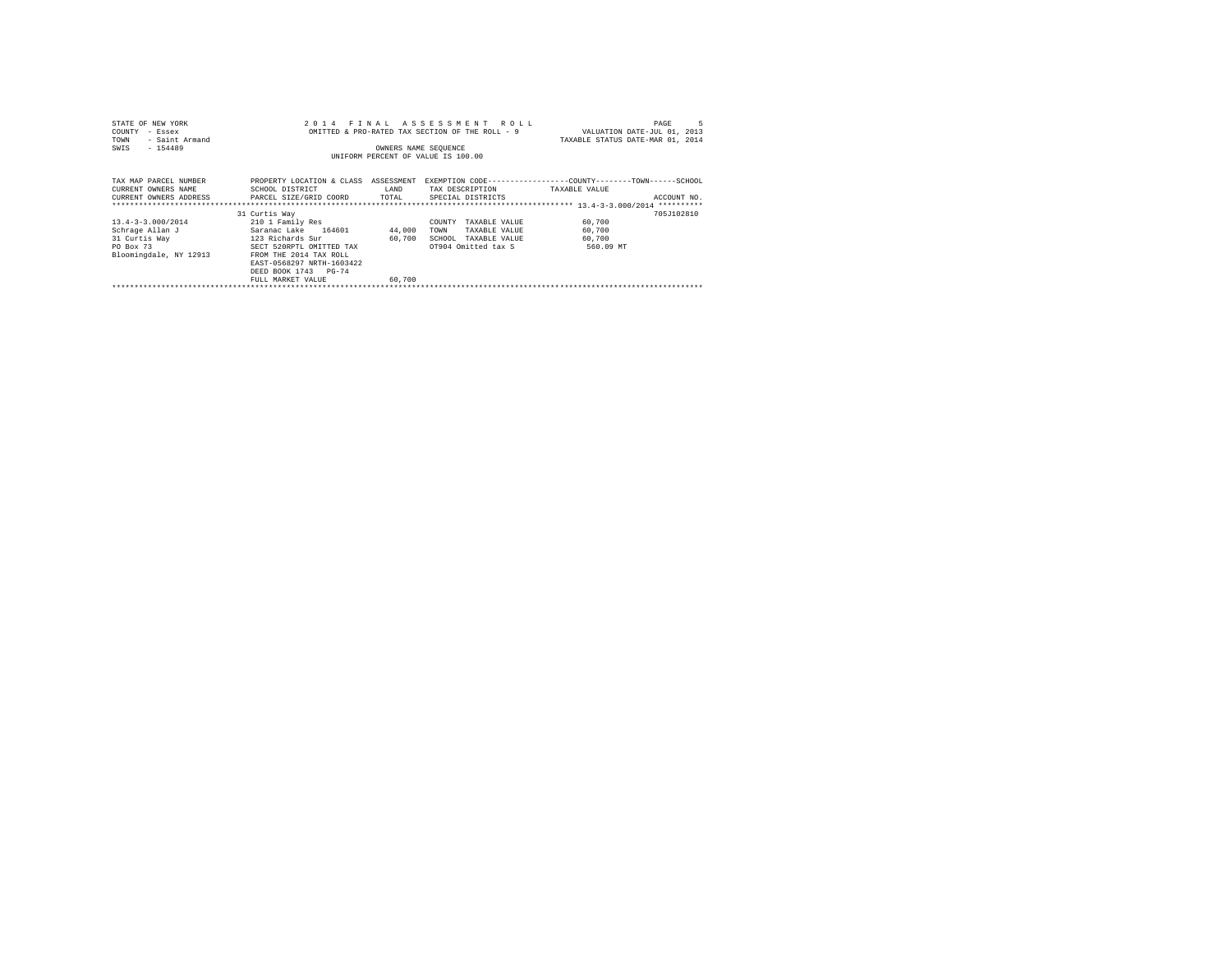| STATE OF NEW YORK         | 2 0 1 4                   | FINAL                | ASSESSMENT ROLL                                 |                                                              | PAGE        |
|---------------------------|---------------------------|----------------------|-------------------------------------------------|--------------------------------------------------------------|-------------|
| COUNTY<br>- Essex         |                           |                      | OMITTED & PRO-RATED TAX SECTION OF THE ROLL - 9 | VALUATION DATE-JUL 01, 2013                                  |             |
| - Saint Armand<br>TOWN    |                           |                      |                                                 | TAXABLE STATUS DATE-MAR 01, 2014                             |             |
| $-154489$<br>SWIS         |                           | OWNERS NAME SEQUENCE |                                                 |                                                              |             |
|                           |                           |                      | UNIFORM PERCENT OF VALUE IS 100.00              |                                                              |             |
|                           |                           |                      |                                                 |                                                              |             |
|                           |                           |                      |                                                 |                                                              |             |
| TAX MAP PARCEL NUMBER     | PROPERTY LOCATION & CLASS | ASSESSMENT           |                                                 | EXEMPTION CODE-----------------COUNTY-------TOWN------SCHOOL |             |
| CURRENT OWNERS NAME       | SCHOOL DISTRICT           | LAND                 | TAX DESCRIPTION                                 | TAXABLE VALUE                                                |             |
| CURRENT OWNERS ADDRESS    | PARCEL SIZE/GRID COORD    | TOTAL                | SPECIAL DISTRICTS                               |                                                              | ACCOUNT NO. |
|                           |                           |                      |                                                 |                                                              | **********  |
|                           | 31 Curtis Way             |                      |                                                 |                                                              | 705J102810  |
| $13.4 - 3 - 3.000 / 2014$ | 210 1 Family Res          |                      | COUNTY<br>TAXABLE VALUE                         | 60,700                                                       |             |
| Schrage Allan J           | Saranac Lake 164601       | 44,000               | TOWN<br>TAXABLE VALUE                           | 60,700                                                       |             |
| 31 Curtis Way             | 123 Richards Sur          | 60.700               | SCHOOL<br>TAXABLE VALUE                         | 60,700                                                       |             |
| PO Box 73                 | SECT 520RPTL OMITTED TAX  |                      | OT904 Omitted tax S                             | 560.09 MT                                                    |             |
| Bloomingdale, NY 12913    | FROM THE 2014 TAX ROLL    |                      |                                                 |                                                              |             |
|                           | EAST-0568297 NRTH-1603422 |                      |                                                 |                                                              |             |
|                           | DEED BOOK 1743 PG-74      |                      |                                                 |                                                              |             |
|                           | FULL MARKET VALUE         | 60,700               |                                                 |                                                              |             |
|                           |                           |                      |                                                 |                                                              |             |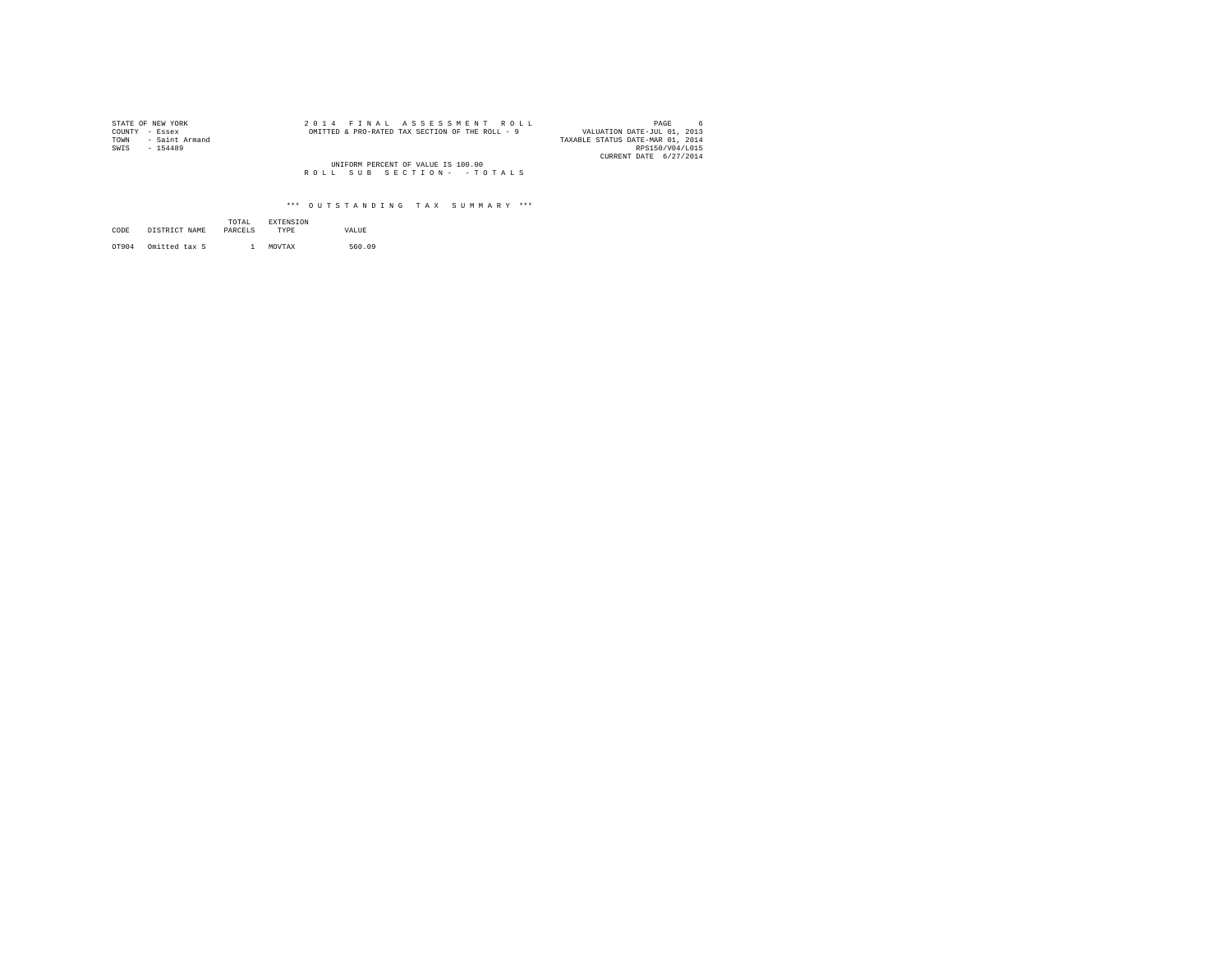| STATE OF NEW YORK      | 2014 FINAL ASSESSMENT ROLL                      | PAGE                             |
|------------------------|-------------------------------------------------|----------------------------------|
| COUNTY - Essex         | OMITTED & PRO-RATED TAX SECTION OF THE ROLL - 9 | VALUATION DATE-JUL 01, 2013      |
| - Saint Armand<br>TOWN |                                                 | TAXABLE STATUS DATE-MAR 01, 2014 |
| SWIS<br>$-154489$      |                                                 | RPS150/V04/L015                  |
|                        |                                                 | CURRENT DATE 6/27/2014           |
|                        | UNIFORM PERCENT OF VALUE IS 100.00              |                                  |
|                        | ROLL SUB SECTION- - TOTALS                      |                                  |

| CODE  | DISTRICT NAME | TOTAL<br>PARCELS | <b>EXTENSION</b><br>TYPE | VALUE  |  |
|-------|---------------|------------------|--------------------------|--------|--|
| OT904 | Omitted tax S |                  | MOVTAX                   | 560.09 |  |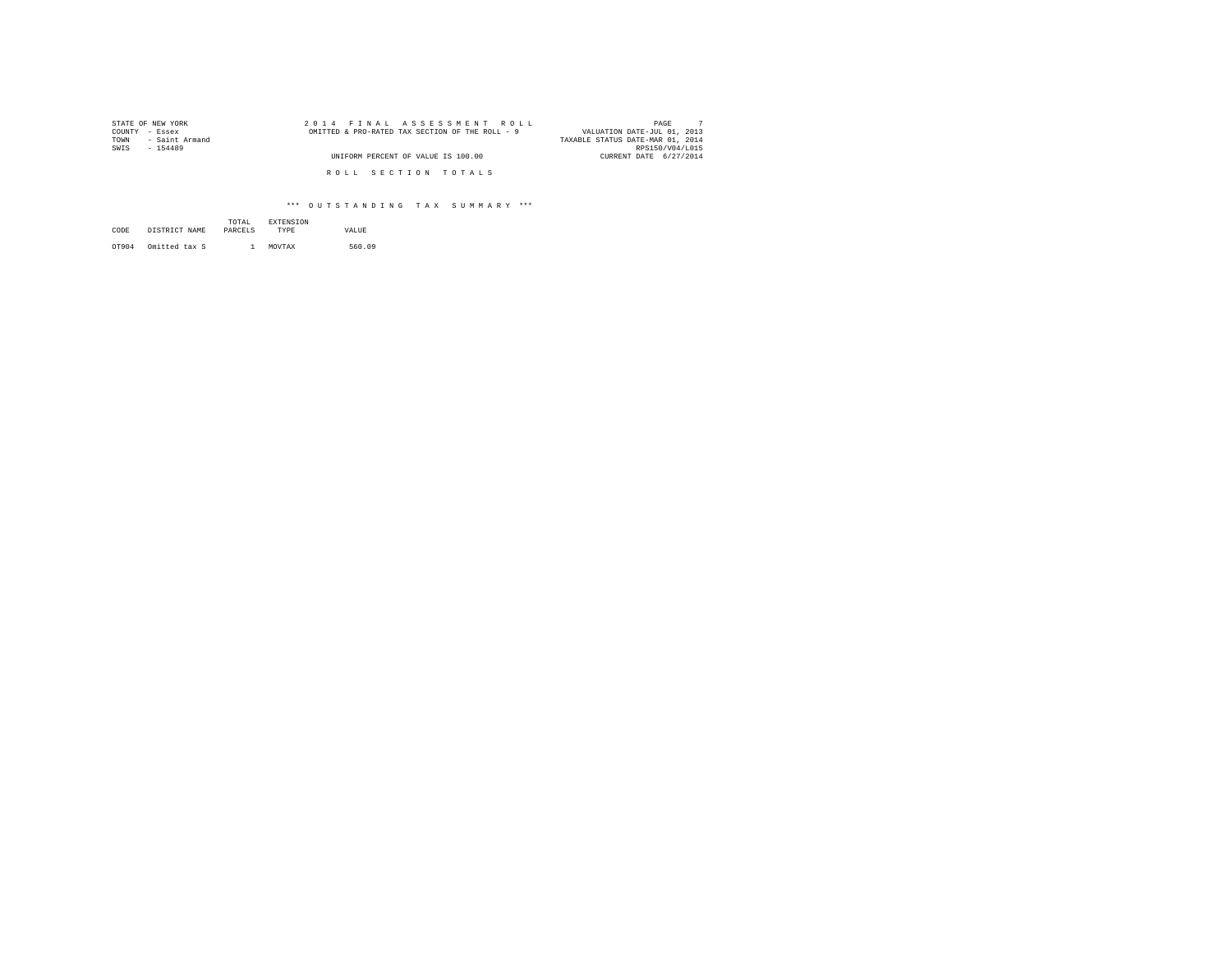| STATE OF NEW YORK      | 2014 FINAL ASSESSMENT ROLL                      | PAGE                             |
|------------------------|-------------------------------------------------|----------------------------------|
| COUNTY<br>- Essex      | OMITTED & PRO-RATED TAX SECTION OF THE ROLL - 9 | VALUATION DATE-JUL 01, 2013      |
| - Saint Armand<br>TOWN |                                                 | TAXABLE STATUS DATE-MAR 01, 2014 |
| SWIS<br>$-154489$      |                                                 | RPS150/V04/L015                  |
|                        | UNIFORM PERCENT OF VALUE IS 100.00              | CURRENT DATE 6/27/2014           |
|                        | ROLL SECTION TOTALS                             |                                  |

| CODE  | DISTRICT NAME | TOTAL<br>PARCELS. | <b>EXTENSION</b><br>TYPE | VALUE  |
|-------|---------------|-------------------|--------------------------|--------|
| OT904 | Omitted tax S |                   | MOVTAX                   | 560.09 |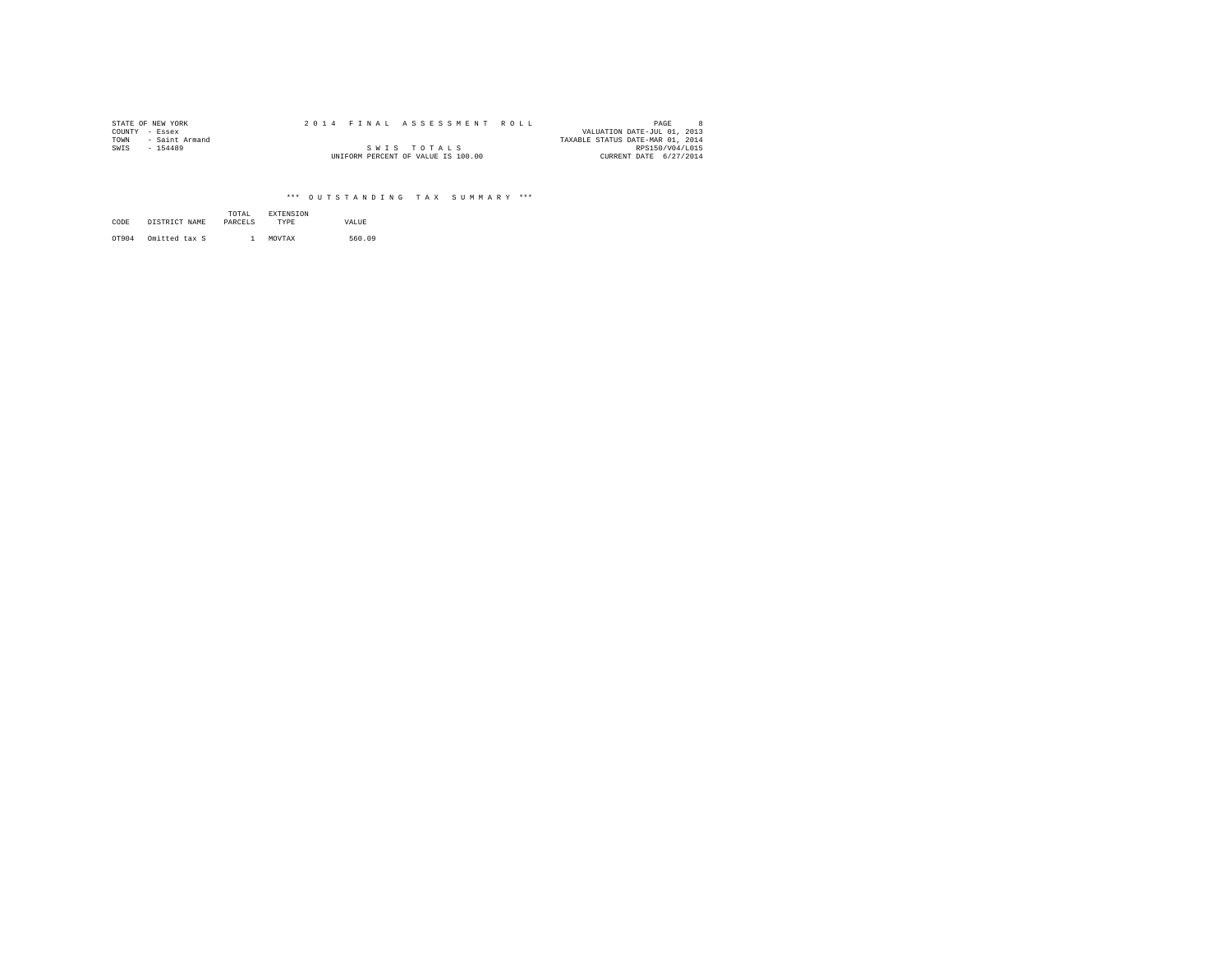| STATE OF NEW YORK      |  | 2014 FINAL ASSESSMENT ROLL         |                                  | PAGE            |  |
|------------------------|--|------------------------------------|----------------------------------|-----------------|--|
| COUNTY - Essex         |  |                                    | VALUATION DATE-JUL 01, 2013      |                 |  |
| TOWN<br>- Saint Armand |  |                                    | TAXABLE STATUS DATE-MAR 01, 2014 |                 |  |
| SWIS<br>$-154489$      |  | SWIS TOTALS                        |                                  | RPS150/V04/L015 |  |
|                        |  | UNIFORM PERCENT OF VALUE IS 100.00 | CURRENT DATE 6/27/2014           |                 |  |

| CODE  | DISTRICT NAME | TOTAL<br>PARCELS | <b>EXTENSION</b><br><b>TYPE</b> | VALUE  |
|-------|---------------|------------------|---------------------------------|--------|
| OT904 | Omitted tax S |                  | MOVTAX                          | 560.09 |